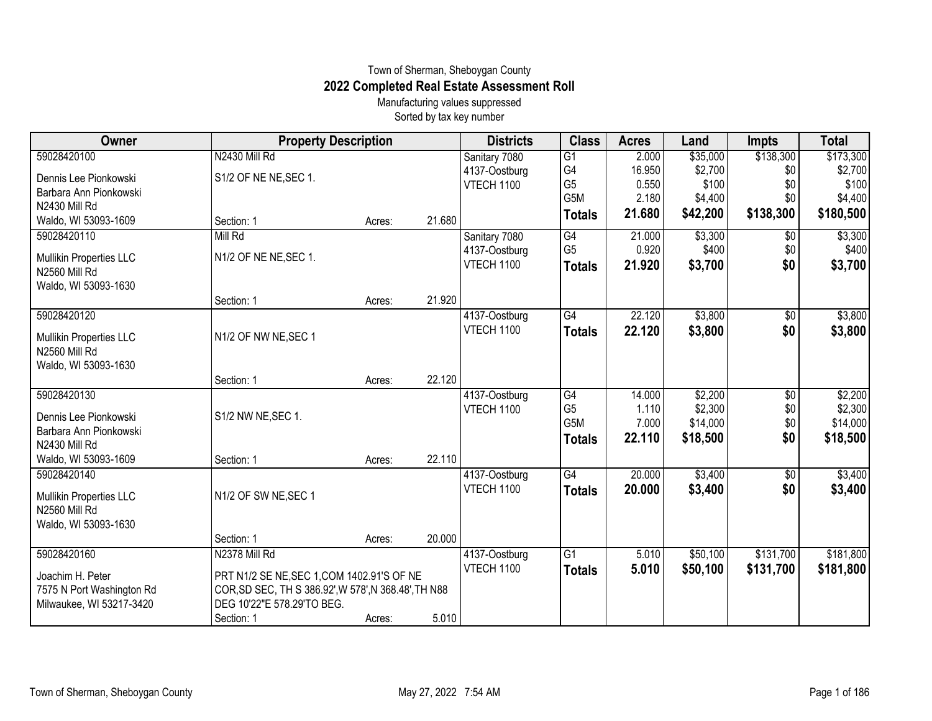## Town of Sherman, Sheboygan County **2022 Completed Real Estate Assessment Roll**

Manufacturing values suppressed Sorted by tax key number

| Owner                          | <b>Property Description</b>                          |        |        | <b>Districts</b>  | <b>Class</b>    | <b>Acres</b> | Land     | <b>Impts</b> | <b>Total</b> |
|--------------------------------|------------------------------------------------------|--------|--------|-------------------|-----------------|--------------|----------|--------------|--------------|
| 59028420100                    | N2430 Mill Rd                                        |        |        | Sanitary 7080     | $\overline{G1}$ | 2.000        | \$35,000 | \$138,300    | \$173,300    |
| Dennis Lee Pionkowski          | S1/2 OF NE NE, SEC 1.                                |        |        | 4137-Oostburg     | G4              | 16.950       | \$2,700  | \$0          | \$2,700      |
| Barbara Ann Pionkowski         |                                                      |        |        | <b>VTECH 1100</b> | G <sub>5</sub>  | 0.550        | \$100    | \$0          | \$100        |
| N2430 Mill Rd                  |                                                      |        |        |                   | G5M             | 2.180        | \$4,400  | \$0          | \$4,400      |
| Waldo, WI 53093-1609           | Section: 1                                           | Acres: | 21.680 |                   | <b>Totals</b>   | 21.680       | \$42,200 | \$138,300    | \$180,500    |
| 59028420110                    | Mill Rd                                              |        |        | Sanitary 7080     | G4              | 21.000       | \$3,300  | \$0          | \$3,300      |
| <b>Mullikin Properties LLC</b> | N1/2 OF NE NE, SEC 1.                                |        |        | 4137-Oostburg     | G <sub>5</sub>  | 0.920        | \$400    | \$0          | \$400        |
| N2560 Mill Rd                  |                                                      |        |        | <b>VTECH 1100</b> | <b>Totals</b>   | 21.920       | \$3,700  | \$0          | \$3,700      |
| Waldo, WI 53093-1630           |                                                      |        |        |                   |                 |              |          |              |              |
|                                | Section: 1                                           | Acres: | 21.920 |                   |                 |              |          |              |              |
| 59028420120                    |                                                      |        |        | 4137-Oostburg     | $\overline{G4}$ | 22.120       | \$3,800  | \$0          | \$3,800      |
| <b>Mullikin Properties LLC</b> | N1/2 OF NW NE, SEC 1                                 |        |        | <b>VTECH 1100</b> | <b>Totals</b>   | 22.120       | \$3,800  | \$0          | \$3,800      |
| N2560 Mill Rd                  |                                                      |        |        |                   |                 |              |          |              |              |
| Waldo, WI 53093-1630           |                                                      |        |        |                   |                 |              |          |              |              |
|                                | Section: 1                                           | Acres: | 22.120 |                   |                 |              |          |              |              |
| 59028420130                    |                                                      |        |        | 4137-Oostburg     | G4              | 14.000       | \$2,200  | \$0          | \$2,200      |
| Dennis Lee Pionkowski          | S1/2 NW NE, SEC 1.                                   |        |        | VTECH 1100        | G <sub>5</sub>  | 1.110        | \$2,300  | \$0          | \$2,300      |
| Barbara Ann Pionkowski         |                                                      |        |        |                   | G5M             | 7.000        | \$14,000 | \$0          | \$14,000     |
| N2430 Mill Rd                  |                                                      |        |        |                   | Totals          | 22.110       | \$18,500 | \$0          | \$18,500     |
| Waldo, WI 53093-1609           | Section: 1                                           | Acres: | 22.110 |                   |                 |              |          |              |              |
| 59028420140                    |                                                      |        |        | 4137-Oostburg     | G4              | 20.000       | \$3,400  | \$0          | \$3,400      |
| Mullikin Properties LLC        | N1/2 OF SW NE, SEC 1                                 |        |        | <b>VTECH 1100</b> | <b>Totals</b>   | 20.000       | \$3,400  | \$0          | \$3,400      |
| N2560 Mill Rd                  |                                                      |        |        |                   |                 |              |          |              |              |
| Waldo, WI 53093-1630           |                                                      |        |        |                   |                 |              |          |              |              |
|                                | Section: 1                                           | Acres: | 20.000 |                   |                 |              |          |              |              |
| 59028420160                    | N2378 Mill Rd                                        |        |        | 4137-Oostburg     | $\overline{G1}$ | 5.010        | \$50,100 | \$131,700    | \$181,800    |
| Joachim H. Peter               | PRT N1/2 SE NE, SEC 1, COM 1402.91'S OF NE           |        |        | <b>VTECH 1100</b> | <b>Totals</b>   | 5.010        | \$50,100 | \$131,700    | \$181,800    |
| 7575 N Port Washington Rd      | COR, SD SEC, TH S 386.92', W 578', N 368.48', TH N88 |        |        |                   |                 |              |          |              |              |
| Milwaukee, WI 53217-3420       | DEG 10'22"E 578.29'TO BEG.                           |        |        |                   |                 |              |          |              |              |
|                                | Section: 1                                           | Acres: | 5.010  |                   |                 |              |          |              |              |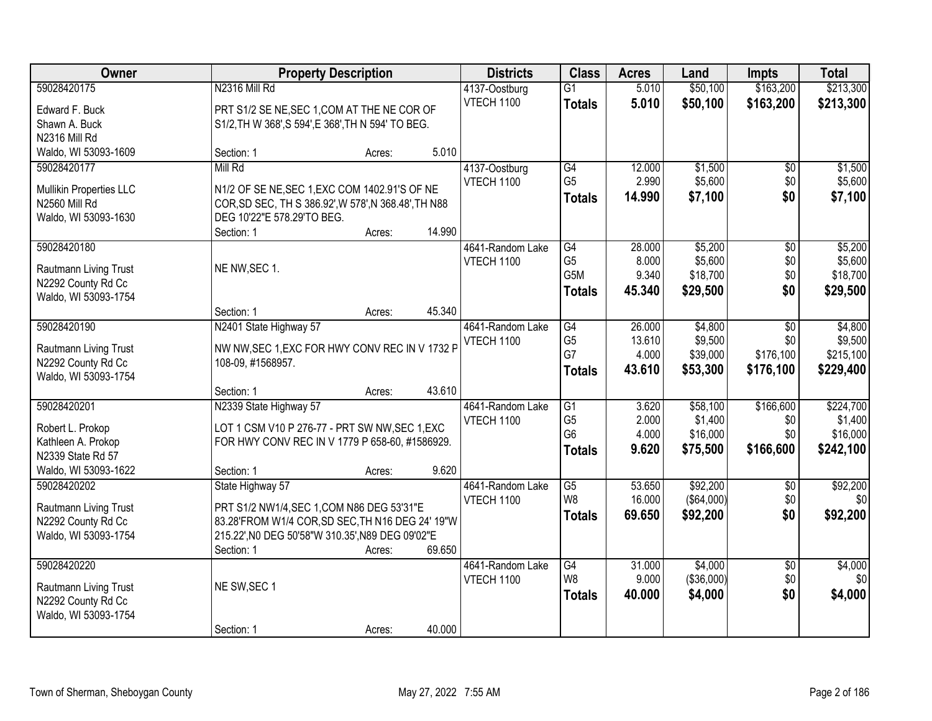| Owner                                      |                                                                                                | <b>Property Description</b> |        | <b>Districts</b>  | <b>Class</b>         | <b>Acres</b>    | Land       | <b>Impts</b>     | <b>Total</b> |
|--------------------------------------------|------------------------------------------------------------------------------------------------|-----------------------------|--------|-------------------|----------------------|-----------------|------------|------------------|--------------|
| 59028420175                                | N2316 Mill Rd                                                                                  |                             |        | 4137-Oostburg     | $\overline{G1}$      | 5.010           | \$50,100   | \$163,200        | \$213,300    |
| Edward F. Buck                             | PRT S1/2 SE NE, SEC 1, COM AT THE NE COR OF                                                    |                             |        | <b>VTECH 1100</b> | <b>Totals</b>        | 5.010           | \$50,100   | \$163,200        | \$213,300    |
| Shawn A. Buck                              | S1/2, TH W 368', S 594', E 368', TH N 594' TO BEG.                                             |                             |        |                   |                      |                 |            |                  |              |
| N2316 Mill Rd                              |                                                                                                |                             |        |                   |                      |                 |            |                  |              |
| Waldo, WI 53093-1609                       | Section: 1                                                                                     | Acres:                      | 5.010  |                   |                      |                 |            |                  |              |
| 59028420177                                | Mill Rd                                                                                        |                             |        | 4137-Oostburg     | $\overline{G4}$      | 12.000          | \$1,500    | $\overline{50}$  | \$1,500      |
|                                            |                                                                                                |                             |        | <b>VTECH 1100</b> | G <sub>5</sub>       | 2.990           | \$5,600    | \$0              | \$5,600      |
| Mullikin Properties LLC<br>N2560 Mill Rd   | N1/2 OF SE NE, SEC 1, EXC COM 1402.91'S OF NE                                                  |                             |        |                   | <b>Totals</b>        | 14.990          | \$7,100    | \$0              | \$7,100      |
| Waldo, WI 53093-1630                       | COR, SD SEC, TH S 386.92', W 578', N 368.48', TH N88<br>DEG 10'22"E 578.29'TO BEG.             |                             |        |                   |                      |                 |            |                  |              |
|                                            | Section: 1                                                                                     | Acres:                      | 14.990 |                   |                      |                 |            |                  |              |
| 59028420180                                |                                                                                                |                             |        | 4641-Random Lake  | G4                   | 28.000          | \$5,200    | \$0              | \$5,200      |
|                                            |                                                                                                |                             |        | VTECH 1100        | G <sub>5</sub>       | 8.000           | \$5,600    | \$0              | \$5,600      |
| Rautmann Living Trust                      | NE NW, SEC 1.                                                                                  |                             |        |                   | G5M                  | 9.340           | \$18,700   | \$0              | \$18,700     |
| N2292 County Rd Cc                         |                                                                                                |                             |        |                   | <b>Totals</b>        | 45.340          | \$29,500   | \$0              | \$29,500     |
| Waldo, WI 53093-1754                       |                                                                                                |                             |        |                   |                      |                 |            |                  |              |
|                                            | Section: 1                                                                                     | Acres:                      | 45.340 |                   |                      |                 |            |                  |              |
| 59028420190                                | N2401 State Highway 57                                                                         |                             |        | 4641-Random Lake  | G4<br>G <sub>5</sub> | 26.000          | \$4,800    | \$0              | \$4,800      |
| Rautmann Living Trust                      | NW NW, SEC 1, EXC FOR HWY CONV REC IN V 1732 P                                                 |                             |        | <b>VTECH 1100</b> | G7                   | 13.610<br>4.000 | \$9,500    | \$0<br>\$176,100 | \$9,500      |
| N2292 County Rd Cc                         | 108-09, #1568957.                                                                              |                             |        |                   |                      |                 | \$39,000   |                  | \$215,100    |
| Waldo, WI 53093-1754                       |                                                                                                |                             |        |                   | <b>Totals</b>        | 43.610          | \$53,300   | \$176,100        | \$229,400    |
|                                            | Section: 1                                                                                     | Acres:                      | 43.610 |                   |                      |                 |            |                  |              |
| 59028420201                                | N2339 State Highway 57                                                                         |                             |        | 4641-Random Lake  | $\overline{G1}$      | 3.620           | \$58,100   | \$166,600        | \$224,700    |
| Robert L. Prokop                           | LOT 1 CSM V10 P 276-77 - PRT SW NW, SEC 1, EXC                                                 |                             |        | <b>VTECH 1100</b> | G <sub>5</sub>       | 2.000           | \$1,400    | \$0              | \$1,400      |
| Kathleen A. Prokop                         | FOR HWY CONV REC IN V 1779 P 658-60, #1586929.                                                 |                             |        |                   | G <sub>6</sub>       | 4.000           | \$16,000   | \$0              | \$16,000     |
| N2339 State Rd 57                          |                                                                                                |                             |        |                   | <b>Totals</b>        | 9.620           | \$75,500   | \$166,600        | \$242,100    |
| Waldo, WI 53093-1622                       | Section: 1                                                                                     | Acres:                      | 9.620  |                   |                      |                 |            |                  |              |
| 59028420202                                | State Highway 57                                                                               |                             |        | 4641-Random Lake  | $\overline{G5}$      | 53.650          | \$92,200   | $\overline{50}$  | \$92,200     |
|                                            |                                                                                                |                             |        | <b>VTECH 1100</b> | W <sub>8</sub>       | 16.000          | (\$64,000) | \$0              | \$0          |
| Rautmann Living Trust                      | PRT S1/2 NW1/4, SEC 1, COM N86 DEG 53'31"E<br>83.28'FROM W1/4 COR, SD SEC, TH N16 DEG 24' 19"W |                             |        |                   | <b>Totals</b>        | 69.650          | \$92,200   | \$0              | \$92,200     |
| N2292 County Rd Cc<br>Waldo, WI 53093-1754 | 215.22', NO DEG 50'58"W 310.35', N89 DEG 09'02"E                                               |                             |        |                   |                      |                 |            |                  |              |
|                                            | Section: 1                                                                                     | Acres:                      | 69.650 |                   |                      |                 |            |                  |              |
| 59028420220                                |                                                                                                |                             |        | 4641-Random Lake  | $\overline{G4}$      | 31.000          | \$4,000    | $\overline{50}$  | \$4,000      |
|                                            |                                                                                                |                             |        | VTECH 1100        | W8                   | 9.000           | (\$36,000) | \$0              | \$0          |
| Rautmann Living Trust                      | NE SW, SEC 1                                                                                   |                             |        |                   | <b>Totals</b>        | 40.000          | \$4,000    | \$0              | \$4,000      |
| N2292 County Rd Cc                         |                                                                                                |                             |        |                   |                      |                 |            |                  |              |
| Waldo, WI 53093-1754                       |                                                                                                |                             |        |                   |                      |                 |            |                  |              |
|                                            | Section: 1                                                                                     | Acres:                      | 40.000 |                   |                      |                 |            |                  |              |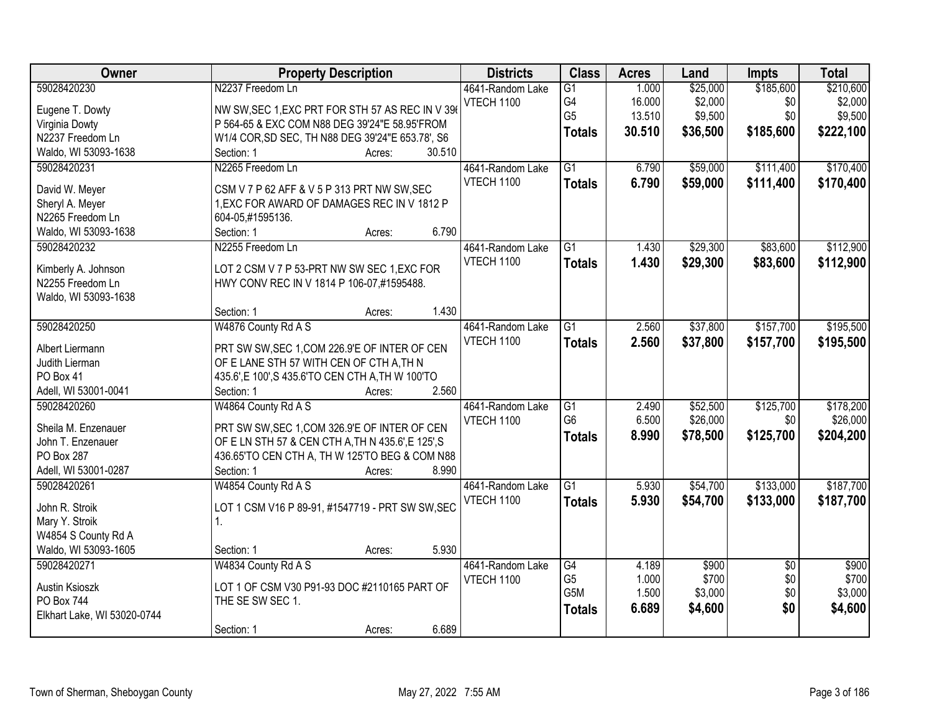| Owner                             | <b>Property Description</b>                                                               |        |        | <b>Districts</b>  | <b>Class</b>    | <b>Acres</b> | Land     | <b>Impts</b>    | <b>Total</b> |
|-----------------------------------|-------------------------------------------------------------------------------------------|--------|--------|-------------------|-----------------|--------------|----------|-----------------|--------------|
| 59028420230                       | N2237 Freedom Ln                                                                          |        |        | 4641-Random Lake  | $\overline{G1}$ | 1.000        | \$25,000 | \$185,600       | \$210,600    |
| Eugene T. Dowty                   | NW SW, SEC 1, EXC PRT FOR STH 57 AS REC IN V 396                                          |        |        | VTECH 1100        | G4              | 16.000       | \$2,000  | \$0             | \$2,000      |
| Virginia Dowty                    | P 564-65 & EXC COM N88 DEG 39'24"E 58.95'FROM                                             |        |        |                   | G <sub>5</sub>  | 13.510       | \$9,500  | \$0             | \$9,500      |
| N2237 Freedom Ln                  | W1/4 COR, SD SEC, TH N88 DEG 39'24"E 653.78', S6                                          |        |        |                   | <b>Totals</b>   | 30.510       | \$36,500 | \$185,600       | \$222,100    |
| Waldo, WI 53093-1638              | Section: 1                                                                                | Acres: | 30.510 |                   |                 |              |          |                 |              |
| 59028420231                       | N2265 Freedom Ln                                                                          |        |        | 4641-Random Lake  | $\overline{G1}$ | 6.790        | \$59,000 | \$111,400       | \$170,400    |
|                                   |                                                                                           |        |        | <b>VTECH 1100</b> | <b>Totals</b>   | 6.790        | \$59,000 | \$111,400       | \$170,400    |
| David W. Meyer                    | CSM V 7 P 62 AFF & V 5 P 313 PRT NW SW, SEC                                               |        |        |                   |                 |              |          |                 |              |
| Sheryl A. Meyer                   | 1, EXC FOR AWARD OF DAMAGES REC IN V 1812 P                                               |        |        |                   |                 |              |          |                 |              |
| N2265 Freedom Ln                  | 604-05,#1595136.                                                                          |        |        |                   |                 |              |          |                 |              |
| Waldo, WI 53093-1638              | Section: 1                                                                                | Acres: | 6.790  |                   |                 |              |          |                 |              |
| 59028420232                       | N2255 Freedom Ln                                                                          |        |        | 4641-Random Lake  | $\overline{G1}$ | 1.430        | \$29,300 | \$83,600        | \$112,900    |
| Kimberly A. Johnson               | LOT 2 CSM V 7 P 53-PRT NW SW SEC 1, EXC FOR                                               |        |        | VTECH 1100        | <b>Totals</b>   | 1.430        | \$29,300 | \$83,600        | \$112,900    |
| N2255 Freedom Ln                  | HWY CONV REC IN V 1814 P 106-07,#1595488.                                                 |        |        |                   |                 |              |          |                 |              |
| Waldo, WI 53093-1638              |                                                                                           |        |        |                   |                 |              |          |                 |              |
|                                   | Section: 1                                                                                | Acres: | 1.430  |                   |                 |              |          |                 |              |
| 59028420250                       | W4876 County Rd A S                                                                       |        |        | 4641-Random Lake  | $\overline{G1}$ | 2.560        | \$37,800 | \$157,700       | \$195,500    |
|                                   |                                                                                           |        |        | <b>VTECH 1100</b> | <b>Totals</b>   | 2.560        | \$37,800 | \$157,700       | \$195,500    |
| Albert Liermann<br>Judith Lierman | PRT SW SW, SEC 1, COM 226.9'E OF INTER OF CEN<br>OF E LANE STH 57 WITH CEN OF CTH A, TH N |        |        |                   |                 |              |          |                 |              |
| PO Box 41                         | 435.6', E 100', S 435.6'TO CEN CTH A, TH W 100'TO                                         |        |        |                   |                 |              |          |                 |              |
| Adell, WI 53001-0041              | Section: 1                                                                                | Acres: | 2.560  |                   |                 |              |          |                 |              |
| 59028420260                       | W4864 County Rd A S                                                                       |        |        | 4641-Random Lake  | $\overline{G1}$ | 2.490        | \$52,500 | \$125,700       | \$178,200    |
|                                   |                                                                                           |        |        | <b>VTECH 1100</b> | G <sub>6</sub>  | 6.500        | \$26,000 | \$0             | \$26,000     |
| Sheila M. Enzenauer               | PRT SW SW, SEC 1, COM 326.9'E OF INTER OF CEN                                             |        |        |                   | <b>Totals</b>   | 8.990        | \$78,500 | \$125,700       | \$204,200    |
| John T. Enzenauer                 | OF E LN STH 57 & CEN CTH A, TH N 435.6', E 125', S                                        |        |        |                   |                 |              |          |                 |              |
| PO Box 287                        | 436.65'TO CEN CTH A, TH W 125'TO BEG & COM N88                                            |        |        |                   |                 |              |          |                 |              |
| Adell, WI 53001-0287              | Section: 1                                                                                | Acres: | 8.990  |                   |                 |              |          |                 |              |
| 59028420261                       | W4854 County Rd A S                                                                       |        |        | 4641-Random Lake  | $\overline{G1}$ | 5.930        | \$54,700 | \$133,000       | \$187,700    |
| John R. Stroik                    | LOT 1 CSM V16 P 89-91, #1547719 - PRT SW SW, SEC                                          |        |        | VTECH 1100        | <b>Totals</b>   | 5.930        | \$54,700 | \$133,000       | \$187,700    |
| Mary Y. Stroik                    | 1.                                                                                        |        |        |                   |                 |              |          |                 |              |
| W4854 S County Rd A               |                                                                                           |        |        |                   |                 |              |          |                 |              |
| Waldo, WI 53093-1605              | Section: 1                                                                                | Acres: | 5.930  |                   |                 |              |          |                 |              |
| 59028420271                       | W4834 County Rd A S                                                                       |        |        | 4641-Random Lake  | G4              | 4.189        | \$900    | $\overline{50}$ | \$900        |
|                                   |                                                                                           |        |        | <b>VTECH 1100</b> | G <sub>5</sub>  | 1.000        | \$700    | \$0             | \$700        |
| Austin Ksioszk                    | LOT 1 OF CSM V30 P91-93 DOC #2110165 PART OF                                              |        |        |                   | G5M             | 1.500        | \$3,000  | \$0             | \$3,000      |
| PO Box 744                        | THE SE SW SEC 1.                                                                          |        |        |                   | <b>Totals</b>   | 6.689        | \$4,600  | \$0             | \$4,600      |
| Elkhart Lake, WI 53020-0744       |                                                                                           |        |        |                   |                 |              |          |                 |              |
|                                   | Section: 1                                                                                | Acres: | 6.689  |                   |                 |              |          |                 |              |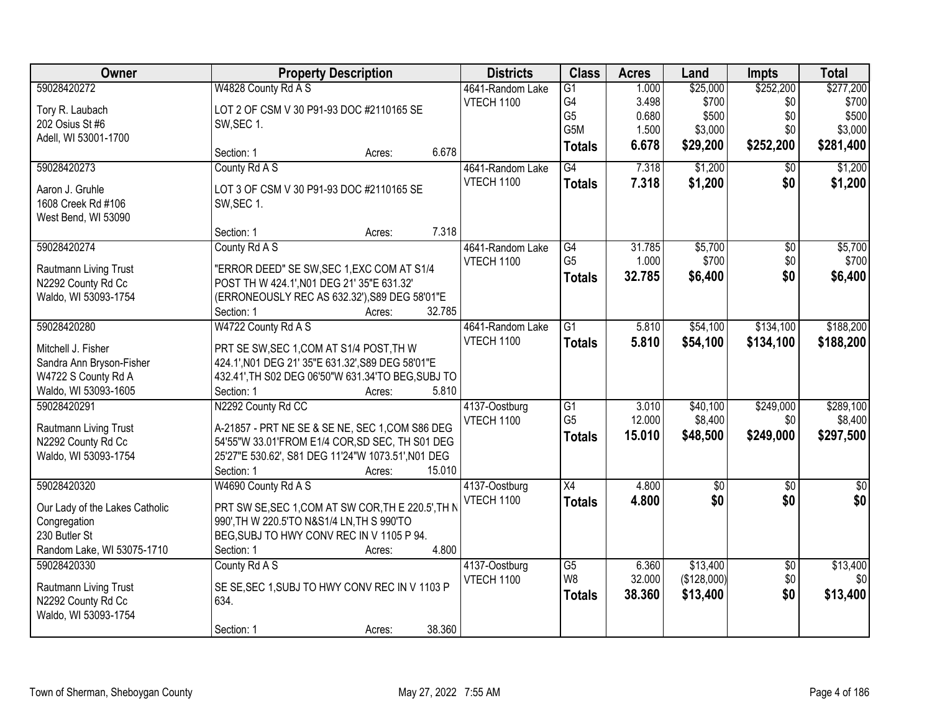| Owner                                       | <b>Property Description</b>                        |        |        | <b>Districts</b>                   | <b>Class</b>          | <b>Acres</b>    | Land                    | <b>Impts</b>           | <b>Total</b>    |
|---------------------------------------------|----------------------------------------------------|--------|--------|------------------------------------|-----------------------|-----------------|-------------------------|------------------------|-----------------|
| 59028420272                                 | W4828 County Rd A S                                |        |        | 4641-Random Lake                   | $\overline{G1}$       | 1.000           | \$25,000                | \$252,200              | \$277,200       |
| Tory R. Laubach                             | LOT 2 OF CSM V 30 P91-93 DOC #2110165 SE           |        |        | VTECH 1100                         | G4                    | 3.498           | \$700                   | \$0                    | \$700           |
| 202 Osius St #6                             | SW, SEC 1.                                         |        |        |                                    | G <sub>5</sub>        | 0.680           | \$500                   | \$0                    | \$500           |
| Adell, WI 53001-1700                        |                                                    |        |        |                                    | G5M                   | 1.500           | \$3,000                 | \$0                    | \$3,000         |
|                                             | Section: 1                                         | Acres: | 6.678  |                                    | <b>Totals</b>         | 6.678           | \$29,200                | \$252,200              | \$281,400       |
| 59028420273                                 | County Rd A S                                      |        |        | 4641-Random Lake                   | $\overline{G4}$       | 7.318           | \$1,200                 | \$0                    | \$1,200         |
| Aaron J. Gruhle                             | LOT 3 OF CSM V 30 P91-93 DOC #2110165 SE           |        |        | <b>VTECH 1100</b>                  | <b>Totals</b>         | 7.318           | \$1,200                 | \$0                    | \$1,200         |
| 1608 Creek Rd #106                          | SW, SEC 1.                                         |        |        |                                    |                       |                 |                         |                        |                 |
| West Bend, WI 53090                         |                                                    |        |        |                                    |                       |                 |                         |                        |                 |
|                                             | Section: 1                                         | Acres: | 7.318  |                                    |                       |                 |                         |                        |                 |
| 59028420274                                 | County Rd A S                                      |        |        | 4641-Random Lake                   | G4                    | 31.785          | \$5,700                 | $\overline{50}$        | \$5,700         |
|                                             |                                                    |        |        | VTECH 1100                         | G <sub>5</sub>        | 1.000           | \$700                   | \$0                    | \$700           |
| Rautmann Living Trust                       | "ERROR DEED" SE SW, SEC 1, EXC COM AT S1/4         |        |        |                                    | <b>Totals</b>         | 32.785          | \$6,400                 | \$0                    | \$6,400         |
| N2292 County Rd Cc                          | POST TH W 424.1', N01 DEG 21' 35"E 631.32'         |        |        |                                    |                       |                 |                         |                        |                 |
| Waldo, WI 53093-1754                        | (ERRONEOUSLY REC AS 632.32'), S89 DEG 58'01"E      |        | 32.785 |                                    |                       |                 |                         |                        |                 |
| 59028420280                                 | Section: 1<br>W4722 County Rd A S                  | Acres: |        | 4641-Random Lake                   | $\overline{G1}$       | 5.810           | \$54,100                | \$134,100              | \$188,200       |
|                                             |                                                    |        |        | VTECH 1100                         |                       |                 |                         |                        |                 |
| Mitchell J. Fisher                          | PRT SE SW, SEC 1, COM AT S1/4 POST, TH W           |        |        |                                    | <b>Totals</b>         | 5.810           | \$54,100                | \$134,100              | \$188,200       |
| Sandra Ann Bryson-Fisher                    | 424.1', N01 DEG 21' 35"E 631.32', S89 DEG 58'01"E  |        |        |                                    |                       |                 |                         |                        |                 |
| W4722 S County Rd A                         | 432.41', TH S02 DEG 06'50"W 631.34'TO BEG, SUBJ TO |        |        |                                    |                       |                 |                         |                        |                 |
| Waldo, WI 53093-1605                        | Section: 1                                         | Acres: | 5.810  |                                    |                       |                 |                         |                        |                 |
| 59028420291                                 | N2292 County Rd CC                                 |        |        | 4137-Oostburg                      | $\overline{G1}$       | 3.010           | \$40,100                | \$249,000              | \$289,100       |
| Rautmann Living Trust                       | A-21857 - PRT NE SE & SE NE, SEC 1, COM S86 DEG    |        |        | VTECH 1100                         | G <sub>5</sub>        | 12.000          | \$8,400                 | \$0                    | \$8,400         |
| N2292 County Rd Cc                          | 54'55"W 33.01'FROM E1/4 COR, SD SEC, TH S01 DEG    |        |        |                                    | <b>Totals</b>         | 15.010          | \$48,500                | \$249,000              | \$297,500       |
| Waldo, WI 53093-1754                        | 25'27"E 530.62', S81 DEG 11'24"W 1073.51', N01 DEG |        |        |                                    |                       |                 |                         |                        |                 |
|                                             | Section: 1                                         | Acres: | 15.010 |                                    |                       |                 |                         |                        |                 |
| 59028420320                                 | W4690 County Rd A S                                |        |        | 4137-Oostburg                      | X4                    | 4.800           | $\sqrt{6}$              | $\overline{50}$        | $\frac{1}{6}$   |
|                                             |                                                    |        |        | VTECH 1100                         | <b>Totals</b>         | 4.800           | \$0                     | \$0                    | \$0             |
| Our Lady of the Lakes Catholic              | PRT SW SE, SEC 1, COM AT SW COR, TH E 220.5', TH N |        |        |                                    |                       |                 |                         |                        |                 |
| Congregation                                | 990', TH W 220.5'TO N&S1/4 LN, TH S 990'TO         |        |        |                                    |                       |                 |                         |                        |                 |
| 230 Butler St<br>Random Lake, WI 53075-1710 | BEG, SUBJ TO HWY CONV REC IN V 1105 P 94.          |        | 4.800  |                                    |                       |                 |                         |                        |                 |
|                                             | Section: 1                                         | Acres: |        |                                    |                       |                 |                         |                        |                 |
| 59028420330                                 | County Rd A S                                      |        |        | 4137-Oostburg<br><b>VTECH 1100</b> | $\overline{G5}$<br>W8 | 6.360<br>32.000 | \$13,400<br>(\$128,000) | $\overline{50}$<br>\$0 | \$13,400<br>\$0 |
| Rautmann Living Trust                       | SE SE, SEC 1, SUBJ TO HWY CONV REC IN V 1103 P     |        |        |                                    |                       |                 |                         |                        |                 |
| N2292 County Rd Cc                          | 634.                                               |        |        |                                    | <b>Totals</b>         | 38.360          | \$13,400                | \$0                    | \$13,400        |
| Waldo, WI 53093-1754                        |                                                    |        |        |                                    |                       |                 |                         |                        |                 |
|                                             | Section: 1                                         | Acres: | 38.360 |                                    |                       |                 |                         |                        |                 |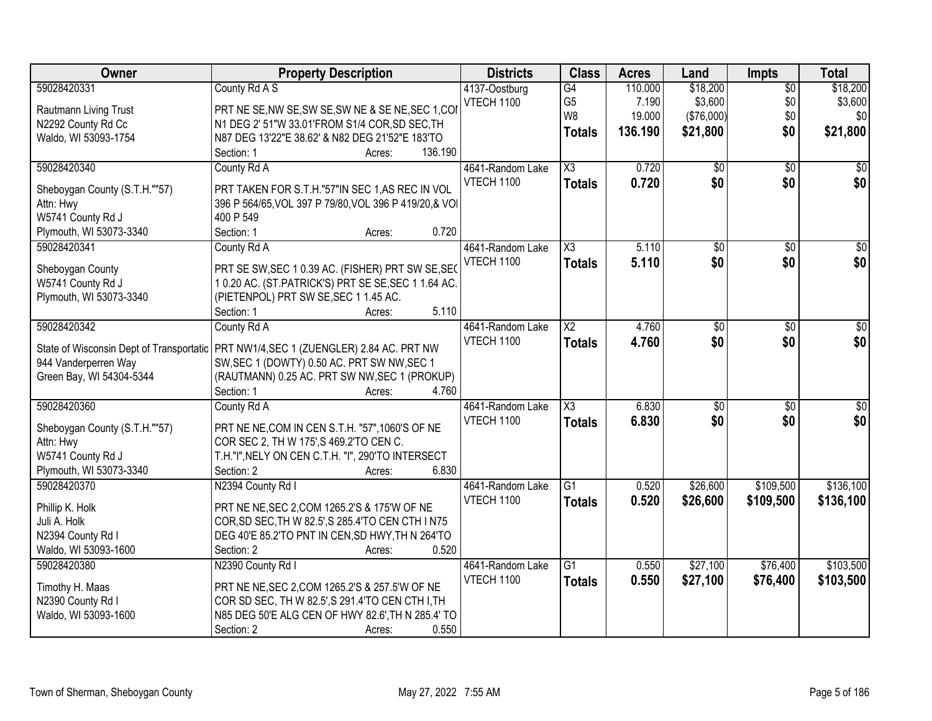| Owner                                    | <b>Property Description</b>                            |         | <b>Districts</b>  | <b>Class</b>           | <b>Acres</b> | Land            | <b>Impts</b>    | <b>Total</b>    |
|------------------------------------------|--------------------------------------------------------|---------|-------------------|------------------------|--------------|-----------------|-----------------|-----------------|
| 59028420331                              | County Rd A S                                          |         | 4137-Oostburg     | G4                     | 110.000      | \$18,200        | $\sqrt{$0}$     | \$18,200        |
| Rautmann Living Trust                    | PRT NE SE, NW SE, SW SE, SW NE & SE NE, SEC 1, COI     |         | <b>VTECH 1100</b> | G <sub>5</sub>         | 7.190        | \$3,600         | \$0             | \$3,600         |
| N2292 County Rd Cc                       | N1 DEG 2' 51"W 33.01'FROM S1/4 COR, SD SEC, TH         |         |                   | W <sub>8</sub>         | 19.000       | (\$76,000)      | \$0             | \$0             |
| Waldo, WI 53093-1754                     | N87 DEG 13'22"E 38.62' & N82 DEG 21'52"E 183'TO        |         |                   | <b>Totals</b>          | 136.190      | \$21,800        | \$0             | \$21,800        |
|                                          | Section: 1<br>Acres:                                   | 136.190 |                   |                        |              |                 |                 |                 |
| 59028420340                              | County Rd A                                            |         | 4641-Random Lake  | $\overline{\text{X3}}$ | 0.720        | $\overline{50}$ | $\overline{50}$ | \$0             |
|                                          |                                                        |         | <b>VTECH 1100</b> | <b>Totals</b>          | 0.720        | \$0             | \$0             | \$0             |
| Sheboygan County (S.T.H.""57)            | PRT TAKEN FOR S.T.H."57"IN SEC 1,AS REC IN VOL         |         |                   |                        |              |                 |                 |                 |
| Attn: Hwy                                | 396 P 564/65, VOL 397 P 79/80, VOL 396 P 419/20, & VOI |         |                   |                        |              |                 |                 |                 |
| W5741 County Rd J                        | 400 P 549                                              |         |                   |                        |              |                 |                 |                 |
| Plymouth, WI 53073-3340                  | Section: 1<br>Acres:                                   | 0.720   |                   |                        |              |                 |                 |                 |
| 59028420341                              | County Rd A                                            |         | 4641-Random Lake  | $\overline{\chi_3}$    | 5.110        | $\overline{50}$ | \$0             | $\overline{50}$ |
| Sheboygan County                         | PRT SE SW, SEC 1 0.39 AC. (FISHER) PRT SW SE, SEC      |         | <b>VTECH 1100</b> | <b>Totals</b>          | 5.110        | \$0             | \$0             | \$0             |
| W5741 County Rd J                        | 10.20 AC. (ST. PATRICK'S) PRT SE SE, SEC 11.64 AC.     |         |                   |                        |              |                 |                 |                 |
| Plymouth, WI 53073-3340                  | (PIETENPOL) PRT SW SE, SEC 1 1.45 AC.                  |         |                   |                        |              |                 |                 |                 |
|                                          | Section: 1<br>Acres:                                   | 5.110   |                   |                        |              |                 |                 |                 |
| 59028420342                              | County Rd A                                            |         | 4641-Random Lake  | X2                     | 4.760        | \$0             | $\sqrt[6]{3}$   | $\sqrt{50}$     |
|                                          |                                                        |         | <b>VTECH 1100</b> | <b>Totals</b>          | 4.760        | \$0             | \$0             | \$0             |
| State of Wisconsin Dept of Transportatic | PRT NW1/4, SEC 1 (ZUENGLER) 2.84 AC. PRT NW            |         |                   |                        |              |                 |                 |                 |
| 944 Vanderperren Way                     | SW, SEC 1 (DOWTY) 0.50 AC. PRT SW NW, SEC 1            |         |                   |                        |              |                 |                 |                 |
| Green Bay, WI 54304-5344                 | (RAUTMANN) 0.25 AC. PRT SW NW, SEC 1 (PROKUP)          |         |                   |                        |              |                 |                 |                 |
|                                          | Section: 1<br>Acres:                                   | 4.760   |                   |                        |              |                 |                 |                 |
| 59028420360                              | County Rd A                                            |         | 4641-Random Lake  | $\overline{\text{X3}}$ | 6.830        | $\overline{50}$ | \$0             | $\overline{50}$ |
| Sheboygan County (S.T.H.""57)            | PRT NE NE, COM IN CEN S.T.H. "57", 1060'S OF NE        |         | <b>VTECH 1100</b> | <b>Totals</b>          | 6.830        | \$0             | \$0             | \$0             |
| Attn: Hwy                                | COR SEC 2, TH W 175', S 469.2'TO CEN C.                |         |                   |                        |              |                 |                 |                 |
| W5741 County Rd J                        | T.H."I", NELY ON CEN C.T.H. "I", 290'TO INTERSECT      |         |                   |                        |              |                 |                 |                 |
| Plymouth, WI 53073-3340                  | Section: 2<br>Acres:                                   | 6.830   |                   |                        |              |                 |                 |                 |
| 59028420370                              | N2394 County Rd I                                      |         | 4641-Random Lake  | $\overline{G1}$        | 0.520        | \$26,600        | \$109,500       | \$136,100       |
|                                          |                                                        |         | <b>VTECH 1100</b> | <b>Totals</b>          | 0.520        | \$26,600        | \$109,500       | \$136,100       |
| Phillip K. Holk                          | PRT NE NE, SEC 2, COM 1265.2'S & 175'W OF NE           |         |                   |                        |              |                 |                 |                 |
| Juli A. Holk                             | COR, SD SEC, TH W 82.5', S 285.4'TO CEN CTH IN75       |         |                   |                        |              |                 |                 |                 |
| N2394 County Rd I                        | DEG 40'E 85.2'TO PNT IN CEN, SD HWY, TH N 264'TO       |         |                   |                        |              |                 |                 |                 |
| Waldo, WI 53093-1600                     | Section: 2<br>Acres:                                   | 0.520   |                   |                        |              |                 |                 |                 |
| 59028420380                              | N2390 County Rd I                                      |         | 4641-Random Lake  | G1                     | 0.550        | \$27,100        | \$76,400        | \$103,500       |
| Timothy H. Maas                          | PRT NE NE, SEC 2, COM 1265.2'S & 257.5'W OF NE         |         | <b>VTECH 1100</b> | <b>Totals</b>          | 0.550        | \$27,100        | \$76,400        | \$103,500       |
| N2390 County Rd I                        | COR SD SEC, TH W 82.5', S 291.4'TO CEN CTH I, TH       |         |                   |                        |              |                 |                 |                 |
| Waldo, WI 53093-1600                     | N85 DEG 50'E ALG CEN OF HWY 82.6', TH N 285.4' TO      |         |                   |                        |              |                 |                 |                 |
|                                          | Section: 2<br>Acres:                                   | 0.550   |                   |                        |              |                 |                 |                 |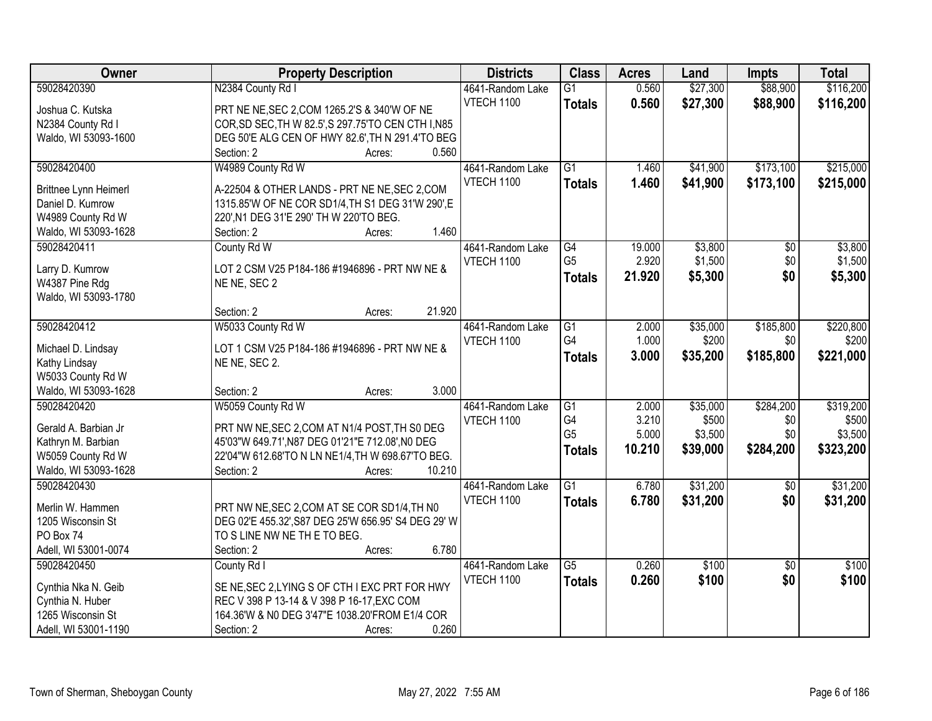| Owner                          | <b>Property Description</b>                         | <b>Districts</b>  | <b>Class</b>                      | <b>Acres</b>   | Land              | <b>Impts</b>    | <b>Total</b> |
|--------------------------------|-----------------------------------------------------|-------------------|-----------------------------------|----------------|-------------------|-----------------|--------------|
| 59028420390                    | N2384 County Rd I                                   | 4641-Random Lake  | $\overline{G1}$                   | 0.560          | \$27,300          | \$88,900        | \$116,200    |
| Joshua C. Kutska               | PRT NE NE, SEC 2, COM 1265.2'S & 340'W OF NE        | <b>VTECH 1100</b> | <b>Totals</b>                     | 0.560          | \$27,300          | \$88,900        | \$116,200    |
| N2384 County Rd I              | COR, SD SEC, TH W 82.5', S 297.75'TO CEN CTH I, N85 |                   |                                   |                |                   |                 |              |
| Waldo, WI 53093-1600           | DEG 50'E ALG CEN OF HWY 82.6', TH N 291.4'TO BEG    |                   |                                   |                |                   |                 |              |
|                                | 0.560<br>Section: 2<br>Acres:                       |                   |                                   |                |                   |                 |              |
| 59028420400                    | W4989 County Rd W                                   | 4641-Random Lake  | $\overline{G1}$                   | 1.460          | \$41,900          | \$173,100       | \$215,000    |
|                                |                                                     | <b>VTECH 1100</b> | <b>Totals</b>                     | 1.460          | \$41,900          | \$173,100       | \$215,000    |
| Brittnee Lynn Heimerl          | A-22504 & OTHER LANDS - PRT NE NE, SEC 2, COM       |                   |                                   |                |                   |                 |              |
| Daniel D. Kumrow               | 1315.85'W OF NE COR SD1/4, TH S1 DEG 31'W 290', E   |                   |                                   |                |                   |                 |              |
| W4989 County Rd W              | 220', N1 DEG 31'E 290' TH W 220'TO BEG.<br>1.460    |                   |                                   |                |                   |                 |              |
| Waldo, WI 53093-1628           | Section: 2<br>Acres:                                |                   |                                   |                |                   |                 |              |
| 59028420411                    | County Rd W                                         | 4641-Random Lake  | $\overline{G4}$<br>G <sub>5</sub> | 19.000         | \$3,800           | $\overline{50}$ | \$3,800      |
| Larry D. Kumrow                | LOT 2 CSM V25 P184-186 #1946896 - PRT NW NE &       | VTECH 1100        |                                   | 2.920          | \$1,500           | \$0             | \$1,500      |
| W4387 Pine Rdg                 | NE NE, SEC 2                                        |                   | <b>Totals</b>                     | 21.920         | \$5,300           | \$0             | \$5,300      |
| Waldo, WI 53093-1780           |                                                     |                   |                                   |                |                   |                 |              |
|                                | 21.920<br>Section: 2<br>Acres:                      |                   |                                   |                |                   |                 |              |
| 59028420412                    | W5033 County Rd W                                   | 4641-Random Lake  | $\overline{G1}$                   | 2.000          | \$35,000          | \$185,800       | \$220,800    |
|                                |                                                     | VTECH 1100        | G4                                | 1.000          | \$200             | \$0             | \$200        |
| Michael D. Lindsay             | LOT 1 CSM V25 P184-186 #1946896 - PRT NW NE &       |                   | <b>Totals</b>                     | 3.000          | \$35,200          | \$185,800       | \$221,000    |
| Kathy Lindsay                  | NE NE, SEC 2.                                       |                   |                                   |                |                   |                 |              |
| W5033 County Rd W              | 3.000                                               |                   |                                   |                |                   |                 |              |
| Waldo, WI 53093-1628           | Section: 2<br>Acres:                                |                   |                                   |                |                   |                 |              |
| 59028420420                    | W5059 County Rd W                                   | 4641-Random Lake  | $\overline{G1}$<br>G4             | 2.000<br>3.210 | \$35,000<br>\$500 | \$284,200       | \$319,200    |
| Gerald A. Barbian Jr           | PRT NW NE, SEC 2, COM AT N1/4 POST, TH S0 DEG       | <b>VTECH 1100</b> | G <sub>5</sub>                    |                |                   | \$0             | \$500        |
| Kathryn M. Barbian             | 45'03"W 649.71', N87 DEG 01'21"E 712.08', N0 DEG    |                   |                                   | 5.000          | \$3,500           | \$0             | \$3,500      |
| W5059 County Rd W              | 22'04"W 612.68'TO N LN NE1/4, TH W 698.67'TO BEG.   |                   | <b>Totals</b>                     | 10.210         | \$39,000          | \$284,200       | \$323,200    |
| Waldo, WI 53093-1628           | 10.210<br>Section: 2<br>Acres:                      |                   |                                   |                |                   |                 |              |
| 59028420430                    |                                                     | 4641-Random Lake  | $\overline{G1}$                   | 6.780          | \$31,200          | $\overline{50}$ | \$31,200     |
| Merlin W. Hammen               | PRT NW NE, SEC 2, COM AT SE COR SD1/4, TH N0        | <b>VTECH 1100</b> | <b>Totals</b>                     | 6.780          | \$31,200          | \$0             | \$31,200     |
|                                | DEG 02'E 455.32', S87 DEG 25'W 656.95' S4 DEG 29' W |                   |                                   |                |                   |                 |              |
| 1205 Wisconsin St<br>PO Box 74 | TO S LINE NW NE TH E TO BEG.                        |                   |                                   |                |                   |                 |              |
| Adell, WI 53001-0074           | 6.780                                               |                   |                                   |                |                   |                 |              |
|                                | Section: 2<br>Acres:                                |                   |                                   |                |                   |                 |              |
| 59028420450                    | County Rd I                                         | 4641-Random Lake  | $\overline{G5}$                   | 0.260          | \$100             | $\overline{30}$ | \$100        |
| Cynthia Nka N. Geib            | SE NE, SEC 2, LYING S OF CTH I EXC PRT FOR HWY      | <b>VTECH 1100</b> | <b>Totals</b>                     | 0.260          | \$100             | \$0             | \$100        |
| Cynthia N. Huber               | REC V 398 P 13-14 & V 398 P 16-17, EXC COM          |                   |                                   |                |                   |                 |              |
| 1265 Wisconsin St              | 164.36'W & N0 DEG 3'47"E 1038.20'FROM E1/4 COR      |                   |                                   |                |                   |                 |              |
| Adell, WI 53001-1190           | 0.260<br>Section: 2<br>Acres:                       |                   |                                   |                |                   |                 |              |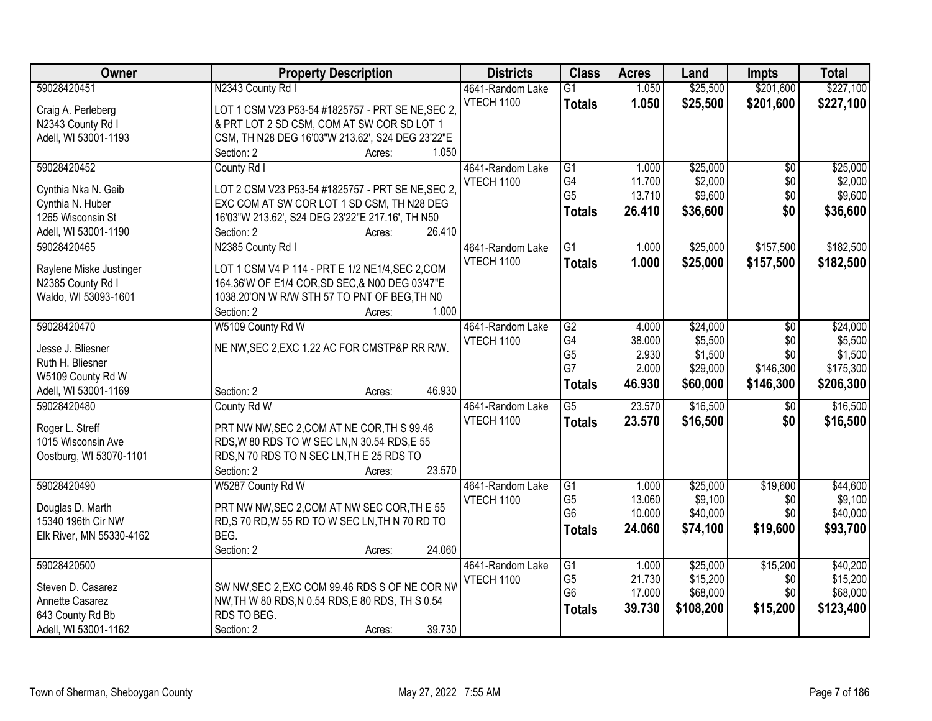| Owner                                 | <b>Property Description</b>                                              | <b>Districts</b>  | <b>Class</b>    | <b>Acres</b> | Land      | <b>Impts</b>    | <b>Total</b> |
|---------------------------------------|--------------------------------------------------------------------------|-------------------|-----------------|--------------|-----------|-----------------|--------------|
| 59028420451                           | N2343 County Rd I                                                        | 4641-Random Lake  | $\overline{G1}$ | 1.050        | \$25,500  | \$201,600       | \$227,100    |
| Craig A. Perleberg                    | LOT 1 CSM V23 P53-54 #1825757 - PRT SE NE, SEC 2.                        | VTECH 1100        | <b>Totals</b>   | 1.050        | \$25,500  | \$201,600       | \$227,100    |
| N2343 County Rd I                     | & PRT LOT 2 SD CSM, COM AT SW COR SD LOT 1                               |                   |                 |              |           |                 |              |
| Adell, WI 53001-1193                  | CSM, TH N28 DEG 16'03"W 213.62', S24 DEG 23'22"E                         |                   |                 |              |           |                 |              |
|                                       | 1.050<br>Section: 2<br>Acres:                                            |                   |                 |              |           |                 |              |
| 59028420452                           | County Rd I                                                              | 4641-Random Lake  | $\overline{G1}$ | 1.000        | \$25,000  | $\overline{50}$ | \$25,000     |
|                                       |                                                                          | <b>VTECH 1100</b> | G4              | 11.700       | \$2,000   | \$0             | \$2,000      |
| Cynthia Nka N. Geib                   | LOT 2 CSM V23 P53-54 #1825757 - PRT SE NE, SEC 2,                        |                   | G <sub>5</sub>  | 13.710       | \$9,600   | \$0             | \$9,600      |
| Cynthia N. Huber<br>1265 Wisconsin St | EXC COM AT SW COR LOT 1 SD CSM, TH N28 DEG                               |                   | <b>Totals</b>   | 26.410       | \$36,600  | \$0             | \$36,600     |
| Adell, WI 53001-1190                  | 16'03"W 213.62', S24 DEG 23'22"E 217.16', TH N50<br>26.410<br>Section: 2 |                   |                 |              |           |                 |              |
| 59028420465                           | Acres:<br>N2385 County Rd I                                              | 4641-Random Lake  | $\overline{G1}$ | 1.000        | \$25,000  | \$157,500       | \$182,500    |
|                                       |                                                                          | VTECH 1100        |                 |              |           |                 |              |
| Raylene Miske Justinger               | LOT 1 CSM V4 P 114 - PRT E 1/2 NE1/4, SEC 2, COM                         |                   | <b>Totals</b>   | 1.000        | \$25,000  | \$157,500       | \$182,500    |
| N2385 County Rd I                     | 164.36'W OF E1/4 COR, SD SEC, & N00 DEG 03'47"E                          |                   |                 |              |           |                 |              |
| Waldo, WI 53093-1601                  | 1038.20'ON W R/W STH 57 TO PNT OF BEG, TH N0                             |                   |                 |              |           |                 |              |
|                                       | 1.000<br>Section: 2<br>Acres:                                            |                   |                 |              |           |                 |              |
| 59028420470                           | W5109 County Rd W                                                        | 4641-Random Lake  | $\overline{G2}$ | 4.000        | \$24,000  | \$0             | \$24,000     |
| Jesse J. Bliesner                     | NE NW, SEC 2, EXC 1.22 AC FOR CMSTP&P RR R/W.                            | VTECH 1100        | G4              | 38.000       | \$5,500   | \$0             | \$5,500      |
| Ruth H. Bliesner                      |                                                                          |                   | G <sub>5</sub>  | 2.930        | \$1,500   | \$0             | \$1,500      |
| W5109 County Rd W                     |                                                                          |                   | G7              | 2.000        | \$29,000  | \$146,300       | \$175,300    |
| Adell, WI 53001-1169                  | 46.930<br>Section: 2<br>Acres:                                           |                   | <b>Totals</b>   | 46.930       | \$60,000  | \$146,300       | \$206,300    |
| 59028420480                           | County Rd W                                                              | 4641-Random Lake  | $\overline{G5}$ | 23.570       | \$16,500  | $\sqrt[6]{}$    | \$16,500     |
|                                       |                                                                          | <b>VTECH 1100</b> | <b>Totals</b>   | 23,570       | \$16,500  | \$0             | \$16,500     |
| Roger L. Streff                       | PRT NW NW, SEC 2, COM AT NE COR, TH S 99.46                              |                   |                 |              |           |                 |              |
| 1015 Wisconsin Ave                    | RDS, W 80 RDS TO W SEC LN, N 30.54 RDS, E 55                             |                   |                 |              |           |                 |              |
| Oostburg, WI 53070-1101               | RDS, N 70 RDS TO N SEC LN, TH E 25 RDS TO                                |                   |                 |              |           |                 |              |
|                                       | 23.570<br>Section: 2<br>Acres:                                           |                   |                 |              |           |                 |              |
| 59028420490                           | W5287 County Rd W                                                        | 4641-Random Lake  | $\overline{G1}$ | 1.000        | \$25,000  | \$19,600        | \$44,600     |
| Douglas D. Marth                      | PRT NW NW, SEC 2, COM AT NW SEC COR, TH E 55                             | <b>VTECH 1100</b> | G <sub>5</sub>  | 13.060       | \$9,100   | \$0             | \$9,100      |
| 15340 196th Cir NW                    | RD, S 70 RD, W 55 RD TO W SEC LN, TH N 70 RD TO                          |                   | G <sub>6</sub>  | 10.000       | \$40,000  | \$0             | \$40,000     |
| Elk River, MN 55330-4162              | BEG.                                                                     |                   | <b>Totals</b>   | 24.060       | \$74,100  | \$19,600        | \$93,700     |
|                                       | 24.060<br>Section: 2<br>Acres:                                           |                   |                 |              |           |                 |              |
| 59028420500                           |                                                                          | 4641-Random Lake  | G1              | 1.000        | \$25,000  | \$15,200        | \$40,200     |
|                                       |                                                                          | <b>VTECH 1100</b> | G <sub>5</sub>  | 21.730       | \$15,200  | \$0             | \$15,200     |
| Steven D. Casarez                     | SW NW, SEC 2, EXC COM 99.46 RDS S OF NE COR NW                           |                   | G <sub>6</sub>  | 17.000       | \$68,000  | \$0             | \$68,000     |
| Annette Casarez                       | NW, TH W 80 RDS, N 0.54 RDS, E 80 RDS, TH S 0.54                         |                   | <b>Totals</b>   | 39.730       | \$108,200 | \$15,200        | \$123,400    |
| 643 County Rd Bb                      | RDS TO BEG.                                                              |                   |                 |              |           |                 |              |
| Adell, WI 53001-1162                  | 39.730<br>Section: 2<br>Acres:                                           |                   |                 |              |           |                 |              |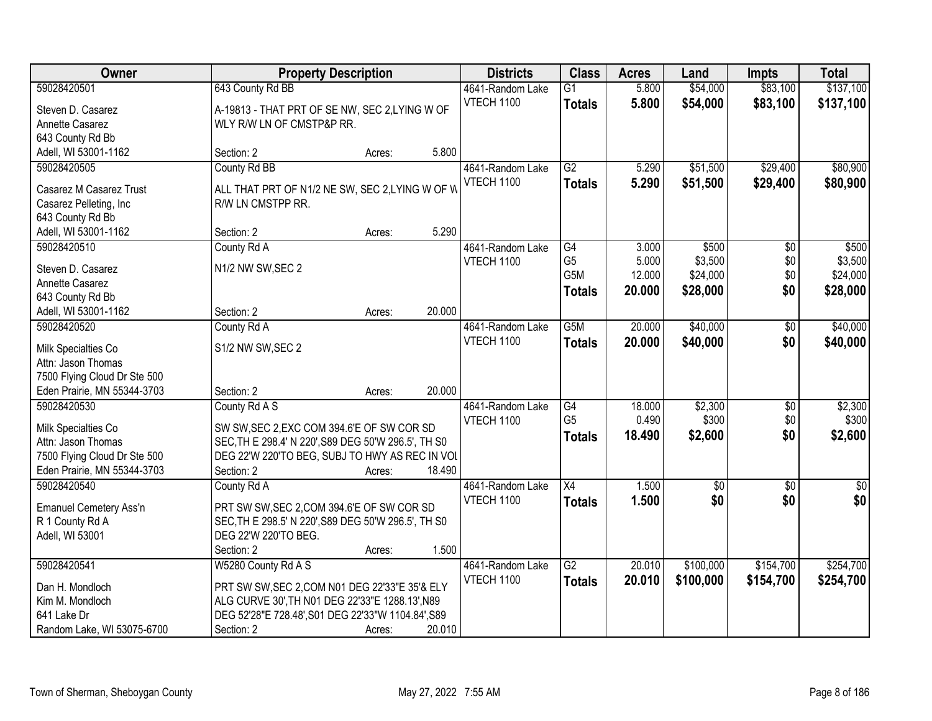| <b>Class</b><br>Owner<br><b>Property Description</b><br><b>Districts</b><br><b>Acres</b><br>Land<br><b>Impts</b>                     | <b>Total</b>               |
|--------------------------------------------------------------------------------------------------------------------------------------|----------------------------|
| 59028420501<br>643 County Rd BB<br>5.800<br>\$54,000<br>\$83,100<br>4641-Random Lake<br>$\overline{G1}$                              | \$137,100                  |
| VTECH 1100<br>5.800<br>\$54,000<br>\$83,100<br><b>Totals</b><br>A-19813 - THAT PRT OF SE NW, SEC 2,LYING W OF<br>Steven D. Casarez   | \$137,100                  |
| Annette Casarez<br>WLY R/W LN OF CMSTP&P RR.                                                                                         |                            |
| 643 County Rd Bb                                                                                                                     |                            |
| 5.800<br>Adell, WI 53001-1162<br>Section: 2<br>Acres:                                                                                |                            |
| \$29,400<br>59028420505<br>County Rd BB<br>$\overline{G2}$<br>5.290<br>\$51,500<br>4641-Random Lake                                  | \$80,900                   |
| <b>VTECH 1100</b><br>5.290<br>\$29,400<br>\$51,500<br><b>Totals</b>                                                                  | \$80,900                   |
| ALL THAT PRT OF N1/2 NE SW, SEC 2,LYING W OF W<br>Casarez M Casarez Trust                                                            |                            |
| Casarez Pelleting, Inc<br>R/W LN CMSTPP RR.                                                                                          |                            |
| 643 County Rd Bb                                                                                                                     |                            |
| 5.290<br>Adell, WI 53001-1162<br>Section: 2<br>Acres:                                                                                |                            |
| 59028420510<br>G4<br>3.000<br>\$500<br>County Rd A<br>4641-Random Lake                                                               | \$500<br>\$0               |
| G <sub>5</sub><br>5.000<br>\$3,500<br><b>VTECH 1100</b><br>N1/2 NW SW, SEC 2<br>Steven D. Casarez                                    | \$0<br>\$3,500             |
| G5M<br>12.000<br>\$24,000<br>Annette Casarez                                                                                         | \$0<br>\$24,000            |
| 20.000<br>\$28,000<br>\$0<br><b>Totals</b><br>643 County Rd Bb                                                                       | \$28,000                   |
| 20.000<br>Adell, WI 53001-1162<br>Section: 2<br>Acres:                                                                               |                            |
| 59028420520<br>G <sub>5</sub> M<br>20.000<br>\$40,000<br>County Rd A<br>4641-Random Lake                                             | \$40,000<br>$\sqrt[6]{3}$  |
| <b>VTECH 1100</b><br>20.000<br>\$40,000<br><b>Totals</b>                                                                             | \$0<br>\$40,000            |
| S1/2 NW SW, SEC 2<br>Milk Specialties Co                                                                                             |                            |
| Attn: Jason Thomas                                                                                                                   |                            |
| 7500 Flying Cloud Dr Ste 500                                                                                                         |                            |
| Eden Prairie, MN 55344-3703<br>20.000<br>Section: 2<br>Acres:                                                                        |                            |
| \$2,300<br>59028420530<br>$\overline{G4}$<br>18.000<br>County Rd A S<br>4641-Random Lake                                             | \$2,300<br>$\overline{50}$ |
| G <sub>5</sub><br>0.490<br>\$300<br><b>VTECH 1100</b><br>Milk Specialties Co<br>SW SW, SEC 2, EXC COM 394.6'E OF SW COR SD           | \$0<br>\$300               |
| \$0<br>18.490<br>\$2,600<br><b>Totals</b><br>Attn: Jason Thomas<br>SEC, TH E 298.4' N 220', S89 DEG 50'W 296.5', TH S0               | \$2,600                    |
| DEG 22'W 220'TO BEG, SUBJ TO HWY AS REC IN VOL<br>7500 Flying Cloud Dr Ste 500                                                       |                            |
| Eden Prairie, MN 55344-3703<br>Section: 2<br>18.490<br>Acres:                                                                        |                            |
| 59028420540<br>$\overline{X4}$<br>1.500<br>$\sqrt{$0}$<br>County Rd A<br>4641-Random Lake                                            | $\sqrt{50}$<br>$\sqrt{6}$  |
| \$0<br>1.500<br><b>VTECH 1100</b><br><b>Totals</b>                                                                                   | \$0 <br>\$0                |
| PRT SW SW, SEC 2, COM 394.6'E OF SW COR SD<br>Emanuel Cemetery Ass'n                                                                 |                            |
| SEC, TH E 298.5' N 220', S89 DEG 50'W 296.5', TH S0<br>R 1 County Rd A                                                               |                            |
| DEG 22'W 220'TO BEG.<br>Adell, WI 53001                                                                                              |                            |
| 1.500<br>Section: 2<br>Acres:                                                                                                        |                            |
| \$154,700<br>59028420541<br>W5280 County Rd A S<br>$\overline{G2}$<br>20.010<br>\$100,000<br>4641-Random Lake                        | \$254,700                  |
| VTECH 1100<br>20.010<br>\$154,700<br>\$100,000<br><b>Totals</b><br>Dan H. Mondloch<br>PRT SW SW, SEC 2, COM N01 DEG 22'33"E 35'& ELY | \$254,700                  |
| ALG CURVE 30', TH N01 DEG 22'33"E 1288.13', N89<br>Kim M. Mondloch                                                                   |                            |
| 641 Lake Dr<br>DEG 52'28"E 728.48', S01 DEG 22'33"W 1104.84', S89                                                                    |                            |
| 20.010<br>Random Lake, WI 53075-6700<br>Section: 2<br>Acres:                                                                         |                            |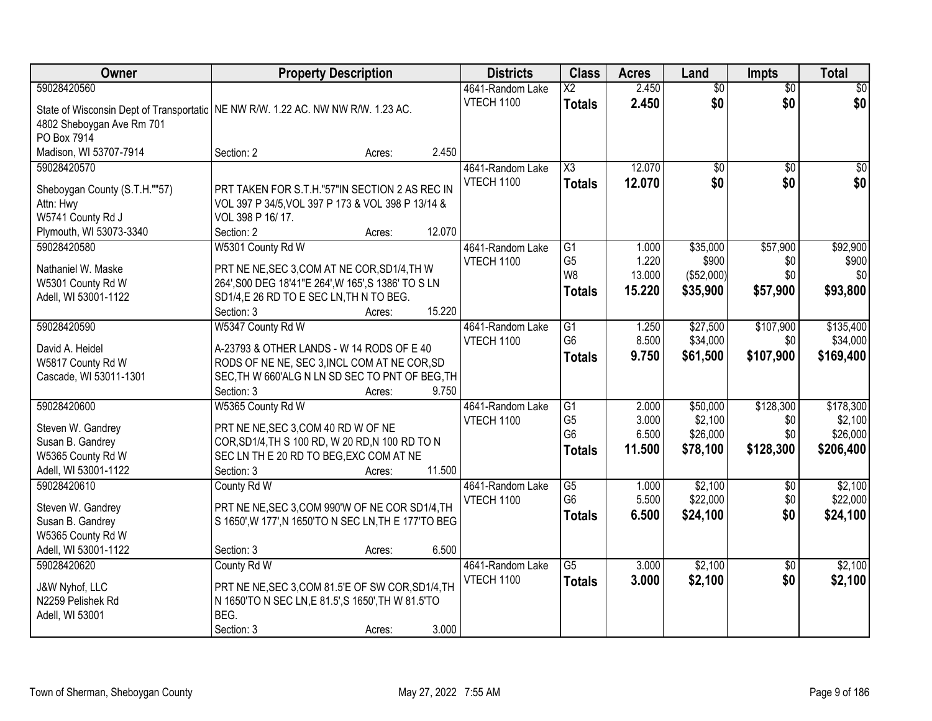| Owner                                                                              | <b>Property Description</b>                           |                  | <b>Districts</b>  | <b>Class</b>           | <b>Acres</b> | Land            | <b>Impts</b>    | <b>Total</b>    |
|------------------------------------------------------------------------------------|-------------------------------------------------------|------------------|-------------------|------------------------|--------------|-----------------|-----------------|-----------------|
| 59028420560                                                                        |                                                       |                  | 4641-Random Lake  | $\overline{\text{X2}}$ | 2.450        | $\overline{50}$ | $\overline{50}$ | $\overline{30}$ |
| State of Wisconsin Dept of Transportatic   NE NW R/W. 1.22 AC. NW NW R/W. 1.23 AC. |                                                       |                  | <b>VTECH 1100</b> | <b>Totals</b>          | 2.450        | \$0             | \$0             | \$0             |
| 4802 Sheboygan Ave Rm 701                                                          |                                                       |                  |                   |                        |              |                 |                 |                 |
| PO Box 7914                                                                        |                                                       |                  |                   |                        |              |                 |                 |                 |
| Madison, WI 53707-7914                                                             | Section: 2                                            | 2.450<br>Acres:  |                   |                        |              |                 |                 |                 |
| 59028420570                                                                        |                                                       |                  | 4641-Random Lake  | $\overline{\text{X3}}$ | 12.070       | \$0             | \$0             | \$0             |
| Sheboygan County (S.T.H.""57)                                                      | PRT TAKEN FOR S.T.H."57"IN SECTION 2 AS REC IN        |                  | <b>VTECH 1100</b> | <b>Totals</b>          | 12.070       | \$0             | \$0             | \$0             |
| Attn: Hwy                                                                          | VOL 397 P 34/5, VOL 397 P 173 & VOL 398 P 13/14 &     |                  |                   |                        |              |                 |                 |                 |
| W5741 County Rd J                                                                  | VOL 398 P 16/17.                                      |                  |                   |                        |              |                 |                 |                 |
| Plymouth, WI 53073-3340                                                            | Section: 2                                            | 12.070<br>Acres: |                   |                        |              |                 |                 |                 |
| 59028420580                                                                        | W5301 County Rd W                                     |                  | 4641-Random Lake  | G1                     | 1.000        | \$35,000        | \$57,900        | \$92,900        |
|                                                                                    |                                                       |                  | <b>VTECH 1100</b> | G <sub>5</sub>         | 1.220        | \$900           | \$0             | \$900           |
| Nathaniel W. Maske                                                                 | PRT NE NE, SEC 3, COM AT NE COR, SD1/4, TH W          |                  |                   | W <sub>8</sub>         | 13.000       | (\$52,000)      | \$0             | $\frac{1}{20}$  |
| W5301 County Rd W                                                                  | 264', S00 DEG 18'41"E 264', W 165', S 1386' TO S LN   |                  |                   | <b>Totals</b>          | 15.220       | \$35,900        | \$57,900        | \$93,800        |
| Adell, WI 53001-1122                                                               | SD1/4,E 26 RD TO E SEC LN, TH N TO BEG.<br>Section: 3 | 15.220<br>Acres: |                   |                        |              |                 |                 |                 |
| 59028420590                                                                        | W5347 County Rd W                                     |                  | 4641-Random Lake  | G1                     | 1.250        | \$27,500        | \$107,900       | \$135,400       |
|                                                                                    |                                                       |                  | <b>VTECH 1100</b> | G <sub>6</sub>         | 8.500        | \$34,000        | \$0             | \$34,000        |
| David A. Heidel                                                                    | A-23793 & OTHER LANDS - W 14 RODS OF E 40             |                  |                   | <b>Totals</b>          | 9.750        | \$61,500        | \$107,900       | \$169,400       |
| W5817 County Rd W                                                                  | RODS OF NE NE, SEC 3, INCL COM AT NE COR, SD          |                  |                   |                        |              |                 |                 |                 |
| Cascade, WI 53011-1301                                                             | SEC, TH W 660'ALG N LN SD SEC TO PNT OF BEG, TH       |                  |                   |                        |              |                 |                 |                 |
|                                                                                    | Section: 3                                            | 9.750<br>Acres:  |                   |                        |              |                 |                 |                 |
| 59028420600                                                                        | W5365 County Rd W                                     |                  | 4641-Random Lake  | $\overline{G1}$        | 2.000        | \$50,000        | \$128,300       | \$178,300       |
| Steven W. Gandrey                                                                  | PRT NE NE, SEC 3, COM 40 RD W OF NE                   |                  | <b>VTECH 1100</b> | G <sub>5</sub>         | 3.000        | \$2,100         | \$0             | \$2,100         |
| Susan B. Gandrey                                                                   | COR, SD1/4, TH S 100 RD, W 20 RD, N 100 RD TO N       |                  |                   | G <sub>6</sub>         | 6.500        | \$26,000        | \$0             | \$26,000        |
| W5365 County Rd W                                                                  | SEC LN TH E 20 RD TO BEG, EXC COM AT NE               |                  |                   | <b>Totals</b>          | 11.500       | \$78,100        | \$128,300       | \$206,400       |
| Adell, WI 53001-1122                                                               | Section: 3                                            | 11.500<br>Acres: |                   |                        |              |                 |                 |                 |
| 59028420610                                                                        | County Rd W                                           |                  | 4641-Random Lake  | $\overline{G5}$        | 1.000        | \$2,100         | \$0             | \$2,100         |
| Steven W. Gandrey                                                                  | PRT NE NE, SEC 3, COM 990'W OF NE COR SD1/4, TH       |                  | <b>VTECH 1100</b> | G <sub>6</sub>         | 5.500        | \$22,000        | \$0             | \$22,000        |
| Susan B. Gandrey                                                                   | S 1650', W 177', N 1650'TO N SEC LN, TH E 177'TO BEG  |                  |                   | <b>Totals</b>          | 6.500        | \$24,100        | \$0             | \$24,100        |
| W5365 County Rd W                                                                  |                                                       |                  |                   |                        |              |                 |                 |                 |
| Adell, WI 53001-1122                                                               | Section: 3                                            | 6.500<br>Acres:  |                   |                        |              |                 |                 |                 |
| 59028420620                                                                        | County Rd W                                           |                  | 4641-Random Lake  | $\overline{G5}$        | 3.000        | \$2,100         | $\overline{50}$ | \$2,100         |
|                                                                                    |                                                       |                  | VTECH 1100        | <b>Totals</b>          | 3.000        | \$2,100         | \$0             | \$2,100         |
| J&W Nyhof, LLC                                                                     | PRT NE NE, SEC 3, COM 81.5'E OF SW COR, SD1/4, TH     |                  |                   |                        |              |                 |                 |                 |
| N2259 Pelishek Rd                                                                  | N 1650'TO N SEC LN, E 81.5', S 1650', TH W 81.5'TO    |                  |                   |                        |              |                 |                 |                 |
| Adell, WI 53001                                                                    | BEG.                                                  |                  |                   |                        |              |                 |                 |                 |
|                                                                                    | Section: 3                                            | 3.000<br>Acres:  |                   |                        |              |                 |                 |                 |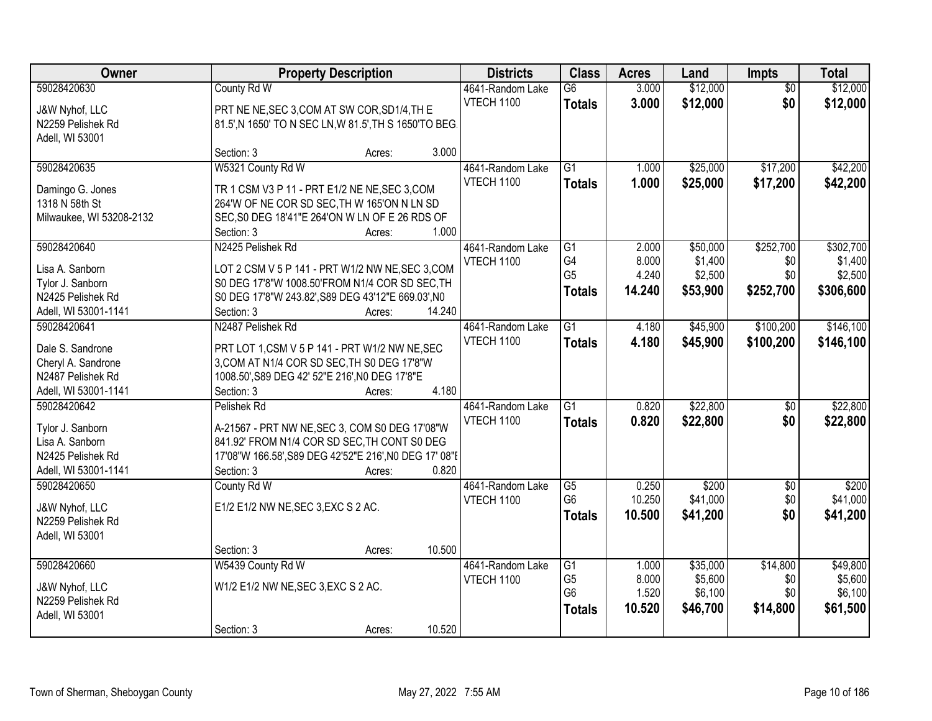| \$12,000<br>\$12,000<br>59028420630<br>County Rd W<br>$\overline{G6}$<br>3.000<br>4641-Random Lake<br>$\overline{50}$<br>\$12,000<br><b>VTECH 1100</b><br>3.000<br>\$0<br>\$12,000<br><b>Totals</b><br>J&W Nyhof, LLC<br>PRT NE NE, SEC 3, COM AT SW COR, SD1/4, TH E<br>N2259 Pelishek Rd<br>81.5', N 1650' TO N SEC LN, W 81.5', TH S 1650'TO BEG.<br>Adell, WI 53001<br>3.000<br>Section: 3<br>Acres:<br>W5321 County Rd W<br>\$25,000<br>\$17,200<br>59028420635<br>4641-Random Lake<br>$\overline{G1}$<br>1.000<br><b>VTECH 1100</b><br>1.000<br>\$25,000<br>\$17,200<br><b>Totals</b><br>TR 1 CSM V3 P 11 - PRT E1/2 NE NE, SEC 3, COM<br>Damingo G. Jones<br>1318 N 58th St<br>264'W OF NE COR SD SEC, TH W 165'ON N LN SD<br>Milwaukee, WI 53208-2132<br>SEC, S0 DEG 18'41"E 264'ON W LN OF E 26 RDS OF<br>1.000<br>Section: 3<br>Acres:<br>\$50,000<br>\$252,700<br>59028420640<br>N2425 Pelishek Rd<br>$\overline{G1}$<br>4641-Random Lake<br>2.000<br>G4<br>8.000<br>\$1,400<br>\$0<br>VTECH 1100<br>LOT 2 CSM V 5 P 141 - PRT W1/2 NW NE, SEC 3, COM<br>Lisa A. Sanborn<br>G <sub>5</sub><br>4.240<br>\$2,500<br>\$0<br>Tylor J. Sanborn<br>S0 DEG 17'8"W 1008.50'FROM N1/4 COR SD SEC, TH<br>14.240<br>\$53,900<br>\$252,700<br><b>Totals</b><br>N2425 Pelishek Rd<br>S0 DEG 17'8"W 243.82', S89 DEG 43'12"E 669.03', N0 |
|---------------------------------------------------------------------------------------------------------------------------------------------------------------------------------------------------------------------------------------------------------------------------------------------------------------------------------------------------------------------------------------------------------------------------------------------------------------------------------------------------------------------------------------------------------------------------------------------------------------------------------------------------------------------------------------------------------------------------------------------------------------------------------------------------------------------------------------------------------------------------------------------------------------------------------------------------------------------------------------------------------------------------------------------------------------------------------------------------------------------------------------------------------------------------------------------------------------------------------------------------------------------------------------------------------------------------------------|
|                                                                                                                                                                                                                                                                                                                                                                                                                                                                                                                                                                                                                                                                                                                                                                                                                                                                                                                                                                                                                                                                                                                                                                                                                                                                                                                                       |
|                                                                                                                                                                                                                                                                                                                                                                                                                                                                                                                                                                                                                                                                                                                                                                                                                                                                                                                                                                                                                                                                                                                                                                                                                                                                                                                                       |
|                                                                                                                                                                                                                                                                                                                                                                                                                                                                                                                                                                                                                                                                                                                                                                                                                                                                                                                                                                                                                                                                                                                                                                                                                                                                                                                                       |
| \$42,200<br>\$42,200<br>\$302,700<br>\$1,400<br>\$2,500<br>\$306,600                                                                                                                                                                                                                                                                                                                                                                                                                                                                                                                                                                                                                                                                                                                                                                                                                                                                                                                                                                                                                                                                                                                                                                                                                                                                  |
|                                                                                                                                                                                                                                                                                                                                                                                                                                                                                                                                                                                                                                                                                                                                                                                                                                                                                                                                                                                                                                                                                                                                                                                                                                                                                                                                       |
|                                                                                                                                                                                                                                                                                                                                                                                                                                                                                                                                                                                                                                                                                                                                                                                                                                                                                                                                                                                                                                                                                                                                                                                                                                                                                                                                       |
|                                                                                                                                                                                                                                                                                                                                                                                                                                                                                                                                                                                                                                                                                                                                                                                                                                                                                                                                                                                                                                                                                                                                                                                                                                                                                                                                       |
|                                                                                                                                                                                                                                                                                                                                                                                                                                                                                                                                                                                                                                                                                                                                                                                                                                                                                                                                                                                                                                                                                                                                                                                                                                                                                                                                       |
|                                                                                                                                                                                                                                                                                                                                                                                                                                                                                                                                                                                                                                                                                                                                                                                                                                                                                                                                                                                                                                                                                                                                                                                                                                                                                                                                       |
|                                                                                                                                                                                                                                                                                                                                                                                                                                                                                                                                                                                                                                                                                                                                                                                                                                                                                                                                                                                                                                                                                                                                                                                                                                                                                                                                       |
|                                                                                                                                                                                                                                                                                                                                                                                                                                                                                                                                                                                                                                                                                                                                                                                                                                                                                                                                                                                                                                                                                                                                                                                                                                                                                                                                       |
|                                                                                                                                                                                                                                                                                                                                                                                                                                                                                                                                                                                                                                                                                                                                                                                                                                                                                                                                                                                                                                                                                                                                                                                                                                                                                                                                       |
|                                                                                                                                                                                                                                                                                                                                                                                                                                                                                                                                                                                                                                                                                                                                                                                                                                                                                                                                                                                                                                                                                                                                                                                                                                                                                                                                       |
|                                                                                                                                                                                                                                                                                                                                                                                                                                                                                                                                                                                                                                                                                                                                                                                                                                                                                                                                                                                                                                                                                                                                                                                                                                                                                                                                       |
|                                                                                                                                                                                                                                                                                                                                                                                                                                                                                                                                                                                                                                                                                                                                                                                                                                                                                                                                                                                                                                                                                                                                                                                                                                                                                                                                       |
| 14.240<br>Adell, WI 53001-1141<br>Section: 3<br>Acres:                                                                                                                                                                                                                                                                                                                                                                                                                                                                                                                                                                                                                                                                                                                                                                                                                                                                                                                                                                                                                                                                                                                                                                                                                                                                                |
| N2487 Pelishek Rd<br>\$45,900<br>\$100,200<br>\$146,100<br>59028420641<br>4641-Random Lake<br>$\overline{G1}$<br>4.180                                                                                                                                                                                                                                                                                                                                                                                                                                                                                                                                                                                                                                                                                                                                                                                                                                                                                                                                                                                                                                                                                                                                                                                                                |
| <b>VTECH 1100</b><br>4.180<br>\$45,900<br>\$100,200<br>\$146,100<br><b>Totals</b><br>Dale S. Sandrone<br>PRT LOT 1,CSM V 5 P 141 - PRT W1/2 NW NE, SEC                                                                                                                                                                                                                                                                                                                                                                                                                                                                                                                                                                                                                                                                                                                                                                                                                                                                                                                                                                                                                                                                                                                                                                                |
| Cheryl A. Sandrone<br>3, COM AT N1/4 COR SD SEC, TH S0 DEG 17'8"W                                                                                                                                                                                                                                                                                                                                                                                                                                                                                                                                                                                                                                                                                                                                                                                                                                                                                                                                                                                                                                                                                                                                                                                                                                                                     |
| N2487 Pelishek Rd<br>1008.50', S89 DEG 42' 52"E 216', N0 DEG 17'8"E                                                                                                                                                                                                                                                                                                                                                                                                                                                                                                                                                                                                                                                                                                                                                                                                                                                                                                                                                                                                                                                                                                                                                                                                                                                                   |
| 4.180<br>Adell, WI 53001-1141<br>Section: 3<br>Acres:                                                                                                                                                                                                                                                                                                                                                                                                                                                                                                                                                                                                                                                                                                                                                                                                                                                                                                                                                                                                                                                                                                                                                                                                                                                                                 |
| \$22,800<br>$\overline{G1}$<br>\$22,800<br>59028420642<br>Pelishek Rd<br>0.820<br>$\overline{50}$<br>4641-Random Lake                                                                                                                                                                                                                                                                                                                                                                                                                                                                                                                                                                                                                                                                                                                                                                                                                                                                                                                                                                                                                                                                                                                                                                                                                 |
| 0.820<br>\$22,800<br>VTECH 1100<br>\$0<br>\$22,800<br><b>Totals</b>                                                                                                                                                                                                                                                                                                                                                                                                                                                                                                                                                                                                                                                                                                                                                                                                                                                                                                                                                                                                                                                                                                                                                                                                                                                                   |
| Tylor J. Sanborn<br>A-21567 - PRT NW NE, SEC 3, COM S0 DEG 17'08"W                                                                                                                                                                                                                                                                                                                                                                                                                                                                                                                                                                                                                                                                                                                                                                                                                                                                                                                                                                                                                                                                                                                                                                                                                                                                    |
| Lisa A. Sanborn<br>841.92' FROM N1/4 COR SD SEC, TH CONT S0 DEG<br>N2425 Pelishek Rd<br>17'08"W 166.58', S89 DEG 42'52"E 216', N0 DEG 17' 08"E                                                                                                                                                                                                                                                                                                                                                                                                                                                                                                                                                                                                                                                                                                                                                                                                                                                                                                                                                                                                                                                                                                                                                                                        |
| 0.820                                                                                                                                                                                                                                                                                                                                                                                                                                                                                                                                                                                                                                                                                                                                                                                                                                                                                                                                                                                                                                                                                                                                                                                                                                                                                                                                 |
| Adell, WI 53001-1141<br>Section: 3<br>Acres:                                                                                                                                                                                                                                                                                                                                                                                                                                                                                                                                                                                                                                                                                                                                                                                                                                                                                                                                                                                                                                                                                                                                                                                                                                                                                          |
| \$200<br>\$200<br>59028420650<br>County Rd W<br>$\overline{G5}$<br>0.250<br>$\overline{50}$<br>4641-Random Lake<br>G <sub>6</sub><br>\$0<br>\$41,000<br>10.250<br>\$41,000                                                                                                                                                                                                                                                                                                                                                                                                                                                                                                                                                                                                                                                                                                                                                                                                                                                                                                                                                                                                                                                                                                                                                            |
| <b>VTECH 1100</b><br>E1/2 E1/2 NW NE, SEC 3, EXC S 2 AC.<br>J&W Nyhof, LLC                                                                                                                                                                                                                                                                                                                                                                                                                                                                                                                                                                                                                                                                                                                                                                                                                                                                                                                                                                                                                                                                                                                                                                                                                                                            |
| \$41,200<br>\$0<br>\$41,200<br>10.500<br><b>Totals</b><br>N2259 Pelishek Rd                                                                                                                                                                                                                                                                                                                                                                                                                                                                                                                                                                                                                                                                                                                                                                                                                                                                                                                                                                                                                                                                                                                                                                                                                                                           |
| Adell, WI 53001                                                                                                                                                                                                                                                                                                                                                                                                                                                                                                                                                                                                                                                                                                                                                                                                                                                                                                                                                                                                                                                                                                                                                                                                                                                                                                                       |
| 10.500<br>Section: 3<br>Acres:                                                                                                                                                                                                                                                                                                                                                                                                                                                                                                                                                                                                                                                                                                                                                                                                                                                                                                                                                                                                                                                                                                                                                                                                                                                                                                        |
| 59028420660<br>W5439 County Rd W<br>\$35,000<br>\$14,800<br>\$49,800<br>4641-Random Lake<br>$\overline{G1}$<br>1.000                                                                                                                                                                                                                                                                                                                                                                                                                                                                                                                                                                                                                                                                                                                                                                                                                                                                                                                                                                                                                                                                                                                                                                                                                  |
| G <sub>5</sub><br>8.000<br>\$5,600<br>\$5,600<br>VTECH 1100<br>\$0<br>W1/2 E1/2 NW NE, SEC 3, EXC S 2 AC.<br>J&W Nyhof, LLC                                                                                                                                                                                                                                                                                                                                                                                                                                                                                                                                                                                                                                                                                                                                                                                                                                                                                                                                                                                                                                                                                                                                                                                                           |
| G <sub>6</sub><br>\$6,100<br>1.520<br>\$6,100<br>\$0<br>N2259 Pelishek Rd                                                                                                                                                                                                                                                                                                                                                                                                                                                                                                                                                                                                                                                                                                                                                                                                                                                                                                                                                                                                                                                                                                                                                                                                                                                             |
| 10.520<br>\$46,700<br>\$14,800<br>\$61,500<br><b>Totals</b><br>Adell, WI 53001                                                                                                                                                                                                                                                                                                                                                                                                                                                                                                                                                                                                                                                                                                                                                                                                                                                                                                                                                                                                                                                                                                                                                                                                                                                        |
| 10.520<br>Section: 3<br>Acres:                                                                                                                                                                                                                                                                                                                                                                                                                                                                                                                                                                                                                                                                                                                                                                                                                                                                                                                                                                                                                                                                                                                                                                                                                                                                                                        |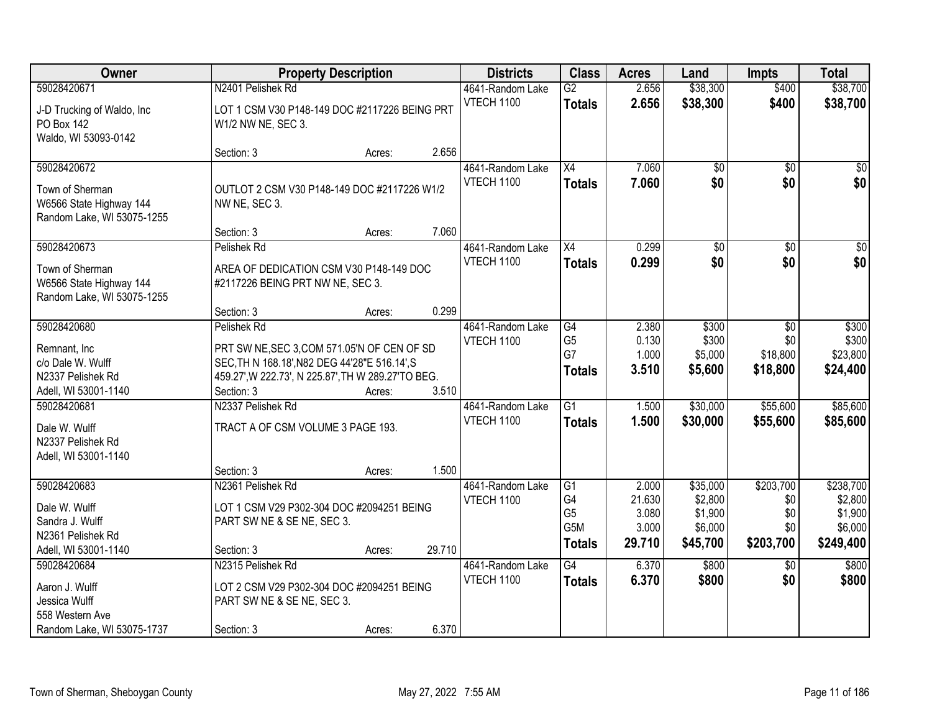| Owner                            |                                                    | <b>Property Description</b> |        | <b>Districts</b>                      | <b>Class</b>     | <b>Acres</b> | Land            | <b>Impts</b>    | <b>Total</b>    |
|----------------------------------|----------------------------------------------------|-----------------------------|--------|---------------------------------------|------------------|--------------|-----------------|-----------------|-----------------|
| 59028420671                      | N2401 Pelishek Rd                                  |                             |        | 4641-Random Lake                      | $\overline{G2}$  | 2.656        | \$38,300        | \$400           | \$38,700        |
| J-D Trucking of Waldo, Inc       | LOT 1 CSM V30 P148-149 DOC #2117226 BEING PRT      |                             |        | <b>VTECH 1100</b>                     | <b>Totals</b>    | 2.656        | \$38,300        | \$400           | \$38,700        |
| PO Box 142                       | W1/2 NW NE, SEC 3.                                 |                             |        |                                       |                  |              |                 |                 |                 |
| Waldo, WI 53093-0142             |                                                    |                             | 2.656  |                                       |                  |              |                 |                 |                 |
| 59028420672                      | Section: 3                                         | Acres:                      |        |                                       | $\overline{X4}$  | 7.060        |                 |                 |                 |
|                                  |                                                    |                             |        | 4641-Random Lake<br><b>VTECH 1100</b> |                  |              | \$0             | \$0             | \$0             |
| Town of Sherman                  | OUTLOT 2 CSM V30 P148-149 DOC #2117226 W1/2        |                             |        |                                       | <b>Totals</b>    | 7.060        | \$0             | \$0             | \$0             |
| W6566 State Highway 144          | NW NE, SEC 3.                                      |                             |        |                                       |                  |              |                 |                 |                 |
| Random Lake, WI 53075-1255       |                                                    |                             |        |                                       |                  |              |                 |                 |                 |
|                                  | Section: 3                                         | Acres:                      | 7.060  |                                       |                  |              |                 |                 |                 |
| 59028420673                      | Pelishek Rd                                        |                             |        | 4641-Random Lake                      | $\overline{X4}$  | 0.299        | $\overline{50}$ | \$0             | $\overline{50}$ |
| Town of Sherman                  | AREA OF DEDICATION CSM V30 P148-149 DOC            |                             |        | <b>VTECH 1100</b>                     | <b>Totals</b>    | 0.299        | \$0             | \$0             | \$0             |
| W6566 State Highway 144          | #2117226 BEING PRT NW NE, SEC 3.                   |                             |        |                                       |                  |              |                 |                 |                 |
| Random Lake, WI 53075-1255       |                                                    |                             |        |                                       |                  |              |                 |                 |                 |
|                                  | Section: 3                                         | Acres:                      | 0.299  |                                       |                  |              |                 |                 |                 |
| 59028420680                      | Pelishek Rd                                        |                             |        | 4641-Random Lake                      | G4               | 2.380        | \$300           | \$0             | \$300           |
| Remnant, Inc                     | PRT SW NE, SEC 3, COM 571.05'N OF CEN OF SD        |                             |        | <b>VTECH 1100</b>                     | G <sub>5</sub>   | 0.130        | \$300           | \$0             | \$300           |
| c/o Dale W. Wulff                | SEC, TH N 168.18', N82 DEG 44'28"E 516.14', S      |                             |        |                                       | G7               | 1.000        | \$5,000         | \$18,800        | \$23,800        |
| N2337 Pelishek Rd                | 459.27', W 222.73', N 225.87', TH W 289.27'TO BEG. |                             |        |                                       | <b>Totals</b>    | 3.510        | \$5,600         | \$18,800        | \$24,400        |
| Adell, WI 53001-1140             | Section: 3                                         | Acres:                      | 3.510  |                                       |                  |              |                 |                 |                 |
| 59028420681                      | N2337 Pelishek Rd                                  |                             |        | 4641-Random Lake                      | $\overline{G1}$  | 1.500        | \$30,000        | \$55,600        | \$85,600        |
| Dale W. Wulff                    | TRACT A OF CSM VOLUME 3 PAGE 193.                  |                             |        | VTECH 1100                            | <b>Totals</b>    | 1.500        | \$30,000        | \$55,600        | \$85,600        |
| N2337 Pelishek Rd                |                                                    |                             |        |                                       |                  |              |                 |                 |                 |
| Adell, WI 53001-1140             |                                                    |                             |        |                                       |                  |              |                 |                 |                 |
|                                  | Section: 3                                         | Acres:                      | 1.500  |                                       |                  |              |                 |                 |                 |
| 59028420683                      | N2361 Pelishek Rd                                  |                             |        | 4641-Random Lake                      | $\overline{G1}$  | 2.000        | \$35,000        | \$203,700       | \$238,700       |
| Dale W. Wulff                    | LOT 1 CSM V29 P302-304 DOC #2094251 BEING          |                             |        | <b>VTECH 1100</b>                     | G4               | 21.630       | \$2,800         | \$0             | \$2,800         |
| Sandra J. Wulff                  | PART SW NE & SE NE, SEC 3.                         |                             |        |                                       | G <sub>5</sub>   | 3.080        | \$1,900         | \$0             | \$1,900         |
| N2361 Pelishek Rd                |                                                    |                             |        |                                       | G <sub>5</sub> M | 3.000        | \$6,000         | \$0             | \$6,000         |
| Adell, WI 53001-1140             | Section: 3                                         | Acres:                      | 29.710 |                                       | <b>Totals</b>    | 29.710       | \$45,700        | \$203,700       | \$249,400       |
| 59028420684                      | N2315 Pelishek Rd                                  |                             |        | 4641-Random Lake                      | $\overline{G4}$  | 6.370        | \$800           | $\overline{50}$ | \$800           |
|                                  |                                                    |                             |        | <b>VTECH 1100</b>                     | <b>Totals</b>    | 6.370        | \$800           | \$0             | \$800           |
| Aaron J. Wulff                   | LOT 2 CSM V29 P302-304 DOC #2094251 BEING          |                             |        |                                       |                  |              |                 |                 |                 |
| Jessica Wulff<br>558 Western Ave | PART SW NE & SE NE, SEC 3.                         |                             |        |                                       |                  |              |                 |                 |                 |
| Random Lake, WI 53075-1737       | Section: 3                                         | Acres:                      | 6.370  |                                       |                  |              |                 |                 |                 |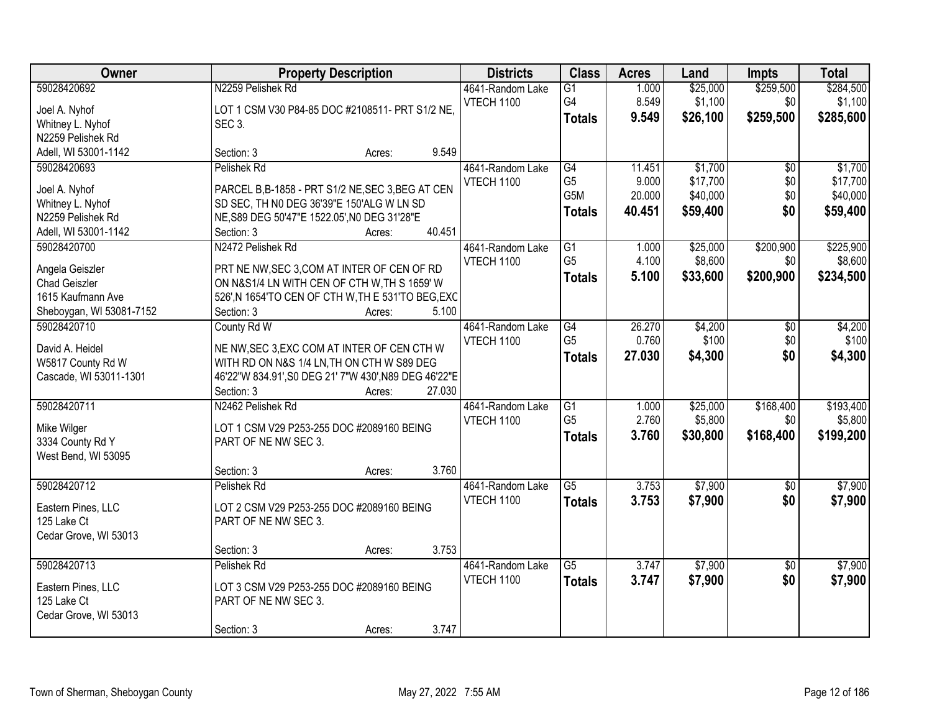| Owner                                                                                            | <b>Property Description</b>                                                                                                                                                                    | <b>Districts</b>                               | <b>Class</b>                                              | <b>Acres</b>                        | Land                                        | Impts                                | <b>Total</b>                                |
|--------------------------------------------------------------------------------------------------|------------------------------------------------------------------------------------------------------------------------------------------------------------------------------------------------|------------------------------------------------|-----------------------------------------------------------|-------------------------------------|---------------------------------------------|--------------------------------------|---------------------------------------------|
| 59028420692<br>Joel A. Nyhof<br>Whitney L. Nyhof<br>N2259 Pelishek Rd                            | N2259 Pelishek Rd<br>LOT 1 CSM V30 P84-85 DOC #2108511- PRT S1/2 NE,<br>SEC <sub>3</sub> .                                                                                                     | 4641-Random Lake<br>VTECH 1100                 | $\overline{G1}$<br>G4<br><b>Totals</b>                    | 1.000<br>8.549<br>9.549             | \$25,000<br>\$1,100<br>\$26,100             | \$259,500<br>\$0<br>\$259,500        | \$284,500<br>\$1,100<br>\$285,600           |
| Adell, WI 53001-1142                                                                             | Section: 3<br>Acres:                                                                                                                                                                           | 9.549                                          |                                                           |                                     |                                             |                                      |                                             |
| 59028420693<br>Joel A. Nyhof<br>Whitney L. Nyhof<br>N2259 Pelishek Rd<br>Adell, WI 53001-1142    | Pelishek Rd<br>PARCEL B,B-1858 - PRT S1/2 NE, SEC 3, BEG AT CEN<br>SD SEC, TH N0 DEG 36'39"E 150'ALG W LN SD<br>NE, S89 DEG 50'47"E 1522.05', N0 DEG 31'28"E<br>Section: 3<br>Acres:           | 4641-Random Lake<br>VTECH 1100<br>40.451       | G4<br>G <sub>5</sub><br>G <sub>5</sub> M<br><b>Totals</b> | 11.451<br>9.000<br>20.000<br>40.451 | \$1,700<br>\$17,700<br>\$40,000<br>\$59,400 | $\overline{50}$<br>\$0<br>\$0<br>\$0 | \$1,700<br>\$17,700<br>\$40,000<br>\$59,400 |
| 59028420700<br>Angela Geiszler<br>Chad Geiszler<br>1615 Kaufmann Ave<br>Sheboygan, WI 53081-7152 | N2472 Pelishek Rd<br>PRT NE NW, SEC 3, COM AT INTER OF CEN OF RD<br>ON N&S1/4 LN WITH CEN OF CTH W, TH S 1659' W<br>526', N 1654'TO CEN OF CTH W, TH E 531'TO BEG, EXC<br>Section: 3<br>Acres: | 4641-Random Lake<br>VTECH 1100<br>5.100        | G1<br>G <sub>5</sub><br><b>Totals</b>                     | 1.000<br>4.100<br>5.100             | \$25,000<br>\$8,600<br>\$33,600             | \$200,900<br>\$0<br>\$200,900        | \$225,900<br>\$8,600<br>\$234,500           |
| 59028420710<br>David A. Heidel<br>W5817 County Rd W<br>Cascade, WI 53011-1301                    | County Rd W<br>NE NW, SEC 3, EXC COM AT INTER OF CEN CTH W<br>WITH RD ON N&S 1/4 LN, TH ON CTH W S89 DEG<br>46'22"W 834.91', S0 DEG 21' 7"W 430', N89 DEG 46'22"E<br>Section: 3<br>Acres:      | 4641-Random Lake<br>VTECH 1100<br>27.030       | G4<br>G <sub>5</sub><br><b>Totals</b>                     | 26.270<br>0.760<br>27.030           | \$4,200<br>\$100<br>\$4,300                 | \$0<br>\$0<br>\$0                    | \$4,200<br>\$100<br>\$4,300                 |
| 59028420711<br>Mike Wilger<br>3334 County Rd Y<br>West Bend, WI 53095                            | N2462 Pelishek Rd<br>LOT 1 CSM V29 P253-255 DOC #2089160 BEING<br>PART OF NE NW SEC 3.<br>Section: 3<br>Acres:                                                                                 | 4641-Random Lake<br><b>VTECH 1100</b><br>3.760 | $\overline{G1}$<br>G <sub>5</sub><br><b>Totals</b>        | 1.000<br>2.760<br>3.760             | \$25,000<br>\$5,800<br>\$30,800             | \$168,400<br>\$0<br>\$168,400        | \$193,400<br>\$5,800<br>\$199,200           |
| 59028420712<br>Eastern Pines, LLC<br>125 Lake Ct<br>Cedar Grove, WI 53013                        | Pelishek Rd<br>LOT 2 CSM V29 P253-255 DOC #2089160 BEING<br>PART OF NE NW SEC 3.<br>Section: 3<br>Acres:                                                                                       | 4641-Random Lake<br><b>VTECH 1100</b><br>3.753 | $\overline{G5}$<br><b>Totals</b>                          | 3.753<br>3.753                      | \$7,900<br>\$7,900                          | $\overline{50}$<br>\$0               | \$7,900<br>\$7,900                          |
| 59028420713<br>Eastern Pines, LLC<br>125 Lake Ct<br>Cedar Grove, WI 53013                        | Pelishek Rd<br>LOT 3 CSM V29 P253-255 DOC #2089160 BEING<br>PART OF NE NW SEC 3.<br>Section: 3<br>Acres:                                                                                       | 4641-Random Lake<br>VTECH 1100<br>3.747        | $\overline{G5}$<br><b>Totals</b>                          | 3.747<br>3.747                      | \$7,900<br>\$7,900                          | $\overline{50}$<br>\$0               | \$7,900<br>\$7,900                          |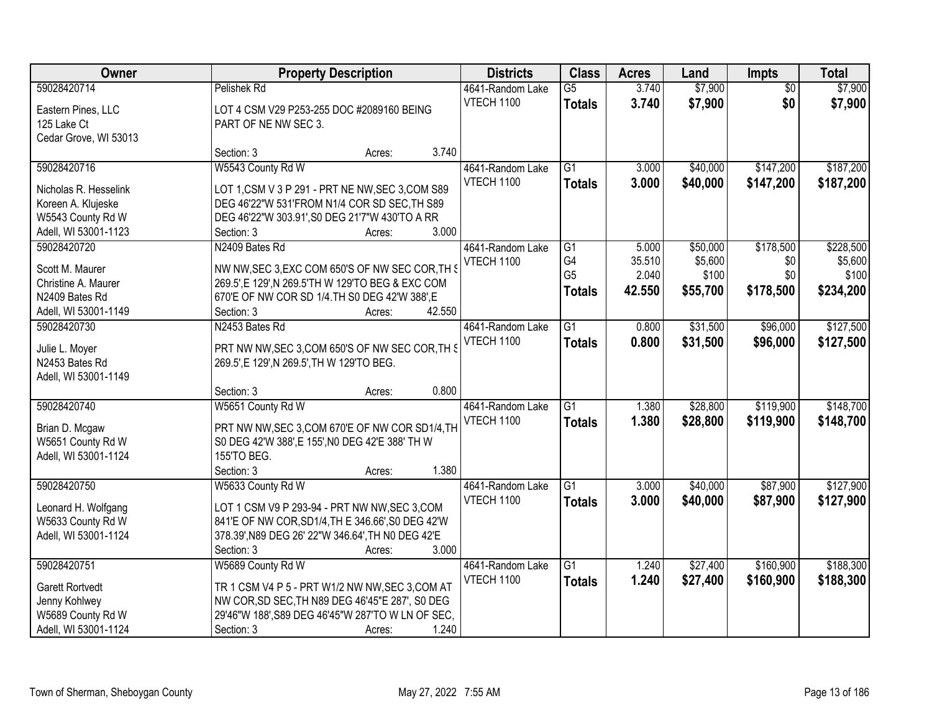| Owner                  | <b>Property Description</b>                       | <b>Districts</b>  | <b>Class</b>    | <b>Acres</b> | Land     | <b>Impts</b>    | <b>Total</b> |
|------------------------|---------------------------------------------------|-------------------|-----------------|--------------|----------|-----------------|--------------|
| 59028420714            | <b>Pelishek Rd</b>                                | 4641-Random Lake  | $\overline{G5}$ | 3.740        | \$7,900  | $\overline{50}$ | \$7,900      |
| Eastern Pines, LLC     | LOT 4 CSM V29 P253-255 DOC #2089160 BEING         | VTECH 1100        | <b>Totals</b>   | 3.740        | \$7,900  | \$0             | \$7,900      |
| 125 Lake Ct            | PART OF NE NW SEC 3.                              |                   |                 |              |          |                 |              |
| Cedar Grove, WI 53013  |                                                   |                   |                 |              |          |                 |              |
|                        | 3.740<br>Section: 3<br>Acres:                     |                   |                 |              |          |                 |              |
| 59028420716            | W5543 County Rd W                                 | 4641-Random Lake  | $\overline{G1}$ | 3.000        | \$40,000 | \$147,200       | \$187,200    |
| Nicholas R. Hesselink  | LOT 1, CSM V 3 P 291 - PRT NE NW, SEC 3, COM S89  | <b>VTECH 1100</b> | <b>Totals</b>   | 3.000        | \$40,000 | \$147,200       | \$187,200    |
| Koreen A. Klujeske     | DEG 46'22"W 531'FROM N1/4 COR SD SEC, TH S89      |                   |                 |              |          |                 |              |
| W5543 County Rd W      | DEG 46'22"W 303.91', S0 DEG 21'7"W 430'TO A RR    |                   |                 |              |          |                 |              |
| Adell, WI 53001-1123   | 3.000<br>Section: 3<br>Acres:                     |                   |                 |              |          |                 |              |
| 59028420720            | N2409 Bates Rd                                    | 4641-Random Lake  | $\overline{G1}$ | 5.000        | \$50,000 | \$178,500       | \$228,500    |
| Scott M. Maurer        | NW NW, SEC 3, EXC COM 650'S OF NW SEC COR, TH S   | VTECH 1100        | G4              | 35.510       | \$5,600  | \$0             | \$5,600      |
| Christine A. Maurer    | 269.5', E 129', N 269.5'TH W 129'TO BEG & EXC COM |                   | G <sub>5</sub>  | 2.040        | \$100    | \$0             | \$100        |
| N2409 Bates Rd         | 670'E OF NW COR SD 1/4.TH S0 DEG 42'W 388',E      |                   | <b>Totals</b>   | 42.550       | \$55,700 | \$178,500       | \$234,200    |
| Adell, WI 53001-1149   | 42.550<br>Section: 3<br>Acres:                    |                   |                 |              |          |                 |              |
| 59028420730            | N2453 Bates Rd                                    | 4641-Random Lake  | G1              | 0.800        | \$31,500 | \$96,000        | \$127,500    |
|                        |                                                   | VTECH 1100        |                 | 0.800        |          |                 |              |
| Julie L. Moyer         | PRT NW NW, SEC 3, COM 650'S OF NW SEC COR, TH S   |                   | <b>Totals</b>   |              | \$31,500 | \$96,000        | \$127,500    |
| N2453 Bates Rd         | 269.5', E 129', N 269.5', TH W 129'TO BEG.        |                   |                 |              |          |                 |              |
| Adell, WI 53001-1149   |                                                   |                   |                 |              |          |                 |              |
|                        | 0.800<br>Section: 3<br>Acres:                     |                   |                 |              |          |                 |              |
| 59028420740            | W5651 County Rd W                                 | 4641-Random Lake  | $\overline{G1}$ | 1.380        | \$28,800 | \$119,900       | \$148,700    |
| Brian D. Mcgaw         | PRT NW NW, SEC 3, COM 670'E OF NW COR SD1/4, TH   | <b>VTECH 1100</b> | <b>Totals</b>   | 1.380        | \$28,800 | \$119,900       | \$148,700    |
| W5651 County Rd W      | S0 DEG 42'W 388', E 155', N0 DEG 42'E 388' TH W   |                   |                 |              |          |                 |              |
| Adell, WI 53001-1124   | 155'TO BEG.                                       |                   |                 |              |          |                 |              |
|                        | 1.380<br>Section: 3<br>Acres:                     |                   |                 |              |          |                 |              |
| 59028420750            | W5633 County Rd W                                 | 4641-Random Lake  | $\overline{G1}$ | 3.000        | \$40,000 | \$87,900        | \$127,900    |
|                        |                                                   | VTECH 1100        | <b>Totals</b>   | 3.000        | \$40,000 | \$87,900        | \$127,900    |
| Leonard H. Wolfgang    | LOT 1 CSM V9 P 293-94 - PRT NW NW, SEC 3, COM     |                   |                 |              |          |                 |              |
| W5633 County Rd W      | 841'E OF NW COR, SD1/4, TH E 346.66', S0 DEG 42'W |                   |                 |              |          |                 |              |
| Adell, WI 53001-1124   | 378.39', N89 DEG 26' 22"W 346.64', TH N0 DEG 42'E |                   |                 |              |          |                 |              |
|                        | 3.000<br>Section: 3<br>Acres:                     |                   |                 |              |          |                 |              |
| 59028420751            | W5689 County Rd W                                 | 4641-Random Lake  | $\overline{G1}$ | 1.240        | \$27,400 | \$160,900       | \$188,300    |
| <b>Garett Rortvedt</b> | TR 1 CSM V4 P 5 - PRT W1/2 NW NW, SEC 3, COM AT   | <b>VTECH 1100</b> | <b>Totals</b>   | 1.240        | \$27,400 | \$160,900       | \$188,300    |
| Jenny Kohlwey          | NW COR, SD SEC, TH N89 DEG 46'45"E 287', S0 DEG   |                   |                 |              |          |                 |              |
| W5689 County Rd W      | 29'46"W 188', S89 DEG 46'45"W 287'TO W LN OF SEC, |                   |                 |              |          |                 |              |
| Adell, WI 53001-1124   | 1.240<br>Section: 3<br>Acres:                     |                   |                 |              |          |                 |              |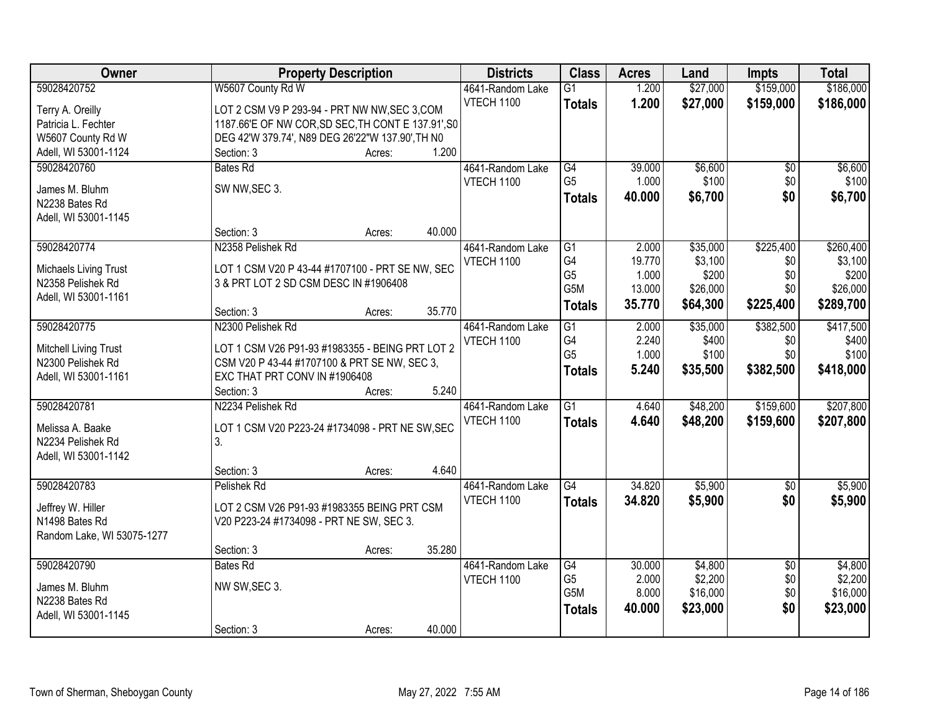| Owner                      | <b>Property Description</b>                        | <b>Districts</b>  | <b>Class</b>    | <b>Acres</b> | Land     | <b>Impts</b>    | <b>Total</b> |
|----------------------------|----------------------------------------------------|-------------------|-----------------|--------------|----------|-----------------|--------------|
| 59028420752                | W5607 County Rd W                                  | 4641-Random Lake  | $\overline{G1}$ | 1.200        | \$27,000 | \$159,000       | \$186,000    |
| Terry A. Oreilly           | LOT 2 CSM V9 P 293-94 - PRT NW NW, SEC 3, COM      | <b>VTECH 1100</b> | <b>Totals</b>   | 1.200        | \$27,000 | \$159,000       | \$186,000    |
| Patricia L. Fechter        | 1187.66'E OF NW COR, SD SEC, TH CONT E 137.91', S0 |                   |                 |              |          |                 |              |
| W5607 County Rd W          | DEG 42'W 379.74', N89 DEG 26'22"W 137.90', TH N0   |                   |                 |              |          |                 |              |
| Adell, WI 53001-1124       | 1.200<br>Section: 3<br>Acres:                      |                   |                 |              |          |                 |              |
| 59028420760                | <b>Bates Rd</b>                                    | 4641-Random Lake  | G4              | 39.000       | \$6,600  | $\overline{50}$ | \$6,600      |
|                            |                                                    | <b>VTECH 1100</b> | G <sub>5</sub>  | 1.000        | \$100    | \$0             | \$100        |
| James M. Bluhm             | SW NW, SEC 3.                                      |                   | <b>Totals</b>   | 40.000       | \$6,700  | \$0             | \$6,700      |
| N2238 Bates Rd             |                                                    |                   |                 |              |          |                 |              |
| Adell, WI 53001-1145       |                                                    |                   |                 |              |          |                 |              |
|                            | 40.000<br>Section: 3<br>Acres:                     |                   |                 |              |          |                 |              |
| 59028420774                | N2358 Pelishek Rd                                  | 4641-Random Lake  | G1              | 2.000        | \$35,000 | \$225,400       | \$260,400    |
| Michaels Living Trust      | LOT 1 CSM V20 P 43-44 #1707100 - PRT SE NW, SEC    | <b>VTECH 1100</b> | G4              | 19.770       | \$3,100  | \$0             | \$3,100      |
| N2358 Pelishek Rd          | 3 & PRT LOT 2 SD CSM DESC IN #1906408              |                   | G <sub>5</sub>  | 1.000        | \$200    | \$0             | \$200        |
| Adell, WI 53001-1161       |                                                    |                   | G5M             | 13.000       | \$26,000 | \$0             | \$26,000     |
|                            | 35.770<br>Section: 3<br>Acres:                     |                   | <b>Totals</b>   | 35.770       | \$64,300 | \$225,400       | \$289,700    |
| 59028420775                | N2300 Pelishek Rd                                  | 4641-Random Lake  | G1              | 2.000        | \$35,000 | \$382,500       | \$417,500    |
|                            |                                                    | <b>VTECH 1100</b> | G4              | 2.240        | \$400    | \$0             | \$400        |
| Mitchell Living Trust      | LOT 1 CSM V26 P91-93 #1983355 - BEING PRT LOT 2    |                   | G <sub>5</sub>  | 1.000        | \$100    | \$0             | \$100        |
| N2300 Pelishek Rd          | CSM V20 P 43-44 #1707100 & PRT SE NW, SEC 3,       |                   | <b>Totals</b>   | 5.240        | \$35,500 | \$382,500       | \$418,000    |
| Adell, WI 53001-1161       | EXC THAT PRT CONV IN #1906408                      |                   |                 |              |          |                 |              |
|                            | 5.240<br>Section: 3<br>Acres:                      |                   |                 |              |          |                 |              |
| 59028420781                | N2234 Pelishek Rd                                  | 4641-Random Lake  | $\overline{G1}$ | 4.640        | \$48,200 | \$159,600       | \$207,800    |
| Melissa A. Baake           | LOT 1 CSM V20 P223-24 #1734098 - PRT NE SW, SEC    | <b>VTECH 1100</b> | Totals          | 4.640        | \$48,200 | \$159,600       | \$207,800    |
| N2234 Pelishek Rd          | 3.                                                 |                   |                 |              |          |                 |              |
| Adell, WI 53001-1142       |                                                    |                   |                 |              |          |                 |              |
|                            | 4.640<br>Section: 3<br>Acres:                      |                   |                 |              |          |                 |              |
| 59028420783                | Pelishek Rd                                        | 4641-Random Lake  | $\overline{G4}$ | 34.820       | \$5,900  | $\overline{50}$ | \$5,900      |
| Jeffrey W. Hiller          | LOT 2 CSM V26 P91-93 #1983355 BEING PRT CSM        | <b>VTECH 1100</b> | <b>Totals</b>   | 34.820       | \$5,900  | \$0             | \$5,900      |
| N1498 Bates Rd             | V20 P223-24 #1734098 - PRT NE SW, SEC 3.           |                   |                 |              |          |                 |              |
| Random Lake, WI 53075-1277 |                                                    |                   |                 |              |          |                 |              |
|                            | 35.280<br>Section: 3<br>Acres:                     |                   |                 |              |          |                 |              |
| 59028420790                | <b>Bates Rd</b>                                    | 4641-Random Lake  | G4              | 30.000       | \$4,800  | $\overline{50}$ | \$4,800      |
|                            |                                                    | <b>VTECH 1100</b> | G <sub>5</sub>  | 2.000        | \$2,200  | \$0             | \$2,200      |
| James M. Bluhm             | NW SW, SEC 3.                                      |                   | G5M             | 8.000        | \$16,000 | \$0             | \$16,000     |
| N2238 Bates Rd             |                                                    |                   |                 | 40.000       | \$23,000 | \$0             | \$23,000     |
| Adell, WI 53001-1145       |                                                    |                   | <b>Totals</b>   |              |          |                 |              |
|                            | 40.000<br>Section: 3<br>Acres:                     |                   |                 |              |          |                 |              |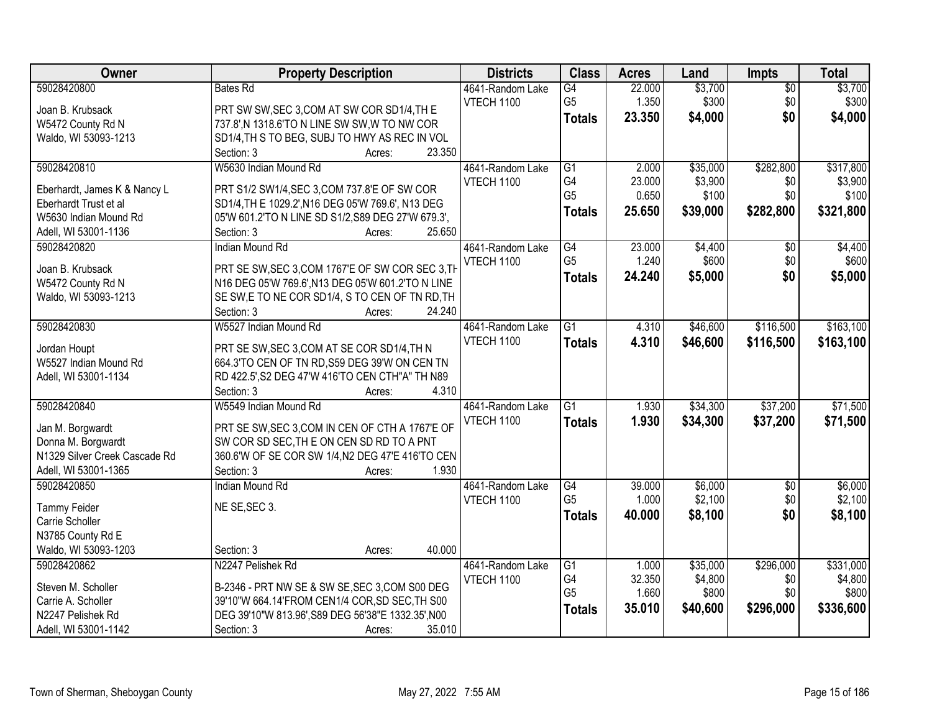| Owner                                          | <b>Property Description</b>                                                                             | <b>Districts</b>  | <b>Class</b>    | <b>Acres</b> | Land     | <b>Impts</b>    | <b>Total</b> |
|------------------------------------------------|---------------------------------------------------------------------------------------------------------|-------------------|-----------------|--------------|----------|-----------------|--------------|
| 59028420800                                    | <b>Bates Rd</b>                                                                                         | 4641-Random Lake  | G4              | 22.000       | \$3,700  | $\overline{50}$ | \$3,700      |
| Joan B. Krubsack                               | PRT SW SW, SEC 3, COM AT SW COR SD1/4, TH E                                                             | <b>VTECH 1100</b> | G <sub>5</sub>  | 1.350        | \$300    | \$0             | \$300        |
| W5472 County Rd N                              | 737.8', N 1318.6'TO N LINE SW SW, W TO NW COR                                                           |                   | <b>Totals</b>   | 23.350       | \$4,000  | \$0             | \$4,000      |
| Waldo, WI 53093-1213                           | SD1/4, TH S TO BEG, SUBJ TO HWY AS REC IN VOL                                                           |                   |                 |              |          |                 |              |
|                                                | 23.350<br>Section: 3<br>Acres:                                                                          |                   |                 |              |          |                 |              |
| 59028420810                                    | W5630 Indian Mound Rd                                                                                   | 4641-Random Lake  | $\overline{G1}$ | 2.000        | \$35,000 | \$282,800       | \$317,800    |
|                                                |                                                                                                         | <b>VTECH 1100</b> | G4              | 23.000       | \$3,900  | \$0             | \$3,900      |
| Eberhardt, James K & Nancy L                   | PRT S1/2 SW1/4, SEC 3, COM 737.8'E OF SW COR                                                            |                   | G <sub>5</sub>  | 0.650        | \$100    | \$0             | \$100        |
| Eberhardt Trust et al<br>W5630 Indian Mound Rd | SD1/4, TH E 1029.2', N16 DEG 05'W 769.6', N13 DEG<br>05'W 601.2'TO N LINE SD S1/2, S89 DEG 27'W 679.3', |                   | <b>Totals</b>   | 25.650       | \$39,000 | \$282,800       | \$321,800    |
| Adell, WI 53001-1136                           | Section: 3<br>25.650<br>Acres:                                                                          |                   |                 |              |          |                 |              |
| 59028420820                                    | <b>Indian Mound Rd</b>                                                                                  | 4641-Random Lake  | $\overline{G4}$ | 23.000       | \$4,400  | \$0             | \$4,400      |
|                                                |                                                                                                         | <b>VTECH 1100</b> | G <sub>5</sub>  | 1.240        | \$600    | \$0             | \$600        |
| Joan B. Krubsack                               | PRT SE SW, SEC 3, COM 1767'E OF SW COR SEC 3, TH                                                        |                   |                 | 24.240       | \$5,000  | \$0             | \$5,000      |
| W5472 County Rd N                              | N16 DEG 05'W 769.6', N13 DEG 05'W 601.2'TO N LINE                                                       |                   | <b>Totals</b>   |              |          |                 |              |
| Waldo, WI 53093-1213                           | SE SW, E TO NE COR SD1/4, S TO CEN OF TN RD, TH                                                         |                   |                 |              |          |                 |              |
|                                                | 24.240<br>Section: 3<br>Acres:                                                                          |                   |                 |              |          |                 |              |
| 59028420830                                    | W5527 Indian Mound Rd                                                                                   | 4641-Random Lake  | G1              | 4.310        | \$46,600 | \$116,500       | \$163,100    |
| Jordan Houpt                                   | PRT SE SW, SEC 3, COM AT SE COR SD1/4, TH N                                                             | VTECH 1100        | <b>Totals</b>   | 4.310        | \$46,600 | \$116,500       | \$163,100    |
| W5527 Indian Mound Rd                          | 664.3'TO CEN OF TN RD, S59 DEG 39'W ON CEN TN                                                           |                   |                 |              |          |                 |              |
| Adell, WI 53001-1134                           | RD 422.5', S2 DEG 47'W 416'TO CEN CTH"A" TH N89                                                         |                   |                 |              |          |                 |              |
|                                                | Section: 3<br>4.310<br>Acres:                                                                           |                   |                 |              |          |                 |              |
| 59028420840                                    | W5549 Indian Mound Rd                                                                                   | 4641-Random Lake  | G1              | 1.930        | \$34,300 | \$37,200        | \$71,500     |
|                                                |                                                                                                         | VTECH 1100        | <b>Totals</b>   | 1.930        | \$34,300 | \$37,200        | \$71,500     |
| Jan M. Borgwardt                               | PRT SE SW, SEC 3, COM IN CEN OF CTH A 1767'E OF                                                         |                   |                 |              |          |                 |              |
| Donna M. Borgwardt                             | SW COR SD SEC, THE ON CEN SD RD TO A PNT                                                                |                   |                 |              |          |                 |              |
| N1329 Silver Creek Cascade Rd                  | 360.6'W OF SE COR SW 1/4, N2 DEG 47'E 416'TO CEN                                                        |                   |                 |              |          |                 |              |
| Adell, WI 53001-1365                           | 1.930<br>Section: 3<br>Acres:                                                                           |                   |                 |              |          |                 |              |
| 59028420850                                    | <b>Indian Mound Rd</b>                                                                                  | 4641-Random Lake  | G4              | 39.000       | \$6,000  | $\sqrt{6}$      | \$6,000      |
| <b>Tammy Feider</b>                            | NE SE, SEC 3.                                                                                           | VTECH 1100        | G <sub>5</sub>  | 1.000        | \$2,100  | \$0             | \$2,100      |
| Carrie Scholler                                |                                                                                                         |                   | <b>Totals</b>   | 40.000       | \$8,100  | \$0             | \$8,100      |
| N3785 County Rd E                              |                                                                                                         |                   |                 |              |          |                 |              |
| Waldo, WI 53093-1203                           | 40.000<br>Section: 3<br>Acres:                                                                          |                   |                 |              |          |                 |              |
| 59028420862                                    | N2247 Pelishek Rd                                                                                       | 4641-Random Lake  | $\overline{G1}$ | 1.000        | \$35,000 | \$296,000       | \$331,000    |
|                                                |                                                                                                         | VTECH 1100        | G4              | 32.350       | \$4,800  | \$0             | \$4,800      |
| Steven M. Scholler                             | B-2346 - PRT NW SE & SW SE, SEC 3, COM S00 DEG                                                          |                   | G <sub>5</sub>  | 1.660        | \$800    | \$0             | \$800        |
| Carrie A. Scholler                             | 39'10"W 664.14'FROM CEN1/4 COR, SD SEC, TH S00                                                          |                   | <b>Totals</b>   | 35.010       | \$40,600 | \$296,000       | \$336,600    |
| N2247 Pelishek Rd                              | DEG 39'10"W 813.96', S89 DEG 56'38"E 1332.35', N00                                                      |                   |                 |              |          |                 |              |
| Adell, WI 53001-1142                           | 35.010<br>Section: 3<br>Acres:                                                                          |                   |                 |              |          |                 |              |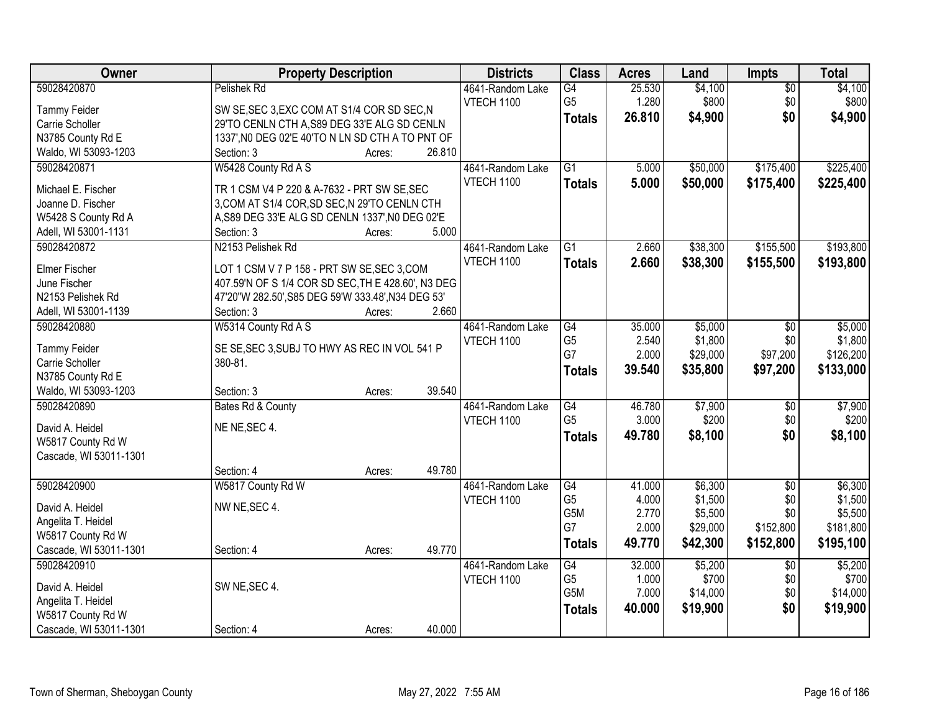| Owner                  | <b>Property Description</b>                        |        |        | <b>Districts</b>  | <b>Class</b>     | <b>Acres</b> | Land     | <b>Impts</b>    | <b>Total</b> |
|------------------------|----------------------------------------------------|--------|--------|-------------------|------------------|--------------|----------|-----------------|--------------|
| 59028420870            | Pelishek Rd                                        |        |        | 4641-Random Lake  | $\overline{G4}$  | 25.530       | \$4,100  | $\overline{50}$ | \$4,100      |
| <b>Tammy Feider</b>    | SW SE, SEC 3, EXC COM AT S1/4 COR SD SEC, N        |        |        | VTECH 1100        | G <sub>5</sub>   | 1.280        | \$800    | \$0             | \$800        |
| Carrie Scholler        | 29'TO CENLN CTH A, S89 DEG 33'E ALG SD CENLN       |        |        |                   | <b>Totals</b>    | 26.810       | \$4,900  | \$0             | \$4,900      |
| N3785 County Rd E      | 1337', NO DEG 02'E 40'TO N LN SD CTH A TO PNT OF   |        |        |                   |                  |              |          |                 |              |
| Waldo, WI 53093-1203   | Section: 3                                         | Acres: | 26.810 |                   |                  |              |          |                 |              |
| 59028420871            | W5428 County Rd A S                                |        |        | 4641-Random Lake  | $\overline{G1}$  | 5.000        | \$50,000 | \$175,400       | \$225,400    |
|                        |                                                    |        |        | <b>VTECH 1100</b> | <b>Totals</b>    | 5.000        | \$50,000 | \$175,400       | \$225,400    |
| Michael E. Fischer     | TR 1 CSM V4 P 220 & A-7632 - PRT SW SE, SEC        |        |        |                   |                  |              |          |                 |              |
| Joanne D. Fischer      | 3, COM AT S1/4 COR, SD SEC, N 29'TO CENLN CTH      |        |        |                   |                  |              |          |                 |              |
| W5428 S County Rd A    | A, S89 DEG 33'E ALG SD CENLN 1337', N0 DEG 02'E    |        |        |                   |                  |              |          |                 |              |
| Adell, WI 53001-1131   | Section: 3                                         | Acres: | 5.000  |                   |                  |              |          |                 |              |
| 59028420872            | N2153 Pelishek Rd                                  |        |        | 4641-Random Lake  | $\overline{G1}$  | 2.660        | \$38,300 | \$155,500       | \$193,800    |
| <b>Elmer Fischer</b>   | LOT 1 CSM V 7 P 158 - PRT SW SE, SEC 3, COM        |        |        | VTECH 1100        | <b>Totals</b>    | 2.660        | \$38,300 | \$155,500       | \$193,800    |
| June Fischer           | 407.59'N OF S 1/4 COR SD SEC, TH E 428.60', N3 DEG |        |        |                   |                  |              |          |                 |              |
| N2153 Pelishek Rd      | 47'20"W 282.50', S85 DEG 59'W 333.48', N34 DEG 53' |        |        |                   |                  |              |          |                 |              |
| Adell, WI 53001-1139   | Section: 3                                         | Acres: | 2.660  |                   |                  |              |          |                 |              |
| 59028420880            | W5314 County Rd A S                                |        |        | 4641-Random Lake  | G4               | 35.000       | \$5,000  | $\overline{50}$ | \$5,000      |
|                        |                                                    |        |        | <b>VTECH 1100</b> | G <sub>5</sub>   | 2.540        | \$1,800  | \$0             | \$1,800      |
| <b>Tammy Feider</b>    | SE SE, SEC 3, SUBJ TO HWY AS REC IN VOL 541 P      |        |        |                   | G7               | 2.000        | \$29,000 | \$97,200        | \$126,200    |
| Carrie Scholler        | 380-81.                                            |        |        |                   | <b>Totals</b>    | 39.540       | \$35,800 | \$97,200        | \$133,000    |
| N3785 County Rd E      |                                                    |        |        |                   |                  |              |          |                 |              |
| Waldo, WI 53093-1203   | Section: 3                                         | Acres: | 39.540 |                   |                  |              |          |                 |              |
| 59028420890            | Bates Rd & County                                  |        |        | 4641-Random Lake  | $\overline{G4}$  | 46.780       | \$7,900  | \$0             | \$7,900      |
| David A. Heidel        | NE NE, SEC 4.                                      |        |        | <b>VTECH 1100</b> | G <sub>5</sub>   | 3.000        | \$200    | \$0             | \$200        |
| W5817 County Rd W      |                                                    |        |        |                   | <b>Totals</b>    | 49.780       | \$8,100  | \$0             | \$8,100      |
| Cascade, WI 53011-1301 |                                                    |        |        |                   |                  |              |          |                 |              |
|                        | Section: 4                                         | Acres: | 49.780 |                   |                  |              |          |                 |              |
| 59028420900            | W5817 County Rd W                                  |        |        | 4641-Random Lake  | $\overline{G4}$  | 41.000       | \$6,300  | $\overline{60}$ | \$6,300      |
|                        |                                                    |        |        | <b>VTECH 1100</b> | G <sub>5</sub>   | 4.000        | \$1,500  | \$0             | \$1,500      |
| David A. Heidel        | NW NE, SEC 4.                                      |        |        |                   | G5M              | 2.770        | \$5,500  | \$0             | \$5,500      |
| Angelita T. Heidel     |                                                    |        |        |                   | G7               | 2.000        | \$29,000 | \$152,800       | \$181,800    |
| W5817 County Rd W      |                                                    |        |        |                   | <b>Totals</b>    | 49.770       | \$42,300 | \$152,800       | \$195,100    |
| Cascade, WI 53011-1301 | Section: 4                                         | Acres: | 49.770 |                   |                  |              |          |                 |              |
| 59028420910            |                                                    |        |        | 4641-Random Lake  | G4               | 32.000       | \$5,200  | $\overline{30}$ | \$5,200      |
| David A. Heidel        | SW NE, SEC 4.                                      |        |        | <b>VTECH 1100</b> | G <sub>5</sub>   | 1.000        | \$700    | \$0             | \$700        |
| Angelita T. Heidel     |                                                    |        |        |                   | G <sub>5</sub> M | 7.000        | \$14,000 | \$0             | \$14,000     |
| W5817 County Rd W      |                                                    |        |        |                   | <b>Totals</b>    | 40.000       | \$19,900 | \$0             | \$19,900     |
| Cascade, WI 53011-1301 | Section: 4                                         | Acres: | 40.000 |                   |                  |              |          |                 |              |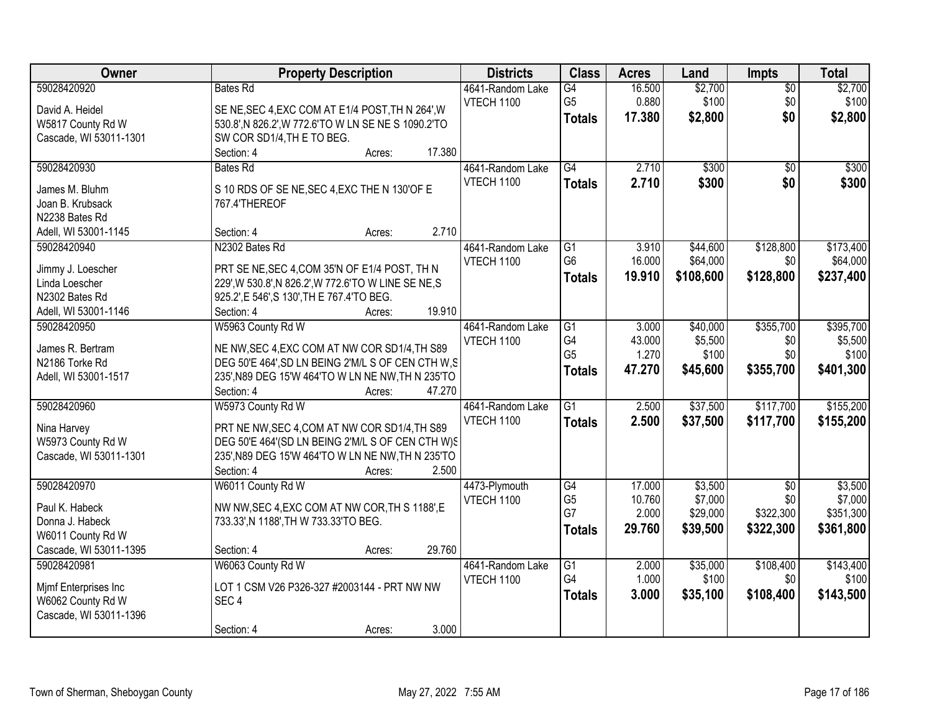| Owner                              | <b>Property Description</b>                                                                         | <b>Districts</b>                      | <b>Class</b>         | <b>Acres</b> | Land      | <b>Impts</b>    | <b>Total</b> |
|------------------------------------|-----------------------------------------------------------------------------------------------------|---------------------------------------|----------------------|--------------|-----------|-----------------|--------------|
| 59028420920                        | <b>Bates Rd</b>                                                                                     | 4641-Random Lake                      | G4                   | 16.500       | \$2,700   | $\overline{50}$ | \$2,700      |
| David A. Heidel                    | SE NE, SEC 4, EXC COM AT E1/4 POST, TH N 264', W                                                    | VTECH 1100                            | G <sub>5</sub>       | 0.880        | \$100     | \$0             | \$100        |
| W5817 County Rd W                  | 530.8', N 826.2', W 772.6'TO W LN SE NE S 1090.2'TO                                                 |                                       | <b>Totals</b>        | 17.380       | \$2,800   | \$0             | \$2,800      |
| Cascade, WI 53011-1301             | SW COR SD1/4, THE TO BEG.                                                                           |                                       |                      |              |           |                 |              |
|                                    | 17.380<br>Section: 4<br>Acres:                                                                      |                                       |                      |              |           |                 |              |
| 59028420930                        | Bates Rd                                                                                            | 4641-Random Lake                      | G4                   | 2.710        | \$300     | $\overline{50}$ | \$300        |
|                                    |                                                                                                     | <b>VTECH 1100</b>                     | <b>Totals</b>        | 2.710        | \$300     | \$0             | \$300        |
| James M. Bluhm                     | S 10 RDS OF SE NE, SEC 4, EXC THE N 130'OF E                                                        |                                       |                      |              |           |                 |              |
| Joan B. Krubsack                   | 767.4'THEREOF                                                                                       |                                       |                      |              |           |                 |              |
| N2238 Bates Rd                     | 2.710                                                                                               |                                       |                      |              |           |                 |              |
| Adell, WI 53001-1145               | Section: 4<br>Acres:                                                                                |                                       |                      |              |           |                 |              |
| 59028420940                        | N2302 Bates Rd                                                                                      | 4641-Random Lake                      | G1<br>G <sub>6</sub> | 3.910        | \$44,600  | \$128,800       | \$173,400    |
| Jimmy J. Loescher                  | PRT SE NE, SEC 4, COM 35'N OF E1/4 POST, TH N                                                       | <b>VTECH 1100</b>                     |                      | 16.000       | \$64,000  | \$0             | \$64,000     |
| Linda Loescher                     | 229', W 530.8', N 826.2', W 772.6' TO W LINE SE NE, S                                               |                                       | <b>Totals</b>        | 19.910       | \$108,600 | \$128,800       | \$237,400    |
| N2302 Bates Rd                     | 925.2', E 546', S 130', TH E 767.4' TO BEG.                                                         |                                       |                      |              |           |                 |              |
| Adell, WI 53001-1146               | 19.910<br>Section: 4<br>Acres:                                                                      |                                       |                      |              |           |                 |              |
| 59028420950                        | W5963 County Rd W                                                                                   | 4641-Random Lake                      | G1                   | 3.000        | \$40,000  | \$355,700       | \$395,700    |
|                                    |                                                                                                     | VTECH 1100                            | G4                   | 43.000       | \$5,500   | \$0             | \$5,500      |
| James R. Bertram<br>N2186 Torke Rd | NE NW, SEC 4, EXC COM AT NW COR SD1/4, TH S89<br>DEG 50'E 464', SD LN BEING 2'M/L S OF CEN CTH W, S |                                       | G <sub>5</sub>       | 1.270        | \$100     | \$0             | \$100        |
|                                    |                                                                                                     |                                       | <b>Totals</b>        | 47.270       | \$45,600  | \$355,700       | \$401,300    |
| Adell, WI 53001-1517               | 235', N89 DEG 15'W 464'TO W LN NE NW, TH N 235'TO<br>Section: 4<br>47.270                           |                                       |                      |              |           |                 |              |
| 59028420960                        | Acres:<br>W5973 County Rd W                                                                         |                                       | $\overline{G1}$      | 2.500        | \$37,500  | \$117,700       | \$155,200    |
|                                    |                                                                                                     | 4641-Random Lake<br><b>VTECH 1100</b> |                      |              |           |                 |              |
| Nina Harvey                        | PRT NE NW, SEC 4, COM AT NW COR SD1/4, TH S89                                                       |                                       | <b>Totals</b>        | 2.500        | \$37,500  | \$117,700       | \$155,200    |
| W5973 County Rd W                  | DEG 50'E 464'(SD LN BEING 2'M/L S OF CEN CTH W)S                                                    |                                       |                      |              |           |                 |              |
| Cascade, WI 53011-1301             | 235', N89 DEG 15'W 464'TO W LN NE NW, TH N 235'TO                                                   |                                       |                      |              |           |                 |              |
|                                    | Section: 4<br>2.500<br>Acres:                                                                       |                                       |                      |              |           |                 |              |
| 59028420970                        | W6011 County Rd W                                                                                   | 4473-Plymouth                         | G4                   | 17.000       | \$3,500   | $\overline{50}$ | \$3,500      |
| Paul K. Habeck                     | NW NW, SEC 4, EXC COM AT NW COR, TH S 1188', E                                                      | VTECH 1100                            | G <sub>5</sub>       | 10.760       | \$7,000   | \$0             | \$7,000      |
| Donna J. Habeck                    | 733.33', N 1188', TH W 733.33'TO BEG.                                                               |                                       | G7                   | 2.000        | \$29,000  | \$322,300       | \$351,300    |
| W6011 County Rd W                  |                                                                                                     |                                       | <b>Totals</b>        | 29.760       | \$39,500  | \$322,300       | \$361,800    |
| Cascade, WI 53011-1395             | 29.760<br>Section: 4<br>Acres:                                                                      |                                       |                      |              |           |                 |              |
| 59028420981                        | W6063 County Rd W                                                                                   | 4641-Random Lake                      | G1                   | 2.000        | \$35,000  | \$108,400       | \$143,400    |
|                                    |                                                                                                     | <b>VTECH 1100</b>                     | G4                   | 1.000        | \$100     | \$0             | \$100        |
| Mjmf Enterprises Inc               | LOT 1 CSM V26 P326-327 #2003144 - PRT NW NW                                                         |                                       | <b>Totals</b>        | 3.000        | \$35,100  | \$108,400       | \$143,500    |
| W6062 County Rd W                  | SEC <sub>4</sub>                                                                                    |                                       |                      |              |           |                 |              |
| Cascade, WI 53011-1396             |                                                                                                     |                                       |                      |              |           |                 |              |
|                                    | 3.000<br>Section: 4<br>Acres:                                                                       |                                       |                      |              |           |                 |              |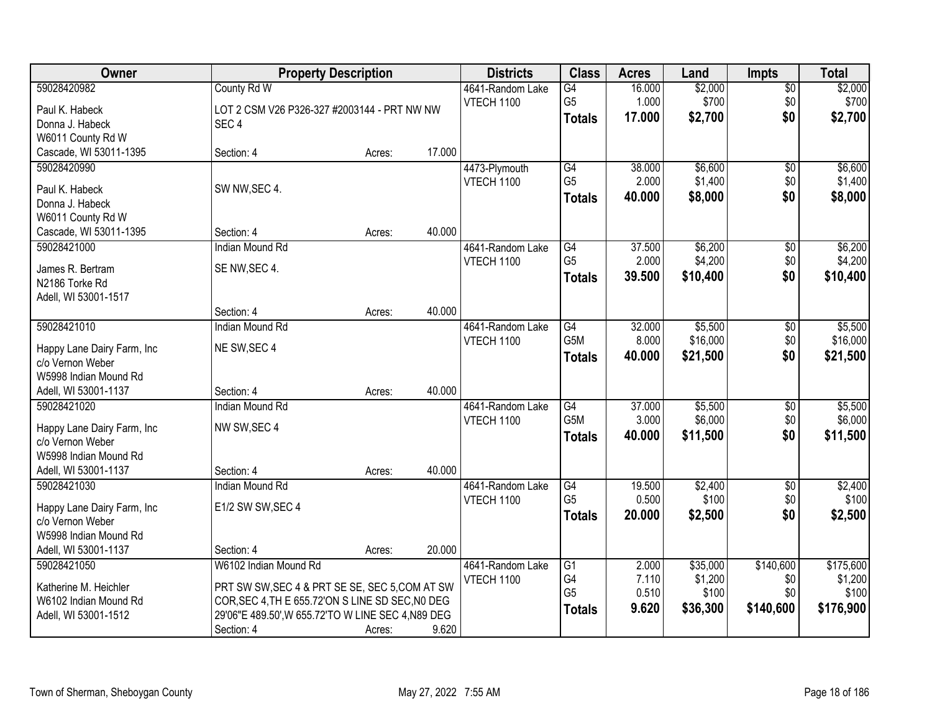| 59028420982<br>County Rd W<br>16.000<br>\$2,000<br>$\overline{$0}$<br>\$2,000<br>4641-Random Lake<br>G4<br>G <sub>5</sub><br>\$700<br>\$700<br>1.000<br>\$0<br>VTECH 1100<br>Paul K. Habeck<br>LOT 2 CSM V26 P326-327 #2003144 - PRT NW NW<br>17.000<br>\$2,700<br>\$0<br>\$2,700<br><b>Totals</b><br>Donna J. Habeck<br>SEC <sub>4</sub><br>W6011 County Rd W<br>Cascade, WI 53011-1395<br>17.000<br>Section: 4<br>Acres:<br>\$6,600<br>59028420990<br>4473-Plymouth<br>G4<br>38.000<br>$\overline{50}$<br>G <sub>5</sub><br>2.000<br>\$1,400<br>\$0<br>\$1,400<br><b>VTECH 1100</b><br>SW NW, SEC 4.<br>Paul K. Habeck<br>\$0<br>\$8,000<br>40.000<br>\$8,000<br><b>Totals</b><br>Donna J. Habeck<br>W6011 County Rd W<br>40.000<br>Cascade, WI 53011-1395<br>Section: 4<br>Acres:<br>Indian Mound Rd<br>37.500<br>\$6,200<br>59028421000<br>4641-Random Lake<br>G4<br>\$0<br>G <sub>5</sub><br>2.000<br>\$4,200<br>\$0<br><b>VTECH 1100</b><br>SE NW, SEC 4.<br>James R. Bertram<br>\$0<br>39.500<br>\$10,400<br>\$10,400<br><b>Totals</b><br>N2186 Torke Rd<br>Adell, WI 53001-1517<br>40.000<br>Section: 4<br>Acres:<br>59028421010<br><b>Indian Mound Rd</b><br>32.000<br>\$5,500<br>G4<br>\$0<br>4641-Random Lake<br>G <sub>5</sub> M<br>\$16,000<br>8.000<br>\$0<br><b>VTECH 1100</b><br>NE SW, SEC 4<br>Happy Lane Dairy Farm, Inc<br>\$0<br>40.000<br>\$21,500<br><b>Totals</b><br>c/o Vernon Weber<br>W5998 Indian Mound Rd<br>40.000<br>Adell, WI 53001-1137<br>Section: 4<br>Acres:<br>59028421020<br>$\overline{G4}$<br>37.000<br>\$5,500<br><b>Indian Mound Rd</b><br>\$0<br>4641-Random Lake<br>G <sub>5</sub> M<br>3.000<br>\$6,000<br>\$0<br><b>VTECH 1100</b><br>NW SW, SEC 4<br>Happy Lane Dairy Farm, Inc<br>\$0<br>40.000<br>\$11,500<br>\$11,500<br><b>Totals</b><br>c/o Vernon Weber<br>W5998 Indian Mound Rd<br>40.000<br>Adell, WI 53001-1137<br>Section: 4<br>Acres:<br>G4<br>19.500<br>\$2,400<br>59028421030<br><b>Indian Mound Rd</b><br>4641-Random Lake<br>$\sqrt{6}$<br>G <sub>5</sub><br>\$100<br>0.500<br>\$0<br><b>VTECH 1100</b><br>E1/2 SW SW, SEC 4<br>Happy Lane Dairy Farm, Inc<br>\$2,500<br>20,000<br>\$2,500<br>\$0<br><b>Totals</b><br>c/o Vernon Weber<br>W5998 Indian Mound Rd<br>20.000<br>Adell, WI 53001-1137<br>Section: 4<br>Acres:<br>W6102 Indian Mound Rd<br>\$140,600<br>59028421050<br>G1<br>2.000<br>\$35,000<br>4641-Random Lake<br>G4<br>\$1,200<br>7.110<br>\$0<br><b>VTECH 1100</b><br>PRT SW SW, SEC 4 & PRT SE SE, SEC 5, COM AT SW<br>Katherine M. Heichler<br>G <sub>5</sub><br>0.510<br>\$100<br>\$0<br>COR, SEC 4, TH E 655.72'ON S LINE SD SEC, NO DEG<br>W6102 Indian Mound Rd<br>9.620<br>\$36,300<br>\$140,600<br>\$176,900<br><b>Totals</b><br>29'06"E 489.50', W 655.72'TO W LINE SEC 4, N89 DEG<br>Adell, WI 53001-1512 | Owner | <b>Property Description</b> |        |       | <b>Districts</b> | <b>Class</b> | <b>Acres</b> | Land | <b>Impts</b> | <b>Total</b> |
|----------------------------------------------------------------------------------------------------------------------------------------------------------------------------------------------------------------------------------------------------------------------------------------------------------------------------------------------------------------------------------------------------------------------------------------------------------------------------------------------------------------------------------------------------------------------------------------------------------------------------------------------------------------------------------------------------------------------------------------------------------------------------------------------------------------------------------------------------------------------------------------------------------------------------------------------------------------------------------------------------------------------------------------------------------------------------------------------------------------------------------------------------------------------------------------------------------------------------------------------------------------------------------------------------------------------------------------------------------------------------------------------------------------------------------------------------------------------------------------------------------------------------------------------------------------------------------------------------------------------------------------------------------------------------------------------------------------------------------------------------------------------------------------------------------------------------------------------------------------------------------------------------------------------------------------------------------------------------------------------------------------------------------------------------------------------------------------------------------------------------------------------------------------------------------------------------------------------------------------------------------------------------------------------------------------------------------------------------------------------------------------------------------------------------------------------------------------------------------------------------------------------------------------------------------------------------------------------------------------------------------------------------------------------------------------------------------------------------------------------------------------------------------------------------|-------|-----------------------------|--------|-------|------------------|--------------|--------------|------|--------------|--------------|
|                                                                                                                                                                                                                                                                                                                                                                                                                                                                                                                                                                                                                                                                                                                                                                                                                                                                                                                                                                                                                                                                                                                                                                                                                                                                                                                                                                                                                                                                                                                                                                                                                                                                                                                                                                                                                                                                                                                                                                                                                                                                                                                                                                                                                                                                                                                                                                                                                                                                                                                                                                                                                                                                                                                                                                                                    |       |                             |        |       |                  |              |              |      |              |              |
|                                                                                                                                                                                                                                                                                                                                                                                                                                                                                                                                                                                                                                                                                                                                                                                                                                                                                                                                                                                                                                                                                                                                                                                                                                                                                                                                                                                                                                                                                                                                                                                                                                                                                                                                                                                                                                                                                                                                                                                                                                                                                                                                                                                                                                                                                                                                                                                                                                                                                                                                                                                                                                                                                                                                                                                                    |       |                             |        |       |                  |              |              |      |              |              |
|                                                                                                                                                                                                                                                                                                                                                                                                                                                                                                                                                                                                                                                                                                                                                                                                                                                                                                                                                                                                                                                                                                                                                                                                                                                                                                                                                                                                                                                                                                                                                                                                                                                                                                                                                                                                                                                                                                                                                                                                                                                                                                                                                                                                                                                                                                                                                                                                                                                                                                                                                                                                                                                                                                                                                                                                    |       |                             |        |       |                  |              |              |      |              |              |
|                                                                                                                                                                                                                                                                                                                                                                                                                                                                                                                                                                                                                                                                                                                                                                                                                                                                                                                                                                                                                                                                                                                                                                                                                                                                                                                                                                                                                                                                                                                                                                                                                                                                                                                                                                                                                                                                                                                                                                                                                                                                                                                                                                                                                                                                                                                                                                                                                                                                                                                                                                                                                                                                                                                                                                                                    |       |                             |        |       |                  |              |              |      |              |              |
|                                                                                                                                                                                                                                                                                                                                                                                                                                                                                                                                                                                                                                                                                                                                                                                                                                                                                                                                                                                                                                                                                                                                                                                                                                                                                                                                                                                                                                                                                                                                                                                                                                                                                                                                                                                                                                                                                                                                                                                                                                                                                                                                                                                                                                                                                                                                                                                                                                                                                                                                                                                                                                                                                                                                                                                                    |       |                             |        |       |                  |              |              |      |              |              |
| \$6,200<br>\$4,200<br>\$5,500<br>\$16,000<br>\$21,500<br>\$5,500<br>\$6,000<br>\$2,400<br>\$100<br>\$175,600<br>\$1,200<br>\$100                                                                                                                                                                                                                                                                                                                                                                                                                                                                                                                                                                                                                                                                                                                                                                                                                                                                                                                                                                                                                                                                                                                                                                                                                                                                                                                                                                                                                                                                                                                                                                                                                                                                                                                                                                                                                                                                                                                                                                                                                                                                                                                                                                                                                                                                                                                                                                                                                                                                                                                                                                                                                                                                   |       |                             |        |       |                  |              |              |      |              | \$6,600      |
|                                                                                                                                                                                                                                                                                                                                                                                                                                                                                                                                                                                                                                                                                                                                                                                                                                                                                                                                                                                                                                                                                                                                                                                                                                                                                                                                                                                                                                                                                                                                                                                                                                                                                                                                                                                                                                                                                                                                                                                                                                                                                                                                                                                                                                                                                                                                                                                                                                                                                                                                                                                                                                                                                                                                                                                                    |       |                             |        |       |                  |              |              |      |              |              |
|                                                                                                                                                                                                                                                                                                                                                                                                                                                                                                                                                                                                                                                                                                                                                                                                                                                                                                                                                                                                                                                                                                                                                                                                                                                                                                                                                                                                                                                                                                                                                                                                                                                                                                                                                                                                                                                                                                                                                                                                                                                                                                                                                                                                                                                                                                                                                                                                                                                                                                                                                                                                                                                                                                                                                                                                    |       |                             |        |       |                  |              |              |      |              |              |
|                                                                                                                                                                                                                                                                                                                                                                                                                                                                                                                                                                                                                                                                                                                                                                                                                                                                                                                                                                                                                                                                                                                                                                                                                                                                                                                                                                                                                                                                                                                                                                                                                                                                                                                                                                                                                                                                                                                                                                                                                                                                                                                                                                                                                                                                                                                                                                                                                                                                                                                                                                                                                                                                                                                                                                                                    |       |                             |        |       |                  |              |              |      |              |              |
|                                                                                                                                                                                                                                                                                                                                                                                                                                                                                                                                                                                                                                                                                                                                                                                                                                                                                                                                                                                                                                                                                                                                                                                                                                                                                                                                                                                                                                                                                                                                                                                                                                                                                                                                                                                                                                                                                                                                                                                                                                                                                                                                                                                                                                                                                                                                                                                                                                                                                                                                                                                                                                                                                                                                                                                                    |       |                             |        |       |                  |              |              |      |              |              |
|                                                                                                                                                                                                                                                                                                                                                                                                                                                                                                                                                                                                                                                                                                                                                                                                                                                                                                                                                                                                                                                                                                                                                                                                                                                                                                                                                                                                                                                                                                                                                                                                                                                                                                                                                                                                                                                                                                                                                                                                                                                                                                                                                                                                                                                                                                                                                                                                                                                                                                                                                                                                                                                                                                                                                                                                    |       |                             |        |       |                  |              |              |      |              |              |
|                                                                                                                                                                                                                                                                                                                                                                                                                                                                                                                                                                                                                                                                                                                                                                                                                                                                                                                                                                                                                                                                                                                                                                                                                                                                                                                                                                                                                                                                                                                                                                                                                                                                                                                                                                                                                                                                                                                                                                                                                                                                                                                                                                                                                                                                                                                                                                                                                                                                                                                                                                                                                                                                                                                                                                                                    |       |                             |        |       |                  |              |              |      |              |              |
|                                                                                                                                                                                                                                                                                                                                                                                                                                                                                                                                                                                                                                                                                                                                                                                                                                                                                                                                                                                                                                                                                                                                                                                                                                                                                                                                                                                                                                                                                                                                                                                                                                                                                                                                                                                                                                                                                                                                                                                                                                                                                                                                                                                                                                                                                                                                                                                                                                                                                                                                                                                                                                                                                                                                                                                                    |       |                             |        |       |                  |              |              |      |              |              |
|                                                                                                                                                                                                                                                                                                                                                                                                                                                                                                                                                                                                                                                                                                                                                                                                                                                                                                                                                                                                                                                                                                                                                                                                                                                                                                                                                                                                                                                                                                                                                                                                                                                                                                                                                                                                                                                                                                                                                                                                                                                                                                                                                                                                                                                                                                                                                                                                                                                                                                                                                                                                                                                                                                                                                                                                    |       |                             |        |       |                  |              |              |      |              |              |
|                                                                                                                                                                                                                                                                                                                                                                                                                                                                                                                                                                                                                                                                                                                                                                                                                                                                                                                                                                                                                                                                                                                                                                                                                                                                                                                                                                                                                                                                                                                                                                                                                                                                                                                                                                                                                                                                                                                                                                                                                                                                                                                                                                                                                                                                                                                                                                                                                                                                                                                                                                                                                                                                                                                                                                                                    |       |                             |        |       |                  |              |              |      |              |              |
|                                                                                                                                                                                                                                                                                                                                                                                                                                                                                                                                                                                                                                                                                                                                                                                                                                                                                                                                                                                                                                                                                                                                                                                                                                                                                                                                                                                                                                                                                                                                                                                                                                                                                                                                                                                                                                                                                                                                                                                                                                                                                                                                                                                                                                                                                                                                                                                                                                                                                                                                                                                                                                                                                                                                                                                                    |       |                             |        |       |                  |              |              |      |              |              |
|                                                                                                                                                                                                                                                                                                                                                                                                                                                                                                                                                                                                                                                                                                                                                                                                                                                                                                                                                                                                                                                                                                                                                                                                                                                                                                                                                                                                                                                                                                                                                                                                                                                                                                                                                                                                                                                                                                                                                                                                                                                                                                                                                                                                                                                                                                                                                                                                                                                                                                                                                                                                                                                                                                                                                                                                    |       |                             |        |       |                  |              |              |      |              |              |
|                                                                                                                                                                                                                                                                                                                                                                                                                                                                                                                                                                                                                                                                                                                                                                                                                                                                                                                                                                                                                                                                                                                                                                                                                                                                                                                                                                                                                                                                                                                                                                                                                                                                                                                                                                                                                                                                                                                                                                                                                                                                                                                                                                                                                                                                                                                                                                                                                                                                                                                                                                                                                                                                                                                                                                                                    |       |                             |        |       |                  |              |              |      |              |              |
|                                                                                                                                                                                                                                                                                                                                                                                                                                                                                                                                                                                                                                                                                                                                                                                                                                                                                                                                                                                                                                                                                                                                                                                                                                                                                                                                                                                                                                                                                                                                                                                                                                                                                                                                                                                                                                                                                                                                                                                                                                                                                                                                                                                                                                                                                                                                                                                                                                                                                                                                                                                                                                                                                                                                                                                                    |       |                             |        |       |                  |              |              |      |              |              |
|                                                                                                                                                                                                                                                                                                                                                                                                                                                                                                                                                                                                                                                                                                                                                                                                                                                                                                                                                                                                                                                                                                                                                                                                                                                                                                                                                                                                                                                                                                                                                                                                                                                                                                                                                                                                                                                                                                                                                                                                                                                                                                                                                                                                                                                                                                                                                                                                                                                                                                                                                                                                                                                                                                                                                                                                    |       |                             |        |       |                  |              |              |      |              |              |
|                                                                                                                                                                                                                                                                                                                                                                                                                                                                                                                                                                                                                                                                                                                                                                                                                                                                                                                                                                                                                                                                                                                                                                                                                                                                                                                                                                                                                                                                                                                                                                                                                                                                                                                                                                                                                                                                                                                                                                                                                                                                                                                                                                                                                                                                                                                                                                                                                                                                                                                                                                                                                                                                                                                                                                                                    |       |                             |        |       |                  |              |              |      |              |              |
|                                                                                                                                                                                                                                                                                                                                                                                                                                                                                                                                                                                                                                                                                                                                                                                                                                                                                                                                                                                                                                                                                                                                                                                                                                                                                                                                                                                                                                                                                                                                                                                                                                                                                                                                                                                                                                                                                                                                                                                                                                                                                                                                                                                                                                                                                                                                                                                                                                                                                                                                                                                                                                                                                                                                                                                                    |       |                             |        |       |                  |              |              |      |              |              |
|                                                                                                                                                                                                                                                                                                                                                                                                                                                                                                                                                                                                                                                                                                                                                                                                                                                                                                                                                                                                                                                                                                                                                                                                                                                                                                                                                                                                                                                                                                                                                                                                                                                                                                                                                                                                                                                                                                                                                                                                                                                                                                                                                                                                                                                                                                                                                                                                                                                                                                                                                                                                                                                                                                                                                                                                    |       |                             |        |       |                  |              |              |      |              |              |
|                                                                                                                                                                                                                                                                                                                                                                                                                                                                                                                                                                                                                                                                                                                                                                                                                                                                                                                                                                                                                                                                                                                                                                                                                                                                                                                                                                                                                                                                                                                                                                                                                                                                                                                                                                                                                                                                                                                                                                                                                                                                                                                                                                                                                                                                                                                                                                                                                                                                                                                                                                                                                                                                                                                                                                                                    |       |                             |        |       |                  |              |              |      |              |              |
|                                                                                                                                                                                                                                                                                                                                                                                                                                                                                                                                                                                                                                                                                                                                                                                                                                                                                                                                                                                                                                                                                                                                                                                                                                                                                                                                                                                                                                                                                                                                                                                                                                                                                                                                                                                                                                                                                                                                                                                                                                                                                                                                                                                                                                                                                                                                                                                                                                                                                                                                                                                                                                                                                                                                                                                                    |       |                             |        |       |                  |              |              |      |              |              |
|                                                                                                                                                                                                                                                                                                                                                                                                                                                                                                                                                                                                                                                                                                                                                                                                                                                                                                                                                                                                                                                                                                                                                                                                                                                                                                                                                                                                                                                                                                                                                                                                                                                                                                                                                                                                                                                                                                                                                                                                                                                                                                                                                                                                                                                                                                                                                                                                                                                                                                                                                                                                                                                                                                                                                                                                    |       |                             |        |       |                  |              |              |      |              |              |
|                                                                                                                                                                                                                                                                                                                                                                                                                                                                                                                                                                                                                                                                                                                                                                                                                                                                                                                                                                                                                                                                                                                                                                                                                                                                                                                                                                                                                                                                                                                                                                                                                                                                                                                                                                                                                                                                                                                                                                                                                                                                                                                                                                                                                                                                                                                                                                                                                                                                                                                                                                                                                                                                                                                                                                                                    |       |                             |        |       |                  |              |              |      |              |              |
|                                                                                                                                                                                                                                                                                                                                                                                                                                                                                                                                                                                                                                                                                                                                                                                                                                                                                                                                                                                                                                                                                                                                                                                                                                                                                                                                                                                                                                                                                                                                                                                                                                                                                                                                                                                                                                                                                                                                                                                                                                                                                                                                                                                                                                                                                                                                                                                                                                                                                                                                                                                                                                                                                                                                                                                                    |       |                             |        |       |                  |              |              |      |              |              |
|                                                                                                                                                                                                                                                                                                                                                                                                                                                                                                                                                                                                                                                                                                                                                                                                                                                                                                                                                                                                                                                                                                                                                                                                                                                                                                                                                                                                                                                                                                                                                                                                                                                                                                                                                                                                                                                                                                                                                                                                                                                                                                                                                                                                                                                                                                                                                                                                                                                                                                                                                                                                                                                                                                                                                                                                    |       |                             |        |       |                  |              |              |      |              |              |
|                                                                                                                                                                                                                                                                                                                                                                                                                                                                                                                                                                                                                                                                                                                                                                                                                                                                                                                                                                                                                                                                                                                                                                                                                                                                                                                                                                                                                                                                                                                                                                                                                                                                                                                                                                                                                                                                                                                                                                                                                                                                                                                                                                                                                                                                                                                                                                                                                                                                                                                                                                                                                                                                                                                                                                                                    |       |                             |        |       |                  |              |              |      |              |              |
|                                                                                                                                                                                                                                                                                                                                                                                                                                                                                                                                                                                                                                                                                                                                                                                                                                                                                                                                                                                                                                                                                                                                                                                                                                                                                                                                                                                                                                                                                                                                                                                                                                                                                                                                                                                                                                                                                                                                                                                                                                                                                                                                                                                                                                                                                                                                                                                                                                                                                                                                                                                                                                                                                                                                                                                                    |       |                             |        |       |                  |              |              |      |              |              |
|                                                                                                                                                                                                                                                                                                                                                                                                                                                                                                                                                                                                                                                                                                                                                                                                                                                                                                                                                                                                                                                                                                                                                                                                                                                                                                                                                                                                                                                                                                                                                                                                                                                                                                                                                                                                                                                                                                                                                                                                                                                                                                                                                                                                                                                                                                                                                                                                                                                                                                                                                                                                                                                                                                                                                                                                    |       |                             |        |       |                  |              |              |      |              |              |
|                                                                                                                                                                                                                                                                                                                                                                                                                                                                                                                                                                                                                                                                                                                                                                                                                                                                                                                                                                                                                                                                                                                                                                                                                                                                                                                                                                                                                                                                                                                                                                                                                                                                                                                                                                                                                                                                                                                                                                                                                                                                                                                                                                                                                                                                                                                                                                                                                                                                                                                                                                                                                                                                                                                                                                                                    |       |                             |        |       |                  |              |              |      |              |              |
|                                                                                                                                                                                                                                                                                                                                                                                                                                                                                                                                                                                                                                                                                                                                                                                                                                                                                                                                                                                                                                                                                                                                                                                                                                                                                                                                                                                                                                                                                                                                                                                                                                                                                                                                                                                                                                                                                                                                                                                                                                                                                                                                                                                                                                                                                                                                                                                                                                                                                                                                                                                                                                                                                                                                                                                                    |       |                             |        |       |                  |              |              |      |              |              |
|                                                                                                                                                                                                                                                                                                                                                                                                                                                                                                                                                                                                                                                                                                                                                                                                                                                                                                                                                                                                                                                                                                                                                                                                                                                                                                                                                                                                                                                                                                                                                                                                                                                                                                                                                                                                                                                                                                                                                                                                                                                                                                                                                                                                                                                                                                                                                                                                                                                                                                                                                                                                                                                                                                                                                                                                    |       | Section: 4                  | Acres: | 9.620 |                  |              |              |      |              |              |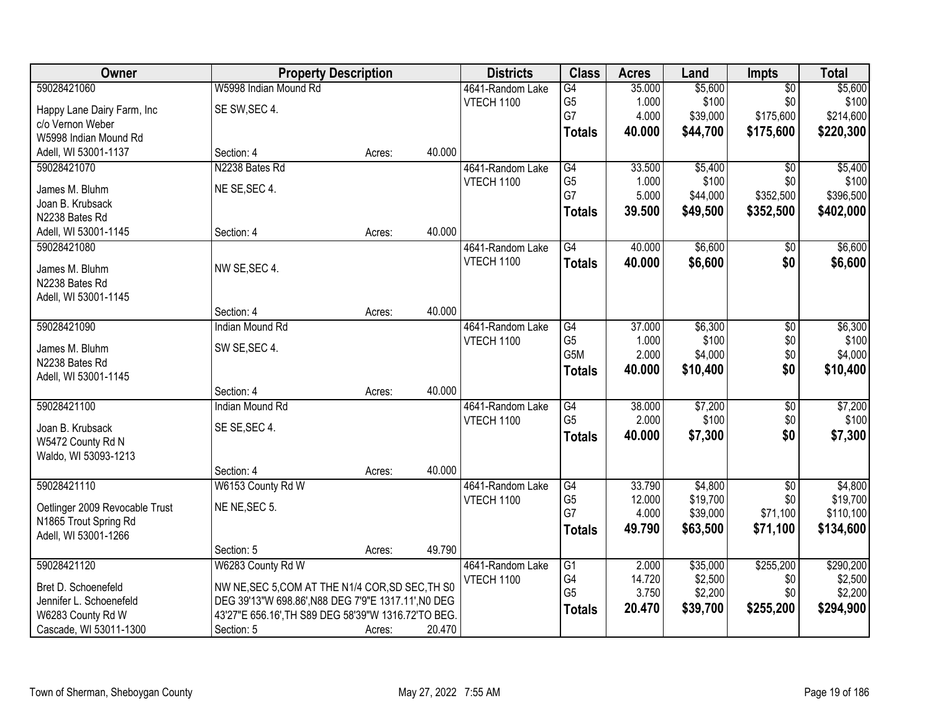| \$5,600<br>\$5,600<br>59028421060<br>W5998 Indian Mound Rd<br>35.000<br>4641-Random Lake<br>$\overline{G4}$<br>$\overline{50}$<br>G <sub>5</sub><br>\$100<br>1.000<br>\$100<br>\$0<br>VTECH 1100<br>SE SW, SEC 4.<br>Happy Lane Dairy Farm, Inc<br>G7<br>\$39,000<br>\$175,600<br>\$214,600<br>4.000<br>c/o Vernon Weber<br>40.000<br>\$44,700<br>\$175,600<br>\$220,300<br><b>Totals</b><br>W5998 Indian Mound Rd<br>40.000<br>Adell, WI 53001-1137<br>Section: 4<br>Acres:<br>59028421070<br>N2238 Bates Rd<br>G4<br>33.500<br>\$5,400<br>4641-Random Lake<br>$\overline{50}$<br>G <sub>5</sub><br>1.000<br>\$100<br><b>VTECH 1100</b><br>\$0<br>NE SE, SEC 4.<br>James M. Bluhm<br>G7<br>\$352,500<br>5.000<br>\$44,000<br>Joan B. Krubsack<br>\$49,500<br>39.500<br>\$352,500<br>\$402,000<br><b>Totals</b><br>N2238 Bates Rd<br>40.000<br>Adell, WI 53001-1145<br>Section: 4<br>Acres:<br>\$6,600<br>59028421080<br>4641-Random Lake<br>G4<br>40.000<br>\$0<br>VTECH 1100<br>\$0<br>\$6,600<br>40,000<br><b>Totals</b><br>NW SE, SEC 4.<br>James M. Bluhm<br>N2238 Bates Rd<br>Adell, WI 53001-1145<br>40.000<br>Section: 4<br>Acres:<br>\$6,300<br>59028421090<br><b>Indian Mound Rd</b><br>$\overline{G4}$<br>37.000<br>$\overline{50}$<br>4641-Random Lake<br>G <sub>5</sub><br>1.000<br>\$100<br>\$0<br>VTECH 1100<br>SW SE, SEC 4.<br>James M. Bluhm<br>G5M<br>2.000<br>\$4,000<br>\$0<br>N2238 Bates Rd<br>\$0<br>40.000<br>\$10,400<br><b>Totals</b><br>Adell, WI 53001-1145<br>40.000<br>Section: 4<br>Acres:<br>\$7,200<br>59028421100<br>Indian Mound Rd<br>$\overline{G4}$<br>38.000<br>$\overline{50}$<br>4641-Random Lake<br>G <sub>5</sub><br>2.000<br>\$100<br>\$0<br><b>VTECH 1100</b><br>SE SE, SEC 4.<br>Joan B. Krubsack<br>\$0<br>40.000<br>\$7,300<br>\$7,300<br><b>Totals</b><br>W5472 County Rd N<br>Waldo, WI 53093-1213<br>40.000<br>Section: 4<br>Acres:<br>59028421110<br>W6153 County Rd W<br>4641-Random Lake<br>G4<br>33.790<br>\$4,800<br>$\overline{50}$<br>G <sub>5</sub><br>\$19,700<br>\$0<br>12.000<br><b>VTECH 1100</b><br>NE NE, SEC 5.<br>Oetlinger 2009 Revocable Trust<br>G7<br>4.000<br>\$39,000<br>\$71,100<br>N1865 Trout Spring Rd<br>49.790<br>\$63,500<br>\$71,100<br><b>Totals</b><br>Adell, WI 53001-1266<br>49.790<br>Section: 5<br>Acres:<br>W6283 County Rd W<br>\$35,000<br>\$255,200<br>59028421120<br>G1<br>2.000<br>4641-Random Lake<br>G4<br>14.720<br>\$2,500<br>VTECH 1100<br>\$0<br>NW NE, SEC 5, COM AT THE N1/4 COR, SD SEC, TH S0<br>Bret D. Schoenefeld<br>G <sub>5</sub><br>3.750<br>\$2,200<br>\$0<br>DEG 39'13"W 698.86', N88 DEG 7'9"E 1317.11', N0 DEG<br>Jennifer L. Schoenefeld<br>20.470<br>\$39,700<br>\$255,200<br>\$294,900<br><b>Totals</b><br>43'27"E 656.16', TH S89 DEG 58'39"W 1316.72'TO BEG.<br>W6283 County Rd W | Owner | <b>Property Description</b> |  | <b>Districts</b> | <b>Class</b> | <b>Acres</b> | Land | Impts | <b>Total</b> |
|----------------------------------------------------------------------------------------------------------------------------------------------------------------------------------------------------------------------------------------------------------------------------------------------------------------------------------------------------------------------------------------------------------------------------------------------------------------------------------------------------------------------------------------------------------------------------------------------------------------------------------------------------------------------------------------------------------------------------------------------------------------------------------------------------------------------------------------------------------------------------------------------------------------------------------------------------------------------------------------------------------------------------------------------------------------------------------------------------------------------------------------------------------------------------------------------------------------------------------------------------------------------------------------------------------------------------------------------------------------------------------------------------------------------------------------------------------------------------------------------------------------------------------------------------------------------------------------------------------------------------------------------------------------------------------------------------------------------------------------------------------------------------------------------------------------------------------------------------------------------------------------------------------------------------------------------------------------------------------------------------------------------------------------------------------------------------------------------------------------------------------------------------------------------------------------------------------------------------------------------------------------------------------------------------------------------------------------------------------------------------------------------------------------------------------------------------------------------------------------------------------------------------------------------------------------------------------------------------------------------------------------------------------------------------------------------------------------------------------------------------------------------------------------------------------|-------|-----------------------------|--|------------------|--------------|--------------|------|-------|--------------|
|                                                                                                                                                                                                                                                                                                                                                                                                                                                                                                                                                                                                                                                                                                                                                                                                                                                                                                                                                                                                                                                                                                                                                                                                                                                                                                                                                                                                                                                                                                                                                                                                                                                                                                                                                                                                                                                                                                                                                                                                                                                                                                                                                                                                                                                                                                                                                                                                                                                                                                                                                                                                                                                                                                                                                                                                          |       |                             |  |                  |              |              |      |       |              |
|                                                                                                                                                                                                                                                                                                                                                                                                                                                                                                                                                                                                                                                                                                                                                                                                                                                                                                                                                                                                                                                                                                                                                                                                                                                                                                                                                                                                                                                                                                                                                                                                                                                                                                                                                                                                                                                                                                                                                                                                                                                                                                                                                                                                                                                                                                                                                                                                                                                                                                                                                                                                                                                                                                                                                                                                          |       |                             |  |                  |              |              |      |       |              |
| \$5,400                                                                                                                                                                                                                                                                                                                                                                                                                                                                                                                                                                                                                                                                                                                                                                                                                                                                                                                                                                                                                                                                                                                                                                                                                                                                                                                                                                                                                                                                                                                                                                                                                                                                                                                                                                                                                                                                                                                                                                                                                                                                                                                                                                                                                                                                                                                                                                                                                                                                                                                                                                                                                                                                                                                                                                                                  |       |                             |  |                  |              |              |      |       |              |
|                                                                                                                                                                                                                                                                                                                                                                                                                                                                                                                                                                                                                                                                                                                                                                                                                                                                                                                                                                                                                                                                                                                                                                                                                                                                                                                                                                                                                                                                                                                                                                                                                                                                                                                                                                                                                                                                                                                                                                                                                                                                                                                                                                                                                                                                                                                                                                                                                                                                                                                                                                                                                                                                                                                                                                                                          |       |                             |  |                  |              |              |      |       |              |
|                                                                                                                                                                                                                                                                                                                                                                                                                                                                                                                                                                                                                                                                                                                                                                                                                                                                                                                                                                                                                                                                                                                                                                                                                                                                                                                                                                                                                                                                                                                                                                                                                                                                                                                                                                                                                                                                                                                                                                                                                                                                                                                                                                                                                                                                                                                                                                                                                                                                                                                                                                                                                                                                                                                                                                                                          |       |                             |  |                  |              |              |      |       |              |
| \$100<br>\$396,500<br>\$6,600<br>\$6,600<br>\$6,300<br>\$100<br>\$4,000<br>\$10,400<br>\$7,200<br>\$100<br>\$4,800<br>\$19,700<br>\$110,100<br>\$134,600<br>\$290,200<br>\$2,500<br>\$2,200                                                                                                                                                                                                                                                                                                                                                                                                                                                                                                                                                                                                                                                                                                                                                                                                                                                                                                                                                                                                                                                                                                                                                                                                                                                                                                                                                                                                                                                                                                                                                                                                                                                                                                                                                                                                                                                                                                                                                                                                                                                                                                                                                                                                                                                                                                                                                                                                                                                                                                                                                                                                              |       |                             |  |                  |              |              |      |       |              |
|                                                                                                                                                                                                                                                                                                                                                                                                                                                                                                                                                                                                                                                                                                                                                                                                                                                                                                                                                                                                                                                                                                                                                                                                                                                                                                                                                                                                                                                                                                                                                                                                                                                                                                                                                                                                                                                                                                                                                                                                                                                                                                                                                                                                                                                                                                                                                                                                                                                                                                                                                                                                                                                                                                                                                                                                          |       |                             |  |                  |              |              |      |       |              |
|                                                                                                                                                                                                                                                                                                                                                                                                                                                                                                                                                                                                                                                                                                                                                                                                                                                                                                                                                                                                                                                                                                                                                                                                                                                                                                                                                                                                                                                                                                                                                                                                                                                                                                                                                                                                                                                                                                                                                                                                                                                                                                                                                                                                                                                                                                                                                                                                                                                                                                                                                                                                                                                                                                                                                                                                          |       |                             |  |                  |              |              |      |       |              |
|                                                                                                                                                                                                                                                                                                                                                                                                                                                                                                                                                                                                                                                                                                                                                                                                                                                                                                                                                                                                                                                                                                                                                                                                                                                                                                                                                                                                                                                                                                                                                                                                                                                                                                                                                                                                                                                                                                                                                                                                                                                                                                                                                                                                                                                                                                                                                                                                                                                                                                                                                                                                                                                                                                                                                                                                          |       |                             |  |                  |              |              |      |       |              |
|                                                                                                                                                                                                                                                                                                                                                                                                                                                                                                                                                                                                                                                                                                                                                                                                                                                                                                                                                                                                                                                                                                                                                                                                                                                                                                                                                                                                                                                                                                                                                                                                                                                                                                                                                                                                                                                                                                                                                                                                                                                                                                                                                                                                                                                                                                                                                                                                                                                                                                                                                                                                                                                                                                                                                                                                          |       |                             |  |                  |              |              |      |       |              |
|                                                                                                                                                                                                                                                                                                                                                                                                                                                                                                                                                                                                                                                                                                                                                                                                                                                                                                                                                                                                                                                                                                                                                                                                                                                                                                                                                                                                                                                                                                                                                                                                                                                                                                                                                                                                                                                                                                                                                                                                                                                                                                                                                                                                                                                                                                                                                                                                                                                                                                                                                                                                                                                                                                                                                                                                          |       |                             |  |                  |              |              |      |       |              |
|                                                                                                                                                                                                                                                                                                                                                                                                                                                                                                                                                                                                                                                                                                                                                                                                                                                                                                                                                                                                                                                                                                                                                                                                                                                                                                                                                                                                                                                                                                                                                                                                                                                                                                                                                                                                                                                                                                                                                                                                                                                                                                                                                                                                                                                                                                                                                                                                                                                                                                                                                                                                                                                                                                                                                                                                          |       |                             |  |                  |              |              |      |       |              |
|                                                                                                                                                                                                                                                                                                                                                                                                                                                                                                                                                                                                                                                                                                                                                                                                                                                                                                                                                                                                                                                                                                                                                                                                                                                                                                                                                                                                                                                                                                                                                                                                                                                                                                                                                                                                                                                                                                                                                                                                                                                                                                                                                                                                                                                                                                                                                                                                                                                                                                                                                                                                                                                                                                                                                                                                          |       |                             |  |                  |              |              |      |       |              |
|                                                                                                                                                                                                                                                                                                                                                                                                                                                                                                                                                                                                                                                                                                                                                                                                                                                                                                                                                                                                                                                                                                                                                                                                                                                                                                                                                                                                                                                                                                                                                                                                                                                                                                                                                                                                                                                                                                                                                                                                                                                                                                                                                                                                                                                                                                                                                                                                                                                                                                                                                                                                                                                                                                                                                                                                          |       |                             |  |                  |              |              |      |       |              |
|                                                                                                                                                                                                                                                                                                                                                                                                                                                                                                                                                                                                                                                                                                                                                                                                                                                                                                                                                                                                                                                                                                                                                                                                                                                                                                                                                                                                                                                                                                                                                                                                                                                                                                                                                                                                                                                                                                                                                                                                                                                                                                                                                                                                                                                                                                                                                                                                                                                                                                                                                                                                                                                                                                                                                                                                          |       |                             |  |                  |              |              |      |       |              |
|                                                                                                                                                                                                                                                                                                                                                                                                                                                                                                                                                                                                                                                                                                                                                                                                                                                                                                                                                                                                                                                                                                                                                                                                                                                                                                                                                                                                                                                                                                                                                                                                                                                                                                                                                                                                                                                                                                                                                                                                                                                                                                                                                                                                                                                                                                                                                                                                                                                                                                                                                                                                                                                                                                                                                                                                          |       |                             |  |                  |              |              |      |       |              |
|                                                                                                                                                                                                                                                                                                                                                                                                                                                                                                                                                                                                                                                                                                                                                                                                                                                                                                                                                                                                                                                                                                                                                                                                                                                                                                                                                                                                                                                                                                                                                                                                                                                                                                                                                                                                                                                                                                                                                                                                                                                                                                                                                                                                                                                                                                                                                                                                                                                                                                                                                                                                                                                                                                                                                                                                          |       |                             |  |                  |              |              |      |       |              |
|                                                                                                                                                                                                                                                                                                                                                                                                                                                                                                                                                                                                                                                                                                                                                                                                                                                                                                                                                                                                                                                                                                                                                                                                                                                                                                                                                                                                                                                                                                                                                                                                                                                                                                                                                                                                                                                                                                                                                                                                                                                                                                                                                                                                                                                                                                                                                                                                                                                                                                                                                                                                                                                                                                                                                                                                          |       |                             |  |                  |              |              |      |       |              |
|                                                                                                                                                                                                                                                                                                                                                                                                                                                                                                                                                                                                                                                                                                                                                                                                                                                                                                                                                                                                                                                                                                                                                                                                                                                                                                                                                                                                                                                                                                                                                                                                                                                                                                                                                                                                                                                                                                                                                                                                                                                                                                                                                                                                                                                                                                                                                                                                                                                                                                                                                                                                                                                                                                                                                                                                          |       |                             |  |                  |              |              |      |       |              |
|                                                                                                                                                                                                                                                                                                                                                                                                                                                                                                                                                                                                                                                                                                                                                                                                                                                                                                                                                                                                                                                                                                                                                                                                                                                                                                                                                                                                                                                                                                                                                                                                                                                                                                                                                                                                                                                                                                                                                                                                                                                                                                                                                                                                                                                                                                                                                                                                                                                                                                                                                                                                                                                                                                                                                                                                          |       |                             |  |                  |              |              |      |       |              |
|                                                                                                                                                                                                                                                                                                                                                                                                                                                                                                                                                                                                                                                                                                                                                                                                                                                                                                                                                                                                                                                                                                                                                                                                                                                                                                                                                                                                                                                                                                                                                                                                                                                                                                                                                                                                                                                                                                                                                                                                                                                                                                                                                                                                                                                                                                                                                                                                                                                                                                                                                                                                                                                                                                                                                                                                          |       |                             |  |                  |              |              |      |       |              |
|                                                                                                                                                                                                                                                                                                                                                                                                                                                                                                                                                                                                                                                                                                                                                                                                                                                                                                                                                                                                                                                                                                                                                                                                                                                                                                                                                                                                                                                                                                                                                                                                                                                                                                                                                                                                                                                                                                                                                                                                                                                                                                                                                                                                                                                                                                                                                                                                                                                                                                                                                                                                                                                                                                                                                                                                          |       |                             |  |                  |              |              |      |       |              |
|                                                                                                                                                                                                                                                                                                                                                                                                                                                                                                                                                                                                                                                                                                                                                                                                                                                                                                                                                                                                                                                                                                                                                                                                                                                                                                                                                                                                                                                                                                                                                                                                                                                                                                                                                                                                                                                                                                                                                                                                                                                                                                                                                                                                                                                                                                                                                                                                                                                                                                                                                                                                                                                                                                                                                                                                          |       |                             |  |                  |              |              |      |       |              |
|                                                                                                                                                                                                                                                                                                                                                                                                                                                                                                                                                                                                                                                                                                                                                                                                                                                                                                                                                                                                                                                                                                                                                                                                                                                                                                                                                                                                                                                                                                                                                                                                                                                                                                                                                                                                                                                                                                                                                                                                                                                                                                                                                                                                                                                                                                                                                                                                                                                                                                                                                                                                                                                                                                                                                                                                          |       |                             |  |                  |              |              |      |       |              |
|                                                                                                                                                                                                                                                                                                                                                                                                                                                                                                                                                                                                                                                                                                                                                                                                                                                                                                                                                                                                                                                                                                                                                                                                                                                                                                                                                                                                                                                                                                                                                                                                                                                                                                                                                                                                                                                                                                                                                                                                                                                                                                                                                                                                                                                                                                                                                                                                                                                                                                                                                                                                                                                                                                                                                                                                          |       |                             |  |                  |              |              |      |       |              |
|                                                                                                                                                                                                                                                                                                                                                                                                                                                                                                                                                                                                                                                                                                                                                                                                                                                                                                                                                                                                                                                                                                                                                                                                                                                                                                                                                                                                                                                                                                                                                                                                                                                                                                                                                                                                                                                                                                                                                                                                                                                                                                                                                                                                                                                                                                                                                                                                                                                                                                                                                                                                                                                                                                                                                                                                          |       |                             |  |                  |              |              |      |       |              |
|                                                                                                                                                                                                                                                                                                                                                                                                                                                                                                                                                                                                                                                                                                                                                                                                                                                                                                                                                                                                                                                                                                                                                                                                                                                                                                                                                                                                                                                                                                                                                                                                                                                                                                                                                                                                                                                                                                                                                                                                                                                                                                                                                                                                                                                                                                                                                                                                                                                                                                                                                                                                                                                                                                                                                                                                          |       |                             |  |                  |              |              |      |       |              |
|                                                                                                                                                                                                                                                                                                                                                                                                                                                                                                                                                                                                                                                                                                                                                                                                                                                                                                                                                                                                                                                                                                                                                                                                                                                                                                                                                                                                                                                                                                                                                                                                                                                                                                                                                                                                                                                                                                                                                                                                                                                                                                                                                                                                                                                                                                                                                                                                                                                                                                                                                                                                                                                                                                                                                                                                          |       |                             |  |                  |              |              |      |       |              |
|                                                                                                                                                                                                                                                                                                                                                                                                                                                                                                                                                                                                                                                                                                                                                                                                                                                                                                                                                                                                                                                                                                                                                                                                                                                                                                                                                                                                                                                                                                                                                                                                                                                                                                                                                                                                                                                                                                                                                                                                                                                                                                                                                                                                                                                                                                                                                                                                                                                                                                                                                                                                                                                                                                                                                                                                          |       |                             |  |                  |              |              |      |       |              |
|                                                                                                                                                                                                                                                                                                                                                                                                                                                                                                                                                                                                                                                                                                                                                                                                                                                                                                                                                                                                                                                                                                                                                                                                                                                                                                                                                                                                                                                                                                                                                                                                                                                                                                                                                                                                                                                                                                                                                                                                                                                                                                                                                                                                                                                                                                                                                                                                                                                                                                                                                                                                                                                                                                                                                                                                          |       |                             |  |                  |              |              |      |       |              |
|                                                                                                                                                                                                                                                                                                                                                                                                                                                                                                                                                                                                                                                                                                                                                                                                                                                                                                                                                                                                                                                                                                                                                                                                                                                                                                                                                                                                                                                                                                                                                                                                                                                                                                                                                                                                                                                                                                                                                                                                                                                                                                                                                                                                                                                                                                                                                                                                                                                                                                                                                                                                                                                                                                                                                                                                          |       |                             |  |                  |              |              |      |       |              |
|                                                                                                                                                                                                                                                                                                                                                                                                                                                                                                                                                                                                                                                                                                                                                                                                                                                                                                                                                                                                                                                                                                                                                                                                                                                                                                                                                                                                                                                                                                                                                                                                                                                                                                                                                                                                                                                                                                                                                                                                                                                                                                                                                                                                                                                                                                                                                                                                                                                                                                                                                                                                                                                                                                                                                                                                          |       |                             |  |                  |              |              |      |       |              |
|                                                                                                                                                                                                                                                                                                                                                                                                                                                                                                                                                                                                                                                                                                                                                                                                                                                                                                                                                                                                                                                                                                                                                                                                                                                                                                                                                                                                                                                                                                                                                                                                                                                                                                                                                                                                                                                                                                                                                                                                                                                                                                                                                                                                                                                                                                                                                                                                                                                                                                                                                                                                                                                                                                                                                                                                          |       |                             |  |                  |              |              |      |       |              |
|                                                                                                                                                                                                                                                                                                                                                                                                                                                                                                                                                                                                                                                                                                                                                                                                                                                                                                                                                                                                                                                                                                                                                                                                                                                                                                                                                                                                                                                                                                                                                                                                                                                                                                                                                                                                                                                                                                                                                                                                                                                                                                                                                                                                                                                                                                                                                                                                                                                                                                                                                                                                                                                                                                                                                                                                          |       |                             |  |                  |              |              |      |       |              |
|                                                                                                                                                                                                                                                                                                                                                                                                                                                                                                                                                                                                                                                                                                                                                                                                                                                                                                                                                                                                                                                                                                                                                                                                                                                                                                                                                                                                                                                                                                                                                                                                                                                                                                                                                                                                                                                                                                                                                                                                                                                                                                                                                                                                                                                                                                                                                                                                                                                                                                                                                                                                                                                                                                                                                                                                          |       |                             |  |                  |              |              |      |       |              |
| 20.470<br>Cascade, WI 53011-1300<br>Section: 5<br>Acres:                                                                                                                                                                                                                                                                                                                                                                                                                                                                                                                                                                                                                                                                                                                                                                                                                                                                                                                                                                                                                                                                                                                                                                                                                                                                                                                                                                                                                                                                                                                                                                                                                                                                                                                                                                                                                                                                                                                                                                                                                                                                                                                                                                                                                                                                                                                                                                                                                                                                                                                                                                                                                                                                                                                                                 |       |                             |  |                  |              |              |      |       |              |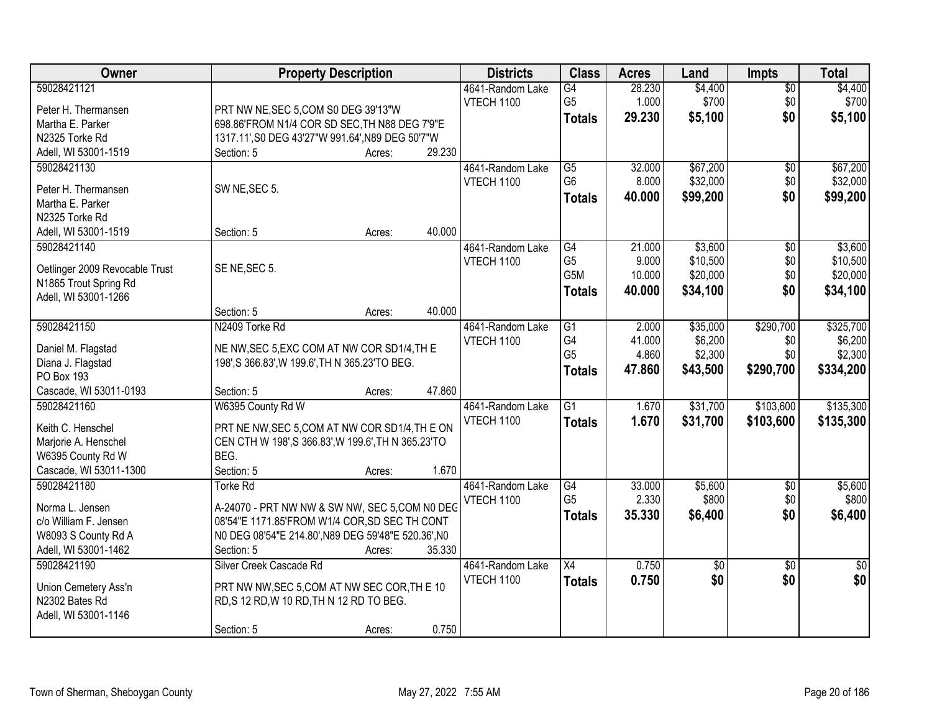| <b>Owner</b>                        | <b>Property Description</b>                         |        |        | <b>Districts</b>  | <b>Class</b>         | <b>Acres</b> | Land            | <b>Impts</b>    | <b>Total</b> |
|-------------------------------------|-----------------------------------------------------|--------|--------|-------------------|----------------------|--------------|-----------------|-----------------|--------------|
| 59028421121                         |                                                     |        |        | 4641-Random Lake  | G4                   | 28.230       | \$4,400         | $\overline{50}$ | \$4,400      |
| Peter H. Thermansen                 | PRT NW NE, SEC 5, COM S0 DEG 39'13"W                |        |        | VTECH 1100        | G <sub>5</sub>       | 1.000        | \$700           | \$0             | \$700        |
| Martha E. Parker                    | 698.86'FROM N1/4 COR SD SEC, TH N88 DEG 7'9"E       |        |        |                   | <b>Totals</b>        | 29.230       | \$5,100         | \$0             | \$5,100      |
| N2325 Torke Rd                      | 1317.11', S0 DEG 43'27"W 991.64', N89 DEG 50'7"W    |        |        |                   |                      |              |                 |                 |              |
| Adell, WI 53001-1519                | Section: 5                                          | Acres: | 29.230 |                   |                      |              |                 |                 |              |
| 59028421130                         |                                                     |        |        | 4641-Random Lake  | $\overline{G5}$      | 32.000       | \$67,200        | $\overline{50}$ | \$67,200     |
|                                     |                                                     |        |        | <b>VTECH 1100</b> | G <sub>6</sub>       | 8.000        | \$32,000        | \$0             | \$32,000     |
| Peter H. Thermansen                 | SW NE, SEC 5.                                       |        |        |                   | <b>Totals</b>        | 40.000       | \$99,200        | \$0             | \$99,200     |
| Martha E. Parker                    |                                                     |        |        |                   |                      |              |                 |                 |              |
| N2325 Torke Rd                      |                                                     |        | 40.000 |                   |                      |              |                 |                 |              |
| Adell, WI 53001-1519<br>59028421140 | Section: 5                                          | Acres: |        |                   | G4                   | 21.000       | \$3,600         |                 | \$3,600      |
|                                     |                                                     |        |        | 4641-Random Lake  | G <sub>5</sub>       | 9.000        | \$10,500        | \$0<br>\$0      | \$10,500     |
| Oetlinger 2009 Revocable Trust      | SE NE, SEC 5.                                       |        |        | <b>VTECH 1100</b> | G <sub>5</sub> M     | 10.000       | \$20,000        | \$0             | \$20,000     |
| N1865 Trout Spring Rd               |                                                     |        |        |                   | <b>Totals</b>        | 40.000       | \$34,100        | \$0             | \$34,100     |
| Adell, WI 53001-1266                |                                                     |        |        |                   |                      |              |                 |                 |              |
|                                     | Section: 5                                          | Acres: | 40.000 |                   |                      |              |                 |                 |              |
| 59028421150                         | N2409 Torke Rd                                      |        |        | 4641-Random Lake  | G1                   | 2.000        | \$35,000        | \$290,700       | \$325,700    |
| Daniel M. Flagstad                  | NE NW, SEC 5, EXC COM AT NW COR SD1/4, TH E         |        |        | <b>VTECH 1100</b> | G4                   | 41.000       | \$6,200         | \$0             | \$6,200      |
| Diana J. Flagstad                   | 198', S 366.83', W 199.6', TH N 365.23'TO BEG.      |        |        |                   | G <sub>5</sub>       | 4.860        | \$2,300         | \$0             | \$2,300      |
| <b>PO Box 193</b>                   |                                                     |        |        |                   | <b>Totals</b>        | 47.860       | \$43,500        | \$290,700       | \$334,200    |
| Cascade, WI 53011-0193              | Section: 5                                          | Acres: | 47.860 |                   |                      |              |                 |                 |              |
| 59028421160                         | W6395 County Rd W                                   |        |        | 4641-Random Lake  | $\overline{G1}$      | 1.670        | \$31,700        | \$103,600       | \$135,300    |
|                                     |                                                     |        |        | VTECH 1100        | <b>Totals</b>        | 1.670        | \$31,700        | \$103,600       | \$135,300    |
| Keith C. Henschel                   | PRT NE NW, SEC 5, COM AT NW COR SD1/4, TH E ON      |        |        |                   |                      |              |                 |                 |              |
| Marjorie A. Henschel                | CEN CTH W 198', S 366.83', W 199.6', TH N 365.23'TO |        |        |                   |                      |              |                 |                 |              |
| W6395 County Rd W                   | BEG.                                                |        |        |                   |                      |              |                 |                 |              |
| Cascade, WI 53011-1300              | Section: 5                                          | Acres: | 1.670  |                   |                      |              |                 |                 |              |
| 59028421180                         | <b>Torke Rd</b>                                     |        |        | 4641-Random Lake  | G4<br>G <sub>5</sub> | 33.000       | \$5,600         | $\sqrt{$0}$     | \$5,600      |
| Norma L. Jensen                     | A-24070 - PRT NW NW & SW NW, SEC 5,COM N0 DEC       |        |        | VTECH 1100        |                      | 2.330        | \$800           | \$0             | \$800        |
| c/o William F. Jensen               | 08'54"E 1171.85'FROM W1/4 COR, SD SEC TH CONT       |        |        |                   | <b>Totals</b>        | 35.330       | \$6,400         | \$0             | \$6,400      |
| W8093 S County Rd A                 | N0 DEG 08'54"E 214.80', N89 DEG 59'48"E 520.36', N0 |        |        |                   |                      |              |                 |                 |              |
| Adell, WI 53001-1462                | Section: 5                                          | Acres: | 35.330 |                   |                      |              |                 |                 |              |
| 59028421190                         | Silver Creek Cascade Rd                             |        |        | 4641-Random Lake  | $\overline{X4}$      | 0.750        | $\overline{50}$ | $\overline{30}$ | $\sqrt{50}$  |
| Union Cemetery Ass'n                | PRT NW NW, SEC 5, COM AT NW SEC COR, TH E 10        |        |        | <b>VTECH 1100</b> | <b>Totals</b>        | 0.750        | \$0             | \$0             | \$0          |
| N2302 Bates Rd                      | RD, S 12 RD, W 10 RD, TH N 12 RD TO BEG.            |        |        |                   |                      |              |                 |                 |              |
| Adell, WI 53001-1146                |                                                     |        |        |                   |                      |              |                 |                 |              |
|                                     | Section: 5                                          | Acres: | 0.750  |                   |                      |              |                 |                 |              |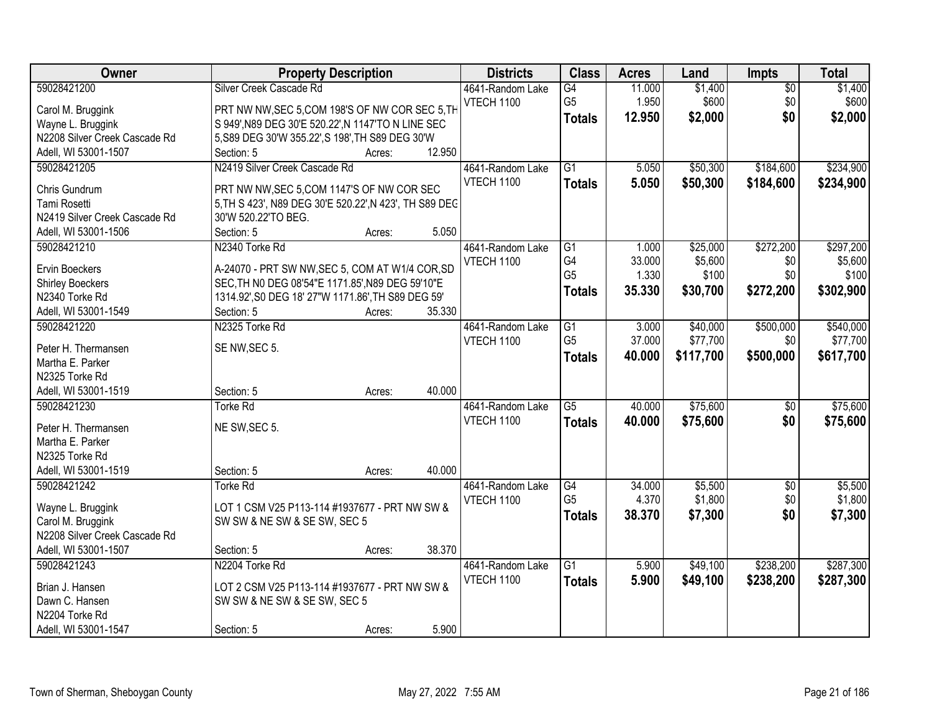| Owner                         |                                                        | <b>Property Description</b> |        | <b>Districts</b>  | <b>Class</b>    | <b>Acres</b> | Land      | <b>Impts</b>    | <b>Total</b> |
|-------------------------------|--------------------------------------------------------|-----------------------------|--------|-------------------|-----------------|--------------|-----------|-----------------|--------------|
| 59028421200                   | Silver Creek Cascade Rd                                |                             |        | 4641-Random Lake  | G4              | 11.000       | \$1,400   | $\overline{50}$ | \$1,400      |
| Carol M. Bruggink             | PRT NW NW, SEC 5, COM 198'S OF NW COR SEC 5, TH        |                             |        | <b>VTECH 1100</b> | G <sub>5</sub>  | 1.950        | \$600     | \$0             | \$600        |
| Wayne L. Bruggink             | S 949', N89 DEG 30'E 520.22', N 1147'TO N LINE SEC     |                             |        |                   | <b>Totals</b>   | 12.950       | \$2,000   | \$0             | \$2,000      |
| N2208 Silver Creek Cascade Rd | 5, S89 DEG 30'W 355.22', S 198', TH S89 DEG 30'W       |                             |        |                   |                 |              |           |                 |              |
| Adell, WI 53001-1507          | Section: 5                                             | Acres:                      | 12.950 |                   |                 |              |           |                 |              |
| 59028421205                   | N2419 Silver Creek Cascade Rd                          |                             |        | 4641-Random Lake  | $\overline{G1}$ | 5.050        | \$50,300  | \$184,600       | \$234,900    |
|                               |                                                        |                             |        | <b>VTECH 1100</b> | <b>Totals</b>   | 5.050        | \$50,300  | \$184,600       | \$234,900    |
| Chris Gundrum                 | PRT NW NW, SEC 5, COM 1147'S OF NW COR SEC             |                             |        |                   |                 |              |           |                 |              |
| Tami Rosetti                  | 5, TH S 423', N89 DEG 30'E 520.22', N 423', TH S89 DEC |                             |        |                   |                 |              |           |                 |              |
| N2419 Silver Creek Cascade Rd | 30'W 520.22'TO BEG.                                    |                             |        |                   |                 |              |           |                 |              |
| Adell, WI 53001-1506          | Section: 5                                             | Acres:                      | 5.050  |                   |                 |              |           |                 |              |
| 59028421210                   | N2340 Torke Rd                                         |                             |        | 4641-Random Lake  | $\overline{G1}$ | 1.000        | \$25,000  | \$272,200       | \$297,200    |
| Ervin Boeckers                | A-24070 - PRT SW NW, SEC 5, COM AT W1/4 COR, SD        |                             |        | VTECH 1100        | G4              | 33.000       | \$5,600   | \$0             | \$5,600      |
| <b>Shirley Boeckers</b>       | SEC, TH NO DEG 08'54"E 1171.85', N89 DEG 59'10"E       |                             |        |                   | G <sub>5</sub>  | 1.330        | \$100     | \$0             | \$100        |
| N2340 Torke Rd                | 1314.92', S0 DEG 18' 27"W 1171.86', TH S89 DEG 59'     |                             |        |                   | <b>Totals</b>   | 35.330       | \$30,700  | \$272,200       | \$302,900    |
| Adell, WI 53001-1549          | Section: 5                                             | Acres:                      | 35.330 |                   |                 |              |           |                 |              |
| 59028421220                   | N2325 Torke Rd                                         |                             |        | 4641-Random Lake  | G1              | 3.000        | \$40,000  | \$500,000       | \$540,000    |
|                               |                                                        |                             |        | VTECH 1100        | G <sub>5</sub>  | 37.000       | \$77,700  | \$0             | \$77,700     |
| Peter H. Thermansen           | SE NW, SEC 5.                                          |                             |        |                   | <b>Totals</b>   | 40.000       | \$117,700 | \$500,000       | \$617,700    |
| Martha E. Parker              |                                                        |                             |        |                   |                 |              |           |                 |              |
| N2325 Torke Rd                |                                                        |                             |        |                   |                 |              |           |                 |              |
| Adell, WI 53001-1519          | Section: 5                                             | Acres:                      | 40.000 |                   |                 |              |           |                 |              |
| 59028421230                   | <b>Torke Rd</b>                                        |                             |        | 4641-Random Lake  | $\overline{G5}$ | 40.000       | \$75,600  | $\overline{50}$ | \$75,600     |
| Peter H. Thermansen           | NE SW, SEC 5.                                          |                             |        | <b>VTECH 1100</b> | <b>Totals</b>   | 40.000       | \$75,600  | \$0             | \$75,600     |
| Martha E. Parker              |                                                        |                             |        |                   |                 |              |           |                 |              |
| N2325 Torke Rd                |                                                        |                             |        |                   |                 |              |           |                 |              |
| Adell, WI 53001-1519          | Section: 5                                             | Acres:                      | 40.000 |                   |                 |              |           |                 |              |
| 59028421242                   | <b>Torke Rd</b>                                        |                             |        | 4641-Random Lake  | G4              | 34.000       | \$5,500   | $\overline{60}$ | \$5,500      |
|                               |                                                        |                             |        | VTECH 1100        | G <sub>5</sub>  | 4.370        | \$1,800   | \$0             | \$1,800      |
| Wayne L. Bruggink             | LOT 1 CSM V25 P113-114 #1937677 - PRT NW SW &          |                             |        |                   | <b>Totals</b>   | 38.370       | \$7,300   | \$0             | \$7,300      |
| Carol M. Bruggink             | SW SW & NE SW & SE SW, SEC 5                           |                             |        |                   |                 |              |           |                 |              |
| N2208 Silver Creek Cascade Rd |                                                        |                             |        |                   |                 |              |           |                 |              |
| Adell, WI 53001-1507          | Section: 5                                             | Acres:                      | 38.370 |                   |                 |              |           |                 |              |
| 59028421243                   | N2204 Torke Rd                                         |                             |        | 4641-Random Lake  | $\overline{G1}$ | 5.900        | \$49,100  | \$238,200       | \$287,300    |
| Brian J. Hansen               | LOT 2 CSM V25 P113-114 #1937677 - PRT NW SW &          |                             |        | VTECH 1100        | <b>Totals</b>   | 5.900        | \$49,100  | \$238,200       | \$287,300    |
| Dawn C. Hansen                | SW SW & NE SW & SE SW, SEC 5                           |                             |        |                   |                 |              |           |                 |              |
| N2204 Torke Rd                |                                                        |                             |        |                   |                 |              |           |                 |              |
| Adell, WI 53001-1547          | Section: 5                                             | Acres:                      | 5.900  |                   |                 |              |           |                 |              |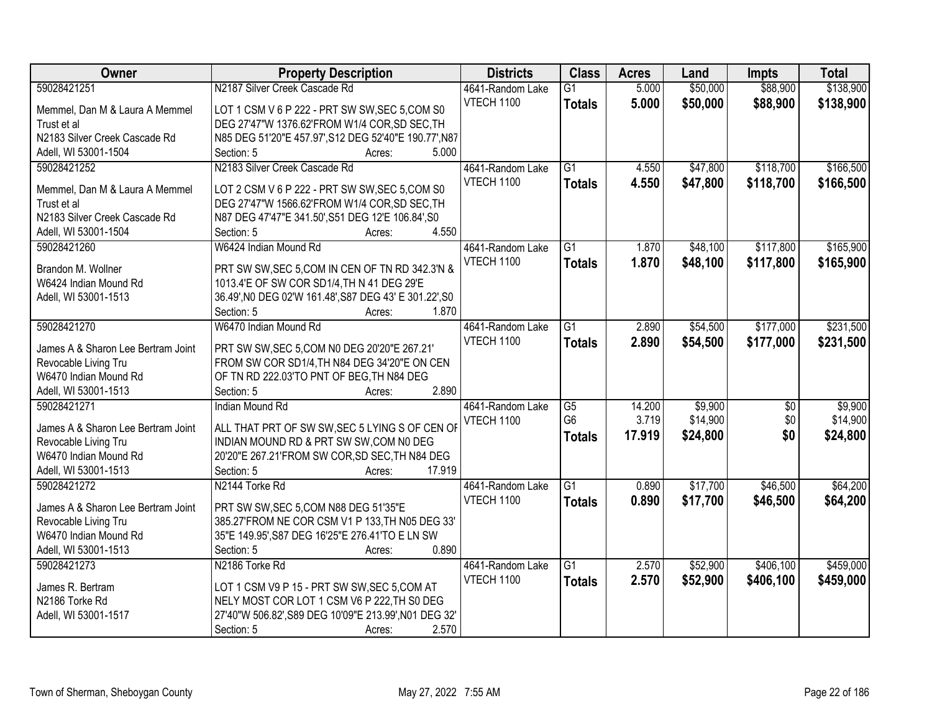| Owner                              | <b>Property Description</b>                            | <b>Districts</b>  | <b>Class</b>    | <b>Acres</b> | Land     | <b>Impts</b> | <b>Total</b> |
|------------------------------------|--------------------------------------------------------|-------------------|-----------------|--------------|----------|--------------|--------------|
| 59028421251                        | N2187 Silver Creek Cascade Rd                          | 4641-Random Lake  | $\overline{G1}$ | 5.000        | \$50,000 | \$88,900     | \$138,900    |
| Memmel, Dan M & Laura A Memmel     | LOT 1 CSM V 6 P 222 - PRT SW SW, SEC 5, COM S0         | VTECH 1100        | <b>Totals</b>   | 5.000        | \$50,000 | \$88,900     | \$138,900    |
| Trust et al                        | DEG 27'47"W 1376.62'FROM W1/4 COR, SD SEC, TH          |                   |                 |              |          |              |              |
| N2183 Silver Creek Cascade Rd      | N85 DEG 51'20"E 457.97', S12 DEG 52'40"E 190.77', N87  |                   |                 |              |          |              |              |
| Adell, WI 53001-1504               | Section: 5<br>5.000<br>Acres:                          |                   |                 |              |          |              |              |
| 59028421252                        | N2183 Silver Creek Cascade Rd                          | 4641-Random Lake  | $\overline{G1}$ | 4.550        | \$47,800 | \$118,700    | \$166,500    |
|                                    |                                                        | <b>VTECH 1100</b> | <b>Totals</b>   | 4.550        | \$47,800 | \$118,700    | \$166,500    |
| Memmel, Dan M & Laura A Memmel     | LOT 2 CSM V 6 P 222 - PRT SW SW, SEC 5, COM S0         |                   |                 |              |          |              |              |
| Trust et al                        | DEG 27'47"W 1566.62'FROM W1/4 COR, SD SEC, TH          |                   |                 |              |          |              |              |
| N2183 Silver Creek Cascade Rd      | N87 DEG 47'47"E 341.50', S51 DEG 12'E 106.84', S0      |                   |                 |              |          |              |              |
| Adell, WI 53001-1504               | 4.550<br>Section: 5<br>Acres:                          |                   |                 |              |          |              |              |
| 59028421260                        | W6424 Indian Mound Rd                                  | 4641-Random Lake  | $\overline{G1}$ | 1.870        | \$48,100 | \$117,800    | \$165,900    |
| Brandon M. Wollner                 | PRT SW SW, SEC 5, COM IN CEN OF TN RD 342.3'N &        | <b>VTECH 1100</b> | <b>Totals</b>   | 1.870        | \$48,100 | \$117,800    | \$165,900    |
| W6424 Indian Mound Rd              | 1013.4'E OF SW COR SD1/4, TH N 41 DEG 29'E             |                   |                 |              |          |              |              |
| Adell, WI 53001-1513               | 36.49', NO DEG 02'W 161.48', S87 DEG 43' E 301.22', S0 |                   |                 |              |          |              |              |
|                                    | 1.870<br>Section: 5<br>Acres:                          |                   |                 |              |          |              |              |
| 59028421270                        | W6470 Indian Mound Rd                                  | 4641-Random Lake  | $\overline{G1}$ | 2.890        | \$54,500 | \$177,000    | \$231,500    |
|                                    |                                                        | VTECH 1100        | <b>Totals</b>   | 2.890        | \$54,500 | \$177,000    | \$231,500    |
| James A & Sharon Lee Bertram Joint | PRT SW SW, SEC 5, COM N0 DEG 20'20"E 267.21'           |                   |                 |              |          |              |              |
| Revocable Living Tru               | FROM SW COR SD1/4, TH N84 DEG 34'20"E ON CEN           |                   |                 |              |          |              |              |
| W6470 Indian Mound Rd              | OF TN RD 222.03'TO PNT OF BEG, TH N84 DEG              |                   |                 |              |          |              |              |
| Adell, WI 53001-1513               | Section: 5<br>2.890<br>Acres:                          |                   |                 |              |          |              |              |
| 59028421271                        | Indian Mound Rd                                        | 4641-Random Lake  | $\overline{G5}$ | 14.200       | \$9,900  | \$0          | \$9,900      |
| James A & Sharon Lee Bertram Joint | ALL THAT PRT OF SW SW, SEC 5 LYING S OF CEN OF         | <b>VTECH 1100</b> | G <sub>6</sub>  | 3.719        | \$14,900 | \$0          | \$14,900     |
| Revocable Living Tru               | INDIAN MOUND RD & PRT SW SW, COM NO DEG                |                   | <b>Totals</b>   | 17.919       | \$24,800 | \$0          | \$24,800     |
| W6470 Indian Mound Rd              | 20'20"E 267.21'FROM SW COR, SD SEC, TH N84 DEG         |                   |                 |              |          |              |              |
| Adell, WI 53001-1513               | 17.919<br>Section: 5<br>Acres:                         |                   |                 |              |          |              |              |
| 59028421272                        | N2144 Torke Rd                                         | 4641-Random Lake  | $\overline{G1}$ | 0.890        | \$17,700 | \$46,500     | \$64,200     |
|                                    |                                                        | <b>VTECH 1100</b> | <b>Totals</b>   | 0.890        | \$17,700 | \$46,500     | \$64,200     |
| James A & Sharon Lee Bertram Joint | PRT SW SW, SEC 5, COM N88 DEG 51'35"E                  |                   |                 |              |          |              |              |
| Revocable Living Tru               | 385.27'FROM NE COR CSM V1 P 133, TH N05 DEG 33'        |                   |                 |              |          |              |              |
| W6470 Indian Mound Rd              | 35"E 149.95', S87 DEG 16'25"E 276.41'TO E LN SW        |                   |                 |              |          |              |              |
| Adell, WI 53001-1513               | 0.890<br>Section: 5<br>Acres:                          |                   |                 |              |          |              |              |
| 59028421273                        | N2186 Torke Rd                                         | 4641-Random Lake  | $\overline{G1}$ | 2.570        | \$52,900 | \$406,100    | \$459,000    |
| James R. Bertram                   | LOT 1 CSM V9 P 15 - PRT SW SW, SEC 5, COM AT           | <b>VTECH 1100</b> | <b>Totals</b>   | 2.570        | \$52,900 | \$406,100    | \$459,000    |
| N2186 Torke Rd                     | NELY MOST COR LOT 1 CSM V6 P 222, TH S0 DEG            |                   |                 |              |          |              |              |
| Adell, WI 53001-1517               | 27'40"W 506.82', S89 DEG 10'09"E 213.99', N01 DEG 32'  |                   |                 |              |          |              |              |
|                                    | Section: 5<br>2.570<br>Acres:                          |                   |                 |              |          |              |              |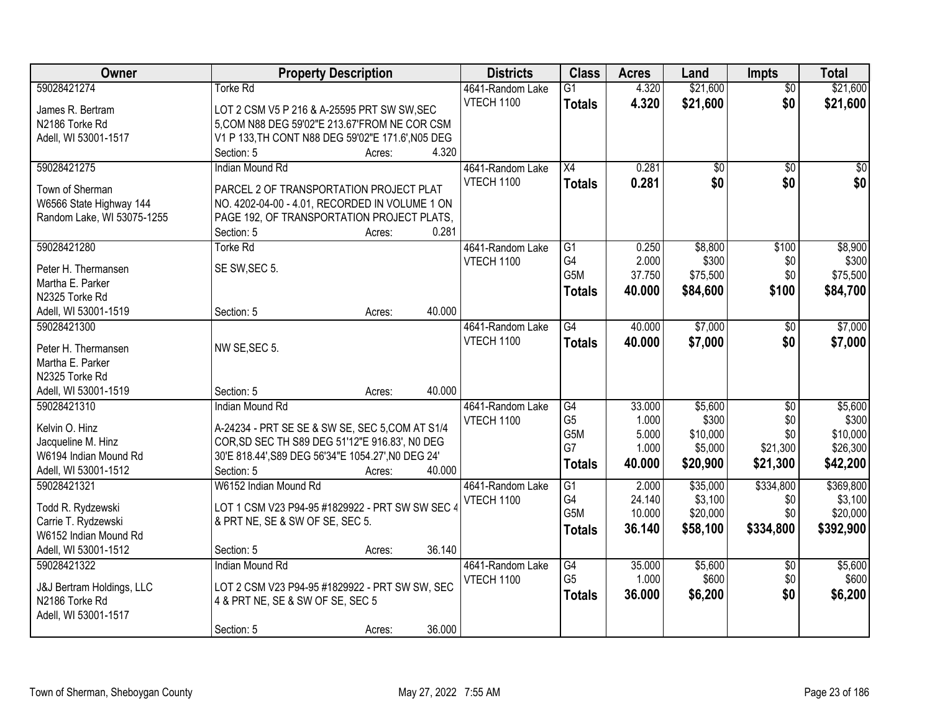| <b>Owner</b>                                          | <b>Property Description</b>                                                                  |        | <b>Districts</b>  | <b>Class</b>     | <b>Acres</b> | Land            | <b>Impts</b>    | <b>Total</b> |
|-------------------------------------------------------|----------------------------------------------------------------------------------------------|--------|-------------------|------------------|--------------|-----------------|-----------------|--------------|
| 59028421274                                           | Torke Rd                                                                                     |        | 4641-Random Lake  | $\overline{G1}$  | 4.320        | \$21,600        | $\overline{50}$ | \$21,600     |
| James R. Bertram                                      | LOT 2 CSM V5 P 216 & A-25595 PRT SW SW, SEC                                                  |        | VTECH 1100        | <b>Totals</b>    | 4.320        | \$21,600        | \$0             | \$21,600     |
| N2186 Torke Rd                                        | 5, COM N88 DEG 59'02"E 213.67'FROM NE COR CSM                                                |        |                   |                  |              |                 |                 |              |
| Adell, WI 53001-1517                                  | V1 P 133, TH CONT N88 DEG 59'02"E 171.6', N05 DEG                                            |        |                   |                  |              |                 |                 |              |
|                                                       | Section: 5<br>Acres:                                                                         | 4.320  |                   |                  |              |                 |                 |              |
| 59028421275                                           | <b>Indian Mound Rd</b>                                                                       |        | 4641-Random Lake  | $\overline{X4}$  | 0.281        | $\overline{50}$ | $\overline{50}$ | \$0          |
|                                                       |                                                                                              |        | <b>VTECH 1100</b> | <b>Totals</b>    | 0.281        | \$0             | \$0             | \$0          |
| Town of Sherman                                       | PARCEL 2 OF TRANSPORTATION PROJECT PLAT                                                      |        |                   |                  |              |                 |                 |              |
| W6566 State Highway 144<br>Random Lake, WI 53075-1255 | NO. 4202-04-00 - 4.01, RECORDED IN VOLUME 1 ON<br>PAGE 192, OF TRANSPORTATION PROJECT PLATS, |        |                   |                  |              |                 |                 |              |
|                                                       | Section: 5<br>Acres:                                                                         | 0.281  |                   |                  |              |                 |                 |              |
| 59028421280                                           | <b>Torke Rd</b>                                                                              |        | 4641-Random Lake  | G1               | 0.250        | \$8,800         | \$100           | \$8,900      |
|                                                       |                                                                                              |        | VTECH 1100        | G4               | 2.000        | \$300           | \$0             | \$300        |
| Peter H. Thermansen                                   | SE SW, SEC 5.                                                                                |        |                   | G <sub>5</sub> M | 37.750       | \$75,500        | \$0             | \$75,500     |
| Martha E. Parker                                      |                                                                                              |        |                   | <b>Totals</b>    | 40.000       | \$84,600        | \$100           | \$84,700     |
| N2325 Torke Rd                                        |                                                                                              |        |                   |                  |              |                 |                 |              |
| Adell, WI 53001-1519                                  | Section: 5<br>Acres:                                                                         | 40.000 |                   |                  |              |                 |                 |              |
| 59028421300                                           |                                                                                              |        | 4641-Random Lake  | G4               | 40.000       | \$7,000         | \$0             | \$7,000      |
| Peter H. Thermansen                                   | NW SE, SEC 5.                                                                                |        | <b>VTECH 1100</b> | <b>Totals</b>    | 40.000       | \$7,000         | \$0             | \$7,000      |
| Martha E. Parker                                      |                                                                                              |        |                   |                  |              |                 |                 |              |
| N2325 Torke Rd                                        |                                                                                              |        |                   |                  |              |                 |                 |              |
| Adell, WI 53001-1519                                  | Section: 5<br>Acres:                                                                         | 40.000 |                   |                  |              |                 |                 |              |
| 59028421310                                           | <b>Indian Mound Rd</b>                                                                       |        | 4641-Random Lake  | $\overline{G4}$  | 33.000       | \$5,600         | $\overline{50}$ | \$5,600      |
| Kelvin O. Hinz                                        | A-24234 - PRT SE SE & SW SE, SEC 5, COM AT S1/4                                              |        | <b>VTECH 1100</b> | G <sub>5</sub>   | 1.000        | \$300           | \$0             | \$300        |
| Jacqueline M. Hinz                                    | COR, SD SEC TH S89 DEG 51'12"E 916.83', NO DEG                                               |        |                   | G5M              | 5.000        | \$10,000        | \$0             | \$10,000     |
| W6194 Indian Mound Rd                                 | 30'E 818.44', S89 DEG 56'34"E 1054.27', N0 DEG 24'                                           |        |                   | G7               | 1.000        | \$5,000         | \$21,300        | \$26,300     |
| Adell, WI 53001-1512                                  | Section: 5<br>Acres:                                                                         | 40.000 |                   | <b>Totals</b>    | 40.000       | \$20,900        | \$21,300        | \$42,200     |
| 59028421321                                           | W6152 Indian Mound Rd                                                                        |        | 4641-Random Lake  | G1               | 2.000        | \$35,000        | \$334,800       | \$369,800    |
|                                                       |                                                                                              |        | VTECH 1100        | G4               | 24.140       | \$3,100         | \$0             | \$3,100      |
| Todd R. Rydzewski                                     | LOT 1 CSM V23 P94-95 #1829922 - PRT SW SW SEC 4                                              |        |                   | G <sub>5</sub> M | 10.000       | \$20,000        | \$0             | \$20,000     |
| Carrie T. Rydzewski                                   | & PRT NE, SE & SW OF SE, SEC 5.                                                              |        |                   | <b>Totals</b>    | 36.140       | \$58,100        | \$334,800       | \$392,900    |
| W6152 Indian Mound Rd                                 |                                                                                              |        |                   |                  |              |                 |                 |              |
| Adell, WI 53001-1512                                  | Section: 5<br>Acres:                                                                         | 36.140 |                   |                  |              |                 |                 |              |
| 59028421322                                           | <b>Indian Mound Rd</b>                                                                       |        | 4641-Random Lake  | $\overline{G4}$  | 35.000       | \$5,600         | $\overline{50}$ | \$5,600      |
| J&J Bertram Holdings, LLC                             | LOT 2 CSM V23 P94-95 #1829922 - PRT SW SW, SEC                                               |        | <b>VTECH 1100</b> | G <sub>5</sub>   | 1.000        | \$600           | \$0             | \$600        |
| N2186 Torke Rd                                        | 4 & PRT NE, SE & SW OF SE, SEC 5                                                             |        |                   | <b>Totals</b>    | 36.000       | \$6,200         | \$0             | \$6,200      |
| Adell, WI 53001-1517                                  |                                                                                              |        |                   |                  |              |                 |                 |              |
|                                                       | Section: 5<br>Acres:                                                                         | 36.000 |                   |                  |              |                 |                 |              |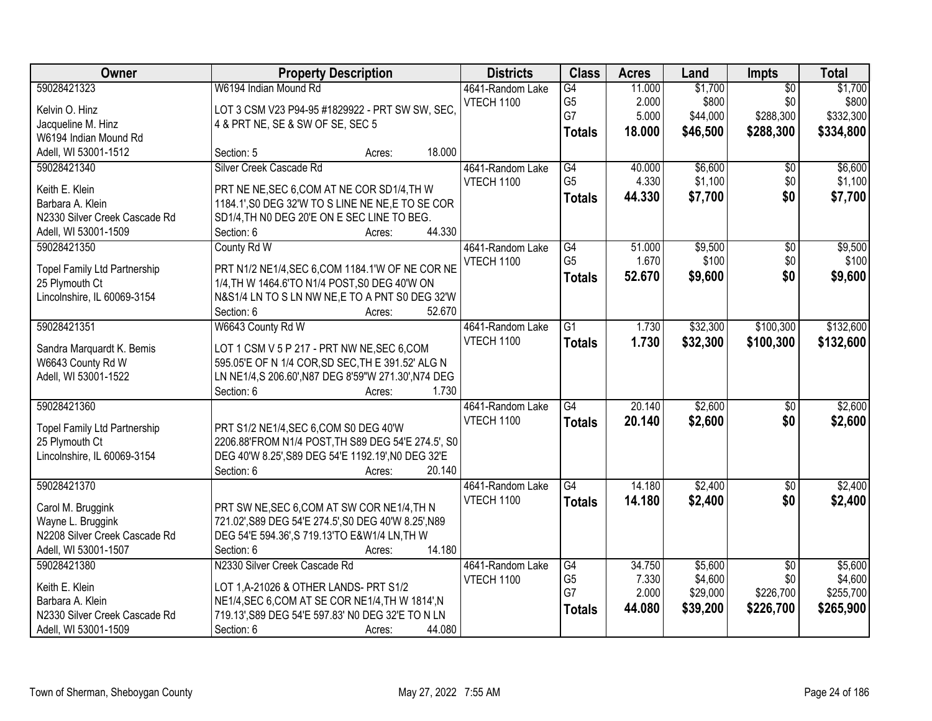| <b>Owner</b>                                      | <b>Property Description</b>                                                   | <b>Districts</b>  | <b>Class</b>    | <b>Acres</b> | Land     | Impts           | <b>Total</b> |
|---------------------------------------------------|-------------------------------------------------------------------------------|-------------------|-----------------|--------------|----------|-----------------|--------------|
| 59028421323                                       | W6194 Indian Mound Rd                                                         | 4641-Random Lake  | G4              | 11.000       | \$1,700  | $\overline{50}$ | \$1,700      |
| Kelvin O. Hinz                                    | LOT 3 CSM V23 P94-95 #1829922 - PRT SW SW, SEC.                               | <b>VTECH 1100</b> | G <sub>5</sub>  | 2.000        | \$800    | \$0             | \$800        |
| Jacqueline M. Hinz                                | 4 & PRT NE, SE & SW OF SE, SEC 5                                              |                   | G7              | 5.000        | \$44,000 | \$288,300       | \$332,300    |
| W6194 Indian Mound Rd                             |                                                                               |                   | <b>Totals</b>   | 18.000       | \$46,500 | \$288,300       | \$334,800    |
| Adell, WI 53001-1512                              | 18.000<br>Section: 5<br>Acres:                                                |                   |                 |              |          |                 |              |
| 59028421340                                       | Silver Creek Cascade Rd                                                       | 4641-Random Lake  | G4              | 40.000       | \$6,600  | $\overline{50}$ | \$6,600      |
|                                                   |                                                                               | VTECH 1100        | G <sub>5</sub>  | 4.330        | \$1,100  | \$0             | \$1,100      |
| Keith E. Klein                                    | PRT NE NE, SEC 6, COM AT NE COR SD1/4, TH W                                   |                   | <b>Totals</b>   | 44.330       | \$7,700  | \$0             | \$7,700      |
| Barbara A. Klein<br>N2330 Silver Creek Cascade Rd | 1184.1', S0 DEG 32'W TO S LINE NE NE, E TO SE COR                             |                   |                 |              |          |                 |              |
| Adell, WI 53001-1509                              | SD1/4, TH NO DEG 20'E ON E SEC LINE TO BEG.<br>44.330<br>Section: 6<br>Acres: |                   |                 |              |          |                 |              |
| 59028421350                                       | County Rd W                                                                   | 4641-Random Lake  | G4              | 51.000       | \$9,500  | \$0             | \$9,500      |
|                                                   |                                                                               | <b>VTECH 1100</b> | G <sub>5</sub>  | 1.670        | \$100    | \$0             | \$100        |
| <b>Topel Family Ltd Partnership</b>               | PRT N1/2 NE1/4, SEC 6, COM 1184.1'W OF NE COR NE                              |                   |                 | 52.670       | \$9,600  | \$0             | \$9,600      |
| 25 Plymouth Ct                                    | 1/4, TH W 1464.6'TO N1/4 POST, S0 DEG 40'W ON                                 |                   | <b>Totals</b>   |              |          |                 |              |
| Lincolnshire, IL 60069-3154                       | N&S1/4 LN TO S LN NW NE,E TO A PNT S0 DEG 32'W                                |                   |                 |              |          |                 |              |
|                                                   | 52.670<br>Section: 6<br>Acres:                                                |                   |                 |              |          |                 |              |
| 59028421351                                       | W6643 County Rd W                                                             | 4641-Random Lake  | $\overline{G1}$ | 1.730        | \$32,300 | \$100,300       | \$132,600    |
| Sandra Marquardt K. Bemis                         | LOT 1 CSM V 5 P 217 - PRT NW NE, SEC 6, COM                                   | <b>VTECH 1100</b> | <b>Totals</b>   | 1.730        | \$32,300 | \$100,300       | \$132,600    |
| W6643 County Rd W                                 | 595.05'E OF N 1/4 COR, SD SEC, TH E 391.52' ALG N                             |                   |                 |              |          |                 |              |
| Adell, WI 53001-1522                              | LN NE1/4,S 206.60', N87 DEG 8'59"W 271.30', N74 DEG                           |                   |                 |              |          |                 |              |
|                                                   | 1.730<br>Section: 6<br>Acres:                                                 |                   |                 |              |          |                 |              |
| 59028421360                                       |                                                                               | 4641-Random Lake  | G4              | 20.140       | \$2,600  | $\overline{50}$ | \$2,600      |
|                                                   |                                                                               | <b>VTECH 1100</b> | <b>Totals</b>   | 20.140       | \$2,600  | \$0             | \$2,600      |
| <b>Topel Family Ltd Partnership</b>               | PRT S1/2 NE1/4, SEC 6, COM S0 DEG 40'W                                        |                   |                 |              |          |                 |              |
| 25 Plymouth Ct                                    | 2206.88'FROM N1/4 POST, TH S89 DEG 54'E 274.5', S0                            |                   |                 |              |          |                 |              |
| Lincolnshire, IL 60069-3154                       | DEG 40'W 8.25', S89 DEG 54'E 1192.19', N0 DEG 32'E<br>20.140                  |                   |                 |              |          |                 |              |
|                                                   | Section: 6<br>Acres:                                                          |                   |                 |              |          |                 |              |
| 59028421370                                       |                                                                               | 4641-Random Lake  | $\overline{G4}$ | 14.180       | \$2,400  | $\overline{50}$ | \$2,400      |
| Carol M. Bruggink                                 | PRT SW NE, SEC 6, COM AT SW COR NE1/4, TH N                                   | VTECH 1100        | <b>Totals</b>   | 14.180       | \$2,400  | \$0             | \$2,400      |
| Wayne L. Bruggink                                 | 721.02', S89 DEG 54'E 274.5', S0 DEG 40'W 8.25', N89                          |                   |                 |              |          |                 |              |
| N2208 Silver Creek Cascade Rd                     | DEG 54'E 594.36', S 719.13'TO E&W1/4 LN, TH W                                 |                   |                 |              |          |                 |              |
| Adell, WI 53001-1507                              | 14.180<br>Section: 6<br>Acres:                                                |                   |                 |              |          |                 |              |
| 59028421380                                       | N2330 Silver Creek Cascade Rd                                                 | 4641-Random Lake  | G4              | 34.750       | \$5,600  | $\overline{50}$ | \$5,600      |
| Keith E. Klein                                    | LOT 1, A-21026 & OTHER LANDS- PRT S1/2                                        | VTECH 1100        | G <sub>5</sub>  | 7.330        | \$4,600  | \$0             | \$4,600      |
| Barbara A. Klein                                  | NE1/4, SEC 6, COM AT SE COR NE1/4, TH W 1814', N                              |                   | G7              | 2.000        | \$29,000 | \$226,700       | \$255,700    |
| N2330 Silver Creek Cascade Rd                     | 719.13', S89 DEG 54'E 597.83' N0 DEG 32'E TO N LN                             |                   | <b>Totals</b>   | 44.080       | \$39,200 | \$226,700       | \$265,900    |
| Adell, WI 53001-1509                              | 44.080<br>Section: 6<br>Acres:                                                |                   |                 |              |          |                 |              |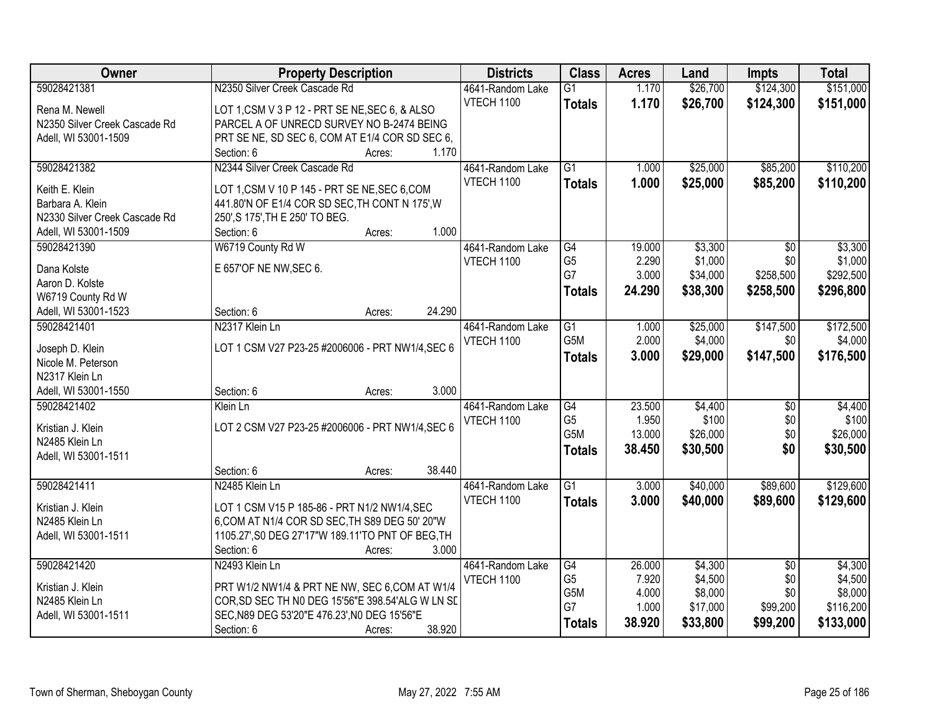| Owner                                 | <b>Property Description</b>                       | <b>Districts</b>  | <b>Class</b>    | <b>Acres</b> | Land     | <b>Impts</b>    | <b>Total</b> |
|---------------------------------------|---------------------------------------------------|-------------------|-----------------|--------------|----------|-----------------|--------------|
| 59028421381                           | N2350 Silver Creek Cascade Rd                     | 4641-Random Lake  | $\overline{G1}$ | 1.170        | \$26,700 | \$124,300       | \$151,000    |
| Rena M. Newell                        | LOT 1, CSM V 3 P 12 - PRT SE NE, SEC 6, & ALSO    | <b>VTECH 1100</b> | <b>Totals</b>   | 1.170        | \$26,700 | \$124,300       | \$151,000    |
| N2350 Silver Creek Cascade Rd         | PARCEL A OF UNRECD SURVEY NO B-2474 BEING         |                   |                 |              |          |                 |              |
| Adell, WI 53001-1509                  | PRT SE NE, SD SEC 6, COM AT E1/4 COR SD SEC 6,    |                   |                 |              |          |                 |              |
|                                       | 1.170<br>Section: 6<br>Acres:                     |                   |                 |              |          |                 |              |
| 59028421382                           | N2344 Silver Creek Cascade Rd                     | 4641-Random Lake  | $\overline{G1}$ | 1.000        | \$25,000 | \$85,200        | \$110,200    |
|                                       | LOT 1,CSM V 10 P 145 - PRT SE NE, SEC 6, COM      | <b>VTECH 1100</b> | <b>Totals</b>   | 1.000        | \$25,000 | \$85,200        | \$110,200    |
| Keith E. Klein<br>Barbara A. Klein    | 441.80'N OF E1/4 COR SD SEC, TH CONT N 175', W    |                   |                 |              |          |                 |              |
| N2330 Silver Creek Cascade Rd         | 250', S 175', TH E 250' TO BEG.                   |                   |                 |              |          |                 |              |
| Adell, WI 53001-1509                  | 1.000<br>Section: 6<br>Acres:                     |                   |                 |              |          |                 |              |
| 59028421390                           | W6719 County Rd W                                 | 4641-Random Lake  | G4              | 19.000       | \$3,300  | \$0             | \$3,300      |
|                                       |                                                   | <b>VTECH 1100</b> | G <sub>5</sub>  | 2.290        | \$1,000  | \$0             | \$1,000      |
| Dana Kolste                           | E 657'OF NE NW, SEC 6.                            |                   | G7              | 3.000        | \$34,000 | \$258,500       | \$292,500    |
| Aaron D. Kolste                       |                                                   |                   |                 |              |          |                 |              |
| W6719 County Rd W                     |                                                   |                   | <b>Totals</b>   | 24.290       | \$38,300 | \$258,500       | \$296,800    |
| Adell, WI 53001-1523                  | 24.290<br>Section: 6<br>Acres:                    |                   |                 |              |          |                 |              |
| 59028421401                           | N2317 Klein Ln                                    | 4641-Random Lake  | G1              | 1.000        | \$25,000 | \$147,500       | \$172,500    |
|                                       | LOT 1 CSM V27 P23-25 #2006006 - PRT NW1/4, SEC 6  | <b>VTECH 1100</b> | G5M             | 2.000        | \$4,000  | \$0             | \$4,000      |
| Joseph D. Klein<br>Nicole M. Peterson |                                                   |                   | <b>Totals</b>   | 3.000        | \$29,000 | \$147,500       | \$176,500    |
| N2317 Klein Ln                        |                                                   |                   |                 |              |          |                 |              |
| Adell, WI 53001-1550                  | 3.000<br>Section: 6<br>Acres:                     |                   |                 |              |          |                 |              |
| 59028421402                           | Klein Ln                                          | 4641-Random Lake  | G4              | 23.500       | \$4,400  | $\overline{60}$ | \$4,400      |
|                                       |                                                   | VTECH 1100        | G <sub>5</sub>  | 1.950        | \$100    | \$0             | \$100        |
| Kristian J. Klein                     | LOT 2 CSM V27 P23-25 #2006006 - PRT NW1/4, SEC 6  |                   | G5M             | 13.000       | \$26,000 | \$0             | \$26,000     |
| N2485 Klein Ln                        |                                                   |                   |                 | 38.450       |          | \$0             | \$30,500     |
| Adell, WI 53001-1511                  |                                                   |                   | <b>Totals</b>   |              | \$30,500 |                 |              |
|                                       | 38.440<br>Section: 6<br>Acres:                    |                   |                 |              |          |                 |              |
| 59028421411                           | N2485 Klein Ln                                    | 4641-Random Lake  | $\overline{G1}$ | 3.000        | \$40,000 | \$89,600        | \$129,600    |
| Kristian J. Klein                     | LOT 1 CSM V15 P 185-86 - PRT N1/2 NW1/4, SEC      | <b>VTECH 1100</b> | <b>Totals</b>   | 3.000        | \$40,000 | \$89,600        | \$129,600    |
| N2485 Klein Ln                        | 6, COM AT N1/4 COR SD SEC, TH S89 DEG 50' 20"W    |                   |                 |              |          |                 |              |
| Adell, WI 53001-1511                  | 1105.27', S0 DEG 27'17"W 189.11'TO PNT OF BEG, TH |                   |                 |              |          |                 |              |
|                                       | Section: 6<br>3.000<br>Acres:                     |                   |                 |              |          |                 |              |
| 59028421420                           | N2493 Klein Ln                                    | 4641-Random Lake  | G4              | 26.000       | \$4,300  | $\overline{50}$ | \$4,300      |
|                                       |                                                   | <b>VTECH 1100</b> | G <sub>5</sub>  | 7.920        | \$4,500  | \$0             | \$4,500      |
| Kristian J. Klein                     | PRT W1/2 NW1/4 & PRT NE NW, SEC 6,COM AT W1/4     |                   | G5M             | 4.000        | \$8,000  | \$0             | \$8,000      |
| N2485 Klein Ln                        | COR, SD SEC TH N0 DEG 15'56"E 398.54'ALG W LN SE  |                   | G7              | 1.000        | \$17,000 | \$99,200        | \$116,200    |
| Adell, WI 53001-1511                  | SEC, N89 DEG 53'20"E 476.23', N0 DEG 15'56"E      |                   | <b>Totals</b>   | 38.920       | \$33,800 | \$99,200        | \$133,000    |
|                                       | 38.920<br>Section: 6<br>Acres:                    |                   |                 |              |          |                 |              |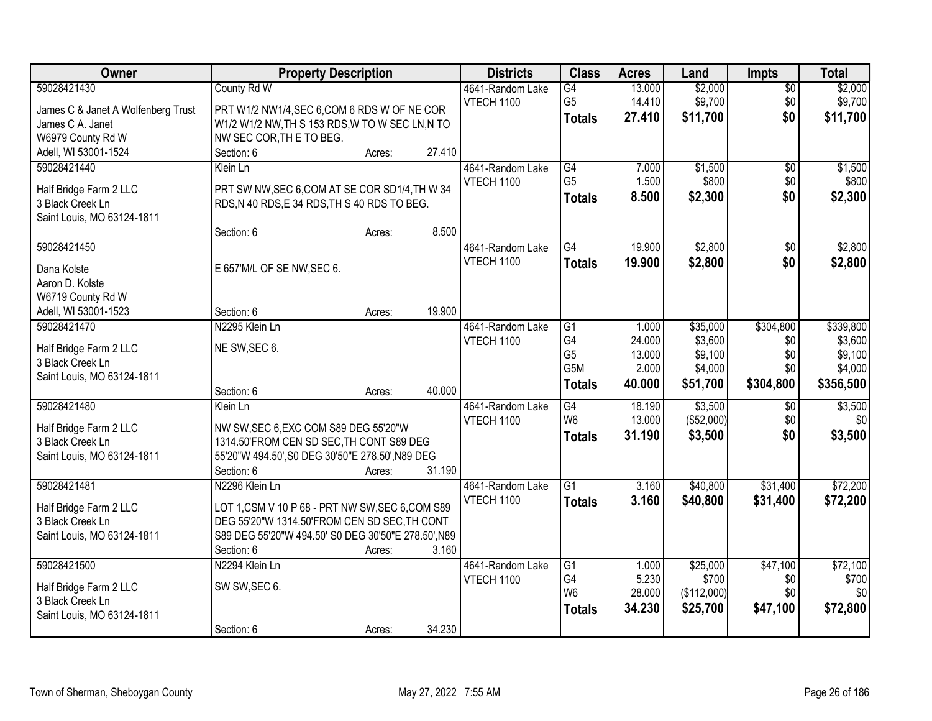| Owner                              | <b>Property Description</b>                         |        |        | <b>Districts</b>  | <b>Class</b>    | <b>Acres</b> | Land        | <b>Impts</b>    | <b>Total</b> |
|------------------------------------|-----------------------------------------------------|--------|--------|-------------------|-----------------|--------------|-------------|-----------------|--------------|
| 59028421430                        | County Rd W                                         |        |        | 4641-Random Lake  | $\overline{G4}$ | 13.000       | \$2,000     | $\overline{50}$ | \$2,000      |
| James C & Janet A Wolfenberg Trust | PRT W1/2 NW1/4, SEC 6, COM 6 RDS W OF NE COR        |        |        | VTECH 1100        | G <sub>5</sub>  | 14.410       | \$9,700     | \$0             | \$9,700      |
| James C A. Janet                   | W1/2 W1/2 NW, TH S 153 RDS, W TO W SEC LN, N TO     |        |        |                   | <b>Totals</b>   | 27.410       | \$11,700    | \$0             | \$11,700     |
| W6979 County Rd W                  | NW SEC COR, THE TO BEG.                             |        |        |                   |                 |              |             |                 |              |
| Adell, WI 53001-1524               | Section: 6                                          | Acres: | 27.410 |                   |                 |              |             |                 |              |
| 59028421440                        | Klein Ln                                            |        |        | 4641-Random Lake  | G4              | 7.000        | \$1,500     | \$0             | \$1,500      |
|                                    |                                                     |        |        | VTECH 1100        | G <sub>5</sub>  | 1.500        | \$800       | \$0             | \$800        |
| Half Bridge Farm 2 LLC             | PRT SW NW, SEC 6, COM AT SE COR SD1/4, TH W 34      |        |        |                   | <b>Totals</b>   | 8.500        | \$2,300     | \$0             | \$2,300      |
| 3 Black Creek Ln                   | RDS, N 40 RDS, E 34 RDS, TH S 40 RDS TO BEG.        |        |        |                   |                 |              |             |                 |              |
| Saint Louis, MO 63124-1811         |                                                     |        | 8.500  |                   |                 |              |             |                 |              |
|                                    | Section: 6                                          | Acres: |        |                   | $\overline{G4}$ | 19.900       | \$2,800     |                 | \$2,800      |
| 59028421450                        |                                                     |        |        | 4641-Random Lake  |                 |              |             | \$0             |              |
| Dana Kolste                        | E 657'M/L OF SE NW, SEC 6.                          |        |        | VTECH 1100        | <b>Totals</b>   | 19.900       | \$2,800     | \$0             | \$2,800      |
| Aaron D. Kolste                    |                                                     |        |        |                   |                 |              |             |                 |              |
| W6719 County Rd W                  |                                                     |        |        |                   |                 |              |             |                 |              |
| Adell, WI 53001-1523               | Section: 6                                          | Acres: | 19.900 |                   |                 |              |             |                 |              |
| 59028421470                        | N2295 Klein Ln                                      |        |        | 4641-Random Lake  | G1              | 1.000        | \$35,000    | \$304,800       | \$339,800    |
| Half Bridge Farm 2 LLC             | NE SW, SEC 6.                                       |        |        | VTECH 1100        | G4              | 24.000       | \$3,600     | \$0             | \$3,600      |
| 3 Black Creek Ln                   |                                                     |        |        |                   | G <sub>5</sub>  | 13.000       | \$9,100     | \$0             | \$9,100      |
| Saint Louis, MO 63124-1811         |                                                     |        |        |                   | G5M             | 2.000        | \$4,000     | \$0             | \$4,000      |
|                                    | Section: 6                                          | Acres: | 40.000 |                   | <b>Totals</b>   | 40.000       | \$51,700    | \$304,800       | \$356,500    |
| 59028421480                        | Klein Ln                                            |        |        | 4641-Random Lake  | $\overline{G4}$ | 18.190       | \$3,500     | $\overline{30}$ | \$3,500      |
|                                    |                                                     |        |        | <b>VTECH 1100</b> | W <sub>6</sub>  | 13.000       | (\$52,000)  | \$0             | \$0          |
| Half Bridge Farm 2 LLC             | NW SW, SEC 6, EXC COM S89 DEG 55'20"W               |        |        |                   | <b>Totals</b>   | 31.190       | \$3,500     | \$0             | \$3,500      |
| 3 Black Creek Ln                   | 1314.50'FROM CEN SD SEC, TH CONT S89 DEG            |        |        |                   |                 |              |             |                 |              |
| Saint Louis, MO 63124-1811         | 55'20"W 494.50', S0 DEG 30'50"E 278.50', N89 DEG    |        |        |                   |                 |              |             |                 |              |
|                                    | Section: 6                                          | Acres: | 31.190 |                   |                 |              |             |                 | \$72,200     |
| 59028421481                        | N2296 Klein Ln                                      |        |        | 4641-Random Lake  | $\overline{G1}$ | 3.160        | \$40,800    | \$31,400        |              |
| Half Bridge Farm 2 LLC             | LOT 1, CSM V 10 P 68 - PRT NW SW, SEC 6, COM S89    |        |        | VTECH 1100        | <b>Totals</b>   | 3.160        | \$40,800    | \$31,400        | \$72,200     |
| 3 Black Creek Ln                   | DEG 55'20"W 1314.50'FROM CEN SD SEC, TH CONT        |        |        |                   |                 |              |             |                 |              |
| Saint Louis, MO 63124-1811         | S89 DEG 55'20"W 494.50' S0 DEG 30'50"E 278.50', N89 |        |        |                   |                 |              |             |                 |              |
|                                    | Section: 6                                          | Acres: | 3.160  |                   |                 |              |             |                 |              |
| 59028421500                        | N2294 Klein Ln                                      |        |        | 4641-Random Lake  | $\overline{G1}$ | 1.000        | \$25,000    | \$47,100        | \$72,100     |
| Half Bridge Farm 2 LLC             | SW SW, SEC 6.                                       |        |        | VTECH 1100        | G4              | 5.230        | \$700       | \$0             | \$700        |
| 3 Black Creek Ln                   |                                                     |        |        |                   | W <sub>6</sub>  | 28.000       | (\$112,000) | \$0             | \$0          |
| Saint Louis, MO 63124-1811         |                                                     |        |        |                   | <b>Totals</b>   | 34.230       | \$25,700    | \$47,100        | \$72,800     |
|                                    | Section: 6                                          | Acres: | 34.230 |                   |                 |              |             |                 |              |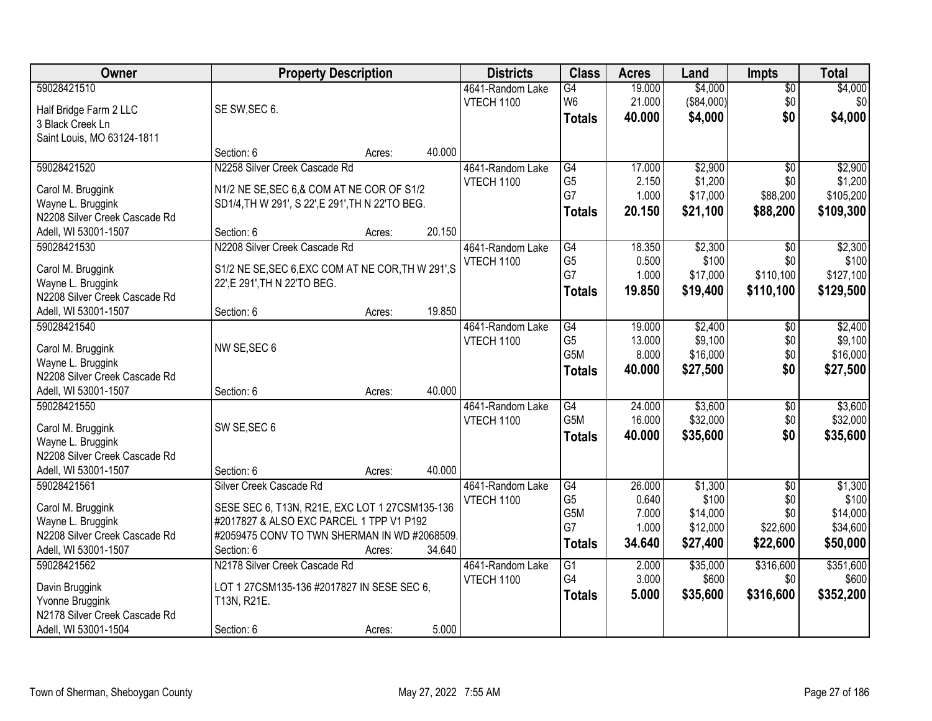| Owner                         |                                                    | <b>Property Description</b> |        | <b>Districts</b>  | <b>Class</b>                       | <b>Acres</b>   | Land              | <b>Impts</b>     | <b>Total</b>       |
|-------------------------------|----------------------------------------------------|-----------------------------|--------|-------------------|------------------------------------|----------------|-------------------|------------------|--------------------|
| 59028421510                   |                                                    |                             |        | 4641-Random Lake  | $\overline{G4}$                    | 19.000         | \$4,000           | $\overline{50}$  | \$4,000            |
| Half Bridge Farm 2 LLC        | SE SW, SEC 6.                                      |                             |        | VTECH 1100        | W <sub>6</sub>                     | 21.000         | (\$84,000)        | \$0              | \$0 <sub>1</sub>   |
| 3 Black Creek Ln              |                                                    |                             |        |                   | <b>Totals</b>                      | 40.000         | \$4,000           | \$0              | \$4,000            |
| Saint Louis, MO 63124-1811    |                                                    |                             |        |                   |                                    |                |                   |                  |                    |
|                               | Section: 6                                         | Acres:                      | 40.000 |                   |                                    |                |                   |                  |                    |
| 59028421520                   | N2258 Silver Creek Cascade Rd                      |                             |        | 4641-Random Lake  | $\overline{G4}$                    | 17.000         | \$2,900           | $\overline{50}$  | \$2,900            |
|                               |                                                    |                             |        | <b>VTECH 1100</b> | G <sub>5</sub>                     | 2.150          | \$1,200           | \$0              | \$1,200            |
| Carol M. Bruggink             | N1/2 NE SE, SEC 6,& COM AT NE COR OF S1/2          |                             |        |                   | G7                                 | 1.000          | \$17,000          | \$88,200         | \$105,200          |
| Wayne L. Bruggink             | SD1/4, TH W 291', S 22', E 291', TH N 22'TO BEG.   |                             |        |                   | <b>Totals</b>                      | 20.150         | \$21,100          | \$88,200         | \$109,300          |
| N2208 Silver Creek Cascade Rd |                                                    |                             |        |                   |                                    |                |                   |                  |                    |
| Adell, WI 53001-1507          | Section: 6                                         | Acres:                      | 20.150 |                   |                                    |                |                   |                  |                    |
| 59028421530                   | N2208 Silver Creek Cascade Rd                      |                             |        | 4641-Random Lake  | $\overline{G4}$                    | 18.350         | \$2,300           | \$0              | \$2,300            |
| Carol M. Bruggink             | S1/2 NE SE, SEC 6, EXC COM AT NE COR, TH W 291', S |                             |        | VTECH 1100        | G <sub>5</sub><br>G7               | 0.500<br>1.000 | \$100<br>\$17,000 | \$0<br>\$110,100 | \$100<br>\$127,100 |
| Wayne L. Bruggink             | 22', E 291', TH N 22' TO BEG.                      |                             |        |                   |                                    | 19.850         |                   |                  |                    |
| N2208 Silver Creek Cascade Rd |                                                    |                             |        |                   | <b>Totals</b>                      |                | \$19,400          | \$110,100        | \$129,500          |
| Adell, WI 53001-1507          | Section: 6                                         | Acres:                      | 19.850 |                   |                                    |                |                   |                  |                    |
| 59028421540                   |                                                    |                             |        | 4641-Random Lake  | $\overline{G4}$                    | 19.000         | \$2,400           | \$0              | \$2,400            |
| Carol M. Bruggink             | NW SE, SEC 6                                       |                             |        | VTECH 1100        | G <sub>5</sub>                     | 13.000         | \$9,100           | \$0              | \$9,100            |
| Wayne L. Bruggink             |                                                    |                             |        |                   | G <sub>5</sub> M                   | 8.000          | \$16,000          | \$0              | \$16,000           |
| N2208 Silver Creek Cascade Rd |                                                    |                             |        |                   | <b>Totals</b>                      | 40.000         | \$27,500          | \$0              | \$27,500           |
| Adell, WI 53001-1507          | Section: 6                                         | Acres:                      | 40.000 |                   |                                    |                |                   |                  |                    |
| 59028421550                   |                                                    |                             |        | 4641-Random Lake  | G4                                 | 24.000         | \$3,600           | $\overline{50}$  | \$3,600            |
|                               |                                                    |                             |        | VTECH 1100        | G <sub>5</sub> M                   | 16.000         | \$32,000          | \$0              | \$32,000           |
| Carol M. Bruggink             | SW SE, SEC 6                                       |                             |        |                   | <b>Totals</b>                      | 40.000         | \$35,600          | \$0              | \$35,600           |
| Wayne L. Bruggink             |                                                    |                             |        |                   |                                    |                |                   |                  |                    |
| N2208 Silver Creek Cascade Rd |                                                    |                             |        |                   |                                    |                |                   |                  |                    |
| Adell, WI 53001-1507          | Section: 6                                         | Acres:                      | 40.000 |                   |                                    |                |                   |                  |                    |
| 59028421561                   | Silver Creek Cascade Rd                            |                             |        | 4641-Random Lake  | G4                                 | 26.000         | \$1,300           | $\overline{50}$  | \$1,300            |
| Carol M. Bruggink             | SESE SEC 6, T13N, R21E, EXC LOT 1 27CSM135-136     |                             |        | <b>VTECH 1100</b> | G <sub>5</sub><br>G <sub>5</sub> M | 0.640<br>7.000 | \$100<br>\$14,000 | \$0<br>\$0       | \$100<br>\$14,000  |
| Wayne L. Bruggink             | #2017827 & ALSO EXC PARCEL 1 TPP V1 P192           |                             |        |                   | G7                                 | 1.000          | \$12,000          | \$22,600         | \$34,600           |
| N2208 Silver Creek Cascade Rd | #2059475 CONV TO TWN SHERMAN IN WD #2068509.       |                             |        |                   |                                    |                |                   |                  |                    |
| Adell, WI 53001-1507          | Section: 6                                         | Acres:                      | 34.640 |                   | <b>Totals</b>                      | 34.640         | \$27,400          | \$22,600         | \$50,000           |
| 59028421562                   | N2178 Silver Creek Cascade Rd                      |                             |        | 4641-Random Lake  | $\overline{G1}$                    | 2.000          | \$35,000          | \$316,600        | \$351,600          |
| Davin Bruggink                | LOT 1 27CSM135-136 #2017827 IN SESE SEC 6,         |                             |        | <b>VTECH 1100</b> | G4                                 | 3.000          | \$600             | \$0              | \$600              |
| Yvonne Bruggink               | T13N, R21E.                                        |                             |        |                   | <b>Totals</b>                      | 5.000          | \$35,600          | \$316,600        | \$352,200          |
| N2178 Silver Creek Cascade Rd |                                                    |                             |        |                   |                                    |                |                   |                  |                    |
| Adell, WI 53001-1504          | Section: 6                                         | Acres:                      | 5.000  |                   |                                    |                |                   |                  |                    |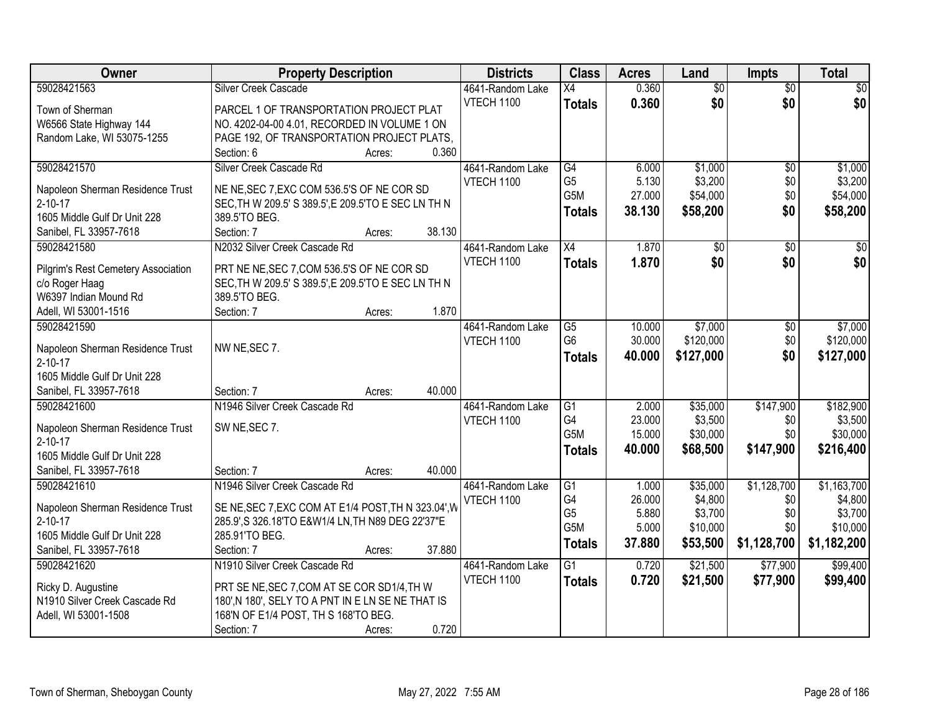| Owner                                             | <b>Property Description</b>                         | <b>Districts</b>  | <b>Class</b>     | <b>Acres</b> | Land            | <b>Impts</b>    | <b>Total</b> |
|---------------------------------------------------|-----------------------------------------------------|-------------------|------------------|--------------|-----------------|-----------------|--------------|
| 59028421563                                       | <b>Silver Creek Cascade</b>                         | 4641-Random Lake  | $\overline{X4}$  | 0.360        | $\overline{50}$ | $\overline{50}$ | \$0          |
| Town of Sherman                                   | PARCEL 1 OF TRANSPORTATION PROJECT PLAT             | VTECH 1100        | <b>Totals</b>    | 0.360        | \$0             | \$0             | \$0          |
| W6566 State Highway 144                           | NO. 4202-04-00 4.01, RECORDED IN VOLUME 1 ON        |                   |                  |              |                 |                 |              |
| Random Lake, WI 53075-1255                        | PAGE 192, OF TRANSPORTATION PROJECT PLATS,          |                   |                  |              |                 |                 |              |
|                                                   | 0.360<br>Section: 6<br>Acres:                       |                   |                  |              |                 |                 |              |
| 59028421570                                       | Silver Creek Cascade Rd                             | 4641-Random Lake  | $\overline{G4}$  | 6.000        | \$1,000         | $\overline{50}$ | \$1,000      |
|                                                   |                                                     | VTECH 1100        | G <sub>5</sub>   | 5.130        | \$3,200         | \$0             | \$3,200      |
| Napoleon Sherman Residence Trust                  | NE NE, SEC 7, EXC COM 536.5'S OF NE COR SD          |                   | G <sub>5</sub> M | 27.000       | \$54,000        | \$0             | \$54,000     |
| $2 - 10 - 17$<br>1605 Middle Gulf Dr Unit 228     | SEC, TH W 209.5' S 389.5', E 209.5'TO E SEC LN TH N |                   | <b>Totals</b>    | 38.130       | \$58,200        | \$0             | \$58,200     |
| Sanibel, FL 33957-7618                            | 389.5'TO BEG.<br>38.130<br>Section: 7               |                   |                  |              |                 |                 |              |
| 59028421580                                       | Acres:<br>N2032 Silver Creek Cascade Rd             | 4641-Random Lake  | X4               | 1.870        |                 |                 | $\sqrt{50}$  |
|                                                   |                                                     | <b>VTECH 1100</b> |                  |              | \$0             | \$0             |              |
| Pilgrim's Rest Cemetery Association               | PRT NE NE, SEC 7, COM 536.5'S OF NE COR SD          |                   | <b>Totals</b>    | 1.870        | \$0             | \$0             | \$0          |
| c/o Roger Haag                                    | SEC, TH W 209.5' S 389.5', E 209.5'TO E SEC LN TH N |                   |                  |              |                 |                 |              |
| W6397 Indian Mound Rd                             | 389.5'TO BEG.                                       |                   |                  |              |                 |                 |              |
| Adell, WI 53001-1516                              | 1.870<br>Section: 7<br>Acres:                       |                   |                  |              |                 |                 |              |
| 59028421590                                       |                                                     | 4641-Random Lake  | G5               | 10.000       | \$7,000         | \$0             | \$7,000      |
|                                                   | NW NE, SEC 7.                                       | VTECH 1100        | G <sub>6</sub>   | 30.000       | \$120,000       | \$0             | \$120,000    |
| Napoleon Sherman Residence Trust<br>$2 - 10 - 17$ |                                                     |                   | <b>Totals</b>    | 40.000       | \$127,000       | \$0             | \$127,000    |
| 1605 Middle Gulf Dr Unit 228                      |                                                     |                   |                  |              |                 |                 |              |
| Sanibel, FL 33957-7618                            | 40.000<br>Section: 7                                |                   |                  |              |                 |                 |              |
| 59028421600                                       | Acres:<br>N1946 Silver Creek Cascade Rd             | 4641-Random Lake  | $\overline{G1}$  | 2.000        | \$35,000        | \$147,900       | \$182,900    |
|                                                   |                                                     | VTECH 1100        | G4               | 23.000       | \$3,500         | \$0             | \$3,500      |
| Napoleon Sherman Residence Trust                  | SW NE, SEC 7.                                       |                   | G5M              | 15.000       | \$30,000        | \$0             | \$30,000     |
| $2 - 10 - 17$                                     |                                                     |                   |                  | 40.000       | \$68,500        | \$147,900       | \$216,400    |
| 1605 Middle Gulf Dr Unit 228                      |                                                     |                   | <b>Totals</b>    |              |                 |                 |              |
| Sanibel, FL 33957-7618                            | 40.000<br>Section: 7<br>Acres:                      |                   |                  |              |                 |                 |              |
| 59028421610                                       | N1946 Silver Creek Cascade Rd                       | 4641-Random Lake  | $\overline{G1}$  | 1.000        | \$35,000        | \$1,128,700     | \$1,163,700  |
| Napoleon Sherman Residence Trust                  | SE NE, SEC 7, EXC COM AT E1/4 POST, TH N 323.04', W | <b>VTECH 1100</b> | G4               | 26.000       | \$4,800         | \$0             | \$4,800      |
| $2 - 10 - 17$                                     | 285.9', S 326.18'TO E&W1/4 LN, TH N89 DEG 22'37"E   |                   | G <sub>5</sub>   | 5.880        | \$3,700         | \$0             | \$3,700      |
| 1605 Middle Gulf Dr Unit 228                      | 285.91'TO BEG.                                      |                   | G <sub>5</sub> M | 5.000        | \$10,000        | \$0             | \$10,000     |
| Sanibel, FL 33957-7618                            | 37.880<br>Section: 7<br>Acres:                      |                   | <b>Totals</b>    | 37.880       | \$53,500        | \$1,128,700     | \$1,182,200  |
| 59028421620                                       | N1910 Silver Creek Cascade Rd                       | 4641-Random Lake  | G1               | 0.720        | \$21,500        | \$77,900        | \$99,400     |
|                                                   |                                                     | VTECH 1100        |                  | 0.720        | \$21,500        | \$77,900        | \$99,400     |
| Ricky D. Augustine                                | PRT SE NE, SEC 7, COM AT SE COR SD1/4, TH W         |                   | <b>Totals</b>    |              |                 |                 |              |
| N1910 Silver Creek Cascade Rd                     | 180', N 180', SELY TO A PNT IN E LN SE NE THAT IS   |                   |                  |              |                 |                 |              |
| Adell, WI 53001-1508                              | 168'N OF E1/4 POST, TH S 168'TO BEG.                |                   |                  |              |                 |                 |              |
|                                                   | 0.720<br>Section: 7<br>Acres:                       |                   |                  |              |                 |                 |              |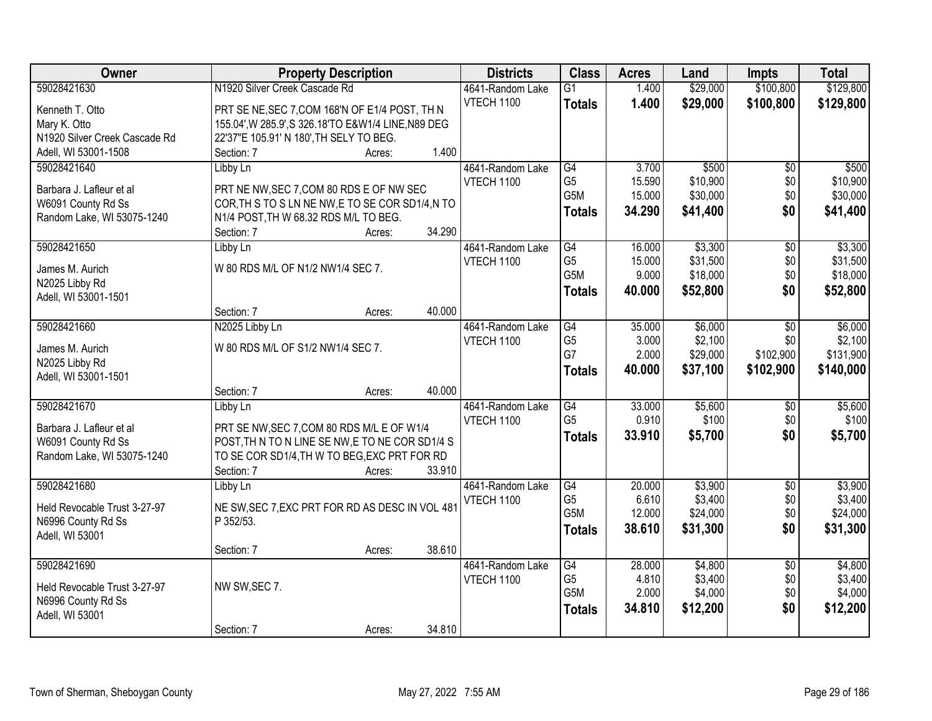| Owner                         |                                                                                              | <b>Property Description</b> |        | <b>Districts</b>  | <b>Class</b>         | <b>Acres</b>   | Land                | <b>Impts</b>     | <b>Total</b>         |
|-------------------------------|----------------------------------------------------------------------------------------------|-----------------------------|--------|-------------------|----------------------|----------------|---------------------|------------------|----------------------|
| 59028421630                   | N1920 Silver Creek Cascade Rd                                                                |                             |        | 4641-Random Lake  | $\overline{G1}$      | 1.400          | \$29,000            | \$100,800        | \$129,800            |
| Kenneth T. Otto               | PRT SE NE, SEC 7, COM 168'N OF E1/4 POST, TH N                                               |                             |        | <b>VTECH 1100</b> | <b>Totals</b>        | 1.400          | \$29,000            | \$100,800        | \$129,800            |
| Mary K. Otto                  | 155.04', W 285.9', S 326.18'TO E&W1/4 LINE, N89 DEG                                          |                             |        |                   |                      |                |                     |                  |                      |
| N1920 Silver Creek Cascade Rd | 22'37"E 105.91' N 180', TH SELY TO BEG.                                                      |                             |        |                   |                      |                |                     |                  |                      |
| Adell, WI 53001-1508          | Section: 7                                                                                   | Acres:                      | 1.400  |                   |                      |                |                     |                  |                      |
| 59028421640                   | Libby Ln                                                                                     |                             |        | 4641-Random Lake  | $\overline{G4}$      | 3.700          | \$500               | \$0              | \$500                |
| Barbara J. Lafleur et al      |                                                                                              |                             |        | VTECH 1100        | G <sub>5</sub>       | 15.590         | \$10,900            | \$0              | \$10,900             |
| W6091 County Rd Ss            | PRT NE NW, SEC 7, COM 80 RDS E OF NW SEC<br>COR, TH S TO S LN NE NW, E TO SE COR SD1/4, N TO |                             |        |                   | G <sub>5</sub> M     | 15.000         | \$30,000            | \$0              | \$30,000             |
| Random Lake, WI 53075-1240    | N1/4 POST, TH W 68.32 RDS M/L TO BEG.                                                        |                             |        |                   | <b>Totals</b>        | 34.290         | \$41,400            | \$0              | \$41,400             |
|                               | Section: 7                                                                                   | Acres:                      | 34.290 |                   |                      |                |                     |                  |                      |
| 59028421650                   | Libby Ln                                                                                     |                             |        | 4641-Random Lake  | $\overline{G4}$      | 16.000         | \$3,300             | \$0              | \$3,300              |
|                               |                                                                                              |                             |        | VTECH 1100        | G <sub>5</sub>       | 15.000         | \$31,500            | \$0              | \$31,500             |
| James M. Aurich               | W 80 RDS M/L OF N1/2 NW1/4 SEC 7.                                                            |                             |        |                   | G <sub>5</sub> M     | 9.000          | \$18,000            | \$0              | \$18,000             |
| N2025 Libby Rd                |                                                                                              |                             |        |                   | <b>Totals</b>        | 40.000         | \$52,800            | \$0              | \$52,800             |
| Adell, WI 53001-1501          |                                                                                              |                             |        |                   |                      |                |                     |                  |                      |
|                               | Section: 7                                                                                   | Acres:                      | 40.000 |                   |                      |                |                     |                  |                      |
| 59028421660                   | N2025 Libby Ln                                                                               |                             |        | 4641-Random Lake  | G4                   | 35.000         | \$6,000             | $\sqrt[6]{}$     | \$6,000              |
| James M. Aurich               | W 80 RDS M/L OF S1/2 NW1/4 SEC 7.                                                            |                             |        | <b>VTECH 1100</b> | G <sub>5</sub><br>G7 | 3.000<br>2.000 | \$2,100<br>\$29,000 | \$0<br>\$102,900 | \$2,100<br>\$131,900 |
| N2025 Libby Rd                |                                                                                              |                             |        |                   |                      | 40,000         |                     |                  |                      |
| Adell, WI 53001-1501          |                                                                                              |                             |        |                   | <b>Totals</b>        |                | \$37,100            | \$102,900        | \$140,000            |
|                               | Section: 7                                                                                   | Acres:                      | 40.000 |                   |                      |                |                     |                  |                      |
| 59028421670                   | Libby Ln                                                                                     |                             |        | 4641-Random Lake  | $\overline{G4}$      | 33.000         | \$5,600             | \$0              | \$5,600              |
| Barbara J. Lafleur et al      | PRT SE NW, SEC 7, COM 80 RDS M/L E OF W1/4                                                   |                             |        | VTECH 1100        | G <sub>5</sub>       | 0.910          | \$100               | \$0              | \$100                |
| W6091 County Rd Ss            | POST, THIN TO N LINE SE NW, E TO NE COR SD1/4 S                                              |                             |        |                   | <b>Totals</b>        | 33.910         | \$5,700             | \$0              | \$5,700              |
| Random Lake, WI 53075-1240    | TO SE COR SD1/4, TH W TO BEG, EXC PRT FOR RD                                                 |                             |        |                   |                      |                |                     |                  |                      |
|                               | Section: 7                                                                                   | Acres:                      | 33.910 |                   |                      |                |                     |                  |                      |
| 59028421680                   | Libby Ln                                                                                     |                             |        | 4641-Random Lake  | G4                   | 20.000         | \$3,900             | $\sqrt{6}$       | \$3,900              |
| Held Revocable Trust 3-27-97  |                                                                                              |                             |        | VTECH 1100        | G <sub>5</sub>       | 6.610          | \$3,400             | \$0              | \$3,400              |
| N6996 County Rd Ss            | NE SW, SEC 7, EXC PRT FOR RD AS DESC IN VOL 481<br>P 352/53.                                 |                             |        |                   | G <sub>5</sub> M     | 12.000         | \$24,000            | \$0              | \$24,000             |
| Adell, WI 53001               |                                                                                              |                             |        |                   | <b>Totals</b>        | 38.610         | \$31,300            | \$0              | \$31,300             |
|                               | Section: 7                                                                                   | Acres:                      | 38.610 |                   |                      |                |                     |                  |                      |
| 59028421690                   |                                                                                              |                             |        | 4641-Random Lake  | G4                   | 28.000         | \$4,800             | $\overline{50}$  | \$4,800              |
|                               |                                                                                              |                             |        | <b>VTECH 1100</b> | G <sub>5</sub>       | 4.810          | \$3,400             | \$0              | \$3,400              |
| Held Revocable Trust 3-27-97  | NW SW, SEC 7.                                                                                |                             |        |                   | G <sub>5</sub> M     | 2.000          | \$4,000             | \$0              | \$4,000              |
| N6996 County Rd Ss            |                                                                                              |                             |        |                   | <b>Totals</b>        | 34.810         | \$12,200            | \$0              | \$12,200             |
| Adell, WI 53001               |                                                                                              |                             |        |                   |                      |                |                     |                  |                      |
|                               | Section: 7                                                                                   | Acres:                      | 34.810 |                   |                      |                |                     |                  |                      |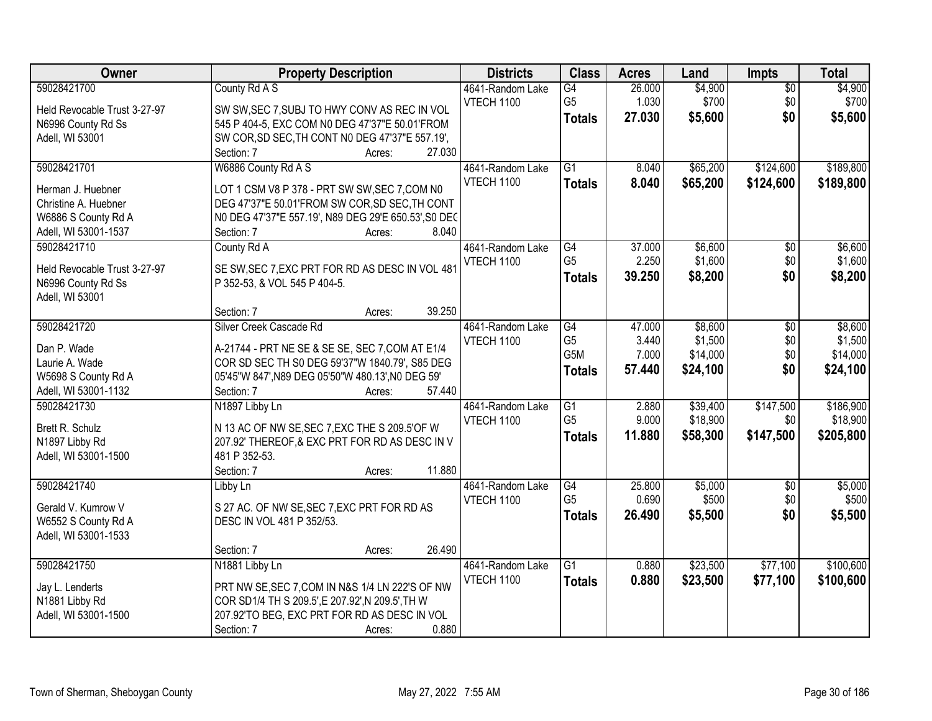| Owner                        | <b>Property Description</b>                          | <b>Districts</b>  | <b>Class</b>     | <b>Acres</b> | Land     | <b>Impts</b>    | <b>Total</b> |
|------------------------------|------------------------------------------------------|-------------------|------------------|--------------|----------|-----------------|--------------|
| 59028421700                  | County Rd A S                                        | 4641-Random Lake  | G4               | 26.000       | \$4,900  | $\overline{50}$ | \$4,900      |
| Held Revocable Trust 3-27-97 | SW SW, SEC 7, SUBJ TO HWY CONV AS REC IN VOL         | VTECH 1100        | G <sub>5</sub>   | 1.030        | \$700    | \$0             | \$700        |
| N6996 County Rd Ss           | 545 P 404-5, EXC COM N0 DEG 47'37"E 50.01'FROM       |                   | <b>Totals</b>    | 27.030       | \$5,600  | \$0             | \$5,600      |
| Adell, WI 53001              | SW COR, SD SEC, TH CONT N0 DEG 47'37"E 557.19',      |                   |                  |              |          |                 |              |
|                              | 27.030<br>Section: 7<br>Acres:                       |                   |                  |              |          |                 |              |
| 59028421701                  | W6886 County Rd A S                                  | 4641-Random Lake  | $\overline{G1}$  | 8.040        | \$65,200 | \$124,600       | \$189,800    |
|                              |                                                      | <b>VTECH 1100</b> | <b>Totals</b>    | 8.040        | \$65,200 | \$124,600       | \$189,800    |
| Herman J. Huebner            | LOT 1 CSM V8 P 378 - PRT SW SW, SEC 7, COM N0        |                   |                  |              |          |                 |              |
| Christine A. Huebner         | DEG 47'37"E 50.01'FROM SW COR, SD SEC, TH CONT       |                   |                  |              |          |                 |              |
| W6886 S County Rd A          | NO DEG 47'37"E 557.19', N89 DEG 29'E 650.53', SO DEC |                   |                  |              |          |                 |              |
| Adell, WI 53001-1537         | 8.040<br>Section: 7<br>Acres:                        |                   |                  |              |          |                 |              |
| 59028421710                  | County Rd A                                          | 4641-Random Lake  | G4               | 37.000       | \$6,600  | \$0             | \$6,600      |
| Held Revocable Trust 3-27-97 | SE SW, SEC 7, EXC PRT FOR RD AS DESC IN VOL 481      | <b>VTECH 1100</b> | G <sub>5</sub>   | 2.250        | \$1,600  | \$0             | \$1,600      |
| N6996 County Rd Ss           | P 352-53, & VOL 545 P 404-5.                         |                   | <b>Totals</b>    | 39.250       | \$8,200  | \$0             | \$8,200      |
| Adell, WI 53001              |                                                      |                   |                  |              |          |                 |              |
|                              | 39.250<br>Section: 7<br>Acres:                       |                   |                  |              |          |                 |              |
| 59028421720                  | Silver Creek Cascade Rd                              | 4641-Random Lake  | $\overline{G4}$  | 47.000       | \$8,600  | \$0             | \$8,600      |
|                              |                                                      | <b>VTECH 1100</b> | G <sub>5</sub>   | 3.440        | \$1,500  | \$0             | \$1,500      |
| Dan P. Wade                  | A-21744 - PRT NE SE & SE SE, SEC 7, COM AT E1/4      |                   | G <sub>5</sub> M | 7.000        | \$14,000 | \$0             | \$14,000     |
| Laurie A. Wade               | COR SD SEC TH S0 DEG 59'37"W 1840.79', S85 DEG       |                   | <b>Totals</b>    | 57.440       | \$24,100 | \$0             | \$24,100     |
| W5698 S County Rd A          | 05'45"W 847', N89 DEG 05'50"W 480.13', N0 DEG 59'    |                   |                  |              |          |                 |              |
| Adell, WI 53001-1132         | 57.440<br>Section: 7<br>Acres:                       |                   |                  |              |          |                 |              |
| 59028421730                  | N1897 Libby Ln                                       | 4641-Random Lake  | $\overline{G1}$  | 2.880        | \$39,400 | \$147,500       | \$186,900    |
| Brett R. Schulz              | N 13 AC OF NW SE, SEC 7, EXC THE S 209.5' OF W       | <b>VTECH 1100</b> | G <sub>5</sub>   | 9.000        | \$18,900 | \$0             | \$18,900     |
| N1897 Libby Rd               | 207.92' THEREOF, & EXC PRT FOR RD AS DESC IN V       |                   | <b>Totals</b>    | 11.880       | \$58,300 | \$147,500       | \$205,800    |
| Adell, WI 53001-1500         | 481 P 352-53.                                        |                   |                  |              |          |                 |              |
|                              | 11.880<br>Section: 7<br>Acres:                       |                   |                  |              |          |                 |              |
| 59028421740                  | Libby Ln                                             | 4641-Random Lake  | G4               | 25.800       | \$5,000  | $\sqrt{$0}$     | \$5,000      |
| Gerald V. Kumrow V           | S 27 AC. OF NW SE, SEC 7, EXC PRT FOR RD AS          | <b>VTECH 1100</b> | G <sub>5</sub>   | 0.690        | \$500    | \$0             | \$500        |
| W6552 S County Rd A          | DESC IN VOL 481 P 352/53.                            |                   | <b>Totals</b>    | 26.490       | \$5,500  | \$0             | \$5,500      |
| Adell, WI 53001-1533         |                                                      |                   |                  |              |          |                 |              |
|                              | 26.490<br>Section: 7                                 |                   |                  |              |          |                 |              |
| 59028421750                  | Acres:<br>N1881 Libby Ln                             | 4641-Random Lake  | $\overline{G1}$  | 0.880        | \$23,500 | \$77,100        | \$100,600    |
|                              |                                                      |                   |                  |              |          |                 |              |
| Jay L. Lenderts              | PRT NW SE, SEC 7, COM IN N&S 1/4 LN 222'S OF NW      | <b>VTECH 1100</b> | <b>Totals</b>    | 0.880        | \$23,500 | \$77,100        | \$100,600    |
| N1881 Libby Rd               | COR SD1/4 TH S 209.5', E 207.92', N 209.5', TH W     |                   |                  |              |          |                 |              |
| Adell, WI 53001-1500         | 207.92'TO BEG, EXC PRT FOR RD AS DESC IN VOL         |                   |                  |              |          |                 |              |
|                              | 0.880<br>Section: 7<br>Acres:                        |                   |                  |              |          |                 |              |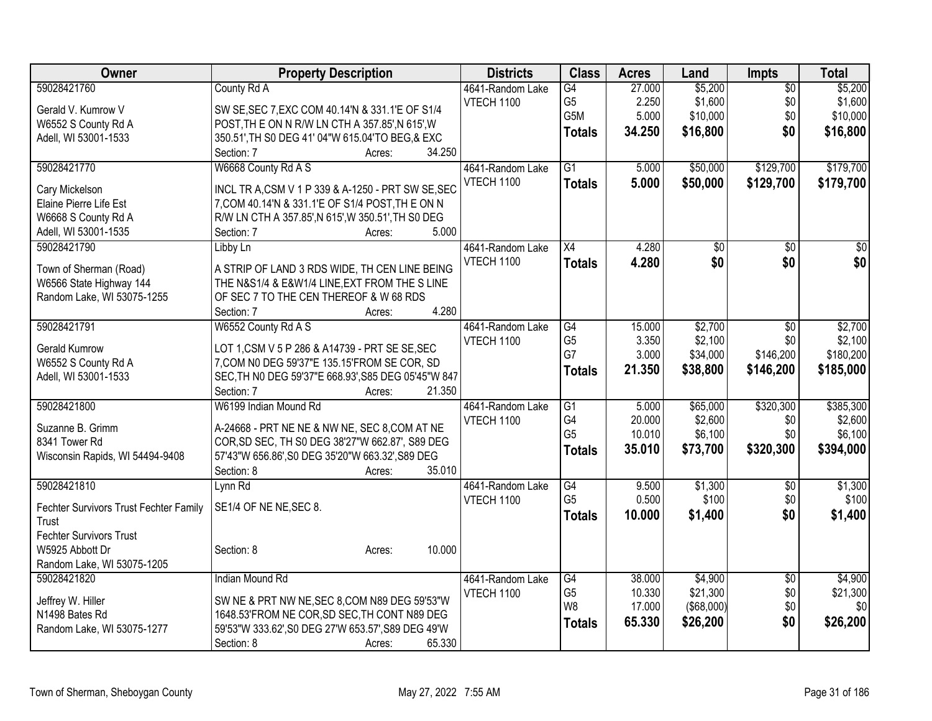| Owner                                    | <b>Property Description</b>                                                                      |                  | <b>Districts</b>  | <b>Class</b>     | <b>Acres</b> | Land       | <b>Impts</b>    | <b>Total</b> |
|------------------------------------------|--------------------------------------------------------------------------------------------------|------------------|-------------------|------------------|--------------|------------|-----------------|--------------|
| 59028421760                              | County Rd A                                                                                      |                  | 4641-Random Lake  | $\overline{G4}$  | 27.000       | \$5,200    | $\overline{50}$ | \$5,200      |
| Gerald V. Kumrow V                       | SW SE, SEC 7, EXC COM 40.14'N & 331.1'E OF S1/4                                                  |                  | <b>VTECH 1100</b> | G <sub>5</sub>   | 2.250        | \$1,600    | \$0             | \$1,600      |
| W6552 S County Rd A                      | POST, THE ON N R/W LN CTH A 357.85', N 615', W                                                   |                  |                   | G <sub>5</sub> M | 5.000        | \$10,000   | \$0             | \$10,000     |
| Adell, WI 53001-1533                     | 350.51', TH S0 DEG 41' 04"W 615.04'TO BEG, & EXC                                                 |                  |                   | <b>Totals</b>    | 34.250       | \$16,800   | \$0             | \$16,800     |
|                                          | Section: 7                                                                                       | 34.250<br>Acres: |                   |                  |              |            |                 |              |
| 59028421770                              | W6668 County Rd A S                                                                              |                  | 4641-Random Lake  | $\overline{G1}$  | 5.000        | \$50,000   | \$129,700       | \$179,700    |
|                                          | INCL TR A, CSM V 1 P 339 & A-1250 - PRT SW SE, SEC                                               |                  | VTECH 1100        | <b>Totals</b>    | 5.000        | \$50,000   | \$129,700       | \$179,700    |
| Cary Mickelson<br>Elaine Pierre Life Est | 7, COM 40.14'N & 331.1'E OF S1/4 POST, THE ON N                                                  |                  |                   |                  |              |            |                 |              |
| W6668 S County Rd A                      | R/W LN CTH A 357.85', N 615', W 350.51', TH S0 DEG                                               |                  |                   |                  |              |            |                 |              |
| Adell, WI 53001-1535                     | Section: 7                                                                                       | 5.000<br>Acres:  |                   |                  |              |            |                 |              |
| 59028421790                              | Libby Ln                                                                                         |                  | 4641-Random Lake  | X4               | 4.280        | \$0        | \$0             | \$0          |
|                                          |                                                                                                  |                  | <b>VTECH 1100</b> | <b>Totals</b>    | 4.280        | \$0        | \$0             | \$0          |
| Town of Sherman (Road)                   | A STRIP OF LAND 3 RDS WIDE, TH CEN LINE BEING                                                    |                  |                   |                  |              |            |                 |              |
| W6566 State Highway 144                  | THE N&S1/4 & E&W1/4 LINE, EXT FROM THE S LINE                                                    |                  |                   |                  |              |            |                 |              |
| Random Lake, WI 53075-1255               | OF SEC 7 TO THE CEN THEREOF & W 68 RDS                                                           |                  |                   |                  |              |            |                 |              |
|                                          | Section: 7                                                                                       | 4.280<br>Acres:  |                   |                  |              |            |                 |              |
| 59028421791                              | W6552 County Rd A S                                                                              |                  | 4641-Random Lake  | G4               | 15.000       | \$2,700    | \$0             | \$2,700      |
| Gerald Kumrow                            | LOT 1, CSM V 5 P 286 & A14739 - PRT SE SE, SEC                                                   |                  | <b>VTECH 1100</b> | G <sub>5</sub>   | 3.350        | \$2,100    | \$0             | \$2,100      |
| W6552 S County Rd A                      | 7, COM N0 DEG 59'37"E 135.15'FROM SE COR, SD                                                     |                  |                   | G7               | 3.000        | \$34,000   | \$146,200       | \$180,200    |
| Adell, WI 53001-1533                     | SEC, TH NO DEG 59'37"E 668.93', S85 DEG 05'45"W 847                                              |                  |                   | <b>Totals</b>    | 21.350       | \$38,800   | \$146,200       | \$185,000    |
|                                          | Section: 7                                                                                       | 21.350<br>Acres: |                   |                  |              |            |                 |              |
| 59028421800                              | W6199 Indian Mound Rd                                                                            |                  | 4641-Random Lake  | G1               | 5.000        | \$65,000   | \$320,300       | \$385,300    |
| Suzanne B. Grimm                         |                                                                                                  |                  | VTECH 1100        | G4               | 20.000       | \$2,600    | \$0             | \$2,600      |
| 8341 Tower Rd                            | A-24668 - PRT NE NE & NW NE, SEC 8, COM AT NE<br>COR, SD SEC, TH S0 DEG 38'27"W 662.87', S89 DEG |                  |                   | G <sub>5</sub>   | 10.010       | \$6,100    | \$0             | \$6,100      |
| Wisconsin Rapids, WI 54494-9408          | 57'43"W 656.86', S0 DEG 35'20"W 663.32', S89 DEG                                                 |                  |                   | <b>Totals</b>    | 35.010       | \$73,700   | \$320,300       | \$394,000    |
|                                          | Section: 8                                                                                       | 35.010<br>Acres: |                   |                  |              |            |                 |              |
| 59028421810                              | Lynn Rd                                                                                          |                  | 4641-Random Lake  | $\overline{G4}$  | 9.500        | \$1,300    | $\overline{50}$ | \$1,300      |
|                                          |                                                                                                  |                  | VTECH 1100        | G <sub>5</sub>   | 0.500        | \$100      | \$0             | \$100        |
| Fechter Survivors Trust Fechter Family   | SE1/4 OF NE NE, SEC 8.                                                                           |                  |                   | <b>Totals</b>    | 10.000       | \$1,400    | \$0             | \$1,400      |
| Trust                                    |                                                                                                  |                  |                   |                  |              |            |                 |              |
| <b>Fechter Survivors Trust</b>           |                                                                                                  |                  |                   |                  |              |            |                 |              |
| W5925 Abbott Dr                          | Section: 8                                                                                       | 10.000<br>Acres: |                   |                  |              |            |                 |              |
| Random Lake, WI 53075-1205               |                                                                                                  |                  |                   |                  |              |            |                 |              |
| 59028421820                              | <b>Indian Mound Rd</b>                                                                           |                  | 4641-Random Lake  | G4               | 38.000       | \$4,900    | $\overline{50}$ | \$4,900      |
| Jeffrey W. Hiller                        | SW NE & PRT NW NE, SEC 8, COM N89 DEG 59'53"W                                                    |                  | VTECH 1100        | G <sub>5</sub>   | 10.330       | \$21,300   | \$0             | \$21,300     |
| N1498 Bates Rd                           | 1648.53'FROM NE COR, SD SEC, TH CONT N89 DEG                                                     |                  |                   | W8               | 17.000       | (\$68,000) | \$0             | \$0          |
| Random Lake, WI 53075-1277               | 59'53"W 333.62', S0 DEG 27'W 653.57', S89 DEG 49'W                                               |                  |                   | <b>Totals</b>    | 65.330       | \$26,200   | \$0             | \$26,200     |
|                                          | Section: 8                                                                                       | 65.330<br>Acres: |                   |                  |              |            |                 |              |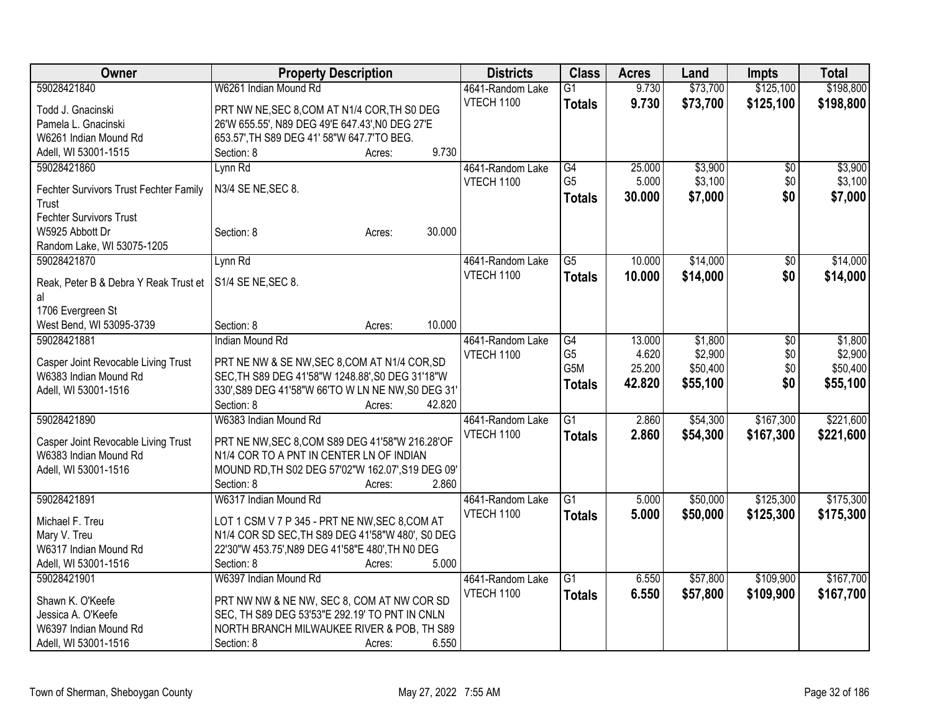| Owner                                         | <b>Property Description</b>                        | <b>Districts</b>               | <b>Class</b>    | <b>Acres</b> | Land     | <b>Impts</b> | <b>Total</b> |
|-----------------------------------------------|----------------------------------------------------|--------------------------------|-----------------|--------------|----------|--------------|--------------|
| 59028421840                                   | W6261 Indian Mound Rd                              | 4641-Random Lake               | $\overline{G1}$ | 9.730        | \$73,700 | \$125,100    | \$198,800    |
| Todd J. Gnacinski                             | PRT NW NE, SEC 8, COM AT N1/4 COR, TH S0 DEG       | <b>VTECH 1100</b>              | <b>Totals</b>   | 9.730        | \$73,700 | \$125,100    | \$198,800    |
| Pamela L. Gnacinski                           | 26'W 655.55', N89 DEG 49'E 647.43', N0 DEG 27'E    |                                |                 |              |          |              |              |
| W6261 Indian Mound Rd                         | 653.57', TH S89 DEG 41' 58"W 647.7'TO BEG.         |                                |                 |              |          |              |              |
| Adell, WI 53001-1515                          | 9.730<br>Section: 8<br>Acres:                      |                                |                 |              |          |              |              |
| 59028421860                                   | Lynn Rd                                            | 4641-Random Lake               | G4              | 25.000       | \$3,900  | \$0          | \$3,900      |
|                                               |                                                    | <b>VTECH 1100</b>              | G <sub>5</sub>  | 5.000        | \$3,100  | \$0          | \$3,100      |
| Fechter Survivors Trust Fechter Family        | N3/4 SE NE, SEC 8.                                 |                                | <b>Totals</b>   | 30.000       | \$7,000  | \$0          | \$7,000      |
| Trust                                         |                                                    |                                |                 |              |          |              |              |
| <b>Fechter Survivors Trust</b>                | 30.000                                             |                                |                 |              |          |              |              |
| W5925 Abbott Dr<br>Random Lake, WI 53075-1205 | Section: 8<br>Acres:                               |                                |                 |              |          |              |              |
| 59028421870                                   | Lynn Rd                                            |                                | $\overline{G5}$ | 10.000       | \$14,000 | \$0          | \$14,000     |
|                                               |                                                    | 4641-Random Lake<br>VTECH 1100 |                 |              |          |              |              |
| Reak, Peter B & Debra Y Reak Trust et         | S1/4 SE NE, SEC 8.                                 |                                | <b>Totals</b>   | 10.000       | \$14,000 | \$0          | \$14,000     |
| al                                            |                                                    |                                |                 |              |          |              |              |
| 1706 Evergreen St                             |                                                    |                                |                 |              |          |              |              |
| West Bend, WI 53095-3739                      | 10.000<br>Section: 8<br>Acres:                     |                                |                 |              |          |              |              |
| 59028421881                                   | Indian Mound Rd                                    | 4641-Random Lake               | G4              | 13.000       | \$1,800  | $\sqrt{6}$   | \$1,800      |
| Casper Joint Revocable Living Trust           | PRT NE NW & SE NW, SEC 8, COM AT N1/4 COR, SD      | <b>VTECH 1100</b>              | G <sub>5</sub>  | 4.620        | \$2,900  | \$0          | \$2,900      |
| W6383 Indian Mound Rd                         | SEC, TH S89 DEG 41'58"W 1248.88', S0 DEG 31'18"W   |                                | G5M             | 25.200       | \$50,400 | \$0          | \$50,400     |
| Adell, WI 53001-1516                          | 330', S89 DEG 41'58"W 66'TO W LN NE NW, S0 DEG 31' |                                | <b>Totals</b>   | 42.820       | \$55,100 | \$0          | \$55,100     |
|                                               | 42.820<br>Section: 8<br>Acres:                     |                                |                 |              |          |              |              |
| 59028421890                                   | W6383 Indian Mound Rd                              | 4641-Random Lake               | $\overline{G1}$ | 2.860        | \$54,300 | \$167,300    | \$221,600    |
|                                               |                                                    | <b>VTECH 1100</b>              | <b>Totals</b>   | 2.860        | \$54,300 | \$167,300    | \$221,600    |
| Casper Joint Revocable Living Trust           | PRT NE NW, SEC 8, COM S89 DEG 41'58"W 216.28'OF    |                                |                 |              |          |              |              |
| W6383 Indian Mound Rd                         | N1/4 COR TO A PNT IN CENTER LN OF INDIAN           |                                |                 |              |          |              |              |
| Adell, WI 53001-1516                          | MOUND RD, TH S02 DEG 57'02"W 162.07', S19 DEG 09'  |                                |                 |              |          |              |              |
|                                               | 2.860<br>Section: 8<br>Acres:                      |                                |                 |              |          |              |              |
| 59028421891                                   | W6317 Indian Mound Rd                              | 4641-Random Lake               | $\overline{G1}$ | 5.000        | \$50,000 | \$125,300    | \$175,300    |
| Michael F. Treu                               | LOT 1 CSM V 7 P 345 - PRT NE NW, SEC 8, COM AT     | VTECH 1100                     | <b>Totals</b>   | 5.000        | \$50,000 | \$125,300    | \$175,300    |
| Mary V. Treu                                  | N1/4 COR SD SEC, TH S89 DEG 41'58"W 480', S0 DEG   |                                |                 |              |          |              |              |
| W6317 Indian Mound Rd                         | 22'30"W 453.75', N89 DEG 41'58"E 480', TH N0 DEG   |                                |                 |              |          |              |              |
| Adell, WI 53001-1516                          | 5.000<br>Section: 8<br>Acres:                      |                                |                 |              |          |              |              |
| 59028421901                                   | W6397 Indian Mound Rd                              | 4641-Random Lake               | $\overline{G1}$ | 6.550        | \$57,800 | \$109,900    | \$167,700    |
|                                               |                                                    | <b>VTECH 1100</b>              | <b>Totals</b>   | 6.550        | \$57,800 | \$109,900    | \$167,700    |
| Shawn K. O'Keefe                              | PRT NW NW & NE NW, SEC 8, COM AT NW COR SD         |                                |                 |              |          |              |              |
| Jessica A. O'Keefe                            | SEC, TH S89 DEG 53'53"E 292.19' TO PNT IN CNLN     |                                |                 |              |          |              |              |
| W6397 Indian Mound Rd                         | NORTH BRANCH MILWAUKEE RIVER & POB, TH S89         |                                |                 |              |          |              |              |
| Adell, WI 53001-1516                          | 6.550<br>Section: 8<br>Acres:                      |                                |                 |              |          |              |              |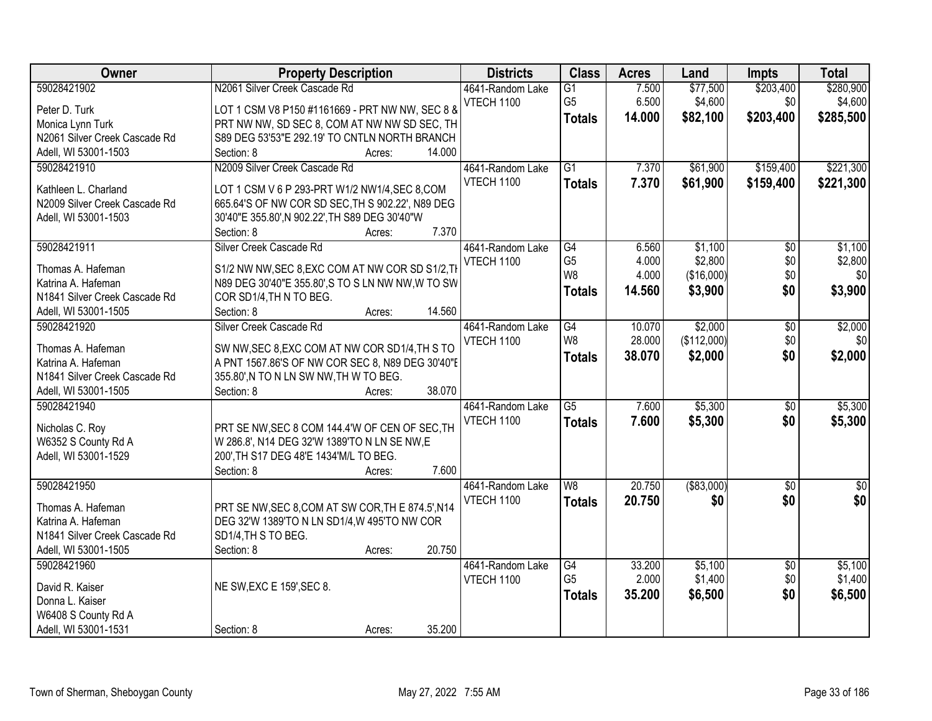| \$203,400<br>59028421902<br>N2061 Silver Creek Cascade Rd<br>\$77,500<br>\$280,900<br>$\overline{G1}$<br>7.500<br>4641-Random Lake<br>G <sub>5</sub><br>6.500<br>\$4,600<br>\$4,600<br>\$0<br><b>VTECH 1100</b><br>LOT 1 CSM V8 P150 #1161669 - PRT NW NW, SEC 8 &<br>Peter D. Turk<br>14.000<br>\$82,100<br>\$203,400<br>\$285,500<br><b>Totals</b><br>PRT NW NW, SD SEC 8, COM AT NW NW SD SEC, TH<br>Monica Lynn Turk<br>N2061 Silver Creek Cascade Rd<br>S89 DEG 53'53"E 292.19' TO CNTLN NORTH BRANCH<br>Adell, WI 53001-1503<br>14.000<br>Section: 8<br>Acres:<br>\$221,300<br>59028421910<br>N2009 Silver Creek Cascade Rd<br>$\overline{G1}$<br>\$61,900<br>\$159,400<br>4641-Random Lake<br>7.370<br><b>VTECH 1100</b><br>7.370<br>\$61,900<br>\$159,400<br>\$221,300<br><b>Totals</b><br>Kathleen L. Charland<br>LOT 1 CSM V 6 P 293-PRT W1/2 NW1/4, SEC 8, COM<br>665.64'S OF NW COR SD SEC, TH S 902.22', N89 DEG<br>N2009 Silver Creek Cascade Rd<br>30'40"E 355.80', N 902.22', TH S89 DEG 30'40"W<br>Adell, WI 53001-1503<br>7.370<br>Section: 8<br>Acres:<br>59028421911<br>Silver Creek Cascade Rd<br>\$1,100<br>\$1,100<br>4641-Random Lake<br>G4<br>6.560<br>\$0<br>G <sub>5</sub><br>\$2,800<br>4.000<br>\$0<br>\$2,800<br><b>VTECH 1100</b><br>S1/2 NW NW, SEC 8, EXC COM AT NW COR SD S1/2, T<br>Thomas A. Hafeman<br>W <sub>8</sub><br>(\$16,000)<br>\$0<br>\$0<br>4.000<br>Katrina A. Hafeman<br>N89 DEG 30'40"E 355.80', S TO S LN NW NW, W TO SW<br>\$0<br>\$3,900<br>14.560<br>\$3,900<br><b>Totals</b><br>N1841 Silver Creek Cascade Rd<br>COR SD1/4, TH N TO BEG.<br>14.560<br>Adell, WI 53001-1505<br>Section: 8<br>Acres:<br>\$2,000<br>59028421920<br>Silver Creek Cascade Rd<br>$\overline{G4}$<br>10.070<br>\$2,000<br>4641-Random Lake<br>\$0<br>W8<br>\$0<br>28.000<br>(\$112,000)<br><b>VTECH 1100</b><br>\$0<br>Thomas A. Hafeman<br>SW NW, SEC 8, EXC COM AT NW COR SD1/4, TH S TO<br>\$0<br>\$2,000<br>38.070<br>\$2,000<br><b>Totals</b><br>Katrina A. Hafeman<br>A PNT 1567.86'S OF NW COR SEC 8, N89 DEG 30'40"E<br>N1841 Silver Creek Cascade Rd<br>355.80', N TO N LN SW NW, TH W TO BEG.<br>38.070<br>Adell, WI 53001-1505<br>Section: 8<br>Acres:<br>$\overline{G5}$<br>7.600<br>\$5,300<br>\$5,300<br>59028421940<br>4641-Random Lake<br>\$0<br>VTECH 1100<br>7.600<br>\$5,300<br>\$0<br>\$5,300<br><b>Totals</b><br>Nicholas C. Roy<br>PRT SE NW, SEC 8 COM 144.4'W OF CEN OF SEC, TH<br>W6352 S County Rd A<br>W 286.8', N14 DEG 32'W 1389'TO N LN SE NW, E<br>Adell, WI 53001-1529<br>200', TH S17 DEG 48'E 1434'M/L TO BEG.<br>7.600<br>Section: 8<br>Acres:<br>W <sub>8</sub><br>20.750<br>( \$83,000)<br>$\overline{\$0}$<br>59028421950<br>$\sqrt{6}$<br>4641-Random Lake |
|----------------------------------------------------------------------------------------------------------------------------------------------------------------------------------------------------------------------------------------------------------------------------------------------------------------------------------------------------------------------------------------------------------------------------------------------------------------------------------------------------------------------------------------------------------------------------------------------------------------------------------------------------------------------------------------------------------------------------------------------------------------------------------------------------------------------------------------------------------------------------------------------------------------------------------------------------------------------------------------------------------------------------------------------------------------------------------------------------------------------------------------------------------------------------------------------------------------------------------------------------------------------------------------------------------------------------------------------------------------------------------------------------------------------------------------------------------------------------------------------------------------------------------------------------------------------------------------------------------------------------------------------------------------------------------------------------------------------------------------------------------------------------------------------------------------------------------------------------------------------------------------------------------------------------------------------------------------------------------------------------------------------------------------------------------------------------------------------------------------------------------------------------------------------------------------------------------------------------------------------------------------------------------------------------------------------------------------------------------------------------------------------------------------------------------------------------------------------------------------------------------------------------------------------------------------------------------------------------------------------------------------------------------------------------------------------------------------------------------|
|                                                                                                                                                                                                                                                                                                                                                                                                                                                                                                                                                                                                                                                                                                                                                                                                                                                                                                                                                                                                                                                                                                                                                                                                                                                                                                                                                                                                                                                                                                                                                                                                                                                                                                                                                                                                                                                                                                                                                                                                                                                                                                                                                                                                                                                                                                                                                                                                                                                                                                                                                                                                                                                                                                                                  |
|                                                                                                                                                                                                                                                                                                                                                                                                                                                                                                                                                                                                                                                                                                                                                                                                                                                                                                                                                                                                                                                                                                                                                                                                                                                                                                                                                                                                                                                                                                                                                                                                                                                                                                                                                                                                                                                                                                                                                                                                                                                                                                                                                                                                                                                                                                                                                                                                                                                                                                                                                                                                                                                                                                                                  |
|                                                                                                                                                                                                                                                                                                                                                                                                                                                                                                                                                                                                                                                                                                                                                                                                                                                                                                                                                                                                                                                                                                                                                                                                                                                                                                                                                                                                                                                                                                                                                                                                                                                                                                                                                                                                                                                                                                                                                                                                                                                                                                                                                                                                                                                                                                                                                                                                                                                                                                                                                                                                                                                                                                                                  |
|                                                                                                                                                                                                                                                                                                                                                                                                                                                                                                                                                                                                                                                                                                                                                                                                                                                                                                                                                                                                                                                                                                                                                                                                                                                                                                                                                                                                                                                                                                                                                                                                                                                                                                                                                                                                                                                                                                                                                                                                                                                                                                                                                                                                                                                                                                                                                                                                                                                                                                                                                                                                                                                                                                                                  |
|                                                                                                                                                                                                                                                                                                                                                                                                                                                                                                                                                                                                                                                                                                                                                                                                                                                                                                                                                                                                                                                                                                                                                                                                                                                                                                                                                                                                                                                                                                                                                                                                                                                                                                                                                                                                                                                                                                                                                                                                                                                                                                                                                                                                                                                                                                                                                                                                                                                                                                                                                                                                                                                                                                                                  |
|                                                                                                                                                                                                                                                                                                                                                                                                                                                                                                                                                                                                                                                                                                                                                                                                                                                                                                                                                                                                                                                                                                                                                                                                                                                                                                                                                                                                                                                                                                                                                                                                                                                                                                                                                                                                                                                                                                                                                                                                                                                                                                                                                                                                                                                                                                                                                                                                                                                                                                                                                                                                                                                                                                                                  |
|                                                                                                                                                                                                                                                                                                                                                                                                                                                                                                                                                                                                                                                                                                                                                                                                                                                                                                                                                                                                                                                                                                                                                                                                                                                                                                                                                                                                                                                                                                                                                                                                                                                                                                                                                                                                                                                                                                                                                                                                                                                                                                                                                                                                                                                                                                                                                                                                                                                                                                                                                                                                                                                                                                                                  |
|                                                                                                                                                                                                                                                                                                                                                                                                                                                                                                                                                                                                                                                                                                                                                                                                                                                                                                                                                                                                                                                                                                                                                                                                                                                                                                                                                                                                                                                                                                                                                                                                                                                                                                                                                                                                                                                                                                                                                                                                                                                                                                                                                                                                                                                                                                                                                                                                                                                                                                                                                                                                                                                                                                                                  |
|                                                                                                                                                                                                                                                                                                                                                                                                                                                                                                                                                                                                                                                                                                                                                                                                                                                                                                                                                                                                                                                                                                                                                                                                                                                                                                                                                                                                                                                                                                                                                                                                                                                                                                                                                                                                                                                                                                                                                                                                                                                                                                                                                                                                                                                                                                                                                                                                                                                                                                                                                                                                                                                                                                                                  |
|                                                                                                                                                                                                                                                                                                                                                                                                                                                                                                                                                                                                                                                                                                                                                                                                                                                                                                                                                                                                                                                                                                                                                                                                                                                                                                                                                                                                                                                                                                                                                                                                                                                                                                                                                                                                                                                                                                                                                                                                                                                                                                                                                                                                                                                                                                                                                                                                                                                                                                                                                                                                                                                                                                                                  |
|                                                                                                                                                                                                                                                                                                                                                                                                                                                                                                                                                                                                                                                                                                                                                                                                                                                                                                                                                                                                                                                                                                                                                                                                                                                                                                                                                                                                                                                                                                                                                                                                                                                                                                                                                                                                                                                                                                                                                                                                                                                                                                                                                                                                                                                                                                                                                                                                                                                                                                                                                                                                                                                                                                                                  |
|                                                                                                                                                                                                                                                                                                                                                                                                                                                                                                                                                                                                                                                                                                                                                                                                                                                                                                                                                                                                                                                                                                                                                                                                                                                                                                                                                                                                                                                                                                                                                                                                                                                                                                                                                                                                                                                                                                                                                                                                                                                                                                                                                                                                                                                                                                                                                                                                                                                                                                                                                                                                                                                                                                                                  |
|                                                                                                                                                                                                                                                                                                                                                                                                                                                                                                                                                                                                                                                                                                                                                                                                                                                                                                                                                                                                                                                                                                                                                                                                                                                                                                                                                                                                                                                                                                                                                                                                                                                                                                                                                                                                                                                                                                                                                                                                                                                                                                                                                                                                                                                                                                                                                                                                                                                                                                                                                                                                                                                                                                                                  |
|                                                                                                                                                                                                                                                                                                                                                                                                                                                                                                                                                                                                                                                                                                                                                                                                                                                                                                                                                                                                                                                                                                                                                                                                                                                                                                                                                                                                                                                                                                                                                                                                                                                                                                                                                                                                                                                                                                                                                                                                                                                                                                                                                                                                                                                                                                                                                                                                                                                                                                                                                                                                                                                                                                                                  |
|                                                                                                                                                                                                                                                                                                                                                                                                                                                                                                                                                                                                                                                                                                                                                                                                                                                                                                                                                                                                                                                                                                                                                                                                                                                                                                                                                                                                                                                                                                                                                                                                                                                                                                                                                                                                                                                                                                                                                                                                                                                                                                                                                                                                                                                                                                                                                                                                                                                                                                                                                                                                                                                                                                                                  |
|                                                                                                                                                                                                                                                                                                                                                                                                                                                                                                                                                                                                                                                                                                                                                                                                                                                                                                                                                                                                                                                                                                                                                                                                                                                                                                                                                                                                                                                                                                                                                                                                                                                                                                                                                                                                                                                                                                                                                                                                                                                                                                                                                                                                                                                                                                                                                                                                                                                                                                                                                                                                                                                                                                                                  |
|                                                                                                                                                                                                                                                                                                                                                                                                                                                                                                                                                                                                                                                                                                                                                                                                                                                                                                                                                                                                                                                                                                                                                                                                                                                                                                                                                                                                                                                                                                                                                                                                                                                                                                                                                                                                                                                                                                                                                                                                                                                                                                                                                                                                                                                                                                                                                                                                                                                                                                                                                                                                                                                                                                                                  |
|                                                                                                                                                                                                                                                                                                                                                                                                                                                                                                                                                                                                                                                                                                                                                                                                                                                                                                                                                                                                                                                                                                                                                                                                                                                                                                                                                                                                                                                                                                                                                                                                                                                                                                                                                                                                                                                                                                                                                                                                                                                                                                                                                                                                                                                                                                                                                                                                                                                                                                                                                                                                                                                                                                                                  |
|                                                                                                                                                                                                                                                                                                                                                                                                                                                                                                                                                                                                                                                                                                                                                                                                                                                                                                                                                                                                                                                                                                                                                                                                                                                                                                                                                                                                                                                                                                                                                                                                                                                                                                                                                                                                                                                                                                                                                                                                                                                                                                                                                                                                                                                                                                                                                                                                                                                                                                                                                                                                                                                                                                                                  |
|                                                                                                                                                                                                                                                                                                                                                                                                                                                                                                                                                                                                                                                                                                                                                                                                                                                                                                                                                                                                                                                                                                                                                                                                                                                                                                                                                                                                                                                                                                                                                                                                                                                                                                                                                                                                                                                                                                                                                                                                                                                                                                                                                                                                                                                                                                                                                                                                                                                                                                                                                                                                                                                                                                                                  |
|                                                                                                                                                                                                                                                                                                                                                                                                                                                                                                                                                                                                                                                                                                                                                                                                                                                                                                                                                                                                                                                                                                                                                                                                                                                                                                                                                                                                                                                                                                                                                                                                                                                                                                                                                                                                                                                                                                                                                                                                                                                                                                                                                                                                                                                                                                                                                                                                                                                                                                                                                                                                                                                                                                                                  |
|                                                                                                                                                                                                                                                                                                                                                                                                                                                                                                                                                                                                                                                                                                                                                                                                                                                                                                                                                                                                                                                                                                                                                                                                                                                                                                                                                                                                                                                                                                                                                                                                                                                                                                                                                                                                                                                                                                                                                                                                                                                                                                                                                                                                                                                                                                                                                                                                                                                                                                                                                                                                                                                                                                                                  |
|                                                                                                                                                                                                                                                                                                                                                                                                                                                                                                                                                                                                                                                                                                                                                                                                                                                                                                                                                                                                                                                                                                                                                                                                                                                                                                                                                                                                                                                                                                                                                                                                                                                                                                                                                                                                                                                                                                                                                                                                                                                                                                                                                                                                                                                                                                                                                                                                                                                                                                                                                                                                                                                                                                                                  |
|                                                                                                                                                                                                                                                                                                                                                                                                                                                                                                                                                                                                                                                                                                                                                                                                                                                                                                                                                                                                                                                                                                                                                                                                                                                                                                                                                                                                                                                                                                                                                                                                                                                                                                                                                                                                                                                                                                                                                                                                                                                                                                                                                                                                                                                                                                                                                                                                                                                                                                                                                                                                                                                                                                                                  |
|                                                                                                                                                                                                                                                                                                                                                                                                                                                                                                                                                                                                                                                                                                                                                                                                                                                                                                                                                                                                                                                                                                                                                                                                                                                                                                                                                                                                                                                                                                                                                                                                                                                                                                                                                                                                                                                                                                                                                                                                                                                                                                                                                                                                                                                                                                                                                                                                                                                                                                                                                                                                                                                                                                                                  |
|                                                                                                                                                                                                                                                                                                                                                                                                                                                                                                                                                                                                                                                                                                                                                                                                                                                                                                                                                                                                                                                                                                                                                                                                                                                                                                                                                                                                                                                                                                                                                                                                                                                                                                                                                                                                                                                                                                                                                                                                                                                                                                                                                                                                                                                                                                                                                                                                                                                                                                                                                                                                                                                                                                                                  |
|                                                                                                                                                                                                                                                                                                                                                                                                                                                                                                                                                                                                                                                                                                                                                                                                                                                                                                                                                                                                                                                                                                                                                                                                                                                                                                                                                                                                                                                                                                                                                                                                                                                                                                                                                                                                                                                                                                                                                                                                                                                                                                                                                                                                                                                                                                                                                                                                                                                                                                                                                                                                                                                                                                                                  |
|                                                                                                                                                                                                                                                                                                                                                                                                                                                                                                                                                                                                                                                                                                                                                                                                                                                                                                                                                                                                                                                                                                                                                                                                                                                                                                                                                                                                                                                                                                                                                                                                                                                                                                                                                                                                                                                                                                                                                                                                                                                                                                                                                                                                                                                                                                                                                                                                                                                                                                                                                                                                                                                                                                                                  |
| \$0 <br>\$0<br><b>VTECH 1100</b><br>20.750<br>\$0<br><b>Totals</b>                                                                                                                                                                                                                                                                                                                                                                                                                                                                                                                                                                                                                                                                                                                                                                                                                                                                                                                                                                                                                                                                                                                                                                                                                                                                                                                                                                                                                                                                                                                                                                                                                                                                                                                                                                                                                                                                                                                                                                                                                                                                                                                                                                                                                                                                                                                                                                                                                                                                                                                                                                                                                                                               |
| PRT SE NW, SEC 8, COM AT SW COR, TH E 874.5', N14<br>Thomas A. Hafeman                                                                                                                                                                                                                                                                                                                                                                                                                                                                                                                                                                                                                                                                                                                                                                                                                                                                                                                                                                                                                                                                                                                                                                                                                                                                                                                                                                                                                                                                                                                                                                                                                                                                                                                                                                                                                                                                                                                                                                                                                                                                                                                                                                                                                                                                                                                                                                                                                                                                                                                                                                                                                                                           |
| DEG 32'W 1389'TO N LN SD1/4, W 495'TO NW COR<br>Katrina A. Hafeman                                                                                                                                                                                                                                                                                                                                                                                                                                                                                                                                                                                                                                                                                                                                                                                                                                                                                                                                                                                                                                                                                                                                                                                                                                                                                                                                                                                                                                                                                                                                                                                                                                                                                                                                                                                                                                                                                                                                                                                                                                                                                                                                                                                                                                                                                                                                                                                                                                                                                                                                                                                                                                                               |
| SD1/4, TH S TO BEG.<br>N1841 Silver Creek Cascade Rd                                                                                                                                                                                                                                                                                                                                                                                                                                                                                                                                                                                                                                                                                                                                                                                                                                                                                                                                                                                                                                                                                                                                                                                                                                                                                                                                                                                                                                                                                                                                                                                                                                                                                                                                                                                                                                                                                                                                                                                                                                                                                                                                                                                                                                                                                                                                                                                                                                                                                                                                                                                                                                                                             |
| 20.750<br>Adell, WI 53001-1505<br>Section: 8<br>Acres:                                                                                                                                                                                                                                                                                                                                                                                                                                                                                                                                                                                                                                                                                                                                                                                                                                                                                                                                                                                                                                                                                                                                                                                                                                                                                                                                                                                                                                                                                                                                                                                                                                                                                                                                                                                                                                                                                                                                                                                                                                                                                                                                                                                                                                                                                                                                                                                                                                                                                                                                                                                                                                                                           |
| \$5,100<br>\$5,100<br>59028421960<br>$\overline{G4}$<br>33.200<br>4641-Random Lake<br>$\overline{30}$                                                                                                                                                                                                                                                                                                                                                                                                                                                                                                                                                                                                                                                                                                                                                                                                                                                                                                                                                                                                                                                                                                                                                                                                                                                                                                                                                                                                                                                                                                                                                                                                                                                                                                                                                                                                                                                                                                                                                                                                                                                                                                                                                                                                                                                                                                                                                                                                                                                                                                                                                                                                                            |
| G <sub>5</sub><br>\$1,400<br>\$1,400<br>2.000<br>\$0<br><b>VTECH 1100</b><br>David R. Kaiser<br>NE SW, EXC E 159', SEC 8.                                                                                                                                                                                                                                                                                                                                                                                                                                                                                                                                                                                                                                                                                                                                                                                                                                                                                                                                                                                                                                                                                                                                                                                                                                                                                                                                                                                                                                                                                                                                                                                                                                                                                                                                                                                                                                                                                                                                                                                                                                                                                                                                                                                                                                                                                                                                                                                                                                                                                                                                                                                                        |
| \$0<br>35.200<br>\$6,500<br>\$6,500<br><b>Totals</b><br>Donna L. Kaiser                                                                                                                                                                                                                                                                                                                                                                                                                                                                                                                                                                                                                                                                                                                                                                                                                                                                                                                                                                                                                                                                                                                                                                                                                                                                                                                                                                                                                                                                                                                                                                                                                                                                                                                                                                                                                                                                                                                                                                                                                                                                                                                                                                                                                                                                                                                                                                                                                                                                                                                                                                                                                                                          |
| W6408 S County Rd A                                                                                                                                                                                                                                                                                                                                                                                                                                                                                                                                                                                                                                                                                                                                                                                                                                                                                                                                                                                                                                                                                                                                                                                                                                                                                                                                                                                                                                                                                                                                                                                                                                                                                                                                                                                                                                                                                                                                                                                                                                                                                                                                                                                                                                                                                                                                                                                                                                                                                                                                                                                                                                                                                                              |
| Adell, WI 53001-1531<br>35.200<br>Section: 8<br>Acres:                                                                                                                                                                                                                                                                                                                                                                                                                                                                                                                                                                                                                                                                                                                                                                                                                                                                                                                                                                                                                                                                                                                                                                                                                                                                                                                                                                                                                                                                                                                                                                                                                                                                                                                                                                                                                                                                                                                                                                                                                                                                                                                                                                                                                                                                                                                                                                                                                                                                                                                                                                                                                                                                           |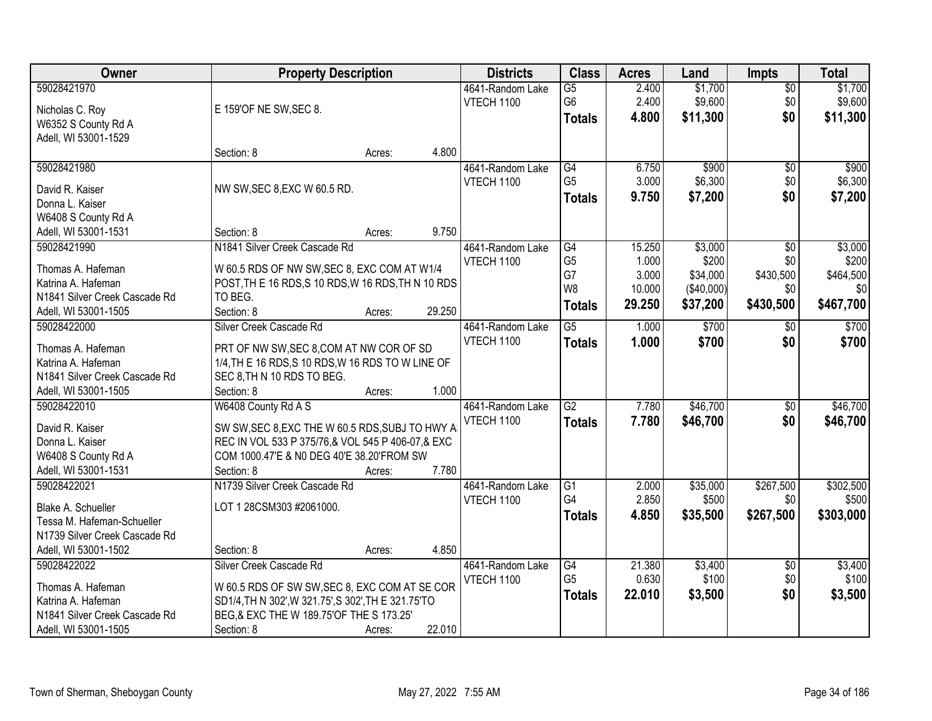| Owner                                                                                                                                   | <b>Property Description</b>                                                                                                                                                                |                  |                 | <b>Districts</b>                      | <b>Class</b>                                                               | <b>Acres</b>                                 | Land                                                   | <b>Impts</b>                                            | <b>Total</b>                                       |
|-----------------------------------------------------------------------------------------------------------------------------------------|--------------------------------------------------------------------------------------------------------------------------------------------------------------------------------------------|------------------|-----------------|---------------------------------------|----------------------------------------------------------------------------|----------------------------------------------|--------------------------------------------------------|---------------------------------------------------------|----------------------------------------------------|
| 59028421970<br>Nicholas C. Roy<br>W6352 S County Rd A                                                                                   | E 159'OF NE SW, SEC 8.                                                                                                                                                                     |                  |                 | 4641-Random Lake<br>VTECH 1100        | $\overline{G5}$<br>G <sub>6</sub><br><b>Totals</b>                         | 2.400<br>2.400<br>4.800                      | \$1,700<br>\$9,600<br>\$11,300                         | $\overline{50}$<br>\$0<br>\$0                           | \$1,700<br>\$9,600<br>\$11,300                     |
| Adell, WI 53001-1529                                                                                                                    | Section: 8                                                                                                                                                                                 | Acres:           | 4.800           |                                       |                                                                            |                                              |                                                        |                                                         |                                                    |
| 59028421980<br>David R. Kaiser<br>Donna L. Kaiser<br>W6408 S County Rd A                                                                | NW SW, SEC 8, EXC W 60.5 RD.                                                                                                                                                               |                  |                 | 4641-Random Lake<br><b>VTECH 1100</b> | G4<br>G <sub>5</sub><br><b>Totals</b>                                      | 6.750<br>3.000<br>9.750                      | \$900<br>\$6,300<br>\$7,200                            | $\overline{50}$<br>\$0<br>\$0                           | \$900<br>\$6,300<br>\$7,200                        |
| Adell, WI 53001-1531<br>59028421990<br>Thomas A. Hafeman<br>Katrina A. Hafeman<br>N1841 Silver Creek Cascade Rd<br>Adell, WI 53001-1505 | Section: 8<br>N1841 Silver Creek Cascade Rd<br>W 60.5 RDS OF NW SW, SEC 8, EXC COM AT W1/4<br>POST, TH E 16 RDS, S 10 RDS, W 16 RDS, TH N 10 RDS<br>TO BEG.<br>Section: 8                  | Acres:<br>Acres: | 9.750<br>29.250 | 4641-Random Lake<br>VTECH 1100        | $\overline{G4}$<br>G <sub>5</sub><br>G7<br>W <sub>8</sub><br><b>Totals</b> | 15.250<br>1.000<br>3.000<br>10.000<br>29.250 | \$3,000<br>\$200<br>\$34,000<br>(\$40,000)<br>\$37,200 | $\overline{50}$<br>\$0<br>\$430,500<br>\$0<br>\$430,500 | \$3,000<br>\$200<br>\$464,500<br> 30 <br>\$467,700 |
| 59028422000<br>Thomas A. Hafeman<br>Katrina A. Hafeman<br>N1841 Silver Creek Cascade Rd<br>Adell, WI 53001-1505                         | Silver Creek Cascade Rd<br>PRT OF NW SW, SEC 8, COM AT NW COR OF SD<br>1/4, TH E 16 RDS, S 10 RDS, W 16 RDS TO W LINE OF<br>SEC 8, TH N 10 RDS TO BEG.<br>Section: 8                       | Acres:           | 1.000           | 4641-Random Lake<br><b>VTECH 1100</b> | G5<br><b>Totals</b>                                                        | 1.000<br>1.000                               | \$700<br>\$700                                         | $\sqrt{6}$<br>\$0                                       | \$700<br>\$700                                     |
| 59028422010<br>David R. Kaiser<br>Donna L. Kaiser<br>W6408 S County Rd A<br>Adell, WI 53001-1531                                        | W6408 County Rd A S<br>SW SW, SEC 8, EXC THE W 60.5 RDS, SUBJ TO HWY A<br>REC IN VOL 533 P 375/76,& VOL 545 P 406-07,& EXC<br>COM 1000.47'E & N0 DEG 40'E 38.20'FROM SW<br>Section: 8      | Acres:           | 7.780           | 4641-Random Lake<br><b>VTECH 1100</b> | $\overline{G2}$<br><b>Totals</b>                                           | 7.780<br>7.780                               | \$46,700<br>\$46,700                                   | \$0<br>\$0                                              | \$46,700<br>\$46,700                               |
| 59028422021<br>Blake A. Schueller<br>Tessa M. Hafeman-Schueller<br>N1739 Silver Creek Cascade Rd<br>Adell, WI 53001-1502                | N1739 Silver Creek Cascade Rd<br>LOT 1 28CSM303 #2061000.<br>Section: 8                                                                                                                    | Acres:           | 4.850           | 4641-Random Lake<br><b>VTECH 1100</b> | $\overline{G1}$<br>G4<br><b>Totals</b>                                     | 2.000<br>2.850<br>4.850                      | \$35,000<br>\$500<br>\$35,500                          | \$267,500<br>\$0<br>\$267,500                           | \$302,500<br>\$500<br>\$303,000                    |
| 59028422022<br>Thomas A. Hafeman<br>Katrina A. Hafeman<br>N1841 Silver Creek Cascade Rd<br>Adell, WI 53001-1505                         | Silver Creek Cascade Rd<br>W 60.5 RDS OF SW SW, SEC 8, EXC COM AT SE COR<br>SD1/4, TH N 302', W 321.75', S 302', TH E 321.75'TO<br>BEG, & EXC THE W 189.75' OF THE S 173.25'<br>Section: 8 | Acres:           | 22.010          | 4641-Random Lake<br><b>VTECH 1100</b> | G4<br>G <sub>5</sub><br><b>Totals</b>                                      | 21.380<br>0.630<br>22.010                    | \$3,400<br>\$100<br>\$3,500                            | $\overline{60}$<br>\$0<br>\$0                           | \$3,400<br>\$100<br>\$3,500                        |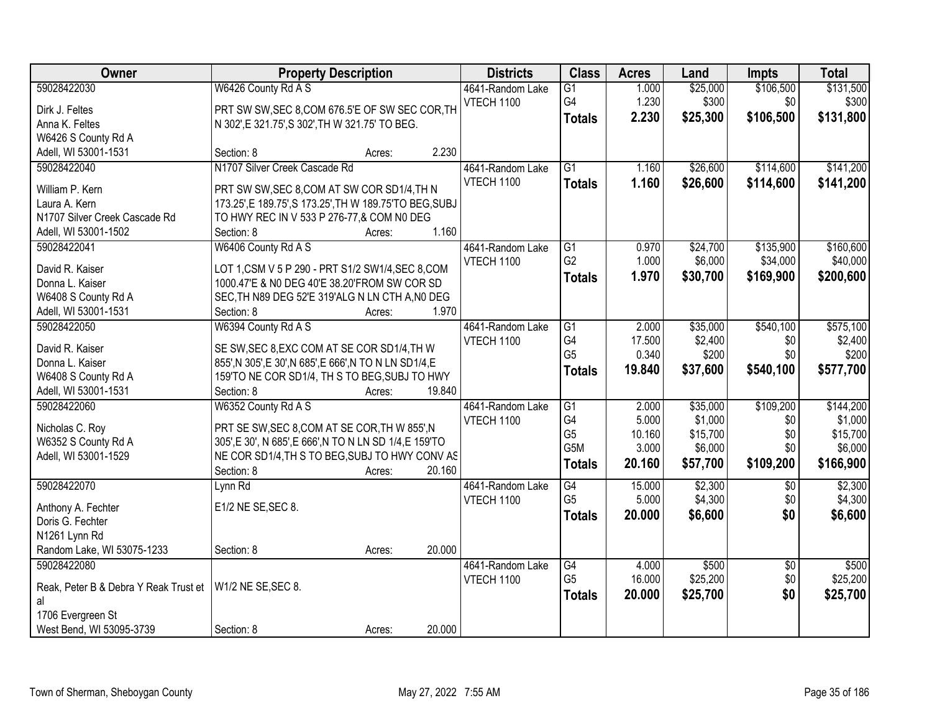| 59028422030<br>W6426 County Rd A S<br>\$25,000<br>\$106,500<br>\$131,500<br>$\overline{G1}$<br>1.000<br>4641-Random Lake<br>G4<br>1.230<br>\$300<br>\$0<br>\$300<br><b>VTECH 1100</b><br>PRT SW SW, SEC 8, COM 676.5'E OF SW SEC COR, TH<br>Dirk J. Feltes<br>\$131,800<br>2.230<br>\$25,300<br>\$106,500<br><b>Totals</b><br>Anna K. Feltes<br>N 302', E 321.75', S 302', TH W 321.75' TO BEG.<br>W6426 S County Rd A<br>2.230<br>Adell, WI 53001-1531<br>Section: 8<br>Acres:<br>\$141,200<br>59028422040<br>N1707 Silver Creek Cascade Rd<br>$\overline{G1}$<br>\$26,600<br>\$114,600<br>4641-Random Lake<br>1.160<br><b>VTECH 1100</b><br>1.160<br>\$26,600<br>\$114,600<br>\$141,200<br><b>Totals</b><br>William P. Kern<br>PRT SW SW, SEC 8, COM AT SW COR SD1/4, TH N<br>173.25', E 189.75', S 173.25', TH W 189.75'TO BEG, SUBJ<br>Laura A. Kern<br>N1707 Silver Creek Cascade Rd<br>TO HWY REC IN V 533 P 276-77,& COM N0 DEG<br>1.160<br>Adell, WI 53001-1502<br>Section: 8<br>Acres:<br>\$135,900<br>\$160,600<br>W6406 County Rd A S<br>$\overline{G1}$<br>\$24,700<br>59028422041<br>4641-Random Lake<br>0.970<br>G <sub>2</sub><br>1.000<br>\$6,000<br>\$34,000<br>\$40,000<br><b>VTECH 1100</b><br>David R. Kaiser<br>LOT 1, CSM V 5 P 290 - PRT S1/2 SW1/4, SEC 8, COM<br>1.970<br>\$30,700<br>\$169,900<br>\$200,600<br><b>Totals</b><br>Donna L. Kaiser<br>1000.47'E & N0 DEG 40'E 38.20'FROM SW COR SD<br>W6408 S County Rd A<br>SEC, TH N89 DEG 52'E 319'ALG N LN CTH A, NO DEG<br>1.970<br>Adell, WI 53001-1531<br>Section: 8<br>Acres:<br>59028422050<br>W6394 County Rd A S<br>\$540,100<br>\$575,100<br>G1<br>2.000<br>\$35,000<br>4641-Random Lake |
|-----------------------------------------------------------------------------------------------------------------------------------------------------------------------------------------------------------------------------------------------------------------------------------------------------------------------------------------------------------------------------------------------------------------------------------------------------------------------------------------------------------------------------------------------------------------------------------------------------------------------------------------------------------------------------------------------------------------------------------------------------------------------------------------------------------------------------------------------------------------------------------------------------------------------------------------------------------------------------------------------------------------------------------------------------------------------------------------------------------------------------------------------------------------------------------------------------------------------------------------------------------------------------------------------------------------------------------------------------------------------------------------------------------------------------------------------------------------------------------------------------------------------------------------------------------------------------------------------------------------------------------------------------------------------------|
|                                                                                                                                                                                                                                                                                                                                                                                                                                                                                                                                                                                                                                                                                                                                                                                                                                                                                                                                                                                                                                                                                                                                                                                                                                                                                                                                                                                                                                                                                                                                                                                                                                                                             |
|                                                                                                                                                                                                                                                                                                                                                                                                                                                                                                                                                                                                                                                                                                                                                                                                                                                                                                                                                                                                                                                                                                                                                                                                                                                                                                                                                                                                                                                                                                                                                                                                                                                                             |
|                                                                                                                                                                                                                                                                                                                                                                                                                                                                                                                                                                                                                                                                                                                                                                                                                                                                                                                                                                                                                                                                                                                                                                                                                                                                                                                                                                                                                                                                                                                                                                                                                                                                             |
|                                                                                                                                                                                                                                                                                                                                                                                                                                                                                                                                                                                                                                                                                                                                                                                                                                                                                                                                                                                                                                                                                                                                                                                                                                                                                                                                                                                                                                                                                                                                                                                                                                                                             |
|                                                                                                                                                                                                                                                                                                                                                                                                                                                                                                                                                                                                                                                                                                                                                                                                                                                                                                                                                                                                                                                                                                                                                                                                                                                                                                                                                                                                                                                                                                                                                                                                                                                                             |
|                                                                                                                                                                                                                                                                                                                                                                                                                                                                                                                                                                                                                                                                                                                                                                                                                                                                                                                                                                                                                                                                                                                                                                                                                                                                                                                                                                                                                                                                                                                                                                                                                                                                             |
|                                                                                                                                                                                                                                                                                                                                                                                                                                                                                                                                                                                                                                                                                                                                                                                                                                                                                                                                                                                                                                                                                                                                                                                                                                                                                                                                                                                                                                                                                                                                                                                                                                                                             |
|                                                                                                                                                                                                                                                                                                                                                                                                                                                                                                                                                                                                                                                                                                                                                                                                                                                                                                                                                                                                                                                                                                                                                                                                                                                                                                                                                                                                                                                                                                                                                                                                                                                                             |
|                                                                                                                                                                                                                                                                                                                                                                                                                                                                                                                                                                                                                                                                                                                                                                                                                                                                                                                                                                                                                                                                                                                                                                                                                                                                                                                                                                                                                                                                                                                                                                                                                                                                             |
|                                                                                                                                                                                                                                                                                                                                                                                                                                                                                                                                                                                                                                                                                                                                                                                                                                                                                                                                                                                                                                                                                                                                                                                                                                                                                                                                                                                                                                                                                                                                                                                                                                                                             |
|                                                                                                                                                                                                                                                                                                                                                                                                                                                                                                                                                                                                                                                                                                                                                                                                                                                                                                                                                                                                                                                                                                                                                                                                                                                                                                                                                                                                                                                                                                                                                                                                                                                                             |
|                                                                                                                                                                                                                                                                                                                                                                                                                                                                                                                                                                                                                                                                                                                                                                                                                                                                                                                                                                                                                                                                                                                                                                                                                                                                                                                                                                                                                                                                                                                                                                                                                                                                             |
|                                                                                                                                                                                                                                                                                                                                                                                                                                                                                                                                                                                                                                                                                                                                                                                                                                                                                                                                                                                                                                                                                                                                                                                                                                                                                                                                                                                                                                                                                                                                                                                                                                                                             |
|                                                                                                                                                                                                                                                                                                                                                                                                                                                                                                                                                                                                                                                                                                                                                                                                                                                                                                                                                                                                                                                                                                                                                                                                                                                                                                                                                                                                                                                                                                                                                                                                                                                                             |
|                                                                                                                                                                                                                                                                                                                                                                                                                                                                                                                                                                                                                                                                                                                                                                                                                                                                                                                                                                                                                                                                                                                                                                                                                                                                                                                                                                                                                                                                                                                                                                                                                                                                             |
|                                                                                                                                                                                                                                                                                                                                                                                                                                                                                                                                                                                                                                                                                                                                                                                                                                                                                                                                                                                                                                                                                                                                                                                                                                                                                                                                                                                                                                                                                                                                                                                                                                                                             |
|                                                                                                                                                                                                                                                                                                                                                                                                                                                                                                                                                                                                                                                                                                                                                                                                                                                                                                                                                                                                                                                                                                                                                                                                                                                                                                                                                                                                                                                                                                                                                                                                                                                                             |
| G4<br>\$2,400<br>\$2,400<br>17.500<br>\$0<br><b>VTECH 1100</b><br>SE SW, SEC 8, EXC COM AT SE COR SD1/4, TH W<br>David R. Kaiser                                                                                                                                                                                                                                                                                                                                                                                                                                                                                                                                                                                                                                                                                                                                                                                                                                                                                                                                                                                                                                                                                                                                                                                                                                                                                                                                                                                                                                                                                                                                            |
| G <sub>5</sub><br>\$0<br>0.340<br>\$200<br>\$200<br>Donna L. Kaiser<br>855', N 305', E 30', N 685', E 666', N TO N LN SD1/4, E                                                                                                                                                                                                                                                                                                                                                                                                                                                                                                                                                                                                                                                                                                                                                                                                                                                                                                                                                                                                                                                                                                                                                                                                                                                                                                                                                                                                                                                                                                                                              |
| \$540,100<br>\$577,700<br>19.840<br>\$37,600<br><b>Totals</b><br>159'TO NE COR SD1/4, TH S TO BEG, SUBJ TO HWY<br>W6408 S County Rd A                                                                                                                                                                                                                                                                                                                                                                                                                                                                                                                                                                                                                                                                                                                                                                                                                                                                                                                                                                                                                                                                                                                                                                                                                                                                                                                                                                                                                                                                                                                                       |
| Adell, WI 53001-1531<br>Section: 8<br>19.840<br>Acres:                                                                                                                                                                                                                                                                                                                                                                                                                                                                                                                                                                                                                                                                                                                                                                                                                                                                                                                                                                                                                                                                                                                                                                                                                                                                                                                                                                                                                                                                                                                                                                                                                      |
| W6352 County Rd A S<br>\$109,200<br>59028422060<br>$\overline{G1}$<br>2.000<br>\$35,000<br>\$144,200<br>4641-Random Lake                                                                                                                                                                                                                                                                                                                                                                                                                                                                                                                                                                                                                                                                                                                                                                                                                                                                                                                                                                                                                                                                                                                                                                                                                                                                                                                                                                                                                                                                                                                                                    |
| G4<br>5.000<br>\$1,000<br>\$1,000<br>\$0<br><b>VTECH 1100</b>                                                                                                                                                                                                                                                                                                                                                                                                                                                                                                                                                                                                                                                                                                                                                                                                                                                                                                                                                                                                                                                                                                                                                                                                                                                                                                                                                                                                                                                                                                                                                                                                               |
| PRT SE SW, SEC 8, COM AT SE COR, TH W 855', N<br>Nicholas C. Roy<br>G <sub>5</sub><br>10.160<br>\$15,700<br>\$0<br>\$15,700                                                                                                                                                                                                                                                                                                                                                                                                                                                                                                                                                                                                                                                                                                                                                                                                                                                                                                                                                                                                                                                                                                                                                                                                                                                                                                                                                                                                                                                                                                                                                 |
| W6352 S County Rd A<br>305', E 30', N 685', E 666', N TO N LN SD 1/4, E 159'TO<br>G5M<br>\$6,000<br>\$0<br>3.000<br>\$6,000                                                                                                                                                                                                                                                                                                                                                                                                                                                                                                                                                                                                                                                                                                                                                                                                                                                                                                                                                                                                                                                                                                                                                                                                                                                                                                                                                                                                                                                                                                                                                 |
| Adell, WI 53001-1529<br>NE COR SD1/4, TH S TO BEG, SUBJ TO HWY CONV AS<br>\$109,200<br>20.160<br>\$57,700<br>\$166,900<br><b>Totals</b>                                                                                                                                                                                                                                                                                                                                                                                                                                                                                                                                                                                                                                                                                                                                                                                                                                                                                                                                                                                                                                                                                                                                                                                                                                                                                                                                                                                                                                                                                                                                     |
| 20.160<br>Section: 8<br>Acres:                                                                                                                                                                                                                                                                                                                                                                                                                                                                                                                                                                                                                                                                                                                                                                                                                                                                                                                                                                                                                                                                                                                                                                                                                                                                                                                                                                                                                                                                                                                                                                                                                                              |
| $\overline{G4}$<br>59028422070<br>15.000<br>\$2,300<br>\$2,300<br>Lynn Rd<br>4641-Random Lake<br>$\overline{50}$                                                                                                                                                                                                                                                                                                                                                                                                                                                                                                                                                                                                                                                                                                                                                                                                                                                                                                                                                                                                                                                                                                                                                                                                                                                                                                                                                                                                                                                                                                                                                            |
| G <sub>5</sub><br>\$4,300<br>\$4,300<br>5.000<br>\$0<br><b>VTECH 1100</b><br>E1/2 NE SE, SEC 8.<br>Anthony A. Fechter                                                                                                                                                                                                                                                                                                                                                                                                                                                                                                                                                                                                                                                                                                                                                                                                                                                                                                                                                                                                                                                                                                                                                                                                                                                                                                                                                                                                                                                                                                                                                       |
| \$0<br>\$6,600<br>20.000<br>\$6,600<br><b>Totals</b><br>Doris G. Fechter                                                                                                                                                                                                                                                                                                                                                                                                                                                                                                                                                                                                                                                                                                                                                                                                                                                                                                                                                                                                                                                                                                                                                                                                                                                                                                                                                                                                                                                                                                                                                                                                    |
| N1261 Lynn Rd                                                                                                                                                                                                                                                                                                                                                                                                                                                                                                                                                                                                                                                                                                                                                                                                                                                                                                                                                                                                                                                                                                                                                                                                                                                                                                                                                                                                                                                                                                                                                                                                                                                               |
| Random Lake, WI 53075-1233<br>20.000<br>Section: 8<br>Acres:                                                                                                                                                                                                                                                                                                                                                                                                                                                                                                                                                                                                                                                                                                                                                                                                                                                                                                                                                                                                                                                                                                                                                                                                                                                                                                                                                                                                                                                                                                                                                                                                                |
| 59028422080<br>$\overline{G4}$<br>\$500<br>\$500<br>4641-Random Lake<br>4.000<br>$\overline{30}$                                                                                                                                                                                                                                                                                                                                                                                                                                                                                                                                                                                                                                                                                                                                                                                                                                                                                                                                                                                                                                                                                                                                                                                                                                                                                                                                                                                                                                                                                                                                                                            |
| G <sub>5</sub><br>\$25,200<br>16.000<br>\$25,200<br>\$0<br><b>VTECH 1100</b><br>W1/2 NE SE, SEC 8.                                                                                                                                                                                                                                                                                                                                                                                                                                                                                                                                                                                                                                                                                                                                                                                                                                                                                                                                                                                                                                                                                                                                                                                                                                                                                                                                                                                                                                                                                                                                                                          |
| Reak, Peter B & Debra Y Reak Trust et<br>\$25,700<br>\$0<br>20.000<br>\$25,700<br><b>Totals</b>                                                                                                                                                                                                                                                                                                                                                                                                                                                                                                                                                                                                                                                                                                                                                                                                                                                                                                                                                                                                                                                                                                                                                                                                                                                                                                                                                                                                                                                                                                                                                                             |
| al<br>1706 Evergreen St                                                                                                                                                                                                                                                                                                                                                                                                                                                                                                                                                                                                                                                                                                                                                                                                                                                                                                                                                                                                                                                                                                                                                                                                                                                                                                                                                                                                                                                                                                                                                                                                                                                     |
| 20.000<br>West Bend, WI 53095-3739<br>Section: 8<br>Acres:                                                                                                                                                                                                                                                                                                                                                                                                                                                                                                                                                                                                                                                                                                                                                                                                                                                                                                                                                                                                                                                                                                                                                                                                                                                                                                                                                                                                                                                                                                                                                                                                                  |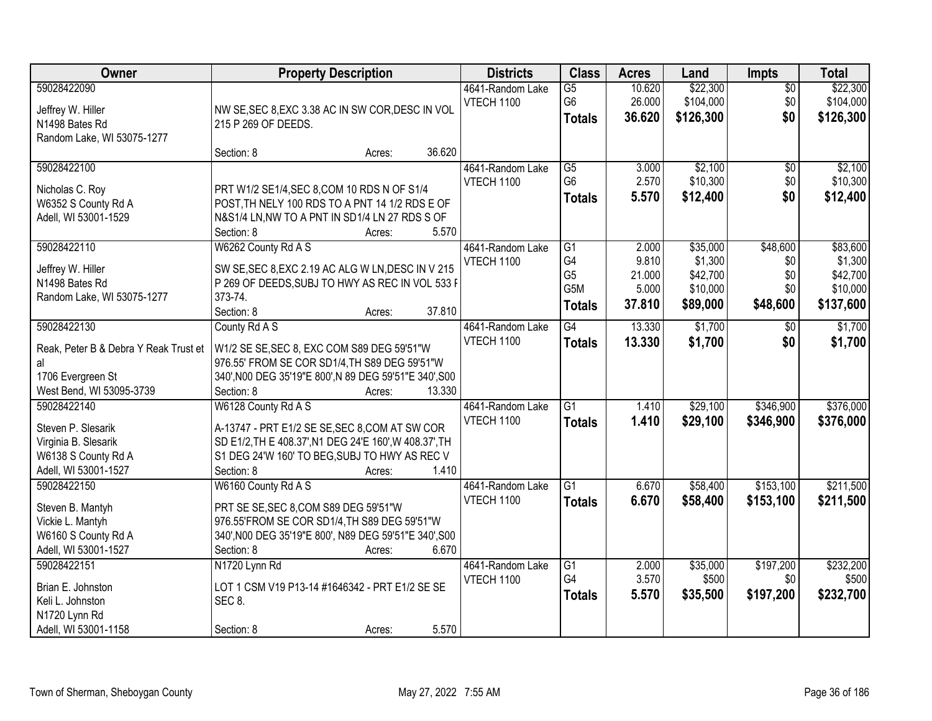| Owner                                                                                                    | <b>Property Description</b>                                                                                                                                                                                       | <b>Districts</b>                      | <b>Class</b>                                                                 | <b>Acres</b>                                | Land                                                    | Impts                                     | <b>Total</b>                                             |
|----------------------------------------------------------------------------------------------------------|-------------------------------------------------------------------------------------------------------------------------------------------------------------------------------------------------------------------|---------------------------------------|------------------------------------------------------------------------------|---------------------------------------------|---------------------------------------------------------|-------------------------------------------|----------------------------------------------------------|
| 59028422090<br>Jeffrey W. Hiller<br>N1498 Bates Rd<br>Random Lake, WI 53075-1277                         | NW SE, SEC 8, EXC 3.38 AC IN SW COR, DESC IN VOL<br>215 P 269 OF DEEDS.                                                                                                                                           | 4641-Random Lake<br>VTECH 1100        | $\overline{G5}$<br>G <sub>6</sub><br><b>Totals</b>                           | 10.620<br>26.000<br>36.620                  | \$22,300<br>\$104,000<br>\$126,300                      | $\overline{50}$<br>\$0<br>\$0             | \$22,300<br>\$104,000<br>\$126,300                       |
|                                                                                                          | 36.620<br>Section: 8<br>Acres:                                                                                                                                                                                    |                                       |                                                                              |                                             |                                                         |                                           |                                                          |
| 59028422100<br>Nicholas C. Roy<br>W6352 S County Rd A<br>Adell, WI 53001-1529                            | PRT W1/2 SE1/4, SEC 8, COM 10 RDS N OF S1/4<br>POST, TH NELY 100 RDS TO A PNT 14 1/2 RDS E OF<br>N&S1/4 LN, NW TO A PNT IN SD1/4 LN 27 RDS S OF<br>5.570<br>Section: 8<br>Acres:                                  | 4641-Random Lake<br><b>VTECH 1100</b> | $\overline{G5}$<br>G <sub>6</sub><br><b>Totals</b>                           | 3.000<br>2.570<br>5.570                     | \$2,100<br>\$10,300<br>\$12,400                         | $\overline{50}$<br>\$0<br>\$0             | \$2,100<br>\$10,300<br>\$12,400                          |
| 59028422110<br>Jeffrey W. Hiller<br>N1498 Bates Rd<br>Random Lake, WI 53075-1277                         | W6262 County Rd A S<br>SW SE, SEC 8, EXC 2.19 AC ALG W LN, DESC IN V 215<br>P 269 OF DEEDS, SUBJ TO HWY AS REC IN VOL 533 F<br>373-74.<br>37.810<br>Section: 8<br>Acres:                                          | 4641-Random Lake<br><b>VTECH 1100</b> | $\overline{G1}$<br>G4<br>G <sub>5</sub><br>G <sub>5</sub> M<br><b>Totals</b> | 2.000<br>9.810<br>21.000<br>5.000<br>37.810 | \$35,000<br>\$1,300<br>\$42,700<br>\$10,000<br>\$89,000 | \$48,600<br>\$0<br>\$0<br>\$0<br>\$48,600 | \$83,600<br>\$1,300<br>\$42,700<br>\$10,000<br>\$137,600 |
| 59028422130                                                                                              | County Rd A S                                                                                                                                                                                                     | 4641-Random Lake                      | G4                                                                           | 13.330                                      | \$1,700                                                 | \$0                                       | \$1,700                                                  |
| Reak, Peter B & Debra Y Reak Trust et<br>al<br>1706 Evergreen St<br>West Bend, WI 53095-3739             | W1/2 SE SE, SEC 8, EXC COM S89 DEG 59'51"W<br>976.55' FROM SE COR SD1/4, TH S89 DEG 59'51"W<br>340', N00 DEG 35'19"E 800', N 89 DEG 59'51"E 340', S00<br>Section: 8<br>13.330<br>Acres:                           | <b>VTECH 1100</b>                     | <b>Totals</b>                                                                | 13.330                                      | \$1,700                                                 | \$0                                       | \$1,700                                                  |
| 59028422140<br>Steven P. Slesarik<br>Virginia B. Slesarik<br>W6138 S County Rd A<br>Adell, WI 53001-1527 | W6128 County Rd A S<br>A-13747 - PRT E1/2 SE SE, SEC 8, COM AT SW COR<br>SD E1/2, TH E 408.37', N1 DEG 24'E 160', W 408.37', TH<br>S1 DEG 24'W 160' TO BEG, SUBJ TO HWY AS REC V<br>1.410<br>Section: 8<br>Acres: | 4641-Random Lake<br><b>VTECH 1100</b> | $\overline{G1}$<br><b>Totals</b>                                             | 1.410<br>1.410                              | \$29,100<br>\$29,100                                    | \$346,900<br>\$346,900                    | \$376,000<br>\$376,000                                   |
| 59028422150<br>Steven B. Mantyh<br>Vickie L. Mantyh<br>W6160 S County Rd A<br>Adell, WI 53001-1527       | W6160 County Rd A S<br>PRT SE SE, SEC 8, COM S89 DEG 59'51"W<br>976.55'FROM SE COR SD1/4, TH S89 DEG 59'51"W<br>340', N00 DEG 35'19"E 800', N89 DEG 59'51"E 340', S00<br>6.670<br>Section: 8<br>Acres:            | 4641-Random Lake<br>VTECH 1100        | $\overline{G1}$<br><b>Totals</b>                                             | 6.670<br>6.670                              | \$58,400<br>\$58,400                                    | \$153,100<br>\$153,100                    | \$211,500<br>\$211,500                                   |
| 59028422151<br>Brian E. Johnston<br>Keli L. Johnston<br>N1720 Lynn Rd<br>Adell, WI 53001-1158            | N1720 Lynn Rd<br>LOT 1 CSM V19 P13-14 #1646342 - PRT E1/2 SE SE<br>SEC 8.<br>5.570<br>Section: 8<br>Acres:                                                                                                        | 4641-Random Lake<br><b>VTECH 1100</b> | $\overline{G1}$<br>G4<br><b>Totals</b>                                       | 2.000<br>3.570<br>5.570                     | \$35,000<br>\$500<br>\$35,500                           | \$197,200<br>\$0<br>\$197,200             | \$232,200<br>\$500<br>\$232,700                          |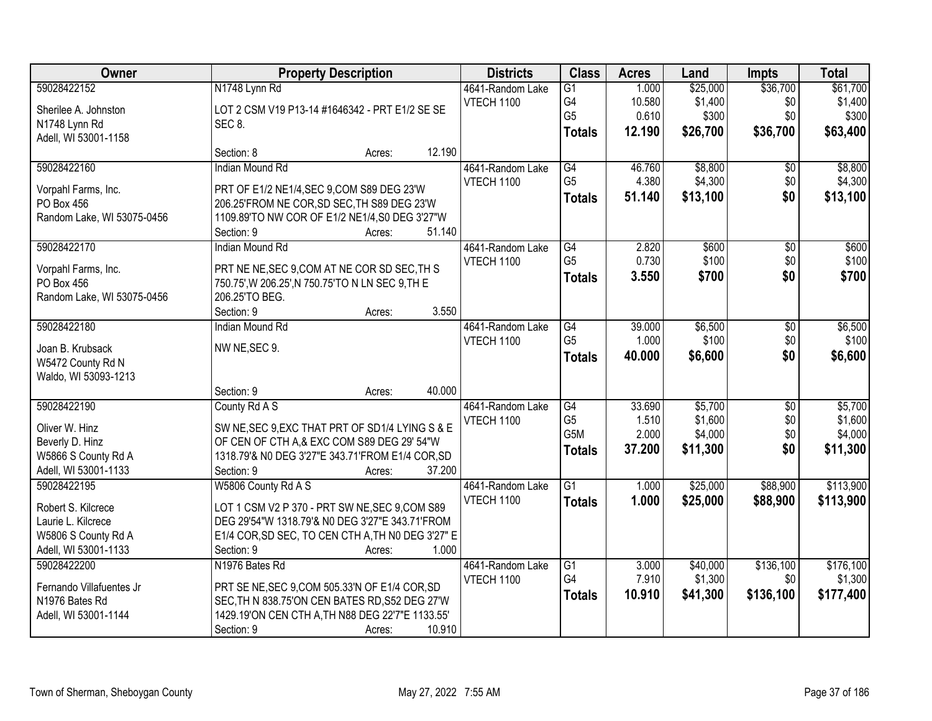| Owner                                 |                                                   | <b>Property Description</b> |        | <b>Districts</b>  | <b>Class</b>    | <b>Acres</b> | Land     | <b>Impts</b>    | <b>Total</b> |
|---------------------------------------|---------------------------------------------------|-----------------------------|--------|-------------------|-----------------|--------------|----------|-----------------|--------------|
| 59028422152                           | N1748 Lynn Rd                                     |                             |        | 4641-Random Lake  | $\overline{G1}$ | 1.000        | \$25,000 | \$36,700        | \$61,700     |
| Sherilee A. Johnston                  | LOT 2 CSM V19 P13-14 #1646342 - PRT E1/2 SE SE    |                             |        | <b>VTECH 1100</b> | G4              | 10.580       | \$1,400  | \$0             | \$1,400      |
| N1748 Lynn Rd                         | SEC 8.                                            |                             |        |                   | G <sub>5</sub>  | 0.610        | \$300    | \$0             | \$300        |
| Adell, WI 53001-1158                  |                                                   |                             |        |                   | <b>Totals</b>   | 12.190       | \$26,700 | \$36,700        | \$63,400     |
|                                       | Section: 8                                        | Acres:                      | 12.190 |                   |                 |              |          |                 |              |
| 59028422160                           | <b>Indian Mound Rd</b>                            |                             |        | 4641-Random Lake  | G4              | 46.760       | \$8,800  | $\overline{50}$ | \$8,800      |
| Vorpahl Farms, Inc.                   | PRT OF E1/2 NE1/4, SEC 9, COM S89 DEG 23'W        |                             |        | <b>VTECH 1100</b> | G <sub>5</sub>  | 4.380        | \$4,300  | \$0             | \$4,300      |
| PO Box 456                            | 206.25'FROM NE COR, SD SEC, TH S89 DEG 23'W       |                             |        |                   | Totals          | 51.140       | \$13,100 | \$0             | \$13,100     |
| Random Lake, WI 53075-0456            | 1109.89'TO NW COR OF E1/2 NE1/4, S0 DEG 3'27"W    |                             |        |                   |                 |              |          |                 |              |
|                                       | Section: 9                                        | Acres:                      | 51.140 |                   |                 |              |          |                 |              |
| 59028422170                           | <b>Indian Mound Rd</b>                            |                             |        | 4641-Random Lake  | $\overline{G4}$ | 2.820        | \$600    | $\overline{50}$ | \$600        |
| Vorpahl Farms, Inc.                   | PRT NE NE, SEC 9, COM AT NE COR SD SEC, TH S      |                             |        | <b>VTECH 1100</b> | G <sub>5</sub>  | 0.730        | \$100    | \$0             | \$100        |
| PO Box 456                            | 750.75', W 206.25', N 750.75'TO N LN SEC 9, TH E  |                             |        |                   | Totals          | 3.550        | \$700    | \$0             | \$700        |
| Random Lake, WI 53075-0456            | 206.25 TO BEG.                                    |                             |        |                   |                 |              |          |                 |              |
|                                       | Section: 9                                        | Acres:                      | 3.550  |                   |                 |              |          |                 |              |
| 59028422180                           | Indian Mound Rd                                   |                             |        | 4641-Random Lake  | $\overline{G4}$ | 39.000       | \$6,500  | \$0             | \$6,500      |
|                                       | NW NE, SEC 9.                                     |                             |        | <b>VTECH 1100</b> | G <sub>5</sub>  | 1.000        | \$100    | \$0             | \$100        |
| Joan B. Krubsack<br>W5472 County Rd N |                                                   |                             |        |                   | <b>Totals</b>   | 40.000       | \$6,600  | \$0             | \$6,600      |
| Waldo, WI 53093-1213                  |                                                   |                             |        |                   |                 |              |          |                 |              |
|                                       | Section: 9                                        | Acres:                      | 40.000 |                   |                 |              |          |                 |              |
| 59028422190                           | County Rd A S                                     |                             |        | 4641-Random Lake  | $\overline{G4}$ | 33.690       | \$5,700  | $\overline{30}$ | \$5,700      |
|                                       |                                                   |                             |        | <b>VTECH 1100</b> | G <sub>5</sub>  | 1.510        | \$1,600  | \$0             | \$1,600      |
| Oliver W. Hinz                        | SW NE, SEC 9, EXC THAT PRT OF SD1/4 LYING S & E   |                             |        |                   | G5M             | 2.000        | \$4,000  | \$0             | \$4,000      |
| Beverly D. Hinz                       | OF CEN OF CTH A,& EXC COM S89 DEG 29' 54"W        |                             |        |                   | <b>Totals</b>   | 37.200       | \$11,300 | \$0             | \$11,300     |
| W5866 S County Rd A                   | 1318.79'& N0 DEG 3'27"E 343.71'FROM E1/4 COR, SD  |                             |        |                   |                 |              |          |                 |              |
| Adell, WI 53001-1133                  | Section: 9                                        | Acres:                      | 37.200 |                   |                 |              |          |                 |              |
| 59028422195                           | W5806 County Rd A S                               |                             |        | 4641-Random Lake  | $\overline{G1}$ | 1.000        | \$25,000 | \$88,900        | \$113,900    |
| Robert S. Kilcrece                    | LOT 1 CSM V2 P 370 - PRT SW NE, SEC 9, COM S89    |                             |        | VTECH 1100        | <b>Totals</b>   | 1.000        | \$25,000 | \$88,900        | \$113,900    |
| Laurie L. Kilcrece                    | DEG 29'54"W 1318.79'& N0 DEG 3'27"E 343.71'FROM   |                             |        |                   |                 |              |          |                 |              |
| W5806 S County Rd A                   | E1/4 COR, SD SEC, TO CEN CTH A, TH N0 DEG 3'27" E |                             |        |                   |                 |              |          |                 |              |
| Adell, WI 53001-1133                  | Section: 9                                        | Acres:                      | 1.000  |                   |                 |              |          |                 |              |
| 59028422200                           | N1976 Bates Rd                                    |                             |        | 4641-Random Lake  | $\overline{G1}$ | 3.000        | \$40,000 | \$136,100       | \$176,100    |
| Fernando Villafuentes Jr              | PRT SE NE, SEC 9, COM 505.33'N OF E1/4 COR, SD    |                             |        | <b>VTECH 1100</b> | G4              | 7.910        | \$1,300  | \$0             | \$1,300      |
| N1976 Bates Rd                        | SEC, TH N 838.75'ON CEN BATES RD, S52 DEG 27'W    |                             |        |                   | <b>Totals</b>   | 10.910       | \$41,300 | \$136,100       | \$177,400    |
| Adell, WI 53001-1144                  | 1429.19'ON CEN CTH A, TH N88 DEG 22'7"E 1133.55'  |                             |        |                   |                 |              |          |                 |              |
|                                       | Section: 9                                        | Acres:                      | 10.910 |                   |                 |              |          |                 |              |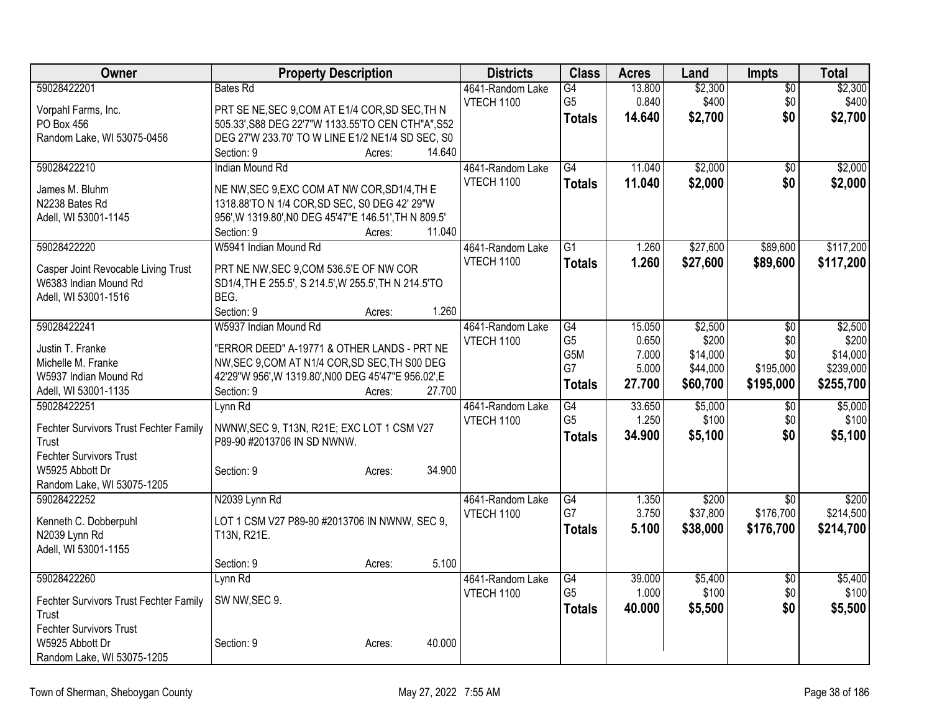| Owner                                  | <b>Property Description</b>                           | <b>Districts</b>  | <b>Class</b>                      | <b>Acres</b>    | Land     | <b>Impts</b>    | <b>Total</b> |
|----------------------------------------|-------------------------------------------------------|-------------------|-----------------------------------|-----------------|----------|-----------------|--------------|
| 59028422201                            | <b>Bates Rd</b>                                       | 4641-Random Lake  | G4                                | 13.800          | \$2,300  | $\overline{50}$ | \$2,300      |
| Vorpahl Farms, Inc.                    | PRT SE NE, SEC 9, COM AT E1/4 COR, SD SEC, TH N       | VTECH 1100        | G <sub>5</sub>                    | 0.840           | \$400    | \$0             | \$400        |
| PO Box 456                             | 505.33', S88 DEG 22'7"W 1133.55'TO CEN CTH"A", S52    |                   | <b>Totals</b>                     | 14.640          | \$2,700  | \$0             | \$2,700      |
| Random Lake, WI 53075-0456             | DEG 27'W 233.70' TO W LINE E1/2 NE1/4 SD SEC, S0      |                   |                                   |                 |          |                 |              |
|                                        | 14.640<br>Section: 9<br>Acres:                        |                   |                                   |                 |          |                 |              |
| 59028422210                            | <b>Indian Mound Rd</b>                                | 4641-Random Lake  | G4                                | 11.040          | \$2,000  | $\overline{50}$ | \$2,000      |
| James M. Bluhm                         | NE NW, SEC 9, EXC COM AT NW COR, SD1/4, TH E          | <b>VTECH 1100</b> | <b>Totals</b>                     | 11.040          | \$2,000  | \$0             | \$2,000      |
| N2238 Bates Rd                         | 1318.88'TO N 1/4 COR, SD SEC, S0 DEG 42' 29"W         |                   |                                   |                 |          |                 |              |
| Adell, WI 53001-1145                   | 956', W 1319.80', NO DEG 45'47"E 146.51', TH N 809.5' |                   |                                   |                 |          |                 |              |
|                                        | 11.040<br>Section: 9<br>Acres:                        |                   |                                   |                 |          |                 |              |
| 59028422220                            | W5941 Indian Mound Rd                                 | 4641-Random Lake  | $\overline{G1}$                   | 1.260           | \$27,600 | \$89,600        | \$117,200    |
|                                        |                                                       | <b>VTECH 1100</b> | Totals                            | 1.260           | \$27,600 | \$89,600        | \$117,200    |
| Casper Joint Revocable Living Trust    | PRT NE NW, SEC 9, COM 536.5'E OF NW COR               |                   |                                   |                 |          |                 |              |
| W6383 Indian Mound Rd                  | SD1/4, TH E 255.5', S 214.5', W 255.5', TH N 214.5'TO |                   |                                   |                 |          |                 |              |
| Adell, WI 53001-1516                   | BEG.<br>1.260<br>Section: 9                           |                   |                                   |                 |          |                 |              |
|                                        | Acres:<br>W5937 Indian Mound Rd                       |                   |                                   |                 | \$2,500  |                 | \$2,500      |
| 59028422241                            |                                                       | 4641-Random Lake  | $\overline{G4}$<br>G <sub>5</sub> | 15.050<br>0.650 | \$200    | \$0<br>\$0      | \$200        |
| Justin T. Franke                       | "ERROR DEED" A-19771 & OTHER LANDS - PRT NE           | <b>VTECH 1100</b> | G5M                               | 7.000           | \$14,000 | \$0             | \$14,000     |
| Michelle M. Franke                     | NW, SEC 9, COM AT N1/4 COR, SD SEC, TH S00 DEG        |                   | G7                                | 5.000           | \$44,000 | \$195,000       | \$239,000    |
| W5937 Indian Mound Rd                  | 42'29"W 956', W 1319.80', N00 DEG 45'47"E 956.02', E  |                   | <b>Totals</b>                     | 27.700          | \$60,700 | \$195,000       | \$255,700    |
| Adell, WI 53001-1135                   | 27.700<br>Section: 9<br>Acres:                        |                   |                                   |                 |          |                 |              |
| 59028422251                            | Lynn Rd                                               | 4641-Random Lake  | $\overline{G4}$                   | 33.650          | \$5,000  | $\overline{50}$ | \$5,000      |
| Fechter Survivors Trust Fechter Family | NWNW, SEC 9, T13N, R21E; EXC LOT 1 CSM V27            | <b>VTECH 1100</b> | G <sub>5</sub>                    | 1.250           | \$100    | \$0             | \$100        |
| Trust                                  | P89-90 #2013706 IN SD NWNW.                           |                   | <b>Totals</b>                     | 34.900          | \$5,100  | \$0             | \$5,100      |
| <b>Fechter Survivors Trust</b>         |                                                       |                   |                                   |                 |          |                 |              |
| W5925 Abbott Dr                        | 34.900<br>Section: 9<br>Acres:                        |                   |                                   |                 |          |                 |              |
| Random Lake, WI 53075-1205             |                                                       |                   |                                   |                 |          |                 |              |
| 59028422252                            | N2039 Lynn Rd                                         | 4641-Random Lake  | G4                                | 1.350           | \$200    | $\overline{50}$ | \$200        |
|                                        |                                                       | <b>VTECH 1100</b> | G7                                | 3.750           | \$37,800 | \$176,700       | \$214,500    |
| Kenneth C. Dobberpuhl                  | LOT 1 CSM V27 P89-90 #2013706 IN NWNW, SEC 9,         |                   | <b>Totals</b>                     | 5.100           | \$38,000 | \$176,700       | \$214,700    |
| N2039 Lynn Rd<br>Adell, WI 53001-1155  | T13N, R21E.                                           |                   |                                   |                 |          |                 |              |
|                                        | 5.100<br>Section: 9<br>Acres:                         |                   |                                   |                 |          |                 |              |
| 59028422260                            | Lynn Rd                                               | 4641-Random Lake  | G4                                | 39.000          | \$5,400  | $\overline{50}$ | \$5,400      |
|                                        |                                                       | <b>VTECH 1100</b> | G <sub>5</sub>                    | 1.000           | \$100    | \$0             | \$100        |
| Fechter Survivors Trust Fechter Family | SW NW, SEC 9.                                         |                   | <b>Totals</b>                     | 40.000          | \$5,500  | \$0             | \$5,500      |
| Trust                                  |                                                       |                   |                                   |                 |          |                 |              |
| <b>Fechter Survivors Trust</b>         |                                                       |                   |                                   |                 |          |                 |              |
| W5925 Abbott Dr                        | 40.000<br>Section: 9<br>Acres:                        |                   |                                   |                 |          |                 |              |
| Random Lake, WI 53075-1205             |                                                       |                   |                                   |                 |          |                 |              |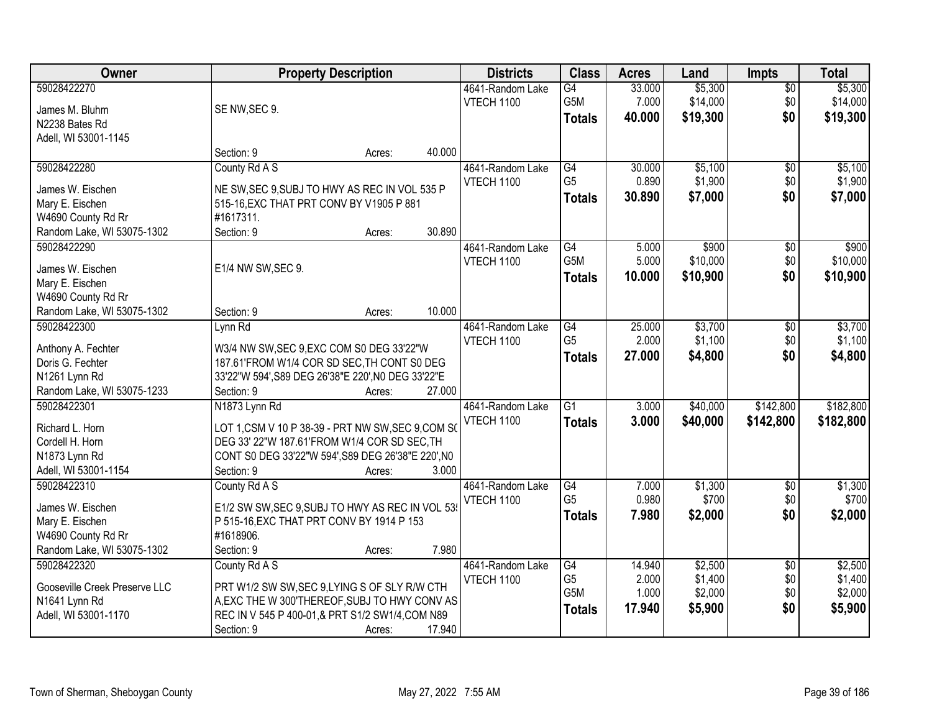| Owner                         | <b>Property Description</b>                        |        |        | <b>Districts</b>  | <b>Class</b>     | <b>Acres</b> | Land     | <b>Impts</b>    | <b>Total</b> |
|-------------------------------|----------------------------------------------------|--------|--------|-------------------|------------------|--------------|----------|-----------------|--------------|
| 59028422270                   |                                                    |        |        | 4641-Random Lake  | G4               | 33.000       | \$5,300  | $\sqrt{$0}$     | \$5,300      |
| James M. Bluhm                | SE NW, SEC 9.                                      |        |        | VTECH 1100        | G5M              | 7.000        | \$14,000 | \$0             | \$14,000     |
| N2238 Bates Rd                |                                                    |        |        |                   | <b>Totals</b>    | 40.000       | \$19,300 | \$0             | \$19,300     |
| Adell, WI 53001-1145          |                                                    |        |        |                   |                  |              |          |                 |              |
|                               | Section: 9                                         | Acres: | 40.000 |                   |                  |              |          |                 |              |
| 59028422280                   | County Rd A S                                      |        |        | 4641-Random Lake  | G4               | 30.000       | \$5,100  | \$0             | \$5,100      |
| James W. Eischen              | NE SW, SEC 9, SUBJ TO HWY AS REC IN VOL 535 P      |        |        | <b>VTECH 1100</b> | G <sub>5</sub>   | 0.890        | \$1,900  | \$0<br>\$0      | \$1,900      |
| Mary E. Eischen               | 515-16, EXC THAT PRT CONV BY V1905 P 881           |        |        |                   | <b>Totals</b>    | 30.890       | \$7,000  |                 | \$7,000      |
| W4690 County Rd Rr            | #1617311.                                          |        |        |                   |                  |              |          |                 |              |
| Random Lake, WI 53075-1302    | Section: 9                                         | Acres: | 30.890 |                   |                  |              |          |                 |              |
| 59028422290                   |                                                    |        |        | 4641-Random Lake  | G4               | 5.000        | \$900    | $\sqrt[6]{3}$   | \$900        |
| James W. Eischen              | E1/4 NW SW, SEC 9.                                 |        |        | <b>VTECH 1100</b> | G <sub>5</sub> M | 5.000        | \$10,000 | \$0             | \$10,000     |
| Mary E. Eischen               |                                                    |        |        |                   | Totals           | 10.000       | \$10,900 | \$0             | \$10,900     |
| W4690 County Rd Rr            |                                                    |        |        |                   |                  |              |          |                 |              |
| Random Lake, WI 53075-1302    | Section: 9                                         | Acres: | 10.000 |                   |                  |              |          |                 |              |
| 59028422300                   | Lynn Rd                                            |        |        | 4641-Random Lake  | G4               | 25.000       | \$3,700  | \$0             | \$3,700      |
|                               |                                                    |        |        | VTECH 1100        | G <sub>5</sub>   | 2.000        | \$1,100  | \$0             | \$1,100      |
| Anthony A. Fechter            | W3/4 NW SW, SEC 9, EXC COM S0 DEG 33'22"W          |        |        |                   | <b>Totals</b>    | 27.000       | \$4,800  | \$0             | \$4,800      |
| Doris G. Fechter              | 187.61'FROM W1/4 COR SD SEC, TH CONT S0 DEG        |        |        |                   |                  |              |          |                 |              |
| N1261 Lynn Rd                 | 33'22"W 594', S89 DEG 26'38"E 220', N0 DEG 33'22"E |        |        |                   |                  |              |          |                 |              |
| Random Lake, WI 53075-1233    | Section: 9                                         | Acres: | 27.000 |                   |                  |              |          |                 |              |
| 59028422301                   | N1873 Lynn Rd                                      |        |        | 4641-Random Lake  | $\overline{G1}$  | 3.000        | \$40,000 | \$142,800       | \$182,800    |
| Richard L. Horn               | LOT 1, CSM V 10 P 38-39 - PRT NW SW, SEC 9, COM S( |        |        | <b>VTECH 1100</b> | <b>Totals</b>    | 3.000        | \$40,000 | \$142,800       | \$182,800    |
| Cordell H. Horn               | DEG 33' 22"W 187.61'FROM W1/4 COR SD SEC, TH       |        |        |                   |                  |              |          |                 |              |
| N1873 Lynn Rd                 | CONT S0 DEG 33'22"W 594', S89 DEG 26'38"E 220', N0 |        |        |                   |                  |              |          |                 |              |
| Adell, WI 53001-1154          | Section: 9                                         | Acres: | 3.000  |                   |                  |              |          |                 |              |
| 59028422310                   | County Rd A S                                      |        |        | 4641-Random Lake  | $\overline{G4}$  | 7.000        | \$1,300  | $\overline{$0}$ | \$1,300      |
| James W. Eischen              | E1/2 SW SW, SEC 9, SUBJ TO HWY AS REC IN VOL 53    |        |        | <b>VTECH 1100</b> | G <sub>5</sub>   | 0.980        | \$700    | \$0             | \$700        |
| Mary E. Eischen               | P 515-16, EXC THAT PRT CONV BY 1914 P 153          |        |        |                   | <b>Totals</b>    | 7.980        | \$2,000  | \$0             | \$2,000      |
| W4690 County Rd Rr            | #1618906.                                          |        |        |                   |                  |              |          |                 |              |
| Random Lake, WI 53075-1302    | Section: 9                                         | Acres: | 7.980  |                   |                  |              |          |                 |              |
| 59028422320                   | County Rd A S                                      |        |        | 4641-Random Lake  | G4               | 14.940       | \$2,500  | $\overline{50}$ | \$2,500      |
|                               |                                                    |        |        | <b>VTECH 1100</b> | G <sub>5</sub>   | 2.000        | \$1,400  | \$0             | \$1,400      |
| Gooseville Creek Preserve LLC | PRT W1/2 SW SW, SEC 9, LYING S OF SLY R/W CTH      |        |        |                   | G <sub>5</sub> M | 1.000        | \$2,000  | \$0             | \$2,000      |
| N1641 Lynn Rd                 | A, EXC THE W 300'THEREOF, SUBJ TO HWY CONV AS      |        |        |                   | <b>Totals</b>    | 17.940       | \$5,900  | \$0             | \$5,900      |
| Adell, WI 53001-1170          | REC IN V 545 P 400-01,& PRT S1/2 SW1/4, COM N89    |        |        |                   |                  |              |          |                 |              |
|                               | Section: 9                                         | Acres: | 17.940 |                   |                  |              |          |                 |              |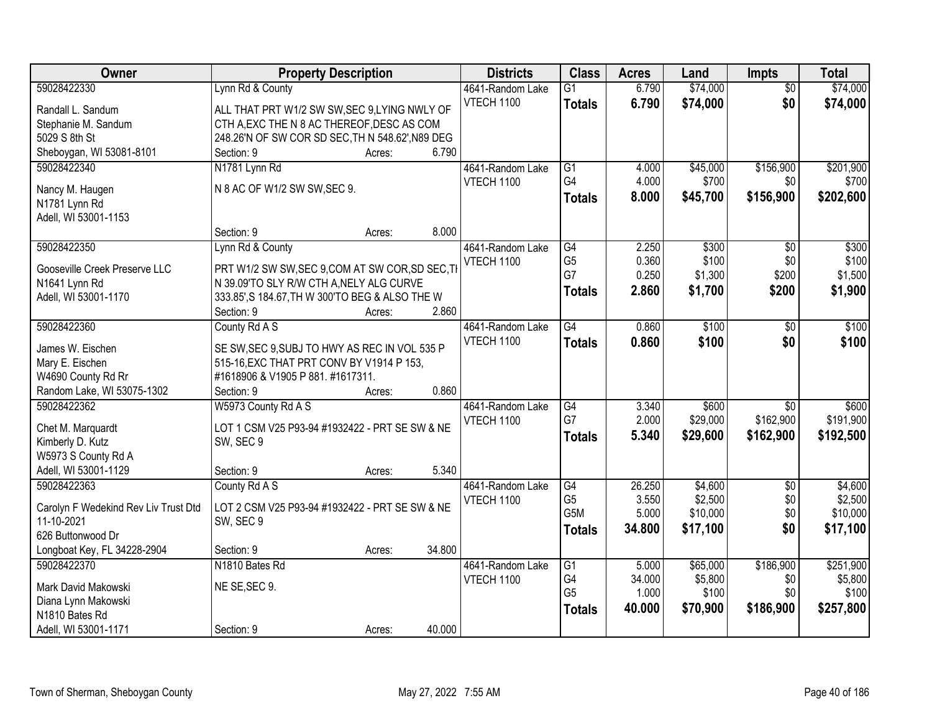| Owner                                       | <b>Property Description</b>                      |        |        | <b>Districts</b>                      | <b>Class</b>    | <b>Acres</b> | Land               | <b>Impts</b>      | <b>Total</b> |
|---------------------------------------------|--------------------------------------------------|--------|--------|---------------------------------------|-----------------|--------------|--------------------|-------------------|--------------|
| 59028422330                                 | Lynn Rd & County                                 |        |        | 4641-Random Lake                      | $\overline{G1}$ | 6.790        | \$74,000           | $\overline{50}$   | \$74,000     |
| Randall L. Sandum                           | ALL THAT PRT W1/2 SW SW, SEC 9, LYING NWLY OF    |        |        | <b>VTECH 1100</b>                     | <b>Totals</b>   | 6.790        | \$74,000           | \$0               | \$74,000     |
| Stephanie M. Sandum                         | CTH A, EXC THE N 8 AC THEREOF, DESC AS COM       |        |        |                                       |                 |              |                    |                   |              |
| 5029 S 8th St                               | 248.26'N OF SW COR SD SEC, TH N 548.62', N89 DEG |        |        |                                       |                 |              |                    |                   |              |
| Sheboygan, WI 53081-8101                    | Section: 9                                       | Acres: | 6.790  |                                       |                 |              |                    |                   |              |
| 59028422340                                 | N1781 Lynn Rd                                    |        |        | 4641-Random Lake                      | $\overline{G1}$ | 4.000        | \$45,000           | \$156,900         | \$201,900    |
|                                             |                                                  |        |        | <b>VTECH 1100</b>                     | G4              | 4.000        | \$700              | \$0               | \$700        |
| Nancy M. Haugen                             | N 8 AC OF W1/2 SW SW, SEC 9.                     |        |        |                                       | Totals          | 8.000        | \$45,700           | \$156,900         | \$202,600    |
| N1781 Lynn Rd                               |                                                  |        |        |                                       |                 |              |                    |                   |              |
| Adell, WI 53001-1153                        | Section: 9                                       |        | 8.000  |                                       |                 |              |                    |                   |              |
| 59028422350                                 |                                                  | Acres: |        | 4641-Random Lake                      | G4              | 2.250        | \$300              | \$0               | \$300        |
|                                             | Lynn Rd & County                                 |        |        | <b>VTECH 1100</b>                     | G <sub>5</sub>  | 0.360        | \$100              | \$0               | \$100        |
| Gooseville Creek Preserve LLC               | PRT W1/2 SW SW, SEC 9, COM AT SW COR, SD SEC, TI |        |        |                                       | G7              | 0.250        | \$1,300            | \$200             | \$1,500      |
| N1641 Lynn Rd                               | N 39.09'TO SLY R/W CTH A, NELY ALG CURVE         |        |        |                                       | <b>Totals</b>   | 2.860        | \$1,700            | \$200             | \$1,900      |
| Adell, WI 53001-1170                        | 333.85', S 184.67, TH W 300'TO BEG & ALSO THE W  |        |        |                                       |                 |              |                    |                   |              |
|                                             | Section: 9                                       | Acres: | 2.860  |                                       |                 |              |                    |                   |              |
| 59028422360                                 | County Rd A S                                    |        |        | 4641-Random Lake                      | G4              | 0.860        | \$100              | \$0               | \$100        |
| James W. Eischen                            | SE SW, SEC 9, SUBJ TO HWY AS REC IN VOL 535 P    |        |        | VTECH 1100                            | <b>Totals</b>   | 0.860        | \$100              | \$0               | \$100        |
| Mary E. Eischen                             | 515-16, EXC THAT PRT CONV BY V1914 P 153,        |        |        |                                       |                 |              |                    |                   |              |
| W4690 County Rd Rr                          | #1618906 & V1905 P 881. #1617311.                |        |        |                                       |                 |              |                    |                   |              |
| Random Lake, WI 53075-1302                  | Section: 9                                       | Acres: | 0.860  |                                       |                 |              |                    |                   |              |
| 59028422362                                 | W5973 County Rd A S                              |        |        | 4641-Random Lake                      | $\overline{G4}$ | 3.340        | \$600              | $\overline{50}$   | \$600        |
|                                             |                                                  |        |        | VTECH 1100                            | G7              | 2.000        | \$29,000           | \$162,900         | \$191,900    |
| Chet M. Marquardt                           | LOT 1 CSM V25 P93-94 #1932422 - PRT SE SW & NE   |        |        |                                       | <b>Totals</b>   | 5.340        | \$29,600           | \$162,900         | \$192,500    |
| Kimberly D. Kutz                            | SW, SEC 9                                        |        |        |                                       |                 |              |                    |                   |              |
| W5973 S County Rd A<br>Adell, WI 53001-1129 |                                                  |        | 5.340  |                                       |                 |              |                    |                   |              |
| 59028422363                                 | Section: 9                                       | Acres: |        |                                       | G4              | 26.250       |                    |                   | \$4,600      |
|                                             | County Rd A S                                    |        |        | 4641-Random Lake<br><b>VTECH 1100</b> | G <sub>5</sub>  | 3.550        | \$4,600<br>\$2,500 | $\sqrt{6}$<br>\$0 | \$2,500      |
| Carolyn F Wedekind Rev Liv Trust Dtd        | LOT 2 CSM V25 P93-94 #1932422 - PRT SE SW & NE   |        |        |                                       | G5M             | 5.000        | \$10,000           | \$0               | \$10,000     |
| 11-10-2021                                  | SW, SEC 9                                        |        |        |                                       | <b>Totals</b>   | 34,800       | \$17,100           | \$0               | \$17,100     |
| 626 Buttonwood Dr                           |                                                  |        |        |                                       |                 |              |                    |                   |              |
| Longboat Key, FL 34228-2904                 | Section: 9                                       | Acres: | 34.800 |                                       |                 |              |                    |                   |              |
| 59028422370                                 | N1810 Bates Rd                                   |        |        | 4641-Random Lake                      | $\overline{G1}$ | 5.000        | \$65,000           | \$186,900         | \$251,900    |
| Mark David Makowski                         | NE SE, SEC 9.                                    |        |        | <b>VTECH 1100</b>                     | G4              | 34.000       | \$5,800            | \$0               | \$5,800      |
| Diana Lynn Makowski                         |                                                  |        |        |                                       | G <sub>5</sub>  | 1.000        | \$100              | \$0               | \$100        |
| N1810 Bates Rd                              |                                                  |        |        |                                       | <b>Totals</b>   | 40.000       | \$70,900           | \$186,900         | \$257,800    |
| Adell, WI 53001-1171                        | Section: 9                                       | Acres: | 40.000 |                                       |                 |              |                    |                   |              |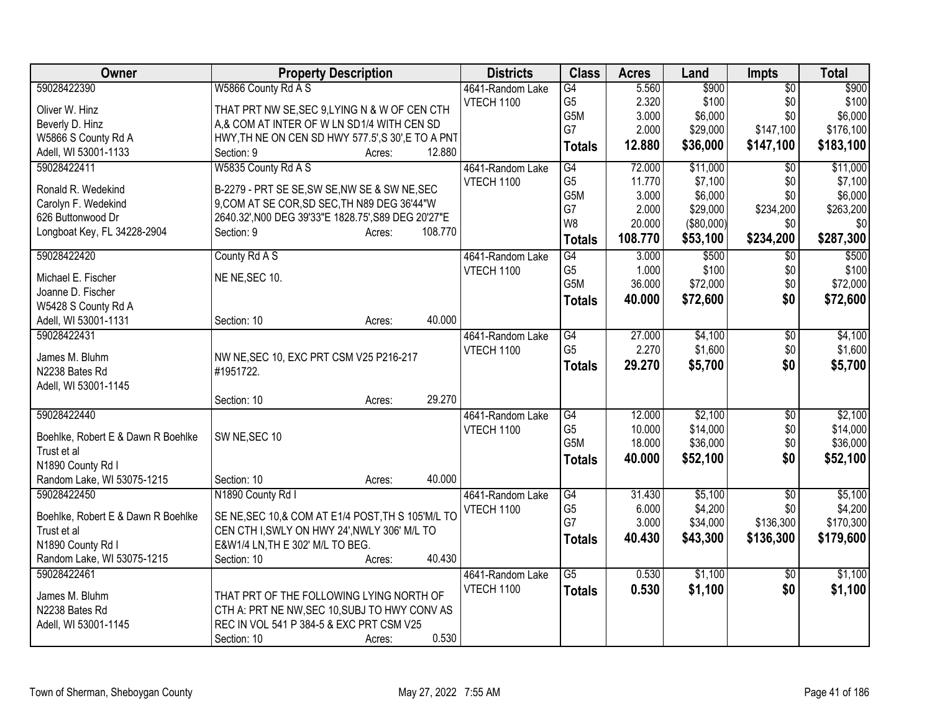| Owner                                     | <b>Property Description</b>                                       |         | <b>Districts</b>  | <b>Class</b>    | <b>Acres</b> | Land       | <b>Impts</b>    | <b>Total</b> |
|-------------------------------------------|-------------------------------------------------------------------|---------|-------------------|-----------------|--------------|------------|-----------------|--------------|
| 59028422390                               | W5866 County Rd A S                                               |         | 4641-Random Lake  | G4              | 5.560        | \$900      | $\overline{50}$ | \$900        |
| Oliver W. Hinz                            | THAT PRT NW SE, SEC 9, LYING N & W OF CEN CTH                     |         | VTECH 1100        | G <sub>5</sub>  | 2.320        | \$100      | \$0             | \$100        |
| Beverly D. Hinz                           | A,& COM AT INTER OF W LN SD1/4 WITH CEN SD                        |         |                   | G5M             | 3.000        | \$6,000    | \$0             | \$6,000      |
| W5866 S County Rd A                       | HWY, TH NE ON CEN SD HWY 577.5', S 30', E TO A PNT                |         |                   | G7              | 2.000        | \$29,000   | \$147,100       | \$176,100    |
| Adell, WI 53001-1133                      | Section: 9<br>Acres:                                              | 12.880  |                   | <b>Totals</b>   | 12.880       | \$36,000   | \$147,100       | \$183,100    |
| 59028422411                               | W5835 County Rd A S                                               |         | 4641-Random Lake  | $\overline{G4}$ | 72.000       | \$11,000   | $\overline{50}$ | \$11,000     |
|                                           |                                                                   |         | VTECH 1100        | G <sub>5</sub>  | 11.770       | \$7,100    | \$0             | \$7,100      |
| Ronald R. Wedekind                        | B-2279 - PRT SE SE, SW SE, NW SE & SW NE, SEC                     |         |                   | G5M             | 3.000        | \$6,000    | \$0             | \$6,000      |
| Carolyn F. Wedekind                       | 9, COM AT SE COR, SD SEC, TH N89 DEG 36'44"W                      |         |                   | G7              | 2.000        | \$29,000   | \$234,200       | \$263,200    |
| 626 Buttonwood Dr                         | 2640.32', N00 DEG 39'33"E 1828.75', S89 DEG 20'27"E<br>Section: 9 | 108.770 |                   | W <sub>8</sub>  | 20.000       | (\$80,000) | \$0             | \$0          |
| Longboat Key, FL 34228-2904               | Acres:                                                            |         |                   | <b>Totals</b>   | 108.770      | \$53,100   | \$234,200       | \$287,300    |
| 59028422420                               | County Rd A S                                                     |         | 4641-Random Lake  | $\overline{G4}$ | 3.000        | \$500      | $\overline{30}$ | \$500        |
| Michael E. Fischer                        | NE NE, SEC 10.                                                    |         | <b>VTECH 1100</b> | G <sub>5</sub>  | 1.000        | \$100      | \$0             | \$100        |
| Joanne D. Fischer                         |                                                                   |         |                   | G5M             | 36.000       | \$72,000   | \$0             | \$72,000     |
| W5428 S County Rd A                       |                                                                   |         |                   | <b>Totals</b>   | 40.000       | \$72,600   | \$0             | \$72,600     |
| Adell, WI 53001-1131                      | Section: 10<br>Acres:                                             | 40.000  |                   |                 |              |            |                 |              |
| 59028422431                               |                                                                   |         | 4641-Random Lake  | G4              | 27.000       | \$4,100    | $\overline{30}$ | \$4,100      |
|                                           |                                                                   |         | <b>VTECH 1100</b> | G <sub>5</sub>  | 2.270        | \$1,600    | \$0             | \$1,600      |
| James M. Bluhm                            | NW NE, SEC 10, EXC PRT CSM V25 P216-217                           |         |                   | <b>Totals</b>   | 29.270       | \$5,700    | \$0             | \$5,700      |
| N2238 Bates Rd                            | #1951722.                                                         |         |                   |                 |              |            |                 |              |
| Adell, WI 53001-1145                      |                                                                   |         |                   |                 |              |            |                 |              |
|                                           | Section: 10<br>Acres:                                             | 29.270  |                   |                 |              |            |                 |              |
| 59028422440                               |                                                                   |         | 4641-Random Lake  | G4              | 12.000       | \$2,100    | \$0             | \$2,100      |
| Boehlke, Robert E & Dawn R Boehlke        | SW NE, SEC 10                                                     |         | <b>VTECH 1100</b> | G <sub>5</sub>  | 10.000       | \$14,000   | \$0             | \$14,000     |
| Trust et al                               |                                                                   |         |                   | G5M             | 18.000       | \$36,000   | \$0             | \$36,000     |
| N1890 County Rd I                         |                                                                   |         |                   | <b>Totals</b>   | 40.000       | \$52,100   | \$0             | \$52,100     |
| Random Lake, WI 53075-1215                | Section: 10<br>Acres:                                             | 40.000  |                   |                 |              |            |                 |              |
| 59028422450                               | N1890 County Rd I                                                 |         | 4641-Random Lake  | G4              | 31.430       | \$5,100    | $\overline{50}$ | \$5,100      |
|                                           |                                                                   |         | VTECH 1100        | G <sub>5</sub>  | 6.000        | \$4,200    | \$0             | \$4,200      |
| Boehlke, Robert E & Dawn R Boehlke        | SE NE, SEC 10, & COM AT E1/4 POST, TH S 105'M/L TO                |         |                   | G7              | 3.000        | \$34,000   | \$136,300       | \$170,300    |
| Trust et al                               | CEN CTH I, SWLY ON HWY 24', NWLY 306' M/L TO                      |         |                   | <b>Totals</b>   | 40.430       | \$43,300   | \$136,300       | \$179,600    |
| N1890 County Rd I                         | E&W1/4 LN, TH E 302' M/L TO BEG.                                  | 40.430  |                   |                 |              |            |                 |              |
| Random Lake, WI 53075-1215<br>59028422461 | Section: 10<br>Acres:                                             |         | 4641-Random Lake  | $\overline{G5}$ | 0.530        | \$1,100    |                 | \$1,100      |
|                                           |                                                                   |         |                   |                 |              |            | \$0             |              |
| James M. Bluhm                            | THAT PRT OF THE FOLLOWING LYING NORTH OF                          |         | <b>VTECH 1100</b> | <b>Totals</b>   | 0.530        | \$1,100    | \$0             | \$1,100      |
| N2238 Bates Rd                            | CTH A: PRT NE NW, SEC 10, SUBJ TO HWY CONV AS                     |         |                   |                 |              |            |                 |              |
| Adell, WI 53001-1145                      | REC IN VOL 541 P 384-5 & EXC PRT CSM V25                          |         |                   |                 |              |            |                 |              |
|                                           | Section: 10<br>Acres:                                             | 0.530   |                   |                 |              |            |                 |              |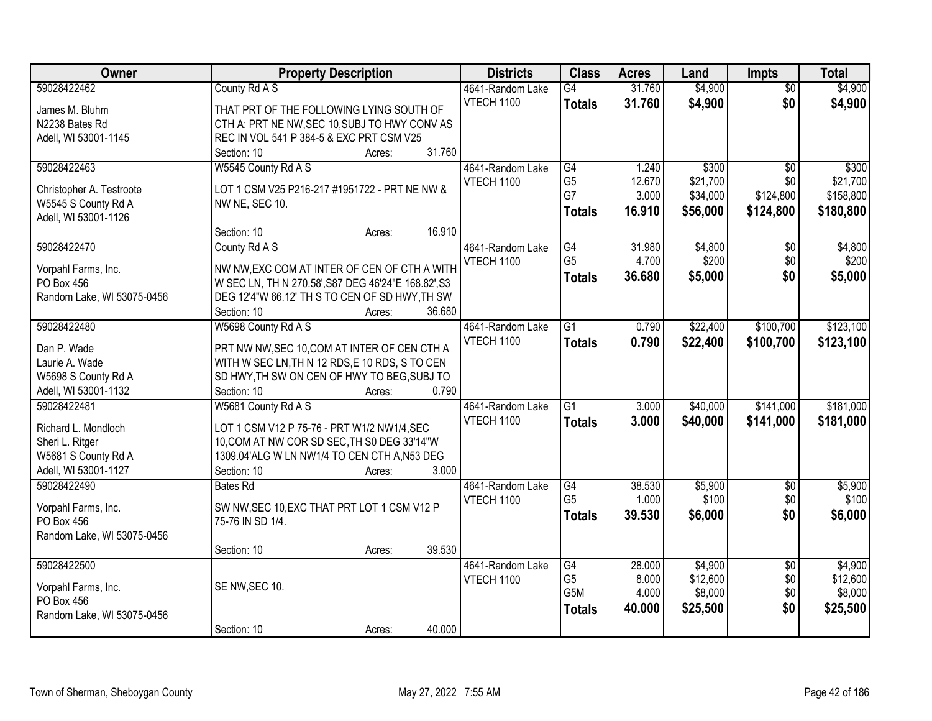| Owner                      | <b>Property Description</b>                         | <b>Districts</b>  | <b>Class</b>         | <b>Acres</b> | Land     | <b>Impts</b>    | <b>Total</b> |
|----------------------------|-----------------------------------------------------|-------------------|----------------------|--------------|----------|-----------------|--------------|
| 59028422462                | County Rd A S                                       | 4641-Random Lake  | $\overline{G4}$      | 31.760       | \$4,900  | $\overline{50}$ | \$4,900      |
| James M. Bluhm             | THAT PRT OF THE FOLLOWING LYING SOUTH OF            | <b>VTECH 1100</b> | <b>Totals</b>        | 31.760       | \$4,900  | \$0             | \$4,900      |
| N2238 Bates Rd             | CTH A: PRT NE NW, SEC 10, SUBJ TO HWY CONV AS       |                   |                      |              |          |                 |              |
| Adell, WI 53001-1145       | REC IN VOL 541 P 384-5 & EXC PRT CSM V25            |                   |                      |              |          |                 |              |
|                            | 31.760<br>Section: 10<br>Acres:                     |                   |                      |              |          |                 |              |
| 59028422463                | W5545 County Rd A S                                 | 4641-Random Lake  | G4                   | 1.240        | \$300    | $\overline{50}$ | \$300        |
|                            |                                                     | <b>VTECH 1100</b> | G <sub>5</sub>       | 12.670       | \$21,700 | \$0             | \$21,700     |
| Christopher A. Testroote   | LOT 1 CSM V25 P216-217 #1951722 - PRT NE NW &       |                   | G7                   | 3.000        | \$34,000 | \$124,800       | \$158,800    |
| W5545 S County Rd A        | NW NE, SEC 10.                                      |                   | <b>Totals</b>        | 16.910       | \$56,000 | \$124,800       | \$180,800    |
| Adell, WI 53001-1126       |                                                     |                   |                      |              |          |                 |              |
|                            | 16.910<br>Section: 10<br>Acres:                     |                   |                      |              |          |                 |              |
| 59028422470                | County Rd A S                                       | 4641-Random Lake  | G4<br>G <sub>5</sub> | 31.980       | \$4,800  | \$0             | \$4,800      |
| Vorpahl Farms, Inc.        | NW NW, EXC COM AT INTER OF CEN OF CTH A WITH        | <b>VTECH 1100</b> |                      | 4.700        | \$200    | \$0             | \$200        |
| PO Box 456                 | W SEC LN, TH N 270.58', S87 DEG 46'24"E 168.82', S3 |                   | <b>Totals</b>        | 36.680       | \$5,000  | \$0             | \$5,000      |
| Random Lake, WI 53075-0456 | DEG 12'4"W 66.12' TH S TO CEN OF SD HWY, TH SW      |                   |                      |              |          |                 |              |
|                            | 36.680<br>Section: 10<br>Acres:                     |                   |                      |              |          |                 |              |
| 59028422480                | W5698 County Rd A S                                 | 4641-Random Lake  | $\overline{G1}$      | 0.790        | \$22,400 | \$100,700       | \$123,100    |
| Dan P. Wade                | PRT NW NW, SEC 10, COM AT INTER OF CEN CTH A        | <b>VTECH 1100</b> | <b>Totals</b>        | 0.790        | \$22,400 | \$100,700       | \$123,100    |
| Laurie A. Wade             | WITH W SEC LN, TH N 12 RDS, E 10 RDS, S TO CEN      |                   |                      |              |          |                 |              |
| W5698 S County Rd A        | SD HWY, TH SW ON CEN OF HWY TO BEG, SUBJ TO         |                   |                      |              |          |                 |              |
| Adell, WI 53001-1132       | 0.790<br>Section: 10<br>Acres:                      |                   |                      |              |          |                 |              |
| 59028422481                | W5681 County Rd A S                                 | 4641-Random Lake  | $\overline{G1}$      | 3.000        | \$40,000 | \$141,000       | \$181,000    |
|                            |                                                     | <b>VTECH 1100</b> | <b>Totals</b>        | 3.000        | \$40,000 | \$141,000       | \$181,000    |
| Richard L. Mondloch        | LOT 1 CSM V12 P 75-76 - PRT W1/2 NW1/4, SEC         |                   |                      |              |          |                 |              |
| Sheri L. Ritger            | 10, COM AT NW COR SD SEC, TH S0 DEG 33'14"W         |                   |                      |              |          |                 |              |
| W5681 S County Rd A        | 1309.04'ALG W LN NW1/4 TO CEN CTH A, N53 DEG        |                   |                      |              |          |                 |              |
| Adell, WI 53001-1127       | 3.000<br>Section: 10<br>Acres:                      |                   |                      |              |          |                 |              |
| 59028422490                | <b>Bates Rd</b>                                     | 4641-Random Lake  | G4                   | 38.530       | \$5,900  | $\sqrt{$0}$     | \$5,900      |
| Vorpahl Farms, Inc.        | SW NW, SEC 10, EXC THAT PRT LOT 1 CSM V12 P         | VTECH 1100        | G <sub>5</sub>       | 1.000        | \$100    | \$0             | \$100        |
| PO Box 456                 | 75-76 IN SD 1/4.                                    |                   | <b>Totals</b>        | 39.530       | \$6,000  | \$0             | \$6,000      |
| Random Lake, WI 53075-0456 |                                                     |                   |                      |              |          |                 |              |
|                            | 39.530<br>Section: 10<br>Acres:                     |                   |                      |              |          |                 |              |
| 59028422500                |                                                     | 4641-Random Lake  | G4                   | 28.000       | \$4,900  | $\overline{50}$ | \$4,900      |
|                            |                                                     | <b>VTECH 1100</b> | G <sub>5</sub>       | 8.000        | \$12,600 | \$0             | \$12,600     |
| Vorpahl Farms, Inc.        | SE NW, SEC 10.                                      |                   | G5M                  | 4.000        | \$8,000  | \$0             | \$8,000      |
| PO Box 456                 |                                                     |                   | <b>Totals</b>        | 40.000       | \$25,500 | \$0             | \$25,500     |
| Random Lake, WI 53075-0456 | 40.000                                              |                   |                      |              |          |                 |              |
|                            | Section: 10<br>Acres:                               |                   |                      |              |          |                 |              |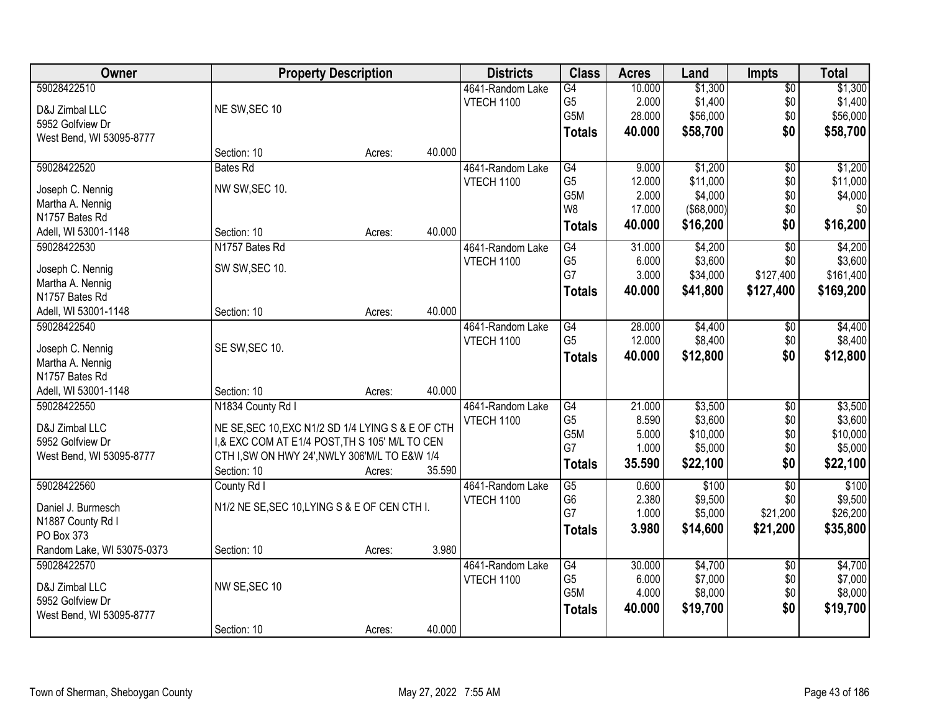| Owner                              | <b>Property Description</b>                       |        |        | <b>Districts</b>  | <b>Class</b>     | <b>Acres</b> | Land              | <b>Impts</b>    | <b>Total</b> |
|------------------------------------|---------------------------------------------------|--------|--------|-------------------|------------------|--------------|-------------------|-----------------|--------------|
| 59028422510                        |                                                   |        |        | 4641-Random Lake  | G4               | 10.000       | \$1,300           | $\overline{50}$ | \$1,300      |
| D&J Zimbal LLC                     | NE SW, SEC 10                                     |        |        | VTECH 1100        | G <sub>5</sub>   | 2.000        | \$1,400           | \$0             | \$1,400      |
| 5952 Golfview Dr                   |                                                   |        |        |                   | G5M              | 28.000       | \$56,000          | \$0             | \$56,000     |
| West Bend, WI 53095-8777           |                                                   |        |        |                   | <b>Totals</b>    | 40.000       | \$58,700          | \$0             | \$58,700     |
|                                    | Section: 10                                       | Acres: | 40.000 |                   |                  |              |                   |                 |              |
| 59028422520                        | <b>Bates Rd</b>                                   |        |        | 4641-Random Lake  | G4               | 9.000        | \$1,200           | \$0             | \$1,200      |
|                                    |                                                   |        |        | VTECH 1100        | G <sub>5</sub>   | 12.000       | \$11,000          | \$0             | \$11,000     |
| Joseph C. Nennig                   | NW SW, SEC 10.                                    |        |        |                   | G5M              | 2.000        | \$4,000           | \$0             | \$4,000      |
| Martha A. Nennig<br>N1757 Bates Rd |                                                   |        |        |                   | W8               | 17.000       | $($ \$68,000) $ $ | \$0             | \$0          |
| Adell, WI 53001-1148               | Section: 10                                       |        | 40.000 |                   | <b>Totals</b>    | 40.000       | \$16,200          | \$0             | \$16,200     |
| 59028422530                        | N1757 Bates Rd                                    | Acres: |        | 4641-Random Lake  | $\overline{G4}$  | 31.000       | \$4,200           | $\overline{50}$ | \$4,200      |
|                                    |                                                   |        |        | <b>VTECH 1100</b> | G <sub>5</sub>   | 6.000        | \$3,600           | \$0             | \$3,600      |
| Joseph C. Nennig                   | SW SW, SEC 10.                                    |        |        |                   | G7               | 3.000        | \$34,000          | \$127,400       | \$161,400    |
| Martha A. Nennig                   |                                                   |        |        |                   |                  | 40.000       | \$41,800          | \$127,400       | \$169,200    |
| N1757 Bates Rd                     |                                                   |        |        |                   | <b>Totals</b>    |              |                   |                 |              |
| Adell, WI 53001-1148               | Section: 10                                       | Acres: | 40.000 |                   |                  |              |                   |                 |              |
| 59028422540                        |                                                   |        |        | 4641-Random Lake  | G4               | 28.000       | \$4,400           | \$0             | \$4,400      |
| Joseph C. Nennig                   | SE SW, SEC 10.                                    |        |        | VTECH 1100        | G <sub>5</sub>   | 12.000       | \$8,400           | \$0             | \$8,400      |
| Martha A. Nennig                   |                                                   |        |        |                   | <b>Totals</b>    | 40.000       | \$12,800          | \$0             | \$12,800     |
| N1757 Bates Rd                     |                                                   |        |        |                   |                  |              |                   |                 |              |
| Adell, WI 53001-1148               | Section: 10                                       | Acres: | 40.000 |                   |                  |              |                   |                 |              |
| 59028422550                        | N1834 County Rd I                                 |        |        | 4641-Random Lake  | $\overline{G4}$  | 21.000       | \$3,500           | $\overline{50}$ | \$3,500      |
|                                    |                                                   |        |        | VTECH 1100        | G <sub>5</sub>   | 8.590        | \$3,600           | \$0             | \$3,600      |
| D&J Zimbal LLC                     | NE SE, SEC 10, EXC N1/2 SD 1/4 LYING S & E OF CTH |        |        |                   | G5M              | 5.000        | \$10,000          | \$0             | \$10,000     |
| 5952 Golfview Dr                   | I,& EXC COM AT E1/4 POST, TH S 105' M/L TO CEN    |        |        |                   | G7               | 1.000        | \$5,000           | \$0             | \$5,000      |
| West Bend, WI 53095-8777           | CTH I, SW ON HWY 24', NWLY 306'M/L TO E&W 1/4     |        |        |                   | <b>Totals</b>    | 35.590       | \$22,100          | \$0             | \$22,100     |
|                                    | Section: 10                                       | Acres: | 35.590 |                   |                  |              |                   |                 |              |
| 59028422560                        | County Rd I                                       |        |        | 4641-Random Lake  | $\overline{G5}$  | 0.600        | \$100             | $\overline{50}$ | \$100        |
| Daniel J. Burmesch                 | N1/2 NE SE, SEC 10, LYING S & E OF CEN CTH I.     |        |        | VTECH 1100        | G <sub>6</sub>   | 2.380        | \$9,500           | \$0             | \$9,500      |
| N1887 County Rd I                  |                                                   |        |        |                   | G7               | 1.000        | \$5,000           | \$21,200        | \$26,200     |
| PO Box 373                         |                                                   |        |        |                   | <b>Totals</b>    | 3.980        | \$14,600          | \$21,200        | \$35,800     |
| Random Lake, WI 53075-0373         | Section: 10                                       | Acres: | 3.980  |                   |                  |              |                   |                 |              |
| 59028422570                        |                                                   |        |        | 4641-Random Lake  | G4               | 30.000       | \$4,700           | $\overline{50}$ | \$4,700      |
|                                    |                                                   |        |        | <b>VTECH 1100</b> | G <sub>5</sub>   | 6.000        | \$7,000           | \$0             | \$7,000      |
| D&J Zimbal LLC                     | NW SE, SEC 10                                     |        |        |                   | G <sub>5</sub> M | 4.000        | \$8,000           | \$0             | \$8,000      |
| 5952 Golfview Dr                   |                                                   |        |        |                   | <b>Totals</b>    | 40.000       | \$19,700          | \$0             | \$19,700     |
| West Bend, WI 53095-8777           | Section: 10                                       | Acres: | 40.000 |                   |                  |              |                   |                 |              |
|                                    |                                                   |        |        |                   |                  |              |                   |                 |              |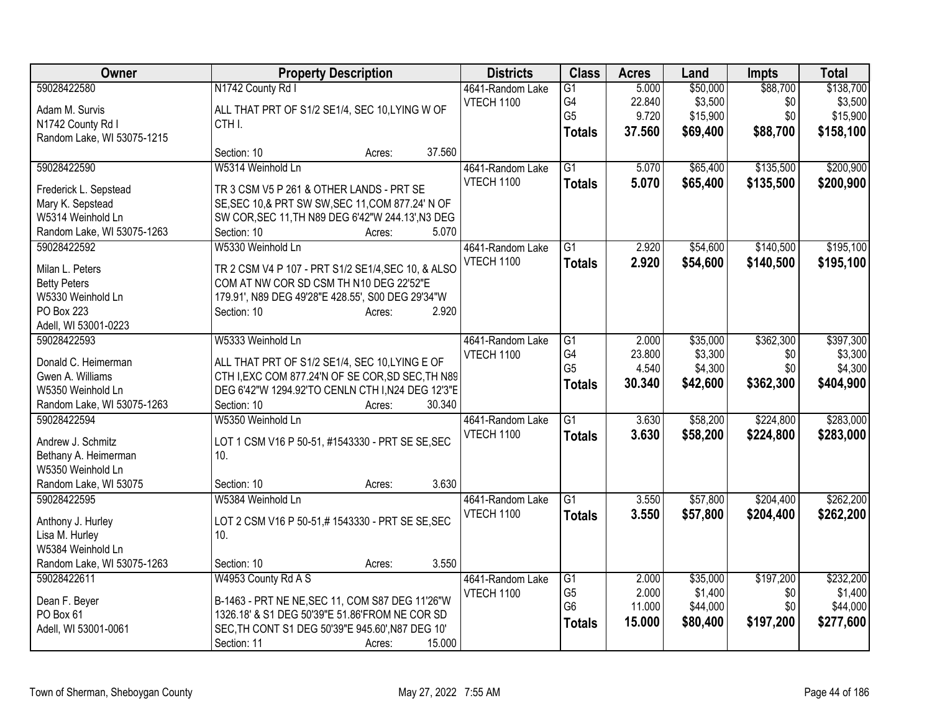| Owner                                     | <b>Property Description</b>                             | <b>Districts</b>  | <b>Class</b>    | <b>Acres</b> | Land     | <b>Impts</b> | <b>Total</b> |
|-------------------------------------------|---------------------------------------------------------|-------------------|-----------------|--------------|----------|--------------|--------------|
| 59028422580                               | N1742 County Rd I                                       | 4641-Random Lake  | $\overline{G1}$ | 5.000        | \$50,000 | \$88,700     | \$138,700    |
| Adam M. Survis                            | ALL THAT PRT OF S1/2 SE1/4, SEC 10, LYING W OF          | <b>VTECH 1100</b> | G4              | 22.840       | \$3,500  | \$0          | \$3,500      |
| N1742 County Rd I                         | CTH I.                                                  |                   | G <sub>5</sub>  | 9.720        | \$15,900 | \$0          | \$15,900     |
| Random Lake, WI 53075-1215                |                                                         |                   | <b>Totals</b>   | 37,560       | \$69,400 | \$88,700     | \$158,100    |
|                                           | 37.560<br>Section: 10<br>Acres:                         |                   |                 |              |          |              |              |
| 59028422590                               | W5314 Weinhold Ln                                       | 4641-Random Lake  | $\overline{G1}$ | 5.070        | \$65,400 | \$135,500    | \$200,900    |
| Frederick L. Sepstead                     | TR 3 CSM V5 P 261 & OTHER LANDS - PRT SE                | VTECH 1100        | <b>Totals</b>   | 5.070        | \$65,400 | \$135,500    | \$200,900    |
| Mary K. Sepstead                          | SE, SEC 10, & PRT SW SW, SEC 11, COM 877.24' N OF       |                   |                 |              |          |              |              |
| W5314 Weinhold Ln                         | SW COR, SEC 11, TH N89 DEG 6'42"W 244.13', N3 DEG       |                   |                 |              |          |              |              |
| Random Lake, WI 53075-1263                | 5.070<br>Section: 10<br>Acres:                          |                   |                 |              |          |              |              |
| 59028422592                               | W5330 Weinhold Ln                                       | 4641-Random Lake  | $\overline{G1}$ | 2.920        | \$54,600 | \$140,500    | \$195,100    |
|                                           |                                                         | <b>VTECH 1100</b> | <b>Totals</b>   | 2.920        | \$54,600 | \$140,500    | \$195,100    |
| Milan L. Peters                           | TR 2 CSM V4 P 107 - PRT S1/2 SE1/4, SEC 10, & ALSO      |                   |                 |              |          |              |              |
| <b>Betty Peters</b>                       | COM AT NW COR SD CSM TH N10 DEG 22'52"E                 |                   |                 |              |          |              |              |
| W5330 Weinhold Ln                         | 179.91', N89 DEG 49'28"E 428.55', S00 DEG 29'34"W       |                   |                 |              |          |              |              |
| <b>PO Box 223</b>                         | 2.920<br>Section: 10<br>Acres:                          |                   |                 |              |          |              |              |
| Adell, WI 53001-0223                      |                                                         |                   |                 |              |          |              |              |
| 59028422593                               | W5333 Weinhold Ln                                       | 4641-Random Lake  | G1              | 2.000        | \$35,000 | \$362,300    | \$397,300    |
| Donald C. Heimerman                       | ALL THAT PRT OF S1/2 SE1/4, SEC 10, LYING E OF          | VTECH 1100        | G4              | 23.800       | \$3,300  | \$0          | \$3,300      |
| Gwen A. Williams                          | CTH I, EXC COM 877.24'N OF SE COR, SD SEC, TH N89       |                   | G <sub>5</sub>  | 4.540        | \$4,300  | \$0          | \$4,300      |
| W5350 Weinhold Ln                         | DEG 6'42"W 1294.92'TO CENLN CTH I, N24 DEG 12'3"E       |                   | <b>Totals</b>   | 30.340       | \$42,600 | \$362,300    | \$404,900    |
| Random Lake, WI 53075-1263                | 30.340<br>Section: 10<br>Acres:                         |                   |                 |              |          |              |              |
| 59028422594                               | W5350 Weinhold Ln                                       | 4641-Random Lake  | $\overline{G1}$ | 3.630        | \$58,200 | \$224,800    | \$283,000    |
|                                           |                                                         | VTECH 1100        | <b>Totals</b>   | 3.630        | \$58,200 | \$224,800    | \$283,000    |
| Andrew J. Schmitz                         | LOT 1 CSM V16 P 50-51, #1543330 - PRT SE SE, SEC<br>10. |                   |                 |              |          |              |              |
| Bethany A. Heimerman<br>W5350 Weinhold Ln |                                                         |                   |                 |              |          |              |              |
| Random Lake, WI 53075                     | 3.630<br>Section: 10                                    |                   |                 |              |          |              |              |
| 59028422595                               | Acres:<br>W5384 Weinhold Ln                             | 4641-Random Lake  | $\overline{G1}$ | 3.550        | \$57,800 | \$204,400    | \$262,200    |
|                                           |                                                         | <b>VTECH 1100</b> |                 | 3.550        | \$57,800 |              |              |
| Anthony J. Hurley                         | LOT 2 CSM V16 P 50-51,#1543330 - PRT SE SE, SEC         |                   | <b>Totals</b>   |              |          | \$204,400    | \$262,200    |
| Lisa M. Hurley                            | 10.                                                     |                   |                 |              |          |              |              |
| W5384 Weinhold Ln                         |                                                         |                   |                 |              |          |              |              |
| Random Lake, WI 53075-1263                | 3.550<br>Section: 10<br>Acres:                          |                   |                 |              |          |              |              |
| 59028422611                               | W4953 County Rd A S                                     | 4641-Random Lake  | $\overline{G1}$ | 2.000        | \$35,000 | \$197,200    | \$232,200    |
| Dean F. Beyer                             | B-1463 - PRT NE NE, SEC 11, COM S87 DEG 11'26"W         | <b>VTECH 1100</b> | G <sub>5</sub>  | 2.000        | \$1,400  | \$0          | \$1,400      |
| PO Box 61                                 | 1326.18' & S1 DEG 50'39"E 51.86'FROM NE COR SD          |                   | G <sub>6</sub>  | 11.000       | \$44,000 | \$0          | \$44,000     |
| Adell, WI 53001-0061                      | SEC, TH CONT S1 DEG 50'39"E 945.60', N87 DEG 10'        |                   | <b>Totals</b>   | 15.000       | \$80,400 | \$197,200    | \$277,600    |
|                                           | 15.000<br>Section: 11<br>Acres:                         |                   |                 |              |          |              |              |
|                                           |                                                         |                   |                 |              |          |              |              |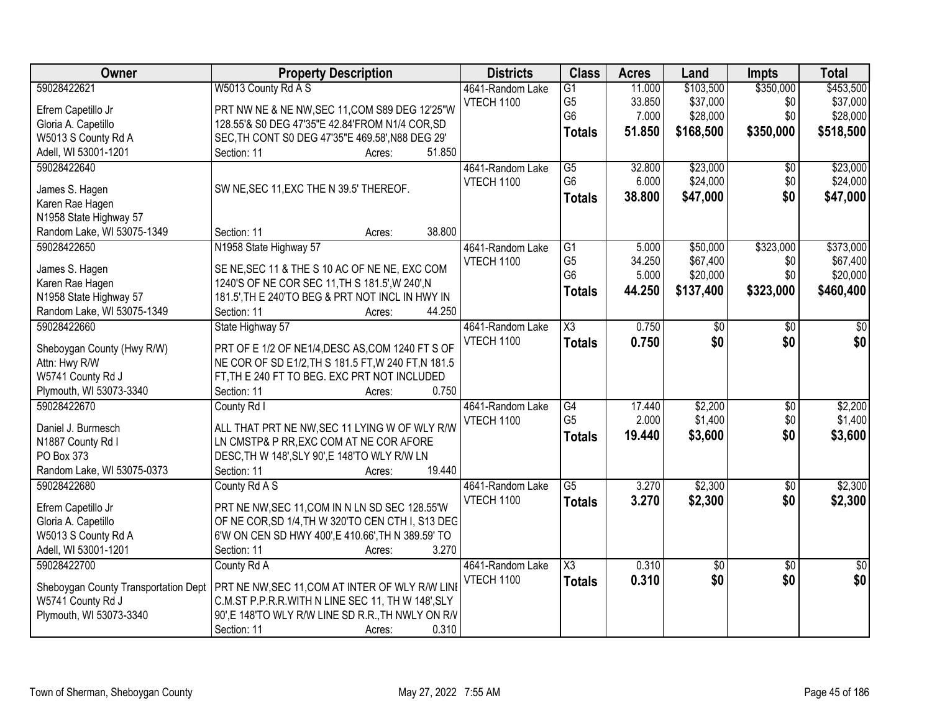| Owner                                | <b>Property Description</b>                         | <b>Districts</b>  | <b>Class</b>           | <b>Acres</b> | Land            | <b>Impts</b>    | <b>Total</b>    |
|--------------------------------------|-----------------------------------------------------|-------------------|------------------------|--------------|-----------------|-----------------|-----------------|
| 59028422621                          | W5013 County Rd A S                                 | 4641-Random Lake  | $\overline{G1}$        | 11.000       | \$103,500       | \$350,000       | \$453,500       |
| Efrem Capetillo Jr                   | PRT NW NE & NE NW, SEC 11, COM S89 DEG 12'25"W      | VTECH 1100        | G <sub>5</sub>         | 33.850       | \$37,000        | \$0             | \$37,000        |
| Gloria A. Capetillo                  | 128.55'& S0 DEG 47'35"E 42.84'FROM N1/4 COR, SD     |                   | G <sub>6</sub>         | 7.000        | \$28,000        | \$0             | \$28,000        |
| W5013 S County Rd A                  | SEC, TH CONT S0 DEG 47'35"E 469.58', N88 DEG 29'    |                   | <b>Totals</b>          | 51.850       | \$168,500       | \$350,000       | \$518,500       |
| Adell, WI 53001-1201                 | Section: 11<br>51.850<br>Acres:                     |                   |                        |              |                 |                 |                 |
| 59028422640                          |                                                     | 4641-Random Lake  | $\overline{G5}$        | 32,800       | \$23,000        |                 | \$23,000        |
|                                      |                                                     |                   | G <sub>6</sub>         | 6.000        | \$24,000        | \$0<br>\$0      | \$24,000        |
| James S. Hagen                       | SW NE, SEC 11, EXC THE N 39.5' THEREOF.             | <b>VTECH 1100</b> |                        |              |                 |                 |                 |
| Karen Rae Hagen                      |                                                     |                   | <b>Totals</b>          | 38.800       | \$47,000        | \$0             | \$47,000        |
| N1958 State Highway 57               |                                                     |                   |                        |              |                 |                 |                 |
| Random Lake, WI 53075-1349           | 38.800<br>Section: 11<br>Acres:                     |                   |                        |              |                 |                 |                 |
| 59028422650                          | N1958 State Highway 57                              | 4641-Random Lake  | G1                     | 5.000        | \$50,000        | \$323,000       | \$373,000       |
|                                      |                                                     | <b>VTECH 1100</b> | G <sub>5</sub>         | 34.250       | \$67,400        | \$0             | \$67,400        |
| James S. Hagen                       | SE NE, SEC 11 & THE S 10 AC OF NE NE, EXC COM       |                   | G <sub>6</sub>         | 5.000        | \$20,000        | \$0             | \$20,000        |
| Karen Rae Hagen                      | 1240'S OF NE COR SEC 11, TH S 181.5', W 240', N     |                   | <b>Totals</b>          | 44.250       | \$137,400       | \$323,000       | \$460,400       |
| N1958 State Highway 57               | 181.5', TH E 240'TO BEG & PRT NOT INCL IN HWY IN    |                   |                        |              |                 |                 |                 |
| Random Lake, WI 53075-1349           | Section: 11<br>44.250<br>Acres:                     |                   |                        |              |                 |                 |                 |
| 59028422660                          | State Highway 57                                    | 4641-Random Lake  | X3                     | 0.750        | \$0             | $\sqrt[6]{}$    | $\overline{50}$ |
| Sheboygan County (Hwy R/W)           | PRT OF E 1/2 OF NE1/4, DESC AS, COM 1240 FT S OF    | <b>VTECH 1100</b> | <b>Totals</b>          | 0.750        | \$0             | \$0             | \$0             |
| Attn: Hwy R/W                        | NE COR OF SD E1/2, TH S 181.5 FT, W 240 FT, N 181.5 |                   |                        |              |                 |                 |                 |
| W5741 County Rd J                    | FT, TH E 240 FT TO BEG. EXC PRT NOT INCLUDED        |                   |                        |              |                 |                 |                 |
| Plymouth, WI 53073-3340              | Section: 11<br>0.750<br>Acres:                      |                   |                        |              |                 |                 |                 |
| 59028422670                          | County Rd I                                         | 4641-Random Lake  | $\overline{G4}$        | 17.440       | \$2,200         | $\overline{50}$ | \$2,200         |
|                                      |                                                     | VTECH 1100        | G <sub>5</sub>         | 2.000        | \$1,400         | \$0             | \$1,400         |
| Daniel J. Burmesch                   | ALL THAT PRT NE NW, SEC 11 LYING W OF WLY R/W       |                   |                        | 19.440       |                 | \$0             |                 |
| N1887 County Rd I                    | LN CMSTP& P RR, EXC COM AT NE COR AFORE             |                   | <b>Totals</b>          |              | \$3,600         |                 | \$3,600         |
| PO Box 373                           | DESC, TH W 148', SLY 90', E 148'TO WLY R/W LN       |                   |                        |              |                 |                 |                 |
| Random Lake, WI 53075-0373           | 19.440<br>Section: 11<br>Acres:                     |                   |                        |              |                 |                 |                 |
| 59028422680                          | County Rd A S                                       | 4641-Random Lake  | $\overline{G5}$        | 3.270        | \$2,300         | $\overline{60}$ | \$2,300         |
|                                      |                                                     | VTECH 1100        | <b>Totals</b>          | 3.270        | \$2,300         | \$0             | \$2,300         |
| Efrem Capetillo Jr                   | PRT NE NW, SEC 11, COM IN N LN SD SEC 128.55'W      |                   |                        |              |                 |                 |                 |
| Gloria A. Capetillo                  | OF NE COR, SD 1/4, TH W 320'TO CEN CTH I, S13 DEG   |                   |                        |              |                 |                 |                 |
| W5013 S County Rd A                  | 6'W ON CEN SD HWY 400', E 410.66', TH N 389.59' TO  |                   |                        |              |                 |                 |                 |
| Adell, WI 53001-1201                 | Section: 11<br>3.270<br>Acres:                      |                   |                        |              |                 |                 |                 |
| 59028422700                          | County Rd A                                         | 4641-Random Lake  | $\overline{\text{X3}}$ | 0.310        | $\overline{50}$ | $\overline{30}$ | $\sqrt{50}$     |
| Sheboygan County Transportation Dept | PRT NE NW, SEC 11, COM AT INTER OF WLY R/W LINE     | VTECH 1100        | <b>Totals</b>          | 0.310        | \$0             | \$0             | \$0             |
| W5741 County Rd J                    | C.M.ST P.P.R.R.WITH N LINE SEC 11, TH W 148', SLY   |                   |                        |              |                 |                 |                 |
| Plymouth, WI 53073-3340              | 90',E 148'TO WLY R/W LINE SD R.R., TH NWLY ON R/V   |                   |                        |              |                 |                 |                 |
|                                      | 0.310<br>Section: 11<br>Acres:                      |                   |                        |              |                 |                 |                 |
|                                      |                                                     |                   |                        |              |                 |                 |                 |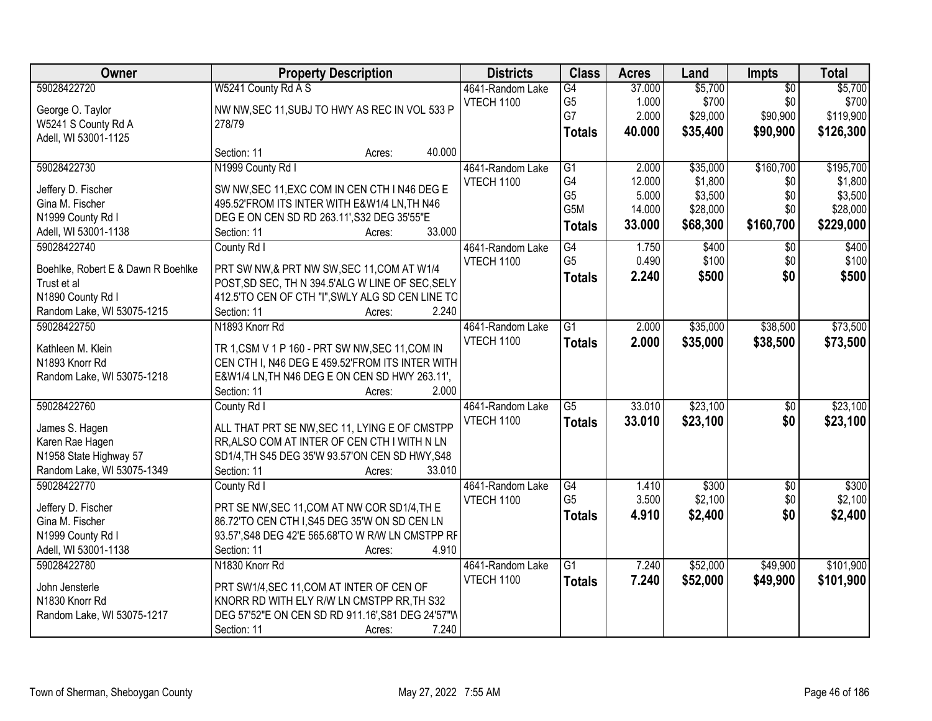| Owner                              | <b>Property Description</b>                       |                  | <b>Districts</b>  | <b>Class</b>    | <b>Acres</b> | Land     | <b>Impts</b>    | <b>Total</b> |
|------------------------------------|---------------------------------------------------|------------------|-------------------|-----------------|--------------|----------|-----------------|--------------|
| 59028422720                        | W5241 County Rd A S                               |                  | 4641-Random Lake  | $\overline{G4}$ | 37.000       | \$5,700  | $\overline{50}$ | \$5,700      |
| George O. Taylor                   | NW NW, SEC 11, SUBJ TO HWY AS REC IN VOL 533 P    |                  | <b>VTECH 1100</b> | G <sub>5</sub>  | 1.000        | \$700    | \$0             | \$700        |
| W5241 S County Rd A                | 278/79                                            |                  |                   | G7              | 2.000        | \$29,000 | \$90,900        | \$119,900    |
| Adell, WI 53001-1125               |                                                   |                  |                   | <b>Totals</b>   | 40.000       | \$35,400 | \$90,900        | \$126,300    |
|                                    | Section: 11                                       | 40.000<br>Acres: |                   |                 |              |          |                 |              |
| 59028422730                        | N1999 County Rd I                                 |                  | 4641-Random Lake  | $\overline{G1}$ | 2.000        | \$35,000 | \$160,700       | \$195,700    |
|                                    |                                                   |                  | <b>VTECH 1100</b> | G4              | 12.000       | \$1,800  | \$0             | \$1,800      |
| Jeffery D. Fischer                 | SW NW, SEC 11, EXC COM IN CEN CTH IN46 DEG E      |                  |                   | G <sub>5</sub>  | 5.000        | \$3,500  | \$0             | \$3,500      |
| Gina M. Fischer                    | 495.52'FROM ITS INTER WITH E&W1/4 LN, TH N46      |                  |                   | G5M             | 14.000       | \$28,000 | \$0             | \$28,000     |
| N1999 County Rd I                  | DEG E ON CEN SD RD 263.11', S32 DEG 35'55"E       |                  |                   | <b>Totals</b>   | 33.000       | \$68,300 | \$160,700       | \$229,000    |
| Adell, WI 53001-1138               | Section: 11                                       | 33.000<br>Acres: |                   |                 |              |          |                 |              |
| 59028422740                        | County Rd I                                       |                  | 4641-Random Lake  | G4              | 1.750        | \$400    | $\sqrt{6}$      | \$400        |
| Boehlke, Robert E & Dawn R Boehlke | PRT SW NW,& PRT NW SW, SEC 11, COM AT W1/4        |                  | <b>VTECH 1100</b> | G <sub>5</sub>  | 0.490        | \$100    | \$0             | \$100        |
| Trust et al                        | POST, SD SEC, TH N 394.5'ALG W LINE OF SEC, SELY  |                  |                   | <b>Totals</b>   | 2.240        | \$500    | \$0             | \$500        |
| N1890 County Rd I                  | 412.5'TO CEN OF CTH "I", SWLY ALG SD CEN LINE TO  |                  |                   |                 |              |          |                 |              |
| Random Lake, WI 53075-1215         | Section: 11                                       | 2.240<br>Acres:  |                   |                 |              |          |                 |              |
| 59028422750                        | N1893 Knorr Rd                                    |                  | 4641-Random Lake  | G1              | 2.000        | \$35,000 | \$38,500        | \$73,500     |
|                                    |                                                   |                  | <b>VTECH 1100</b> | <b>Totals</b>   | 2.000        | \$35,000 | \$38,500        | \$73,500     |
| Kathleen M. Klein                  | TR 1, CSM V 1 P 160 - PRT SW NW, SEC 11, COM IN   |                  |                   |                 |              |          |                 |              |
| N1893 Knorr Rd                     | CEN CTH I, N46 DEG E 459.52'FROM ITS INTER WITH   |                  |                   |                 |              |          |                 |              |
| Random Lake, WI 53075-1218         | E&W1/4 LN, TH N46 DEG E ON CEN SD HWY 263.11',    |                  |                   |                 |              |          |                 |              |
|                                    | Section: 11                                       | 2.000<br>Acres:  |                   |                 |              |          |                 |              |
| 59028422760                        | County Rd I                                       |                  | 4641-Random Lake  | $\overline{G5}$ | 33.010       | \$23,100 | $\overline{30}$ | \$23,100     |
| James S. Hagen                     | ALL THAT PRT SE NW, SEC 11, LYING E OF CMSTPP     |                  | <b>VTECH 1100</b> | Totals          | 33.010       | \$23,100 | \$0             | \$23,100     |
| Karen Rae Hagen                    | RR, ALSO COM AT INTER OF CEN CTH I WITH N LN      |                  |                   |                 |              |          |                 |              |
| N1958 State Highway 57             | SD1/4, TH S45 DEG 35'W 93.57'ON CEN SD HWY, S48   |                  |                   |                 |              |          |                 |              |
| Random Lake, WI 53075-1349         | Section: 11                                       | 33.010<br>Acres: |                   |                 |              |          |                 |              |
| 59028422770                        | County Rd I                                       |                  | 4641-Random Lake  | G4              | 1.410        | \$300    | $\overline{50}$ | \$300        |
|                                    |                                                   |                  | <b>VTECH 1100</b> | G <sub>5</sub>  | 3.500        | \$2,100  | \$0             | \$2,100      |
| Jeffery D. Fischer                 | PRT SE NW, SEC 11, COM AT NW COR SD1/4, TH E      |                  |                   | <b>Totals</b>   | 4.910        | \$2,400  | \$0             | \$2,400      |
| Gina M. Fischer                    | 86.72'TO CEN CTH I, S45 DEG 35'W ON SD CEN LN     |                  |                   |                 |              |          |                 |              |
| N1999 County Rd I                  | 93.57', S48 DEG 42'E 565.68'TO W R/W LN CMSTPP RF |                  |                   |                 |              |          |                 |              |
| Adell, WI 53001-1138               | Section: 11                                       | 4.910<br>Acres:  |                   |                 |              |          |                 |              |
| 59028422780                        | N1830 Knorr Rd                                    |                  | 4641-Random Lake  | $\overline{G1}$ | 7.240        | \$52,000 | \$49,900        | \$101,900    |
| John Jensterle                     | PRT SW1/4, SEC 11, COM AT INTER OF CEN OF         |                  | <b>VTECH 1100</b> | <b>Totals</b>   | 7.240        | \$52,000 | \$49,900        | \$101,900    |
| N1830 Knorr Rd                     | KNORR RD WITH ELY R/W LN CMSTPP RR, TH S32        |                  |                   |                 |              |          |                 |              |
| Random Lake, WI 53075-1217         | DEG 57'52"E ON CEN SD RD 911.16', S81 DEG 24'57"W |                  |                   |                 |              |          |                 |              |
|                                    | Section: 11                                       | 7.240<br>Acres:  |                   |                 |              |          |                 |              |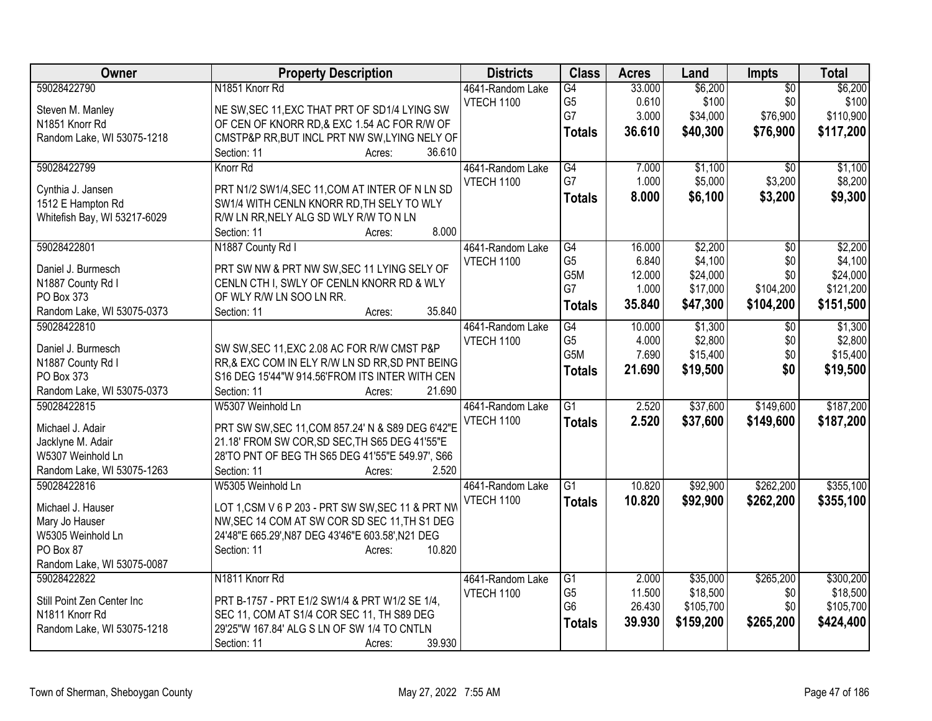| Owner                        | <b>Property Description</b>                                    | <b>Districts</b>               | <b>Class</b>     | <b>Acres</b> | Land               | <b>Impts</b>    | <b>Total</b>       |
|------------------------------|----------------------------------------------------------------|--------------------------------|------------------|--------------|--------------------|-----------------|--------------------|
| 59028422790                  | N1851 Knorr Rd                                                 | 4641-Random Lake               | G4               | 33.000       | \$6,200            | $\overline{50}$ | \$6,200            |
| Steven M. Manley             | NE SW, SEC 11, EXC THAT PRT OF SD1/4 LYING SW                  | VTECH 1100                     | G <sub>5</sub>   | 0.610        | \$100              | \$0             | \$100              |
| N1851 Knorr Rd               | OF CEN OF KNORR RD,& EXC 1.54 AC FOR R/W OF                    |                                | G7               | 3.000        | \$34,000           | \$76,900        | \$110,900          |
| Random Lake, WI 53075-1218   | CMSTP&P RR, BUT INCL PRT NW SW, LYING NELY OF                  |                                | <b>Totals</b>    | 36.610       | \$40,300           | \$76,900        | \$117,200          |
|                              | 36.610<br>Section: 11<br>Acres:                                |                                |                  |              |                    |                 |                    |
| 59028422799                  | Knorr Rd                                                       | 4641-Random Lake               | G4               | 7.000        | \$1,100            | \$0             | \$1,100            |
|                              |                                                                | VTECH 1100                     | G7               | 1.000        | \$5,000            | \$3,200         | \$8,200            |
| Cynthia J. Jansen            | PRT N1/2 SW1/4, SEC 11, COM AT INTER OF N LN SD                |                                | <b>Totals</b>    | 8.000        | \$6,100            | \$3,200         | \$9,300            |
| 1512 E Hampton Rd            | SW1/4 WITH CENLN KNORR RD, TH SELY TO WLY                      |                                |                  |              |                    |                 |                    |
| Whitefish Bay, WI 53217-6029 | R/W LN RR, NELY ALG SD WLY R/W TO N LN<br>8.000<br>Section: 11 |                                |                  |              |                    |                 |                    |
| 59028422801                  | Acres:                                                         |                                | $\overline{G4}$  | 16.000       |                    |                 |                    |
|                              | N1887 County Rd I                                              | 4641-Random Lake<br>VTECH 1100 | G <sub>5</sub>   | 6.840        | \$2,200<br>\$4,100 | \$0<br>\$0      | \$2,200<br>\$4,100 |
| Daniel J. Burmesch           | PRT SW NW & PRT NW SW, SEC 11 LYING SELY OF                    |                                | G <sub>5</sub> M | 12.000       | \$24,000           | \$0             | \$24,000           |
| N1887 County Rd I            | CENLN CTH I, SWLY OF CENLN KNORR RD & WLY                      |                                | G7               | 1.000        | \$17,000           | \$104,200       | \$121,200          |
| PO Box 373                   | OF WLY R/W LN SOO LN RR.                                       |                                |                  | 35.840       | \$47,300           | \$104,200       | \$151,500          |
| Random Lake, WI 53075-0373   | 35.840<br>Section: 11<br>Acres:                                |                                | <b>Totals</b>    |              |                    |                 |                    |
| 59028422810                  |                                                                | 4641-Random Lake               | $\overline{G4}$  | 10.000       | \$1,300            | \$0             | \$1,300            |
| Daniel J. Burmesch           | SW SW, SEC 11, EXC 2.08 AC FOR R/W CMST P&P                    | VTECH 1100                     | G <sub>5</sub>   | 4.000        | \$2,800            | \$0             | \$2,800            |
| N1887 County Rd I            | RR,& EXC COM IN ELY R/W LN SD RR, SD PNT BEING                 |                                | G5M              | 7.690        | \$15,400           | \$0             | \$15,400           |
| PO Box 373                   | S16 DEG 15'44"W 914.56'FROM ITS INTER WITH CEN                 |                                | <b>Totals</b>    | 21.690       | \$19,500           | \$0             | \$19,500           |
| Random Lake, WI 53075-0373   | 21.690<br>Section: 11<br>Acres:                                |                                |                  |              |                    |                 |                    |
| 59028422815                  | W5307 Weinhold Ln                                              | 4641-Random Lake               | $\overline{G1}$  | 2.520        | \$37,600           | \$149,600       | \$187,200          |
|                              |                                                                | VTECH 1100                     | <b>Totals</b>    | 2.520        | \$37,600           | \$149,600       | \$187,200          |
| Michael J. Adair             | PRT SW SW, SEC 11, COM 857.24' N & S89 DEG 6'42"E              |                                |                  |              |                    |                 |                    |
| Jacklyne M. Adair            | 21.18' FROM SW COR, SD SEC, TH S65 DEG 41'55"E                 |                                |                  |              |                    |                 |                    |
| W5307 Weinhold Ln            | 28'TO PNT OF BEG TH S65 DEG 41'55"E 549.97', S66               |                                |                  |              |                    |                 |                    |
| Random Lake, WI 53075-1263   | 2.520<br>Section: 11<br>Acres:                                 |                                |                  |              |                    |                 |                    |
| 59028422816                  | W5305 Weinhold Ln                                              | 4641-Random Lake               | $\overline{G1}$  | 10.820       | \$92,900           | \$262,200       | \$355,100          |
| Michael J. Hauser            | LOT 1, CSM V 6 P 203 - PRT SW SW, SEC 11 & PRT NW              | <b>VTECH 1100</b>              | <b>Totals</b>    | 10.820       | \$92,900           | \$262,200       | \$355,100          |
| Mary Jo Hauser               | NW, SEC 14 COM AT SW COR SD SEC 11, TH S1 DEG                  |                                |                  |              |                    |                 |                    |
| W5305 Weinhold Ln            | 24'48"E 665.29', N87 DEG 43'46"E 603.58', N21 DEG              |                                |                  |              |                    |                 |                    |
| PO Box 87                    | 10.820<br>Section: 11<br>Acres:                                |                                |                  |              |                    |                 |                    |
| Random Lake, WI 53075-0087   |                                                                |                                |                  |              |                    |                 |                    |
| 59028422822                  | N1811 Knorr Rd                                                 | 4641-Random Lake               | $\overline{G1}$  | 2.000        | \$35,000           | \$265,200       | \$300,200          |
|                              |                                                                | <b>VTECH 1100</b>              | G <sub>5</sub>   | 11.500       | \$18,500           | \$0             | \$18,500           |
| Still Point Zen Center Inc   | PRT B-1757 - PRT E1/2 SW1/4 & PRT W1/2 SE 1/4,                 |                                | G <sub>6</sub>   | 26.430       | \$105,700          | \$0             | \$105,700          |
| N1811 Knorr Rd               | SEC 11, COM AT S1/4 COR SEC 11, TH S89 DEG                     |                                | <b>Totals</b>    | 39.930       | \$159,200          | \$265,200       | \$424,400          |
| Random Lake, WI 53075-1218   | 29'25"W 167.84' ALG S LN OF SW 1/4 TO CNTLN                    |                                |                  |              |                    |                 |                    |
|                              | 39.930<br>Section: 11<br>Acres:                                |                                |                  |              |                    |                 |                    |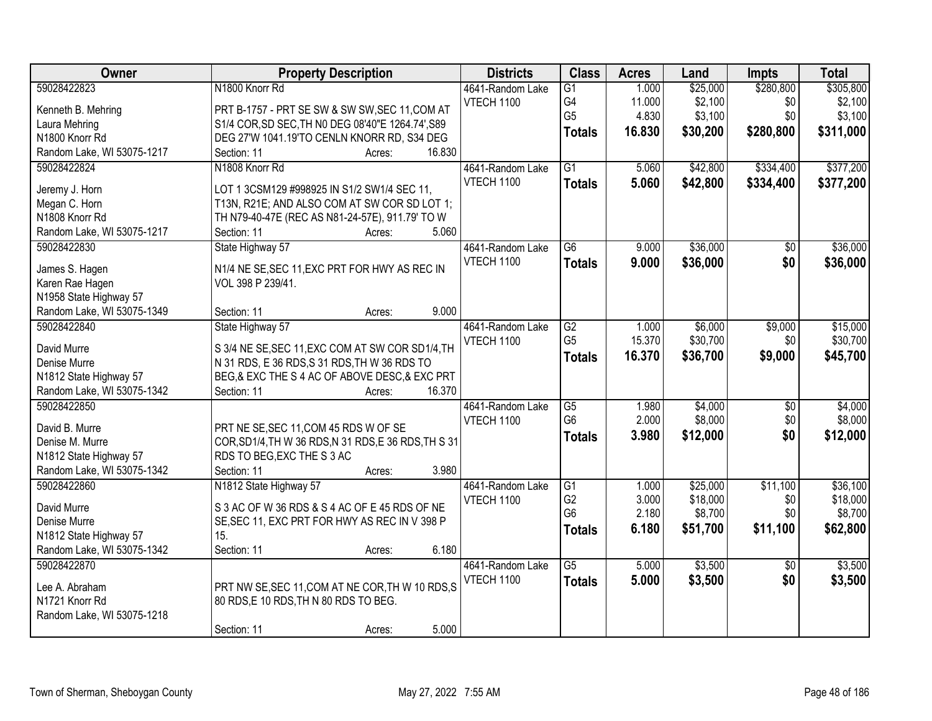| <b>Owner</b>               | <b>Property Description</b>                              | <b>Districts</b>  | <b>Class</b>    | <b>Acres</b> | Land     | <b>Impts</b>    | <b>Total</b> |
|----------------------------|----------------------------------------------------------|-------------------|-----------------|--------------|----------|-----------------|--------------|
| 59028422823                | N1800 Knorr Rd                                           | 4641-Random Lake  | $\overline{G1}$ | 1.000        | \$25,000 | \$280,800       | \$305,800    |
| Kenneth B. Mehring         | PRT B-1757 - PRT SE SW & SW SW, SEC 11, COM AT           | <b>VTECH 1100</b> | G4              | 11.000       | \$2,100  | \$0             | \$2,100      |
| Laura Mehring              | S1/4 COR, SD SEC, TH N0 DEG 08'40"E 1264.74', S89        |                   | G <sub>5</sub>  | 4.830        | \$3,100  | \$0             | \$3,100      |
| N1800 Knorr Rd             | DEG 27'W 1041.19'TO CENLN KNORR RD, S34 DEG              |                   | <b>Totals</b>   | 16.830       | \$30,200 | \$280,800       | \$311,000    |
| Random Lake, WI 53075-1217 | 16.830<br>Section: 11<br>Acres:                          |                   |                 |              |          |                 |              |
| 59028422824                | N1808 Knorr Rd                                           | 4641-Random Lake  | $\overline{G1}$ | 5.060        | \$42,800 | \$334,400       | \$377,200    |
|                            |                                                          | VTECH 1100        | <b>Totals</b>   | 5.060        | \$42,800 | \$334,400       | \$377,200    |
| Jeremy J. Horn             | LOT 1 3CSM129 #998925 IN S1/2 SW1/4 SEC 11,              |                   |                 |              |          |                 |              |
| Megan C. Horn              | T13N, R21E; AND ALSO COM AT SW COR SD LOT 1;             |                   |                 |              |          |                 |              |
| N1808 Knorr Rd             | TH N79-40-47E (REC AS N81-24-57E), 911.79' TO W<br>5.060 |                   |                 |              |          |                 |              |
| Random Lake, WI 53075-1217 | Section: 11<br>Acres:                                    |                   |                 |              |          |                 |              |
| 59028422830                | State Highway 57                                         | 4641-Random Lake  | $\overline{G6}$ | 9.000        | \$36,000 | \$0             | \$36,000     |
| James S. Hagen             | N1/4 NE SE, SEC 11, EXC PRT FOR HWY AS REC IN            | <b>VTECH 1100</b> | <b>Totals</b>   | 9.000        | \$36,000 | \$0             | \$36,000     |
| Karen Rae Hagen            | VOL 398 P 239/41.                                        |                   |                 |              |          |                 |              |
| N1958 State Highway 57     |                                                          |                   |                 |              |          |                 |              |
| Random Lake, WI 53075-1349 | 9.000<br>Section: 11<br>Acres:                           |                   |                 |              |          |                 |              |
| 59028422840                | State Highway 57                                         | 4641-Random Lake  | $\overline{G2}$ | 1.000        | \$6,000  | \$9,000         | \$15,000     |
| David Murre                | S 3/4 NE SE, SEC 11, EXC COM AT SW COR SD1/4, TH         | <b>VTECH 1100</b> | G <sub>5</sub>  | 15.370       | \$30,700 | \$0             | \$30,700     |
| Denise Murre               | N 31 RDS, E 36 RDS, S 31 RDS, TH W 36 RDS TO             |                   | <b>Totals</b>   | 16.370       | \$36,700 | \$9,000         | \$45,700     |
| N1812 State Highway 57     | BEG,& EXC THE S 4 AC OF ABOVE DESC,& EXC PRT             |                   |                 |              |          |                 |              |
| Random Lake, WI 53075-1342 | 16.370<br>Section: 11<br>Acres:                          |                   |                 |              |          |                 |              |
| 59028422850                |                                                          | 4641-Random Lake  | G5              | 1.980        | \$4,000  | $\overline{60}$ | \$4,000      |
|                            |                                                          | VTECH 1100        | G <sub>6</sub>  | 2.000        | \$8,000  | \$0             | \$8,000      |
| David B. Murre             | PRT NE SE, SEC 11, COM 45 RDS W OF SE                    |                   | <b>Totals</b>   | 3.980        | \$12,000 | \$0             | \$12,000     |
| Denise M. Murre            | COR, SD1/4, TH W 36 RDS, N 31 RDS, E 36 RDS, TH S 31     |                   |                 |              |          |                 |              |
| N1812 State Highway 57     | RDS TO BEG, EXC THE S 3 AC                               |                   |                 |              |          |                 |              |
| Random Lake, WI 53075-1342 | 3.980<br>Section: 11<br>Acres:                           |                   |                 |              |          |                 |              |
| 59028422860                | N1812 State Highway 57                                   | 4641-Random Lake  | $\overline{G1}$ | 1.000        | \$25,000 | \$11,100        | \$36,100     |
| David Murre                | S 3 AC OF W 36 RDS & S 4 AC OF E 45 RDS OF NE            | VTECH 1100        | G <sub>2</sub>  | 3.000        | \$18,000 | \$0             | \$18,000     |
| Denise Murre               | SE, SEC 11, EXC PRT FOR HWY AS REC IN V 398 P            |                   | G <sub>6</sub>  | 2.180        | \$8,700  | \$0             | \$8,700      |
| N1812 State Highway 57     | 15.                                                      |                   | <b>Totals</b>   | 6.180        | \$51,700 | \$11,100        | \$62,800     |
| Random Lake, WI 53075-1342 | 6.180<br>Section: 11<br>Acres:                           |                   |                 |              |          |                 |              |
| 59028422870                |                                                          | 4641-Random Lake  | $\overline{G5}$ | 5.000        | \$3,500  | $\overline{50}$ | \$3,500      |
|                            |                                                          | <b>VTECH 1100</b> | <b>Totals</b>   | 5.000        | \$3,500  | \$0             | \$3,500      |
| Lee A. Abraham             | PRT NW SE, SEC 11, COM AT NE COR, TH W 10 RDS, S         |                   |                 |              |          |                 |              |
| N1721 Knorr Rd             | 80 RDS, E 10 RDS, TH N 80 RDS TO BEG.                    |                   |                 |              |          |                 |              |
| Random Lake, WI 53075-1218 | 5.000                                                    |                   |                 |              |          |                 |              |
|                            | Section: 11<br>Acres:                                    |                   |                 |              |          |                 |              |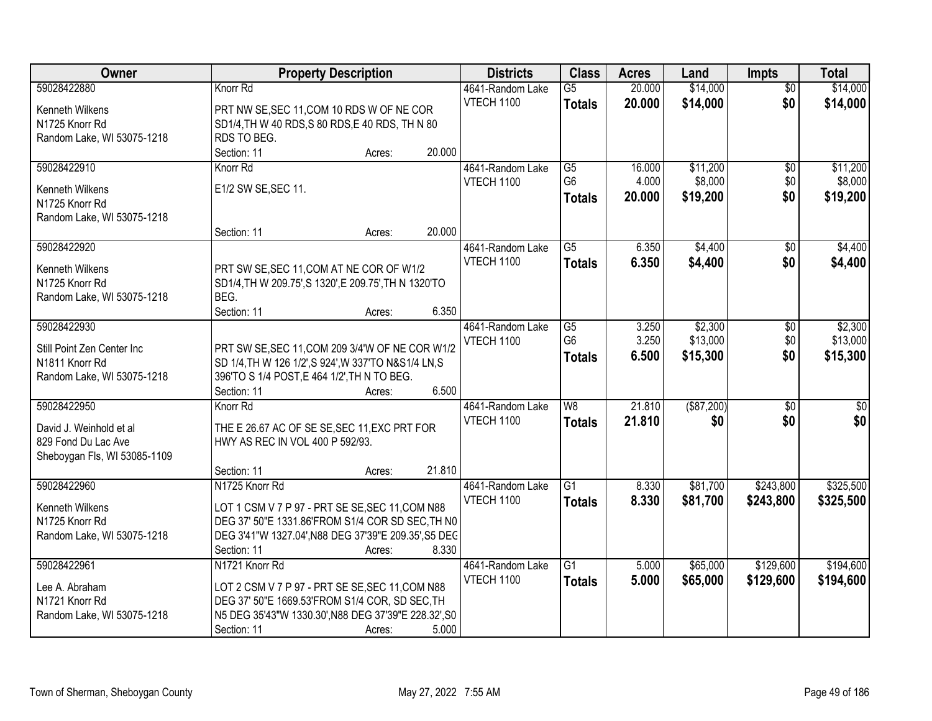| Owner                                          | <b>Property Description</b>                                                     |        |        | <b>Districts</b>  | <b>Class</b>    | <b>Acres</b> | Land          | <b>Impts</b>    | <b>Total</b> |
|------------------------------------------------|---------------------------------------------------------------------------------|--------|--------|-------------------|-----------------|--------------|---------------|-----------------|--------------|
| 59028422880                                    | Knorr <sub>Rd</sub>                                                             |        |        | 4641-Random Lake  | $\overline{G5}$ | 20.000       | \$14,000      | $\overline{50}$ | \$14,000     |
| Kenneth Wilkens                                | PRT NW SE, SEC 11, COM 10 RDS W OF NE COR                                       |        |        | <b>VTECH 1100</b> | <b>Totals</b>   | 20.000       | \$14,000      | \$0             | \$14,000     |
| N1725 Knorr Rd                                 | SD1/4, TH W 40 RDS, S 80 RDS, E 40 RDS, TH N 80                                 |        |        |                   |                 |              |               |                 |              |
| Random Lake, WI 53075-1218                     | RDS TO BEG.                                                                     |        |        |                   |                 |              |               |                 |              |
|                                                | Section: 11                                                                     | Acres: | 20.000 |                   |                 |              |               |                 |              |
| 59028422910                                    | Knorr <sub>Rd</sub>                                                             |        |        | 4641-Random Lake  | G5              | 16.000       | \$11,200      | $\overline{50}$ | \$11,200     |
|                                                |                                                                                 |        |        | <b>VTECH 1100</b> | G <sub>6</sub>  | 4.000        | \$8,000       | \$0             | \$8,000      |
| Kenneth Wilkens                                | E1/2 SW SE, SEC 11.                                                             |        |        |                   | <b>Totals</b>   | 20.000       | \$19,200      | \$0             | \$19,200     |
| N1725 Knorr Rd                                 |                                                                                 |        |        |                   |                 |              |               |                 |              |
| Random Lake, WI 53075-1218                     | Section: 11                                                                     | Acres: | 20.000 |                   |                 |              |               |                 |              |
| 59028422920                                    |                                                                                 |        |        | 4641-Random Lake  | $\overline{G5}$ | 6.350        | \$4,400       | \$0             | \$4,400      |
|                                                |                                                                                 |        |        | <b>VTECH 1100</b> |                 | 6.350        | \$4,400       | \$0             | \$4,400      |
| Kenneth Wilkens                                | PRT SW SE, SEC 11, COM AT NE COR OF W1/2                                        |        |        |                   | <b>Totals</b>   |              |               |                 |              |
| N1725 Knorr Rd                                 | SD1/4, TH W 209.75', S 1320', E 209.75', TH N 1320'TO                           |        |        |                   |                 |              |               |                 |              |
| Random Lake, WI 53075-1218                     | BEG.                                                                            |        |        |                   |                 |              |               |                 |              |
|                                                | Section: 11                                                                     | Acres: | 6.350  |                   |                 |              |               |                 |              |
| 59028422930                                    |                                                                                 |        |        | 4641-Random Lake  | $\overline{G5}$ | 3.250        | \$2,300       | \$0             | \$2,300      |
| Still Point Zen Center Inc                     | PRT SW SE, SEC 11, COM 209 3/4'W OF NE COR W1/2                                 |        |        | <b>VTECH 1100</b> | G <sub>6</sub>  | 3.250        | \$13,000      | \$0             | \$13,000     |
| N1811 Knorr Rd                                 | SD 1/4, TH W 126 1/2', S 924', W 337'TO N&S1/4 LN, S                            |        |        |                   | <b>Totals</b>   | 6.500        | \$15,300      | \$0             | \$15,300     |
| Random Lake, WI 53075-1218                     | 396'TO S 1/4 POST, E 464 1/2', TH N TO BEG.                                     |        |        |                   |                 |              |               |                 |              |
|                                                | Section: 11                                                                     | Acres: | 6.500  |                   |                 |              |               |                 |              |
| 59028422950                                    | Knorr Rd                                                                        |        |        | 4641-Random Lake  | $\overline{W8}$ | 21.810       | $($ \$87,200) | $\overline{30}$ | \$0          |
|                                                |                                                                                 |        |        | <b>VTECH 1100</b> | <b>Totals</b>   | 21.810       | \$0           | \$0             | \$0          |
| David J. Weinhold et al<br>829 Fond Du Lac Ave | THE E 26.67 AC OF SE SE, SEC 11, EXC PRT FOR<br>HWY AS REC IN VOL 400 P 592/93. |        |        |                   |                 |              |               |                 |              |
| Sheboygan Fls, WI 53085-1109                   |                                                                                 |        |        |                   |                 |              |               |                 |              |
|                                                | Section: 11                                                                     | Acres: | 21.810 |                   |                 |              |               |                 |              |
| 59028422960                                    | N1725 Knorr Rd                                                                  |        |        | 4641-Random Lake  | $\overline{G1}$ | 8.330        | \$81,700      | \$243,800       | \$325,500    |
|                                                |                                                                                 |        |        | <b>VTECH 1100</b> | <b>Totals</b>   | 8.330        | \$81,700      | \$243,800       | \$325,500    |
| Kenneth Wilkens                                | LOT 1 CSM V 7 P 97 - PRT SE SE, SEC 11, COM N88                                 |        |        |                   |                 |              |               |                 |              |
| N1725 Knorr Rd                                 | DEG 37' 50"E 1331.86'FROM S1/4 COR SD SEC, TH N0                                |        |        |                   |                 |              |               |                 |              |
| Random Lake, WI 53075-1218                     | DEG 3'41"W 1327.04', N88 DEG 37'39"E 209.35', S5 DEC                            |        |        |                   |                 |              |               |                 |              |
|                                                | Section: 11                                                                     | Acres: | 8.330  |                   |                 |              |               |                 |              |
| 59028422961                                    | N1721 Knorr Rd                                                                  |        |        | 4641-Random Lake  | $\overline{G1}$ | 5.000        | \$65,000      | \$129,600       | \$194,600    |
| Lee A. Abraham                                 | LOT 2 CSM V 7 P 97 - PRT SE SE, SEC 11, COM N88                                 |        |        | <b>VTECH 1100</b> | <b>Totals</b>   | 5.000        | \$65,000      | \$129,600       | \$194,600    |
| N1721 Knorr Rd                                 | DEG 37' 50"E 1669.53'FROM S1/4 COR, SD SEC, TH                                  |        |        |                   |                 |              |               |                 |              |
| Random Lake, WI 53075-1218                     | N5 DEG 35'43"W 1330.30', N88 DEG 37'39"E 228.32', S0                            |        |        |                   |                 |              |               |                 |              |
|                                                | Section: 11                                                                     | Acres: | 5.000  |                   |                 |              |               |                 |              |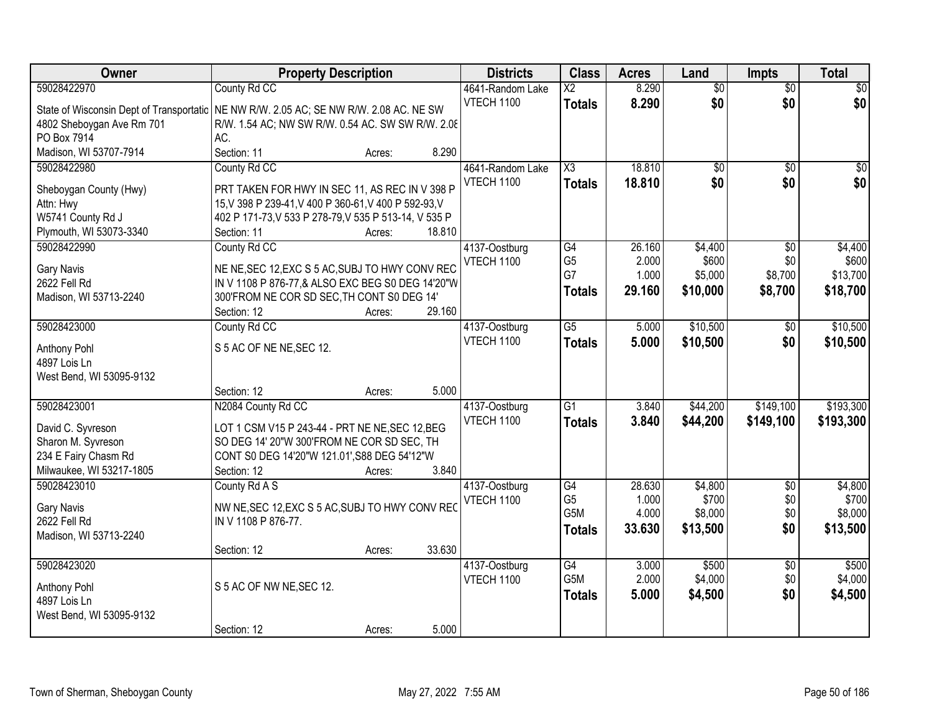| Owner                                      | <b>Property Description</b>                                                                | <b>Districts</b>            | <b>Class</b>           | <b>Acres</b> | Land            | <b>Impts</b>    | <b>Total</b> |
|--------------------------------------------|--------------------------------------------------------------------------------------------|-----------------------------|------------------------|--------------|-----------------|-----------------|--------------|
| 59028422970                                | County Rd CC                                                                               | 4641-Random Lake            | $\overline{\text{X2}}$ | 8.290        | $\overline{50}$ | $\overline{50}$ | \$0          |
| State of Wisconsin Dept of Transportatic   | NE NW R/W. 2.05 AC; SE NW R/W. 2.08 AC. NE SW                                              | VTECH 1100                  | <b>Totals</b>          | 8.290        | \$0             | \$0             | \$0          |
| 4802 Sheboygan Ave Rm 701                  | R/W. 1.54 AC; NW SW R/W. 0.54 AC. SW SW R/W. 2.08                                          |                             |                        |              |                 |                 |              |
| PO Box 7914                                | AC.                                                                                        |                             |                        |              |                 |                 |              |
| Madison, WI 53707-7914                     | Section: 11<br>8.290<br>Acres:                                                             |                             |                        |              |                 |                 |              |
| 59028422980                                | County Rd CC                                                                               | 4641-Random Lake            | $\overline{\chi_3}$    | 18.810       | $\overline{50}$ | $\overline{50}$ | \$0          |
| Sheboygan County (Hwy)                     | PRT TAKEN FOR HWY IN SEC 11, AS REC IN V 398 P                                             | <b>VTECH 1100</b>           | <b>Totals</b>          | 18.810       | \$0             | \$0             | \$0          |
| Attn: Hwy                                  | 15, V 398 P 239-41, V 400 P 360-61, V 400 P 592-93, V                                      |                             |                        |              |                 |                 |              |
| W5741 County Rd J                          | 402 P 171-73, V 533 P 278-79, V 535 P 513-14, V 535 P                                      |                             |                        |              |                 |                 |              |
| Plymouth, WI 53073-3340                    | 18.810<br>Section: 11<br>Acres:                                                            |                             |                        |              |                 |                 |              |
| 59028422990                                | County Rd CC                                                                               | 4137-Oostburg               | G4                     | 26.160       | \$4,400         | \$0             | \$4,400      |
| <b>Gary Navis</b>                          | NE NE, SEC 12, EXC S 5 AC, SUBJ TO HWY CONV REC                                            | <b>VTECH 1100</b>           | G <sub>5</sub>         | 2.000        | \$600           | \$0             | \$600        |
| 2622 Fell Rd                               | IN V 1108 P 876-77,& ALSO EXC BEG S0 DEG 14'20"W                                           |                             | G7                     | 1.000        | \$5,000         | \$8,700         | \$13,700     |
| Madison, WI 53713-2240                     | 300'FROM NE COR SD SEC, TH CONT S0 DEG 14'                                                 |                             | <b>Totals</b>          | 29.160       | \$10,000        | \$8,700         | \$18,700     |
|                                            | 29.160<br>Section: 12<br>Acres:                                                            |                             |                        |              |                 |                 |              |
| 59028423000                                | County Rd CC                                                                               | 4137-Oostburg               | G5                     | 5.000        | \$10,500        | $\sqrt[6]{3}$   | \$10,500     |
|                                            |                                                                                            | <b>VTECH 1100</b>           | <b>Totals</b>          | 5.000        | \$10,500        | \$0             | \$10,500     |
| Anthony Pohl<br>4897 Lois Ln               | S 5 AC OF NE NE, SEC 12.                                                                   |                             |                        |              |                 |                 |              |
| West Bend, WI 53095-9132                   |                                                                                            |                             |                        |              |                 |                 |              |
|                                            | 5.000<br>Section: 12<br>Acres:                                                             |                             |                        |              |                 |                 |              |
| 59028423001                                | N2084 County Rd CC                                                                         | 4137-Oostburg               | $\overline{G1}$        | 3.840        | \$44,200        | \$149,100       | \$193,300    |
|                                            |                                                                                            | <b>VTECH 1100</b>           | <b>Totals</b>          | 3.840        | \$44,200        | \$149,100       | \$193,300    |
| David C. Syvreson                          | LOT 1 CSM V15 P 243-44 - PRT NE NE, SEC 12, BEG                                            |                             |                        |              |                 |                 |              |
| Sharon M. Syvreson<br>234 E Fairy Chasm Rd | SO DEG 14' 20"W 300'FROM NE COR SD SEC, TH<br>CONT S0 DEG 14'20"W 121.01', S88 DEG 54'12"W |                             |                        |              |                 |                 |              |
| Milwaukee, WI 53217-1805                   | 3.840<br>Section: 12<br>Acres:                                                             |                             |                        |              |                 |                 |              |
| 59028423010                                | County Rd A S                                                                              | 4137-Oostburg               | G4                     | 28.630       | \$4,800         | $\overline{50}$ | \$4,800      |
|                                            |                                                                                            | VTECH 1100                  | G <sub>5</sub>         | 1.000        | \$700           | \$0             | \$700        |
| <b>Gary Navis</b>                          | NW NE, SEC 12, EXC S 5 AC, SUBJ TO HWY CONV REC                                            |                             | G <sub>5</sub> M       | 4.000        | \$8,000         | \$0             | \$8,000      |
| 2622 Fell Rd                               | IN V 1108 P 876-77.                                                                        |                             | <b>Totals</b>          | 33.630       | \$13,500        | \$0             | \$13,500     |
| Madison, WI 53713-2240                     |                                                                                            |                             |                        |              |                 |                 |              |
| 59028423020                                | 33.630<br>Section: 12<br>Acres:                                                            |                             | $\overline{G4}$        | 3.000        | \$500           | $\overline{50}$ | \$500        |
|                                            |                                                                                            | 4137-Oostburg<br>VTECH 1100 | G <sub>5</sub> M       | 2.000        | \$4,000         | \$0             | \$4,000      |
| Anthony Pohl                               | S 5 AC OF NW NE, SEC 12.                                                                   |                             | <b>Totals</b>          | 5.000        | \$4,500         | \$0             | \$4,500      |
| 4897 Lois Ln                               |                                                                                            |                             |                        |              |                 |                 |              |
| West Bend, WI 53095-9132                   |                                                                                            |                             |                        |              |                 |                 |              |
|                                            | 5.000<br>Section: 12<br>Acres:                                                             |                             |                        |              |                 |                 |              |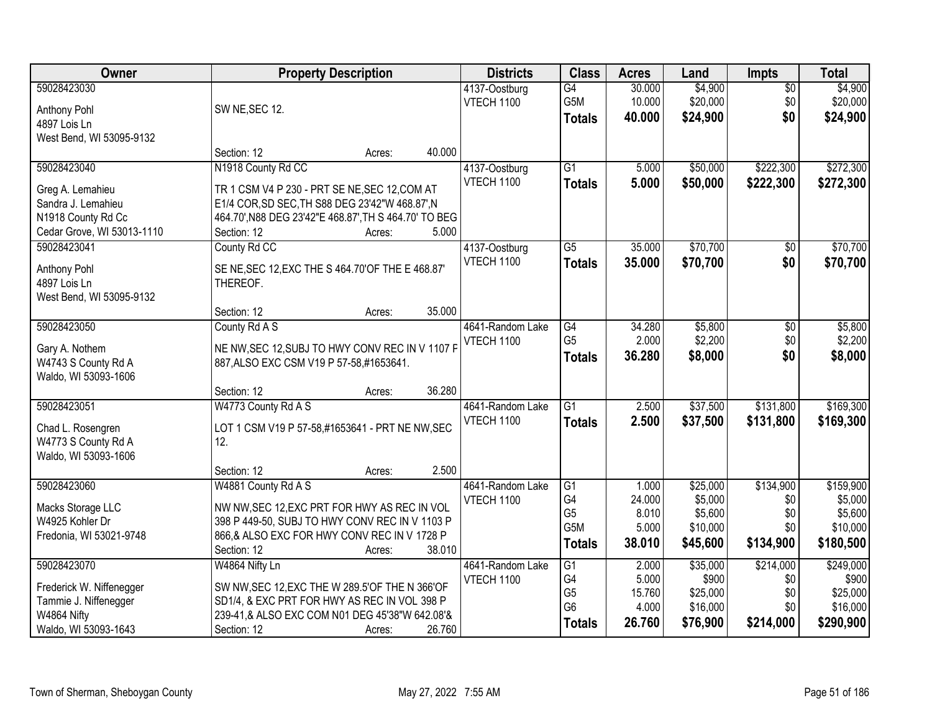| Owner                      |                                                       | <b>Property Description</b> |        | <b>Districts</b>  | <b>Class</b>    | <b>Acres</b> | Land     | Impts           | <b>Total</b> |
|----------------------------|-------------------------------------------------------|-----------------------------|--------|-------------------|-----------------|--------------|----------|-----------------|--------------|
| 59028423030                |                                                       |                             |        | 4137-Oostburg     | G4              | 30.000       | \$4,900  | $\overline{50}$ | \$4,900      |
| Anthony Pohl               | SW NE, SEC 12.                                        |                             |        | <b>VTECH 1100</b> | G5M             | 10.000       | \$20,000 | \$0             | \$20,000     |
| 4897 Lois Ln               |                                                       |                             |        |                   | <b>Totals</b>   | 40.000       | \$24,900 | \$0             | \$24,900     |
| West Bend, WI 53095-9132   |                                                       |                             |        |                   |                 |              |          |                 |              |
|                            | Section: 12                                           | Acres:                      | 40.000 |                   |                 |              |          |                 |              |
| 59028423040                | N1918 County Rd CC                                    |                             |        | 4137-Oostburg     | $\overline{G1}$ | 5.000        | \$50,000 | \$222,300       | \$272,300    |
| Greg A. Lemahieu           | TR 1 CSM V4 P 230 - PRT SE NE, SEC 12, COM AT         |                             |        | <b>VTECH 1100</b> | <b>Totals</b>   | 5.000        | \$50,000 | \$222,300       | \$272,300    |
| Sandra J. Lemahieu         | E1/4 COR, SD SEC, TH S88 DEG 23'42"W 468.87', N       |                             |        |                   |                 |              |          |                 |              |
| N1918 County Rd Cc         | 464.70', N88 DEG 23'42"E 468.87', TH S 464.70' TO BEG |                             |        |                   |                 |              |          |                 |              |
| Cedar Grove, WI 53013-1110 | Section: 12                                           | Acres:                      | 5.000  |                   |                 |              |          |                 |              |
| 59028423041                | County Rd CC                                          |                             |        | 4137-Oostburg     | $\overline{G5}$ | 35.000       | \$70,700 | \$0             | \$70,700     |
| Anthony Pohl               | SE NE, SEC 12, EXC THE S 464. 70' OF THE E 468.87'    |                             |        | VTECH 1100        | <b>Totals</b>   | 35.000       | \$70,700 | \$0             | \$70,700     |
| 4897 Lois Ln               | THEREOF.                                              |                             |        |                   |                 |              |          |                 |              |
| West Bend, WI 53095-9132   |                                                       |                             |        |                   |                 |              |          |                 |              |
|                            | Section: 12                                           | Acres:                      | 35.000 |                   |                 |              |          |                 |              |
| 59028423050                | County Rd A S                                         |                             |        | 4641-Random Lake  | G4              | 34.280       | \$5,800  | $\sqrt[6]{3}$   | \$5,800      |
| Gary A. Nothem             | NE NW, SEC 12, SUBJ TO HWY CONV REC IN V 1107 F       |                             |        | VTECH 1100        | G <sub>5</sub>  | 2.000        | \$2,200  | \$0             | \$2,200      |
| W4743 S County Rd A        | 887, ALSO EXC CSM V19 P 57-58, #1653641.              |                             |        |                   | <b>Totals</b>   | 36.280       | \$8,000  | \$0             | \$8,000      |
| Waldo, WI 53093-1606       |                                                       |                             |        |                   |                 |              |          |                 |              |
|                            | Section: 12                                           | Acres:                      | 36.280 |                   |                 |              |          |                 |              |
| 59028423051                | W4773 County Rd A S                                   |                             |        | 4641-Random Lake  | $\overline{G1}$ | 2.500        | \$37,500 | \$131,800       | \$169,300    |
| Chad L. Rosengren          | LOT 1 CSM V19 P 57-58,#1653641 - PRT NE NW, SEC       |                             |        | <b>VTECH 1100</b> | <b>Totals</b>   | 2.500        | \$37,500 | \$131,800       | \$169,300    |
| W4773 S County Rd A        | 12.                                                   |                             |        |                   |                 |              |          |                 |              |
| Waldo, WI 53093-1606       |                                                       |                             |        |                   |                 |              |          |                 |              |
|                            | Section: 12                                           | Acres:                      | 2.500  |                   |                 |              |          |                 |              |
| 59028423060                | W4881 County Rd A S                                   |                             |        | 4641-Random Lake  | $\overline{G1}$ | 1.000        | \$25,000 | \$134,900       | \$159,900    |
| Macks Storage LLC          | NW NW, SEC 12, EXC PRT FOR HWY AS REC IN VOL          |                             |        | <b>VTECH 1100</b> | G4              | 24.000       | \$5,000  | \$0             | \$5,000      |
| W4925 Kohler Dr            | 398 P 449-50, SUBJ TO HWY CONV REC IN V 1103 P        |                             |        |                   | G <sub>5</sub>  | 8.010        | \$5,600  | \$0             | \$5,600      |
| Fredonia, WI 53021-9748    | 866,& ALSO EXC FOR HWY CONV REC IN V 1728 P           |                             |        |                   | G5M             | 5.000        | \$10,000 | \$0             | \$10,000     |
|                            | Section: 12                                           | Acres:                      | 38.010 |                   | <b>Totals</b>   | 38.010       | \$45,600 | \$134,900       | \$180,500    |
| 59028423070                | W4864 Nifty Ln                                        |                             |        | 4641-Random Lake  | $\overline{G1}$ | 2.000        | \$35,000 | \$214,000       | \$249,000    |
| Frederick W. Niffenegger   | SW NW, SEC 12, EXC THE W 289.5' OF THE N 366' OF      |                             |        | VTECH 1100        | G4              | 5.000        | \$900    | \$0             | \$900        |
| Tammie J. Niffenegger      | SD1/4, & EXC PRT FOR HWY AS REC IN VOL 398 P          |                             |        |                   | G <sub>5</sub>  | 15.760       | \$25,000 | \$0             | \$25,000     |
| W4864 Nifty                | 239-41,& ALSO EXC COM N01 DEG 45'38"W 642.08'&        |                             |        |                   | G <sub>6</sub>  | 4.000        | \$16,000 | \$0             | \$16,000     |
| Waldo, WI 53093-1643       | Section: 12                                           | Acres:                      | 26.760 |                   | <b>Totals</b>   | 26.760       | \$76,900 | \$214,000       | \$290,900    |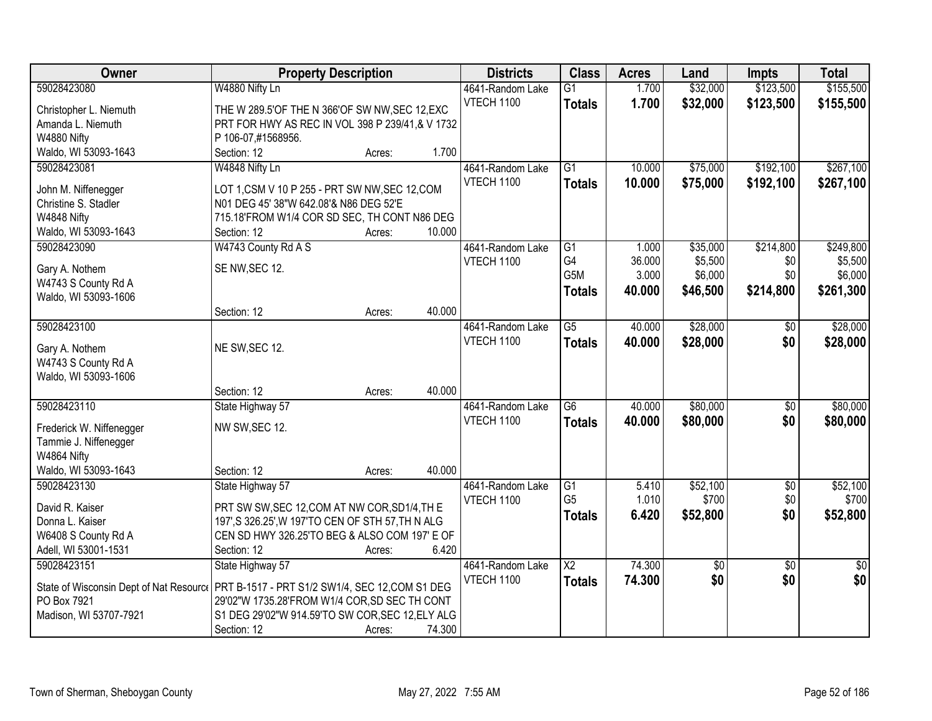| Owner                                                                                    | <b>Property Description</b>                       |        |        | <b>Districts</b>  | <b>Class</b>           | <b>Acres</b> | Land     | <b>Impts</b>    | <b>Total</b>    |
|------------------------------------------------------------------------------------------|---------------------------------------------------|--------|--------|-------------------|------------------------|--------------|----------|-----------------|-----------------|
| 59028423080                                                                              | W4880 Nifty Ln                                    |        |        | 4641-Random Lake  | $\overline{G1}$        | 1.700        | \$32,000 | \$123,500       | \$155,500       |
| Christopher L. Niemuth                                                                   | THE W 289.5'OF THE N 366'OF SW NW, SEC 12, EXC    |        |        | VTECH 1100        | <b>Totals</b>          | 1.700        | \$32,000 | \$123,500       | \$155,500       |
| Amanda L. Niemuth                                                                        | PRT FOR HWY AS REC IN VOL 398 P 239/41,& V 1732   |        |        |                   |                        |              |          |                 |                 |
| W4880 Nifty                                                                              | P 106-07,#1568956.                                |        |        |                   |                        |              |          |                 |                 |
| Waldo, WI 53093-1643                                                                     | Section: 12                                       | Acres: | 1.700  |                   |                        |              |          |                 |                 |
| 59028423081                                                                              | W4848 Nifty Ln                                    |        |        | 4641-Random Lake  | $\overline{G1}$        | 10.000       | \$75,000 | \$192,100       | \$267,100       |
|                                                                                          |                                                   |        |        | <b>VTECH 1100</b> | <b>Totals</b>          | 10.000       | \$75,000 | \$192,100       | \$267,100       |
| John M. Niffenegger                                                                      | LOT 1, CSM V 10 P 255 - PRT SW NW, SEC 12, COM    |        |        |                   |                        |              |          |                 |                 |
| Christine S. Stadler                                                                     | N01 DEG 45' 38"W 642.08'& N86 DEG 52'E            |        |        |                   |                        |              |          |                 |                 |
| W4848 Nifty                                                                              | 715.18'FROM W1/4 COR SD SEC, TH CONT N86 DEG      |        |        |                   |                        |              |          |                 |                 |
| Waldo, WI 53093-1643                                                                     | Section: 12                                       | Acres: | 10.000 |                   |                        |              |          |                 |                 |
| 59028423090                                                                              | W4743 County Rd A S                               |        |        | 4641-Random Lake  | $\overline{G1}$        | 1.000        | \$35,000 | \$214,800       | \$249,800       |
| Gary A. Nothem                                                                           | SE NW, SEC 12.                                    |        |        | VTECH 1100        | G4                     | 36.000       | \$5,500  | \$0             | \$5,500         |
| W4743 S County Rd A                                                                      |                                                   |        |        |                   | G <sub>5</sub> M       | 3.000        | \$6,000  | \$0             | \$6,000         |
| Waldo, WI 53093-1606                                                                     |                                                   |        |        |                   | <b>Totals</b>          | 40.000       | \$46,500 | \$214,800       | \$261,300       |
|                                                                                          | Section: 12                                       | Acres: | 40.000 |                   |                        |              |          |                 |                 |
| 59028423100                                                                              |                                                   |        |        | 4641-Random Lake  | G5                     | 40.000       | \$28,000 | $\sqrt[6]{}$    | \$28,000        |
|                                                                                          |                                                   |        |        | VTECH 1100        | <b>Totals</b>          | 40.000       | \$28,000 | \$0             | \$28,000        |
| Gary A. Nothem                                                                           | NE SW, SEC 12.                                    |        |        |                   |                        |              |          |                 |                 |
| W4743 S County Rd A                                                                      |                                                   |        |        |                   |                        |              |          |                 |                 |
| Waldo, WI 53093-1606                                                                     |                                                   |        |        |                   |                        |              |          |                 |                 |
|                                                                                          | Section: 12                                       | Acres: | 40.000 |                   |                        |              |          |                 |                 |
| 59028423110                                                                              | State Highway 57                                  |        |        | 4641-Random Lake  | $\overline{G6}$        | 40.000       | \$80,000 | $\overline{50}$ | \$80,000        |
| Frederick W. Niffenegger                                                                 | NW SW, SEC 12.                                    |        |        | <b>VTECH 1100</b> | <b>Totals</b>          | 40.000       | \$80,000 | \$0             | \$80,000        |
| Tammie J. Niffenegger                                                                    |                                                   |        |        |                   |                        |              |          |                 |                 |
| W4864 Nifty                                                                              |                                                   |        |        |                   |                        |              |          |                 |                 |
| Waldo, WI 53093-1643                                                                     | Section: 12                                       | Acres: | 40.000 |                   |                        |              |          |                 |                 |
| 59028423130                                                                              | State Highway 57                                  |        |        | 4641-Random Lake  | G1                     | 5.410        | \$52,100 | $\overline{60}$ | \$52,100        |
|                                                                                          |                                                   |        |        | VTECH 1100        | G <sub>5</sub>         | 1.010        | \$700    | \$0             | \$700           |
| David R. Kaiser                                                                          | PRT SW SW, SEC 12, COM AT NW COR, SD1/4, TH E     |        |        |                   | <b>Totals</b>          | 6.420        | \$52,800 | \$0             | \$52,800        |
| Donna L. Kaiser                                                                          | 197', S 326.25', W 197'TO CEN OF STH 57, TH N ALG |        |        |                   |                        |              |          |                 |                 |
| W6408 S County Rd A                                                                      | CEN SD HWY 326.25'TO BEG & ALSO COM 197' E OF     |        |        |                   |                        |              |          |                 |                 |
| Adell, WI 53001-1531                                                                     | Section: 12                                       | Acres: | 6.420  |                   |                        |              |          |                 |                 |
| 59028423151                                                                              | State Highway 57                                  |        |        | 4641-Random Lake  | $\overline{\text{X2}}$ | 74.300       | \$0      | $\overline{50}$ | $\overline{50}$ |
| State of Wisconsin Dept of Nat Resourc   PRT B-1517 - PRT S1/2 SW1/4, SEC 12, COM S1 DEG |                                                   |        |        | VTECH 1100        | <b>Totals</b>          | 74.300       | \$0      | \$0             | \$0             |
| PO Box 7921                                                                              | 29'02"W 1735.28'FROM W1/4 COR, SD SEC TH CONT     |        |        |                   |                        |              |          |                 |                 |
| Madison, WI 53707-7921                                                                   | S1 DEG 29'02"W 914.59'TO SW COR, SEC 12, ELY ALG  |        |        |                   |                        |              |          |                 |                 |
|                                                                                          | Section: 12                                       | Acres: | 74.300 |                   |                        |              |          |                 |                 |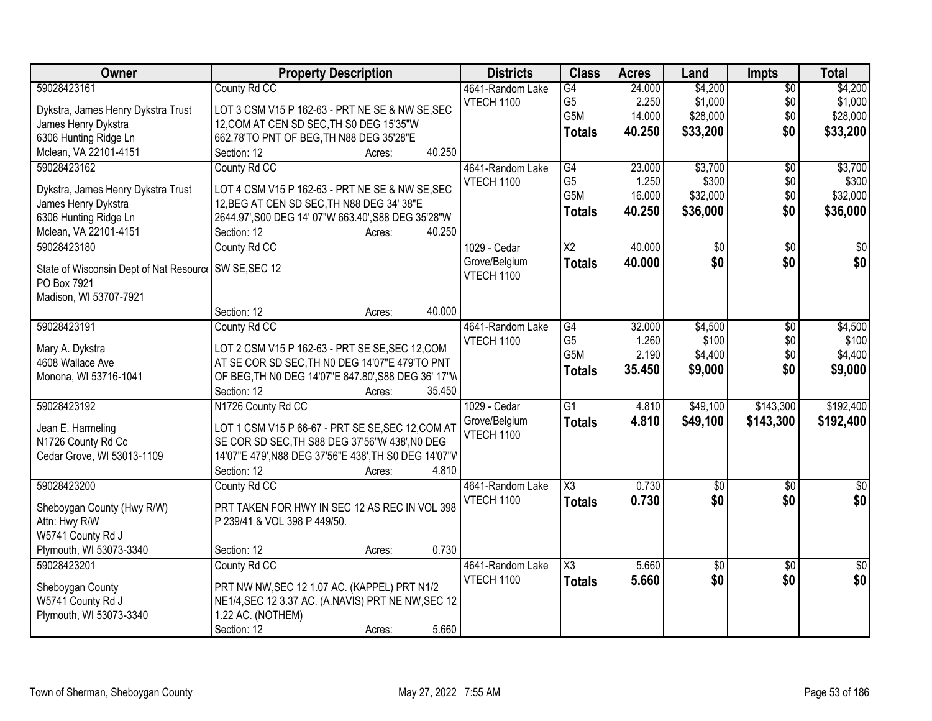| Owner                                                  | <b>Property Description</b>                           |                  | <b>Districts</b>  | <b>Class</b>    | <b>Acres</b> | Land            | <b>Impts</b>    | <b>Total</b>    |
|--------------------------------------------------------|-------------------------------------------------------|------------------|-------------------|-----------------|--------------|-----------------|-----------------|-----------------|
| 59028423161                                            | County Rd CC                                          |                  | 4641-Random Lake  | G4              | 24.000       | \$4,200         | $\overline{50}$ | \$4,200         |
| Dykstra, James Henry Dykstra Trust                     | LOT 3 CSM V15 P 162-63 - PRT NE SE & NW SE, SEC       |                  | VTECH 1100        | G <sub>5</sub>  | 2.250        | \$1,000         | \$0             | \$1,000         |
| James Henry Dykstra                                    | 12, COM AT CEN SD SEC, TH S0 DEG 15'35"W              |                  |                   | G5M             | 14.000       | \$28,000        | \$0             | \$28,000        |
| 6306 Hunting Ridge Ln                                  | 662.78'TO PNT OF BEG, TH N88 DEG 35'28"E              |                  |                   | <b>Totals</b>   | 40.250       | \$33,200        | \$0             | \$33,200        |
| Mclean, VA 22101-4151                                  | Section: 12                                           | 40.250<br>Acres: |                   |                 |              |                 |                 |                 |
| 59028423162                                            | County Rd CC                                          |                  | 4641-Random Lake  | G4              | 23.000       | \$3,700         | \$0             | \$3,700         |
|                                                        |                                                       |                  | VTECH 1100        | G <sub>5</sub>  | 1.250        | \$300           | \$0             | \$300           |
| Dykstra, James Henry Dykstra Trust                     | LOT 4 CSM V15 P 162-63 - PRT NE SE & NW SE, SEC       |                  |                   | G5M             | 16.000       | \$32,000        | \$0             | \$32,000        |
| James Henry Dykstra                                    | 12, BEG AT CEN SD SEC, TH N88 DEG 34' 38"E            |                  |                   | <b>Totals</b>   | 40.250       | \$36,000        | \$0             | \$36,000        |
| 6306 Hunting Ridge Ln                                  | 2644.97', S00 DEG 14' 07"W 663.40', S88 DEG 35'28"W   |                  |                   |                 |              |                 |                 |                 |
| Mclean, VA 22101-4151                                  | Section: 12                                           | 40.250<br>Acres: |                   |                 |              |                 |                 |                 |
| 59028423180                                            | County Rd CC                                          |                  | 1029 - Cedar      | $\overline{X2}$ | 40.000       | $\overline{50}$ | \$0             | $\sqrt{50}$     |
| State of Wisconsin Dept of Nat Resourc   SW SE, SEC 12 |                                                       |                  | Grove/Belgium     | <b>Totals</b>   | 40.000       | \$0             | \$0             | \$0             |
| PO Box 7921                                            |                                                       |                  | <b>VTECH 1100</b> |                 |              |                 |                 |                 |
| Madison, WI 53707-7921                                 |                                                       |                  |                   |                 |              |                 |                 |                 |
|                                                        | Section: 12                                           | 40.000<br>Acres: |                   |                 |              |                 |                 |                 |
| 59028423191                                            | County Rd CC                                          |                  | 4641-Random Lake  | G4              | 32.000       | \$4,500         | $\sqrt[6]{3}$   | \$4,500         |
|                                                        |                                                       |                  | VTECH 1100        | G <sub>5</sub>  | 1.260        | \$100           | \$0             | \$100           |
| Mary A. Dykstra                                        | LOT 2 CSM V15 P 162-63 - PRT SE SE, SEC 12, COM       |                  |                   | G5M             | 2.190        | \$4,400         | \$0             | \$4,400         |
| 4608 Wallace Ave                                       | AT SE COR SD SEC, TH NO DEG 14'07"E 479'TO PNT        |                  |                   | <b>Totals</b>   | 35.450       | \$9,000         | \$0             | \$9,000         |
| Monona, WI 53716-1041                                  | OF BEG, TH NO DEG 14'07"E 847.80', S88 DEG 36' 17"W   |                  |                   |                 |              |                 |                 |                 |
|                                                        | Section: 12                                           | 35.450<br>Acres: |                   |                 |              |                 |                 |                 |
| 59028423192                                            | N1726 County Rd CC                                    |                  | 1029 - Cedar      | $\overline{G1}$ | 4.810        | \$49,100        | \$143,300       | \$192,400       |
| Jean E. Harmeling                                      | LOT 1 CSM V15 P 66-67 - PRT SE SE, SEC 12, COM AT     |                  | Grove/Belgium     | <b>Totals</b>   | 4.810        | \$49,100        | \$143,300       | \$192,400       |
| N1726 County Rd Cc                                     | SE COR SD SEC, TH S88 DEG 37'56"W 438', NO DEG        |                  | <b>VTECH 1100</b> |                 |              |                 |                 |                 |
| Cedar Grove, WI 53013-1109                             | 14'07"E 479', N88 DEG 37'56"E 438', TH S0 DEG 14'07"W |                  |                   |                 |              |                 |                 |                 |
|                                                        | Section: 12                                           | 4.810<br>Acres:  |                   |                 |              |                 |                 |                 |
| 59028423200                                            | County Rd CC                                          |                  | 4641-Random Lake  | X3              | 0.730        | $\sqrt{6}$      | \$0             | \$0             |
|                                                        |                                                       |                  | VTECH 1100        | <b>Totals</b>   | 0.730        | \$0             | \$0             | \$0             |
| Sheboygan County (Hwy R/W)                             | PRT TAKEN FOR HWY IN SEC 12 AS REC IN VOL 398         |                  |                   |                 |              |                 |                 |                 |
| Attn: Hwy R/W                                          | P 239/41 & VOL 398 P 449/50.                          |                  |                   |                 |              |                 |                 |                 |
| W5741 County Rd J                                      |                                                       |                  |                   |                 |              |                 |                 |                 |
| Plymouth, WI 53073-3340                                | Section: 12                                           | 0.730<br>Acres:  |                   |                 |              |                 |                 |                 |
| 59028423201                                            | County Rd CC                                          |                  | 4641-Random Lake  | X3              | 5.660        | $\overline{50}$ | $\overline{50}$ | $\overline{30}$ |
| Sheboygan County                                       | PRT NW NW, SEC 12 1.07 AC. (KAPPEL) PRT N1/2          |                  | <b>VTECH 1100</b> | <b>Totals</b>   | 5.660        | \$0             | \$0             | \$0             |
| W5741 County Rd J                                      | NE1/4, SEC 12 3.37 AC. (A.NAVIS) PRT NE NW, SEC 12    |                  |                   |                 |              |                 |                 |                 |
| Plymouth, WI 53073-3340                                | 1.22 AC. (NOTHEM)                                     |                  |                   |                 |              |                 |                 |                 |
|                                                        | Section: 12                                           | 5.660<br>Acres:  |                   |                 |              |                 |                 |                 |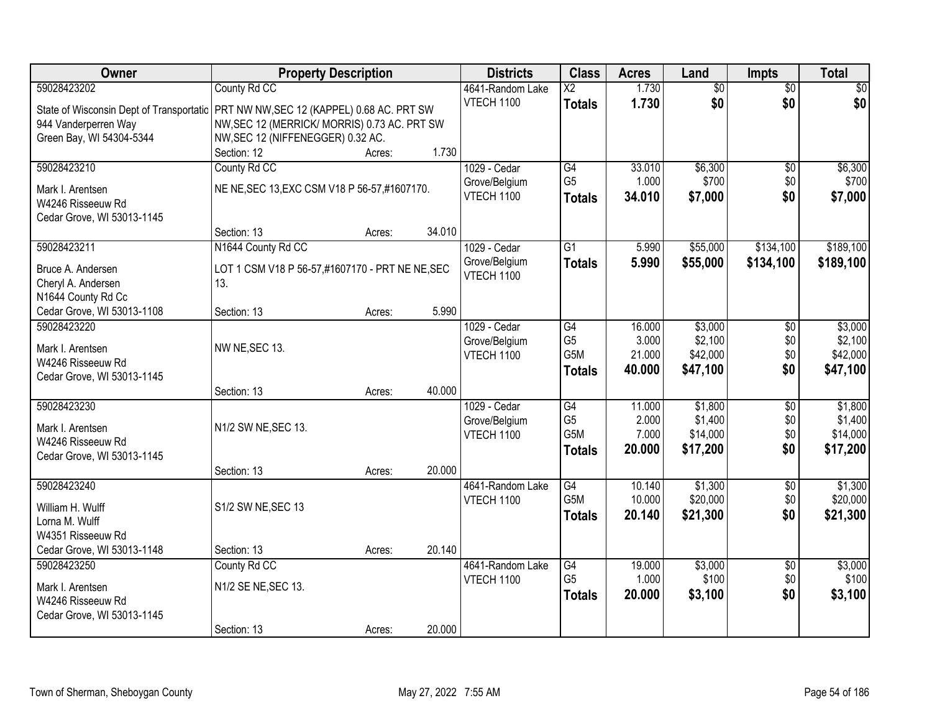| <b>Owner</b>                             | <b>Property Description</b>                     |        |        | <b>Districts</b>  | <b>Class</b>                       | <b>Acres</b>     | Land                 | <b>Impts</b>    | <b>Total</b>         |
|------------------------------------------|-------------------------------------------------|--------|--------|-------------------|------------------------------------|------------------|----------------------|-----------------|----------------------|
| 59028423202                              | County Rd CC                                    |        |        | 4641-Random Lake  | $\overline{X2}$                    | 1.730            | $\overline{50}$      | $\overline{50}$ | \$0                  |
| State of Wisconsin Dept of Transportatic | PRT NW NW, SEC 12 (KAPPEL) 0.68 AC. PRT SW      |        |        | VTECH 1100        | <b>Totals</b>                      | 1.730            | \$0                  | \$0             | \$0                  |
| 944 Vanderperren Way                     | NW, SEC 12 (MERRICK/ MORRIS) 0.73 AC. PRT SW    |        |        |                   |                                    |                  |                      |                 |                      |
| Green Bay, WI 54304-5344                 | NW, SEC 12 (NIFFENEGGER) 0.32 AC.               |        |        |                   |                                    |                  |                      |                 |                      |
|                                          | Section: 12                                     | Acres: | 1.730  |                   |                                    |                  |                      |                 |                      |
| 59028423210                              | County Rd CC                                    |        |        | 1029 - Cedar      | $\overline{G4}$                    | 33.010           | \$6,300              | $\overline{50}$ | \$6,300              |
| Mark I. Arentsen                         | NE NE, SEC 13, EXC CSM V18 P 56-57, #1607170.   |        |        | Grove/Belgium     | G <sub>5</sub>                     | 1.000            | \$700                | \$0             | \$700                |
| W4246 Risseeuw Rd                        |                                                 |        |        | VTECH 1100        | <b>Totals</b>                      | 34.010           | \$7,000              | \$0             | \$7,000              |
| Cedar Grove, WI 53013-1145               |                                                 |        |        |                   |                                    |                  |                      |                 |                      |
|                                          | Section: 13                                     | Acres: | 34.010 |                   |                                    |                  |                      |                 |                      |
| 59028423211                              | N1644 County Rd CC                              |        |        | 1029 - Cedar      | G1                                 | 5.990            | \$55,000             | \$134,100       | \$189,100            |
| Bruce A. Andersen                        | LOT 1 CSM V18 P 56-57,#1607170 - PRT NE NE, SEC |        |        | Grove/Belgium     | <b>Totals</b>                      | 5.990            | \$55,000             | \$134,100       | \$189,100            |
| Cheryl A. Andersen                       | 13.                                             |        |        | VTECH 1100        |                                    |                  |                      |                 |                      |
| N1644 County Rd Cc                       |                                                 |        |        |                   |                                    |                  |                      |                 |                      |
| Cedar Grove, WI 53013-1108               | Section: 13                                     | Acres: | 5.990  |                   |                                    |                  |                      |                 |                      |
| 59028423220                              |                                                 |        |        | 1029 - Cedar      | G4                                 | 16.000           | \$3,000              | \$0             | \$3,000              |
| Mark I. Arentsen                         | NW NE, SEC 13.                                  |        |        | Grove/Belgium     | G <sub>5</sub>                     | 3.000            | \$2,100              | \$0             | \$2,100              |
| W4246 Risseeuw Rd                        |                                                 |        |        | <b>VTECH 1100</b> | G5M                                | 21.000<br>40.000 | \$42,000<br>\$47,100 | \$0<br>\$0      | \$42,000<br>\$47,100 |
| Cedar Grove, WI 53013-1145               |                                                 |        |        |                   | <b>Totals</b>                      |                  |                      |                 |                      |
|                                          | Section: 13                                     | Acres: | 40.000 |                   |                                    |                  |                      |                 |                      |
| 59028423230                              |                                                 |        |        | 1029 - Cedar      | $\overline{G4}$                    | 11.000           | \$1,800              | $\overline{50}$ | \$1,800              |
| Mark I. Arentsen                         | N1/2 SW NE, SEC 13.                             |        |        | Grove/Belgium     | G <sub>5</sub><br>G <sub>5</sub> M | 2.000<br>7.000   | \$1,400              | \$0             | \$1,400              |
| W4246 Risseeuw Rd                        |                                                 |        |        | VTECH 1100        |                                    | 20.000           | \$14,000<br>\$17,200 | \$0<br>\$0      | \$14,000<br>\$17,200 |
| Cedar Grove, WI 53013-1145               |                                                 |        |        |                   | <b>Totals</b>                      |                  |                      |                 |                      |
|                                          | Section: 13                                     | Acres: | 20.000 |                   |                                    |                  |                      |                 |                      |
| 59028423240                              |                                                 |        |        | 4641-Random Lake  | $\overline{G4}$                    | 10.140           | \$1,300              | $\overline{50}$ | \$1,300              |
| William H. Wulff                         | S1/2 SW NE, SEC 13                              |        |        | VTECH 1100        | G <sub>5</sub> M                   | 10.000           | \$20,000             | \$0             | \$20,000             |
| Lorna M. Wulff                           |                                                 |        |        |                   | <b>Totals</b>                      | 20.140           | \$21,300             | \$0             | \$21,300             |
| W4351 Risseeuw Rd                        |                                                 |        |        |                   |                                    |                  |                      |                 |                      |
| Cedar Grove, WI 53013-1148               | Section: 13                                     | Acres: | 20.140 |                   |                                    |                  |                      |                 |                      |
| 59028423250                              | County Rd CC                                    |        |        | 4641-Random Lake  | G4                                 | 19.000           | \$3,000              | $\overline{50}$ | \$3,000              |
| Mark I. Arentsen                         | N1/2 SE NE, SEC 13.                             |        |        | <b>VTECH 1100</b> | G <sub>5</sub>                     | 1.000            | \$100                | \$0             | \$100                |
| W4246 Risseeuw Rd                        |                                                 |        |        |                   | <b>Totals</b>                      | 20,000           | \$3,100              | \$0             | \$3,100              |
| Cedar Grove, WI 53013-1145               |                                                 |        |        |                   |                                    |                  |                      |                 |                      |
|                                          | Section: 13                                     | Acres: | 20.000 |                   |                                    |                  |                      |                 |                      |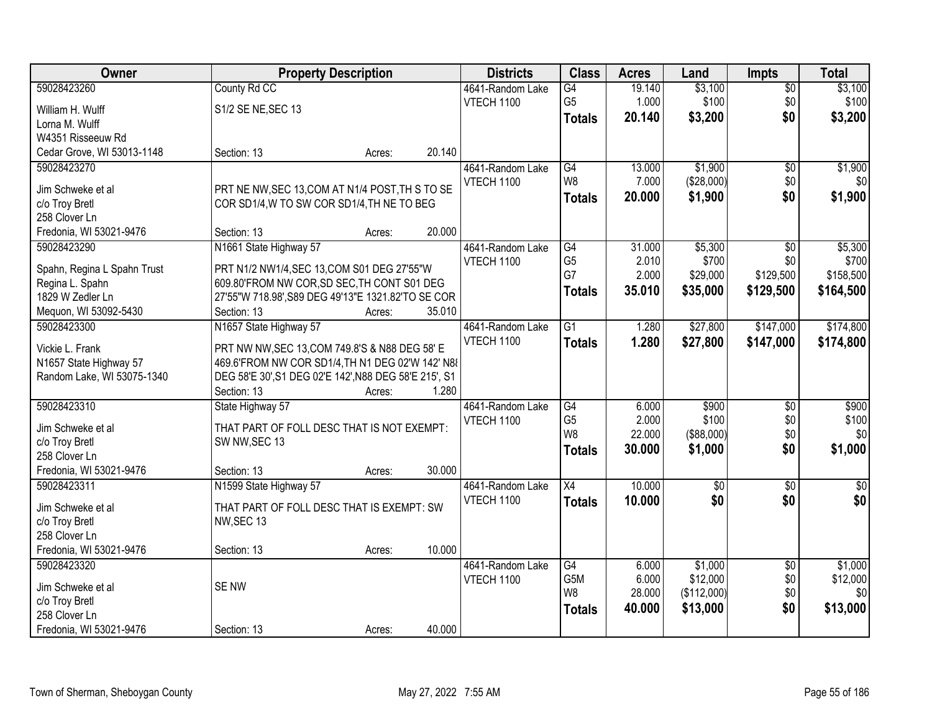| Owner                           | <b>Property Description</b>                           |        |        | <b>Districts</b>  | <b>Class</b>    | <b>Acres</b> | Land            | <b>Impts</b>    | <b>Total</b> |
|---------------------------------|-------------------------------------------------------|--------|--------|-------------------|-----------------|--------------|-----------------|-----------------|--------------|
| 59028423260                     | County Rd CC                                          |        |        | 4641-Random Lake  | $\overline{G4}$ | 19.140       | \$3,100         | $\overline{50}$ | \$3,100      |
| William H. Wulff                | S1/2 SE NE, SEC 13                                    |        |        | <b>VTECH 1100</b> | G <sub>5</sub>  | 1.000        | \$100           | \$0             | \$100        |
| Lorna M. Wulff                  |                                                       |        |        |                   | <b>Totals</b>   | 20.140       | \$3,200         | \$0             | \$3,200      |
| W4351 Risseeuw Rd               |                                                       |        |        |                   |                 |              |                 |                 |              |
| Cedar Grove, WI 53013-1148      | Section: 13                                           | Acres: | 20.140 |                   |                 |              |                 |                 |              |
| 59028423270                     |                                                       |        |        | 4641-Random Lake  | G4              | 13.000       | \$1,900         | $\overline{50}$ | \$1,900      |
|                                 |                                                       |        |        | VTECH 1100        | W <sub>8</sub>  | 7.000        | (\$28,000)      | \$0             | \$0          |
| Jim Schweke et al               | PRT NE NW, SEC 13, COM AT N1/4 POST, TH S TO SE       |        |        |                   | <b>Totals</b>   | 20.000       | \$1,900         | \$0             | \$1,900      |
| c/o Troy Bretl                  | COR SD1/4, W TO SW COR SD1/4, TH NE TO BEG            |        |        |                   |                 |              |                 |                 |              |
| 258 Clover Ln                   |                                                       |        |        |                   |                 |              |                 |                 |              |
| Fredonia, WI 53021-9476         | Section: 13                                           | Acres: | 20.000 |                   |                 |              |                 |                 |              |
| 59028423290                     | N1661 State Highway 57                                |        |        | 4641-Random Lake  | G4              | 31.000       | \$5,300         | \$0             | \$5,300      |
| Spahn, Regina L Spahn Trust     | PRT N1/2 NW1/4, SEC 13, COM S01 DEG 27'55"W           |        |        | <b>VTECH 1100</b> | G <sub>5</sub>  | 2.010        | \$700           | \$0             | \$700        |
| Regina L. Spahn                 | 609.80'FROM NW COR, SD SEC, TH CONT S01 DEG           |        |        |                   | G7              | 2.000        | \$29,000        | \$129,500       | \$158,500    |
| 1829 W Zedler Ln                | 27'55"W 718.98', S89 DEG 49'13"E 1321.82'TO SE COR    |        |        |                   | Totals          | 35.010       | \$35,000        | \$129,500       | \$164,500    |
| Mequon, WI 53092-5430           | Section: 13                                           | Acres: | 35.010 |                   |                 |              |                 |                 |              |
| 59028423300                     | N1657 State Highway 57                                |        |        | 4641-Random Lake  | $\overline{G1}$ | 1.280        | \$27,800        | \$147,000       | \$174,800    |
|                                 |                                                       |        |        | <b>VTECH 1100</b> |                 |              |                 |                 |              |
| Vickie L. Frank                 | PRT NW NW, SEC 13, COM 749.8'S & N88 DEG 58' E        |        |        |                   | <b>Totals</b>   | 1.280        | \$27,800        | \$147,000       | \$174,800    |
| N1657 State Highway 57          | 469.6'FROM NW COR SD1/4, TH N1 DEG 02'W 142' N88      |        |        |                   |                 |              |                 |                 |              |
| Random Lake, WI 53075-1340      | DEG 58'E 30', S1 DEG 02'E 142', N88 DEG 58'E 215', S1 |        |        |                   |                 |              |                 |                 |              |
|                                 | Section: 13                                           | Acres: | 1.280  |                   |                 |              |                 |                 |              |
| 59028423310                     | State Highway 57                                      |        |        | 4641-Random Lake  | G4              | 6.000        | \$900           | $\overline{50}$ | \$900        |
|                                 |                                                       |        |        | <b>VTECH 1100</b> | G <sub>5</sub>  | 2.000        | \$100           | \$0             | \$100        |
| Jim Schweke et al               | THAT PART OF FOLL DESC THAT IS NOT EXEMPT:            |        |        |                   | W <sub>8</sub>  | 22.000       | (\$88,000)      | \$0             | \$0          |
| c/o Troy Bretl<br>258 Clover Ln | SW NW, SEC 13                                         |        |        |                   | <b>Totals</b>   | 30.000       | \$1,000         | \$0             | \$1,000      |
| Fredonia, WI 53021-9476         | Section: 13                                           |        | 30.000 |                   |                 |              |                 |                 |              |
|                                 |                                                       | Acres: |        |                   |                 |              |                 |                 |              |
| 59028423311                     | N1599 State Highway 57                                |        |        | 4641-Random Lake  | X4              | 10.000       | $\overline{60}$ | $\sqrt{6}$      | $\sqrt{50}$  |
| Jim Schweke et al               | THAT PART OF FOLL DESC THAT IS EXEMPT: SW             |        |        | VTECH 1100        | <b>Totals</b>   | 10.000       | \$0             | \$0             | \$0          |
| c/o Troy Bretl                  | NW, SEC 13                                            |        |        |                   |                 |              |                 |                 |              |
| 258 Clover Ln                   |                                                       |        |        |                   |                 |              |                 |                 |              |
| Fredonia, WI 53021-9476         | Section: 13                                           | Acres: | 10.000 |                   |                 |              |                 |                 |              |
| 59028423320                     |                                                       |        |        | 4641-Random Lake  | G4              | 6.000        | \$1,000         | $\overline{50}$ | \$1,000      |
|                                 |                                                       |        |        | <b>VTECH 1100</b> | G5M             | 6.000        | \$12,000        | \$0             | \$12,000     |
| Jim Schweke et al               | SE NW                                                 |        |        |                   | W8              | 28.000       | (\$112,000)     | \$0             | \$0          |
| c/o Troy Bretl                  |                                                       |        |        |                   | <b>Totals</b>   | 40.000       | \$13,000        | \$0             | \$13,000     |
| 258 Clover Ln                   |                                                       |        |        |                   |                 |              |                 |                 |              |
| Fredonia, WI 53021-9476         | Section: 13                                           | Acres: | 40.000 |                   |                 |              |                 |                 |              |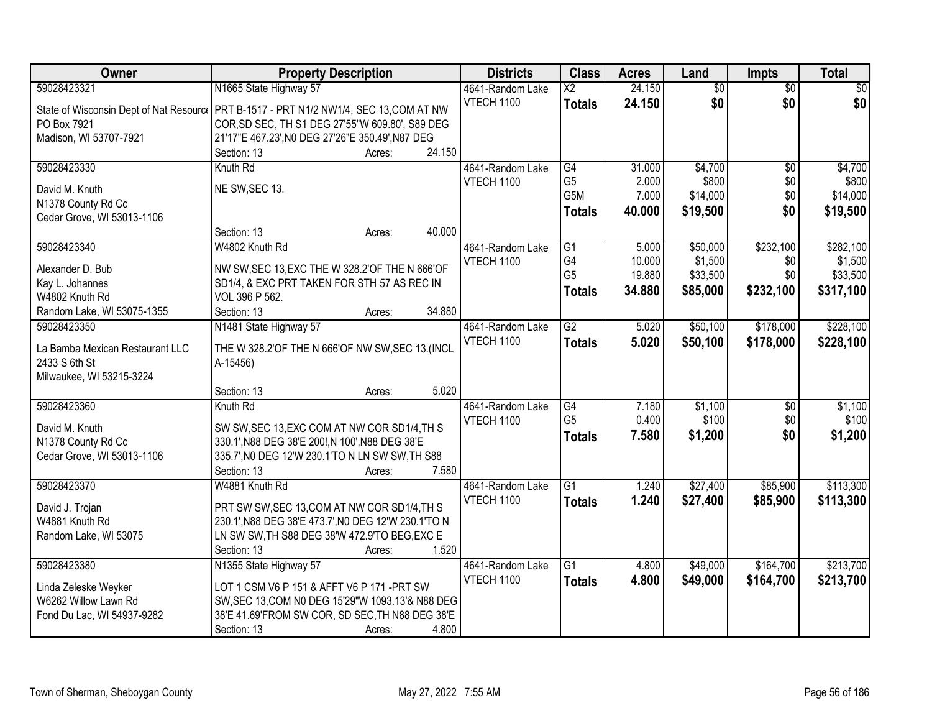| Owner                                   | <b>Property Description</b>                         | <b>Districts</b>  | <b>Class</b>           | <b>Acres</b>    | Land                | <b>Impts</b>    | <b>Total</b>         |
|-----------------------------------------|-----------------------------------------------------|-------------------|------------------------|-----------------|---------------------|-----------------|----------------------|
| 59028423321                             | N1665 State Highway 57                              | 4641-Random Lake  | $\overline{\text{X2}}$ | 24.150          | $\overline{60}$     | $\overline{50}$ | \$0                  |
| State of Wisconsin Dept of Nat Resource | PRT B-1517 - PRT N1/2 NW1/4, SEC 13, COM AT NW      | <b>VTECH 1100</b> | <b>Totals</b>          | 24.150          | \$0                 | \$0             | \$0                  |
| PO Box 7921                             | COR, SD SEC, TH S1 DEG 27'55"W 609.80', S89 DEG     |                   |                        |                 |                     |                 |                      |
| Madison, WI 53707-7921                  | 21'17"E 467.23', NO DEG 27'26"E 350.49', N87 DEG    |                   |                        |                 |                     |                 |                      |
|                                         | 24.150<br>Section: 13<br>Acres:                     |                   |                        |                 |                     |                 |                      |
| 59028423330                             | Knuth Rd                                            | 4641-Random Lake  | $\overline{G4}$        | 31.000          | \$4,700             | $\overline{50}$ | \$4,700              |
|                                         |                                                     | <b>VTECH 1100</b> | G <sub>5</sub>         | 2.000           | \$800               | \$0             | \$800                |
| David M. Knuth                          | NE SW, SEC 13.                                      |                   | G5M                    | 7.000           | \$14,000            | \$0             | \$14,000             |
| N1378 County Rd Cc                      |                                                     |                   | <b>Totals</b>          | 40.000          | \$19,500            | \$0             | \$19,500             |
| Cedar Grove, WI 53013-1106              | 40.000<br>Section: 13                               |                   |                        |                 |                     |                 |                      |
| 59028423340                             | Acres:<br>W4802 Knuth Rd                            |                   | G1                     |                 |                     | \$232,100       |                      |
|                                         |                                                     | 4641-Random Lake  | G4                     | 5.000<br>10.000 | \$50,000<br>\$1,500 | \$0             | \$282,100<br>\$1,500 |
| Alexander D. Bub                        | NW SW, SEC 13, EXC THE W 328.2' OF THE N 666' OF    | <b>VTECH 1100</b> | G <sub>5</sub>         | 19.880          | \$33,500            | \$0             | \$33,500             |
| Kay L. Johannes                         | SD1/4, & EXC PRT TAKEN FOR STH 57 AS REC IN         |                   |                        | 34.880          |                     |                 |                      |
| W4802 Knuth Rd                          | VOL 396 P 562.                                      |                   | <b>Totals</b>          |                 | \$85,000            | \$232,100       | \$317,100            |
| Random Lake, WI 53075-1355              | 34.880<br>Section: 13<br>Acres:                     |                   |                        |                 |                     |                 |                      |
| 59028423350                             | N1481 State Highway 57                              | 4641-Random Lake  | $\overline{G2}$        | 5.020           | \$50,100            | \$178,000       | \$228,100            |
| La Bamba Mexican Restaurant LLC         | THE W 328.2'OF THE N 666'OF NW SW, SEC 13. (INCL    | <b>VTECH 1100</b> | <b>Totals</b>          | 5.020           | \$50,100            | \$178,000       | \$228,100            |
| 2433 S 6th St                           | A-15456)                                            |                   |                        |                 |                     |                 |                      |
| Milwaukee, WI 53215-3224                |                                                     |                   |                        |                 |                     |                 |                      |
|                                         | 5.020<br>Section: 13<br>Acres:                      |                   |                        |                 |                     |                 |                      |
| 59028423360                             | Knuth Rd                                            | 4641-Random Lake  | $\overline{G4}$        | 7.180           | \$1,100             | \$0             | \$1,100              |
|                                         |                                                     | <b>VTECH 1100</b> | G <sub>5</sub>         | 0.400           | \$100               | \$0             | \$100                |
| David M. Knuth                          | SW SW, SEC 13, EXC COM AT NW COR SD1/4, TH S        |                   | <b>Totals</b>          | 7.580           | \$1,200             | \$0             | \$1,200              |
| N1378 County Rd Cc                      | 330.1', N88 DEG 38'E 200!, N 100', N88 DEG 38'E     |                   |                        |                 |                     |                 |                      |
| Cedar Grove, WI 53013-1106              | 335.7', NO DEG 12'W 230.1'TO N LN SW SW, TH S88     |                   |                        |                 |                     |                 |                      |
|                                         | 7.580<br>Section: 13<br>Acres:                      |                   |                        |                 |                     |                 |                      |
| 59028423370                             | W4881 Knuth Rd                                      | 4641-Random Lake  | $\overline{G1}$        | 1.240           | \$27,400            | \$85,900        | \$113,300            |
| David J. Trojan                         | PRT SW SW, SEC 13, COM AT NW COR SD1/4, TH S        | VTECH 1100        | <b>Totals</b>          | 1.240           | \$27,400            | \$85,900        | \$113,300            |
| W4881 Knuth Rd                          | 230.1', N88 DEG 38'E 473.7', N0 DEG 12'W 230.1'TO N |                   |                        |                 |                     |                 |                      |
| Random Lake, WI 53075                   | LN SW SW, TH S88 DEG 38'W 472.9'TO BEG, EXC E       |                   |                        |                 |                     |                 |                      |
|                                         | 1.520<br>Section: 13<br>Acres:                      |                   |                        |                 |                     |                 |                      |
| 59028423380                             | N1355 State Highway 57                              | 4641-Random Lake  | $\overline{G1}$        | 4.800           | \$49,000            | \$164,700       | \$213,700            |
|                                         |                                                     | <b>VTECH 1100</b> | <b>Totals</b>          | 4.800           | \$49,000            | \$164,700       | \$213,700            |
| Linda Zeleske Weyker                    | LOT 1 CSM V6 P 151 & AFFT V6 P 171 - PRT SW         |                   |                        |                 |                     |                 |                      |
| W6262 Willow Lawn Rd                    | SW, SEC 13, COM N0 DEG 15'29"W 1093.13'& N88 DEG    |                   |                        |                 |                     |                 |                      |
| Fond Du Lac, WI 54937-9282              | 38'E 41.69'FROM SW COR, SD SEC, TH N88 DEG 38'E     |                   |                        |                 |                     |                 |                      |
|                                         | Section: 13<br>4.800<br>Acres:                      |                   |                        |                 |                     |                 |                      |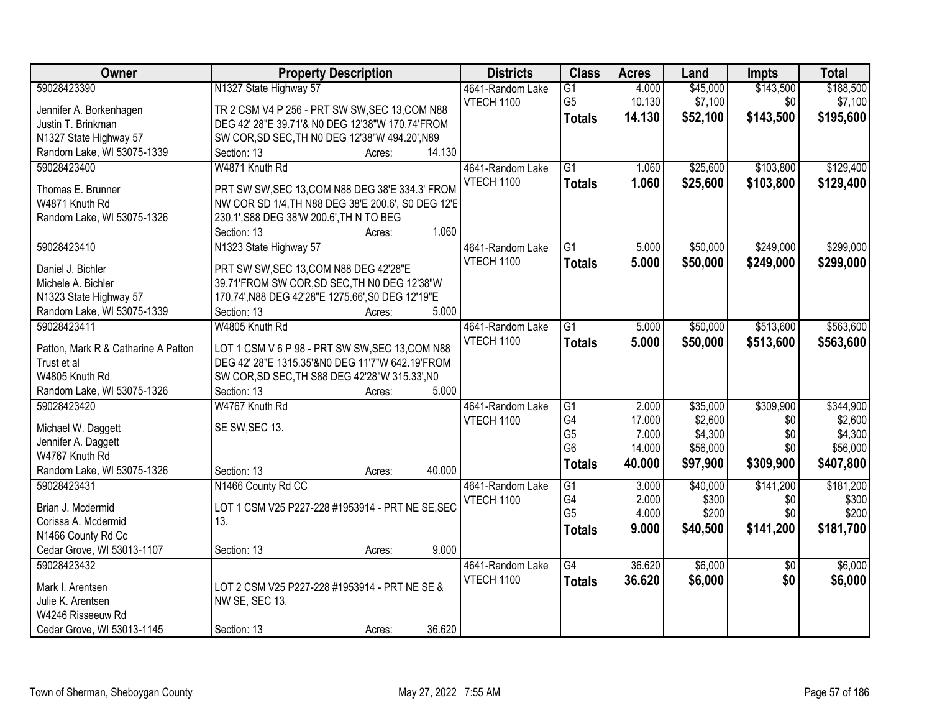| Owner                                            | <b>Property Description</b>                        | <b>Districts</b> | <b>Class</b>    | <b>Acres</b> | Land     | <b>Impts</b>    | <b>Total</b> |
|--------------------------------------------------|----------------------------------------------------|------------------|-----------------|--------------|----------|-----------------|--------------|
| 59028423390                                      | N1327 State Highway 57                             | 4641-Random Lake | $\overline{G1}$ | 4.000        | \$45,000 | \$143,500       | \$188,500    |
| Jennifer A. Borkenhagen                          | TR 2 CSM V4 P 256 - PRT SW SW, SEC 13, COM N88     | VTECH 1100       | G <sub>5</sub>  | 10.130       | \$7,100  | \$0             | \$7,100      |
| Justin T. Brinkman                               | DEG 42' 28"E 39.71'& N0 DEG 12'38"W 170.74'FROM    |                  | <b>Totals</b>   | 14.130       | \$52,100 | \$143,500       | \$195,600    |
| N1327 State Highway 57                           | SW COR, SD SEC, TH N0 DEG 12'38"W 494.20', N89     |                  |                 |              |          |                 |              |
| Random Lake, WI 53075-1339                       | 14.130<br>Section: 13<br>Acres:                    |                  |                 |              |          |                 |              |
| 59028423400                                      | W4871 Knuth Rd                                     | 4641-Random Lake | $\overline{G1}$ | 1.060        | \$25,600 | \$103,800       | \$129,400    |
|                                                  |                                                    | VTECH 1100       | <b>Totals</b>   | 1.060        | \$25,600 | \$103,800       | \$129,400    |
| Thomas E. Brunner                                | PRT SW SW, SEC 13, COM N88 DEG 38'E 334.3' FROM    |                  |                 |              |          |                 |              |
| W4871 Knuth Rd                                   | NW COR SD 1/4, TH N88 DEG 38'E 200.6', S0 DEG 12'E |                  |                 |              |          |                 |              |
| Random Lake, WI 53075-1326                       | 230.1', S88 DEG 38'W 200.6', TH N TO BEG           |                  |                 |              |          |                 |              |
|                                                  | 1.060<br>Section: 13<br>Acres:                     |                  |                 |              |          |                 |              |
| 59028423410                                      | N1323 State Highway 57                             | 4641-Random Lake | $\overline{G1}$ | 5.000        | \$50,000 | \$249,000       | \$299,000    |
| Daniel J. Bichler                                | PRT SW SW, SEC 13, COM N88 DEG 42'28"E             | VTECH 1100       | <b>Totals</b>   | 5.000        | \$50,000 | \$249,000       | \$299,000    |
| Michele A. Bichler                               | 39.71'FROM SW COR, SD SEC, TH N0 DEG 12'38"W       |                  |                 |              |          |                 |              |
| N1323 State Highway 57                           | 170.74', N88 DEG 42'28"E 1275.66', S0 DEG 12'19"E  |                  |                 |              |          |                 |              |
| Random Lake, WI 53075-1339                       | 5.000<br>Section: 13<br>Acres:                     |                  |                 |              |          |                 |              |
| 59028423411                                      | W4805 Knuth Rd                                     | 4641-Random Lake | G1              | 5.000        | \$50,000 | \$513,600       | \$563,600    |
|                                                  |                                                    | VTECH 1100       | <b>Totals</b>   | 5.000        | \$50,000 | \$513,600       | \$563,600    |
| Patton, Mark R & Catharine A Patton              | LOT 1 CSM V 6 P 98 - PRT SW SW, SEC 13, COM N88    |                  |                 |              |          |                 |              |
| Trust et al                                      | DEG 42' 28"E 1315.35'&N0 DEG 11'7"W 642.19'FROM    |                  |                 |              |          |                 |              |
| W4805 Knuth Rd                                   | SW COR, SD SEC, TH S88 DEG 42'28"W 315.33', NO     |                  |                 |              |          |                 |              |
| Random Lake, WI 53075-1326                       | Section: 13<br>5.000<br>Acres:                     |                  |                 |              |          |                 |              |
| 59028423420                                      | W4767 Knuth Rd                                     | 4641-Random Lake | $\overline{G1}$ | 2.000        | \$35,000 | \$309,900       | \$344,900    |
| Michael W. Daggett                               | SE SW, SEC 13.                                     | VTECH 1100       | G4              | 17.000       | \$2,600  | \$0             | \$2,600      |
| Jennifer A. Daggett                              |                                                    |                  | G <sub>5</sub>  | 7.000        | \$4,300  | \$0             | \$4,300      |
| W4767 Knuth Rd                                   |                                                    |                  | G <sub>6</sub>  | 14.000       | \$56,000 | \$0             | \$56,000     |
| Random Lake, WI 53075-1326                       | 40.000<br>Section: 13<br>Acres:                    |                  | <b>Totals</b>   | 40.000       | \$97,900 | \$309,900       | \$407,800    |
| 59028423431                                      | N1466 County Rd CC                                 | 4641-Random Lake | $\overline{G1}$ | 3.000        | \$40,000 | \$141,200       | \$181,200    |
| Brian J. Mcdermid                                | LOT 1 CSM V25 P227-228 #1953914 - PRT NE SE, SEC   | VTECH 1100       | G4              | 2.000        | \$300    | \$0             | \$300        |
| Corissa A. Mcdermid                              | 13.                                                |                  | G <sub>5</sub>  | 4.000        | \$200    | \$0             | \$200        |
|                                                  |                                                    |                  | <b>Totals</b>   | 9.000        | \$40,500 | \$141,200       | \$181,700    |
| N1466 County Rd Cc<br>Cedar Grove, WI 53013-1107 | 9.000<br>Section: 13                               |                  |                 |              |          |                 |              |
| 59028423432                                      | Acres:                                             |                  | $\overline{G4}$ | 36.620       | \$6,000  |                 |              |
|                                                  |                                                    | 4641-Random Lake |                 |              |          | $\overline{30}$ | \$6,000      |
| Mark I. Arentsen                                 | LOT 2 CSM V25 P227-228 #1953914 - PRT NE SE &      | VTECH 1100       | <b>Totals</b>   | 36.620       | \$6,000  | \$0             | \$6,000      |
| Julie K. Arentsen                                | NW SE, SEC 13.                                     |                  |                 |              |          |                 |              |
| W4246 Risseeuw Rd                                |                                                    |                  |                 |              |          |                 |              |
| Cedar Grove, WI 53013-1145                       | 36.620<br>Section: 13<br>Acres:                    |                  |                 |              |          |                 |              |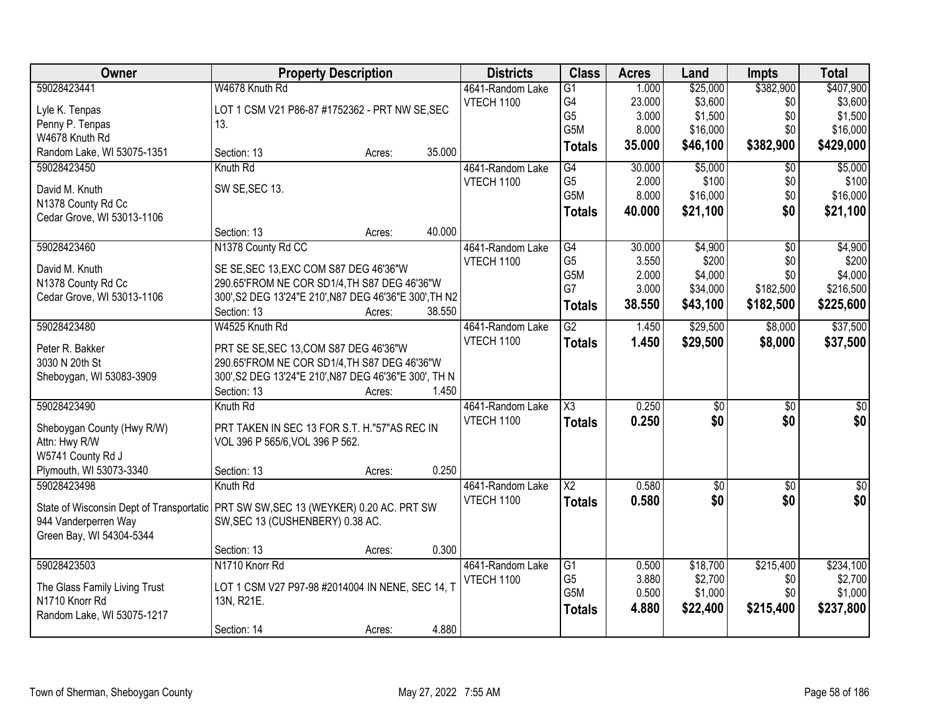| 59028423441<br>W4678 Knuth Rd<br>1.000<br>\$25,000<br>4641-Random Lake<br>$\overline{G1}$<br>G4<br>\$3,600<br>23.000<br>\$3,600<br>VTECH 1100<br>\$0<br>LOT 1 CSM V21 P86-87 #1752362 - PRT NW SE, SEC<br>Lyle K. Tenpas<br>G <sub>5</sub><br>\$1,500<br>3.000<br>\$0<br>Penny P. Tenpas<br>13.<br>G5M<br>8.000<br>\$16,000<br>\$0<br>W4678 Knuth Rd<br>\$382,900<br>\$429,000<br>35.000<br>\$46,100<br><b>Totals</b><br>35.000<br>Random Lake, WI 53075-1351<br>Section: 13<br>Acres:<br>G4<br>30.000<br>\$5,000<br>59028423450<br>Knuth Rd<br>4641-Random Lake<br>$\overline{50}$<br>G <sub>5</sub><br>\$100<br>2.000<br>\$0<br><b>VTECH 1100</b><br>SW SE, SEC 13.<br>David M. Knuth<br>G5M<br>8.000<br>\$16,000<br>\$0<br>N1378 County Rd Cc<br>\$0<br>40.000<br>\$21,100<br>\$21,100<br><b>Totals</b><br>Cedar Grove, WI 53013-1106<br>40.000<br>Section: 13<br>Acres:<br>59028423460<br>N1378 County Rd CC<br>G4<br>30.000<br>\$4,900<br>4641-Random Lake<br>\$0<br>G <sub>5</sub><br>3.550<br>\$200<br><b>VTECH 1100</b><br>\$0<br>SE SE, SEC 13, EXC COM S87 DEG 46'36"W<br>David M. Knuth<br>G5M<br>2.000<br>\$4,000<br>\$0<br>N1378 County Rd Cc<br>290.65'FROM NE COR SD1/4, TH S87 DEG 46'36"W<br>G7<br>3.000<br>\$34,000<br>\$182,500<br>300', S2 DEG 13'24"E 210', N87 DEG 46'36"E 300', TH N2<br>Cedar Grove, WI 53013-1106<br>38.550<br>\$43,100<br>\$182,500<br>\$225,600<br><b>Totals</b><br>Section: 13<br>38.550<br>Acres:<br>59028423480<br>W4525 Knuth Rd<br>G2<br>\$29,500<br>4641-Random Lake<br>1.450<br>\$8,000<br><b>VTECH 1100</b><br>1.450<br>\$29,500<br>\$8,000<br><b>Totals</b><br>PRT SE SE, SEC 13, COM S87 DEG 46'36"W<br>Peter R. Bakker<br>3030 N 20th St<br>290.65'FROM NE COR SD1/4, TH S87 DEG 46'36"W<br>300', S2 DEG 13'24"E 210', N87 DEG 46'36"E 300', TH N<br>Sheboygan, WI 53083-3909<br>Section: 13<br>1.450<br>Acres:<br>$\overline{\text{X3}}$<br>0.250<br>59028423490<br>$\overline{50}$<br>$\overline{50}$<br>4641-Random Lake<br>Knuth Rd<br>\$0<br>0.250<br>\$0<br>\$0<br><b>VTECH 1100</b><br><b>Totals</b><br>Sheboygan County (Hwy R/W)<br>PRT TAKEN IN SEC 13 FOR S.T. H."57"AS REC IN<br>Attn: Hwy R/W<br>VOL 396 P 565/6, VOL 396 P 562.<br>W5741 County Rd J<br>Plymouth, WI 53073-3340<br>0.250<br>Section: 13<br>Acres:<br>59028423498<br>$\overline{X2}$<br>0.580<br>$\sqrt{6}$<br>Knuth Rd<br>4641-Random Lake<br>\$0<br>\$0<br>0.580<br>\$0<br><b>VTECH 1100</b><br><b>Totals</b><br>State of Wisconsin Dept of Transportatic   PRT SW SW, SEC 13 (WEYKER) 0.20 AC. PRT SW<br>944 Vanderperren Way<br>SW, SEC 13 (CUSHENBERY) 0.38 AC.<br>Green Bay, WI 54304-5344<br>0.300<br>Section: 13<br>Acres:<br>59028423503<br>N1710 Knorr Rd<br>\$18,700<br>\$215,400<br>4641-Random Lake<br>G1<br>0.500<br>G <sub>5</sub><br>3.880<br>\$2,700<br><b>VTECH 1100</b><br>\$0<br>The Glass Family Living Trust<br>LOT 1 CSM V27 P97-98 #2014004 IN NENE, SEC 14, T<br>G5M<br>0.500<br>\$1,000<br>\$0<br>N1710 Knorr Rd<br>13N, R21E. | Owner                      | <b>Property Description</b> |  |  | <b>Districts</b> | <b>Class</b>  | <b>Acres</b> | Land     | <b>Impts</b> | <b>Total</b> |
|---------------------------------------------------------------------------------------------------------------------------------------------------------------------------------------------------------------------------------------------------------------------------------------------------------------------------------------------------------------------------------------------------------------------------------------------------------------------------------------------------------------------------------------------------------------------------------------------------------------------------------------------------------------------------------------------------------------------------------------------------------------------------------------------------------------------------------------------------------------------------------------------------------------------------------------------------------------------------------------------------------------------------------------------------------------------------------------------------------------------------------------------------------------------------------------------------------------------------------------------------------------------------------------------------------------------------------------------------------------------------------------------------------------------------------------------------------------------------------------------------------------------------------------------------------------------------------------------------------------------------------------------------------------------------------------------------------------------------------------------------------------------------------------------------------------------------------------------------------------------------------------------------------------------------------------------------------------------------------------------------------------------------------------------------------------------------------------------------------------------------------------------------------------------------------------------------------------------------------------------------------------------------------------------------------------------------------------------------------------------------------------------------------------------------------------------------------------------------------------------------------------------------------------------------------------------------------------------------------------------------------------------------------------------------------------------------------------------------------------------------------------------------------------------------------------------------------------------------------------------------------------------------------------------------------------------------------------------------------------------|----------------------------|-----------------------------|--|--|------------------|---------------|--------------|----------|--------------|--------------|
| \$1,500                                                                                                                                                                                                                                                                                                                                                                                                                                                                                                                                                                                                                                                                                                                                                                                                                                                                                                                                                                                                                                                                                                                                                                                                                                                                                                                                                                                                                                                                                                                                                                                                                                                                                                                                                                                                                                                                                                                                                                                                                                                                                                                                                                                                                                                                                                                                                                                                                                                                                                                                                                                                                                                                                                                                                                                                                                                                                                                                                                                     |                            |                             |  |  |                  |               |              |          | \$382,900    | \$407,900    |
| \$16,000<br>\$5,000<br>\$100<br>\$16,000<br>\$4,900<br>\$200                                                                                                                                                                                                                                                                                                                                                                                                                                                                                                                                                                                                                                                                                                                                                                                                                                                                                                                                                                                                                                                                                                                                                                                                                                                                                                                                                                                                                                                                                                                                                                                                                                                                                                                                                                                                                                                                                                                                                                                                                                                                                                                                                                                                                                                                                                                                                                                                                                                                                                                                                                                                                                                                                                                                                                                                                                                                                                                                |                            |                             |  |  |                  |               |              |          |              |              |
|                                                                                                                                                                                                                                                                                                                                                                                                                                                                                                                                                                                                                                                                                                                                                                                                                                                                                                                                                                                                                                                                                                                                                                                                                                                                                                                                                                                                                                                                                                                                                                                                                                                                                                                                                                                                                                                                                                                                                                                                                                                                                                                                                                                                                                                                                                                                                                                                                                                                                                                                                                                                                                                                                                                                                                                                                                                                                                                                                                                             |                            |                             |  |  |                  |               |              |          |              |              |
|                                                                                                                                                                                                                                                                                                                                                                                                                                                                                                                                                                                                                                                                                                                                                                                                                                                                                                                                                                                                                                                                                                                                                                                                                                                                                                                                                                                                                                                                                                                                                                                                                                                                                                                                                                                                                                                                                                                                                                                                                                                                                                                                                                                                                                                                                                                                                                                                                                                                                                                                                                                                                                                                                                                                                                                                                                                                                                                                                                                             |                            |                             |  |  |                  |               |              |          |              |              |
|                                                                                                                                                                                                                                                                                                                                                                                                                                                                                                                                                                                                                                                                                                                                                                                                                                                                                                                                                                                                                                                                                                                                                                                                                                                                                                                                                                                                                                                                                                                                                                                                                                                                                                                                                                                                                                                                                                                                                                                                                                                                                                                                                                                                                                                                                                                                                                                                                                                                                                                                                                                                                                                                                                                                                                                                                                                                                                                                                                                             |                            |                             |  |  |                  |               |              |          |              |              |
|                                                                                                                                                                                                                                                                                                                                                                                                                                                                                                                                                                                                                                                                                                                                                                                                                                                                                                                                                                                                                                                                                                                                                                                                                                                                                                                                                                                                                                                                                                                                                                                                                                                                                                                                                                                                                                                                                                                                                                                                                                                                                                                                                                                                                                                                                                                                                                                                                                                                                                                                                                                                                                                                                                                                                                                                                                                                                                                                                                                             |                            |                             |  |  |                  |               |              |          |              |              |
|                                                                                                                                                                                                                                                                                                                                                                                                                                                                                                                                                                                                                                                                                                                                                                                                                                                                                                                                                                                                                                                                                                                                                                                                                                                                                                                                                                                                                                                                                                                                                                                                                                                                                                                                                                                                                                                                                                                                                                                                                                                                                                                                                                                                                                                                                                                                                                                                                                                                                                                                                                                                                                                                                                                                                                                                                                                                                                                                                                                             |                            |                             |  |  |                  |               |              |          |              |              |
|                                                                                                                                                                                                                                                                                                                                                                                                                                                                                                                                                                                                                                                                                                                                                                                                                                                                                                                                                                                                                                                                                                                                                                                                                                                                                                                                                                                                                                                                                                                                                                                                                                                                                                                                                                                                                                                                                                                                                                                                                                                                                                                                                                                                                                                                                                                                                                                                                                                                                                                                                                                                                                                                                                                                                                                                                                                                                                                                                                                             |                            |                             |  |  |                  |               |              |          |              |              |
|                                                                                                                                                                                                                                                                                                                                                                                                                                                                                                                                                                                                                                                                                                                                                                                                                                                                                                                                                                                                                                                                                                                                                                                                                                                                                                                                                                                                                                                                                                                                                                                                                                                                                                                                                                                                                                                                                                                                                                                                                                                                                                                                                                                                                                                                                                                                                                                                                                                                                                                                                                                                                                                                                                                                                                                                                                                                                                                                                                                             |                            |                             |  |  |                  |               |              |          |              |              |
|                                                                                                                                                                                                                                                                                                                                                                                                                                                                                                                                                                                                                                                                                                                                                                                                                                                                                                                                                                                                                                                                                                                                                                                                                                                                                                                                                                                                                                                                                                                                                                                                                                                                                                                                                                                                                                                                                                                                                                                                                                                                                                                                                                                                                                                                                                                                                                                                                                                                                                                                                                                                                                                                                                                                                                                                                                                                                                                                                                                             |                            |                             |  |  |                  |               |              |          |              |              |
|                                                                                                                                                                                                                                                                                                                                                                                                                                                                                                                                                                                                                                                                                                                                                                                                                                                                                                                                                                                                                                                                                                                                                                                                                                                                                                                                                                                                                                                                                                                                                                                                                                                                                                                                                                                                                                                                                                                                                                                                                                                                                                                                                                                                                                                                                                                                                                                                                                                                                                                                                                                                                                                                                                                                                                                                                                                                                                                                                                                             |                            |                             |  |  |                  |               |              |          |              |              |
| \$4,000<br>\$216,500<br>\$37,500<br>\$37,500<br>$\overline{50}$<br>\$0<br>\$0 <br>\$234,100<br>\$2,700<br>\$1,000                                                                                                                                                                                                                                                                                                                                                                                                                                                                                                                                                                                                                                                                                                                                                                                                                                                                                                                                                                                                                                                                                                                                                                                                                                                                                                                                                                                                                                                                                                                                                                                                                                                                                                                                                                                                                                                                                                                                                                                                                                                                                                                                                                                                                                                                                                                                                                                                                                                                                                                                                                                                                                                                                                                                                                                                                                                                           |                            |                             |  |  |                  |               |              |          |              |              |
|                                                                                                                                                                                                                                                                                                                                                                                                                                                                                                                                                                                                                                                                                                                                                                                                                                                                                                                                                                                                                                                                                                                                                                                                                                                                                                                                                                                                                                                                                                                                                                                                                                                                                                                                                                                                                                                                                                                                                                                                                                                                                                                                                                                                                                                                                                                                                                                                                                                                                                                                                                                                                                                                                                                                                                                                                                                                                                                                                                                             |                            |                             |  |  |                  |               |              |          |              |              |
|                                                                                                                                                                                                                                                                                                                                                                                                                                                                                                                                                                                                                                                                                                                                                                                                                                                                                                                                                                                                                                                                                                                                                                                                                                                                                                                                                                                                                                                                                                                                                                                                                                                                                                                                                                                                                                                                                                                                                                                                                                                                                                                                                                                                                                                                                                                                                                                                                                                                                                                                                                                                                                                                                                                                                                                                                                                                                                                                                                                             |                            |                             |  |  |                  |               |              |          |              |              |
|                                                                                                                                                                                                                                                                                                                                                                                                                                                                                                                                                                                                                                                                                                                                                                                                                                                                                                                                                                                                                                                                                                                                                                                                                                                                                                                                                                                                                                                                                                                                                                                                                                                                                                                                                                                                                                                                                                                                                                                                                                                                                                                                                                                                                                                                                                                                                                                                                                                                                                                                                                                                                                                                                                                                                                                                                                                                                                                                                                                             |                            |                             |  |  |                  |               |              |          |              |              |
|                                                                                                                                                                                                                                                                                                                                                                                                                                                                                                                                                                                                                                                                                                                                                                                                                                                                                                                                                                                                                                                                                                                                                                                                                                                                                                                                                                                                                                                                                                                                                                                                                                                                                                                                                                                                                                                                                                                                                                                                                                                                                                                                                                                                                                                                                                                                                                                                                                                                                                                                                                                                                                                                                                                                                                                                                                                                                                                                                                                             |                            |                             |  |  |                  |               |              |          |              |              |
|                                                                                                                                                                                                                                                                                                                                                                                                                                                                                                                                                                                                                                                                                                                                                                                                                                                                                                                                                                                                                                                                                                                                                                                                                                                                                                                                                                                                                                                                                                                                                                                                                                                                                                                                                                                                                                                                                                                                                                                                                                                                                                                                                                                                                                                                                                                                                                                                                                                                                                                                                                                                                                                                                                                                                                                                                                                                                                                                                                                             |                            |                             |  |  |                  |               |              |          |              |              |
|                                                                                                                                                                                                                                                                                                                                                                                                                                                                                                                                                                                                                                                                                                                                                                                                                                                                                                                                                                                                                                                                                                                                                                                                                                                                                                                                                                                                                                                                                                                                                                                                                                                                                                                                                                                                                                                                                                                                                                                                                                                                                                                                                                                                                                                                                                                                                                                                                                                                                                                                                                                                                                                                                                                                                                                                                                                                                                                                                                                             |                            |                             |  |  |                  |               |              |          |              |              |
|                                                                                                                                                                                                                                                                                                                                                                                                                                                                                                                                                                                                                                                                                                                                                                                                                                                                                                                                                                                                                                                                                                                                                                                                                                                                                                                                                                                                                                                                                                                                                                                                                                                                                                                                                                                                                                                                                                                                                                                                                                                                                                                                                                                                                                                                                                                                                                                                                                                                                                                                                                                                                                                                                                                                                                                                                                                                                                                                                                                             |                            |                             |  |  |                  |               |              |          |              |              |
|                                                                                                                                                                                                                                                                                                                                                                                                                                                                                                                                                                                                                                                                                                                                                                                                                                                                                                                                                                                                                                                                                                                                                                                                                                                                                                                                                                                                                                                                                                                                                                                                                                                                                                                                                                                                                                                                                                                                                                                                                                                                                                                                                                                                                                                                                                                                                                                                                                                                                                                                                                                                                                                                                                                                                                                                                                                                                                                                                                                             |                            |                             |  |  |                  |               |              |          |              |              |
|                                                                                                                                                                                                                                                                                                                                                                                                                                                                                                                                                                                                                                                                                                                                                                                                                                                                                                                                                                                                                                                                                                                                                                                                                                                                                                                                                                                                                                                                                                                                                                                                                                                                                                                                                                                                                                                                                                                                                                                                                                                                                                                                                                                                                                                                                                                                                                                                                                                                                                                                                                                                                                                                                                                                                                                                                                                                                                                                                                                             |                            |                             |  |  |                  |               |              |          |              |              |
|                                                                                                                                                                                                                                                                                                                                                                                                                                                                                                                                                                                                                                                                                                                                                                                                                                                                                                                                                                                                                                                                                                                                                                                                                                                                                                                                                                                                                                                                                                                                                                                                                                                                                                                                                                                                                                                                                                                                                                                                                                                                                                                                                                                                                                                                                                                                                                                                                                                                                                                                                                                                                                                                                                                                                                                                                                                                                                                                                                                             |                            |                             |  |  |                  |               |              |          |              |              |
|                                                                                                                                                                                                                                                                                                                                                                                                                                                                                                                                                                                                                                                                                                                                                                                                                                                                                                                                                                                                                                                                                                                                                                                                                                                                                                                                                                                                                                                                                                                                                                                                                                                                                                                                                                                                                                                                                                                                                                                                                                                                                                                                                                                                                                                                                                                                                                                                                                                                                                                                                                                                                                                                                                                                                                                                                                                                                                                                                                                             |                            |                             |  |  |                  |               |              |          |              |              |
|                                                                                                                                                                                                                                                                                                                                                                                                                                                                                                                                                                                                                                                                                                                                                                                                                                                                                                                                                                                                                                                                                                                                                                                                                                                                                                                                                                                                                                                                                                                                                                                                                                                                                                                                                                                                                                                                                                                                                                                                                                                                                                                                                                                                                                                                                                                                                                                                                                                                                                                                                                                                                                                                                                                                                                                                                                                                                                                                                                                             |                            |                             |  |  |                  |               |              |          |              |              |
|                                                                                                                                                                                                                                                                                                                                                                                                                                                                                                                                                                                                                                                                                                                                                                                                                                                                                                                                                                                                                                                                                                                                                                                                                                                                                                                                                                                                                                                                                                                                                                                                                                                                                                                                                                                                                                                                                                                                                                                                                                                                                                                                                                                                                                                                                                                                                                                                                                                                                                                                                                                                                                                                                                                                                                                                                                                                                                                                                                                             |                            |                             |  |  |                  |               |              |          |              |              |
|                                                                                                                                                                                                                                                                                                                                                                                                                                                                                                                                                                                                                                                                                                                                                                                                                                                                                                                                                                                                                                                                                                                                                                                                                                                                                                                                                                                                                                                                                                                                                                                                                                                                                                                                                                                                                                                                                                                                                                                                                                                                                                                                                                                                                                                                                                                                                                                                                                                                                                                                                                                                                                                                                                                                                                                                                                                                                                                                                                                             |                            |                             |  |  |                  |               |              |          |              |              |
|                                                                                                                                                                                                                                                                                                                                                                                                                                                                                                                                                                                                                                                                                                                                                                                                                                                                                                                                                                                                                                                                                                                                                                                                                                                                                                                                                                                                                                                                                                                                                                                                                                                                                                                                                                                                                                                                                                                                                                                                                                                                                                                                                                                                                                                                                                                                                                                                                                                                                                                                                                                                                                                                                                                                                                                                                                                                                                                                                                                             |                            |                             |  |  |                  |               |              |          |              |              |
|                                                                                                                                                                                                                                                                                                                                                                                                                                                                                                                                                                                                                                                                                                                                                                                                                                                                                                                                                                                                                                                                                                                                                                                                                                                                                                                                                                                                                                                                                                                                                                                                                                                                                                                                                                                                                                                                                                                                                                                                                                                                                                                                                                                                                                                                                                                                                                                                                                                                                                                                                                                                                                                                                                                                                                                                                                                                                                                                                                                             |                            |                             |  |  |                  |               |              |          |              |              |
|                                                                                                                                                                                                                                                                                                                                                                                                                                                                                                                                                                                                                                                                                                                                                                                                                                                                                                                                                                                                                                                                                                                                                                                                                                                                                                                                                                                                                                                                                                                                                                                                                                                                                                                                                                                                                                                                                                                                                                                                                                                                                                                                                                                                                                                                                                                                                                                                                                                                                                                                                                                                                                                                                                                                                                                                                                                                                                                                                                                             |                            |                             |  |  |                  |               |              |          |              |              |
|                                                                                                                                                                                                                                                                                                                                                                                                                                                                                                                                                                                                                                                                                                                                                                                                                                                                                                                                                                                                                                                                                                                                                                                                                                                                                                                                                                                                                                                                                                                                                                                                                                                                                                                                                                                                                                                                                                                                                                                                                                                                                                                                                                                                                                                                                                                                                                                                                                                                                                                                                                                                                                                                                                                                                                                                                                                                                                                                                                                             |                            |                             |  |  |                  |               |              |          |              |              |
|                                                                                                                                                                                                                                                                                                                                                                                                                                                                                                                                                                                                                                                                                                                                                                                                                                                                                                                                                                                                                                                                                                                                                                                                                                                                                                                                                                                                                                                                                                                                                                                                                                                                                                                                                                                                                                                                                                                                                                                                                                                                                                                                                                                                                                                                                                                                                                                                                                                                                                                                                                                                                                                                                                                                                                                                                                                                                                                                                                                             |                            |                             |  |  |                  |               |              |          |              |              |
|                                                                                                                                                                                                                                                                                                                                                                                                                                                                                                                                                                                                                                                                                                                                                                                                                                                                                                                                                                                                                                                                                                                                                                                                                                                                                                                                                                                                                                                                                                                                                                                                                                                                                                                                                                                                                                                                                                                                                                                                                                                                                                                                                                                                                                                                                                                                                                                                                                                                                                                                                                                                                                                                                                                                                                                                                                                                                                                                                                                             |                            |                             |  |  |                  |               |              |          |              |              |
|                                                                                                                                                                                                                                                                                                                                                                                                                                                                                                                                                                                                                                                                                                                                                                                                                                                                                                                                                                                                                                                                                                                                                                                                                                                                                                                                                                                                                                                                                                                                                                                                                                                                                                                                                                                                                                                                                                                                                                                                                                                                                                                                                                                                                                                                                                                                                                                                                                                                                                                                                                                                                                                                                                                                                                                                                                                                                                                                                                                             |                            |                             |  |  |                  |               |              |          |              |              |
|                                                                                                                                                                                                                                                                                                                                                                                                                                                                                                                                                                                                                                                                                                                                                                                                                                                                                                                                                                                                                                                                                                                                                                                                                                                                                                                                                                                                                                                                                                                                                                                                                                                                                                                                                                                                                                                                                                                                                                                                                                                                                                                                                                                                                                                                                                                                                                                                                                                                                                                                                                                                                                                                                                                                                                                                                                                                                                                                                                                             |                            |                             |  |  |                  |               |              |          |              |              |
|                                                                                                                                                                                                                                                                                                                                                                                                                                                                                                                                                                                                                                                                                                                                                                                                                                                                                                                                                                                                                                                                                                                                                                                                                                                                                                                                                                                                                                                                                                                                                                                                                                                                                                                                                                                                                                                                                                                                                                                                                                                                                                                                                                                                                                                                                                                                                                                                                                                                                                                                                                                                                                                                                                                                                                                                                                                                                                                                                                                             |                            |                             |  |  |                  |               |              |          |              |              |
|                                                                                                                                                                                                                                                                                                                                                                                                                                                                                                                                                                                                                                                                                                                                                                                                                                                                                                                                                                                                                                                                                                                                                                                                                                                                                                                                                                                                                                                                                                                                                                                                                                                                                                                                                                                                                                                                                                                                                                                                                                                                                                                                                                                                                                                                                                                                                                                                                                                                                                                                                                                                                                                                                                                                                                                                                                                                                                                                                                                             | Random Lake, WI 53075-1217 |                             |  |  |                  | <b>Totals</b> | 4.880        | \$22,400 | \$215,400    | \$237,800    |
| 4.880<br>Section: 14<br>Acres:                                                                                                                                                                                                                                                                                                                                                                                                                                                                                                                                                                                                                                                                                                                                                                                                                                                                                                                                                                                                                                                                                                                                                                                                                                                                                                                                                                                                                                                                                                                                                                                                                                                                                                                                                                                                                                                                                                                                                                                                                                                                                                                                                                                                                                                                                                                                                                                                                                                                                                                                                                                                                                                                                                                                                                                                                                                                                                                                                              |                            |                             |  |  |                  |               |              |          |              |              |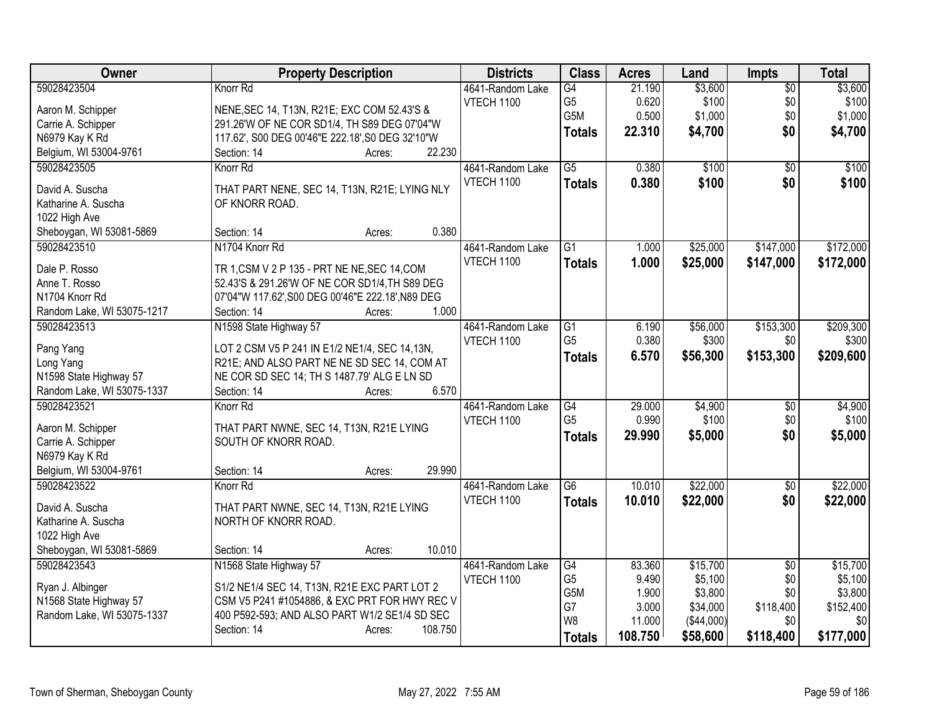| Owner                      | <b>Property Description</b>                       | <b>Districts</b>  | <b>Class</b>    | <b>Acres</b> | Land       | <b>Impts</b>    | <b>Total</b> |
|----------------------------|---------------------------------------------------|-------------------|-----------------|--------------|------------|-----------------|--------------|
| 59028423504                | Knorr <sub>Rd</sub>                               | 4641-Random Lake  | G4              | 21.190       | \$3,600    | $\overline{50}$ | \$3,600      |
| Aaron M. Schipper          | NENE, SEC 14, T13N, R21E; EXC COM 52.43'S &       | VTECH 1100        | G <sub>5</sub>  | 0.620        | \$100      | \$0             | \$100        |
| Carrie A. Schipper         | 291.26'W OF NE COR SD1/4, TH S89 DEG 07'04"W      |                   | G5M             | 0.500        | \$1,000    | \$0             | \$1,000      |
| N6979 Kay K Rd             | 117.62', S00 DEG 00'46"E 222.18', S0 DEG 32'10"W  |                   | <b>Totals</b>   | 22.310       | \$4,700    | \$0             | \$4,700      |
| Belgium, WI 53004-9761     | 22.230<br>Section: 14<br>Acres:                   |                   |                 |              |            |                 |              |
| 59028423505                | Knorr <sub>Rd</sub>                               | 4641-Random Lake  | $\overline{G5}$ | 0.380        | \$100      | $\overline{50}$ | \$100        |
|                            |                                                   | VTECH 1100        |                 | 0.380        | \$100      | \$0             | \$100        |
| David A. Suscha            | THAT PART NENE, SEC 14, T13N, R21E; LYING NLY     |                   | <b>Totals</b>   |              |            |                 |              |
| Katharine A. Suscha        | OF KNORR ROAD.                                    |                   |                 |              |            |                 |              |
| 1022 High Ave              |                                                   |                   |                 |              |            |                 |              |
| Sheboygan, WI 53081-5869   | 0.380<br>Section: 14<br>Acres:                    |                   |                 |              |            |                 |              |
| 59028423510                | N1704 Knorr Rd                                    | 4641-Random Lake  | $\overline{G1}$ | 1.000        | \$25,000   | \$147,000       | \$172,000    |
| Dale P. Rosso              | TR 1, CSM V 2 P 135 - PRT NE NE, SEC 14, COM      | <b>VTECH 1100</b> | <b>Totals</b>   | 1.000        | \$25,000   | \$147,000       | \$172,000    |
| Anne T. Rosso              | 52.43'S & 291.26'W OF NE COR SD1/4, TH S89 DEG    |                   |                 |              |            |                 |              |
| N1704 Knorr Rd             | 07'04"W 117.62', S00 DEG 00'46"E 222.18', N89 DEG |                   |                 |              |            |                 |              |
| Random Lake, WI 53075-1217 | 1.000<br>Section: 14<br>Acres:                    |                   |                 |              |            |                 |              |
| 59028423513                | N1598 State Highway 57                            | 4641-Random Lake  | $\overline{G1}$ | 6.190        | \$56,000   | \$153,300       | \$209,300    |
|                            |                                                   | VTECH 1100        | G <sub>5</sub>  | 0.380        | \$300      | \$0             | \$300        |
| Pang Yang                  | LOT 2 CSM V5 P 241 IN E1/2 NE1/4, SEC 14,13N,     |                   |                 | 6.570        | \$56,300   | \$153,300       | \$209,600    |
| Long Yang                  | R21E; AND ALSO PART NE NE SD SEC 14, COM AT       |                   | <b>Totals</b>   |              |            |                 |              |
| N1598 State Highway 57     | NE COR SD SEC 14; TH S 1487.79' ALG E LN SD       |                   |                 |              |            |                 |              |
| Random Lake, WI 53075-1337 | 6.570<br>Section: 14<br>Acres:                    |                   |                 |              |            |                 |              |
| 59028423521                | Knorr Rd                                          | 4641-Random Lake  | G4              | 29.000       | \$4,900    | \$0             | \$4,900      |
| Aaron M. Schipper          | THAT PART NWNE, SEC 14, T13N, R21E LYING          | <b>VTECH 1100</b> | G <sub>5</sub>  | 0.990        | \$100      | \$0             | \$100        |
| Carrie A. Schipper         | SOUTH OF KNORR ROAD.                              |                   | <b>Totals</b>   | 29.990       | \$5,000    | \$0             | \$5,000      |
| N6979 Kay K Rd             |                                                   |                   |                 |              |            |                 |              |
| Belgium, WI 53004-9761     | 29.990<br>Section: 14<br>Acres:                   |                   |                 |              |            |                 |              |
| 59028423522                | Knorr <sub>Rd</sub>                               | 4641-Random Lake  | $\overline{G6}$ | 10.010       | \$22,000   | $\overline{50}$ | \$22,000     |
|                            |                                                   | VTECH 1100        |                 | 10.010       | \$22,000   | \$0             | \$22,000     |
| David A. Suscha            | THAT PART NWNE, SEC 14, T13N, R21E LYING          |                   | <b>Totals</b>   |              |            |                 |              |
| Katharine A. Suscha        | NORTH OF KNORR ROAD.                              |                   |                 |              |            |                 |              |
| 1022 High Ave              |                                                   |                   |                 |              |            |                 |              |
| Sheboygan, WI 53081-5869   | 10.010<br>Section: 14<br>Acres:                   |                   |                 |              |            |                 |              |
| 59028423543                | N1568 State Highway 57                            | 4641-Random Lake  | G4              | 83.360       | \$15,700   | $\overline{30}$ | \$15,700     |
| Ryan J. Albinger           | S1/2 NE1/4 SEC 14, T13N, R21E EXC PART LOT 2      | VTECH 1100        | G <sub>5</sub>  | 9.490        | \$5,100    | \$0             | \$5,100      |
| N1568 State Highway 57     | CSM V5 P241 #1054886, & EXC PRT FOR HWY REC V     |                   | G5M             | 1.900        | \$3,800    | \$0             | \$3,800      |
| Random Lake, WI 53075-1337 | 400 P592-593; AND ALSO PART W1/2 SE1/4 SD SEC     |                   | G7              | 3.000        | \$34,000   | \$118,400       | \$152,400    |
|                            | 108.750<br>Section: 14<br>Acres:                  |                   | W <sub>8</sub>  | 11.000       | (\$44,000) | \$0             | \$0          |
|                            |                                                   |                   | <b>Totals</b>   | 108.750      | \$58,600   | \$118,400       | \$177,000    |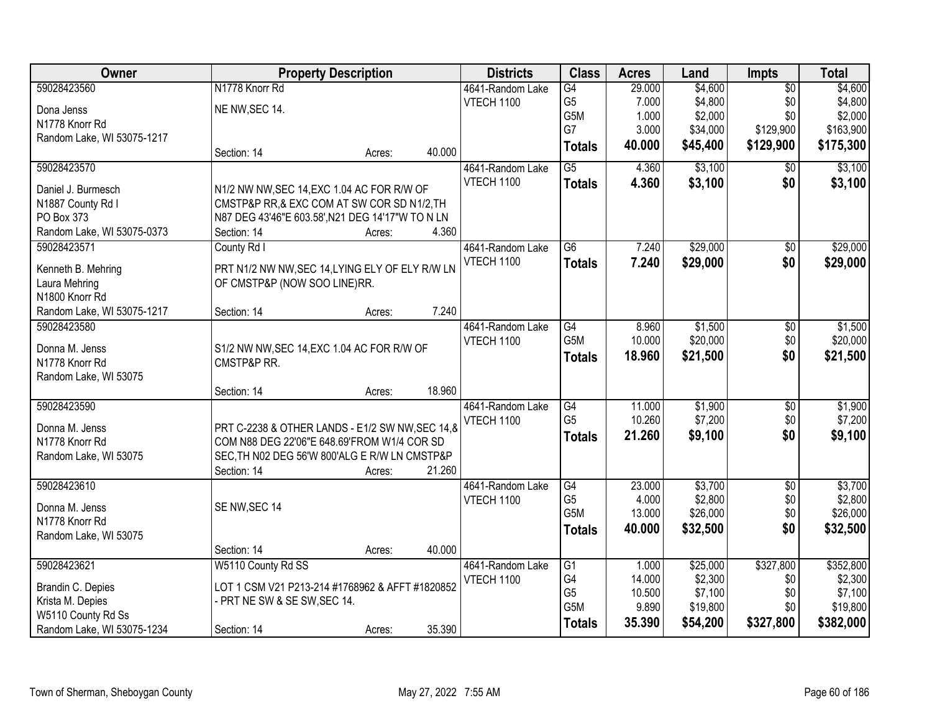| Owner                           | <b>Property Description</b>                      | <b>Districts</b> | <b>Class</b> | <b>Acres</b>      | Land            | Impts  | <b>Total</b> |                 |           |
|---------------------------------|--------------------------------------------------|------------------|--------------|-------------------|-----------------|--------|--------------|-----------------|-----------|
| 59028423560                     | N1778 Knorr Rd                                   |                  |              | 4641-Random Lake  | G4              | 29.000 | \$4,600      | $\overline{50}$ | \$4,600   |
| Dona Jenss                      | NE NW, SEC 14.                                   |                  |              | VTECH 1100        | G <sub>5</sub>  | 7.000  | \$4,800      | \$0             | \$4,800   |
| N1778 Knorr Rd                  |                                                  |                  |              |                   | G5M             | 1.000  | \$2,000      | \$0             | \$2,000   |
| Random Lake, WI 53075-1217      |                                                  |                  |              |                   | G7              | 3.000  | \$34,000     | \$129,900       | \$163,900 |
|                                 | Section: 14                                      | Acres:           | 40.000       |                   | <b>Totals</b>   | 40.000 | \$45,400     | \$129,900       | \$175,300 |
| 59028423570                     |                                                  |                  |              | 4641-Random Lake  | $\overline{G5}$ | 4.360  | \$3,100      | \$0             | \$3,100   |
| Daniel J. Burmesch              | N1/2 NW NW, SEC 14, EXC 1.04 AC FOR R/W OF       |                  |              | VTECH 1100        | <b>Totals</b>   | 4.360  | \$3,100      | \$0             | \$3,100   |
| N1887 County Rd I               | CMSTP&P RR,& EXC COM AT SW COR SD N1/2, TH       |                  |              |                   |                 |        |              |                 |           |
| PO Box 373                      | N87 DEG 43'46"E 603.58', N21 DEG 14'17"W TO N LN |                  |              |                   |                 |        |              |                 |           |
| Random Lake, WI 53075-0373      | Section: 14                                      | Acres:           | 4.360        |                   |                 |        |              |                 |           |
| 59028423571                     | County Rd I                                      |                  |              | 4641-Random Lake  | $\overline{G6}$ | 7.240  | \$29,000     | $\overline{50}$ | \$29,000  |
|                                 |                                                  |                  |              | <b>VTECH 1100</b> | <b>Totals</b>   | 7.240  | \$29,000     | \$0             | \$29,000  |
| Kenneth B. Mehring              | PRT N1/2 NW NW, SEC 14, LYING ELY OF ELY R/W LN  |                  |              |                   |                 |        |              |                 |           |
| Laura Mehring<br>N1800 Knorr Rd | OF CMSTP&P (NOW SOO LINE)RR.                     |                  |              |                   |                 |        |              |                 |           |
| Random Lake, WI 53075-1217      | Section: 14                                      | Acres:           | 7.240        |                   |                 |        |              |                 |           |
| 59028423580                     |                                                  |                  |              | 4641-Random Lake  | G4              | 8.960  | \$1,500      | \$0             | \$1,500   |
|                                 |                                                  |                  |              | VTECH 1100        | G5M             | 10.000 | \$20,000     | \$0             | \$20,000  |
| Donna M. Jenss                  | S1/2 NW NW, SEC 14, EXC 1.04 AC FOR R/W OF       |                  |              |                   | <b>Totals</b>   | 18.960 | \$21,500     | \$0             | \$21,500  |
| N1778 Knorr Rd                  | CMSTP&P RR.                                      |                  |              |                   |                 |        |              |                 |           |
| Random Lake, WI 53075           |                                                  |                  |              |                   |                 |        |              |                 |           |
|                                 | Section: 14                                      | Acres:           | 18.960       |                   |                 |        |              |                 |           |
| 59028423590                     |                                                  |                  |              | 4641-Random Lake  | $\overline{G4}$ | 11.000 | \$1,900      | $\overline{50}$ | \$1,900   |
| Donna M. Jenss                  | PRT C-2238 & OTHER LANDS - E1/2 SW NW, SEC 14, 8 |                  |              | <b>VTECH 1100</b> | G <sub>5</sub>  | 10.260 | \$7,200      | \$0             | \$7,200   |
| N1778 Knorr Rd                  | COM N88 DEG 22'06"E 648.69'FROM W1/4 COR SD      |                  |              |                   | <b>Totals</b>   | 21.260 | \$9,100      | \$0             | \$9,100   |
| Random Lake, WI 53075           | SEC, TH N02 DEG 56'W 800'ALG E R/W LN CMSTP&P    |                  |              |                   |                 |        |              |                 |           |
|                                 | Section: 14                                      | Acres:           | 21.260       |                   |                 |        |              |                 |           |
| 59028423610                     |                                                  |                  |              | 4641-Random Lake  | G4              | 23.000 | \$3,700      | $\overline{60}$ | \$3,700   |
| Donna M. Jenss                  | SE NW, SEC 14                                    |                  |              | VTECH 1100        | G <sub>5</sub>  | 4.000  | \$2,800      | \$0             | \$2,800   |
| N1778 Knorr Rd                  |                                                  |                  |              |                   | G5M             | 13.000 | \$26,000     | \$0             | \$26,000  |
| Random Lake, WI 53075           |                                                  |                  |              |                   | <b>Totals</b>   | 40.000 | \$32,500     | \$0             | \$32,500  |
|                                 | Section: 14                                      | Acres:           | 40.000       |                   |                 |        |              |                 |           |
| 59028423621                     | W5110 County Rd SS                               |                  |              | 4641-Random Lake  | $\overline{G1}$ | 1.000  | \$25,000     | \$327,800       | \$352,800 |
| Brandin C. Depies               | LOT 1 CSM V21 P213-214 #1768962 & AFFT #1820852  |                  |              | <b>VTECH 1100</b> | G4              | 14.000 | \$2,300      | \$0             | \$2,300   |
| Krista M. Depies                | - PRT NE SW & SE SW, SEC 14.                     |                  |              |                   | G <sub>5</sub>  | 10.500 | \$7,100      | \$0             | \$7,100   |
| W5110 County Rd Ss              |                                                  |                  |              |                   | G5M             | 9.890  | \$19,800     | \$0             | \$19,800  |
| Random Lake, WI 53075-1234      | Section: 14                                      | Acres:           | 35.390       |                   | <b>Totals</b>   | 35.390 | \$54,200     | \$327,800       | \$382,000 |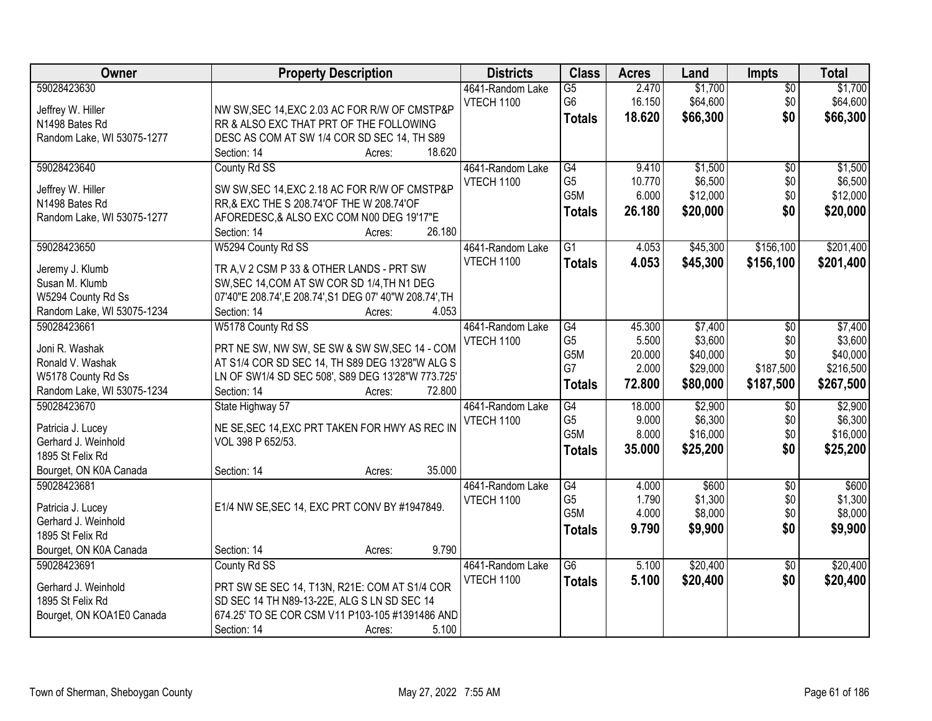| Owner                      | <b>Property Description</b>                                 | <b>Districts</b>  | <b>Class</b>     | <b>Acres</b> | Land               | <b>Impts</b>           | <b>Total</b> |
|----------------------------|-------------------------------------------------------------|-------------------|------------------|--------------|--------------------|------------------------|--------------|
| 59028423630                |                                                             | 4641-Random Lake  | $\overline{G5}$  | 2.470        | \$1,700            | $\overline{50}$        | \$1,700      |
| Jeffrey W. Hiller          | NW SW, SEC 14, EXC 2.03 AC FOR R/W OF CMSTP&P               | <b>VTECH 1100</b> | G <sub>6</sub>   | 16.150       | \$64,600           | \$0                    | \$64,600     |
| N1498 Bates Rd             | RR & ALSO EXC THAT PRT OF THE FOLLOWING                     |                   | <b>Totals</b>    | 18.620       | \$66,300           | \$0                    | \$66,300     |
| Random Lake, WI 53075-1277 | DESC AS COM AT SW 1/4 COR SD SEC 14, TH S89                 |                   |                  |              |                    |                        |              |
|                            | 18.620<br>Section: 14<br>Acres:                             |                   |                  |              |                    |                        |              |
| 59028423640                | County Rd SS                                                | 4641-Random Lake  | G4               | 9.410        | \$1,500            | $\overline{30}$        | \$1,500      |
|                            |                                                             | <b>VTECH 1100</b> | G <sub>5</sub>   | 10.770       | \$6,500            | \$0                    | \$6,500      |
| Jeffrey W. Hiller          | SW SW, SEC 14, EXC 2.18 AC FOR R/W OF CMSTP&P               |                   | G5M              | 6.000        | \$12,000           | \$0                    | \$12,000     |
| N1498 Bates Rd             | RR, & EXC THE S 208.74'OF THE W 208.74'OF                   |                   | <b>Totals</b>    | 26.180       | \$20,000           | \$0                    | \$20,000     |
| Random Lake, WI 53075-1277 | AFOREDESC, & ALSO EXC COM N00 DEG 19'17"E<br>26.180         |                   |                  |              |                    |                        |              |
|                            | Section: 14<br>Acres:                                       |                   |                  |              |                    |                        |              |
| 59028423650                | W5294 County Rd SS                                          | 4641-Random Lake  | $\overline{G1}$  | 4.053        | \$45,300           | \$156,100              | \$201,400    |
| Jeremy J. Klumb            | TR A, V 2 CSM P 33 & OTHER LANDS - PRT SW                   | VTECH 1100        | <b>Totals</b>    | 4.053        | \$45,300           | \$156,100              | \$201,400    |
| Susan M. Klumb             | SW, SEC 14, COM AT SW COR SD 1/4, TH N1 DEG                 |                   |                  |              |                    |                        |              |
| W5294 County Rd Ss         | 07'40"E 208.74', E 208.74', S1 DEG 07' 40"W 208.74', TH     |                   |                  |              |                    |                        |              |
| Random Lake, WI 53075-1234 | Section: 14<br>4.053<br>Acres:                              |                   |                  |              |                    |                        |              |
| 59028423661                | W5178 County Rd SS                                          | 4641-Random Lake  | $\overline{G4}$  | 45.300       | \$7,400            | \$0                    | \$7,400      |
|                            |                                                             | <b>VTECH 1100</b> | G <sub>5</sub>   | 5.500        | \$3,600            | \$0                    | \$3,600      |
| Joni R. Washak             | PRT NE SW, NW SW, SE SW & SW SW, SEC 14 - COM               |                   | G5M              | 20.000       | \$40,000           | \$0                    | \$40,000     |
| Ronald V. Washak           | AT S1/4 COR SD SEC 14, TH S89 DEG 13'28"W ALG S             |                   | G7               | 2.000        | \$29,000           | \$187,500              | \$216,500    |
| W5178 County Rd Ss         | LN OF SW1/4 SD SEC 508', S89 DEG 13'28"W 773.725'<br>72.800 |                   | <b>Totals</b>    | 72.800       | \$80,000           | \$187,500              | \$267,500    |
| Random Lake, WI 53075-1234 | Section: 14<br>Acres:                                       |                   | $\overline{G4}$  | 18.000       |                    |                        | \$2,900      |
| 59028423670                | State Highway 57                                            | 4641-Random Lake  | G <sub>5</sub>   | 9.000        | \$2,900<br>\$6,300 | $\overline{50}$<br>\$0 | \$6,300      |
| Patricia J. Lucey          | NE SE, SEC 14, EXC PRT TAKEN FOR HWY AS REC IN              | <b>VTECH 1100</b> | G5M              | 8.000        | \$16,000           | \$0                    | \$16,000     |
| Gerhard J. Weinhold        | VOL 398 P 652/53.                                           |                   |                  |              |                    | \$0                    |              |
| 1895 St Felix Rd           |                                                             |                   | <b>Totals</b>    | 35.000       | \$25,200           |                        | \$25,200     |
| Bourget, ON K0A Canada     | 35.000<br>Section: 14<br>Acres:                             |                   |                  |              |                    |                        |              |
| 59028423681                |                                                             | 4641-Random Lake  | G4               | 4.000        | \$600              | $\overline{50}$        | \$600        |
| Patricia J. Lucey          | E1/4 NW SE, SEC 14, EXC PRT CONV BY #1947849.               | <b>VTECH 1100</b> | G <sub>5</sub>   | 1.790        | \$1,300            | \$0                    | \$1,300      |
| Gerhard J. Weinhold        |                                                             |                   | G <sub>5</sub> M | 4.000        | \$8,000            | \$0                    | \$8,000      |
| 1895 St Felix Rd           |                                                             |                   | <b>Totals</b>    | 9.790        | \$9,900            | \$0                    | \$9,900      |
| Bourget, ON K0A Canada     | 9.790<br>Section: 14                                        |                   |                  |              |                    |                        |              |
| 59028423691                | Acres:<br>County Rd SS                                      | 4641-Random Lake  | $\overline{G6}$  | 5.100        | \$20,400           | $\overline{50}$        | \$20,400     |
|                            |                                                             | <b>VTECH 1100</b> |                  |              |                    |                        |              |
| Gerhard J. Weinhold        | PRT SW SE SEC 14, T13N, R21E: COM AT S1/4 COR               |                   | <b>Totals</b>    | 5.100        | \$20,400           | \$0                    | \$20,400     |
| 1895 St Felix Rd           | SD SEC 14 TH N89-13-22E, ALG S LN SD SEC 14                 |                   |                  |              |                    |                        |              |
| Bourget, ON KOA1E0 Canada  | 674.25' TO SE COR CSM V11 P103-105 #1391486 AND             |                   |                  |              |                    |                        |              |
|                            | 5.100<br>Section: 14<br>Acres:                              |                   |                  |              |                    |                        |              |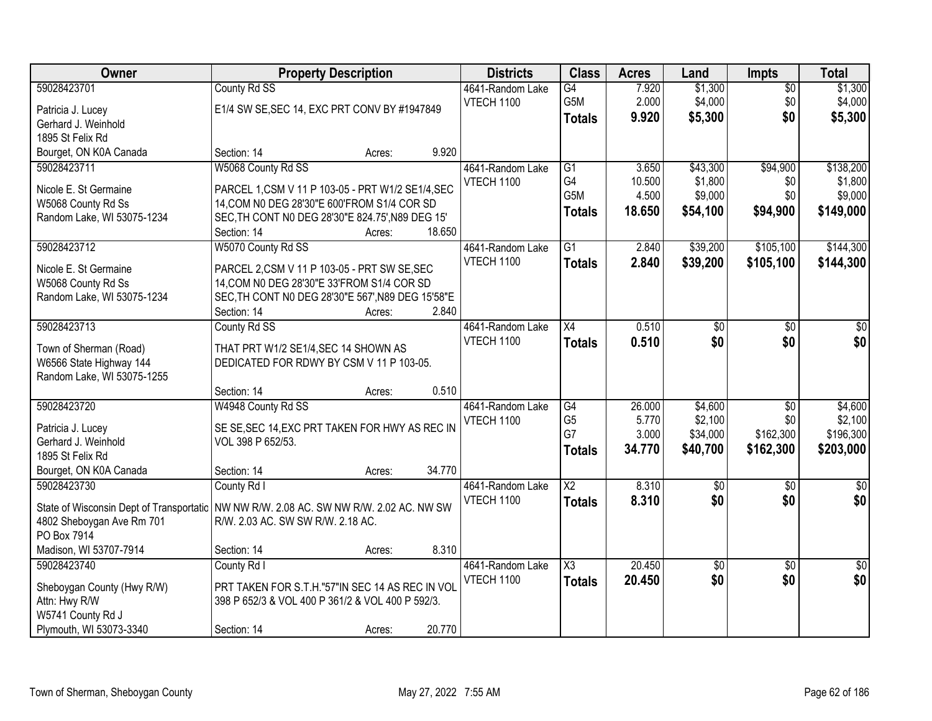| Owner                                                                                                                         | <b>Property Description</b>                                                                                                                                                             |                  | <b>Districts</b>                      | <b>Class</b>                                             | <b>Acres</b>                       | Land                                       | <b>Impts</b>                                     | <b>Total</b>                                 |
|-------------------------------------------------------------------------------------------------------------------------------|-----------------------------------------------------------------------------------------------------------------------------------------------------------------------------------------|------------------|---------------------------------------|----------------------------------------------------------|------------------------------------|--------------------------------------------|--------------------------------------------------|----------------------------------------------|
| 59028423701<br>Patricia J. Lucey<br>Gerhard J. Weinhold                                                                       | County Rd SS<br>E1/4 SW SE, SEC 14, EXC PRT CONV BY #1947849                                                                                                                            |                  | 4641-Random Lake<br><b>VTECH 1100</b> | G4<br>G5M<br><b>Totals</b>                               | 7.920<br>2.000<br>9.920            | \$1,300<br>\$4,000<br>\$5,300              | $\overline{50}$<br>\$0<br>\$0                    | \$1,300<br>\$4,000<br>\$5,300                |
| 1895 St Felix Rd<br>Bourget, ON K0A Canada                                                                                    | Section: 14                                                                                                                                                                             | 9.920<br>Acres:  |                                       |                                                          |                                    |                                            |                                                  |                                              |
| 59028423711<br>Nicole E. St Germaine<br>W5068 County Rd Ss<br>Random Lake, WI 53075-1234                                      | W5068 County Rd SS<br>PARCEL 1,CSM V 11 P 103-05 - PRT W1/2 SE1/4,SEC<br>14, COM N0 DEG 28'30"E 600'FROM S1/4 COR SD<br>SEC, TH CONT N0 DEG 28'30"E 824.75', N89 DEG 15'<br>Section: 14 | 18.650<br>Acres: | 4641-Random Lake<br><b>VTECH 1100</b> | G1<br>G4<br>G5M<br><b>Totals</b>                         | 3.650<br>10.500<br>4.500<br>18.650 | \$43,300<br>\$1,800<br>\$9,000<br>\$54,100 | \$94,900<br>\$0<br>\$0<br>\$94,900               | \$138,200<br>\$1,800<br>\$9,000<br>\$149,000 |
| 59028423712<br>Nicole E. St Germaine<br>W5068 County Rd Ss<br>Random Lake, WI 53075-1234                                      | W5070 County Rd SS<br>PARCEL 2,CSM V 11 P 103-05 - PRT SW SE, SEC<br>14, COM N0 DEG 28'30"E 33'FROM S1/4 COR SD<br>SEC, TH CONT N0 DEG 28'30"E 567', N89 DEG 15'58"E<br>Section: 14     | 2.840<br>Acres:  | 4641-Random Lake<br><b>VTECH 1100</b> | G1<br><b>Totals</b>                                      | 2.840<br>2.840                     | \$39,200<br>\$39,200                       | \$105,100<br>\$105,100                           | \$144,300<br>\$144,300                       |
| 59028423713<br>Town of Sherman (Road)<br>W6566 State Highway 144<br>Random Lake, WI 53075-1255                                | County Rd SS<br>THAT PRT W1/2 SE1/4, SEC 14 SHOWN AS<br>DEDICATED FOR RDWY BY CSM V 11 P 103-05.<br>Section: 14                                                                         | 0.510<br>Acres:  | 4641-Random Lake<br>VTECH 1100        | X4<br><b>Totals</b>                                      | 0.510<br>0.510                     | \$0<br>\$0                                 | \$0<br>\$0                                       | \$0<br>\$0                                   |
| 59028423720<br>Patricia J. Lucey<br>Gerhard J. Weinhold<br>1895 St Felix Rd<br>Bourget, ON K0A Canada                         | W4948 County Rd SS<br>SE SE, SEC 14, EXC PRT TAKEN FOR HWY AS REC IN<br>VOL 398 P 652/53.<br>Section: 14                                                                                | 34.770<br>Acres: | 4641-Random Lake<br><b>VTECH 1100</b> | $\overline{G4}$<br>G <sub>5</sub><br>G7<br><b>Totals</b> | 26.000<br>5.770<br>3.000<br>34.770 | \$4,600<br>\$2,100<br>\$34,000<br>\$40,700 | $\overline{50}$<br>\$0<br>\$162,300<br>\$162,300 | \$4,600<br>\$2,100<br>\$196,300<br>\$203,000 |
| 59028423730<br>State of Wisconsin Dept of Transportatic<br>4802 Sheboygan Ave Rm 701<br>PO Box 7914<br>Madison, WI 53707-7914 | County Rd I<br>NW NW R/W. 2.08 AC. SW NW R/W. 2.02 AC. NW SW<br>R/W. 2.03 AC. SW SW R/W. 2.18 AC.<br>Section: 14                                                                        | 8.310<br>Acres:  | 4641-Random Lake<br>VTECH 1100        | $\overline{\text{X2}}$<br><b>Totals</b>                  | 8.310<br>8.310                     | \$0<br>\$0                                 | $\sqrt{6}$<br>\$0                                | $\frac{1}{6}$<br>\$0                         |
| 59028423740<br>Sheboygan County (Hwy R/W)<br>Attn: Hwy R/W<br>W5741 County Rd J<br>Plymouth, WI 53073-3340                    | County Rd I<br>PRT TAKEN FOR S.T.H."57"IN SEC 14 AS REC IN VOL<br>398 P 652/3 & VOL 400 P 361/2 & VOL 400 P 592/3.<br>Section: 14                                                       | 20.770<br>Acres: | 4641-Random Lake<br><b>VTECH 1100</b> | X3<br><b>Totals</b>                                      | 20.450<br>20.450                   | \$0<br>\$0                                 | $\overline{50}$<br>\$0                           | \$0<br>\$0                                   |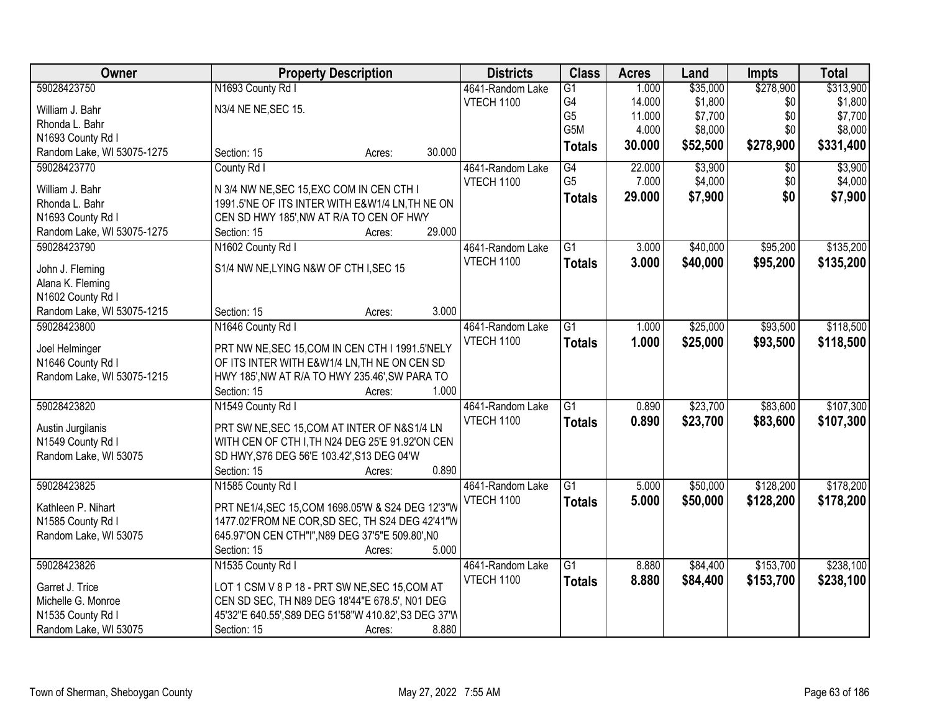| <b>Owner</b>               | <b>Property Description</b>                           |        |        | <b>Districts</b>                      | <b>Class</b>    | <b>Acres</b> | Land     | <b>Impts</b> | <b>Total</b> |
|----------------------------|-------------------------------------------------------|--------|--------|---------------------------------------|-----------------|--------------|----------|--------------|--------------|
| 59028423750                | N1693 County Rd I                                     |        |        | 4641-Random Lake                      | $\overline{G1}$ | 1.000        | \$35,000 | \$278,900    | \$313,900    |
| William J. Bahr            | N3/4 NE NE, SEC 15.                                   |        |        | VTECH 1100                            | G4              | 14.000       | \$1,800  | \$0          | \$1,800      |
| Rhonda L. Bahr             |                                                       |        |        |                                       | G <sub>5</sub>  | 11.000       | \$7,700  | \$0          | \$7,700      |
| N1693 County Rd I          |                                                       |        |        |                                       | G5M             | 4.000        | \$8,000  | \$0          | \$8,000      |
| Random Lake, WI 53075-1275 | Section: 15                                           | Acres: | 30.000 |                                       | <b>Totals</b>   | 30.000       | \$52,500 | \$278,900    | \$331,400    |
| 59028423770                | County Rd I                                           |        |        | 4641-Random Lake                      | G4              | 22.000       | \$3,900  | \$0          | \$3,900      |
| William J. Bahr            | N 3/4 NW NE, SEC 15, EXC COM IN CEN CTH I             |        |        | VTECH 1100                            | G <sub>5</sub>  | 7.000        | \$4,000  | \$0          | \$4,000      |
| Rhonda L. Bahr             | 1991.5'NE OF ITS INTER WITH E&W1/4 LN, TH NE ON       |        |        |                                       | <b>Totals</b>   | 29.000       | \$7,900  | \$0          | \$7,900      |
| N1693 County Rd I          | CEN SD HWY 185', NW AT R/A TO CEN OF HWY              |        |        |                                       |                 |              |          |              |              |
| Random Lake, WI 53075-1275 | Section: 15                                           | Acres: | 29.000 |                                       |                 |              |          |              |              |
| 59028423790                | N1602 County Rd I                                     |        |        | 4641-Random Lake                      | $\overline{G1}$ | 3.000        | \$40,000 | \$95,200     | \$135,200    |
|                            |                                                       |        |        | <b>VTECH 1100</b>                     | <b>Totals</b>   | 3.000        | \$40,000 | \$95,200     | \$135,200    |
| John J. Fleming            | S1/4 NW NE, LYING N&W OF CTH I, SEC 15                |        |        |                                       |                 |              |          |              |              |
| Alana K. Fleming           |                                                       |        |        |                                       |                 |              |          |              |              |
| N1602 County Rd I          |                                                       |        |        |                                       |                 |              |          |              |              |
| Random Lake, WI 53075-1215 | Section: 15                                           | Acres: | 3.000  |                                       |                 |              |          |              |              |
| 59028423800                | N1646 County Rd I                                     |        |        | 4641-Random Lake                      | $\overline{G1}$ | 1.000        | \$25,000 | \$93,500     | \$118,500    |
| Joel Helminger             | PRT NW NE, SEC 15, COM IN CEN CTH I 1991.5'NELY       |        |        | <b>VTECH 1100</b>                     | <b>Totals</b>   | 1.000        | \$25,000 | \$93,500     | \$118,500    |
| N1646 County Rd I          | OF ITS INTER WITH E&W1/4 LN, TH NE ON CEN SD          |        |        |                                       |                 |              |          |              |              |
| Random Lake, WI 53075-1215 | HWY 185', NW AT R/A TO HWY 235.46', SW PARA TO        |        |        |                                       |                 |              |          |              |              |
|                            | Section: 15                                           | Acres: | 1.000  |                                       |                 |              |          |              |              |
| 59028423820                | N1549 County Rd I                                     |        |        | 4641-Random Lake                      | $\overline{G1}$ | 0.890        | \$23,700 | \$83,600     | \$107,300    |
|                            |                                                       |        |        | VTECH 1100                            | <b>Totals</b>   | 0.890        | \$23,700 | \$83,600     | \$107,300    |
| Austin Jurgilanis          | PRT SW NE, SEC 15, COM AT INTER OF N&S1/4 LN          |        |        |                                       |                 |              |          |              |              |
| N1549 County Rd I          | WITH CEN OF CTH I, TH N24 DEG 25'E 91.92'ON CEN       |        |        |                                       |                 |              |          |              |              |
| Random Lake, WI 53075      | SD HWY, S76 DEG 56'E 103.42', S13 DEG 04'W            |        | 0.890  |                                       |                 |              |          |              |              |
|                            | Section: 15                                           | Acres: |        |                                       |                 |              |          |              |              |
| 59028423825                | N1585 County Rd I                                     |        |        | 4641-Random Lake<br><b>VTECH 1100</b> | G1              | 5.000        | \$50,000 | \$128,200    | \$178,200    |
| Kathleen P. Nihart         | PRT NE1/4, SEC 15, COM 1698.05'W & S24 DEG 12'3"W     |        |        |                                       | <b>Totals</b>   | 5.000        | \$50,000 | \$128,200    | \$178,200    |
| N1585 County Rd I          | 1477.02'FROM NE COR, SD SEC, TH S24 DEG 42'41"W       |        |        |                                       |                 |              |          |              |              |
| Random Lake, WI 53075      | 645.97'ON CEN CTH"I", N89 DEG 37'5"E 509.80', N0      |        |        |                                       |                 |              |          |              |              |
|                            | Section: 15                                           | Acres: | 5.000  |                                       |                 |              |          |              |              |
| 59028423826                | N1535 County Rd I                                     |        |        | 4641-Random Lake                      | $\overline{G1}$ | 8.880        | \$84,400 | \$153,700    | \$238,100    |
| Garret J. Trice            | LOT 1 CSM V 8 P 18 - PRT SW NE, SEC 15, COM AT        |        |        | VTECH 1100                            | <b>Totals</b>   | 8.880        | \$84,400 | \$153,700    | \$238,100    |
| Michelle G. Monroe         | CEN SD SEC, TH N89 DEG 18'44"E 678.5', N01 DEG        |        |        |                                       |                 |              |          |              |              |
| N1535 County Rd I          | 45'32"E 640.55', S89 DEG 51'58"W 410.82', S3 DEG 37'W |        |        |                                       |                 |              |          |              |              |
| Random Lake, WI 53075      | Section: 15                                           | Acres: | 8.880  |                                       |                 |              |          |              |              |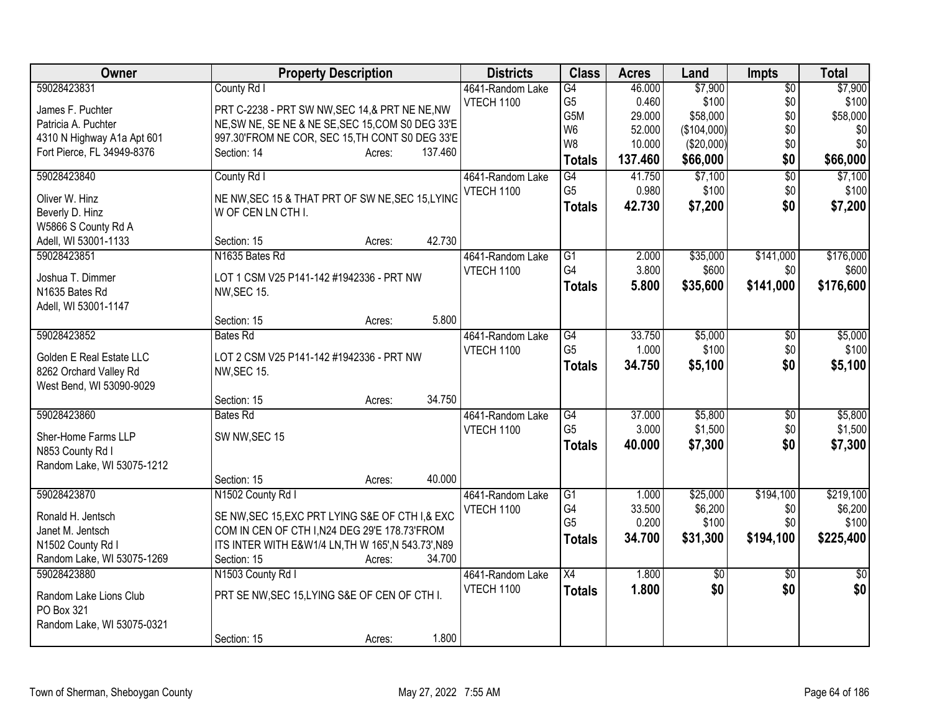| Owner                                          | <b>Property Description</b>                         | <b>Districts</b>               | <b>Class</b>          | <b>Acres</b>     | Land                    | <b>Impts</b>           | <b>Total</b>     |
|------------------------------------------------|-----------------------------------------------------|--------------------------------|-----------------------|------------------|-------------------------|------------------------|------------------|
| 59028423831                                    | County Rd I                                         | 4641-Random Lake               | G4                    | 46.000           | \$7,900                 | $\overline{50}$        | \$7,900          |
| James F. Puchter                               | PRT C-2238 - PRT SW NW, SEC 14, & PRT NE NE, NW     | VTECH 1100                     | G <sub>5</sub>        | 0.460            | \$100                   | \$0                    | \$100            |
| Patricia A. Puchter                            | NE, SW NE, SE NE & NE SE, SEC 15, COM S0 DEG 33'E   |                                | G5M<br>W <sub>6</sub> | 29.000<br>52.000 | \$58,000<br>(\$104,000) | \$0                    | \$58,000         |
| 4310 N Highway A1a Apt 601                     | 997.30'FROM NE COR, SEC 15, TH CONT S0 DEG 33'E     |                                | W8                    | 10.000           | (\$20,000)              | \$0<br>\$0             | \$0<br>\$0       |
| Fort Pierce, FL 34949-8376                     | 137.460<br>Section: 14<br>Acres:                    |                                | <b>Totals</b>         | 137.460          | \$66,000                | \$0                    | \$66,000         |
|                                                |                                                     |                                |                       |                  |                         |                        |                  |
| 59028423840                                    | County Rd I                                         | 4641-Random Lake<br>VTECH 1100 | G4<br>G <sub>5</sub>  | 41.750<br>0.980  | \$7,100<br>\$100        | $\overline{50}$<br>\$0 | \$7,100<br>\$100 |
| Oliver W. Hinz                                 | NE NW, SEC 15 & THAT PRT OF SW NE, SEC 15, LYING    |                                |                       | 42.730           | \$7,200                 | \$0                    | \$7,200          |
| Beverly D. Hinz                                | W OF CEN LN CTH I.                                  |                                | <b>Totals</b>         |                  |                         |                        |                  |
| W5866 S County Rd A                            |                                                     |                                |                       |                  |                         |                        |                  |
| Adell, WI 53001-1133                           | 42.730<br>Section: 15<br>Acres:                     |                                |                       |                  |                         |                        |                  |
| 59028423851                                    | N1635 Bates Rd                                      | 4641-Random Lake               | $\overline{G1}$       | 2.000            | \$35,000                | \$141,000              | \$176,000        |
| Joshua T. Dimmer                               | LOT 1 CSM V25 P141-142 #1942336 - PRT NW            | <b>VTECH 1100</b>              | G4                    | 3.800            | \$600                   | \$0                    | \$600            |
| N1635 Bates Rd                                 | <b>NW, SEC 15.</b>                                  |                                | <b>Totals</b>         | 5.800            | \$35,600                | \$141,000              | \$176,600        |
| Adell, WI 53001-1147                           |                                                     |                                |                       |                  |                         |                        |                  |
|                                                | 5.800<br>Section: 15<br>Acres:                      |                                |                       |                  |                         |                        |                  |
| 59028423852                                    | Bates Rd                                            | 4641-Random Lake               | $\overline{G4}$       | 33.750           | \$5,000                 | $\overline{50}$        | \$5,000          |
| Golden E Real Estate LLC                       | LOT 2 CSM V25 P141-142 #1942336 - PRT NW            | <b>VTECH 1100</b>              | G <sub>5</sub>        | 1.000            | \$100                   | \$0                    | \$100            |
| 8262 Orchard Valley Rd                         | <b>NW, SEC 15.</b>                                  |                                | <b>Totals</b>         | 34.750           | \$5,100                 | \$0                    | \$5,100          |
| West Bend, WI 53090-9029                       |                                                     |                                |                       |                  |                         |                        |                  |
|                                                | 34.750<br>Section: 15<br>Acres:                     |                                |                       |                  |                         |                        |                  |
| 59028423860                                    | Bates Rd                                            | 4641-Random Lake               | G4                    | 37.000           | \$5,800                 | $\overline{50}$        | \$5,800          |
|                                                |                                                     | <b>VTECH 1100</b>              | G <sub>5</sub>        | 3.000            | \$1,500                 | \$0                    | \$1,500          |
| Sher-Home Farms LLP                            | SW NW, SEC 15                                       |                                | <b>Totals</b>         | 40.000           | \$7,300                 | \$0                    | \$7,300          |
| N853 County Rd I<br>Random Lake, WI 53075-1212 |                                                     |                                |                       |                  |                         |                        |                  |
|                                                | 40.000<br>Section: 15<br>Acres:                     |                                |                       |                  |                         |                        |                  |
| 59028423870                                    | N1502 County Rd I                                   | 4641-Random Lake               | G1                    | 1.000            | \$25,000                | \$194,100              | \$219,100        |
|                                                |                                                     | VTECH 1100                     | G4                    | 33.500           | \$6,200                 | \$0                    | \$6,200          |
| Ronald H. Jentsch                              | SE NW, SEC 15, EXC PRT LYING S&E OF CTH I, & EXC    |                                | G <sub>5</sub>        | 0.200            | \$100                   | \$0                    | \$100            |
| Janet M. Jentsch                               | COM IN CEN OF CTH I, N24 DEG 29'E 178.73'FROM       |                                | <b>Totals</b>         | 34.700           | \$31,300                | \$194,100              | \$225,400        |
| N1502 County Rd I                              | ITS INTER WITH E&W1/4 LN, TH W 165', N 543.73', N89 |                                |                       |                  |                         |                        |                  |
| Random Lake, WI 53075-1269                     | 34.700<br>Section: 15<br>Acres:                     |                                |                       |                  |                         |                        |                  |
| 59028423880                                    | N1503 County Rd I                                   | 4641-Random Lake               | $\overline{X4}$       | 1.800            | \$0                     | $\overline{50}$        | $\overline{50}$  |
| Random Lake Lions Club                         | PRT SE NW, SEC 15, LYING S&E OF CEN OF CTH I.       | VTECH 1100                     | <b>Totals</b>         | 1.800            | \$0                     | \$0                    | \$0              |
| PO Box 321                                     |                                                     |                                |                       |                  |                         |                        |                  |
| Random Lake, WI 53075-0321                     |                                                     |                                |                       |                  |                         |                        |                  |
|                                                | 1.800<br>Section: 15<br>Acres:                      |                                |                       |                  |                         |                        |                  |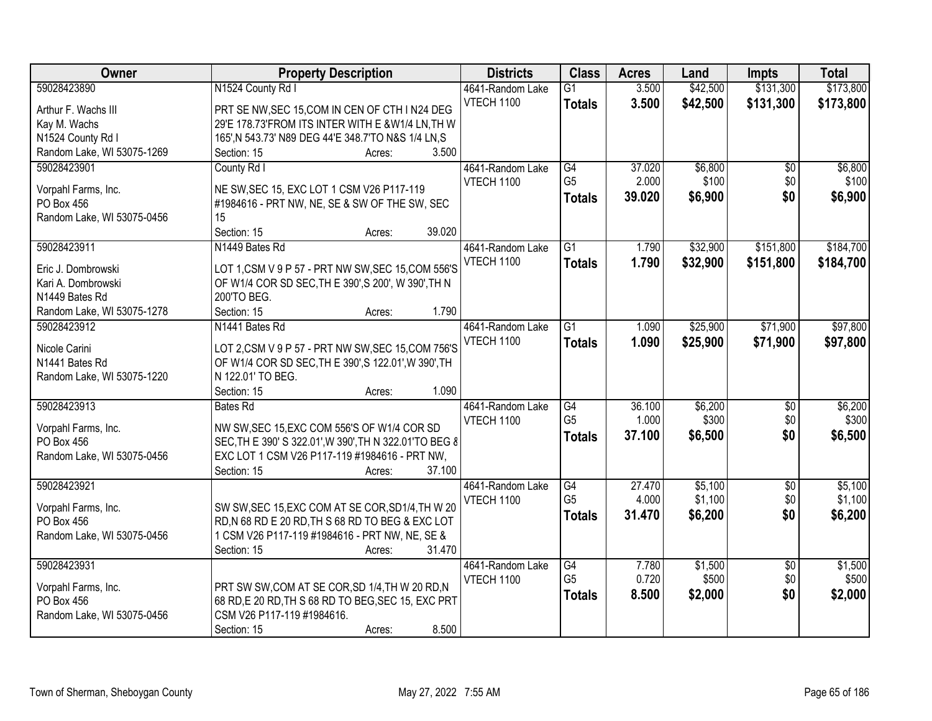| <b>Owner</b>                      | <b>Property Description</b>                                                      | <b>Districts</b>  | <b>Class</b>    | <b>Acres</b> | Land     | <b>Impts</b>    | <b>Total</b> |
|-----------------------------------|----------------------------------------------------------------------------------|-------------------|-----------------|--------------|----------|-----------------|--------------|
| 59028423890                       | N1524 County Rd I                                                                | 4641-Random Lake  | $\overline{G1}$ | 3.500        | \$42,500 | \$131,300       | \$173,800    |
| Arthur F. Wachs III               | PRT SE NW, SEC 15, COM IN CEN OF CTH IN24 DEG                                    | <b>VTECH 1100</b> | <b>Totals</b>   | 3.500        | \$42,500 | \$131,300       | \$173,800    |
| Kay M. Wachs                      | 29'E 178.73'FROM ITS INTER WITH E & W1/4 LN, TH W                                |                   |                 |              |          |                 |              |
| N1524 County Rd I                 | 165', N 543.73' N89 DEG 44'E 348.7'TO N&S 1/4 LN, S                              |                   |                 |              |          |                 |              |
| Random Lake, WI 53075-1269        | 3.500<br>Section: 15<br>Acres:                                                   |                   |                 |              |          |                 |              |
| 59028423901                       | County Rd I                                                                      | 4641-Random Lake  | G4              | 37.020       | \$6,800  | $\overline{50}$ | \$6,800      |
|                                   |                                                                                  | <b>VTECH 1100</b> | G <sub>5</sub>  | 2.000        | \$100    | \$0             | \$100        |
| Vorpahl Farms, Inc.               | NE SW, SEC 15, EXC LOT 1 CSM V26 P117-119                                        |                   | <b>Totals</b>   | 39.020       | \$6,900  | \$0             | \$6,900      |
| PO Box 456                        | #1984616 - PRT NW, NE, SE & SW OF THE SW, SEC                                    |                   |                 |              |          |                 |              |
| Random Lake, WI 53075-0456        | 15<br>Section: 15<br>39.020                                                      |                   |                 |              |          |                 |              |
|                                   | Acres:                                                                           |                   |                 |              |          |                 |              |
| 59028423911                       | N1449 Bates Rd                                                                   | 4641-Random Lake  | $\overline{G1}$ | 1.790        | \$32,900 | \$151,800       | \$184,700    |
| Eric J. Dombrowski                | LOT 1, CSM V 9 P 57 - PRT NW SW, SEC 15, COM 556'S                               | <b>VTECH 1100</b> | <b>Totals</b>   | 1.790        | \$32,900 | \$151,800       | \$184,700    |
| Kari A. Dombrowski                | OF W1/4 COR SD SEC, TH E 390', S 200', W 390', TH N                              |                   |                 |              |          |                 |              |
| N1449 Bates Rd                    | 200'TO BEG.                                                                      |                   |                 |              |          |                 |              |
| Random Lake, WI 53075-1278        | 1.790<br>Section: 15<br>Acres:                                                   |                   |                 |              |          |                 |              |
| 59028423912                       | N <sub>1441</sub> Bates Rd                                                       | 4641-Random Lake  | G1              | 1.090        | \$25,900 | \$71,900        | \$97,800     |
| Nicole Carini                     | LOT 2,CSM V 9 P 57 - PRT NW SW, SEC 15,COM 756'S                                 | VTECH 1100        | <b>Totals</b>   | 1.090        | \$25,900 | \$71,900        | \$97,800     |
| N1441 Bates Rd                    | OF W1/4 COR SD SEC, TH E 390', S 122.01', W 390', TH                             |                   |                 |              |          |                 |              |
| Random Lake, WI 53075-1220        | N 122.01' TO BEG.                                                                |                   |                 |              |          |                 |              |
|                                   | 1.090<br>Section: 15<br>Acres:                                                   |                   |                 |              |          |                 |              |
| 59028423913                       | <b>Bates Rd</b>                                                                  | 4641-Random Lake  | $\overline{G4}$ | 36.100       | \$6,200  | $\overline{50}$ | \$6,200      |
|                                   |                                                                                  | <b>VTECH 1100</b> | G <sub>5</sub>  | 1.000        | \$300    | \$0             | \$300        |
| Vorpahl Farms, Inc.               | NW SW, SEC 15, EXC COM 556'S OF W1/4 COR SD                                      |                   | <b>Totals</b>   | 37.100       | \$6,500  | \$0             | \$6,500      |
| PO Box 456                        | SEC, TH E 390' S 322.01', W 390', TH N 322.01'TO BEG &                           |                   |                 |              |          |                 |              |
| Random Lake, WI 53075-0456        | EXC LOT 1 CSM V26 P117-119 #1984616 - PRT NW,                                    |                   |                 |              |          |                 |              |
|                                   | 37.100<br>Section: 15<br>Acres:                                                  |                   |                 |              |          |                 |              |
| 59028423921                       |                                                                                  | 4641-Random Lake  | G4              | 27.470       | \$5,100  | $\sqrt{$0}$     | \$5,100      |
| Vorpahl Farms, Inc.               | SW SW, SEC 15, EXC COM AT SE COR, SD1/4, TH W 20                                 | VTECH 1100        | G <sub>5</sub>  | 4.000        | \$1,100  | \$0             | \$1,100      |
| PO Box 456                        | RD, N 68 RD E 20 RD, TH S 68 RD TO BEG & EXC LOT                                 |                   | <b>Totals</b>   | 31.470       | \$6,200  | \$0             | \$6,200      |
| Random Lake, WI 53075-0456        | 1 CSM V26 P117-119 #1984616 - PRT NW, NE, SE &                                   |                   |                 |              |          |                 |              |
|                                   | 31.470<br>Section: 15<br>Acres:                                                  |                   |                 |              |          |                 |              |
| 59028423931                       |                                                                                  | 4641-Random Lake  | G4              | 7.780        | \$1,500  | $\overline{30}$ | \$1,500      |
|                                   |                                                                                  | VTECH 1100        | G <sub>5</sub>  | 0.720        | \$500    | \$0             | \$500        |
| Vorpahl Farms, Inc.<br>PO Box 456 | PRT SW SW, COM AT SE COR, SD 1/4, TH W 20 RD, N                                  |                   | <b>Totals</b>   | 8.500        | \$2,000  | \$0             | \$2,000      |
| Random Lake, WI 53075-0456        | 68 RD, E 20 RD, TH S 68 RD TO BEG, SEC 15, EXC PRT<br>CSM V26 P117-119 #1984616. |                   |                 |              |          |                 |              |
|                                   | 8.500<br>Section: 15<br>Acres:                                                   |                   |                 |              |          |                 |              |
|                                   |                                                                                  |                   |                 |              |          |                 |              |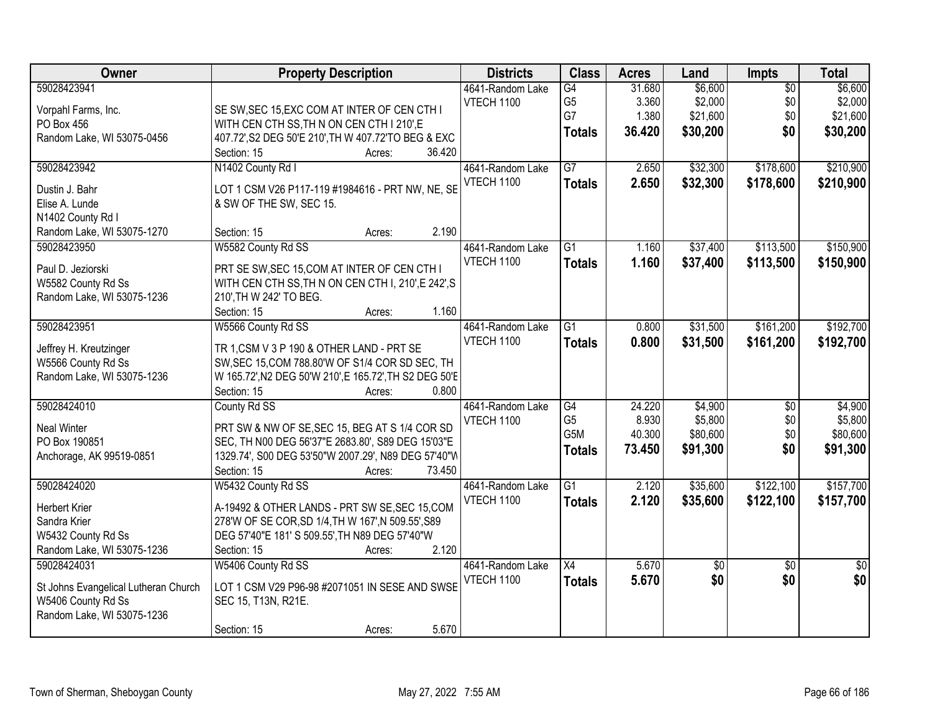| <b>Owner</b>                                                                                                       | <b>Property Description</b>                                                                                                                                                                                                                      | <b>Districts</b>                      | <b>Class</b>                                              | <b>Acres</b>                        | Land                                       | <b>Impts</b>                         | <b>Total</b>                               |
|--------------------------------------------------------------------------------------------------------------------|--------------------------------------------------------------------------------------------------------------------------------------------------------------------------------------------------------------------------------------------------|---------------------------------------|-----------------------------------------------------------|-------------------------------------|--------------------------------------------|--------------------------------------|--------------------------------------------|
| 59028423941<br>Vorpahl Farms, Inc.<br>PO Box 456<br>Random Lake, WI 53075-0456                                     | SE SW, SEC 15, EXC COM AT INTER OF CEN CTH I<br>WITH CEN CTH SS, TH N ON CEN CTH I 210', E<br>407.72', S2 DEG 50'E 210', TH W 407.72'TO BEG & EXC                                                                                                | 4641-Random Lake<br>VTECH 1100        | G4<br>G <sub>5</sub><br>G7<br><b>Totals</b>               | 31.680<br>3.360<br>1.380<br>36.420  | \$6,600<br>\$2,000<br>\$21,600<br>\$30,200 | $\overline{50}$<br>\$0<br>\$0<br>\$0 | \$6,600<br>\$2,000<br>\$21,600<br>\$30,200 |
| 59028423942<br>Dustin J. Bahr<br>Elise A. Lunde<br>N1402 County Rd I                                               | Section: 15<br>36.420<br>Acres:<br>N1402 County Rd I<br>LOT 1 CSM V26 P117-119 #1984616 - PRT NW, NE, SE<br>& SW OF THE SW, SEC 15.                                                                                                              | 4641-Random Lake<br>VTECH 1100        | $\overline{G7}$<br><b>Totals</b>                          | 2.650<br>2.650                      | \$32,300<br>\$32,300                       | \$178,600<br>\$178,600               | \$210,900<br>\$210,900                     |
| Random Lake, WI 53075-1270<br>59028423950<br>Paul D. Jeziorski<br>W5582 County Rd Ss<br>Random Lake, WI 53075-1236 | 2.190<br>Section: 15<br>Acres:<br>W5582 County Rd SS<br>PRT SE SW, SEC 15, COM AT INTER OF CEN CTH I<br>WITH CEN CTH SS, TH N ON CEN CTH I, 210', E 242', S<br>210', TH W 242' TO BEG.                                                           | 4641-Random Lake<br>VTECH 1100        | $\overline{G1}$<br><b>Totals</b>                          | 1.160<br>1.160                      | \$37,400<br>\$37,400                       | \$113,500<br>\$113,500               | \$150,900<br>\$150,900                     |
| 59028423951<br>Jeffrey H. Kreutzinger<br>W5566 County Rd Ss<br>Random Lake, WI 53075-1236                          | Section: 15<br>1.160<br>Acres:<br>W5566 County Rd SS<br>TR 1, CSM V 3 P 190 & OTHER LAND - PRT SE<br>SW, SEC 15, COM 788.80'W OF S1/4 COR SD SEC, TH<br>W 165.72', N2 DEG 50'W 210', E 165.72', TH S2 DEG 50'E<br>0.800<br>Section: 15<br>Acres: | 4641-Random Lake<br>VTECH 1100        | G1<br><b>Totals</b>                                       | 0.800<br>0.800                      | \$31,500<br>\$31,500                       | \$161,200<br>\$161,200               | \$192,700<br>\$192,700                     |
| 59028424010<br><b>Neal Winter</b><br>PO Box 190851<br>Anchorage, AK 99519-0851                                     | County Rd SS<br>PRT SW & NW OF SE, SEC 15, BEG AT S 1/4 COR SD<br>SEC, TH N00 DEG 56'37"E 2683.80', S89 DEG 15'03"E<br>1329.74', S00 DEG 53'50"W 2007.29', N89 DEG 57'40"W<br>Section: 15<br>73.450<br>Acres:                                    | 4641-Random Lake<br>VTECH 1100        | $\overline{G4}$<br>G <sub>5</sub><br>G5M<br><b>Totals</b> | 24.220<br>8.930<br>40.300<br>73.450 | \$4,900<br>\$5,800<br>\$80,600<br>\$91,300 | $\overline{50}$<br>\$0<br>\$0<br>\$0 | \$4,900<br>\$5,800<br>\$80,600<br>\$91,300 |
| 59028424020<br><b>Herbert Krier</b><br>Sandra Krier<br>W5432 County Rd Ss<br>Random Lake, WI 53075-1236            | W5432 County Rd SS<br>A-19492 & OTHER LANDS - PRT SW SE, SEC 15, COM<br>278'W OF SE COR, SD 1/4, TH W 167', N 509.55', S89<br>DEG 57'40"E 181' S 509.55', TH N89 DEG 57'40"W<br>2.120<br>Section: 15<br>Acres:                                   | 4641-Random Lake<br>VTECH 1100        | G1<br><b>Totals</b>                                       | 2.120<br>2.120                      | \$35,600<br>\$35,600                       | \$122,100<br>\$122,100               | \$157,700<br>\$157,700                     |
| 59028424031<br>St Johns Evangelical Lutheran Church<br>W5406 County Rd Ss<br>Random Lake, WI 53075-1236            | W5406 County Rd SS<br>LOT 1 CSM V29 P96-98 #2071051 IN SESE AND SWSE<br>SEC 15, T13N, R21E.<br>5.670<br>Section: 15<br>Acres:                                                                                                                    | 4641-Random Lake<br><b>VTECH 1100</b> | X4<br><b>Totals</b>                                       | 5.670<br>5.670                      | \$0<br>\$0                                 | $\overline{50}$<br>\$0               | $\overline{50}$<br>\$0                     |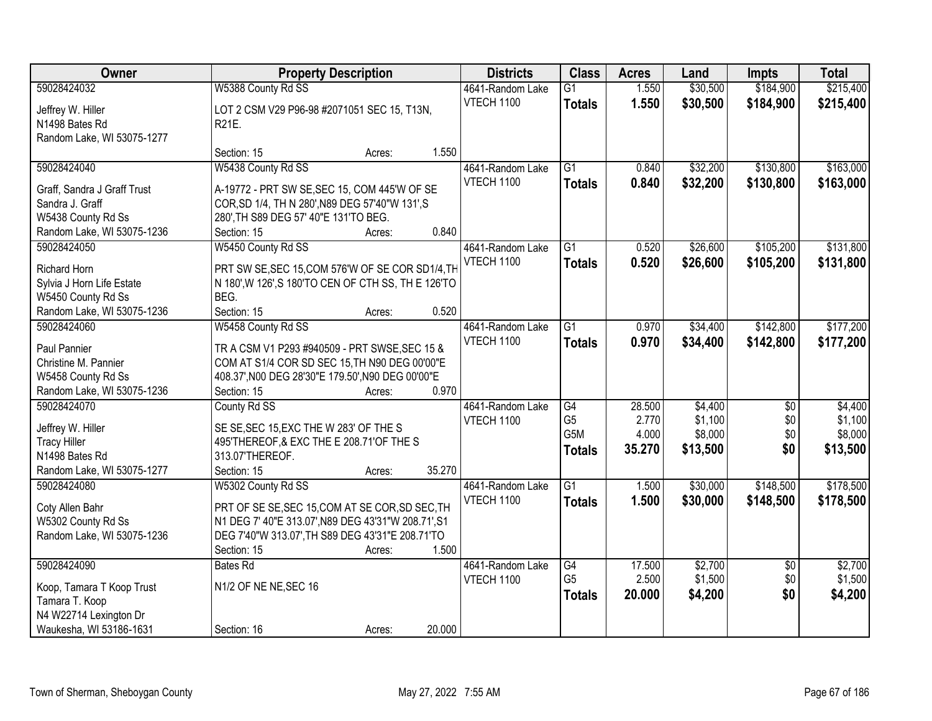| Owner                       | <b>Property Description</b>                                   | <b>Districts</b>                      | <b>Class</b>    | <b>Acres</b> | Land     | <b>Impts</b>    | <b>Total</b> |
|-----------------------------|---------------------------------------------------------------|---------------------------------------|-----------------|--------------|----------|-----------------|--------------|
| 59028424032                 | W5388 County Rd SS                                            | 4641-Random Lake                      | $\overline{G1}$ | 1.550        | \$30,500 | \$184,900       | \$215,400    |
| Jeffrey W. Hiller           | LOT 2 CSM V29 P96-98 #2071051 SEC 15, T13N,                   | <b>VTECH 1100</b>                     | <b>Totals</b>   | 1.550        | \$30,500 | \$184,900       | \$215,400    |
| N1498 Bates Rd              | R21E.                                                         |                                       |                 |              |          |                 |              |
| Random Lake, WI 53075-1277  |                                                               |                                       |                 |              |          |                 |              |
|                             | 1.550<br>Section: 15<br>Acres:                                |                                       |                 |              |          |                 |              |
| 59028424040                 | W5438 County Rd SS                                            | 4641-Random Lake                      | $\overline{G1}$ | 0.840        | \$32,200 | \$130,800       | \$163,000    |
|                             |                                                               | <b>VTECH 1100</b>                     | <b>Totals</b>   | 0.840        | \$32,200 | \$130,800       | \$163,000    |
| Graff, Sandra J Graff Trust | A-19772 - PRT SW SE, SEC 15, COM 445'W OF SE                  |                                       |                 |              |          |                 |              |
| Sandra J. Graff             | COR, SD 1/4, TH N 280', N89 DEG 57'40"W 131', S               |                                       |                 |              |          |                 |              |
| W5438 County Rd Ss          | 280', TH S89 DEG 57' 40"E 131'TO BEG.<br>0.840<br>Section: 15 |                                       |                 |              |          |                 |              |
| Random Lake, WI 53075-1236  | Acres:                                                        |                                       |                 |              | \$26,600 | \$105,200       |              |
| 59028424050                 | W5450 County Rd SS                                            | 4641-Random Lake<br><b>VTECH 1100</b> | G1              | 0.520        |          |                 | \$131,800    |
| <b>Richard Horn</b>         | PRT SW SE, SEC 15, COM 576'W OF SE COR SD1/4, TH              |                                       | <b>Totals</b>   | 0.520        | \$26,600 | \$105,200       | \$131,800    |
| Sylvia J Horn Life Estate   | N 180', W 126', S 180'TO CEN OF CTH SS, TH E 126'TO           |                                       |                 |              |          |                 |              |
| W5450 County Rd Ss          | BEG.                                                          |                                       |                 |              |          |                 |              |
| Random Lake, WI 53075-1236  | 0.520<br>Section: 15<br>Acres:                                |                                       |                 |              |          |                 |              |
| 59028424060                 | W5458 County Rd SS                                            | 4641-Random Lake                      | G1              | 0.970        | \$34,400 | \$142,800       | \$177,200    |
| Paul Pannier                | TR A CSM V1 P293 #940509 - PRT SWSE, SEC 15 &                 | <b>VTECH 1100</b>                     | <b>Totals</b>   | 0.970        | \$34,400 | \$142,800       | \$177,200    |
| Christine M. Pannier        | COM AT S1/4 COR SD SEC 15, TH N90 DEG 00'00"E                 |                                       |                 |              |          |                 |              |
| W5458 County Rd Ss          | 408.37', N00 DEG 28'30"E 179.50', N90 DEG 00'00"E             |                                       |                 |              |          |                 |              |
| Random Lake, WI 53075-1236  | 0.970<br>Section: 15<br>Acres:                                |                                       |                 |              |          |                 |              |
| 59028424070                 | County Rd SS                                                  | 4641-Random Lake                      | $\overline{G4}$ | 28.500       | \$4,400  | $\overline{50}$ | \$4,400      |
|                             |                                                               | <b>VTECH 1100</b>                     | G <sub>5</sub>  | 2.770        | \$1,100  | \$0             | \$1,100      |
| Jeffrey W. Hiller           | SE SE, SEC 15, EXC THE W 283' OF THE S                        |                                       | G5M             | 4.000        | \$8,000  | \$0             | \$8,000      |
| <b>Tracy Hiller</b>         | 495'THEREOF, & EXC THE E 208.71'OF THE S                      |                                       | <b>Totals</b>   | 35.270       | \$13,500 | \$0             | \$13,500     |
| N1498 Bates Rd              | 313.07'THEREOF.                                               |                                       |                 |              |          |                 |              |
| Random Lake, WI 53075-1277  | 35.270<br>Section: 15<br>Acres:                               |                                       |                 |              |          |                 |              |
| 59028424080                 | W5302 County Rd SS                                            | 4641-Random Lake                      | $\overline{G1}$ | 1.500        | \$30,000 | \$148,500       | \$178,500    |
| Coty Allen Bahr             | PRT OF SE SE, SEC 15, COM AT SE COR, SD SEC, TH               | <b>VTECH 1100</b>                     | <b>Totals</b>   | 1.500        | \$30,000 | \$148,500       | \$178,500    |
| W5302 County Rd Ss          | N1 DEG 7' 40"E 313.07', N89 DEG 43'31"W 208.71', S1           |                                       |                 |              |          |                 |              |
| Random Lake, WI 53075-1236  | DEG 7'40"W 313.07', TH S89 DEG 43'31"E 208.71'TO              |                                       |                 |              |          |                 |              |
|                             | 1.500<br>Section: 15<br>Acres:                                |                                       |                 |              |          |                 |              |
| 59028424090                 | <b>Bates Rd</b>                                               | 4641-Random Lake                      | $\overline{G4}$ | 17.500       | \$2,700  | $\overline{50}$ | \$2,700      |
|                             |                                                               | <b>VTECH 1100</b>                     | G <sub>5</sub>  | 2.500        | \$1,500  | \$0             | \$1,500      |
| Koop, Tamara T Koop Trust   | N1/2 OF NE NE, SEC 16                                         |                                       | <b>Totals</b>   | 20.000       | \$4,200  | \$0             | \$4,200      |
| Tamara T. Koop              |                                                               |                                       |                 |              |          |                 |              |
| N4 W22714 Lexington Dr      |                                                               |                                       |                 |              |          |                 |              |
| Waukesha, WI 53186-1631     | 20.000<br>Section: 16<br>Acres:                               |                                       |                 |              |          |                 |              |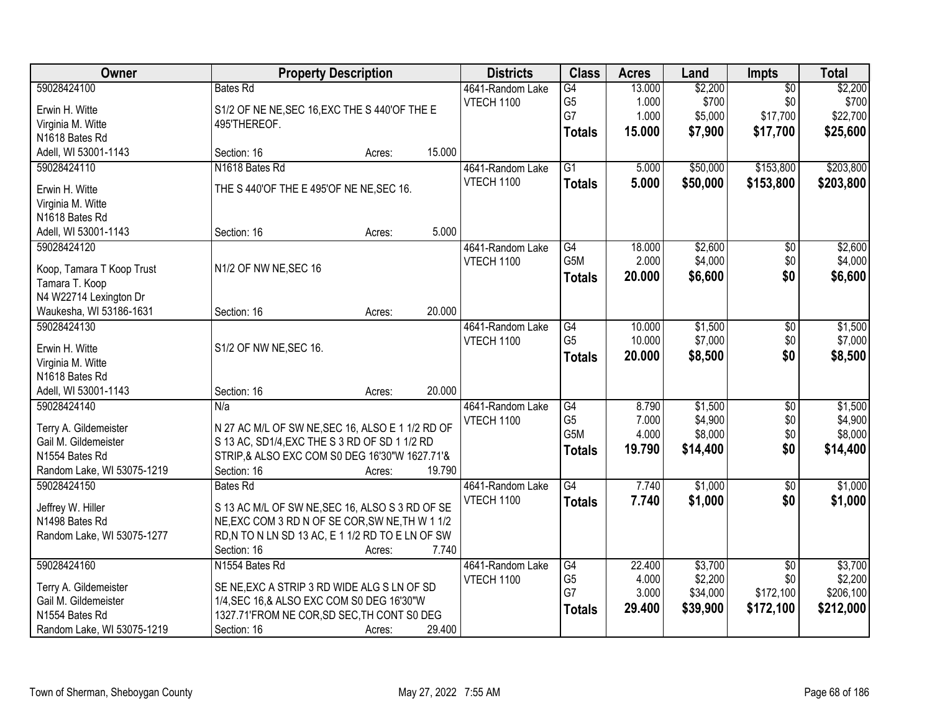| Owner                      | <b>Property Description</b>                      |        |        | <b>Districts</b>  | <b>Class</b>    | <b>Acres</b> | Land     | <b>Impts</b>    | <b>Total</b> |
|----------------------------|--------------------------------------------------|--------|--------|-------------------|-----------------|--------------|----------|-----------------|--------------|
| 59028424100                | <b>Bates Rd</b>                                  |        |        | 4641-Random Lake  | G4              | 13.000       | \$2,200  | $\overline{50}$ | \$2,200      |
| Erwin H. Witte             | S1/2 OF NE NE, SEC 16, EXC THE S 440'OF THE E    |        |        | VTECH 1100        | G <sub>5</sub>  | 1.000        | \$700    | \$0             | \$700        |
| Virginia M. Witte          | 495'THEREOF.                                     |        |        |                   | G7              | 1.000        | \$5,000  | \$17,700        | \$22,700     |
| N1618 Bates Rd             |                                                  |        |        |                   | <b>Totals</b>   | 15.000       | \$7,900  | \$17,700        | \$25,600     |
| Adell, WI 53001-1143       | Section: 16                                      | Acres: | 15.000 |                   |                 |              |          |                 |              |
| 59028424110                | N1618 Bates Rd                                   |        |        | 4641-Random Lake  | $\overline{G1}$ | 5.000        | \$50,000 | \$153,800       | \$203,800    |
|                            |                                                  |        |        | <b>VTECH 1100</b> | <b>Totals</b>   | 5.000        | \$50,000 | \$153,800       | \$203,800    |
| Erwin H. Witte             | THE S 440'OF THE E 495'OF NE NE, SEC 16.         |        |        |                   |                 |              |          |                 |              |
| Virginia M. Witte          |                                                  |        |        |                   |                 |              |          |                 |              |
| N1618 Bates Rd             |                                                  |        |        |                   |                 |              |          |                 |              |
| Adell, WI 53001-1143       | Section: 16                                      | Acres: | 5.000  |                   |                 |              |          |                 |              |
| 59028424120                |                                                  |        |        | 4641-Random Lake  | G4              | 18.000       | \$2,600  | $\overline{50}$ | \$2,600      |
| Koop, Tamara T Koop Trust  | N1/2 OF NW NE, SEC 16                            |        |        | <b>VTECH 1100</b> | G5M             | 2.000        | \$4,000  | \$0             | \$4,000      |
| Tamara T. Koop             |                                                  |        |        |                   | <b>Totals</b>   | 20.000       | \$6,600  | \$0             | \$6,600      |
| N4 W22714 Lexington Dr     |                                                  |        |        |                   |                 |              |          |                 |              |
| Waukesha, WI 53186-1631    | Section: 16                                      | Acres: | 20.000 |                   |                 |              |          |                 |              |
| 59028424130                |                                                  |        |        | 4641-Random Lake  | $\overline{G4}$ | 10.000       | \$1,500  | \$0             | \$1,500      |
|                            |                                                  |        |        | VTECH 1100        | G <sub>5</sub>  | 10.000       | \$7,000  | \$0             | \$7,000      |
| Erwin H. Witte             | S1/2 OF NW NE, SEC 16.                           |        |        |                   | <b>Totals</b>   | 20.000       | \$8,500  | \$0             | \$8,500      |
| Virginia M. Witte          |                                                  |        |        |                   |                 |              |          |                 |              |
| N1618 Bates Rd             |                                                  |        |        |                   |                 |              |          |                 |              |
| Adell, WI 53001-1143       | Section: 16                                      | Acres: | 20.000 |                   |                 |              |          |                 |              |
| 59028424140                | N/a                                              |        |        | 4641-Random Lake  | $\overline{G4}$ | 8.790        | \$1,500  | $\overline{30}$ | \$1,500      |
| Terry A. Gildemeister      | N 27 AC M/L OF SW NE, SEC 16, ALSO E 1 1/2 RD OF |        |        | <b>VTECH 1100</b> | G <sub>5</sub>  | 7.000        | \$4,900  | \$0             | \$4,900      |
| Gail M. Gildemeister       | S 13 AC, SD1/4, EXC THE S 3 RD OF SD 1 1/2 RD    |        |        |                   | G5M             | 4.000        | \$8,000  | \$0             | \$8,000      |
| N1554 Bates Rd             | STRIP,& ALSO EXC COM S0 DEG 16'30"W 1627.71'&    |        |        |                   | <b>Totals</b>   | 19.790       | \$14,400 | \$0             | \$14,400     |
| Random Lake, WI 53075-1219 | Section: 16                                      | Acres: | 19.790 |                   |                 |              |          |                 |              |
| 59028424150                | <b>Bates Rd</b>                                  |        |        | 4641-Random Lake  | G4              | 7.740        | \$1,000  | $\overline{60}$ | \$1,000      |
|                            |                                                  |        |        | <b>VTECH 1100</b> | <b>Totals</b>   | 7.740        | \$1,000  | \$0             | \$1,000      |
| Jeffrey W. Hiller          | S 13 AC M/L OF SW NE, SEC 16, ALSO S 3 RD OF SE  |        |        |                   |                 |              |          |                 |              |
| N1498 Bates Rd             | NE, EXC COM 3 RD N OF SE COR, SW NE, TH W 1 1/2  |        |        |                   |                 |              |          |                 |              |
| Random Lake, WI 53075-1277 | RD, N TO N LN SD 13 AC, E 1 1/2 RD TO E LN OF SW |        |        |                   |                 |              |          |                 |              |
|                            | Section: 16                                      | Acres: | 7.740  |                   |                 |              |          |                 |              |
| 59028424160                | N1554 Bates Rd                                   |        |        | 4641-Random Lake  | G4              | 22.400       | \$3,700  | $\overline{50}$ | \$3,700      |
| Terry A. Gildemeister      | SE NE, EXC A STRIP 3 RD WIDE ALG S LN OF SD      |        |        | <b>VTECH 1100</b> | G <sub>5</sub>  | 4.000        | \$2,200  | \$0             | \$2,200      |
| Gail M. Gildemeister       | 1/4, SEC 16, & ALSO EXC COM S0 DEG 16'30"W       |        |        |                   | G7              | 3.000        | \$34,000 | \$172,100       | \$206,100    |
| N1554 Bates Rd             | 1327.71'FROM NE COR, SD SEC, TH CONT S0 DEG      |        |        |                   | <b>Totals</b>   | 29.400       | \$39,900 | \$172,100       | \$212,000    |
| Random Lake, WI 53075-1219 | Section: 16                                      | Acres: | 29.400 |                   |                 |              |          |                 |              |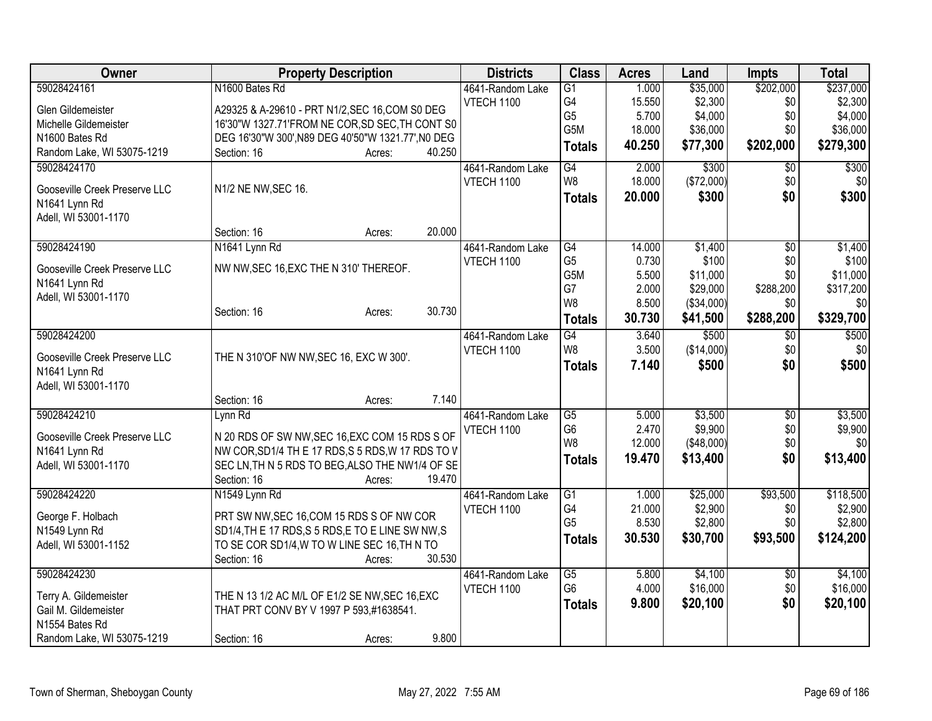| Owner                                 |                                                    | <b>Property Description</b> |        | <b>Districts</b>  | <b>Class</b>     | <b>Acres</b> | Land       | Impts           | <b>Total</b> |
|---------------------------------------|----------------------------------------------------|-----------------------------|--------|-------------------|------------------|--------------|------------|-----------------|--------------|
| 59028424161                           | N1600 Bates Rd                                     |                             |        | 4641-Random Lake  | G1               | 1.000        | \$35,000   | \$202,000       | \$237,000    |
| Glen Gildemeister                     | A29325 & A-29610 - PRT N1/2, SEC 16, COM S0 DEG    |                             |        | <b>VTECH 1100</b> | G4               | 15.550       | \$2,300    | \$0             | \$2,300      |
| Michelle Gildemeister                 | 16'30"W 1327.71'FROM NE COR, SD SEC, TH CONT S0    |                             |        |                   | G <sub>5</sub>   | 5.700        | \$4,000    | \$0             | \$4,000      |
| N1600 Bates Rd                        | DEG 16'30"W 300', N89 DEG 40'50"W 1321.77', N0 DEG |                             |        |                   | G5M              | 18.000       | \$36,000   | \$0             | \$36,000     |
| Random Lake, WI 53075-1219            | Section: 16                                        | Acres:                      | 40.250 |                   | <b>Totals</b>    | 40.250       | \$77,300   | \$202,000       | \$279,300    |
| 59028424170                           |                                                    |                             |        | 4641-Random Lake  | G4               | 2.000        | \$300      | $\overline{50}$ | \$300        |
|                                       |                                                    |                             |        | VTECH 1100        | W8               | 18.000       | (\$72,000) | \$0             | \$0          |
| Gooseville Creek Preserve LLC         | N1/2 NE NW, SEC 16.                                |                             |        |                   | <b>Totals</b>    | 20.000       | \$300      | \$0             | \$300        |
| N1641 Lynn Rd<br>Adell, WI 53001-1170 |                                                    |                             |        |                   |                  |              |            |                 |              |
|                                       | Section: 16                                        | Acres:                      | 20.000 |                   |                  |              |            |                 |              |
| 59028424190                           | N1641 Lynn Rd                                      |                             |        | 4641-Random Lake  | G4               | 14.000       | \$1,400    | \$0             | \$1,400      |
|                                       |                                                    |                             |        | <b>VTECH 1100</b> | G <sub>5</sub>   | 0.730        | \$100      | \$0             | \$100        |
| Gooseville Creek Preserve LLC         | NW NW, SEC 16, EXC THE N 310' THEREOF.             |                             |        |                   | G <sub>5</sub> M | 5.500        | \$11,000   | \$0             | \$11,000     |
| N1641 Lynn Rd                         |                                                    |                             |        |                   | G7               | 2.000        | \$29,000   | \$288,200       | \$317,200    |
| Adell, WI 53001-1170                  |                                                    |                             |        |                   | W8               | 8.500        | (\$34,000) | \$0             | \$0          |
|                                       | Section: 16                                        | Acres:                      | 30.730 |                   | <b>Totals</b>    | 30.730       | \$41,500   | \$288,200       | \$329,700    |
| 59028424200                           |                                                    |                             |        | 4641-Random Lake  | G4               | 3.640        | \$500      | $\overline{30}$ | \$500        |
|                                       |                                                    |                             |        | VTECH 1100        | W <sub>8</sub>   | 3.500        | (\$14,000) | \$0             | \$0          |
| Gooseville Creek Preserve LLC         | THE N 310'OF NW NW, SEC 16, EXC W 300'.            |                             |        |                   | <b>Totals</b>    | 7.140        | \$500      | \$0             | \$500        |
| N1641 Lynn Rd                         |                                                    |                             |        |                   |                  |              |            |                 |              |
| Adell, WI 53001-1170                  |                                                    |                             | 7.140  |                   |                  |              |            |                 |              |
| 59028424210                           | Section: 16                                        | Acres:                      |        | 4641-Random Lake  | $\overline{G5}$  | 5.000        | \$3,500    |                 | \$3,500      |
|                                       | Lynn Rd                                            |                             |        | VTECH 1100        | G <sub>6</sub>   | 2.470        | \$9,900    | \$0<br>\$0      | \$9,900      |
| Gooseville Creek Preserve LLC         | N 20 RDS OF SW NW, SEC 16, EXC COM 15 RDS S OF     |                             |        |                   | W <sub>8</sub>   | 12.000       | (\$48,000) | \$0             | \$0          |
| N1641 Lynn Rd                         | NW COR, SD1/4 TH E 17 RDS, S 5 RDS, W 17 RDS TO V  |                             |        |                   | <b>Totals</b>    | 19.470       | \$13,400   | \$0             | \$13,400     |
| Adell, WI 53001-1170                  | SEC LN, TH N 5 RDS TO BEG, ALSO THE NW1/4 OF SE    |                             |        |                   |                  |              |            |                 |              |
|                                       | Section: 16                                        | Acres:                      | 19.470 |                   |                  |              |            |                 |              |
| 59028424220                           | N1549 Lynn Rd                                      |                             |        | 4641-Random Lake  | G1               | 1.000        | \$25,000   | \$93,500        | \$118,500    |
| George F. Holbach                     | PRT SW NW, SEC 16, COM 15 RDS S OF NW COR          |                             |        | <b>VTECH 1100</b> | G4               | 21.000       | \$2,900    | \$0             | \$2,900      |
| N1549 Lynn Rd                         | SD1/4, TH E 17 RDS, S 5 RDS, E TO E LINE SW NW, S  |                             |        |                   | G <sub>5</sub>   | 8.530        | \$2,800    | \$0             | \$2,800      |
| Adell, WI 53001-1152                  | TO SE COR SD1/4, W TO W LINE SEC 16, TH N TO       |                             |        |                   | <b>Totals</b>    | 30.530       | \$30,700   | \$93,500        | \$124,200    |
|                                       | Section: 16                                        | Acres:                      | 30.530 |                   |                  |              |            |                 |              |
| 59028424230                           |                                                    |                             |        | 4641-Random Lake  | $\overline{G5}$  | 5.800        | \$4,100    | \$0             | \$4,100      |
| Terry A. Gildemeister                 | THE N 13 1/2 AC M/L OF E1/2 SE NW, SEC 16, EXC     |                             |        | <b>VTECH 1100</b> | G <sub>6</sub>   | 4.000        | \$16,000   | \$0             | \$16,000     |
| Gail M. Gildemeister                  | THAT PRT CONV BY V 1997 P 593,#1638541.            |                             |        |                   | <b>Totals</b>    | 9.800        | \$20,100   | \$0             | \$20,100     |
| N1554 Bates Rd                        |                                                    |                             |        |                   |                  |              |            |                 |              |
| Random Lake, WI 53075-1219            | Section: 16                                        | Acres:                      | 9.800  |                   |                  |              |            |                 |              |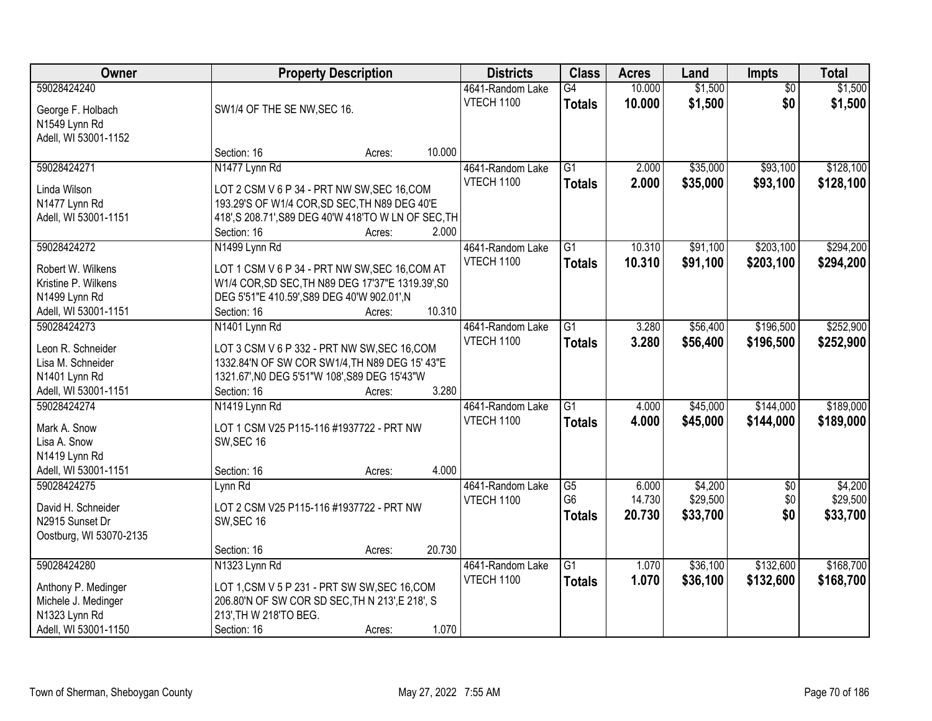| Owner                                 | <b>Property Description</b>                                  |                  | <b>Districts</b>  | <b>Class</b>    | <b>Acres</b> | Land     | <b>Impts</b>    | <b>Total</b> |
|---------------------------------------|--------------------------------------------------------------|------------------|-------------------|-----------------|--------------|----------|-----------------|--------------|
| 59028424240                           |                                                              |                  | 4641-Random Lake  | $\overline{G4}$ | 10.000       | \$1,500  | $\overline{50}$ | \$1,500      |
| George F. Holbach                     | SW1/4 OF THE SE NW, SEC 16.                                  |                  | <b>VTECH 1100</b> | <b>Totals</b>   | 10.000       | \$1,500  | \$0             | \$1,500      |
| N1549 Lynn Rd                         |                                                              |                  |                   |                 |              |          |                 |              |
| Adell, WI 53001-1152                  |                                                              |                  |                   |                 |              |          |                 |              |
|                                       | Section: 16                                                  | 10.000<br>Acres: |                   |                 |              |          |                 |              |
| 59028424271                           | N1477 Lynn Rd                                                |                  | 4641-Random Lake  | $\overline{G1}$ | 2.000        | \$35,000 | \$93,100        | \$128,100    |
| Linda Wilson                          | LOT 2 CSM V 6 P 34 - PRT NW SW, SEC 16, COM                  |                  | <b>VTECH 1100</b> | <b>Totals</b>   | 2.000        | \$35,000 | \$93,100        | \$128,100    |
| N1477 Lynn Rd                         | 193.29'S OF W1/4 COR, SD SEC, TH N89 DEG 40'E                |                  |                   |                 |              |          |                 |              |
| Adell, WI 53001-1151                  | 418', S 208.71', S89 DEG 40'W 418'TO W LN OF SEC, TH         |                  |                   |                 |              |          |                 |              |
|                                       | Section: 16                                                  | 2.000<br>Acres:  |                   |                 |              |          |                 |              |
| 59028424272                           | N1499 Lynn Rd                                                |                  | 4641-Random Lake  | $\overline{G1}$ | 10.310       | \$91,100 | \$203,100       | \$294,200    |
| Robert W. Wilkens                     | LOT 1 CSM V 6 P 34 - PRT NW SW, SEC 16, COM AT               |                  | <b>VTECH 1100</b> | <b>Totals</b>   | 10.310       | \$91,100 | \$203,100       | \$294,200    |
| Kristine P. Wilkens                   | W1/4 COR, SD SEC, TH N89 DEG 17'37"E 1319.39', S0            |                  |                   |                 |              |          |                 |              |
| N1499 Lynn Rd                         | DEG 5'51"E 410.59', S89 DEG 40'W 902.01', N                  |                  |                   |                 |              |          |                 |              |
| Adell, WI 53001-1151                  | Section: 16                                                  | 10.310<br>Acres: |                   |                 |              |          |                 |              |
| 59028424273                           | N1401 Lynn Rd                                                |                  | 4641-Random Lake  | $\overline{G1}$ | 3.280        | \$56,400 | \$196,500       | \$252,900    |
|                                       |                                                              |                  | <b>VTECH 1100</b> | <b>Totals</b>   | 3.280        | \$56,400 | \$196,500       | \$252,900    |
| Leon R. Schneider                     | LOT 3 CSM V 6 P 332 - PRT NW SW, SEC 16, COM                 |                  |                   |                 |              |          |                 |              |
| Lisa M. Schneider                     | 1332.84'N OF SW COR SW1/4, TH N89 DEG 15' 43"E               |                  |                   |                 |              |          |                 |              |
| N1401 Lynn Rd<br>Adell, WI 53001-1151 | 1321.67', NO DEG 5'51"W 108', S89 DEG 15'43"W<br>Section: 16 | 3.280            |                   |                 |              |          |                 |              |
| 59028424274                           | N1419 Lynn Rd                                                | Acres:           | 4641-Random Lake  | $\overline{G1}$ | 4.000        | \$45,000 | \$144,000       | \$189,000    |
|                                       |                                                              |                  | <b>VTECH 1100</b> |                 |              |          |                 |              |
| Mark A. Snow                          | LOT 1 CSM V25 P115-116 #1937722 - PRT NW                     |                  |                   | <b>Totals</b>   | 4.000        | \$45,000 | \$144,000       | \$189,000    |
| Lisa A. Snow                          | SW, SEC 16                                                   |                  |                   |                 |              |          |                 |              |
| N1419 Lynn Rd                         |                                                              |                  |                   |                 |              |          |                 |              |
| Adell, WI 53001-1151                  | Section: 16                                                  | 4.000<br>Acres:  |                   |                 |              |          |                 |              |
| 59028424275                           | Lynn Rd                                                      |                  | 4641-Random Lake  | $\overline{G5}$ | 6.000        | \$4,200  | $\sqrt{$0}$     | \$4,200      |
| David H. Schneider                    | LOT 2 CSM V25 P115-116 #1937722 - PRT NW                     |                  | <b>VTECH 1100</b> | G <sub>6</sub>  | 14.730       | \$29,500 | \$0             | \$29,500     |
| N2915 Sunset Dr                       | SW, SEC 16                                                   |                  |                   | <b>Totals</b>   | 20.730       | \$33,700 | \$0             | \$33,700     |
| Oostburg, WI 53070-2135               |                                                              |                  |                   |                 |              |          |                 |              |
|                                       | Section: 16                                                  | 20.730<br>Acres: |                   |                 |              |          |                 |              |
| 59028424280                           | N1323 Lynn Rd                                                |                  | 4641-Random Lake  | $\overline{G1}$ | 1.070        | \$36,100 | \$132,600       | \$168,700    |
| Anthony P. Medinger                   | LOT 1,CSM V 5 P 231 - PRT SW SW, SEC 16, COM                 |                  | <b>VTECH 1100</b> | <b>Totals</b>   | 1.070        | \$36,100 | \$132,600       | \$168,700    |
| Michele J. Medinger                   | 206.80'N OF SW COR SD SEC, TH N 213', E 218', S              |                  |                   |                 |              |          |                 |              |
| N1323 Lynn Rd                         | 213', TH W 218'TO BEG.                                       |                  |                   |                 |              |          |                 |              |
| Adell, WI 53001-1150                  | Section: 16                                                  | 1.070<br>Acres:  |                   |                 |              |          |                 |              |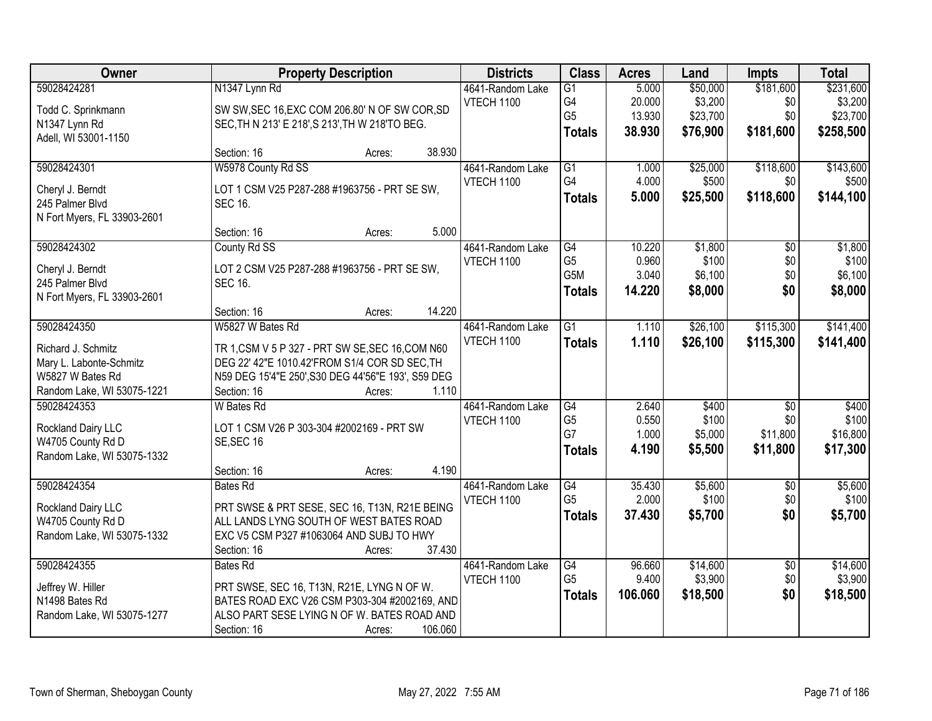| Owner                               | <b>Property Description</b>                                    |                   | <b>Districts</b>  | <b>Class</b>     | <b>Acres</b> | Land     | <b>Impts</b>    | <b>Total</b> |
|-------------------------------------|----------------------------------------------------------------|-------------------|-------------------|------------------|--------------|----------|-----------------|--------------|
| 59028424281                         | N1347 Lynn Rd                                                  |                   | 4641-Random Lake  | $\overline{G1}$  | 5.000        | \$50,000 | \$181,600       | \$231,600    |
| Todd C. Sprinkmann                  | SW SW, SEC 16, EXC COM 206.80' N OF SW COR, SD                 |                   | VTECH 1100        | G4               | 20.000       | \$3,200  | \$0             | \$3,200      |
| N1347 Lynn Rd                       | SEC, TH N 213' E 218', S 213', TH W 218'TO BEG.                |                   |                   | G <sub>5</sub>   | 13.930       | \$23,700 | \$0             | \$23,700     |
| Adell, WI 53001-1150                |                                                                |                   |                   | <b>Totals</b>    | 38.930       | \$76,900 | \$181,600       | \$258,500    |
|                                     | Section: 16                                                    | 38.930<br>Acres:  |                   |                  |              |          |                 |              |
| 59028424301                         | W5978 County Rd SS                                             |                   | 4641-Random Lake  | $\overline{G1}$  | 1.000        | \$25,000 | \$118,600       | \$143,600    |
|                                     |                                                                |                   | <b>VTECH 1100</b> | G4               | 4.000        | \$500    | \$0             | \$500        |
| Cheryl J. Berndt<br>245 Palmer Blvd | LOT 1 CSM V25 P287-288 #1963756 - PRT SE SW,<br><b>SEC 16.</b> |                   |                   | <b>Totals</b>    | 5.000        | \$25,500 | \$118,600       | \$144,100    |
| N Fort Myers, FL 33903-2601         |                                                                |                   |                   |                  |              |          |                 |              |
|                                     | Section: 16                                                    | 5.000<br>Acres:   |                   |                  |              |          |                 |              |
| 59028424302                         | County Rd SS                                                   |                   | 4641-Random Lake  | G4               | 10.220       | \$1,800  | $\overline{50}$ | \$1,800      |
|                                     |                                                                |                   | VTECH 1100        | G <sub>5</sub>   | 0.960        | \$100    | \$0             | \$100        |
| Cheryl J. Berndt                    | LOT 2 CSM V25 P287-288 #1963756 - PRT SE SW,                   |                   |                   | G <sub>5</sub> M | 3.040        | \$6,100  | \$0             | \$6,100      |
| 245 Palmer Blvd                     | <b>SEC 16.</b>                                                 |                   |                   | <b>Totals</b>    | 14.220       | \$8,000  | \$0             | \$8,000      |
| N Fort Myers, FL 33903-2601         | Section: 16                                                    | 14.220<br>Acres:  |                   |                  |              |          |                 |              |
| 59028424350                         | W5827 W Bates Rd                                               |                   | 4641-Random Lake  | $\overline{G1}$  | 1.110        | \$26,100 | \$115,300       | \$141,400    |
|                                     |                                                                |                   | <b>VTECH 1100</b> | <b>Totals</b>    | 1.110        | \$26,100 | \$115,300       | \$141,400    |
| Richard J. Schmitz                  | TR 1, CSM V 5 P 327 - PRT SW SE, SEC 16, COM N60               |                   |                   |                  |              |          |                 |              |
| Mary L. Labonte-Schmitz             | DEG 22' 42"E 1010.42'FROM S1/4 COR SD SEC, TH                  |                   |                   |                  |              |          |                 |              |
| W5827 W Bates Rd                    | N59 DEG 15'4"E 250', S30 DEG 44'56"E 193', S59 DEG             |                   |                   |                  |              |          |                 |              |
| Random Lake, WI 53075-1221          | Section: 16                                                    | 1.110<br>Acres:   |                   |                  |              |          |                 |              |
| 59028424353                         | W Bates Rd                                                     |                   | 4641-Random Lake  | $\overline{G4}$  | 2.640        | \$400    | $\overline{50}$ | \$400        |
| Rockland Dairy LLC                  | LOT 1 CSM V26 P 303-304 #2002169 - PRT SW                      |                   | <b>VTECH 1100</b> | G <sub>5</sub>   | 0.550        | \$100    | \$0             | \$100        |
| W4705 County Rd D                   | SE, SEC 16                                                     |                   |                   | G7               | 1.000        | \$5,000  | \$11,800        | \$16,800     |
| Random Lake, WI 53075-1332          |                                                                |                   |                   | <b>Totals</b>    | 4.190        | \$5,500  | \$11,800        | \$17,300     |
|                                     | Section: 16                                                    | 4.190<br>Acres:   |                   |                  |              |          |                 |              |
| 59028424354                         | <b>Bates Rd</b>                                                |                   | 4641-Random Lake  | $\overline{G4}$  | 35.430       | \$5,600  | $\overline{50}$ | \$5,600      |
| Rockland Dairy LLC                  | PRT SWSE & PRT SESE, SEC 16, T13N, R21E BEING                  |                   | VTECH 1100        | G <sub>5</sub>   | 2.000        | \$100    | \$0             | \$100        |
| W4705 County Rd D                   | ALL LANDS LYNG SOUTH OF WEST BATES ROAD                        |                   |                   | <b>Totals</b>    | 37.430       | \$5,700  | \$0             | \$5,700      |
| Random Lake, WI 53075-1332          | EXC V5 CSM P327 #1063064 AND SUBJ TO HWY                       |                   |                   |                  |              |          |                 |              |
|                                     | Section: 16                                                    | 37.430<br>Acres:  |                   |                  |              |          |                 |              |
| 59028424355                         | Bates Rd                                                       |                   | 4641-Random Lake  | G4               | 96.660       | \$14,600 | $\overline{50}$ | \$14,600     |
|                                     | PRT SWSE, SEC 16, T13N, R21E, LYNG N OF W.                     |                   | VTECH 1100        | G <sub>5</sub>   | 9.400        | \$3,900  | \$0             | \$3,900      |
| Jeffrey W. Hiller<br>N1498 Bates Rd | BATES ROAD EXC V26 CSM P303-304 #2002169, AND                  |                   |                   | <b>Totals</b>    | 106.060      | \$18,500 | \$0             | \$18,500     |
| Random Lake, WI 53075-1277          | ALSO PART SESE LYING N OF W. BATES ROAD AND                    |                   |                   |                  |              |          |                 |              |
|                                     | Section: 16                                                    | 106.060<br>Acres: |                   |                  |              |          |                 |              |
|                                     |                                                                |                   |                   |                  |              |          |                 |              |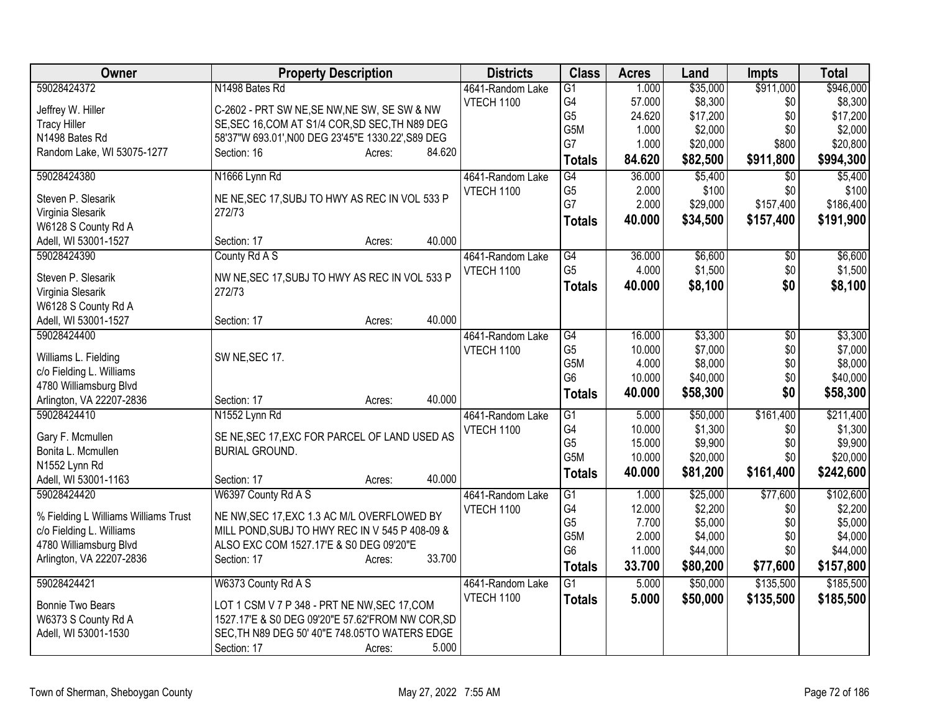| Owner                                              | <b>Property Description</b>                                                               | <b>Districts</b>  | <b>Class</b>         | <b>Acres</b>   | Land                 | <b>Impts</b>     | <b>Total</b>        |
|----------------------------------------------------|-------------------------------------------------------------------------------------------|-------------------|----------------------|----------------|----------------------|------------------|---------------------|
| 59028424372                                        | N1498 Bates Rd                                                                            | 4641-Random Lake  | $\overline{G1}$      | 1.000          | \$35,000             | \$911,000        | \$946,000           |
| Jeffrey W. Hiller                                  | C-2602 - PRT SW NE, SE NW, NE SW, SE SW & NW                                              | VTECH 1100        | G4                   | 57.000         | \$8,300              | \$0              | \$8,300             |
| <b>Tracy Hiller</b>                                | SE, SEC 16, COM AT S1/4 COR, SD SEC, TH N89 DEG                                           |                   | G <sub>5</sub>       | 24.620         | \$17,200             | \$0              | \$17,200            |
| N1498 Bates Rd                                     | 58'37"W 693.01', N00 DEG 23'45"E 1330.22', S89 DEG                                        |                   | G5M<br>G7            | 1.000<br>1.000 | \$2,000              | \$0<br>\$800     | \$2,000<br>\$20,800 |
| Random Lake, WI 53075-1277                         | 84.620<br>Section: 16<br>Acres:                                                           |                   |                      |                | \$20,000             |                  |                     |
|                                                    |                                                                                           |                   | <b>Totals</b>        | 84.620         | \$82,500             | \$911,800        | \$994,300           |
| 59028424380                                        | N1666 Lynn Rd                                                                             | 4641-Random Lake  | G4                   | 36.000         | \$5,400              | $\overline{30}$  | \$5,400             |
| Steven P. Slesarik                                 | NE NE, SEC 17, SUBJ TO HWY AS REC IN VOL 533 P                                            | VTECH 1100        | G <sub>5</sub><br>G7 | 2.000<br>2.000 | \$100                | \$0<br>\$157,400 | \$100<br>\$186,400  |
| Virginia Slesarik                                  | 272/73                                                                                    |                   |                      | 40.000         | \$29,000<br>\$34,500 | \$157,400        | \$191,900           |
| W6128 S County Rd A                                |                                                                                           |                   | <b>Totals</b>        |                |                      |                  |                     |
| Adell, WI 53001-1527                               | 40.000<br>Section: 17<br>Acres:                                                           |                   |                      |                |                      |                  |                     |
| 59028424390                                        | County Rd A S                                                                             | 4641-Random Lake  | G4                   | 36.000         | \$6,600              | $\overline{50}$  | \$6,600             |
| Steven P. Slesarik                                 | NW NE, SEC 17, SUBJ TO HWY AS REC IN VOL 533 P                                            | <b>VTECH 1100</b> | G <sub>5</sub>       | 4.000          | \$1,500              | \$0              | \$1,500             |
| Virginia Slesarik                                  | 272/73                                                                                    |                   | <b>Totals</b>        | 40.000         | \$8,100              | \$0              | \$8,100             |
| W6128 S County Rd A                                |                                                                                           |                   |                      |                |                      |                  |                     |
| Adell, WI 53001-1527                               | 40.000<br>Section: 17<br>Acres:                                                           |                   |                      |                |                      |                  |                     |
| 59028424400                                        |                                                                                           | 4641-Random Lake  | G4                   | 16.000         | \$3,300              | $\overline{50}$  | \$3,300             |
| Williams L. Fielding                               | SW NE, SEC 17.                                                                            | VTECH 1100        | G <sub>5</sub>       | 10.000         | \$7,000              | \$0              | \$7,000             |
| c/o Fielding L. Williams                           |                                                                                           |                   | G5M                  | 4.000          | \$8,000              | \$0              | \$8,000             |
| 4780 Williamsburg Blvd                             |                                                                                           |                   | G <sub>6</sub>       | 10.000         | \$40,000             | \$0              | \$40,000            |
| Arlington, VA 22207-2836                           | 40.000<br>Section: 17<br>Acres:                                                           |                   | <b>Totals</b>        | 40.000         | \$58,300             | \$0              | \$58,300            |
| 59028424410                                        | N1552 Lynn Rd                                                                             | 4641-Random Lake  | G1                   | 5.000          | \$50,000             | \$161,400        | \$211,400           |
|                                                    |                                                                                           | <b>VTECH 1100</b> | G4                   | 10.000         | \$1,300              | \$0              | \$1,300             |
| Gary F. Mcmullen<br>Bonita L. Mcmullen             | SE NE, SEC 17, EXC FOR PARCEL OF LAND USED AS<br><b>BURIAL GROUND.</b>                    |                   | G <sub>5</sub>       | 15.000         | \$9,900              | \$0              | \$9,900             |
| N1552 Lynn Rd                                      |                                                                                           |                   | G5M                  | 10.000         | \$20,000             | \$0              | \$20,000            |
| Adell, WI 53001-1163                               | 40.000<br>Section: 17<br>Acres:                                                           |                   | <b>Totals</b>        | 40.000         | \$81,200             | \$161,400        | \$242,600           |
| 59028424420                                        | W6397 County Rd A S                                                                       | 4641-Random Lake  | G1                   | 1.000          | \$25,000             | \$77,600         | \$102,600           |
|                                                    |                                                                                           | VTECH 1100        | G4                   | 12.000         | \$2,200              | \$0              | \$2,200             |
| % Fielding L Williams Williams Trust               | NE NW, SEC 17, EXC 1.3 AC M/L OVERFLOWED BY                                               |                   | G <sub>5</sub>       | 7.700          | \$5,000              | \$0              | \$5,000             |
| c/o Fielding L. Williams<br>4780 Williamsburg Blvd | MILL POND, SUBJ TO HWY REC IN V 545 P 408-09 &<br>ALSO EXC COM 1527.17'E & S0 DEG 09'20"E |                   | G5M                  | 2.000          | \$4,000              | \$0              | \$4,000             |
| Arlington, VA 22207-2836                           | 33.700<br>Section: 17<br>Acres:                                                           |                   | G <sub>6</sub>       | 11.000         | \$44,000             | \$0              | \$44,000            |
|                                                    |                                                                                           |                   | <b>Totals</b>        | 33.700         | \$80,200             | \$77,600         | \$157,800           |
| 59028424421                                        | W6373 County Rd A S                                                                       | 4641-Random Lake  | $\overline{G1}$      | 5.000          | \$50,000             | \$135,500        | \$185,500           |
| <b>Bonnie Two Bears</b>                            | LOT 1 CSM V 7 P 348 - PRT NE NW, SEC 17, COM                                              | <b>VTECH 1100</b> | <b>Totals</b>        | 5.000          | \$50,000             | \$135,500        | \$185,500           |
| W6373 S County Rd A                                | 1527.17'E & S0 DEG 09'20"E 57.62'FROM NW COR, SD                                          |                   |                      |                |                      |                  |                     |
| Adell, WI 53001-1530                               | SEC, TH N89 DEG 50' 40"E 748.05'TO WATERS EDGE                                            |                   |                      |                |                      |                  |                     |
|                                                    | 5.000<br>Section: 17<br>Acres:                                                            |                   |                      |                |                      |                  |                     |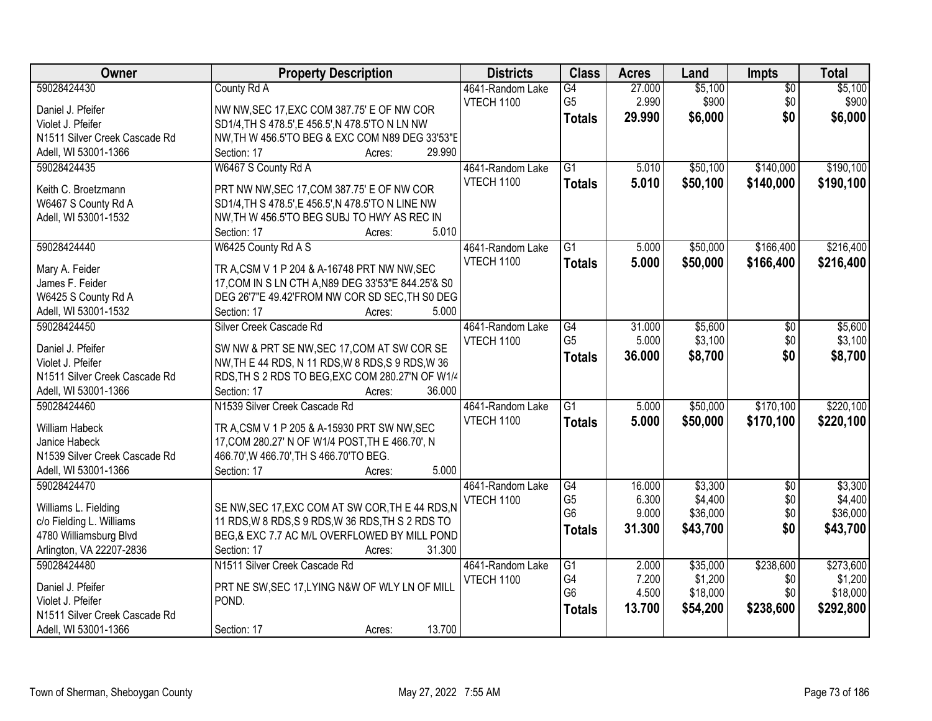| Owner                         | <b>Property Description</b>                        | <b>Districts</b>  | <b>Class</b>    | <b>Acres</b> | Land     | <b>Impts</b>    | <b>Total</b> |
|-------------------------------|----------------------------------------------------|-------------------|-----------------|--------------|----------|-----------------|--------------|
| 59028424430                   | County Rd A                                        | 4641-Random Lake  | G4              | 27.000       | \$5,100  | $\overline{50}$ | \$5,100      |
| Daniel J. Pfeifer             | NW NW, SEC 17, EXC COM 387.75' E OF NW COR         | VTECH 1100        | G <sub>5</sub>  | 2.990        | \$900    | \$0             | \$900        |
| Violet J. Pfeifer             | SD1/4, TH S 478.5', E 456.5', N 478.5'TO N LN NW   |                   | <b>Totals</b>   | 29.990       | \$6,000  | \$0             | \$6,000      |
| N1511 Silver Creek Cascade Rd | NW, TH W 456.5'TO BEG & EXC COM N89 DEG 33'53"E    |                   |                 |              |          |                 |              |
| Adell, WI 53001-1366          | 29.990<br>Section: 17<br>Acres:                    |                   |                 |              |          |                 |              |
| 59028424435                   | W6467 S County Rd A                                | 4641-Random Lake  | $\overline{G1}$ | 5.010        | \$50,100 | \$140,000       | \$190,100    |
|                               |                                                    | <b>VTECH 1100</b> | <b>Totals</b>   | 5.010        | \$50,100 | \$140,000       | \$190,100    |
| Keith C. Broetzmann           | PRT NW NW, SEC 17, COM 387.75' E OF NW COR         |                   |                 |              |          |                 |              |
| W6467 S County Rd A           | SD1/4, TH S 478.5', E 456.5', N 478.5'TO N LINE NW |                   |                 |              |          |                 |              |
| Adell, WI 53001-1532          | NW, TH W 456.5'TO BEG SUBJ TO HWY AS REC IN        |                   |                 |              |          |                 |              |
|                               | 5.010<br>Section: 17<br>Acres:                     |                   |                 |              |          |                 |              |
| 59028424440                   | W6425 County Rd A S                                | 4641-Random Lake  | $\overline{G1}$ | 5.000        | \$50,000 | \$166,400       | \$216,400    |
| Mary A. Feider                | TR A, CSM V 1 P 204 & A-16748 PRT NW NW, SEC       | VTECH 1100        | <b>Totals</b>   | 5.000        | \$50,000 | \$166,400       | \$216,400    |
| James F. Feider               | 17, COM IN S LN CTH A, N89 DEG 33'53"E 844.25'& S0 |                   |                 |              |          |                 |              |
| W6425 S County Rd A           | DEG 26'7"E 49.42'FROM NW COR SD SEC, TH S0 DEG     |                   |                 |              |          |                 |              |
| Adell, WI 53001-1532          | 5.000<br>Section: 17<br>Acres:                     |                   |                 |              |          |                 |              |
| 59028424450                   | Silver Creek Cascade Rd                            | 4641-Random Lake  | G4              | 31.000       | \$5,600  | $\sqrt[6]{30}$  | \$5,600      |
|                               |                                                    | VTECH 1100        | G <sub>5</sub>  | 5.000        | \$3,100  | \$0             | \$3,100      |
| Daniel J. Pfeifer             | SW NW & PRT SE NW, SEC 17, COM AT SW COR SE        |                   | <b>Totals</b>   | 36.000       | \$8,700  | \$0             | \$8,700      |
| Violet J. Pfeifer             | NW, TH E 44 RDS, N 11 RDS, W 8 RDS, S 9 RDS, W 36  |                   |                 |              |          |                 |              |
| N1511 Silver Creek Cascade Rd | RDS, TH S 2 RDS TO BEG, EXC COM 280.27'N OF W1/4   |                   |                 |              |          |                 |              |
| Adell, WI 53001-1366          | Section: 17<br>36.000<br>Acres:                    |                   |                 |              |          |                 |              |
| 59028424460                   | N1539 Silver Creek Cascade Rd                      | 4641-Random Lake  | $\overline{G1}$ | 5.000        | \$50,000 | \$170,100       | \$220,100    |
| William Habeck                | TR A, CSM V 1 P 205 & A-15930 PRT SW NW, SEC       | <b>VTECH 1100</b> | <b>Totals</b>   | 5.000        | \$50,000 | \$170,100       | \$220,100    |
| Janice Habeck                 | 17, COM 280.27' N OF W1/4 POST, TH E 466.70', N    |                   |                 |              |          |                 |              |
| N1539 Silver Creek Cascade Rd | 466.70', W 466.70', TH S 466.70'TO BEG.            |                   |                 |              |          |                 |              |
| Adell, WI 53001-1366          | 5.000<br>Section: 17<br>Acres:                     |                   |                 |              |          |                 |              |
| 59028424470                   |                                                    | 4641-Random Lake  | G4              | 16.000       | \$3,300  | $\overline{60}$ | \$3,300      |
|                               |                                                    | <b>VTECH 1100</b> | G <sub>5</sub>  | 6.300        | \$4,400  | \$0             | \$4,400      |
| Williams L. Fielding          | SE NW, SEC 17, EXC COM AT SW COR, TH E 44 RDS, N   |                   | G <sub>6</sub>  | 9.000        | \$36,000 | \$0             | \$36,000     |
| c/o Fielding L. Williams      | 11 RDS, W 8 RDS, S 9 RDS, W 36 RDS, TH S 2 RDS TO  |                   | <b>Totals</b>   | 31.300       | \$43,700 | \$0             | \$43,700     |
| 4780 Williamsburg Blvd        | BEG,& EXC 7.7 AC M/L OVERFLOWED BY MILL POND       |                   |                 |              |          |                 |              |
| Arlington, VA 22207-2836      | 31.300<br>Section: 17<br>Acres:                    |                   |                 |              |          |                 |              |
| 59028424480                   | N1511 Silver Creek Cascade Rd                      | 4641-Random Lake  | G1              | 2.000        | \$35,000 | \$238,600       | \$273,600    |
| Daniel J. Pfeifer             | PRT NE SW, SEC 17, LYING N&W OF WLY LN OF MILL     | <b>VTECH 1100</b> | G4              | 7.200        | \$1,200  | \$0             | \$1,200      |
| Violet J. Pfeifer             | POND.                                              |                   | G <sub>6</sub>  | 4.500        | \$18,000 | \$0             | \$18,000     |
| N1511 Silver Creek Cascade Rd |                                                    |                   | <b>Totals</b>   | 13.700       | \$54,200 | \$238,600       | \$292,800    |
| Adell, WI 53001-1366          | 13.700<br>Section: 17<br>Acres:                    |                   |                 |              |          |                 |              |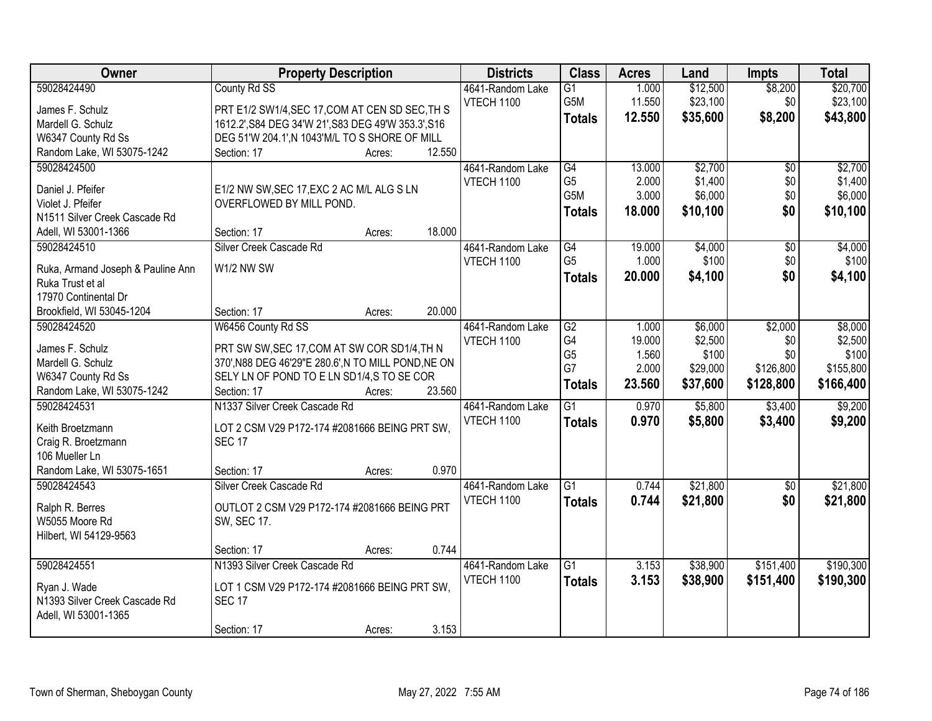| Owner                             | <b>Property Description</b>                         |        |        | <b>Districts</b>  | <b>Class</b>     | <b>Acres</b> | Land     | Impts           | <b>Total</b> |
|-----------------------------------|-----------------------------------------------------|--------|--------|-------------------|------------------|--------------|----------|-----------------|--------------|
| 59028424490                       | County Rd SS                                        |        |        | 4641-Random Lake  | $\overline{G1}$  | 1.000        | \$12,500 | \$8,200         | \$20,700     |
| James F. Schulz                   | PRT E1/2 SW1/4, SEC 17, COM AT CEN SD SEC, TH S     |        |        | VTECH 1100        | G <sub>5</sub> M | 11.550       | \$23,100 | \$0             | \$23,100     |
| Mardell G. Schulz                 | 1612.2', S84 DEG 34'W 21', S83 DEG 49'W 353.3', S16 |        |        |                   | <b>Totals</b>    | 12.550       | \$35,600 | \$8,200         | \$43,800     |
| W6347 County Rd Ss                | DEG 51'W 204.1', N 1043'M/L TO S SHORE OF MILL      |        |        |                   |                  |              |          |                 |              |
| Random Lake, WI 53075-1242        | Section: 17                                         | Acres: | 12.550 |                   |                  |              |          |                 |              |
| 59028424500                       |                                                     |        |        | 4641-Random Lake  | $\overline{G4}$  | 13.000       | \$2,700  | $\overline{50}$ | \$2,700      |
|                                   |                                                     |        |        | <b>VTECH 1100</b> | G <sub>5</sub>   | 2.000        | \$1,400  | \$0             | \$1,400      |
| Daniel J. Pfeifer                 | E1/2 NW SW, SEC 17, EXC 2 AC M/L ALG S LN           |        |        |                   | G5M              | 3.000        | \$6,000  | \$0             | \$6,000      |
| Violet J. Pfeifer                 | OVERFLOWED BY MILL POND.                            |        |        |                   | <b>Totals</b>    | 18.000       | \$10,100 | \$0             | \$10,100     |
| N1511 Silver Creek Cascade Rd     |                                                     |        |        |                   |                  |              |          |                 |              |
| Adell, WI 53001-1366              | Section: 17                                         | Acres: | 18.000 |                   |                  |              |          |                 |              |
| 59028424510                       | Silver Creek Cascade Rd                             |        |        | 4641-Random Lake  | G4               | 19.000       | \$4,000  | $\overline{50}$ | \$4,000      |
| Ruka, Armand Joseph & Pauline Ann | W1/2 NW SW                                          |        |        | <b>VTECH 1100</b> | G <sub>5</sub>   | 1.000        | \$100    | \$0             | \$100        |
| Ruka Trust et al                  |                                                     |        |        |                   | <b>Totals</b>    | 20.000       | \$4,100  | \$0             | \$4,100      |
| 17970 Continental Dr              |                                                     |        |        |                   |                  |              |          |                 |              |
| Brookfield, WI 53045-1204         | Section: 17                                         | Acres: | 20.000 |                   |                  |              |          |                 |              |
| 59028424520                       | W6456 County Rd SS                                  |        |        | 4641-Random Lake  | $\overline{G2}$  | 1.000        | \$6,000  | \$2,000         | \$8,000      |
|                                   |                                                     |        |        | <b>VTECH 1100</b> | G4               | 19.000       | \$2,500  | \$0             | \$2,500      |
| James F. Schulz                   | PRT SW SW, SEC 17, COM AT SW COR SD1/4, TH N        |        |        |                   | G <sub>5</sub>   | 1.560        | \$100    | \$0             | \$100        |
| Mardell G. Schulz                 | 370', N88 DEG 46'29"E 280.6', N TO MILL POND, NE ON |        |        |                   | G7               | 2.000        | \$29,000 | \$126,800       | \$155,800    |
| W6347 County Rd Ss                | SELY LN OF POND TO E LN SD1/4,S TO SE COR           |        |        |                   | <b>Totals</b>    | 23.560       | \$37,600 | \$128,800       | \$166,400    |
| Random Lake, WI 53075-1242        | Section: 17                                         | Acres: | 23.560 |                   |                  |              |          |                 |              |
| 59028424531                       | N1337 Silver Creek Cascade Rd                       |        |        | 4641-Random Lake  | $\overline{G1}$  | 0.970        | \$5,800  | \$3,400         | \$9,200      |
| Keith Broetzmann                  | LOT 2 CSM V29 P172-174 #2081666 BEING PRT SW,       |        |        | <b>VTECH 1100</b> | <b>Totals</b>    | 0.970        | \$5,800  | \$3,400         | \$9,200      |
| Craig R. Broetzmann               | <b>SEC 17</b>                                       |        |        |                   |                  |              |          |                 |              |
| 106 Mueller Ln                    |                                                     |        |        |                   |                  |              |          |                 |              |
| Random Lake, WI 53075-1651        | Section: 17                                         | Acres: | 0.970  |                   |                  |              |          |                 |              |
| 59028424543                       | Silver Creek Cascade Rd                             |        |        | 4641-Random Lake  | G <sub>1</sub>   | 0.744        | \$21,800 | $\overline{50}$ | \$21,800     |
|                                   |                                                     |        |        | VTECH 1100        | <b>Totals</b>    | 0.744        | \$21,800 | \$0             | \$21,800     |
| Ralph R. Berres                   | OUTLOT 2 CSM V29 P172-174 #2081666 BEING PRT        |        |        |                   |                  |              |          |                 |              |
| W5055 Moore Rd                    | SW, SEC 17.                                         |        |        |                   |                  |              |          |                 |              |
| Hilbert, WI 54129-9563            |                                                     |        |        |                   |                  |              |          |                 |              |
|                                   | Section: 17                                         | Acres: | 0.744  |                   |                  |              |          |                 |              |
| 59028424551                       | N1393 Silver Creek Cascade Rd                       |        |        | 4641-Random Lake  | $\overline{G1}$  | 3.153        | \$38,900 | \$151,400       | \$190,300    |
| Ryan J. Wade                      | LOT 1 CSM V29 P172-174 #2081666 BEING PRT SW,       |        |        | <b>VTECH 1100</b> | <b>Totals</b>    | 3.153        | \$38,900 | \$151,400       | \$190,300    |
| N1393 Silver Creek Cascade Rd     | <b>SEC 17</b>                                       |        |        |                   |                  |              |          |                 |              |
| Adell, WI 53001-1365              |                                                     |        |        |                   |                  |              |          |                 |              |
|                                   | Section: 17                                         | Acres: | 3.153  |                   |                  |              |          |                 |              |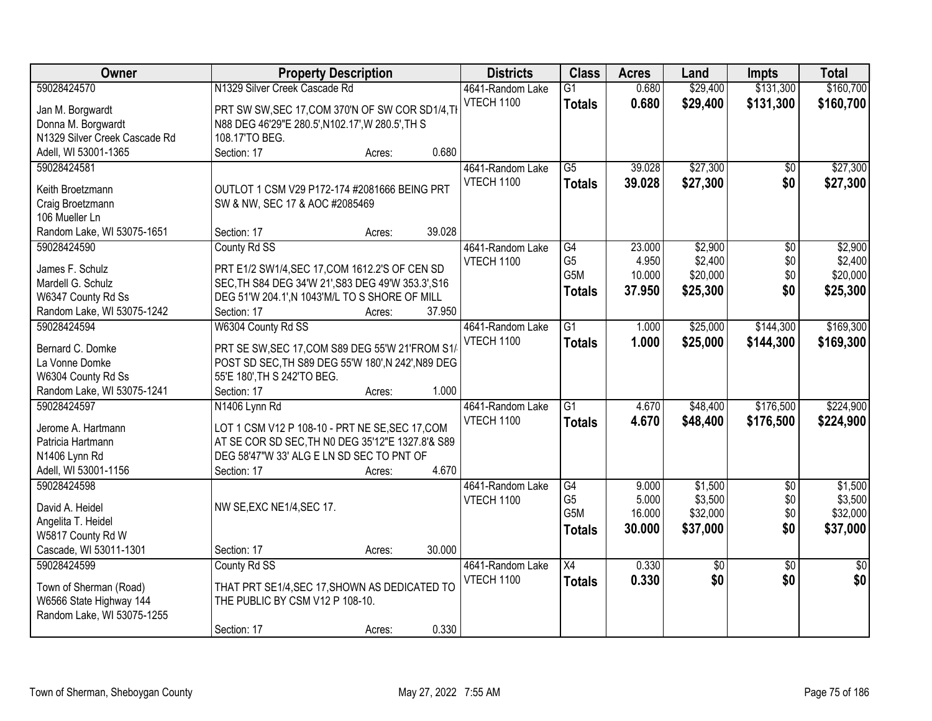| Owner                         | <b>Property Description</b>                        |        |        | <b>Districts</b>  | <b>Class</b>     | <b>Acres</b> | Land            | <b>Impts</b>    | <b>Total</b>    |
|-------------------------------|----------------------------------------------------|--------|--------|-------------------|------------------|--------------|-----------------|-----------------|-----------------|
| 59028424570                   | N1329 Silver Creek Cascade Rd                      |        |        | 4641-Random Lake  | $\overline{G1}$  | 0.680        | \$29,400        | \$131,300       | \$160,700       |
| Jan M. Borgwardt              | PRT SW SW, SEC 17, COM 370'N OF SW COR SD1/4, TH   |        |        | <b>VTECH 1100</b> | <b>Totals</b>    | 0.680        | \$29,400        | \$131,300       | \$160,700       |
| Donna M. Borgwardt            | N88 DEG 46'29"E 280.5', N102.17', W 280.5', TH S   |        |        |                   |                  |              |                 |                 |                 |
| N1329 Silver Creek Cascade Rd | 108.17'TO BEG.                                     |        |        |                   |                  |              |                 |                 |                 |
| Adell, WI 53001-1365          | Section: 17                                        | Acres: | 0.680  |                   |                  |              |                 |                 |                 |
| 59028424581                   |                                                    |        |        | 4641-Random Lake  | $\overline{G5}$  | 39.028       | \$27,300        | $\overline{50}$ | \$27,300        |
|                               |                                                    |        |        | <b>VTECH 1100</b> | <b>Totals</b>    | 39.028       | \$27,300        | \$0             | \$27,300        |
| Keith Broetzmann              | OUTLOT 1 CSM V29 P172-174 #2081666 BEING PRT       |        |        |                   |                  |              |                 |                 |                 |
| Craig Broetzmann              | SW & NW, SEC 17 & AOC #2085469                     |        |        |                   |                  |              |                 |                 |                 |
| 106 Mueller Ln                |                                                    |        |        |                   |                  |              |                 |                 |                 |
| Random Lake, WI 53075-1651    | Section: 17                                        | Acres: | 39.028 |                   |                  |              |                 |                 |                 |
| 59028424590                   | County Rd SS                                       |        |        | 4641-Random Lake  | G4               | 23.000       | \$2,900         | \$0             | \$2,900         |
| James F. Schulz               | PRT E1/2 SW1/4, SEC 17, COM 1612.2'S OF CEN SD     |        |        | <b>VTECH 1100</b> | G <sub>5</sub>   | 4.950        | \$2,400         | \$0             | \$2,400         |
| Mardell G. Schulz             | SEC, TH S84 DEG 34'W 21', S83 DEG 49'W 353.3', S16 |        |        |                   | G5M              | 10.000       | \$20,000        | \$0             | \$20,000        |
| W6347 County Rd Ss            | DEG 51'W 204.1', N 1043'M/L TO S SHORE OF MILL     |        |        |                   | <b>Totals</b>    | 37.950       | \$25,300        | \$0             | \$25,300        |
| Random Lake, WI 53075-1242    | Section: 17                                        | Acres: | 37.950 |                   |                  |              |                 |                 |                 |
| 59028424594                   | W6304 County Rd SS                                 |        |        | 4641-Random Lake  | $\overline{G1}$  | 1.000        | \$25,000        | \$144,300       | \$169,300       |
|                               |                                                    |        |        | <b>VTECH 1100</b> | <b>Totals</b>    | 1.000        | \$25,000        | \$144,300       | \$169,300       |
| Bernard C. Domke              | PRT SE SW, SEC 17, COM S89 DEG 55'W 21'FROM S1/    |        |        |                   |                  |              |                 |                 |                 |
| La Vonne Domke                | POST SD SEC, TH S89 DEG 55'W 180', N 242', N89 DEG |        |        |                   |                  |              |                 |                 |                 |
| W6304 County Rd Ss            | 55'E 180', TH S 242'TO BEG.                        |        |        |                   |                  |              |                 |                 |                 |
| Random Lake, WI 53075-1241    | Section: 17                                        | Acres: | 1.000  |                   |                  |              |                 |                 |                 |
| 59028424597                   | N1406 Lynn Rd                                      |        |        | 4641-Random Lake  | $\overline{G1}$  | 4.670        | \$48,400        | \$176,500       | \$224,900       |
| Jerome A. Hartmann            | LOT 1 CSM V12 P 108-10 - PRT NE SE, SEC 17, COM    |        |        | <b>VTECH 1100</b> | <b>Totals</b>    | 4.670        | \$48,400        | \$176,500       | \$224,900       |
| Patricia Hartmann             | AT SE COR SD SEC, TH N0 DEG 35'12"E 1327.8'& S89   |        |        |                   |                  |              |                 |                 |                 |
| N1406 Lynn Rd                 | DEG 58'47"W 33' ALG E LN SD SEC TO PNT OF          |        |        |                   |                  |              |                 |                 |                 |
| Adell, WI 53001-1156          | Section: 17                                        | Acres: | 4.670  |                   |                  |              |                 |                 |                 |
| 59028424598                   |                                                    |        |        | 4641-Random Lake  | G4               | 9.000        | \$1,500         | $\sqrt{6}$      | \$1,500         |
|                               |                                                    |        |        | <b>VTECH 1100</b> | G <sub>5</sub>   | 5.000        | \$3,500         | \$0             | \$3,500         |
| David A. Heidel               | NW SE, EXC NE1/4, SEC 17.                          |        |        |                   | G <sub>5</sub> M | 16.000       | \$32,000        | \$0             | \$32,000        |
| Angelita T. Heidel            |                                                    |        |        |                   | <b>Totals</b>    | 30.000       | \$37,000        | \$0             | \$37,000        |
| W5817 County Rd W             |                                                    |        |        |                   |                  |              |                 |                 |                 |
| Cascade, WI 53011-1301        | Section: 17                                        | Acres: | 30.000 |                   |                  |              |                 |                 |                 |
| 59028424599                   | County Rd SS                                       |        |        | 4641-Random Lake  | $\overline{X4}$  | 0.330        | $\overline{50}$ | $\overline{50}$ | $\overline{50}$ |
| Town of Sherman (Road)        | THAT PRT SE1/4, SEC 17, SHOWN AS DEDICATED TO      |        |        | <b>VTECH 1100</b> | <b>Totals</b>    | 0.330        | \$0             | \$0             | \$0             |
| W6566 State Highway 144       | THE PUBLIC BY CSM V12 P 108-10.                    |        |        |                   |                  |              |                 |                 |                 |
| Random Lake, WI 53075-1255    |                                                    |        |        |                   |                  |              |                 |                 |                 |
|                               | Section: 17                                        | Acres: | 0.330  |                   |                  |              |                 |                 |                 |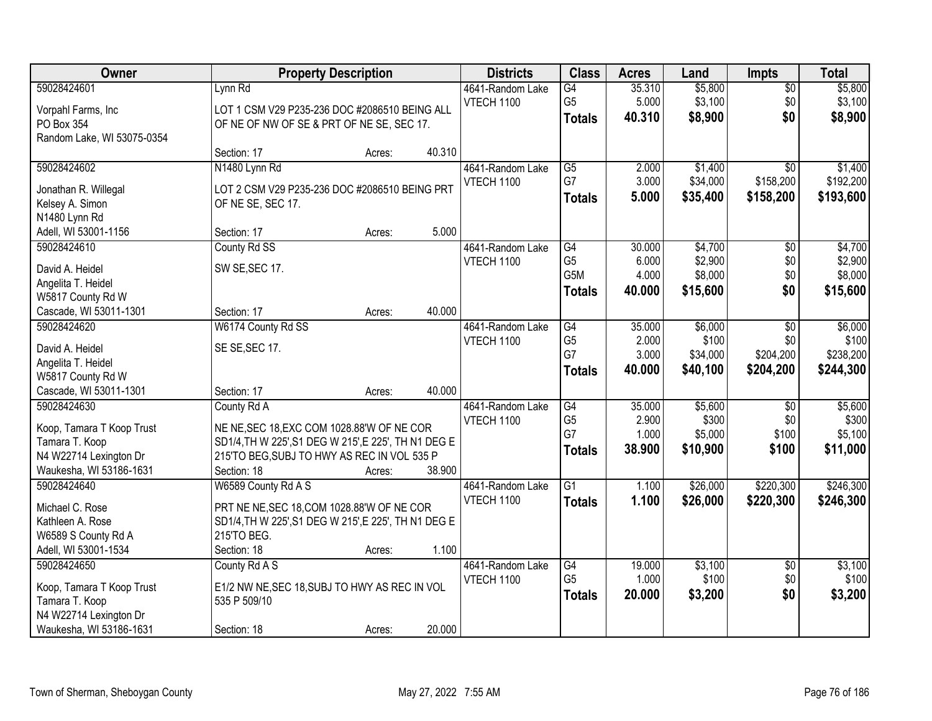| Owner                                   | <b>Property Description</b>                          |        |        | <b>Districts</b>  | <b>Class</b>         | <b>Acres</b>   | Land                | Impts           | <b>Total</b>        |
|-----------------------------------------|------------------------------------------------------|--------|--------|-------------------|----------------------|----------------|---------------------|-----------------|---------------------|
| 59028424601                             | Lynn Rd                                              |        |        | 4641-Random Lake  | $\overline{G4}$      | 35.310         | \$5,800             | $\overline{50}$ | \$5,800             |
| Vorpahl Farms, Inc                      | LOT 1 CSM V29 P235-236 DOC #2086510 BEING ALL        |        |        | <b>VTECH 1100</b> | G <sub>5</sub>       | 5.000          | \$3,100             | \$0             | \$3,100             |
| PO Box 354                              | OF NE OF NW OF SE & PRT OF NE SE, SEC 17.            |        |        |                   | <b>Totals</b>        | 40.310         | \$8,900             | \$0             | \$8,900             |
| Random Lake, WI 53075-0354              |                                                      |        |        |                   |                      |                |                     |                 |                     |
|                                         | Section: 17                                          | Acres: | 40.310 |                   |                      |                |                     |                 |                     |
| 59028424602                             | N1480 Lynn Rd                                        |        |        | 4641-Random Lake  | $\overline{G5}$      | 2.000          | \$1,400             | \$0             | \$1,400             |
| Jonathan R. Willegal                    | LOT 2 CSM V29 P235-236 DOC #2086510 BEING PRT        |        |        | VTECH 1100        | G7                   | 3.000          | \$34,000            | \$158,200       | \$192,200           |
| Kelsey A. Simon                         | OF NE SE, SEC 17.                                    |        |        |                   | <b>Totals</b>        | 5.000          | \$35,400            | \$158,200       | \$193,600           |
| N1480 Lynn Rd                           |                                                      |        |        |                   |                      |                |                     |                 |                     |
| Adell, WI 53001-1156                    | Section: 17                                          | Acres: | 5.000  |                   |                      |                |                     |                 |                     |
| 59028424610                             | County Rd SS                                         |        |        | 4641-Random Lake  | G4                   | 30.000         | \$4,700             | \$0             | \$4,700             |
|                                         |                                                      |        |        | <b>VTECH 1100</b> | G <sub>5</sub>       | 6.000          | \$2,900             | \$0             | \$2,900             |
| David A. Heidel                         | SW SE, SEC 17.                                       |        |        |                   | G <sub>5</sub> M     | 4.000          | \$8,000             | \$0             | \$8,000             |
| Angelita T. Heidel<br>W5817 County Rd W |                                                      |        |        |                   | <b>Totals</b>        | 40.000         | \$15,600            | \$0             | \$15,600            |
| Cascade, WI 53011-1301                  | Section: 17                                          | Acres: | 40.000 |                   |                      |                |                     |                 |                     |
| 59028424620                             | W6174 County Rd SS                                   |        |        | 4641-Random Lake  | G4                   | 35.000         | \$6,000             | \$0             | \$6,000             |
|                                         |                                                      |        |        | <b>VTECH 1100</b> | G <sub>5</sub>       | 2.000          | \$100               | \$0             | \$100               |
| David A. Heidel                         | SE SE, SEC 17.                                       |        |        |                   | G7                   | 3.000          | \$34,000            | \$204,200       | \$238,200           |
| Angelita T. Heidel                      |                                                      |        |        |                   | <b>Totals</b>        | 40.000         | \$40,100            | \$204,200       | \$244,300           |
| W5817 County Rd W                       |                                                      |        |        |                   |                      |                |                     |                 |                     |
| Cascade, WI 53011-1301                  | Section: 17                                          | Acres: | 40.000 |                   |                      |                |                     |                 |                     |
| 59028424630                             | County Rd A                                          |        |        | 4641-Random Lake  | G4                   | 35.000         | \$5,600             | $\overline{50}$ | \$5,600             |
| Koop, Tamara T Koop Trust               | NE NE, SEC 18, EXC COM 1028.88'W OF NE COR           |        |        | VTECH 1100        | G <sub>5</sub><br>G7 | 2.900<br>1.000 | \$300               | \$0             | \$300               |
| Tamara T. Koop                          | SD1/4, TH W 225', S1 DEG W 215', E 225', TH N1 DEG E |        |        |                   |                      | 38.900         | \$5,000<br>\$10,900 | \$100<br>\$100  | \$5,100<br>\$11,000 |
| N4 W22714 Lexington Dr                  | 215'TO BEG, SUBJ TO HWY AS REC IN VOL 535 P          |        |        |                   | <b>Totals</b>        |                |                     |                 |                     |
| Waukesha, WI 53186-1631                 | Section: 18                                          | Acres: | 38.900 |                   |                      |                |                     |                 |                     |
| 59028424640                             | W6589 County Rd A S                                  |        |        | 4641-Random Lake  | G1                   | 1.100          | \$26,000            | \$220,300       | \$246,300           |
| Michael C. Rose                         | PRT NE NE, SEC 18, COM 1028.88'W OF NE COR           |        |        | <b>VTECH 1100</b> | <b>Totals</b>        | 1.100          | \$26,000            | \$220,300       | \$246,300           |
| Kathleen A. Rose                        | SD1/4, TH W 225', S1 DEG W 215', E 225', TH N1 DEG E |        |        |                   |                      |                |                     |                 |                     |
| W6589 S County Rd A                     | 215'TO BEG.                                          |        |        |                   |                      |                |                     |                 |                     |
| Adell, WI 53001-1534                    | Section: 18                                          | Acres: | 1.100  |                   |                      |                |                     |                 |                     |
| 59028424650                             | County Rd A S                                        |        |        | 4641-Random Lake  | $\overline{G4}$      | 19.000         | \$3,100             | $\overline{50}$ | \$3,100             |
| Koop, Tamara T Koop Trust               | E1/2 NW NE, SEC 18, SUBJ TO HWY AS REC IN VOL        |        |        | <b>VTECH 1100</b> | G <sub>5</sub>       | 1.000          | \$100               | \$0             | \$100               |
| Tamara T. Koop                          | 535 P 509/10                                         |        |        |                   | <b>Totals</b>        | 20.000         | \$3,200             | \$0             | \$3,200             |
| N4 W22714 Lexington Dr                  |                                                      |        |        |                   |                      |                |                     |                 |                     |
| Waukesha, WI 53186-1631                 | Section: 18                                          | Acres: | 20.000 |                   |                      |                |                     |                 |                     |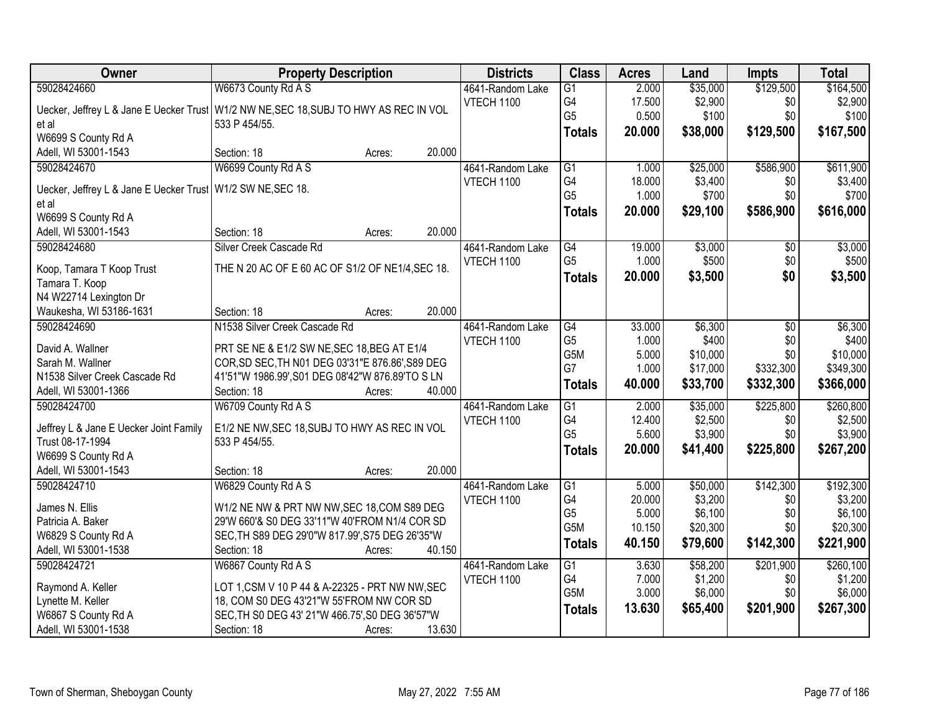| Owner                                   | <b>Property Description</b>                                                             | <b>Districts</b>  | <b>Class</b>    | <b>Acres</b>   | Land                 | <b>Impts</b>     | <b>Total</b>     |
|-----------------------------------------|-----------------------------------------------------------------------------------------|-------------------|-----------------|----------------|----------------------|------------------|------------------|
| 59028424660                             | W6673 County Rd A S                                                                     | 4641-Random Lake  | $\overline{G1}$ | 2.000          | \$35,000             | \$129,500        | \$164,500        |
|                                         | Uecker, Jeffrey L & Jane E Uecker Trust   W1/2 NW NE, SEC 18, SUBJ TO HWY AS REC IN VOL | VTECH 1100        | G4              | 17.500         | \$2,900              | \$0              | \$2,900          |
| et al                                   | 533 P 454/55.                                                                           |                   | G <sub>5</sub>  | 0.500          | \$100                | \$0              | \$100            |
| W6699 S County Rd A                     |                                                                                         |                   | <b>Totals</b>   | 20.000         | \$38,000             | \$129,500        | \$167,500        |
| Adell, WI 53001-1543                    | 20.000<br>Section: 18<br>Acres:                                                         |                   |                 |                |                      |                  |                  |
| 59028424670                             | W6699 County Rd A S                                                                     |                   | $\overline{G1}$ | 1.000          | \$25,000             | \$586,900        | \$611,900        |
|                                         |                                                                                         | 4641-Random Lake  | G4              | 18.000         |                      |                  |                  |
| Uecker, Jeffrey L & Jane E Uecker Trust | W1/2 SW NE, SEC 18.                                                                     | VTECH 1100        | G <sub>5</sub>  | 1.000          | \$3,400<br>\$700     | \$0<br>\$0       | \$3,400<br>\$700 |
| et al                                   |                                                                                         |                   |                 |                |                      |                  |                  |
| W6699 S County Rd A                     |                                                                                         |                   | <b>Totals</b>   | 20.000         | \$29,100             | \$586,900        | \$616,000        |
| Adell, WI 53001-1543                    | 20.000<br>Section: 18<br>Acres:                                                         |                   |                 |                |                      |                  |                  |
| 59028424680                             | Silver Creek Cascade Rd                                                                 | 4641-Random Lake  | G4              | 19.000         | \$3,000              | \$0              | \$3,000          |
|                                         |                                                                                         | <b>VTECH 1100</b> | G <sub>5</sub>  | 1.000          | \$500                | \$0              | \$500            |
| Koop, Tamara T Koop Trust               | THE N 20 AC OF E 60 AC OF S1/2 OF NE1/4, SEC 18.                                        |                   | <b>Totals</b>   | 20,000         | \$3,500              | \$0              | \$3,500          |
| Tamara T. Koop                          |                                                                                         |                   |                 |                |                      |                  |                  |
| N4 W22714 Lexington Dr                  | 20.000                                                                                  |                   |                 |                |                      |                  |                  |
| Waukesha, WI 53186-1631                 | Section: 18<br>Acres:                                                                   |                   |                 |                |                      |                  |                  |
| 59028424690                             | N1538 Silver Creek Cascade Rd                                                           | 4641-Random Lake  | G4              | 33.000         | \$6,300              | $\sqrt{6}$       | \$6,300          |
| David A. Wallner                        | PRT SE NE & E1/2 SW NE, SEC 18, BEG AT E1/4                                             | VTECH 1100        | G <sub>5</sub>  | 1.000          | \$400                | \$0              | \$400            |
| Sarah M. Wallner                        | COR, SD SEC, TH N01 DEG 03'31"E 876.86', S89 DEG                                        |                   | G5M<br>G7       | 5.000<br>1.000 | \$10,000<br>\$17,000 | \$0<br>\$332,300 | \$10,000         |
| N1538 Silver Creek Cascade Rd           | 41'51"W 1986.99', S01 DEG 08'42"W 876.89'TO S LN                                        |                   |                 |                |                      |                  | \$349,300        |
| Adell, WI 53001-1366                    | Section: 18<br>40.000<br>Acres:                                                         |                   | <b>Totals</b>   | 40.000         | \$33,700             | \$332,300        | \$366,000        |
| 59028424700                             | W6709 County Rd A S                                                                     | 4641-Random Lake  | $\overline{G1}$ | 2.000          | \$35,000             | \$225,800        | \$260,800        |
|                                         |                                                                                         | VTECH 1100        | G4              | 12.400         | \$2,500              | \$0              | \$2,500          |
| Jeffrey L & Jane E Uecker Joint Family  | E1/2 NE NW, SEC 18, SUBJ TO HWY AS REC IN VOL                                           |                   | G <sub>5</sub>  | 5.600          | \$3,900              | \$0              | \$3,900          |
| Trust 08-17-1994                        | 533 P 454/55.                                                                           |                   | <b>Totals</b>   | 20.000         | \$41,400             | \$225,800        | \$267,200        |
| W6699 S County Rd A                     |                                                                                         |                   |                 |                |                      |                  |                  |
| Adell, WI 53001-1543                    | 20.000<br>Section: 18<br>Acres:                                                         |                   |                 |                |                      |                  |                  |
| 59028424710                             | W6829 County Rd A S                                                                     | 4641-Random Lake  | G1              | 5.000          | \$50,000             | \$142,300        | \$192,300        |
| James N. Ellis                          | W1/2 NE NW & PRT NW NW, SEC 18, COM S89 DEG                                             | <b>VTECH 1100</b> | G4              | 20.000         | \$3,200              | \$0              | \$3,200          |
| Patricia A. Baker                       | 29'W 660'& S0 DEG 33'11"W 40'FROM N1/4 COR SD                                           |                   | G <sub>5</sub>  | 5.000          | \$6,100              | \$0              | \$6,100          |
| W6829 S County Rd A                     | SEC, TH S89 DEG 29'0"W 817.99', S75 DEG 26'35"W                                         |                   | G5M             | 10.150         | \$20,300             | \$0              | \$20,300         |
| Adell, WI 53001-1538                    | Section: 18<br>40.150<br>Acres:                                                         |                   | <b>Totals</b>   | 40.150         | \$79,600             | \$142,300        | \$221,900        |
| 59028424721                             | W6867 County Rd A S                                                                     | 4641-Random Lake  | G1              | 3.630          | \$58,200             | \$201,900        | \$260,100        |
|                                         |                                                                                         | VTECH 1100        | G4              | 7.000          | \$1,200              | \$0              | \$1,200          |
| Raymond A. Keller                       | LOT 1,CSM V 10 P 44 & A-22325 - PRT NW NW,SEC                                           |                   | G5M             | 3.000          | \$6,000              | \$0              | \$6,000          |
| Lynette M. Keller                       | 18, COM S0 DEG 43'21"W 55'FROM NW COR SD                                                |                   | <b>Totals</b>   | 13.630         | \$65,400             | \$201,900        | \$267,300        |
| W6867 S County Rd A                     | SEC, TH S0 DEG 43' 21"W 466.75', S0 DEG 36'57"W                                         |                   |                 |                |                      |                  |                  |
| Adell, WI 53001-1538                    | Section: 18<br>13.630<br>Acres:                                                         |                   |                 |                |                      |                  |                  |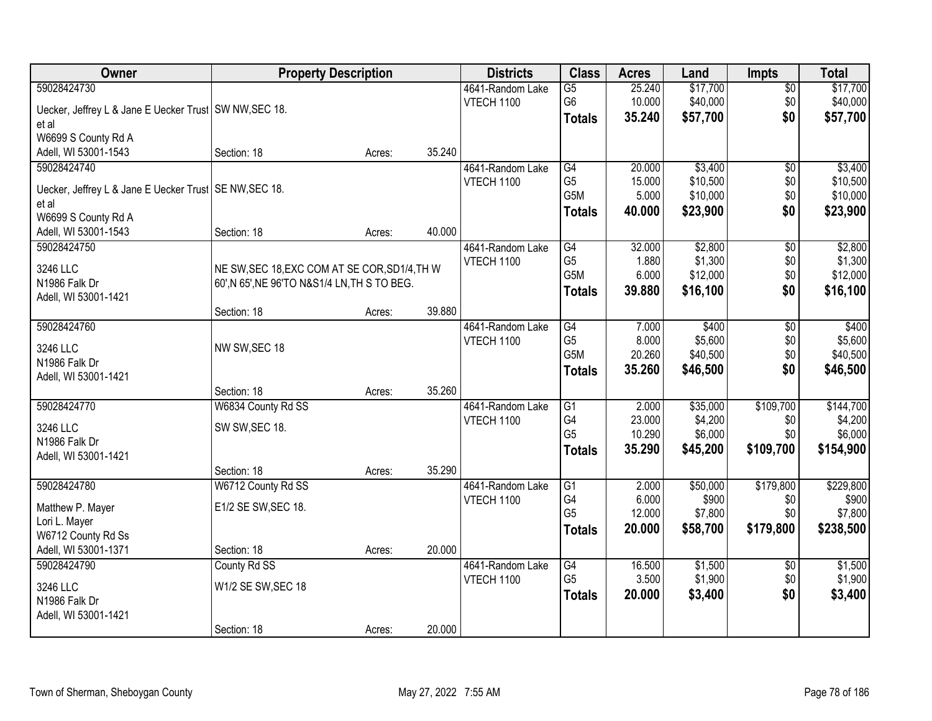| Owner                                                    |                                               | <b>Property Description</b> |        | <b>Districts</b>  | <b>Class</b>         | <b>Acres</b>     | Land     | <b>Impts</b>     | <b>Total</b> |
|----------------------------------------------------------|-----------------------------------------------|-----------------------------|--------|-------------------|----------------------|------------------|----------|------------------|--------------|
| 59028424730                                              |                                               |                             |        | 4641-Random Lake  | $\overline{G5}$      | 25.240           | \$17,700 | $\overline{50}$  | \$17,700     |
| Uecker, Jeffrey L & Jane E Uecker Trust   SW NW, SEC 18. |                                               |                             |        | VTECH 1100        | G <sub>6</sub>       | 10.000           | \$40,000 | \$0              | \$40,000     |
| et al                                                    |                                               |                             |        |                   | <b>Totals</b>        | 35.240           | \$57,700 | \$0              | \$57,700     |
| W6699 S County Rd A                                      |                                               |                             |        |                   |                      |                  |          |                  |              |
| Adell, WI 53001-1543                                     | Section: 18                                   | Acres:                      | 35.240 |                   |                      |                  |          |                  |              |
| 59028424740                                              |                                               |                             |        | 4641-Random Lake  | $\overline{G4}$      | 20.000           | \$3,400  | $\overline{50}$  | \$3,400      |
| Uecker, Jeffrey L & Jane E Uecker Trust   SE NW, SEC 18. |                                               |                             |        | <b>VTECH 1100</b> | G <sub>5</sub>       | 15.000           | \$10,500 | \$0              | \$10,500     |
| et al                                                    |                                               |                             |        |                   | G5M                  | 5.000            | \$10,000 | \$0              | \$10,000     |
| W6699 S County Rd A                                      |                                               |                             |        |                   | <b>Totals</b>        | 40.000           | \$23,900 | \$0              | \$23,900     |
| Adell, WI 53001-1543                                     | Section: 18                                   | Acres:                      | 40.000 |                   |                      |                  |          |                  |              |
| 59028424750                                              |                                               |                             |        | 4641-Random Lake  | G4                   | 32.000           | \$2,800  | $\overline{50}$  | \$2,800      |
| 3246 LLC                                                 | NE SW, SEC 18, EXC COM AT SE COR, SD1/4, TH W |                             |        | <b>VTECH 1100</b> | G <sub>5</sub>       | 1.880            | \$1,300  | \$0              | \$1,300      |
| N1986 Falk Dr                                            | 60', N 65', NE 96'TO N&S1/4 LN, TH S TO BEG.  |                             |        |                   | G5M                  | 6.000            | \$12,000 | \$0              | \$12,000     |
| Adell, WI 53001-1421                                     |                                               |                             |        |                   | <b>Totals</b>        | 39.880           | \$16,100 | \$0              | \$16,100     |
|                                                          | Section: 18                                   | Acres:                      | 39.880 |                   |                      |                  |          |                  |              |
| 59028424760                                              |                                               |                             |        | 4641-Random Lake  | G4                   | 7.000            | \$400    | \$0              | \$400        |
| 3246 LLC                                                 | NW SW, SEC 18                                 |                             |        | <b>VTECH 1100</b> | G <sub>5</sub>       | 8.000            | \$5,600  | \$0              | \$5,600      |
| N1986 Falk Dr                                            |                                               |                             |        |                   | G5M                  | 20.260           | \$40,500 | \$0<br>\$0       | \$40,500     |
| Adell, WI 53001-1421                                     |                                               |                             |        |                   | <b>Totals</b>        | 35.260           | \$46,500 |                  | \$46,500     |
|                                                          | Section: 18                                   | Acres:                      | 35.260 |                   |                      |                  |          |                  |              |
| 59028424770                                              | W6834 County Rd SS                            |                             |        | 4641-Random Lake  | $\overline{G1}$      | 2.000            | \$35,000 | \$109,700        | \$144,700    |
| 3246 LLC                                                 | SW SW, SEC 18.                                |                             |        | <b>VTECH 1100</b> | G4                   | 23.000           | \$4,200  | \$0              | \$4,200      |
| N1986 Falk Dr                                            |                                               |                             |        |                   | G <sub>5</sub>       | 10.290<br>35.290 | \$6,000  | \$0<br>\$109,700 | \$6,000      |
| Adell, WI 53001-1421                                     |                                               |                             |        |                   | <b>Totals</b>        |                  | \$45,200 |                  | \$154,900    |
|                                                          | Section: 18                                   | Acres:                      | 35.290 |                   |                      |                  |          |                  |              |
| 59028424780                                              | W6712 County Rd SS                            |                             |        | 4641-Random Lake  | G1                   | 2.000            | \$50,000 | \$179,800        | \$229,800    |
| Matthew P. Mayer                                         | E1/2 SE SW, SEC 18.                           |                             |        | <b>VTECH 1100</b> | G4<br>G <sub>5</sub> | 6.000            | \$900    | \$0              | \$900        |
| Lori L. Mayer                                            |                                               |                             |        |                   |                      | 12.000           | \$7,800  | \$0              | \$7,800      |
| W6712 County Rd Ss                                       |                                               |                             |        |                   | <b>Totals</b>        | 20.000           | \$58,700 | \$179,800        | \$238,500    |
| Adell, WI 53001-1371                                     | Section: 18                                   | Acres:                      | 20.000 |                   |                      |                  |          |                  |              |
| 59028424790                                              | County Rd SS                                  |                             |        | 4641-Random Lake  | G4                   | 16.500           | \$1,500  | $\overline{50}$  | \$1,500      |
| 3246 LLC                                                 | W1/2 SE SW, SEC 18                            |                             |        | <b>VTECH 1100</b> | G <sub>5</sub>       | 3.500            | \$1,900  | \$0              | \$1,900      |
| N1986 Falk Dr                                            |                                               |                             |        |                   | <b>Totals</b>        | 20.000           | \$3,400  | \$0              | \$3,400      |
| Adell, WI 53001-1421                                     |                                               |                             |        |                   |                      |                  |          |                  |              |
|                                                          | Section: 18                                   | Acres:                      | 20.000 |                   |                      |                  |          |                  |              |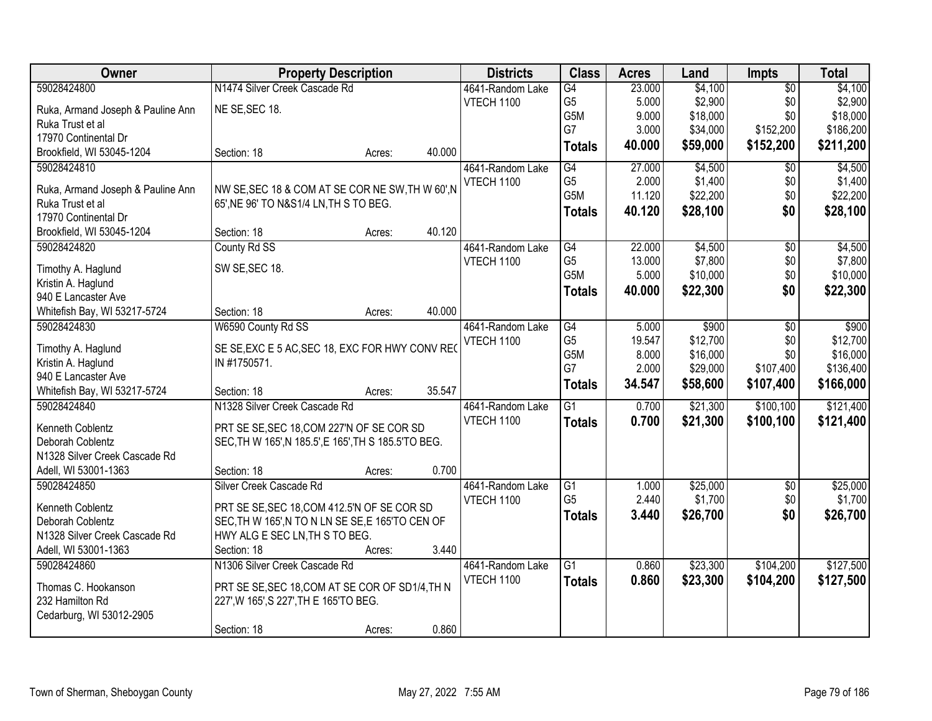| Owner                             |                                                       | <b>Property Description</b> |        | <b>Districts</b>  | <b>Class</b>     | <b>Acres</b> | Land     | <b>Impts</b>    | <b>Total</b> |
|-----------------------------------|-------------------------------------------------------|-----------------------------|--------|-------------------|------------------|--------------|----------|-----------------|--------------|
| 59028424800                       | N1474 Silver Creek Cascade Rd                         |                             |        | 4641-Random Lake  | G4               | 23.000       | \$4,100  | $\overline{50}$ | \$4,100      |
| Ruka, Armand Joseph & Pauline Ann | NE SE, SEC 18.                                        |                             |        | VTECH 1100        | G <sub>5</sub>   | 5.000        | \$2,900  | \$0             | \$2,900      |
| Ruka Trust et al                  |                                                       |                             |        |                   | G5M              | 9.000        | \$18,000 | \$0             | \$18,000     |
| 17970 Continental Dr              |                                                       |                             |        |                   | G7               | 3.000        | \$34,000 | \$152,200       | \$186,200    |
| Brookfield, WI 53045-1204         | Section: 18                                           | Acres:                      | 40.000 |                   | <b>Totals</b>    | 40.000       | \$59,000 | \$152,200       | \$211,200    |
| 59028424810                       |                                                       |                             |        | 4641-Random Lake  | G4               | 27.000       | \$4,500  | $\overline{50}$ | \$4,500      |
|                                   |                                                       |                             |        | <b>VTECH 1100</b> | G <sub>5</sub>   | 2.000        | \$1,400  | \$0             | \$1,400      |
| Ruka, Armand Joseph & Pauline Ann | NW SE, SEC 18 & COM AT SE COR NE SW, TH W 60', N      |                             |        |                   | G5M              | 11.120       | \$22,200 | \$0             | \$22,200     |
| Ruka Trust et al                  | 65', NE 96' TO N&S1/4 LN, TH S TO BEG.                |                             |        |                   | <b>Totals</b>    | 40.120       | \$28,100 | \$0             | \$28,100     |
| 17970 Continental Dr              |                                                       |                             |        |                   |                  |              |          |                 |              |
| Brookfield, WI 53045-1204         | Section: 18                                           | Acres:                      | 40.120 |                   |                  |              |          |                 |              |
| 59028424820                       | County Rd SS                                          |                             |        | 4641-Random Lake  | $\overline{G4}$  | 22.000       | \$4,500  | $\overline{50}$ | \$4,500      |
| Timothy A. Haglund                | SW SE, SEC 18.                                        |                             |        | <b>VTECH 1100</b> | G <sub>5</sub>   | 13.000       | \$7,800  | \$0             | \$7,800      |
| Kristin A. Haglund                |                                                       |                             |        |                   | G <sub>5</sub> M | 5.000        | \$10,000 | \$0             | \$10,000     |
| 940 E Lancaster Ave               |                                                       |                             |        |                   | <b>Totals</b>    | 40.000       | \$22,300 | \$0             | \$22,300     |
| Whitefish Bay, WI 53217-5724      | Section: 18                                           | Acres:                      | 40.000 |                   |                  |              |          |                 |              |
| 59028424830                       | W6590 County Rd SS                                    |                             |        | 4641-Random Lake  | G4               | 5.000        | \$900    | \$0             | \$900        |
|                                   |                                                       |                             |        | <b>VTECH 1100</b> | G <sub>5</sub>   | 19.547       | \$12,700 | \$0             | \$12,700     |
| Timothy A. Haglund                | SE SE, EXC E 5 AC, SEC 18, EXC FOR HWY CONV REC       |                             |        |                   | G5M              | 8.000        | \$16,000 | \$0             | \$16,000     |
| Kristin A. Haglund                | IN #1750571.                                          |                             |        |                   | G7               | 2.000        | \$29,000 | \$107,400       | \$136,400    |
| 940 E Lancaster Ave               |                                                       |                             |        |                   |                  |              |          |                 |              |
| Whitefish Bay, WI 53217-5724      | Section: 18                                           | Acres:                      | 35.547 |                   | <b>Totals</b>    | 34.547       | \$58,600 | \$107,400       | \$166,000    |
| 59028424840                       | N1328 Silver Creek Cascade Rd                         |                             |        | 4641-Random Lake  | $\overline{G1}$  | 0.700        | \$21,300 | \$100, 100      | \$121,400    |
| Kenneth Coblentz                  | PRT SE SE, SEC 18, COM 227'N OF SE COR SD             |                             |        | VTECH 1100        | <b>Totals</b>    | 0.700        | \$21,300 | \$100,100       | \$121,400    |
| Deborah Coblentz                  | SEC, TH W 165', N 185.5', E 165', TH S 185.5' TO BEG. |                             |        |                   |                  |              |          |                 |              |
| N1328 Silver Creek Cascade Rd     |                                                       |                             |        |                   |                  |              |          |                 |              |
| Adell, WI 53001-1363              | Section: 18                                           | Acres:                      | 0.700  |                   |                  |              |          |                 |              |
| 59028424850                       | Silver Creek Cascade Rd                               |                             |        | 4641-Random Lake  | G1               | 1.000        | \$25,000 | $\overline{50}$ | \$25,000     |
|                                   |                                                       |                             |        | VTECH 1100        | G <sub>5</sub>   | 2.440        | \$1,700  | \$0             | \$1,700      |
| Kenneth Coblentz                  | PRT SE SE, SEC 18, COM 412.5'N OF SE COR SD           |                             |        |                   | <b>Totals</b>    | 3.440        | \$26,700 | \$0             | \$26,700     |
| Deborah Coblentz                  | SEC, TH W 165', N TO N LN SE SE, E 165'TO CEN OF      |                             |        |                   |                  |              |          |                 |              |
| N1328 Silver Creek Cascade Rd     | HWY ALG E SEC LN, TH S TO BEG.                        |                             |        |                   |                  |              |          |                 |              |
| Adell, WI 53001-1363              | Section: 18                                           | Acres:                      | 3.440  |                   |                  |              |          |                 |              |
| 59028424860                       | N1306 Silver Creek Cascade Rd                         |                             |        | 4641-Random Lake  | $\overline{G1}$  | 0.860        | \$23,300 | \$104,200       | \$127,500    |
| Thomas C. Hookanson               | PRT SE SE, SEC 18, COM AT SE COR OF SD1/4, TH N       |                             |        | VTECH 1100        | <b>Totals</b>    | 0.860        | \$23,300 | \$104,200       | \$127,500    |
| 232 Hamilton Rd                   | 227', W 165', S 227', TH E 165'TO BEG.                |                             |        |                   |                  |              |          |                 |              |
| Cedarburg, WI 53012-2905          |                                                       |                             |        |                   |                  |              |          |                 |              |
|                                   | Section: 18                                           | Acres:                      | 0.860  |                   |                  |              |          |                 |              |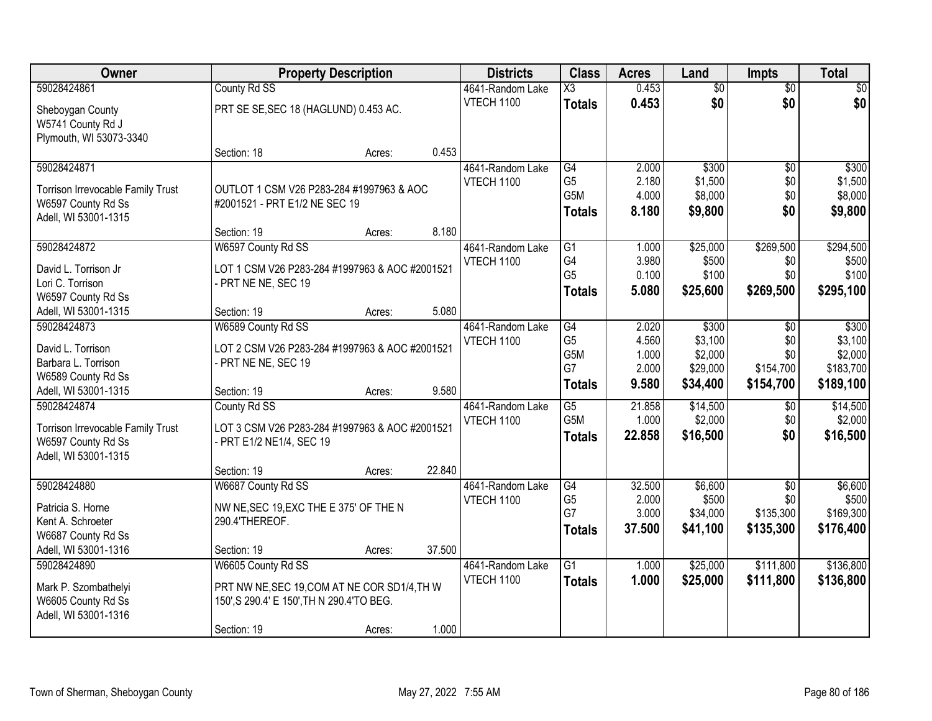| Owner                             |                                                | <b>Property Description</b> |        | <b>Districts</b>                      | <b>Class</b>                        | <b>Acres</b>    | Land                 | <b>Impts</b>       | <b>Total</b>        |
|-----------------------------------|------------------------------------------------|-----------------------------|--------|---------------------------------------|-------------------------------------|-----------------|----------------------|--------------------|---------------------|
| 59028424861                       | County Rd SS                                   |                             |        | 4641-Random Lake                      | $\overline{\chi_3}$                 | 0.453           | $\overline{50}$      | $\overline{50}$    | \$0                 |
| Sheboygan County                  | PRT SE SE, SEC 18 (HAGLUND) 0.453 AC.          |                             |        | VTECH 1100                            | <b>Totals</b>                       | 0.453           | \$0                  | \$0                | \$0                 |
| W5741 County Rd J                 |                                                |                             |        |                                       |                                     |                 |                      |                    |                     |
| Plymouth, WI 53073-3340           |                                                |                             |        |                                       |                                     |                 |                      |                    |                     |
|                                   | Section: 18                                    | Acres:                      | 0.453  |                                       |                                     |                 |                      |                    |                     |
| 59028424871                       |                                                |                             |        | 4641-Random Lake                      | G4                                  | 2.000           | \$300                | $\overline{50}$    | \$300               |
| Torrison Irrevocable Family Trust | OUTLOT 1 CSM V26 P283-284 #1997963 & AOC       |                             |        | <b>VTECH 1100</b>                     | G <sub>5</sub><br>G <sub>5</sub> M  | 2.180<br>4.000  | \$1,500<br>\$8,000   | \$0<br>\$0         | \$1,500<br>\$8,000  |
| W6597 County Rd Ss                | #2001521 - PRT E1/2 NE SEC 19                  |                             |        |                                       | <b>Totals</b>                       | 8.180           | \$9,800              | \$0                | \$9,800             |
| Adell, WI 53001-1315              |                                                |                             |        |                                       |                                     |                 |                      |                    |                     |
|                                   | Section: 19                                    | Acres:                      | 8.180  |                                       |                                     |                 |                      |                    |                     |
| 59028424872                       | W6597 County Rd SS                             |                             |        | 4641-Random Lake                      | G1                                  | 1.000           | \$25,000             | \$269,500          | \$294,500           |
| David L. Torrison Jr              | LOT 1 CSM V26 P283-284 #1997963 & AOC #2001521 |                             |        | <b>VTECH 1100</b>                     | G4<br>G <sub>5</sub>                | 3.980<br>0.100  | \$500<br>\$100       | \$0<br>\$0         | \$500<br>\$100      |
| Lori C. Torrison                  | - PRT NE NE, SEC 19                            |                             |        |                                       | <b>Totals</b>                       | 5.080           | \$25,600             | \$269,500          | \$295,100           |
| W6597 County Rd Ss                |                                                |                             |        |                                       |                                     |                 |                      |                    |                     |
| Adell, WI 53001-1315              | Section: 19                                    | Acres:                      | 5.080  |                                       |                                     |                 |                      |                    |                     |
| 59028424873                       | W6589 County Rd SS                             |                             |        | 4641-Random Lake                      | G4<br>G <sub>5</sub>                | 2.020<br>4.560  | \$300<br>\$3,100     | $\sqrt[6]{3}$      | \$300<br>\$3,100    |
| David L. Torrison                 | LOT 2 CSM V26 P283-284 #1997963 & AOC #2001521 |                             |        | VTECH 1100                            | G5M                                 | 1.000           | \$2,000              | \$0<br>\$0         | \$2,000             |
| Barbara L. Torrison               | - PRT NE NE, SEC 19                            |                             |        |                                       | G7                                  | 2.000           | \$29,000             | \$154,700          | \$183,700           |
| W6589 County Rd Ss                |                                                |                             |        |                                       | <b>Totals</b>                       | 9.580           | \$34,400             | \$154,700          | \$189,100           |
| Adell, WI 53001-1315              | Section: 19                                    | Acres:                      | 9.580  |                                       |                                     |                 |                      |                    |                     |
| 59028424874                       | County Rd SS                                   |                             |        | 4641-Random Lake<br>VTECH 1100        | $\overline{G5}$<br>G <sub>5</sub> M | 21.858<br>1.000 | \$14,500<br>\$2,000  | \$0<br>\$0         | \$14,500<br>\$2,000 |
| Torrison Irrevocable Family Trust | LOT 3 CSM V26 P283-284 #1997963 & AOC #2001521 |                             |        |                                       | <b>Totals</b>                       | 22.858          | \$16,500             | \$0                | \$16,500            |
| W6597 County Rd Ss                | - PRT E1/2 NE1/4, SEC 19                       |                             |        |                                       |                                     |                 |                      |                    |                     |
| Adell, WI 53001-1315              |                                                |                             |        |                                       |                                     |                 |                      |                    |                     |
|                                   | Section: 19                                    | Acres:                      | 22.840 |                                       |                                     |                 |                      |                    |                     |
| 59028424880                       | W6687 County Rd SS                             |                             |        | 4641-Random Lake<br><b>VTECH 1100</b> | G4<br>G <sub>5</sub>                | 32.500<br>2.000 | \$6,600<br>\$500     | $\sqrt{$0}$<br>\$0 | \$6,600<br>\$500    |
| Patricia S. Horne                 | NW NE, SEC 19, EXC THE E 375' OF THE N         |                             |        |                                       | G7                                  | 3.000           | \$34,000             | \$135,300          | \$169,300           |
| Kent A. Schroeter                 | 290.4'THEREOF.                                 |                             |        |                                       | <b>Totals</b>                       | 37,500          | \$41,100             | \$135,300          | \$176,400           |
| W6687 County Rd Ss                |                                                |                             |        |                                       |                                     |                 |                      |                    |                     |
| Adell, WI 53001-1316              | Section: 19                                    | Acres:                      | 37.500 |                                       |                                     |                 |                      |                    |                     |
| 59028424890                       | W6605 County Rd SS                             |                             |        | 4641-Random Lake<br><b>VTECH 1100</b> | $\overline{G1}$                     | 1.000<br>1.000  | \$25,000<br>\$25,000 | \$111,800          | \$136,800           |
| Mark P. Szombathelyi              | PRT NW NE, SEC 19, COM AT NE COR SD1/4, TH W   |                             |        |                                       | <b>Totals</b>                       |                 |                      | \$111,800          | \$136,800           |
| W6605 County Rd Ss                | 150', S 290.4' E 150', TH N 290.4'TO BEG.      |                             |        |                                       |                                     |                 |                      |                    |                     |
| Adell, WI 53001-1316              |                                                |                             |        |                                       |                                     |                 |                      |                    |                     |
|                                   | Section: 19                                    | Acres:                      | 1.000  |                                       |                                     |                 |                      |                    |                     |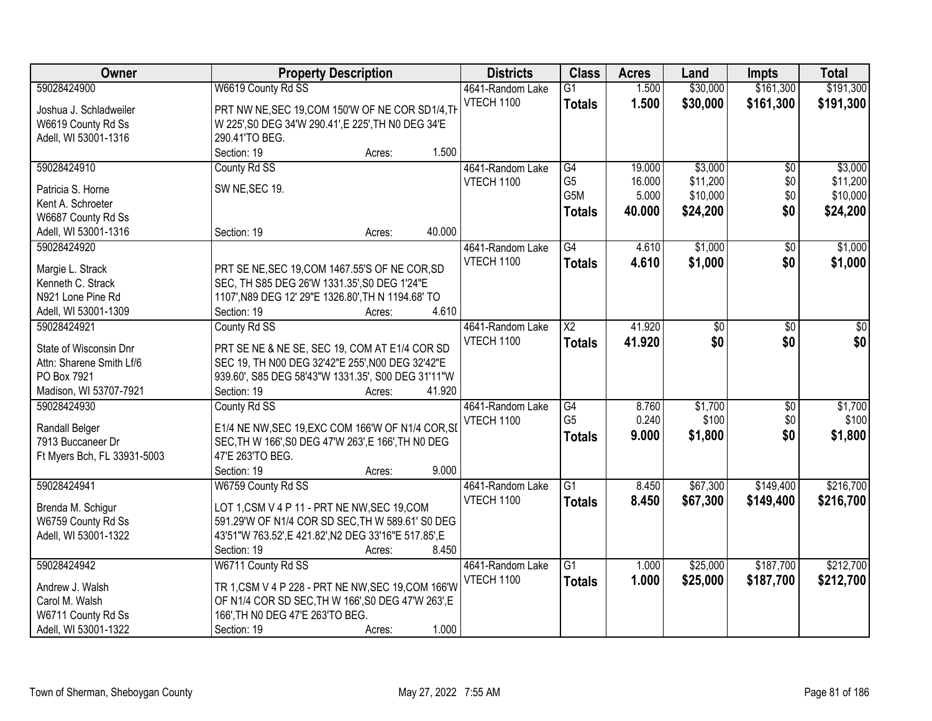| Owner                       | <b>Property Description</b>                           | <b>Districts</b>  | <b>Class</b>     | <b>Acres</b> | Land     | <b>Impts</b>    | <b>Total</b> |
|-----------------------------|-------------------------------------------------------|-------------------|------------------|--------------|----------|-----------------|--------------|
| 59028424900                 | W6619 County Rd SS                                    | 4641-Random Lake  | $\overline{G1}$  | 1.500        | \$30,000 | \$161,300       | \$191,300    |
| Joshua J. Schladweiler      | PRT NW NE, SEC 19, COM 150'W OF NE COR SD1/4, TH      | <b>VTECH 1100</b> | <b>Totals</b>    | 1.500        | \$30,000 | \$161,300       | \$191,300    |
| W6619 County Rd Ss          | W 225', S0 DEG 34'W 290.41', E 225', TH N0 DEG 34'E   |                   |                  |              |          |                 |              |
| Adell, WI 53001-1316        | 290.41'TO BEG.                                        |                   |                  |              |          |                 |              |
|                             | 1.500<br>Section: 19<br>Acres:                        |                   |                  |              |          |                 |              |
| 59028424910                 | County Rd SS                                          | 4641-Random Lake  | G4               | 19.000       | \$3,000  | $\overline{50}$ | \$3,000      |
|                             |                                                       | VTECH 1100        | G <sub>5</sub>   | 16.000       | \$11,200 | \$0             | \$11,200     |
| Patricia S. Horne           | SW NE, SEC 19.                                        |                   | G <sub>5</sub> M | 5.000        | \$10,000 | \$0             | \$10,000     |
| Kent A. Schroeter           |                                                       |                   | <b>Totals</b>    | 40.000       | \$24,200 | \$0             | \$24,200     |
| W6687 County Rd Ss          |                                                       |                   |                  |              |          |                 |              |
| Adell, WI 53001-1316        | 40.000<br>Section: 19<br>Acres:                       |                   |                  |              |          |                 |              |
| 59028424920                 |                                                       | 4641-Random Lake  | $\overline{G4}$  | 4.610        | \$1,000  | $\overline{50}$ | \$1,000      |
| Margie L. Strack            | PRT SE NE, SEC 19, COM 1467.55'S OF NE COR, SD        | <b>VTECH 1100</b> | <b>Totals</b>    | 4.610        | \$1,000  | \$0             | \$1,000      |
| Kenneth C. Strack           | SEC, TH S85 DEG 26'W 1331.35', S0 DEG 1'24"E          |                   |                  |              |          |                 |              |
| N921 Lone Pine Rd           | 1107', N89 DEG 12' 29"E 1326.80', TH N 1194.68' TO    |                   |                  |              |          |                 |              |
| Adell, WI 53001-1309        | Section: 19<br>4.610<br>Acres:                        |                   |                  |              |          |                 |              |
| 59028424921                 | County Rd SS                                          | 4641-Random Lake  | X2               | 41.920       | \$0      | \$0             | \$0          |
|                             |                                                       | VTECH 1100        |                  | 41.920       | \$0      | \$0             | \$0          |
| State of Wisconsin Dnr      | PRT SE NE & NE SE, SEC 19, COM AT E1/4 COR SD         |                   | <b>Totals</b>    |              |          |                 |              |
| Attn: Sharene Smith Lf/6    | SEC 19, TH N00 DEG 32'42"E 255', N00 DEG 32'42"E      |                   |                  |              |          |                 |              |
| PO Box 7921                 | 939.60', S85 DEG 58'43"W 1331.35', S00 DEG 31'11"W    |                   |                  |              |          |                 |              |
| Madison, WI 53707-7921      | 41.920<br>Section: 19<br>Acres:                       |                   |                  |              |          |                 |              |
| 59028424930                 | County Rd SS                                          | 4641-Random Lake  | $\overline{G4}$  | 8.760        | \$1,700  | $\overline{50}$ | \$1,700      |
| <b>Randall Belger</b>       | E1/4 NE NW, SEC 19, EXC COM 166'W OF N1/4 COR, SI     | VTECH 1100        | G <sub>5</sub>   | 0.240        | \$100    | \$0             | \$100        |
| 7913 Buccaneer Dr           | SEC, TH W 166', S0 DEG 47'W 263', E 166', TH N0 DEG   |                   | <b>Totals</b>    | 9.000        | \$1,800  | \$0             | \$1,800      |
| Ft Myers Bch, FL 33931-5003 | 47'E 263'TO BEG.                                      |                   |                  |              |          |                 |              |
|                             | 9.000<br>Section: 19                                  |                   |                  |              |          |                 |              |
|                             | Acres:                                                |                   |                  |              |          |                 |              |
| 59028424941                 | W6759 County Rd SS                                    | 4641-Random Lake  | $\overline{G1}$  | 8.450        | \$67,300 | \$149,400       | \$216,700    |
| Brenda M. Schigur           | LOT 1,CSM V 4 P 11 - PRT NE NW, SEC 19, COM           | <b>VTECH 1100</b> | <b>Totals</b>    | 8.450        | \$67,300 | \$149,400       | \$216,700    |
| W6759 County Rd Ss          | 591.29'W OF N1/4 COR SD SEC, TH W 589.61' S0 DEG      |                   |                  |              |          |                 |              |
| Adell, WI 53001-1322        | 43'51"W 763.52', E 421.82', N2 DEG 33'16"E 517.85', E |                   |                  |              |          |                 |              |
|                             | 8.450<br>Section: 19<br>Acres:                        |                   |                  |              |          |                 |              |
| 59028424942                 | W6711 County Rd SS                                    | 4641-Random Lake  | $\overline{G1}$  | 1.000        | \$25,000 | \$187,700       | \$212,700    |
|                             |                                                       | <b>VTECH 1100</b> | <b>Totals</b>    | 1.000        | \$25,000 | \$187,700       | \$212,700    |
| Andrew J. Walsh             | TR 1, CSM V 4 P 228 - PRT NE NW, SEC 19, COM 166'W    |                   |                  |              |          |                 |              |
| Carol M. Walsh              | OF N1/4 COR SD SEC, TH W 166', S0 DEG 47'W 263', E    |                   |                  |              |          |                 |              |
| W6711 County Rd Ss          | 166', TH NO DEG 47'E 263'TO BEG.                      |                   |                  |              |          |                 |              |
| Adell, WI 53001-1322        | 1.000<br>Section: 19<br>Acres:                        |                   |                  |              |          |                 |              |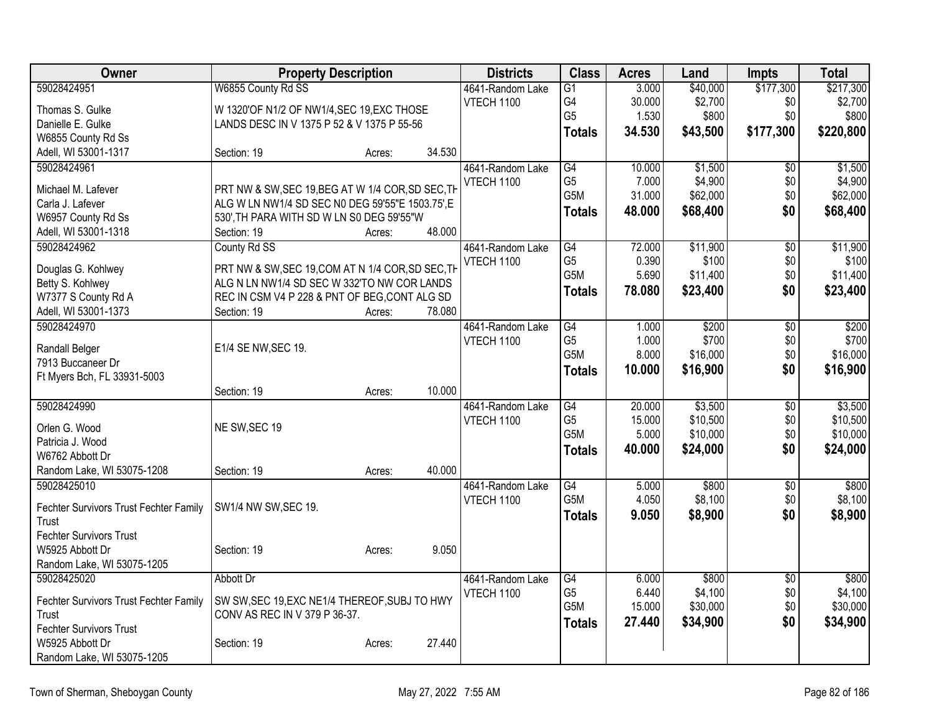| Owner                                      | <b>Property Description</b>                              |        | <b>Districts</b>  | <b>Class</b>     | <b>Acres</b> | Land     | <b>Impts</b>    | <b>Total</b> |
|--------------------------------------------|----------------------------------------------------------|--------|-------------------|------------------|--------------|----------|-----------------|--------------|
| 59028424951                                | W6855 County Rd SS                                       |        | 4641-Random Lake  | $\overline{G1}$  | 3.000        | \$40,000 | \$177,300       | \$217,300    |
| Thomas S. Gulke                            | W 1320'OF N1/2 OF NW1/4, SEC 19, EXC THOSE               |        | VTECH 1100        | G4               | 30.000       | \$2,700  | \$0             | \$2,700      |
| Danielle E. Gulke                          | LANDS DESC IN V 1375 P 52 & V 1375 P 55-56               |        |                   | G <sub>5</sub>   | 1.530        | \$800    | \$0             | \$800        |
| W6855 County Rd Ss                         |                                                          |        |                   | <b>Totals</b>    | 34.530       | \$43,500 | \$177,300       | \$220,800    |
| Adell, WI 53001-1317                       | Section: 19<br>Acres:                                    | 34.530 |                   |                  |              |          |                 |              |
| 59028424961                                |                                                          |        | 4641-Random Lake  | G4               | 10.000       | \$1,500  | \$0             | \$1,500      |
|                                            |                                                          |        | <b>VTECH 1100</b> | G <sub>5</sub>   | 7.000        | \$4,900  | \$0             | \$4,900      |
| Michael M. Lafever                         | PRT NW & SW, SEC 19, BEG AT W 1/4 COR, SD SEC, TH        |        |                   | G5M              | 31.000       | \$62,000 | \$0             | \$62,000     |
| Carla J. Lafever                           | ALG W LN NW1/4 SD SEC N0 DEG 59'55"E 1503.75',E          |        |                   | <b>Totals</b>    | 48.000       | \$68,400 | \$0             | \$68,400     |
| W6957 County Rd Ss<br>Adell, WI 53001-1318 | 530', TH PARA WITH SD W LN S0 DEG 59'55"W<br>Section: 19 | 48.000 |                   |                  |              |          |                 |              |
| 59028424962                                | Acres:<br>County Rd SS                                   |        | 4641-Random Lake  | $\overline{G4}$  | 72.000       | \$11,900 | $\overline{50}$ | \$11,900     |
|                                            |                                                          |        | <b>VTECH 1100</b> | G <sub>5</sub>   | 0.390        | \$100    | \$0             | \$100        |
| Douglas G. Kohlwey                         | PRT NW & SW, SEC 19, COM AT N 1/4 COR, SD SEC, TH        |        |                   | G5M              | 5.690        | \$11,400 | \$0             | \$11,400     |
| Betty S. Kohlwey                           | ALG N LN NW1/4 SD SEC W 332'TO NW COR LANDS              |        |                   |                  | 78.080       | \$23,400 | \$0             | \$23,400     |
| W7377 S County Rd A                        | REC IN CSM V4 P 228 & PNT OF BEG, CONT ALG SD            |        |                   | <b>Totals</b>    |              |          |                 |              |
| Adell, WI 53001-1373                       | Section: 19<br>Acres:                                    | 78.080 |                   |                  |              |          |                 |              |
| 59028424970                                |                                                          |        | 4641-Random Lake  | G4               | 1.000        | \$200    | $\overline{50}$ | \$200        |
| Randall Belger                             | E1/4 SE NW, SEC 19.                                      |        | <b>VTECH 1100</b> | G <sub>5</sub>   | 1.000        | \$700    | \$0             | \$700        |
| 7913 Buccaneer Dr                          |                                                          |        |                   | G <sub>5</sub> M | 8.000        | \$16,000 | \$0             | \$16,000     |
| Ft Myers Bch, FL 33931-5003                |                                                          |        |                   | <b>Totals</b>    | 10.000       | \$16,900 | \$0             | \$16,900     |
|                                            | Section: 19<br>Acres:                                    | 10.000 |                   |                  |              |          |                 |              |
| 59028424990                                |                                                          |        | 4641-Random Lake  | G4               | 20.000       | \$3,500  | \$0             | \$3,500      |
|                                            |                                                          |        | <b>VTECH 1100</b> | G <sub>5</sub>   | 15.000       | \$10,500 | \$0             | \$10,500     |
| Orlen G. Wood                              | NE SW, SEC 19                                            |        |                   | G5M              | 5.000        | \$10,000 | \$0             | \$10,000     |
| Patricia J. Wood                           |                                                          |        |                   | <b>Totals</b>    | 40.000       | \$24,000 | \$0             | \$24,000     |
| W6762 Abbott Dr                            |                                                          |        |                   |                  |              |          |                 |              |
| Random Lake, WI 53075-1208                 | Section: 19<br>Acres:                                    | 40.000 |                   |                  |              |          |                 |              |
| 59028425010                                |                                                          |        | 4641-Random Lake  | G4               | 5.000        | \$800    | $\overline{50}$ | \$800        |
| Fechter Survivors Trust Fechter Family     | SW1/4 NW SW, SEC 19.                                     |        | VTECH 1100        | G <sub>5</sub> M | 4.050        | \$8,100  | \$0             | \$8,100      |
| Trust                                      |                                                          |        |                   | <b>Totals</b>    | 9.050        | \$8,900  | \$0             | \$8,900      |
| <b>Fechter Survivors Trust</b>             |                                                          |        |                   |                  |              |          |                 |              |
| W5925 Abbott Dr                            | Section: 19<br>Acres:                                    | 9.050  |                   |                  |              |          |                 |              |
| Random Lake, WI 53075-1205                 |                                                          |        |                   |                  |              |          |                 |              |
| 59028425020                                | Abbott Dr                                                |        | 4641-Random Lake  | G4               | 6.000        | \$800    | $\overline{50}$ | \$800        |
|                                            |                                                          |        | VTECH 1100        | G <sub>5</sub>   | 6.440        | \$4,100  | \$0             | \$4,100      |
| Fechter Survivors Trust Fechter Family     | SW SW, SEC 19, EXC NE1/4 THEREOF, SUBJ TO HWY            |        |                   | G <sub>5</sub> M | 15.000       | \$30,000 | \$0             | \$30,000     |
| Trust                                      | CONV AS REC IN V 379 P 36-37.                            |        |                   | <b>Totals</b>    | 27.440       | \$34,900 | \$0             | \$34,900     |
| <b>Fechter Survivors Trust</b>             |                                                          |        |                   |                  |              |          |                 |              |
| W5925 Abbott Dr                            | Section: 19<br>Acres:                                    | 27.440 |                   |                  |              |          |                 |              |
| Random Lake, WI 53075-1205                 |                                                          |        |                   |                  |              |          |                 |              |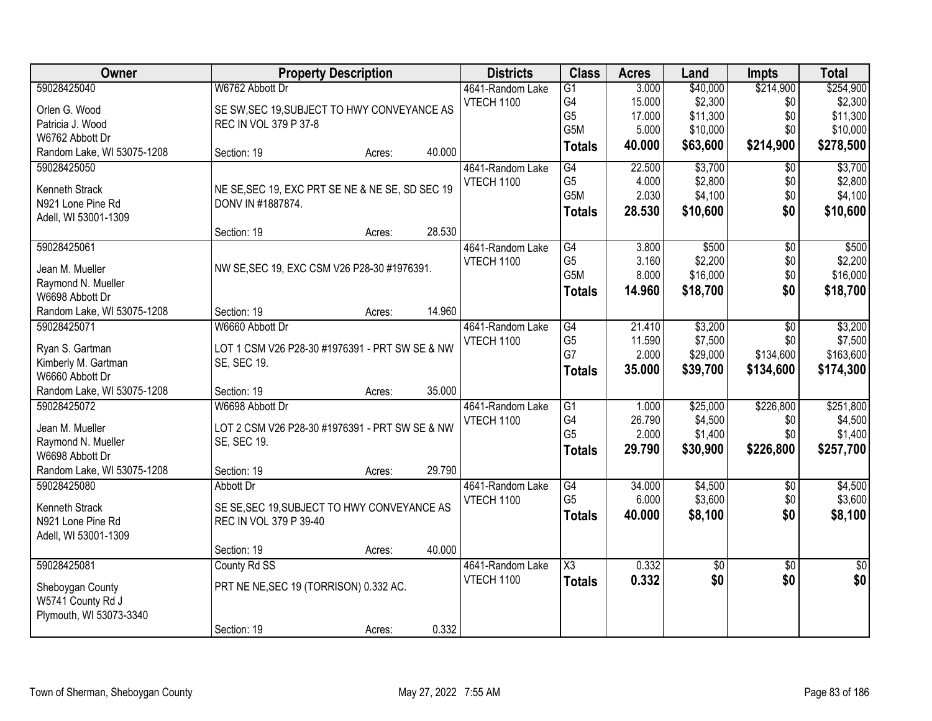| Owner                                         |                                                 | <b>Property Description</b> |        | <b>Districts</b> | <b>Class</b>           | <b>Acres</b> | Land     | <b>Impts</b>    | <b>Total</b>    |
|-----------------------------------------------|-------------------------------------------------|-----------------------------|--------|------------------|------------------------|--------------|----------|-----------------|-----------------|
| 59028425040                                   | W6762 Abbott Dr                                 |                             |        | 4641-Random Lake | $\overline{G1}$        | 3.000        | \$40,000 | \$214,900       | \$254,900       |
| Orlen G. Wood                                 | SE SW, SEC 19, SUBJECT TO HWY CONVEYANCE AS     |                             |        | VTECH 1100       | G4                     | 15.000       | \$2,300  | \$0             | \$2,300         |
| Patricia J. Wood                              | REC IN VOL 379 P 37-8                           |                             |        |                  | G <sub>5</sub>         | 17.000       | \$11,300 | \$0             | \$11,300        |
| W6762 Abbott Dr                               |                                                 |                             |        |                  | G <sub>5</sub> M       | 5.000        | \$10,000 | \$0             | \$10,000        |
| Random Lake, WI 53075-1208                    | Section: 19                                     | Acres:                      | 40.000 |                  | <b>Totals</b>          | 40.000       | \$63,600 | \$214,900       | \$278,500       |
| 59028425050                                   |                                                 |                             |        | 4641-Random Lake | G4                     | 22.500       | \$3,700  | $\overline{30}$ | \$3,700         |
| <b>Kenneth Strack</b>                         | NE SE, SEC 19, EXC PRT SE NE & NE SE, SD SEC 19 |                             |        | VTECH 1100       | G <sub>5</sub>         | 4.000        | \$2,800  | \$0             | \$2,800         |
| N921 Lone Pine Rd                             | DONV IN #1887874.                               |                             |        |                  | G <sub>5</sub> M       | 2.030        | \$4,100  | \$0             | \$4,100         |
| Adell, WI 53001-1309                          |                                                 |                             |        |                  | <b>Totals</b>          | 28.530       | \$10,600 | \$0             | \$10,600        |
|                                               | Section: 19                                     | Acres:                      | 28.530 |                  |                        |              |          |                 |                 |
| 59028425061                                   |                                                 |                             |        | 4641-Random Lake | G4                     | 3.800        | \$500    | \$0             | \$500           |
| Jean M. Mueller                               | NW SE, SEC 19, EXC CSM V26 P28-30 #1976391.     |                             |        | VTECH 1100       | G <sub>5</sub>         | 3.160        | \$2,200  | \$0             | \$2,200         |
| Raymond N. Mueller                            |                                                 |                             |        |                  | G <sub>5</sub> M       | 8.000        | \$16,000 | \$0             | \$16,000        |
| W6698 Abbott Dr                               |                                                 |                             |        |                  | <b>Totals</b>          | 14.960       | \$18,700 | \$0             | \$18,700        |
| Random Lake, WI 53075-1208                    | Section: 19                                     | Acres:                      | 14.960 |                  |                        |              |          |                 |                 |
| 59028425071                                   | W6660 Abbott Dr                                 |                             |        | 4641-Random Lake | G4                     | 21.410       | \$3,200  | \$0             | \$3,200         |
|                                               |                                                 |                             |        | VTECH 1100       | G <sub>5</sub>         | 11.590       | \$7,500  | \$0             | \$7,500         |
| Ryan S. Gartman                               | LOT 1 CSM V26 P28-30 #1976391 - PRT SW SE & NW  |                             |        |                  | G7                     | 2.000        | \$29,000 | \$134,600       | \$163,600       |
| Kimberly M. Gartman                           | SE, SEC 19.                                     |                             |        |                  | <b>Totals</b>          | 35.000       | \$39,700 | \$134,600       | \$174,300       |
| W6660 Abbott Dr<br>Random Lake, WI 53075-1208 | Section: 19                                     |                             | 35.000 |                  |                        |              |          |                 |                 |
| 59028425072                                   | W6698 Abbott Dr                                 | Acres:                      |        | 4641-Random Lake | $\overline{G1}$        | 1.000        | \$25,000 | \$226,800       | \$251,800       |
|                                               |                                                 |                             |        | VTECH 1100       | G4                     | 26.790       | \$4,500  | \$0             | \$4,500         |
| Jean M. Mueller                               | LOT 2 CSM V26 P28-30 #1976391 - PRT SW SE & NW  |                             |        |                  | G <sub>5</sub>         | 2.000        | \$1,400  | \$0             | \$1,400         |
| Raymond N. Mueller                            | SE, SEC 19.                                     |                             |        |                  | <b>Totals</b>          | 29.790       | \$30,900 | \$226,800       | \$257,700       |
| W6698 Abbott Dr                               |                                                 |                             |        |                  |                        |              |          |                 |                 |
| Random Lake, WI 53075-1208                    | Section: 19                                     | Acres:                      | 29.790 |                  |                        |              |          |                 |                 |
| 59028425080                                   | Abbott Dr                                       |                             |        | 4641-Random Lake | $\overline{G4}$        | 34.000       | \$4,500  | $\overline{50}$ | \$4,500         |
| Kenneth Strack                                | SE SE, SEC 19, SUBJECT TO HWY CONVEYANCE AS     |                             |        | VTECH 1100       | G <sub>5</sub>         | 6.000        | \$3,600  | \$0             | \$3,600         |
| N921 Lone Pine Rd                             | REC IN VOL 379 P 39-40                          |                             |        |                  | <b>Totals</b>          | 40.000       | \$8,100  | \$0             | \$8,100         |
| Adell, WI 53001-1309                          |                                                 |                             |        |                  |                        |              |          |                 |                 |
|                                               | Section: 19                                     | Acres:                      | 40.000 |                  |                        |              |          |                 |                 |
| 59028425081                                   | County Rd SS                                    |                             |        | 4641-Random Lake | $\overline{\text{X3}}$ | 0.332        | \$0      | $\overline{50}$ | $\overline{50}$ |
| Sheboygan County                              | PRT NE NE, SEC 19 (TORRISON) 0.332 AC.          |                             |        | VTECH 1100       | <b>Totals</b>          | 0.332        | \$0      | \$0             | \$0             |
| W5741 County Rd J                             |                                                 |                             |        |                  |                        |              |          |                 |                 |
| Plymouth, WI 53073-3340                       |                                                 |                             |        |                  |                        |              |          |                 |                 |
|                                               | Section: 19                                     | Acres:                      | 0.332  |                  |                        |              |          |                 |                 |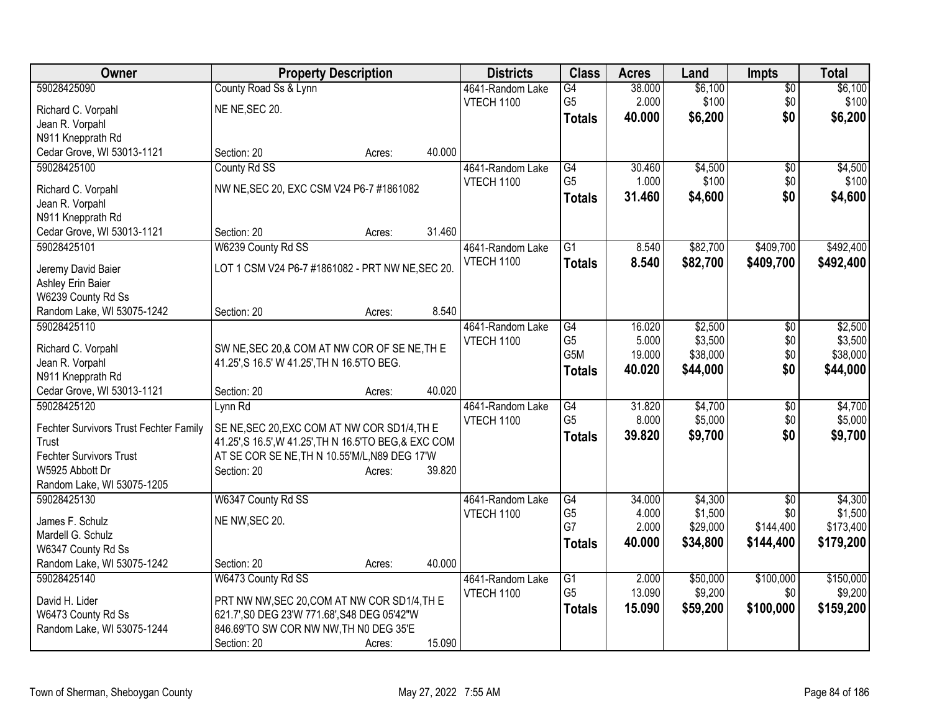| Owner                                   | <b>Property Description</b>                            |        |        | <b>Districts</b>  | <b>Class</b>     | <b>Acres</b> | Land     | <b>Impts</b>    | <b>Total</b> |
|-----------------------------------------|--------------------------------------------------------|--------|--------|-------------------|------------------|--------------|----------|-----------------|--------------|
| 59028425090                             | County Road Ss & Lynn                                  |        |        | 4641-Random Lake  | $\overline{G4}$  | 38.000       | \$6,100  | $\overline{$0}$ | \$6,100      |
| Richard C. Vorpahl                      | NE NE, SEC 20.                                         |        |        | VTECH 1100        | G <sub>5</sub>   | 2.000        | \$100    | \$0             | \$100        |
| Jean R. Vorpahl                         |                                                        |        |        |                   | <b>Totals</b>    | 40.000       | \$6,200  | \$0             | \$6,200      |
| N911 Knepprath Rd                       |                                                        |        |        |                   |                  |              |          |                 |              |
| Cedar Grove, WI 53013-1121              | Section: 20                                            | Acres: | 40.000 |                   |                  |              |          |                 |              |
| 59028425100                             | County Rd SS                                           |        |        | 4641-Random Lake  | G4               | 30.460       | \$4,500  | \$0             | \$4,500      |
| Richard C. Vorpahl                      | NW NE, SEC 20, EXC CSM V24 P6-7 #1861082               |        |        | <b>VTECH 1100</b> | G <sub>5</sub>   | 1.000        | \$100    | \$0             | \$100        |
| Jean R. Vorpahl                         |                                                        |        |        |                   | <b>Totals</b>    | 31.460       | \$4,600  | \$0             | \$4,600      |
| N911 Knepprath Rd                       |                                                        |        |        |                   |                  |              |          |                 |              |
| Cedar Grove, WI 53013-1121              | Section: 20                                            | Acres: | 31.460 |                   |                  |              |          |                 |              |
| 59028425101                             | W6239 County Rd SS                                     |        |        | 4641-Random Lake  | G1               | 8.540        | \$82,700 | \$409,700       | \$492,400    |
|                                         |                                                        |        |        | VTECH 1100        | <b>Totals</b>    | 8.540        | \$82,700 | \$409,700       | \$492,400    |
| Jeremy David Baier                      | LOT 1 CSM V24 P6-7 #1861082 - PRT NW NE, SEC 20.       |        |        |                   |                  |              |          |                 |              |
| Ashley Erin Baier<br>W6239 County Rd Ss |                                                        |        |        |                   |                  |              |          |                 |              |
| Random Lake, WI 53075-1242              | Section: 20                                            | Acres: | 8.540  |                   |                  |              |          |                 |              |
| 59028425110                             |                                                        |        |        | 4641-Random Lake  | $\overline{G4}$  | 16.020       | \$2,500  | $\overline{50}$ | \$2,500      |
|                                         |                                                        |        |        | <b>VTECH 1100</b> | G <sub>5</sub>   | 5.000        | \$3,500  | \$0             | \$3,500      |
| Richard C. Vorpahl                      | SW NE, SEC 20, & COM AT NW COR OF SE NE, TH E          |        |        |                   | G <sub>5</sub> M | 19.000       | \$38,000 | \$0             | \$38,000     |
| Jean R. Vorpahl                         | 41.25', S 16.5' W 41.25', TH N 16.5'TO BEG.            |        |        |                   | <b>Totals</b>    | 40.020       | \$44,000 | \$0             | \$44,000     |
| N911 Knepprath Rd                       |                                                        |        |        |                   |                  |              |          |                 |              |
| Cedar Grove, WI 53013-1121              | Section: 20                                            | Acres: | 40.020 |                   |                  |              |          |                 |              |
| 59028425120                             | Lynn Rd                                                |        |        | 4641-Random Lake  | $\overline{G4}$  | 31.820       | \$4,700  | $\overline{50}$ | \$4,700      |
| Fechter Survivors Trust Fechter Family  | SE NE, SEC 20, EXC COM AT NW COR SD1/4, TH E           |        |        | VTECH 1100        | G <sub>5</sub>   | 8.000        | \$5,000  | \$0             | \$5,000      |
| Trust                                   | 41.25', S 16.5', W 41.25', TH N 16.5'TO BEG, & EXC COM |        |        |                   | <b>Totals</b>    | 39.820       | \$9,700  | \$0             | \$9,700      |
| <b>Fechter Survivors Trust</b>          | AT SE COR SE NE, TH N 10.55'M/L, N89 DEG 17'W          |        |        |                   |                  |              |          |                 |              |
| W5925 Abbott Dr                         | Section: 20                                            | Acres: | 39.820 |                   |                  |              |          |                 |              |
| Random Lake, WI 53075-1205              |                                                        |        |        |                   |                  |              |          |                 |              |
| 59028425130                             | W6347 County Rd SS                                     |        |        | 4641-Random Lake  | G4               | 34.000       | \$4,300  | $\sqrt{6}$      | \$4,300      |
| James F. Schulz                         | NE NW, SEC 20.                                         |        |        | VTECH 1100        | G <sub>5</sub>   | 4.000        | \$1,500  | \$0             | \$1,500      |
| Mardell G. Schulz                       |                                                        |        |        |                   | G7               | 2.000        | \$29,000 | \$144,400       | \$173,400    |
| W6347 County Rd Ss                      |                                                        |        |        |                   | <b>Totals</b>    | 40.000       | \$34,800 | \$144,400       | \$179,200    |
| Random Lake, WI 53075-1242              | Section: 20                                            | Acres: | 40.000 |                   |                  |              |          |                 |              |
| 59028425140                             | W6473 County Rd SS                                     |        |        | 4641-Random Lake  | $\overline{G1}$  | 2.000        | \$50,000 | \$100,000       | \$150,000    |
| David H. Lider                          | PRT NW NW, SEC 20, COM AT NW COR SD1/4, TH E           |        |        | VTECH 1100        | G <sub>5</sub>   | 13.090       | \$9,200  | \$0             | \$9,200      |
| W6473 County Rd Ss                      | 621.7', S0 DEG 23'W 771.68', S48 DEG 05'42"W           |        |        |                   | <b>Totals</b>    | 15.090       | \$59,200 | \$100,000       | \$159,200    |
| Random Lake, WI 53075-1244              | 846.69'TO SW COR NW NW, TH N0 DEG 35'E                 |        |        |                   |                  |              |          |                 |              |
|                                         | Section: 20                                            | Acres: | 15.090 |                   |                  |              |          |                 |              |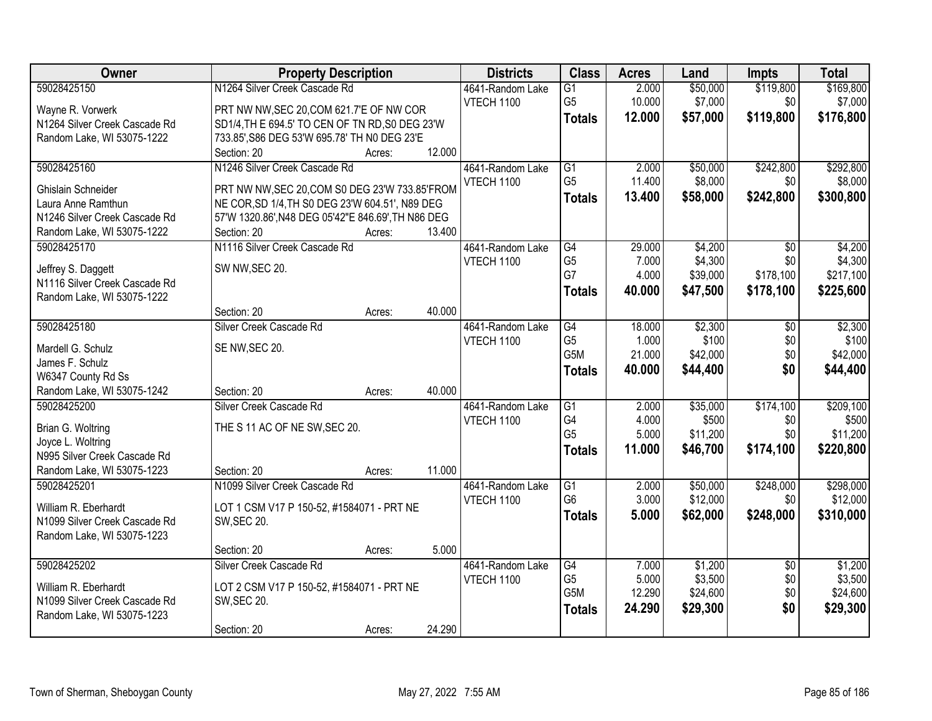| Owner                                                       | <b>Property Description</b>                                       |        |        | <b>Districts</b>  | <b>Class</b>                      | <b>Acres</b>   | Land                 | <b>Impts</b>     | <b>Total</b>          |
|-------------------------------------------------------------|-------------------------------------------------------------------|--------|--------|-------------------|-----------------------------------|----------------|----------------------|------------------|-----------------------|
| 59028425150                                                 | N1264 Silver Creek Cascade Rd                                     |        |        | 4641-Random Lake  | $\overline{G1}$                   | 2.000          | \$50,000             | \$119,800        | \$169,800             |
| Wayne R. Vorwerk                                            | PRT NW NW, SEC 20, COM 621.7'E OF NW COR                          |        |        | <b>VTECH 1100</b> | G <sub>5</sub>                    | 10.000         | \$7,000              | \$0              | \$7,000               |
| N1264 Silver Creek Cascade Rd                               | SD1/4, TH E 694.5' TO CEN OF TN RD, S0 DEG 23'W                   |        |        |                   | <b>Totals</b>                     | 12.000         | \$57,000             | \$119,800        | \$176,800             |
| Random Lake, WI 53075-1222                                  | 733.85', S86 DEG 53'W 695.78' TH N0 DEG 23'E                      |        |        |                   |                                   |                |                      |                  |                       |
|                                                             | Section: 20                                                       | Acres: | 12.000 |                   |                                   |                |                      |                  |                       |
| 59028425160                                                 | N1246 Silver Creek Cascade Rd                                     |        |        | 4641-Random Lake  | G1                                | 2.000          | \$50,000             | \$242,800        | \$292,800             |
|                                                             |                                                                   |        |        | VTECH 1100        | G <sub>5</sub>                    | 11.400         | \$8,000              | \$0              | \$8,000               |
| Ghislain Schneider                                          | PRT NW NW, SEC 20, COM S0 DEG 23'W 733.85'FROM                    |        |        |                   | <b>Totals</b>                     | 13.400         | \$58,000             | \$242,800        | \$300,800             |
| Laura Anne Ramthun                                          | NE COR, SD 1/4, TH S0 DEG 23'W 604.51', N89 DEG                   |        |        |                   |                                   |                |                      |                  |                       |
| N1246 Silver Creek Cascade Rd<br>Random Lake, WI 53075-1222 | 57'W 1320.86', N48 DEG 05'42"E 846.69', TH N86 DEG<br>Section: 20 | Acres: | 13.400 |                   |                                   |                |                      |                  |                       |
| 59028425170                                                 | N1116 Silver Creek Cascade Rd                                     |        |        | 4641-Random Lake  | G4                                | 29.000         | \$4,200              | \$0              | \$4,200               |
|                                                             |                                                                   |        |        | <b>VTECH 1100</b> | G <sub>5</sub>                    | 7.000          | \$4,300              | \$0              | \$4,300               |
| Jeffrey S. Daggett                                          | SW NW, SEC 20.                                                    |        |        |                   | G7                                | 4.000          | \$39,000             | \$178,100        | \$217,100             |
| N1116 Silver Creek Cascade Rd                               |                                                                   |        |        |                   | <b>Totals</b>                     | 40.000         | \$47,500             | \$178,100        | \$225,600             |
| Random Lake, WI 53075-1222                                  |                                                                   |        |        |                   |                                   |                |                      |                  |                       |
|                                                             | Section: 20                                                       | Acres: | 40.000 |                   |                                   |                |                      |                  |                       |
| 59028425180                                                 | Silver Creek Cascade Rd                                           |        |        | 4641-Random Lake  | G4                                | 18.000         | \$2,300              | $\overline{50}$  | \$2,300               |
| Mardell G. Schulz                                           | SE NW, SEC 20.                                                    |        |        | <b>VTECH 1100</b> | G <sub>5</sub>                    | 1.000          | \$100                | \$0              | \$100                 |
| James F. Schulz                                             |                                                                   |        |        |                   | G5M                               | 21.000         | \$42,000             | \$0              | \$42,000              |
| W6347 County Rd Ss                                          |                                                                   |        |        |                   | <b>Totals</b>                     | 40,000         | \$44,400             | \$0              | \$44,400              |
| Random Lake, WI 53075-1242                                  | Section: 20                                                       | Acres: | 40.000 |                   |                                   |                |                      |                  |                       |
| 59028425200                                                 | Silver Creek Cascade Rd                                           |        |        | 4641-Random Lake  | $\overline{G1}$                   | 2.000          | \$35,000             | \$174,100        | \$209,100             |
|                                                             |                                                                   |        |        | <b>VTECH 1100</b> | G4                                | 4.000          | \$500                | \$0              | \$500                 |
| Brian G. Woltring                                           | THE S 11 AC OF NE SW, SEC 20.                                     |        |        |                   | G <sub>5</sub>                    | 5.000          | \$11,200             | \$0              | \$11,200              |
| Joyce L. Woltring                                           |                                                                   |        |        |                   | <b>Totals</b>                     | 11.000         | \$46,700             | \$174,100        | \$220,800             |
| N995 Silver Creek Cascade Rd                                |                                                                   |        | 11.000 |                   |                                   |                |                      |                  |                       |
| Random Lake, WI 53075-1223                                  | Section: 20                                                       | Acres: |        |                   |                                   |                |                      |                  |                       |
| 59028425201                                                 | N1099 Silver Creek Cascade Rd                                     |        |        | 4641-Random Lake  | $\overline{G1}$<br>G <sub>6</sub> | 2.000<br>3.000 | \$50,000<br>\$12,000 | \$248,000<br>\$0 | \$298,000<br>\$12,000 |
| William R. Eberhardt                                        | LOT 1 CSM V17 P 150-52, #1584071 - PRT NE                         |        |        | VTECH 1100        |                                   |                |                      |                  |                       |
| N1099 Silver Creek Cascade Rd                               | <b>SW, SEC 20.</b>                                                |        |        |                   | <b>Totals</b>                     | 5.000          | \$62,000             | \$248,000        | \$310,000             |
| Random Lake, WI 53075-1223                                  |                                                                   |        |        |                   |                                   |                |                      |                  |                       |
|                                                             | Section: 20                                                       | Acres: | 5.000  |                   |                                   |                |                      |                  |                       |
| 59028425202                                                 | Silver Creek Cascade Rd                                           |        |        | 4641-Random Lake  | G4                                | 7.000          | \$1,200              | $\overline{50}$  | \$1,200               |
| William R. Eberhardt                                        | LOT 2 CSM V17 P 150-52, #1584071 - PRT NE                         |        |        | <b>VTECH 1100</b> | G <sub>5</sub>                    | 5.000          | \$3,500              | \$0              | \$3,500               |
| N1099 Silver Creek Cascade Rd                               | <b>SW, SEC 20.</b>                                                |        |        |                   | G5M                               | 12.290         | \$24,600             | \$0              | \$24,600              |
| Random Lake, WI 53075-1223                                  |                                                                   |        |        |                   | <b>Totals</b>                     | 24.290         | \$29,300             | \$0              | \$29,300              |
|                                                             | Section: 20                                                       | Acres: | 24.290 |                   |                                   |                |                      |                  |                       |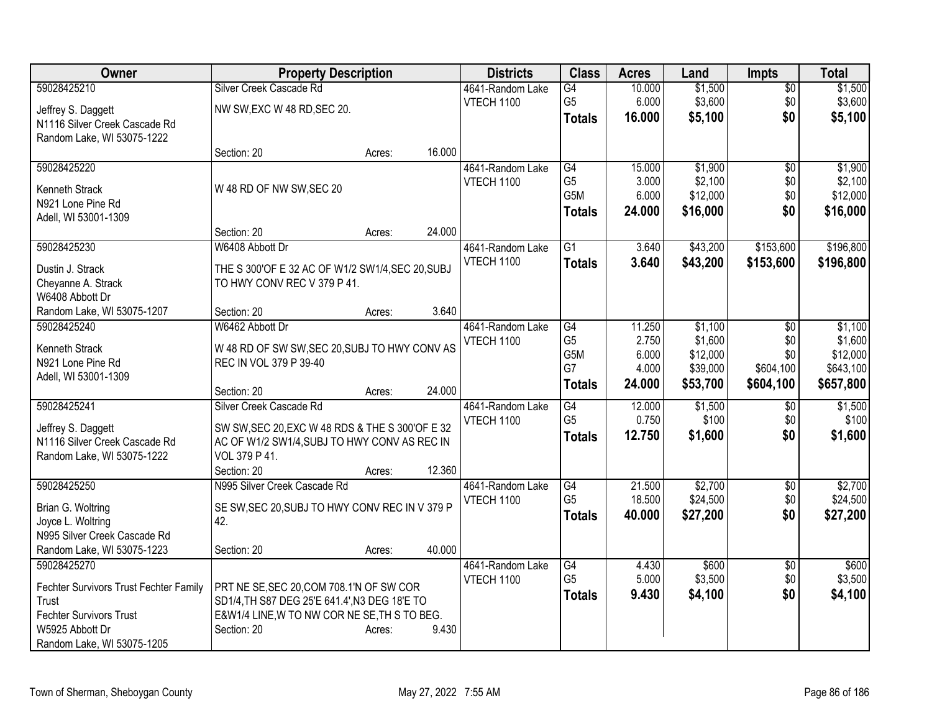| Owner                                         | <b>Property Description</b>                      |        |        | <b>Districts</b>                      | <b>Class</b>                       | <b>Acres</b>     | Land                 | <b>Impts</b>           | <b>Total</b>        |
|-----------------------------------------------|--------------------------------------------------|--------|--------|---------------------------------------|------------------------------------|------------------|----------------------|------------------------|---------------------|
| 59028425210                                   | Silver Creek Cascade Rd                          |        |        | 4641-Random Lake                      | $\overline{G4}$                    | 10.000           | \$1,500              | $\overline{50}$        | \$1,500             |
| Jeffrey S. Daggett                            | NW SW, EXC W 48 RD, SEC 20.                      |        |        | VTECH 1100                            | G <sub>5</sub>                     | 6.000            | \$3,600              | \$0                    | \$3,600             |
| N1116 Silver Creek Cascade Rd                 |                                                  |        |        |                                       | <b>Totals</b>                      | 16.000           | \$5,100              | \$0                    | \$5,100             |
| Random Lake, WI 53075-1222                    |                                                  |        |        |                                       |                                    |                  |                      |                        |                     |
|                                               | Section: 20                                      | Acres: | 16.000 |                                       |                                    |                  |                      |                        |                     |
| 59028425220                                   |                                                  |        |        | 4641-Random Lake                      | G4                                 | 15.000           | \$1,900              | \$0                    | \$1,900             |
| Kenneth Strack                                | W 48 RD OF NW SW, SEC 20                         |        |        | <b>VTECH 1100</b>                     | G <sub>5</sub><br>G <sub>5</sub> M | 3.000            | \$2,100              | \$0                    | \$2,100             |
| N921 Lone Pine Rd                             |                                                  |        |        |                                       |                                    | 6.000<br>24.000  | \$12,000<br>\$16,000 | \$0<br>\$0             | \$12,000            |
| Adell, WI 53001-1309                          |                                                  |        |        |                                       | <b>Totals</b>                      |                  |                      |                        | \$16,000            |
|                                               | Section: 20                                      | Acres: | 24.000 |                                       |                                    |                  |                      |                        |                     |
| 59028425230                                   | W6408 Abbott Dr                                  |        |        | 4641-Random Lake                      | G1                                 | 3.640            | \$43,200             | \$153,600              | \$196,800           |
| Dustin J. Strack                              | THE S 300'OF E 32 AC OF W1/2 SW1/4, SEC 20, SUBJ |        |        | <b>VTECH 1100</b>                     | <b>Totals</b>                      | 3.640            | \$43,200             | \$153,600              | \$196,800           |
| Cheyanne A. Strack                            | TO HWY CONV REC V 379 P 41.                      |        |        |                                       |                                    |                  |                      |                        |                     |
| W6408 Abbott Dr                               |                                                  |        |        |                                       |                                    |                  |                      |                        |                     |
| Random Lake, WI 53075-1207                    | Section: 20                                      | Acres: | 3.640  |                                       |                                    |                  |                      |                        |                     |
| 59028425240                                   | W6462 Abbott Dr                                  |        |        | 4641-Random Lake                      | $\overline{G4}$                    | 11.250           | \$1,100              | \$0                    | \$1,100             |
| Kenneth Strack                                | W 48 RD OF SW SW, SEC 20, SUBJ TO HWY CONV AS    |        |        | VTECH 1100                            | G <sub>5</sub><br>G5M              | 2.750<br>6.000   | \$1,600<br>\$12,000  | \$0<br>\$0             | \$1,600<br>\$12,000 |
| N921 Lone Pine Rd                             | REC IN VOL 379 P 39-40                           |        |        |                                       | G7                                 | 4.000            | \$39,000             | \$604,100              | \$643,100           |
| Adell, WI 53001-1309                          |                                                  |        |        |                                       | <b>Totals</b>                      | 24.000           | \$53,700             | \$604,100              | \$657,800           |
|                                               | Section: 20                                      | Acres: | 24.000 |                                       |                                    |                  |                      |                        |                     |
| 59028425241                                   | Silver Creek Cascade Rd                          |        |        | 4641-Random Lake                      | $\overline{G4}$<br>G <sub>5</sub>  | 12.000           | \$1,500              | \$0                    | \$1,500             |
| Jeffrey S. Daggett                            | SW SW, SEC 20, EXC W 48 RDS & THE S 300'OF E 32  |        |        | VTECH 1100                            |                                    | 0.750<br>12.750  | \$100<br>\$1,600     | \$0<br>\$0             | \$100<br>\$1,600    |
| N1116 Silver Creek Cascade Rd                 | AC OF W1/2 SW1/4, SUBJ TO HWY CONV AS REC IN     |        |        |                                       | <b>Totals</b>                      |                  |                      |                        |                     |
| Random Lake, WI 53075-1222                    | VOL 379 P 41.                                    |        |        |                                       |                                    |                  |                      |                        |                     |
|                                               | Section: 20                                      | Acres: | 12.360 |                                       |                                    |                  |                      |                        |                     |
| 59028425250                                   | N995 Silver Creek Cascade Rd                     |        |        | 4641-Random Lake                      | $\overline{G4}$<br>G <sub>5</sub>  | 21.500<br>18.500 | \$2,700<br>\$24,500  | $\overline{50}$<br>\$0 | \$2,700<br>\$24,500 |
| Brian G. Woltring                             | SE SW, SEC 20, SUBJ TO HWY CONV REC IN V 379 P   |        |        | VTECH 1100                            | <b>Totals</b>                      | 40.000           | \$27,200             | \$0                    | \$27,200            |
| Joyce L. Woltring                             | 42.                                              |        |        |                                       |                                    |                  |                      |                        |                     |
| N995 Silver Creek Cascade Rd                  |                                                  |        |        |                                       |                                    |                  |                      |                        |                     |
| Random Lake, WI 53075-1223                    | Section: 20                                      | Acres: | 40.000 |                                       |                                    |                  |                      |                        |                     |
| 59028425270                                   |                                                  |        |        | 4641-Random Lake<br><b>VTECH 1100</b> | $\overline{G4}$<br>G <sub>5</sub>  | 4.430<br>5.000   | \$600<br>\$3,500     | $\overline{50}$<br>\$0 | \$600<br>\$3,500    |
| Fechter Survivors Trust Fechter Family        | PRT NE SE, SEC 20, COM 708.1'N OF SW COR         |        |        |                                       | <b>Totals</b>                      | 9.430            | \$4,100              | \$0                    | \$4,100             |
| <b>Trust</b>                                  | SD1/4, TH S87 DEG 25'E 641.4', N3 DEG 18'E TO    |        |        |                                       |                                    |                  |                      |                        |                     |
| <b>Fechter Survivors Trust</b>                | E&W1/4 LINE, W TO NW COR NE SE, TH S TO BEG.     |        |        |                                       |                                    |                  |                      |                        |                     |
| W5925 Abbott Dr<br>Random Lake, WI 53075-1205 | Section: 20                                      | Acres: | 9.430  |                                       |                                    |                  |                      |                        |                     |
|                                               |                                                  |        |        |                                       |                                    |                  |                      |                        |                     |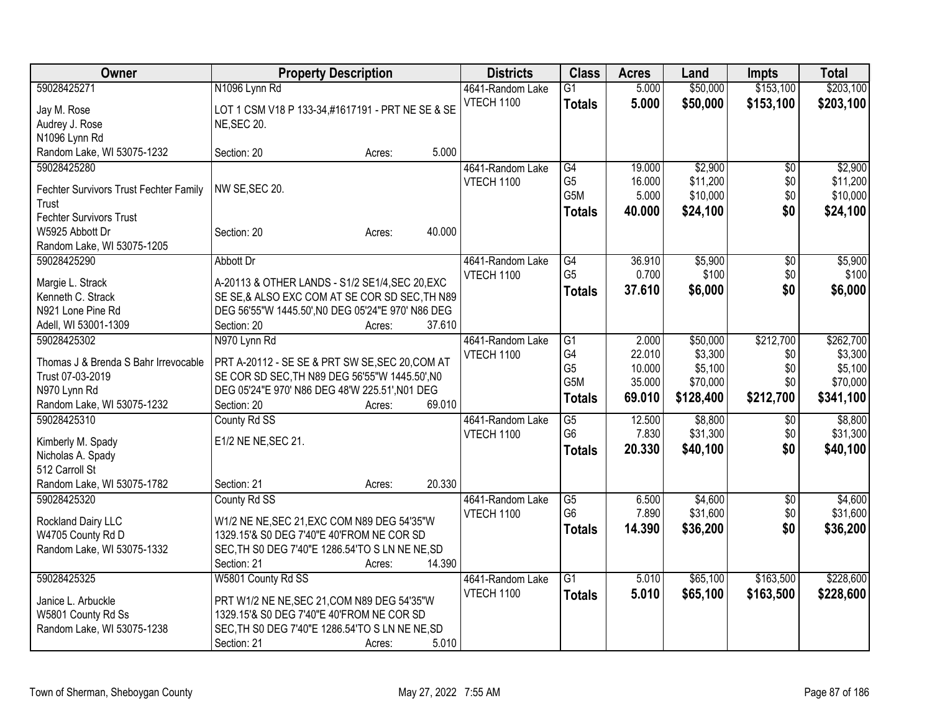| N1096 Lynn Rd<br>\$153,100<br>\$203,100<br>59028425271<br>$\overline{G1}$<br>5.000<br>\$50,000<br>4641-Random Lake<br>VTECH 1100<br>5.000<br>\$50,000<br>\$153,100<br>\$203,100<br><b>Totals</b><br>LOT 1 CSM V18 P 133-34,#1617191 - PRT NE SE & SE<br>Jay M. Rose<br>Audrey J. Rose<br><b>NE, SEC 20.</b><br>N1096 Lynn Rd<br>5.000<br>Random Lake, WI 53075-1232<br>Section: 20<br>Acres:<br>\$2,900<br>59028425280<br>4641-Random Lake<br>G4<br>19.000<br>\$0<br>\$2,900<br>G <sub>5</sub><br>\$11,200<br>\$0<br>\$11,200<br>16.000<br>VTECH 1100<br>NW SE, SEC 20.<br>Fechter Survivors Trust Fechter Family<br>G5M<br>5.000<br>\$10,000<br>\$0<br>\$10,000<br>Trust<br>\$0<br>40.000<br>\$24,100<br>\$24,100<br><b>Totals</b><br><b>Fechter Survivors Trust</b><br>40.000<br>Section: 20<br>W5925 Abbott Dr<br>Acres:<br>Random Lake, WI 53075-1205<br>\$5,900<br>\$5,900<br>59028425290<br><b>Abbott Dr</b><br>$\overline{G4}$<br>36.910<br>4641-Random Lake<br>\$0<br>G <sub>5</sub><br>0.700<br>\$100<br>\$100<br>\$0<br>VTECH 1100<br>A-20113 & OTHER LANDS - S1/2 SE1/4, SEC 20, EXC<br>Margie L. Strack<br>\$0<br>37.610<br>\$6,000<br>\$6,000<br><b>Totals</b><br>Kenneth C. Strack<br>SE SE, & ALSO EXC COM AT SE COR SD SEC, TH N89<br>N921 Lone Pine Rd<br>DEG 56'55"W 1445.50', NO DEG 05'24"E 970' N86 DEG<br>Adell, WI 53001-1309<br>Section: 20<br>37.610<br>Acres:<br>59028425302<br>N970 Lynn Rd<br>$\overline{G1}$<br>\$50,000<br>\$212,700<br>\$262,700<br>4641-Random Lake<br>2.000<br>G4<br>\$3,300<br>\$3,300<br>VTECH 1100<br>22.010<br>\$0<br>Thomas J & Brenda S Bahr Irrevocable<br>PRT A-20112 - SE SE & PRT SW SE, SEC 20, COM AT<br>G <sub>5</sub><br>\$5,100<br>\$0<br>10.000<br>\$5,100<br>Trust 07-03-2019<br>SE COR SD SEC, TH N89 DEG 56'55"W 1445.50', N0<br>G <sub>5</sub> M<br>35.000<br>\$70,000<br>\$70,000<br>\$0<br>DEG 05'24"E 970' N86 DEG 48'W 225.51', N01 DEG<br>N970 Lynn Rd<br>\$212,700<br>69.010<br>\$128,400<br>\$341,100<br><b>Totals</b><br>69.010<br>Random Lake, WI 53075-1232<br>Section: 20<br>Acres:<br>\$8,800<br>County Rd SS<br>$\overline{G5}$<br>12.500<br>\$8,800<br>59028425310<br>4641-Random Lake<br>\$0<br>G <sub>6</sub><br>7.830<br>\$31,300<br>\$0<br>\$31,300<br>VTECH 1100<br>E1/2 NE NE, SEC 21.<br>Kimberly M. Spady<br>\$0<br>20.330<br>\$40,100<br>\$40,100<br><b>Totals</b><br>Nicholas A. Spady<br>512 Carroll St<br>Random Lake, WI 53075-1782<br>20.330<br>Section: 21<br>Acres:<br>59028425320<br>County Rd SS<br>$\overline{G5}$<br>\$4,600<br>\$4,600<br>4641-Random Lake<br>6.500<br>$\overline{50}$<br>G <sub>6</sub><br>7.890<br>\$31,600<br>\$0<br>\$31,600<br><b>VTECH 1100</b><br>W1/2 NE NE, SEC 21, EXC COM N89 DEG 54'35"W<br>Rockland Dairy LLC<br>\$0<br>\$36,200<br>14.390<br>\$36,200<br><b>Totals</b><br>W4705 County Rd D<br>1329.15'& S0 DEG 7'40"E 40'FROM NE COR SD<br>Random Lake, WI 53075-1332<br>SEC, TH S0 DEG 7'40"E 1286.54'TO S LN NE NE, SD | Owner | <b>Property Description</b> | <b>Districts</b> | <b>Class</b> | <b>Acres</b> | Land | <b>Impts</b> | <b>Total</b> |  |
|-----------------------------------------------------------------------------------------------------------------------------------------------------------------------------------------------------------------------------------------------------------------------------------------------------------------------------------------------------------------------------------------------------------------------------------------------------------------------------------------------------------------------------------------------------------------------------------------------------------------------------------------------------------------------------------------------------------------------------------------------------------------------------------------------------------------------------------------------------------------------------------------------------------------------------------------------------------------------------------------------------------------------------------------------------------------------------------------------------------------------------------------------------------------------------------------------------------------------------------------------------------------------------------------------------------------------------------------------------------------------------------------------------------------------------------------------------------------------------------------------------------------------------------------------------------------------------------------------------------------------------------------------------------------------------------------------------------------------------------------------------------------------------------------------------------------------------------------------------------------------------------------------------------------------------------------------------------------------------------------------------------------------------------------------------------------------------------------------------------------------------------------------------------------------------------------------------------------------------------------------------------------------------------------------------------------------------------------------------------------------------------------------------------------------------------------------------------------------------------------------------------------------------------------------------------------------------------------------------------------------------------------------------------------------------------------------------------------------------------------------------------------------------------------------------------------------------------------------------------------------------------------------------------------------------------------------------------------|-------|-----------------------------|------------------|--------------|--------------|------|--------------|--------------|--|
|                                                                                                                                                                                                                                                                                                                                                                                                                                                                                                                                                                                                                                                                                                                                                                                                                                                                                                                                                                                                                                                                                                                                                                                                                                                                                                                                                                                                                                                                                                                                                                                                                                                                                                                                                                                                                                                                                                                                                                                                                                                                                                                                                                                                                                                                                                                                                                                                                                                                                                                                                                                                                                                                                                                                                                                                                                                                                                                                                                 |       |                             |                  |              |              |      |              |              |  |
|                                                                                                                                                                                                                                                                                                                                                                                                                                                                                                                                                                                                                                                                                                                                                                                                                                                                                                                                                                                                                                                                                                                                                                                                                                                                                                                                                                                                                                                                                                                                                                                                                                                                                                                                                                                                                                                                                                                                                                                                                                                                                                                                                                                                                                                                                                                                                                                                                                                                                                                                                                                                                                                                                                                                                                                                                                                                                                                                                                 |       |                             |                  |              |              |      |              |              |  |
|                                                                                                                                                                                                                                                                                                                                                                                                                                                                                                                                                                                                                                                                                                                                                                                                                                                                                                                                                                                                                                                                                                                                                                                                                                                                                                                                                                                                                                                                                                                                                                                                                                                                                                                                                                                                                                                                                                                                                                                                                                                                                                                                                                                                                                                                                                                                                                                                                                                                                                                                                                                                                                                                                                                                                                                                                                                                                                                                                                 |       |                             |                  |              |              |      |              |              |  |
|                                                                                                                                                                                                                                                                                                                                                                                                                                                                                                                                                                                                                                                                                                                                                                                                                                                                                                                                                                                                                                                                                                                                                                                                                                                                                                                                                                                                                                                                                                                                                                                                                                                                                                                                                                                                                                                                                                                                                                                                                                                                                                                                                                                                                                                                                                                                                                                                                                                                                                                                                                                                                                                                                                                                                                                                                                                                                                                                                                 |       |                             |                  |              |              |      |              |              |  |
|                                                                                                                                                                                                                                                                                                                                                                                                                                                                                                                                                                                                                                                                                                                                                                                                                                                                                                                                                                                                                                                                                                                                                                                                                                                                                                                                                                                                                                                                                                                                                                                                                                                                                                                                                                                                                                                                                                                                                                                                                                                                                                                                                                                                                                                                                                                                                                                                                                                                                                                                                                                                                                                                                                                                                                                                                                                                                                                                                                 |       |                             |                  |              |              |      |              |              |  |
|                                                                                                                                                                                                                                                                                                                                                                                                                                                                                                                                                                                                                                                                                                                                                                                                                                                                                                                                                                                                                                                                                                                                                                                                                                                                                                                                                                                                                                                                                                                                                                                                                                                                                                                                                                                                                                                                                                                                                                                                                                                                                                                                                                                                                                                                                                                                                                                                                                                                                                                                                                                                                                                                                                                                                                                                                                                                                                                                                                 |       |                             |                  |              |              |      |              |              |  |
|                                                                                                                                                                                                                                                                                                                                                                                                                                                                                                                                                                                                                                                                                                                                                                                                                                                                                                                                                                                                                                                                                                                                                                                                                                                                                                                                                                                                                                                                                                                                                                                                                                                                                                                                                                                                                                                                                                                                                                                                                                                                                                                                                                                                                                                                                                                                                                                                                                                                                                                                                                                                                                                                                                                                                                                                                                                                                                                                                                 |       |                             |                  |              |              |      |              |              |  |
|                                                                                                                                                                                                                                                                                                                                                                                                                                                                                                                                                                                                                                                                                                                                                                                                                                                                                                                                                                                                                                                                                                                                                                                                                                                                                                                                                                                                                                                                                                                                                                                                                                                                                                                                                                                                                                                                                                                                                                                                                                                                                                                                                                                                                                                                                                                                                                                                                                                                                                                                                                                                                                                                                                                                                                                                                                                                                                                                                                 |       |                             |                  |              |              |      |              |              |  |
|                                                                                                                                                                                                                                                                                                                                                                                                                                                                                                                                                                                                                                                                                                                                                                                                                                                                                                                                                                                                                                                                                                                                                                                                                                                                                                                                                                                                                                                                                                                                                                                                                                                                                                                                                                                                                                                                                                                                                                                                                                                                                                                                                                                                                                                                                                                                                                                                                                                                                                                                                                                                                                                                                                                                                                                                                                                                                                                                                                 |       |                             |                  |              |              |      |              |              |  |
|                                                                                                                                                                                                                                                                                                                                                                                                                                                                                                                                                                                                                                                                                                                                                                                                                                                                                                                                                                                                                                                                                                                                                                                                                                                                                                                                                                                                                                                                                                                                                                                                                                                                                                                                                                                                                                                                                                                                                                                                                                                                                                                                                                                                                                                                                                                                                                                                                                                                                                                                                                                                                                                                                                                                                                                                                                                                                                                                                                 |       |                             |                  |              |              |      |              |              |  |
|                                                                                                                                                                                                                                                                                                                                                                                                                                                                                                                                                                                                                                                                                                                                                                                                                                                                                                                                                                                                                                                                                                                                                                                                                                                                                                                                                                                                                                                                                                                                                                                                                                                                                                                                                                                                                                                                                                                                                                                                                                                                                                                                                                                                                                                                                                                                                                                                                                                                                                                                                                                                                                                                                                                                                                                                                                                                                                                                                                 |       |                             |                  |              |              |      |              |              |  |
|                                                                                                                                                                                                                                                                                                                                                                                                                                                                                                                                                                                                                                                                                                                                                                                                                                                                                                                                                                                                                                                                                                                                                                                                                                                                                                                                                                                                                                                                                                                                                                                                                                                                                                                                                                                                                                                                                                                                                                                                                                                                                                                                                                                                                                                                                                                                                                                                                                                                                                                                                                                                                                                                                                                                                                                                                                                                                                                                                                 |       |                             |                  |              |              |      |              |              |  |
|                                                                                                                                                                                                                                                                                                                                                                                                                                                                                                                                                                                                                                                                                                                                                                                                                                                                                                                                                                                                                                                                                                                                                                                                                                                                                                                                                                                                                                                                                                                                                                                                                                                                                                                                                                                                                                                                                                                                                                                                                                                                                                                                                                                                                                                                                                                                                                                                                                                                                                                                                                                                                                                                                                                                                                                                                                                                                                                                                                 |       |                             |                  |              |              |      |              |              |  |
|                                                                                                                                                                                                                                                                                                                                                                                                                                                                                                                                                                                                                                                                                                                                                                                                                                                                                                                                                                                                                                                                                                                                                                                                                                                                                                                                                                                                                                                                                                                                                                                                                                                                                                                                                                                                                                                                                                                                                                                                                                                                                                                                                                                                                                                                                                                                                                                                                                                                                                                                                                                                                                                                                                                                                                                                                                                                                                                                                                 |       |                             |                  |              |              |      |              |              |  |
|                                                                                                                                                                                                                                                                                                                                                                                                                                                                                                                                                                                                                                                                                                                                                                                                                                                                                                                                                                                                                                                                                                                                                                                                                                                                                                                                                                                                                                                                                                                                                                                                                                                                                                                                                                                                                                                                                                                                                                                                                                                                                                                                                                                                                                                                                                                                                                                                                                                                                                                                                                                                                                                                                                                                                                                                                                                                                                                                                                 |       |                             |                  |              |              |      |              |              |  |
|                                                                                                                                                                                                                                                                                                                                                                                                                                                                                                                                                                                                                                                                                                                                                                                                                                                                                                                                                                                                                                                                                                                                                                                                                                                                                                                                                                                                                                                                                                                                                                                                                                                                                                                                                                                                                                                                                                                                                                                                                                                                                                                                                                                                                                                                                                                                                                                                                                                                                                                                                                                                                                                                                                                                                                                                                                                                                                                                                                 |       |                             |                  |              |              |      |              |              |  |
|                                                                                                                                                                                                                                                                                                                                                                                                                                                                                                                                                                                                                                                                                                                                                                                                                                                                                                                                                                                                                                                                                                                                                                                                                                                                                                                                                                                                                                                                                                                                                                                                                                                                                                                                                                                                                                                                                                                                                                                                                                                                                                                                                                                                                                                                                                                                                                                                                                                                                                                                                                                                                                                                                                                                                                                                                                                                                                                                                                 |       |                             |                  |              |              |      |              |              |  |
|                                                                                                                                                                                                                                                                                                                                                                                                                                                                                                                                                                                                                                                                                                                                                                                                                                                                                                                                                                                                                                                                                                                                                                                                                                                                                                                                                                                                                                                                                                                                                                                                                                                                                                                                                                                                                                                                                                                                                                                                                                                                                                                                                                                                                                                                                                                                                                                                                                                                                                                                                                                                                                                                                                                                                                                                                                                                                                                                                                 |       |                             |                  |              |              |      |              |              |  |
|                                                                                                                                                                                                                                                                                                                                                                                                                                                                                                                                                                                                                                                                                                                                                                                                                                                                                                                                                                                                                                                                                                                                                                                                                                                                                                                                                                                                                                                                                                                                                                                                                                                                                                                                                                                                                                                                                                                                                                                                                                                                                                                                                                                                                                                                                                                                                                                                                                                                                                                                                                                                                                                                                                                                                                                                                                                                                                                                                                 |       |                             |                  |              |              |      |              |              |  |
|                                                                                                                                                                                                                                                                                                                                                                                                                                                                                                                                                                                                                                                                                                                                                                                                                                                                                                                                                                                                                                                                                                                                                                                                                                                                                                                                                                                                                                                                                                                                                                                                                                                                                                                                                                                                                                                                                                                                                                                                                                                                                                                                                                                                                                                                                                                                                                                                                                                                                                                                                                                                                                                                                                                                                                                                                                                                                                                                                                 |       |                             |                  |              |              |      |              |              |  |
|                                                                                                                                                                                                                                                                                                                                                                                                                                                                                                                                                                                                                                                                                                                                                                                                                                                                                                                                                                                                                                                                                                                                                                                                                                                                                                                                                                                                                                                                                                                                                                                                                                                                                                                                                                                                                                                                                                                                                                                                                                                                                                                                                                                                                                                                                                                                                                                                                                                                                                                                                                                                                                                                                                                                                                                                                                                                                                                                                                 |       |                             |                  |              |              |      |              |              |  |
|                                                                                                                                                                                                                                                                                                                                                                                                                                                                                                                                                                                                                                                                                                                                                                                                                                                                                                                                                                                                                                                                                                                                                                                                                                                                                                                                                                                                                                                                                                                                                                                                                                                                                                                                                                                                                                                                                                                                                                                                                                                                                                                                                                                                                                                                                                                                                                                                                                                                                                                                                                                                                                                                                                                                                                                                                                                                                                                                                                 |       |                             |                  |              |              |      |              |              |  |
|                                                                                                                                                                                                                                                                                                                                                                                                                                                                                                                                                                                                                                                                                                                                                                                                                                                                                                                                                                                                                                                                                                                                                                                                                                                                                                                                                                                                                                                                                                                                                                                                                                                                                                                                                                                                                                                                                                                                                                                                                                                                                                                                                                                                                                                                                                                                                                                                                                                                                                                                                                                                                                                                                                                                                                                                                                                                                                                                                                 |       |                             |                  |              |              |      |              |              |  |
|                                                                                                                                                                                                                                                                                                                                                                                                                                                                                                                                                                                                                                                                                                                                                                                                                                                                                                                                                                                                                                                                                                                                                                                                                                                                                                                                                                                                                                                                                                                                                                                                                                                                                                                                                                                                                                                                                                                                                                                                                                                                                                                                                                                                                                                                                                                                                                                                                                                                                                                                                                                                                                                                                                                                                                                                                                                                                                                                                                 |       |                             |                  |              |              |      |              |              |  |
|                                                                                                                                                                                                                                                                                                                                                                                                                                                                                                                                                                                                                                                                                                                                                                                                                                                                                                                                                                                                                                                                                                                                                                                                                                                                                                                                                                                                                                                                                                                                                                                                                                                                                                                                                                                                                                                                                                                                                                                                                                                                                                                                                                                                                                                                                                                                                                                                                                                                                                                                                                                                                                                                                                                                                                                                                                                                                                                                                                 |       |                             |                  |              |              |      |              |              |  |
|                                                                                                                                                                                                                                                                                                                                                                                                                                                                                                                                                                                                                                                                                                                                                                                                                                                                                                                                                                                                                                                                                                                                                                                                                                                                                                                                                                                                                                                                                                                                                                                                                                                                                                                                                                                                                                                                                                                                                                                                                                                                                                                                                                                                                                                                                                                                                                                                                                                                                                                                                                                                                                                                                                                                                                                                                                                                                                                                                                 |       |                             |                  |              |              |      |              |              |  |
|                                                                                                                                                                                                                                                                                                                                                                                                                                                                                                                                                                                                                                                                                                                                                                                                                                                                                                                                                                                                                                                                                                                                                                                                                                                                                                                                                                                                                                                                                                                                                                                                                                                                                                                                                                                                                                                                                                                                                                                                                                                                                                                                                                                                                                                                                                                                                                                                                                                                                                                                                                                                                                                                                                                                                                                                                                                                                                                                                                 |       |                             |                  |              |              |      |              |              |  |
|                                                                                                                                                                                                                                                                                                                                                                                                                                                                                                                                                                                                                                                                                                                                                                                                                                                                                                                                                                                                                                                                                                                                                                                                                                                                                                                                                                                                                                                                                                                                                                                                                                                                                                                                                                                                                                                                                                                                                                                                                                                                                                                                                                                                                                                                                                                                                                                                                                                                                                                                                                                                                                                                                                                                                                                                                                                                                                                                                                 |       |                             |                  |              |              |      |              |              |  |
|                                                                                                                                                                                                                                                                                                                                                                                                                                                                                                                                                                                                                                                                                                                                                                                                                                                                                                                                                                                                                                                                                                                                                                                                                                                                                                                                                                                                                                                                                                                                                                                                                                                                                                                                                                                                                                                                                                                                                                                                                                                                                                                                                                                                                                                                                                                                                                                                                                                                                                                                                                                                                                                                                                                                                                                                                                                                                                                                                                 |       |                             |                  |              |              |      |              |              |  |
|                                                                                                                                                                                                                                                                                                                                                                                                                                                                                                                                                                                                                                                                                                                                                                                                                                                                                                                                                                                                                                                                                                                                                                                                                                                                                                                                                                                                                                                                                                                                                                                                                                                                                                                                                                                                                                                                                                                                                                                                                                                                                                                                                                                                                                                                                                                                                                                                                                                                                                                                                                                                                                                                                                                                                                                                                                                                                                                                                                 |       |                             |                  |              |              |      |              |              |  |
|                                                                                                                                                                                                                                                                                                                                                                                                                                                                                                                                                                                                                                                                                                                                                                                                                                                                                                                                                                                                                                                                                                                                                                                                                                                                                                                                                                                                                                                                                                                                                                                                                                                                                                                                                                                                                                                                                                                                                                                                                                                                                                                                                                                                                                                                                                                                                                                                                                                                                                                                                                                                                                                                                                                                                                                                                                                                                                                                                                 |       |                             |                  |              |              |      |              |              |  |
|                                                                                                                                                                                                                                                                                                                                                                                                                                                                                                                                                                                                                                                                                                                                                                                                                                                                                                                                                                                                                                                                                                                                                                                                                                                                                                                                                                                                                                                                                                                                                                                                                                                                                                                                                                                                                                                                                                                                                                                                                                                                                                                                                                                                                                                                                                                                                                                                                                                                                                                                                                                                                                                                                                                                                                                                                                                                                                                                                                 |       | Section: 21<br>Acres:       | 14.390           |              |              |      |              |              |  |
| \$228,600<br>W5801 County Rd SS<br>$\overline{G1}$<br>\$65,100<br>\$163,500<br>59028425325<br>4641-Random Lake<br>5.010                                                                                                                                                                                                                                                                                                                                                                                                                                                                                                                                                                                                                                                                                                                                                                                                                                                                                                                                                                                                                                                                                                                                                                                                                                                                                                                                                                                                                                                                                                                                                                                                                                                                                                                                                                                                                                                                                                                                                                                                                                                                                                                                                                                                                                                                                                                                                                                                                                                                                                                                                                                                                                                                                                                                                                                                                                         |       |                             |                  |              |              |      |              |              |  |
| <b>VTECH 1100</b><br>5.010<br>\$65,100<br>\$163,500<br>\$228,600<br><b>Totals</b>                                                                                                                                                                                                                                                                                                                                                                                                                                                                                                                                                                                                                                                                                                                                                                                                                                                                                                                                                                                                                                                                                                                                                                                                                                                                                                                                                                                                                                                                                                                                                                                                                                                                                                                                                                                                                                                                                                                                                                                                                                                                                                                                                                                                                                                                                                                                                                                                                                                                                                                                                                                                                                                                                                                                                                                                                                                                               |       |                             |                  |              |              |      |              |              |  |
| Janice L. Arbuckle<br>PRT W1/2 NE NE, SEC 21, COM N89 DEG 54'35"W<br>1329.15'& S0 DEG 7'40"E 40'FROM NE COR SD<br>W5801 County Rd Ss                                                                                                                                                                                                                                                                                                                                                                                                                                                                                                                                                                                                                                                                                                                                                                                                                                                                                                                                                                                                                                                                                                                                                                                                                                                                                                                                                                                                                                                                                                                                                                                                                                                                                                                                                                                                                                                                                                                                                                                                                                                                                                                                                                                                                                                                                                                                                                                                                                                                                                                                                                                                                                                                                                                                                                                                                            |       |                             |                  |              |              |      |              |              |  |
| Random Lake, WI 53075-1238<br>SEC, TH S0 DEG 7'40"E 1286.54'TO S LN NE NE, SD                                                                                                                                                                                                                                                                                                                                                                                                                                                                                                                                                                                                                                                                                                                                                                                                                                                                                                                                                                                                                                                                                                                                                                                                                                                                                                                                                                                                                                                                                                                                                                                                                                                                                                                                                                                                                                                                                                                                                                                                                                                                                                                                                                                                                                                                                                                                                                                                                                                                                                                                                                                                                                                                                                                                                                                                                                                                                   |       |                             |                  |              |              |      |              |              |  |
| 5.010<br>Section: 21<br>Acres:                                                                                                                                                                                                                                                                                                                                                                                                                                                                                                                                                                                                                                                                                                                                                                                                                                                                                                                                                                                                                                                                                                                                                                                                                                                                                                                                                                                                                                                                                                                                                                                                                                                                                                                                                                                                                                                                                                                                                                                                                                                                                                                                                                                                                                                                                                                                                                                                                                                                                                                                                                                                                                                                                                                                                                                                                                                                                                                                  |       |                             |                  |              |              |      |              |              |  |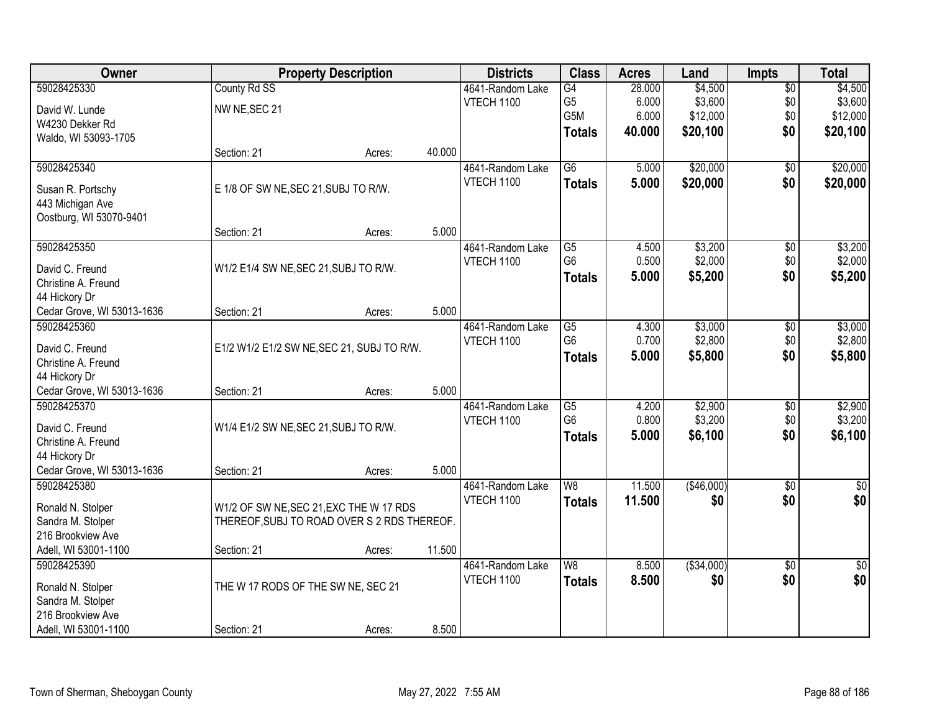| County Rd SS<br>59028425330<br>4641-Random Lake<br>G4<br>\$4,500<br>$\overline{50}$<br>28.000<br>G <sub>5</sub><br>6.000<br>\$3,600<br>\$3,600<br>\$0<br>VTECH 1100<br>NW NE, SEC 21<br>David W. Lunde<br>G <sub>5</sub> M<br>6.000<br>\$12,000<br>\$0<br>\$12,000<br>W4230 Dekker Rd<br>\$0<br>40.000<br>\$20,100<br>\$20,100<br><b>Totals</b><br>Waldo, WI 53093-1705<br>40.000<br>Section: 21<br>Acres:<br>\$20,000<br>59028425340<br>$\overline{G6}$<br>4641-Random Lake<br>5.000<br>\$0<br><b>VTECH 1100</b><br>5.000<br>\$20,000<br>\$0<br><b>Totals</b><br>E 1/8 OF SW NE, SEC 21, SUBJ TO R/W.<br>Susan R. Portschy<br>443 Michigan Ave<br>Oostburg, WI 53070-9401<br>5.000<br>Section: 21<br>Acres:<br>\$3,200<br>59028425350<br>G5<br>\$0<br>4641-Random Lake<br>4.500<br>G <sub>6</sub><br>\$2,000<br>\$0<br>0.500<br><b>VTECH 1100</b><br>W1/2 E1/4 SW NE, SEC 21, SUBJ TO R/W.<br>David C. Freund<br>5.000<br>\$5,200<br>\$0<br><b>Totals</b><br>Christine A. Freund<br>44 Hickory Dr<br>5.000<br>Cedar Grove, WI 53013-1636<br>Section: 21<br>Acres:<br>\$3,000<br>\$3,000<br>59028425360<br>$\overline{G5}$<br>4641-Random Lake<br>4.300<br>\$0 | Owner | <b>Property Description</b> |  |  | <b>Districts</b> | <b>Class</b>   | <b>Acres</b> | Land    | <b>Impts</b> | <b>Total</b> |
|----------------------------------------------------------------------------------------------------------------------------------------------------------------------------------------------------------------------------------------------------------------------------------------------------------------------------------------------------------------------------------------------------------------------------------------------------------------------------------------------------------------------------------------------------------------------------------------------------------------------------------------------------------------------------------------------------------------------------------------------------------------------------------------------------------------------------------------------------------------------------------------------------------------------------------------------------------------------------------------------------------------------------------------------------------------------------------------------------------------------------------------------------------------|-------|-----------------------------|--|--|------------------|----------------|--------------|---------|--------------|--------------|
|                                                                                                                                                                                                                                                                                                                                                                                                                                                                                                                                                                                                                                                                                                                                                                                                                                                                                                                                                                                                                                                                                                                                                                |       |                             |  |  |                  |                |              |         |              | \$4,500      |
|                                                                                                                                                                                                                                                                                                                                                                                                                                                                                                                                                                                                                                                                                                                                                                                                                                                                                                                                                                                                                                                                                                                                                                |       |                             |  |  |                  |                |              |         |              |              |
|                                                                                                                                                                                                                                                                                                                                                                                                                                                                                                                                                                                                                                                                                                                                                                                                                                                                                                                                                                                                                                                                                                                                                                |       |                             |  |  |                  |                |              |         |              |              |
|                                                                                                                                                                                                                                                                                                                                                                                                                                                                                                                                                                                                                                                                                                                                                                                                                                                                                                                                                                                                                                                                                                                                                                |       |                             |  |  |                  |                |              |         |              |              |
|                                                                                                                                                                                                                                                                                                                                                                                                                                                                                                                                                                                                                                                                                                                                                                                                                                                                                                                                                                                                                                                                                                                                                                |       |                             |  |  |                  |                |              |         |              |              |
|                                                                                                                                                                                                                                                                                                                                                                                                                                                                                                                                                                                                                                                                                                                                                                                                                                                                                                                                                                                                                                                                                                                                                                |       |                             |  |  |                  |                |              |         |              | \$20,000     |
|                                                                                                                                                                                                                                                                                                                                                                                                                                                                                                                                                                                                                                                                                                                                                                                                                                                                                                                                                                                                                                                                                                                                                                |       |                             |  |  |                  |                |              |         |              | \$20,000     |
|                                                                                                                                                                                                                                                                                                                                                                                                                                                                                                                                                                                                                                                                                                                                                                                                                                                                                                                                                                                                                                                                                                                                                                |       |                             |  |  |                  |                |              |         |              |              |
|                                                                                                                                                                                                                                                                                                                                                                                                                                                                                                                                                                                                                                                                                                                                                                                                                                                                                                                                                                                                                                                                                                                                                                |       |                             |  |  |                  |                |              |         |              |              |
|                                                                                                                                                                                                                                                                                                                                                                                                                                                                                                                                                                                                                                                                                                                                                                                                                                                                                                                                                                                                                                                                                                                                                                |       |                             |  |  |                  |                |              |         |              |              |
|                                                                                                                                                                                                                                                                                                                                                                                                                                                                                                                                                                                                                                                                                                                                                                                                                                                                                                                                                                                                                                                                                                                                                                |       |                             |  |  |                  |                |              |         |              | \$3,200      |
|                                                                                                                                                                                                                                                                                                                                                                                                                                                                                                                                                                                                                                                                                                                                                                                                                                                                                                                                                                                                                                                                                                                                                                |       |                             |  |  |                  |                |              |         |              | \$2,000      |
|                                                                                                                                                                                                                                                                                                                                                                                                                                                                                                                                                                                                                                                                                                                                                                                                                                                                                                                                                                                                                                                                                                                                                                |       |                             |  |  |                  |                |              |         |              | \$5,200      |
|                                                                                                                                                                                                                                                                                                                                                                                                                                                                                                                                                                                                                                                                                                                                                                                                                                                                                                                                                                                                                                                                                                                                                                |       |                             |  |  |                  |                |              |         |              |              |
|                                                                                                                                                                                                                                                                                                                                                                                                                                                                                                                                                                                                                                                                                                                                                                                                                                                                                                                                                                                                                                                                                                                                                                |       |                             |  |  |                  |                |              |         |              |              |
|                                                                                                                                                                                                                                                                                                                                                                                                                                                                                                                                                                                                                                                                                                                                                                                                                                                                                                                                                                                                                                                                                                                                                                |       |                             |  |  |                  |                |              |         |              |              |
|                                                                                                                                                                                                                                                                                                                                                                                                                                                                                                                                                                                                                                                                                                                                                                                                                                                                                                                                                                                                                                                                                                                                                                |       |                             |  |  | VTECH 1100       | G <sub>6</sub> | 0.700        | \$2,800 | \$0          | \$2,800      |
| E1/2 W1/2 E1/2 SW NE, SEC 21, SUBJ TO R/W.<br>David C. Freund<br>\$0<br>5.000<br>\$5,800<br><b>Totals</b>                                                                                                                                                                                                                                                                                                                                                                                                                                                                                                                                                                                                                                                                                                                                                                                                                                                                                                                                                                                                                                                      |       |                             |  |  |                  |                |              |         |              | \$5,800      |
| Christine A. Freund                                                                                                                                                                                                                                                                                                                                                                                                                                                                                                                                                                                                                                                                                                                                                                                                                                                                                                                                                                                                                                                                                                                                            |       |                             |  |  |                  |                |              |         |              |              |
| 44 Hickory Dr                                                                                                                                                                                                                                                                                                                                                                                                                                                                                                                                                                                                                                                                                                                                                                                                                                                                                                                                                                                                                                                                                                                                                  |       |                             |  |  |                  |                |              |         |              |              |
| Cedar Grove, WI 53013-1636<br>5.000<br>Section: 21<br>Acres:                                                                                                                                                                                                                                                                                                                                                                                                                                                                                                                                                                                                                                                                                                                                                                                                                                                                                                                                                                                                                                                                                                   |       |                             |  |  |                  |                |              |         |              |              |
| \$2,900<br>59028425370<br>$\overline{G5}$<br>$\overline{50}$<br>4641-Random Lake<br>4.200                                                                                                                                                                                                                                                                                                                                                                                                                                                                                                                                                                                                                                                                                                                                                                                                                                                                                                                                                                                                                                                                      |       |                             |  |  |                  |                |              |         |              | \$2,900      |
| G <sub>6</sub><br>\$3,200<br>0.800<br>\$0<br>VTECH 1100<br>W1/4 E1/2 SW NE, SEC 21, SUBJ TO R/W.<br>David C. Freund                                                                                                                                                                                                                                                                                                                                                                                                                                                                                                                                                                                                                                                                                                                                                                                                                                                                                                                                                                                                                                            |       |                             |  |  |                  |                |              |         |              | \$3,200      |
| 5.000<br>\$6,100<br>\$0<br><b>Totals</b><br>Christine A. Freund                                                                                                                                                                                                                                                                                                                                                                                                                                                                                                                                                                                                                                                                                                                                                                                                                                                                                                                                                                                                                                                                                                |       |                             |  |  |                  |                |              |         |              | \$6,100      |
| 44 Hickory Dr                                                                                                                                                                                                                                                                                                                                                                                                                                                                                                                                                                                                                                                                                                                                                                                                                                                                                                                                                                                                                                                                                                                                                  |       |                             |  |  |                  |                |              |         |              |              |
| Cedar Grove, WI 53013-1636<br>5.000<br>Section: 21<br>Acres:                                                                                                                                                                                                                                                                                                                                                                                                                                                                                                                                                                                                                                                                                                                                                                                                                                                                                                                                                                                                                                                                                                   |       |                             |  |  |                  |                |              |         |              |              |
| 59028425380<br>$\overline{W8}$<br>(\$46,000)<br>11.500<br>$\overline{60}$<br>4641-Random Lake                                                                                                                                                                                                                                                                                                                                                                                                                                                                                                                                                                                                                                                                                                                                                                                                                                                                                                                                                                                                                                                                  |       |                             |  |  |                  |                |              |         |              | \$0          |
| VTECH 1100<br>\$0<br>11.500<br>\$0<br><b>Totals</b><br>Ronald N. Stolper<br>W1/2 OF SW NE, SEC 21, EXC THE W 17 RDS                                                                                                                                                                                                                                                                                                                                                                                                                                                                                                                                                                                                                                                                                                                                                                                                                                                                                                                                                                                                                                            |       |                             |  |  |                  |                |              |         |              | \$0          |
| THEREOF, SUBJ TO ROAD OVER S 2 RDS THEREOF.<br>Sandra M. Stolper                                                                                                                                                                                                                                                                                                                                                                                                                                                                                                                                                                                                                                                                                                                                                                                                                                                                                                                                                                                                                                                                                               |       |                             |  |  |                  |                |              |         |              |              |
| 216 Brookview Ave                                                                                                                                                                                                                                                                                                                                                                                                                                                                                                                                                                                                                                                                                                                                                                                                                                                                                                                                                                                                                                                                                                                                              |       |                             |  |  |                  |                |              |         |              |              |
| Adell, WI 53001-1100<br>11.500<br>Section: 21<br>Acres:                                                                                                                                                                                                                                                                                                                                                                                                                                                                                                                                                                                                                                                                                                                                                                                                                                                                                                                                                                                                                                                                                                        |       |                             |  |  |                  |                |              |         |              |              |
| ( \$34,000)<br>59028425390<br>4641-Random Lake<br>W8<br>8.500<br>$\overline{50}$                                                                                                                                                                                                                                                                                                                                                                                                                                                                                                                                                                                                                                                                                                                                                                                                                                                                                                                                                                                                                                                                               |       |                             |  |  |                  |                |              |         |              | \$0          |
| \$0<br>VTECH 1100<br>8.500<br>\$0<br><b>Totals</b><br>THE W 17 RODS OF THE SW NE, SEC 21                                                                                                                                                                                                                                                                                                                                                                                                                                                                                                                                                                                                                                                                                                                                                                                                                                                                                                                                                                                                                                                                       |       |                             |  |  |                  |                |              |         |              | \$0          |
| Ronald N. Stolper<br>Sandra M. Stolper                                                                                                                                                                                                                                                                                                                                                                                                                                                                                                                                                                                                                                                                                                                                                                                                                                                                                                                                                                                                                                                                                                                         |       |                             |  |  |                  |                |              |         |              |              |
| 216 Brookview Ave                                                                                                                                                                                                                                                                                                                                                                                                                                                                                                                                                                                                                                                                                                                                                                                                                                                                                                                                                                                                                                                                                                                                              |       |                             |  |  |                  |                |              |         |              |              |
| Adell, WI 53001-1100<br>8.500<br>Section: 21<br>Acres:                                                                                                                                                                                                                                                                                                                                                                                                                                                                                                                                                                                                                                                                                                                                                                                                                                                                                                                                                                                                                                                                                                         |       |                             |  |  |                  |                |              |         |              |              |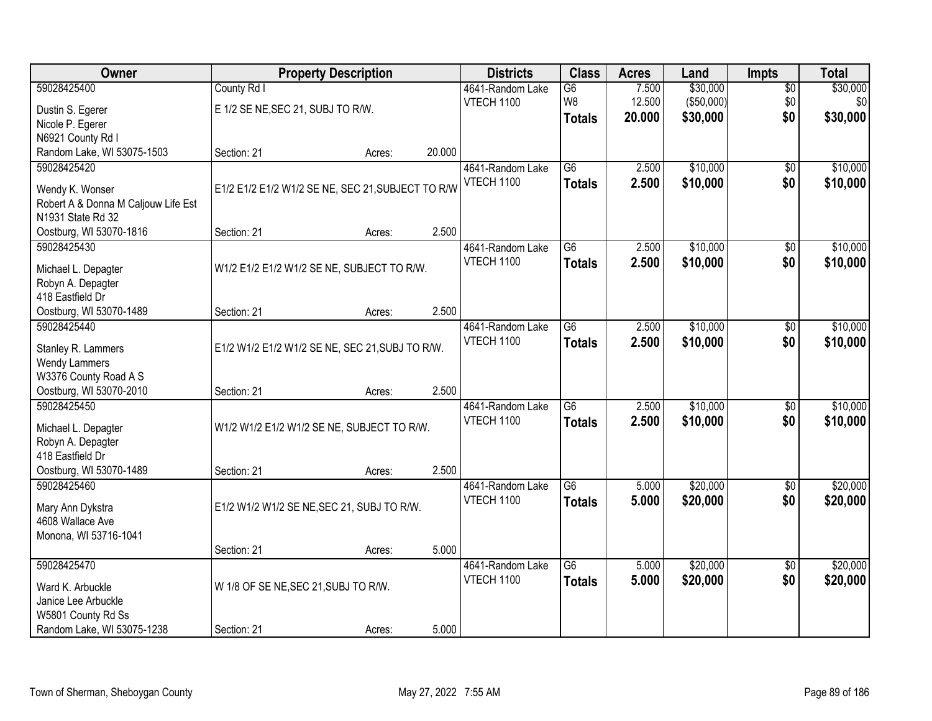| Owner                                  | <b>Property Description</b>                       |        |        | <b>Districts</b>  | <b>Class</b>    | <b>Acres</b> | Land       | <b>Impts</b>    | <b>Total</b> |
|----------------------------------------|---------------------------------------------------|--------|--------|-------------------|-----------------|--------------|------------|-----------------|--------------|
| 59028425400                            | County Rd I                                       |        |        | 4641-Random Lake  | $\overline{G6}$ | 7.500        | \$30,000   | $\overline{50}$ | \$30,000     |
| Dustin S. Egerer                       | E 1/2 SE NE, SEC 21, SUBJ TO R/W.                 |        |        | VTECH 1100        | W8              | 12.500       | (\$50,000) | \$0             | \$0          |
| Nicole P. Egerer                       |                                                   |        |        |                   | <b>Totals</b>   | 20.000       | \$30,000   | \$0             | \$30,000     |
| N6921 County Rd I                      |                                                   |        |        |                   |                 |              |            |                 |              |
| Random Lake, WI 53075-1503             | Section: 21                                       | Acres: | 20.000 |                   |                 |              |            |                 |              |
| 59028425420                            |                                                   |        |        | 4641-Random Lake  | $\overline{G6}$ | 2.500        | \$10,000   | \$0             | \$10,000     |
| Wendy K. Wonser                        | E1/2 E1/2 E1/2 W1/2 SE NE, SEC 21, SUBJECT TO R/W |        |        | <b>VTECH 1100</b> | <b>Totals</b>   | 2.500        | \$10,000   | \$0             | \$10,000     |
| Robert A & Donna M Caljouw Life Est    |                                                   |        |        |                   |                 |              |            |                 |              |
| N1931 State Rd 32                      |                                                   |        |        |                   |                 |              |            |                 |              |
| Oostburg, WI 53070-1816                | Section: 21                                       | Acres: | 2.500  |                   |                 |              |            |                 |              |
| 59028425430                            |                                                   |        |        | 4641-Random Lake  | G6              | 2.500        | \$10,000   | $\sqrt[6]{30}$  | \$10,000     |
|                                        |                                                   |        |        | <b>VTECH 1100</b> | <b>Totals</b>   | 2.500        | \$10,000   | \$0             | \$10,000     |
| Michael L. Depagter                    | W1/2 E1/2 E1/2 W1/2 SE NE, SUBJECT TO R/W.        |        |        |                   |                 |              |            |                 |              |
| Robyn A. Depagter                      |                                                   |        |        |                   |                 |              |            |                 |              |
| 418 Eastfield Dr                       | Section: 21                                       |        | 2.500  |                   |                 |              |            |                 |              |
| Oostburg, WI 53070-1489<br>59028425440 |                                                   | Acres: |        | 4641-Random Lake  | G6              | 2.500        | \$10,000   | \$0             | \$10,000     |
|                                        |                                                   |        |        | <b>VTECH 1100</b> |                 | 2.500        | \$10,000   | \$0             |              |
| Stanley R. Lammers                     | E1/2 W1/2 E1/2 W1/2 SE NE, SEC 21, SUBJ TO R/W.   |        |        |                   | <b>Totals</b>   |              |            |                 | \$10,000     |
| <b>Wendy Lammers</b>                   |                                                   |        |        |                   |                 |              |            |                 |              |
| W3376 County Road A S                  |                                                   |        |        |                   |                 |              |            |                 |              |
| Oostburg, WI 53070-2010                | Section: 21                                       | Acres: | 2.500  |                   |                 |              |            |                 |              |
| 59028425450                            |                                                   |        |        | 4641-Random Lake  | $\overline{G6}$ | 2.500        | \$10,000   | $\overline{30}$ | \$10,000     |
| Michael L. Depagter                    | W1/2 W1/2 E1/2 W1/2 SE NE, SUBJECT TO R/W.        |        |        | <b>VTECH 1100</b> | <b>Totals</b>   | 2.500        | \$10,000   | \$0             | \$10,000     |
| Robyn A. Depagter                      |                                                   |        |        |                   |                 |              |            |                 |              |
| 418 Eastfield Dr                       |                                                   |        |        |                   |                 |              |            |                 |              |
| Oostburg, WI 53070-1489                | Section: 21                                       | Acres: | 2.500  |                   |                 |              |            |                 |              |
| 59028425460                            |                                                   |        |        | 4641-Random Lake  | $\overline{G6}$ | 5.000        | \$20,000   | $\sqrt{6}$      | \$20,000     |
| Mary Ann Dykstra                       | E1/2 W1/2 W1/2 SE NE, SEC 21, SUBJ TO R/W.        |        |        | <b>VTECH 1100</b> | <b>Totals</b>   | 5.000        | \$20,000   | \$0             | \$20,000     |
| 4608 Wallace Ave                       |                                                   |        |        |                   |                 |              |            |                 |              |
| Monona, WI 53716-1041                  |                                                   |        |        |                   |                 |              |            |                 |              |
|                                        | Section: 21                                       | Acres: | 5.000  |                   |                 |              |            |                 |              |
| 59028425470                            |                                                   |        |        | 4641-Random Lake  | $\overline{G6}$ | 5.000        | \$20,000   | $\overline{50}$ | \$20,000     |
| Ward K. Arbuckle                       | W 1/8 OF SE NE, SEC 21, SUBJ TO R/W.              |        |        | <b>VTECH 1100</b> | <b>Totals</b>   | 5.000        | \$20,000   | \$0             | \$20,000     |
| Janice Lee Arbuckle                    |                                                   |        |        |                   |                 |              |            |                 |              |
| W5801 County Rd Ss                     |                                                   |        |        |                   |                 |              |            |                 |              |
| Random Lake, WI 53075-1238             | Section: 21                                       | Acres: | 5.000  |                   |                 |              |            |                 |              |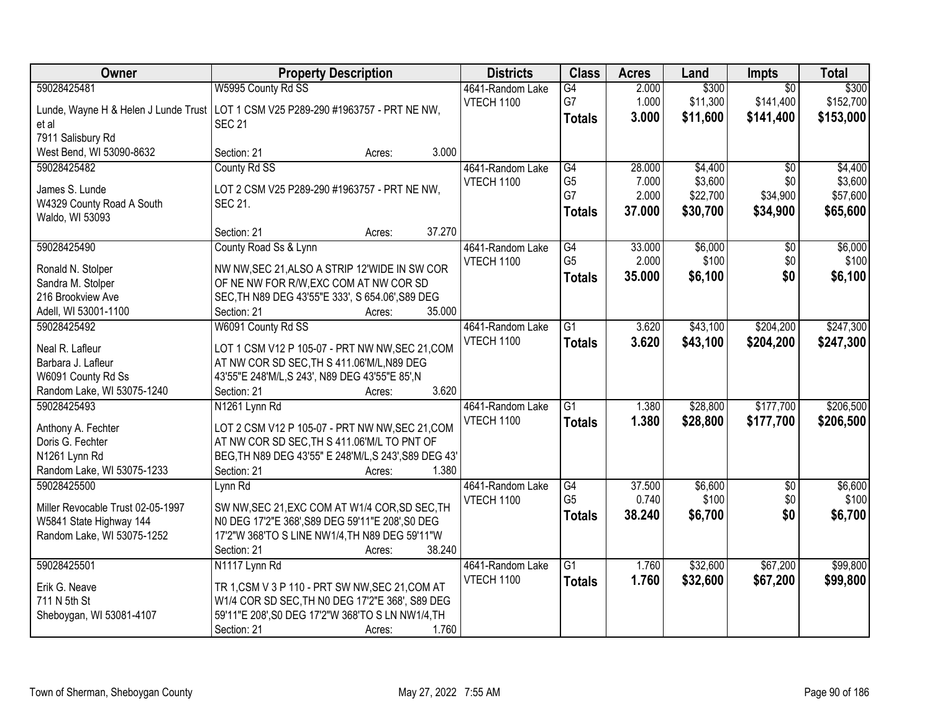| Owner                             | <b>Property Description</b>                                                         | <b>Districts</b>  | <b>Class</b>    | <b>Acres</b> | Land     | <b>Impts</b>    | <b>Total</b> |
|-----------------------------------|-------------------------------------------------------------------------------------|-------------------|-----------------|--------------|----------|-----------------|--------------|
| 59028425481                       | W5995 County Rd SS                                                                  | 4641-Random Lake  | $\overline{G4}$ | 2.000        | \$300    | $\overline{50}$ | \$300        |
|                                   | Lunde, Wayne H & Helen J Lunde Trust   LOT 1 CSM V25 P289-290 #1963757 - PRT NE NW, | VTECH 1100        | G7              | 1.000        | \$11,300 | \$141,400       | \$152,700    |
| et al                             | <b>SEC 21</b>                                                                       |                   | <b>Totals</b>   | 3.000        | \$11,600 | \$141,400       | \$153,000    |
| 7911 Salisbury Rd                 |                                                                                     |                   |                 |              |          |                 |              |
| West Bend, WI 53090-8632          | 3.000<br>Section: 21<br>Acres:                                                      |                   |                 |              |          |                 |              |
| 59028425482                       | County Rd SS                                                                        | 4641-Random Lake  | G4              | 28.000       | \$4,400  | $\overline{50}$ | \$4,400      |
|                                   |                                                                                     | <b>VTECH 1100</b> | G <sub>5</sub>  | 7.000        | \$3,600  | \$0             | \$3,600      |
| James S. Lunde                    | LOT 2 CSM V25 P289-290 #1963757 - PRT NE NW,                                        |                   | G7              | 2.000        | \$22,700 | \$34,900        | \$57,600     |
| W4329 County Road A South         | SEC 21.                                                                             |                   | <b>Totals</b>   | 37.000       | \$30,700 | \$34,900        | \$65,600     |
| Waldo, WI 53093                   |                                                                                     |                   |                 |              |          |                 |              |
|                                   | 37.270<br>Section: 21<br>Acres:                                                     |                   |                 |              |          |                 |              |
| 59028425490                       | County Road Ss & Lynn                                                               | 4641-Random Lake  | G4              | 33.000       | \$6,000  | \$0             | \$6,000      |
| Ronald N. Stolper                 | NW NW, SEC 21, ALSO A STRIP 12'WIDE IN SW COR                                       | VTECH 1100        | G <sub>5</sub>  | 2.000        | \$100    | \$0             | \$100        |
| Sandra M. Stolper                 | OF NE NW FOR R/W, EXC COM AT NW COR SD                                              |                   | <b>Totals</b>   | 35.000       | \$6,100  | \$0             | \$6,100      |
| 216 Brookview Ave                 | SEC, TH N89 DEG 43'55"E 333', S 654.06', S89 DEG                                    |                   |                 |              |          |                 |              |
| Adell, WI 53001-1100              | 35.000<br>Section: 21<br>Acres:                                                     |                   |                 |              |          |                 |              |
| 59028425492                       | W6091 County Rd SS                                                                  | 4641-Random Lake  | G1              | 3.620        | \$43,100 | \$204,200       | \$247,300    |
|                                   |                                                                                     | <b>VTECH 1100</b> | <b>Totals</b>   | 3.620        | \$43,100 | \$204,200       | \$247,300    |
| Neal R. Lafleur                   | LOT 1 CSM V12 P 105-07 - PRT NW NW, SEC 21, COM                                     |                   |                 |              |          |                 |              |
| Barbara J. Lafleur                | AT NW COR SD SEC, TH S 411.06'M/L, N89 DEG                                          |                   |                 |              |          |                 |              |
| W6091 County Rd Ss                | 43'55"E 248'M/L, S 243', N89 DEG 43'55"E 85', N                                     |                   |                 |              |          |                 |              |
| Random Lake, WI 53075-1240        | 3.620<br>Section: 21<br>Acres:                                                      |                   |                 |              |          |                 |              |
| 59028425493                       | N1261 Lynn Rd                                                                       | 4641-Random Lake  | $\overline{G1}$ | 1.380        | \$28,800 | \$177,700       | \$206,500    |
| Anthony A. Fechter                | LOT 2 CSM V12 P 105-07 - PRT NW NW, SEC 21, COM                                     | <b>VTECH 1100</b> | <b>Totals</b>   | 1.380        | \$28,800 | \$177,700       | \$206,500    |
| Doris G. Fechter                  | AT NW COR SD SEC, TH S 411.06'M/L TO PNT OF                                         |                   |                 |              |          |                 |              |
| N1261 Lynn Rd                     | BEG, TH N89 DEG 43'55" E 248'M/L, S 243', S89 DEG 43'                               |                   |                 |              |          |                 |              |
| Random Lake, WI 53075-1233        | 1.380<br>Section: 21<br>Acres:                                                      |                   |                 |              |          |                 |              |
| 59028425500                       | Lynn Rd                                                                             | 4641-Random Lake  | G4              | 37.500       | \$6,600  | $\overline{50}$ | \$6,600      |
|                                   |                                                                                     | VTECH 1100        | G <sub>5</sub>  | 0.740        | \$100    | \$0             | \$100        |
| Miller Revocable Trust 02-05-1997 | SW NW, SEC 21, EXC COM AT W1/4 COR, SD SEC, TH                                      |                   | <b>Totals</b>   | 38.240       | \$6,700  | \$0             | \$6,700      |
| W5841 State Highway 144           | N0 DEG 17'2"E 368', S89 DEG 59'11"E 208', S0 DEG                                    |                   |                 |              |          |                 |              |
| Random Lake, WI 53075-1252        | 17'2"W 368'TO S LINE NW1/4, TH N89 DEG 59'11"W<br>38.240                            |                   |                 |              |          |                 |              |
|                                   | Section: 21<br>Acres:                                                               |                   | $\overline{G1}$ | 1.760        | \$32,600 | \$67,200        | \$99,800     |
| 59028425501                       | N1117 Lynn Rd                                                                       | 4641-Random Lake  |                 |              |          |                 |              |
| Erik G. Neave                     | TR 1, CSM V 3 P 110 - PRT SW NW, SEC 21, COM AT                                     | <b>VTECH 1100</b> | <b>Totals</b>   | 1.760        | \$32,600 | \$67,200        | \$99,800     |
| 711 N 5th St                      | W1/4 COR SD SEC, TH N0 DEG 17'2"E 368', S89 DEG                                     |                   |                 |              |          |                 |              |
| Sheboygan, WI 53081-4107          | 59'11"E 208', S0 DEG 17'2"W 368'TO S LN NW1/4, TH                                   |                   |                 |              |          |                 |              |
|                                   | 1.760<br>Section: 21<br>Acres:                                                      |                   |                 |              |          |                 |              |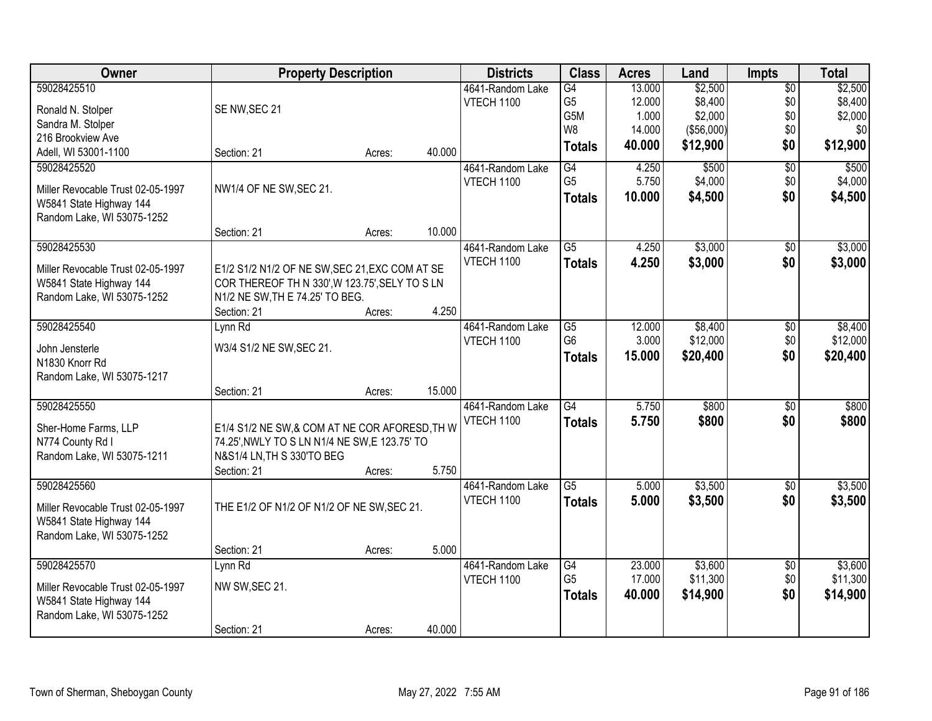| Owner                                        | <b>Property Description</b>                    |        |        | <b>Districts</b>                      | <b>Class</b>    | <b>Acres</b> | Land       | <b>Impts</b>           | <b>Total</b> |
|----------------------------------------------|------------------------------------------------|--------|--------|---------------------------------------|-----------------|--------------|------------|------------------------|--------------|
| 59028425510                                  |                                                |        |        | 4641-Random Lake                      | G4              | 13.000       | \$2,500    | $\overline{50}$        | \$2,500      |
| Ronald N. Stolper                            | SE NW, SEC 21                                  |        |        | VTECH 1100                            | G <sub>5</sub>  | 12.000       | \$8,400    | \$0                    | \$8,400      |
| Sandra M. Stolper                            |                                                |        |        |                                       | G5M             | 1.000        | \$2,000    | \$0                    | \$2,000      |
| 216 Brookview Ave                            |                                                |        |        |                                       | W8              | 14.000       | (\$56,000) | \$0                    | \$0          |
| Adell, WI 53001-1100                         | Section: 21                                    | Acres: | 40.000 |                                       | <b>Totals</b>   | 40.000       | \$12,900   | \$0                    | \$12,900     |
| 59028425520                                  |                                                |        |        | 4641-Random Lake                      | G4              | 4.250        | \$500      | $\overline{50}$        | \$500        |
| Miller Revocable Trust 02-05-1997            | NW1/4 OF NE SW, SEC 21.                        |        |        | <b>VTECH 1100</b>                     | G <sub>5</sub>  | 5.750        | \$4,000    | \$0                    | \$4,000      |
| W5841 State Highway 144                      |                                                |        |        |                                       | <b>Totals</b>   | 10.000       | \$4,500    | \$0                    | \$4,500      |
| Random Lake, WI 53075-1252                   |                                                |        |        |                                       |                 |              |            |                        |              |
|                                              | Section: 21                                    | Acres: | 10.000 |                                       |                 |              |            |                        |              |
| 59028425530                                  |                                                |        |        | 4641-Random Lake                      | $\overline{G5}$ | 4.250        | \$3,000    | $\sqrt[6]{}$           | \$3,000      |
| Miller Revocable Trust 02-05-1997            | E1/2 S1/2 N1/2 OF NE SW, SEC 21, EXC COM AT SE |        |        | VTECH 1100                            | <b>Totals</b>   | 4.250        | \$3,000    | \$0                    | \$3,000      |
| W5841 State Highway 144                      | COR THEREOF TH N 330', W 123.75', SELY TO S LN |        |        |                                       |                 |              |            |                        |              |
| Random Lake, WI 53075-1252                   | N1/2 NE SW, TH E 74.25' TO BEG.                |        |        |                                       |                 |              |            |                        |              |
|                                              | Section: 21                                    | Acres: | 4.250  |                                       |                 |              |            |                        |              |
| 59028425540                                  | Lynn Rd                                        |        |        | 4641-Random Lake                      | G5              | 12.000       | \$8,400    | \$0                    | \$8,400      |
|                                              |                                                |        |        | VTECH 1100                            | G <sub>6</sub>  | 3.000        | \$12,000   | \$0                    | \$12,000     |
| John Jensterle                               | W3/4 S1/2 NE SW, SEC 21.                       |        |        |                                       | <b>Totals</b>   | 15.000       | \$20,400   | \$0                    | \$20,400     |
| N1830 Knorr Rd<br>Random Lake, WI 53075-1217 |                                                |        |        |                                       |                 |              |            |                        |              |
|                                              | Section: 21                                    | Acres: | 15.000 |                                       |                 |              |            |                        |              |
| 59028425550                                  |                                                |        |        | 4641-Random Lake                      | $\overline{G4}$ | 5.750        | \$800      | $\overline{50}$        | \$800        |
|                                              |                                                |        |        | VTECH 1100                            | <b>Totals</b>   | 5.750        | \$800      | \$0                    | \$800        |
| Sher-Home Farms, LLP                         | E1/4 S1/2 NE SW,& COM AT NE COR AFORESD, TH W  |        |        |                                       |                 |              |            |                        |              |
| N774 County Rd I                             | 74.25', NWLY TO S LN N1/4 NE SW, E 123.75' TO  |        |        |                                       |                 |              |            |                        |              |
| Random Lake, WI 53075-1211                   | N&S1/4 LN, TH S 330'TO BEG                     |        |        |                                       |                 |              |            |                        |              |
| 59028425560                                  | Section: 21                                    | Acres: | 5.750  |                                       | $\overline{G5}$ |              | \$3,500    |                        | \$3,500      |
|                                              |                                                |        |        | 4641-Random Lake<br><b>VTECH 1100</b> |                 | 5.000        |            | $\overline{50}$<br>\$0 |              |
| Miller Revocable Trust 02-05-1997            | THE E1/2 OF N1/2 OF N1/2 OF NE SW, SEC 21.     |        |        |                                       | <b>Totals</b>   | 5.000        | \$3,500    |                        | \$3,500      |
| W5841 State Highway 144                      |                                                |        |        |                                       |                 |              |            |                        |              |
| Random Lake, WI 53075-1252                   |                                                |        |        |                                       |                 |              |            |                        |              |
|                                              | Section: 21                                    | Acres: | 5.000  |                                       |                 |              |            |                        |              |
| 59028425570                                  | Lynn Rd                                        |        |        | 4641-Random Lake                      | $\overline{G4}$ | 23.000       | \$3,600    | $\overline{50}$        | \$3,600      |
| Miller Revocable Trust 02-05-1997            | NW SW, SEC 21.                                 |        |        | <b>VTECH 1100</b>                     | G <sub>5</sub>  | 17.000       | \$11,300   | \$0                    | \$11,300     |
| W5841 State Highway 144                      |                                                |        |        |                                       | <b>Totals</b>   | 40.000       | \$14,900   | \$0                    | \$14,900     |
| Random Lake, WI 53075-1252                   |                                                |        |        |                                       |                 |              |            |                        |              |
|                                              | Section: 21                                    | Acres: | 40.000 |                                       |                 |              |            |                        |              |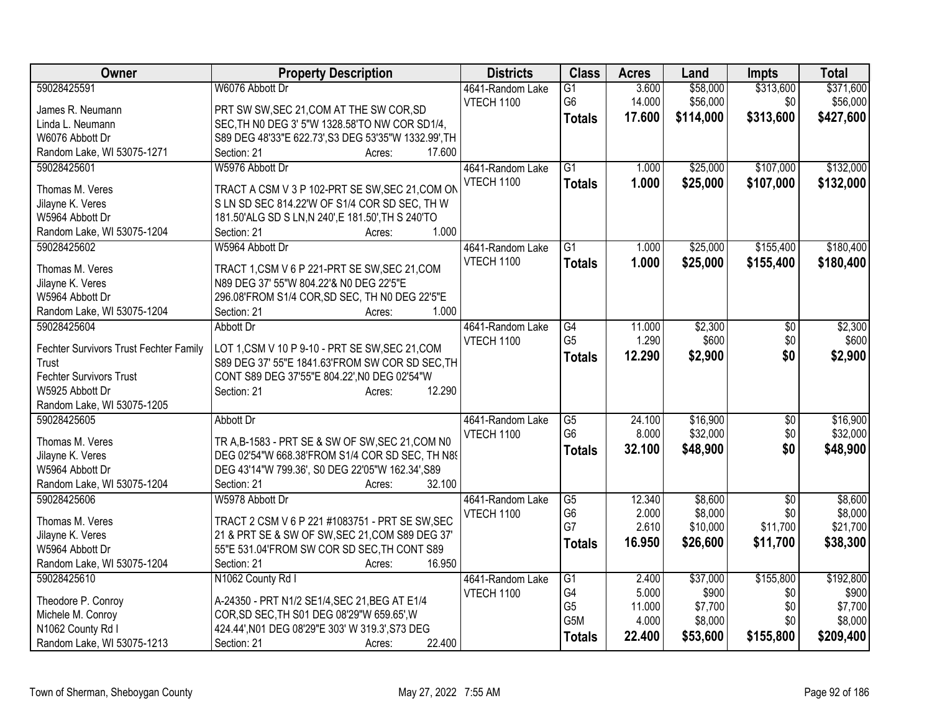| Owner                                  | <b>Property Description</b>                          | <b>Districts</b>  | <b>Class</b>    | <b>Acres</b> | Land      | Impts           | <b>Total</b> |
|----------------------------------------|------------------------------------------------------|-------------------|-----------------|--------------|-----------|-----------------|--------------|
| 59028425591                            | W6076 Abbott Dr                                      | 4641-Random Lake  | $\overline{G1}$ | 3.600        | \$58,000  | \$313,600       | \$371,600    |
| James R. Neumann                       | PRT SW SW, SEC 21, COM AT THE SW COR, SD             | VTECH 1100        | G <sub>6</sub>  | 14.000       | \$56,000  | \$0             | \$56,000     |
| Linda L. Neumann                       | SEC, TH NO DEG 3' 5"W 1328.58'TO NW COR SD1/4,       |                   | <b>Totals</b>   | 17.600       | \$114,000 | \$313,600       | \$427,600    |
| W6076 Abbott Dr                        | S89 DEG 48'33"E 622.73', S3 DEG 53'35"W 1332.99', TH |                   |                 |              |           |                 |              |
| Random Lake, WI 53075-1271             | Section: 21<br>Acres:<br>17.600                      |                   |                 |              |           |                 |              |
| 59028425601                            | W5976 Abbott Dr                                      | 4641-Random Lake  | G1              | 1.000        | \$25,000  | \$107,000       | \$132,000    |
|                                        |                                                      | <b>VTECH 1100</b> | <b>Totals</b>   | 1.000        | \$25,000  | \$107,000       | \$132,000    |
| Thomas M. Veres                        | TRACT A CSM V 3 P 102-PRT SE SW, SEC 21, COM ON      |                   |                 |              |           |                 |              |
| Jilayne K. Veres                       | S LN SD SEC 814.22'W OF S1/4 COR SD SEC, TH W        |                   |                 |              |           |                 |              |
| W5964 Abbott Dr                        | 181.50'ALG SD S LN, N 240', E 181.50', TH S 240'TO   |                   |                 |              |           |                 |              |
| Random Lake, WI 53075-1204             | 1.000<br>Section: 21<br>Acres:                       |                   |                 |              |           |                 |              |
| 59028425602                            | W5964 Abbott Dr                                      | 4641-Random Lake  | $\overline{G1}$ | 1.000        | \$25,000  | \$155,400       | \$180,400    |
| Thomas M. Veres                        | TRACT 1,CSM V 6 P 221-PRT SE SW, SEC 21, COM         | VTECH 1100        | <b>Totals</b>   | 1.000        | \$25,000  | \$155,400       | \$180,400    |
| Jilayne K. Veres                       | N89 DEG 37' 55"W 804.22'& N0 DEG 22'5"E              |                   |                 |              |           |                 |              |
| W5964 Abbott Dr                        | 296.08'FROM S1/4 COR, SD SEC, TH N0 DEG 22'5"E       |                   |                 |              |           |                 |              |
| Random Lake, WI 53075-1204             | 1.000<br>Section: 21<br>Acres:                       |                   |                 |              |           |                 |              |
| 59028425604                            | Abbott Dr                                            | 4641-Random Lake  | $\overline{G4}$ | 11.000       | \$2,300   | $\overline{50}$ | \$2,300      |
|                                        |                                                      | VTECH 1100        | G <sub>5</sub>  | 1.290        | \$600     | \$0             | \$600        |
| Fechter Survivors Trust Fechter Family | LOT 1,CSM V 10 P 9-10 - PRT SE SW, SEC 21, COM       |                   | <b>Totals</b>   | 12.290       | \$2,900   | \$0             | \$2,900      |
| Trust                                  | S89 DEG 37' 55"E 1841.63'FROM SW COR SD SEC, TH      |                   |                 |              |           |                 |              |
| <b>Fechter Survivors Trust</b>         | CONT S89 DEG 37'55"E 804.22', N0 DEG 02'54"W         |                   |                 |              |           |                 |              |
| W5925 Abbott Dr                        | 12.290<br>Section: 21<br>Acres:                      |                   |                 |              |           |                 |              |
| Random Lake, WI 53075-1205             |                                                      |                   |                 |              |           |                 |              |
| 59028425605                            | Abbott Dr                                            | 4641-Random Lake  | G5              | 24.100       | \$16,900  | \$0             | \$16,900     |
| Thomas M. Veres                        | TR A, B-1583 - PRT SE & SW OF SW, SEC 21, COM N0     | VTECH 1100        | G <sub>6</sub>  | 8.000        | \$32,000  | \$0             | \$32,000     |
| Jilayne K. Veres                       | DEG 02'54"W 668.38'FROM S1/4 COR SD SEC, TH N89      |                   | <b>Totals</b>   | 32.100       | \$48,900  | \$0             | \$48,900     |
| W5964 Abbott Dr                        | DEG 43'14"W 799.36', S0 DEG 22'05"W 162.34', S89     |                   |                 |              |           |                 |              |
| Random Lake, WI 53075-1204             | 32.100<br>Section: 21<br>Acres:                      |                   |                 |              |           |                 |              |
| 59028425606                            | W5978 Abbott Dr                                      | 4641-Random Lake  | G5              | 12.340       | \$8,600   | $\overline{50}$ | \$8,600      |
|                                        |                                                      | <b>VTECH 1100</b> | G <sub>6</sub>  | 2.000        | \$8,000   | \$0             | \$8,000      |
| Thomas M. Veres                        | TRACT 2 CSM V 6 P 221 #1083751 - PRT SE SW, SEC      |                   | G7              | 2.610        | \$10,000  | \$11,700        | \$21,700     |
| Jilayne K. Veres                       | 21 & PRT SE & SW OF SW, SEC 21, COM S89 DEG 37'      |                   | <b>Totals</b>   | 16.950       | \$26,600  | \$11,700        | \$38,300     |
| W5964 Abbott Dr                        | 55"E 531.04'FROM SW COR SD SEC, TH CONT S89          |                   |                 |              |           |                 |              |
| Random Lake, WI 53075-1204             | 16.950<br>Section: 21<br>Acres:                      |                   |                 |              |           |                 |              |
| 59028425610                            | N1062 County Rd I                                    | 4641-Random Lake  | G1              | 2.400        | \$37,000  | \$155,800       | \$192,800    |
| Theodore P. Conroy                     | A-24350 - PRT N1/2 SE1/4, SEC 21, BEG AT E1/4        | VTECH 1100        | G4              | 5.000        | \$900     | \$0             | \$900        |
| Michele M. Conroy                      | COR, SD SEC, TH S01 DEG 08'29"W 659.65', W           |                   | G <sub>5</sub>  | 11.000       | \$7,700   | \$0             | \$7,700      |
| N1062 County Rd I                      | 424.44', N01 DEG 08'29"E 303' W 319.3', S73 DEG      |                   | G5M             | 4.000        | \$8,000   | \$0             | \$8,000      |
| Random Lake, WI 53075-1213             | 22.400<br>Section: 21<br>Acres:                      |                   | <b>Totals</b>   | 22.400       | \$53,600  | \$155,800       | \$209,400    |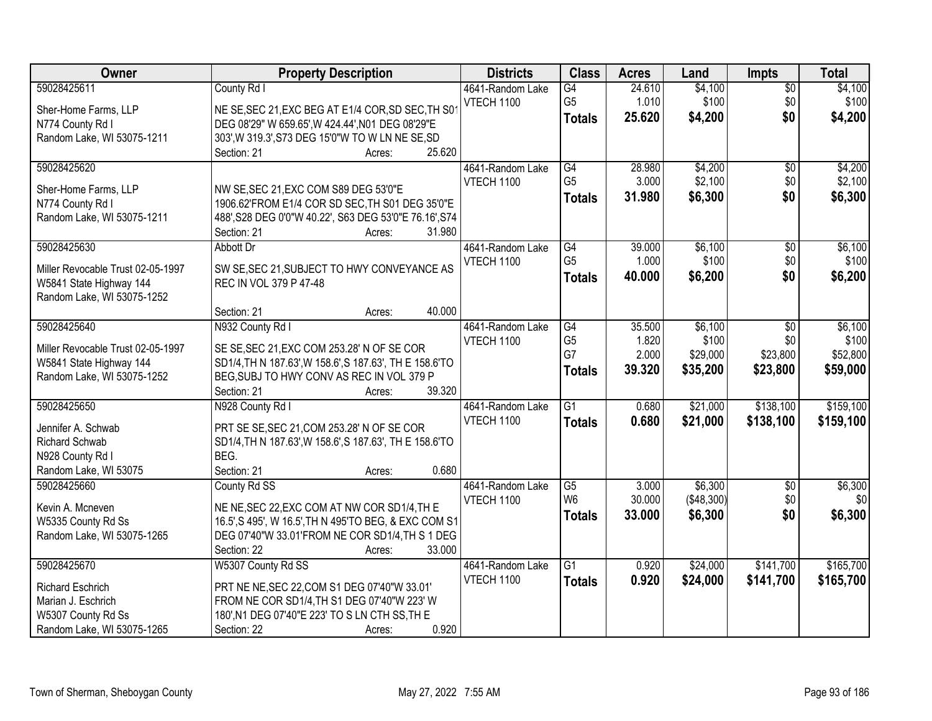| Owner                             | <b>Property Description</b>                                                               | <b>Districts</b>  | <b>Class</b>    | <b>Acres</b> | Land       | Impts           | <b>Total</b> |
|-----------------------------------|-------------------------------------------------------------------------------------------|-------------------|-----------------|--------------|------------|-----------------|--------------|
| 59028425611                       | County Rd I                                                                               | 4641-Random Lake  | G4              | 24.610       | \$4,100    | $\overline{50}$ | \$4,100      |
| Sher-Home Farms, LLP              | NE SE, SEC 21, EXC BEG AT E1/4 COR, SD SEC, TH S0                                         | VTECH 1100        | G <sub>5</sub>  | 1.010        | \$100      | \$0             | \$100        |
| N774 County Rd I                  | DEG 08'29" W 659.65', W 424.44', N01 DEG 08'29"E                                          |                   | <b>Totals</b>   | 25.620       | \$4,200    | \$0             | \$4,200      |
| Random Lake, WI 53075-1211        | 303', W 319.3', S73 DEG 15'0"W TO W LN NE SE, SD                                          |                   |                 |              |            |                 |              |
|                                   | 25.620<br>Section: 21<br>Acres:                                                           |                   |                 |              |            |                 |              |
| 59028425620                       |                                                                                           | 4641-Random Lake  | G4              | 28.980       | \$4,200    | $\overline{50}$ | \$4,200      |
|                                   |                                                                                           | <b>VTECH 1100</b> | G <sub>5</sub>  | 3.000        | \$2,100    | \$0             | \$2,100      |
| Sher-Home Farms, LLP              | NW SE, SEC 21, EXC COM S89 DEG 53'0"E                                                     |                   | <b>Totals</b>   | 31.980       | \$6,300    | \$0             | \$6,300      |
| N774 County Rd I                  | 1906.62'FROM E1/4 COR SD SEC, TH S01 DEG 35'0"E                                           |                   |                 |              |            |                 |              |
| Random Lake, WI 53075-1211        | 488', S28 DEG 0'0"W 40.22', S63 DEG 53'0"E 76.16', S74<br>31.980<br>Section: 21<br>Acres: |                   |                 |              |            |                 |              |
| 59028425630                       | Abbott Dr                                                                                 | 4641-Random Lake  | G4              | 39.000       | \$6,100    | \$0             | \$6,100      |
|                                   |                                                                                           | <b>VTECH 1100</b> | G <sub>5</sub>  | 1.000        | \$100      | \$0             | \$100        |
| Miller Revocable Trust 02-05-1997 | SW SE, SEC 21, SUBJECT TO HWY CONVEYANCE AS                                               |                   | <b>Totals</b>   | 40.000       | \$6,200    | \$0             | \$6,200      |
| W5841 State Highway 144           | REC IN VOL 379 P 47-48                                                                    |                   |                 |              |            |                 |              |
| Random Lake, WI 53075-1252        |                                                                                           |                   |                 |              |            |                 |              |
|                                   | 40.000<br>Section: 21<br>Acres:                                                           |                   |                 |              |            |                 |              |
| 59028425640                       | N932 County Rd I                                                                          | 4641-Random Lake  | G4              | 35.500       | \$6,100    | $\sqrt[6]{}$    | \$6,100      |
| Miller Revocable Trust 02-05-1997 | SE SE, SEC 21, EXC COM 253.28' N OF SE COR                                                | VTECH 1100        | G <sub>5</sub>  | 1.820        | \$100      | \$0             | \$100        |
| W5841 State Highway 144           | SD1/4, TH N 187.63', W 158.6', S 187.63', TH E 158.6'TO                                   |                   | G7              | 2.000        | \$29,000   | \$23,800        | \$52,800     |
| Random Lake, WI 53075-1252        | BEG, SUBJ TO HWY CONV AS REC IN VOL 379 P                                                 |                   | <b>Totals</b>   | 39.320       | \$35,200   | \$23,800        | \$59,000     |
|                                   | Section: 21<br>39.320<br>Acres:                                                           |                   |                 |              |            |                 |              |
| 59028425650                       | N928 County Rd I                                                                          | 4641-Random Lake  | $\overline{G1}$ | 0.680        | \$21,000   | \$138,100       | \$159,100    |
| Jennifer A. Schwab                | PRT SE SE, SEC 21, COM 253.28' N OF SE COR                                                | <b>VTECH 1100</b> | <b>Totals</b>   | 0.680        | \$21,000   | \$138,100       | \$159,100    |
| <b>Richard Schwab</b>             | SD1/4, TH N 187.63', W 158.6', S 187.63', TH E 158.6'TO                                   |                   |                 |              |            |                 |              |
| N928 County Rd I                  | BEG.                                                                                      |                   |                 |              |            |                 |              |
| Random Lake, WI 53075             | Section: 21<br>0.680<br>Acres:                                                            |                   |                 |              |            |                 |              |
| 59028425660                       | County Rd SS                                                                              | 4641-Random Lake  | $\overline{G5}$ | 3.000        | \$6,300    | $\sqrt{$0}$     | \$6,300      |
|                                   |                                                                                           | <b>VTECH 1100</b> | W <sub>6</sub>  | 30.000       | (\$48,300) | \$0             | \$0          |
| Kevin A. Mcneven                  | NE NE, SEC 22, EXC COM AT NW COR SD1/4, TH E                                              |                   | <b>Totals</b>   | 33.000       | \$6,300    | \$0             | \$6,300      |
| W5335 County Rd Ss                | 16.5', S 495', W 16.5', TH N 495'TO BEG, & EXC COM S1                                     |                   |                 |              |            |                 |              |
| Random Lake, WI 53075-1265        | DEG 07'40"W 33.01'FROM NE COR SD1/4, TH S 1 DEG                                           |                   |                 |              |            |                 |              |
|                                   | 33.000<br>Section: 22<br>Acres:                                                           |                   |                 |              |            |                 |              |
| 59028425670                       | W5307 County Rd SS                                                                        | 4641-Random Lake  | $\overline{G1}$ | 0.920        | \$24,000   | \$141,700       | \$165,700    |
| <b>Richard Eschrich</b>           | PRT NE NE, SEC 22, COM S1 DEG 07'40"W 33.01'                                              | <b>VTECH 1100</b> | <b>Totals</b>   | 0.920        | \$24,000   | \$141,700       | \$165,700    |
| Marian J. Eschrich                | FROM NE COR SD1/4, TH S1 DEG 07'40"W 223' W                                               |                   |                 |              |            |                 |              |
| W5307 County Rd Ss                | 180', N1 DEG 07'40"E 223' TO S LN CTH SS, TH E                                            |                   |                 |              |            |                 |              |
| Random Lake, WI 53075-1265        | 0.920<br>Section: 22<br>Acres:                                                            |                   |                 |              |            |                 |              |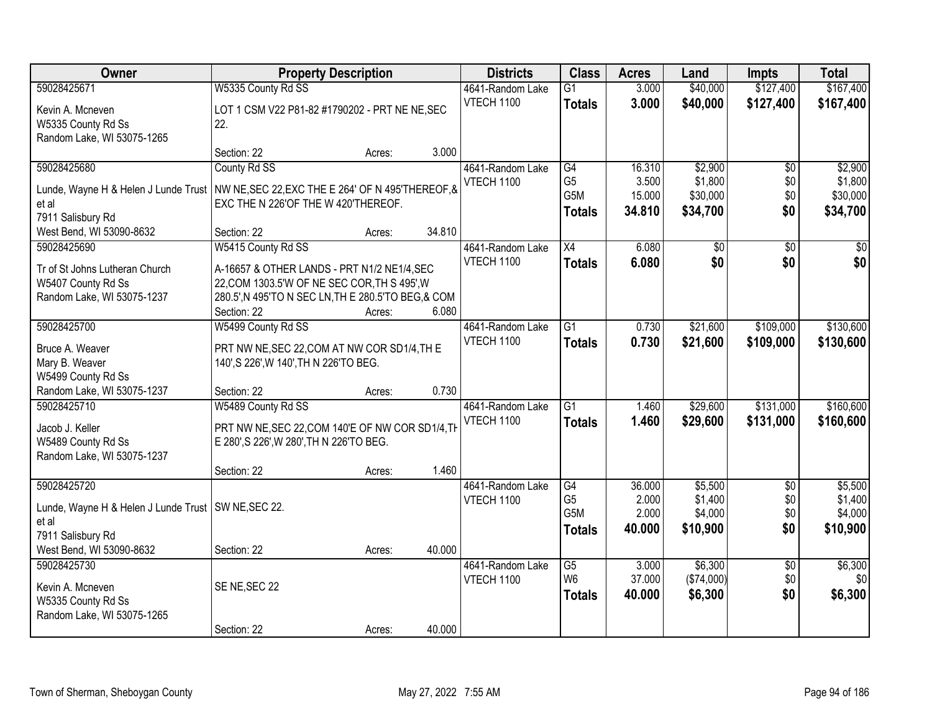| Owner                                                                                    | <b>Property Description</b>                                                            |        |        | <b>Districts</b>  | <b>Class</b>     | <b>Acres</b> | Land       | <b>Impts</b>    | <b>Total</b> |
|------------------------------------------------------------------------------------------|----------------------------------------------------------------------------------------|--------|--------|-------------------|------------------|--------------|------------|-----------------|--------------|
| 59028425671                                                                              | W5335 County Rd SS                                                                     |        |        | 4641-Random Lake  | $\overline{G1}$  | 3.000        | \$40,000   | \$127,400       | \$167,400    |
| Kevin A. Mcneven                                                                         | LOT 1 CSM V22 P81-82 #1790202 - PRT NE NE, SEC                                         |        |        | VTECH 1100        | <b>Totals</b>    | 3.000        | \$40,000   | \$127,400       | \$167,400    |
| W5335 County Rd Ss                                                                       | 22.                                                                                    |        |        |                   |                  |              |            |                 |              |
| Random Lake, WI 53075-1265                                                               |                                                                                        |        |        |                   |                  |              |            |                 |              |
|                                                                                          | Section: 22                                                                            | Acres: | 3.000  |                   |                  |              |            |                 |              |
| 59028425680                                                                              | County Rd SS                                                                           |        |        | 4641-Random Lake  | G4               | 16.310       | \$2,900    | $\overline{50}$ | \$2,900      |
| Lunde, Wayne H & Helen J Lunde Trust   NW NE, SEC 22, EXC THE E 264' OF N 495'THEREOF, & |                                                                                        |        |        | VTECH 1100        | G <sub>5</sub>   | 3.500        | \$1,800    | \$0             | \$1,800      |
| et al                                                                                    | EXC THE N 226'OF THE W 420'THEREOF.                                                    |        |        |                   | G <sub>5</sub> M | 15.000       | \$30,000   | \$0             | \$30,000     |
| 7911 Salisbury Rd                                                                        |                                                                                        |        |        |                   | <b>Totals</b>    | 34.810       | \$34,700   | \$0             | \$34,700     |
| West Bend, WI 53090-8632                                                                 | Section: 22                                                                            | Acres: | 34.810 |                   |                  |              |            |                 |              |
| 59028425690                                                                              | W5415 County Rd SS                                                                     |        |        | 4641-Random Lake  | X4               | 6.080        | \$0        | \$0             | \$0          |
| Tr of St Johns Lutheran Church                                                           | A-16657 & OTHER LANDS - PRT N1/2 NE1/4, SEC                                            |        |        | <b>VTECH 1100</b> | <b>Totals</b>    | 6.080        | \$0        | \$0             | \$0          |
| W5407 County Rd Ss                                                                       | 22, COM 1303.5'W OF NE SEC COR, TH S 495', W                                           |        |        |                   |                  |              |            |                 |              |
| Random Lake, WI 53075-1237                                                               | 280.5', N 495'TO N SEC LN, TH E 280.5'TO BEG, & COM                                    |        |        |                   |                  |              |            |                 |              |
|                                                                                          | Section: 22                                                                            | Acres: | 6.080  |                   |                  |              |            |                 |              |
| 59028425700                                                                              | W5499 County Rd SS                                                                     |        |        | 4641-Random Lake  | G1               | 0.730        | \$21,600   | \$109,000       | \$130,600    |
| Bruce A. Weaver                                                                          |                                                                                        |        |        | VTECH 1100        | <b>Totals</b>    | 0.730        | \$21,600   | \$109,000       | \$130,600    |
| Mary B. Weaver                                                                           | PRT NW NE, SEC 22, COM AT NW COR SD1/4, TH E<br>140', S 226', W 140', TH N 226'TO BEG. |        |        |                   |                  |              |            |                 |              |
| W5499 County Rd Ss                                                                       |                                                                                        |        |        |                   |                  |              |            |                 |              |
| Random Lake, WI 53075-1237                                                               | Section: 22                                                                            | Acres: | 0.730  |                   |                  |              |            |                 |              |
| 59028425710                                                                              | W5489 County Rd SS                                                                     |        |        | 4641-Random Lake  | $\overline{G1}$  | 1.460        | \$29,600   | \$131,000       | \$160,600    |
|                                                                                          |                                                                                        |        |        | VTECH 1100        | <b>Totals</b>    | 1.460        | \$29,600   | \$131,000       | \$160,600    |
| Jacob J. Keller                                                                          | PRT NW NE, SEC 22, COM 140'E OF NW COR SD1/4, TH                                       |        |        |                   |                  |              |            |                 |              |
| W5489 County Rd Ss<br>Random Lake, WI 53075-1237                                         | E 280', S 226', W 280', TH N 226'TO BEG.                                               |        |        |                   |                  |              |            |                 |              |
|                                                                                          | Section: 22                                                                            | Acres: | 1.460  |                   |                  |              |            |                 |              |
| 59028425720                                                                              |                                                                                        |        |        | 4641-Random Lake  | G4               | 36.000       | \$5,500    | $\overline{50}$ | \$5,500      |
|                                                                                          |                                                                                        |        |        | VTECH 1100        | G <sub>5</sub>   | 2.000        | \$1,400    | \$0             | \$1,400      |
| Lunde, Wayne H & Helen J Lunde Trust   SW NE, SEC 22.                                    |                                                                                        |        |        |                   | G <sub>5</sub> M | 2.000        | \$4,000    | \$0             | \$4,000      |
| et al                                                                                    |                                                                                        |        |        |                   | <b>Totals</b>    | 40.000       | \$10,900   | \$0             | \$10,900     |
| 7911 Salisbury Rd<br>West Bend, WI 53090-8632                                            | Section: 22                                                                            |        | 40.000 |                   |                  |              |            |                 |              |
| 59028425730                                                                              |                                                                                        | Acres: |        | 4641-Random Lake  | $\overline{G5}$  | 3.000        | \$6,300    | $\overline{50}$ | \$6,300      |
|                                                                                          |                                                                                        |        |        | VTECH 1100        | W <sub>6</sub>   | 37.000       | (\$74,000) | \$0             | \$0          |
| Kevin A. Mcneven                                                                         | SE NE, SEC 22                                                                          |        |        |                   | <b>Totals</b>    | 40.000       | \$6,300    | \$0             | \$6,300      |
| W5335 County Rd Ss                                                                       |                                                                                        |        |        |                   |                  |              |            |                 |              |
| Random Lake, WI 53075-1265                                                               |                                                                                        |        |        |                   |                  |              |            |                 |              |
|                                                                                          | Section: 22                                                                            | Acres: | 40.000 |                   |                  |              |            |                 |              |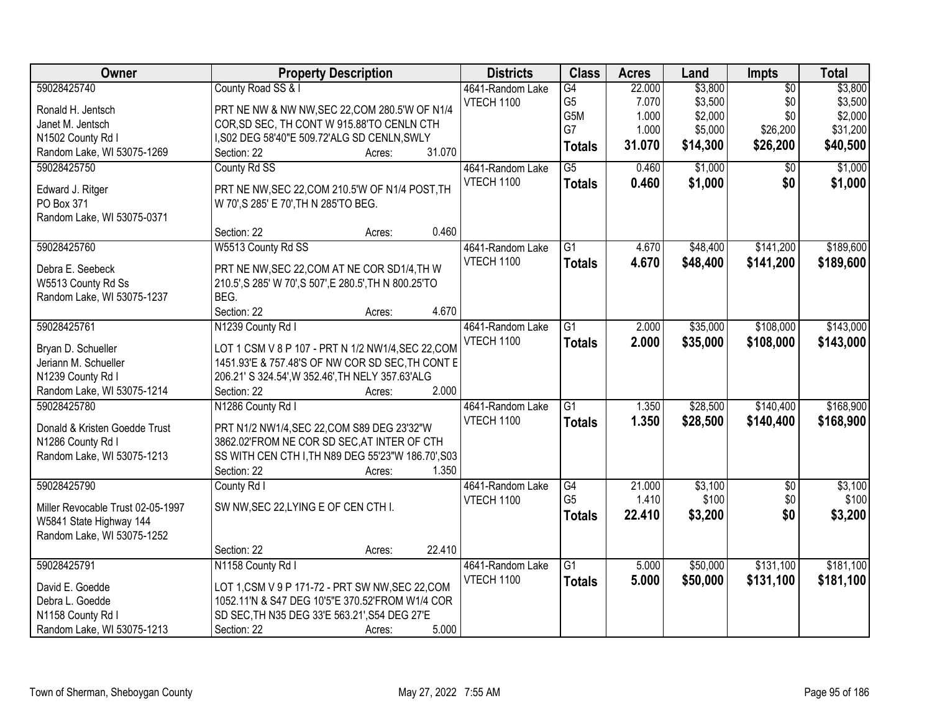| Owner                             | <b>Property Description</b>                               | <b>Districts</b>  | <b>Class</b>    | <b>Acres</b> | Land     | <b>Impts</b>    | <b>Total</b> |
|-----------------------------------|-----------------------------------------------------------|-------------------|-----------------|--------------|----------|-----------------|--------------|
| 59028425740                       | County Road SS & I                                        | 4641-Random Lake  | G4              | 22.000       | \$3,800  | $\overline{50}$ | \$3,800      |
| Ronald H. Jentsch                 | PRT NE NW & NW NW, SEC 22, COM 280.5'W OF N1/4            | <b>VTECH 1100</b> | G <sub>5</sub>  | 7.070        | \$3,500  | \$0             | \$3,500      |
| Janet M. Jentsch                  | COR, SD SEC, TH CONT W 915.88'TO CENLN CTH                |                   | G5M             | 1.000        | \$2,000  | \$0             | \$2,000      |
| N1502 County Rd I                 | I, S02 DEG 58'40"E 509.72'ALG SD CENLN, SWLY              |                   | G7              | 1.000        | \$5,000  | \$26,200        | \$31,200     |
| Random Lake, WI 53075-1269        | 31.070<br>Section: 22<br>Acres:                           |                   | <b>Totals</b>   | 31.070       | \$14,300 | \$26,200        | \$40,500     |
| 59028425750                       | County Rd SS                                              | 4641-Random Lake  | $\overline{G5}$ | 0.460        | \$1,000  | \$0             | \$1,000      |
|                                   |                                                           | <b>VTECH 1100</b> | <b>Totals</b>   | 0.460        | \$1,000  | \$0             | \$1,000      |
| Edward J. Ritger                  | PRT NE NW, SEC 22, COM 210.5'W OF N1/4 POST, TH           |                   |                 |              |          |                 |              |
| PO Box 371                        | W 70', S 285' E 70', TH N 285'TO BEG.                     |                   |                 |              |          |                 |              |
| Random Lake, WI 53075-0371        |                                                           |                   |                 |              |          |                 |              |
|                                   | 0.460<br>Section: 22<br>Acres:                            |                   |                 |              |          |                 |              |
| 59028425760                       | W5513 County Rd SS                                        | 4641-Random Lake  | G1              | 4.670        | \$48,400 | \$141,200       | \$189,600    |
| Debra E. Seebeck                  | PRT NE NW, SEC 22, COM AT NE COR SD1/4, TH W              | VTECH 1100        | <b>Totals</b>   | 4.670        | \$48,400 | \$141,200       | \$189,600    |
| W5513 County Rd Ss                | 210.5', S 285' W 70', S 507', E 280.5', TH N 800.25'TO    |                   |                 |              |          |                 |              |
| Random Lake, WI 53075-1237        | BEG.                                                      |                   |                 |              |          |                 |              |
|                                   | Section: 22<br>4.670<br>Acres:                            |                   |                 |              |          |                 |              |
| 59028425761                       | N1239 County Rd I                                         | 4641-Random Lake  | $\overline{G1}$ | 2.000        | \$35,000 | \$108,000       | \$143,000    |
|                                   |                                                           | VTECH 1100        | <b>Totals</b>   | 2.000        | \$35,000 | \$108,000       | \$143,000    |
| Bryan D. Schueller                | LOT 1 CSM V 8 P 107 - PRT N 1/2 NW1/4, SEC 22, COM        |                   |                 |              |          |                 |              |
| Jeriann M. Schueller              | 1451.93'E & 757.48'S OF NW COR SD SEC, TH CONT E          |                   |                 |              |          |                 |              |
| N1239 County Rd I                 | 206.21' S 324.54', W 352.46', TH NELY 357.63'ALG<br>2.000 |                   |                 |              |          |                 |              |
| Random Lake, WI 53075-1214        | Section: 22<br>Acres:                                     |                   | $\overline{G1}$ |              |          | \$140,400       |              |
| 59028425780                       | N1286 County Rd I                                         | 4641-Random Lake  |                 | 1.350        | \$28,500 |                 | \$168,900    |
| Donald & Kristen Goedde Trust     | PRT N1/2 NW1/4, SEC 22, COM S89 DEG 23'32"W               | VTECH 1100        | <b>Totals</b>   | 1.350        | \$28,500 | \$140,400       | \$168,900    |
| N1286 County Rd I                 | 3862.02'FROM NE COR SD SEC, AT INTER OF CTH               |                   |                 |              |          |                 |              |
| Random Lake, WI 53075-1213        | SS WITH CEN CTH I, TH N89 DEG 55'23"W 186.70', S03        |                   |                 |              |          |                 |              |
|                                   | 1.350<br>Section: 22<br>Acres:                            |                   |                 |              |          |                 |              |
| 59028425790                       | County Rd I                                               | 4641-Random Lake  | G4              | 21.000       | \$3,100  | $\overline{50}$ | \$3,100      |
| Miller Revocable Trust 02-05-1997 | SW NW, SEC 22, LYING E OF CEN CTH I.                      | VTECH 1100        | G <sub>5</sub>  | 1.410        | \$100    | \$0             | \$100        |
| W5841 State Highway 144           |                                                           |                   | <b>Totals</b>   | 22.410       | \$3,200  | \$0             | \$3,200      |
| Random Lake, WI 53075-1252        |                                                           |                   |                 |              |          |                 |              |
|                                   | 22.410<br>Section: 22<br>Acres:                           |                   |                 |              |          |                 |              |
| 59028425791                       | N1158 County Rd I                                         | 4641-Random Lake  | $\overline{G1}$ | 5.000        | \$50,000 | \$131,100       | \$181,100    |
|                                   |                                                           | <b>VTECH 1100</b> | <b>Totals</b>   | 5.000        | \$50,000 | \$131,100       | \$181,100    |
| David E. Goedde                   | LOT 1, CSM V 9 P 171-72 - PRT SW NW, SEC 22, COM          |                   |                 |              |          |                 |              |
| Debra L. Goedde                   | 1052.11'N & S47 DEG 10'5"E 370.52'FROM W1/4 COR           |                   |                 |              |          |                 |              |
| N1158 County Rd I                 | SD SEC, TH N35 DEG 33'E 563.21', S54 DEG 27'E             |                   |                 |              |          |                 |              |
| Random Lake, WI 53075-1213        | 5.000<br>Section: 22<br>Acres:                            |                   |                 |              |          |                 |              |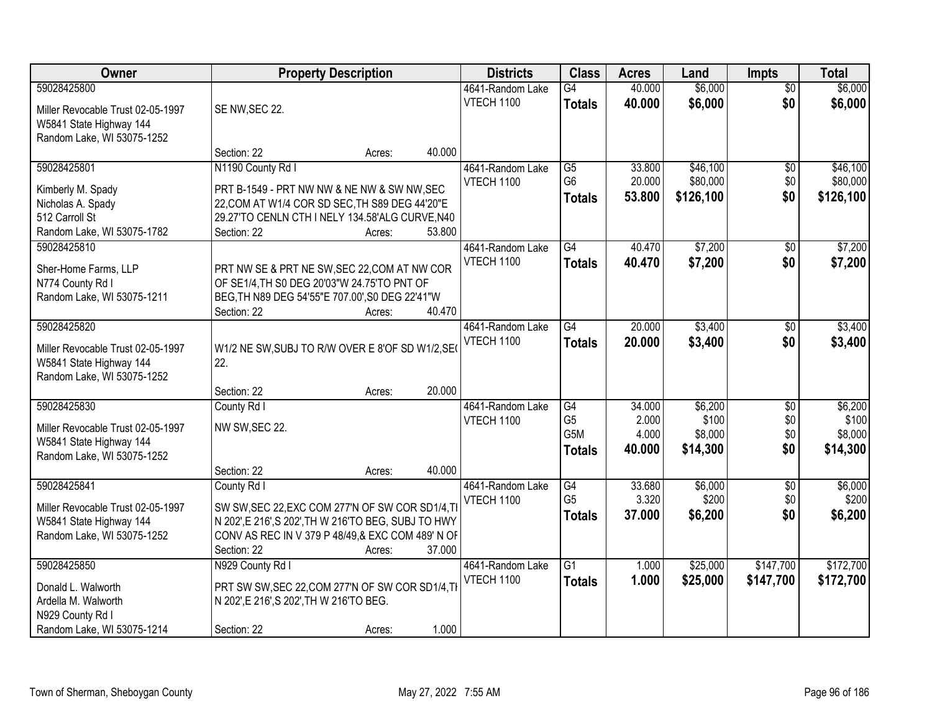| Owner                                                 | <b>Property Description</b>                          |        |        | <b>Districts</b>                      | <b>Class</b>                      | <b>Acres</b>     | Land               | <b>Impts</b>           | <b>Total</b>       |
|-------------------------------------------------------|------------------------------------------------------|--------|--------|---------------------------------------|-----------------------------------|------------------|--------------------|------------------------|--------------------|
| 59028425800<br>Miller Revocable Trust 02-05-1997      | SE NW, SEC 22.                                       |        |        | 4641-Random Lake<br><b>VTECH 1100</b> | $\overline{G4}$<br><b>Totals</b>  | 40.000<br>40.000 | \$6,000<br>\$6,000 | $\overline{50}$<br>\$0 | \$6,000<br>\$6,000 |
| W5841 State Highway 144<br>Random Lake, WI 53075-1252 |                                                      |        |        |                                       |                                   |                  |                    |                        |                    |
|                                                       | Section: 22                                          | Acres: | 40.000 |                                       |                                   |                  |                    |                        |                    |
| 59028425801                                           | N1190 County Rd I                                    |        |        | 4641-Random Lake                      | $\overline{G5}$                   | 33.800           | \$46,100           | $\overline{50}$        | \$46,100           |
| Kimberly M. Spady                                     | PRT B-1549 - PRT NW NW & NE NW & SW NW, SEC          |        |        | <b>VTECH 1100</b>                     | G <sub>6</sub>                    | 20.000           | \$80,000           | \$0<br>\$0             | \$80,000           |
| Nicholas A. Spady                                     | 22, COM AT W1/4 COR SD SEC, TH S89 DEG 44'20"E       |        |        |                                       | <b>Totals</b>                     | 53.800           | \$126,100          |                        | \$126,100          |
| 512 Carroll St                                        | 29.27'TO CENLN CTH I NELY 134.58'ALG CURVE, N40      |        |        |                                       |                                   |                  |                    |                        |                    |
| Random Lake, WI 53075-1782                            | Section: 22                                          | Acres: | 53.800 |                                       |                                   |                  |                    |                        |                    |
| 59028425810                                           |                                                      |        |        | 4641-Random Lake                      | $\overline{G4}$                   | 40.470           | \$7,200            | $\sqrt[6]{30}$         | \$7,200            |
| Sher-Home Farms, LLP                                  | PRT NW SE & PRT NE SW, SEC 22, COM AT NW COR         |        |        | <b>VTECH 1100</b>                     | <b>Totals</b>                     | 40.470           | \$7,200            | \$0                    | \$7,200            |
| N774 County Rd I                                      | OF SE1/4, TH S0 DEG 20'03"W 24.75'TO PNT OF          |        |        |                                       |                                   |                  |                    |                        |                    |
| Random Lake, WI 53075-1211                            | BEG, TH N89 DEG 54'55"E 707.00', S0 DEG 22'41"W      |        |        |                                       |                                   |                  |                    |                        |                    |
|                                                       | Section: 22                                          | Acres: | 40.470 |                                       |                                   |                  |                    |                        |                    |
| 59028425820                                           |                                                      |        |        | 4641-Random Lake<br><b>VTECH 1100</b> | G4                                | 20.000           | \$3,400            | $\sqrt{6}$             | \$3,400            |
| Miller Revocable Trust 02-05-1997                     | W1/2 NE SW, SUBJ TO R/W OVER E 8'OF SD W1/2, SE(     |        |        |                                       | <b>Totals</b>                     | 20.000           | \$3,400            | \$0                    | \$3,400            |
| W5841 State Highway 144                               | 22.                                                  |        |        |                                       |                                   |                  |                    |                        |                    |
| Random Lake, WI 53075-1252                            |                                                      |        |        |                                       |                                   |                  |                    |                        |                    |
|                                                       | Section: 22                                          | Acres: | 20.000 |                                       |                                   |                  |                    |                        |                    |
| 59028425830                                           | County Rd I                                          |        |        | 4641-Random Lake<br>VTECH 1100        | $\overline{G4}$<br>G <sub>5</sub> | 34.000<br>2.000  | \$6,200<br>\$100   | \$0<br>\$0             | \$6,200<br>\$100   |
| Miller Revocable Trust 02-05-1997                     | NW SW, SEC 22.                                       |        |        |                                       | G5M                               | 4.000            | \$8,000            | \$0                    | \$8,000            |
| W5841 State Highway 144                               |                                                      |        |        |                                       | <b>Totals</b>                     | 40,000           | \$14,300           | \$0                    | \$14,300           |
| Random Lake, WI 53075-1252                            |                                                      |        |        |                                       |                                   |                  |                    |                        |                    |
| 59028425841                                           | Section: 22                                          | Acres: | 40.000 |                                       | G4                                |                  |                    |                        |                    |
|                                                       | County Rd I                                          |        |        | 4641-Random Lake<br>VTECH 1100        | G <sub>5</sub>                    | 33.680<br>3.320  | \$6,000<br>\$200   | $\overline{50}$<br>\$0 | \$6,000<br>\$200   |
| Miller Revocable Trust 02-05-1997                     | SW SW, SEC 22, EXC COM 277'N OF SW COR SD1/4, TI     |        |        |                                       | <b>Totals</b>                     | 37.000           | \$6,200            | \$0                    | \$6,200            |
| W5841 State Highway 144                               | N 202', E 216', S 202', TH W 216'TO BEG, SUBJ TO HWY |        |        |                                       |                                   |                  |                    |                        |                    |
| Random Lake, WI 53075-1252                            | CONV AS REC IN V 379 P 48/49,& EXC COM 489' N OF     |        |        |                                       |                                   |                  |                    |                        |                    |
| 59028425850                                           | Section: 22<br>N929 County Rd I                      | Acres: | 37.000 | 4641-Random Lake                      | $\overline{G1}$                   | 1.000            | \$25,000           | \$147,700              | \$172,700          |
|                                                       |                                                      |        |        | <b>VTECH 1100</b>                     | <b>Totals</b>                     | 1.000            | \$25,000           | \$147,700              | \$172,700          |
| Donald L. Walworth                                    | PRT SW SW, SEC 22, COM 277'N OF SW COR SD1/4, TI     |        |        |                                       |                                   |                  |                    |                        |                    |
| Ardella M. Walworth                                   | N 202', E 216', S 202', TH W 216'TO BEG.             |        |        |                                       |                                   |                  |                    |                        |                    |
| N929 County Rd I<br>Random Lake, WI 53075-1214        | Section: 22                                          |        | 1.000  |                                       |                                   |                  |                    |                        |                    |
|                                                       |                                                      | Acres: |        |                                       |                                   |                  |                    |                        |                    |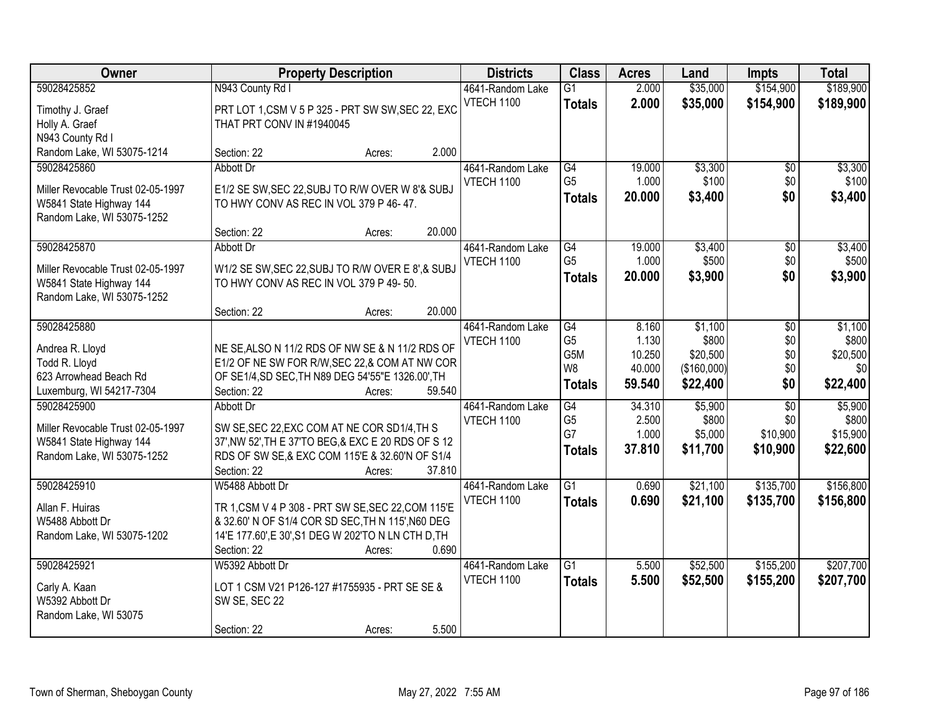| Owner                             |                                                     | <b>Property Description</b> |        | <b>Districts</b>  | <b>Class</b>    | <b>Acres</b> | Land        | <b>Impts</b>    | <b>Total</b> |
|-----------------------------------|-----------------------------------------------------|-----------------------------|--------|-------------------|-----------------|--------------|-------------|-----------------|--------------|
| 59028425852                       | N943 County Rd I                                    |                             |        | 4641-Random Lake  | $\overline{G1}$ | 2.000        | \$35,000    | \$154,900       | \$189,900    |
| Timothy J. Graef                  | PRT LOT 1, CSM V 5 P 325 - PRT SW SW, SEC 22, EXC   |                             |        | VTECH 1100        | <b>Totals</b>   | 2.000        | \$35,000    | \$154,900       | \$189,900    |
| Holly A. Graef                    | THAT PRT CONV IN #1940045                           |                             |        |                   |                 |              |             |                 |              |
| N943 County Rd I                  |                                                     |                             |        |                   |                 |              |             |                 |              |
| Random Lake, WI 53075-1214        | Section: 22                                         | Acres:                      | 2.000  |                   |                 |              |             |                 |              |
| 59028425860                       | Abbott Dr                                           |                             |        | 4641-Random Lake  | G4              | 19.000       | \$3,300     | $\overline{50}$ | \$3,300      |
| Miller Revocable Trust 02-05-1997 | E1/2 SE SW, SEC 22, SUBJ TO R/W OVER W 8'& SUBJ     |                             |        | VTECH 1100        | G <sub>5</sub>  | 1.000        | \$100       | \$0             | \$100        |
| W5841 State Highway 144           | TO HWY CONV AS REC IN VOL 379 P 46-47.              |                             |        |                   | <b>Totals</b>   | 20.000       | \$3,400     | \$0             | \$3,400      |
| Random Lake, WI 53075-1252        |                                                     |                             |        |                   |                 |              |             |                 |              |
|                                   | Section: 22                                         | Acres:                      | 20.000 |                   |                 |              |             |                 |              |
| 59028425870                       | Abbott Dr                                           |                             |        | 4641-Random Lake  | G4              | 19.000       | \$3,400     | \$0             | \$3,400      |
|                                   |                                                     |                             |        | <b>VTECH 1100</b> | G <sub>5</sub>  | 1.000        | \$500       | \$0             | \$500        |
| Miller Revocable Trust 02-05-1997 | W1/2 SE SW, SEC 22, SUBJ TO R/W OVER E 8', & SUBJ   |                             |        |                   | <b>Totals</b>   | 20,000       | \$3,900     | \$0             | \$3,900      |
| W5841 State Highway 144           | TO HWY CONV AS REC IN VOL 379 P 49-50.              |                             |        |                   |                 |              |             |                 |              |
| Random Lake, WI 53075-1252        |                                                     |                             | 20.000 |                   |                 |              |             |                 |              |
| 59028425880                       | Section: 22                                         | Acres:                      |        | 4641-Random Lake  | $\overline{G4}$ | 8.160        | \$1,100     | \$0             | \$1,100      |
|                                   |                                                     |                             |        | <b>VTECH 1100</b> | G <sub>5</sub>  | 1.130        | \$800       | \$0             | \$800        |
| Andrea R. Lloyd                   | NE SE, ALSO N 11/2 RDS OF NW SE & N 11/2 RDS OF     |                             |        |                   | G5M             | 10.250       | \$20,500    | \$0             | \$20,500     |
| Todd R. Lloyd                     | E1/2 OF NE SW FOR R/W, SEC 22, & COM AT NW COR      |                             |        |                   | W8              | 40.000       | (\$160,000) | \$0             | \$0          |
| 623 Arrowhead Beach Rd            | OF SE1/4, SD SEC, TH N89 DEG 54'55"E 1326.00', TH   |                             |        |                   | <b>Totals</b>   | 59.540       | \$22,400    | \$0             | \$22,400     |
| Luxemburg, WI 54217-7304          | Section: 22                                         | Acres:                      | 59.540 |                   |                 |              |             |                 |              |
| 59028425900                       | Abbott Dr                                           |                             |        | 4641-Random Lake  | G4              | 34.310       | \$5,900     | $\overline{50}$ | \$5,900      |
| Miller Revocable Trust 02-05-1997 | SW SE, SEC 22, EXC COM AT NE COR SD1/4, TH S        |                             |        | <b>VTECH 1100</b> | G <sub>5</sub>  | 2.500        | \$800       | \$0             | \$800        |
| W5841 State Highway 144           | 37', NW 52', TH E 37'TO BEG, & EXC E 20 RDS OF S 12 |                             |        |                   | G7              | 1.000        | \$5,000     | \$10,900        | \$15,900     |
| Random Lake, WI 53075-1252        | RDS OF SW SE, & EXC COM 115'E & 32.60'N OF S1/4     |                             |        |                   | <b>Totals</b>   | 37.810       | \$11,700    | \$10,900        | \$22,600     |
|                                   | Section: 22                                         | Acres:                      | 37.810 |                   |                 |              |             |                 |              |
| 59028425910                       | W5488 Abbott Dr                                     |                             |        | 4641-Random Lake  | $\overline{G1}$ | 0.690        | \$21,100    | \$135,700       | \$156,800    |
| Allan F. Huiras                   | TR 1, CSM V 4 P 308 - PRT SW SE, SEC 22, COM 115'E  |                             |        | <b>VTECH 1100</b> | <b>Totals</b>   | 0.690        | \$21,100    | \$135,700       | \$156,800    |
| W5488 Abbott Dr                   | & 32.60' N OF S1/4 COR SD SEC, TH N 115', N60 DEG   |                             |        |                   |                 |              |             |                 |              |
| Random Lake, WI 53075-1202        | 14'E 177.60', E 30', S1 DEG W 202'TO N LN CTH D, TH |                             |        |                   |                 |              |             |                 |              |
|                                   | Section: 22                                         | Acres:                      | 0.690  |                   |                 |              |             |                 |              |
| 59028425921                       | W5392 Abbott Dr                                     |                             |        | 4641-Random Lake  | $\overline{G1}$ | 5.500        | \$52,500    | \$155,200       | \$207,700    |
|                                   |                                                     |                             |        | <b>VTECH 1100</b> | <b>Totals</b>   | 5.500        | \$52,500    | \$155,200       | \$207,700    |
| Carly A. Kaan                     | LOT 1 CSM V21 P126-127 #1755935 - PRT SE SE &       |                             |        |                   |                 |              |             |                 |              |
| W5392 Abbott Dr                   | SW SE, SEC 22                                       |                             |        |                   |                 |              |             |                 |              |
| Random Lake, WI 53075             |                                                     |                             | 5.500  |                   |                 |              |             |                 |              |
|                                   | Section: 22                                         | Acres:                      |        |                   |                 |              |             |                 |              |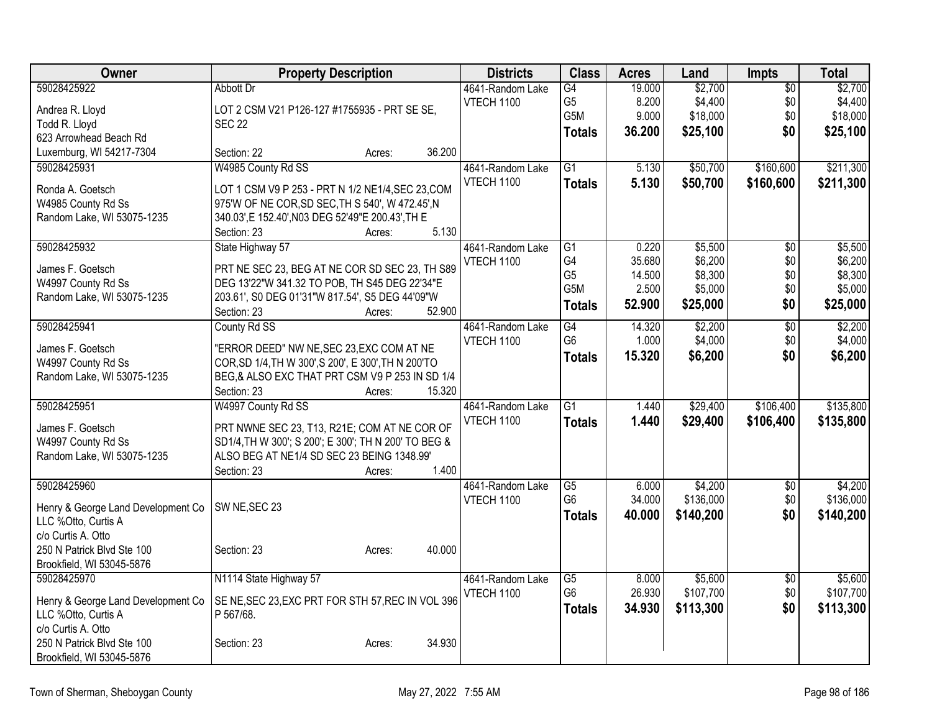| Owner                              | <b>Property Description</b>                          | <b>Districts</b>                      | <b>Class</b>           | <b>Acres</b> | Land      | <b>Impts</b>    | <b>Total</b> |
|------------------------------------|------------------------------------------------------|---------------------------------------|------------------------|--------------|-----------|-----------------|--------------|
| 59028425922                        | Abbott Dr                                            | 4641-Random Lake                      | G4                     | 19.000       | \$2,700   | $\overline{50}$ | \$2,700      |
| Andrea R. Lloyd                    | LOT 2 CSM V21 P126-127 #1755935 - PRT SE SE,         | <b>VTECH 1100</b>                     | G <sub>5</sub>         | 8.200        | \$4,400   | \$0             | \$4,400      |
| Todd R. Lloyd                      | <b>SEC 22</b>                                        |                                       | G5M                    | 9.000        | \$18,000  | \$0             | \$18,000     |
| 623 Arrowhead Beach Rd             |                                                      |                                       | <b>Totals</b>          | 36.200       | \$25,100  | \$0             | \$25,100     |
| Luxemburg, WI 54217-7304           | 36.200<br>Section: 22<br>Acres:                      |                                       |                        |              |           |                 |              |
| 59028425931                        | W4985 County Rd SS                                   | 4641-Random Lake                      | $\overline{G1}$        | 5.130        | \$50,700  | \$160,600       | \$211,300    |
| Ronda A. Goetsch                   | LOT 1 CSM V9 P 253 - PRT N 1/2 NE1/4, SEC 23, COM    | <b>VTECH 1100</b>                     | <b>Totals</b>          | 5.130        | \$50,700  | \$160,600       | \$211,300    |
| W4985 County Rd Ss                 | 975'W OF NE COR, SD SEC, TH S 540', W 472.45', N     |                                       |                        |              |           |                 |              |
| Random Lake, WI 53075-1235         | 340.03', E 152.40', N03 DEG 52'49"E 200.43', TH E    |                                       |                        |              |           |                 |              |
|                                    | 5.130<br>Section: 23<br>Acres:                       |                                       |                        |              |           |                 |              |
| 59028425932                        | State Highway 57                                     | 4641-Random Lake                      | G1                     | 0.220        | \$5,500   | \$0             | \$5,500      |
| James F. Goetsch                   | PRT NE SEC 23, BEG AT NE COR SD SEC 23, TH S89       | <b>VTECH 1100</b>                     | G4                     | 35.680       | \$6,200   | \$0             | \$6,200      |
| W4997 County Rd Ss                 | DEG 13'22"W 341.32 TO POB, TH S45 DEG 22'34"E        |                                       | G <sub>5</sub>         | 14.500       | \$8,300   | \$0             | \$8,300      |
| Random Lake, WI 53075-1235         | 203.61', S0 DEG 01'31"W 817.54', S5 DEG 44'09"W      |                                       | G5M                    | 2.500        | \$5,000   | \$0             | \$5,000      |
|                                    | 52.900<br>Section: 23<br>Acres:                      |                                       | <b>Totals</b>          | 52.900       | \$25,000  | \$0             | \$25,000     |
| 59028425941                        | County Rd SS                                         | 4641-Random Lake                      | G4                     | 14.320       | \$2,200   | $\overline{50}$ | \$2,200      |
|                                    |                                                      | <b>VTECH 1100</b>                     | G <sub>6</sub>         | 1.000        | \$4,000   | \$0             | \$4,000      |
| James F. Goetsch                   | "ERROR DEED" NW NE, SEC 23, EXC COM AT NE            |                                       | <b>Totals</b>          | 15.320       | \$6,200   | \$0             | \$6,200      |
| W4997 County Rd Ss                 | COR, SD 1/4, TH W 300', S 200', E 300', TH N 200'TO  |                                       |                        |              |           |                 |              |
| Random Lake, WI 53075-1235         | BEG,& ALSO EXC THAT PRT CSM V9 P 253 IN SD 1/4       |                                       |                        |              |           |                 |              |
| 59028425951                        | 15.320<br>Section: 23<br>Acres:                      |                                       | $\overline{G1}$        |              |           | \$106,400       |              |
|                                    | W4997 County Rd SS                                   | 4641-Random Lake<br><b>VTECH 1100</b> |                        | 1.440        | \$29,400  |                 | \$135,800    |
| James F. Goetsch                   | PRT NWNE SEC 23, T13, R21E; COM AT NE COR OF         |                                       | <b>Totals</b>          | 1.440        | \$29,400  | \$106,400       | \$135,800    |
| W4997 County Rd Ss                 | SD1/4, TH W 300'; S 200'; E 300'; TH N 200' TO BEG & |                                       |                        |              |           |                 |              |
| Random Lake, WI 53075-1235         | ALSO BEG AT NE1/4 SD SEC 23 BEING 1348.99'           |                                       |                        |              |           |                 |              |
|                                    | 1.400<br>Section: 23<br>Acres:                       |                                       |                        |              |           |                 |              |
| 59028425960                        |                                                      | 4641-Random Lake                      | $\overline{G5}$        | 6.000        | \$4,200   | $\overline{50}$ | \$4,200      |
| Henry & George Land Development Co | SW NE, SEC 23                                        | <b>VTECH 1100</b>                     | G <sub>6</sub>         | 34.000       | \$136,000 | \$0             | \$136,000    |
| LLC %Otto, Curtis A                |                                                      |                                       | <b>Totals</b>          | 40.000       | \$140,200 | \$0             | \$140,200    |
| c/o Curtis A. Otto                 |                                                      |                                       |                        |              |           |                 |              |
| 250 N Patrick Blvd Ste 100         | 40.000<br>Section: 23<br>Acres:                      |                                       |                        |              |           |                 |              |
| Brookfield, WI 53045-5876          |                                                      |                                       |                        |              |           |                 |              |
| 59028425970                        | N1114 State Highway 57                               | 4641-Random Lake                      | $\overline{\text{G5}}$ | 8.000        | \$5,600   | \$0             | \$5,600      |
| Henry & George Land Development Co | SE NE, SEC 23, EXC PRT FOR STH 57, REC IN VOL 396    | <b>VTECH 1100</b>                     | G <sub>6</sub>         | 26.930       | \$107,700 | \$0             | \$107,700    |
| LLC %Otto, Curtis A                | P 567/68.                                            |                                       | <b>Totals</b>          | 34.930       | \$113,300 | \$0             | \$113,300    |
| c/o Curtis A. Otto                 |                                                      |                                       |                        |              |           |                 |              |
| 250 N Patrick Blvd Ste 100         | 34.930<br>Section: 23<br>Acres:                      |                                       |                        |              |           |                 |              |
| Brookfield, WI 53045-5876          |                                                      |                                       |                        |              |           |                 |              |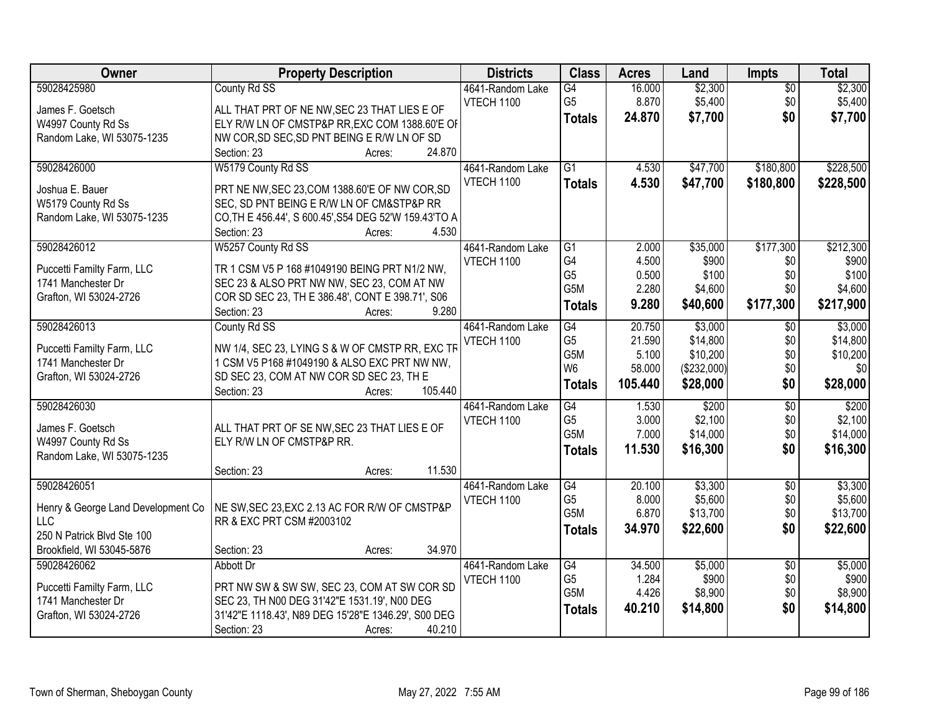| Owner                                            | <b>Property Description</b>                                                                 | <b>Districts</b>  | <b>Class</b>    | <b>Acres</b> | Land        | <b>Impts</b>    | <b>Total</b> |
|--------------------------------------------------|---------------------------------------------------------------------------------------------|-------------------|-----------------|--------------|-------------|-----------------|--------------|
| 59028425980                                      | County Rd SS                                                                                | 4641-Random Lake  | G4              | 16.000       | \$2,300     | $\overline{50}$ | \$2,300      |
| James F. Goetsch                                 | ALL THAT PRT OF NE NW, SEC 23 THAT LIES E OF                                                | VTECH 1100        | G <sub>5</sub>  | 8.870        | \$5,400     | \$0             | \$5,400      |
| W4997 County Rd Ss                               | ELY R/W LN OF CMSTP&P RR, EXC COM 1388.60'E OF                                              |                   | <b>Totals</b>   | 24.870       | \$7,700     | \$0             | \$7,700      |
| Random Lake, WI 53075-1235                       | NW COR, SD SEC, SD PNT BEING E R/W LN OF SD                                                 |                   |                 |              |             |                 |              |
|                                                  | 24.870<br>Section: 23<br>Acres:                                                             |                   |                 |              |             |                 |              |
| 59028426000                                      | W5179 County Rd SS                                                                          | 4641-Random Lake  | $\overline{G1}$ | 4.530        | \$47,700    | \$180,800       | \$228,500    |
| Joshua E. Bauer                                  | PRT NE NW, SEC 23, COM 1388.60'E OF NW COR, SD                                              | <b>VTECH 1100</b> | <b>Totals</b>   | 4.530        | \$47,700    | \$180,800       | \$228,500    |
| W5179 County Rd Ss                               | SEC, SD PNT BEING E R/W LN OF CM&STP&P RR                                                   |                   |                 |              |             |                 |              |
| Random Lake, WI 53075-1235                       | CO, TH E 456.44', S 600.45', S54 DEG 52'W 159.43'TO A                                       |                   |                 |              |             |                 |              |
|                                                  | 4.530<br>Section: 23<br>Acres:                                                              |                   |                 |              |             |                 |              |
| 59028426012                                      | W5257 County Rd SS                                                                          | 4641-Random Lake  | G <sub>1</sub>  | 2.000        | \$35,000    | \$177,300       | \$212,300    |
| Puccetti Familty Farm, LLC                       | TR 1 CSM V5 P 168 #1049190 BEING PRT N1/2 NW,                                               | VTECH 1100        | G4              | 4.500        | \$900       | \$0             | \$900        |
| 1741 Manchester Dr                               | SEC 23 & ALSO PRT NW NW, SEC 23, COM AT NW                                                  |                   | G <sub>5</sub>  | 0.500        | \$100       | \$0             | \$100        |
| Grafton, WI 53024-2726                           | COR SD SEC 23, TH E 386.48', CONT E 398.71', S06                                            |                   | G5M             | 2.280        | \$4,600     | \$0             | \$4,600      |
|                                                  | 9.280<br>Section: 23<br>Acres:                                                              |                   | <b>Totals</b>   | 9.280        | \$40,600    | \$177,300       | \$217,900    |
| 59028426013                                      | County Rd SS                                                                                | 4641-Random Lake  | G4              | 20.750       | \$3,000     | \$0             | \$3,000      |
|                                                  | NW 1/4, SEC 23, LYING S & W OF CMSTP RR, EXC TF                                             | <b>VTECH 1100</b> | G <sub>5</sub>  | 21.590       | \$14,800    | \$0             | \$14,800     |
| Puccetti Familty Farm, LLC<br>1741 Manchester Dr | 1 CSM V5 P168 #1049190 & ALSO EXC PRT NW NW,                                                |                   | G5M             | 5.100        | \$10,200    | \$0             | \$10,200     |
| Grafton, WI 53024-2726                           | SD SEC 23, COM AT NW COR SD SEC 23, TH E                                                    |                   | W <sub>6</sub>  | 58.000       | (\$232,000) | \$0             | \$0          |
|                                                  | 105.440<br>Section: 23<br>Acres:                                                            |                   | <b>Totals</b>   | 105.440      | \$28,000    | \$0             | \$28,000     |
| 59028426030                                      |                                                                                             | 4641-Random Lake  | $\overline{G4}$ | 1.530        | \$200       | $\overline{50}$ | \$200        |
| James F. Goetsch                                 | ALL THAT PRT OF SE NW, SEC 23 THAT LIES E OF                                                | <b>VTECH 1100</b> | G <sub>5</sub>  | 3.000        | \$2,100     | \$0             | \$2,100      |
| W4997 County Rd Ss                               | ELY R/W LN OF CMSTP&P RR.                                                                   |                   | G5M             | 7.000        | \$14,000    | \$0             | \$14,000     |
| Random Lake, WI 53075-1235                       |                                                                                             |                   | <b>Totals</b>   | 11.530       | \$16,300    | \$0             | \$16,300     |
|                                                  | 11.530<br>Section: 23<br>Acres:                                                             |                   |                 |              |             |                 |              |
| 59028426051                                      |                                                                                             | 4641-Random Lake  | G4              | 20.100       | \$3,300     | $\overline{50}$ | \$3,300      |
| Henry & George Land Development Co               | NE SW, SEC 23, EXC 2.13 AC FOR R/W OF CMSTP&P                                               | <b>VTECH 1100</b> | G <sub>5</sub>  | 8.000        | \$5,600     | \$0             | \$5,600      |
| LLC                                              | RR & EXC PRT CSM #2003102                                                                   |                   | G5M             | 6.870        | \$13,700    | \$0             | \$13,700     |
| 250 N Patrick Blvd Ste 100                       |                                                                                             |                   | <b>Totals</b>   | 34.970       | \$22,600    | \$0             | \$22,600     |
| Brookfield, WI 53045-5876                        | 34.970<br>Section: 23<br>Acres:                                                             |                   |                 |              |             |                 |              |
| 59028426062                                      | Abbott Dr                                                                                   | 4641-Random Lake  | G4              | 34.500       | \$5,000     | $\overline{50}$ | \$5,000      |
|                                                  |                                                                                             | VTECH 1100        | G <sub>5</sub>  | 1.284        | \$900       | \$0             | \$900        |
| Puccetti Familty Farm, LLC<br>1741 Manchester Dr | PRT NW SW & SW SW, SEC 23, COM AT SW COR SD<br>SEC 23, TH N00 DEG 31'42"E 1531.19', N00 DEG |                   | G5M             | 4.426        | \$8,900     | \$0             | \$8,900      |
| Grafton, WI 53024-2726                           | 31'42"E 1118.43', N89 DEG 15'28"E 1346.29', S00 DEG                                         |                   | <b>Totals</b>   | 40.210       | \$14,800    | \$0             | \$14,800     |
|                                                  | 40.210<br>Section: 23<br>Acres:                                                             |                   |                 |              |             |                 |              |
|                                                  |                                                                                             |                   |                 |              |             |                 |              |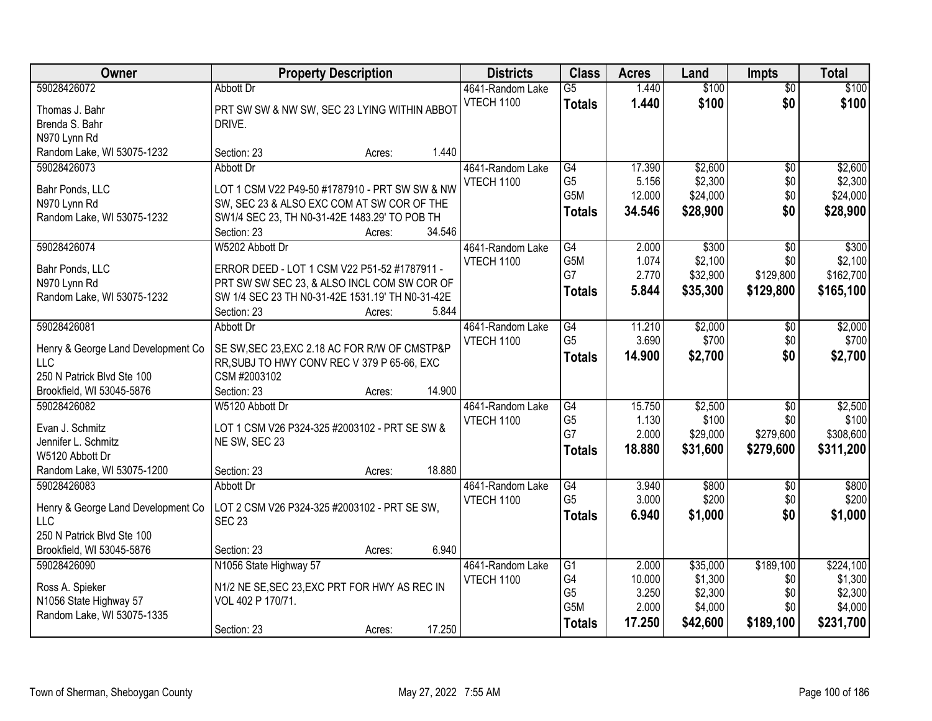| Owner                                            | <b>Property Description</b>                                                                  | <b>Districts</b>  | <b>Class</b>    | <b>Acres</b> | Land     | <b>Impts</b>    | <b>Total</b> |
|--------------------------------------------------|----------------------------------------------------------------------------------------------|-------------------|-----------------|--------------|----------|-----------------|--------------|
| 59028426072                                      | <b>Abbott Dr</b>                                                                             | 4641-Random Lake  | $\overline{G5}$ | 1.440        | \$100    | $\overline{50}$ | \$100        |
| Thomas J. Bahr                                   | PRT SW SW & NW SW, SEC 23 LYING WITHIN ABBOT                                                 | VTECH 1100        | <b>Totals</b>   | 1.440        | \$100    | \$0             | \$100        |
| Brenda S. Bahr                                   | DRIVE.                                                                                       |                   |                 |              |          |                 |              |
| N970 Lynn Rd                                     |                                                                                              |                   |                 |              |          |                 |              |
| Random Lake, WI 53075-1232                       | 1.440<br>Section: 23<br>Acres:                                                               |                   |                 |              |          |                 |              |
| 59028426073                                      | Abbott Dr                                                                                    | 4641-Random Lake  | G4              | 17.390       | \$2,600  | \$0             | \$2,600      |
| Bahr Ponds, LLC                                  | LOT 1 CSM V22 P49-50 #1787910 - PRT SW SW & NW                                               | <b>VTECH 1100</b> | G <sub>5</sub>  | 5.156        | \$2,300  | \$0             | \$2,300      |
| N970 Lynn Rd                                     | SW, SEC 23 & ALSO EXC COM AT SW COR OF THE                                                   |                   | G5M             | 12.000       | \$24,000 | \$0             | \$24,000     |
| Random Lake, WI 53075-1232                       | SW1/4 SEC 23, TH N0-31-42E 1483.29' TO POB TH                                                |                   | <b>Totals</b>   | 34.546       | \$28,900 | \$0             | \$28,900     |
|                                                  | 34.546<br>Section: 23<br>Acres:                                                              |                   |                 |              |          |                 |              |
| 59028426074                                      | W5202 Abbott Dr                                                                              | 4641-Random Lake  | G4              | 2.000        | \$300    | \$0             | \$300        |
| Bahr Ponds, LLC                                  | ERROR DEED - LOT 1 CSM V22 P51-52 #1787911 -                                                 | <b>VTECH 1100</b> | G5M             | 1.074        | \$2,100  | \$0             | \$2,100      |
| N970 Lynn Rd                                     | PRT SW SW SEC 23, & ALSO INCL COM SW COR OF                                                  |                   | G7              | 2.770        | \$32,900 | \$129,800       | \$162,700    |
| Random Lake, WI 53075-1232                       | SW 1/4 SEC 23 TH N0-31-42E 1531.19' TH N0-31-42E                                             |                   | <b>Totals</b>   | 5.844        | \$35,300 | \$129,800       | \$165,100    |
|                                                  | 5.844<br>Section: 23<br>Acres:                                                               |                   |                 |              |          |                 |              |
| 59028426081                                      | Abbott Dr                                                                                    | 4641-Random Lake  | G4              | 11.210       | \$2,000  | $\sqrt[6]{3}$   | \$2,000      |
|                                                  |                                                                                              | <b>VTECH 1100</b> | G <sub>5</sub>  | 3.690        | \$700    | \$0             | \$700        |
| Henry & George Land Development Co<br><b>LLC</b> | SE SW, SEC 23, EXC 2.18 AC FOR R/W OF CMSTP&P<br>RR, SUBJ TO HWY CONV REC V 379 P 65-66, EXC |                   | <b>Totals</b>   | 14.900       | \$2,700  | \$0             | \$2,700      |
| 250 N Patrick Blvd Ste 100                       | CSM #2003102                                                                                 |                   |                 |              |          |                 |              |
| Brookfield, WI 53045-5876                        | 14.900<br>Section: 23<br>Acres:                                                              |                   |                 |              |          |                 |              |
| 59028426082                                      | W5120 Abbott Dr                                                                              | 4641-Random Lake  | $\overline{G4}$ | 15.750       | \$2,500  | $\overline{50}$ | \$2,500      |
|                                                  |                                                                                              | <b>VTECH 1100</b> | G <sub>5</sub>  | 1.130        | \$100    | \$0             | \$100        |
| Evan J. Schmitz                                  | LOT 1 CSM V26 P324-325 #2003102 - PRT SE SW &                                                |                   | G7              | 2.000        | \$29,000 | \$279,600       | \$308,600    |
| Jennifer L. Schmitz<br>W5120 Abbott Dr           | NE SW, SEC 23                                                                                |                   | <b>Totals</b>   | 18.880       | \$31,600 | \$279,600       | \$311,200    |
| Random Lake, WI 53075-1200                       | 18.880<br>Section: 23<br>Acres:                                                              |                   |                 |              |          |                 |              |
| 59028426083                                      | Abbott Dr                                                                                    | 4641-Random Lake  | G4              | 3.940        | \$800    | \$0             | \$800        |
|                                                  |                                                                                              | <b>VTECH 1100</b> | G <sub>5</sub>  | 3.000        | \$200    | \$0             | \$200        |
| Henry & George Land Development Co               | LOT 2 CSM V26 P324-325 #2003102 - PRT SE SW,                                                 |                   | <b>Totals</b>   | 6.940        | \$1,000  | \$0             | \$1,000      |
| <b>LLC</b>                                       | <b>SEC 23</b>                                                                                |                   |                 |              |          |                 |              |
| 250 N Patrick Blvd Ste 100                       | 6.940                                                                                        |                   |                 |              |          |                 |              |
| Brookfield, WI 53045-5876<br>59028426090         | Section: 23<br>Acres:<br>N1056 State Highway 57                                              | 4641-Random Lake  | $\overline{G1}$ | 2.000        | \$35,000 | \$189,100       | \$224,100    |
|                                                  |                                                                                              | VTECH 1100        | G4              | 10.000       | \$1,300  | \$0             | \$1,300      |
| Ross A. Spieker                                  | N1/2 NE SE, SEC 23, EXC PRT FOR HWY AS REC IN                                                |                   | G <sub>5</sub>  | 3.250        | \$2,300  | \$0             | \$2,300      |
| N1056 State Highway 57                           | VOL 402 P 170/71.                                                                            |                   | G5M             | 2.000        | \$4,000  | \$0             | \$4,000      |
| Random Lake, WI 53075-1335                       |                                                                                              |                   | <b>Totals</b>   | 17.250       | \$42,600 | \$189,100       | \$231,700    |
|                                                  | 17.250<br>Section: 23<br>Acres:                                                              |                   |                 |              |          |                 |              |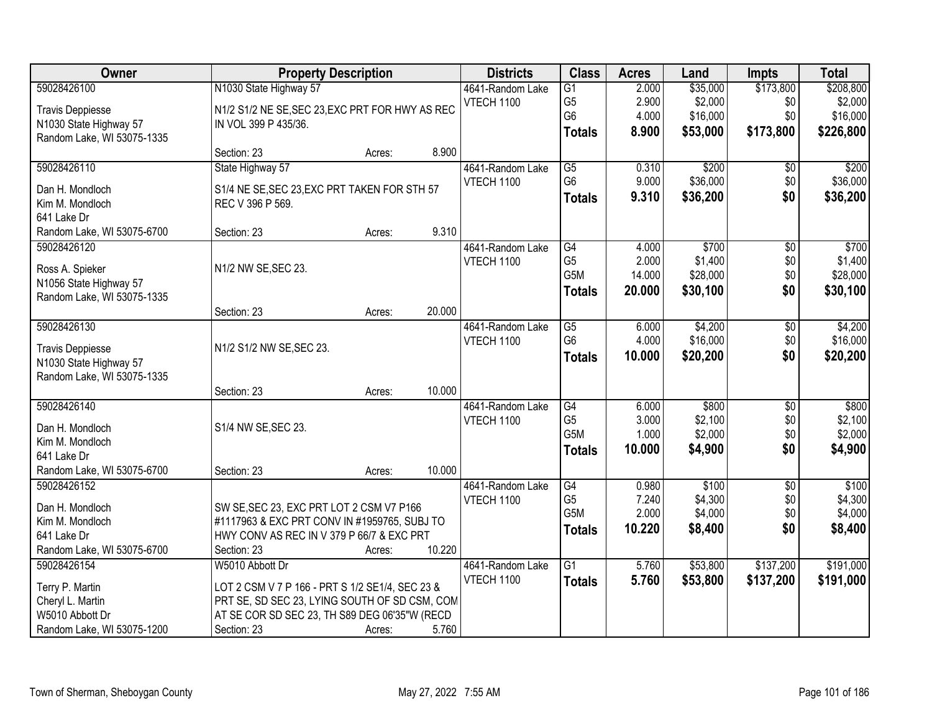| Owner                      |                                                                  | <b>Property Description</b> |        | <b>Districts</b>  | <b>Class</b>     | <b>Acres</b> | Land     | <b>Impts</b>    | <b>Total</b> |
|----------------------------|------------------------------------------------------------------|-----------------------------|--------|-------------------|------------------|--------------|----------|-----------------|--------------|
| 59028426100                | N1030 State Highway 57                                           |                             |        | 4641-Random Lake  | $\overline{G1}$  | 2.000        | \$35,000 | \$173,800       | \$208,800    |
| <b>Travis Deppiesse</b>    | N1/2 S1/2 NE SE, SEC 23, EXC PRT FOR HWY AS REC                  |                             |        | <b>VTECH 1100</b> | G <sub>5</sub>   | 2.900        | \$2,000  | \$0             | \$2,000      |
| N1030 State Highway 57     | IN VOL 399 P 435/36.                                             |                             |        |                   | G <sub>6</sub>   | 4.000        | \$16,000 | \$0             | \$16,000     |
| Random Lake, WI 53075-1335 |                                                                  |                             |        |                   | <b>Totals</b>    | 8.900        | \$53,000 | \$173,800       | \$226,800    |
|                            | Section: 23                                                      | Acres:                      | 8.900  |                   |                  |              |          |                 |              |
| 59028426110                | State Highway 57                                                 |                             |        | 4641-Random Lake  | $\overline{G5}$  | 0.310        | \$200    | \$0             | \$200        |
| Dan H. Mondloch            |                                                                  |                             |        | VTECH 1100        | G <sub>6</sub>   | 9.000        | \$36,000 | \$0             | \$36,000     |
| Kim M. Mondloch            | S1/4 NE SE, SEC 23, EXC PRT TAKEN FOR STH 57<br>REC V 396 P 569. |                             |        |                   | <b>Totals</b>    | 9.310        | \$36,200 | \$0             | \$36,200     |
| 641 Lake Dr                |                                                                  |                             |        |                   |                  |              |          |                 |              |
| Random Lake, WI 53075-6700 | Section: 23                                                      | Acres:                      | 9.310  |                   |                  |              |          |                 |              |
| 59028426120                |                                                                  |                             |        | 4641-Random Lake  | $\overline{G4}$  | 4.000        | \$700    | $\overline{50}$ | \$700        |
|                            |                                                                  |                             |        | <b>VTECH 1100</b> | G <sub>5</sub>   | 2.000        | \$1,400  | \$0             | \$1,400      |
| Ross A. Spieker            | N1/2 NW SE, SEC 23.                                              |                             |        |                   | G <sub>5</sub> M | 14.000       | \$28,000 | \$0             | \$28,000     |
| N1056 State Highway 57     |                                                                  |                             |        |                   | <b>Totals</b>    | 20.000       | \$30,100 | \$0             | \$30,100     |
| Random Lake, WI 53075-1335 |                                                                  |                             |        |                   |                  |              |          |                 |              |
|                            | Section: 23                                                      | Acres:                      | 20.000 |                   |                  |              |          |                 |              |
| 59028426130                |                                                                  |                             |        | 4641-Random Lake  | G5               | 6.000        | \$4,200  | \$0             | \$4,200      |
| <b>Travis Deppiesse</b>    | N1/2 S1/2 NW SE, SEC 23.                                         |                             |        | <b>VTECH 1100</b> | G <sub>6</sub>   | 4.000        | \$16,000 | \$0             | \$16,000     |
| N1030 State Highway 57     |                                                                  |                             |        |                   | <b>Totals</b>    | 10.000       | \$20,200 | \$0             | \$20,200     |
| Random Lake, WI 53075-1335 |                                                                  |                             |        |                   |                  |              |          |                 |              |
|                            | Section: 23                                                      | Acres:                      | 10.000 |                   |                  |              |          |                 |              |
| 59028426140                |                                                                  |                             |        | 4641-Random Lake  | $\overline{G4}$  | 6.000        | \$800    | $\overline{50}$ | \$800        |
| Dan H. Mondloch            | S1/4 NW SE, SEC 23.                                              |                             |        | VTECH 1100        | G <sub>5</sub>   | 3.000        | \$2,100  | \$0             | \$2,100      |
| Kim M. Mondloch            |                                                                  |                             |        |                   | G5M              | 1.000        | \$2,000  | \$0             | \$2,000      |
| 641 Lake Dr                |                                                                  |                             |        |                   | <b>Totals</b>    | 10.000       | \$4,900  | \$0             | \$4,900      |
| Random Lake, WI 53075-6700 | Section: 23                                                      | Acres:                      | 10.000 |                   |                  |              |          |                 |              |
| 59028426152                |                                                                  |                             |        | 4641-Random Lake  | G4               | 0.980        | \$100    | $\overline{50}$ | \$100        |
|                            |                                                                  |                             |        | VTECH 1100        | G <sub>5</sub>   | 7.240        | \$4,300  | \$0             | \$4,300      |
| Dan H. Mondloch            | SW SE, SEC 23, EXC PRT LOT 2 CSM V7 P166                         |                             |        |                   | G <sub>5</sub> M | 2.000        | \$4,000  | \$0             | \$4,000      |
| Kim M. Mondloch            | #1117963 & EXC PRT CONV IN #1959765, SUBJ TO                     |                             |        |                   | <b>Totals</b>    | 10.220       | \$8,400  | \$0             | \$8,400      |
| 641 Lake Dr                | HWY CONV AS REC IN V 379 P 66/7 & EXC PRT                        |                             |        |                   |                  |              |          |                 |              |
| Random Lake, WI 53075-6700 | Section: 23                                                      | Acres:                      | 10.220 |                   |                  |              |          |                 |              |
| 59028426154                | W5010 Abbott Dr                                                  |                             |        | 4641-Random Lake  | $\overline{G1}$  | 5.760        | \$53,800 | \$137,200       | \$191,000    |
| Terry P. Martin            | LOT 2 CSM V 7 P 166 - PRT S 1/2 SE1/4, SEC 23 &                  |                             |        | <b>VTECH 1100</b> | <b>Totals</b>    | 5.760        | \$53,800 | \$137,200       | \$191,000    |
| Cheryl L. Martin           | PRT SE, SD SEC 23, LYING SOUTH OF SD CSM, COM                    |                             |        |                   |                  |              |          |                 |              |
| W5010 Abbott Dr            | AT SE COR SD SEC 23, TH S89 DEG 06'35"W (RECD                    |                             |        |                   |                  |              |          |                 |              |
| Random Lake, WI 53075-1200 | Section: 23                                                      | Acres:                      | 5.760  |                   |                  |              |          |                 |              |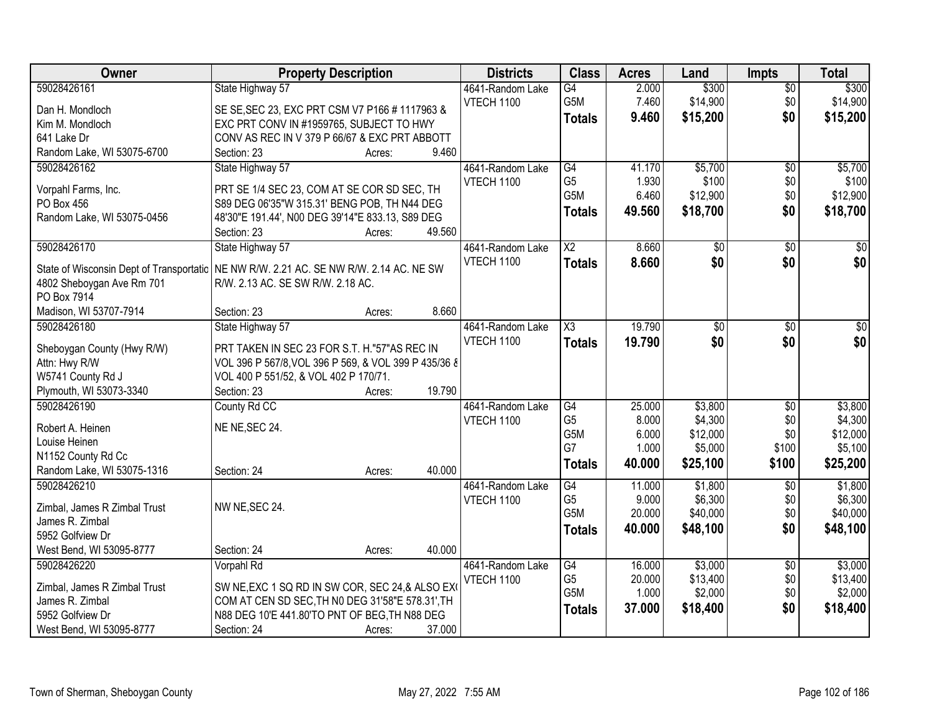| Owner                                                                 | <b>Property Description</b>                          |        |        | <b>Districts</b>  | <b>Class</b>           | <b>Acres</b>   | Land                | <b>Impts</b>    | <b>Total</b>        |
|-----------------------------------------------------------------------|------------------------------------------------------|--------|--------|-------------------|------------------------|----------------|---------------------|-----------------|---------------------|
| 59028426161                                                           | State Highway 57                                     |        |        | 4641-Random Lake  | G4                     | 2.000          | \$300               | $\overline{50}$ | \$300               |
| Dan H. Mondloch                                                       | SE SE, SEC 23, EXC PRT CSM V7 P166 #1117963 &        |        |        | VTECH 1100        | G5M                    | 7.460          | \$14,900            | \$0             | \$14,900            |
| Kim M. Mondloch                                                       | EXC PRT CONV IN #1959765, SUBJECT TO HWY             |        |        |                   | <b>Totals</b>          | 9.460          | \$15,200            | \$0             | \$15,200            |
| 641 Lake Dr                                                           | CONV AS REC IN V 379 P 66/67 & EXC PRT ABBOTT        |        |        |                   |                        |                |                     |                 |                     |
| Random Lake, WI 53075-6700                                            | Section: 23                                          | Acres: | 9.460  |                   |                        |                |                     |                 |                     |
| 59028426162                                                           | State Highway 57                                     |        |        | 4641-Random Lake  | G4                     | 41.170         | \$5,700             | $\overline{50}$ | \$5,700             |
| Vorpahl Farms, Inc.                                                   | PRT SE 1/4 SEC 23, COM AT SE COR SD SEC, TH          |        |        | VTECH 1100        | G <sub>5</sub>         | 1.930          | \$100               | \$0             | \$100               |
| PO Box 456                                                            | S89 DEG 06'35"W 315.31' BENG POB, TH N44 DEG         |        |        |                   | G <sub>5</sub> M       | 6.460          | \$12,900            | \$0             | \$12,900            |
| Random Lake, WI 53075-0456                                            | 48'30"E 191.44', N00 DEG 39'14"E 833.13, S89 DEG     |        |        |                   | <b>Totals</b>          | 49.560         | \$18,700            | \$0             | \$18,700            |
|                                                                       | Section: 23                                          | Acres: | 49.560 |                   |                        |                |                     |                 |                     |
| 59028426170                                                           | State Highway 57                                     |        |        | 4641-Random Lake  | $\overline{\text{X2}}$ | 8.660          | $\overline{50}$     | \$0             | $\sqrt{50}$         |
|                                                                       | NE NW R/W. 2.21 AC. SE NW R/W. 2.14 AC. NE SW        |        |        | VTECH 1100        | <b>Totals</b>          | 8.660          | \$0                 | \$0             | \$0                 |
| State of Wisconsin Dept of Transportatic<br>4802 Sheboygan Ave Rm 701 | R/W. 2.13 AC. SE SW R/W. 2.18 AC.                    |        |        |                   |                        |                |                     |                 |                     |
| PO Box 7914                                                           |                                                      |        |        |                   |                        |                |                     |                 |                     |
| Madison, WI 53707-7914                                                | Section: 23                                          | Acres: | 8.660  |                   |                        |                |                     |                 |                     |
| 59028426180                                                           | State Highway 57                                     |        |        | 4641-Random Lake  | X3                     | 19.790         | $\overline{30}$     | \$0             | $\sqrt{50}$         |
|                                                                       |                                                      |        |        | VTECH 1100        | <b>Totals</b>          | 19.790         | \$0                 | \$0             | \$0                 |
| Sheboygan County (Hwy R/W)                                            | PRT TAKEN IN SEC 23 FOR S.T. H."57"AS REC IN         |        |        |                   |                        |                |                     |                 |                     |
| Attn: Hwy R/W                                                         | VOL 396 P 567/8, VOL 396 P 569, & VOL 399 P 435/36 & |        |        |                   |                        |                |                     |                 |                     |
| W5741 County Rd J                                                     | VOL 400 P 551/52, & VOL 402 P 170/71.                |        |        |                   |                        |                |                     |                 |                     |
| Plymouth, WI 53073-3340                                               | Section: 23                                          | Acres: | 19.790 |                   |                        |                |                     |                 |                     |
| 59028426190                                                           | County Rd CC                                         |        |        | 4641-Random Lake  | $\overline{G4}$        | 25.000         | \$3,800             | $\overline{30}$ | \$3,800             |
| Robert A. Heinen                                                      | NE NE, SEC 24.                                       |        |        | <b>VTECH 1100</b> | G <sub>5</sub><br>G5M  | 8.000<br>6.000 | \$4,300             | \$0<br>\$0      | \$4,300<br>\$12,000 |
| Louise Heinen                                                         |                                                      |        |        |                   | G7                     | 1.000          | \$12,000<br>\$5,000 | \$100           | \$5,100             |
| N1152 County Rd Cc                                                    |                                                      |        |        |                   | <b>Totals</b>          | 40.000         | \$25,100            | \$100           | \$25,200            |
| Random Lake, WI 53075-1316                                            | Section: 24                                          | Acres: | 40.000 |                   |                        |                |                     |                 |                     |
| 59028426210                                                           |                                                      |        |        | 4641-Random Lake  | $\overline{G4}$        | 11.000         | \$1,800             | $\overline{50}$ | \$1,800             |
| Zimbal, James R Zimbal Trust                                          | NW NE, SEC 24.                                       |        |        | VTECH 1100        | G <sub>5</sub>         | 9.000          | \$6,300             | \$0             | \$6,300             |
| James R. Zimbal                                                       |                                                      |        |        |                   | G <sub>5</sub> M       | 20.000         | \$40,000            | \$0             | \$40,000            |
| 5952 Golfview Dr                                                      |                                                      |        |        |                   | <b>Totals</b>          | 40.000         | \$48,100            | \$0             | \$48,100            |
| West Bend, WI 53095-8777                                              | Section: 24                                          | Acres: | 40.000 |                   |                        |                |                     |                 |                     |
| 59028426220                                                           | Vorpahl Rd                                           |        |        | 4641-Random Lake  | G4                     | 16.000         | \$3,000             | $\overline{50}$ | \$3,000             |
| Zimbal, James R Zimbal Trust                                          | SW NE, EXC 1 SQ RD IN SW COR, SEC 24, & ALSO EX      |        |        | VTECH 1100        | G <sub>5</sub>         | 20.000         | \$13,400            | \$0             | \$13,400            |
| James R. Zimbal                                                       | COM AT CEN SD SEC, TH N0 DEG 31'58"E 578.31', TH     |        |        |                   | G5M                    | 1.000          | \$2,000             | \$0             | \$2,000             |
| 5952 Golfview Dr                                                      | N88 DEG 10'E 441.80'TO PNT OF BEG, TH N88 DEG        |        |        |                   | <b>Totals</b>          | 37,000         | \$18,400            | \$0             | \$18,400            |
| West Bend, WI 53095-8777                                              | Section: 24                                          | Acres: | 37.000 |                   |                        |                |                     |                 |                     |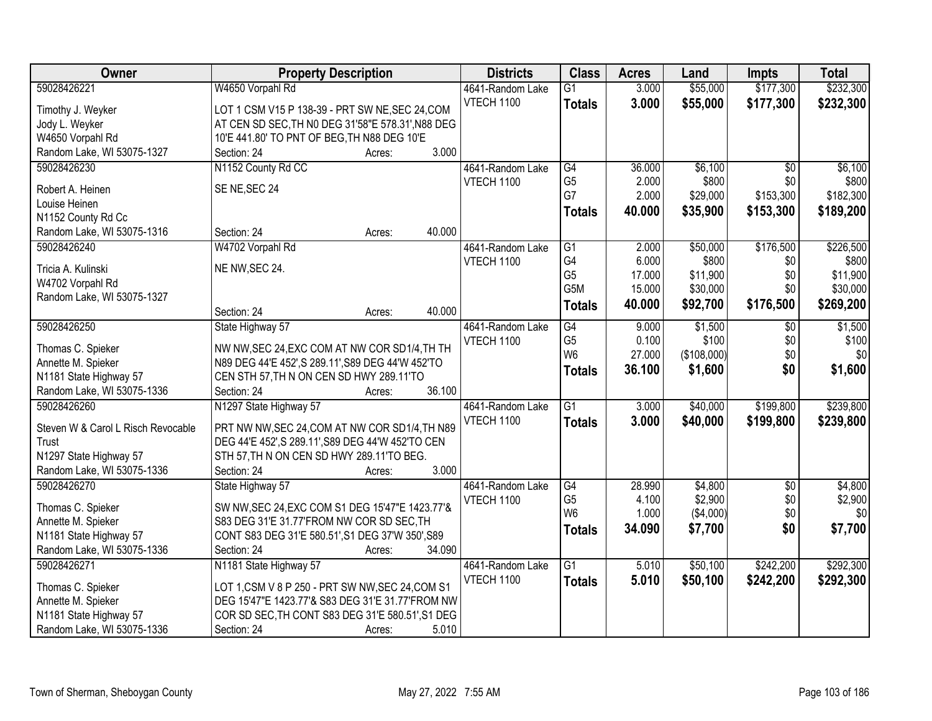| Owner                                     | <b>Property Description</b>                                       | <b>Districts</b>  | <b>Class</b>         | <b>Acres</b>    | Land                 | <b>Impts</b>    | <b>Total</b>      |
|-------------------------------------------|-------------------------------------------------------------------|-------------------|----------------------|-----------------|----------------------|-----------------|-------------------|
| 59028426221                               | W4650 Vorpahl Rd                                                  | 4641-Random Lake  | $\overline{G1}$      | 3.000           | \$55,000             | \$177,300       | \$232,300         |
| Timothy J. Weyker                         | LOT 1 CSM V15 P 138-39 - PRT SW NE, SEC 24, COM                   | VTECH 1100        | <b>Totals</b>        | 3.000           | \$55,000             | \$177,300       | \$232,300         |
| Jody L. Weyker                            | AT CEN SD SEC, TH N0 DEG 31'58"E 578.31', N88 DEG                 |                   |                      |                 |                      |                 |                   |
| W4650 Vorpahl Rd                          | 10'E 441.80' TO PNT OF BEG, TH N88 DEG 10'E                       |                   |                      |                 |                      |                 |                   |
| Random Lake, WI 53075-1327                | 3.000<br>Section: 24<br>Acres:                                    |                   |                      |                 |                      |                 |                   |
| 59028426230                               | N1152 County Rd CC                                                | 4641-Random Lake  | G4                   | 36.000          | \$6,100              | $\overline{50}$ | \$6,100           |
|                                           |                                                                   | <b>VTECH 1100</b> | G <sub>5</sub>       | 2.000           | \$800                | \$0             | \$800             |
| Robert A. Heinen                          | SE NE, SEC 24                                                     |                   | G7                   | 2.000           | \$29,000             | \$153,300       | \$182,300         |
| Louise Heinen                             |                                                                   |                   | <b>Totals</b>        | 40.000          | \$35,900             | \$153,300       | \$189,200         |
| N1152 County Rd Cc                        |                                                                   |                   |                      |                 |                      |                 |                   |
| Random Lake, WI 53075-1316                | 40.000<br>Section: 24<br>Acres:                                   |                   |                      |                 |                      |                 |                   |
| 59028426240                               | W4702 Vorpahl Rd                                                  | 4641-Random Lake  | $\overline{G1}$      | 2.000           | \$50,000             | \$176,500       | \$226,500         |
| Tricia A. Kulinski                        | NE NW, SEC 24.                                                    | <b>VTECH 1100</b> | G4<br>G <sub>5</sub> | 6.000<br>17.000 | \$800                | \$0<br>\$0      | \$800<br>\$11,900 |
| W4702 Vorpahl Rd                          |                                                                   |                   | G5M                  | 15.000          | \$11,900<br>\$30,000 |                 | \$30,000          |
| Random Lake, WI 53075-1327                |                                                                   |                   |                      |                 |                      | \$0             |                   |
|                                           | 40.000<br>Section: 24<br>Acres:                                   |                   | <b>Totals</b>        | 40.000          | \$92,700             | \$176,500       | \$269,200         |
| 59028426250                               | State Highway 57                                                  | 4641-Random Lake  | G4                   | 9.000           | \$1,500              | $\sqrt[6]{3}$   | \$1,500           |
|                                           |                                                                   | <b>VTECH 1100</b> | G <sub>5</sub>       | 0.100           | \$100                | \$0             | \$100             |
| Thomas C. Spieker                         | NW NW, SEC 24, EXC COM AT NW COR SD1/4, TH TH                     |                   | W <sub>6</sub>       | 27.000          | (\$108,000)          | \$0             | \$0               |
| Annette M. Spieker                        | N89 DEG 44'E 452', S 289.11', S89 DEG 44'W 452'TO                 |                   | <b>Totals</b>        | 36.100          | \$1,600              | \$0             | \$1,600           |
| N1181 State Highway 57                    | CEN STH 57, TH N ON CEN SD HWY 289.11'TO<br>36.100<br>Section: 24 |                   |                      |                 |                      |                 |                   |
| Random Lake, WI 53075-1336<br>59028426260 | Acres:                                                            |                   | $\overline{G1}$      | 3.000           | \$40,000             | \$199,800       | \$239,800         |
|                                           | N1297 State Highway 57                                            | 4641-Random Lake  |                      |                 |                      |                 |                   |
| Steven W & Carol L Risch Revocable        | PRT NW NW, SEC 24, COM AT NW COR SD1/4, TH N89                    | VTECH 1100        | <b>Totals</b>        | 3.000           | \$40,000             | \$199,800       | \$239,800         |
| Trust                                     | DEG 44'E 452', S 289.11', S89 DEG 44'W 452'TO CEN                 |                   |                      |                 |                      |                 |                   |
| N1297 State Highway 57                    | STH 57, TH N ON CEN SD HWY 289.11'TO BEG.                         |                   |                      |                 |                      |                 |                   |
| Random Lake, WI 53075-1336                | 3.000<br>Section: 24<br>Acres:                                    |                   |                      |                 |                      |                 |                   |
| 59028426270                               | State Highway 57                                                  | 4641-Random Lake  | G4                   | 28.990          | \$4,800              | $\sqrt{6}$      | \$4,800           |
| Thomas C. Spieker                         | SW NW, SEC 24, EXC COM S1 DEG 15'47"E 1423.77'&                   | <b>VTECH 1100</b> | G <sub>5</sub>       | 4.100           | \$2,900              | \$0             | \$2,900           |
| Annette M. Spieker                        | S83 DEG 31'E 31.77'FROM NW COR SD SEC, TH                         |                   | W <sub>6</sub>       | 1.000           | ( \$4,000)           | \$0             | \$0               |
| N1181 State Highway 57                    | CONT S83 DEG 31'E 580.51', S1 DEG 37'W 350', S89                  |                   | <b>Totals</b>        | 34.090          | \$7,700              | \$0             | \$7,700           |
| Random Lake, WI 53075-1336                | 34.090<br>Section: 24<br>Acres:                                   |                   |                      |                 |                      |                 |                   |
| 59028426271                               | N1181 State Highway 57                                            | 4641-Random Lake  | $\overline{G1}$      | 5.010           | \$50,100             | \$242,200       | \$292,300         |
|                                           |                                                                   | VTECH 1100        | <b>Totals</b>        | 5.010           | \$50,100             | \$242,200       | \$292,300         |
| Thomas C. Spieker                         | LOT 1, CSM V 8 P 250 - PRT SW NW, SEC 24, COM S1                  |                   |                      |                 |                      |                 |                   |
| Annette M. Spieker                        | DEG 15'47"E 1423.77'& S83 DEG 31'E 31.77'FROM NW                  |                   |                      |                 |                      |                 |                   |
| N1181 State Highway 57                    | COR SD SEC, TH CONT S83 DEG 31'E 580.51', S1 DEG                  |                   |                      |                 |                      |                 |                   |
| Random Lake, WI 53075-1336                | 5.010<br>Section: 24<br>Acres:                                    |                   |                      |                 |                      |                 |                   |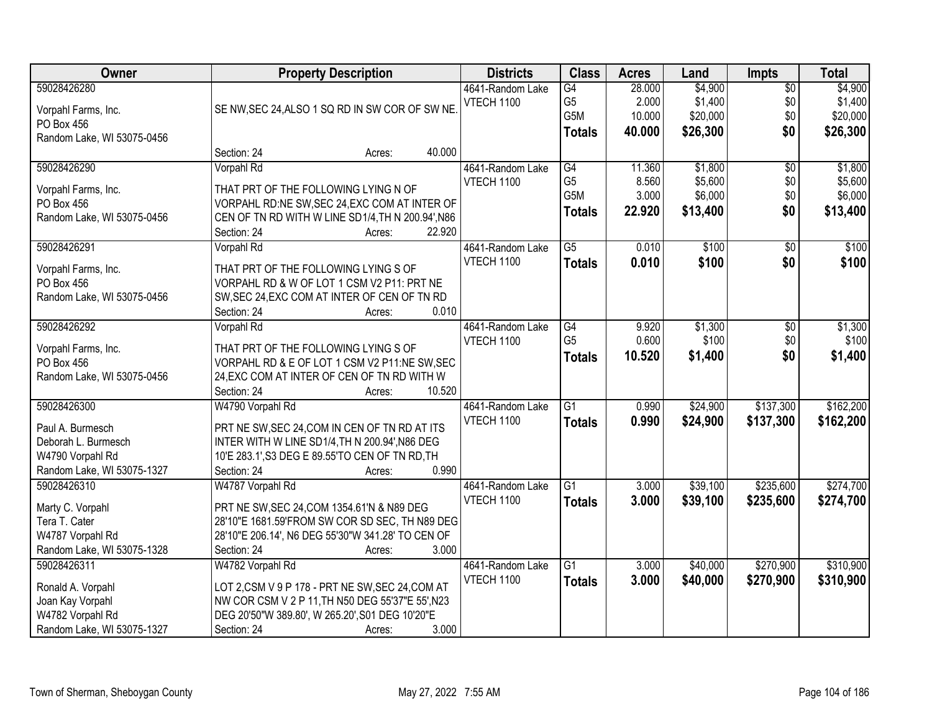| Owner                                   |                                            | <b>Property Description</b>                                                                       | <b>Districts</b>  | <b>Class</b>    | <b>Acres</b> | Land     | <b>Impts</b>    | <b>Total</b> |
|-----------------------------------------|--------------------------------------------|---------------------------------------------------------------------------------------------------|-------------------|-----------------|--------------|----------|-----------------|--------------|
| 59028426280                             |                                            |                                                                                                   | 4641-Random Lake  | G4              | 28.000       | \$4,900  | $\overline{50}$ | \$4,900      |
| Vorpahl Farms, Inc.                     |                                            | SE NW, SEC 24, ALSO 1 SQ RD IN SW COR OF SW NE.                                                   | <b>VTECH 1100</b> | G <sub>5</sub>  | 2.000        | \$1,400  | \$0             | \$1,400      |
| PO Box 456                              |                                            |                                                                                                   |                   | G5M             | 10.000       | \$20,000 | \$0             | \$20,000     |
| Random Lake, WI 53075-0456              |                                            |                                                                                                   |                   | <b>Totals</b>   | 40.000       | \$26,300 | \$0             | \$26,300     |
|                                         | Section: 24                                | 40.000<br>Acres:                                                                                  |                   |                 |              |          |                 |              |
| 59028426290                             | Vorpahl Rd                                 |                                                                                                   | 4641-Random Lake  | G4              | 11.360       | \$1,800  | $\overline{50}$ | \$1,800      |
| Vorpahl Farms, Inc.                     | THAT PRT OF THE FOLLOWING LYING N OF       |                                                                                                   | VTECH 1100        | G <sub>5</sub>  | 8.560        | \$5,600  | \$0             | \$5,600      |
| PO Box 456                              |                                            | VORPAHL RD:NE SW, SEC 24, EXC COM AT INTER OF                                                     |                   | G5M             | 3.000        | \$6,000  | \$0             | \$6,000      |
| Random Lake, WI 53075-0456              |                                            | CEN OF TN RD WITH W LINE SD1/4, TH N 200.94', N86                                                 |                   | <b>Totals</b>   | 22.920       | \$13,400 | \$0             | \$13,400     |
|                                         | Section: 24                                | 22.920<br>Acres:                                                                                  |                   |                 |              |          |                 |              |
| 59028426291                             | Vorpahl Rd                                 |                                                                                                   | 4641-Random Lake  | $\overline{G5}$ | 0.010        | \$100    | $\overline{50}$ | \$100        |
| Vorpahl Farms, Inc.                     | THAT PRT OF THE FOLLOWING LYING S OF       |                                                                                                   | <b>VTECH 1100</b> | <b>Totals</b>   | 0.010        | \$100    | \$0             | \$100        |
| PO Box 456                              |                                            | VORPAHL RD & W OF LOT 1 CSM V2 P11: PRT NE                                                        |                   |                 |              |          |                 |              |
| Random Lake, WI 53075-0456              |                                            | SW, SEC 24, EXC COM AT INTER OF CEN OF TN RD                                                      |                   |                 |              |          |                 |              |
|                                         | Section: 24                                | 0.010<br>Acres:                                                                                   |                   |                 |              |          |                 |              |
| 59028426292                             | Vorpahl Rd                                 |                                                                                                   | 4641-Random Lake  | G4              | 9.920        | \$1,300  | \$0             | \$1,300      |
| Vorpahl Farms, Inc.                     | THAT PRT OF THE FOLLOWING LYING S OF       |                                                                                                   | VTECH 1100        | G <sub>5</sub>  | 0.600        | \$100    | \$0             | \$100        |
| PO Box 456                              |                                            | VORPAHL RD & E OF LOT 1 CSM V2 P11:NE SW, SEC                                                     |                   | <b>Totals</b>   | 10.520       | \$1,400  | \$0             | \$1,400      |
| Random Lake, WI 53075-0456              |                                            | 24, EXC COM AT INTER OF CEN OF TN RD WITH W                                                       |                   |                 |              |          |                 |              |
|                                         | Section: 24                                | 10.520<br>Acres:                                                                                  |                   |                 |              |          |                 |              |
| 59028426300                             | W4790 Vorpahl Rd                           |                                                                                                   | 4641-Random Lake  | $\overline{G1}$ | 0.990        | \$24,900 | \$137,300       | \$162,200    |
|                                         |                                            |                                                                                                   | VTECH 1100        | <b>Totals</b>   | 0.990        | \$24,900 | \$137,300       | \$162,200    |
| Paul A. Burmesch                        |                                            | PRT NE SW, SEC 24, COM IN CEN OF TN RD AT ITS                                                     |                   |                 |              |          |                 |              |
| Deborah L. Burmesch<br>W4790 Vorpahl Rd |                                            | INTER WITH W LINE SD1/4, TH N 200.94', N86 DEG<br>10'E 283.1', S3 DEG E 89.55'TO CEN OF TN RD, TH |                   |                 |              |          |                 |              |
| Random Lake, WI 53075-1327              | Section: 24                                | 0.990<br>Acres:                                                                                   |                   |                 |              |          |                 |              |
| 59028426310                             | W4787 Vorpahl Rd                           |                                                                                                   | 4641-Random Lake  | G1              | 3.000        | \$39,100 | \$235,600       | \$274,700    |
|                                         |                                            |                                                                                                   | VTECH 1100        | <b>Totals</b>   | 3.000        | \$39,100 | \$235,600       | \$274,700    |
| Marty C. Vorpahl                        | PRT NE SW, SEC 24, COM 1354.61'N & N89 DEG |                                                                                                   |                   |                 |              |          |                 |              |
| Tera T. Cater                           |                                            | 28'10"E 1681.59'FROM SW COR SD SEC, TH N89 DEG                                                    |                   |                 |              |          |                 |              |
| W4787 Vorpahl Rd                        |                                            | 28'10"E 206.14', N6 DEG 55'30"W 341.28' TO CEN OF                                                 |                   |                 |              |          |                 |              |
| Random Lake, WI 53075-1328              | Section: 24                                | 3.000<br>Acres:                                                                                   |                   |                 |              |          |                 |              |
| 59028426311                             | W4782 Vorpahl Rd                           |                                                                                                   | 4641-Random Lake  | G1              | 3.000        | \$40,000 | \$270,900       | \$310,900    |
| Ronald A. Vorpahl                       |                                            | LOT 2,CSM V 9 P 178 - PRT NE SW, SEC 24, COM AT                                                   | <b>VTECH 1100</b> | <b>Totals</b>   | 3.000        | \$40,000 | \$270,900       | \$310,900    |
| Joan Kay Vorpahl                        |                                            | NW COR CSM V 2 P 11, TH N50 DEG 55'37"E 55', N23                                                  |                   |                 |              |          |                 |              |
| W4782 Vorpahl Rd                        |                                            | DEG 20'50"W 389.80', W 265.20', S01 DEG 10'20"E                                                   |                   |                 |              |          |                 |              |
| Random Lake, WI 53075-1327              | Section: 24                                | 3.000<br>Acres:                                                                                   |                   |                 |              |          |                 |              |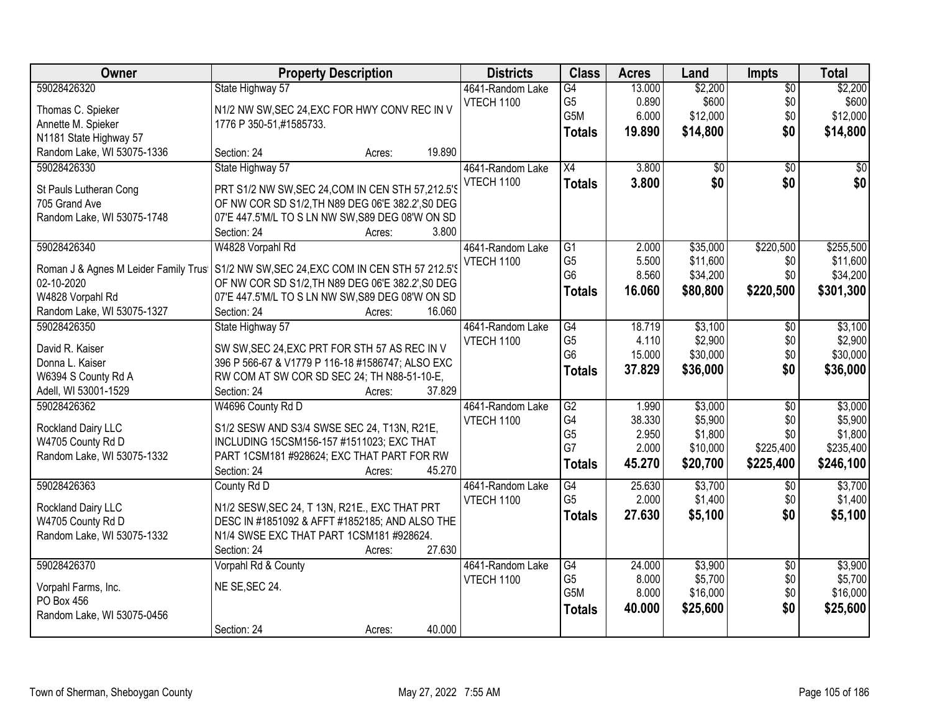| 59028426320<br>\$2,200<br>State Highway 57<br>4641-Random Lake<br>G4<br>13.000<br>$\overline{50}$<br>G <sub>5</sub><br>\$600<br>0.890<br>\$0<br>VTECH 1100<br>Thomas C. Spieker<br>N1/2 NW SW, SEC 24, EXC FOR HWY CONV REC IN V | <b>Property Description</b> |     | <b>Acres</b> | Land     | <b>Impts</b> | <b>Total</b>    |
|----------------------------------------------------------------------------------------------------------------------------------------------------------------------------------------------------------------------------------|-----------------------------|-----|--------------|----------|--------------|-----------------|
|                                                                                                                                                                                                                                  |                             |     |              |          |              | \$2,200         |
|                                                                                                                                                                                                                                  |                             |     |              |          |              | \$600           |
| Annette M. Spieker<br>1776 P 350-51,#1585733.                                                                                                                                                                                    |                             | G5M | 6.000        | \$12,000 | \$0          | \$12,000        |
| \$0<br>\$14,800<br>19.890<br><b>Totals</b><br>N1181 State Highway 57                                                                                                                                                             |                             |     |              |          |              | \$14,800        |
| Random Lake, WI 53075-1336<br>19.890<br>Section: 24<br>Acres:                                                                                                                                                                    |                             |     |              |          |              |                 |
| $\overline{X4}$<br>59028426330<br>State Highway 57<br>4641-Random Lake<br>3.800<br>$\overline{50}$<br>\$0                                                                                                                        |                             |     |              |          |              | $\overline{50}$ |
| <b>VTECH 1100</b><br>3.800<br>\$0<br>\$0<br><b>Totals</b><br>PRT S1/2 NW SW, SEC 24, COM IN CEN STH 57, 212.5'S                                                                                                                  |                             |     |              |          |              | \$0             |
| St Pauls Lutheran Cong<br>705 Grand Ave<br>OF NW COR SD S1/2, TH N89 DEG 06'E 382.2', S0 DEG                                                                                                                                     |                             |     |              |          |              |                 |
| 07'E 447.5'M/L TO S LN NW SW, S89 DEG 08'W ON SD<br>Random Lake, WI 53075-1748                                                                                                                                                   |                             |     |              |          |              |                 |
| 3.800<br>Section: 24<br>Acres:                                                                                                                                                                                                   |                             |     |              |          |              |                 |
| 59028426340<br>W4828 Vorpahl Rd<br>G1<br>\$35,000<br>\$220,500<br>4641-Random Lake<br>2.000                                                                                                                                      |                             |     |              |          |              | \$255,500       |
| G <sub>5</sub><br>\$11,600<br>5.500<br>\$0<br>VTECH 1100                                                                                                                                                                         |                             |     |              |          |              | \$11,600        |
| S1/2 NW SW, SEC 24, EXC COM IN CEN STH 57 212.5'S<br>Roman J & Agnes M Leider Family Trus<br>G <sub>6</sub><br>8.560<br>\$34,200<br>\$0                                                                                          |                             |     |              |          |              | \$34,200        |
| 02-10-2020<br>OF NW COR SD S1/2, TH N89 DEG 06'E 382.2', S0 DEG<br>16.060<br>\$80,800<br>\$220,500<br><b>Totals</b>                                                                                                              |                             |     |              |          |              | \$301,300       |
| W4828 Vorpahl Rd<br>07'E 447.5'M/L TO S LN NW SW, S89 DEG 08'W ON SD<br>16.060<br>Section: 24                                                                                                                                    |                             |     |              |          |              |                 |
| Random Lake, WI 53075-1327<br>Acres:<br>\$3,100<br>59028426350<br>State Highway 57<br>4641-Random Lake<br>G4<br>18.719<br>\$0                                                                                                    |                             |     |              |          |              | \$3,100         |
| G <sub>5</sub><br>4.110<br>\$2,900<br>\$0<br>VTECH 1100                                                                                                                                                                          |                             |     |              |          |              | \$2,900         |
| David R. Kaiser<br>SW SW, SEC 24, EXC PRT FOR STH 57 AS REC IN V<br>G <sub>6</sub><br>\$30,000<br>\$0<br>15.000                                                                                                                  |                             |     |              |          |              | \$30,000        |
| Donna L. Kaiser<br>396 P 566-67 & V1779 P 116-18 #1586747; ALSO EXC<br>\$0<br>37.829<br>\$36,000<br><b>Totals</b>                                                                                                                |                             |     |              |          |              | \$36,000        |
| W6394 S County Rd A<br>RW COM AT SW COR SD SEC 24; TH N88-51-10-E,                                                                                                                                                               |                             |     |              |          |              |                 |
| Adell, WI 53001-1529<br>37.829<br>Section: 24<br>Acres:                                                                                                                                                                          |                             |     |              |          |              |                 |
| \$3,000<br>59028426362<br>W4696 County Rd D<br>$\overline{G2}$<br>1.990<br>$\overline{50}$<br>4641-Random Lake                                                                                                                   |                             |     |              |          |              | \$3,000         |
| G4<br>38.330<br>\$5,900<br>\$0<br><b>VTECH 1100</b><br>Rockland Dairy LLC<br>S1/2 SESW AND S3/4 SWSE SEC 24, T13N, R21E,                                                                                                         |                             |     |              |          |              | \$5,900         |
| G <sub>5</sub><br>2.950<br>\$1,800<br>\$0<br>INCLUDING 15CSM156-157 #1511023; EXC THAT<br>W4705 County Rd D<br>G7                                                                                                                |                             |     |              |          |              | \$1,800         |
| 2.000<br>\$10,000<br>\$225,400<br>Random Lake, WI 53075-1332<br>PART 1CSM181 #928624; EXC THAT PART FOR RW                                                                                                                       |                             |     |              |          |              | \$235,400       |
| \$20,700<br>45.270<br>\$225,400<br><b>Totals</b><br>45.270<br>Section: 24<br>Acres:                                                                                                                                              |                             |     |              |          |              | \$246,100       |
| $\overline{G4}$<br>\$3,700<br>59028426363<br>25.630<br>County Rd D<br>4641-Random Lake<br>$\overline{50}$                                                                                                                        |                             |     |              |          |              | \$3,700         |
| G <sub>5</sub><br>2.000<br>\$1,400<br>\$0<br><b>VTECH 1100</b><br>N1/2 SESW, SEC 24, T 13N, R21E., EXC THAT PRT<br>Rockland Dairy LLC                                                                                            |                             |     |              |          |              | \$1,400         |
| 27.630<br>\$0<br>\$5,100<br><b>Totals</b><br>W4705 County Rd D<br>DESC IN #1851092 & AFFT #1852185; AND ALSO THE                                                                                                                 |                             |     |              |          |              | \$5,100         |
| Random Lake, WI 53075-1332<br>N1/4 SWSE EXC THAT PART 1CSM181 #928624.                                                                                                                                                           |                             |     |              |          |              |                 |
| 27.630<br>Section: 24<br>Acres:                                                                                                                                                                                                  |                             |     |              |          |              |                 |
| \$3,900<br>59028426370<br>Vorpahl Rd & County<br>G4<br>24.000<br>$\overline{50}$<br>4641-Random Lake                                                                                                                             |                             |     |              |          |              | \$3,900         |
| G <sub>5</sub><br>8.000<br>\$5,700<br>\$0<br>VTECH 1100                                                                                                                                                                          |                             |     |              |          |              | \$5,700         |
| NE SE, SEC 24.<br>Vorpahl Farms, Inc.<br>G <sub>5</sub> M<br>8.000<br>\$16,000<br>\$0<br>PO Box 456                                                                                                                              |                             |     |              |          |              | \$16,000        |
| \$0<br>40.000<br>\$25,600<br><b>Totals</b><br>Random Lake, WI 53075-0456                                                                                                                                                         |                             |     |              |          |              | \$25,600        |
| 40.000<br>Section: 24<br>Acres:                                                                                                                                                                                                  |                             |     |              |          |              |                 |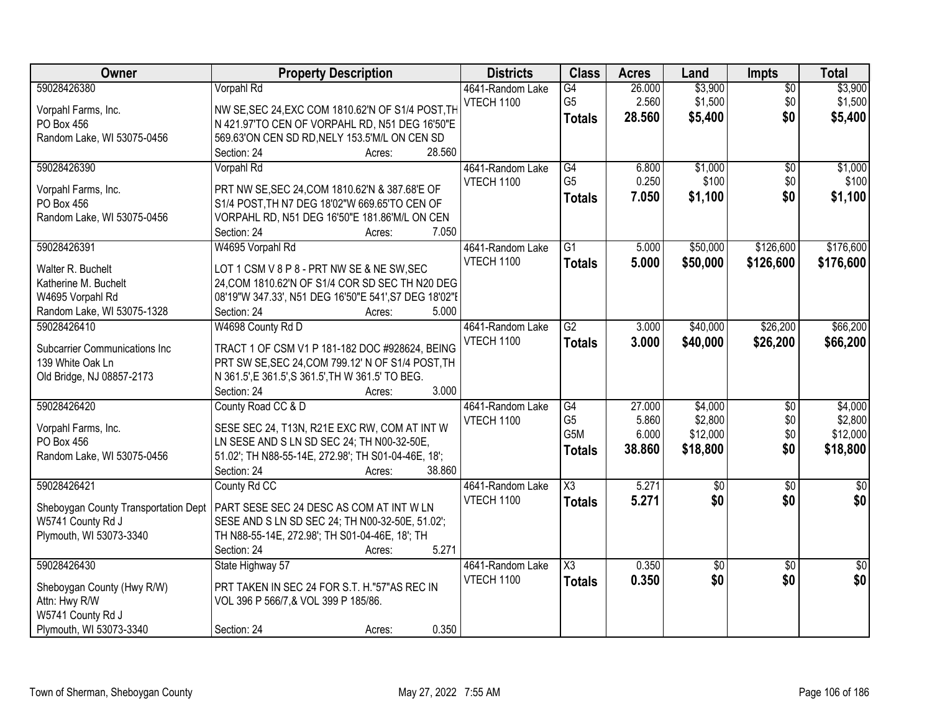| Owner                                | <b>Property Description</b>                           | <b>Districts</b>               | <b>Class</b>           | <b>Acres</b> | Land               | Impts           | <b>Total</b>    |
|--------------------------------------|-------------------------------------------------------|--------------------------------|------------------------|--------------|--------------------|-----------------|-----------------|
| 59028426380                          | <b>Vorpahl Rd</b>                                     | 4641-Random Lake               | G4                     | 26.000       | \$3,900            | $\overline{50}$ | \$3,900         |
| Vorpahl Farms, Inc.                  | NW SE, SEC 24, EXC COM 1810.62'N OF S1/4 POST, TH     | VTECH 1100                     | G <sub>5</sub>         | 2.560        | \$1,500            | \$0             | \$1,500         |
| PO Box 456                           | N 421.97'TO CEN OF VORPAHL RD, N51 DEG 16'50"E        |                                | <b>Totals</b>          | 28.560       | \$5,400            | \$0             | \$5,400         |
| Random Lake, WI 53075-0456           | 569.63'ON CEN SD RD, NELY 153.5'M/L ON CEN SD         |                                |                        |              |                    |                 |                 |
|                                      | 28.560<br>Section: 24<br>Acres:                       |                                |                        |              |                    |                 |                 |
| 59028426390                          | Vorpahl Rd                                            | 4641-Random Lake               | G4                     | 6.800        | \$1,000            | $\overline{50}$ | \$1,000         |
|                                      | PRT NW SE, SEC 24, COM 1810.62'N & 387.68'E OF        | VTECH 1100                     | G <sub>5</sub>         | 0.250        | \$100              | \$0             | \$100           |
| Vorpahl Farms, Inc.<br>PO Box 456    | S1/4 POST, TH N7 DEG 18'02"W 669.65'TO CEN OF         |                                | <b>Totals</b>          | 7.050        | \$1,100            | \$0             | \$1,100         |
| Random Lake, WI 53075-0456           | VORPAHL RD, N51 DEG 16'50"E 181.86'M/L ON CEN         |                                |                        |              |                    |                 |                 |
|                                      | 7.050<br>Section: 24<br>Acres:                        |                                |                        |              |                    |                 |                 |
| 59028426391                          | W4695 Vorpahl Rd                                      | 4641-Random Lake               | $\overline{G1}$        | 5.000        | \$50,000           | \$126,600       | \$176,600       |
|                                      |                                                       | VTECH 1100                     | <b>Totals</b>          | 5.000        | \$50,000           | \$126,600       | \$176,600       |
| Walter R. Buchelt                    | LOT 1 CSM V 8 P 8 - PRT NW SE & NE SW, SEC            |                                |                        |              |                    |                 |                 |
| Katherine M. Buchelt                 | 24, COM 1810.62'N OF S1/4 COR SD SEC TH N20 DEG       |                                |                        |              |                    |                 |                 |
| W4695 Vorpahl Rd                     | 08'19"W 347.33', N51 DEG 16'50"E 541', S7 DEG 18'02"E |                                |                        |              |                    |                 |                 |
| Random Lake, WI 53075-1328           | Section: 24<br>5.000<br>Acres:                        |                                |                        |              |                    |                 |                 |
| 59028426410                          | W4698 County Rd D                                     | 4641-Random Lake               | $\overline{G2}$        | 3.000        | \$40,000           | \$26,200        | \$66,200        |
| Subcarrier Communications Inc        | TRACT 1 OF CSM V1 P 181-182 DOC #928624, BEING        | <b>VTECH 1100</b>              | <b>Totals</b>          | 3.000        | \$40,000           | \$26,200        | \$66,200        |
| 139 White Oak Ln                     | PRT SW SE, SEC 24, COM 799.12' N OF S1/4 POST, TH     |                                |                        |              |                    |                 |                 |
| Old Bridge, NJ 08857-2173            | N 361.5', E 361.5', S 361.5', TH W 361.5' TO BEG.     |                                |                        |              |                    |                 |                 |
|                                      | 3.000<br>Section: 24<br>Acres:                        |                                |                        |              |                    |                 |                 |
| 59028426420                          | County Road CC & D                                    | 4641-Random Lake               | $\overline{G4}$        | 27.000       | \$4,000            | $\overline{50}$ | \$4,000         |
|                                      |                                                       | VTECH 1100                     | G <sub>5</sub>         | 5.860        | \$2,800            | \$0             | \$2,800         |
| Vorpahl Farms, Inc.                  | SESE SEC 24, T13N, R21E EXC RW, COM AT INT W          |                                | G5M                    | 6.000        | \$12,000           | \$0             | \$12,000        |
| PO Box 456                           | LN SESE AND S LN SD SEC 24; TH N00-32-50E,            |                                | <b>Totals</b>          | 38.860       | \$18,800           | \$0             | \$18,800        |
| Random Lake, WI 53075-0456           | 51.02'; TH N88-55-14E, 272.98'; TH S01-04-46E, 18';   |                                |                        |              |                    |                 |                 |
| 59028426421                          | Section: 24<br>38.860<br>Acres:                       |                                | $\overline{\chi_3}$    | 5.271        |                    |                 |                 |
|                                      | County Rd CC                                          | 4641-Random Lake<br>VTECH 1100 |                        |              | $\sqrt{50}$<br>\$0 | $\overline{50}$ | $\overline{30}$ |
| Sheboygan County Transportation Dept | PART SESE SEC 24 DESC AS COM AT INT W LN              |                                | <b>Totals</b>          | 5.271        |                    | \$0             | \$0             |
| W5741 County Rd J                    | SESE AND S LN SD SEC 24; TH N00-32-50E, 51.02';       |                                |                        |              |                    |                 |                 |
| Plymouth, WI 53073-3340              | TH N88-55-14E, 272.98'; TH S01-04-46E, 18'; TH        |                                |                        |              |                    |                 |                 |
|                                      | 5.271<br>Section: 24<br>Acres:                        |                                |                        |              |                    |                 |                 |
| 59028426430                          | State Highway 57                                      | 4641-Random Lake               | $\overline{\text{X3}}$ | 0.350        | $\sqrt{6}$         | $\overline{50}$ | $\sqrt{50}$     |
| Sheboygan County (Hwy R/W)           | PRT TAKEN IN SEC 24 FOR S.T. H."57"AS REC IN          | VTECH 1100                     | <b>Totals</b>          | 0.350        | \$0                | \$0             | \$0             |
| Attn: Hwy R/W                        | VOL 396 P 566/7,& VOL 399 P 185/86.                   |                                |                        |              |                    |                 |                 |
| W5741 County Rd J                    |                                                       |                                |                        |              |                    |                 |                 |
| Plymouth, WI 53073-3340              | 0.350<br>Section: 24<br>Acres:                        |                                |                        |              |                    |                 |                 |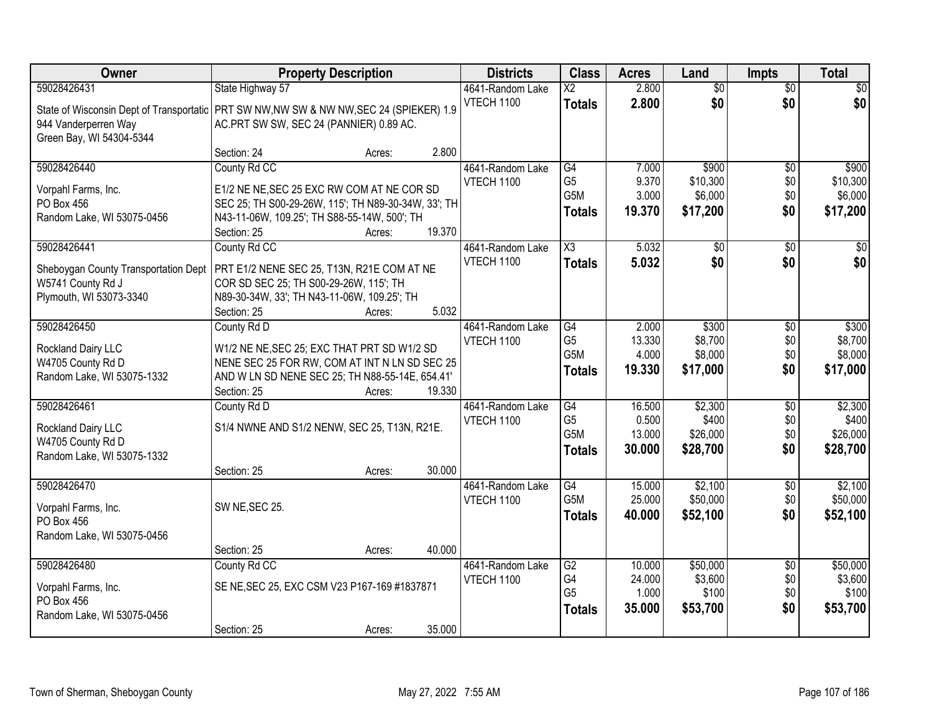| Owner                                                                                     |                                                     | <b>Property Description</b> |        | <b>Districts</b>  | <b>Class</b>           | <b>Acres</b> | Land            | <b>Impts</b>    | <b>Total</b>    |
|-------------------------------------------------------------------------------------------|-----------------------------------------------------|-----------------------------|--------|-------------------|------------------------|--------------|-----------------|-----------------|-----------------|
| 59028426431                                                                               | State Highway 57                                    |                             |        | 4641-Random Lake  | $\overline{\text{X2}}$ | 2.800        | $\overline{50}$ | $\overline{50}$ | $\overline{30}$ |
| State of Wisconsin Dept of Transportatic   PRT SW NW, NW SW & NW NW, SEC 24 (SPIEKER) 1.9 |                                                     |                             |        | VTECH 1100        | <b>Totals</b>          | 2.800        | \$0             | \$0             | \$0             |
| 944 Vanderperren Way                                                                      | AC.PRT SW SW, SEC 24 (PANNIER) 0.89 AC.             |                             |        |                   |                        |              |                 |                 |                 |
| Green Bay, WI 54304-5344                                                                  |                                                     |                             |        |                   |                        |              |                 |                 |                 |
|                                                                                           | Section: 24                                         | Acres:                      | 2.800  |                   |                        |              |                 |                 |                 |
| 59028426440                                                                               | County Rd CC                                        |                             |        | 4641-Random Lake  | G4                     | 7.000        | \$900           | \$0             | \$900           |
| Vorpahl Farms, Inc.                                                                       | E1/2 NE NE, SEC 25 EXC RW COM AT NE COR SD          |                             |        | <b>VTECH 1100</b> | G <sub>5</sub>         | 9.370        | \$10,300        | \$0             | \$10,300        |
| PO Box 456                                                                                | SEC 25; TH S00-29-26W, 115'; TH N89-30-34W, 33'; TH |                             |        |                   | G5M                    | 3.000        | \$6,000         | \$0             | \$6,000         |
| Random Lake, WI 53075-0456                                                                | N43-11-06W, 109.25'; TH S88-55-14W, 500'; TH        |                             |        |                   | <b>Totals</b>          | 19.370       | \$17,200        | \$0             | \$17,200        |
|                                                                                           | Section: 25                                         | Acres:                      | 19.370 |                   |                        |              |                 |                 |                 |
| 59028426441                                                                               | County Rd CC                                        |                             |        | 4641-Random Lake  | $\overline{\chi_3}$    | 5.032        | $\overline{50}$ | $\overline{50}$ | $\overline{30}$ |
| Sheboygan County Transportation Dept                                                      | PRT E1/2 NENE SEC 25, T13N, R21E COM AT NE          |                             |        | <b>VTECH 1100</b> | <b>Totals</b>          | 5.032        | \$0             | \$0             | \$0             |
| W5741 County Rd J                                                                         | COR SD SEC 25; TH S00-29-26W, 115'; TH              |                             |        |                   |                        |              |                 |                 |                 |
| Plymouth, WI 53073-3340                                                                   | N89-30-34W, 33'; TH N43-11-06W, 109.25'; TH         |                             |        |                   |                        |              |                 |                 |                 |
|                                                                                           | Section: 25                                         | Acres:                      | 5.032  |                   |                        |              |                 |                 |                 |
| 59028426450                                                                               | County Rd D                                         |                             |        | 4641-Random Lake  | G4                     | 2.000        | \$300           | \$0             | \$300           |
| Rockland Dairy LLC                                                                        | W1/2 NE NE, SEC 25; EXC THAT PRT SD W1/2 SD         |                             |        | VTECH 1100        | G <sub>5</sub>         | 13.330       | \$8,700         | \$0             | \$8,700         |
| W4705 County Rd D                                                                         | NENE SEC 25 FOR RW, COM AT INT N LN SD SEC 25       |                             |        |                   | G5M                    | 4.000        | \$8,000         | \$0             | \$8,000         |
| Random Lake, WI 53075-1332                                                                | AND W LN SD NENE SEC 25; TH N88-55-14E, 654.41'     |                             |        |                   | <b>Totals</b>          | 19.330       | \$17,000        | \$0             | \$17,000        |
|                                                                                           | Section: 25                                         | Acres:                      | 19.330 |                   |                        |              |                 |                 |                 |
| 59028426461                                                                               | County Rd D                                         |                             |        | 4641-Random Lake  | $\overline{G4}$        | 16.500       | \$2,300         | $\overline{50}$ | \$2,300         |
| Rockland Dairy LLC                                                                        | S1/4 NWNE AND S1/2 NENW, SEC 25, T13N, R21E.        |                             |        | <b>VTECH 1100</b> | G <sub>5</sub>         | 0.500        | \$400           | \$0             | \$400           |
| W4705 County Rd D                                                                         |                                                     |                             |        |                   | G5M                    | 13.000       | \$26,000        | \$0             | \$26,000        |
| Random Lake, WI 53075-1332                                                                |                                                     |                             |        |                   | <b>Totals</b>          | 30.000       | \$28,700        | \$0             | \$28,700        |
|                                                                                           | Section: 25                                         | Acres:                      | 30.000 |                   |                        |              |                 |                 |                 |
| 59028426470                                                                               |                                                     |                             |        | 4641-Random Lake  | G4                     | 15.000       | \$2,100         | $\sqrt{6}$      | \$2,100         |
| Vorpahl Farms, Inc.                                                                       | SW NE, SEC 25.                                      |                             |        | <b>VTECH 1100</b> | G5M                    | 25.000       | \$50,000        | \$0             | \$50,000        |
| PO Box 456                                                                                |                                                     |                             |        |                   | <b>Totals</b>          | 40.000       | \$52,100        | \$0             | \$52,100        |
| Random Lake, WI 53075-0456                                                                |                                                     |                             |        |                   |                        |              |                 |                 |                 |
|                                                                                           | Section: 25                                         | Acres:                      | 40.000 |                   |                        |              |                 |                 |                 |
| 59028426480                                                                               | County Rd CC                                        |                             |        | 4641-Random Lake  | G2                     | 10.000       | \$50,000        | $\overline{50}$ | \$50,000        |
| Vorpahl Farms, Inc.                                                                       | SE NE, SEC 25, EXC CSM V23 P167-169 #1837871        |                             |        | <b>VTECH 1100</b> | G4                     | 24.000       | \$3,600         | \$0             | \$3,600         |
| PO Box 456                                                                                |                                                     |                             |        |                   | G <sub>5</sub>         | 1.000        | \$100           | \$0             | \$100           |
| Random Lake, WI 53075-0456                                                                |                                                     |                             |        |                   | <b>Totals</b>          | 35.000       | \$53,700        | \$0             | \$53,700        |
|                                                                                           | Section: 25                                         | Acres:                      | 35.000 |                   |                        |              |                 |                 |                 |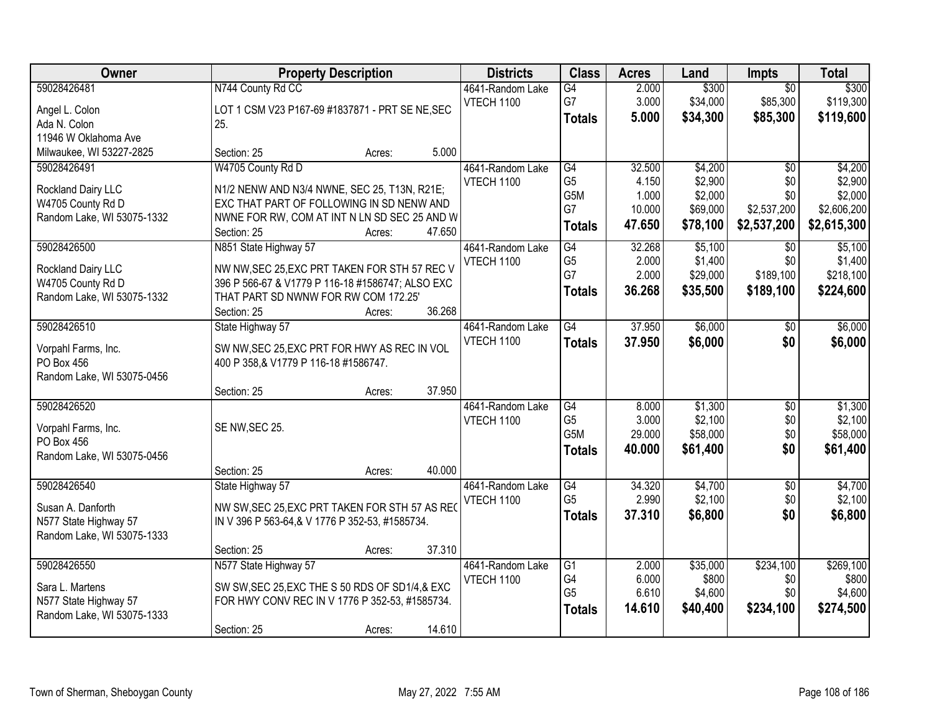| <b>Owner</b>                                                                            | <b>Property Description</b>                                                                                                                                                                           | <b>Districts</b>                      | <b>Class</b>                                              | <b>Acres</b>                                 | Land                                                  | <b>Impts</b>                                    | <b>Total</b>                                                |
|-----------------------------------------------------------------------------------------|-------------------------------------------------------------------------------------------------------------------------------------------------------------------------------------------------------|---------------------------------------|-----------------------------------------------------------|----------------------------------------------|-------------------------------------------------------|-------------------------------------------------|-------------------------------------------------------------|
| 59028426481<br>Angel L. Colon<br>Ada N. Colon<br>11946 W Oklahoma Ave                   | N744 County Rd CC<br>LOT 1 CSM V23 P167-69 #1837871 - PRT SE NE, SEC<br>25.                                                                                                                           | 4641-Random Lake<br>VTECH 1100        | G4<br>G7<br><b>Totals</b>                                 | 2.000<br>3.000<br>5.000                      | \$300<br>\$34,000<br>\$34,300                         | $\overline{50}$<br>\$85,300<br>\$85,300         | \$300<br>\$119,300<br>\$119,600                             |
| Milwaukee, WI 53227-2825                                                                | 5.000<br>Section: 25<br>Acres:                                                                                                                                                                        |                                       |                                                           |                                              |                                                       |                                                 |                                                             |
| 59028426491<br>Rockland Dairy LLC<br>W4705 County Rd D<br>Random Lake, WI 53075-1332    | W4705 County Rd D<br>N1/2 NENW AND N3/4 NWNE, SEC 25, T13N, R21E;<br>EXC THAT PART OF FOLLOWING IN SD NENW AND<br>NWNE FOR RW, COM AT INT N LN SD SEC 25 AND W<br>47.650<br>Section: 25<br>Acres:     | 4641-Random Lake<br>VTECH 1100        | G4<br>G <sub>5</sub><br>G5M<br>G7<br><b>Totals</b>        | 32.500<br>4.150<br>1.000<br>10.000<br>47.650 | \$4,200<br>\$2,900<br>\$2,000<br>\$69,000<br>\$78,100 | \$0<br>\$0<br>\$0<br>\$2,537,200<br>\$2,537,200 | \$4,200<br>\$2,900<br>\$2,000<br>\$2,606,200<br>\$2,615,300 |
| 59028426500<br>Rockland Dairy LLC<br>W4705 County Rd D<br>Random Lake, WI 53075-1332    | N851 State Highway 57<br>NW NW, SEC 25, EXC PRT TAKEN FOR STH 57 REC V<br>396 P 566-67 & V1779 P 116-18 #1586747; ALSO EXC<br>THAT PART SD NWNW FOR RW COM 172.25'<br>36.268<br>Section: 25<br>Acres: | 4641-Random Lake<br>VTECH 1100        | $\overline{G4}$<br>G <sub>5</sub><br>G7<br><b>Totals</b>  | 32.268<br>2.000<br>2.000<br>36.268           | \$5,100<br>\$1,400<br>\$29,000<br>\$35,500            | \$0<br>\$0<br>\$189,100<br>\$189,100            | \$5,100<br>\$1,400<br>\$218,100<br>\$224,600                |
| 59028426510<br>Vorpahl Farms, Inc.<br>PO Box 456<br>Random Lake, WI 53075-0456          | State Highway 57<br>SW NW, SEC 25, EXC PRT FOR HWY AS REC IN VOL<br>400 P 358, & V1779 P 116-18 #1586747.<br>37.950<br>Section: 25<br>Acres:                                                          | 4641-Random Lake<br><b>VTECH 1100</b> | G4<br><b>Totals</b>                                       | 37.950<br>37.950                             | \$6,000<br>\$6,000                                    | $\sqrt[6]{}$<br>\$0                             | \$6,000<br>\$6,000                                          |
| 59028426520<br>Vorpahl Farms, Inc.<br>PO Box 456<br>Random Lake, WI 53075-0456          | SE NW, SEC 25.<br>40.000<br>Section: 25<br>Acres:                                                                                                                                                     | 4641-Random Lake<br>VTECH 1100        | $\overline{G4}$<br>G <sub>5</sub><br>G5M<br><b>Totals</b> | 8.000<br>3.000<br>29.000<br>40.000           | \$1,300<br>\$2,100<br>\$58,000<br>\$61,400            | $\overline{50}$<br>\$0<br>\$0<br>\$0            | \$1,300<br>\$2,100<br>\$58,000<br>\$61,400                  |
| 59028426540<br>Susan A. Danforth<br>N577 State Highway 57<br>Random Lake, WI 53075-1333 | State Highway 57<br>NW SW, SEC 25, EXC PRT TAKEN FOR STH 57 AS REC<br>IN V 396 P 563-64,& V 1776 P 352-53, #1585734.<br>37.310<br>Section: 25<br>Acres:                                               | 4641-Random Lake<br>VTECH 1100        | G4<br>G <sub>5</sub><br><b>Totals</b>                     | 34.320<br>2.990<br>37.310                    | \$4,700<br>\$2,100<br>\$6,800                         | $\overline{50}$<br>\$0<br>\$0                   | \$4,700<br>\$2,100<br>\$6,800                               |
| 59028426550<br>Sara L. Martens<br>N577 State Highway 57<br>Random Lake, WI 53075-1333   | N577 State Highway 57<br>SW SW, SEC 25, EXC THE S 50 RDS OF SD1/4, & EXC<br>FOR HWY CONV REC IN V 1776 P 352-53, #1585734.<br>14.610<br>Section: 25<br>Acres:                                         | 4641-Random Lake<br><b>VTECH 1100</b> | $\overline{G1}$<br>G4<br>G <sub>5</sub><br><b>Totals</b>  | 2.000<br>6.000<br>6.610<br>14.610            | \$35,000<br>\$800<br>\$4,600<br>\$40,400              | \$234,100<br>\$0<br>\$0<br>\$234,100            | \$269,100<br>\$800<br>\$4,600<br>\$274,500                  |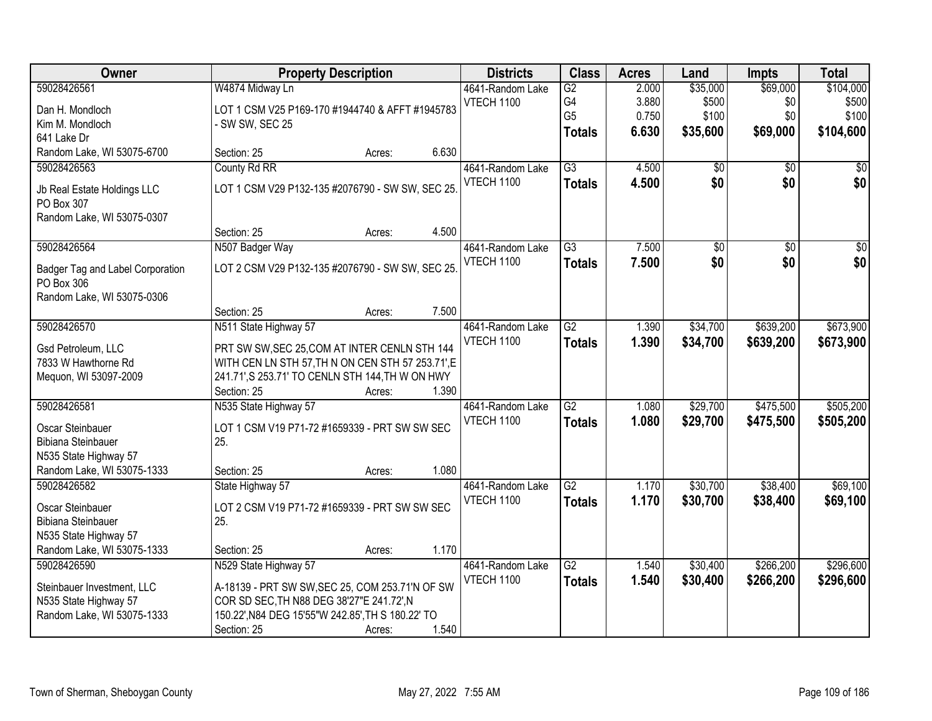| W4874 Midway Ln<br>$\overline{G2}$<br>\$35,000<br>\$69,000<br>\$104,000<br>59028426561<br>4641-Random Lake<br>2.000<br>G4<br>3.880<br>\$500<br>\$500<br>VTECH 1100<br>\$0<br>LOT 1 CSM V25 P169-170 #1944740 & AFFT #1945783<br>Dan H. Mondloch<br>G <sub>5</sub><br>0.750<br>\$100<br>\$0<br>\$100<br>Kim M. Mondloch<br>- SW SW, SEC 25<br>6.630<br>\$69,000<br>\$104,600<br>\$35,600<br><b>Totals</b><br>641 Lake Dr<br>Random Lake, WI 53075-6700<br>6.630<br>Section: 25<br>Acres:<br>$\overline{G3}$<br>County Rd RR<br>4.500<br>$\overline{50}$<br>$\sqrt{50}$<br>59028426563<br>4641-Random Lake<br>$\overline{50}$<br>\$0<br><b>VTECH 1100</b><br>4.500<br>\$0<br>\$0<br><b>Totals</b><br>LOT 1 CSM V29 P132-135 #2076790 - SW SW, SEC 25.<br>Jb Real Estate Holdings LLC<br>PO Box 307<br>Random Lake, WI 53075-0307<br>4.500<br>Section: 25<br>Acres:<br>59028426564<br>$\overline{G3}$<br>7.500<br>$\overline{50}$<br>$\overline{50}$<br>$\overline{30}$<br>N507 Badger Way<br>4641-Random Lake<br>\$0<br>\$0 <br>\$0<br><b>VTECH 1100</b><br>7.500<br><b>Totals</b><br>LOT 2 CSM V29 P132-135 #2076790 - SW SW, SEC 25.<br>Badger Tag and Label Corporation<br>PO Box 306<br>Random Lake, WI 53075-0306<br>7.500<br>Section: 25<br>Acres:<br>$\overline{G2}$<br>\$34,700<br>\$639,200<br>\$673,900<br>59028426570<br>N511 State Highway 57<br>4641-Random Lake<br>1.390<br><b>VTECH 1100</b><br>1.390<br>\$34,700<br>\$639,200<br>\$673,900<br><b>Totals</b><br>PRT SW SW, SEC 25, COM AT INTER CENLN STH 144<br>Gsd Petroleum, LLC<br>7833 W Hawthorne Rd<br>WITH CEN LN STH 57, TH N ON CEN STH 57 253.71', E<br>241.71', S 253.71' TO CENLN STH 144, TH W ON HWY<br>Mequon, WI 53097-2009<br>1.390<br>Section: 25<br>Acres:<br>$\overline{G2}$<br>\$29,700<br>\$475,500<br>\$505,200<br>59028426581<br>1.080<br>N535 State Highway 57<br>4641-Random Lake<br>VTECH 1100<br>1.080<br>\$29,700<br>\$475,500<br>\$505,200<br><b>Totals</b><br>LOT 1 CSM V19 P71-72 #1659339 - PRT SW SW SEC<br>Oscar Steinbauer<br>25.<br><b>Bibiana Steinbauer</b><br>N535 State Highway 57<br>Random Lake, WI 53075-1333<br>1.080<br>Section: 25<br>Acres:<br>$\overline{G2}$<br>\$30,700<br>\$38,400<br>\$69,100<br>59028426582<br>1.170<br>State Highway 57<br>4641-Random Lake<br><b>VTECH 1100</b><br>1.170<br>\$30,700<br>\$38,400<br>\$69,100<br><b>Totals</b><br>Oscar Steinbauer<br>LOT 2 CSM V19 P71-72 #1659339 - PRT SW SW SEC<br>25.<br><b>Bibiana Steinbauer</b><br>N535 State Highway 57<br>Random Lake, WI 53075-1333<br>1.170<br>Section: 25<br>Acres:<br>\$296,600<br>N529 State Highway 57<br>$\overline{G2}$<br>\$30,400<br>\$266,200<br>59028426590<br>4641-Random Lake<br>1.540<br>1.540<br>\$266,200<br>\$296,600<br><b>VTECH 1100</b><br>\$30,400<br><b>Totals</b><br>Steinbauer Investment, LLC<br>A-18139 - PRT SW SW, SEC 25, COM 253.71'N OF SW<br>N535 State Highway 57<br>COR SD SEC, TH N88 DEG 38'27"E 241.72', N<br>Random Lake, WI 53075-1333<br>150.22', N84 DEG 15'55"W 242.85', TH S 180.22' TO | Owner | <b>Property Description</b> | <b>Districts</b> | <b>Class</b> | <b>Acres</b> | Land | <b>Impts</b> | <b>Total</b> |
|------------------------------------------------------------------------------------------------------------------------------------------------------------------------------------------------------------------------------------------------------------------------------------------------------------------------------------------------------------------------------------------------------------------------------------------------------------------------------------------------------------------------------------------------------------------------------------------------------------------------------------------------------------------------------------------------------------------------------------------------------------------------------------------------------------------------------------------------------------------------------------------------------------------------------------------------------------------------------------------------------------------------------------------------------------------------------------------------------------------------------------------------------------------------------------------------------------------------------------------------------------------------------------------------------------------------------------------------------------------------------------------------------------------------------------------------------------------------------------------------------------------------------------------------------------------------------------------------------------------------------------------------------------------------------------------------------------------------------------------------------------------------------------------------------------------------------------------------------------------------------------------------------------------------------------------------------------------------------------------------------------------------------------------------------------------------------------------------------------------------------------------------------------------------------------------------------------------------------------------------------------------------------------------------------------------------------------------------------------------------------------------------------------------------------------------------------------------------------------------------------------------------------------------------------------------------------------------------------------------------------------------------------------------------------------------------------------------------------------------------------------------------------------------------------------------------------------------------------------------------------------------------------------------------------------------------------------------------------------------------------------------------------------|-------|-----------------------------|------------------|--------------|--------------|------|--------------|--------------|
|                                                                                                                                                                                                                                                                                                                                                                                                                                                                                                                                                                                                                                                                                                                                                                                                                                                                                                                                                                                                                                                                                                                                                                                                                                                                                                                                                                                                                                                                                                                                                                                                                                                                                                                                                                                                                                                                                                                                                                                                                                                                                                                                                                                                                                                                                                                                                                                                                                                                                                                                                                                                                                                                                                                                                                                                                                                                                                                                                                                                                                    |       |                             |                  |              |              |      |              |              |
|                                                                                                                                                                                                                                                                                                                                                                                                                                                                                                                                                                                                                                                                                                                                                                                                                                                                                                                                                                                                                                                                                                                                                                                                                                                                                                                                                                                                                                                                                                                                                                                                                                                                                                                                                                                                                                                                                                                                                                                                                                                                                                                                                                                                                                                                                                                                                                                                                                                                                                                                                                                                                                                                                                                                                                                                                                                                                                                                                                                                                                    |       |                             |                  |              |              |      |              |              |
|                                                                                                                                                                                                                                                                                                                                                                                                                                                                                                                                                                                                                                                                                                                                                                                                                                                                                                                                                                                                                                                                                                                                                                                                                                                                                                                                                                                                                                                                                                                                                                                                                                                                                                                                                                                                                                                                                                                                                                                                                                                                                                                                                                                                                                                                                                                                                                                                                                                                                                                                                                                                                                                                                                                                                                                                                                                                                                                                                                                                                                    |       |                             |                  |              |              |      |              |              |
|                                                                                                                                                                                                                                                                                                                                                                                                                                                                                                                                                                                                                                                                                                                                                                                                                                                                                                                                                                                                                                                                                                                                                                                                                                                                                                                                                                                                                                                                                                                                                                                                                                                                                                                                                                                                                                                                                                                                                                                                                                                                                                                                                                                                                                                                                                                                                                                                                                                                                                                                                                                                                                                                                                                                                                                                                                                                                                                                                                                                                                    |       |                             |                  |              |              |      |              |              |
|                                                                                                                                                                                                                                                                                                                                                                                                                                                                                                                                                                                                                                                                                                                                                                                                                                                                                                                                                                                                                                                                                                                                                                                                                                                                                                                                                                                                                                                                                                                                                                                                                                                                                                                                                                                                                                                                                                                                                                                                                                                                                                                                                                                                                                                                                                                                                                                                                                                                                                                                                                                                                                                                                                                                                                                                                                                                                                                                                                                                                                    |       |                             |                  |              |              |      |              |              |
|                                                                                                                                                                                                                                                                                                                                                                                                                                                                                                                                                                                                                                                                                                                                                                                                                                                                                                                                                                                                                                                                                                                                                                                                                                                                                                                                                                                                                                                                                                                                                                                                                                                                                                                                                                                                                                                                                                                                                                                                                                                                                                                                                                                                                                                                                                                                                                                                                                                                                                                                                                                                                                                                                                                                                                                                                                                                                                                                                                                                                                    |       |                             |                  |              |              |      |              |              |
|                                                                                                                                                                                                                                                                                                                                                                                                                                                                                                                                                                                                                                                                                                                                                                                                                                                                                                                                                                                                                                                                                                                                                                                                                                                                                                                                                                                                                                                                                                                                                                                                                                                                                                                                                                                                                                                                                                                                                                                                                                                                                                                                                                                                                                                                                                                                                                                                                                                                                                                                                                                                                                                                                                                                                                                                                                                                                                                                                                                                                                    |       |                             |                  |              |              |      |              |              |
|                                                                                                                                                                                                                                                                                                                                                                                                                                                                                                                                                                                                                                                                                                                                                                                                                                                                                                                                                                                                                                                                                                                                                                                                                                                                                                                                                                                                                                                                                                                                                                                                                                                                                                                                                                                                                                                                                                                                                                                                                                                                                                                                                                                                                                                                                                                                                                                                                                                                                                                                                                                                                                                                                                                                                                                                                                                                                                                                                                                                                                    |       |                             |                  |              |              |      |              |              |
|                                                                                                                                                                                                                                                                                                                                                                                                                                                                                                                                                                                                                                                                                                                                                                                                                                                                                                                                                                                                                                                                                                                                                                                                                                                                                                                                                                                                                                                                                                                                                                                                                                                                                                                                                                                                                                                                                                                                                                                                                                                                                                                                                                                                                                                                                                                                                                                                                                                                                                                                                                                                                                                                                                                                                                                                                                                                                                                                                                                                                                    |       |                             |                  |              |              |      |              |              |
|                                                                                                                                                                                                                                                                                                                                                                                                                                                                                                                                                                                                                                                                                                                                                                                                                                                                                                                                                                                                                                                                                                                                                                                                                                                                                                                                                                                                                                                                                                                                                                                                                                                                                                                                                                                                                                                                                                                                                                                                                                                                                                                                                                                                                                                                                                                                                                                                                                                                                                                                                                                                                                                                                                                                                                                                                                                                                                                                                                                                                                    |       |                             |                  |              |              |      |              |              |
|                                                                                                                                                                                                                                                                                                                                                                                                                                                                                                                                                                                                                                                                                                                                                                                                                                                                                                                                                                                                                                                                                                                                                                                                                                                                                                                                                                                                                                                                                                                                                                                                                                                                                                                                                                                                                                                                                                                                                                                                                                                                                                                                                                                                                                                                                                                                                                                                                                                                                                                                                                                                                                                                                                                                                                                                                                                                                                                                                                                                                                    |       |                             |                  |              |              |      |              |              |
|                                                                                                                                                                                                                                                                                                                                                                                                                                                                                                                                                                                                                                                                                                                                                                                                                                                                                                                                                                                                                                                                                                                                                                                                                                                                                                                                                                                                                                                                                                                                                                                                                                                                                                                                                                                                                                                                                                                                                                                                                                                                                                                                                                                                                                                                                                                                                                                                                                                                                                                                                                                                                                                                                                                                                                                                                                                                                                                                                                                                                                    |       |                             |                  |              |              |      |              |              |
|                                                                                                                                                                                                                                                                                                                                                                                                                                                                                                                                                                                                                                                                                                                                                                                                                                                                                                                                                                                                                                                                                                                                                                                                                                                                                                                                                                                                                                                                                                                                                                                                                                                                                                                                                                                                                                                                                                                                                                                                                                                                                                                                                                                                                                                                                                                                                                                                                                                                                                                                                                                                                                                                                                                                                                                                                                                                                                                                                                                                                                    |       |                             |                  |              |              |      |              |              |
|                                                                                                                                                                                                                                                                                                                                                                                                                                                                                                                                                                                                                                                                                                                                                                                                                                                                                                                                                                                                                                                                                                                                                                                                                                                                                                                                                                                                                                                                                                                                                                                                                                                                                                                                                                                                                                                                                                                                                                                                                                                                                                                                                                                                                                                                                                                                                                                                                                                                                                                                                                                                                                                                                                                                                                                                                                                                                                                                                                                                                                    |       |                             |                  |              |              |      |              |              |
|                                                                                                                                                                                                                                                                                                                                                                                                                                                                                                                                                                                                                                                                                                                                                                                                                                                                                                                                                                                                                                                                                                                                                                                                                                                                                                                                                                                                                                                                                                                                                                                                                                                                                                                                                                                                                                                                                                                                                                                                                                                                                                                                                                                                                                                                                                                                                                                                                                                                                                                                                                                                                                                                                                                                                                                                                                                                                                                                                                                                                                    |       |                             |                  |              |              |      |              |              |
|                                                                                                                                                                                                                                                                                                                                                                                                                                                                                                                                                                                                                                                                                                                                                                                                                                                                                                                                                                                                                                                                                                                                                                                                                                                                                                                                                                                                                                                                                                                                                                                                                                                                                                                                                                                                                                                                                                                                                                                                                                                                                                                                                                                                                                                                                                                                                                                                                                                                                                                                                                                                                                                                                                                                                                                                                                                                                                                                                                                                                                    |       |                             |                  |              |              |      |              |              |
|                                                                                                                                                                                                                                                                                                                                                                                                                                                                                                                                                                                                                                                                                                                                                                                                                                                                                                                                                                                                                                                                                                                                                                                                                                                                                                                                                                                                                                                                                                                                                                                                                                                                                                                                                                                                                                                                                                                                                                                                                                                                                                                                                                                                                                                                                                                                                                                                                                                                                                                                                                                                                                                                                                                                                                                                                                                                                                                                                                                                                                    |       |                             |                  |              |              |      |              |              |
|                                                                                                                                                                                                                                                                                                                                                                                                                                                                                                                                                                                                                                                                                                                                                                                                                                                                                                                                                                                                                                                                                                                                                                                                                                                                                                                                                                                                                                                                                                                                                                                                                                                                                                                                                                                                                                                                                                                                                                                                                                                                                                                                                                                                                                                                                                                                                                                                                                                                                                                                                                                                                                                                                                                                                                                                                                                                                                                                                                                                                                    |       |                             |                  |              |              |      |              |              |
|                                                                                                                                                                                                                                                                                                                                                                                                                                                                                                                                                                                                                                                                                                                                                                                                                                                                                                                                                                                                                                                                                                                                                                                                                                                                                                                                                                                                                                                                                                                                                                                                                                                                                                                                                                                                                                                                                                                                                                                                                                                                                                                                                                                                                                                                                                                                                                                                                                                                                                                                                                                                                                                                                                                                                                                                                                                                                                                                                                                                                                    |       |                             |                  |              |              |      |              |              |
|                                                                                                                                                                                                                                                                                                                                                                                                                                                                                                                                                                                                                                                                                                                                                                                                                                                                                                                                                                                                                                                                                                                                                                                                                                                                                                                                                                                                                                                                                                                                                                                                                                                                                                                                                                                                                                                                                                                                                                                                                                                                                                                                                                                                                                                                                                                                                                                                                                                                                                                                                                                                                                                                                                                                                                                                                                                                                                                                                                                                                                    |       |                             |                  |              |              |      |              |              |
|                                                                                                                                                                                                                                                                                                                                                                                                                                                                                                                                                                                                                                                                                                                                                                                                                                                                                                                                                                                                                                                                                                                                                                                                                                                                                                                                                                                                                                                                                                                                                                                                                                                                                                                                                                                                                                                                                                                                                                                                                                                                                                                                                                                                                                                                                                                                                                                                                                                                                                                                                                                                                                                                                                                                                                                                                                                                                                                                                                                                                                    |       |                             |                  |              |              |      |              |              |
|                                                                                                                                                                                                                                                                                                                                                                                                                                                                                                                                                                                                                                                                                                                                                                                                                                                                                                                                                                                                                                                                                                                                                                                                                                                                                                                                                                                                                                                                                                                                                                                                                                                                                                                                                                                                                                                                                                                                                                                                                                                                                                                                                                                                                                                                                                                                                                                                                                                                                                                                                                                                                                                                                                                                                                                                                                                                                                                                                                                                                                    |       |                             |                  |              |              |      |              |              |
|                                                                                                                                                                                                                                                                                                                                                                                                                                                                                                                                                                                                                                                                                                                                                                                                                                                                                                                                                                                                                                                                                                                                                                                                                                                                                                                                                                                                                                                                                                                                                                                                                                                                                                                                                                                                                                                                                                                                                                                                                                                                                                                                                                                                                                                                                                                                                                                                                                                                                                                                                                                                                                                                                                                                                                                                                                                                                                                                                                                                                                    |       |                             |                  |              |              |      |              |              |
|                                                                                                                                                                                                                                                                                                                                                                                                                                                                                                                                                                                                                                                                                                                                                                                                                                                                                                                                                                                                                                                                                                                                                                                                                                                                                                                                                                                                                                                                                                                                                                                                                                                                                                                                                                                                                                                                                                                                                                                                                                                                                                                                                                                                                                                                                                                                                                                                                                                                                                                                                                                                                                                                                                                                                                                                                                                                                                                                                                                                                                    |       |                             |                  |              |              |      |              |              |
|                                                                                                                                                                                                                                                                                                                                                                                                                                                                                                                                                                                                                                                                                                                                                                                                                                                                                                                                                                                                                                                                                                                                                                                                                                                                                                                                                                                                                                                                                                                                                                                                                                                                                                                                                                                                                                                                                                                                                                                                                                                                                                                                                                                                                                                                                                                                                                                                                                                                                                                                                                                                                                                                                                                                                                                                                                                                                                                                                                                                                                    |       |                             |                  |              |              |      |              |              |
|                                                                                                                                                                                                                                                                                                                                                                                                                                                                                                                                                                                                                                                                                                                                                                                                                                                                                                                                                                                                                                                                                                                                                                                                                                                                                                                                                                                                                                                                                                                                                                                                                                                                                                                                                                                                                                                                                                                                                                                                                                                                                                                                                                                                                                                                                                                                                                                                                                                                                                                                                                                                                                                                                                                                                                                                                                                                                                                                                                                                                                    |       |                             |                  |              |              |      |              |              |
|                                                                                                                                                                                                                                                                                                                                                                                                                                                                                                                                                                                                                                                                                                                                                                                                                                                                                                                                                                                                                                                                                                                                                                                                                                                                                                                                                                                                                                                                                                                                                                                                                                                                                                                                                                                                                                                                                                                                                                                                                                                                                                                                                                                                                                                                                                                                                                                                                                                                                                                                                                                                                                                                                                                                                                                                                                                                                                                                                                                                                                    |       |                             |                  |              |              |      |              |              |
|                                                                                                                                                                                                                                                                                                                                                                                                                                                                                                                                                                                                                                                                                                                                                                                                                                                                                                                                                                                                                                                                                                                                                                                                                                                                                                                                                                                                                                                                                                                                                                                                                                                                                                                                                                                                                                                                                                                                                                                                                                                                                                                                                                                                                                                                                                                                                                                                                                                                                                                                                                                                                                                                                                                                                                                                                                                                                                                                                                                                                                    |       |                             |                  |              |              |      |              |              |
|                                                                                                                                                                                                                                                                                                                                                                                                                                                                                                                                                                                                                                                                                                                                                                                                                                                                                                                                                                                                                                                                                                                                                                                                                                                                                                                                                                                                                                                                                                                                                                                                                                                                                                                                                                                                                                                                                                                                                                                                                                                                                                                                                                                                                                                                                                                                                                                                                                                                                                                                                                                                                                                                                                                                                                                                                                                                                                                                                                                                                                    |       |                             |                  |              |              |      |              |              |
|                                                                                                                                                                                                                                                                                                                                                                                                                                                                                                                                                                                                                                                                                                                                                                                                                                                                                                                                                                                                                                                                                                                                                                                                                                                                                                                                                                                                                                                                                                                                                                                                                                                                                                                                                                                                                                                                                                                                                                                                                                                                                                                                                                                                                                                                                                                                                                                                                                                                                                                                                                                                                                                                                                                                                                                                                                                                                                                                                                                                                                    |       |                             |                  |              |              |      |              |              |
|                                                                                                                                                                                                                                                                                                                                                                                                                                                                                                                                                                                                                                                                                                                                                                                                                                                                                                                                                                                                                                                                                                                                                                                                                                                                                                                                                                                                                                                                                                                                                                                                                                                                                                                                                                                                                                                                                                                                                                                                                                                                                                                                                                                                                                                                                                                                                                                                                                                                                                                                                                                                                                                                                                                                                                                                                                                                                                                                                                                                                                    |       |                             |                  |              |              |      |              |              |
|                                                                                                                                                                                                                                                                                                                                                                                                                                                                                                                                                                                                                                                                                                                                                                                                                                                                                                                                                                                                                                                                                                                                                                                                                                                                                                                                                                                                                                                                                                                                                                                                                                                                                                                                                                                                                                                                                                                                                                                                                                                                                                                                                                                                                                                                                                                                                                                                                                                                                                                                                                                                                                                                                                                                                                                                                                                                                                                                                                                                                                    |       |                             |                  |              |              |      |              |              |
|                                                                                                                                                                                                                                                                                                                                                                                                                                                                                                                                                                                                                                                                                                                                                                                                                                                                                                                                                                                                                                                                                                                                                                                                                                                                                                                                                                                                                                                                                                                                                                                                                                                                                                                                                                                                                                                                                                                                                                                                                                                                                                                                                                                                                                                                                                                                                                                                                                                                                                                                                                                                                                                                                                                                                                                                                                                                                                                                                                                                                                    |       |                             |                  |              |              |      |              |              |
|                                                                                                                                                                                                                                                                                                                                                                                                                                                                                                                                                                                                                                                                                                                                                                                                                                                                                                                                                                                                                                                                                                                                                                                                                                                                                                                                                                                                                                                                                                                                                                                                                                                                                                                                                                                                                                                                                                                                                                                                                                                                                                                                                                                                                                                                                                                                                                                                                                                                                                                                                                                                                                                                                                                                                                                                                                                                                                                                                                                                                                    |       |                             |                  |              |              |      |              |              |
|                                                                                                                                                                                                                                                                                                                                                                                                                                                                                                                                                                                                                                                                                                                                                                                                                                                                                                                                                                                                                                                                                                                                                                                                                                                                                                                                                                                                                                                                                                                                                                                                                                                                                                                                                                                                                                                                                                                                                                                                                                                                                                                                                                                                                                                                                                                                                                                                                                                                                                                                                                                                                                                                                                                                                                                                                                                                                                                                                                                                                                    |       |                             |                  |              |              |      |              |              |
| 1.540<br>Section: 25<br>Acres:                                                                                                                                                                                                                                                                                                                                                                                                                                                                                                                                                                                                                                                                                                                                                                                                                                                                                                                                                                                                                                                                                                                                                                                                                                                                                                                                                                                                                                                                                                                                                                                                                                                                                                                                                                                                                                                                                                                                                                                                                                                                                                                                                                                                                                                                                                                                                                                                                                                                                                                                                                                                                                                                                                                                                                                                                                                                                                                                                                                                     |       |                             |                  |              |              |      |              |              |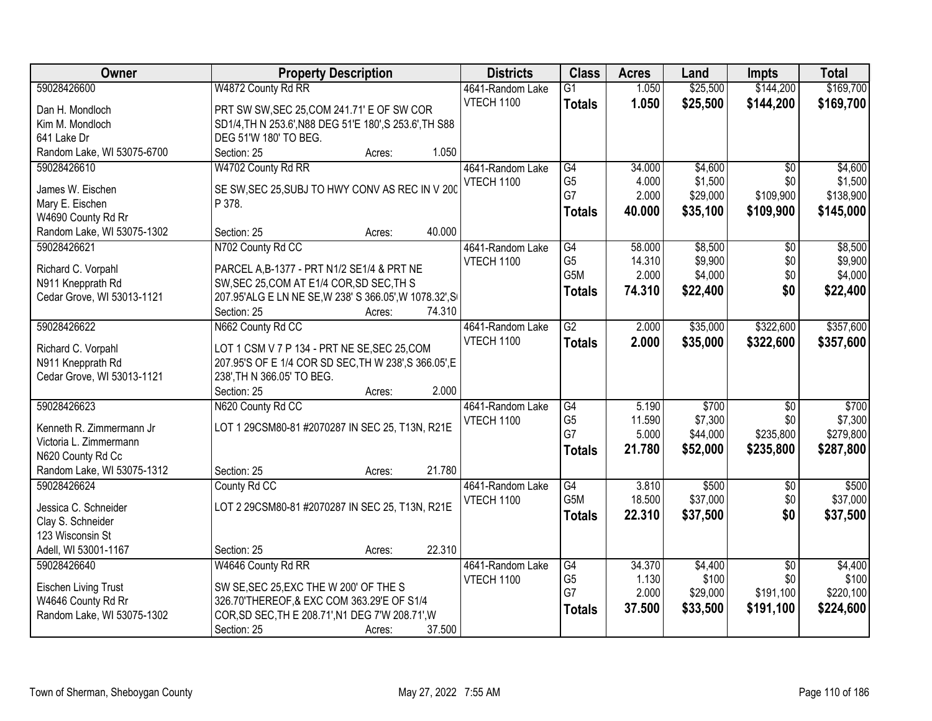| Owner                                     | <b>Property Description</b>                             | <b>Districts</b>  | <b>Class</b>     | <b>Acres</b> | Land     | <b>Impts</b>           | <b>Total</b>       |
|-------------------------------------------|---------------------------------------------------------|-------------------|------------------|--------------|----------|------------------------|--------------------|
| 59028426600                               | W4872 County Rd RR                                      | 4641-Random Lake  | $\overline{G1}$  | 1.050        | \$25,500 | \$144,200              | \$169,700          |
| Dan H. Mondloch                           | PRT SW SW, SEC 25, COM 241.71' E OF SW COR              | VTECH 1100        | <b>Totals</b>    | 1.050        | \$25,500 | \$144,200              | \$169,700          |
| Kim M. Mondloch                           | SD1/4, TH N 253.6', N88 DEG 51'E 180', S 253.6', TH S88 |                   |                  |              |          |                        |                    |
| 641 Lake Dr                               | DEG 51'W 180' TO BEG.                                   |                   |                  |              |          |                        |                    |
| Random Lake, WI 53075-6700                | 1.050<br>Section: 25<br>Acres:                          |                   |                  |              |          |                        |                    |
| 59028426610                               | W4702 County Rd RR                                      | 4641-Random Lake  | G4               | 34,000       | \$4,600  | $\overline{50}$        | \$4,600            |
|                                           |                                                         | <b>VTECH 1100</b> | G <sub>5</sub>   | 4.000        | \$1,500  | \$0                    | \$1,500            |
| James W. Eischen                          | SE SW, SEC 25, SUBJ TO HWY CONV AS REC IN V 200         |                   | G7               | 2.000        | \$29,000 | \$109,900              | \$138,900          |
| Mary E. Eischen                           | P 378.                                                  |                   | <b>Totals</b>    | 40.000       | \$35,100 | \$109,900              | \$145,000          |
| W4690 County Rd Rr                        | 40.000<br>Section: 25                                   |                   |                  |              |          |                        |                    |
| Random Lake, WI 53075-1302<br>59028426621 | Acres:                                                  |                   | G4               | 58.000       | \$8,500  |                        |                    |
|                                           | N702 County Rd CC                                       | 4641-Random Lake  | G <sub>5</sub>   | 14.310       | \$9,900  | $\overline{50}$<br>\$0 | \$8,500<br>\$9,900 |
| Richard C. Vorpahl                        | PARCEL A, B-1377 - PRT N1/2 SE1/4 & PRT NE              | VTECH 1100        | G <sub>5</sub> M | 2.000        | \$4,000  | \$0                    | \$4,000            |
| N911 Knepprath Rd                         | SW, SEC 25, COM AT E1/4 COR, SD SEC, TH S               |                   |                  | 74.310       | \$22,400 | \$0                    | \$22,400           |
| Cedar Grove, WI 53013-1121                | 207.95'ALG E LN NE SE, W 238' S 366.05', W 1078.32', SI |                   | <b>Totals</b>    |              |          |                        |                    |
|                                           | 74.310<br>Section: 25<br>Acres:                         |                   |                  |              |          |                        |                    |
| 59028426622                               | N662 County Rd CC                                       | 4641-Random Lake  | $\overline{G2}$  | 2.000        | \$35,000 | \$322,600              | \$357,600          |
| Richard C. Vorpahl                        | LOT 1 CSM V 7 P 134 - PRT NE SE, SEC 25, COM            | VTECH 1100        | <b>Totals</b>    | 2.000        | \$35,000 | \$322,600              | \$357,600          |
| N911 Knepprath Rd                         | 207.95'S OF E 1/4 COR SD SEC, TH W 238', S 366.05', E   |                   |                  |              |          |                        |                    |
| Cedar Grove, WI 53013-1121                | 238', TH N 366.05' TO BEG.                              |                   |                  |              |          |                        |                    |
|                                           | 2.000<br>Section: 25<br>Acres:                          |                   |                  |              |          |                        |                    |
| 59028426623                               | N620 County Rd CC                                       | 4641-Random Lake  | $\overline{G4}$  | 5.190        | \$700    | $\overline{50}$        | \$700              |
|                                           |                                                         | <b>VTECH 1100</b> | G <sub>5</sub>   | 11.590       | \$7,300  | \$0                    | \$7,300            |
| Kenneth R. Zimmermann Jr                  | LOT 1 29CSM80-81 #2070287 IN SEC 25, T13N, R21E         |                   | G7               | 5.000        | \$44,000 | \$235,800              | \$279,800          |
| Victoria L. Zimmermann                    |                                                         |                   | <b>Totals</b>    | 21.780       | \$52,000 | \$235,800              | \$287,800          |
| N620 County Rd Cc                         |                                                         |                   |                  |              |          |                        |                    |
| Random Lake, WI 53075-1312                | 21.780<br>Section: 25<br>Acres:                         |                   |                  |              |          |                        |                    |
| 59028426624                               | County Rd CC                                            | 4641-Random Lake  | G4               | 3.810        | \$500    | $\sqrt{6}$             | \$500              |
| Jessica C. Schneider                      | LOT 2 29CSM80-81 #2070287 IN SEC 25, T13N, R21E         | VTECH 1100        | G5M              | 18.500       | \$37,000 | \$0                    | \$37,000           |
| Clay S. Schneider                         |                                                         |                   | <b>Totals</b>    | 22.310       | \$37,500 | \$0                    | \$37,500           |
| 123 Wisconsin St                          |                                                         |                   |                  |              |          |                        |                    |
| Adell, WI 53001-1167                      | 22.310<br>Section: 25<br>Acres:                         |                   |                  |              |          |                        |                    |
| 59028426640                               | W4646 County Rd RR                                      | 4641-Random Lake  | G4               | 34.370       | \$4,400  | $\overline{50}$        | \$4,400            |
| Eischen Living Trust                      | SW SE, SEC 25, EXC THE W 200' OF THE S                  | <b>VTECH 1100</b> | G <sub>5</sub>   | 1.130        | \$100    | \$0                    | \$100              |
| W4646 County Rd Rr                        | 326.70'THEREOF, & EXC COM 363.29'E OF S1/4              |                   | G7               | 2.000        | \$29,000 | \$191,100              | \$220,100          |
| Random Lake, WI 53075-1302                | COR, SD SEC, TH E 208.71', N1 DEG 7'W 208.71', W        |                   | <b>Totals</b>    | 37.500       | \$33,500 | \$191,100              | \$224,600          |
|                                           | 37.500<br>Section: 25<br>Acres:                         |                   |                  |              |          |                        |                    |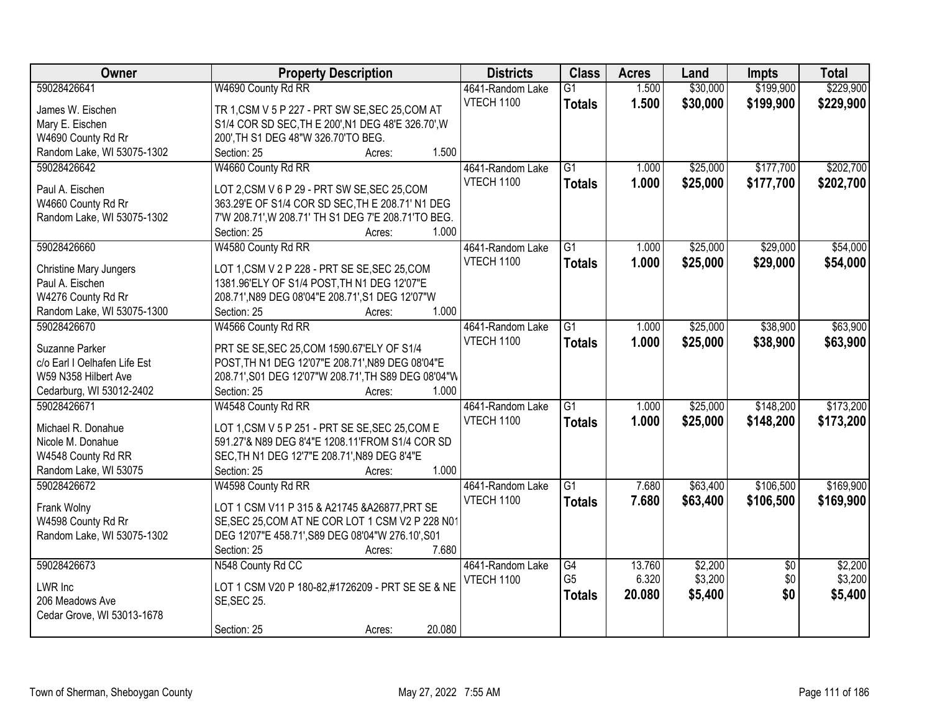| Owner                         | <b>Property Description</b>                          | <b>Districts</b>  | <b>Class</b>    | <b>Acres</b> | Land     | <b>Impts</b>    | <b>Total</b> |
|-------------------------------|------------------------------------------------------|-------------------|-----------------|--------------|----------|-----------------|--------------|
| 59028426641                   | W4690 County Rd RR                                   | 4641-Random Lake  | $\overline{G1}$ | 1.500        | \$30,000 | \$199,900       | \$229,900    |
| James W. Eischen              | TR 1, CSM V 5 P 227 - PRT SW SE, SEC 25, COM AT      | VTECH 1100        | <b>Totals</b>   | 1.500        | \$30,000 | \$199,900       | \$229,900    |
| Mary E. Eischen               | S1/4 COR SD SEC, TH E 200', N1 DEG 48'E 326.70', W   |                   |                 |              |          |                 |              |
| W4690 County Rd Rr            | 200', TH S1 DEG 48"W 326.70'TO BEG.                  |                   |                 |              |          |                 |              |
| Random Lake, WI 53075-1302    | 1.500<br>Section: 25<br>Acres:                       |                   |                 |              |          |                 |              |
| 59028426642                   | W4660 County Rd RR                                   | 4641-Random Lake  | $\overline{G1}$ | 1.000        | \$25,000 | \$177,700       | \$202,700    |
|                               |                                                      | <b>VTECH 1100</b> | <b>Totals</b>   | 1.000        | \$25,000 | \$177,700       | \$202,700    |
| Paul A. Eischen               | LOT 2,CSM V 6 P 29 - PRT SW SE, SEC 25, COM          |                   |                 |              |          |                 |              |
| W4660 County Rd Rr            | 363.29'E OF S1/4 COR SD SEC, TH E 208.71' N1 DEG     |                   |                 |              |          |                 |              |
| Random Lake, WI 53075-1302    | 7'W 208.71', W 208.71' TH S1 DEG 7'E 208.71'TO BEG.  |                   |                 |              |          |                 |              |
|                               | 1.000<br>Section: 25<br>Acres:                       |                   |                 |              |          |                 |              |
| 59028426660                   | W4580 County Rd RR                                   | 4641-Random Lake  | $\overline{G1}$ | 1.000        | \$25,000 | \$29,000        | \$54,000     |
| <b>Christine Mary Jungers</b> | LOT 1, CSM V 2 P 228 - PRT SE SE, SEC 25, COM        | VTECH 1100        | <b>Totals</b>   | 1.000        | \$25,000 | \$29,000        | \$54,000     |
| Paul A. Eischen               | 1381.96'ELY OF S1/4 POST, TH N1 DEG 12'07"E          |                   |                 |              |          |                 |              |
| W4276 County Rd Rr            | 208.71', N89 DEG 08'04"E 208.71', S1 DEG 12'07"W     |                   |                 |              |          |                 |              |
| Random Lake, WI 53075-1300    | 1.000<br>Section: 25<br>Acres:                       |                   |                 |              |          |                 |              |
| 59028426670                   | W4566 County Rd RR                                   | 4641-Random Lake  | $\overline{G1}$ | 1.000        | \$25,000 | \$38,900        | \$63,900     |
|                               |                                                      | VTECH 1100        | <b>Totals</b>   | 1.000        | \$25,000 | \$38,900        | \$63,900     |
| Suzanne Parker                | PRT SE SE, SEC 25, COM 1590.67'ELY OF S1/4           |                   |                 |              |          |                 |              |
| c/o Earl I Oelhafen Life Est  | POST, TH N1 DEG 12'07"E 208.71', N89 DEG 08'04"E     |                   |                 |              |          |                 |              |
| W59 N358 Hilbert Ave          | 208.71', S01 DEG 12'07"W 208.71', TH S89 DEG 08'04"W |                   |                 |              |          |                 |              |
| Cedarburg, WI 53012-2402      | 1.000<br>Section: 25<br>Acres:                       |                   |                 |              |          |                 |              |
| 59028426671                   | W4548 County Rd RR                                   | 4641-Random Lake  | $\overline{G1}$ | 1.000        | \$25,000 | \$148,200       | \$173,200    |
| Michael R. Donahue            | LOT 1,CSM V 5 P 251 - PRT SE SE, SEC 25, COM E       | <b>VTECH 1100</b> | <b>Totals</b>   | 1.000        | \$25,000 | \$148,200       | \$173,200    |
| Nicole M. Donahue             | 591.27'& N89 DEG 8'4"E 1208.11'FROM S1/4 COR SD      |                   |                 |              |          |                 |              |
| W4548 County Rd RR            | SEC, TH N1 DEG 12'7"E 208.71', N89 DEG 8'4"E         |                   |                 |              |          |                 |              |
| Random Lake, WI 53075         | Section: 25<br>1.000<br>Acres:                       |                   |                 |              |          |                 |              |
| 59028426672                   | W4598 County Rd RR                                   | 4641-Random Lake  | $\overline{G1}$ | 7.680        | \$63,400 | \$106,500       | \$169,900    |
| Frank Wolny                   | LOT 1 CSM V11 P 315 & A21745 & A26877, PRT SE        | <b>VTECH 1100</b> | <b>Totals</b>   | 7.680        | \$63,400 | \$106,500       | \$169,900    |
| W4598 County Rd Rr            | SE, SEC 25, COM AT NE COR LOT 1 CSM V2 P 228 N01     |                   |                 |              |          |                 |              |
| Random Lake, WI 53075-1302    | DEG 12'07"E 458.71', S89 DEG 08'04"W 276.10', S01    |                   |                 |              |          |                 |              |
|                               | Section: 25<br>7.680<br>Acres:                       |                   |                 |              |          |                 |              |
| 59028426673                   | N548 County Rd CC                                    | 4641-Random Lake  | $\overline{G4}$ | 13.760       | \$2,200  | $\overline{50}$ | \$2,200      |
|                               |                                                      | VTECH 1100        | G <sub>5</sub>  | 6.320        | \$3,200  | \$0             | \$3,200      |
| LWR Inc                       | LOT 1 CSM V20 P 180-82,#1726209 - PRT SE SE & NE     |                   | <b>Totals</b>   | 20.080       | \$5,400  | \$0             | \$5,400      |
| 206 Meadows Ave               | <b>SE, SEC 25.</b>                                   |                   |                 |              |          |                 |              |
| Cedar Grove, WI 53013-1678    |                                                      |                   |                 |              |          |                 |              |
|                               | 20.080<br>Section: 25<br>Acres:                      |                   |                 |              |          |                 |              |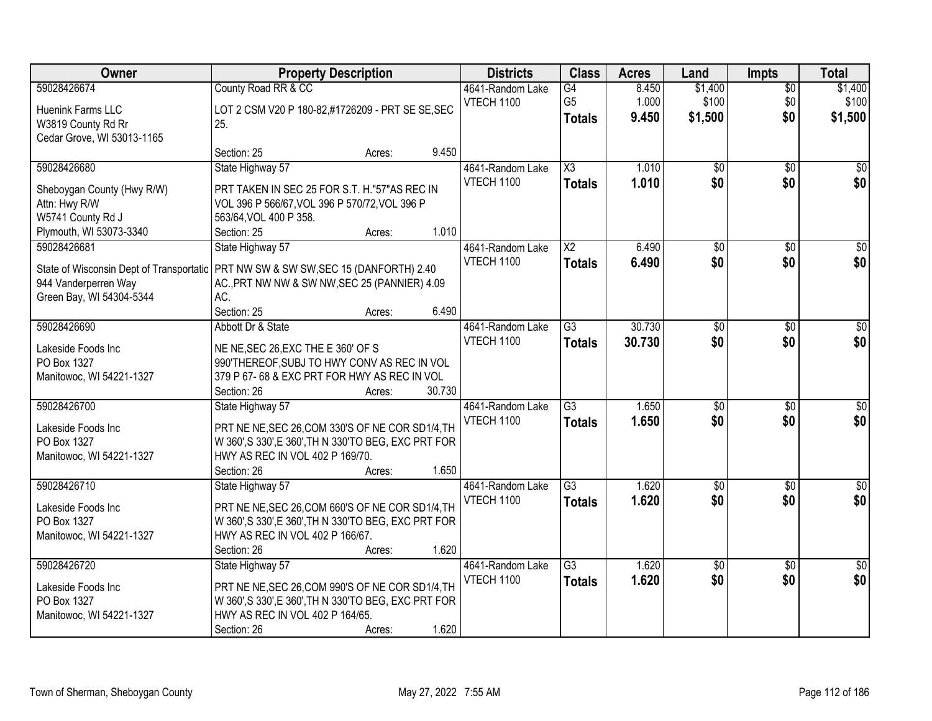| Owner                                                                              | <b>Property Description</b>                                                       |        |        | <b>Districts</b>  | <b>Class</b>    | <b>Acres</b> | Land            | <b>Impts</b>    | <b>Total</b>     |
|------------------------------------------------------------------------------------|-----------------------------------------------------------------------------------|--------|--------|-------------------|-----------------|--------------|-----------------|-----------------|------------------|
| 59028426674                                                                        | County Road RR & CC                                                               |        |        | 4641-Random Lake  | $\overline{G4}$ | 8.450        | \$1,400         | $\overline{50}$ | \$1,400          |
| Huenink Farms LLC                                                                  | LOT 2 CSM V20 P 180-82,#1726209 - PRT SE SE, SEC                                  |        |        | VTECH 1100        | G <sub>5</sub>  | 1.000        | \$100           | \$0             | \$100            |
| W3819 County Rd Rr                                                                 | 25.                                                                               |        |        |                   | <b>Totals</b>   | 9.450        | \$1,500         | \$0             | \$1,500          |
| Cedar Grove, WI 53013-1165                                                         |                                                                                   |        |        |                   |                 |              |                 |                 |                  |
|                                                                                    | Section: 25                                                                       | Acres: | 9.450  |                   |                 |              |                 |                 |                  |
| 59028426680                                                                        | State Highway 57                                                                  |        |        | 4641-Random Lake  | X3              | 1.010        | $\overline{50}$ | $\overline{30}$ | $\overline{30}$  |
| Sheboygan County (Hwy R/W)                                                         | PRT TAKEN IN SEC 25 FOR S.T. H."57"AS REC IN                                      |        |        | <b>VTECH 1100</b> | <b>Totals</b>   | 1.010        | \$0             | \$0             | \$0              |
| Attn: Hwy R/W                                                                      | VOL 396 P 566/67, VOL 396 P 570/72, VOL 396 P                                     |        |        |                   |                 |              |                 |                 |                  |
| W5741 County Rd J                                                                  | 563/64, VOL 400 P 358.                                                            |        |        |                   |                 |              |                 |                 |                  |
| Plymouth, WI 53073-3340                                                            | Section: 25                                                                       | Acres: | 1.010  |                   |                 |              |                 |                 |                  |
| 59028426681                                                                        | State Highway 57                                                                  |        |        | 4641-Random Lake  | X2              | 6.490        | \$0             | \$0             | \$0              |
| State of Wisconsin Dept of Transportatic PRT NW SW & SW SW, SEC 15 (DANFORTH) 2.40 |                                                                                   |        |        | <b>VTECH 1100</b> | <b>Totals</b>   | 6.490        | \$0             | \$0             | \$0              |
| 944 Vanderperren Way                                                               | AC., PRT NW NW & SW NW, SEC 25 (PANNIER) 4.09                                     |        |        |                   |                 |              |                 |                 |                  |
| Green Bay, WI 54304-5344                                                           | AC.                                                                               |        |        |                   |                 |              |                 |                 |                  |
|                                                                                    | Section: 25                                                                       | Acres: | 6.490  |                   |                 |              |                 |                 |                  |
| 59028426690                                                                        | Abbott Dr & State                                                                 |        |        | 4641-Random Lake  | G3              | 30.730       | \$0             | $\sqrt{6}$      | \$0              |
|                                                                                    |                                                                                   |        |        | <b>VTECH 1100</b> | <b>Totals</b>   | 30.730       | \$0             | \$0             | \$0              |
| Lakeside Foods Inc<br>PO Box 1327                                                  | NE NE, SEC 26, EXC THE E 360' OF S<br>990'THEREOF, SUBJ TO HWY CONV AS REC IN VOL |        |        |                   |                 |              |                 |                 |                  |
| Manitowoc, WI 54221-1327                                                           | 379 P 67- 68 & EXC PRT FOR HWY AS REC IN VOL                                      |        |        |                   |                 |              |                 |                 |                  |
|                                                                                    | Section: 26                                                                       | Acres: | 30.730 |                   |                 |              |                 |                 |                  |
| 59028426700                                                                        | State Highway 57                                                                  |        |        | 4641-Random Lake  | $\overline{G3}$ | 1.650        | $\overline{50}$ | $\overline{30}$ | $\overline{30}$  |
|                                                                                    |                                                                                   |        |        | <b>VTECH 1100</b> | Totals          | 1.650        | \$0             | \$0             | \$0              |
| Lakeside Foods Inc                                                                 | PRT NE NE, SEC 26, COM 330'S OF NE COR SD1/4, TH                                  |        |        |                   |                 |              |                 |                 |                  |
| PO Box 1327                                                                        | W 360', S 330', E 360', TH N 330'TO BEG, EXC PRT FOR                              |        |        |                   |                 |              |                 |                 |                  |
| Manitowoc, WI 54221-1327                                                           | HWY AS REC IN VOL 402 P 169/70.<br>Section: 26                                    |        | 1.650  |                   |                 |              |                 |                 |                  |
| 59028426710                                                                        | State Highway 57                                                                  | Acres: |        | 4641-Random Lake  | $\overline{G3}$ | 1.620        | $\overline{50}$ | $\overline{50}$ | $\overline{\$0}$ |
|                                                                                    |                                                                                   |        |        | <b>VTECH 1100</b> | <b>Totals</b>   | 1.620        | \$0             | \$0             | \$0              |
| Lakeside Foods Inc                                                                 | PRT NE NE, SEC 26, COM 660'S OF NE COR SD1/4, TH                                  |        |        |                   |                 |              |                 |                 |                  |
| PO Box 1327                                                                        | W 360', S 330', E 360', TH N 330'TO BEG, EXC PRT FOR                              |        |        |                   |                 |              |                 |                 |                  |
| Manitowoc, WI 54221-1327                                                           | HWY AS REC IN VOL 402 P 166/67.                                                   |        |        |                   |                 |              |                 |                 |                  |
|                                                                                    | Section: 26                                                                       | Acres: | 1.620  |                   |                 |              |                 |                 |                  |
| 59028426720                                                                        | State Highway 57                                                                  |        |        | 4641-Random Lake  | $\overline{G3}$ | 1.620        | $\overline{50}$ | $\overline{50}$ | $\frac{1}{30}$   |
| Lakeside Foods Inc                                                                 | PRT NE NE, SEC 26, COM 990'S OF NE COR SD1/4, TH                                  |        |        | VTECH 1100        | <b>Totals</b>   | 1.620        | \$0             | \$0             | \$0              |
| PO Box 1327                                                                        | W 360', S 330', E 360', TH N 330'TO BEG, EXC PRT FOR                              |        |        |                   |                 |              |                 |                 |                  |
| Manitowoc, WI 54221-1327                                                           | HWY AS REC IN VOL 402 P 164/65.                                                   |        |        |                   |                 |              |                 |                 |                  |
|                                                                                    | Section: 26                                                                       | Acres: | 1.620  |                   |                 |              |                 |                 |                  |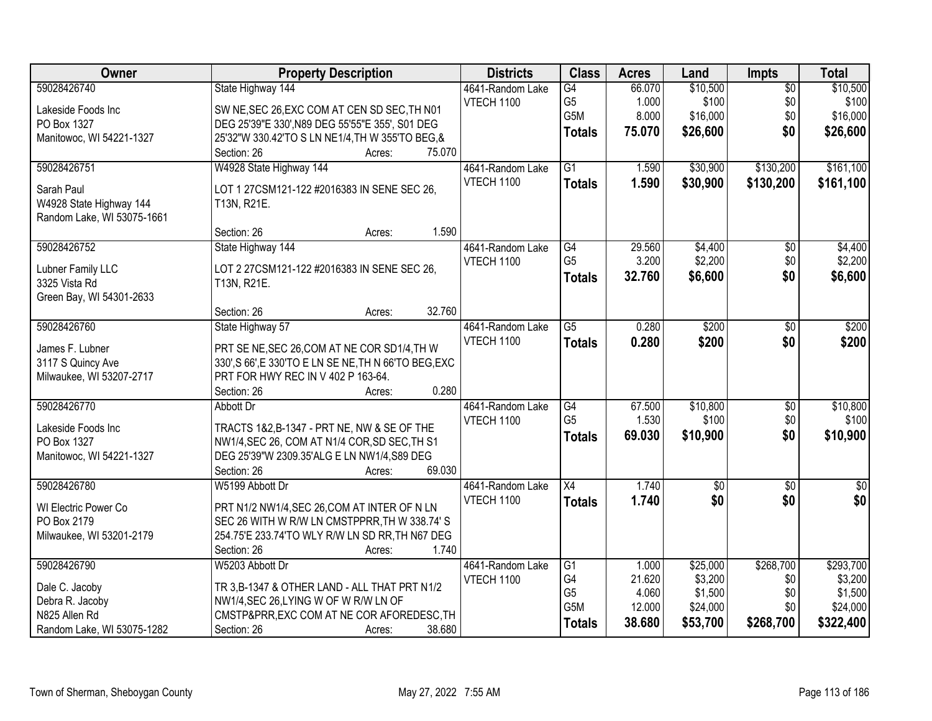| Owner                      | <b>Property Description</b>                                                                           | <b>Districts</b>  | <b>Class</b>                      | <b>Acres</b>    | Land               | <b>Impts</b>    | <b>Total</b>    |
|----------------------------|-------------------------------------------------------------------------------------------------------|-------------------|-----------------------------------|-----------------|--------------------|-----------------|-----------------|
| 59028426740                | State Highway 144                                                                                     | 4641-Random Lake  | G4                                | 66.070          | \$10,500           | $\overline{50}$ | \$10,500        |
| Lakeside Foods Inc         | SW NE, SEC 26, EXC COM AT CEN SD SEC, TH N01                                                          | <b>VTECH 1100</b> | G <sub>5</sub>                    | 1.000           | \$100              | \$0             | \$100           |
| PO Box 1327                | DEG 25'39"E 330', N89 DEG 55'55"E 355', S01 DEG                                                       |                   | G5M                               | 8.000           | \$16,000           | \$0             | \$16,000        |
| Manitowoc, WI 54221-1327   | 25'32"W 330.42'TO S LN NE1/4, TH W 355'TO BEG, &                                                      |                   | <b>Totals</b>                     | 75.070          | \$26,600           | \$0             | \$26,600        |
|                            | 75.070<br>Section: 26<br>Acres:                                                                       |                   |                                   |                 |                    |                 |                 |
| 59028426751                | W4928 State Highway 144                                                                               | 4641-Random Lake  | $\overline{G1}$                   | 1.590           | \$30,900           | \$130,200       | \$161,100       |
|                            |                                                                                                       | <b>VTECH 1100</b> | <b>Totals</b>                     | 1.590           | \$30,900           | \$130,200       | \$161,100       |
| Sarah Paul                 | LOT 1 27CSM121-122 #2016383 IN SENE SEC 26,                                                           |                   |                                   |                 |                    |                 |                 |
| W4928 State Highway 144    | T13N, R21E.                                                                                           |                   |                                   |                 |                    |                 |                 |
| Random Lake, WI 53075-1661 | 1.590<br>Section: 26                                                                                  |                   |                                   |                 |                    |                 |                 |
|                            | Acres:                                                                                                |                   |                                   |                 |                    |                 |                 |
| 59028426752                | State Highway 144                                                                                     | 4641-Random Lake  | $\overline{G4}$<br>G <sub>5</sub> | 29.560<br>3.200 | \$4,400<br>\$2,200 | \$0<br>\$0      | \$4,400         |
| Lubner Family LLC          | LOT 2 27CSM121-122 #2016383 IN SENE SEC 26,                                                           | VTECH 1100        |                                   |                 |                    |                 | \$2,200         |
| 3325 Vista Rd              | T13N, R21E.                                                                                           |                   | <b>Totals</b>                     | 32.760          | \$6,600            | \$0             | \$6,600         |
| Green Bay, WI 54301-2633   |                                                                                                       |                   |                                   |                 |                    |                 |                 |
|                            | 32.760<br>Section: 26<br>Acres:                                                                       |                   |                                   |                 |                    |                 |                 |
| 59028426760                | State Highway 57                                                                                      | 4641-Random Lake  | G5                                | 0.280           | \$200              | \$0             | \$200           |
| James F. Lubner            |                                                                                                       | <b>VTECH 1100</b> | <b>Totals</b>                     | 0.280           | \$200              | \$0             | \$200           |
| 3117 S Quincy Ave          | PRT SE NE, SEC 26, COM AT NE COR SD1/4, TH W<br>330', S 66', E 330'TO E LN SE NE, TH N 66'TO BEG, EXC |                   |                                   |                 |                    |                 |                 |
| Milwaukee, WI 53207-2717   | PRT FOR HWY REC IN V 402 P 163-64.                                                                    |                   |                                   |                 |                    |                 |                 |
|                            | 0.280<br>Section: 26<br>Acres:                                                                        |                   |                                   |                 |                    |                 |                 |
| 59028426770                | Abbott Dr                                                                                             | 4641-Random Lake  | $\overline{G4}$                   | 67.500          | \$10,800           | $\overline{30}$ | \$10,800        |
|                            |                                                                                                       | <b>VTECH 1100</b> | G <sub>5</sub>                    | 1.530           | \$100              | \$0             | \$100           |
| Lakeside Foods Inc         | TRACTS 1&2,B-1347 - PRT NE, NW & SE OF THE                                                            |                   |                                   | 69.030          | \$10,900           | \$0             | \$10,900        |
| PO Box 1327                | NW1/4, SEC 26, COM AT N1/4 COR, SD SEC, TH S1                                                         |                   | <b>Totals</b>                     |                 |                    |                 |                 |
| Manitowoc, WI 54221-1327   | DEG 25'39"W 2309.35'ALG E LN NW1/4,S89 DEG                                                            |                   |                                   |                 |                    |                 |                 |
|                            | 69.030<br>Section: 26<br>Acres:                                                                       |                   |                                   |                 |                    |                 |                 |
| 59028426780                | W5199 Abbott Dr                                                                                       | 4641-Random Lake  | $\overline{X4}$                   | 1.740           | $\overline{50}$    | $\sqrt{6}$      | $\overline{30}$ |
| WI Electric Power Co       | PRT N1/2 NW1/4, SEC 26, COM AT INTER OF N LN                                                          | <b>VTECH 1100</b> | <b>Totals</b>                     | 1.740           | \$0                | \$0             | \$0             |
| PO Box 2179                | SEC 26 WITH W R/W LN CMSTPPRR, TH W 338.74' S                                                         |                   |                                   |                 |                    |                 |                 |
| Milwaukee, WI 53201-2179   | 254.75'E 233.74'TO WLY R/W LN SD RR, TH N67 DEG                                                       |                   |                                   |                 |                    |                 |                 |
|                            | Section: 26<br>1.740<br>Acres:                                                                        |                   |                                   |                 |                    |                 |                 |
| 59028426790                | W5203 Abbott Dr                                                                                       | 4641-Random Lake  | $\overline{G1}$                   | 1.000           | \$25,000           | \$268,700       | \$293,700       |
|                            |                                                                                                       | VTECH 1100        | G4                                | 21.620          | \$3,200            | \$0             | \$3,200         |
| Dale C. Jacoby             | TR 3, B-1347 & OTHER LAND - ALL THAT PRT N1/2                                                         |                   | G <sub>5</sub>                    | 4.060           | \$1,500            | \$0             | \$1,500         |
| Debra R. Jacoby            | NW1/4, SEC 26, LYING W OF W R/W LN OF                                                                 |                   | G5M                               | 12.000          | \$24,000           | \$0             | \$24,000        |
| N825 Allen Rd              | CMSTP&PRR, EXC COM AT NE COR AFOREDESC, TH                                                            |                   | <b>Totals</b>                     | 38.680          | \$53,700           | \$268,700       | \$322,400       |
| Random Lake, WI 53075-1282 | 38.680<br>Section: 26<br>Acres:                                                                       |                   |                                   |                 |                    |                 |                 |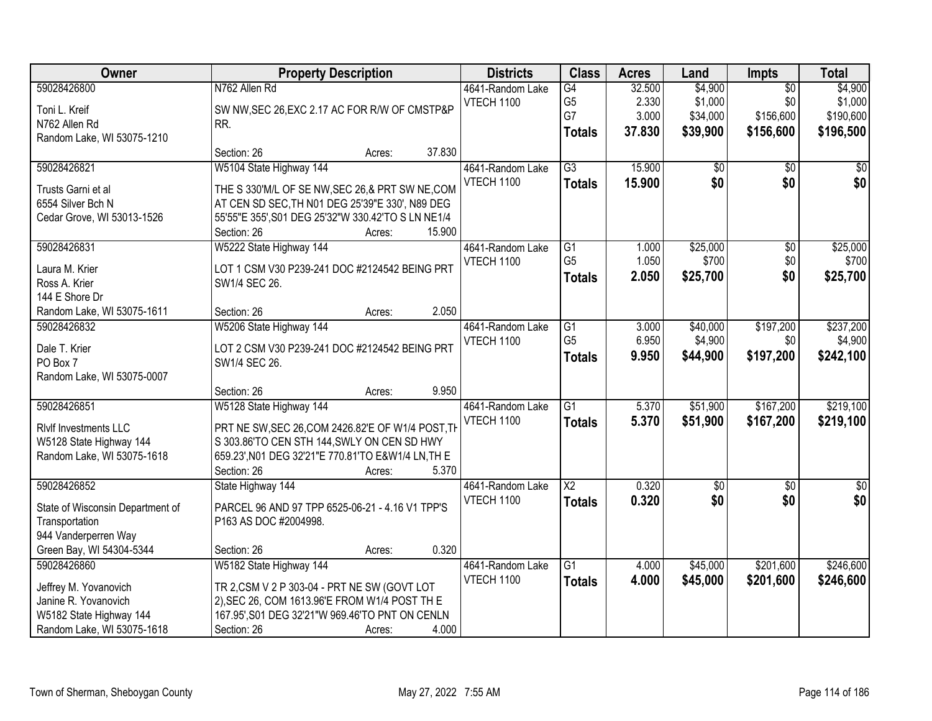| 59028426800<br>N762 Allen Rd<br>\$4,900<br>\$4,900<br>4641-Random Lake<br>$\overline{G4}$<br>32.500<br>$\overline{30}$<br>G <sub>5</sub><br>\$1,000<br>\$1,000<br>2.330<br>\$0<br><b>VTECH 1100</b><br>Toni L. Kreif<br>SW NW, SEC 26, EXC 2.17 AC FOR R/W OF CMSTP&P<br>G7<br>\$156,600<br>3.000<br>\$190,600<br>\$34,000<br>N762 Allen Rd<br>RR.<br>37.830<br>\$39,900<br>\$156,600<br>\$196,500<br><b>Totals</b><br>Random Lake, WI 53075-1210<br>37.830<br>Section: 26<br>Acres:<br>$\overline{G3}$<br>15.900<br>59028426821<br>W5104 State Highway 144<br>$\overline{50}$<br>$\overline{50}$<br>$\overline{50}$<br>4641-Random Lake<br>\$0<br>\$0<br><b>VTECH 1100</b><br>15.900<br>\$0<br><b>Totals</b><br>Trusts Garni et al<br>THE S 330'M/L OF SE NW, SEC 26, & PRT SW NE, COM<br>AT CEN SD SEC, TH N01 DEG 25'39"E 330', N89 DEG<br>6554 Silver Bch N<br>55'55"E 355', S01 DEG 25'32"W 330.42'TO S LN NE1/4<br>Cedar Grove, WI 53013-1526<br>15.900<br>Section: 26<br>Acres:<br>\$25,000<br>\$25,000<br>59028426831<br>W5222 State Highway 144<br>$\overline{G1}$<br>$\overline{50}$<br>4641-Random Lake<br>1.000<br>G <sub>5</sub><br>\$700<br>\$0<br>1.050<br>\$700<br><b>VTECH 1100</b><br>LOT 1 CSM V30 P239-241 DOC #2124542 BEING PRT<br>Laura M. Krier<br>\$25,700<br>2.050<br>\$0<br>\$25,700<br>Totals<br>Ross A. Krier<br>SW1/4 SEC 26.<br>144 E Shore Dr<br>2.050<br>Section: 26<br>Random Lake, WI 53075-1611<br>Acres: |
|-----------------------------------------------------------------------------------------------------------------------------------------------------------------------------------------------------------------------------------------------------------------------------------------------------------------------------------------------------------------------------------------------------------------------------------------------------------------------------------------------------------------------------------------------------------------------------------------------------------------------------------------------------------------------------------------------------------------------------------------------------------------------------------------------------------------------------------------------------------------------------------------------------------------------------------------------------------------------------------------------------------------------------------------------------------------------------------------------------------------------------------------------------------------------------------------------------------------------------------------------------------------------------------------------------------------------------------------------------------------------------------------------------------------------------------------------|
|                                                                                                                                                                                                                                                                                                                                                                                                                                                                                                                                                                                                                                                                                                                                                                                                                                                                                                                                                                                                                                                                                                                                                                                                                                                                                                                                                                                                                                               |
|                                                                                                                                                                                                                                                                                                                                                                                                                                                                                                                                                                                                                                                                                                                                                                                                                                                                                                                                                                                                                                                                                                                                                                                                                                                                                                                                                                                                                                               |
|                                                                                                                                                                                                                                                                                                                                                                                                                                                                                                                                                                                                                                                                                                                                                                                                                                                                                                                                                                                                                                                                                                                                                                                                                                                                                                                                                                                                                                               |
|                                                                                                                                                                                                                                                                                                                                                                                                                                                                                                                                                                                                                                                                                                                                                                                                                                                                                                                                                                                                                                                                                                                                                                                                                                                                                                                                                                                                                                               |
|                                                                                                                                                                                                                                                                                                                                                                                                                                                                                                                                                                                                                                                                                                                                                                                                                                                                                                                                                                                                                                                                                                                                                                                                                                                                                                                                                                                                                                               |
|                                                                                                                                                                                                                                                                                                                                                                                                                                                                                                                                                                                                                                                                                                                                                                                                                                                                                                                                                                                                                                                                                                                                                                                                                                                                                                                                                                                                                                               |
|                                                                                                                                                                                                                                                                                                                                                                                                                                                                                                                                                                                                                                                                                                                                                                                                                                                                                                                                                                                                                                                                                                                                                                                                                                                                                                                                                                                                                                               |
|                                                                                                                                                                                                                                                                                                                                                                                                                                                                                                                                                                                                                                                                                                                                                                                                                                                                                                                                                                                                                                                                                                                                                                                                                                                                                                                                                                                                                                               |
|                                                                                                                                                                                                                                                                                                                                                                                                                                                                                                                                                                                                                                                                                                                                                                                                                                                                                                                                                                                                                                                                                                                                                                                                                                                                                                                                                                                                                                               |
|                                                                                                                                                                                                                                                                                                                                                                                                                                                                                                                                                                                                                                                                                                                                                                                                                                                                                                                                                                                                                                                                                                                                                                                                                                                                                                                                                                                                                                               |
|                                                                                                                                                                                                                                                                                                                                                                                                                                                                                                                                                                                                                                                                                                                                                                                                                                                                                                                                                                                                                                                                                                                                                                                                                                                                                                                                                                                                                                               |
|                                                                                                                                                                                                                                                                                                                                                                                                                                                                                                                                                                                                                                                                                                                                                                                                                                                                                                                                                                                                                                                                                                                                                                                                                                                                                                                                                                                                                                               |
|                                                                                                                                                                                                                                                                                                                                                                                                                                                                                                                                                                                                                                                                                                                                                                                                                                                                                                                                                                                                                                                                                                                                                                                                                                                                                                                                                                                                                                               |
|                                                                                                                                                                                                                                                                                                                                                                                                                                                                                                                                                                                                                                                                                                                                                                                                                                                                                                                                                                                                                                                                                                                                                                                                                                                                                                                                                                                                                                               |
|                                                                                                                                                                                                                                                                                                                                                                                                                                                                                                                                                                                                                                                                                                                                                                                                                                                                                                                                                                                                                                                                                                                                                                                                                                                                                                                                                                                                                                               |
| \$237,200<br>59028426832<br>$\overline{G1}$<br>\$40,000<br>\$197,200<br>W5206 State Highway 144<br>4641-Random Lake<br>3.000                                                                                                                                                                                                                                                                                                                                                                                                                                                                                                                                                                                                                                                                                                                                                                                                                                                                                                                                                                                                                                                                                                                                                                                                                                                                                                                  |
| G <sub>5</sub><br>6.950<br>\$4,900<br>\$4,900<br><b>VTECH 1100</b><br>\$0                                                                                                                                                                                                                                                                                                                                                                                                                                                                                                                                                                                                                                                                                                                                                                                                                                                                                                                                                                                                                                                                                                                                                                                                                                                                                                                                                                     |
| Dale T. Krier<br>LOT 2 CSM V30 P239-241 DOC #2124542 BEING PRT<br>\$197,200<br>9.950<br>\$44,900<br>\$242,100<br><b>Totals</b>                                                                                                                                                                                                                                                                                                                                                                                                                                                                                                                                                                                                                                                                                                                                                                                                                                                                                                                                                                                                                                                                                                                                                                                                                                                                                                                |
| PO Box 7<br>SW1/4 SEC 26.                                                                                                                                                                                                                                                                                                                                                                                                                                                                                                                                                                                                                                                                                                                                                                                                                                                                                                                                                                                                                                                                                                                                                                                                                                                                                                                                                                                                                     |
| Random Lake, WI 53075-0007                                                                                                                                                                                                                                                                                                                                                                                                                                                                                                                                                                                                                                                                                                                                                                                                                                                                                                                                                                                                                                                                                                                                                                                                                                                                                                                                                                                                                    |
| 9.950<br>Section: 26<br>Acres:<br>$\overline{G1}$                                                                                                                                                                                                                                                                                                                                                                                                                                                                                                                                                                                                                                                                                                                                                                                                                                                                                                                                                                                                                                                                                                                                                                                                                                                                                                                                                                                             |
| \$219,100<br>59028426851<br>W5128 State Highway 144<br>5.370<br>\$51,900<br>\$167,200<br>4641-Random Lake                                                                                                                                                                                                                                                                                                                                                                                                                                                                                                                                                                                                                                                                                                                                                                                                                                                                                                                                                                                                                                                                                                                                                                                                                                                                                                                                     |
| 5.370<br>\$167,200<br>\$219,100<br><b>VTECH 1100</b><br>\$51,900<br><b>Totals</b><br>PRT NE SW, SEC 26, COM 2426.82'E OF W1/4 POST, TH<br><b>Rivif Investments LLC</b>                                                                                                                                                                                                                                                                                                                                                                                                                                                                                                                                                                                                                                                                                                                                                                                                                                                                                                                                                                                                                                                                                                                                                                                                                                                                        |
| W5128 State Highway 144<br>S 303.86'TO CEN STH 144, SWLY ON CEN SD HWY                                                                                                                                                                                                                                                                                                                                                                                                                                                                                                                                                                                                                                                                                                                                                                                                                                                                                                                                                                                                                                                                                                                                                                                                                                                                                                                                                                        |
| Random Lake, WI 53075-1618<br>659.23', N01 DEG 32'21"E 770.81'TO E&W1/4 LN, TH E                                                                                                                                                                                                                                                                                                                                                                                                                                                                                                                                                                                                                                                                                                                                                                                                                                                                                                                                                                                                                                                                                                                                                                                                                                                                                                                                                              |
| Section: 26<br>5.370<br>Acres:                                                                                                                                                                                                                                                                                                                                                                                                                                                                                                                                                                                                                                                                                                                                                                                                                                                                                                                                                                                                                                                                                                                                                                                                                                                                                                                                                                                                                |
| $\overline{\text{X2}}$<br>0.320<br>$\overline{\$0}$<br>59028426852<br>$\overline{50}$<br>$\overline{50}$<br>State Highway 144<br>4641-Random Lake                                                                                                                                                                                                                                                                                                                                                                                                                                                                                                                                                                                                                                                                                                                                                                                                                                                                                                                                                                                                                                                                                                                                                                                                                                                                                             |
| \$0<br>\$0<br>\$0<br>VTECH 1100<br>0.320<br><b>Totals</b><br>PARCEL 96 AND 97 TPP 6525-06-21 - 4.16 V1 TPP'S<br>State of Wisconsin Department of                                                                                                                                                                                                                                                                                                                                                                                                                                                                                                                                                                                                                                                                                                                                                                                                                                                                                                                                                                                                                                                                                                                                                                                                                                                                                              |
| P163 AS DOC #2004998.<br>Transportation                                                                                                                                                                                                                                                                                                                                                                                                                                                                                                                                                                                                                                                                                                                                                                                                                                                                                                                                                                                                                                                                                                                                                                                                                                                                                                                                                                                                       |
| 944 Vanderperren Way                                                                                                                                                                                                                                                                                                                                                                                                                                                                                                                                                                                                                                                                                                                                                                                                                                                                                                                                                                                                                                                                                                                                                                                                                                                                                                                                                                                                                          |
| Green Bay, WI 54304-5344<br>0.320<br>Section: 26<br>Acres:                                                                                                                                                                                                                                                                                                                                                                                                                                                                                                                                                                                                                                                                                                                                                                                                                                                                                                                                                                                                                                                                                                                                                                                                                                                                                                                                                                                    |
| 59028426860<br>W5182 State Highway 144<br>$\overline{G1}$<br>\$45,000<br>\$201,600<br>\$246,600<br>4641-Random Lake<br>4.000                                                                                                                                                                                                                                                                                                                                                                                                                                                                                                                                                                                                                                                                                                                                                                                                                                                                                                                                                                                                                                                                                                                                                                                                                                                                                                                  |
| <b>VTECH 1100</b><br>4.000<br>\$45,000<br>\$201,600<br>\$246,600<br><b>Totals</b>                                                                                                                                                                                                                                                                                                                                                                                                                                                                                                                                                                                                                                                                                                                                                                                                                                                                                                                                                                                                                                                                                                                                                                                                                                                                                                                                                             |
| Jeffrey M. Yovanovich<br>TR 2, CSM V 2 P 303-04 - PRT NE SW (GOVT LOT<br>Janine R. Yovanovich<br>2), SEC 26, COM 1613.96'E FROM W1/4 POST TH E                                                                                                                                                                                                                                                                                                                                                                                                                                                                                                                                                                                                                                                                                                                                                                                                                                                                                                                                                                                                                                                                                                                                                                                                                                                                                                |
| W5182 State Highway 144<br>167.95', S01 DEG 32'21"W 969.46'TO PNT ON CENLN                                                                                                                                                                                                                                                                                                                                                                                                                                                                                                                                                                                                                                                                                                                                                                                                                                                                                                                                                                                                                                                                                                                                                                                                                                                                                                                                                                    |
| Random Lake, WI 53075-1618<br>4.000<br>Section: 26<br>Acres:                                                                                                                                                                                                                                                                                                                                                                                                                                                                                                                                                                                                                                                                                                                                                                                                                                                                                                                                                                                                                                                                                                                                                                                                                                                                                                                                                                                  |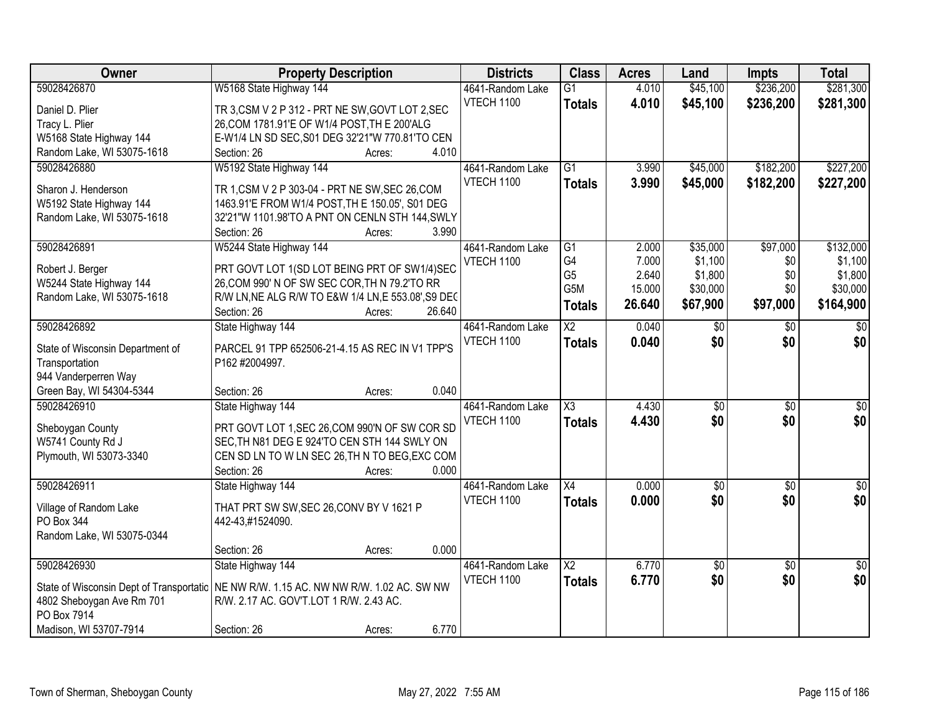| <b>Owner</b>                                       | <b>Property Description</b>                                       | <b>Districts</b>               | <b>Class</b>           | <b>Acres</b>   | Land                | <b>Impts</b>    | <b>Total</b>     |
|----------------------------------------------------|-------------------------------------------------------------------|--------------------------------|------------------------|----------------|---------------------|-----------------|------------------|
| 59028426870                                        | W5168 State Highway 144                                           | 4641-Random Lake               | $\overline{G1}$        | 4.010          | \$45,100            | \$236,200       | \$281,300        |
| Daniel D. Plier                                    | TR 3, CSM V 2 P 312 - PRT NE SW, GOVT LOT 2, SEC                  | VTECH 1100                     | <b>Totals</b>          | 4.010          | \$45,100            | \$236,200       | \$281,300        |
| Tracy L. Plier                                     | 26, COM 1781.91'E OF W1/4 POST, TH E 200'ALG                      |                                |                        |                |                     |                 |                  |
| W5168 State Highway 144                            | E-W1/4 LN SD SEC, S01 DEG 32'21"W 770.81'TO CEN                   |                                |                        |                |                     |                 |                  |
| Random Lake, WI 53075-1618                         | 4.010<br>Section: 26<br>Acres:                                    |                                |                        |                |                     |                 |                  |
| 59028426880                                        | W5192 State Highway 144                                           | 4641-Random Lake               | $\overline{G1}$        | 3.990          | \$45,000            | \$182,200       | \$227,200        |
|                                                    |                                                                   | <b>VTECH 1100</b>              | <b>Totals</b>          | 3.990          | \$45,000            | \$182,200       | \$227,200        |
| Sharon J. Henderson                                | TR 1, CSM V 2 P 303-04 - PRT NE SW, SEC 26, COM                   |                                |                        |                |                     |                 |                  |
| W5192 State Highway 144                            | 1463.91'E FROM W1/4 POST, TH E 150.05', S01 DEG                   |                                |                        |                |                     |                 |                  |
| Random Lake, WI 53075-1618                         | 32'21"W 1101.98'TO A PNT ON CENLN STH 144, SWLY<br>3.990          |                                |                        |                |                     |                 |                  |
| 59028426891                                        | Section: 26<br>Acres:                                             |                                | $\overline{G1}$        |                |                     | \$97,000        | \$132,000        |
|                                                    | W5244 State Highway 144                                           | 4641-Random Lake<br>VTECH 1100 | G4                     | 2.000<br>7.000 | \$35,000<br>\$1,100 |                 | \$1,100          |
| Robert J. Berger                                   | PRT GOVT LOT 1(SD LOT BEING PRT OF SW1/4)SEC                      |                                | G <sub>5</sub>         | 2.640          | \$1,800             | \$0<br>\$0      | \$1,800          |
| W5244 State Highway 144                            | 26, COM 990' N OF SW SEC COR, TH N 79.2'TO RR                     |                                | G5M                    | 15.000         | \$30,000            | \$0             | \$30,000         |
| Random Lake, WI 53075-1618                         | R/W LN, NE ALG R/W TO E&W 1/4 LN, E 553.08', S9 DEC               |                                |                        |                |                     |                 |                  |
|                                                    | 26.640<br>Section: 26<br>Acres:                                   |                                | <b>Totals</b>          | 26.640         | \$67,900            | \$97,000        | \$164,900        |
| 59028426892                                        | State Highway 144                                                 | 4641-Random Lake               | X2                     | 0.040          | $\sqrt[6]{3}$       | $\sqrt[6]{}$    | \$0              |
|                                                    |                                                                   | VTECH 1100                     | <b>Totals</b>          | 0.040          | \$0                 | \$0             | \$0              |
| State of Wisconsin Department of<br>Transportation | PARCEL 91 TPP 652506-21-4.15 AS REC IN V1 TPP'S<br>P162 #2004997. |                                |                        |                |                     |                 |                  |
| 944 Vanderperren Way                               |                                                                   |                                |                        |                |                     |                 |                  |
| Green Bay, WI 54304-5344                           | 0.040<br>Section: 26<br>Acres:                                    |                                |                        |                |                     |                 |                  |
| 59028426910                                        | State Highway 144                                                 | 4641-Random Lake               | $\overline{\text{X3}}$ | 4.430          | $\overline{30}$     | $\overline{50}$ | $\overline{\$0}$ |
|                                                    |                                                                   | VTECH 1100                     |                        | 4.430          | \$0                 | \$0             | \$0              |
| Sheboygan County                                   | PRT GOVT LOT 1, SEC 26, COM 990'N OF SW COR SD                    |                                | <b>Totals</b>          |                |                     |                 |                  |
| W5741 County Rd J                                  | SEC, TH N81 DEG E 924'TO CEN STH 144 SWLY ON                      |                                |                        |                |                     |                 |                  |
| Plymouth, WI 53073-3340                            | CEN SD LN TO W LN SEC 26, TH N TO BEG, EXC COM                    |                                |                        |                |                     |                 |                  |
|                                                    | Section: 26<br>0.000<br>Acres:                                    |                                |                        |                |                     |                 |                  |
| 59028426911                                        | State Highway 144                                                 | 4641-Random Lake               | $\overline{X4}$        | 0.000          | $\sqrt{$0}$         | $\sqrt{6}$      | $\sqrt{50}$      |
| Village of Random Lake                             | THAT PRT SW SW, SEC 26, CONV BY V 1621 P                          | VTECH 1100                     | <b>Totals</b>          | 0.000          | \$0                 | \$0             | \$0              |
| PO Box 344                                         | 442-43,#1524090.                                                  |                                |                        |                |                     |                 |                  |
| Random Lake, WI 53075-0344                         |                                                                   |                                |                        |                |                     |                 |                  |
|                                                    | 0.000<br>Section: 26<br>Acres:                                    |                                |                        |                |                     |                 |                  |
| 59028426930                                        | State Highway 144                                                 | 4641-Random Lake               | $\overline{\text{X2}}$ | 6.770          | $\overline{50}$     | $\overline{50}$ | $\frac{1}{2}$    |
|                                                    |                                                                   | VTECH 1100                     | <b>Totals</b>          | 6.770          | \$0                 | \$0             | \$0              |
| State of Wisconsin Dept of Transportatic           | NE NW R/W. 1.15 AC. NW NW R/W. 1.02 AC. SW NW                     |                                |                        |                |                     |                 |                  |
| 4802 Sheboygan Ave Rm 701                          | R/W. 2.17 AC. GOV'T.LOT 1 R/W. 2.43 AC.                           |                                |                        |                |                     |                 |                  |
| PO Box 7914                                        |                                                                   |                                |                        |                |                     |                 |                  |
| Madison, WI 53707-7914                             | 6.770<br>Section: 26<br>Acres:                                    |                                |                        |                |                     |                 |                  |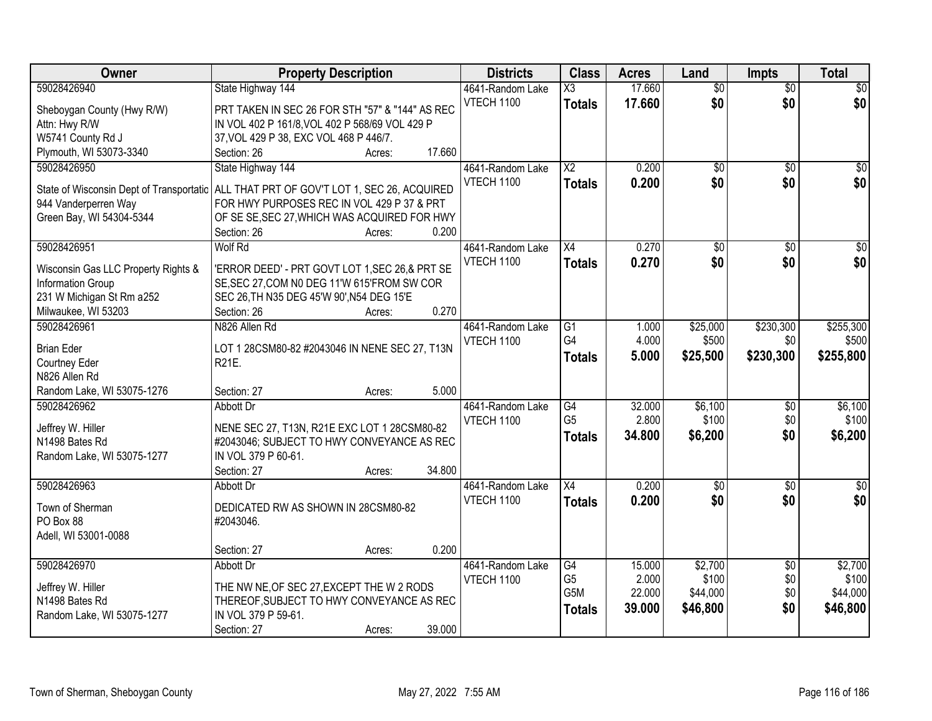| Owner                                    | <b>Property Description</b>                                                    | <b>Districts</b>  | <b>Class</b>           | <b>Acres</b> | Land            | <b>Impts</b>    | <b>Total</b>     |
|------------------------------------------|--------------------------------------------------------------------------------|-------------------|------------------------|--------------|-----------------|-----------------|------------------|
| 59028426940                              | State Highway 144                                                              | 4641-Random Lake  | $\overline{\chi_3}$    | 17.660       | $\overline{50}$ | $\overline{50}$ | \$0              |
| Sheboygan County (Hwy R/W)               | PRT TAKEN IN SEC 26 FOR STH "57" & "144" AS REC                                | VTECH 1100        | <b>Totals</b>          | 17.660       | \$0             | \$0             | \$0              |
| Attn: Hwy R/W                            | IN VOL 402 P 161/8, VOL 402 P 568/69 VOL 429 P                                 |                   |                        |              |                 |                 |                  |
| W5741 County Rd J                        | 37, VOL 429 P 38, EXC VOL 468 P 446/7.                                         |                   |                        |              |                 |                 |                  |
| Plymouth, WI 53073-3340                  | 17.660<br>Section: 26<br>Acres:                                                |                   |                        |              |                 |                 |                  |
| 59028426950                              | State Highway 144                                                              | 4641-Random Lake  | $\overline{\text{X2}}$ | 0.200        | $\overline{50}$ | $\overline{50}$ | \$0              |
|                                          |                                                                                | <b>VTECH 1100</b> | <b>Totals</b>          | 0.200        | \$0             | \$0             | \$0              |
| State of Wisconsin Dept of Transportatic | ALL THAT PRT OF GOV'T LOT 1, SEC 26, ACQUIRED                                  |                   |                        |              |                 |                 |                  |
| 944 Vanderperren Way                     | FOR HWY PURPOSES REC IN VOL 429 P 37 & PRT                                     |                   |                        |              |                 |                 |                  |
| Green Bay, WI 54304-5344                 | OF SE SE, SEC 27, WHICH WAS ACQUIRED FOR HWY<br>0.200<br>Section: 26<br>Acres: |                   |                        |              |                 |                 |                  |
| 59028426951                              | <b>Wolf Rd</b>                                                                 | 4641-Random Lake  | X4                     | 0.270        | $\overline{50}$ | $\sqrt{6}$      | $\overline{30}$  |
|                                          |                                                                                | <b>VTECH 1100</b> |                        |              | \$0             | \$0             | \$0              |
| Wisconsin Gas LLC Property Rights &      | 'ERROR DEED' - PRT GOVT LOT 1, SEC 26, & PRT SE                                |                   | <b>Totals</b>          | 0.270        |                 |                 |                  |
| Information Group                        | SE, SEC 27, COM N0 DEG 11'W 615'FROM SW COR                                    |                   |                        |              |                 |                 |                  |
| 231 W Michigan St Rm a252                | SEC 26, TH N35 DEG 45'W 90', N54 DEG 15'E                                      |                   |                        |              |                 |                 |                  |
| Milwaukee, WI 53203                      | 0.270<br>Section: 26<br>Acres:                                                 |                   |                        |              |                 |                 |                  |
| 59028426961                              | N826 Allen Rd                                                                  | 4641-Random Lake  | G1                     | 1.000        | \$25,000        | \$230,300       | \$255,300        |
| <b>Brian Eder</b>                        | LOT 1 28CSM80-82 #2043046 IN NENE SEC 27, T13N                                 | VTECH 1100        | G <sub>4</sub>         | 4.000        | \$500           | \$0             | \$500            |
| Courtney Eder                            | R21E.                                                                          |                   | <b>Totals</b>          | 5.000        | \$25,500        | \$230,300       | \$255,800        |
| N826 Allen Rd                            |                                                                                |                   |                        |              |                 |                 |                  |
| Random Lake, WI 53075-1276               | 5.000<br>Section: 27<br>Acres:                                                 |                   |                        |              |                 |                 |                  |
| 59028426962                              | Abbott Dr                                                                      | 4641-Random Lake  | $\overline{G4}$        | 32.000       | \$6,100         | \$0             | \$6,100          |
|                                          |                                                                                | VTECH 1100        | G <sub>5</sub>         | 2.800        | \$100           | \$0             | \$100            |
| Jeffrey W. Hiller                        | NENE SEC 27, T13N, R21E EXC LOT 1 28CSM80-82                                   |                   | <b>Totals</b>          | 34.800       | \$6,200         | \$0             | \$6,200          |
| N1498 Bates Rd                           | #2043046; SUBJECT TO HWY CONVEYANCE AS REC                                     |                   |                        |              |                 |                 |                  |
| Random Lake, WI 53075-1277               | IN VOL 379 P 60-61.                                                            |                   |                        |              |                 |                 |                  |
|                                          | 34.800<br>Section: 27<br>Acres:                                                |                   |                        |              |                 |                 |                  |
| 59028426963                              | Abbott Dr                                                                      | 4641-Random Lake  | $\overline{X4}$        | 0.200        | $\overline{60}$ | $\overline{50}$ | $\overline{\$0}$ |
| Town of Sherman                          | DEDICATED RW AS SHOWN IN 28CSM80-82                                            | VTECH 1100        | <b>Totals</b>          | 0.200        | \$0             | \$0             | \$0              |
| PO Box 88                                | #2043046.                                                                      |                   |                        |              |                 |                 |                  |
| Adell, WI 53001-0088                     |                                                                                |                   |                        |              |                 |                 |                  |
|                                          | 0.200<br>Section: 27<br>Acres:                                                 |                   |                        |              |                 |                 |                  |
| 59028426970                              | Abbott Dr                                                                      | 4641-Random Lake  | G4                     | 15.000       | \$2,700         | $\overline{50}$ | \$2,700          |
|                                          |                                                                                | VTECH 1100        | G <sub>5</sub>         | 2.000        | \$100           | \$0             | \$100            |
| Jeffrey W. Hiller<br>N1498 Bates Rd      | THE NW NE, OF SEC 27, EXCEPT THE W 2 RODS                                      |                   | G <sub>5</sub> M       | 22.000       | \$44,000        | \$0             | \$44,000         |
| Random Lake, WI 53075-1277               | THEREOF, SUBJECT TO HWY CONVEYANCE AS REC<br>IN VOL 379 P 59-61.               |                   | <b>Totals</b>          | 39.000       | \$46,800        | \$0             | \$46,800         |
|                                          | 39.000<br>Section: 27                                                          |                   |                        |              |                 |                 |                  |
|                                          | Acres:                                                                         |                   |                        |              |                 |                 |                  |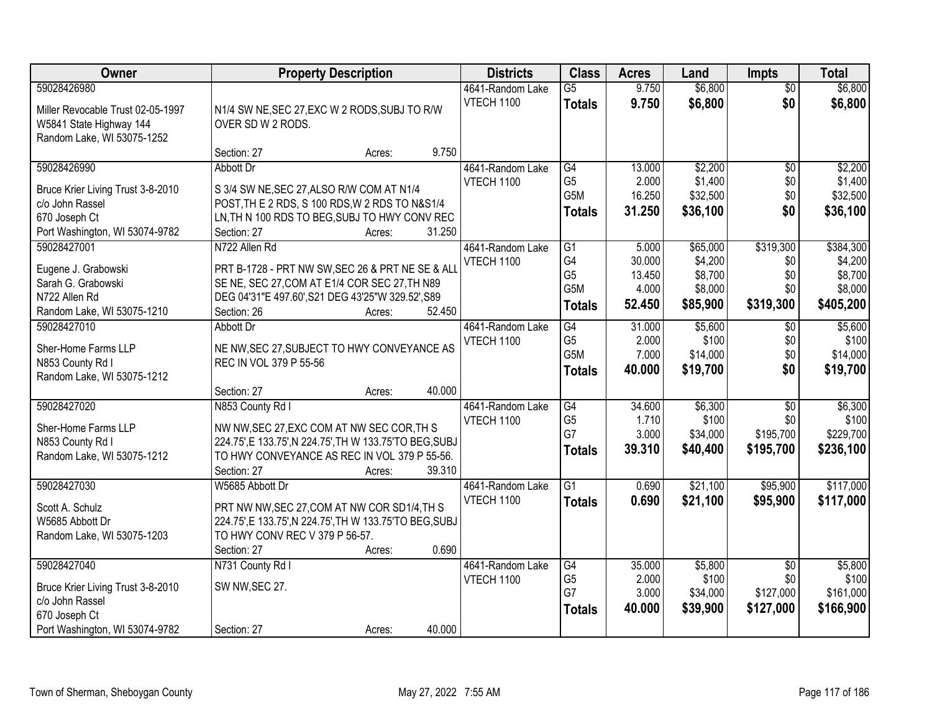| Owner                                           | <b>Property Description</b>                                                                           | <b>Districts</b>  | <b>Class</b>    | <b>Acres</b> | Land     | <b>Impts</b>    | <b>Total</b> |
|-------------------------------------------------|-------------------------------------------------------------------------------------------------------|-------------------|-----------------|--------------|----------|-----------------|--------------|
| 59028426980                                     |                                                                                                       | 4641-Random Lake  | $\overline{G5}$ | 9.750        | \$6,800  | $\overline{50}$ | \$6,800      |
| Miller Revocable Trust 02-05-1997               | N1/4 SW NE, SEC 27, EXC W 2 RODS, SUBJ TO R/W                                                         | <b>VTECH 1100</b> | <b>Totals</b>   | 9.750        | \$6,800  | \$0             | \$6,800      |
| W5841 State Highway 144                         | OVER SD W 2 RODS.                                                                                     |                   |                 |              |          |                 |              |
| Random Lake, WI 53075-1252                      |                                                                                                       |                   |                 |              |          |                 |              |
|                                                 | 9.750<br>Section: 27<br>Acres:                                                                        |                   |                 |              |          |                 |              |
| 59028426990                                     | Abbott Dr                                                                                             | 4641-Random Lake  | G4              | 13.000       | \$2,200  | $\overline{30}$ | \$2,200      |
| Bruce Krier Living Trust 3-8-2010               | S 3/4 SW NE, SEC 27, ALSO R/W COM AT N1/4                                                             | <b>VTECH 1100</b> | G <sub>5</sub>  | 2.000        | \$1,400  | \$0             | \$1,400      |
| c/o John Rassel                                 | POST, TH E 2 RDS, S 100 RDS, W 2 RDS TO N&S1/4                                                        |                   | G5M             | 16.250       | \$32,500 | \$0             | \$32,500     |
| 670 Joseph Ct                                   | LN, TH N 100 RDS TO BEG, SUBJ TO HWY CONV REC                                                         |                   | <b>Totals</b>   | 31.250       | \$36,100 | \$0             | \$36,100     |
| Port Washington, WI 53074-9782                  | 31.250<br>Section: 27<br>Acres:                                                                       |                   |                 |              |          |                 |              |
| 59028427001                                     | N722 Allen Rd                                                                                         | 4641-Random Lake  | G1              | 5.000        | \$65,000 | \$319,300       | \$384,300    |
| Eugene J. Grabowski                             | PRT B-1728 - PRT NW SW, SEC 26 & PRT NE SE & ALL                                                      | <b>VTECH 1100</b> | G4              | 30.000       | \$4,200  | \$0             | \$4,200      |
| Sarah G. Grabowski                              | SE NE, SEC 27, COM AT E1/4 COR SEC 27, TH N89                                                         |                   | G <sub>5</sub>  | 13.450       | \$8,700  | \$0             | \$8,700      |
| N722 Allen Rd                                   | DEG 04'31"E 497.60', S21 DEG 43'25"W 329.52', S89                                                     |                   | G5M             | 4.000        | \$8,000  | \$0             | \$8,000      |
| Random Lake, WI 53075-1210                      | 52.450<br>Section: 26<br>Acres:                                                                       |                   | <b>Totals</b>   | 52.450       | \$85,900 | \$319,300       | \$405,200    |
| 59028427010                                     | Abbott Dr                                                                                             | 4641-Random Lake  | G4              | 31.000       | \$5,600  | \$0             | \$5,600      |
| Sher-Home Farms LLP                             |                                                                                                       | <b>VTECH 1100</b> | G <sub>5</sub>  | 2.000        | \$100    | \$0             | \$100        |
| N853 County Rd I                                | NE NW, SEC 27, SUBJECT TO HWY CONVEYANCE AS<br>REC IN VOL 379 P 55-56                                 |                   | G5M             | 7.000        | \$14,000 | \$0             | \$14,000     |
| Random Lake, WI 53075-1212                      |                                                                                                       |                   | <b>Totals</b>   | 40.000       | \$19,700 | \$0             | \$19,700     |
|                                                 | 40.000<br>Section: 27<br>Acres:                                                                       |                   |                 |              |          |                 |              |
| 59028427020                                     | N853 County Rd I                                                                                      | 4641-Random Lake  | $\overline{G4}$ | 34.600       | \$6,300  | $\overline{50}$ | \$6,300      |
|                                                 |                                                                                                       | VTECH 1100        | G <sub>5</sub>  | 1.710        | \$100    | \$0             | \$100        |
| Sher-Home Farms LLP<br>N853 County Rd I         | NW NW, SEC 27, EXC COM AT NW SEC COR, TH S<br>224.75', E 133.75', N 224.75', TH W 133.75'TO BEG, SUBJ |                   | G7              | 3.000        | \$34,000 | \$195,700       | \$229,700    |
| Random Lake, WI 53075-1212                      | TO HWY CONVEYANCE AS REC IN VOL 379 P 55-56.                                                          |                   | <b>Totals</b>   | 39.310       | \$40,400 | \$195,700       | \$236,100    |
|                                                 | 39.310<br>Section: 27<br>Acres:                                                                       |                   |                 |              |          |                 |              |
| 59028427030                                     | W5685 Abbott Dr                                                                                       | 4641-Random Lake  | $\overline{G1}$ | 0.690        | \$21,100 | \$95,900        | \$117,000    |
|                                                 |                                                                                                       | VTECH 1100        | <b>Totals</b>   | 0.690        | \$21,100 | \$95,900        | \$117,000    |
| Scott A. Schulz                                 | PRT NW NW, SEC 27, COM AT NW COR SD1/4, TH S                                                          |                   |                 |              |          |                 |              |
| W5685 Abbott Dr<br>Random Lake, WI 53075-1203   | 224.75', E 133.75', N 224.75', TH W 133.75'TO BEG, SUBJ<br>TO HWY CONV REC V 379 P 56-57.             |                   |                 |              |          |                 |              |
|                                                 | 0.690<br>Section: 27<br>Acres:                                                                        |                   |                 |              |          |                 |              |
| 59028427040                                     | N731 County Rd I                                                                                      | 4641-Random Lake  | G4              | 35.000       | \$5,800  | $\overline{30}$ | \$5,800      |
|                                                 |                                                                                                       | <b>VTECH 1100</b> | G <sub>5</sub>  | 2.000        | \$100    | \$0             | \$100        |
| Bruce Krier Living Trust 3-8-2010               | SW NW, SEC 27.                                                                                        |                   | G7              | 3.000        | \$34,000 | \$127,000       | \$161,000    |
| c/o John Rassel                                 |                                                                                                       |                   | <b>Totals</b>   | 40.000       | \$39,900 | \$127,000       | \$166,900    |
| 670 Joseph Ct<br>Port Washington, WI 53074-9782 | 40.000<br>Section: 27                                                                                 |                   |                 |              |          |                 |              |
|                                                 | Acres:                                                                                                |                   |                 |              |          |                 |              |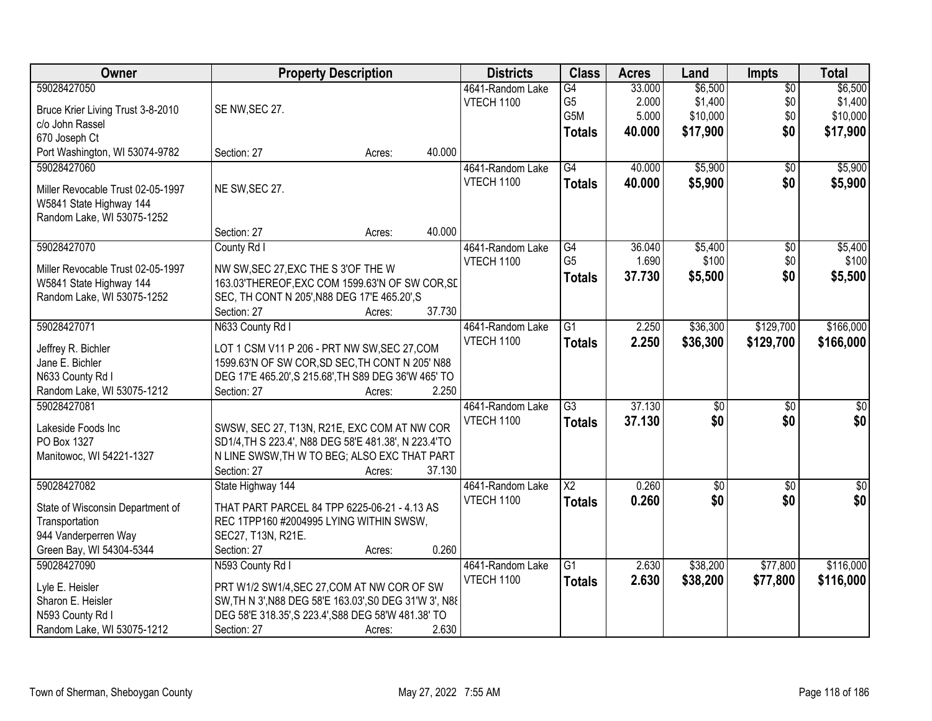| Owner                             |                                                        | <b>Property Description</b> |        | <b>Districts</b>  | <b>Class</b>           | <b>Acres</b> | Land            | <b>Impts</b>    | <b>Total</b>     |
|-----------------------------------|--------------------------------------------------------|-----------------------------|--------|-------------------|------------------------|--------------|-----------------|-----------------|------------------|
| 59028427050                       |                                                        |                             |        | 4641-Random Lake  | G4                     | 33.000       | \$6,500         | $\overline{50}$ | \$6,500          |
| Bruce Krier Living Trust 3-8-2010 | SE NW, SEC 27.                                         |                             |        | <b>VTECH 1100</b> | G <sub>5</sub>         | 2.000        | \$1,400         | \$0             | \$1,400          |
| c/o John Rassel                   |                                                        |                             |        |                   | G5M                    | 5.000        | \$10,000        | \$0             | \$10,000         |
| 670 Joseph Ct                     |                                                        |                             |        |                   | <b>Totals</b>          | 40.000       | \$17,900        | \$0             | \$17,900         |
| Port Washington, WI 53074-9782    | Section: 27                                            | Acres:                      | 40.000 |                   |                        |              |                 |                 |                  |
| 59028427060                       |                                                        |                             |        | 4641-Random Lake  | G4                     | 40.000       | \$5,900         | $\overline{50}$ | \$5,900          |
|                                   |                                                        |                             |        | <b>VTECH 1100</b> | <b>Totals</b>          | 40.000       | \$5,900         | \$0             | \$5,900          |
| Miller Revocable Trust 02-05-1997 | NE SW, SEC 27.                                         |                             |        |                   |                        |              |                 |                 |                  |
| W5841 State Highway 144           |                                                        |                             |        |                   |                        |              |                 |                 |                  |
| Random Lake, WI 53075-1252        |                                                        |                             |        |                   |                        |              |                 |                 |                  |
|                                   | Section: 27                                            | Acres:                      | 40.000 |                   |                        |              |                 |                 |                  |
| 59028427070                       | County Rd I                                            |                             |        | 4641-Random Lake  | G4                     | 36.040       | \$5,400         | $\sqrt[6]{}$    | \$5,400          |
| Miller Revocable Trust 02-05-1997 | NW SW, SEC 27, EXC THE S 3'OF THE W                    |                             |        | <b>VTECH 1100</b> | G <sub>5</sub>         | 1.690        | \$100           | \$0             | \$100            |
| W5841 State Highway 144           | 163.03'THEREOF, EXC COM 1599.63'N OF SW COR, SL        |                             |        |                   | <b>Totals</b>          | 37.730       | \$5,500         | \$0             | \$5,500          |
| Random Lake, WI 53075-1252        | SEC, TH CONT N 205', N88 DEG 17'E 465.20', S           |                             |        |                   |                        |              |                 |                 |                  |
|                                   | Section: 27                                            | Acres:                      | 37.730 |                   |                        |              |                 |                 |                  |
| 59028427071                       | N633 County Rd I                                       |                             |        | 4641-Random Lake  | $\overline{G1}$        | 2.250        | \$36,300        | \$129,700       | \$166,000        |
|                                   |                                                        |                             |        | <b>VTECH 1100</b> | <b>Totals</b>          | 2.250        | \$36,300        | \$129,700       | \$166,000        |
| Jeffrey R. Bichler                | LOT 1 CSM V11 P 206 - PRT NW SW, SEC 27, COM           |                             |        |                   |                        |              |                 |                 |                  |
| Jane E. Bichler                   | 1599.63'N OF SW COR, SD SEC, TH CONT N 205' N88        |                             |        |                   |                        |              |                 |                 |                  |
| N633 County Rd I                  | DEG 17'E 465.20', S 215.68', TH S89 DEG 36'W 465' TO   |                             |        |                   |                        |              |                 |                 |                  |
| Random Lake, WI 53075-1212        | Section: 27                                            | Acres:                      | 2.250  |                   | $\overline{G3}$        | 37.130       |                 |                 |                  |
| 59028427081                       |                                                        |                             |        | 4641-Random Lake  |                        |              | $\overline{50}$ | \$0             | $\overline{50}$  |
| Lakeside Foods Inc                | SWSW, SEC 27, T13N, R21E, EXC COM AT NW COR            |                             |        | <b>VTECH 1100</b> | <b>Totals</b>          | 37.130       | \$0             | \$0             | \$0              |
| PO Box 1327                       | SD1/4, TH S 223.4', N88 DEG 58'E 481.38', N 223.4'TO   |                             |        |                   |                        |              |                 |                 |                  |
| Manitowoc, WI 54221-1327          | N LINE SWSW, TH W TO BEG; ALSO EXC THAT PART           |                             |        |                   |                        |              |                 |                 |                  |
|                                   | Section: 27                                            | Acres:                      | 37.130 |                   |                        |              |                 |                 |                  |
| 59028427082                       | State Highway 144                                      |                             |        | 4641-Random Lake  | $\overline{\text{X2}}$ | 0.260        | $\overline{50}$ | $\overline{50}$ | $\overline{\$0}$ |
| State of Wisconsin Department of  | THAT PART PARCEL 84 TPP 6225-06-21 - 4.13 AS           |                             |        | <b>VTECH 1100</b> | <b>Totals</b>          | 0.260        | \$0             | \$0             | \$0              |
| Transportation                    | REC 1TPP160 #2004995 LYING WITHIN SWSW,                |                             |        |                   |                        |              |                 |                 |                  |
| 944 Vanderperren Way              | SEC27, T13N, R21E.                                     |                             |        |                   |                        |              |                 |                 |                  |
| Green Bay, WI 54304-5344          | Section: 27                                            | Acres:                      | 0.260  |                   |                        |              |                 |                 |                  |
| 59028427090                       | N593 County Rd I                                       |                             |        | 4641-Random Lake  | $\overline{G1}$        | 2.630        | \$38,200        | \$77,800        | \$116,000        |
|                                   |                                                        |                             |        | <b>VTECH 1100</b> | <b>Totals</b>          | 2.630        | \$38,200        | \$77,800        | \$116,000        |
| Lyle E. Heisler                   | PRT W1/2 SW1/4, SEC 27, COM AT NW COR OF SW            |                             |        |                   |                        |              |                 |                 |                  |
| Sharon E. Heisler                 | SW, TH N 3', N88 DEG 58'E 163.03', S0 DEG 31'W 3', N88 |                             |        |                   |                        |              |                 |                 |                  |
| N593 County Rd I                  | DEG 58'E 318.35', S 223.4', S88 DEG 58'W 481.38' TO    |                             |        |                   |                        |              |                 |                 |                  |
| Random Lake, WI 53075-1212        | Section: 27                                            | Acres:                      | 2.630  |                   |                        |              |                 |                 |                  |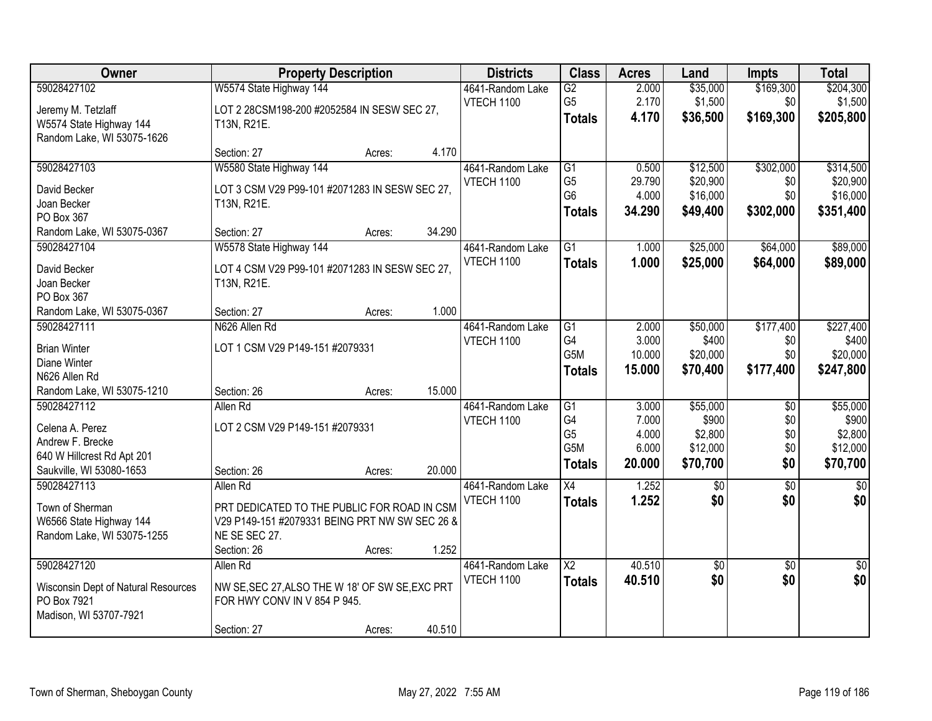| Owner                                   | <b>Property Description</b>                     |        |        | <b>Districts</b>  | <b>Class</b>             | <b>Acres</b> | Land               | <b>Impts</b>    | <b>Total</b>    |
|-----------------------------------------|-------------------------------------------------|--------|--------|-------------------|--------------------------|--------------|--------------------|-----------------|-----------------|
| 59028427102                             | W5574 State Highway 144                         |        |        | 4641-Random Lake  | $\overline{G2}$          | 2.000        | \$35,000           | \$169,300       | \$204,300       |
| Jeremy M. Tetzlaff                      | LOT 2 28CSM198-200 #2052584 IN SESW SEC 27,     |        |        | <b>VTECH 1100</b> | G <sub>5</sub>           | 2.170        | \$1,500            | \$0             | \$1,500         |
| W5574 State Highway 144                 | T13N, R21E.                                     |        |        |                   | <b>Totals</b>            | 4.170        | \$36,500           | \$169,300       | \$205,800       |
| Random Lake, WI 53075-1626              |                                                 |        |        |                   |                          |              |                    |                 |                 |
|                                         | Section: 27                                     | Acres: | 4.170  |                   |                          |              |                    |                 |                 |
| 59028427103                             | W5580 State Highway 144                         |        |        | 4641-Random Lake  | $\overline{G1}$          | 0.500        | \$12,500           | \$302,000       | \$314,500       |
| David Becker                            | LOT 3 CSM V29 P99-101 #2071283 IN SESW SEC 27,  |        |        | <b>VTECH 1100</b> | G <sub>5</sub>           | 29.790       | \$20,900           | \$0             | \$20,900        |
| Joan Becker                             | T13N, R21E.                                     |        |        |                   | G <sub>6</sub>           | 4.000        | \$16,000           | \$0             | \$16,000        |
| PO Box 367                              |                                                 |        |        |                   | <b>Totals</b>            | 34.290       | \$49,400           | \$302,000       | \$351,400       |
| Random Lake, WI 53075-0367              | Section: 27                                     | Acres: | 34.290 |                   |                          |              |                    |                 |                 |
| 59028427104                             | W5578 State Highway 144                         |        |        | 4641-Random Lake  | G1                       | 1.000        | \$25,000           | \$64,000        | \$89,000        |
| David Becker                            | LOT 4 CSM V29 P99-101 #2071283 IN SESW SEC 27,  |        |        | VTECH 1100        | <b>Totals</b>            | 1.000        | \$25,000           | \$64,000        | \$89,000        |
| Joan Becker                             | T13N, R21E.                                     |        |        |                   |                          |              |                    |                 |                 |
| PO Box 367                              |                                                 |        |        |                   |                          |              |                    |                 |                 |
| Random Lake, WI 53075-0367              | Section: 27                                     | Acres: | 1.000  |                   |                          |              |                    |                 |                 |
| 59028427111                             | N626 Allen Rd                                   |        |        | 4641-Random Lake  | G1                       | 2.000        | \$50,000           | \$177,400       | \$227,400       |
| <b>Brian Winter</b>                     | LOT 1 CSM V29 P149-151 #2079331                 |        |        | VTECH 1100        | G4                       | 3.000        | \$400              | \$0             | \$400           |
| Diane Winter                            |                                                 |        |        |                   | G5M                      | 10.000       | \$20,000           | \$0             | \$20,000        |
| N626 Allen Rd                           |                                                 |        |        |                   | <b>Totals</b>            | 15.000       | \$70,400           | \$177,400       | \$247,800       |
| Random Lake, WI 53075-1210              | Section: 26                                     | Acres: | 15.000 |                   |                          |              |                    |                 |                 |
| 59028427112                             | Allen Rd                                        |        |        | 4641-Random Lake  | $\overline{G1}$          | 3.000        | \$55,000           | $\overline{50}$ | \$55,000        |
|                                         |                                                 |        |        | <b>VTECH 1100</b> | G4                       | 7.000        | \$900              | \$0             | \$900           |
| Celena A. Perez                         | LOT 2 CSM V29 P149-151 #2079331                 |        |        |                   | G <sub>5</sub>           | 4.000        | \$2,800            | \$0             | \$2,800         |
| Andrew F. Brecke                        |                                                 |        |        |                   | G5M                      | 6.000        | \$12,000           | \$0             | \$12,000        |
| 640 W Hillcrest Rd Apt 201              |                                                 |        | 20.000 |                   | <b>Totals</b>            | 20.000       | \$70,700           | \$0             | \$70,700        |
| Saukville, WI 53080-1653<br>59028427113 | Section: 26<br>Allen Rd                         | Acres: |        | 4641-Random Lake  | $\overline{X4}$          | 1.252        |                    | $\overline{50}$ | $\overline{50}$ |
|                                         |                                                 |        |        | VTECH 1100        |                          | 1.252        | $\sqrt{50}$<br>\$0 | \$0             | \$0             |
| Town of Sherman                         | PRT DEDICATED TO THE PUBLIC FOR ROAD IN CSM     |        |        |                   | <b>Totals</b>            |              |                    |                 |                 |
| W6566 State Highway 144                 | V29 P149-151 #2079331 BEING PRT NW SW SEC 26 &  |        |        |                   |                          |              |                    |                 |                 |
| Random Lake, WI 53075-1255              | NE SE SEC 27.                                   |        |        |                   |                          |              |                    |                 |                 |
|                                         | Section: 26                                     | Acres: | 1.252  |                   |                          |              |                    |                 |                 |
| 59028427120                             | Allen Rd                                        |        |        | 4641-Random Lake  | $\overline{\mathsf{X2}}$ | 40.510       | $\overline{50}$    | $\overline{50}$ | $\overline{50}$ |
| Wisconsin Dept of Natural Resources     | NW SE, SEC 27, ALSO THE W 18' OF SW SE, EXC PRT |        |        | VTECH 1100        | <b>Totals</b>            | 40.510       | \$0                | \$0             | \$0             |
| PO Box 7921                             | FOR HWY CONV IN V 854 P 945.                    |        |        |                   |                          |              |                    |                 |                 |
| Madison, WI 53707-7921                  |                                                 |        |        |                   |                          |              |                    |                 |                 |
|                                         | Section: 27                                     | Acres: | 40.510 |                   |                          |              |                    |                 |                 |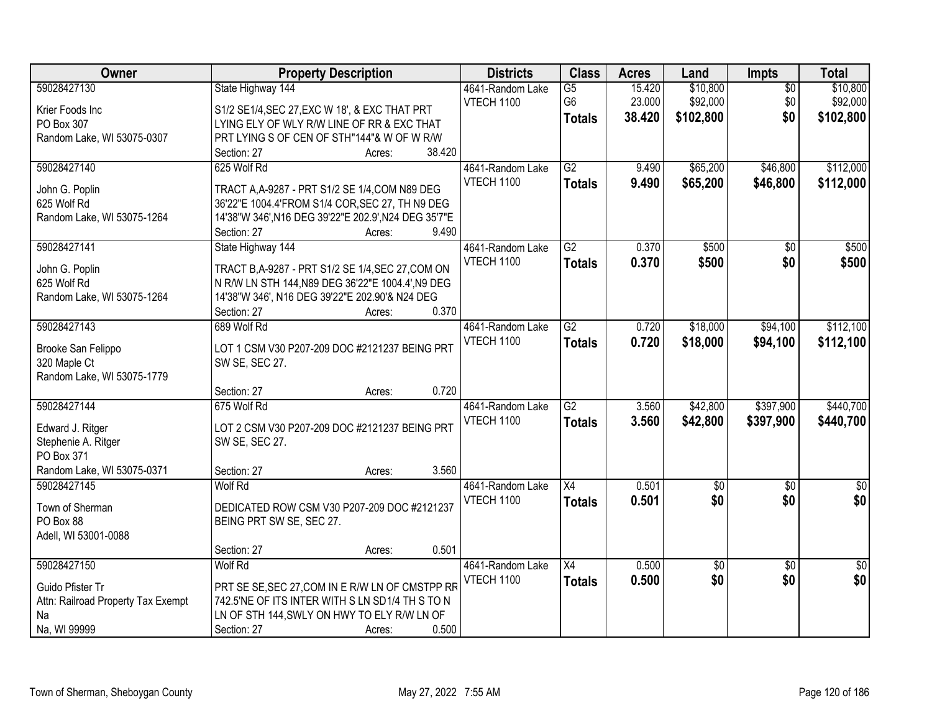| Owner                              | <b>Property Description</b>                          | <b>Districts</b>  | <b>Class</b>    | <b>Acres</b> | Land            | <b>Impts</b>    | <b>Total</b>    |
|------------------------------------|------------------------------------------------------|-------------------|-----------------|--------------|-----------------|-----------------|-----------------|
| 59028427130                        | State Highway 144                                    | 4641-Random Lake  | $\overline{G5}$ | 15.420       | \$10,800        | $\overline{30}$ | \$10,800        |
| Krier Foods Inc                    | S1/2 SE1/4, SEC 27, EXC W 18', & EXC THAT PRT        | <b>VTECH 1100</b> | G <sub>6</sub>  | 23.000       | \$92,000        | \$0             | \$92,000        |
| PO Box 307                         | LYING ELY OF WLY R/W LINE OF RR & EXC THAT           |                   | <b>Totals</b>   | 38.420       | \$102,800       | \$0             | \$102,800       |
| Random Lake, WI 53075-0307         | PRT LYING S OF CEN OF STH"144"& W OF W R/W           |                   |                 |              |                 |                 |                 |
|                                    | 38.420<br>Section: 27<br>Acres:                      |                   |                 |              |                 |                 |                 |
| 59028427140                        | 625 Wolf Rd                                          | 4641-Random Lake  | $\overline{G2}$ | 9.490        | \$65,200        | \$46,800        | \$112,000       |
|                                    |                                                      | <b>VTECH 1100</b> | <b>Totals</b>   | 9.490        | \$65,200        | \$46,800        | \$112,000       |
| John G. Poplin                     | TRACT A, A-9287 - PRT S1/2 SE 1/4, COM N89 DEG       |                   |                 |              |                 |                 |                 |
| 625 Wolf Rd                        | 36'22"E 1004.4'FROM S1/4 COR, SEC 27, TH N9 DEG      |                   |                 |              |                 |                 |                 |
| Random Lake, WI 53075-1264         | 14'38"W 346', N16 DEG 39'22"E 202.9', N24 DEG 35'7"E |                   |                 |              |                 |                 |                 |
|                                    | 9.490<br>Section: 27<br>Acres:                       |                   |                 |              |                 |                 |                 |
| 59028427141                        | State Highway 144                                    | 4641-Random Lake  | $\overline{G2}$ | 0.370        | \$500           | \$0             | \$500           |
| John G. Poplin                     | TRACT B, A-9287 - PRT S1/2 SE 1/4, SEC 27, COM ON    | <b>VTECH 1100</b> | <b>Totals</b>   | 0.370        | \$500           | \$0             | \$500           |
| 625 Wolf Rd                        | N R/W LN STH 144, N89 DEG 36'22"E 1004.4', N9 DEG    |                   |                 |              |                 |                 |                 |
| Random Lake, WI 53075-1264         | 14'38"W 346', N16 DEG 39'22"E 202.90'& N24 DEG       |                   |                 |              |                 |                 |                 |
|                                    | 0.370<br>Section: 27<br>Acres:                       |                   |                 |              |                 |                 |                 |
| 59028427143                        | 689 Wolf Rd                                          | 4641-Random Lake  | G2              | 0.720        | \$18,000        | \$94,100        | \$112,100       |
|                                    |                                                      | <b>VTECH 1100</b> | <b>Totals</b>   | 0.720        | \$18,000        | \$94,100        | \$112,100       |
| Brooke San Felippo                 | LOT 1 CSM V30 P207-209 DOC #2121237 BEING PRT        |                   |                 |              |                 |                 |                 |
| 320 Maple Ct                       | SW SE, SEC 27.                                       |                   |                 |              |                 |                 |                 |
| Random Lake, WI 53075-1779         |                                                      |                   |                 |              |                 |                 |                 |
|                                    | 0.720<br>Section: 27<br>Acres:                       |                   |                 |              |                 |                 |                 |
| 59028427144                        | 675 Wolf Rd                                          | 4641-Random Lake  | $\overline{G2}$ | 3.560        | \$42,800        | \$397,900       | \$440,700       |
| Edward J. Ritger                   | LOT 2 CSM V30 P207-209 DOC #2121237 BEING PRT        | VTECH 1100        | <b>Totals</b>   | 3.560        | \$42,800        | \$397,900       | \$440,700       |
| Stephenie A. Ritger                | SW SE, SEC 27.                                       |                   |                 |              |                 |                 |                 |
| PO Box 371                         |                                                      |                   |                 |              |                 |                 |                 |
| Random Lake, WI 53075-0371         | 3.560<br>Section: 27<br>Acres:                       |                   |                 |              |                 |                 |                 |
| 59028427145                        | <b>Wolf Rd</b>                                       | 4641-Random Lake  | $\overline{X4}$ | 0.501        | $\overline{50}$ | $\sqrt{6}$      | $\overline{30}$ |
|                                    |                                                      | <b>VTECH 1100</b> |                 | 0.501        | \$0             | \$0             | \$0             |
| Town of Sherman                    | DEDICATED ROW CSM V30 P207-209 DOC #2121237          |                   | <b>Totals</b>   |              |                 |                 |                 |
| PO Box 88                          | BEING PRT SW SE, SEC 27.                             |                   |                 |              |                 |                 |                 |
| Adell, WI 53001-0088               |                                                      |                   |                 |              |                 |                 |                 |
|                                    | 0.501<br>Section: 27<br>Acres:                       |                   |                 |              |                 |                 |                 |
| 59028427150                        | Wolf Rd                                              | 4641-Random Lake  | $\overline{X4}$ | 0.500        | $\overline{50}$ | $\overline{30}$ | $\frac{1}{2}$   |
| Guido Pfister Tr                   | PRT SE SE, SEC 27, COM IN E R/W LN OF CMSTPP RR      | <b>VTECH 1100</b> | <b>Totals</b>   | 0.500        | \$0             | \$0             | \$0             |
| Attn: Railroad Property Tax Exempt | 742.5'NE OF ITS INTER WITH S LN SD1/4 TH S TO N      |                   |                 |              |                 |                 |                 |
| Na                                 | LN OF STH 144, SWLY ON HWY TO ELY R/W LN OF          |                   |                 |              |                 |                 |                 |
| Na, WI 99999                       | 0.500                                                |                   |                 |              |                 |                 |                 |
|                                    | Section: 27<br>Acres:                                |                   |                 |              |                 |                 |                 |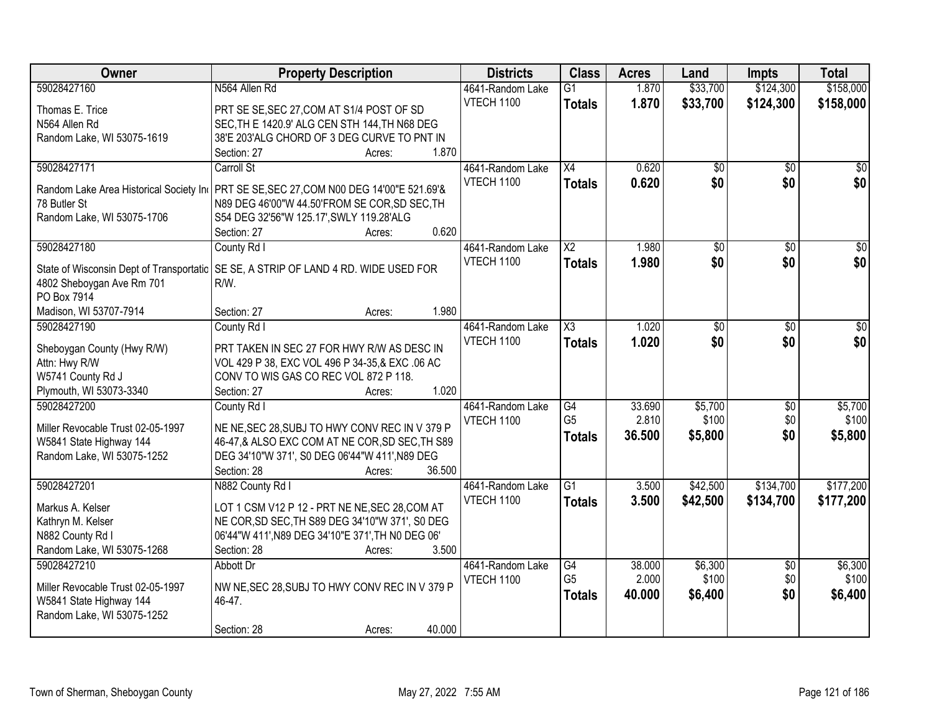| Owner                                    | <b>Property Description</b>                       |                  | <b>Districts</b>  | <b>Class</b>    | <b>Acres</b> | Land            | <b>Impts</b>    | <b>Total</b>     |
|------------------------------------------|---------------------------------------------------|------------------|-------------------|-----------------|--------------|-----------------|-----------------|------------------|
| 59028427160                              | N564 Allen Rd                                     |                  | 4641-Random Lake  | $\overline{G1}$ | 1.870        | \$33,700        | \$124,300       | \$158,000        |
| Thomas E. Trice                          | PRT SE SE, SEC 27, COM AT S1/4 POST OF SD         |                  | <b>VTECH 1100</b> | <b>Totals</b>   | 1.870        | \$33,700        | \$124,300       | \$158,000        |
| N564 Allen Rd                            | SEC, TH E 1420.9' ALG CEN STH 144, TH N68 DEG     |                  |                   |                 |              |                 |                 |                  |
| Random Lake, WI 53075-1619               | 38'E 203'ALG CHORD OF 3 DEG CURVE TO PNT IN       |                  |                   |                 |              |                 |                 |                  |
|                                          | Section: 27                                       | 1.870<br>Acres:  |                   |                 |              |                 |                 |                  |
| 59028427171                              | Carroll St                                        |                  | 4641-Random Lake  | $\overline{X4}$ | 0.620        | $\overline{50}$ | $\overline{30}$ | $\overline{\$0}$ |
|                                          |                                                   |                  | <b>VTECH 1100</b> | <b>Totals</b>   | 0.620        | \$0             | \$0             | \$0              |
| Random Lake Area Historical Society In   | PRT SE SE, SEC 27, COM N00 DEG 14'00"E 521.69'&   |                  |                   |                 |              |                 |                 |                  |
| 78 Butler St                             | N89 DEG 46'00"W 44.50'FROM SE COR, SD SEC, TH     |                  |                   |                 |              |                 |                 |                  |
| Random Lake, WI 53075-1706               | S54 DEG 32'56"W 125.17', SWLY 119.28'ALG          |                  |                   |                 |              |                 |                 |                  |
|                                          | Section: 27                                       | 0.620<br>Acres:  |                   |                 |              |                 |                 |                  |
| 59028427180                              | County Rd I                                       |                  | 4641-Random Lake  | $\overline{X2}$ | 1.980        | \$0             | \$0             | $\overline{\$0}$ |
| State of Wisconsin Dept of Transportatic | SE SE, A STRIP OF LAND 4 RD. WIDE USED FOR        |                  | <b>VTECH 1100</b> | <b>Totals</b>   | 1.980        | \$0             | \$0             | \$0              |
| 4802 Sheboygan Ave Rm 701                | R/W.                                              |                  |                   |                 |              |                 |                 |                  |
| PO Box 7914                              |                                                   |                  |                   |                 |              |                 |                 |                  |
| Madison, WI 53707-7914                   | Section: 27                                       | 1.980<br>Acres:  |                   |                 |              |                 |                 |                  |
| 59028427190                              | County Rd I                                       |                  | 4641-Random Lake  | X3              | 1.020        | $\overline{50}$ | $\sqrt{6}$      | \$0              |
|                                          |                                                   |                  | <b>VTECH 1100</b> | <b>Totals</b>   | 1.020        | \$0             | \$0             | \$0              |
| Sheboygan County (Hwy R/W)               | PRT TAKEN IN SEC 27 FOR HWY R/W AS DESC IN        |                  |                   |                 |              |                 |                 |                  |
| Attn: Hwy R/W                            | VOL 429 P 38, EXC VOL 496 P 34-35,& EXC .06 AC    |                  |                   |                 |              |                 |                 |                  |
| W5741 County Rd J                        | CONV TO WIS GAS CO REC VOL 872 P 118.             |                  |                   |                 |              |                 |                 |                  |
| Plymouth, WI 53073-3340                  | Section: 27                                       | 1.020<br>Acres:  |                   |                 |              |                 |                 |                  |
| 59028427200                              | County Rd I                                       |                  | 4641-Random Lake  | $\overline{G4}$ | 33.690       | \$5,700         | $\overline{50}$ | \$5,700          |
| Miller Revocable Trust 02-05-1997        | NE NE, SEC 28, SUBJ TO HWY CONV REC IN V 379 P    |                  | VTECH 1100        | G <sub>5</sub>  | 2.810        | \$100           | \$0             | \$100            |
| W5841 State Highway 144                  | 46-47,& ALSO EXC COM AT NE COR, SD SEC, TH S89    |                  |                   | Totals          | 36.500       | \$5,800         | \$0             | \$5,800          |
| Random Lake, WI 53075-1252               | DEG 34'10"W 371', S0 DEG 06'44"W 411', N89 DEG    |                  |                   |                 |              |                 |                 |                  |
|                                          | Section: 28                                       | 36.500<br>Acres: |                   |                 |              |                 |                 |                  |
| 59028427201                              | N882 County Rd I                                  |                  | 4641-Random Lake  | $\overline{G1}$ | 3.500        | \$42,500        | \$134,700       | \$177,200        |
|                                          |                                                   |                  | VTECH 1100        | <b>Totals</b>   | 3.500        | \$42,500        | \$134,700       | \$177,200        |
| Markus A. Kelser                         | LOT 1 CSM V12 P 12 - PRT NE NE, SEC 28, COM AT    |                  |                   |                 |              |                 |                 |                  |
| Kathryn M. Kelser                        | NE COR, SD SEC, TH S89 DEG 34'10"W 371', S0 DEG   |                  |                   |                 |              |                 |                 |                  |
| N882 County Rd I                         | 06'44"W 411', N89 DEG 34'10"E 371', TH N0 DEG 06' |                  |                   |                 |              |                 |                 |                  |
| Random Lake, WI 53075-1268               | Section: 28                                       | 3.500<br>Acres:  |                   |                 |              |                 |                 |                  |
| 59028427210                              | Abbott Dr                                         |                  | 4641-Random Lake  | G4              | 38.000       | \$6,300         | $\overline{30}$ | \$6,300          |
| Miller Revocable Trust 02-05-1997        | NW NE, SEC 28, SUBJ TO HWY CONV REC IN V 379 P    |                  | <b>VTECH 1100</b> | G <sub>5</sub>  | 2.000        | \$100           | \$0             | \$100            |
| W5841 State Highway 144                  | 46-47.                                            |                  |                   | <b>Totals</b>   | 40.000       | \$6,400         | \$0             | \$6,400          |
| Random Lake, WI 53075-1252               |                                                   |                  |                   |                 |              |                 |                 |                  |
|                                          | Section: 28                                       | 40.000<br>Acres: |                   |                 |              |                 |                 |                  |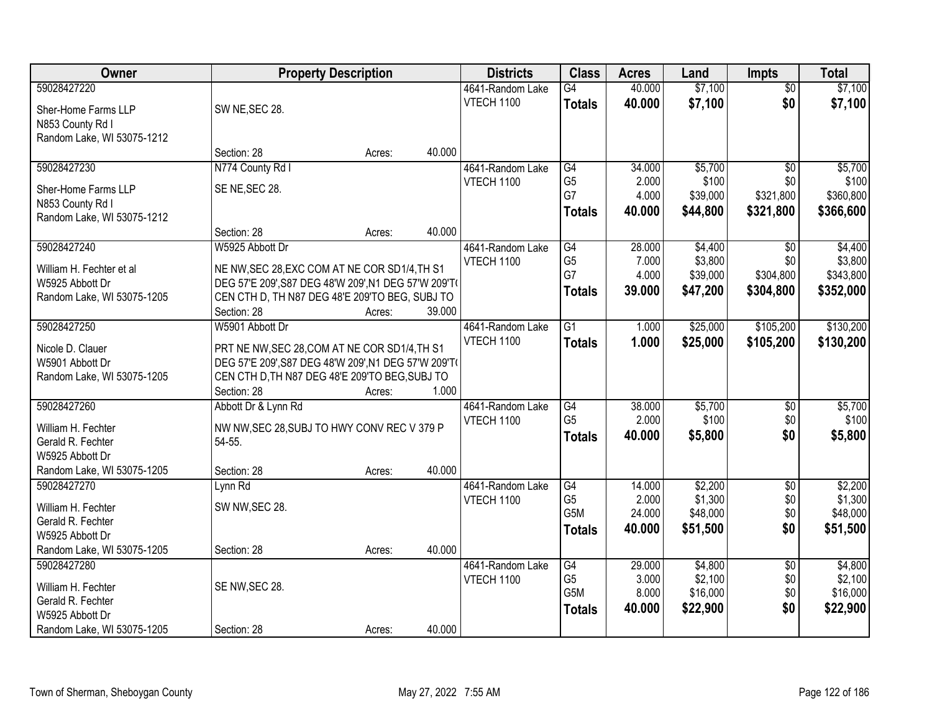| Owner                      |                                                      | <b>Property Description</b> |        | <b>Districts</b>  | <b>Class</b>    | <b>Acres</b>     | Land     | <b>Impts</b>    | <b>Total</b> |
|----------------------------|------------------------------------------------------|-----------------------------|--------|-------------------|-----------------|------------------|----------|-----------------|--------------|
| 59028427220                |                                                      |                             |        | 4641-Random Lake  | G4              | 40.000           | \$7,100  | $\overline{50}$ | \$7,100      |
| Sher-Home Farms LLP        | SW NE, SEC 28.                                       |                             |        | VTECH 1100        | <b>Totals</b>   | 40.000           | \$7,100  | \$0             | \$7,100      |
| N853 County Rd I           |                                                      |                             |        |                   |                 |                  |          |                 |              |
| Random Lake, WI 53075-1212 |                                                      |                             |        |                   |                 |                  |          |                 |              |
|                            | Section: 28                                          | Acres:                      | 40.000 |                   |                 |                  |          |                 |              |
| 59028427230                | N774 County Rd I                                     |                             |        | 4641-Random Lake  | G4              | 34,000           | \$5,700  | $\overline{50}$ | \$5,700      |
| Sher-Home Farms LLP        | SE NE, SEC 28.                                       |                             |        | VTECH 1100        | G <sub>5</sub>  | 2.000            | \$100    | \$0             | \$100        |
| N853 County Rd I           |                                                      |                             |        |                   | G7              | 4.000            | \$39,000 | \$321,800       | \$360,800    |
| Random Lake, WI 53075-1212 |                                                      |                             |        |                   | <b>Totals</b>   | 40.000           | \$44,800 | \$321,800       | \$366,600    |
|                            | Section: 28                                          | Acres:                      | 40.000 |                   |                 |                  |          |                 |              |
| 59028427240                | W5925 Abbott Dr                                      |                             |        | 4641-Random Lake  | G4              | 28.000           | \$4,400  | $\overline{50}$ | \$4,400      |
| William H. Fechter et al   | NE NW, SEC 28, EXC COM AT NE COR SD1/4, TH S1        |                             |        | VTECH 1100        | G <sub>5</sub>  | 7.000            | \$3,800  | \$0             | \$3,800      |
| W5925 Abbott Dr            | DEG 57'E 209', S87 DEG 48'W 209', N1 DEG 57'W 209'T( |                             |        |                   | G7              | 4.000            | \$39,000 | \$304,800       | \$343,800    |
| Random Lake, WI 53075-1205 | CEN CTH D, TH N87 DEG 48'E 209'TO BEG, SUBJ TO       |                             |        |                   | <b>Totals</b>   | 39.000           | \$47,200 | \$304,800       | \$352,000    |
|                            | Section: 28                                          | Acres:                      | 39.000 |                   |                 |                  |          |                 |              |
| 59028427250                | W5901 Abbott Dr                                      |                             |        | 4641-Random Lake  | $\overline{G1}$ | 1.000            | \$25,000 | \$105,200       | \$130,200    |
| Nicole D. Clauer           | PRT NE NW, SEC 28, COM AT NE COR SD1/4, TH S1        |                             |        | VTECH 1100        | <b>Totals</b>   | 1.000            | \$25,000 | \$105,200       | \$130,200    |
| W5901 Abbott Dr            | DEG 57'E 209', S87 DEG 48'W 209', N1 DEG 57'W 209'T( |                             |        |                   |                 |                  |          |                 |              |
| Random Lake, WI 53075-1205 | CEN CTH D, TH N87 DEG 48'E 209'TO BEG, SUBJ TO       |                             |        |                   |                 |                  |          |                 |              |
|                            | Section: 28                                          | Acres:                      | 1.000  |                   |                 |                  |          |                 |              |
| 59028427260                | Abbott Dr & Lynn Rd                                  |                             |        | 4641-Random Lake  | $\overline{G4}$ | 38.000           | \$5,700  | $\overline{50}$ | \$5,700      |
| William H. Fechter         | NW NW, SEC 28, SUBJ TO HWY CONV REC V 379 P          |                             |        | VTECH 1100        | G <sub>5</sub>  | 2.000            | \$100    | \$0             | \$100        |
| Gerald R. Fechter          | 54-55.                                               |                             |        |                   | <b>Totals</b>   | 40.000           | \$5,800  | \$0             | \$5,800      |
| W5925 Abbott Dr            |                                                      |                             |        |                   |                 |                  |          |                 |              |
| Random Lake, WI 53075-1205 | Section: 28                                          | Acres:                      | 40.000 |                   |                 |                  |          |                 |              |
| 59028427270                | Lynn Rd                                              |                             |        | 4641-Random Lake  | G4              | 14.000           | \$2,200  | $\sqrt{6}$      | \$2,200      |
| William H. Fechter         | SW NW, SEC 28.                                       |                             |        | VTECH 1100        | G <sub>5</sub>  | 2.000            | \$1,300  | \$0             | \$1,300      |
| Gerald R. Fechter          |                                                      |                             |        |                   | G5M             | 24.000<br>40.000 | \$48,000 | \$0<br>\$0      | \$48,000     |
| W5925 Abbott Dr            |                                                      |                             |        |                   | <b>Totals</b>   |                  | \$51,500 |                 | \$51,500     |
| Random Lake, WI 53075-1205 | Section: 28                                          | Acres:                      | 40.000 |                   |                 |                  |          |                 |              |
| 59028427280                |                                                      |                             |        | 4641-Random Lake  | G4              | 29.000           | \$4,800  | $\overline{50}$ | \$4,800      |
| William H. Fechter         | SE NW, SEC 28.                                       |                             |        | <b>VTECH 1100</b> | G <sub>5</sub>  | 3.000            | \$2,100  | \$0             | \$2,100      |
| Gerald R. Fechter          |                                                      |                             |        |                   | G5M             | 8.000            | \$16,000 | \$0             | \$16,000     |
| W5925 Abbott Dr            |                                                      |                             |        |                   | <b>Totals</b>   | 40.000           | \$22,900 | \$0             | \$22,900     |
| Random Lake, WI 53075-1205 | Section: 28                                          | Acres:                      | 40.000 |                   |                 |                  |          |                 |              |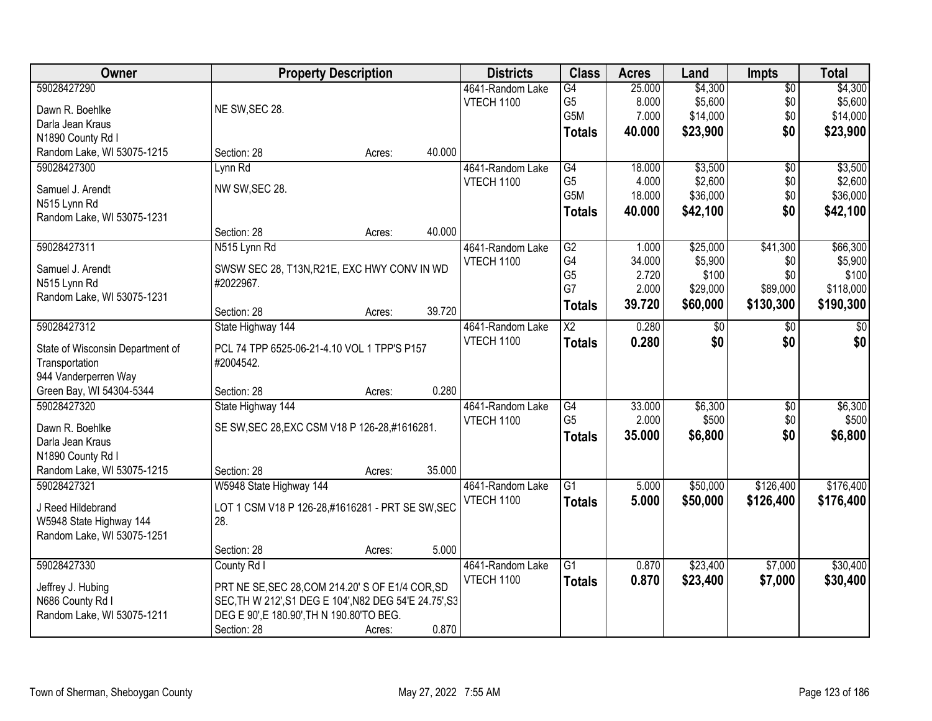| Owner                                      |                                                        | <b>Property Description</b> |        | <b>Districts</b>  | <b>Class</b>    | <b>Acres</b> | Land     | <b>Impts</b>    | <b>Total</b> |
|--------------------------------------------|--------------------------------------------------------|-----------------------------|--------|-------------------|-----------------|--------------|----------|-----------------|--------------|
| 59028427290                                |                                                        |                             |        | 4641-Random Lake  | G4              | 25.000       | \$4,300  | $\overline{50}$ | \$4,300      |
| Dawn R. Boehlke                            | NE SW, SEC 28.                                         |                             |        | <b>VTECH 1100</b> | G <sub>5</sub>  | 8.000        | \$5,600  | \$0             | \$5,600      |
| Darla Jean Kraus                           |                                                        |                             |        |                   | G5M             | 7.000        | \$14,000 | \$0             | \$14,000     |
| N1890 County Rd I                          |                                                        |                             |        |                   | Totals          | 40.000       | \$23,900 | \$0             | \$23,900     |
| Random Lake, WI 53075-1215                 | Section: 28                                            | Acres:                      | 40.000 |                   |                 |              |          |                 |              |
| 59028427300                                | Lynn Rd                                                |                             |        | 4641-Random Lake  | G4              | 18.000       | \$3,500  | $\overline{50}$ | \$3,500      |
|                                            |                                                        |                             |        | <b>VTECH 1100</b> | G <sub>5</sub>  | 4.000        | \$2,600  | \$0             | \$2,600      |
| Samuel J. Arendt                           | NW SW, SEC 28.                                         |                             |        |                   | G5M             | 18.000       | \$36,000 | \$0             | \$36,000     |
| N515 Lynn Rd<br>Random Lake, WI 53075-1231 |                                                        |                             |        |                   | <b>Totals</b>   | 40.000       | \$42,100 | \$0             | \$42,100     |
|                                            | Section: 28                                            | Acres:                      | 40.000 |                   |                 |              |          |                 |              |
| 59028427311                                | N515 Lynn Rd                                           |                             |        | 4641-Random Lake  | $\overline{G2}$ | 1.000        | \$25,000 | \$41,300        | \$66,300     |
|                                            |                                                        |                             |        | VTECH 1100        | G4              | 34.000       | \$5,900  | \$0             | \$5,900      |
| Samuel J. Arendt                           | SWSW SEC 28, T13N, R21E, EXC HWY CONV IN WD            |                             |        |                   | G <sub>5</sub>  | 2.720        | \$100    | \$0             | \$100        |
| N515 Lynn Rd<br>Random Lake, WI 53075-1231 | #2022967.                                              |                             |        |                   | G7              | 2.000        | \$29,000 | \$89,000        | \$118,000    |
|                                            | Section: 28                                            | Acres:                      | 39.720 |                   | <b>Totals</b>   | 39.720       | \$60,000 | \$130,300       | \$190,300    |
| 59028427312                                | State Highway 144                                      |                             |        | 4641-Random Lake  | X2              | 0.280        | \$0      | $\sqrt[6]{3}$   | \$0          |
|                                            |                                                        |                             |        | VTECH 1100        | <b>Totals</b>   | 0.280        | \$0      | \$0             | \$0          |
| State of Wisconsin Department of           | PCL 74 TPP 6525-06-21-4.10 VOL 1 TPP'S P157            |                             |        |                   |                 |              |          |                 |              |
| Transportation<br>944 Vanderperren Way     | #2004542.                                              |                             |        |                   |                 |              |          |                 |              |
| Green Bay, WI 54304-5344                   | Section: 28                                            | Acres:                      | 0.280  |                   |                 |              |          |                 |              |
| 59028427320                                | State Highway 144                                      |                             |        | 4641-Random Lake  | G4              | 33.000       | \$6,300  | \$0             | \$6,300      |
|                                            |                                                        |                             |        | <b>VTECH 1100</b> | G <sub>5</sub>  | 2.000        | \$500    | \$0             | \$500        |
| Dawn R. Boehlke                            | SE SW, SEC 28, EXC CSM V18 P 126-28, #1616281.         |                             |        |                   | <b>Totals</b>   | 35.000       | \$6,800  | \$0             | \$6,800      |
| Darla Jean Kraus                           |                                                        |                             |        |                   |                 |              |          |                 |              |
| N1890 County Rd I                          |                                                        |                             |        |                   |                 |              |          |                 |              |
| Random Lake, WI 53075-1215                 | Section: 28                                            | Acres:                      | 35.000 |                   |                 |              |          |                 |              |
| 59028427321                                | W5948 State Highway 144                                |                             |        | 4641-Random Lake  | $\overline{G1}$ | 5.000        | \$50,000 | \$126,400       | \$176,400    |
| J Reed Hildebrand                          | LOT 1 CSM V18 P 126-28,#1616281 - PRT SE SW, SEC       |                             |        | VTECH 1100        | <b>Totals</b>   | 5.000        | \$50,000 | \$126,400       | \$176,400    |
| W5948 State Highway 144                    | 28.                                                    |                             |        |                   |                 |              |          |                 |              |
| Random Lake, WI 53075-1251                 |                                                        |                             |        |                   |                 |              |          |                 |              |
|                                            | Section: 28                                            | Acres:                      | 5.000  |                   |                 |              |          |                 |              |
| 59028427330                                | County Rd I                                            |                             |        | 4641-Random Lake  | $\overline{G1}$ | 0.870        | \$23,400 | \$7,000         | \$30,400     |
| Jeffrey J. Hubing                          | PRT NE SE, SEC 28, COM 214.20' S OF E1/4 COR, SD       |                             |        | <b>VTECH 1100</b> | <b>Totals</b>   | 0.870        | \$23,400 | \$7,000         | \$30,400     |
| N686 County Rd I                           | SEC, TH W 212', S1 DEG E 104', N82 DEG 54'E 24.75', S3 |                             |        |                   |                 |              |          |                 |              |
| Random Lake, WI 53075-1211                 | DEG E 90',E 180.90', TH N 190.80'TO BEG.               |                             |        |                   |                 |              |          |                 |              |
|                                            | Section: 28                                            | Acres:                      | 0.870  |                   |                 |              |          |                 |              |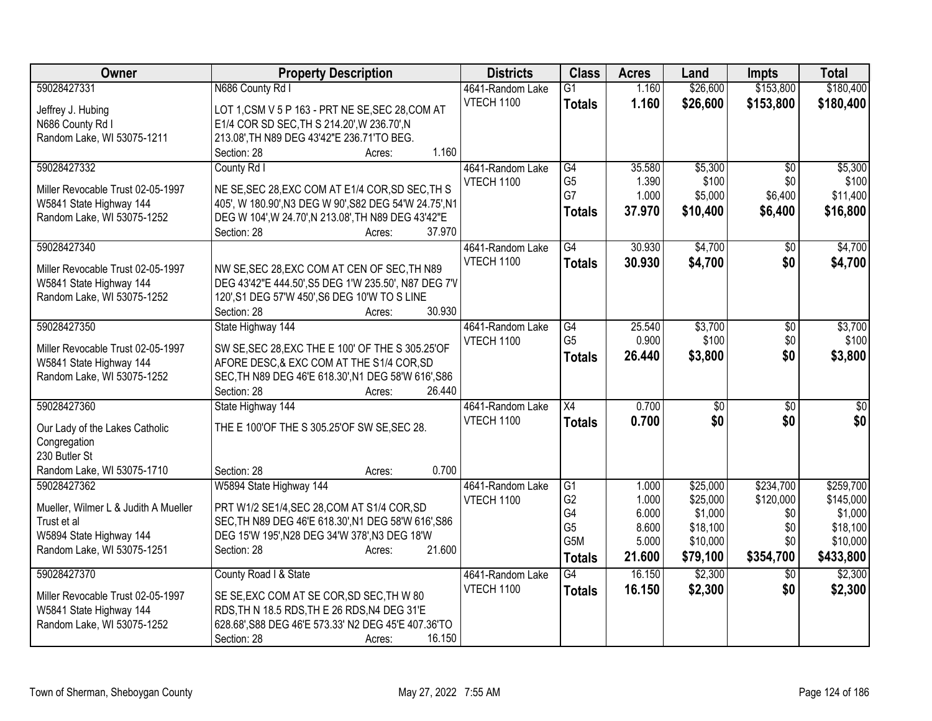| Owner                                | <b>Property Description</b>                            | <b>Districts</b>  | <b>Class</b>         | <b>Acres</b>    | Land             | <b>Impts</b>    | <b>Total</b>     |
|--------------------------------------|--------------------------------------------------------|-------------------|----------------------|-----------------|------------------|-----------------|------------------|
| 59028427331                          | N686 County Rd I                                       | 4641-Random Lake  | $\overline{G1}$      | 1.160           | \$26,600         | \$153,800       | \$180,400        |
| Jeffrey J. Hubing                    | LOT 1, CSM V 5 P 163 - PRT NE SE, SEC 28, COM AT       | VTECH 1100        | <b>Totals</b>        | 1.160           | \$26,600         | \$153,800       | \$180,400        |
| N686 County Rd I                     | E1/4 COR SD SEC, TH S 214.20', W 236.70', N            |                   |                      |                 |                  |                 |                  |
| Random Lake, WI 53075-1211           | 213.08', TH N89 DEG 43'42"E 236.71'TO BEG.             |                   |                      |                 |                  |                 |                  |
|                                      | 1.160<br>Section: 28<br>Acres:                         |                   |                      |                 |                  |                 |                  |
| 59028427332                          | County Rd I                                            | 4641-Random Lake  | G4                   | 35.580          | \$5,300          | $\overline{50}$ | \$5,300          |
| Miller Revocable Trust 02-05-1997    | NE SE, SEC 28, EXC COM AT E1/4 COR, SD SEC, TH S       | <b>VTECH 1100</b> | G <sub>5</sub>       | 1.390           | \$100            | \$0             | \$100            |
| W5841 State Highway 144              | 405', W 180.90', N3 DEG W 90', S82 DEG 54'W 24.75', N1 |                   | G7                   | 1.000           | \$5,000          | \$6,400         | \$11,400         |
| Random Lake, WI 53075-1252           | DEG W 104', W 24.70', N 213.08', TH N89 DEG 43'42"E    |                   | <b>Totals</b>        | 37.970          | \$10,400         | \$6,400         | \$16,800         |
|                                      | 37.970<br>Section: 28<br>Acres:                        |                   |                      |                 |                  |                 |                  |
| 59028427340                          |                                                        | 4641-Random Lake  | $\overline{G4}$      | 30.930          | \$4,700          | $\sqrt{6}$      | \$4,700          |
|                                      |                                                        | <b>VTECH 1100</b> | <b>Totals</b>        | 30.930          | \$4,700          | \$0             | \$4,700          |
| Miller Revocable Trust 02-05-1997    | NW SE, SEC 28, EXC COM AT CEN OF SEC, TH N89           |                   |                      |                 |                  |                 |                  |
| W5841 State Highway 144              | DEG 43'42"E 444.50', S5 DEG 1'W 235.50', N87 DEG 7'V   |                   |                      |                 |                  |                 |                  |
| Random Lake, WI 53075-1252           | 120', S1 DEG 57'W 450', S6 DEG 10'W TO S LINE          |                   |                      |                 |                  |                 |                  |
|                                      | 30.930<br>Section: 28<br>Acres:                        |                   |                      |                 |                  |                 |                  |
| 59028427350                          | State Highway 144                                      | 4641-Random Lake  | G4<br>G <sub>5</sub> | 25.540<br>0.900 | \$3,700<br>\$100 | \$0<br>\$0      | \$3,700<br>\$100 |
| Miller Revocable Trust 02-05-1997    | SW SE, SEC 28, EXC THE E 100' OF THE S 305.25'OF       | VTECH 1100        |                      | 26.440          |                  | \$0             |                  |
| W5841 State Highway 144              | AFORE DESC, & EXC COM AT THE S1/4 COR, SD              |                   | <b>Totals</b>        |                 | \$3,800          |                 | \$3,800          |
| Random Lake, WI 53075-1252           | SEC, TH N89 DEG 46'E 618.30', N1 DEG 58'W 616', S86    |                   |                      |                 |                  |                 |                  |
|                                      | 26.440<br>Section: 28<br>Acres:                        |                   |                      |                 |                  |                 |                  |
| 59028427360                          | State Highway 144                                      | 4641-Random Lake  | X4                   | 0.700           | \$0              | \$0             | $\overline{30}$  |
| Our Lady of the Lakes Catholic       | THE E 100'OF THE S 305.25'OF SW SE, SEC 28.            | VTECH 1100        | <b>Totals</b>        | 0.700           | \$0              | \$0             | \$0              |
| Congregation                         |                                                        |                   |                      |                 |                  |                 |                  |
| 230 Butler St                        |                                                        |                   |                      |                 |                  |                 |                  |
| Random Lake, WI 53075-1710           | 0.700<br>Section: 28<br>Acres:                         |                   |                      |                 |                  |                 |                  |
| 59028427362                          | W5894 State Highway 144                                | 4641-Random Lake  | G1                   | 1.000           | \$25,000         | \$234,700       | \$259,700        |
| Mueller, Wilmer L & Judith A Mueller | PRT W1/2 SE1/4, SEC 28, COM AT S1/4 COR, SD            | VTECH 1100        | G <sub>2</sub>       | 1.000           | \$25,000         | \$120,000       | \$145,000        |
| Trust et al                          | SEC, TH N89 DEG 46'E 618.30', N1 DEG 58'W 616', S86    |                   | G4                   | 6.000           | \$1,000          | \$0             | \$1,000          |
| W5894 State Highway 144              | DEG 15'W 195', N28 DEG 34'W 378', N3 DEG 18'W          |                   | G <sub>5</sub>       | 8.600           | \$18,100         | \$0             | \$18,100         |
| Random Lake, WI 53075-1251           | 21.600<br>Section: 28<br>Acres:                        |                   | G5M                  | 5.000           | \$10,000         | \$0             | \$10,000         |
|                                      |                                                        |                   | <b>Totals</b>        | 21.600          | \$79,100         | \$354,700       | \$433,800        |
| 59028427370                          | County Road I & State                                  | 4641-Random Lake  | G4                   | 16.150          | \$2,300          | \$0             | \$2,300          |
| Miller Revocable Trust 02-05-1997    | SE SE, EXC COM AT SE COR, SD SEC, TH W 80              | <b>VTECH 1100</b> | <b>Totals</b>        | 16.150          | \$2,300          | \$0             | \$2,300          |
| W5841 State Highway 144              | RDS, TH N 18.5 RDS, TH E 26 RDS, N4 DEG 31'E           |                   |                      |                 |                  |                 |                  |
| Random Lake, WI 53075-1252           | 628.68', S88 DEG 46'E 573.33' N2 DEG 45'E 407.36'TO    |                   |                      |                 |                  |                 |                  |
|                                      | 16.150<br>Section: 28<br>Acres:                        |                   |                      |                 |                  |                 |                  |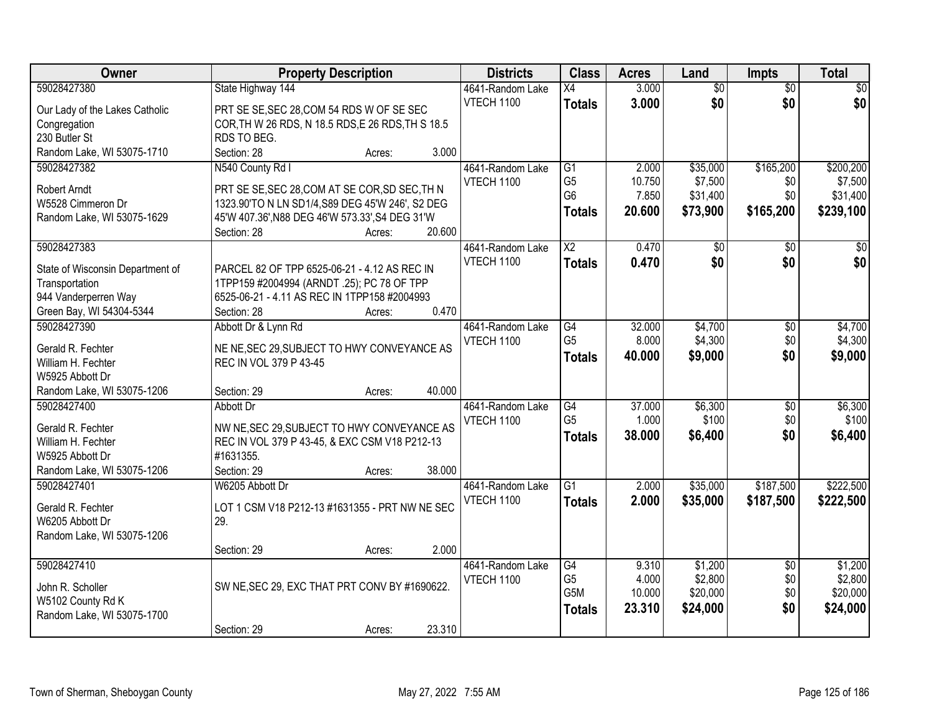| Owner                            | <b>Property Description</b>                       | <b>Districts</b>  | <b>Class</b>           | <b>Acres</b>    | Land               | <b>Impts</b>    | <b>Total</b>       |
|----------------------------------|---------------------------------------------------|-------------------|------------------------|-----------------|--------------------|-----------------|--------------------|
| 59028427380                      | State Highway 144                                 | 4641-Random Lake  | X4                     | 3.000           | $\overline{50}$    | $\overline{50}$ | $\overline{30}$    |
| Our Lady of the Lakes Catholic   | PRT SE SE, SEC 28, COM 54 RDS W OF SE SEC         | <b>VTECH 1100</b> | <b>Totals</b>          | 3.000           | \$0                | \$0             | \$0                |
| Congregation                     | COR, TH W 26 RDS, N 18.5 RDS, E 26 RDS, TH S 18.5 |                   |                        |                 |                    |                 |                    |
| 230 Butler St                    | RDS TO BEG.                                       |                   |                        |                 |                    |                 |                    |
| Random Lake, WI 53075-1710       | 3.000<br>Section: 28<br>Acres:                    |                   |                        |                 |                    |                 |                    |
| 59028427382                      | N540 County Rd I                                  | 4641-Random Lake  | $\overline{G1}$        | 2.000           | \$35,000           | \$165,200       | \$200,200          |
| Robert Arndt                     | PRT SE SE, SEC 28, COM AT SE COR, SD SEC, TH N    | <b>VTECH 1100</b> | G <sub>5</sub>         | 10.750          | \$7,500            | \$0             | \$7,500            |
| W5528 Cimmeron Dr                | 1323.90'TO N LN SD1/4, S89 DEG 45'W 246', S2 DEG  |                   | G <sub>6</sub>         | 7.850           | \$31,400           | \$0             | \$31,400           |
| Random Lake, WI 53075-1629       | 45'W 407.36', N88 DEG 46'W 573.33', S4 DEG 31'W   |                   | <b>Totals</b>          | 20.600          | \$73,900           | \$165,200       | \$239,100          |
|                                  | 20.600<br>Section: 28<br>Acres:                   |                   |                        |                 |                    |                 |                    |
| 59028427383                      |                                                   | 4641-Random Lake  | $\overline{\text{X2}}$ | 0.470           | $\overline{50}$    | $\overline{50}$ | $\overline{30}$    |
|                                  |                                                   | <b>VTECH 1100</b> | Totals                 | 0.470           | \$0                | \$0             | \$0                |
| State of Wisconsin Department of | PARCEL 82 OF TPP 6525-06-21 - 4.12 AS REC IN      |                   |                        |                 |                    |                 |                    |
| Transportation                   | 1TPP159 #2004994 (ARNDT .25); PC 78 OF TPP        |                   |                        |                 |                    |                 |                    |
| 944 Vanderperren Way             | 6525-06-21 - 4.11 AS REC IN 1TPP158 #2004993      |                   |                        |                 |                    |                 |                    |
| Green Bay, WI 54304-5344         | 0.470<br>Section: 28<br>Acres:                    |                   |                        |                 |                    |                 |                    |
| 59028427390                      | Abbott Dr & Lynn Rd                               | 4641-Random Lake  | G4<br>G <sub>5</sub>   | 32.000<br>8.000 | \$4,700<br>\$4,300 | \$0<br>\$0      | \$4,700<br>\$4,300 |
| Gerald R. Fechter                | NE NE, SEC 29, SUBJECT TO HWY CONVEYANCE AS       | <b>VTECH 1100</b> |                        |                 |                    |                 |                    |
| William H. Fechter               | REC IN VOL 379 P 43-45                            |                   | <b>Totals</b>          | 40.000          | \$9,000            | \$0             | \$9,000            |
| W5925 Abbott Dr                  |                                                   |                   |                        |                 |                    |                 |                    |
| Random Lake, WI 53075-1206       | 40.000<br>Section: 29<br>Acres:                   |                   |                        |                 |                    |                 |                    |
| 59028427400                      | Abbott Dr                                         | 4641-Random Lake  | $\overline{G4}$        | 37.000          | \$6,300            | $\overline{50}$ | \$6,300            |
| Gerald R. Fechter                | NW NE, SEC 29, SUBJECT TO HWY CONVEYANCE AS       | <b>VTECH 1100</b> | G <sub>5</sub>         | 1.000           | \$100              | \$0             | \$100              |
| William H. Fechter               | REC IN VOL 379 P 43-45, & EXC CSM V18 P212-13     |                   | <b>Totals</b>          | 38.000          | \$6,400            | \$0             | \$6,400            |
| W5925 Abbott Dr                  | #1631355.                                         |                   |                        |                 |                    |                 |                    |
| Random Lake, WI 53075-1206       | 38.000<br>Section: 29<br>Acres:                   |                   |                        |                 |                    |                 |                    |
| 59028427401                      | W6205 Abbott Dr                                   | 4641-Random Lake  | $\overline{G1}$        | 2.000           | \$35,000           | \$187,500       | \$222,500          |
| Gerald R. Fechter                | LOT 1 CSM V18 P212-13 #1631355 - PRT NW NE SEC    | VTECH 1100        | <b>Totals</b>          | 2.000           | \$35,000           | \$187,500       | \$222,500          |
| W6205 Abbott Dr                  | 29.                                               |                   |                        |                 |                    |                 |                    |
| Random Lake, WI 53075-1206       |                                                   |                   |                        |                 |                    |                 |                    |
|                                  | 2.000<br>Section: 29<br>Acres:                    |                   |                        |                 |                    |                 |                    |
| 59028427410                      |                                                   | 4641-Random Lake  | G4                     | 9.310           | \$1,200            | $\overline{50}$ | \$1,200            |
|                                  |                                                   | VTECH 1100        | G <sub>5</sub>         | 4.000           | \$2,800            | \$0             | \$2,800            |
| John R. Scholler                 | SW NE, SEC 29, EXC THAT PRT CONV BY #1690622.     |                   | G <sub>5</sub> M       | 10.000          | \$20,000           | \$0             | \$20,000           |
| W5102 County Rd K                |                                                   |                   | <b>Totals</b>          | 23.310          | \$24,000           | \$0             | \$24,000           |
| Random Lake, WI 53075-1700       |                                                   |                   |                        |                 |                    |                 |                    |
|                                  | 23.310<br>Section: 29<br>Acres:                   |                   |                        |                 |                    |                 |                    |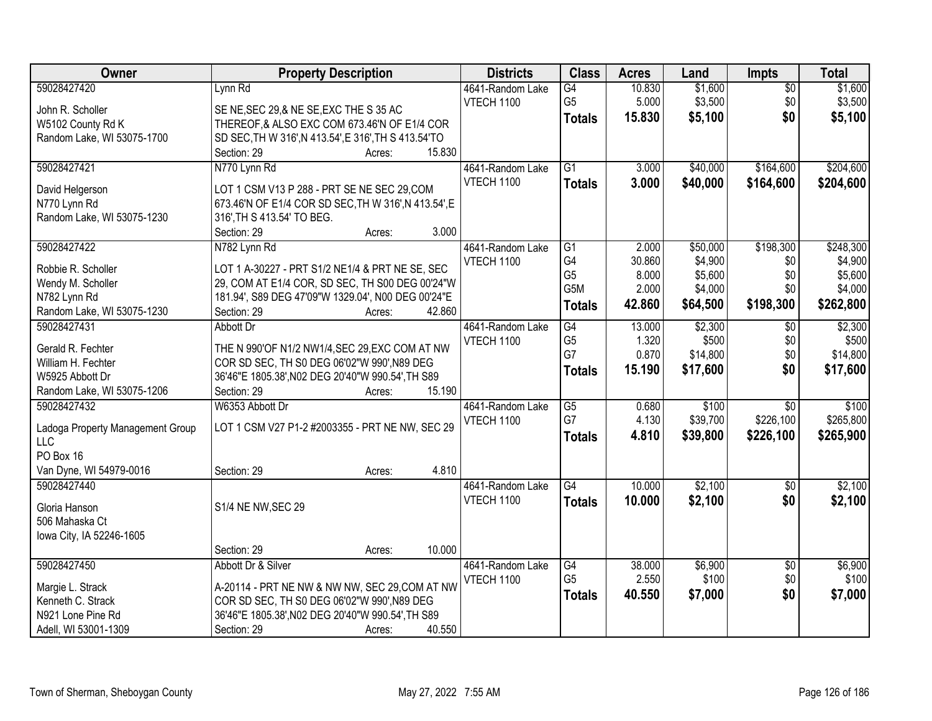| Owner                                      | <b>Property Description</b>                                                        | <b>Districts</b>                      | <b>Class</b>     | <b>Acres</b> | Land     | Impts           | <b>Total</b> |
|--------------------------------------------|------------------------------------------------------------------------------------|---------------------------------------|------------------|--------------|----------|-----------------|--------------|
| 59028427420                                | Lynn Rd                                                                            | 4641-Random Lake                      | G4               | 10.830       | \$1,600  | $\overline{50}$ | \$1,600      |
| John R. Scholler                           | SE NE, SEC 29, & NE SE, EXC THE S 35 AC                                            | VTECH 1100                            | G <sub>5</sub>   | 5.000        | \$3,500  | \$0             | \$3,500      |
| W5102 County Rd K                          | THEREOF, & ALSO EXC COM 673.46'N OF E1/4 COR                                       |                                       | <b>Totals</b>    | 15.830       | \$5,100  | \$0             | \$5,100      |
| Random Lake, WI 53075-1700                 | SD SEC, TH W 316', N 413.54', E 316', TH S 413.54'TO                               |                                       |                  |              |          |                 |              |
|                                            | Section: 29<br>15.830<br>Acres:                                                    |                                       |                  |              |          |                 |              |
| 59028427421                                | N770 Lynn Rd                                                                       | 4641-Random Lake                      | $\overline{G1}$  | 3.000        | \$40,000 | \$164,600       | \$204,600    |
|                                            |                                                                                    | <b>VTECH 1100</b>                     | <b>Totals</b>    | 3.000        | \$40,000 | \$164,600       | \$204,600    |
| David Helgerson                            | LOT 1 CSM V13 P 288 - PRT SE NE SEC 29, COM                                        |                                       |                  |              |          |                 |              |
| N770 Lynn Rd<br>Random Lake, WI 53075-1230 | 673.46'N OF E1/4 COR SD SEC, TH W 316', N 413.54', E<br>316', TH S 413.54' TO BEG. |                                       |                  |              |          |                 |              |
|                                            | 3.000<br>Section: 29<br>Acres:                                                     |                                       |                  |              |          |                 |              |
| 59028427422                                | N782 Lynn Rd                                                                       | 4641-Random Lake                      | G1               | 2.000        | \$50,000 | \$198,300       | \$248,300    |
|                                            |                                                                                    | VTECH 1100                            | G4               | 30.860       | \$4,900  | \$0             | \$4,900      |
| Robbie R. Scholler                         | LOT 1 A-30227 - PRT S1/2 NE1/4 & PRT NE SE, SEC                                    |                                       | G <sub>5</sub>   | 8.000        | \$5,600  | \$0             | \$5,600      |
| Wendy M. Scholler                          | 29, COM AT E1/4 COR, SD SEC, TH S00 DEG 00'24"W                                    |                                       | G <sub>5</sub> M | 2.000        | \$4,000  | \$0             | \$4,000      |
| N782 Lynn Rd                               | 181.94', S89 DEG 47'09"W 1329.04', N00 DEG 00'24"E                                 |                                       | <b>Totals</b>    | 42.860       | \$64,500 | \$198,300       | \$262,800    |
| Random Lake, WI 53075-1230                 | 42.860<br>Section: 29<br>Acres:                                                    |                                       |                  |              |          |                 |              |
| 59028427431                                | Abbott Dr                                                                          | 4641-Random Lake                      | $\overline{G4}$  | 13.000       | \$2,300  | \$0             | \$2,300      |
| Gerald R. Fechter                          | THE N 990'OF N1/2 NW1/4, SEC 29, EXC COM AT NW                                     | VTECH 1100                            | G <sub>5</sub>   | 1.320        | \$500    | \$0             | \$500        |
| William H. Fechter                         | COR SD SEC, TH S0 DEG 06'02"W 990', N89 DEG                                        |                                       | G7               | 0.870        | \$14,800 | \$0             | \$14,800     |
| W5925 Abbott Dr                            | 36'46"E 1805.38', N02 DEG 20'40"W 990.54', TH S89                                  |                                       | <b>Totals</b>    | 15.190       | \$17,600 | \$0             | \$17,600     |
| Random Lake, WI 53075-1206                 | Section: 29<br>15.190<br>Acres:                                                    |                                       |                  |              |          |                 |              |
| 59028427432                                | W6353 Abbott Dr                                                                    | 4641-Random Lake                      | $\overline{G5}$  | 0.680        | \$100    | $\overline{30}$ | \$100        |
|                                            |                                                                                    | VTECH 1100                            | G7               | 4.130        | \$39,700 | \$226,100       | \$265,800    |
| Ladoga Property Management Group           | LOT 1 CSM V27 P1-2 #2003355 - PRT NE NW, SEC 29                                    |                                       | <b>Totals</b>    | 4.810        | \$39,800 | \$226,100       | \$265,900    |
| LLC<br>PO Box 16                           |                                                                                    |                                       |                  |              |          |                 |              |
|                                            | 4.810                                                                              |                                       |                  |              |          |                 |              |
| Van Dyne, WI 54979-0016<br>59028427440     | Section: 29<br>Acres:                                                              |                                       | $\overline{G4}$  |              |          |                 |              |
|                                            |                                                                                    | 4641-Random Lake<br><b>VTECH 1100</b> |                  | 10.000       | \$2,100  | $\sqrt{6}$      | \$2,100      |
| Gloria Hanson                              | S1/4 NE NW, SEC 29                                                                 |                                       | <b>Totals</b>    | 10.000       | \$2,100  | \$0             | \$2,100      |
| 506 Mahaska Ct                             |                                                                                    |                                       |                  |              |          |                 |              |
| lowa City, IA 52246-1605                   |                                                                                    |                                       |                  |              |          |                 |              |
|                                            | 10.000<br>Section: 29<br>Acres:                                                    |                                       |                  |              |          |                 |              |
| 59028427450                                | Abbott Dr & Silver                                                                 | 4641-Random Lake                      | G4               | 38.000       | \$6,900  | $\overline{50}$ | \$6,900      |
| Margie L. Strack                           | A-20114 - PRT NE NW & NW NW, SEC 29, COM AT NW                                     | VTECH 1100                            | G <sub>5</sub>   | 2.550        | \$100    | \$0             | \$100        |
| Kenneth C. Strack                          | COR SD SEC, TH S0 DEG 06'02"W 990', N89 DEG                                        |                                       | <b>Totals</b>    | 40.550       | \$7,000  | \$0             | \$7,000      |
| N921 Lone Pine Rd                          | 36'46"E 1805.38', N02 DEG 20'40"W 990.54', TH S89                                  |                                       |                  |              |          |                 |              |
| Adell, WI 53001-1309                       | 40.550<br>Section: 29<br>Acres:                                                    |                                       |                  |              |          |                 |              |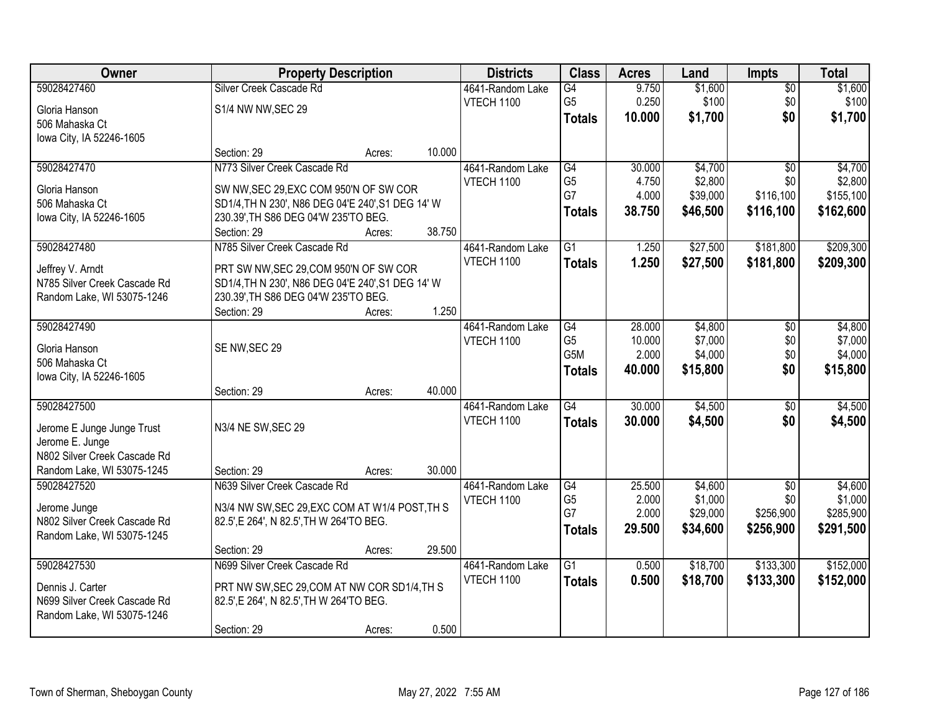| Owner                                            | <b>Property Description</b>                                                                |        |        | <b>Districts</b>  | <b>Class</b>    | <b>Acres</b> | Land     | <b>Impts</b>    | <b>Total</b> |
|--------------------------------------------------|--------------------------------------------------------------------------------------------|--------|--------|-------------------|-----------------|--------------|----------|-----------------|--------------|
| 59028427460                                      | Silver Creek Cascade Rd                                                                    |        |        | 4641-Random Lake  | $\overline{G4}$ | 9.750        | \$1,600  | $\overline{50}$ | \$1,600      |
| Gloria Hanson                                    | S1/4 NW NW, SEC 29                                                                         |        |        | VTECH 1100        | G <sub>5</sub>  | 0.250        | \$100    | \$0             | \$100        |
| 506 Mahaska Ct                                   |                                                                                            |        |        |                   | <b>Totals</b>   | 10.000       | \$1,700  | \$0             | \$1,700      |
| lowa City, IA 52246-1605                         |                                                                                            |        |        |                   |                 |              |          |                 |              |
|                                                  | Section: 29                                                                                | Acres: | 10.000 |                   |                 |              |          |                 |              |
| 59028427470                                      | N773 Silver Creek Cascade Rd                                                               |        |        | 4641-Random Lake  | G4              | 30.000       | \$4,700  | $\overline{50}$ | \$4,700      |
| Gloria Hanson                                    | SW NW, SEC 29, EXC COM 950'N OF SW COR                                                     |        |        | <b>VTECH 1100</b> | G <sub>5</sub>  | 4.750        | \$2,800  | \$0             | \$2,800      |
| 506 Mahaska Ct                                   | SD1/4, TH N 230', N86 DEG 04'E 240', S1 DEG 14' W                                          |        |        |                   | G7              | 4.000        | \$39,000 | \$116,100       | \$155,100    |
| lowa City, IA 52246-1605                         | 230.39', TH S86 DEG 04'W 235'TO BEG.                                                       |        |        |                   | <b>Totals</b>   | 38.750       | \$46,500 | \$116,100       | \$162,600    |
|                                                  | Section: 29                                                                                | Acres: | 38.750 |                   |                 |              |          |                 |              |
| 59028427480                                      | N785 Silver Creek Cascade Rd                                                               |        |        | 4641-Random Lake  | G1              | 1.250        | \$27,500 | \$181,800       | \$209,300    |
| Jeffrey V. Arndt                                 | PRT SW NW, SEC 29, COM 950'N OF SW COR                                                     |        |        | <b>VTECH 1100</b> | <b>Totals</b>   | 1.250        | \$27,500 | \$181,800       | \$209,300    |
| N785 Silver Creek Cascade Rd                     | SD1/4, TH N 230', N86 DEG 04'E 240', S1 DEG 14' W                                          |        |        |                   |                 |              |          |                 |              |
| Random Lake, WI 53075-1246                       | 230.39', TH S86 DEG 04'W 235'TO BEG.                                                       |        |        |                   |                 |              |          |                 |              |
|                                                  | Section: 29                                                                                | Acres: | 1.250  |                   |                 |              |          |                 |              |
| 59028427490                                      |                                                                                            |        |        | 4641-Random Lake  | G4              | 28.000       | \$4,800  | $\sqrt{6}$      | \$4,800      |
| Gloria Hanson                                    | SE NW, SEC 29                                                                              |        |        | VTECH 1100        | G <sub>5</sub>  | 10.000       | \$7,000  | \$0             | \$7,000      |
| 506 Mahaska Ct                                   |                                                                                            |        |        |                   | G5M             | 2.000        | \$4,000  | \$0             | \$4,000      |
| lowa City, IA 52246-1605                         |                                                                                            |        |        |                   | <b>Totals</b>   | 40.000       | \$15,800 | \$0             | \$15,800     |
|                                                  | Section: 29                                                                                | Acres: | 40.000 |                   |                 |              |          |                 |              |
| 59028427500                                      |                                                                                            |        |        | 4641-Random Lake  | G4              | 30.000       | \$4,500  | \$0             | \$4,500      |
|                                                  | N3/4 NE SW, SEC 29                                                                         |        |        | <b>VTECH 1100</b> | <b>Totals</b>   | 30.000       | \$4,500  | \$0             | \$4,500      |
| Jerome E Junge Junge Trust<br>Jerome E. Junge    |                                                                                            |        |        |                   |                 |              |          |                 |              |
| N802 Silver Creek Cascade Rd                     |                                                                                            |        |        |                   |                 |              |          |                 |              |
| Random Lake, WI 53075-1245                       | Section: 29                                                                                | Acres: | 30.000 |                   |                 |              |          |                 |              |
| 59028427520                                      | N639 Silver Creek Cascade Rd                                                               |        |        | 4641-Random Lake  | G4              | 25.500       | \$4,600  | $\overline{50}$ | \$4,600      |
|                                                  |                                                                                            |        |        | <b>VTECH 1100</b> | G <sub>5</sub>  | 2.000        | \$1,000  | \$0             | \$1,000      |
| Jerome Junge<br>N802 Silver Creek Cascade Rd     | N3/4 NW SW, SEC 29, EXC COM AT W1/4 POST, TH S<br>82.5', E 264', N 82.5', TH W 264'TO BEG. |        |        |                   | G7              | 2.000        | \$29,000 | \$256,900       | \$285,900    |
| Random Lake, WI 53075-1245                       |                                                                                            |        |        |                   | <b>Totals</b>   | 29.500       | \$34,600 | \$256,900       | \$291,500    |
|                                                  | Section: 29                                                                                | Acres: | 29.500 |                   |                 |              |          |                 |              |
| 59028427530                                      | N699 Silver Creek Cascade Rd                                                               |        |        | 4641-Random Lake  | $\overline{G1}$ | 0.500        | \$18,700 | \$133,300       | \$152,000    |
|                                                  |                                                                                            |        |        | <b>VTECH 1100</b> | <b>Totals</b>   | 0.500        | \$18,700 | \$133,300       | \$152,000    |
| Dennis J. Carter<br>N699 Silver Creek Cascade Rd | PRT NW SW, SEC 29, COM AT NW COR SD1/4, TH S                                               |        |        |                   |                 |              |          |                 |              |
| Random Lake, WI 53075-1246                       | 82.5', E 264', N 82.5', TH W 264'TO BEG.                                                   |        |        |                   |                 |              |          |                 |              |
|                                                  |                                                                                            |        |        |                   |                 |              |          |                 |              |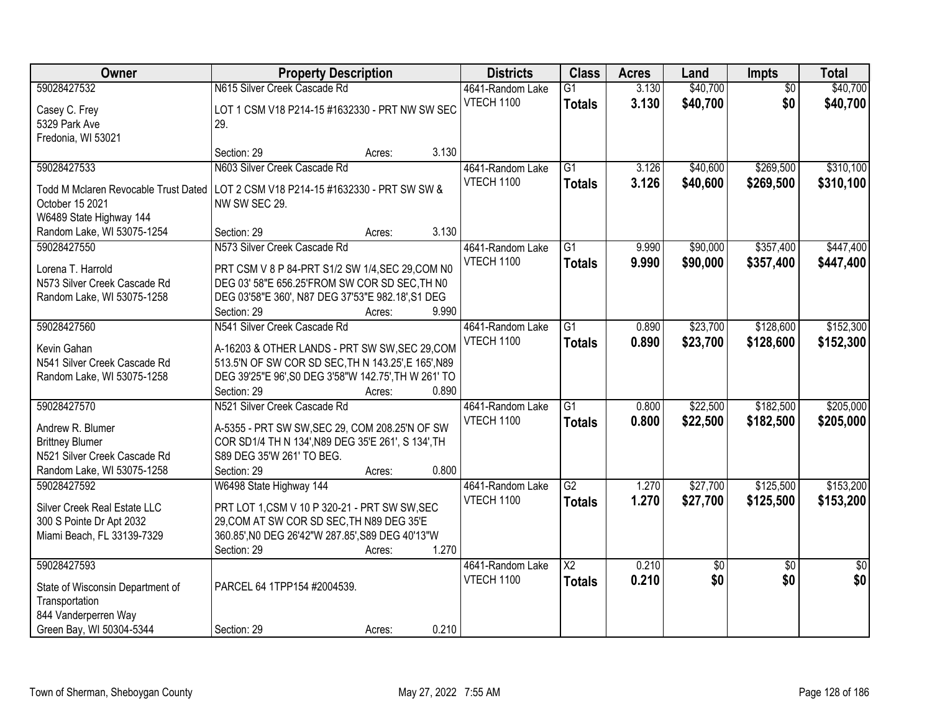| <b>Owner</b>                                          | <b>Property Description</b>                          | <b>Districts</b> | <b>Class</b>      | <b>Acres</b>           | Land  | <b>Impts</b>    | <b>Total</b>    |                 |
|-------------------------------------------------------|------------------------------------------------------|------------------|-------------------|------------------------|-------|-----------------|-----------------|-----------------|
| 59028427532                                           | N615 Silver Creek Cascade Rd                         |                  | 4641-Random Lake  | $\overline{G1}$        | 3.130 | \$40,700        | $\overline{50}$ | \$40,700        |
| Casey C. Frey                                         | LOT 1 CSM V18 P214-15 #1632330 - PRT NW SW SEC       |                  | VTECH 1100        | <b>Totals</b>          | 3.130 | \$40,700        | \$0             | \$40,700        |
| 5329 Park Ave                                         | 29.                                                  |                  |                   |                        |       |                 |                 |                 |
| Fredonia, WI 53021                                    |                                                      |                  |                   |                        |       |                 |                 |                 |
|                                                       | Section: 29                                          | 3.130<br>Acres:  |                   |                        |       |                 |                 |                 |
| 59028427533                                           | N603 Silver Creek Cascade Rd                         |                  | 4641-Random Lake  | $\overline{G1}$        | 3.126 | \$40,600        | \$269,500       | \$310,100       |
|                                                       |                                                      |                  | VTECH 1100        | <b>Totals</b>          | 3.126 | \$40,600        | \$269,500       | \$310,100       |
| <b>Todd M Mclaren Revocable Trust Dated</b>           | LOT 2 CSM V18 P214-15 #1632330 - PRT SW SW &         |                  |                   |                        |       |                 |                 |                 |
| October 15 2021                                       | NW SW SEC 29.                                        |                  |                   |                        |       |                 |                 |                 |
| W6489 State Highway 144<br>Random Lake, WI 53075-1254 | Section: 29                                          | 3.130            |                   |                        |       |                 |                 |                 |
| 59028427550                                           | N573 Silver Creek Cascade Rd                         | Acres:           | 4641-Random Lake  | G <sub>1</sub>         | 9.990 | \$90,000        | \$357,400       | \$447,400       |
|                                                       |                                                      |                  | <b>VTECH 1100</b> |                        |       |                 |                 |                 |
| Lorena T. Harrold                                     | PRT CSM V 8 P 84-PRT S1/2 SW 1/4, SEC 29, COM N0     |                  |                   | <b>Totals</b>          | 9.990 | \$90,000        | \$357,400       | \$447,400       |
| N573 Silver Creek Cascade Rd                          | DEG 03' 58"E 656.25'FROM SW COR SD SEC, TH N0        |                  |                   |                        |       |                 |                 |                 |
| Random Lake, WI 53075-1258                            | DEG 03'58"E 360', N87 DEG 37'53"E 982.18', S1 DEG    |                  |                   |                        |       |                 |                 |                 |
|                                                       | Section: 29                                          | 9.990<br>Acres:  |                   |                        |       |                 |                 |                 |
| 59028427560                                           | N541 Silver Creek Cascade Rd                         |                  | 4641-Random Lake  | G1                     | 0.890 | \$23,700        | \$128,600       | \$152,300       |
| Kevin Gahan                                           | A-16203 & OTHER LANDS - PRT SW SW, SEC 29, COM       |                  | <b>VTECH 1100</b> | <b>Totals</b>          | 0.890 | \$23,700        | \$128,600       | \$152,300       |
| N541 Silver Creek Cascade Rd                          | 513.5'N OF SW COR SD SEC, TH N 143.25', E 165', N89  |                  |                   |                        |       |                 |                 |                 |
| Random Lake, WI 53075-1258                            | DEG 39'25"E 96', S0 DEG 3'58"W 142.75', TH W 261' TO |                  |                   |                        |       |                 |                 |                 |
|                                                       | Section: 29                                          | 0.890<br>Acres:  |                   |                        |       |                 |                 |                 |
| 59028427570                                           | N521 Silver Creek Cascade Rd                         |                  | 4641-Random Lake  | $\overline{G1}$        | 0.800 | \$22,500        | \$182,500       | \$205,000       |
|                                                       |                                                      |                  | VTECH 1100        | <b>Totals</b>          | 0.800 | \$22,500        | \$182,500       | \$205,000       |
| Andrew R. Blumer                                      | A-5355 - PRT SW SW, SEC 29, COM 208.25'N OF SW       |                  |                   |                        |       |                 |                 |                 |
| <b>Brittney Blumer</b>                                | COR SD1/4 TH N 134', N89 DEG 35'E 261', S 134', TH   |                  |                   |                        |       |                 |                 |                 |
| N521 Silver Creek Cascade Rd                          | S89 DEG 35'W 261' TO BEG.                            |                  |                   |                        |       |                 |                 |                 |
| Random Lake, WI 53075-1258                            | Section: 29                                          | 0.800<br>Acres:  |                   |                        |       |                 |                 |                 |
| 59028427592                                           | W6498 State Highway 144                              |                  | 4641-Random Lake  | G2                     | 1.270 | \$27,700        | \$125,500       | \$153,200       |
| Silver Creek Real Estate LLC                          | PRT LOT 1, CSM V 10 P 320-21 - PRT SW SW, SEC        |                  | VTECH 1100        | <b>Totals</b>          | 1.270 | \$27,700        | \$125,500       | \$153,200       |
| 300 S Pointe Dr Apt 2032                              | 29, COM AT SW COR SD SEC, TH N89 DEG 35'E            |                  |                   |                        |       |                 |                 |                 |
| Miami Beach, FL 33139-7329                            | 360.85', NO DEG 26'42"W 287.85', S89 DEG 40'13"W     |                  |                   |                        |       |                 |                 |                 |
|                                                       | Section: 29                                          | 1.270<br>Acres:  |                   |                        |       |                 |                 |                 |
| 59028427593                                           |                                                      |                  | 4641-Random Lake  | $\overline{\text{X2}}$ | 0.210 | $\overline{50}$ | $\overline{50}$ | $\overline{50}$ |
|                                                       |                                                      |                  | VTECH 1100        | <b>Totals</b>          | 0.210 | \$0             | \$0             | \$0             |
| State of Wisconsin Department of                      | PARCEL 64 1TPP154 #2004539.                          |                  |                   |                        |       |                 |                 |                 |
| Transportation                                        |                                                      |                  |                   |                        |       |                 |                 |                 |
| 844 Vanderperren Way                                  |                                                      |                  |                   |                        |       |                 |                 |                 |
| Green Bay, WI 50304-5344                              | Section: 29                                          | 0.210<br>Acres:  |                   |                        |       |                 |                 |                 |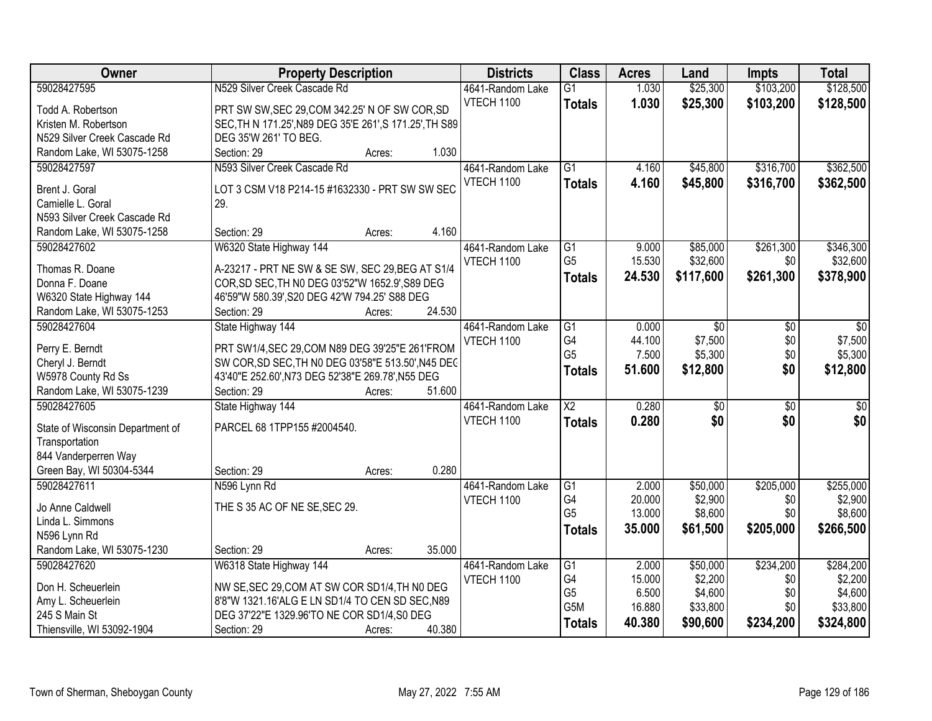| Owner                                  | <b>Property Description</b>                                                                           | <b>Districts</b>                      | <b>Class</b>           | <b>Acres</b>    | Land                 | <b>Impts</b>    | <b>Total</b>    |
|----------------------------------------|-------------------------------------------------------------------------------------------------------|---------------------------------------|------------------------|-----------------|----------------------|-----------------|-----------------|
| 59028427595                            | N529 Silver Creek Cascade Rd                                                                          | 4641-Random Lake                      | $\overline{G1}$        | 1.030           | \$25,300             | \$103,200       | \$128,500       |
| Todd A. Robertson                      | PRT SW SW, SEC 29, COM 342.25' N OF SW COR, SD                                                        | VTECH 1100                            | <b>Totals</b>          | 1.030           | \$25,300             | \$103,200       | \$128,500       |
| Kristen M. Robertson                   | SEC, TH N 171.25', N89 DEG 35'E 261', S 171.25', TH S89                                               |                                       |                        |                 |                      |                 |                 |
| N529 Silver Creek Cascade Rd           | DEG 35'W 261' TO BEG.                                                                                 |                                       |                        |                 |                      |                 |                 |
| Random Lake, WI 53075-1258             | 1.030<br>Section: 29<br>Acres:                                                                        |                                       |                        |                 |                      |                 |                 |
| 59028427597                            | N593 Silver Creek Cascade Rd                                                                          | 4641-Random Lake                      | $\overline{G1}$        | 4.160           | \$45,800             | \$316,700       | \$362,500       |
|                                        |                                                                                                       | <b>VTECH 1100</b>                     | <b>Totals</b>          | 4.160           | \$45,800             | \$316,700       | \$362,500       |
| Brent J. Goral                         | LOT 3 CSM V18 P214-15 #1632330 - PRT SW SW SEC                                                        |                                       |                        |                 |                      |                 |                 |
| Camielle L. Goral                      | 29.                                                                                                   |                                       |                        |                 |                      |                 |                 |
| N593 Silver Creek Cascade Rd           |                                                                                                       |                                       |                        |                 |                      |                 |                 |
| Random Lake, WI 53075-1258             | 4.160<br>Section: 29<br>Acres:                                                                        |                                       |                        |                 |                      |                 |                 |
| 59028427602                            | W6320 State Highway 144                                                                               | 4641-Random Lake<br><b>VTECH 1100</b> | G1<br>G <sub>5</sub>   | 9.000<br>15.530 | \$85,000<br>\$32,600 | \$261,300       | \$346,300       |
| Thomas R. Doane                        | A-23217 - PRT NE SW & SE SW, SEC 29, BEG AT S1/4                                                      |                                       |                        |                 |                      | \$0             | \$32,600        |
| Donna F. Doane                         | COR, SD SEC, TH N0 DEG 03'52"W 1652.9', S89 DEG                                                       |                                       | <b>Totals</b>          | 24.530          | \$117,600            | \$261,300       | \$378,900       |
| W6320 State Highway 144                | 46'59"W 580.39', S20 DEG 42'W 794.25' S88 DEG                                                         |                                       |                        |                 |                      |                 |                 |
| Random Lake, WI 53075-1253             | 24.530<br>Section: 29<br>Acres:                                                                       |                                       |                        |                 |                      |                 |                 |
| 59028427604                            | State Highway 144                                                                                     | 4641-Random Lake                      | $\overline{G1}$        | 0.000           | $\overline{50}$      | \$0             | \$0             |
|                                        |                                                                                                       | <b>VTECH 1100</b>                     | G4                     | 44.100          | \$7,500              | \$0             | \$7,500         |
| Perry E. Berndt                        | PRT SW1/4, SEC 29, COM N89 DEG 39'25"E 261'FROM<br>SW COR, SD SEC, TH N0 DEG 03'58"E 513.50', N45 DEC |                                       | G <sub>5</sub>         | 7.500           | \$5,300              | \$0             | \$5,300         |
| Cheryl J. Berndt<br>W5978 County Rd Ss | 43'40"E 252.60', N73 DEG 52'38"E 269.78', N55 DEG                                                     |                                       | <b>Totals</b>          | 51.600          | \$12,800             | \$0             | \$12,800        |
| Random Lake, WI 53075-1239             | 51.600<br>Section: 29                                                                                 |                                       |                        |                 |                      |                 |                 |
| 59028427605                            | Acres:                                                                                                |                                       | $\overline{\text{X2}}$ | 0.280           | $\overline{50}$      | $\overline{30}$ | $\overline{30}$ |
|                                        | State Highway 144                                                                                     | 4641-Random Lake<br><b>VTECH 1100</b> |                        |                 |                      |                 |                 |
| State of Wisconsin Department of       | PARCEL 68 1TPP155 #2004540.                                                                           |                                       | <b>Totals</b>          | 0.280           | \$0                  | \$0             | \$0             |
| Transportation                         |                                                                                                       |                                       |                        |                 |                      |                 |                 |
| 844 Vanderperren Way                   |                                                                                                       |                                       |                        |                 |                      |                 |                 |
| Green Bay, WI 50304-5344               | 0.280<br>Section: 29<br>Acres:                                                                        |                                       |                        |                 |                      |                 |                 |
| 59028427611                            | N596 Lynn Rd                                                                                          | 4641-Random Lake                      | $\overline{G1}$        | 2.000           | \$50,000             | \$205,000       | \$255,000       |
| Jo Anne Caldwell                       | THE S 35 AC OF NE SE, SEC 29.                                                                         | <b>VTECH 1100</b>                     | G4                     | 20.000          | \$2,900              | \$0             | \$2,900         |
| Linda L. Simmons                       |                                                                                                       |                                       | G <sub>5</sub>         | 13.000          | \$8,600              | \$0             | \$8,600         |
| N596 Lynn Rd                           |                                                                                                       |                                       | <b>Totals</b>          | 35.000          | \$61,500             | \$205,000       | \$266,500       |
| Random Lake, WI 53075-1230             | 35.000<br>Section: 29<br>Acres:                                                                       |                                       |                        |                 |                      |                 |                 |
| 59028427620                            | W6318 State Highway 144                                                                               | 4641-Random Lake                      | G1                     | 2.000           | \$50,000             | \$234,200       | \$284,200       |
|                                        |                                                                                                       | VTECH 1100                            | G4                     | 15.000          | \$2,200              | \$0             | \$2,200         |
| Don H. Scheuerlein                     | NW SE, SEC 29, COM AT SW COR SD1/4, TH N0 DEG                                                         |                                       | G <sub>5</sub>         | 6.500           | \$4,600              | \$0             | \$4,600         |
| Amy L. Scheuerlein                     | 8'8"W 1321.16'ALG E LN SD1/4 TO CEN SD SEC, N89                                                       |                                       | G <sub>5</sub> M       | 16.880          | \$33,800             | \$0             | \$33,800        |
| 245 S Main St                          | DEG 37'22"E 1329.96'TO NE COR SD1/4, S0 DEG                                                           |                                       | <b>Totals</b>          | 40.380          | \$90,600             | \$234,200       | \$324,800       |
| Thiensville, WI 53092-1904             | 40.380<br>Section: 29<br>Acres:                                                                       |                                       |                        |                 |                      |                 |                 |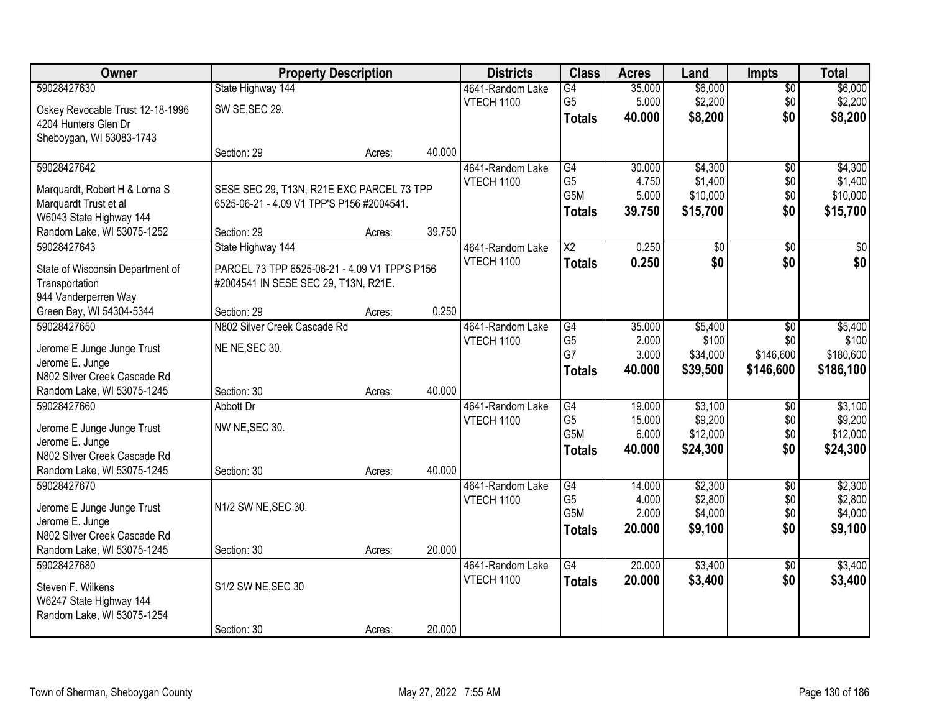| 59028427630<br>State Highway 144<br>\$6,000<br>\$6,000<br>4641-Random Lake<br>G4<br>35.000<br>$\sqrt{$0}$<br>G <sub>5</sub><br>\$2,200<br>\$2,200<br>5.000<br>VTECH 1100<br>\$0<br>SW SE, SEC 29.<br>Oskey Revocable Trust 12-18-1996<br>\$8,200<br>\$0<br>40.000<br>\$8,200<br><b>Totals</b><br>4204 Hunters Glen Dr<br>Sheboygan, WI 53083-1743<br>40.000<br>Section: 29<br>Acres:<br>59028427642<br>$\overline{G4}$<br>30.000<br>\$4,300<br>\$4,300<br>4641-Random Lake<br>\$0<br>G <sub>5</sub><br>4.750<br>\$1,400<br>\$1,400<br><b>VTECH 1100</b><br>\$0<br>SESE SEC 29, T13N, R21E EXC PARCEL 73 TPP<br>Marquardt, Robert H & Lorna S<br>G5M<br>5.000<br>\$10,000<br>\$0<br>\$10,000<br>Marquardt Trust et al<br>6525-06-21 - 4.09 V1 TPP'S P156 #2004541.<br>\$0<br>39.750<br>\$15,700<br>\$15,700<br><b>Totals</b><br>W6043 State Highway 144<br>39.750<br>Random Lake, WI 53075-1252<br>Section: 29<br>Acres:<br>59028427643<br>State Highway 144<br>$\overline{\text{X2}}$<br>0.250<br>$\overline{60}$<br>$\sqrt{50}$<br>4641-Random Lake<br>\$0<br>\$0 <br>\$0<br>\$0<br><b>VTECH 1100</b><br>0.250<br><b>Totals</b><br>PARCEL 73 TPP 6525-06-21 - 4.09 V1 TPP'S P156<br>State of Wisconsin Department of<br>#2004541 IN SESE SEC 29, T13N, R21E.<br>Transportation<br>944 Vanderperren Way<br>0.250<br>Green Bay, WI 54304-5344<br>Section: 29<br>Acres:<br>59028427650<br>\$5,400<br>N802 Silver Creek Cascade Rd<br>4641-Random Lake<br>G4<br>35.000<br>\$5,400<br>$\sqrt[6]{3}$<br>G <sub>5</sub><br>2.000<br>\$100<br>\$100<br>\$0<br>VTECH 1100<br>NE NE, SEC 30.<br>Jerome E Junge Junge Trust<br>G7<br>3.000<br>\$146,600<br>\$34,000<br>\$180,600<br>Jerome E. Junge<br>40.000<br>\$39,500<br>\$146,600<br>\$186,100<br><b>Totals</b><br>N802 Silver Creek Cascade Rd<br>40.000<br>Random Lake, WI 53075-1245<br>Section: 30<br>Acres:<br>\$3,100<br>59028427660<br>$\overline{G4}$<br>19.000<br>Abbott Dr<br>4641-Random Lake<br>\$0<br>G <sub>5</sub><br>15.000<br>\$9,200<br>\$0<br>VTECH 1100<br>NW NE, SEC 30.<br>Jerome E Junge Junge Trust<br>G <sub>5</sub> M<br>\$12,000<br>\$0<br>6.000<br>Jerome E. Junge<br>\$0<br>40.000<br>\$24,300<br>\$24,300<br><b>Totals</b><br>N802 Silver Creek Cascade Rd<br>40.000<br>Random Lake, WI 53075-1245<br>Section: 30<br>Acres:<br>G4<br>\$2,300<br>59028427670<br>14.000<br>$\overline{50}$<br>4641-Random Lake<br>G <sub>5</sub><br>\$2,800<br>4.000<br>\$0<br><b>VTECH 1100</b><br>N1/2 SW NE, SEC 30.<br>Jerome E Junge Junge Trust<br>G <sub>5</sub> M<br>\$4,000<br>2.000<br>\$0<br>Jerome E. Junge<br>\$9,100<br>20,000<br>\$9,100<br>\$0<br><b>Totals</b><br>N802 Silver Creek Cascade Rd<br>Random Lake, WI 53075-1245<br>20.000<br>Section: 30<br>Acres:<br>$\overline{G4}$<br>20.000<br>\$3,400<br>59028427680<br>4641-Random Lake<br>$\overline{50}$<br>\$0<br>20.000<br>\$3,400<br>\$3,400<br><b>VTECH 1100</b><br><b>Totals</b><br>S1/2 SW NE, SEC 30<br>Steven F. Wilkens<br>W6247 State Highway 144<br>Random Lake, WI 53075-1254 | Owner |             | <b>Property Description</b> |        | <b>Districts</b> | <b>Class</b> | <b>Acres</b> | Land | <b>Impts</b> | <b>Total</b> |
|------------------------------------------------------------------------------------------------------------------------------------------------------------------------------------------------------------------------------------------------------------------------------------------------------------------------------------------------------------------------------------------------------------------------------------------------------------------------------------------------------------------------------------------------------------------------------------------------------------------------------------------------------------------------------------------------------------------------------------------------------------------------------------------------------------------------------------------------------------------------------------------------------------------------------------------------------------------------------------------------------------------------------------------------------------------------------------------------------------------------------------------------------------------------------------------------------------------------------------------------------------------------------------------------------------------------------------------------------------------------------------------------------------------------------------------------------------------------------------------------------------------------------------------------------------------------------------------------------------------------------------------------------------------------------------------------------------------------------------------------------------------------------------------------------------------------------------------------------------------------------------------------------------------------------------------------------------------------------------------------------------------------------------------------------------------------------------------------------------------------------------------------------------------------------------------------------------------------------------------------------------------------------------------------------------------------------------------------------------------------------------------------------------------------------------------------------------------------------------------------------------------------------------------------------------------------------------------------------------------------------------------------------------------------------------------------------------------------------------------------------------------------------------------------------------------------------------------------------------------------------------------------------------------------------------------------------------------------------------------------------------------------|-------|-------------|-----------------------------|--------|------------------|--------------|--------------|------|--------------|--------------|
|                                                                                                                                                                                                                                                                                                                                                                                                                                                                                                                                                                                                                                                                                                                                                                                                                                                                                                                                                                                                                                                                                                                                                                                                                                                                                                                                                                                                                                                                                                                                                                                                                                                                                                                                                                                                                                                                                                                                                                                                                                                                                                                                                                                                                                                                                                                                                                                                                                                                                                                                                                                                                                                                                                                                                                                                                                                                                                                                                                                                                        |       |             |                             |        |                  |              |              |      |              |              |
|                                                                                                                                                                                                                                                                                                                                                                                                                                                                                                                                                                                                                                                                                                                                                                                                                                                                                                                                                                                                                                                                                                                                                                                                                                                                                                                                                                                                                                                                                                                                                                                                                                                                                                                                                                                                                                                                                                                                                                                                                                                                                                                                                                                                                                                                                                                                                                                                                                                                                                                                                                                                                                                                                                                                                                                                                                                                                                                                                                                                                        |       |             |                             |        |                  |              |              |      |              |              |
|                                                                                                                                                                                                                                                                                                                                                                                                                                                                                                                                                                                                                                                                                                                                                                                                                                                                                                                                                                                                                                                                                                                                                                                                                                                                                                                                                                                                                                                                                                                                                                                                                                                                                                                                                                                                                                                                                                                                                                                                                                                                                                                                                                                                                                                                                                                                                                                                                                                                                                                                                                                                                                                                                                                                                                                                                                                                                                                                                                                                                        |       |             |                             |        |                  |              |              |      |              |              |
|                                                                                                                                                                                                                                                                                                                                                                                                                                                                                                                                                                                                                                                                                                                                                                                                                                                                                                                                                                                                                                                                                                                                                                                                                                                                                                                                                                                                                                                                                                                                                                                                                                                                                                                                                                                                                                                                                                                                                                                                                                                                                                                                                                                                                                                                                                                                                                                                                                                                                                                                                                                                                                                                                                                                                                                                                                                                                                                                                                                                                        |       |             |                             |        |                  |              |              |      |              |              |
|                                                                                                                                                                                                                                                                                                                                                                                                                                                                                                                                                                                                                                                                                                                                                                                                                                                                                                                                                                                                                                                                                                                                                                                                                                                                                                                                                                                                                                                                                                                                                                                                                                                                                                                                                                                                                                                                                                                                                                                                                                                                                                                                                                                                                                                                                                                                                                                                                                                                                                                                                                                                                                                                                                                                                                                                                                                                                                                                                                                                                        |       |             |                             |        |                  |              |              |      |              |              |
|                                                                                                                                                                                                                                                                                                                                                                                                                                                                                                                                                                                                                                                                                                                                                                                                                                                                                                                                                                                                                                                                                                                                                                                                                                                                                                                                                                                                                                                                                                                                                                                                                                                                                                                                                                                                                                                                                                                                                                                                                                                                                                                                                                                                                                                                                                                                                                                                                                                                                                                                                                                                                                                                                                                                                                                                                                                                                                                                                                                                                        |       |             |                             |        |                  |              |              |      |              |              |
|                                                                                                                                                                                                                                                                                                                                                                                                                                                                                                                                                                                                                                                                                                                                                                                                                                                                                                                                                                                                                                                                                                                                                                                                                                                                                                                                                                                                                                                                                                                                                                                                                                                                                                                                                                                                                                                                                                                                                                                                                                                                                                                                                                                                                                                                                                                                                                                                                                                                                                                                                                                                                                                                                                                                                                                                                                                                                                                                                                                                                        |       |             |                             |        |                  |              |              |      |              |              |
|                                                                                                                                                                                                                                                                                                                                                                                                                                                                                                                                                                                                                                                                                                                                                                                                                                                                                                                                                                                                                                                                                                                                                                                                                                                                                                                                                                                                                                                                                                                                                                                                                                                                                                                                                                                                                                                                                                                                                                                                                                                                                                                                                                                                                                                                                                                                                                                                                                                                                                                                                                                                                                                                                                                                                                                                                                                                                                                                                                                                                        |       |             |                             |        |                  |              |              |      |              |              |
|                                                                                                                                                                                                                                                                                                                                                                                                                                                                                                                                                                                                                                                                                                                                                                                                                                                                                                                                                                                                                                                                                                                                                                                                                                                                                                                                                                                                                                                                                                                                                                                                                                                                                                                                                                                                                                                                                                                                                                                                                                                                                                                                                                                                                                                                                                                                                                                                                                                                                                                                                                                                                                                                                                                                                                                                                                                                                                                                                                                                                        |       |             |                             |        |                  |              |              |      |              |              |
|                                                                                                                                                                                                                                                                                                                                                                                                                                                                                                                                                                                                                                                                                                                                                                                                                                                                                                                                                                                                                                                                                                                                                                                                                                                                                                                                                                                                                                                                                                                                                                                                                                                                                                                                                                                                                                                                                                                                                                                                                                                                                                                                                                                                                                                                                                                                                                                                                                                                                                                                                                                                                                                                                                                                                                                                                                                                                                                                                                                                                        |       |             |                             |        |                  |              |              |      |              |              |
|                                                                                                                                                                                                                                                                                                                                                                                                                                                                                                                                                                                                                                                                                                                                                                                                                                                                                                                                                                                                                                                                                                                                                                                                                                                                                                                                                                                                                                                                                                                                                                                                                                                                                                                                                                                                                                                                                                                                                                                                                                                                                                                                                                                                                                                                                                                                                                                                                                                                                                                                                                                                                                                                                                                                                                                                                                                                                                                                                                                                                        |       |             |                             |        |                  |              |              |      |              |              |
|                                                                                                                                                                                                                                                                                                                                                                                                                                                                                                                                                                                                                                                                                                                                                                                                                                                                                                                                                                                                                                                                                                                                                                                                                                                                                                                                                                                                                                                                                                                                                                                                                                                                                                                                                                                                                                                                                                                                                                                                                                                                                                                                                                                                                                                                                                                                                                                                                                                                                                                                                                                                                                                                                                                                                                                                                                                                                                                                                                                                                        |       |             |                             |        |                  |              |              |      |              |              |
|                                                                                                                                                                                                                                                                                                                                                                                                                                                                                                                                                                                                                                                                                                                                                                                                                                                                                                                                                                                                                                                                                                                                                                                                                                                                                                                                                                                                                                                                                                                                                                                                                                                                                                                                                                                                                                                                                                                                                                                                                                                                                                                                                                                                                                                                                                                                                                                                                                                                                                                                                                                                                                                                                                                                                                                                                                                                                                                                                                                                                        |       |             |                             |        |                  |              |              |      |              |              |
|                                                                                                                                                                                                                                                                                                                                                                                                                                                                                                                                                                                                                                                                                                                                                                                                                                                                                                                                                                                                                                                                                                                                                                                                                                                                                                                                                                                                                                                                                                                                                                                                                                                                                                                                                                                                                                                                                                                                                                                                                                                                                                                                                                                                                                                                                                                                                                                                                                                                                                                                                                                                                                                                                                                                                                                                                                                                                                                                                                                                                        |       |             |                             |        |                  |              |              |      |              |              |
|                                                                                                                                                                                                                                                                                                                                                                                                                                                                                                                                                                                                                                                                                                                                                                                                                                                                                                                                                                                                                                                                                                                                                                                                                                                                                                                                                                                                                                                                                                                                                                                                                                                                                                                                                                                                                                                                                                                                                                                                                                                                                                                                                                                                                                                                                                                                                                                                                                                                                                                                                                                                                                                                                                                                                                                                                                                                                                                                                                                                                        |       |             |                             |        |                  |              |              |      |              |              |
|                                                                                                                                                                                                                                                                                                                                                                                                                                                                                                                                                                                                                                                                                                                                                                                                                                                                                                                                                                                                                                                                                                                                                                                                                                                                                                                                                                                                                                                                                                                                                                                                                                                                                                                                                                                                                                                                                                                                                                                                                                                                                                                                                                                                                                                                                                                                                                                                                                                                                                                                                                                                                                                                                                                                                                                                                                                                                                                                                                                                                        |       |             |                             |        |                  |              |              |      |              |              |
|                                                                                                                                                                                                                                                                                                                                                                                                                                                                                                                                                                                                                                                                                                                                                                                                                                                                                                                                                                                                                                                                                                                                                                                                                                                                                                                                                                                                                                                                                                                                                                                                                                                                                                                                                                                                                                                                                                                                                                                                                                                                                                                                                                                                                                                                                                                                                                                                                                                                                                                                                                                                                                                                                                                                                                                                                                                                                                                                                                                                                        |       |             |                             |        |                  |              |              |      |              |              |
| \$3,100<br>\$9,200<br>\$12,000<br>\$2,300<br>\$2,800<br>\$4,000<br>\$3,400                                                                                                                                                                                                                                                                                                                                                                                                                                                                                                                                                                                                                                                                                                                                                                                                                                                                                                                                                                                                                                                                                                                                                                                                                                                                                                                                                                                                                                                                                                                                                                                                                                                                                                                                                                                                                                                                                                                                                                                                                                                                                                                                                                                                                                                                                                                                                                                                                                                                                                                                                                                                                                                                                                                                                                                                                                                                                                                                             |       |             |                             |        |                  |              |              |      |              |              |
|                                                                                                                                                                                                                                                                                                                                                                                                                                                                                                                                                                                                                                                                                                                                                                                                                                                                                                                                                                                                                                                                                                                                                                                                                                                                                                                                                                                                                                                                                                                                                                                                                                                                                                                                                                                                                                                                                                                                                                                                                                                                                                                                                                                                                                                                                                                                                                                                                                                                                                                                                                                                                                                                                                                                                                                                                                                                                                                                                                                                                        |       |             |                             |        |                  |              |              |      |              |              |
|                                                                                                                                                                                                                                                                                                                                                                                                                                                                                                                                                                                                                                                                                                                                                                                                                                                                                                                                                                                                                                                                                                                                                                                                                                                                                                                                                                                                                                                                                                                                                                                                                                                                                                                                                                                                                                                                                                                                                                                                                                                                                                                                                                                                                                                                                                                                                                                                                                                                                                                                                                                                                                                                                                                                                                                                                                                                                                                                                                                                                        |       |             |                             |        |                  |              |              |      |              |              |
|                                                                                                                                                                                                                                                                                                                                                                                                                                                                                                                                                                                                                                                                                                                                                                                                                                                                                                                                                                                                                                                                                                                                                                                                                                                                                                                                                                                                                                                                                                                                                                                                                                                                                                                                                                                                                                                                                                                                                                                                                                                                                                                                                                                                                                                                                                                                                                                                                                                                                                                                                                                                                                                                                                                                                                                                                                                                                                                                                                                                                        |       |             |                             |        |                  |              |              |      |              |              |
|                                                                                                                                                                                                                                                                                                                                                                                                                                                                                                                                                                                                                                                                                                                                                                                                                                                                                                                                                                                                                                                                                                                                                                                                                                                                                                                                                                                                                                                                                                                                                                                                                                                                                                                                                                                                                                                                                                                                                                                                                                                                                                                                                                                                                                                                                                                                                                                                                                                                                                                                                                                                                                                                                                                                                                                                                                                                                                                                                                                                                        |       |             |                             |        |                  |              |              |      |              |              |
|                                                                                                                                                                                                                                                                                                                                                                                                                                                                                                                                                                                                                                                                                                                                                                                                                                                                                                                                                                                                                                                                                                                                                                                                                                                                                                                                                                                                                                                                                                                                                                                                                                                                                                                                                                                                                                                                                                                                                                                                                                                                                                                                                                                                                                                                                                                                                                                                                                                                                                                                                                                                                                                                                                                                                                                                                                                                                                                                                                                                                        |       |             |                             |        |                  |              |              |      |              |              |
|                                                                                                                                                                                                                                                                                                                                                                                                                                                                                                                                                                                                                                                                                                                                                                                                                                                                                                                                                                                                                                                                                                                                                                                                                                                                                                                                                                                                                                                                                                                                                                                                                                                                                                                                                                                                                                                                                                                                                                                                                                                                                                                                                                                                                                                                                                                                                                                                                                                                                                                                                                                                                                                                                                                                                                                                                                                                                                                                                                                                                        |       |             |                             |        |                  |              |              |      |              |              |
|                                                                                                                                                                                                                                                                                                                                                                                                                                                                                                                                                                                                                                                                                                                                                                                                                                                                                                                                                                                                                                                                                                                                                                                                                                                                                                                                                                                                                                                                                                                                                                                                                                                                                                                                                                                                                                                                                                                                                                                                                                                                                                                                                                                                                                                                                                                                                                                                                                                                                                                                                                                                                                                                                                                                                                                                                                                                                                                                                                                                                        |       |             |                             |        |                  |              |              |      |              |              |
|                                                                                                                                                                                                                                                                                                                                                                                                                                                                                                                                                                                                                                                                                                                                                                                                                                                                                                                                                                                                                                                                                                                                                                                                                                                                                                                                                                                                                                                                                                                                                                                                                                                                                                                                                                                                                                                                                                                                                                                                                                                                                                                                                                                                                                                                                                                                                                                                                                                                                                                                                                                                                                                                                                                                                                                                                                                                                                                                                                                                                        |       |             |                             |        |                  |              |              |      |              |              |
|                                                                                                                                                                                                                                                                                                                                                                                                                                                                                                                                                                                                                                                                                                                                                                                                                                                                                                                                                                                                                                                                                                                                                                                                                                                                                                                                                                                                                                                                                                                                                                                                                                                                                                                                                                                                                                                                                                                                                                                                                                                                                                                                                                                                                                                                                                                                                                                                                                                                                                                                                                                                                                                                                                                                                                                                                                                                                                                                                                                                                        |       |             |                             |        |                  |              |              |      |              |              |
|                                                                                                                                                                                                                                                                                                                                                                                                                                                                                                                                                                                                                                                                                                                                                                                                                                                                                                                                                                                                                                                                                                                                                                                                                                                                                                                                                                                                                                                                                                                                                                                                                                                                                                                                                                                                                                                                                                                                                                                                                                                                                                                                                                                                                                                                                                                                                                                                                                                                                                                                                                                                                                                                                                                                                                                                                                                                                                                                                                                                                        |       |             |                             |        |                  |              |              |      |              |              |
|                                                                                                                                                                                                                                                                                                                                                                                                                                                                                                                                                                                                                                                                                                                                                                                                                                                                                                                                                                                                                                                                                                                                                                                                                                                                                                                                                                                                                                                                                                                                                                                                                                                                                                                                                                                                                                                                                                                                                                                                                                                                                                                                                                                                                                                                                                                                                                                                                                                                                                                                                                                                                                                                                                                                                                                                                                                                                                                                                                                                                        |       |             |                             |        |                  |              |              |      |              |              |
|                                                                                                                                                                                                                                                                                                                                                                                                                                                                                                                                                                                                                                                                                                                                                                                                                                                                                                                                                                                                                                                                                                                                                                                                                                                                                                                                                                                                                                                                                                                                                                                                                                                                                                                                                                                                                                                                                                                                                                                                                                                                                                                                                                                                                                                                                                                                                                                                                                                                                                                                                                                                                                                                                                                                                                                                                                                                                                                                                                                                                        |       |             |                             |        |                  |              |              |      |              |              |
|                                                                                                                                                                                                                                                                                                                                                                                                                                                                                                                                                                                                                                                                                                                                                                                                                                                                                                                                                                                                                                                                                                                                                                                                                                                                                                                                                                                                                                                                                                                                                                                                                                                                                                                                                                                                                                                                                                                                                                                                                                                                                                                                                                                                                                                                                                                                                                                                                                                                                                                                                                                                                                                                                                                                                                                                                                                                                                                                                                                                                        |       |             |                             |        |                  |              |              |      |              |              |
|                                                                                                                                                                                                                                                                                                                                                                                                                                                                                                                                                                                                                                                                                                                                                                                                                                                                                                                                                                                                                                                                                                                                                                                                                                                                                                                                                                                                                                                                                                                                                                                                                                                                                                                                                                                                                                                                                                                                                                                                                                                                                                                                                                                                                                                                                                                                                                                                                                                                                                                                                                                                                                                                                                                                                                                                                                                                                                                                                                                                                        |       |             |                             |        |                  |              |              |      |              |              |
|                                                                                                                                                                                                                                                                                                                                                                                                                                                                                                                                                                                                                                                                                                                                                                                                                                                                                                                                                                                                                                                                                                                                                                                                                                                                                                                                                                                                                                                                                                                                                                                                                                                                                                                                                                                                                                                                                                                                                                                                                                                                                                                                                                                                                                                                                                                                                                                                                                                                                                                                                                                                                                                                                                                                                                                                                                                                                                                                                                                                                        |       |             |                             |        |                  |              |              |      |              |              |
|                                                                                                                                                                                                                                                                                                                                                                                                                                                                                                                                                                                                                                                                                                                                                                                                                                                                                                                                                                                                                                                                                                                                                                                                                                                                                                                                                                                                                                                                                                                                                                                                                                                                                                                                                                                                                                                                                                                                                                                                                                                                                                                                                                                                                                                                                                                                                                                                                                                                                                                                                                                                                                                                                                                                                                                                                                                                                                                                                                                                                        |       |             |                             |        |                  |              |              |      |              |              |
|                                                                                                                                                                                                                                                                                                                                                                                                                                                                                                                                                                                                                                                                                                                                                                                                                                                                                                                                                                                                                                                                                                                                                                                                                                                                                                                                                                                                                                                                                                                                                                                                                                                                                                                                                                                                                                                                                                                                                                                                                                                                                                                                                                                                                                                                                                                                                                                                                                                                                                                                                                                                                                                                                                                                                                                                                                                                                                                                                                                                                        |       | Section: 30 | Acres:                      | 20.000 |                  |              |              |      |              |              |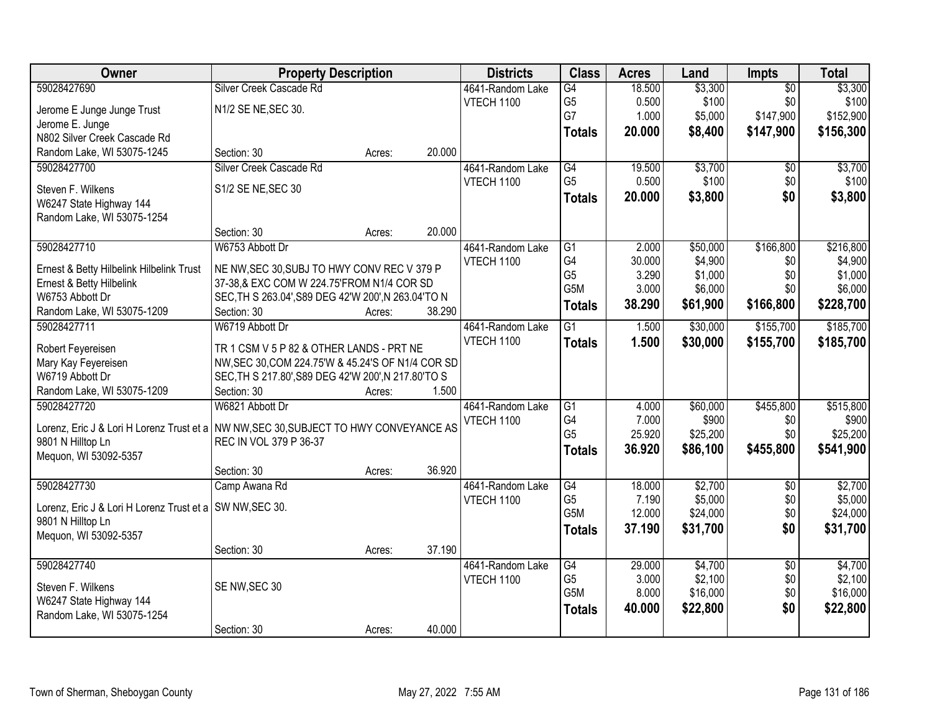| Owner                                                                                 | <b>Property Description</b>                                                                   |        |        | <b>Districts</b>  | <b>Class</b>         | <b>Acres</b>    | Land               | Impts           | <b>Total</b>       |
|---------------------------------------------------------------------------------------|-----------------------------------------------------------------------------------------------|--------|--------|-------------------|----------------------|-----------------|--------------------|-----------------|--------------------|
| 59028427690                                                                           | Silver Creek Cascade Rd                                                                       |        |        | 4641-Random Lake  | G4                   | 18.500          | \$3,300            | $\overline{50}$ | \$3,300            |
| Jerome E Junge Junge Trust                                                            | N1/2 SE NE, SEC 30.                                                                           |        |        | VTECH 1100        | G <sub>5</sub>       | 0.500           | \$100              | \$0             | \$100              |
| Jerome E. Junge                                                                       |                                                                                               |        |        |                   | G7                   | 1.000           | \$5,000            | \$147,900       | \$152,900          |
| N802 Silver Creek Cascade Rd                                                          |                                                                                               |        |        |                   | <b>Totals</b>        | 20.000          | \$8,400            | \$147,900       | \$156,300          |
| Random Lake, WI 53075-1245                                                            | Section: 30                                                                                   | Acres: | 20.000 |                   |                      |                 |                    |                 |                    |
| 59028427700                                                                           | Silver Creek Cascade Rd                                                                       |        |        | 4641-Random Lake  | G4                   | 19.500          | \$3,700            | \$0             | \$3,700            |
|                                                                                       |                                                                                               |        |        | <b>VTECH 1100</b> | G <sub>5</sub>       | 0.500           | \$100              | \$0             | \$100              |
| Steven F. Wilkens                                                                     | S1/2 SE NE, SEC 30                                                                            |        |        |                   | <b>Totals</b>        | 20.000          | \$3,800            | \$0             | \$3,800            |
| W6247 State Highway 144                                                               |                                                                                               |        |        |                   |                      |                 |                    |                 |                    |
| Random Lake, WI 53075-1254                                                            |                                                                                               |        |        |                   |                      |                 |                    |                 |                    |
|                                                                                       | Section: 30                                                                                   | Acres: | 20.000 |                   |                      |                 |                    |                 |                    |
| 59028427710                                                                           | W6753 Abbott Dr                                                                               |        |        | 4641-Random Lake  | $\overline{G1}$      | 2.000           | \$50,000           | \$166,800       | \$216,800          |
| Ernest & Betty Hilbelink Hilbelink Trust                                              | NE NW, SEC 30, SUBJ TO HWY CONV REC V 379 P                                                   |        |        | VTECH 1100        | G4<br>G <sub>5</sub> | 30.000<br>3.290 | \$4,900<br>\$1,000 | \$0<br>\$0      | \$4,900<br>\$1,000 |
| Ernest & Betty Hilbelink                                                              | 37-38,& EXC COM W 224.75'FROM N1/4 COR SD                                                     |        |        |                   | G5M                  | 3.000           | \$6,000            | \$0             | \$6,000            |
| W6753 Abbott Dr                                                                       | SEC, TH S 263.04', S89 DEG 42'W 200', N 263.04'TO N                                           |        |        |                   |                      |                 |                    |                 |                    |
| Random Lake, WI 53075-1209                                                            | Section: 30                                                                                   | Acres: | 38.290 |                   | <b>Totals</b>        | 38.290          | \$61,900           | \$166,800       | \$228,700          |
| 59028427711                                                                           | W6719 Abbott Dr                                                                               |        |        | 4641-Random Lake  | G1                   | 1.500           | \$30,000           | \$155,700       | \$185,700          |
|                                                                                       |                                                                                               |        |        | VTECH 1100        | <b>Totals</b>        | 1.500           | \$30,000           | \$155,700       | \$185,700          |
| Robert Feyereisen                                                                     | TR 1 CSM V 5 P 82 & OTHER LANDS - PRT NE<br>NW, SEC 30, COM 224.75'W & 45.24'S OF N1/4 COR SD |        |        |                   |                      |                 |                    |                 |                    |
| Mary Kay Feyereisen<br>W6719 Abbott Dr                                                | SEC, TH S 217.80', S89 DEG 42'W 200', N 217.80'TO S                                           |        |        |                   |                      |                 |                    |                 |                    |
| Random Lake, WI 53075-1209                                                            | Section: 30                                                                                   | Acres: | 1.500  |                   |                      |                 |                    |                 |                    |
| 59028427720                                                                           | W6821 Abbott Dr                                                                               |        |        | 4641-Random Lake  | $\overline{G1}$      | 4.000           | \$60,000           | \$455,800       | \$515,800          |
|                                                                                       |                                                                                               |        |        |                   | G <sub>4</sub>       | 7.000           | \$900              | \$0             | \$900              |
| Lorenz, Eric J & Lori H Lorenz Trust et a NW NW, SEC 30, SUBJECT TO HWY CONVEYANCE AS |                                                                                               |        |        | VTECH 1100        | G <sub>5</sub>       | 25.920          | \$25,200           | \$0             | \$25,200           |
| 9801 N Hilltop Ln                                                                     | REC IN VOL 379 P 36-37                                                                        |        |        |                   |                      | 36.920          | \$86,100           | \$455,800       | \$541,900          |
| Mequon, WI 53092-5357                                                                 |                                                                                               |        |        |                   | <b>Totals</b>        |                 |                    |                 |                    |
|                                                                                       | Section: 30                                                                                   | Acres: | 36.920 |                   |                      |                 |                    |                 |                    |
| 59028427730                                                                           | Camp Awana Rd                                                                                 |        |        | 4641-Random Lake  | G4                   | 18.000          | \$2,700            | $\overline{50}$ | \$2,700            |
| Lorenz, Eric J & Lori H Lorenz Trust et a SW NW, SEC 30.                              |                                                                                               |        |        | VTECH 1100        | G <sub>5</sub>       | 7.190           | \$5,000            | \$0             | \$5,000            |
| 9801 N Hilltop Ln                                                                     |                                                                                               |        |        |                   | G <sub>5</sub> M     | 12.000          | \$24,000           | \$0             | \$24,000           |
| Mequon, WI 53092-5357                                                                 |                                                                                               |        |        |                   | <b>Totals</b>        | 37.190          | \$31,700           | \$0             | \$31,700           |
|                                                                                       | Section: 30                                                                                   | Acres: | 37.190 |                   |                      |                 |                    |                 |                    |
| 59028427740                                                                           |                                                                                               |        |        | 4641-Random Lake  | $\overline{G4}$      | 29.000          | \$4,700            | $\overline{50}$ | \$4,700            |
|                                                                                       |                                                                                               |        |        | VTECH 1100        | G <sub>5</sub>       | 3.000           | \$2,100            | \$0             | \$2,100            |
| Steven F. Wilkens                                                                     | SE NW, SEC 30                                                                                 |        |        |                   | G <sub>5</sub> M     | 8.000           | \$16,000           | \$0             | \$16,000           |
| W6247 State Highway 144                                                               |                                                                                               |        |        |                   | <b>Totals</b>        | 40.000          | \$22,800           | \$0             | \$22,800           |
| Random Lake, WI 53075-1254                                                            |                                                                                               |        |        |                   |                      |                 |                    |                 |                    |
|                                                                                       | Section: 30                                                                                   | Acres: | 40.000 |                   |                      |                 |                    |                 |                    |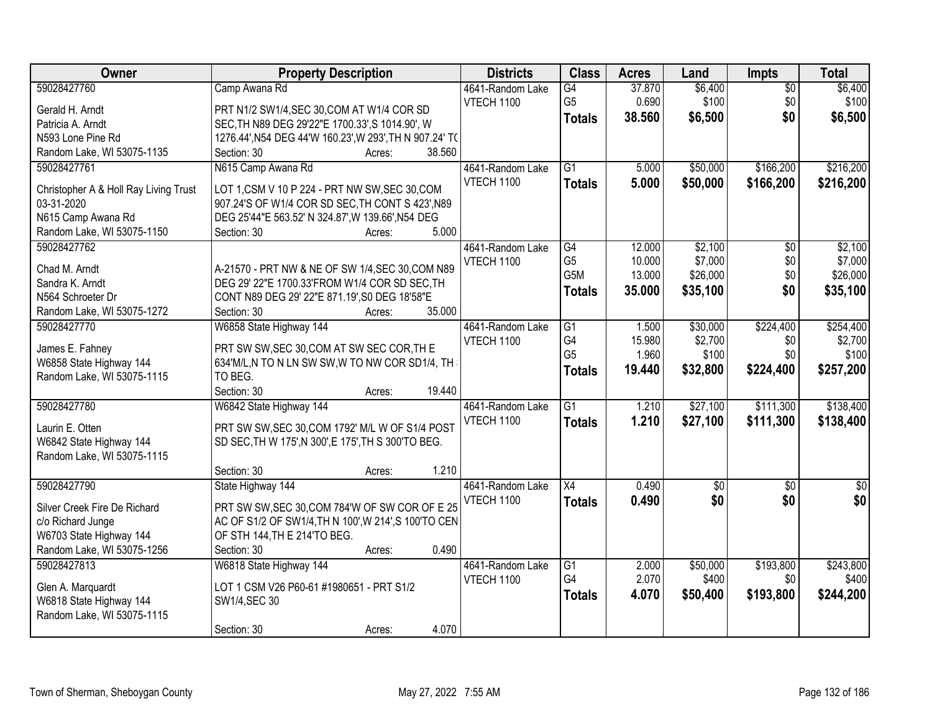| Owner                                 | <b>Property Description</b>                             | <b>Districts</b>  | <b>Class</b>    | <b>Acres</b> | Land            | <b>Impts</b>    | <b>Total</b>    |
|---------------------------------------|---------------------------------------------------------|-------------------|-----------------|--------------|-----------------|-----------------|-----------------|
| 59028427760                           | Camp Awana Rd                                           | 4641-Random Lake  | $\overline{G4}$ | 37.870       | \$6,400         | $\overline{50}$ | \$6,400         |
| Gerald H. Arndt                       | PRT N1/2 SW1/4, SEC 30, COM AT W1/4 COR SD              | <b>VTECH 1100</b> | G <sub>5</sub>  | 0.690        | \$100           | \$0             | \$100           |
| Patricia A. Arndt                     | SEC, TH N89 DEG 29'22"E 1700.33', S 1014.90', W         |                   | <b>Totals</b>   | 38.560       | \$6,500         | \$0             | \$6,500         |
| N593 Lone Pine Rd                     | 1276.44', N54 DEG 44'W 160.23', W 293', TH N 907.24' TO |                   |                 |              |                 |                 |                 |
| Random Lake, WI 53075-1135            | 38.560<br>Section: 30<br>Acres:                         |                   |                 |              |                 |                 |                 |
| 59028427761                           | N615 Camp Awana Rd                                      | 4641-Random Lake  | $\overline{G1}$ | 5.000        | \$50,000        | \$166,200       | \$216,200       |
|                                       |                                                         | <b>VTECH 1100</b> | <b>Totals</b>   | 5.000        | \$50,000        | \$166,200       | \$216,200       |
| Christopher A & Holl Ray Living Trust | LOT 1,CSM V 10 P 224 - PRT NW SW, SEC 30, COM           |                   |                 |              |                 |                 |                 |
| 03-31-2020                            | 907.24'S OF W1/4 COR SD SEC, TH CONT S 423', N89        |                   |                 |              |                 |                 |                 |
| N615 Camp Awana Rd                    | DEG 25'44"E 563.52' N 324.87', W 139.66', N54 DEG       |                   |                 |              |                 |                 |                 |
| Random Lake, WI 53075-1150            | 5.000<br>Section: 30<br>Acres:                          |                   |                 |              |                 |                 |                 |
| 59028427762                           |                                                         | 4641-Random Lake  | G4              | 12.000       | \$2,100         | $\overline{50}$ | \$2,100         |
| Chad M. Arndt                         | A-21570 - PRT NW & NE OF SW 1/4, SEC 30, COM N89        | <b>VTECH 1100</b> | G <sub>5</sub>  | 10.000       | \$7,000         | \$0             | \$7,000         |
| Sandra K. Arndt                       | DEG 29' 22"E 1700.33'FROM W1/4 COR SD SEC, TH           |                   | G5M             | 13.000       | \$26,000        | \$0             | \$26,000        |
| N564 Schroeter Dr                     | CONT N89 DEG 29' 22"E 871.19', S0 DEG 18'58"E           |                   | <b>Totals</b>   | 35.000       | \$35,100        | \$0             | \$35,100        |
| Random Lake, WI 53075-1272            | 35.000<br>Section: 30<br>Acres:                         |                   |                 |              |                 |                 |                 |
| 59028427770                           | W6858 State Highway 144                                 | 4641-Random Lake  | $\overline{G1}$ | 1.500        | \$30,000        | \$224,400       | \$254,400       |
|                                       |                                                         | <b>VTECH 1100</b> | G4              | 15.980       | \$2,700         | \$0             | \$2,700         |
| James E. Fahney                       | PRT SW SW, SEC 30, COM AT SW SEC COR, TH E              |                   | G <sub>5</sub>  | 1.960        | \$100           | \$0             | \$100           |
| W6858 State Highway 144               | 634'M/L,N TO N LN SW SW,W TO NW COR SD1/4, TH           |                   | <b>Totals</b>   | 19.440       | \$32,800        | \$224,400       | \$257,200       |
| Random Lake, WI 53075-1115            | TO BEG.                                                 |                   |                 |              |                 |                 |                 |
|                                       | 19.440<br>Section: 30<br>Acres:                         |                   |                 |              |                 |                 |                 |
| 59028427780                           | W6842 State Highway 144                                 | 4641-Random Lake  | $\overline{G1}$ | 1.210        | \$27,100        | \$111,300       | \$138,400       |
| Laurin E. Otten                       | PRT SW SW, SEC 30, COM 1792' M/L W OF S1/4 POST         | VTECH 1100        | <b>Totals</b>   | 1.210        | \$27,100        | \$111,300       | \$138,400       |
| W6842 State Highway 144               | SD SEC, TH W 175', N 300', E 175', TH S 300'TO BEG.     |                   |                 |              |                 |                 |                 |
| Random Lake, WI 53075-1115            |                                                         |                   |                 |              |                 |                 |                 |
|                                       | 1.210<br>Section: 30                                    |                   |                 |              |                 |                 |                 |
|                                       | Acres:                                                  |                   |                 |              |                 |                 |                 |
| 59028427790                           | State Highway 144                                       | 4641-Random Lake  | X4              | 0.490        | $\overline{50}$ | $\overline{50}$ | $\overline{30}$ |
| Silver Creek Fire De Richard          | PRT SW SW, SEC 30, COM 784'W OF SW COR OF E 25          | <b>VTECH 1100</b> | <b>Totals</b>   | 0.490        | \$0             | \$0             | \$0             |
| c/o Richard Junge                     | AC OF S1/2 OF SW1/4, TH N 100', W 214', S 100'TO CEN    |                   |                 |              |                 |                 |                 |
| W6703 State Highway 144               | OF STH 144, TH E 214'TO BEG.                            |                   |                 |              |                 |                 |                 |
| Random Lake, WI 53075-1256            | 0.490<br>Section: 30<br>Acres:                          |                   |                 |              |                 |                 |                 |
| 59028427813                           | W6818 State Highway 144                                 | 4641-Random Lake  | $\overline{G1}$ | 2.000        | \$50,000        | \$193,800       | \$243,800       |
|                                       |                                                         | <b>VTECH 1100</b> | G4              | 2.070        | \$400           | \$0             | \$400           |
| Glen A. Marquardt                     | LOT 1 CSM V26 P60-61 #1980651 - PRT S1/2                |                   | <b>Totals</b>   | 4.070        | \$50,400        | \$193,800       | \$244,200       |
| W6818 State Highway 144               | SW1/4, SEC 30                                           |                   |                 |              |                 |                 |                 |
| Random Lake, WI 53075-1115            |                                                         |                   |                 |              |                 |                 |                 |
|                                       | 4.070<br>Section: 30<br>Acres:                          |                   |                 |              |                 |                 |                 |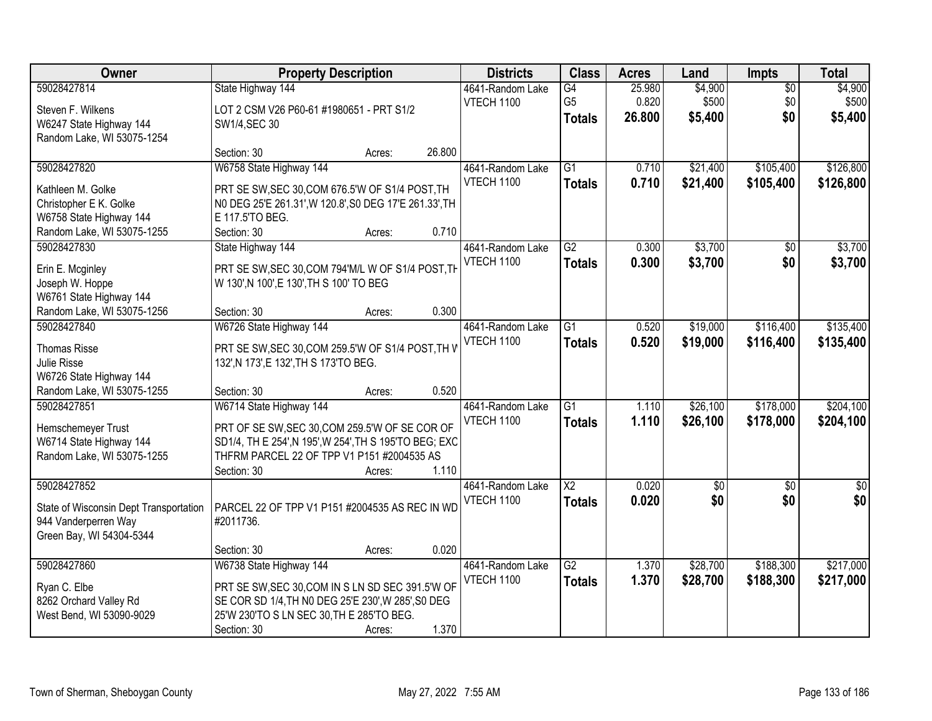| Owner                                  | <b>Property Description</b>                                 |        |        | <b>Districts</b>  | <b>Class</b>    | <b>Acres</b> | Land        | <b>Impts</b>    | <b>Total</b>  |
|----------------------------------------|-------------------------------------------------------------|--------|--------|-------------------|-----------------|--------------|-------------|-----------------|---------------|
| 59028427814                            | State Highway 144                                           |        |        | 4641-Random Lake  | $\overline{G4}$ | 25.980       | \$4,900     | $\overline{50}$ | \$4,900       |
| Steven F. Wilkens                      | LOT 2 CSM V26 P60-61 #1980651 - PRT S1/2                    |        |        | <b>VTECH 1100</b> | G <sub>5</sub>  | 0.820        | \$500       | \$0             | \$500         |
| W6247 State Highway 144                | SW1/4, SEC 30                                               |        |        |                   | <b>Totals</b>   | 26.800       | \$5,400     | \$0             | \$5,400       |
| Random Lake, WI 53075-1254             |                                                             |        |        |                   |                 |              |             |                 |               |
|                                        | Section: 30                                                 | Acres: | 26.800 |                   |                 |              |             |                 |               |
| 59028427820                            | W6758 State Highway 144                                     |        |        | 4641-Random Lake  | $\overline{G1}$ | 0.710        | \$21,400    | \$105,400       | \$126,800     |
| Kathleen M. Golke                      | PRT SE SW, SEC 30, COM 676.5'W OF S1/4 POST, TH             |        |        | <b>VTECH 1100</b> | <b>Totals</b>   | 0.710        | \$21,400    | \$105,400       | \$126,800     |
| Christopher E K. Golke                 | N0 DEG 25'E 261.31', W 120.8', S0 DEG 17'E 261.33', TH      |        |        |                   |                 |              |             |                 |               |
| W6758 State Highway 144                | E 117.5'TO BEG.                                             |        |        |                   |                 |              |             |                 |               |
| Random Lake, WI 53075-1255             | Section: 30                                                 | Acres: | 0.710  |                   |                 |              |             |                 |               |
| 59028427830                            | State Highway 144                                           |        |        | 4641-Random Lake  | $\overline{G2}$ | 0.300        | \$3,700     | \$0             | \$3,700       |
|                                        |                                                             |        |        | <b>VTECH 1100</b> | <b>Totals</b>   | 0.300        | \$3,700     | \$0             | \$3,700       |
| Erin E. Mcginley                       | PRT SE SW, SEC 30, COM 794'M/L W OF S1/4 POST, TH           |        |        |                   |                 |              |             |                 |               |
| Joseph W. Hoppe                        | W 130', N 100', E 130', TH S 100' TO BEG                    |        |        |                   |                 |              |             |                 |               |
| W6761 State Highway 144                |                                                             |        |        |                   |                 |              |             |                 |               |
| Random Lake, WI 53075-1256             | Section: 30                                                 | Acres: | 0.300  |                   |                 |              |             |                 |               |
| 59028427840                            | W6726 State Highway 144                                     |        |        | 4641-Random Lake  | $\overline{G1}$ | 0.520        | \$19,000    | \$116,400       | \$135,400     |
| <b>Thomas Risse</b>                    | PRT SE SW, SEC 30, COM 259.5'W OF S1/4 POST, TH V           |        |        | <b>VTECH 1100</b> | <b>Totals</b>   | 0.520        | \$19,000    | \$116,400       | \$135,400     |
| Julie Risse                            | 132', N 173', E 132', TH S 173'TO BEG.                      |        |        |                   |                 |              |             |                 |               |
| W6726 State Highway 144                |                                                             |        |        |                   |                 |              |             |                 |               |
| Random Lake, WI 53075-1255             | Section: 30                                                 | Acres: | 0.520  |                   |                 |              |             |                 |               |
| 59028427851                            | W6714 State Highway 144                                     |        |        | 4641-Random Lake  | $\overline{G1}$ | 1.110        | \$26,100    | \$178,000       | \$204,100     |
| Hemschemeyer Trust                     | PRT OF SE SW, SEC 30, COM 259.5'W OF SE COR OF              |        |        | VTECH 1100        | <b>Totals</b>   | 1.110        | \$26,100    | \$178,000       | \$204,100     |
| W6714 State Highway 144                | SD1/4, TH E 254', N 195', W 254', TH S 195'TO BEG; EXC      |        |        |                   |                 |              |             |                 |               |
| Random Lake, WI 53075-1255             | THFRM PARCEL 22 OF TPP V1 P151 #2004535 AS                  |        |        |                   |                 |              |             |                 |               |
|                                        | Section: 30                                                 | Acres: | 1.110  |                   |                 |              |             |                 |               |
| 59028427852                            |                                                             |        |        | 4641-Random Lake  | $\overline{X2}$ | 0.020        | $\sqrt{$0}$ | \$0             | $\frac{1}{6}$ |
|                                        |                                                             |        |        | VTECH 1100        | <b>Totals</b>   | 0.020        | \$0         | \$0             | \$0           |
| State of Wisconsin Dept Transportation | PARCEL 22 OF TPP V1 P151 #2004535 AS REC IN WD<br>#2011736. |        |        |                   |                 |              |             |                 |               |
| 944 Vanderperren Way                   |                                                             |        |        |                   |                 |              |             |                 |               |
| Green Bay, WI 54304-5344               | Section: 30                                                 | Acres: | 0.020  |                   |                 |              |             |                 |               |
| 59028427860                            | W6738 State Highway 144                                     |        |        | 4641-Random Lake  | $\overline{G2}$ | 1.370        | \$28,700    | \$188,300       | \$217,000     |
|                                        |                                                             |        |        | <b>VTECH 1100</b> |                 | 1.370        | \$28,700    |                 |               |
| Ryan C. Elbe                           | PRT SE SW, SEC 30, COM IN S LN SD SEC 391.5'W OF            |        |        |                   | <b>Totals</b>   |              |             | \$188,300       | \$217,000     |
| 8262 Orchard Valley Rd                 | SE COR SD 1/4, TH N0 DEG 25'E 230', W 285', S0 DEG          |        |        |                   |                 |              |             |                 |               |
| West Bend, WI 53090-9029               | 25'W 230'TO S LN SEC 30, TH E 285'TO BEG.                   |        |        |                   |                 |              |             |                 |               |
|                                        | Section: 30                                                 | Acres: | 1.370  |                   |                 |              |             |                 |               |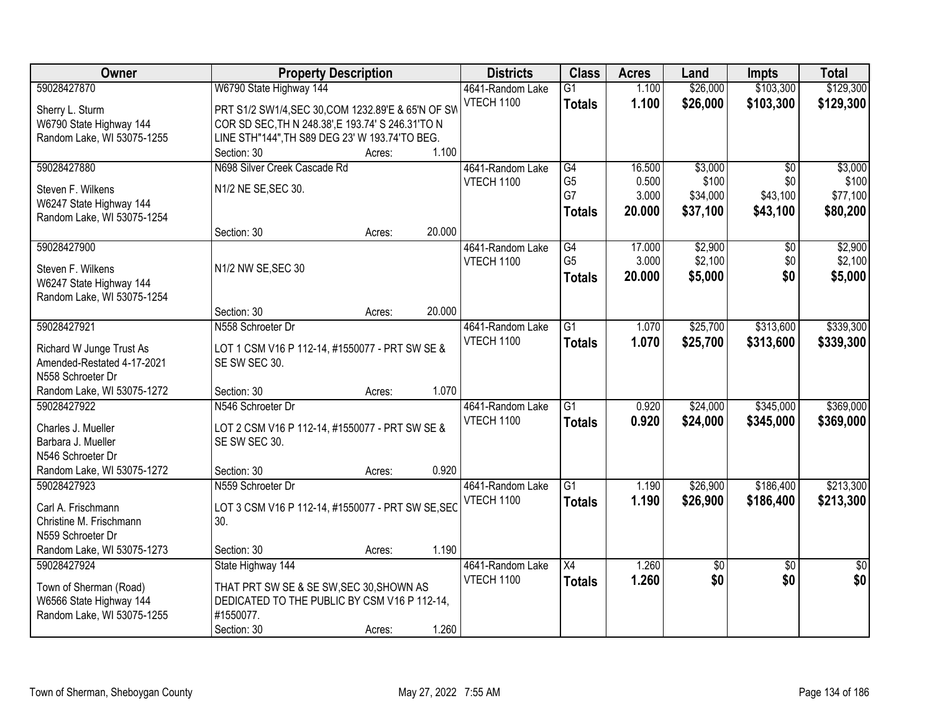| <b>Owner</b>               | <b>Property Description</b>                        |        |        | <b>Districts</b>  | <b>Class</b>    | <b>Acres</b> | Land     | <b>Impts</b>    | <b>Total</b>    |
|----------------------------|----------------------------------------------------|--------|--------|-------------------|-----------------|--------------|----------|-----------------|-----------------|
| 59028427870                | W6790 State Highway 144                            |        |        | 4641-Random Lake  | $\overline{G1}$ | 1.100        | \$26,000 | \$103,300       | \$129,300       |
| Sherry L. Sturm            | PRT S1/2 SW1/4, SEC 30, COM 1232.89'E & 65'N OF SW |        |        | VTECH 1100        | <b>Totals</b>   | 1.100        | \$26,000 | \$103,300       | \$129,300       |
| W6790 State Highway 144    | COR SD SEC, TH N 248.38', E 193.74' S 246.31'TO N  |        |        |                   |                 |              |          |                 |                 |
| Random Lake, WI 53075-1255 | LINE STH"144", TH S89 DEG 23' W 193.74'TO BEG.     |        |        |                   |                 |              |          |                 |                 |
|                            | Section: 30                                        | Acres: | 1.100  |                   |                 |              |          |                 |                 |
| 59028427880                | N698 Silver Creek Cascade Rd                       |        |        | 4641-Random Lake  | G4              | 16.500       | \$3,000  | $\overline{50}$ | \$3,000         |
|                            |                                                    |        |        | VTECH 1100        | G <sub>5</sub>  | 0.500        | \$100    | \$0             | \$100           |
| Steven F. Wilkens          | N1/2 NE SE, SEC 30.                                |        |        |                   | G7              | 3.000        | \$34,000 | \$43,100        | \$77,100        |
| W6247 State Highway 144    |                                                    |        |        |                   | <b>Totals</b>   | 20.000       | \$37,100 | \$43,100        | \$80,200        |
| Random Lake, WI 53075-1254 |                                                    |        |        |                   |                 |              |          |                 |                 |
|                            | Section: 30                                        | Acres: | 20.000 |                   |                 |              |          |                 |                 |
| 59028427900                |                                                    |        |        | 4641-Random Lake  | $\overline{G4}$ | 17.000       | \$2,900  | $\overline{50}$ | \$2,900         |
| Steven F. Wilkens          | N1/2 NW SE, SEC 30                                 |        |        | <b>VTECH 1100</b> | G <sub>5</sub>  | 3.000        | \$2,100  | \$0             | \$2,100         |
| W6247 State Highway 144    |                                                    |        |        |                   | <b>Totals</b>   | 20,000       | \$5,000  | \$0             | \$5,000         |
| Random Lake, WI 53075-1254 |                                                    |        |        |                   |                 |              |          |                 |                 |
|                            | Section: 30                                        | Acres: | 20.000 |                   |                 |              |          |                 |                 |
| 59028427921                | N558 Schroeter Dr                                  |        |        | 4641-Random Lake  | $\overline{G1}$ | 1.070        | \$25,700 | \$313,600       | \$339,300       |
|                            |                                                    |        |        | VTECH 1100        | <b>Totals</b>   | 1.070        | \$25,700 | \$313,600       | \$339,300       |
| Richard W Junge Trust As   | LOT 1 CSM V16 P 112-14, #1550077 - PRT SW SE &     |        |        |                   |                 |              |          |                 |                 |
| Amended-Restated 4-17-2021 | SE SW SEC 30.                                      |        |        |                   |                 |              |          |                 |                 |
| N558 Schroeter Dr          |                                                    |        |        |                   |                 |              |          |                 |                 |
| Random Lake, WI 53075-1272 | Section: 30                                        | Acres: | 1.070  |                   |                 |              |          |                 |                 |
| 59028427922                | N546 Schroeter Dr                                  |        |        | 4641-Random Lake  | $\overline{G1}$ | 0.920        | \$24,000 | \$345,000       | \$369,000       |
| Charles J. Mueller         | LOT 2 CSM V16 P 112-14, #1550077 - PRT SW SE &     |        |        | VTECH 1100        | <b>Totals</b>   | 0.920        | \$24,000 | \$345,000       | \$369,000       |
| Barbara J. Mueller         | SE SW SEC 30.                                      |        |        |                   |                 |              |          |                 |                 |
| N546 Schroeter Dr          |                                                    |        |        |                   |                 |              |          |                 |                 |
| Random Lake, WI 53075-1272 | Section: 30                                        | Acres: | 0.920  |                   |                 |              |          |                 |                 |
| 59028427923                | N559 Schroeter Dr                                  |        |        | 4641-Random Lake  | G1              | 1.190        | \$26,900 | \$186,400       | \$213,300       |
| Carl A. Frischmann         | LOT 3 CSM V16 P 112-14, #1550077 - PRT SW SE, SEC  |        |        | VTECH 1100        | <b>Totals</b>   | 1.190        | \$26,900 | \$186,400       | \$213,300       |
| Christine M. Frischmann    | 30.                                                |        |        |                   |                 |              |          |                 |                 |
| N559 Schroeter Dr          |                                                    |        |        |                   |                 |              |          |                 |                 |
| Random Lake, WI 53075-1273 | Section: 30                                        |        | 1.190  |                   |                 |              |          |                 |                 |
| 59028427924                |                                                    | Acres: |        |                   | X4              | 1.260        |          |                 |                 |
|                            | State Highway 144                                  |        |        | 4641-Random Lake  |                 |              | \$0      | $\overline{50}$ | $\overline{50}$ |
| Town of Sherman (Road)     | THAT PRT SW SE & SE SW, SEC 30, SHOWN AS           |        |        | VTECH 1100        | <b>Totals</b>   | 1.260        | \$0      | \$0             | \$0             |
| W6566 State Highway 144    | DEDICATED TO THE PUBLIC BY CSM V16 P 112-14,       |        |        |                   |                 |              |          |                 |                 |
| Random Lake, WI 53075-1255 | #1550077.                                          |        |        |                   |                 |              |          |                 |                 |
|                            | Section: 30                                        | Acres: | 1.260  |                   |                 |              |          |                 |                 |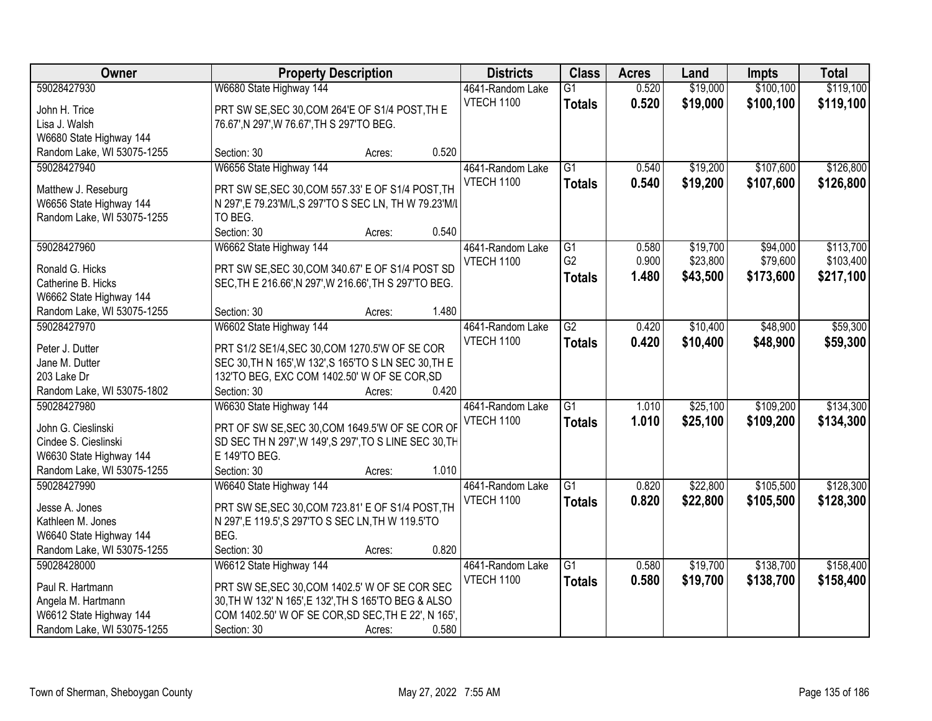| Owner                      | <b>Property Description</b>                            |        | <b>Districts</b>  | <b>Class</b>    | <b>Acres</b> | Land     | <b>Impts</b> | <b>Total</b> |
|----------------------------|--------------------------------------------------------|--------|-------------------|-----------------|--------------|----------|--------------|--------------|
| 59028427930                | W6680 State Highway 144                                |        | 4641-Random Lake  | $\overline{G1}$ | 0.520        | \$19,000 | \$100,100    | \$119,100    |
| John H. Trice              | PRT SW SE, SEC 30, COM 264'E OF S1/4 POST, TH E        |        | <b>VTECH 1100</b> | <b>Totals</b>   | 0.520        | \$19,000 | \$100,100    | \$119,100    |
| Lisa J. Walsh              | 76.67', N 297', W 76.67', TH S 297'TO BEG.             |        |                   |                 |              |          |              |              |
| W6680 State Highway 144    |                                                        |        |                   |                 |              |          |              |              |
| Random Lake, WI 53075-1255 | Section: 30                                            | Acres: | 0.520             |                 |              |          |              |              |
| 59028427940                | W6656 State Highway 144                                |        | 4641-Random Lake  | $\overline{G1}$ | 0.540        | \$19,200 | \$107,600    | \$126,800    |
|                            |                                                        |        | <b>VTECH 1100</b> | <b>Totals</b>   | 0.540        | \$19,200 | \$107,600    | \$126,800    |
| Matthew J. Reseburg        | PRT SW SE, SEC 30, COM 557.33' E OF S1/4 POST, TH      |        |                   |                 |              |          |              |              |
| W6656 State Highway 144    | N 297', E 79.23'M/L, S 297'TO S SEC LN, TH W 79.23'M/l |        |                   |                 |              |          |              |              |
| Random Lake, WI 53075-1255 | TO BEG.                                                |        |                   |                 |              |          |              |              |
|                            | Section: 30                                            | Acres: | 0.540             |                 |              |          |              |              |
| 59028427960                | W6662 State Highway 144                                |        | 4641-Random Lake  | $\overline{G1}$ | 0.580        | \$19,700 | \$94,000     | \$113,700    |
| Ronald G. Hicks            | PRT SW SE, SEC 30, COM 340.67' E OF S1/4 POST SD       |        | <b>VTECH 1100</b> | G <sub>2</sub>  | 0.900        | \$23,800 | \$79,600     | \$103,400    |
| Catherine B. Hicks         | SEC, TH E 216.66', N 297', W 216.66', TH S 297'TO BEG. |        |                   | <b>Totals</b>   | 1.480        | \$43,500 | \$173,600    | \$217,100    |
| W6662 State Highway 144    |                                                        |        |                   |                 |              |          |              |              |
| Random Lake, WI 53075-1255 | Section: 30                                            | Acres: | 1.480             |                 |              |          |              |              |
| 59028427970                | W6602 State Highway 144                                |        | 4641-Random Lake  | $\overline{G2}$ | 0.420        | \$10,400 | \$48,900     | \$59,300     |
|                            |                                                        |        | <b>VTECH 1100</b> | <b>Totals</b>   | 0.420        | \$10,400 | \$48,900     | \$59,300     |
| Peter J. Dutter            | PRT S1/2 SE1/4, SEC 30, COM 1270.5'W OF SE COR         |        |                   |                 |              |          |              |              |
| Jane M. Dutter             | SEC 30, TH N 165', W 132', S 165'TO S LN SEC 30, TH E  |        |                   |                 |              |          |              |              |
| 203 Lake Dr                | 132'TO BEG, EXC COM 1402.50' W OF SE COR, SD           |        |                   |                 |              |          |              |              |
| Random Lake, WI 53075-1802 | Section: 30                                            | Acres: | 0.420             |                 |              |          |              |              |
| 59028427980                | W6630 State Highway 144                                |        | 4641-Random Lake  | $\overline{G1}$ | 1.010        | \$25,100 | \$109,200    | \$134,300    |
| John G. Cieslinski         | PRT OF SW SE, SEC 30, COM 1649.5'W OF SE COR OF        |        | <b>VTECH 1100</b> | <b>Totals</b>   | 1.010        | \$25,100 | \$109,200    | \$134,300    |
| Cindee S. Cieslinski       | SD SEC TH N 297', W 149', S 297', TO S LINE SEC 30, TH |        |                   |                 |              |          |              |              |
| W6630 State Highway 144    | E 149'TO BEG.                                          |        |                   |                 |              |          |              |              |
| Random Lake, WI 53075-1255 | Section: 30                                            | Acres: | 1.010             |                 |              |          |              |              |
| 59028427990                | W6640 State Highway 144                                |        | 4641-Random Lake  | $\overline{G1}$ | 0.820        | \$22,800 | \$105,500    | \$128,300    |
|                            |                                                        |        | <b>VTECH 1100</b> | <b>Totals</b>   | 0.820        | \$22,800 | \$105,500    | \$128,300    |
| Jesse A. Jones             | PRT SW SE, SEC 30, COM 723.81' E OF S1/4 POST, TH      |        |                   |                 |              |          |              |              |
| Kathleen M. Jones          | N 297', E 119.5', S 297'TO S SEC LN, TH W 119.5'TO     |        |                   |                 |              |          |              |              |
| W6640 State Highway 144    | BEG.                                                   |        |                   |                 |              |          |              |              |
| Random Lake, WI 53075-1255 | Section: 30                                            | Acres: | 0.820             |                 |              |          |              |              |
| 59028428000                | W6612 State Highway 144                                |        | 4641-Random Lake  | $\overline{G1}$ | 0.580        | \$19,700 | \$138,700    | \$158,400    |
| Paul R. Hartmann           | PRT SW SE, SEC 30, COM 1402.5' W OF SE COR SEC         |        | <b>VTECH 1100</b> | <b>Totals</b>   | 0.580        | \$19,700 | \$138,700    | \$158,400    |
| Angela M. Hartmann         | 30, TH W 132' N 165', E 132', TH S 165'TO BEG & ALSO   |        |                   |                 |              |          |              |              |
| W6612 State Highway 144    | COM 1402.50' W OF SE COR, SD SEC, TH E 22', N 165',    |        |                   |                 |              |          |              |              |
| Random Lake, WI 53075-1255 | Section: 30                                            | Acres: | 0.580             |                 |              |          |              |              |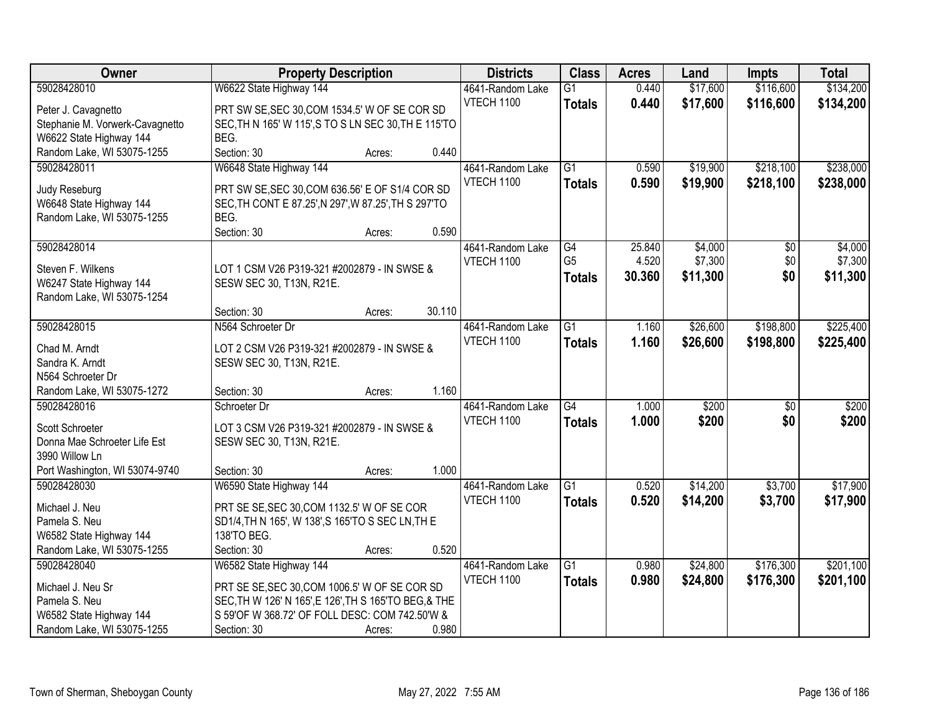| Owner                              | <b>Property Description</b>                                                                            |        |        | <b>Districts</b>  | <b>Class</b>         | <b>Acres</b> | Land     | <b>Impts</b>    | <b>Total</b> |
|------------------------------------|--------------------------------------------------------------------------------------------------------|--------|--------|-------------------|----------------------|--------------|----------|-----------------|--------------|
| 59028428010                        | W6622 State Highway 144                                                                                |        |        | 4641-Random Lake  | $\overline{G1}$      | 0.440        | \$17,600 | \$116,600       | \$134,200    |
| Peter J. Cavagnetto                | PRT SW SE, SEC 30, COM 1534.5' W OF SE COR SD                                                          |        |        | VTECH 1100        | <b>Totals</b>        | 0.440        | \$17,600 | \$116,600       | \$134,200    |
| Stephanie M. Vorwerk-Cavagnetto    | SEC, TH N 165' W 115', S TO S LN SEC 30, TH E 115'TO                                                   |        |        |                   |                      |              |          |                 |              |
| W6622 State Highway 144            | BEG.                                                                                                   |        |        |                   |                      |              |          |                 |              |
| Random Lake, WI 53075-1255         | Section: 30                                                                                            | Acres: | 0.440  |                   |                      |              |          |                 |              |
| 59028428011                        | W6648 State Highway 144                                                                                |        |        | 4641-Random Lake  | $\overline{G1}$      | 0.590        | \$19,900 | \$218,100       | \$238,000    |
|                                    |                                                                                                        |        |        | <b>VTECH 1100</b> | <b>Totals</b>        | 0.590        | \$19,900 | \$218,100       | \$238,000    |
| Judy Reseburg                      | PRT SW SE, SEC 30, COM 636.56' E OF S1/4 COR SD                                                        |        |        |                   |                      |              |          |                 |              |
| W6648 State Highway 144            | SEC, TH CONT E 87.25', N 297', W 87.25', TH S 297'TO                                                   |        |        |                   |                      |              |          |                 |              |
| Random Lake, WI 53075-1255         | BEG.                                                                                                   |        |        |                   |                      |              |          |                 |              |
|                                    | Section: 30                                                                                            | Acres: | 0.590  |                   |                      |              |          |                 |              |
| 59028428014                        |                                                                                                        |        |        | 4641-Random Lake  | G4<br>G <sub>5</sub> | 25.840       | \$4,000  | $\overline{50}$ | \$4,000      |
| Steven F. Wilkens                  | LOT 1 CSM V26 P319-321 #2002879 - IN SWSE &                                                            |        |        | <b>VTECH 1100</b> |                      | 4.520        | \$7,300  | \$0             | \$7,300      |
| W6247 State Highway 144            | SESW SEC 30, T13N, R21E.                                                                               |        |        |                   | <b>Totals</b>        | 30.360       | \$11,300 | \$0             | \$11,300     |
| Random Lake, WI 53075-1254         |                                                                                                        |        |        |                   |                      |              |          |                 |              |
|                                    | Section: 30                                                                                            | Acres: | 30.110 |                   |                      |              |          |                 |              |
| 59028428015                        | N564 Schroeter Dr                                                                                      |        |        | 4641-Random Lake  | $\overline{G1}$      | 1.160        | \$26,600 | \$198,800       | \$225,400    |
| Chad M. Arndt                      | LOT 2 CSM V26 P319-321 #2002879 - IN SWSE &                                                            |        |        | <b>VTECH 1100</b> | <b>Totals</b>        | 1.160        | \$26,600 | \$198,800       | \$225,400    |
| Sandra K. Arndt                    | SESW SEC 30, T13N, R21E.                                                                               |        |        |                   |                      |              |          |                 |              |
| N564 Schroeter Dr                  |                                                                                                        |        |        |                   |                      |              |          |                 |              |
| Random Lake, WI 53075-1272         | Section: 30                                                                                            | Acres: | 1.160  |                   |                      |              |          |                 |              |
| 59028428016                        | Schroeter Dr                                                                                           |        |        | 4641-Random Lake  | $\overline{G4}$      | 1.000        | \$200    | $\overline{50}$ | \$200        |
|                                    |                                                                                                        |        |        | <b>VTECH 1100</b> | <b>Totals</b>        | 1.000        | \$200    | \$0             | \$200        |
| Scott Schroeter                    | LOT 3 CSM V26 P319-321 #2002879 - IN SWSE &                                                            |        |        |                   |                      |              |          |                 |              |
| Donna Mae Schroeter Life Est       | SESW SEC 30, T13N, R21E.                                                                               |        |        |                   |                      |              |          |                 |              |
| 3990 Willow Ln                     |                                                                                                        |        |        |                   |                      |              |          |                 |              |
| Port Washington, WI 53074-9740     | Section: 30                                                                                            | Acres: | 1.000  |                   |                      |              |          |                 |              |
| 59028428030                        | W6590 State Highway 144                                                                                |        |        | 4641-Random Lake  | $\overline{G1}$      | 0.520        | \$14,200 | \$3,700         | \$17,900     |
| Michael J. Neu                     | PRT SE SE, SEC 30, COM 1132.5' W OF SE COR                                                             |        |        | <b>VTECH 1100</b> | <b>Totals</b>        | 0.520        | \$14,200 | \$3,700         | \$17,900     |
| Pamela S. Neu                      | SD1/4, TH N 165', W 138', S 165'TO S SEC LN, TH E                                                      |        |        |                   |                      |              |          |                 |              |
| W6582 State Highway 144            | 138'TO BEG.                                                                                            |        |        |                   |                      |              |          |                 |              |
| Random Lake, WI 53075-1255         | Section: 30                                                                                            | Acres: | 0.520  |                   |                      |              |          |                 |              |
| 59028428040                        | W6582 State Highway 144                                                                                |        |        | 4641-Random Lake  | $\overline{G1}$      | 0.980        | \$24,800 | \$176,300       | \$201,100    |
|                                    |                                                                                                        |        |        | <b>VTECH 1100</b> | <b>Totals</b>        | 0.980        | \$24,800 | \$176,300       | \$201,100    |
| Michael J. Neu Sr<br>Pamela S. Neu | PRT SE SE, SEC 30, COM 1006.5' W OF SE COR SD<br>SEC, TH W 126' N 165', E 126', TH S 165'TO BEG, & THE |        |        |                   |                      |              |          |                 |              |
| W6582 State Highway 144            | S 59'OF W 368.72' OF FOLL DESC: COM 742.50'W &                                                         |        |        |                   |                      |              |          |                 |              |
| Random Lake, WI 53075-1255         | Section: 30                                                                                            |        | 0.980  |                   |                      |              |          |                 |              |
|                                    |                                                                                                        | Acres: |        |                   |                      |              |          |                 |              |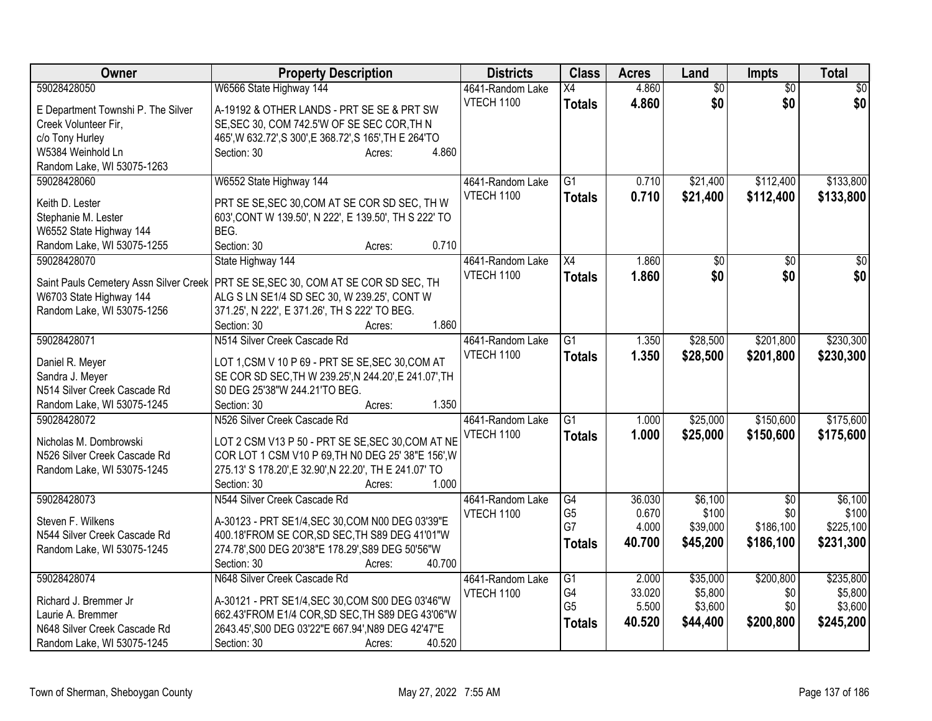| Owner                              | <b>Property Description</b>                                                          | <b>Districts</b>  | <b>Class</b>    | <b>Acres</b> | Land            | <b>Impts</b>    | <b>Total</b>     |
|------------------------------------|--------------------------------------------------------------------------------------|-------------------|-----------------|--------------|-----------------|-----------------|------------------|
| 59028428050                        | W6566 State Highway 144                                                              | 4641-Random Lake  | X4              | 4.860        | $\overline{50}$ | $\overline{50}$ | $\overline{50}$  |
| E Department Townshi P. The Silver | A-19192 & OTHER LANDS - PRT SE SE & PRT SW                                           | VTECH 1100        | <b>Totals</b>   | 4.860        | \$0             | \$0             | \$0              |
| Creek Volunteer Fir,               | SE, SEC 30, COM 742.5'W OF SE SEC COR, TH N                                          |                   |                 |              |                 |                 |                  |
| c/o Tony Hurley                    | 465', W 632.72', S 300', E 368.72', S 165', TH E 264'TO                              |                   |                 |              |                 |                 |                  |
| W5384 Weinhold Ln                  | 4.860<br>Section: 30<br>Acres:                                                       |                   |                 |              |                 |                 |                  |
| Random Lake, WI 53075-1263         |                                                                                      |                   |                 |              |                 |                 |                  |
| 59028428060                        | W6552 State Highway 144                                                              | 4641-Random Lake  | $\overline{G1}$ | 0.710        | \$21,400        | \$112,400       | \$133,800        |
| Keith D. Lester                    | PRT SE SE, SEC 30, COM AT SE COR SD SEC, TH W                                        | <b>VTECH 1100</b> | <b>Totals</b>   | 0.710        | \$21,400        | \$112,400       | \$133,800        |
| Stephanie M. Lester                | 603', CONT W 139.50', N 222', E 139.50', TH S 222' TO                                |                   |                 |              |                 |                 |                  |
| W6552 State Highway 144            | BEG.                                                                                 |                   |                 |              |                 |                 |                  |
| Random Lake, WI 53075-1255         | Section: 30<br>0.710<br>Acres:                                                       |                   |                 |              |                 |                 |                  |
| 59028428070                        | State Highway 144                                                                    | 4641-Random Lake  | X4              | 1.860        | $\overline{50}$ | \$0             | $\overline{\$0}$ |
|                                    |                                                                                      | VTECH 1100        | <b>Totals</b>   | 1.860        | \$0             | \$0             | \$0              |
|                                    | Saint Pauls Cemetery Assn Silver Creek   PRT SE SE, SEC 30, COM AT SE COR SD SEC, TH |                   |                 |              |                 |                 |                  |
| W6703 State Highway 144            | ALG S LN SE1/4 SD SEC 30, W 239.25', CONT W                                          |                   |                 |              |                 |                 |                  |
| Random Lake, WI 53075-1256         | 371.25', N 222', E 371.26', TH S 222' TO BEG.                                        |                   |                 |              |                 |                 |                  |
|                                    | 1.860<br>Section: 30<br>Acres:                                                       |                   |                 |              |                 |                 |                  |
| 59028428071                        | N514 Silver Creek Cascade Rd                                                         | 4641-Random Lake  | $\overline{G1}$ | 1.350        | \$28,500        | \$201,800       | \$230,300        |
| Daniel R. Meyer                    | LOT 1, CSM V 10 P 69 - PRT SE SE, SEC 30, COM AT                                     | VTECH 1100        | <b>Totals</b>   | 1.350        | \$28,500        | \$201,800       | \$230,300        |
| Sandra J. Meyer                    | SE COR SD SEC, TH W 239.25', N 244.20', E 241.07', TH                                |                   |                 |              |                 |                 |                  |
| N514 Silver Creek Cascade Rd       | S0 DEG 25'38"W 244.21'TO BEG.                                                        |                   |                 |              |                 |                 |                  |
| Random Lake, WI 53075-1245         | 1.350<br>Section: 30<br>Acres:                                                       |                   |                 |              |                 |                 |                  |
| 59028428072                        | N526 Silver Creek Cascade Rd                                                         | 4641-Random Lake  | G1              | 1.000        | \$25,000        | \$150,600       | \$175,600        |
| Nicholas M. Dombrowski             | LOT 2 CSM V13 P 50 - PRT SE SE, SEC 30, COM AT NE                                    | <b>VTECH 1100</b> | <b>Totals</b>   | 1.000        | \$25,000        | \$150,600       | \$175,600        |
| N526 Silver Creek Cascade Rd       | COR LOT 1 CSM V10 P 69, TH N0 DEG 25' 38"E 156', W                                   |                   |                 |              |                 |                 |                  |
| Random Lake, WI 53075-1245         | 275.13' S 178.20', E 32.90', N 22.20', TH E 241.07' TO                               |                   |                 |              |                 |                 |                  |
|                                    | 1.000<br>Section: 30<br>Acres:                                                       |                   |                 |              |                 |                 |                  |
| 59028428073                        | N544 Silver Creek Cascade Rd                                                         | 4641-Random Lake  | G4              | 36.030       | \$6,100         | \$0             | \$6,100          |
|                                    |                                                                                      | VTECH 1100        | G <sub>5</sub>  | 0.670        | \$100           | \$0             | \$100            |
| Steven F. Wilkens                  | A-30123 - PRT SE1/4, SEC 30, COM N00 DEG 03'39"E                                     |                   | G7              | 4.000        | \$39,000        | \$186,100       | \$225,100        |
| N544 Silver Creek Cascade Rd       | 400.18'FROM SE COR, SD SEC, TH S89 DEG 41'01"W                                       |                   | <b>Totals</b>   | 40.700       | \$45,200        | \$186,100       | \$231,300        |
| Random Lake, WI 53075-1245         | 274.78', S00 DEG 20'38"E 178.29', S89 DEG 50'56"W                                    |                   |                 |              |                 |                 |                  |
|                                    | Section: 30<br>40.700<br>Acres:                                                      |                   |                 |              |                 |                 |                  |
| 59028428074                        | N648 Silver Creek Cascade Rd                                                         | 4641-Random Lake  | $\overline{G1}$ | 2.000        | \$35,000        | \$200,800       | \$235,800        |
| Richard J. Bremmer Jr              | A-30121 - PRT SE1/4, SEC 30, COM S00 DEG 03'46"W                                     | <b>VTECH 1100</b> | G4              | 33.020       | \$5,800         | \$0             | \$5,800          |
| Laurie A. Bremmer                  | 662.43'FROM E1/4 COR, SD SEC, TH S89 DEG 43'06"W                                     |                   | G <sub>5</sub>  | 5.500        | \$3,600         | \$0             | \$3,600          |
| N648 Silver Creek Cascade Rd       | 2643.45', S00 DEG 03'22"E 667.94', N89 DEG 42'47"E                                   |                   | <b>Totals</b>   | 40.520       | \$44,400        | \$200,800       | \$245,200        |
| Random Lake, WI 53075-1245         | Section: 30<br>40.520<br>Acres:                                                      |                   |                 |              |                 |                 |                  |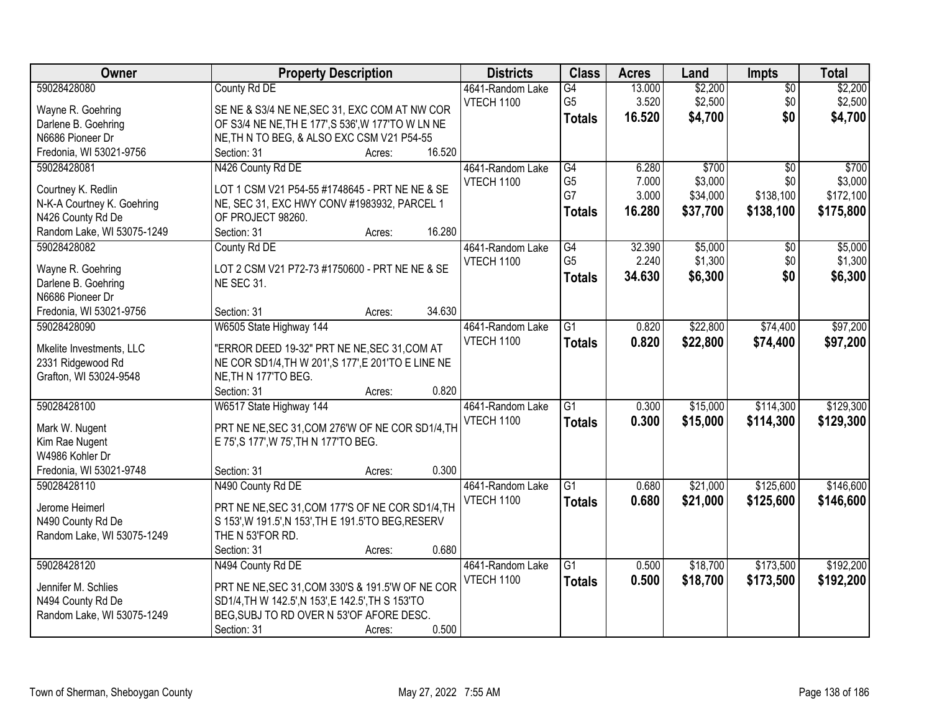| Owner                      | <b>Property Description</b>                         | <b>Districts</b>  | <b>Class</b>    | <b>Acres</b> | Land     | Impts           | <b>Total</b> |
|----------------------------|-----------------------------------------------------|-------------------|-----------------|--------------|----------|-----------------|--------------|
| 59028428080                | County Rd DE                                        | 4641-Random Lake  | G4              | 13.000       | \$2,200  | $\overline{50}$ | \$2,200      |
| Wayne R. Goehring          | SE NE & S3/4 NE NE, SEC 31, EXC COM AT NW COR       | <b>VTECH 1100</b> | G <sub>5</sub>  | 3.520        | \$2,500  | \$0             | \$2,500      |
| Darlene B. Goehring        | OF S3/4 NE NE, TH E 177', S 536', W 177'TO W LN NE  |                   | <b>Totals</b>   | 16.520       | \$4,700  | \$0             | \$4,700      |
| N6686 Pioneer Dr           | NE, TH N TO BEG, & ALSO EXC CSM V21 P54-55          |                   |                 |              |          |                 |              |
| Fredonia, WI 53021-9756    | 16.520<br>Section: 31<br>Acres:                     |                   |                 |              |          |                 |              |
| 59028428081                | N426 County Rd DE                                   | 4641-Random Lake  | G4              | 6.280        | \$700    | $\overline{30}$ | \$700        |
|                            |                                                     | VTECH 1100        | G <sub>5</sub>  | 7.000        | \$3,000  | \$0             | \$3,000      |
| Courtney K. Redlin         | LOT 1 CSM V21 P54-55 #1748645 - PRT NE NE & SE      |                   | G7              | 3.000        | \$34,000 | \$138,100       | \$172,100    |
| N-K-A Courtney K. Goehring | NE, SEC 31, EXC HWY CONV #1983932, PARCEL 1         |                   | <b>Totals</b>   | 16.280       | \$37,700 | \$138,100       | \$175,800    |
| N426 County Rd De          | OF PROJECT 98260.                                   |                   |                 |              |          |                 |              |
| Random Lake, WI 53075-1249 | 16.280<br>Section: 31<br>Acres:                     |                   |                 |              |          |                 |              |
| 59028428082                | County Rd DE                                        | 4641-Random Lake  | G4              | 32.390       | \$5,000  | \$0             | \$5,000      |
| Wayne R. Goehring          | LOT 2 CSM V21 P72-73 #1750600 - PRT NE NE & SE      | <b>VTECH 1100</b> | G <sub>5</sub>  | 2.240        | \$1,300  | \$0             | \$1,300      |
| Darlene B. Goehring        | <b>NE SEC 31.</b>                                   |                   | <b>Totals</b>   | 34.630       | \$6,300  | \$0             | \$6,300      |
| N6686 Pioneer Dr           |                                                     |                   |                 |              |          |                 |              |
| Fredonia, WI 53021-9756    | 34.630<br>Section: 31<br>Acres:                     |                   |                 |              |          |                 |              |
| 59028428090                | W6505 State Highway 144                             | 4641-Random Lake  | $\overline{G1}$ | 0.820        | \$22,800 | \$74,400        | \$97,200     |
|                            |                                                     | VTECH 1100        | <b>Totals</b>   | 0.820        | \$22,800 | \$74,400        | \$97,200     |
| Mkelite Investments, LLC   | "ERROR DEED 19-32" PRT NE NE, SEC 31, COM AT        |                   |                 |              |          |                 |              |
| 2331 Ridgewood Rd          | NE COR SD1/4, TH W 201', S 177', E 201'TO E LINE NE |                   |                 |              |          |                 |              |
| Grafton, WI 53024-9548     | NE, TH N 177'TO BEG.                                |                   |                 |              |          |                 |              |
|                            | 0.820<br>Section: 31<br>Acres:                      |                   |                 |              |          |                 |              |
| 59028428100                | W6517 State Highway 144                             | 4641-Random Lake  | $\overline{G1}$ | 0.300        | \$15,000 | \$114,300       | \$129,300    |
| Mark W. Nugent             | PRT NE NE, SEC 31, COM 276'W OF NE COR SD1/4, TH    | VTECH 1100        | <b>Totals</b>   | 0.300        | \$15,000 | \$114,300       | \$129,300    |
| Kim Rae Nugent             | E 75', S 177', W 75', TH N 177'TO BEG.              |                   |                 |              |          |                 |              |
| W4986 Kohler Dr            |                                                     |                   |                 |              |          |                 |              |
| Fredonia, WI 53021-9748    | 0.300<br>Section: 31<br>Acres:                      |                   |                 |              |          |                 |              |
| 59028428110                | N490 County Rd DE                                   | 4641-Random Lake  | $\overline{G1}$ | 0.680        | \$21,000 | \$125,600       | \$146,600    |
|                            |                                                     | VTECH 1100        | <b>Totals</b>   | 0.680        | \$21,000 | \$125,600       | \$146,600    |
| Jerome Heimerl             | PRT NE NE, SEC 31, COM 177'S OF NE COR SD1/4, TH    |                   |                 |              |          |                 |              |
| N490 County Rd De          | S 153', W 191.5', N 153', TH E 191.5'TO BEG, RESERV |                   |                 |              |          |                 |              |
| Random Lake, WI 53075-1249 | THE N 53'FOR RD.                                    |                   |                 |              |          |                 |              |
|                            | 0.680<br>Section: 31<br>Acres:                      |                   |                 |              |          |                 |              |
| 59028428120                | N494 County Rd DE                                   | 4641-Random Lake  | $\overline{G1}$ | 0.500        | \$18,700 | \$173,500       | \$192,200    |
| Jennifer M. Schlies        | PRT NE NE, SEC 31, COM 330'S & 191.5'W OF NE COR    | VTECH 1100        | <b>Totals</b>   | 0.500        | \$18,700 | \$173,500       | \$192,200    |
| N494 County Rd De          | SD1/4, TH W 142.5', N 153', E 142.5', TH S 153'TO   |                   |                 |              |          |                 |              |
| Random Lake, WI 53075-1249 | BEG, SUBJ TO RD OVER N 53'OF AFORE DESC.            |                   |                 |              |          |                 |              |
|                            | 0.500<br>Section: 31<br>Acres:                      |                   |                 |              |          |                 |              |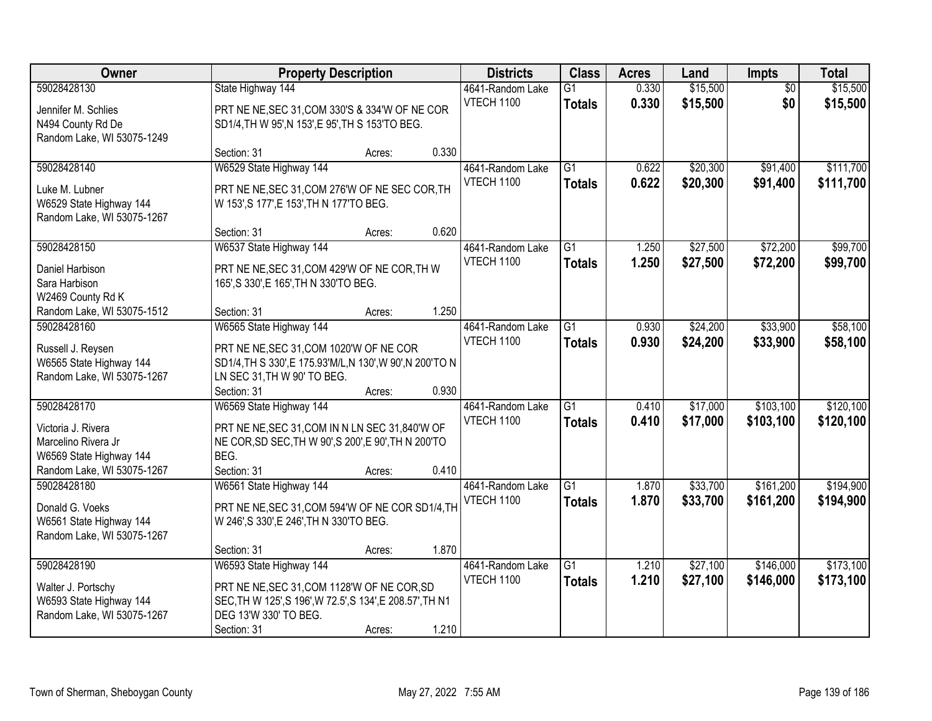| Owner                                                 | <b>Property Description</b>                                                                          |        |       | <b>Districts</b>  | <b>Class</b>    | <b>Acres</b> | Land     | <b>Impts</b>    | <b>Total</b> |
|-------------------------------------------------------|------------------------------------------------------------------------------------------------------|--------|-------|-------------------|-----------------|--------------|----------|-----------------|--------------|
| 59028428130                                           | State Highway 144                                                                                    |        |       | 4641-Random Lake  | $\overline{G1}$ | 0.330        | \$15,500 | $\overline{50}$ | \$15,500     |
| Jennifer M. Schlies                                   | PRT NE NE, SEC 31, COM 330'S & 334'W OF NE COR                                                       |        |       | <b>VTECH 1100</b> | <b>Totals</b>   | 0.330        | \$15,500 | \$0             | \$15,500     |
| N494 County Rd De                                     | SD1/4, TH W 95', N 153', E 95', TH S 153'TO BEG.                                                     |        |       |                   |                 |              |          |                 |              |
| Random Lake, WI 53075-1249                            |                                                                                                      |        |       |                   |                 |              |          |                 |              |
|                                                       | Section: 31                                                                                          | Acres: | 0.330 |                   |                 |              |          |                 |              |
| 59028428140                                           | W6529 State Highway 144                                                                              |        |       | 4641-Random Lake  | $\overline{G1}$ | 0.622        | \$20,300 | \$91,400        | \$111,700    |
| Luke M. Lubner                                        | PRT NE NE, SEC 31, COM 276'W OF NE SEC COR, TH                                                       |        |       | <b>VTECH 1100</b> | <b>Totals</b>   | 0.622        | \$20,300 | \$91,400        | \$111,700    |
| W6529 State Highway 144                               | W 153', S 177', E 153', TH N 177'TO BEG.                                                             |        |       |                   |                 |              |          |                 |              |
| Random Lake, WI 53075-1267                            |                                                                                                      |        |       |                   |                 |              |          |                 |              |
|                                                       | Section: 31                                                                                          | Acres: | 0.620 |                   |                 |              |          |                 |              |
| 59028428150                                           | W6537 State Highway 144                                                                              |        |       | 4641-Random Lake  | G1              | 1.250        | \$27,500 | \$72,200        | \$99,700     |
| Daniel Harbison                                       | PRT NE NE, SEC 31, COM 429'W OF NE COR, TH W                                                         |        |       | <b>VTECH 1100</b> | <b>Totals</b>   | 1.250        | \$27,500 | \$72,200        | \$99,700     |
| Sara Harbison                                         | 165', S 330', E 165', TH N 330'TO BEG.                                                               |        |       |                   |                 |              |          |                 |              |
| W2469 County Rd K                                     |                                                                                                      |        |       |                   |                 |              |          |                 |              |
| Random Lake, WI 53075-1512                            | Section: 31                                                                                          | Acres: | 1.250 |                   |                 |              |          |                 |              |
| 59028428160                                           | W6565 State Highway 144                                                                              |        |       | 4641-Random Lake  | G1              | 0.930        | \$24,200 | \$33,900        | \$58,100     |
|                                                       |                                                                                                      |        |       | <b>VTECH 1100</b> | <b>Totals</b>   | 0.930        | \$24,200 | \$33,900        | \$58,100     |
| Russell J. Reysen<br>W6565 State Highway 144          | PRT NE NE, SEC 31, COM 1020'W OF NE COR<br>SD1/4, TH S 330', E 175.93'M/L, N 130', W 90', N 200'TO N |        |       |                   |                 |              |          |                 |              |
| Random Lake, WI 53075-1267                            | LN SEC 31, TH W 90' TO BEG.                                                                          |        |       |                   |                 |              |          |                 |              |
|                                                       | Section: 31                                                                                          | Acres: | 0.930 |                   |                 |              |          |                 |              |
| 59028428170                                           | W6569 State Highway 144                                                                              |        |       | 4641-Random Lake  | $\overline{G1}$ | 0.410        | \$17,000 | \$103,100       | \$120,100    |
|                                                       |                                                                                                      |        |       | <b>VTECH 1100</b> | <b>Totals</b>   | 0.410        | \$17,000 | \$103,100       | \$120,100    |
| Victoria J. Rivera<br>Marcelino Rivera Jr             | PRT NE NE, SEC 31, COM IN N LN SEC 31,840'W OF                                                       |        |       |                   |                 |              |          |                 |              |
| W6569 State Highway 144                               | NE COR, SD SEC, TH W 90', S 200', E 90', TH N 200'TO<br>BEG.                                         |        |       |                   |                 |              |          |                 |              |
| Random Lake, WI 53075-1267                            | Section: 31                                                                                          | Acres: | 0.410 |                   |                 |              |          |                 |              |
| 59028428180                                           | W6561 State Highway 144                                                                              |        |       | 4641-Random Lake  | $\overline{G1}$ | 1.870        | \$33,700 | \$161,200       | \$194,900    |
|                                                       |                                                                                                      |        |       | <b>VTECH 1100</b> | <b>Totals</b>   | 1.870        | \$33,700 | \$161,200       | \$194,900    |
| Donald G. Voeks                                       | PRT NE NE, SEC 31, COM 594'W OF NE COR SD1/4, TH                                                     |        |       |                   |                 |              |          |                 |              |
| W6561 State Highway 144<br>Random Lake, WI 53075-1267 | W 246', S 330', E 246', TH N 330'TO BEG.                                                             |        |       |                   |                 |              |          |                 |              |
|                                                       | Section: 31                                                                                          | Acres: | 1.870 |                   |                 |              |          |                 |              |
| 59028428190                                           | W6593 State Highway 144                                                                              |        |       | 4641-Random Lake  | $\overline{G1}$ | 1.210        | \$27,100 | \$146,000       | \$173,100    |
|                                                       |                                                                                                      |        |       | <b>VTECH 1100</b> | <b>Totals</b>   | 1.210        | \$27,100 | \$146,000       | \$173,100    |
| Walter J. Portschy                                    | PRT NE NE, SEC 31, COM 1128'W OF NE COR, SD                                                          |        |       |                   |                 |              |          |                 |              |
| W6593 State Highway 144                               | SEC, TH W 125', S 196', W 72.5', S 134', E 208.57', TH N1                                            |        |       |                   |                 |              |          |                 |              |
| Random Lake, WI 53075-1267                            | DEG 13'W 330' TO BEG.                                                                                |        |       |                   |                 |              |          |                 |              |
|                                                       | Section: 31                                                                                          | Acres: | 1.210 |                   |                 |              |          |                 |              |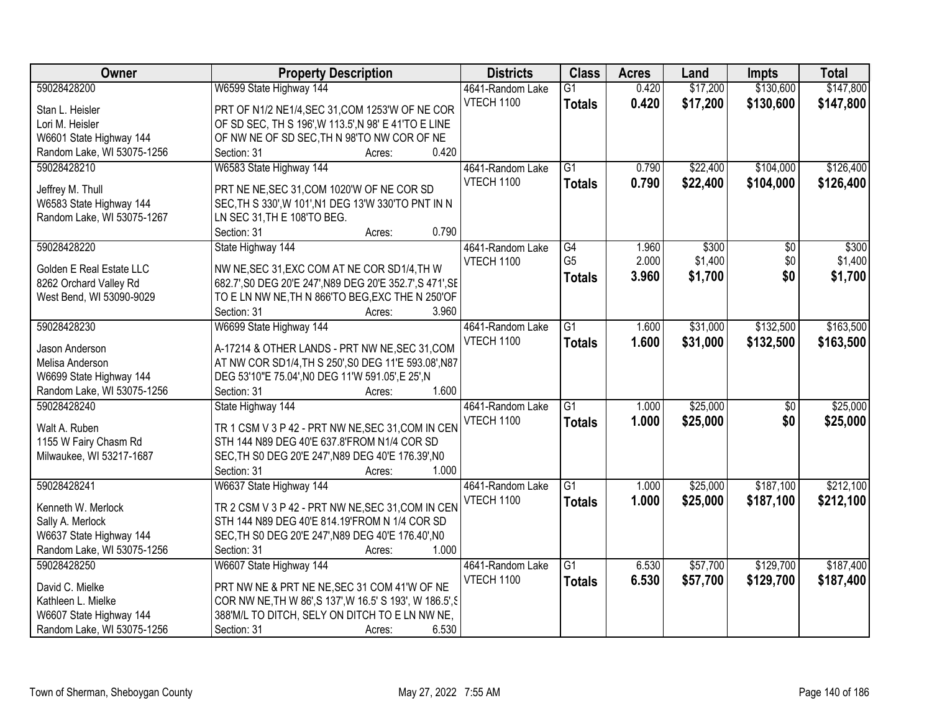| Owner                      | <b>Property Description</b>                               | <b>Districts</b>  | <b>Class</b>                      | <b>Acres</b> | Land     | <b>Impts</b>    | <b>Total</b>     |
|----------------------------|-----------------------------------------------------------|-------------------|-----------------------------------|--------------|----------|-----------------|------------------|
| 59028428200                | W6599 State Highway 144                                   | 4641-Random Lake  | $\overline{G1}$                   | 0.420        | \$17,200 | \$130,600       | \$147,800        |
| Stan L. Heisler            | PRT OF N1/2 NE1/4, SEC 31, COM 1253'W OF NE COR           | <b>VTECH 1100</b> | <b>Totals</b>                     | 0.420        | \$17,200 | \$130,600       | \$147,800        |
| Lori M. Heisler            | OF SD SEC, TH S 196', W 113.5', N 98' E 41'TO E LINE      |                   |                                   |              |          |                 |                  |
| W6601 State Highway 144    | OF NW NE OF SD SEC, TH N 98'TO NW COR OF NE               |                   |                                   |              |          |                 |                  |
| Random Lake, WI 53075-1256 | 0.420<br>Section: 31<br>Acres:                            |                   |                                   |              |          |                 |                  |
| 59028428210                | W6583 State Highway 144                                   | 4641-Random Lake  | $\overline{G1}$                   | 0.790        | \$22,400 | \$104,000       | \$126,400        |
|                            |                                                           | VTECH 1100        | <b>Totals</b>                     | 0.790        | \$22,400 | \$104,000       | \$126,400        |
| Jeffrey M. Thull           | PRT NE NE, SEC 31, COM 1020'W OF NE COR SD                |                   |                                   |              |          |                 |                  |
| W6583 State Highway 144    | SEC, TH S 330', W 101', N1 DEG 13'W 330'TO PNT IN N       |                   |                                   |              |          |                 |                  |
| Random Lake, WI 53075-1267 | LN SEC 31, TH E 108'TO BEG.<br>0.790                      |                   |                                   |              |          |                 |                  |
|                            | Section: 31<br>Acres:                                     |                   |                                   |              |          |                 |                  |
| 59028428220                | State Highway 144                                         | 4641-Random Lake  | $\overline{G4}$<br>G <sub>5</sub> | 1.960        | \$300    | $\overline{50}$ | \$300<br>\$1,400 |
| Golden E Real Estate LLC   | NW NE, SEC 31, EXC COM AT NE COR SD1/4, TH W              | VTECH 1100        |                                   | 2.000        | \$1,400  | \$0             |                  |
| 8262 Orchard Valley Rd     | 682.7', S0 DEG 20'E 247', N89 DEG 20'E 352.7', S 471', SE |                   | <b>Totals</b>                     | 3.960        | \$1,700  | \$0             | \$1,700          |
| West Bend, WI 53090-9029   | TO E LN NW NE, TH N 866'TO BEG, EXC THE N 250'OF          |                   |                                   |              |          |                 |                  |
|                            | Section: 31<br>3.960<br>Acres:                            |                   |                                   |              |          |                 |                  |
| 59028428230                | W6699 State Highway 144                                   | 4641-Random Lake  | $\overline{G1}$                   | 1.600        | \$31,000 | \$132,500       | \$163,500        |
| Jason Anderson             | A-17214 & OTHER LANDS - PRT NW NE, SEC 31, COM            | <b>VTECH 1100</b> | <b>Totals</b>                     | 1.600        | \$31,000 | \$132,500       | \$163,500        |
| Melisa Anderson            | AT NW COR SD1/4, TH S 250', S0 DEG 11'E 593.08', N87      |                   |                                   |              |          |                 |                  |
| W6699 State Highway 144    | DEG 53'10"E 75.04', N0 DEG 11'W 591.05', E 25', N         |                   |                                   |              |          |                 |                  |
| Random Lake, WI 53075-1256 | 1.600<br>Section: 31<br>Acres:                            |                   |                                   |              |          |                 |                  |
| 59028428240                | State Highway 144                                         | 4641-Random Lake  | $\overline{G1}$                   | 1.000        | \$25,000 | $\overline{50}$ | \$25,000         |
|                            |                                                           | <b>VTECH 1100</b> | <b>Totals</b>                     | 1.000        | \$25,000 | \$0             | \$25,000         |
| Walt A. Ruben              | TR 1 CSM V 3 P 42 - PRT NW NE, SEC 31, COM IN CEN         |                   |                                   |              |          |                 |                  |
| 1155 W Fairy Chasm Rd      | STH 144 N89 DEG 40'E 637.8'FROM N1/4 COR SD               |                   |                                   |              |          |                 |                  |
| Milwaukee, WI 53217-1687   | SEC, TH S0 DEG 20'E 247', N89 DEG 40'E 176.39', N0        |                   |                                   |              |          |                 |                  |
|                            | 1.000<br>Section: 31<br>Acres:                            |                   |                                   |              |          |                 |                  |
| 59028428241                | W6637 State Highway 144                                   | 4641-Random Lake  | $\overline{G1}$                   | 1.000        | \$25,000 | \$187,100       | \$212,100        |
| Kenneth W. Merlock         | TR 2 CSM V 3 P 42 - PRT NW NE, SEC 31, COM IN CEN         | <b>VTECH 1100</b> | <b>Totals</b>                     | 1.000        | \$25,000 | \$187,100       | \$212,100        |
| Sally A. Merlock           | STH 144 N89 DEG 40'E 814.19'FROM N 1/4 COR SD             |                   |                                   |              |          |                 |                  |
| W6637 State Highway 144    | SEC, TH S0 DEG 20'E 247', N89 DEG 40'E 176.40', N0        |                   |                                   |              |          |                 |                  |
| Random Lake, WI 53075-1256 | Section: 31<br>1.000<br>Acres:                            |                   |                                   |              |          |                 |                  |
| 59028428250                | W6607 State Highway 144                                   | 4641-Random Lake  | $\overline{G1}$                   | 6.530        | \$57,700 | \$129,700       | \$187,400        |
|                            |                                                           | <b>VTECH 1100</b> | <b>Totals</b>                     | 6.530        | \$57,700 | \$129,700       | \$187,400        |
| David C. Mielke            | PRT NW NE & PRT NE NE, SEC 31 COM 41'W OF NE              |                   |                                   |              |          |                 |                  |
| Kathleen L. Mielke         | COR NW NE, TH W 86', S 137', W 16.5' S 193', W 186.5', S  |                   |                                   |              |          |                 |                  |
| W6607 State Highway 144    | 388'M/L TO DITCH, SELY ON DITCH TO E LN NW NE,<br>6.530   |                   |                                   |              |          |                 |                  |
| Random Lake, WI 53075-1256 | Section: 31<br>Acres:                                     |                   |                                   |              |          |                 |                  |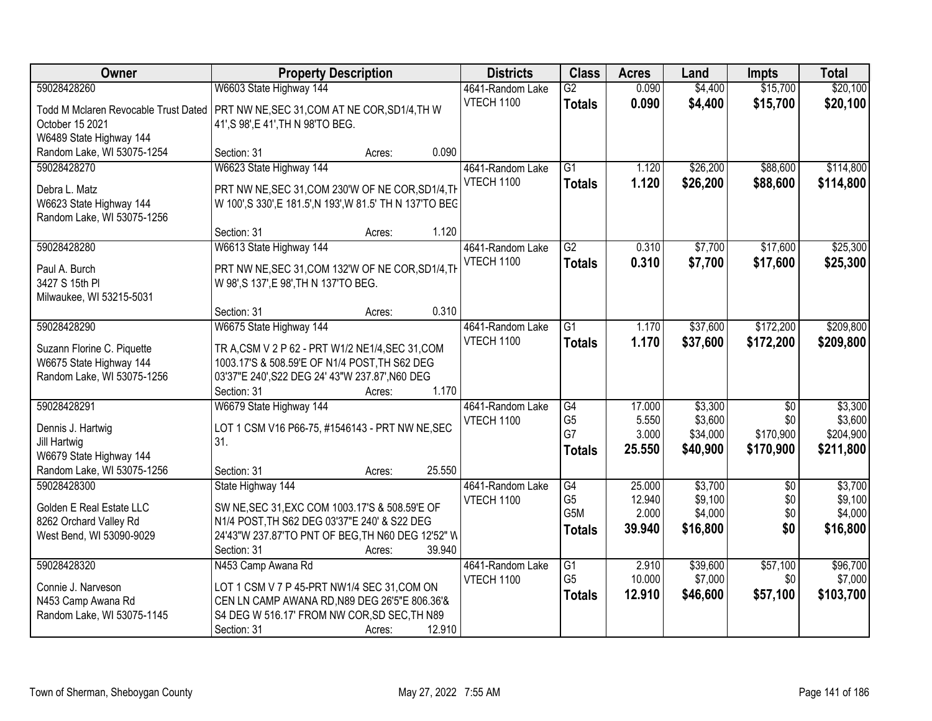| Owner                                | <b>Property Description</b>                               | <b>Districts</b>  | <b>Class</b>                       | <b>Acres</b>    | Land               | <b>Impts</b>    | <b>Total</b>       |
|--------------------------------------|-----------------------------------------------------------|-------------------|------------------------------------|-----------------|--------------------|-----------------|--------------------|
| 59028428260                          | W6603 State Highway 144                                   | 4641-Random Lake  | $\overline{G2}$                    | 0.090           | \$4,400            | \$15,700        | \$20,100           |
| Todd M Mclaren Revocable Trust Dated | PRT NW NE, SEC 31, COM AT NE COR, SD1/4, TH W             | <b>VTECH 1100</b> | <b>Totals</b>                      | 0.090           | \$4,400            | \$15,700        | \$20,100           |
| October 15 2021                      | 41', S 98', E 41', TH N 98'TO BEG.                        |                   |                                    |                 |                    |                 |                    |
| W6489 State Highway 144              |                                                           |                   |                                    |                 |                    |                 |                    |
| Random Lake, WI 53075-1254           | Section: 31<br>Acres:                                     | 0.090             |                                    |                 |                    |                 |                    |
| 59028428270                          | W6623 State Highway 144                                   | 4641-Random Lake  | $\overline{G1}$                    | 1.120           | \$26,200           | \$88,600        | \$114,800          |
|                                      |                                                           | <b>VTECH 1100</b> | <b>Totals</b>                      | 1.120           | \$26,200           | \$88,600        | \$114,800          |
| Debra L. Matz                        | PRT NW NE, SEC 31, COM 230'W OF NE COR, SD1/4, TH         |                   |                                    |                 |                    |                 |                    |
| W6623 State Highway 144              | W 100', S 330', E 181.5', N 193', W 81.5' TH N 137'TO BEG |                   |                                    |                 |                    |                 |                    |
| Random Lake, WI 53075-1256           | Section: 31                                               | 1.120             |                                    |                 |                    |                 |                    |
| 59028428280                          | Acres:                                                    | 4641-Random Lake  | G2                                 | 0.310           | \$7,700            | \$17,600        | \$25,300           |
|                                      | W6613 State Highway 144                                   | VTECH 1100        |                                    |                 |                    |                 |                    |
| Paul A. Burch                        | PRT NW NE, SEC 31, COM 132'W OF NE COR, SD1/4, TH         |                   | <b>Totals</b>                      | 0.310           | \$7,700            | \$17,600        | \$25,300           |
| 3427 S 15th PI                       | W 98', S 137', E 98', TH N 137'TO BEG.                    |                   |                                    |                 |                    |                 |                    |
| Milwaukee, WI 53215-5031             |                                                           |                   |                                    |                 |                    |                 |                    |
|                                      | Section: 31<br>Acres:                                     | 0.310             |                                    |                 |                    |                 |                    |
| 59028428290                          | W6675 State Highway 144                                   | 4641-Random Lake  | $\overline{G1}$                    | 1.170           | \$37,600           | \$172,200       | \$209,800          |
| Suzann Florine C. Piquette           | TR A, CSM V 2 P 62 - PRT W1/2 NE1/4, SEC 31, COM          | VTECH 1100        | <b>Totals</b>                      | 1.170           | \$37,600           | \$172,200       | \$209,800          |
| W6675 State Highway 144              | 1003.17'S & 508.59'E OF N1/4 POST, TH S62 DEG             |                   |                                    |                 |                    |                 |                    |
| Random Lake, WI 53075-1256           | 03'37"E 240', S22 DEG 24' 43"W 237.87', N60 DEG           |                   |                                    |                 |                    |                 |                    |
|                                      | Section: 31<br>Acres:                                     | 1.170             |                                    |                 |                    |                 |                    |
| 59028428291                          | W6679 State Highway 144                                   | 4641-Random Lake  | $\overline{G4}$                    | 17.000          | \$3,300            | \$0             | \$3,300            |
|                                      |                                                           | VTECH 1100        | G <sub>5</sub>                     | 5.550           | \$3,600            | \$0             | \$3,600            |
| Dennis J. Hartwig                    | LOT 1 CSM V16 P66-75, #1546143 - PRT NW NE, SEC           |                   | G7                                 | 3.000           | \$34,000           | \$170,900       | \$204,900          |
| Jill Hartwig                         | 31.                                                       |                   | <b>Totals</b>                      | 25.550          | \$40,900           | \$170,900       | \$211,800          |
| W6679 State Highway 144              |                                                           |                   |                                    |                 |                    |                 |                    |
| Random Lake, WI 53075-1256           | Section: 31<br>Acres:                                     | 25.550            |                                    |                 |                    |                 |                    |
| 59028428300                          | State Highway 144                                         | 4641-Random Lake  | $\overline{G4}$                    | 25.000          | \$3,700            | $\overline{50}$ | \$3,700            |
| Golden E Real Estate LLC             | SW NE, SEC 31, EXC COM 1003.17'S & 508.59'E OF            | <b>VTECH 1100</b> | G <sub>5</sub><br>G <sub>5</sub> M | 12.940<br>2.000 | \$9,100<br>\$4,000 | \$0<br>\$0      | \$9,100<br>\$4,000 |
| 8262 Orchard Valley Rd               | N1/4 POST, TH S62 DEG 03'37"E 240' & S22 DEG              |                   |                                    | 39.940          |                    | \$0             |                    |
| West Bend, WI 53090-9029             | 24'43"W 237.87'TO PNT OF BEG, TH N60 DEG 12'52" W         |                   | <b>Totals</b>                      |                 | \$16,800           |                 | \$16,800           |
|                                      | Section: 31<br>Acres:                                     | 39.940            |                                    |                 |                    |                 |                    |
| 59028428320                          | N453 Camp Awana Rd                                        | 4641-Random Lake  | $\overline{G1}$                    | 2.910           | \$39,600           | \$57,100        | \$96,700           |
| Connie J. Narveson                   | LOT 1 CSM V 7 P 45-PRT NW1/4 SEC 31, COM ON               | <b>VTECH 1100</b> | G <sub>5</sub>                     | 10.000          | \$7,000            | \$0             | \$7,000            |
| N453 Camp Awana Rd                   | CEN LN CAMP AWANA RD, N89 DEG 26'5"E 806.36'&             |                   | <b>Totals</b>                      | 12.910          | \$46,600           | \$57,100        | \$103,700          |
| Random Lake, WI 53075-1145           | S4 DEG W 516.17' FROM NW COR, SD SEC, TH N89              |                   |                                    |                 |                    |                 |                    |
|                                      | Section: 31<br>Acres:                                     | 12.910            |                                    |                 |                    |                 |                    |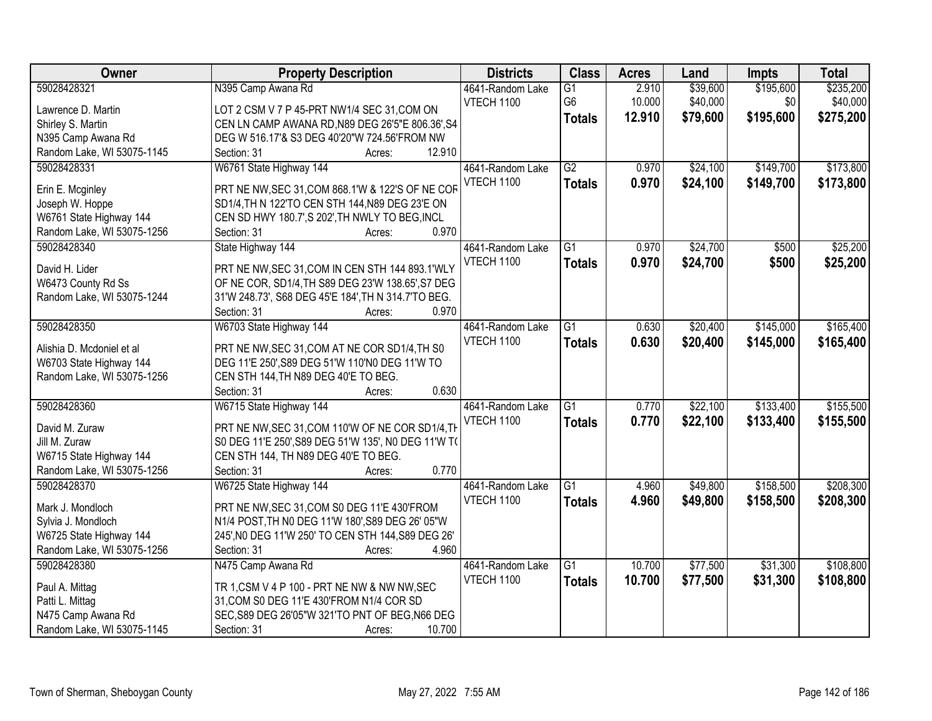| Owner                                                 | <b>Property Description</b>                                  | <b>Districts</b>  | <b>Class</b>    | <b>Acres</b> | Land     | <b>Impts</b> | <b>Total</b> |
|-------------------------------------------------------|--------------------------------------------------------------|-------------------|-----------------|--------------|----------|--------------|--------------|
| 59028428321                                           | N395 Camp Awana Rd                                           | 4641-Random Lake  | $\overline{G1}$ | 2.910        | \$39,600 | \$195,600    | \$235,200    |
| Lawrence D. Martin                                    | LOT 2 CSM V 7 P 45-PRT NW1/4 SEC 31, COM ON                  | <b>VTECH 1100</b> | G <sub>6</sub>  | 10.000       | \$40,000 | \$0          | \$40,000     |
| Shirley S. Martin                                     | CEN LN CAMP AWANA RD, N89 DEG 26'5"E 806.36', S4             |                   | <b>Totals</b>   | 12.910       | \$79,600 | \$195,600    | \$275,200    |
| N395 Camp Awana Rd                                    | DEG W 516.17'& S3 DEG 40'20"W 724.56'FROM NW                 |                   |                 |              |          |              |              |
| Random Lake, WI 53075-1145                            | 12.910<br>Section: 31<br>Acres:                              |                   |                 |              |          |              |              |
| 59028428331                                           | W6761 State Highway 144                                      | 4641-Random Lake  | G2              | 0.970        | \$24,100 | \$149,700    | \$173,800    |
|                                                       |                                                              | VTECH 1100        | <b>Totals</b>   | 0.970        | \$24,100 | \$149,700    | \$173,800    |
| Erin E. Mcginley                                      | PRT NE NW, SEC 31, COM 868.1'W & 122'S OF NE COR             |                   |                 |              |          |              |              |
| Joseph W. Hoppe                                       | SD1/4, TH N 122'TO CEN STH 144, N89 DEG 23'E ON              |                   |                 |              |          |              |              |
| W6761 State Highway 144                               | CEN SD HWY 180.7', S 202', TH NWLY TO BEG, INCL              |                   |                 |              |          |              |              |
| Random Lake, WI 53075-1256                            | 0.970<br>Section: 31<br>Acres:                               |                   |                 |              |          |              |              |
| 59028428340                                           | State Highway 144                                            | 4641-Random Lake  | $\overline{G1}$ | 0.970        | \$24,700 | \$500        | \$25,200     |
| David H. Lider                                        | PRT NE NW, SEC 31, COM IN CEN STH 144 893.1'WLY              | <b>VTECH 1100</b> | <b>Totals</b>   | 0.970        | \$24,700 | \$500        | \$25,200     |
| W6473 County Rd Ss                                    | OF NE COR, SD1/4, TH S89 DEG 23'W 138.65', S7 DEG            |                   |                 |              |          |              |              |
| Random Lake, WI 53075-1244                            | 31'W 248.73', S68 DEG 45'E 184', TH N 314.7'TO BEG.          |                   |                 |              |          |              |              |
|                                                       | 0.970<br>Section: 31<br>Acres:                               |                   |                 |              |          |              |              |
| 59028428350                                           | W6703 State Highway 144                                      | 4641-Random Lake  | $\overline{G1}$ | 0.630        | \$20,400 | \$145,000    | \$165,400    |
|                                                       |                                                              | VTECH 1100        |                 | 0.630        | \$20,400 | \$145,000    |              |
| Alishia D. Mcdoniel et al                             | PRT NE NW, SEC 31, COM AT NE COR SD1/4, TH S0                |                   | <b>Totals</b>   |              |          |              | \$165,400    |
| W6703 State Highway 144                               | DEG 11'E 250', S89 DEG 51'W 110'N0 DEG 11'W TO               |                   |                 |              |          |              |              |
| Random Lake, WI 53075-1256                            | CEN STH 144, TH N89 DEG 40'E TO BEG.                         |                   |                 |              |          |              |              |
|                                                       | 0.630<br>Section: 31<br>Acres:                               |                   |                 |              |          |              |              |
| 59028428360                                           | W6715 State Highway 144                                      | 4641-Random Lake  | $\overline{G1}$ | 0.770        | \$22,100 | \$133,400    | \$155,500    |
| David M. Zuraw                                        | PRT NE NW, SEC 31, COM 110'W OF NE COR SD1/4, TH             | VTECH 1100        | <b>Totals</b>   | 0.770        | \$22,100 | \$133,400    | \$155,500    |
| Jill M. Zuraw                                         | S0 DEG 11'E 250', S89 DEG 51'W 135', N0 DEG 11'W TO          |                   |                 |              |          |              |              |
|                                                       |                                                              |                   |                 |              |          |              |              |
| W6715 State Highway 144<br>Random Lake, WI 53075-1256 | CEN STH 144, TH N89 DEG 40'E TO BEG.<br>0.770<br>Section: 31 |                   |                 |              |          |              |              |
|                                                       | Acres:                                                       |                   |                 |              |          |              |              |
| 59028428370                                           | W6725 State Highway 144                                      | 4641-Random Lake  | $\overline{G1}$ | 4.960        | \$49,800 | \$158,500    | \$208,300    |
| Mark J. Mondloch                                      | PRT NE NW, SEC 31, COM S0 DEG 11'E 430'FROM                  | VTECH 1100        | <b>Totals</b>   | 4.960        | \$49,800 | \$158,500    | \$208,300    |
| Sylvia J. Mondloch                                    | N1/4 POST, TH N0 DEG 11'W 180', S89 DEG 26' 05"W             |                   |                 |              |          |              |              |
| W6725 State Highway 144                               | 245', NO DEG 11'W 250' TO CEN STH 144, S89 DEG 26'           |                   |                 |              |          |              |              |
| Random Lake, WI 53075-1256                            | 4.960<br>Section: 31<br>Acres:                               |                   |                 |              |          |              |              |
| 59028428380                                           | N475 Camp Awana Rd                                           | 4641-Random Lake  | $\overline{G1}$ | 10.700       | \$77,500 | \$31,300     | \$108,800    |
|                                                       |                                                              | VTECH 1100        | <b>Totals</b>   | 10.700       | \$77,500 | \$31,300     | \$108,800    |
| Paul A. Mittag                                        | TR 1, CSM V 4 P 100 - PRT NE NW & NW NW, SEC                 |                   |                 |              |          |              |              |
| Patti L. Mittag                                       | 31, COM S0 DEG 11'E 430'FROM N1/4 COR SD                     |                   |                 |              |          |              |              |
| N475 Camp Awana Rd                                    | SEC, S89 DEG 26'05"W 321'TO PNT OF BEG, N66 DEG              |                   |                 |              |          |              |              |
| Random Lake, WI 53075-1145                            | 10.700<br>Section: 31<br>Acres:                              |                   |                 |              |          |              |              |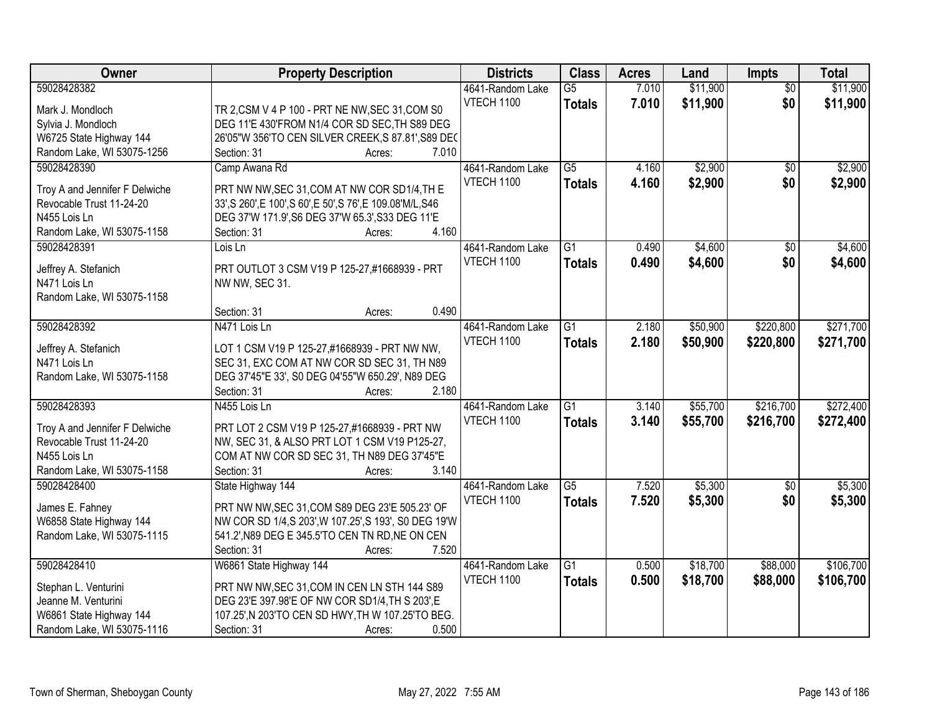| <b>Owner</b>                   | <b>Property Description</b>                                  | <b>Districts</b>               | <b>Class</b>    | <b>Acres</b> | Land     | Impts           | <b>Total</b> |
|--------------------------------|--------------------------------------------------------------|--------------------------------|-----------------|--------------|----------|-----------------|--------------|
| 59028428382                    |                                                              | 4641-Random Lake               | $\overline{G5}$ | 7.010        | \$11,900 | $\overline{50}$ | \$11,900     |
| Mark J. Mondloch               | TR 2, CSM V 4 P 100 - PRT NE NW, SEC 31, COM S0              | <b>VTECH 1100</b>              | <b>Totals</b>   | 7.010        | \$11,900 | \$0             | \$11,900     |
| Sylvia J. Mondloch             | DEG 11'E 430'FROM N1/4 COR SD SEC, TH S89 DEG                |                                |                 |              |          |                 |              |
| W6725 State Highway 144        | 26'05"W 356'TO CEN SILVER CREEK, S 87.81', S89 DEC           |                                |                 |              |          |                 |              |
| Random Lake, WI 53075-1256     | 7.010<br>Section: 31<br>Acres:                               |                                |                 |              |          |                 |              |
| 59028428390                    | Camp Awana Rd                                                | 4641-Random Lake               | $\overline{G5}$ | 4.160        | \$2,900  | \$0             | \$2,900      |
|                                |                                                              | VTECH 1100                     | <b>Totals</b>   | 4.160        | \$2,900  | \$0             | \$2,900      |
| Troy A and Jennifer F Delwiche | PRT NW NW, SEC 31, COM AT NW COR SD1/4, TH E                 |                                |                 |              |          |                 |              |
| Revocable Trust 11-24-20       | 33', S 260', E 100', S 60', E 50', S 76', E 109.08' M/L, S46 |                                |                 |              |          |                 |              |
| N455 Lois Ln                   | DEG 37'W 171.9', S6 DEG 37'W 65.3', S33 DEG 11'E             |                                |                 |              |          |                 |              |
| Random Lake, WI 53075-1158     | 4.160<br>Section: 31<br>Acres:                               |                                |                 |              |          |                 |              |
| 59028428391                    | Lois Ln                                                      | 4641-Random Lake               | $\overline{G1}$ | 0.490        | \$4,600  | $\overline{50}$ | \$4,600      |
| Jeffrey A. Stefanich           | PRT OUTLOT 3 CSM V19 P 125-27,#1668939 - PRT                 | <b>VTECH 1100</b>              | <b>Totals</b>   | 0.490        | \$4,600  | \$0             | \$4,600      |
| N471 Lois Ln                   | NW NW, SEC 31.                                               |                                |                 |              |          |                 |              |
| Random Lake, WI 53075-1158     |                                                              |                                |                 |              |          |                 |              |
|                                | 0.490<br>Section: 31<br>Acres:                               |                                |                 |              |          |                 |              |
| 59028428392                    | N471 Lois Ln                                                 | 4641-Random Lake               | G1              | 2.180        | \$50,900 | \$220,800       | \$271,700    |
|                                |                                                              | VTECH 1100                     |                 | 2.180        | \$50,900 | \$220,800       | \$271,700    |
| Jeffrey A. Stefanich           | LOT 1 CSM V19 P 125-27,#1668939 - PRT NW NW,                 |                                | <b>Totals</b>   |              |          |                 |              |
| N471 Lois Ln                   | SEC 31, EXC COM AT NW COR SD SEC 31, TH N89                  |                                |                 |              |          |                 |              |
| Random Lake, WI 53075-1158     | DEG 37'45"E 33', S0 DEG 04'55"W 650.29', N89 DEG             |                                |                 |              |          |                 |              |
|                                | 2.180<br>Section: 31<br>Acres:                               |                                |                 |              |          |                 |              |
| 59028428393                    | N455 Lois Ln                                                 | 4641-Random Lake               | $\overline{G1}$ | 3.140        | \$55,700 | \$216,700       | \$272,400    |
| Troy A and Jennifer F Delwiche | PRT LOT 2 CSM V19 P 125-27,#1668939 - PRT NW                 | VTECH 1100                     | <b>Totals</b>   | 3.140        | \$55,700 | \$216,700       | \$272,400    |
| Revocable Trust 11-24-20       | NW, SEC 31, & ALSO PRT LOT 1 CSM V19 P125-27,                |                                |                 |              |          |                 |              |
| N455 Lois Ln                   | COM AT NW COR SD SEC 31, TH N89 DEG 37'45"E                  |                                |                 |              |          |                 |              |
| Random Lake, WI 53075-1158     | 3.140<br>Section: 31<br>Acres:                               |                                |                 |              |          |                 |              |
| 59028428400                    |                                                              |                                | G5              | 7.520        | \$5,300  |                 | \$5,300      |
|                                | State Highway 144                                            | 4641-Random Lake<br>VTECH 1100 |                 |              |          | $\overline{50}$ |              |
| James E. Fahney                | PRT NW NW, SEC 31, COM S89 DEG 23'E 505.23' OF               |                                | <b>Totals</b>   | 7.520        | \$5,300  | \$0             | \$5,300      |
| W6858 State Highway 144        | NW COR SD 1/4,S 203',W 107.25',S 193', S0 DEG 19'W           |                                |                 |              |          |                 |              |
| Random Lake, WI 53075-1115     | 541.2', N89 DEG E 345.5'TO CEN TN RD, NE ON CEN              |                                |                 |              |          |                 |              |
|                                | Section: 31<br>7.520<br>Acres:                               |                                |                 |              |          |                 |              |
| 59028428410                    | W6861 State Highway 144                                      | 4641-Random Lake               | $\overline{G1}$ | 0.500        | \$18,700 | \$88,000        | \$106,700    |
|                                |                                                              | VTECH 1100                     | <b>Totals</b>   | 0.500        | \$18,700 | \$88,000        | \$106,700    |
| Stephan L. Venturini           | PRT NW NW, SEC 31, COM IN CEN LN STH 144 S89                 |                                |                 |              |          |                 |              |
| Jeanne M. Venturini            | DEG 23'E 397.98'E OF NW COR SD1/4, TH S 203', E              |                                |                 |              |          |                 |              |
| W6861 State Highway 144        | 107.25', N 203'TO CEN SD HWY, TH W 107.25'TO BEG.            |                                |                 |              |          |                 |              |
| Random Lake, WI 53075-1116     | 0.500<br>Section: 31<br>Acres:                               |                                |                 |              |          |                 |              |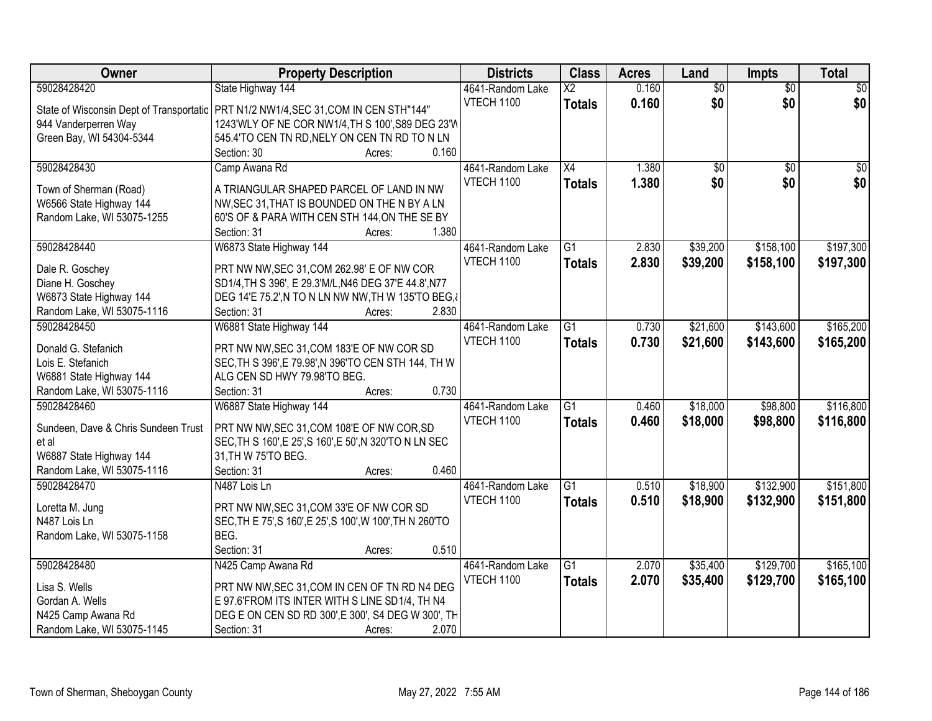| Owner                                                                                  | <b>Property Description</b>                                                                           |                 | <b>Districts</b>  | <b>Class</b>             | <b>Acres</b> | Land            | <b>Impts</b>    | <b>Total</b>    |
|----------------------------------------------------------------------------------------|-------------------------------------------------------------------------------------------------------|-----------------|-------------------|--------------------------|--------------|-----------------|-----------------|-----------------|
| 59028428420                                                                            | State Highway 144                                                                                     |                 | 4641-Random Lake  | $\overline{\mathsf{x2}}$ | 0.160        | $\overline{50}$ | $\overline{50}$ | $\overline{30}$ |
| State of Wisconsin Dept of Transportatic   PRT N1/2 NW1/4, SEC 31, COM IN CEN STH"144" |                                                                                                       |                 | <b>VTECH 1100</b> | <b>Totals</b>            | 0.160        | \$0             | \$0             | \$0             |
| 944 Vanderperren Way                                                                   | 1243'WLY OF NE COR NW1/4, TH S 100', S89 DEG 23'W                                                     |                 |                   |                          |              |                 |                 |                 |
| Green Bay, WI 54304-5344                                                               | 545.4'TO CEN TN RD, NELY ON CEN TN RD TO N LN                                                         |                 |                   |                          |              |                 |                 |                 |
|                                                                                        | Section: 30                                                                                           | 0.160<br>Acres: |                   |                          |              |                 |                 |                 |
| 59028428430                                                                            | Camp Awana Rd                                                                                         |                 | 4641-Random Lake  | $\overline{X4}$          | 1.380        | $\overline{50}$ | $\overline{50}$ | $\sqrt{50}$     |
|                                                                                        |                                                                                                       |                 | VTECH 1100        | <b>Totals</b>            | 1.380        | \$0             | \$0             | \$0             |
| Town of Sherman (Road)                                                                 | A TRIANGULAR SHAPED PARCEL OF LAND IN NW                                                              |                 |                   |                          |              |                 |                 |                 |
| W6566 State Highway 144                                                                | NW, SEC 31, THAT IS BOUNDED ON THE N BY A LN                                                          |                 |                   |                          |              |                 |                 |                 |
| Random Lake, WI 53075-1255                                                             | 60'S OF & PARA WITH CEN STH 144, ON THE SE BY                                                         |                 |                   |                          |              |                 |                 |                 |
|                                                                                        | Section: 31                                                                                           | 1.380<br>Acres: |                   |                          |              |                 |                 |                 |
| 59028428440                                                                            | W6873 State Highway 144                                                                               |                 | 4641-Random Lake  | $\overline{G1}$          | 2.830        | \$39,200        | \$158,100       | \$197,300       |
| Dale R. Goschey                                                                        | PRT NW NW, SEC 31, COM 262.98' E OF NW COR                                                            |                 | <b>VTECH 1100</b> | <b>Totals</b>            | 2.830        | \$39,200        | \$158,100       | \$197,300       |
| Diane H. Goschey                                                                       | SD1/4, TH S 396', E 29.3'M/L, N46 DEG 37'E 44.8', N77                                                 |                 |                   |                          |              |                 |                 |                 |
| W6873 State Highway 144                                                                | DEG 14'E 75.2', N TO N LN NW NW, TH W 135'TO BEG, ¿                                                   |                 |                   |                          |              |                 |                 |                 |
| Random Lake, WI 53075-1116                                                             | Section: 31                                                                                           | 2.830<br>Acres: |                   |                          |              |                 |                 |                 |
| 59028428450                                                                            | W6881 State Highway 144                                                                               |                 | 4641-Random Lake  | $\overline{G1}$          | 0.730        | \$21,600        | \$143,600       | \$165,200       |
|                                                                                        |                                                                                                       |                 | <b>VTECH 1100</b> | <b>Totals</b>            | 0.730        | \$21,600        | \$143,600       | \$165,200       |
| Donald G. Stefanich                                                                    | PRT NW NW, SEC 31, COM 183'E OF NW COR SD                                                             |                 |                   |                          |              |                 |                 |                 |
| Lois E. Stefanich                                                                      | SEC, TH S 396', E 79.98', N 396'TO CEN STH 144, TH W                                                  |                 |                   |                          |              |                 |                 |                 |
| W6881 State Highway 144                                                                | ALG CEN SD HWY 79.98'TO BEG.                                                                          |                 |                   |                          |              |                 |                 |                 |
| Random Lake, WI 53075-1116                                                             | Section: 31                                                                                           | 0.730<br>Acres: |                   |                          |              |                 |                 |                 |
| 59028428460                                                                            | W6887 State Highway 144                                                                               |                 | 4641-Random Lake  | $\overline{G1}$          | 0.460        | \$18,000        | \$98,800        | \$116,800       |
| Sundeen, Dave & Chris Sundeen Trust                                                    | PRT NW NW, SEC 31, COM 108'E OF NW COR, SD                                                            |                 | <b>VTECH 1100</b> | <b>Totals</b>            | 0.460        | \$18,000        | \$98,800        | \$116,800       |
| et al                                                                                  | SEC, TH S 160', E 25', S 160', E 50', N 320'TO N LN SEC                                               |                 |                   |                          |              |                 |                 |                 |
| W6887 State Highway 144                                                                | 31, TH W 75'TO BEG.                                                                                   |                 |                   |                          |              |                 |                 |                 |
| Random Lake, WI 53075-1116                                                             | Section: 31                                                                                           | 0.460<br>Acres: |                   |                          |              |                 |                 |                 |
| 59028428470                                                                            | N487 Lois Ln                                                                                          |                 | 4641-Random Lake  | $\overline{G1}$          | 0.510        | \$18,900        | \$132,900       | \$151,800       |
|                                                                                        |                                                                                                       |                 | <b>VTECH 1100</b> | <b>Totals</b>            | 0.510        | \$18,900        | \$132,900       | \$151,800       |
| Loretta M. Jung<br>N487 Lois Ln                                                        | PRT NW NW, SEC 31, COM 33'E OF NW COR SD<br>SEC, TH E 75', S 160', E 25', S 100', W 100', TH N 260'TO |                 |                   |                          |              |                 |                 |                 |
|                                                                                        | BEG.                                                                                                  |                 |                   |                          |              |                 |                 |                 |
| Random Lake, WI 53075-1158                                                             | Section: 31                                                                                           | 0.510           |                   |                          |              |                 |                 |                 |
| 59028428480                                                                            | N425 Camp Awana Rd                                                                                    | Acres:          | 4641-Random Lake  | $\overline{G1}$          | 2.070        | \$35,400        | \$129,700       | \$165,100       |
|                                                                                        |                                                                                                       |                 |                   |                          |              |                 |                 |                 |
| Lisa S. Wells                                                                          | PRT NW NW, SEC 31, COM IN CEN OF TN RD N4 DEG                                                         |                 | <b>VTECH 1100</b> | <b>Totals</b>            | 2.070        | \$35,400        | \$129,700       | \$165,100       |
| Gordan A. Wells                                                                        | E 97.6'FROM ITS INTER WITH S LINE SD1/4, TH N4                                                        |                 |                   |                          |              |                 |                 |                 |
| N425 Camp Awana Rd                                                                     | DEG E ON CEN SD RD 300', E 300', S4 DEG W 300', TH                                                    |                 |                   |                          |              |                 |                 |                 |
| Random Lake, WI 53075-1145                                                             | Section: 31                                                                                           | 2.070<br>Acres: |                   |                          |              |                 |                 |                 |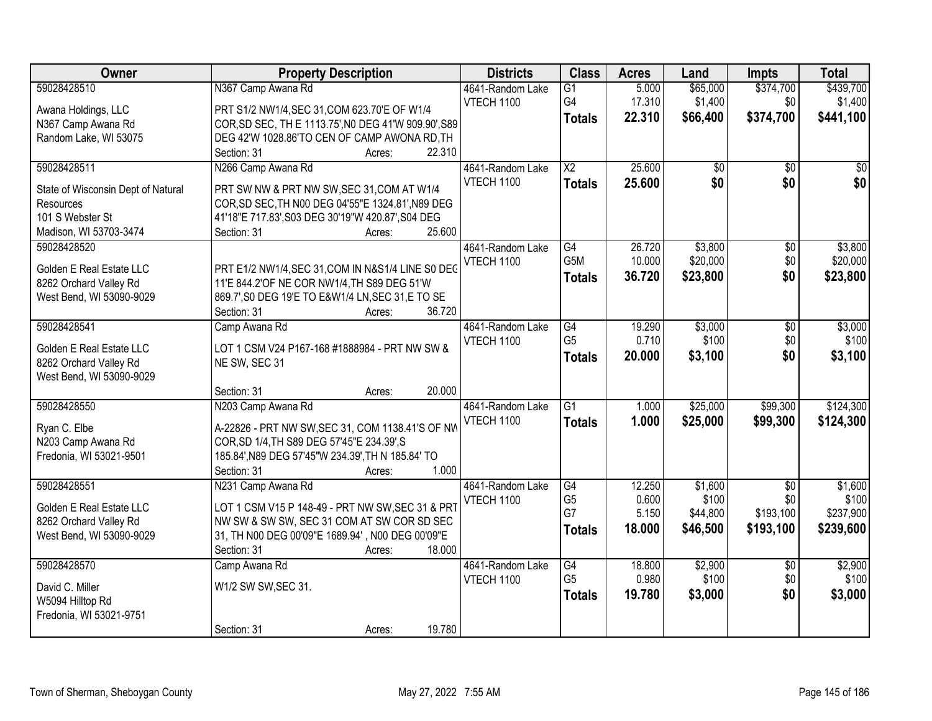| Owner                              | <b>Property Description</b>                                | <b>Districts</b>  | <b>Class</b>         | <b>Acres</b>    | Land             | <b>Impts</b>       | <b>Total</b>     |
|------------------------------------|------------------------------------------------------------|-------------------|----------------------|-----------------|------------------|--------------------|------------------|
| 59028428510                        | N367 Camp Awana Rd                                         | 4641-Random Lake  | $\overline{G1}$      | 5.000           | \$65,000         | \$374,700          | \$439,700        |
| Awana Holdings, LLC                | PRT S1/2 NW1/4, SEC 31, COM 623.70'E OF W1/4               | VTECH 1100        | G4                   | 17.310          | \$1,400          | \$0                | \$1,400          |
| N367 Camp Awana Rd                 | COR, SD SEC, TH E 1113.75', NO DEG 41'W 909.90', S89       |                   | <b>Totals</b>        | 22.310          | \$66,400         | \$374,700          | \$441,100        |
| Random Lake, WI 53075              | DEG 42'W 1028.86'TO CEN OF CAMP AWONA RD, TH               |                   |                      |                 |                  |                    |                  |
|                                    | 22.310<br>Section: 31<br>Acres:                            |                   |                      |                 |                  |                    |                  |
| 59028428511                        | N266 Camp Awana Rd                                         | 4641-Random Lake  | $\overline{X2}$      | 25.600          | $\overline{50}$  | $\overline{50}$    | $\overline{50}$  |
|                                    |                                                            | VTECH 1100        | <b>Totals</b>        | 25.600          | \$0              | \$0                | \$0              |
| State of Wisconsin Dept of Natural | PRT SW NW & PRT NW SW, SEC 31, COM AT W1/4                 |                   |                      |                 |                  |                    |                  |
| Resources                          | COR, SD SEC, TH N00 DEG 04'55"E 1324.81', N89 DEG          |                   |                      |                 |                  |                    |                  |
| 101 S Webster St                   | 41'18"E 717.83', S03 DEG 30'19"W 420.87', S04 DEG          |                   |                      |                 |                  |                    |                  |
| Madison, WI 53703-3474             | 25.600<br>Section: 31<br>Acres:                            |                   |                      |                 |                  |                    |                  |
| 59028428520                        |                                                            | 4641-Random Lake  | G4                   | 26.720          | \$3,800          | $\overline{50}$    | \$3,800          |
| Golden E Real Estate LLC           | PRT E1/2 NW1/4, SEC 31, COM IN N&S1/4 LINE S0 DEG          | <b>VTECH 1100</b> | G5M                  | 10.000          | \$20,000         | \$0                | \$20,000         |
| 8262 Orchard Valley Rd             | 11'E 844.2'OF NE COR NW1/4, TH S89 DEG 51'W                |                   | <b>Totals</b>        | 36.720          | \$23,800         | \$0                | \$23,800         |
| West Bend, WI 53090-9029           | 869.7', S0 DEG 19'E TO E&W1/4 LN, SEC 31, E TO SE          |                   |                      |                 |                  |                    |                  |
|                                    | 36.720<br>Section: 31<br>Acres:                            |                   |                      |                 |                  |                    |                  |
| 59028428541                        | Camp Awana Rd                                              | 4641-Random Lake  | $\overline{G4}$      | 19.290          | \$3,000          | $\overline{50}$    | \$3,000          |
|                                    |                                                            | <b>VTECH 1100</b> | G <sub>5</sub>       | 0.710           | \$100            | \$0                | \$100            |
| Golden E Real Estate LLC           | LOT 1 CSM V24 P167-168 #1888984 - PRT NW SW &              |                   | <b>Totals</b>        | 20.000          | \$3,100          | \$0                | \$3,100          |
| 8262 Orchard Valley Rd             | NE SW, SEC 31                                              |                   |                      |                 |                  |                    |                  |
| West Bend, WI 53090-9029           |                                                            |                   |                      |                 |                  |                    |                  |
|                                    | 20.000<br>Section: 31<br>Acres:                            |                   | $\overline{G1}$      |                 |                  | \$99,300           | \$124,300        |
| 59028428550                        | N203 Camp Awana Rd                                         | 4641-Random Lake  |                      | 1.000           | \$25,000         |                    |                  |
| Ryan C. Elbe                       | A-22826 - PRT NW SW, SEC 31, COM 1138.41'S OF NW           | VTECH 1100        | <b>Totals</b>        | 1.000           | \$25,000         | \$99,300           | \$124,300        |
| N203 Camp Awana Rd                 | COR, SD 1/4, TH S89 DEG 57'45"E 234.39', S                 |                   |                      |                 |                  |                    |                  |
| Fredonia, WI 53021-9501            | 185.84', N89 DEG 57'45"W 234.39', TH N 185.84' TO          |                   |                      |                 |                  |                    |                  |
|                                    | 1.000<br>Section: 31<br>Acres:                             |                   |                      |                 |                  |                    |                  |
| 59028428551                        | N231 Camp Awana Rd                                         | 4641-Random Lake  | G4                   | 12.250          | \$1,600          | $\overline{50}$    | \$1,600          |
|                                    | LOT 1 CSM V15 P 148-49 - PRT NW SW, SEC 31 & PRT           | VTECH 1100        | G <sub>5</sub>       | 0.600           | \$100            | \$0                | \$100            |
| Golden E Real Estate LLC           |                                                            |                   | G7                   | 5.150           | \$44,800         | \$193,100          | \$237,900        |
| 8262 Orchard Valley Rd             | NW SW & SW SW, SEC 31 COM AT SW COR SD SEC                 |                   | <b>Totals</b>        | 18.000          | \$46,500         | \$193,100          | \$239,600        |
| West Bend, WI 53090-9029           | 31, TH N00 DEG 00'09"E 1689.94', N00 DEG 00'09"E<br>18.000 |                   |                      |                 |                  |                    |                  |
|                                    | Section: 31<br>Acres:                                      |                   |                      |                 |                  |                    |                  |
| 59028428570                        | Camp Awana Rd                                              | 4641-Random Lake  | G4<br>G <sub>5</sub> | 18,800<br>0.980 | \$2,900<br>\$100 | $\sqrt{$0}$<br>\$0 | \$2,900<br>\$100 |
| David C. Miller                    | W1/2 SW SW, SEC 31.                                        | VTECH 1100        |                      |                 |                  |                    |                  |
| W5094 Hilltop Rd                   |                                                            |                   | <b>Totals</b>        | 19.780          | \$3,000          | \$0                | \$3,000          |
| Fredonia, WI 53021-9751            |                                                            |                   |                      |                 |                  |                    |                  |
|                                    | 19.780<br>Section: 31<br>Acres:                            |                   |                      |                 |                  |                    |                  |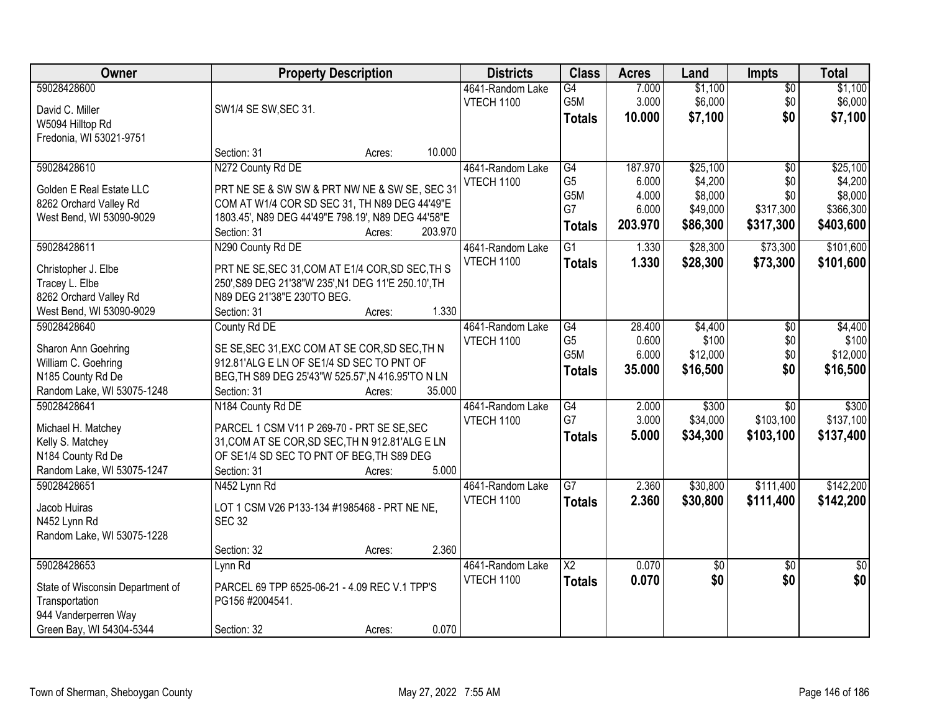| Owner                            | <b>Property Description</b>                         |        |         | <b>Districts</b>  | <b>Class</b>             | <b>Acres</b> | Land            | <b>Impts</b>           | <b>Total</b>    |
|----------------------------------|-----------------------------------------------------|--------|---------|-------------------|--------------------------|--------------|-----------------|------------------------|-----------------|
| 59028428600                      |                                                     |        |         | 4641-Random Lake  | $\overline{G4}$          | 7.000        | \$1,100         | $\sqrt{$0}$            | \$1,100         |
| David C. Miller                  | SW1/4 SE SW, SEC 31.                                |        |         | VTECH 1100        | G5M                      | 3.000        | \$6,000         | \$0                    | \$6,000         |
| W5094 Hilltop Rd                 |                                                     |        |         |                   | <b>Totals</b>            | 10.000       | \$7,100         | \$0                    | \$7,100         |
| Fredonia, WI 53021-9751          |                                                     |        |         |                   |                          |              |                 |                        |                 |
|                                  | Section: 31                                         | Acres: | 10.000  |                   |                          |              |                 |                        |                 |
| 59028428610                      | N272 County Rd DE                                   |        |         | 4641-Random Lake  | G4                       | 187.970      | \$25,100        | $\overline{50}$        | \$25,100        |
| Golden E Real Estate LLC         | PRT NE SE & SW SW & PRT NW NE & SW SE, SEC 31       |        |         | <b>VTECH 1100</b> | G <sub>5</sub>           | 6.000        | \$4,200         | \$0                    | \$4,200         |
| 8262 Orchard Valley Rd           | COM AT W1/4 COR SD SEC 31, TH N89 DEG 44'49"E       |        |         |                   | G5M                      | 4.000        | \$8,000         | \$0                    | \$8,000         |
| West Bend, WI 53090-9029         | 1803.45', N89 DEG 44'49"E 798.19', N89 DEG 44'58"E  |        |         |                   | G7                       | 6.000        | \$49,000        | \$317,300              | \$366,300       |
|                                  | Section: 31                                         | Acres: | 203.970 |                   | <b>Totals</b>            | 203.970      | \$86,300        | \$317,300              | \$403,600       |
| 59028428611                      | N290 County Rd DE                                   |        |         | 4641-Random Lake  | $\overline{G1}$          | 1.330        | \$28,300        | \$73,300               | \$101,600       |
| Christopher J. Elbe              | PRT NE SE, SEC 31, COM AT E1/4 COR, SD SEC, TH S    |        |         | <b>VTECH 1100</b> | <b>Totals</b>            | 1.330        | \$28,300        | \$73,300               | \$101,600       |
| Tracey L. Elbe                   | 250', S89 DEG 21'38"W 235', N1 DEG 11'E 250.10', TH |        |         |                   |                          |              |                 |                        |                 |
| 8262 Orchard Valley Rd           | N89 DEG 21'38"E 230'TO BEG.                         |        |         |                   |                          |              |                 |                        |                 |
| West Bend, WI 53090-9029         | Section: 31                                         | Acres: | 1.330   |                   |                          |              |                 |                        |                 |
| 59028428640                      | County Rd DE                                        |        |         | 4641-Random Lake  | G4                       | 28.400       | \$4,400         | $\sqrt[6]{3}$          | \$4,400         |
| Sharon Ann Goehring              | SE SE, SEC 31, EXC COM AT SE COR, SD SEC, TH N      |        |         | VTECH 1100        | G <sub>5</sub>           | 0.600        | \$100           | \$0                    | \$100           |
| William C. Goehring              | 912.81'ALG E LN OF SE1/4 SD SEC TO PNT OF           |        |         |                   | G5M                      | 6.000        | \$12,000        | \$0                    | \$12,000        |
| N185 County Rd De                | BEG, TH S89 DEG 25'43"W 525.57', N 416.95'TO N LN   |        |         |                   | <b>Totals</b>            | 35.000       | \$16,500        | \$0                    | \$16,500        |
| Random Lake, WI 53075-1248       | Section: 31                                         | Acres: | 35.000  |                   |                          |              |                 |                        |                 |
| 59028428641                      | N184 County Rd DE                                   |        |         | 4641-Random Lake  | G4                       | 2.000        | \$300           | $\overline{30}$        | \$300           |
| Michael H. Matchey               | PARCEL 1 CSM V11 P 269-70 - PRT SE SE, SEC          |        |         | <b>VTECH 1100</b> | G7                       | 3.000        | \$34,000        | \$103,100              | \$137,100       |
| Kelly S. Matchey                 | 31, COM AT SE COR, SD SEC, TH N 912.81'ALG E LN     |        |         |                   | <b>Totals</b>            | 5.000        | \$34,300        | \$103,100              | \$137,400       |
| N184 County Rd De                | OF SE1/4 SD SEC TO PNT OF BEG, TH S89 DEG           |        |         |                   |                          |              |                 |                        |                 |
| Random Lake, WI 53075-1247       | Section: 31                                         | Acres: | 5.000   |                   |                          |              |                 |                        |                 |
| 59028428651                      | N452 Lynn Rd                                        |        |         | 4641-Random Lake  | $\overline{G7}$          | 2.360        | \$30,800        | \$111,400              | \$142,200       |
|                                  |                                                     |        |         | VTECH 1100        | <b>Totals</b>            | 2.360        | \$30,800        | \$111,400              | \$142,200       |
| Jacob Huiras                     | LOT 1 CSM V26 P133-134 #1985468 - PRT NE NE,        |        |         |                   |                          |              |                 |                        |                 |
| N452 Lynn Rd                     | <b>SEC 32</b>                                       |        |         |                   |                          |              |                 |                        |                 |
| Random Lake, WI 53075-1228       | Section: 32                                         |        | 2.360   |                   |                          |              |                 |                        |                 |
| 59028428653                      | Lynn Rd                                             | Acres: |         | 4641-Random Lake  | $\overline{\mathsf{x2}}$ | 0.070        | $\overline{50}$ |                        | $\overline{30}$ |
|                                  |                                                     |        |         | <b>VTECH 1100</b> |                          | 0.070        | \$0             | $\overline{30}$<br>\$0 | \$0             |
| State of Wisconsin Department of | PARCEL 69 TPP 6525-06-21 - 4.09 REC V.1 TPP'S       |        |         |                   | <b>Totals</b>            |              |                 |                        |                 |
| Transportation                   | PG156 #2004541.                                     |        |         |                   |                          |              |                 |                        |                 |
| 944 Vanderperren Way             |                                                     |        |         |                   |                          |              |                 |                        |                 |
| Green Bay, WI 54304-5344         | Section: 32                                         | Acres: | 0.070   |                   |                          |              |                 |                        |                 |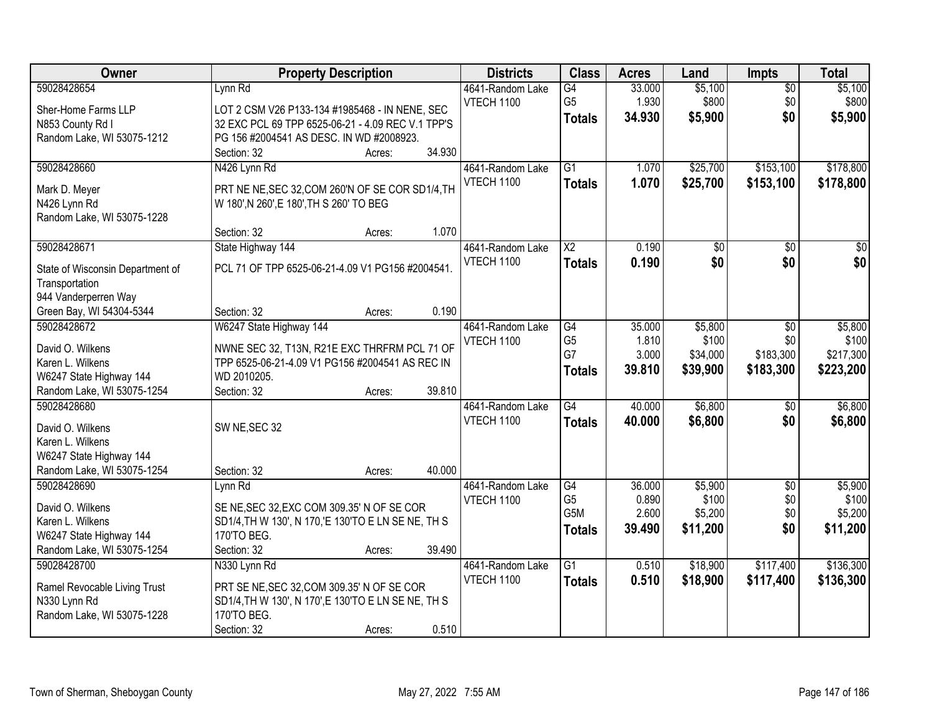| Owner                                     | <b>Property Description</b>                         | <b>Districts</b>               | <b>Class</b>     | <b>Acres</b>    | Land             | <b>Impts</b>           | <b>Total</b>     |
|-------------------------------------------|-----------------------------------------------------|--------------------------------|------------------|-----------------|------------------|------------------------|------------------|
| 59028428654                               | Lynn Rd                                             | 4641-Random Lake               | G4               | 33.000          | \$5,100          | $\overline{50}$        | \$5,100          |
| Sher-Home Farms LLP                       | LOT 2 CSM V26 P133-134 #1985468 - IN NENE, SEC      | <b>VTECH 1100</b>              | G <sub>5</sub>   | 1.930           | \$800            | \$0                    | \$800            |
| N853 County Rd I                          | 32 EXC PCL 69 TPP 6525-06-21 - 4.09 REC V.1 TPP'S   |                                | <b>Totals</b>    | 34.930          | \$5,900          | \$0                    | \$5,900          |
| Random Lake, WI 53075-1212                | PG 156 #2004541 AS DESC. IN WD #2008923.            |                                |                  |                 |                  |                        |                  |
|                                           | 34.930<br>Section: 32<br>Acres:                     |                                |                  |                 |                  |                        |                  |
| 59028428660                               | N426 Lynn Rd                                        | 4641-Random Lake               | $\overline{G1}$  | 1.070           | \$25,700         | \$153,100              | \$178,800        |
|                                           |                                                     | <b>VTECH 1100</b>              | <b>Totals</b>    | 1.070           | \$25,700         | \$153,100              | \$178,800        |
| Mark D. Meyer                             | PRT NE NE, SEC 32, COM 260'N OF SE COR SD1/4, TH    |                                |                  |                 |                  |                        |                  |
| N426 Lynn Rd                              | W 180', N 260', E 180', TH S 260' TO BEG            |                                |                  |                 |                  |                        |                  |
| Random Lake, WI 53075-1228                | 1.070<br>Section: 32                                |                                |                  |                 |                  |                        |                  |
|                                           | Acres:                                              |                                |                  |                 |                  |                        |                  |
| 59028428671                               | State Highway 144                                   | 4641-Random Lake               | $\overline{X2}$  | 0.190           | \$0              | \$0                    | $\sqrt{50}$      |
| State of Wisconsin Department of          | PCL 71 OF TPP 6525-06-21-4.09 V1 PG156 #2004541.    | <b>VTECH 1100</b>              | <b>Totals</b>    | 0.190           | \$0              | \$0                    | \$0              |
| Transportation                            |                                                     |                                |                  |                 |                  |                        |                  |
| 944 Vanderperren Way                      |                                                     |                                |                  |                 |                  |                        |                  |
| Green Bay, WI 54304-5344                  | 0.190<br>Section: 32<br>Acres:                      |                                |                  |                 |                  |                        |                  |
| 59028428672                               | W6247 State Highway 144                             | 4641-Random Lake               | G4               | 35.000          | \$5,800          | \$0                    | \$5,800          |
| David O. Wilkens                          | NWNE SEC 32, T13N, R21E EXC THRFRM PCL 71 OF        | <b>VTECH 1100</b>              | G <sub>5</sub>   | 1.810           | \$100            | \$0                    | \$100            |
| Karen L. Wilkens                          | TPP 6525-06-21-4.09 V1 PG156 #2004541 AS REC IN     |                                | G7               | 3.000           | \$34,000         | \$183,300              | \$217,300        |
| W6247 State Highway 144                   | WD 2010205.                                         |                                | <b>Totals</b>    | 39.810          | \$39,900         | \$183,300              | \$223,200        |
| Random Lake, WI 53075-1254                | 39.810<br>Section: 32<br>Acres:                     |                                |                  |                 |                  |                        |                  |
| 59028428680                               |                                                     | 4641-Random Lake               | $\overline{G4}$  | 40.000          | \$6,800          | \$0                    | \$6,800          |
|                                           |                                                     | VTECH 1100                     | <b>Totals</b>    | 40.000          | \$6,800          | \$0                    | \$6,800          |
| David O. Wilkens                          | SW NE, SEC 32                                       |                                |                  |                 |                  |                        |                  |
| Karen L. Wilkens                          |                                                     |                                |                  |                 |                  |                        |                  |
| W6247 State Highway 144                   | 40.000                                              |                                |                  |                 |                  |                        |                  |
| Random Lake, WI 53075-1254<br>59028428690 | Section: 32<br>Acres:                               |                                | G4               |                 |                  |                        |                  |
|                                           | Lynn Rd                                             | 4641-Random Lake<br>VTECH 1100 | G <sub>5</sub>   | 36.000<br>0.890 | \$5,900<br>\$100 | $\overline{50}$<br>\$0 | \$5,900<br>\$100 |
| David O. Wilkens                          | SE NE, SEC 32, EXC COM 309.35' N OF SE COR          |                                | G <sub>5</sub> M | 2.600           | \$5,200          | \$0                    | \$5,200          |
| Karen L. Wilkens                          | SD1/4, TH W 130', N 170, 'E 130'TO E LN SE NE, TH S |                                | <b>Totals</b>    | 39.490          | \$11,200         | \$0                    | \$11,200         |
| W6247 State Highway 144                   | 170'TO BEG.                                         |                                |                  |                 |                  |                        |                  |
| Random Lake, WI 53075-1254                | 39.490<br>Section: 32<br>Acres:                     |                                |                  |                 |                  |                        |                  |
| 59028428700                               | N330 Lynn Rd                                        | 4641-Random Lake               | $\overline{G1}$  | 0.510           | \$18,900         | \$117,400              | \$136,300        |
| Ramel Revocable Living Trust              | PRT SE NE, SEC 32, COM 309.35' N OF SE COR          | <b>VTECH 1100</b>              | <b>Totals</b>    | 0.510           | \$18,900         | \$117,400              | \$136,300        |
| N330 Lynn Rd                              | SD1/4, TH W 130', N 170', E 130'TO E LN SE NE, TH S |                                |                  |                 |                  |                        |                  |
| Random Lake, WI 53075-1228                | 170'TO BEG.                                         |                                |                  |                 |                  |                        |                  |
|                                           | 0.510<br>Section: 32<br>Acres:                      |                                |                  |                 |                  |                        |                  |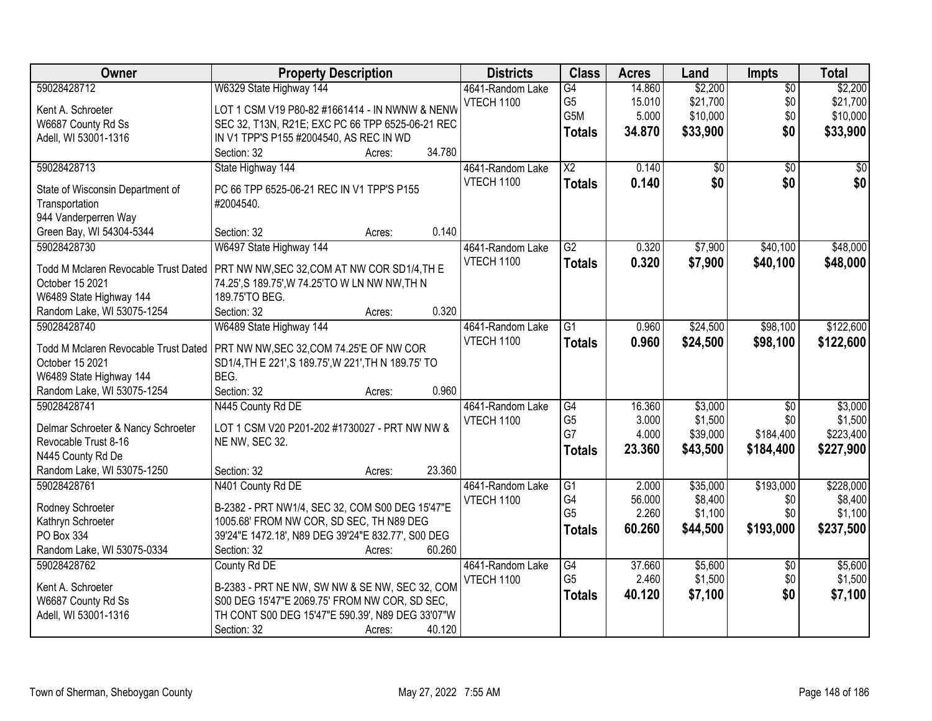| Owner                                                      | <b>Property Description</b>                          | <b>Districts</b> | <b>Class</b>           | <b>Acres</b> | Land     | Impts           | <b>Total</b>    |
|------------------------------------------------------------|------------------------------------------------------|------------------|------------------------|--------------|----------|-----------------|-----------------|
| 59028428712                                                | W6329 State Highway 144                              | 4641-Random Lake | G4                     | 14.860       | \$2,200  | $\overline{50}$ | \$2,200         |
| Kent A. Schroeter                                          | LOT 1 CSM V19 P80-82 #1661414 - IN NWNW & NENW       | VTECH 1100       | G <sub>5</sub>         | 15.010       | \$21,700 | \$0             | \$21,700        |
| W6687 County Rd Ss                                         | SEC 32, T13N, R21E; EXC PC 66 TPP 6525-06-21 REC     |                  | G5M                    | 5.000        | \$10,000 | \$0             | \$10,000        |
| Adell, WI 53001-1316                                       | IN V1 TPP'S P155 #2004540, AS REC IN WD              |                  | <b>Totals</b>          | 34.870       | \$33,900 | \$0             | \$33,900        |
|                                                            | 34.780<br>Section: 32<br>Acres:                      |                  |                        |              |          |                 |                 |
| 59028428713                                                | State Highway 144                                    | 4641-Random Lake | $\overline{\text{X2}}$ | 0.140        | \$0      | $\overline{30}$ | $\overline{50}$ |
|                                                            |                                                      | VTECH 1100       | <b>Totals</b>          | 0.140        | \$0      | \$0             | \$0             |
| State of Wisconsin Department of                           | PC 66 TPP 6525-06-21 REC IN V1 TPP'S P155            |                  |                        |              |          |                 |                 |
| Transportation                                             | #2004540.                                            |                  |                        |              |          |                 |                 |
| 944 Vanderperren Way                                       |                                                      |                  |                        |              |          |                 |                 |
| Green Bay, WI 54304-5344                                   | 0.140<br>Section: 32<br>Acres:                       |                  |                        |              |          |                 |                 |
| 59028428730                                                | W6497 State Highway 144                              | 4641-Random Lake | $\overline{G2}$        | 0.320        | \$7,900  | \$40,100        | \$48,000        |
| Todd M Mclaren Revocable Trust Dated                       | PRT NW NW, SEC 32, COM AT NW COR SD1/4, TH E         | VTECH 1100       | <b>Totals</b>          | 0.320        | \$7,900  | \$40,100        | \$48,000        |
| October 15 2021                                            | 74.25', S 189.75', W 74.25'TO W LN NW NW, TH N       |                  |                        |              |          |                 |                 |
| W6489 State Highway 144                                    | 189.75'TO BEG.                                       |                  |                        |              |          |                 |                 |
| Random Lake, WI 53075-1254                                 | 0.320<br>Section: 32<br>Acres:                       |                  |                        |              |          |                 |                 |
| 59028428740                                                | W6489 State Highway 144                              | 4641-Random Lake | G1                     | 0.960        | \$24,500 | \$98,100        | \$122,600       |
|                                                            |                                                      | VTECH 1100       |                        | 0.960        | \$24,500 | \$98,100        |                 |
| Todd M Mclaren Revocable Trust Dated                       | PRT NW NW, SEC 32, COM 74.25'E OF NW COR             |                  | <b>Totals</b>          |              |          |                 | \$122,600       |
| October 15 2021                                            | SD1/4, TH E 221', S 189.75', W 221', TH N 189.75' TO |                  |                        |              |          |                 |                 |
| W6489 State Highway 144                                    | BEG.                                                 |                  |                        |              |          |                 |                 |
| Random Lake, WI 53075-1254                                 | Section: 32<br>0.960<br>Acres:                       |                  |                        |              |          |                 |                 |
| 59028428741                                                | N445 County Rd DE                                    | 4641-Random Lake | $\overline{G4}$        | 16.360       | \$3,000  | $\overline{50}$ | \$3,000         |
|                                                            | LOT 1 CSM V20 P201-202 #1730027 - PRT NW NW &        | VTECH 1100       | G <sub>5</sub>         | 3.000        | \$1,500  | \$0             | \$1,500         |
| Delmar Schroeter & Nancy Schroeter<br>Revocable Trust 8-16 |                                                      |                  | G7                     | 4.000        | \$39,000 | \$184,400       | \$223,400       |
| N445 County Rd De                                          | NE NW, SEC 32.                                       |                  | <b>Totals</b>          | 23.360       | \$43,500 | \$184,400       | \$227,900       |
| Random Lake, WI 53075-1250                                 | 23.360<br>Section: 32                                |                  |                        |              |          |                 |                 |
| 59028428761                                                | Acres:                                               | 4641-Random Lake | G1                     | 2.000        | \$35,000 | \$193,000       | \$228,000       |
|                                                            | N401 County Rd DE                                    |                  | G4                     | 56.000       | \$8,400  | \$0             | \$8,400         |
| Rodney Schroeter                                           | B-2382 - PRT NW1/4, SEC 32, COM S00 DEG 15'47"E      | VTECH 1100       | G <sub>5</sub>         | 2.260        | \$1,100  | \$0             | \$1,100         |
| Kathryn Schroeter                                          | 1005.68' FROM NW COR, SD SEC, TH N89 DEG             |                  |                        |              |          |                 |                 |
| PO Box 334                                                 | 39'24"E 1472.18', N89 DEG 39'24"E 832.77', S00 DEG   |                  | <b>Totals</b>          | 60.260       | \$44,500 | \$193,000       | \$237,500       |
| Random Lake, WI 53075-0334                                 | Section: 32<br>60.260<br>Acres:                      |                  |                        |              |          |                 |                 |
| 59028428762                                                | County Rd DE                                         | 4641-Random Lake | $\overline{G4}$        | 37.660       | \$5,600  | $\overline{50}$ | \$5,600         |
|                                                            |                                                      | VTECH 1100       | G <sub>5</sub>         | 2.460        | \$1,500  | \$0             | \$1,500         |
| Kent A. Schroeter                                          | B-2383 - PRT NE NW, SW NW & SE NW, SEC 32, COM       |                  | <b>Totals</b>          | 40.120       | \$7,100  | \$0             | \$7,100         |
| W6687 County Rd Ss                                         | S00 DEG 15'47"E 2069.75' FROM NW COR, SD SEC,        |                  |                        |              |          |                 |                 |
| Adell, WI 53001-1316                                       | TH CONT S00 DEG 15'47"E 590.39', N89 DEG 33'07"W     |                  |                        |              |          |                 |                 |
|                                                            | 40.120<br>Section: 32<br>Acres:                      |                  |                        |              |          |                 |                 |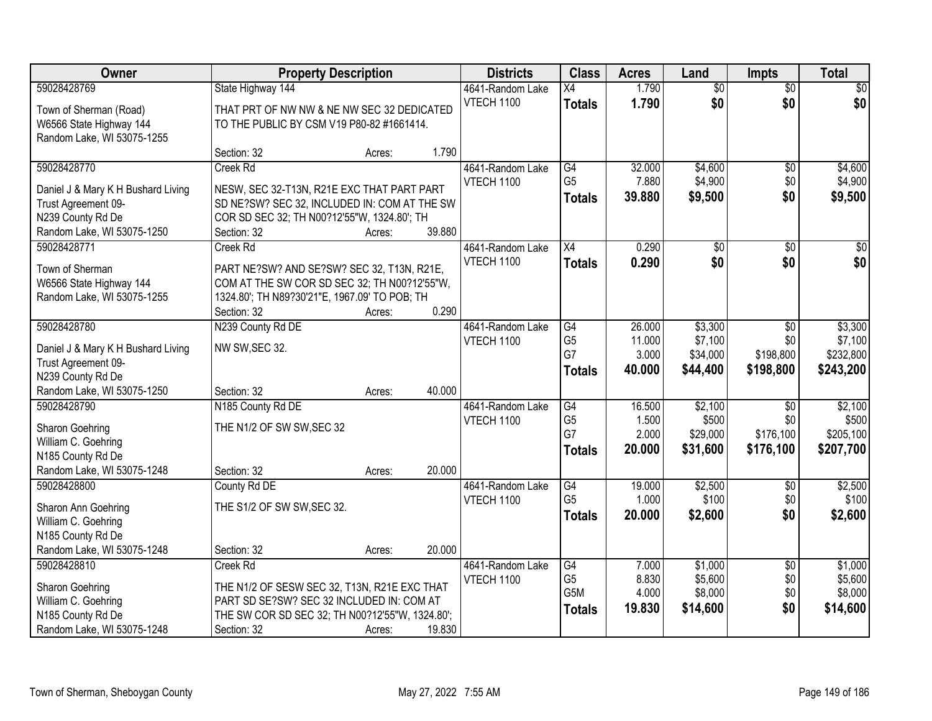| Owner                                      | <b>Property Description</b>                                                               |        |        | <b>Districts</b>  | <b>Class</b>    | <b>Acres</b> | Land            | <b>Impts</b>    | <b>Total</b> |
|--------------------------------------------|-------------------------------------------------------------------------------------------|--------|--------|-------------------|-----------------|--------------|-----------------|-----------------|--------------|
| 59028428769                                | State Highway 144                                                                         |        |        | 4641-Random Lake  | $\overline{X4}$ | 1.790        | $\overline{50}$ | $\overline{50}$ | \$0          |
| Town of Sherman (Road)                     | THAT PRT OF NW NW & NE NW SEC 32 DEDICATED                                                |        |        | VTECH 1100        | <b>Totals</b>   | 1.790        | \$0             | \$0             | \$0          |
| W6566 State Highway 144                    | TO THE PUBLIC BY CSM V19 P80-82 #1661414.                                                 |        |        |                   |                 |              |                 |                 |              |
| Random Lake, WI 53075-1255                 |                                                                                           |        |        |                   |                 |              |                 |                 |              |
|                                            | Section: 32                                                                               | Acres: | 1.790  |                   |                 |              |                 |                 |              |
| 59028428770                                | Creek Rd                                                                                  |        |        | 4641-Random Lake  | $\overline{G4}$ | 32.000       | \$4,600         | $\overline{50}$ | \$4,600      |
| Daniel J & Mary K H Bushard Living         | NESW, SEC 32-T13N, R21E EXC THAT PART PART                                                |        |        | <b>VTECH 1100</b> | G <sub>5</sub>  | 7.880        | \$4,900         | \$0             | \$4,900      |
| Trust Agreement 09-                        | SD NE?SW? SEC 32, INCLUDED IN: COM AT THE SW                                              |        |        |                   | <b>Totals</b>   | 39.880       | \$9,500         | \$0             | \$9,500      |
| N239 County Rd De                          | COR SD SEC 32; TH N00?12'55"W, 1324.80'; TH                                               |        |        |                   |                 |              |                 |                 |              |
| Random Lake, WI 53075-1250                 | Section: 32                                                                               | Acres: | 39.880 |                   |                 |              |                 |                 |              |
| 59028428771                                | <b>Creek Rd</b>                                                                           |        |        | 4641-Random Lake  | X4              | 0.290        | \$0             | \$0             | $\sqrt{50}$  |
| Town of Sherman                            | PART NE?SW? AND SE?SW? SEC 32, T13N, R21E,                                                |        |        | VTECH 1100        | <b>Totals</b>   | 0.290        | \$0             | \$0             | \$0          |
| W6566 State Highway 144                    | COM AT THE SW COR SD SEC 32; TH N00?12'55"W,                                              |        |        |                   |                 |              |                 |                 |              |
| Random Lake, WI 53075-1255                 | 1324.80"; TH N89?30'21"E, 1967.09' TO POB; TH                                             |        |        |                   |                 |              |                 |                 |              |
|                                            | Section: 32                                                                               | Acres: | 0.290  |                   |                 |              |                 |                 |              |
| 59028428780                                | N239 County Rd DE                                                                         |        |        | 4641-Random Lake  | G4              | 26.000       | \$3,300         | \$0             | \$3,300      |
| Daniel J & Mary K H Bushard Living         | NW SW, SEC 32.                                                                            |        |        | <b>VTECH 1100</b> | G <sub>5</sub>  | 11.000       | \$7,100         | \$0             | \$7,100      |
| Trust Agreement 09-                        |                                                                                           |        |        |                   | G7              | 3.000        | \$34,000        | \$198,800       | \$232,800    |
| N239 County Rd De                          |                                                                                           |        |        |                   | <b>Totals</b>   | 40.000       | \$44,400        | \$198,800       | \$243,200    |
| Random Lake, WI 53075-1250                 | Section: 32                                                                               | Acres: | 40.000 |                   |                 |              |                 |                 |              |
| 59028428790                                | N185 County Rd DE                                                                         |        |        | 4641-Random Lake  | $\overline{G4}$ | 16.500       | \$2,100         | $\overline{50}$ | \$2,100      |
|                                            | THE N1/2 OF SW SW, SEC 32                                                                 |        |        | <b>VTECH 1100</b> | G <sub>5</sub>  | 1.500        | \$500           | \$0             | \$500        |
| Sharon Goehring<br>William C. Goehring     |                                                                                           |        |        |                   | G7              | 2.000        | \$29,000        | \$176,100       | \$205,100    |
| N185 County Rd De                          |                                                                                           |        |        |                   | <b>Totals</b>   | 20.000       | \$31,600        | \$176,100       | \$207,700    |
| Random Lake, WI 53075-1248                 | Section: 32                                                                               | Acres: | 20.000 |                   |                 |              |                 |                 |              |
| 59028428800                                | County Rd DE                                                                              |        |        | 4641-Random Lake  | G4              | 19.000       | \$2,500         | $\overline{50}$ | \$2,500      |
|                                            | THE S1/2 OF SW SW, SEC 32.                                                                |        |        | <b>VTECH 1100</b> | G <sub>5</sub>  | 1.000        | \$100           | \$0             | \$100        |
| Sharon Ann Goehring<br>William C. Goehring |                                                                                           |        |        |                   | <b>Totals</b>   | 20,000       | \$2,600         | \$0             | \$2,600      |
| N185 County Rd De                          |                                                                                           |        |        |                   |                 |              |                 |                 |              |
| Random Lake, WI 53075-1248                 | Section: 32                                                                               | Acres: | 20.000 |                   |                 |              |                 |                 |              |
| 59028428810                                | <b>Creek Rd</b>                                                                           |        |        | 4641-Random Lake  | G4              | 7.000        | \$1,000         | $\overline{50}$ | \$1,000      |
|                                            |                                                                                           |        |        | VTECH 1100        | G <sub>5</sub>  | 8.830        | \$5,600         | \$0             | \$5,600      |
| Sharon Goehring<br>William C. Goehring     | THE N1/2 OF SESW SEC 32, T13N, R21E EXC THAT<br>PART SD SE?SW? SEC 32 INCLUDED IN: COM AT |        |        |                   | G5M             | 4.000        | \$8,000         | \$0             | \$8,000      |
| N185 County Rd De                          | THE SW COR SD SEC 32; TH N00?12'55"W, 1324.80';                                           |        |        |                   | <b>Totals</b>   | 19.830       | \$14,600        | \$0             | \$14,600     |
| Random Lake, WI 53075-1248                 | Section: 32                                                                               | Acres: | 19.830 |                   |                 |              |                 |                 |              |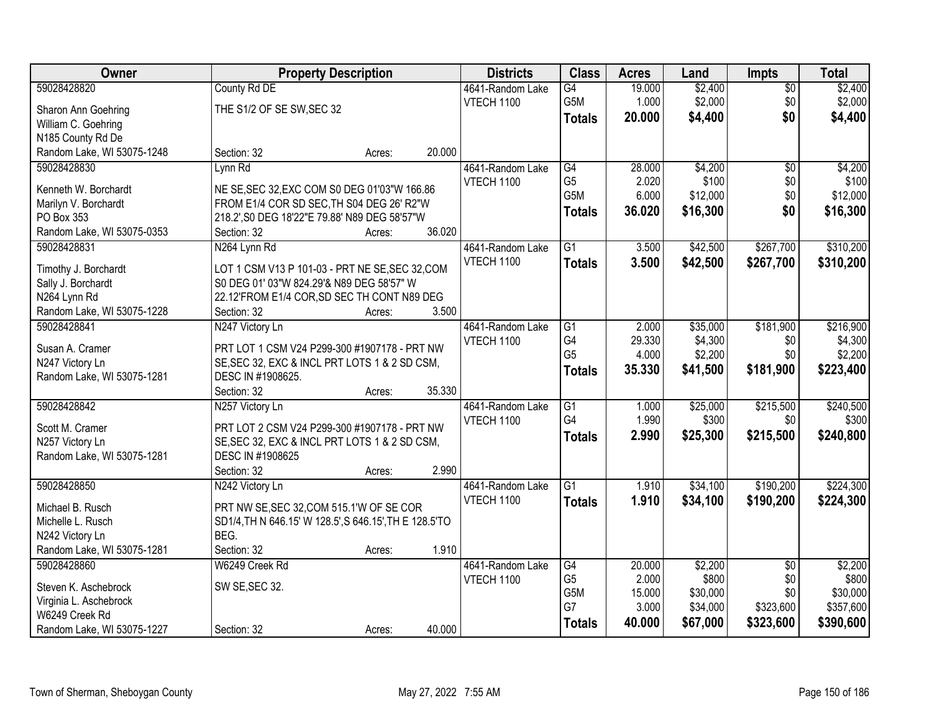| <b>Owner</b>                                 | <b>Property Description</b>                                                               |                  | <b>Districts</b>  | <b>Class</b>    | <b>Acres</b> | Land     | Impts           | <b>Total</b> |
|----------------------------------------------|-------------------------------------------------------------------------------------------|------------------|-------------------|-----------------|--------------|----------|-----------------|--------------|
| 59028428820                                  | County Rd DE                                                                              |                  | 4641-Random Lake  | G4              | 19.000       | \$2,400  | $\overline{50}$ | \$2,400      |
| Sharon Ann Goehring                          | THE S1/2 OF SE SW, SEC 32                                                                 |                  | <b>VTECH 1100</b> | G5M             | 1.000        | \$2,000  | \$0             | \$2,000      |
| William C. Goehring                          |                                                                                           |                  |                   | <b>Totals</b>   | 20.000       | \$4,400  | \$0             | \$4,400      |
| N185 County Rd De                            |                                                                                           |                  |                   |                 |              |          |                 |              |
| Random Lake, WI 53075-1248                   | Section: 32                                                                               | 20.000<br>Acres: |                   |                 |              |          |                 |              |
| 59028428830                                  | Lynn Rd                                                                                   |                  | 4641-Random Lake  | G4              | 28.000       | \$4,200  | $\overline{50}$ | \$4,200      |
|                                              |                                                                                           |                  | VTECH 1100        | G <sub>5</sub>  | 2.020        | \$100    | \$0             | \$100        |
| Kenneth W. Borchardt<br>Marilyn V. Borchardt | NE SE, SEC 32, EXC COM S0 DEG 01'03"W 166.86<br>FROM E1/4 COR SD SEC, TH S04 DEG 26' R2"W |                  |                   | G5M             | 6.000        | \$12,000 | \$0             | \$12,000     |
| PO Box 353                                   | 218.2', S0 DEG 18'22"E 79.88' N89 DEG 58'57"W                                             |                  |                   | <b>Totals</b>   | 36.020       | \$16,300 | \$0             | \$16,300     |
| Random Lake, WI 53075-0353                   | Section: 32                                                                               | 36.020<br>Acres: |                   |                 |              |          |                 |              |
| 59028428831                                  | N264 Lynn Rd                                                                              |                  | 4641-Random Lake  | $\overline{G1}$ | 3.500        | \$42,500 | \$267,700       | \$310,200    |
|                                              |                                                                                           |                  | VTECH 1100        |                 | 3.500        |          |                 |              |
| Timothy J. Borchardt                         | LOT 1 CSM V13 P 101-03 - PRT NE SE, SEC 32, COM                                           |                  |                   | <b>Totals</b>   |              | \$42,500 | \$267,700       | \$310,200    |
| Sally J. Borchardt                           | S0 DEG 01' 03"W 824.29'& N89 DEG 58'57" W                                                 |                  |                   |                 |              |          |                 |              |
| N264 Lynn Rd                                 | 22.12'FROM E1/4 COR, SD SEC TH CONT N89 DEG                                               |                  |                   |                 |              |          |                 |              |
| Random Lake, WI 53075-1228                   | Section: 32                                                                               | 3.500<br>Acres:  |                   |                 |              |          |                 |              |
| 59028428841                                  | N247 Victory Ln                                                                           |                  | 4641-Random Lake  | G1              | 2.000        | \$35,000 | \$181,900       | \$216,900    |
| Susan A. Cramer                              | PRT LOT 1 CSM V24 P299-300 #1907178 - PRT NW                                              |                  | VTECH 1100        | G4              | 29.330       | \$4,300  | \$0             | \$4,300      |
| N247 Victory Ln                              | SE, SEC 32, EXC & INCL PRT LOTS 1 & 2 SD CSM,                                             |                  |                   | G <sub>5</sub>  | 4.000        | \$2,200  | \$0             | \$2,200      |
| Random Lake, WI 53075-1281                   | DESC IN #1908625.                                                                         |                  |                   | <b>Totals</b>   | 35.330       | \$41,500 | \$181,900       | \$223,400    |
|                                              | Section: 32                                                                               | 35.330<br>Acres: |                   |                 |              |          |                 |              |
| 59028428842                                  | N257 Victory Ln                                                                           |                  | 4641-Random Lake  | $\overline{G1}$ | 1.000        | \$25,000 | \$215,500       | \$240,500    |
|                                              |                                                                                           |                  | VTECH 1100        | G4              | 1.990        | \$300    | \$0             | \$300        |
| Scott M. Cramer                              | PRT LOT 2 CSM V24 P299-300 #1907178 - PRT NW                                              |                  |                   |                 | 2.990        | \$25,300 | \$215,500       | \$240,800    |
| N257 Victory Ln                              | SE, SEC 32, EXC & INCL PRT LOTS 1 & 2 SD CSM,                                             |                  |                   | <b>Totals</b>   |              |          |                 |              |
| Random Lake, WI 53075-1281                   | DESC IN #1908625                                                                          |                  |                   |                 |              |          |                 |              |
|                                              | Section: 32                                                                               | 2.990<br>Acres:  |                   |                 |              |          |                 |              |
| 59028428850                                  | N242 Victory Ln                                                                           |                  | 4641-Random Lake  | G1              | 1.910        | \$34,100 | \$190,200       | \$224,300    |
| Michael B. Rusch                             | PRT NW SE, SEC 32, COM 515.1'W OF SE COR                                                  |                  | VTECH 1100        | <b>Totals</b>   | 1.910        | \$34,100 | \$190,200       | \$224,300    |
| Michelle L. Rusch                            | SD1/4, TH N 646.15' W 128.5', S 646.15', TH E 128.5'TO                                    |                  |                   |                 |              |          |                 |              |
| N242 Victory Ln                              | BEG.                                                                                      |                  |                   |                 |              |          |                 |              |
| Random Lake, WI 53075-1281                   | Section: 32                                                                               | 1.910<br>Acres:  |                   |                 |              |          |                 |              |
| 59028428860                                  | W6249 Creek Rd                                                                            |                  | 4641-Random Lake  | G4              | 20.000       | \$2,200  | $\overline{50}$ | \$2,200      |
|                                              |                                                                                           |                  | <b>VTECH 1100</b> | G <sub>5</sub>  | 2.000        | \$800    | \$0             | \$800        |
| Steven K. Aschebrock                         | SW SE, SEC 32.                                                                            |                  |                   | G5M             | 15.000       | \$30,000 | \$0             | \$30,000     |
| Virginia L. Aschebrock                       |                                                                                           |                  |                   | G7              | 3.000        | \$34,000 | \$323,600       | \$357,600    |
| W6249 Creek Rd                               |                                                                                           |                  |                   | <b>Totals</b>   | 40.000       | \$67,000 | \$323,600       | \$390,600    |
| Random Lake, WI 53075-1227                   | Section: 32                                                                               | 40.000<br>Acres: |                   |                 |              |          |                 |              |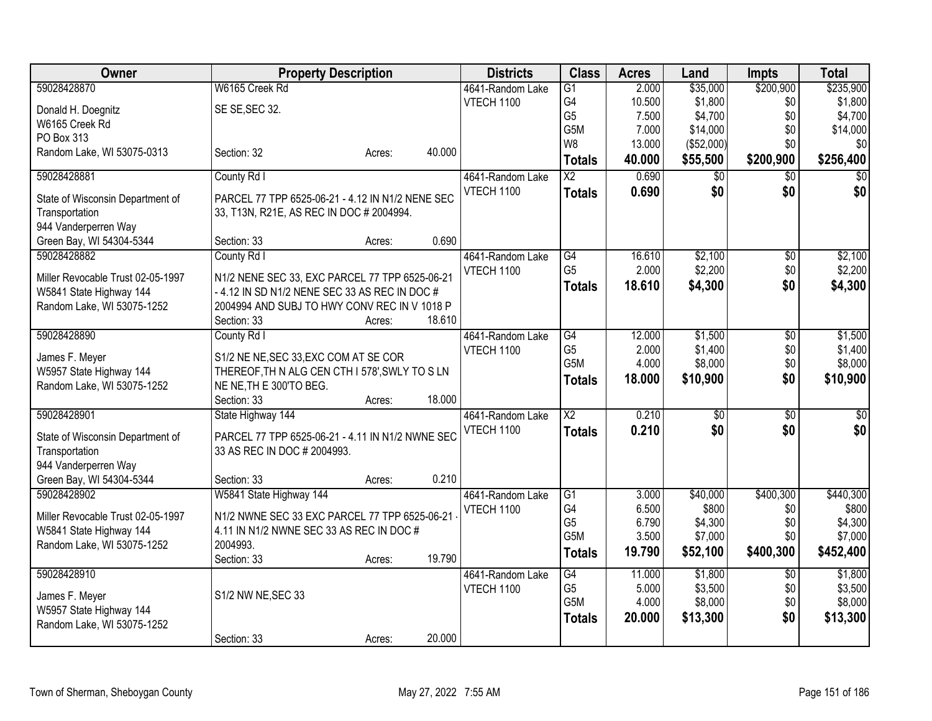| Owner                             | <b>Property Description</b>                                 |        |        | <b>Districts</b>  | <b>Class</b>           | <b>Acres</b> | Land            | <b>Impts</b>    | <b>Total</b>    |
|-----------------------------------|-------------------------------------------------------------|--------|--------|-------------------|------------------------|--------------|-----------------|-----------------|-----------------|
| 59028428870                       | W6165 Creek Rd                                              |        |        | 4641-Random Lake  | $\overline{G1}$        | 2.000        | \$35,000        | \$200,900       | \$235,900       |
| Donald H. Doegnitz                | SE SE, SEC 32.                                              |        |        | VTECH 1100        | G4                     | 10.500       | \$1,800         | \$0             | \$1,800         |
| W6165 Creek Rd                    |                                                             |        |        |                   | G <sub>5</sub>         | 7.500        | \$4,700         | \$0             | \$4,700         |
| PO Box 313                        |                                                             |        |        |                   | G5M                    | 7.000        | \$14,000        | \$0             | \$14,000        |
| Random Lake, WI 53075-0313        | Section: 32                                                 | Acres: | 40.000 |                   | W8                     | 13.000       | (\$52,000)      | \$0             | \$0             |
|                                   |                                                             |        |        |                   | <b>Totals</b>          | 40.000       | \$55,500        | \$200,900       | \$256,400       |
| 59028428881                       | County Rd I                                                 |        |        | 4641-Random Lake  | $\overline{\text{X2}}$ | 0.690        | $\overline{50}$ | $\overline{50}$ | $\overline{30}$ |
| State of Wisconsin Department of  | PARCEL 77 TPP 6525-06-21 - 4.12 IN N1/2 NENE SEC            |        |        | VTECH 1100        | <b>Totals</b>          | 0.690        | \$0             | \$0             | \$0             |
| Transportation                    | 33, T13N, R21E, AS REC IN DOC # 2004994.                    |        |        |                   |                        |              |                 |                 |                 |
| 944 Vanderperren Way              |                                                             |        |        |                   |                        |              |                 |                 |                 |
| Green Bay, WI 54304-5344          | Section: 33                                                 | Acres: | 0.690  |                   |                        |              |                 |                 |                 |
| 59028428882                       | County Rd I                                                 |        |        | 4641-Random Lake  | $\overline{G4}$        | 16.610       | \$2,100         | $\overline{50}$ | \$2,100         |
|                                   |                                                             |        |        | VTECH 1100        | G <sub>5</sub>         | 2.000        | \$2,200         | \$0             | \$2,200         |
| Miller Revocable Trust 02-05-1997 | N1/2 NENE SEC 33, EXC PARCEL 77 TPP 6525-06-21              |        |        |                   | <b>Totals</b>          | 18.610       | \$4,300         | \$0             | \$4,300         |
| W5841 State Highway 144           | - 4.12 IN SD N1/2 NENE SEC 33 AS REC IN DOC #               |        |        |                   |                        |              |                 |                 |                 |
| Random Lake, WI 53075-1252        | 2004994 AND SUBJ TO HWY CONV REC IN V 1018 P<br>Section: 33 |        | 18.610 |                   |                        |              |                 |                 |                 |
| 59028428890                       |                                                             | Acres: |        | 4641-Random Lake  | G4                     | 12.000       | \$1,500         | $\overline{50}$ | \$1,500         |
|                                   | County Rd I                                                 |        |        | VTECH 1100        | G <sub>5</sub>         | 2.000        | \$1,400         | \$0             | \$1,400         |
| James F. Meyer                    | S1/2 NE NE, SEC 33, EXC COM AT SE COR                       |        |        |                   | G <sub>5</sub> M       | 4.000        | \$8,000         | \$0             | \$8,000         |
| W5957 State Highway 144           | THEREOF, TH N ALG CEN CTH I 578', SWLY TO SLN               |        |        |                   |                        | 18.000       | \$10,900        | \$0             | \$10,900        |
| Random Lake, WI 53075-1252        | NE NE, TH E 300'TO BEG.                                     |        |        |                   | <b>Totals</b>          |              |                 |                 |                 |
|                                   | Section: 33                                                 | Acres: | 18.000 |                   |                        |              |                 |                 |                 |
| 59028428901                       | State Highway 144                                           |        |        | 4641-Random Lake  | $\overline{X2}$        | 0.210        | $\overline{50}$ | $\overline{50}$ | \$0             |
| State of Wisconsin Department of  | PARCEL 77 TPP 6525-06-21 - 4.11 IN N1/2 NWNE SEC            |        |        | <b>VTECH 1100</b> | <b>Totals</b>          | 0.210        | \$0             | \$0             | \$0             |
| Transportation                    | 33 AS REC IN DOC # 2004993.                                 |        |        |                   |                        |              |                 |                 |                 |
| 944 Vanderperren Way              |                                                             |        |        |                   |                        |              |                 |                 |                 |
| Green Bay, WI 54304-5344          | Section: 33                                                 | Acres: | 0.210  |                   |                        |              |                 |                 |                 |
| 59028428902                       | W5841 State Highway 144                                     |        |        | 4641-Random Lake  | $\overline{G1}$        | 3.000        | \$40,000        | \$400,300       | \$440,300       |
|                                   |                                                             |        |        | <b>VTECH 1100</b> | G4                     | 6.500        | \$800           | \$0             | \$800           |
| Miller Revocable Trust 02-05-1997 | N1/2 NWNE SEC 33 EXC PARCEL 77 TPP 6525-06-21               |        |        |                   | G <sub>5</sub>         | 6.790        | \$4,300         | \$0             | \$4,300         |
| W5841 State Highway 144           | 4.11 IN N1/2 NWNE SEC 33 AS REC IN DOC #                    |        |        |                   | G <sub>5</sub> M       | 3.500        | \$7,000         | \$0             | \$7,000         |
| Random Lake, WI 53075-1252        | 2004993.<br>Section: 33                                     |        | 19.790 |                   | <b>Totals</b>          | 19.790       | \$52,100        | \$400,300       | \$452,400       |
| 59028428910                       |                                                             | Acres: |        | 4641-Random Lake  | G4                     | 11.000       | \$1,800         | \$0             | \$1,800         |
|                                   |                                                             |        |        | VTECH 1100        | G <sub>5</sub>         | 5.000        | \$3,500         | \$0             | \$3,500         |
| James F. Meyer                    | S1/2 NW NE, SEC 33                                          |        |        |                   | G <sub>5</sub> M       | 4.000        | \$8,000         | \$0             | \$8,000         |
| W5957 State Highway 144           |                                                             |        |        |                   | <b>Totals</b>          | 20.000       | \$13,300        | \$0             | \$13,300        |
| Random Lake, WI 53075-1252        |                                                             |        |        |                   |                        |              |                 |                 |                 |
|                                   | Section: 33                                                 | Acres: | 20.000 |                   |                        |              |                 |                 |                 |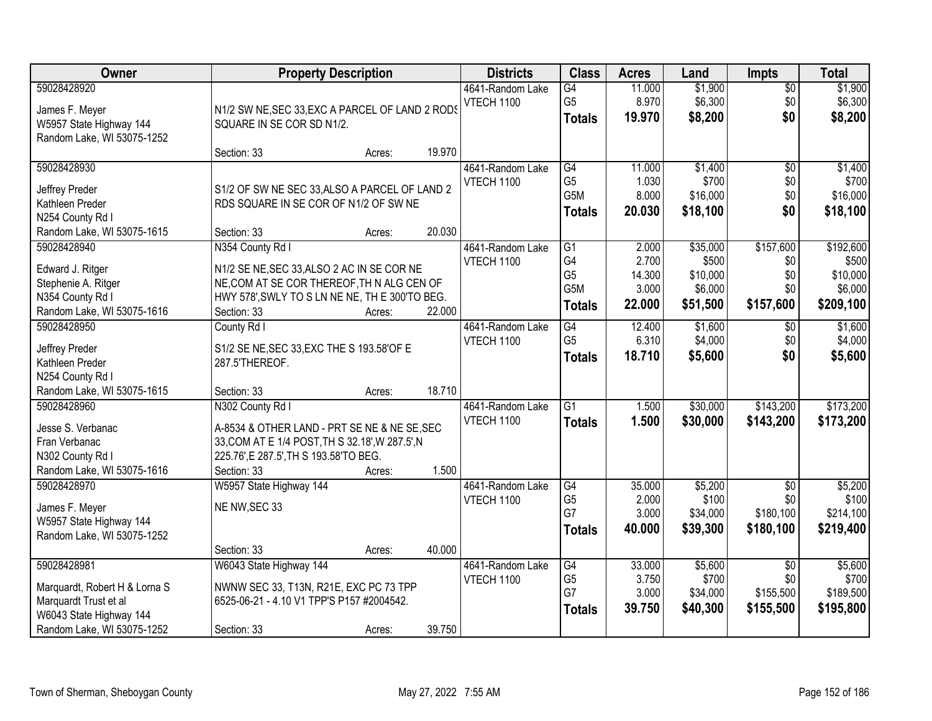| Owner                                                                                                                          | <b>Property Description</b>                                                                                                                                                             |        | <b>Districts</b>                      | <b>Class</b>                                                    | <b>Acres</b>                                | Land                                                 | Impts                                            | <b>Total</b>                                           |
|--------------------------------------------------------------------------------------------------------------------------------|-----------------------------------------------------------------------------------------------------------------------------------------------------------------------------------------|--------|---------------------------------------|-----------------------------------------------------------------|---------------------------------------------|------------------------------------------------------|--------------------------------------------------|--------------------------------------------------------|
| 59028428920<br>James F. Meyer<br>W5957 State Highway 144<br>Random Lake, WI 53075-1252                                         | N1/2 SW NE, SEC 33, EXC A PARCEL OF LAND 2 RODS<br>SQUARE IN SE COR SD N1/2.                                                                                                            |        | 4641-Random Lake<br>VTECH 1100        | $\overline{G4}$<br>G <sub>5</sub><br><b>Totals</b>              | 11.000<br>8.970<br>19.970                   | \$1,900<br>\$6,300<br>\$8,200                        | $\overline{50}$<br>\$0<br>\$0                    | \$1,900<br>\$6,300<br>\$8,200                          |
|                                                                                                                                | Section: 33<br>Acres:                                                                                                                                                                   | 19.970 |                                       |                                                                 |                                             |                                                      |                                                  |                                                        |
| 59028428930<br>Jeffrey Preder<br>Kathleen Preder<br>N254 County Rd I<br>Random Lake, WI 53075-1615                             | S1/2 OF SW NE SEC 33, ALSO A PARCEL OF LAND 2<br>RDS SQUARE IN SE COR OF N1/2 OF SW NE<br>Section: 33<br>Acres:                                                                         | 20.030 | 4641-Random Lake<br>VTECH 1100        | G4<br>G <sub>5</sub><br>G <sub>5</sub> M<br><b>Totals</b>       | 11.000<br>1.030<br>8.000<br>20.030          | \$1,400<br>\$700<br>\$16,000<br>\$18,100             | $\overline{50}$<br>\$0<br>\$0<br>\$0             | \$1,400<br>\$700<br>\$16,000<br>\$18,100               |
| 59028428940<br>Edward J. Ritger<br>Stephenie A. Ritger<br>N354 County Rd I<br>Random Lake, WI 53075-1616                       | N354 County Rd I<br>N1/2 SE NE, SEC 33, ALSO 2 AC IN SE COR NE<br>NE, COM AT SE COR THEREOF, TH N ALG CEN OF<br>HWY 578', SWLY TO S LN NE NE, TH E 300'TO BEG.<br>Section: 33<br>Acres: | 22.000 | 4641-Random Lake<br><b>VTECH 1100</b> | G1<br>G4<br>G <sub>5</sub><br>G <sub>5</sub> M<br><b>Totals</b> | 2.000<br>2.700<br>14.300<br>3.000<br>22.000 | \$35,000<br>\$500<br>\$10,000<br>\$6,000<br>\$51,500 | \$157,600<br>\$0<br>\$0<br>\$0<br>\$157,600      | \$192,600<br>\$500<br>\$10,000<br>\$6,000<br>\$209,100 |
| 59028428950<br>Jeffrey Preder<br>Kathleen Preder<br>N254 County Rd I<br>Random Lake, WI 53075-1615                             | County Rd I<br>S1/2 SE NE, SEC 33, EXC THE S 193.58' OF E<br>287.5'THEREOF.<br>Section: 33<br>Acres:                                                                                    | 18.710 | 4641-Random Lake<br>VTECH 1100        | G4<br>G <sub>5</sub><br><b>Totals</b>                           | 12.400<br>6.310<br>18.710                   | \$1,600<br>\$4,000<br>\$5,600                        | $\sqrt[6]{}$<br>\$0<br>\$0                       | \$1,600<br>\$4,000<br>\$5,600                          |
| 59028428960<br>Jesse S. Verbanac<br>Fran Verbanac<br>N302 County Rd I<br>Random Lake, WI 53075-1616                            | N302 County Rd I<br>A-8534 & OTHER LAND - PRT SE NE & NE SE, SEC<br>33, COM AT E 1/4 POST, TH S 32.18', W 287.5', N<br>225.76', E 287.5', TH S 193.58'TO BEG.<br>Section: 33<br>Acres:  | 1.500  | 4641-Random Lake<br>VTECH 1100        | $\overline{G1}$<br><b>Totals</b>                                | 1.500<br>1.500                              | \$30,000<br>\$30,000                                 | \$143,200<br>\$143,200                           | \$173,200<br>\$173,200                                 |
| 59028428970<br>James F. Meyer<br>W5957 State Highway 144<br>Random Lake, WI 53075-1252                                         | W5957 State Highway 144<br>NE NW, SEC 33<br>Section: 33<br>Acres:                                                                                                                       | 40.000 | 4641-Random Lake<br><b>VTECH 1100</b> | G4<br>G <sub>5</sub><br>G7<br><b>Totals</b>                     | 35.000<br>2.000<br>3.000<br>40.000          | \$5,200<br>\$100<br>\$34,000<br>\$39,300             | $\overline{50}$<br>\$0<br>\$180,100<br>\$180,100 | \$5,200<br>\$100<br>\$214,100<br>\$219,400             |
| 59028428981<br>Marquardt, Robert H & Lorna S<br>Marquardt Trust et al<br>W6043 State Highway 144<br>Random Lake, WI 53075-1252 | W6043 State Highway 144<br>NWNW SEC 33, T13N, R21E, EXC PC 73 TPP<br>6525-06-21 - 4.10 V1 TPP'S P157 #2004542.<br>Section: 33<br>Acres:                                                 | 39.750 | 4641-Random Lake<br><b>VTECH 1100</b> | G4<br>G <sub>5</sub><br>G7<br><b>Totals</b>                     | 33.000<br>3.750<br>3.000<br>39.750          | \$5,600<br>\$700<br>\$34,000<br>\$40,300             | $\overline{30}$<br>\$0<br>\$155,500<br>\$155,500 | \$5,600<br>\$700<br>\$189,500<br>\$195,800             |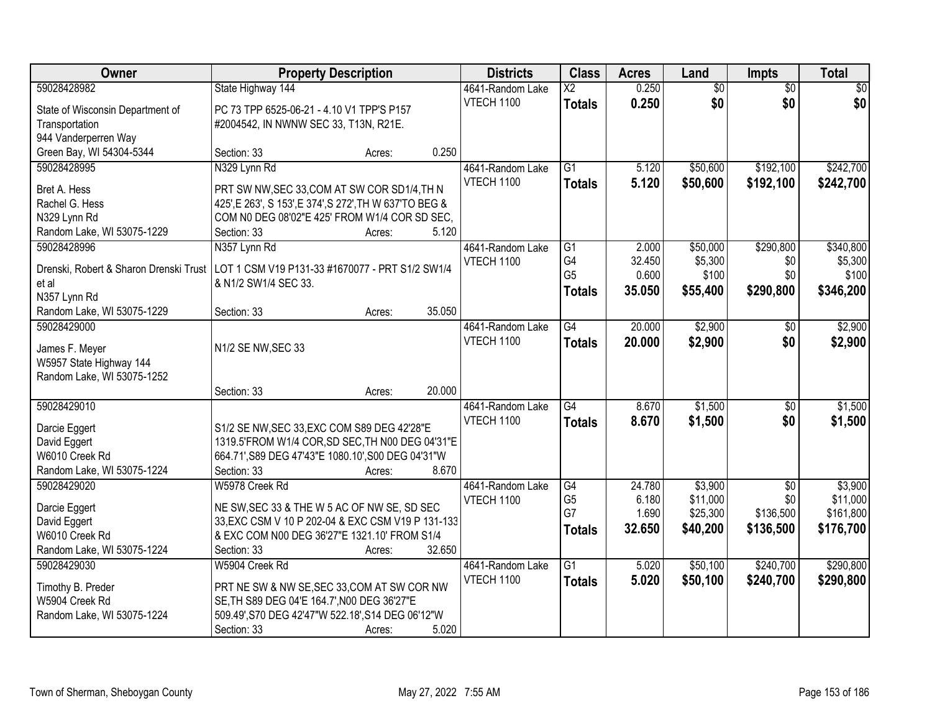| Owner                                  | <b>Property Description</b>                              |        |        | <b>Districts</b>  | <b>Class</b>           | <b>Acres</b> | Land            | <b>Impts</b>    | <b>Total</b>    |
|----------------------------------------|----------------------------------------------------------|--------|--------|-------------------|------------------------|--------------|-----------------|-----------------|-----------------|
| 59028428982                            | State Highway 144                                        |        |        | 4641-Random Lake  | $\overline{\text{X2}}$ | 0.250        | $\overline{50}$ | $\overline{50}$ | $\overline{30}$ |
| State of Wisconsin Department of       | PC 73 TPP 6525-06-21 - 4.10 V1 TPP'S P157                |        |        | VTECH 1100        | <b>Totals</b>          | 0.250        | \$0             | \$0             | \$0             |
| Transportation                         | #2004542, IN NWNW SEC 33, T13N, R21E.                    |        |        |                   |                        |              |                 |                 |                 |
| 944 Vanderperren Way                   |                                                          |        |        |                   |                        |              |                 |                 |                 |
| Green Bay, WI 54304-5344               | Section: 33                                              | Acres: | 0.250  |                   |                        |              |                 |                 |                 |
| 59028428995                            | N329 Lynn Rd                                             |        |        | 4641-Random Lake  | $\overline{G1}$        | 5.120        | \$50,600        | \$192,100       | \$242,700       |
| Bret A. Hess                           | PRT SW NW, SEC 33, COM AT SW COR SD1/4, TH N             |        |        | VTECH 1100        | <b>Totals</b>          | 5.120        | \$50,600        | \$192,100       | \$242,700       |
| Rachel G. Hess                         | 425', E 263', S 153', E 374', S 272', TH W 637' TO BEG & |        |        |                   |                        |              |                 |                 |                 |
| N329 Lynn Rd                           | COM N0 DEG 08'02"E 425' FROM W1/4 COR SD SEC,            |        |        |                   |                        |              |                 |                 |                 |
| Random Lake, WI 53075-1229             | Section: 33                                              | Acres: | 5.120  |                   |                        |              |                 |                 |                 |
| 59028428996                            | N357 Lynn Rd                                             |        |        | 4641-Random Lake  | G1                     | 2.000        | \$50,000        | \$290,800       | \$340,800       |
|                                        |                                                          |        |        | <b>VTECH 1100</b> | G4                     | 32.450       | \$5,300         | \$0             | \$5,300         |
| Drenski, Robert & Sharon Drenski Trust | LOT 1 CSM V19 P131-33 #1670077 - PRT S1/2 SW1/4          |        |        |                   | G <sub>5</sub>         | 0.600        | \$100           | \$0             | \$100           |
| et al                                  | & N1/2 SW1/4 SEC 33.                                     |        |        |                   | <b>Totals</b>          | 35.050       | \$55,400        | \$290,800       | \$346,200       |
| N357 Lynn Rd                           |                                                          |        |        |                   |                        |              |                 |                 |                 |
| Random Lake, WI 53075-1229             | Section: 33                                              | Acres: | 35.050 |                   |                        |              |                 |                 |                 |
| 59028429000                            |                                                          |        |        | 4641-Random Lake  | $\overline{G4}$        | 20.000       | \$2,900         | $\sqrt{6}$      | \$2,900         |
| James F. Meyer                         | N1/2 SE NW, SEC 33                                       |        |        | <b>VTECH 1100</b> | <b>Totals</b>          | 20.000       | \$2,900         | \$0             | \$2,900         |
| W5957 State Highway 144                |                                                          |        |        |                   |                        |              |                 |                 |                 |
| Random Lake, WI 53075-1252             |                                                          |        |        |                   |                        |              |                 |                 |                 |
|                                        | Section: 33                                              | Acres: | 20.000 |                   |                        |              |                 |                 |                 |
| 59028429010                            |                                                          |        |        | 4641-Random Lake  | $\overline{G4}$        | 8.670        | \$1,500         | $\overline{50}$ | \$1,500         |
| Darcie Eggert                          | S1/2 SE NW, SEC 33, EXC COM S89 DEG 42'28"E              |        |        | <b>VTECH 1100</b> | <b>Totals</b>          | 8.670        | \$1,500         | \$0             | \$1,500         |
| David Eggert                           | 1319.5'FROM W1/4 COR, SD SEC, TH N00 DEG 04'31"E         |        |        |                   |                        |              |                 |                 |                 |
| W6010 Creek Rd                         | 664.71', S89 DEG 47'43"E 1080.10', S00 DEG 04'31"W       |        |        |                   |                        |              |                 |                 |                 |
| Random Lake, WI 53075-1224             | Section: 33                                              | Acres: | 8.670  |                   |                        |              |                 |                 |                 |
| 59028429020                            | W5978 Creek Rd                                           |        |        | 4641-Random Lake  | G4                     | 24.780       | \$3,900         | $\sqrt{6}$      | \$3,900         |
|                                        |                                                          |        |        | <b>VTECH 1100</b> | G <sub>5</sub>         | 6.180        | \$11,000        | \$0             | \$11,000        |
| Darcie Eggert                          | NE SW, SEC 33 & THE W 5 AC OF NW SE, SD SEC              |        |        |                   | G7                     | 1.690        | \$25,300        | \$136,500       | \$161,800       |
| David Eggert                           | 33, EXC CSM V 10 P 202-04 & EXC CSM V19 P 131-133        |        |        |                   | <b>Totals</b>          | 32.650       | \$40,200        | \$136,500       | \$176,700       |
| W6010 Creek Rd                         | & EXC COM N00 DEG 36'27"E 1321.10' FROM S1/4             |        |        |                   |                        |              |                 |                 |                 |
| Random Lake, WI 53075-1224             | Section: 33                                              | Acres: | 32.650 |                   |                        |              |                 |                 |                 |
| 59028429030                            | W5904 Creek Rd                                           |        |        | 4641-Random Lake  | $\overline{G1}$        | 5.020        | \$50,100        | \$240,700       | \$290,800       |
| Timothy B. Preder                      | PRT NE SW & NW SE, SEC 33, COM AT SW COR NW              |        |        | VTECH 1100        | <b>Totals</b>          | 5.020        | \$50,100        | \$240,700       | \$290,800       |
| W5904 Creek Rd                         | SE, TH S89 DEG 04'E 164.7', N00 DEG 36'27"E              |        |        |                   |                        |              |                 |                 |                 |
| Random Lake, WI 53075-1224             | 509.49', S70 DEG 42'47"W 522.18', S14 DEG 06'12"W        |        |        |                   |                        |              |                 |                 |                 |
|                                        | Section: 33                                              | Acres: | 5.020  |                   |                        |              |                 |                 |                 |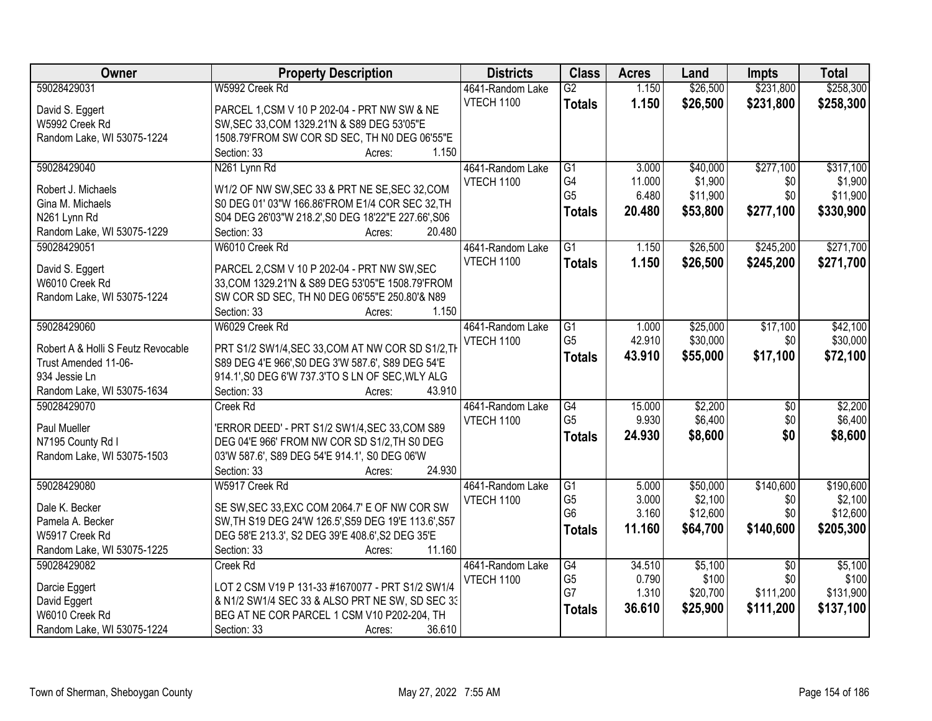| Owner                              | <b>Property Description</b>                          | <b>Districts</b>  | <b>Class</b>         | <b>Acres</b>   | Land              | <b>Impts</b>     | <b>Total</b>       |
|------------------------------------|------------------------------------------------------|-------------------|----------------------|----------------|-------------------|------------------|--------------------|
| 59028429031                        | W5992 Creek Rd                                       | 4641-Random Lake  | $\overline{G2}$      | 1.150          | \$26,500          | \$231,800        | \$258,300          |
| David S. Eggert                    | PARCEL 1, CSM V 10 P 202-04 - PRT NW SW & NE         | <b>VTECH 1100</b> | <b>Totals</b>        | 1.150          | \$26,500          | \$231,800        | \$258,300          |
| W5992 Creek Rd                     | SW, SEC 33, COM 1329.21'N & S89 DEG 53'05"E          |                   |                      |                |                   |                  |                    |
| Random Lake, WI 53075-1224         | 1508.79'FROM SW COR SD SEC, TH N0 DEG 06'55"E        |                   |                      |                |                   |                  |                    |
|                                    | 1.150<br>Section: 33<br>Acres:                       |                   |                      |                |                   |                  |                    |
| 59028429040                        | N261 Lynn Rd                                         | 4641-Random Lake  | G1                   | 3.000          | \$40,000          | \$277,100        | \$317,100          |
|                                    |                                                      | VTECH 1100        | G4                   | 11.000         | \$1,900           | \$0              | \$1,900            |
| Robert J. Michaels                 | W1/2 OF NW SW, SEC 33 & PRT NE SE, SEC 32, COM       |                   | G <sub>5</sub>       | 6.480          | \$11,900          | \$0              | \$11,900           |
| Gina M. Michaels                   | S0 DEG 01' 03"W 166.86'FROM E1/4 COR SEC 32, TH      |                   | <b>Totals</b>        | 20.480         | \$53,800          | \$277,100        | \$330,900          |
| N261 Lynn Rd                       | S04 DEG 26'03"W 218.2', S0 DEG 18'22"E 227.66', S06  |                   |                      |                |                   |                  |                    |
| Random Lake, WI 53075-1229         | 20.480<br>Section: 33<br>Acres:                      |                   |                      |                |                   |                  |                    |
| 59028429051                        | W6010 Creek Rd                                       | 4641-Random Lake  | $\overline{G1}$      | 1.150          | \$26,500          | \$245,200        | \$271,700          |
| David S. Eggert                    | PARCEL 2,CSM V 10 P 202-04 - PRT NW SW, SEC          | VTECH 1100        | <b>Totals</b>        | 1.150          | \$26,500          | \$245,200        | \$271,700          |
| W6010 Creek Rd                     | 33, COM 1329.21'N & S89 DEG 53'05"E 1508.79'FROM     |                   |                      |                |                   |                  |                    |
| Random Lake, WI 53075-1224         | SW COR SD SEC, TH N0 DEG 06'55"E 250.80'& N89        |                   |                      |                |                   |                  |                    |
|                                    | 1.150<br>Section: 33<br>Acres:                       |                   |                      |                |                   |                  |                    |
| 59028429060                        | W6029 Creek Rd                                       | 4641-Random Lake  | G1                   | 1.000          | \$25,000          | \$17,100         | \$42,100           |
|                                    |                                                      | VTECH 1100        | G <sub>5</sub>       | 42.910         | \$30,000          | \$0              | \$30,000           |
| Robert A & Holli S Feutz Revocable | PRT S1/2 SW1/4, SEC 33, COM AT NW COR SD S1/2, TH    |                   | <b>Totals</b>        | 43.910         | \$55,000          | \$17,100         | \$72,100           |
| Trust Amended 11-06-               | S89 DEG 4'E 966', S0 DEG 3'W 587.6', S89 DEG 54'E    |                   |                      |                |                   |                  |                    |
| 934 Jessie Ln                      | 914.1', S0 DEG 6'W 737.3'TO S LN OF SEC, WLY ALG     |                   |                      |                |                   |                  |                    |
| Random Lake, WI 53075-1634         | Section: 33<br>43.910<br>Acres:                      |                   |                      |                |                   |                  |                    |
| 59028429070                        | <b>Creek Rd</b>                                      | 4641-Random Lake  | $\overline{G4}$      | 15.000         | \$2,200           | $\overline{30}$  | \$2,200            |
| Paul Mueller                       | 'ERROR DEED' - PRT S1/2 SW1/4, SEC 33, COM S89       | <b>VTECH 1100</b> | G <sub>5</sub>       | 9.930          | \$6,400           | \$0              | \$6,400            |
| N7195 County Rd I                  | DEG 04'E 966' FROM NW COR SD S1/2, TH S0 DEG         |                   | <b>Totals</b>        | 24.930         | \$8,600           | \$0              | \$8,600            |
| Random Lake, WI 53075-1503         | 03'W 587.6', S89 DEG 54'E 914.1', S0 DEG 06'W        |                   |                      |                |                   |                  |                    |
|                                    | 24.930<br>Section: 33<br>Acres:                      |                   |                      |                |                   |                  |                    |
| 59028429080                        | W5917 Creek Rd                                       | 4641-Random Lake  | G1                   | 5.000          | \$50,000          | \$140,600        | \$190,600          |
|                                    |                                                      | VTECH 1100        | G <sub>5</sub>       | 3.000          | \$2,100           | \$0              | \$2,100            |
| Dale K. Becker                     | SE SW, SEC 33, EXC COM 2064.7' E OF NW COR SW        |                   | G <sub>6</sub>       | 3.160          | \$12,600          | \$0              | \$12,600           |
| Pamela A. Becker                   | SW, TH S19 DEG 24'W 126.5', S59 DEG 19'E 113.6', S57 |                   | <b>Totals</b>        | 11.160         | \$64,700          | \$140,600        | \$205,300          |
| W5917 Creek Rd                     | DEG 58'E 213.3', S2 DEG 39'E 408.6', S2 DEG 35'E     |                   |                      |                |                   |                  |                    |
| Random Lake, WI 53075-1225         | Section: 33<br>11.160<br>Acres:                      |                   |                      |                |                   |                  |                    |
| 59028429082                        | <b>Creek Rd</b>                                      | 4641-Random Lake  | $\overline{G4}$      | 34.510         | \$5,100           | $\overline{30}$  | \$5,100            |
| Darcie Eggert                      | LOT 2 CSM V19 P 131-33 #1670077 - PRT S1/2 SW1/4     | VTECH 1100        | G <sub>5</sub><br>G7 | 0.790<br>1.310 | \$100<br>\$20,700 | \$0<br>\$111,200 | \$100<br>\$131,900 |
| David Eggert                       | & N1/2 SW1/4 SEC 33 & ALSO PRT NE SW, SD SEC 33      |                   |                      |                |                   |                  |                    |
| W6010 Creek Rd                     | BEG AT NE COR PARCEL 1 CSM V10 P202-204, TH          |                   | <b>Totals</b>        | 36.610         | \$25,900          | \$111,200        | \$137,100          |
| Random Lake, WI 53075-1224         | 36.610<br>Section: 33<br>Acres:                      |                   |                      |                |                   |                  |                    |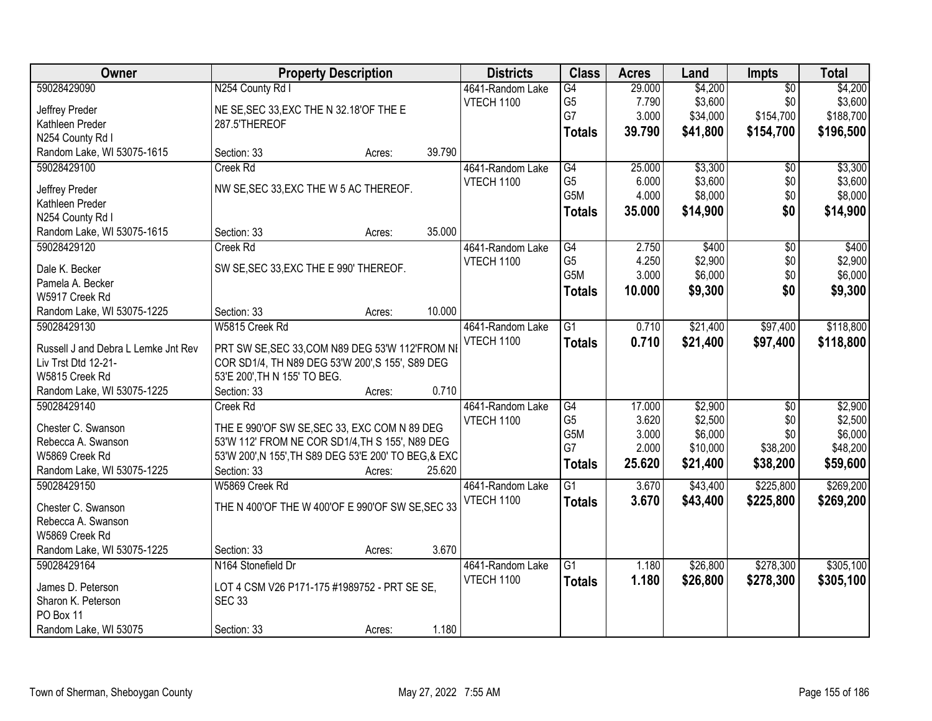| Owner                                                      | <b>Property Description</b>                                                                         |        |        | <b>Districts</b>  | <b>Class</b>    | <b>Acres</b> | Land     | <b>Impts</b>    | <b>Total</b> |
|------------------------------------------------------------|-----------------------------------------------------------------------------------------------------|--------|--------|-------------------|-----------------|--------------|----------|-----------------|--------------|
| 59028429090                                                | N254 County Rd I                                                                                    |        |        | 4641-Random Lake  | $\overline{G4}$ | 29.000       | \$4,200  | $\overline{50}$ | \$4,200      |
| Jeffrey Preder                                             | NE SE, SEC 33, EXC THE N 32.18'OF THE E                                                             |        |        | <b>VTECH 1100</b> | G <sub>5</sub>  | 7.790        | \$3,600  | \$0             | \$3,600      |
| Kathleen Preder                                            | 287.5'THEREOF                                                                                       |        |        |                   | G7              | 3.000        | \$34,000 | \$154,700       | \$188,700    |
| N254 County Rd I                                           |                                                                                                     |        |        |                   | <b>Totals</b>   | 39.790       | \$41,800 | \$154,700       | \$196,500    |
| Random Lake, WI 53075-1615                                 | Section: 33                                                                                         | Acres: | 39.790 |                   |                 |              |          |                 |              |
| 59028429100                                                | <b>Creek Rd</b>                                                                                     |        |        | 4641-Random Lake  | G4              | 25.000       | \$3,300  | $\overline{50}$ | \$3,300      |
|                                                            |                                                                                                     |        |        | <b>VTECH 1100</b> | G <sub>5</sub>  | 6.000        | \$3,600  | \$0             | \$3,600      |
| Jeffrey Preder                                             | NW SE, SEC 33, EXC THE W 5 AC THEREOF.                                                              |        |        |                   | G5M             | 4.000        | \$8,000  | \$0             | \$8,000      |
| Kathleen Preder                                            |                                                                                                     |        |        |                   | <b>Totals</b>   | 35.000       | \$14,900 | \$0             | \$14,900     |
| N254 County Rd I                                           |                                                                                                     |        |        |                   |                 |              |          |                 |              |
| Random Lake, WI 53075-1615                                 | Section: 33                                                                                         | Acres: | 35.000 |                   |                 |              |          |                 |              |
| 59028429120                                                | Creek Rd                                                                                            |        |        | 4641-Random Lake  | G4              | 2.750        | \$400    | $\overline{50}$ | \$400        |
| Dale K. Becker                                             | SW SE, SEC 33, EXC THE E 990' THEREOF.                                                              |        |        | <b>VTECH 1100</b> | G <sub>5</sub>  | 4.250        | \$2,900  | \$0             | \$2,900      |
| Pamela A. Becker                                           |                                                                                                     |        |        |                   | G5M             | 3.000        | \$6,000  | \$0             | \$6,000      |
| W5917 Creek Rd                                             |                                                                                                     |        |        |                   | <b>Totals</b>   | 10.000       | \$9,300  | \$0             | \$9,300      |
| Random Lake, WI 53075-1225                                 | Section: 33                                                                                         | Acres: | 10.000 |                   |                 |              |          |                 |              |
| 59028429130                                                | W5815 Creek Rd                                                                                      |        |        | 4641-Random Lake  | $\overline{G1}$ | 0.710        | \$21,400 | \$97,400        | \$118,800    |
|                                                            |                                                                                                     |        |        | <b>VTECH 1100</b> | <b>Totals</b>   | 0.710        | \$21,400 | \$97,400        | \$118,800    |
| Russell J and Debra L Lemke Jnt Rev<br>Liv Trst Dtd 12-21- | PRT SW SE, SEC 33, COM N89 DEG 53'W 112'FROM NI<br>COR SD1/4, TH N89 DEG 53'W 200', S 155', S89 DEG |        |        |                   |                 |              |          |                 |              |
| W5815 Creek Rd                                             | 53'E 200', TH N 155' TO BEG.                                                                        |        |        |                   |                 |              |          |                 |              |
| Random Lake, WI 53075-1225                                 | Section: 33                                                                                         | Acres: | 0.710  |                   |                 |              |          |                 |              |
| 59028429140                                                | <b>Creek Rd</b>                                                                                     |        |        | 4641-Random Lake  | $\overline{G4}$ | 17.000       | \$2,900  | $\overline{30}$ | \$2,900      |
|                                                            |                                                                                                     |        |        | <b>VTECH 1100</b> | G <sub>5</sub>  | 3.620        | \$2,500  | \$0             | \$2,500      |
| Chester C. Swanson                                         | THE E 990'OF SW SE, SEC 33, EXC COM N 89 DEG                                                        |        |        |                   | G5M             | 3.000        | \$6,000  | \$0             | \$6,000      |
| Rebecca A. Swanson                                         | 53'W 112' FROM NE COR SD1/4, TH S 155', N89 DEG                                                     |        |        |                   | G7              | 2.000        | \$10,000 | \$38,200        | \$48,200     |
| W5869 Creek Rd                                             | 53'W 200', N 155', TH S89 DEG 53'E 200' TO BEG, & EXC                                               |        |        |                   | <b>Totals</b>   | 25.620       | \$21,400 | \$38,200        | \$59,600     |
| Random Lake, WI 53075-1225                                 | Section: 33                                                                                         | Acres: | 25.620 |                   |                 |              |          |                 |              |
| 59028429150                                                | W5869 Creek Rd                                                                                      |        |        | 4641-Random Lake  | $\overline{G1}$ | 3.670        | \$43,400 | \$225,800       | \$269,200    |
| Chester C. Swanson                                         | THE N 400'OF THE W 400'OF E 990'OF SW SE, SEC 33                                                    |        |        | VTECH 1100        | <b>Totals</b>   | 3.670        | \$43,400 | \$225,800       | \$269,200    |
| Rebecca A. Swanson                                         |                                                                                                     |        |        |                   |                 |              |          |                 |              |
| W5869 Creek Rd                                             |                                                                                                     |        |        |                   |                 |              |          |                 |              |
| Random Lake, WI 53075-1225                                 | Section: 33                                                                                         | Acres: | 3.670  |                   |                 |              |          |                 |              |
| 59028429164                                                | N164 Stonefield Dr                                                                                  |        |        | 4641-Random Lake  | $\overline{G1}$ | 1.180        | \$26,800 | \$278,300       | \$305,100    |
|                                                            |                                                                                                     |        |        | <b>VTECH 1100</b> | <b>Totals</b>   | 1.180        | \$26,800 | \$278,300       | \$305,100    |
| James D. Peterson                                          | LOT 4 CSM V26 P171-175 #1989752 - PRT SE SE,                                                        |        |        |                   |                 |              |          |                 |              |
| Sharon K. Peterson<br>PO Box 11                            | <b>SEC 33</b>                                                                                       |        |        |                   |                 |              |          |                 |              |
| Random Lake, WI 53075                                      | Section: 33                                                                                         |        | 1.180  |                   |                 |              |          |                 |              |
|                                                            |                                                                                                     | Acres: |        |                   |                 |              |          |                 |              |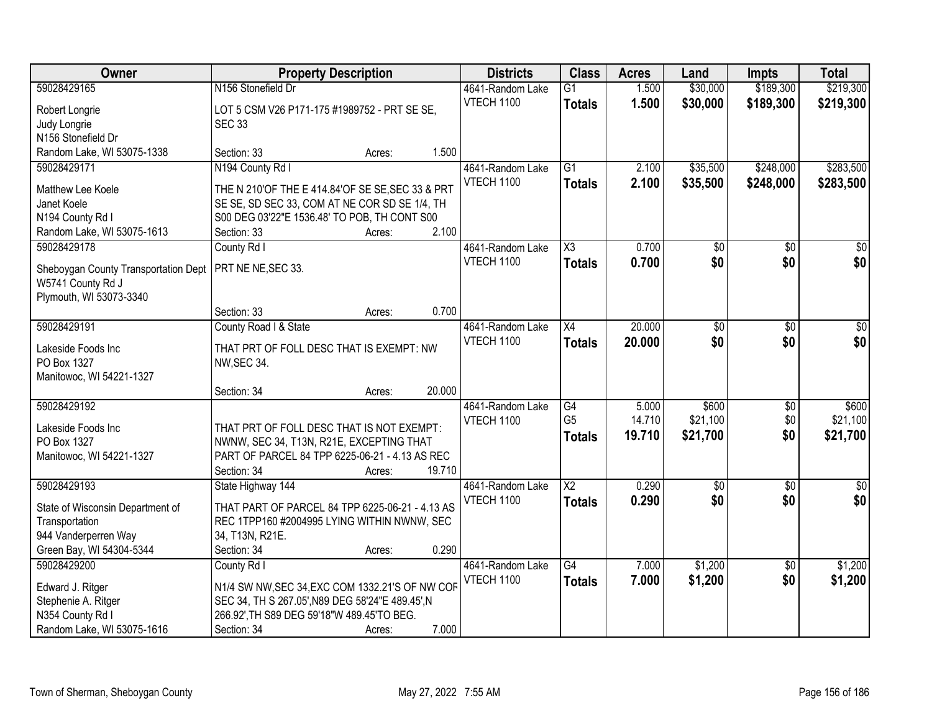| Owner                                | <b>Property Description</b>                             |        |        | <b>Districts</b>  | <b>Class</b>        | <b>Acres</b> | Land            | <b>Impts</b>    | <b>Total</b>    |
|--------------------------------------|---------------------------------------------------------|--------|--------|-------------------|---------------------|--------------|-----------------|-----------------|-----------------|
| 59028429165                          | N156 Stonefield Dr                                      |        |        | 4641-Random Lake  | $\overline{G1}$     | 1.500        | \$30,000        | \$189,300       | \$219,300       |
| Robert Longrie                       | LOT 5 CSM V26 P171-175 #1989752 - PRT SE SE,            |        |        | <b>VTECH 1100</b> | <b>Totals</b>       | 1.500        | \$30,000        | \$189,300       | \$219,300       |
| Judy Longrie                         | <b>SEC 33</b>                                           |        |        |                   |                     |              |                 |                 |                 |
| N156 Stonefield Dr                   |                                                         |        |        |                   |                     |              |                 |                 |                 |
| Random Lake, WI 53075-1338           | Section: 33                                             | Acres: | 1.500  |                   |                     |              |                 |                 |                 |
| 59028429171                          | N194 County Rd I                                        |        |        | 4641-Random Lake  | $\overline{G1}$     | 2.100        | \$35,500        | \$248,000       | \$283,500       |
|                                      |                                                         |        |        | <b>VTECH 1100</b> | <b>Totals</b>       | 2.100        | \$35,500        | \$248,000       | \$283,500       |
| Matthew Lee Koele                    | THE N 210'OF THE E 414.84'OF SE SE, SEC 33 & PRT        |        |        |                   |                     |              |                 |                 |                 |
| Janet Koele                          | SE SE, SD SEC 33, COM AT NE COR SD SE 1/4, TH           |        |        |                   |                     |              |                 |                 |                 |
| N194 County Rd I                     | S00 DEG 03'22"E 1536.48' TO POB, TH CONT S00            |        | 2.100  |                   |                     |              |                 |                 |                 |
| Random Lake, WI 53075-1613           | Section: 33                                             | Acres: |        |                   |                     |              |                 |                 |                 |
| 59028429178                          | County Rd I                                             |        |        | 4641-Random Lake  | $\overline{\chi_3}$ | 0.700        | $\overline{50}$ | $\overline{50}$ | $\overline{30}$ |
| Sheboygan County Transportation Dept | PRT NE NE, SEC 33.                                      |        |        | <b>VTECH 1100</b> | <b>Totals</b>       | 0.700        | \$0             | \$0             | \$0             |
| W5741 County Rd J                    |                                                         |        |        |                   |                     |              |                 |                 |                 |
| Plymouth, WI 53073-3340              |                                                         |        |        |                   |                     |              |                 |                 |                 |
|                                      | Section: 33                                             | Acres: | 0.700  |                   |                     |              |                 |                 |                 |
| 59028429191                          | County Road I & State                                   |        |        | 4641-Random Lake  | X4                  | 20,000       | \$0             | \$0             | \$0             |
|                                      |                                                         |        |        | <b>VTECH 1100</b> | <b>Totals</b>       | 20.000       | \$0             | \$0             | \$0             |
| Lakeside Foods Inc<br>PO Box 1327    | THAT PRT OF FOLL DESC THAT IS EXEMPT: NW<br>NW, SEC 34. |        |        |                   |                     |              |                 |                 |                 |
| Manitowoc, WI 54221-1327             |                                                         |        |        |                   |                     |              |                 |                 |                 |
|                                      | Section: 34                                             | Acres: | 20.000 |                   |                     |              |                 |                 |                 |
| 59028429192                          |                                                         |        |        | 4641-Random Lake  | G4                  | 5.000        | \$600           | \$0             | \$600           |
|                                      |                                                         |        |        | <b>VTECH 1100</b> | G <sub>5</sub>      | 14.710       | \$21,100        | \$0             | \$21,100        |
| Lakeside Foods Inc                   | THAT PRT OF FOLL DESC THAT IS NOT EXEMPT:               |        |        |                   |                     | 19.710       | \$21,700        | \$0             | \$21,700        |
| PO Box 1327                          | NWNW, SEC 34, T13N, R21E, EXCEPTING THAT                |        |        |                   | <b>Totals</b>       |              |                 |                 |                 |
| Manitowoc, WI 54221-1327             | PART OF PARCEL 84 TPP 6225-06-21 - 4.13 AS REC          |        |        |                   |                     |              |                 |                 |                 |
|                                      | Section: 34                                             | Acres: | 19.710 |                   |                     |              |                 |                 |                 |
| 59028429193                          | State Highway 144                                       |        |        | 4641-Random Lake  | $\overline{X2}$     | 0.290        | $\sqrt{$0}$     | $\sqrt{6}$      | $\sqrt{50}$     |
| State of Wisconsin Department of     | THAT PART OF PARCEL 84 TPP 6225-06-21 - 4.13 AS         |        |        | <b>VTECH 1100</b> | <b>Totals</b>       | 0.290        | \$0             | \$0             | \$0             |
| Transportation                       | REC 1TPP160 #2004995 LYING WITHIN NWNW, SEC             |        |        |                   |                     |              |                 |                 |                 |
| 944 Vanderperren Way                 | 34, T13N, R21E.                                         |        |        |                   |                     |              |                 |                 |                 |
| Green Bay, WI 54304-5344             | Section: 34                                             | Acres: | 0.290  |                   |                     |              |                 |                 |                 |
| 59028429200                          | County Rd I                                             |        |        | 4641-Random Lake  | $\overline{G4}$     | 7.000        | \$1,200         | $\overline{30}$ | \$1,200         |
|                                      |                                                         |        |        | VTECH 1100        | <b>Totals</b>       | 7.000        | \$1,200         | \$0             | \$1,200         |
| Edward J. Ritger                     | N1/4 SW NW, SEC 34, EXC COM 1332.21'S OF NW COF         |        |        |                   |                     |              |                 |                 |                 |
| Stephenie A. Ritger                  | SEC 34, TH S 267.05', N89 DEG 58'24"E 489.45', N        |        |        |                   |                     |              |                 |                 |                 |
| N354 County Rd I                     | 266.92', TH S89 DEG 59'18"W 489.45'TO BEG.              |        |        |                   |                     |              |                 |                 |                 |
| Random Lake, WI 53075-1616           | Section: 34                                             | Acres: | 7.000  |                   |                     |              |                 |                 |                 |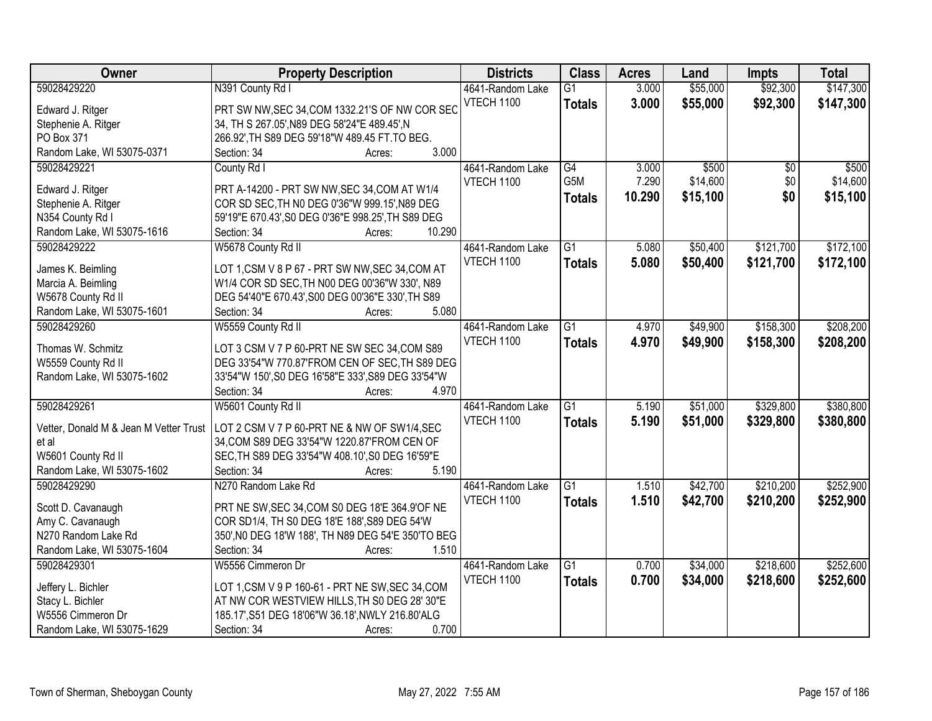| Owner                                  | <b>Property Description</b>                        | <b>Districts</b>  | <b>Class</b>    | <b>Acres</b> | Land     | <b>Impts</b> | <b>Total</b> |
|----------------------------------------|----------------------------------------------------|-------------------|-----------------|--------------|----------|--------------|--------------|
| 59028429220                            | N391 County Rd I                                   | 4641-Random Lake  | $\overline{G1}$ | 3.000        | \$55,000 | \$92,300     | \$147,300    |
| Edward J. Ritger                       | PRT SW NW, SEC 34, COM 1332.21'S OF NW COR SEC     | <b>VTECH 1100</b> | <b>Totals</b>   | 3.000        | \$55,000 | \$92,300     | \$147,300    |
| Stephenie A. Ritger                    | 34, TH S 267.05', N89 DEG 58'24"E 489.45', N       |                   |                 |              |          |              |              |
| PO Box 371                             | 266.92', TH S89 DEG 59'18"W 489.45 FT.TO BEG.      |                   |                 |              |          |              |              |
| Random Lake, WI 53075-0371             | 3.000<br>Section: 34<br>Acres:                     |                   |                 |              |          |              |              |
| 59028429221                            | County Rd I                                        | 4641-Random Lake  | $\overline{G4}$ | 3.000        | \$500    | \$0          | \$500        |
| Edward J. Ritger                       | PRT A-14200 - PRT SW NW, SEC 34, COM AT W1/4       | VTECH 1100        | G5M             | 7.290        | \$14,600 | \$0          | \$14,600     |
| Stephenie A. Ritger                    | COR SD SEC, TH NO DEG 0'36"W 999.15', N89 DEG      |                   | <b>Totals</b>   | 10.290       | \$15,100 | \$0          | \$15,100     |
| N354 County Rd I                       | 59'19"E 670.43', S0 DEG 0'36"E 998.25', TH S89 DEG |                   |                 |              |          |              |              |
| Random Lake, WI 53075-1616             | 10.290<br>Section: 34<br>Acres:                    |                   |                 |              |          |              |              |
| 59028429222                            | W5678 County Rd II                                 | 4641-Random Lake  | $\overline{G1}$ | 5.080        | \$50,400 | \$121,700    | \$172,100    |
|                                        |                                                    | VTECH 1100        |                 | 5.080        | \$50,400 | \$121,700    | \$172,100    |
| James K. Beimling                      | LOT 1,CSM V 8 P 67 - PRT SW NW, SEC 34, COM AT     |                   | <b>Totals</b>   |              |          |              |              |
| Marcia A. Beimling                     | W1/4 COR SD SEC, TH N00 DEG 00'36"W 330', N89      |                   |                 |              |          |              |              |
| W5678 County Rd II                     | DEG 54'40"E 670.43', S00 DEG 00'36"E 330', TH S89  |                   |                 |              |          |              |              |
| Random Lake, WI 53075-1601             | 5.080<br>Section: 34<br>Acres:                     |                   |                 |              |          |              |              |
| 59028429260                            | W5559 County Rd II                                 | 4641-Random Lake  | G1              | 4.970        | \$49,900 | \$158,300    | \$208,200    |
| Thomas W. Schmitz                      | LOT 3 CSM V 7 P 60-PRT NE SW SEC 34, COM S89       | VTECH 1100        | <b>Totals</b>   | 4.970        | \$49,900 | \$158,300    | \$208,200    |
| W5559 County Rd II                     | DEG 33'54"W 770.87'FROM CEN OF SEC, TH S89 DEG     |                   |                 |              |          |              |              |
| Random Lake, WI 53075-1602             | 33'54"W 150', S0 DEG 16'58"E 333', S89 DEG 33'54"W |                   |                 |              |          |              |              |
|                                        | Section: 34<br>4.970<br>Acres:                     |                   |                 |              |          |              |              |
| 59028429261                            | W5601 County Rd II                                 | 4641-Random Lake  | $\overline{G1}$ | 5.190        | \$51,000 | \$329,800    | \$380,800    |
|                                        |                                                    | VTECH 1100        | <b>Totals</b>   | 5.190        | \$51,000 | \$329,800    | \$380,800    |
| Vetter, Donald M & Jean M Vetter Trust | LOT 2 CSM V 7 P 60-PRT NE & NW OF SW1/4, SEC       |                   |                 |              |          |              |              |
| et al                                  | 34, COM S89 DEG 33'54"W 1220.87'FROM CEN OF        |                   |                 |              |          |              |              |
| W5601 County Rd II                     | SEC, TH S89 DEG 33'54"W 408.10', S0 DEG 16'59"E    |                   |                 |              |          |              |              |
| Random Lake, WI 53075-1602             | 5.190<br>Section: 34<br>Acres:                     |                   |                 |              |          |              |              |
| 59028429290                            | N270 Random Lake Rd                                | 4641-Random Lake  | $\overline{G1}$ | 1.510        | \$42,700 | \$210,200    | \$252,900    |
| Scott D. Cavanaugh                     | PRT NE SW, SEC 34, COM S0 DEG 18'E 364.9'OF NE     | VTECH 1100        | <b>Totals</b>   | 1.510        | \$42,700 | \$210,200    | \$252,900    |
| Amy C. Cavanaugh                       | COR SD1/4, TH S0 DEG 18'E 188', S89 DEG 54'W       |                   |                 |              |          |              |              |
| N270 Random Lake Rd                    | 350', NO DEG 18'W 188', TH N89 DEG 54'E 350'TO BEG |                   |                 |              |          |              |              |
| Random Lake, WI 53075-1604             | Section: 34<br>1.510<br>Acres:                     |                   |                 |              |          |              |              |
| 59028429301                            | W5556 Cimmeron Dr                                  | 4641-Random Lake  | $\overline{G1}$ | 0.700        | \$34,000 | \$218,600    | \$252,600    |
|                                        |                                                    | <b>VTECH 1100</b> | <b>Totals</b>   | 0.700        | \$34,000 | \$218,600    | \$252,600    |
| Jeffery L. Bichler                     | LOT 1, CSM V 9 P 160-61 - PRT NE SW, SEC 34, COM   |                   |                 |              |          |              |              |
| Stacy L. Bichler                       | AT NW COR WESTVIEW HILLS, TH S0 DEG 28' 30"E       |                   |                 |              |          |              |              |
| W5556 Cimmeron Dr                      | 185.17', S51 DEG 18'06"W 36.18', NWLY 216.80'ALG   |                   |                 |              |          |              |              |
| Random Lake, WI 53075-1629             | 0.700<br>Section: 34<br>Acres:                     |                   |                 |              |          |              |              |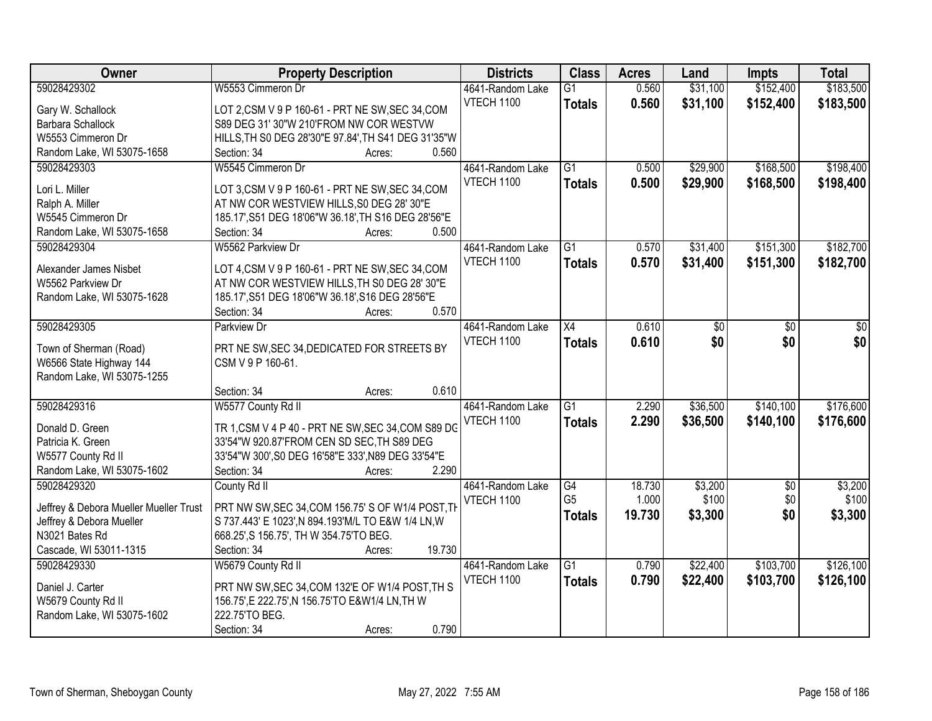| <b>Owner</b>                           | <b>Property Description</b>                         | <b>Districts</b>  | <b>Class</b>    | <b>Acres</b> | Land     | <b>Impts</b>    | <b>Total</b> |
|----------------------------------------|-----------------------------------------------------|-------------------|-----------------|--------------|----------|-----------------|--------------|
| 59028429302                            | W5553 Cimmeron Dr                                   | 4641-Random Lake  | $\overline{G1}$ | 0.560        | \$31,100 | \$152,400       | \$183,500    |
| Gary W. Schallock                      | LOT 2,CSM V 9 P 160-61 - PRT NE SW, SEC 34, COM     | <b>VTECH 1100</b> | <b>Totals</b>   | 0.560        | \$31,100 | \$152,400       | \$183,500    |
| Barbara Schallock                      | S89 DEG 31' 30"W 210'FROM NW COR WESTVW             |                   |                 |              |          |                 |              |
| W5553 Cimmeron Dr                      | HILLS, TH S0 DEG 28'30"E 97.84', TH S41 DEG 31'35"W |                   |                 |              |          |                 |              |
| Random Lake, WI 53075-1658             | 0.560<br>Section: 34<br>Acres:                      |                   |                 |              |          |                 |              |
| 59028429303                            | W5545 Cimmeron Dr                                   | 4641-Random Lake  | $\overline{G1}$ | 0.500        | \$29,900 | \$168,500       | \$198,400    |
|                                        |                                                     | VTECH 1100        | <b>Totals</b>   | 0.500        | \$29,900 | \$168,500       | \$198,400    |
| Lori L. Miller                         | LOT 3,CSM V 9 P 160-61 - PRT NE SW, SEC 34, COM     |                   |                 |              |          |                 |              |
| Ralph A. Miller                        | AT NW COR WESTVIEW HILLS, S0 DEG 28' 30"E           |                   |                 |              |          |                 |              |
| W5545 Cimmeron Dr                      | 185.17', S51 DEG 18'06"W 36.18', TH S16 DEG 28'56"E |                   |                 |              |          |                 |              |
| Random Lake, WI 53075-1658             | 0.500<br>Section: 34<br>Acres:                      |                   |                 |              |          |                 |              |
| 59028429304                            | W5562 Parkview Dr                                   | 4641-Random Lake  | G1              | 0.570        | \$31,400 | \$151,300       | \$182,700    |
| Alexander James Nisbet                 | LOT 4, CSM V 9 P 160-61 - PRT NE SW, SEC 34, COM    | <b>VTECH 1100</b> | <b>Totals</b>   | 0.570        | \$31,400 | \$151,300       | \$182,700    |
| W5562 Parkview Dr                      | AT NW COR WESTVIEW HILLS, TH S0 DEG 28' 30"E        |                   |                 |              |          |                 |              |
| Random Lake, WI 53075-1628             | 185.17', S51 DEG 18'06"W 36.18', S16 DEG 28'56"E    |                   |                 |              |          |                 |              |
|                                        | 0.570<br>Section: 34<br>Acres:                      |                   |                 |              |          |                 |              |
| 59028429305                            | Parkview Dr                                         | 4641-Random Lake  | X4              | 0.610        | \$0      | \$0             | \$0          |
|                                        |                                                     | <b>VTECH 1100</b> |                 | 0.610        | \$0      | \$0             | \$0          |
| Town of Sherman (Road)                 | PRT NE SW, SEC 34, DEDICATED FOR STREETS BY         |                   | <b>Totals</b>   |              |          |                 |              |
| W6566 State Highway 144                | CSM V 9 P 160-61.                                   |                   |                 |              |          |                 |              |
| Random Lake, WI 53075-1255             |                                                     |                   |                 |              |          |                 |              |
|                                        | 0.610<br>Section: 34<br>Acres:                      |                   |                 |              |          |                 |              |
| 59028429316                            | W5577 County Rd II                                  | 4641-Random Lake  | $\overline{G1}$ | 2.290        | \$36,500 | \$140,100       | \$176,600    |
| Donald D. Green                        | TR 1, CSM V 4 P 40 - PRT NE SW, SEC 34, COM S89 DG  | <b>VTECH 1100</b> | <b>Totals</b>   | 2.290        | \$36,500 | \$140,100       | \$176,600    |
| Patricia K. Green                      | 33'54"W 920.87'FROM CEN SD SEC, TH S89 DEG          |                   |                 |              |          |                 |              |
| W5577 County Rd II                     | 33'54"W 300', S0 DEG 16'58"E 333', N89 DEG 33'54"E  |                   |                 |              |          |                 |              |
| Random Lake, WI 53075-1602             | Section: 34<br>2.290<br>Acres:                      |                   |                 |              |          |                 |              |
| 59028429320                            | County Rd II                                        | 4641-Random Lake  | G4              | 18.730       | \$3,200  | $\overline{50}$ | \$3,200      |
|                                        |                                                     |                   | G <sub>5</sub>  | 1.000        | \$100    | \$0             | \$100        |
| Jeffrey & Debora Mueller Mueller Trust | PRT NW SW, SEC 34, COM 156.75' S OF W1/4 POST, TH   | VTECH 1100        |                 |              |          |                 |              |
| Jeffrey & Debora Mueller               | S 737.443' E 1023', N 894.193' M/L TO E&W 1/4 LN, W |                   | <b>Totals</b>   | 19.730       | \$3,300  | \$0             | \$3,300      |
| N3021 Bates Rd                         | 668.25', S 156.75', TH W 354.75'TO BEG.             |                   |                 |              |          |                 |              |
| Cascade, WI 53011-1315                 | 19.730<br>Section: 34<br>Acres:                     |                   |                 |              |          |                 |              |
| 59028429330                            | W5679 County Rd II                                  | 4641-Random Lake  | $\overline{G1}$ | 0.790        | \$22,400 | \$103,700       | \$126,100    |
|                                        |                                                     | <b>VTECH 1100</b> | <b>Totals</b>   | 0.790        | \$22,400 | \$103,700       | \$126,100    |
| Daniel J. Carter                       | PRT NW SW, SEC 34, COM 132'E OF W1/4 POST, TH S     |                   |                 |              |          |                 |              |
| W5679 County Rd II                     | 156.75', E 222.75', N 156.75'TO E&W1/4 LN, TH W     |                   |                 |              |          |                 |              |
| Random Lake, WI 53075-1602             | 222.75'TO BEG.                                      |                   |                 |              |          |                 |              |
|                                        | 0.790<br>Section: 34<br>Acres:                      |                   |                 |              |          |                 |              |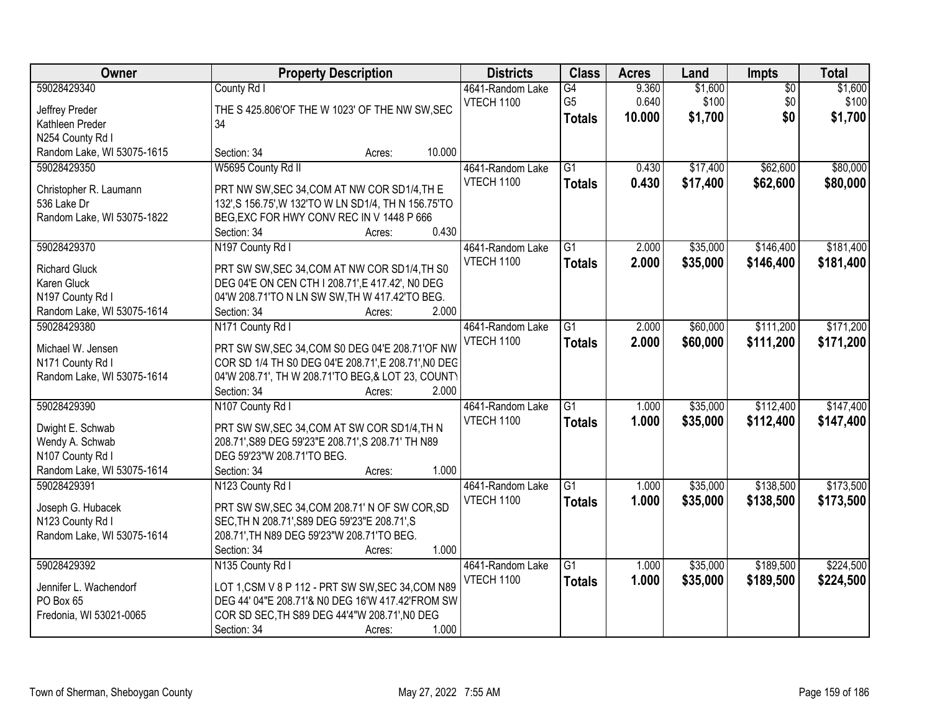| Owner                      | <b>Property Description</b>                          |        | <b>Districts</b>  | <b>Class</b>    | <b>Acres</b> | Land     | <b>Impts</b>    | <b>Total</b> |
|----------------------------|------------------------------------------------------|--------|-------------------|-----------------|--------------|----------|-----------------|--------------|
| 59028429340                | County Rd I                                          |        | 4641-Random Lake  | G4              | 9.360        | \$1,600  | $\overline{50}$ | \$1,600      |
| Jeffrey Preder             | THE S 425.806'OF THE W 1023' OF THE NW SW, SEC       |        | <b>VTECH 1100</b> | G <sub>5</sub>  | 0.640        | \$100    | \$0             | \$100        |
| Kathleen Preder            | 34                                                   |        |                   | <b>Totals</b>   | 10.000       | \$1,700  | \$0             | \$1,700      |
| N254 County Rd I           |                                                      |        |                   |                 |              |          |                 |              |
| Random Lake, WI 53075-1615 | Section: 34<br>Acres:                                | 10.000 |                   |                 |              |          |                 |              |
| 59028429350                | W5695 County Rd II                                   |        | 4641-Random Lake  | $\overline{G1}$ | 0.430        | \$17,400 | \$62,600        | \$80,000     |
| Christopher R. Laumann     | PRT NW SW, SEC 34, COM AT NW COR SD1/4, TH E         |        | <b>VTECH 1100</b> | <b>Totals</b>   | 0.430        | \$17,400 | \$62,600        | \$80,000     |
| 536 Lake Dr                | 132', S 156.75', W 132'TO W LN SD1/4, TH N 156.75'TO |        |                   |                 |              |          |                 |              |
| Random Lake, WI 53075-1822 | BEG, EXC FOR HWY CONV REC IN V 1448 P 666            |        |                   |                 |              |          |                 |              |
|                            | Section: 34<br>Acres:                                | 0.430  |                   |                 |              |          |                 |              |
| 59028429370                | N197 County Rd I                                     |        | 4641-Random Lake  | G1              | 2.000        | \$35,000 | \$146,400       | \$181,400    |
|                            |                                                      |        | VTECH 1100        | <b>Totals</b>   | 2.000        | \$35,000 | \$146,400       | \$181,400    |
| <b>Richard Gluck</b>       | PRT SW SW, SEC 34, COM AT NW COR SD1/4, TH S0        |        |                   |                 |              |          |                 |              |
| Karen Gluck                | DEG 04'E ON CEN CTH I 208.71', E 417.42', NO DEG     |        |                   |                 |              |          |                 |              |
| N197 County Rd I           | 04'W 208.71'TO N LN SW SW, TH W 417.42'TO BEG.       |        |                   |                 |              |          |                 |              |
| Random Lake, WI 53075-1614 | Section: 34<br>Acres:                                | 2.000  |                   |                 |              |          |                 |              |
| 59028429380                | N171 County Rd I                                     |        | 4641-Random Lake  | G1              | 2.000        | \$60,000 | \$111,200       | \$171,200    |
| Michael W. Jensen          | PRT SW SW, SEC 34, COM S0 DEG 04'E 208.71'OF NW      |        | <b>VTECH 1100</b> | <b>Totals</b>   | 2.000        | \$60,000 | \$111,200       | \$171,200    |
| N171 County Rd I           | COR SD 1/4 TH S0 DEG 04'E 208.71', E 208.71', N0 DEG |        |                   |                 |              |          |                 |              |
| Random Lake, WI 53075-1614 | 04'W 208.71', TH W 208.71'TO BEG, & LOT 23, COUNT)   |        |                   |                 |              |          |                 |              |
|                            | Section: 34<br>Acres:                                | 2.000  |                   |                 |              |          |                 |              |
| 59028429390                | N107 County Rd I                                     |        | 4641-Random Lake  | $\overline{G1}$ | 1.000        | \$35,000 | \$112,400       | \$147,400    |
| Dwight E. Schwab           | PRT SW SW, SEC 34, COM AT SW COR SD1/4, TH N         |        | <b>VTECH 1100</b> | <b>Totals</b>   | 1.000        | \$35,000 | \$112,400       | \$147,400    |
| Wendy A. Schwab            | 208.71', S89 DEG 59'23"E 208.71', S 208.71' TH N89   |        |                   |                 |              |          |                 |              |
| N107 County Rd I           | DEG 59'23"W 208.71'TO BEG.                           |        |                   |                 |              |          |                 |              |
| Random Lake, WI 53075-1614 | Section: 34<br>Acres:                                | 1.000  |                   |                 |              |          |                 |              |
| 59028429391                | N123 County Rd I                                     |        | 4641-Random Lake  | $\overline{G1}$ | 1.000        | \$35,000 | \$138,500       | \$173,500    |
|                            |                                                      |        | VTECH 1100        | <b>Totals</b>   | 1.000        | \$35,000 | \$138,500       | \$173,500    |
| Joseph G. Hubacek          | PRT SW SW, SEC 34, COM 208.71' N OF SW COR, SD       |        |                   |                 |              |          |                 |              |
| N123 County Rd I           | SEC, TH N 208.71', S89 DEG 59'23"E 208.71', S        |        |                   |                 |              |          |                 |              |
| Random Lake, WI 53075-1614 | 208.71', TH N89 DEG 59'23"W 208.71'TO BEG.           |        |                   |                 |              |          |                 |              |
|                            | Section: 34<br>Acres:                                | 1.000  |                   |                 |              |          |                 |              |
| 59028429392                | N135 County Rd I                                     |        | 4641-Random Lake  | $\overline{G1}$ | 1.000        | \$35,000 | \$189,500       | \$224,500    |
| Jennifer L. Wachendorf     | LOT 1,CSM V 8 P 112 - PRT SW SW, SEC 34, COM N89     |        | VTECH 1100        | <b>Totals</b>   | 1.000        | \$35,000 | \$189,500       | \$224,500    |
| PO Box 65                  | DEG 44' 04"E 208.71'& N0 DEG 16'W 417.42'FROM SW     |        |                   |                 |              |          |                 |              |
| Fredonia, WI 53021-0065    | COR SD SEC, TH S89 DEG 44'4"W 208.71', NO DEG        |        |                   |                 |              |          |                 |              |
|                            | Section: 34<br>Acres:                                | 1.000  |                   |                 |              |          |                 |              |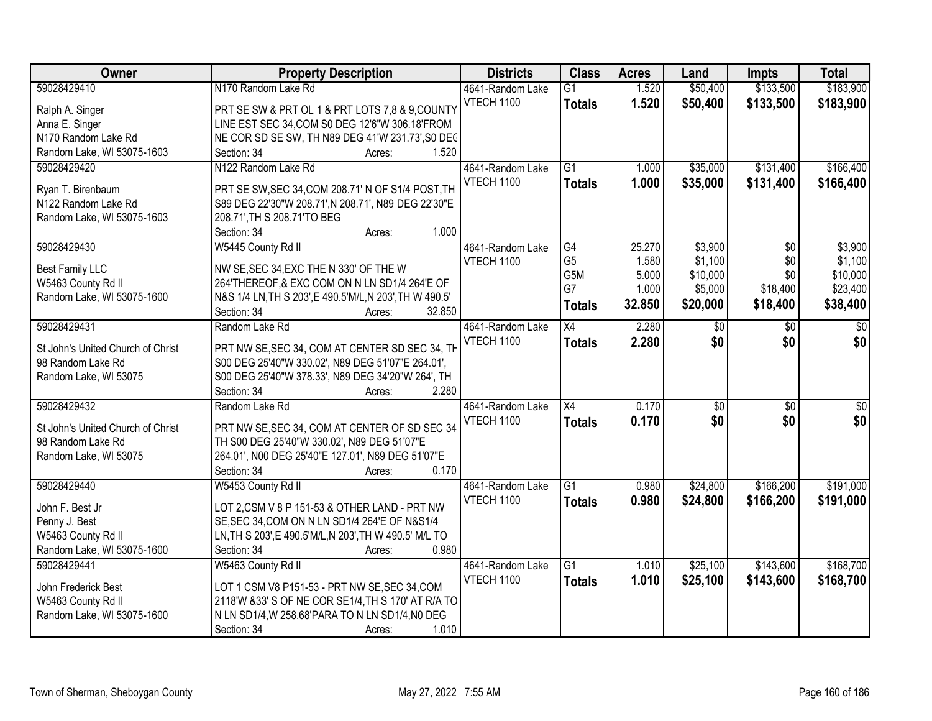| Owner                             | <b>Property Description</b>                                               | <b>Districts</b>  | <b>Class</b>                       | <b>Acres</b>   | Land                | <b>Impts</b>    | <b>Total</b>        |
|-----------------------------------|---------------------------------------------------------------------------|-------------------|------------------------------------|----------------|---------------------|-----------------|---------------------|
| 59028429410                       | N170 Random Lake Rd                                                       | 4641-Random Lake  | $\overline{G1}$                    | 1.520          | \$50,400            | \$133,500       | \$183,900           |
| Ralph A. Singer                   | PRT SE SW & PRT OL 1 & PRT LOTS 7,8 & 9, COUNTY                           | <b>VTECH 1100</b> | <b>Totals</b>                      | 1.520          | \$50,400            | \$133,500       | \$183,900           |
| Anna E. Singer                    | LINE EST SEC 34, COM S0 DEG 12'6"W 306.18'FROM                            |                   |                                    |                |                     |                 |                     |
| N170 Random Lake Rd               | NE COR SD SE SW, TH N89 DEG 41'W 231.73', S0 DEC                          |                   |                                    |                |                     |                 |                     |
| Random Lake, WI 53075-1603        | 1.520<br>Section: 34<br>Acres:                                            |                   |                                    |                |                     |                 |                     |
| 59028429420                       | N <sub>122</sub> Random Lake Rd                                           | 4641-Random Lake  | $\overline{G1}$                    | 1.000          | \$35,000            | \$131,400       | \$166,400           |
|                                   |                                                                           | <b>VTECH 1100</b> | <b>Totals</b>                      | 1.000          | \$35,000            | \$131,400       | \$166,400           |
| Ryan T. Birenbaum                 | PRT SE SW, SEC 34, COM 208.71' N OF S1/4 POST, TH                         |                   |                                    |                |                     |                 |                     |
| N122 Random Lake Rd               | S89 DEG 22'30"W 208.71', N 208.71', N89 DEG 22'30"E                       |                   |                                    |                |                     |                 |                     |
| Random Lake, WI 53075-1603        | 208.71', TH S 208.71'TO BEG<br>1.000                                      |                   |                                    |                |                     |                 |                     |
|                                   | Section: 34<br>Acres:                                                     |                   |                                    |                |                     |                 |                     |
| 59028429430                       | W5445 County Rd II                                                        | 4641-Random Lake  | G4                                 | 25.270         | \$3,900             | $\overline{50}$ | \$3,900             |
| <b>Best Family LLC</b>            | NW SE, SEC 34, EXC THE N 330' OF THE W                                    | <b>VTECH 1100</b> | G <sub>5</sub><br>G <sub>5</sub> M | 1.580<br>5.000 | \$1,100<br>\$10,000 | \$0<br>\$0      | \$1,100<br>\$10,000 |
| W5463 County Rd II                | 264'THEREOF, & EXC COM ON N LN SD1/4 264'E OF                             |                   | G7                                 | 1.000          | \$5,000             | \$18,400        | \$23,400            |
| Random Lake, WI 53075-1600        | N&S 1/4 LN, TH S 203', E 490.5'M/L, N 203', TH W 490.5'                   |                   |                                    |                |                     |                 |                     |
|                                   | 32.850<br>Section: 34<br>Acres:                                           |                   | <b>Totals</b>                      | 32.850         | \$20,000            | \$18,400        | \$38,400            |
| 59028429431                       | Random Lake Rd                                                            | 4641-Random Lake  | X4                                 | 2.280          | $\sqrt[6]{30}$      | \$0             | \$0                 |
|                                   |                                                                           | <b>VTECH 1100</b> | <b>Totals</b>                      | 2.280          | \$0                 | \$0             | \$0                 |
| St John's United Church of Christ | PRT NW SE, SEC 34, COM AT CENTER SD SEC 34, TH                            |                   |                                    |                |                     |                 |                     |
| 98 Random Lake Rd                 | S00 DEG 25'40"W 330.02', N89 DEG 51'07"E 264.01',                         |                   |                                    |                |                     |                 |                     |
| Random Lake, WI 53075             | S00 DEG 25'40"W 378.33', N89 DEG 34'20"W 264', TH<br>2.280<br>Section: 34 |                   |                                    |                |                     |                 |                     |
| 59028429432                       | Acres:<br>Random Lake Rd                                                  |                   | $\overline{X4}$                    | 0.170          | $\overline{50}$     | $\overline{50}$ | $\overline{\$0}$    |
|                                   |                                                                           | 4641-Random Lake  |                                    |                |                     |                 |                     |
| St John's United Church of Christ | PRT NW SE, SEC 34, COM AT CENTER OF SD SEC 34                             | <b>VTECH 1100</b> | <b>Totals</b>                      | 0.170          | \$0                 | \$0             | \$0                 |
| 98 Random Lake Rd                 | TH S00 DEG 25'40"W 330.02', N89 DEG 51'07"E                               |                   |                                    |                |                     |                 |                     |
| Random Lake, WI 53075             | 264.01', N00 DEG 25'40"E 127.01', N89 DEG 51'07"E                         |                   |                                    |                |                     |                 |                     |
|                                   | 0.170<br>Section: 34<br>Acres:                                            |                   |                                    |                |                     |                 |                     |
| 59028429440                       | W5453 County Rd II                                                        | 4641-Random Lake  | G1                                 | 0.980          | \$24,800            | \$166,200       | \$191,000           |
| John F. Best Jr                   | LOT 2,CSM V 8 P 151-53 & OTHER LAND - PRT NW                              | VTECH 1100        | <b>Totals</b>                      | 0.980          | \$24,800            | \$166,200       | \$191,000           |
|                                   |                                                                           |                   |                                    |                |                     |                 |                     |
| Penny J. Best                     | SE, SEC 34, COM ON N LN SD1/4 264'E OF N&S1/4                             |                   |                                    |                |                     |                 |                     |
| W5463 County Rd II                | LN, TH S 203', E 490.5'M/L, N 203', TH W 490.5' M/L TO<br>0.980           |                   |                                    |                |                     |                 |                     |
| Random Lake, WI 53075-1600        | Section: 34<br>Acres:                                                     |                   |                                    |                |                     |                 |                     |
| 59028429441                       | W5463 County Rd II                                                        | 4641-Random Lake  | $\overline{G1}$                    | 1.010          | \$25,100            | \$143,600       | \$168,700           |
| John Frederick Best               | LOT 1 CSM V8 P151-53 - PRT NW SE, SEC 34, COM                             | VTECH 1100        | <b>Totals</b>                      | 1.010          | \$25,100            | \$143,600       | \$168,700           |
| W5463 County Rd II                | 2118'W & 33' S OF NE COR SE1/4, TH S 170' AT R/A TO                       |                   |                                    |                |                     |                 |                     |
| Random Lake, WI 53075-1600        | N LN SD1/4, W 258.68 PARA TO N LN SD1/4, NO DEG                           |                   |                                    |                |                     |                 |                     |
|                                   | 1.010<br>Section: 34<br>Acres:                                            |                   |                                    |                |                     |                 |                     |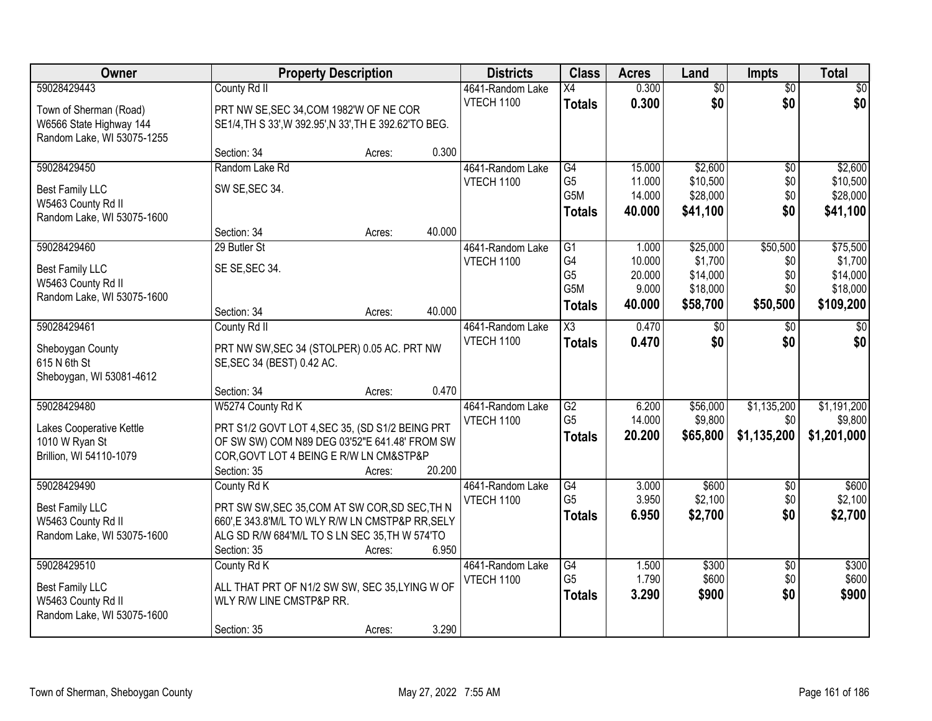| Owner                                                                                     |                                                                                                                                                                                 | <b>Property Description</b> |        | <b>Districts</b>                      | <b>Class</b>                          | <b>Acres</b>                       | Land                                        | <b>Impts</b>                      | <b>Total</b>                                |
|-------------------------------------------------------------------------------------------|---------------------------------------------------------------------------------------------------------------------------------------------------------------------------------|-----------------------------|--------|---------------------------------------|---------------------------------------|------------------------------------|---------------------------------------------|-----------------------------------|---------------------------------------------|
| 59028429443                                                                               | County Rd II                                                                                                                                                                    |                             |        | 4641-Random Lake                      | X4                                    | 0.300                              | $\overline{50}$                             | $\overline{50}$                   | \$0                                         |
| Town of Sherman (Road)<br>W6566 State Highway 144<br>Random Lake, WI 53075-1255           | PRT NW SE, SEC 34, COM 1982'W OF NE COR<br>SE1/4, TH S 33', W 392.95', N 33', TH E 392.62' TO BEG.                                                                              |                             |        | <b>VTECH 1100</b>                     | <b>Totals</b>                         | 0.300                              | \$0                                         | \$0                               | \$0                                         |
|                                                                                           | Section: 34                                                                                                                                                                     | Acres:                      | 0.300  |                                       |                                       |                                    |                                             |                                   |                                             |
| 59028429450                                                                               | Random Lake Rd                                                                                                                                                                  |                             |        | 4641-Random Lake                      | G4                                    | 15.000                             | \$2,600                                     | \$0                               | \$2,600                                     |
| <b>Best Family LLC</b><br>W5463 County Rd II                                              | SW SE, SEC 34.                                                                                                                                                                  |                             |        | <b>VTECH 1100</b>                     | G <sub>5</sub><br>G5M                 | 11.000<br>14.000                   | \$10,500<br>\$28,000                        | \$0<br>\$0                        | \$10,500<br>\$28,000                        |
| Random Lake, WI 53075-1600                                                                |                                                                                                                                                                                 |                             |        |                                       | <b>Totals</b>                         | 40.000                             | \$41,100                                    | \$0                               | \$41,100                                    |
|                                                                                           | Section: 34                                                                                                                                                                     | Acres:                      | 40.000 |                                       |                                       |                                    |                                             |                                   |                                             |
| 59028429460<br><b>Best Family LLC</b><br>W5463 County Rd II<br>Random Lake, WI 53075-1600 | 29 Butler St<br>SE SE, SEC 34.                                                                                                                                                  |                             |        | 4641-Random Lake<br><b>VTECH 1100</b> | G1<br>G4<br>G <sub>5</sub><br>G5M     | 1.000<br>10.000<br>20.000<br>9.000 | \$25,000<br>\$1,700<br>\$14,000<br>\$18,000 | \$50,500<br>\$0<br>\$0<br>\$0     | \$75,500<br>\$1,700<br>\$14,000<br>\$18,000 |
|                                                                                           | Section: 34                                                                                                                                                                     | Acres:                      | 40.000 |                                       | <b>Totals</b>                         | 40.000                             | \$58,700                                    | \$50,500                          | \$109,200                                   |
| 59028429461                                                                               | County Rd II                                                                                                                                                                    |                             |        | 4641-Random Lake                      | X3                                    | 0.470                              | \$0                                         | $\sqrt[6]{3}$                     | $\overline{30}$                             |
| Sheboygan County<br>615 N 6th St<br>Sheboygan, WI 53081-4612                              | PRT NW SW, SEC 34 (STOLPER) 0.05 AC. PRT NW<br>SE, SEC 34 (BEST) 0.42 AC.                                                                                                       |                             |        | <b>VTECH 1100</b>                     | <b>Totals</b>                         | 0.470                              | \$0                                         | \$0                               | \$0                                         |
|                                                                                           | Section: 34                                                                                                                                                                     | Acres:                      | 0.470  |                                       |                                       |                                    |                                             |                                   |                                             |
| 59028429480<br>Lakes Cooperative Kettle<br>1010 W Ryan St<br>Brillion, WI 54110-1079      | W5274 County Rd K<br>PRT S1/2 GOVT LOT 4, SEC 35, (SD S1/2 BEING PRT<br>OF SW SW) COM N89 DEG 03'52"E 641.48' FROM SW<br>COR, GOVT LOT 4 BEING E R/W LN CM&STP&P<br>Section: 35 | Acres:                      | 20.200 | 4641-Random Lake<br>VTECH 1100        | G2<br>G <sub>5</sub><br><b>Totals</b> | 6.200<br>14.000<br>20.200          | \$56,000<br>\$9,800<br>\$65,800             | \$1,135,200<br>\$0<br>\$1,135,200 | \$1,191,200<br>\$9,800<br>\$1,201,000       |
| 59028429490                                                                               | County Rd K                                                                                                                                                                     |                             |        | 4641-Random Lake                      | G4                                    | 3.000                              | \$600                                       | $\sqrt{$0}$                       | \$600                                       |
| <b>Best Family LLC</b><br>W5463 County Rd II<br>Random Lake, WI 53075-1600                | PRT SW SW, SEC 35, COM AT SW COR, SD SEC, TH N<br>660',E 343.8'M/L TO WLY R/W LN CMSTP&P RR, SELY<br>ALG SD R/W 684'M/L TO S LN SEC 35, TH W 574'TO<br>Section: 35              | Acres:                      | 6.950  | <b>VTECH 1100</b>                     | G <sub>5</sub><br><b>Totals</b>       | 3.950<br>6.950                     | \$2,100<br>\$2,700                          | \$0<br>\$0                        | \$2,100<br>\$2,700                          |
| 59028429510                                                                               | County Rd K                                                                                                                                                                     |                             |        | 4641-Random Lake                      | G4                                    | 1.500                              | \$300                                       | $\overline{50}$                   | \$300                                       |
| <b>Best Family LLC</b><br>W5463 County Rd II<br>Random Lake, WI 53075-1600                | ALL THAT PRT OF N1/2 SW SW, SEC 35, LYING W OF<br>WLY R/W LINE CMSTP&P RR.                                                                                                      |                             |        | <b>VTECH 1100</b>                     | G <sub>5</sub><br><b>Totals</b>       | 1.790<br>3.290                     | \$600<br>\$900                              | \$0<br>\$0                        | \$600<br>\$900                              |
|                                                                                           | Section: 35                                                                                                                                                                     | Acres:                      | 3.290  |                                       |                                       |                                    |                                             |                                   |                                             |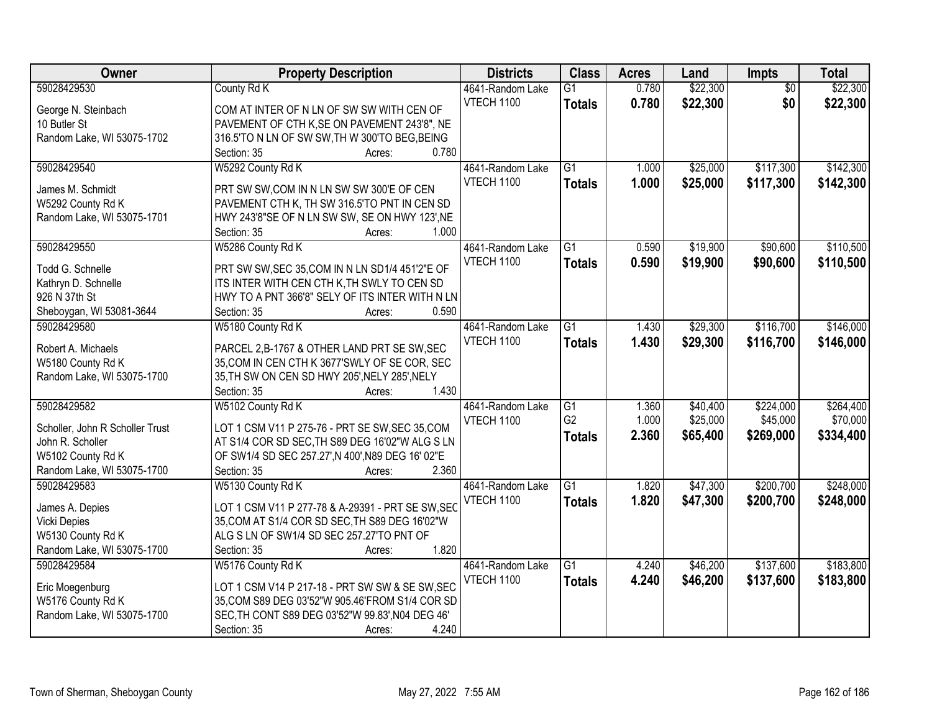| Owner                           | <b>Property Description</b>                                           | <b>Districts</b>  | <b>Class</b>    | <b>Acres</b> | Land     | Impts           | <b>Total</b> |
|---------------------------------|-----------------------------------------------------------------------|-------------------|-----------------|--------------|----------|-----------------|--------------|
| 59028429530                     | County Rd K                                                           | 4641-Random Lake  | $\overline{G1}$ | 0.780        | \$22,300 | $\overline{50}$ | \$22,300     |
| George N. Steinbach             | COM AT INTER OF N LN OF SW SW WITH CEN OF                             | <b>VTECH 1100</b> | <b>Totals</b>   | 0.780        | \$22,300 | \$0             | \$22,300     |
| 10 Butler St                    | PAVEMENT OF CTH K, SE ON PAVEMENT 243'8", NE                          |                   |                 |              |          |                 |              |
| Random Lake, WI 53075-1702      | 316.5'TO N LN OF SW SW, TH W 300'TO BEG, BEING                        |                   |                 |              |          |                 |              |
|                                 | 0.780<br>Section: 35<br>Acres:                                        |                   |                 |              |          |                 |              |
| 59028429540                     | W5292 County Rd K                                                     | 4641-Random Lake  | $\overline{G1}$ | 1.000        | \$25,000 | \$117,300       | \$142,300    |
|                                 |                                                                       | <b>VTECH 1100</b> | <b>Totals</b>   | 1.000        | \$25,000 | \$117,300       | \$142,300    |
| James M. Schmidt                | PRT SW SW, COM IN N LN SW SW 300'E OF CEN                             |                   |                 |              |          |                 |              |
| W5292 County Rd K               | PAVEMENT CTH K, TH SW 316.5'TO PNT IN CEN SD                          |                   |                 |              |          |                 |              |
| Random Lake, WI 53075-1701      | HWY 243'8"SE OF N LN SW SW, SE ON HWY 123', NE<br>1.000               |                   |                 |              |          |                 |              |
|                                 | Section: 35<br>Acres:                                                 |                   |                 |              |          |                 |              |
| 59028429550                     | W5286 County Rd K                                                     | 4641-Random Lake  | G1              | 0.590        | \$19,900 | \$90,600        | \$110,500    |
| Todd G. Schnelle                | PRT SW SW, SEC 35, COM IN N LN SD1/4 451'2"E OF                       | <b>VTECH 1100</b> | <b>Totals</b>   | 0.590        | \$19,900 | \$90,600        | \$110,500    |
| Kathryn D. Schnelle             | ITS INTER WITH CEN CTH K, TH SWLY TO CEN SD                           |                   |                 |              |          |                 |              |
| 926 N 37th St                   | HWY TO A PNT 366'8" SELY OF ITS INTER WITH N LN                       |                   |                 |              |          |                 |              |
| Sheboygan, WI 53081-3644        | 0.590<br>Section: 35<br>Acres:                                        |                   |                 |              |          |                 |              |
| 59028429580                     | W5180 County Rd K                                                     | 4641-Random Lake  | $\overline{G1}$ | 1.430        | \$29,300 | \$116,700       | \$146,000    |
|                                 |                                                                       | VTECH 1100        | <b>Totals</b>   | 1.430        | \$29,300 | \$116,700       | \$146,000    |
| Robert A. Michaels              | PARCEL 2,B-1767 & OTHER LAND PRT SE SW, SEC                           |                   |                 |              |          |                 |              |
| W5180 County Rd K               | 35, COM IN CEN CTH K 3677'SWLY OF SE COR, SEC                         |                   |                 |              |          |                 |              |
| Random Lake, WI 53075-1700      | 35, TH SW ON CEN SD HWY 205', NELY 285', NELY<br>1.430<br>Section: 35 |                   |                 |              |          |                 |              |
| 59028429582                     | Acres:<br>W5102 County Rd K                                           |                   | $\overline{G1}$ | 1.360        | \$40,400 | \$224,000       | \$264,400    |
|                                 |                                                                       | 4641-Random Lake  | G <sub>2</sub>  | 1.000        | \$25,000 | \$45,000        | \$70,000     |
| Scholler, John R Scholler Trust | LOT 1 CSM V11 P 275-76 - PRT SE SW, SEC 35, COM                       | VTECH 1100        |                 |              |          |                 |              |
| John R. Scholler                | AT S1/4 COR SD SEC, TH S89 DEG 16'02"W ALG S LN                       |                   | <b>Totals</b>   | 2.360        | \$65,400 | \$269,000       | \$334,400    |
| W5102 County Rd K               | OF SW1/4 SD SEC 257.27', N 400', N89 DEG 16' 02"E                     |                   |                 |              |          |                 |              |
| Random Lake, WI 53075-1700      | 2.360<br>Section: 35<br>Acres:                                        |                   |                 |              |          |                 |              |
| 59028429583                     | W5130 County Rd K                                                     | 4641-Random Lake  | $\overline{G1}$ | 1.820        | \$47,300 | \$200,700       | \$248,000    |
| James A. Depies                 | LOT 1 CSM V11 P 277-78 & A-29391 - PRT SE SW, SEC                     | VTECH 1100        | <b>Totals</b>   | 1.820        | \$47,300 | \$200,700       | \$248,000    |
| <b>Vicki Depies</b>             | 35, COM AT S1/4 COR SD SEC, TH S89 DEG 16'02"W                        |                   |                 |              |          |                 |              |
| W5130 County Rd K               | ALG S LN OF SW1/4 SD SEC 257.27'TO PNT OF                             |                   |                 |              |          |                 |              |
| Random Lake, WI 53075-1700      | 1.820<br>Section: 35<br>Acres:                                        |                   |                 |              |          |                 |              |
| 59028429584                     | W5176 County Rd K                                                     | 4641-Random Lake  | $\overline{G1}$ | 4.240        | \$46,200 | \$137,600       | \$183,800    |
|                                 |                                                                       | <b>VTECH 1100</b> |                 | 4.240        | \$46,200 | \$137,600       | \$183,800    |
| Eric Moegenburg                 | LOT 1 CSM V14 P 217-18 - PRT SW SW & SE SW, SEC                       |                   | <b>Totals</b>   |              |          |                 |              |
| W5176 County Rd K               | 35, COM S89 DEG 03'52"W 905.46'FROM S1/4 COR SD                       |                   |                 |              |          |                 |              |
| Random Lake, WI 53075-1700      | SEC, TH CONT S89 DEG 03'52"W 99.83', N04 DEG 46'                      |                   |                 |              |          |                 |              |
|                                 | 4.240<br>Section: 35<br>Acres:                                        |                   |                 |              |          |                 |              |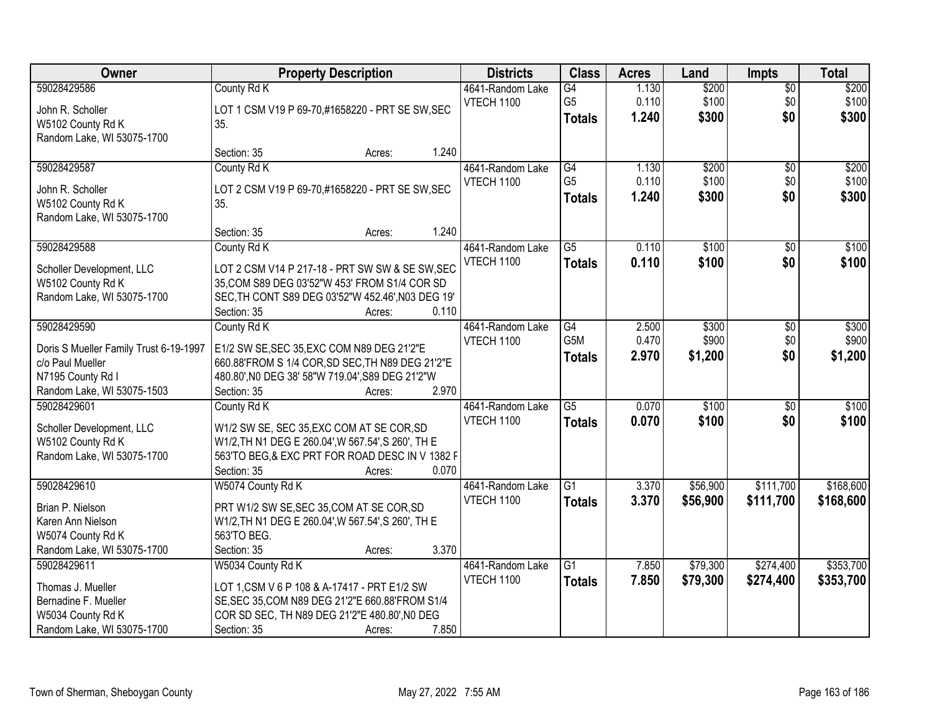| Owner                                                                                                                        | <b>Property Description</b>                                                                                                                                                                             | <b>Districts</b>                      | <b>Class</b>                          | <b>Acres</b>            | Land                      | <b>Impts</b>                  | <b>Total</b>              |
|------------------------------------------------------------------------------------------------------------------------------|---------------------------------------------------------------------------------------------------------------------------------------------------------------------------------------------------------|---------------------------------------|---------------------------------------|-------------------------|---------------------------|-------------------------------|---------------------------|
| 59028429586<br>John R. Scholler<br>W5102 County Rd K<br>Random Lake, WI 53075-1700                                           | County Rd K<br>LOT 1 CSM V19 P 69-70,#1658220 - PRT SE SW, SEC<br>35.                                                                                                                                   | 4641-Random Lake<br>VTECH 1100        | G4<br>G <sub>5</sub><br><b>Totals</b> | 1.130<br>0.110<br>1.240 | \$200<br>\$100<br>\$300   | $\overline{50}$<br>\$0<br>\$0 | \$200<br>\$100<br>\$300   |
|                                                                                                                              | 1.240<br>Section: 35<br>Acres:                                                                                                                                                                          |                                       |                                       |                         |                           |                               |                           |
| 59028429587<br>John R. Scholler<br>W5102 County Rd K<br>Random Lake, WI 53075-1700                                           | County Rd K<br>LOT 2 CSM V19 P 69-70,#1658220 - PRT SE SW, SEC<br>35.                                                                                                                                   | 4641-Random Lake<br><b>VTECH 1100</b> | G4<br>G <sub>5</sub><br><b>Totals</b> | 1.130<br>0.110<br>1.240 | \$200<br>\$100<br>\$300   | $\overline{50}$<br>\$0<br>\$0 | \$200<br>\$100<br>\$300   |
|                                                                                                                              | 1.240<br>Section: 35<br>Acres:                                                                                                                                                                          |                                       |                                       |                         |                           |                               |                           |
| 59028429588<br>Scholler Development, LLC<br>W5102 County Rd K<br>Random Lake, WI 53075-1700                                  | County Rd K<br>LOT 2 CSM V14 P 217-18 - PRT SW SW & SE SW, SEC<br>35, COM S89 DEG 03'52"W 453' FROM S1/4 COR SD<br>SEC, TH CONT S89 DEG 03'52"W 452.46', N03 DEG 19'<br>Section: 35<br>0.110<br>Acres:  | 4641-Random Lake<br><b>VTECH 1100</b> | $\overline{G5}$<br><b>Totals</b>      | 0.110<br>0.110          | \$100<br>\$100            | $\sqrt[6]{}$<br>\$0           | \$100<br>\$100            |
| 59028429590<br>Doris S Mueller Family Trust 6-19-1997<br>c/o Paul Mueller<br>N7195 County Rd I<br>Random Lake, WI 53075-1503 | County Rd K<br>E1/2 SW SE, SEC 35, EXC COM N89 DEG 21'2"E<br>660.88'FROM S 1/4 COR, SD SEC, TH N89 DEG 21'2"E<br>480.80', NO DEG 38' 58"W 719.04', S89 DEG 21'2"W<br>2.970<br>Section: 35<br>Acres:     | 4641-Random Lake<br>VTECH 1100        | G4<br>G5M<br><b>Totals</b>            | 2.500<br>0.470<br>2.970 | \$300<br>\$900<br>\$1,200 | \$0<br>\$0<br>\$0             | \$300<br>\$900<br>\$1,200 |
| 59028429601<br>Scholler Development, LLC<br>W5102 County Rd K<br>Random Lake, WI 53075-1700                                  | County Rd K<br>W1/2 SW SE, SEC 35, EXC COM AT SE COR, SD<br>W1/2, TH N1 DEG E 260.04', W 567.54', S 260', TH E<br>563'TO BEG, & EXC PRT FOR ROAD DESC IN V 1382 F<br>0.070<br>Section: 35<br>Acres:     | 4641-Random Lake<br><b>VTECH 1100</b> | $\overline{G5}$<br><b>Totals</b>      | 0.070<br>0.070          | \$100<br>\$100            | \$0<br>\$0                    | \$100<br>\$100            |
| 59028429610<br>Brian P. Nielson<br>Karen Ann Nielson<br>W5074 County Rd K<br>Random Lake, WI 53075-1700                      | W5074 County Rd K<br>PRT W1/2 SW SE, SEC 35, COM AT SE COR, SD<br>W1/2, TH N1 DEG E 260.04', W 567.54', S 260', TH E<br>563'TO BEG.<br>3.370<br>Section: 35<br>Acres:                                   | 4641-Random Lake<br><b>VTECH 1100</b> | $\overline{G1}$<br><b>Totals</b>      | 3.370<br>3.370          | \$56,900<br>\$56,900      | \$111,700<br>\$111,700        | \$168,600<br>\$168,600    |
| 59028429611<br>Thomas J. Mueller<br>Bernadine F. Mueller<br>W5034 County Rd K<br>Random Lake, WI 53075-1700                  | W5034 County Rd K<br>LOT 1, CSM V 6 P 108 & A-17417 - PRT E1/2 SW<br>SE, SEC 35, COM N89 DEG 21'2"E 660.88'FROM S1/4<br>COR SD SEC, TH N89 DEG 21'2"E 480.80', N0 DEG<br>7.850<br>Section: 35<br>Acres: | 4641-Random Lake<br><b>VTECH 1100</b> | $\overline{G1}$<br><b>Totals</b>      | 7.850<br>7.850          | \$79,300<br>\$79,300      | \$274,400<br>\$274,400        | \$353,700<br>\$353,700    |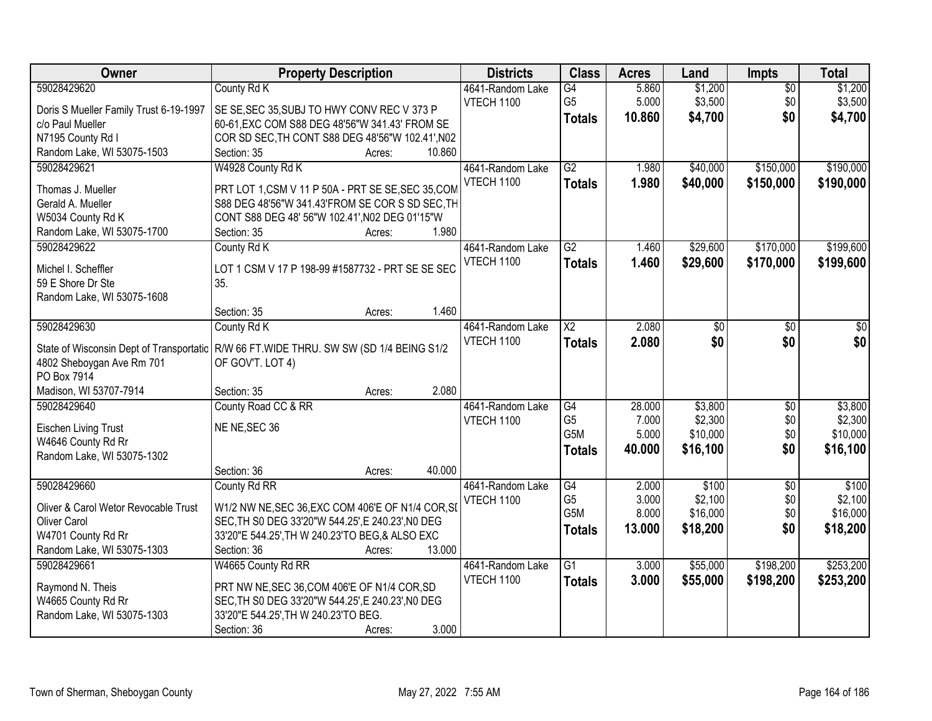| Owner                                             | <b>Property Description</b>                                                                           | <b>Districts</b>  | <b>Class</b>           | <b>Acres</b> | Land     | <b>Impts</b>    | <b>Total</b> |
|---------------------------------------------------|-------------------------------------------------------------------------------------------------------|-------------------|------------------------|--------------|----------|-----------------|--------------|
| 59028429620                                       | County Rd K                                                                                           | 4641-Random Lake  | G4                     | 5.860        | \$1,200  | $\overline{50}$ | \$1,200      |
| Doris S Mueller Family Trust 6-19-1997            | SE SE, SEC 35, SUBJ TO HWY CONV REC V 373 P                                                           | VTECH 1100        | G <sub>5</sub>         | 5.000        | \$3,500  | \$0             | \$3,500      |
| c/o Paul Mueller                                  | 60-61, EXC COM S88 DEG 48'56"W 341.43' FROM SE                                                        |                   | <b>Totals</b>          | 10.860       | \$4,700  | \$0             | \$4,700      |
| N7195 County Rd I                                 | COR SD SEC, TH CONT S88 DEG 48'56"W 102.41', N02                                                      |                   |                        |              |          |                 |              |
| Random Lake, WI 53075-1503                        | 10.860<br>Section: 35<br>Acres:                                                                       |                   |                        |              |          |                 |              |
| 59028429621                                       | W4928 County Rd K                                                                                     | 4641-Random Lake  | G2                     | 1.980        | \$40,000 | \$150,000       | \$190,000    |
|                                                   |                                                                                                       | <b>VTECH 1100</b> | <b>Totals</b>          | 1.980        | \$40,000 | \$150,000       | \$190,000    |
| Thomas J. Mueller<br>Gerald A. Mueller            | PRT LOT 1, CSM V 11 P 50A - PRT SE SE, SEC 35, COM<br>S88 DEG 48'56"W 341.43'FROM SE COR S SD SEC, TH |                   |                        |              |          |                 |              |
| W5034 County Rd K                                 | CONT S88 DEG 48' 56"W 102.41', N02 DEG 01'15"W                                                        |                   |                        |              |          |                 |              |
| Random Lake, WI 53075-1700                        | 1.980<br>Section: 35<br>Acres:                                                                        |                   |                        |              |          |                 |              |
| 59028429622                                       | County Rd K                                                                                           | 4641-Random Lake  | G2                     | 1.460        | \$29,600 | \$170,000       | \$199,600    |
|                                                   |                                                                                                       | VTECH 1100        |                        | 1.460        | \$29,600 | \$170,000       | \$199,600    |
| Michel I. Scheffler                               | LOT 1 CSM V 17 P 198-99 #1587732 - PRT SE SE SEC                                                      |                   | <b>Totals</b>          |              |          |                 |              |
| 59 E Shore Dr Ste                                 | 35.                                                                                                   |                   |                        |              |          |                 |              |
| Random Lake, WI 53075-1608                        |                                                                                                       |                   |                        |              |          |                 |              |
|                                                   | 1.460<br>Section: 35<br>Acres:                                                                        |                   |                        |              |          |                 |              |
| 59028429630                                       | County Rd K                                                                                           | 4641-Random Lake  | $\overline{\text{X2}}$ | 2.080        | \$0      | \$0             | \$0          |
| State of Wisconsin Dept of Transportatic          | R/W 66 FT. WIDE THRU. SW SW (SD 1/4 BEING S1/2                                                        | VTECH 1100        | <b>Totals</b>          | 2.080        | \$0      | \$0             | \$0          |
| 4802 Sheboygan Ave Rm 701                         | OF GOV'T. LOT 4)                                                                                      |                   |                        |              |          |                 |              |
| PO Box 7914                                       |                                                                                                       |                   |                        |              |          |                 |              |
| Madison, WI 53707-7914                            | 2.080<br>Section: 35<br>Acres:                                                                        |                   |                        |              |          |                 |              |
| 59028429640                                       | County Road CC & RR                                                                                   | 4641-Random Lake  | $\overline{G4}$        | 28.000       | \$3,800  | $\overline{30}$ | \$3,800      |
|                                                   | NE NE, SEC 36                                                                                         | <b>VTECH 1100</b> | G <sub>5</sub>         | 7.000        | \$2,300  | \$0             | \$2,300      |
| <b>Eischen Living Trust</b><br>W4646 County Rd Rr |                                                                                                       |                   | G5M                    | 5.000        | \$10,000 | \$0             | \$10,000     |
| Random Lake, WI 53075-1302                        |                                                                                                       |                   | <b>Totals</b>          | 40.000       | \$16,100 | \$0             | \$16,100     |
|                                                   | 40.000<br>Section: 36<br>Acres:                                                                       |                   |                        |              |          |                 |              |
| 59028429660                                       | County Rd RR                                                                                          | 4641-Random Lake  | G4                     | 2.000        | \$100    | $\overline{50}$ | \$100        |
|                                                   |                                                                                                       | VTECH 1100        | G <sub>5</sub>         | 3.000        | \$2,100  | \$0             | \$2,100      |
| Oliver & Carol Wetor Revocable Trust              | W1/2 NW NE, SEC 36, EXC COM 406'E OF N1/4 COR, SI                                                     |                   | G <sub>5</sub> M       | 8.000        | \$16,000 | \$0             | \$16,000     |
| Oliver Carol                                      | SEC, TH S0 DEG 33'20"W 544.25', E 240.23', N0 DEG                                                     |                   | <b>Totals</b>          | 13.000       | \$18,200 | \$0             | \$18,200     |
| W4701 County Rd Rr                                | 33'20"E 544.25', TH W 240.23'TO BEG, & ALSO EXC                                                       |                   |                        |              |          |                 |              |
| Random Lake, WI 53075-1303                        | Section: 36<br>13.000<br>Acres:                                                                       |                   |                        |              |          |                 |              |
| 59028429661                                       | W4665 County Rd RR                                                                                    | 4641-Random Lake  | $\overline{G1}$        | 3.000        | \$55,000 | \$198,200       | \$253,200    |
| Raymond N. Theis                                  | PRT NW NE, SEC 36, COM 406'E OF N1/4 COR, SD                                                          | <b>VTECH 1100</b> | <b>Totals</b>          | 3.000        | \$55,000 | \$198,200       | \$253,200    |
| W4665 County Rd Rr                                | SEC, TH S0 DEG 33'20"W 544.25', E 240.23', N0 DEG                                                     |                   |                        |              |          |                 |              |
| Random Lake, WI 53075-1303                        | 33'20"E 544.25', TH W 240.23'TO BEG.                                                                  |                   |                        |              |          |                 |              |
|                                                   | 3.000<br>Section: 36<br>Acres:                                                                        |                   |                        |              |          |                 |              |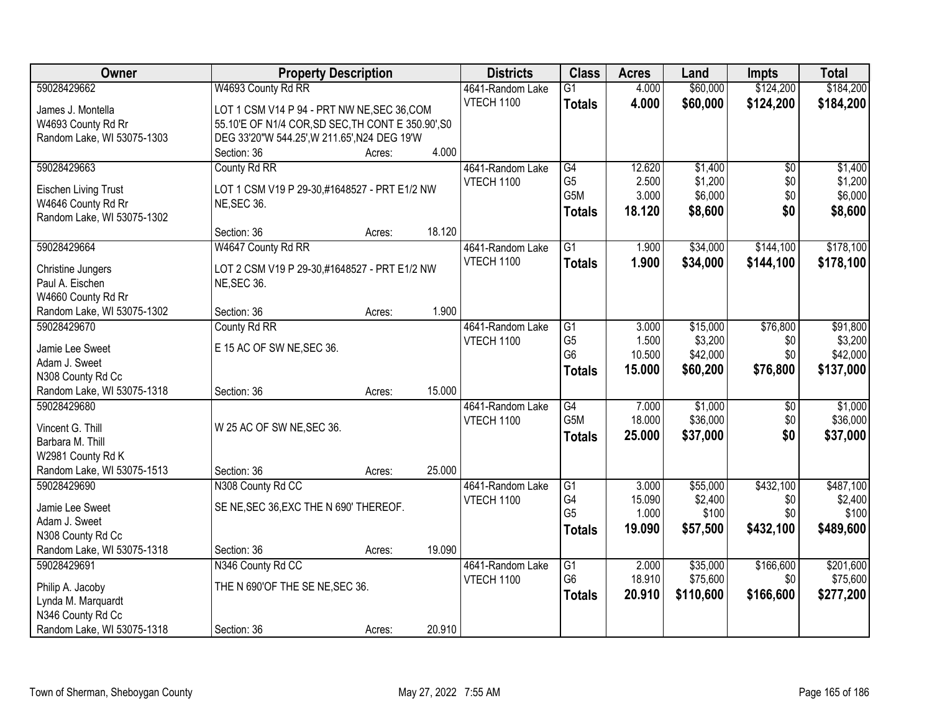| Owner                                            | <b>Property Description</b>                        |        |        | <b>Districts</b>  | <b>Class</b>     | <b>Acres</b> | Land      | <b>Impts</b>    | <b>Total</b> |
|--------------------------------------------------|----------------------------------------------------|--------|--------|-------------------|------------------|--------------|-----------|-----------------|--------------|
| 59028429662                                      | W4693 County Rd RR                                 |        |        | 4641-Random Lake  | $\overline{G1}$  | 4.000        | \$60,000  | \$124,200       | \$184,200    |
| James J. Montella                                | LOT 1 CSM V14 P 94 - PRT NW NE, SEC 36, COM        |        |        | <b>VTECH 1100</b> | <b>Totals</b>    | 4.000        | \$60,000  | \$124,200       | \$184,200    |
| W4693 County Rd Rr                               | 55.10'E OF N1/4 COR, SD SEC, TH CONT E 350.90', S0 |        |        |                   |                  |              |           |                 |              |
| Random Lake, WI 53075-1303                       | DEG 33'20"W 544.25', W 211.65', N24 DEG 19'W       |        |        |                   |                  |              |           |                 |              |
|                                                  | Section: 36                                        | Acres: | 4.000  |                   |                  |              |           |                 |              |
| 59028429663                                      | County Rd RR                                       |        |        | 4641-Random Lake  | G4               | 12.620       | \$1,400   | $\overline{50}$ | \$1,400      |
|                                                  |                                                    |        |        | <b>VTECH 1100</b> | G <sub>5</sub>   | 2.500        | \$1,200   | \$0             | \$1,200      |
| Eischen Living Trust                             | LOT 1 CSM V19 P 29-30,#1648527 - PRT E1/2 NW       |        |        |                   | G5M              | 3.000        | \$6,000   | \$0             | \$6,000      |
| W4646 County Rd Rr<br>Random Lake, WI 53075-1302 | <b>NE, SEC 36.</b>                                 |        |        |                   | <b>Totals</b>    | 18.120       | \$8,600   | \$0             | \$8,600      |
|                                                  | Section: 36                                        | Acres: | 18.120 |                   |                  |              |           |                 |              |
| 59028429664                                      | W4647 County Rd RR                                 |        |        | 4641-Random Lake  | G1               | 1.900        | \$34,000  | \$144,100       | \$178,100    |
|                                                  |                                                    |        |        | <b>VTECH 1100</b> |                  | 1.900        | \$34,000  | \$144,100       | \$178,100    |
| Christine Jungers                                | LOT 2 CSM V19 P 29-30,#1648527 - PRT E1/2 NW       |        |        |                   | <b>Totals</b>    |              |           |                 |              |
| Paul A. Eischen                                  | <b>NE, SEC 36.</b>                                 |        |        |                   |                  |              |           |                 |              |
| W4660 County Rd Rr                               |                                                    |        |        |                   |                  |              |           |                 |              |
| Random Lake, WI 53075-1302                       | Section: 36                                        | Acres: | 1.900  |                   |                  |              |           |                 |              |
| 59028429670                                      | County Rd RR                                       |        |        | 4641-Random Lake  | G1               | 3.000        | \$15,000  | \$76,800        | \$91,800     |
| Jamie Lee Sweet                                  | E 15 AC OF SW NE, SEC 36.                          |        |        | <b>VTECH 1100</b> | G <sub>5</sub>   | 1.500        | \$3,200   | \$0             | \$3,200      |
| Adam J. Sweet                                    |                                                    |        |        |                   | G <sub>6</sub>   | 10.500       | \$42,000  | \$0             | \$42,000     |
| N308 County Rd Cc                                |                                                    |        |        |                   | <b>Totals</b>    | 15.000       | \$60,200  | \$76,800        | \$137,000    |
| Random Lake, WI 53075-1318                       | Section: 36                                        | Acres: | 15.000 |                   |                  |              |           |                 |              |
| 59028429680                                      |                                                    |        |        | 4641-Random Lake  | $\overline{G4}$  | 7.000        | \$1,000   | $\overline{50}$ | \$1,000      |
|                                                  |                                                    |        |        | <b>VTECH 1100</b> | G <sub>5</sub> M | 18.000       | \$36,000  | \$0             | \$36,000     |
| Vincent G. Thill                                 | W 25 AC OF SW NE, SEC 36.                          |        |        |                   | <b>Totals</b>    | 25.000       | \$37,000  | \$0             | \$37,000     |
| Barbara M. Thill<br>W2981 County Rd K            |                                                    |        |        |                   |                  |              |           |                 |              |
| Random Lake, WI 53075-1513                       | Section: 36                                        | Acres: | 25.000 |                   |                  |              |           |                 |              |
| 59028429690                                      | N308 County Rd CC                                  |        |        | 4641-Random Lake  | $\overline{G1}$  | 3.000        | \$55,000  | \$432,100       | \$487,100    |
|                                                  |                                                    |        |        | <b>VTECH 1100</b> | G4               | 15.090       | \$2,400   | \$0             | \$2,400      |
| Jamie Lee Sweet                                  | SE NE, SEC 36, EXC THE N 690' THEREOF.             |        |        |                   | G <sub>5</sub>   | 1.000        | \$100     | \$0             | \$100        |
| Adam J. Sweet                                    |                                                    |        |        |                   | <b>Totals</b>    | 19.090       | \$57,500  | \$432,100       | \$489,600    |
| N308 County Rd Cc                                |                                                    |        |        |                   |                  |              |           |                 |              |
| Random Lake, WI 53075-1318                       | Section: 36                                        | Acres: | 19.090 |                   |                  |              |           |                 |              |
| 59028429691                                      | N346 County Rd CC                                  |        |        | 4641-Random Lake  | G1               | 2.000        | \$35,000  | \$166,600       | \$201,600    |
| Philip A. Jacoby                                 | THE N 690'OF THE SE NE, SEC 36.                    |        |        | <b>VTECH 1100</b> | G <sub>6</sub>   | 18.910       | \$75,600  | \$0             | \$75,600     |
| Lynda M. Marquardt                               |                                                    |        |        |                   | <b>Totals</b>    | 20.910       | \$110,600 | \$166,600       | \$277,200    |
| N346 County Rd Cc                                |                                                    |        |        |                   |                  |              |           |                 |              |
| Random Lake, WI 53075-1318                       | Section: 36                                        | Acres: | 20.910 |                   |                  |              |           |                 |              |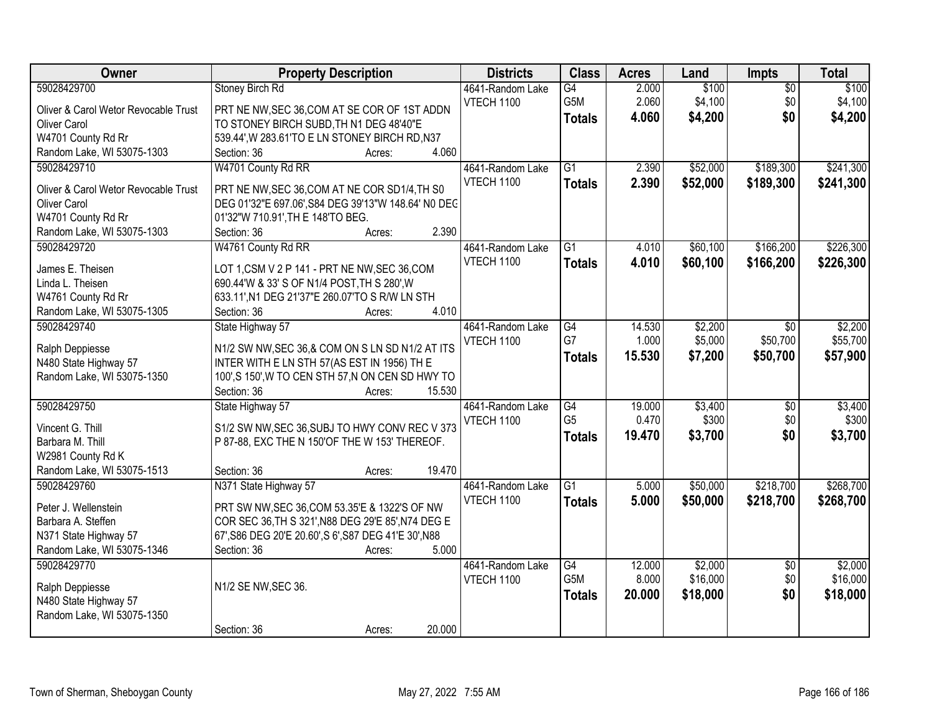| Owner                                | <b>Property Description</b>                           | <b>Districts</b>  | <b>Class</b>    | <b>Acres</b> | Land     | <b>Impts</b>    | <b>Total</b> |
|--------------------------------------|-------------------------------------------------------|-------------------|-----------------|--------------|----------|-----------------|--------------|
| 59028429700                          | Stoney Birch Rd                                       | 4641-Random Lake  | $\overline{G4}$ | 2.000        | \$100    | $\overline{50}$ | \$100        |
| Oliver & Carol Wetor Revocable Trust | PRT NE NW, SEC 36, COM AT SE COR OF 1ST ADDN          | VTECH 1100        | G5M             | 2.060        | \$4,100  | \$0             | \$4,100      |
| Oliver Carol                         | TO STONEY BIRCH SUBD, TH N1 DEG 48'40"E               |                   | <b>Totals</b>   | 4.060        | \$4,200  | \$0             | \$4,200      |
| W4701 County Rd Rr                   | 539.44', W 283.61'TO E LN STONEY BIRCH RD, N37        |                   |                 |              |          |                 |              |
| Random Lake, WI 53075-1303           | 4.060<br>Section: 36<br>Acres:                        |                   |                 |              |          |                 |              |
| 59028429710                          | W4701 County Rd RR                                    | 4641-Random Lake  | $\overline{G1}$ | 2.390        | \$52,000 | \$189,300       | \$241,300    |
|                                      |                                                       | <b>VTECH 1100</b> | <b>Totals</b>   | 2.390        | \$52,000 | \$189,300       | \$241,300    |
| Oliver & Carol Wetor Revocable Trust | PRT NE NW, SEC 36, COM AT NE COR SD1/4, TH S0         |                   |                 |              |          |                 |              |
| Oliver Carol                         | DEG 01'32"E 697.06', S84 DEG 39'13"W 148.64' NO DEC   |                   |                 |              |          |                 |              |
| W4701 County Rd Rr                   | 01'32"W 710.91', TH E 148'TO BEG.                     |                   |                 |              |          |                 |              |
| Random Lake, WI 53075-1303           | 2.390<br>Section: 36<br>Acres:                        |                   |                 |              |          |                 |              |
| 59028429720                          | W4761 County Rd RR                                    | 4641-Random Lake  | G1              | 4.010        | \$60,100 | \$166,200       | \$226,300    |
| James E. Theisen                     | LOT 1,CSM V 2 P 141 - PRT NE NW, SEC 36, COM          | <b>VTECH 1100</b> | <b>Totals</b>   | 4.010        | \$60,100 | \$166,200       | \$226,300    |
| Linda L. Theisen                     | 690.44'W & 33' S OF N1/4 POST, TH S 280', W           |                   |                 |              |          |                 |              |
| W4761 County Rd Rr                   | 633.11', N1 DEG 21'37"E 260.07'TO S R/W LN STH        |                   |                 |              |          |                 |              |
| Random Lake, WI 53075-1305           | 4.010<br>Section: 36<br>Acres:                        |                   |                 |              |          |                 |              |
| 59028429740                          | State Highway 57                                      | 4641-Random Lake  | G4              | 14.530       | \$2,200  | $\sqrt{6}$      | \$2,200      |
|                                      |                                                       | <b>VTECH 1100</b> | G7              | 1.000        | \$5,000  | \$50,700        | \$55,700     |
| Ralph Deppiesse                      | N1/2 SW NW, SEC 36, & COM ON S LN SD N1/2 AT ITS      |                   | <b>Totals</b>   | 15.530       | \$7,200  | \$50,700        | \$57,900     |
| N480 State Highway 57                | INTER WITH E LN STH 57(AS EST IN 1956) TH E           |                   |                 |              |          |                 |              |
| Random Lake, WI 53075-1350           | 100',S 150',W TO CEN STH 57,N ON CEN SD HWY TO        |                   |                 |              |          |                 |              |
|                                      | 15.530<br>Section: 36<br>Acres:                       |                   |                 |              |          |                 |              |
| 59028429750                          | State Highway 57                                      | 4641-Random Lake  | $\overline{G4}$ | 19.000       | \$3,400  | $\overline{50}$ | \$3,400      |
| Vincent G. Thill                     | S1/2 SW NW, SEC 36, SUBJ TO HWY CONV REC V 373        | VTECH 1100        | G <sub>5</sub>  | 0.470        | \$300    | \$0             | \$300        |
| Barbara M. Thill                     | P 87-88, EXC THE N 150'OF THE W 153' THEREOF.         |                   | Totals          | 19.470       | \$3,700  | \$0             | \$3,700      |
| W2981 County Rd K                    |                                                       |                   |                 |              |          |                 |              |
| Random Lake, WI 53075-1513           | 19.470<br>Section: 36<br>Acres:                       |                   |                 |              |          |                 |              |
| 59028429760                          | N371 State Highway 57                                 | 4641-Random Lake  | $\overline{G1}$ | 5.000        | \$50,000 | \$218,700       | \$268,700    |
|                                      |                                                       | <b>VTECH 1100</b> | <b>Totals</b>   | 5.000        | \$50,000 | \$218,700       | \$268,700    |
| Peter J. Wellenstein                 | PRT SW NW, SEC 36, COM 53.35'E & 1322'S OF NW         |                   |                 |              |          |                 |              |
| Barbara A. Steffen                   | COR SEC 36, TH S 321', N88 DEG 29'E 85', N74 DEG E    |                   |                 |              |          |                 |              |
| N371 State Highway 57                | 67', S86 DEG 20'E 20.60', S 6', S87 DEG 41'E 30', N88 |                   |                 |              |          |                 |              |
| Random Lake, WI 53075-1346           | Section: 36<br>5.000<br>Acres:                        |                   |                 |              |          |                 |              |
| 59028429770                          |                                                       | 4641-Random Lake  | $\overline{G4}$ | 12.000       | \$2,000  | $\overline{50}$ | \$2,000      |
| Ralph Deppiesse                      | N1/2 SE NW, SEC 36.                                   | <b>VTECH 1100</b> | G5M             | 8.000        | \$16,000 | \$0             | \$16,000     |
| N480 State Highway 57                |                                                       |                   | <b>Totals</b>   | 20.000       | \$18,000 | \$0             | \$18,000     |
| Random Lake, WI 53075-1350           |                                                       |                   |                 |              |          |                 |              |
|                                      | 20.000<br>Section: 36<br>Acres:                       |                   |                 |              |          |                 |              |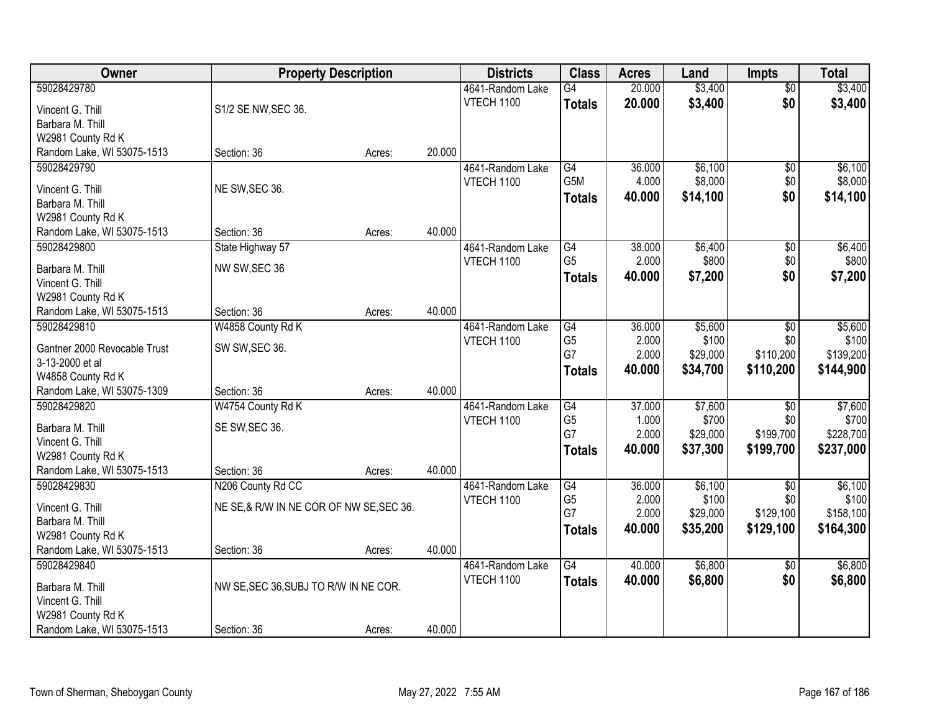| Owner                                           | <b>Property Description</b>             |        |        | <b>Districts</b>  | <b>Class</b>    | <b>Acres</b> | Land     | <b>Impts</b>           | <b>Total</b> |
|-------------------------------------------------|-----------------------------------------|--------|--------|-------------------|-----------------|--------------|----------|------------------------|--------------|
| 59028429780                                     |                                         |        |        | 4641-Random Lake  | $\overline{G4}$ | 20.000       | \$3,400  | $\overline{50}$        | \$3,400      |
| Vincent G. Thill                                | S1/2 SE NW, SEC 36.                     |        |        | <b>VTECH 1100</b> | <b>Totals</b>   | 20.000       | \$3,400  | \$0                    | \$3,400      |
| Barbara M. Thill                                |                                         |        |        |                   |                 |              |          |                        |              |
| W2981 County Rd K                               |                                         |        |        |                   |                 |              |          |                        |              |
| Random Lake, WI 53075-1513                      | Section: 36                             | Acres: | 20.000 |                   |                 |              |          |                        |              |
| 59028429790                                     |                                         |        |        | 4641-Random Lake  | G4              | 36.000       | \$6,100  | \$0                    | \$6,100      |
| Vincent G. Thill                                | NE SW, SEC 36.                          |        |        | <b>VTECH 1100</b> | G5M             | 4.000        | \$8,000  | \$0                    | \$8,000      |
| Barbara M. Thill                                |                                         |        |        |                   | <b>Totals</b>   | 40.000       | \$14,100 | \$0                    | \$14,100     |
| W2981 County Rd K                               |                                         |        |        |                   |                 |              |          |                        |              |
| Random Lake, WI 53075-1513                      | Section: 36                             | Acres: | 40.000 |                   |                 |              |          |                        |              |
| 59028429800                                     | State Highway 57                        |        |        | 4641-Random Lake  | G4              | 38.000       | \$6,400  | \$0                    | \$6,400      |
|                                                 | NW SW, SEC 36                           |        |        | <b>VTECH 1100</b> | G <sub>5</sub>  | 2.000        | \$800    | \$0                    | \$800        |
| Barbara M. Thill<br>Vincent G. Thill            |                                         |        |        |                   | <b>Totals</b>   | 40.000       | \$7,200  | \$0                    | \$7,200      |
| W2981 County Rd K                               |                                         |        |        |                   |                 |              |          |                        |              |
| Random Lake, WI 53075-1513                      | Section: 36                             | Acres: | 40.000 |                   |                 |              |          |                        |              |
| 59028429810                                     | W4858 County Rd K                       |        |        | 4641-Random Lake  | G4              | 36.000       | \$5,600  | $\sqrt[6]{3}$          | \$5,600      |
|                                                 |                                         |        |        | VTECH 1100        | G <sub>5</sub>  | 2.000        | \$100    | \$0                    | \$100        |
| Gantner 2000 Revocable Trust<br>3-13-2000 et al | SW SW, SEC 36.                          |        |        |                   | G7              | 2.000        | \$29,000 | \$110,200              | \$139,200    |
| W4858 County Rd K                               |                                         |        |        |                   | <b>Totals</b>   | 40.000       | \$34,700 | \$110,200              | \$144,900    |
| Random Lake, WI 53075-1309                      | Section: 36                             | Acres: | 40.000 |                   |                 |              |          |                        |              |
| 59028429820                                     | W4754 County Rd K                       |        |        | 4641-Random Lake  | G4              | 37.000       | \$7,600  | \$0                    | \$7,600      |
|                                                 |                                         |        |        | <b>VTECH 1100</b> | G <sub>5</sub>  | 1.000        | \$700    | \$0                    | \$700        |
| Barbara M. Thill                                | SE SW, SEC 36.                          |        |        |                   | G7              | 2.000        | \$29,000 | \$199,700              | \$228,700    |
| Vincent G. Thill                                |                                         |        |        |                   | <b>Totals</b>   | 40.000       | \$37,300 | \$199,700              | \$237,000    |
| W2981 County Rd K<br>Random Lake, WI 53075-1513 | Section: 36                             | Acres: | 40.000 |                   |                 |              |          |                        |              |
| 59028429830                                     | N206 County Rd CC                       |        |        | 4641-Random Lake  | G4              | 36.000       | \$6,100  | \$0                    | \$6,100      |
|                                                 |                                         |        |        | <b>VTECH 1100</b> | G <sub>5</sub>  | 2.000        | \$100    | \$0                    | \$100        |
| Vincent G. Thill                                | NE SE,& R/W IN NE COR OF NW SE, SEC 36. |        |        |                   | G7              | 2.000        | \$29,000 | \$129,100              | \$158,100    |
| Barbara M. Thill                                |                                         |        |        |                   | <b>Totals</b>   | 40.000       | \$35,200 | \$129,100              | \$164,300    |
| W2981 County Rd K                               |                                         |        | 40.000 |                   |                 |              |          |                        |              |
| Random Lake, WI 53075-1513<br>59028429840       | Section: 36                             | Acres: |        | 4641-Random Lake  | G4              | 40.000       | \$6,800  |                        | \$6,800      |
|                                                 |                                         |        |        | <b>VTECH 1100</b> |                 | 40.000       |          | $\overline{30}$<br>\$0 |              |
| Barbara M. Thill                                | NW SE, SEC 36, SUBJ TO R/W IN NE COR.   |        |        |                   | <b>Totals</b>   |              | \$6,800  |                        | \$6,800      |
| Vincent G. Thill                                |                                         |        |        |                   |                 |              |          |                        |              |
| W2981 County Rd K                               |                                         |        |        |                   |                 |              |          |                        |              |
| Random Lake, WI 53075-1513                      | Section: 36                             | Acres: | 40.000 |                   |                 |              |          |                        |              |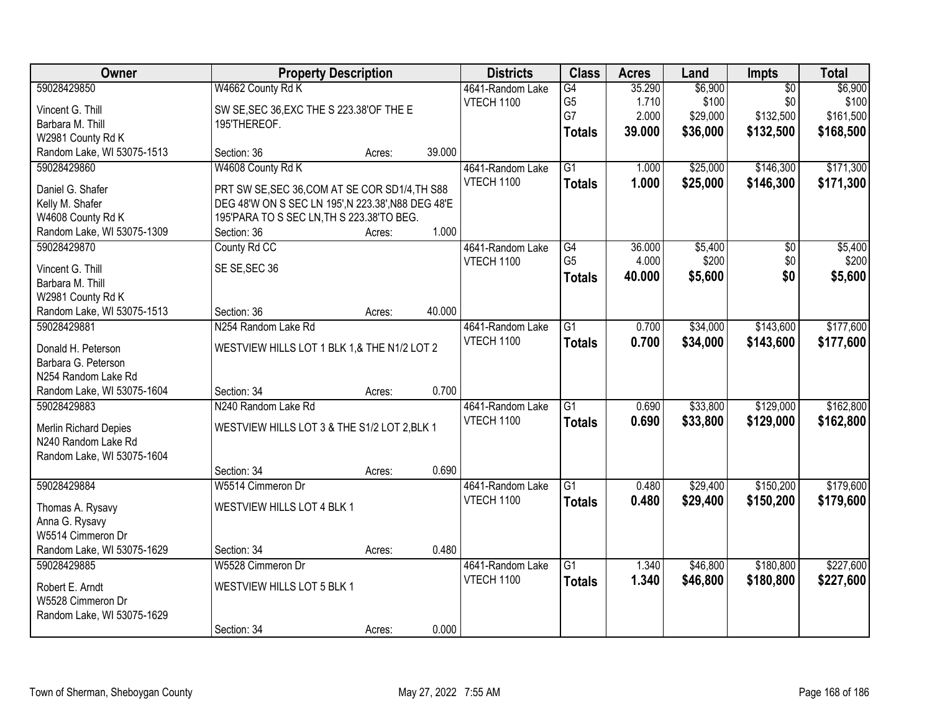| Owner                                        |                                                                                                      | <b>Property Description</b> |        | <b>Districts</b>  | <b>Class</b>    | <b>Acres</b> | Land     | Impts           | <b>Total</b> |
|----------------------------------------------|------------------------------------------------------------------------------------------------------|-----------------------------|--------|-------------------|-----------------|--------------|----------|-----------------|--------------|
| 59028429850                                  | W4662 County Rd K                                                                                    |                             |        | 4641-Random Lake  | G4              | 35.290       | \$6,900  | $\overline{50}$ | \$6,900      |
| Vincent G. Thill                             | SW SE, SEC 36, EXC THE S 223.38' OF THE E                                                            |                             |        | VTECH 1100        | G <sub>5</sub>  | 1.710        | \$100    | \$0             | \$100        |
| Barbara M. Thill                             | 195'THEREOF.                                                                                         |                             |        |                   | G7              | 2.000        | \$29,000 | \$132,500       | \$161,500    |
| W2981 County Rd K                            |                                                                                                      |                             |        |                   | <b>Totals</b>   | 39.000       | \$36,000 | \$132,500       | \$168,500    |
| Random Lake, WI 53075-1513                   | Section: 36                                                                                          | Acres:                      | 39.000 |                   |                 |              |          |                 |              |
| 59028429860                                  | W4608 County Rd K                                                                                    |                             |        | 4641-Random Lake  | $\overline{G1}$ | 1.000        | \$25,000 | \$146,300       | \$171,300    |
|                                              |                                                                                                      |                             |        | <b>VTECH 1100</b> | <b>Totals</b>   | 1.000        | \$25,000 | \$146,300       | \$171,300    |
| Daniel G. Shafer<br>Kelly M. Shafer          | PRT SW SE, SEC 36, COM AT SE COR SD1/4, TH S88<br>DEG 48'W ON S SEC LN 195', N 223.38', N88 DEG 48'E |                             |        |                   |                 |              |          |                 |              |
| W4608 County Rd K                            | 195'PARA TO S SEC LN, TH S 223.38'TO BEG.                                                            |                             |        |                   |                 |              |          |                 |              |
| Random Lake, WI 53075-1309                   | Section: 36                                                                                          | Acres:                      | 1.000  |                   |                 |              |          |                 |              |
| 59028429870                                  | County Rd CC                                                                                         |                             |        | 4641-Random Lake  | $\overline{G4}$ | 36.000       | \$5,400  | $\overline{50}$ | \$5,400      |
|                                              |                                                                                                      |                             |        | VTECH 1100        | G <sub>5</sub>  | 4.000        | \$200    | \$0             | \$200        |
| Vincent G. Thill                             | SE SE, SEC 36                                                                                        |                             |        |                   | <b>Totals</b>   | 40.000       | \$5,600  | \$0             | \$5,600      |
| Barbara M. Thill                             |                                                                                                      |                             |        |                   |                 |              |          |                 |              |
| W2981 County Rd K                            |                                                                                                      |                             |        |                   |                 |              |          |                 |              |
| Random Lake, WI 53075-1513                   | Section: 36                                                                                          | Acres:                      | 40.000 |                   |                 |              |          |                 |              |
| 59028429881                                  | N254 Random Lake Rd                                                                                  |                             |        | 4641-Random Lake  | $\overline{G1}$ | 0.700        | \$34,000 | \$143,600       | \$177,600    |
| Donald H. Peterson                           | WESTVIEW HILLS LOT 1 BLK 1,& THE N1/2 LOT 2                                                          |                             |        | VTECH 1100        | <b>Totals</b>   | 0.700        | \$34,000 | \$143,600       | \$177,600    |
| Barbara G. Peterson                          |                                                                                                      |                             |        |                   |                 |              |          |                 |              |
| N254 Random Lake Rd                          |                                                                                                      |                             |        |                   |                 |              |          |                 |              |
| Random Lake, WI 53075-1604                   | Section: 34                                                                                          | Acres:                      | 0.700  |                   |                 |              |          |                 |              |
| 59028429883                                  | N240 Random Lake Rd                                                                                  |                             |        | 4641-Random Lake  | $\overline{G1}$ | 0.690        | \$33,800 | \$129,000       | \$162,800    |
|                                              | WESTVIEW HILLS LOT 3 & THE S1/2 LOT 2, BLK 1                                                         |                             |        | <b>VTECH 1100</b> | <b>Totals</b>   | 0.690        | \$33,800 | \$129,000       | \$162,800    |
| Merlin Richard Depies<br>N240 Random Lake Rd |                                                                                                      |                             |        |                   |                 |              |          |                 |              |
| Random Lake, WI 53075-1604                   |                                                                                                      |                             |        |                   |                 |              |          |                 |              |
|                                              | Section: 34                                                                                          | Acres:                      | 0.690  |                   |                 |              |          |                 |              |
| 59028429884                                  | W5514 Cimmeron Dr                                                                                    |                             |        | 4641-Random Lake  | $\overline{G1}$ | 0.480        | \$29,400 | \$150,200       | \$179,600    |
|                                              |                                                                                                      |                             |        | VTECH 1100        | <b>Totals</b>   | 0.480        | \$29,400 | \$150,200       | \$179,600    |
| Thomas A. Rysavy                             | WESTVIEW HILLS LOT 4 BLK 1                                                                           |                             |        |                   |                 |              |          |                 |              |
| Anna G. Rysavy                               |                                                                                                      |                             |        |                   |                 |              |          |                 |              |
| W5514 Cimmeron Dr                            |                                                                                                      |                             |        |                   |                 |              |          |                 |              |
| Random Lake, WI 53075-1629                   | Section: 34                                                                                          | Acres:                      | 0.480  |                   |                 |              |          |                 |              |
| 59028429885                                  | W5528 Cimmeron Dr                                                                                    |                             |        | 4641-Random Lake  | $\overline{G1}$ | 1.340        | \$46,800 | \$180,800       | \$227,600    |
| Robert E. Arndt                              | WESTVIEW HILLS LOT 5 BLK 1                                                                           |                             |        | VTECH 1100        | <b>Totals</b>   | 1.340        | \$46,800 | \$180,800       | \$227,600    |
| W5528 Cimmeron Dr                            |                                                                                                      |                             |        |                   |                 |              |          |                 |              |
| Random Lake, WI 53075-1629                   |                                                                                                      |                             |        |                   |                 |              |          |                 |              |
|                                              | Section: 34                                                                                          | Acres:                      | 0.000  |                   |                 |              |          |                 |              |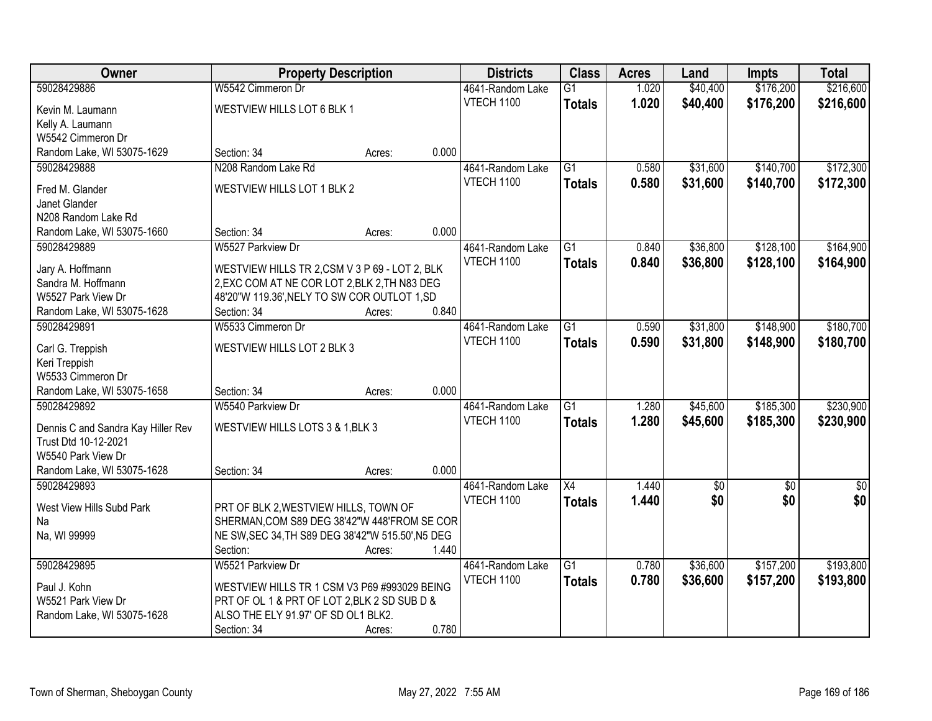| Owner                              | <b>Property Description</b>                       |                 | <b>Districts</b>  | <b>Class</b>    | <b>Acres</b> | Land            | <b>Impts</b>    | <b>Total</b> |
|------------------------------------|---------------------------------------------------|-----------------|-------------------|-----------------|--------------|-----------------|-----------------|--------------|
| 59028429886                        | W5542 Cimmeron Dr                                 |                 | 4641-Random Lake  | $\overline{G1}$ | 1.020        | \$40,400        | \$176,200       | \$216,600    |
| Kevin M. Laumann                   | WESTVIEW HILLS LOT 6 BLK 1                        |                 | VTECH 1100        | <b>Totals</b>   | 1.020        | \$40,400        | \$176,200       | \$216,600    |
| Kelly A. Laumann                   |                                                   |                 |                   |                 |              |                 |                 |              |
| W5542 Cimmeron Dr                  |                                                   |                 |                   |                 |              |                 |                 |              |
| Random Lake, WI 53075-1629         | Section: 34                                       | 0.000<br>Acres: |                   |                 |              |                 |                 |              |
| 59028429888                        | N208 Random Lake Rd                               |                 | 4641-Random Lake  | $\overline{G1}$ | 0.580        | \$31,600        | \$140,700       | \$172,300    |
|                                    |                                                   |                 | <b>VTECH 1100</b> | <b>Totals</b>   | 0.580        | \$31,600        | \$140,700       | \$172,300    |
| Fred M. Glander                    | WESTVIEW HILLS LOT 1 BLK 2                        |                 |                   |                 |              |                 |                 |              |
| Janet Glander                      |                                                   |                 |                   |                 |              |                 |                 |              |
| N208 Random Lake Rd                |                                                   | 0.000           |                   |                 |              |                 |                 |              |
| Random Lake, WI 53075-1660         | Section: 34                                       | Acres:          |                   |                 |              |                 |                 |              |
| 59028429889                        | W5527 Parkview Dr                                 |                 | 4641-Random Lake  | $\overline{G1}$ | 0.840        | \$36,800        | \$128,100       | \$164,900    |
| Jary A. Hoffmann                   | WESTVIEW HILLS TR 2,CSM V 3 P 69 - LOT 2, BLK     |                 | <b>VTECH 1100</b> | <b>Totals</b>   | 0.840        | \$36,800        | \$128,100       | \$164,900    |
| Sandra M. Hoffmann                 | 2, EXC COM AT NE COR LOT 2, BLK 2, TH N83 DEG     |                 |                   |                 |              |                 |                 |              |
| W5527 Park View Dr                 | 48'20"W 119.36', NELY TO SW COR OUTLOT 1, SD      |                 |                   |                 |              |                 |                 |              |
| Random Lake, WI 53075-1628         | Section: 34                                       | 0.840<br>Acres: |                   |                 |              |                 |                 |              |
| 59028429891                        | W5533 Cimmeron Dr                                 |                 | 4641-Random Lake  | $\overline{G1}$ | 0.590        | \$31,800        | \$148,900       | \$180,700    |
|                                    | WESTVIEW HILLS LOT 2 BLK 3                        |                 | VTECH 1100        | <b>Totals</b>   | 0.590        | \$31,800        | \$148,900       | \$180,700    |
| Carl G. Treppish<br>Keri Treppish  |                                                   |                 |                   |                 |              |                 |                 |              |
| W5533 Cimmeron Dr                  |                                                   |                 |                   |                 |              |                 |                 |              |
| Random Lake, WI 53075-1658         | Section: 34                                       | 0.000<br>Acres: |                   |                 |              |                 |                 |              |
| 59028429892                        | W5540 Parkview Dr                                 |                 | 4641-Random Lake  | $\overline{G1}$ | 1.280        | \$45,600        | \$185,300       | \$230,900    |
|                                    |                                                   |                 | VTECH 1100        | <b>Totals</b>   | 1.280        | \$45,600        | \$185,300       | \$230,900    |
| Dennis C and Sandra Kay Hiller Rev | WESTVIEW HILLS LOTS 3 & 1, BLK 3                  |                 |                   |                 |              |                 |                 |              |
| Trust Dtd 10-12-2021               |                                                   |                 |                   |                 |              |                 |                 |              |
| W5540 Park View Dr                 |                                                   |                 |                   |                 |              |                 |                 |              |
| Random Lake, WI 53075-1628         | Section: 34                                       | 0.000<br>Acres: |                   |                 |              |                 |                 |              |
| 59028429893                        |                                                   |                 | 4641-Random Lake  | $\overline{X4}$ | 1.440        | $\overline{60}$ | $\overline{50}$ | $\sqrt{60}$  |
| West View Hills Subd Park          | PRT OF BLK 2, WESTVIEW HILLS, TOWN OF             |                 | <b>VTECH 1100</b> | <b>Totals</b>   | 1.440        | \$0             | \$0             | \$0          |
| Na                                 | SHERMAN, COM S89 DEG 38'42"W 448'FROM SE COR      |                 |                   |                 |              |                 |                 |              |
| Na, WI 99999                       | NE SW, SEC 34, TH S89 DEG 38'42"W 515.50', N5 DEG |                 |                   |                 |              |                 |                 |              |
|                                    | Section:                                          | 1.440<br>Acres: |                   |                 |              |                 |                 |              |
| 59028429895                        | W5521 Parkview Dr                                 |                 | 4641-Random Lake  | $\overline{G1}$ | 0.780        | \$36,600        | \$157,200       | \$193,800    |
|                                    |                                                   |                 | VTECH 1100        | <b>Totals</b>   | 0.780        | \$36,600        | \$157,200       | \$193,800    |
| Paul J. Kohn                       | WESTVIEW HILLS TR 1 CSM V3 P69 #993029 BEING      |                 |                   |                 |              |                 |                 |              |
| W5521 Park View Dr                 | PRT OF OL 1 & PRT OF LOT 2, BLK 2 SD SUB D &      |                 |                   |                 |              |                 |                 |              |
| Random Lake, WI 53075-1628         | ALSO THE ELY 91.97' OF SD OL1 BLK2.               |                 |                   |                 |              |                 |                 |              |
|                                    | Section: 34                                       | 0.780<br>Acres: |                   |                 |              |                 |                 |              |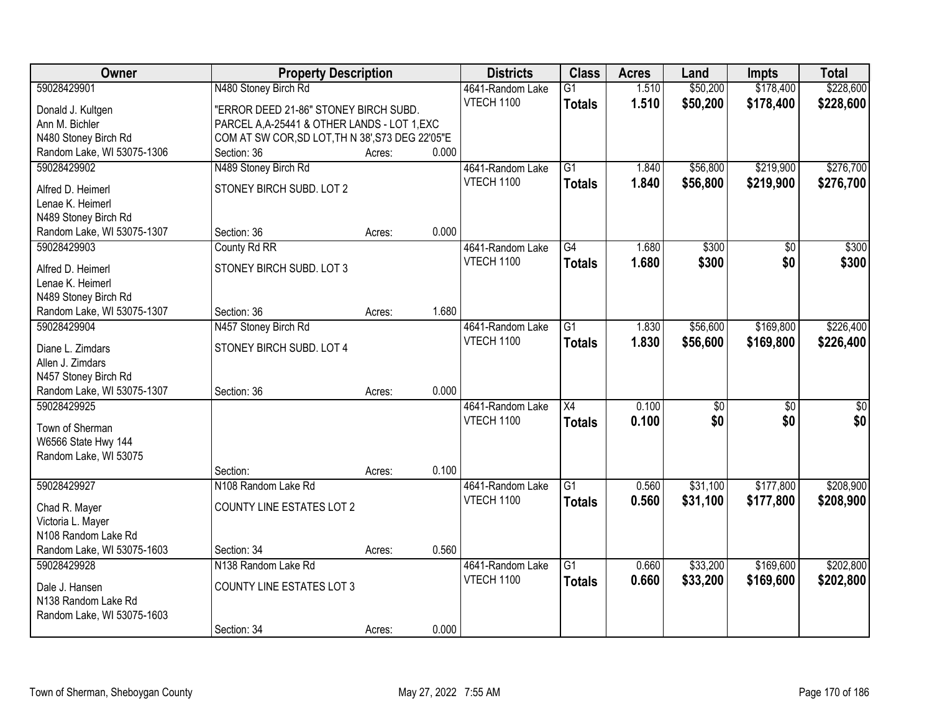| Owner                                | <b>Property Description</b>                      |        |                   | <b>Districts</b> | <b>Class</b>    | <b>Acres</b> | Land            | <b>Impts</b>    | <b>Total</b>    |
|--------------------------------------|--------------------------------------------------|--------|-------------------|------------------|-----------------|--------------|-----------------|-----------------|-----------------|
| 59028429901                          | N480 Stoney Birch Rd                             |        |                   | 4641-Random Lake | $\overline{G1}$ | 1.510        | \$50,200        | \$178,400       | \$228,600       |
| Donald J. Kultgen                    | "ERROR DEED 21-86" STONEY BIRCH SUBD.            |        | VTECH 1100        |                  | <b>Totals</b>   | 1.510        | \$50,200        | \$178,400       | \$228,600       |
| Ann M. Bichler                       | PARCEL A, A-25441 & OTHER LANDS - LOT 1, EXC     |        |                   |                  |                 |              |                 |                 |                 |
| N480 Stoney Birch Rd                 | COM AT SW COR, SD LOT, TH N 38', S73 DEG 22'05"E |        |                   |                  |                 |              |                 |                 |                 |
| Random Lake, WI 53075-1306           | Section: 36                                      | Acres: | 0.000             |                  |                 |              |                 |                 |                 |
| 59028429902                          | N489 Stoney Birch Rd                             |        |                   | 4641-Random Lake | $\overline{G1}$ | 1.840        | \$56,800        | \$219,900       | \$276,700       |
|                                      |                                                  |        | VTECH 1100        |                  | <b>Totals</b>   | 1.840        | \$56,800        | \$219,900       | \$276,700       |
| Alfred D. Heimerl                    | STONEY BIRCH SUBD. LOT 2                         |        |                   |                  |                 |              |                 |                 |                 |
| Lenae K. Heimerl                     |                                                  |        |                   |                  |                 |              |                 |                 |                 |
| N489 Stoney Birch Rd                 |                                                  |        |                   |                  |                 |              |                 |                 |                 |
| Random Lake, WI 53075-1307           | Section: 36                                      | Acres: | 0.000             |                  |                 |              |                 |                 |                 |
| 59028429903                          | County Rd RR                                     |        |                   | 4641-Random Lake | G4              | 1.680        | \$300           | \$0             | \$300           |
| Alfred D. Heimerl                    | STONEY BIRCH SUBD. LOT 3                         |        | VTECH 1100        |                  | <b>Totals</b>   | 1.680        | \$300           | \$0             | \$300           |
| Lenae K. Heimerl                     |                                                  |        |                   |                  |                 |              |                 |                 |                 |
| N489 Stoney Birch Rd                 |                                                  |        |                   |                  |                 |              |                 |                 |                 |
| Random Lake, WI 53075-1307           | Section: 36                                      | Acres: | 1.680             |                  |                 |              |                 |                 |                 |
| 59028429904                          | N457 Stoney Birch Rd                             |        |                   | 4641-Random Lake | G1              | 1.830        | \$56,600        | \$169,800       | \$226,400       |
|                                      |                                                  |        | <b>VTECH 1100</b> |                  | <b>Totals</b>   | 1.830        | \$56,600        | \$169,800       | \$226,400       |
| Diane L. Zimdars<br>Allen J. Zimdars | STONEY BIRCH SUBD. LOT 4                         |        |                   |                  |                 |              |                 |                 |                 |
| N457 Stoney Birch Rd                 |                                                  |        |                   |                  |                 |              |                 |                 |                 |
| Random Lake, WI 53075-1307           | Section: 36                                      | Acres: | 0.000             |                  |                 |              |                 |                 |                 |
| 59028429925                          |                                                  |        |                   | 4641-Random Lake | $\overline{X4}$ | 0.100        | $\overline{50}$ | $\overline{50}$ | $\overline{50}$ |
|                                      |                                                  |        | <b>VTECH 1100</b> |                  |                 | 0.100        | \$0             |                 | \$0             |
| Town of Sherman                      |                                                  |        |                   |                  | <b>Totals</b>   |              |                 | \$0             |                 |
| W6566 State Hwy 144                  |                                                  |        |                   |                  |                 |              |                 |                 |                 |
| Random Lake, WI 53075                |                                                  |        |                   |                  |                 |              |                 |                 |                 |
|                                      | Section:                                         | Acres: | 0.100             |                  |                 |              |                 |                 |                 |
| 59028429927                          | N108 Random Lake Rd                              |        |                   | 4641-Random Lake | $\overline{G1}$ | 0.560        | \$31,100        | \$177,800       | \$208,900       |
| Chad R. Mayer                        | <b>COUNTY LINE ESTATES LOT 2</b>                 |        | VTECH 1100        |                  | <b>Totals</b>   | 0.560        | \$31,100        | \$177,800       | \$208,900       |
| Victoria L. Mayer                    |                                                  |        |                   |                  |                 |              |                 |                 |                 |
| N108 Random Lake Rd                  |                                                  |        |                   |                  |                 |              |                 |                 |                 |
| Random Lake, WI 53075-1603           | Section: 34                                      | Acres: | 0.560             |                  |                 |              |                 |                 |                 |
| 59028429928                          | N138 Random Lake Rd                              |        |                   | 4641-Random Lake | $\overline{G1}$ | 0.660        | \$33,200        | \$169,600       | \$202,800       |
|                                      |                                                  |        | VTECH 1100        |                  | <b>Totals</b>   | 0.660        | \$33,200        | \$169,600       | \$202,800       |
| Dale J. Hansen                       | <b>COUNTY LINE ESTATES LOT 3</b>                 |        |                   |                  |                 |              |                 |                 |                 |
| N138 Random Lake Rd                  |                                                  |        |                   |                  |                 |              |                 |                 |                 |
| Random Lake, WI 53075-1603           |                                                  |        |                   |                  |                 |              |                 |                 |                 |
|                                      | Section: 34                                      | Acres: | 0.000             |                  |                 |              |                 |                 |                 |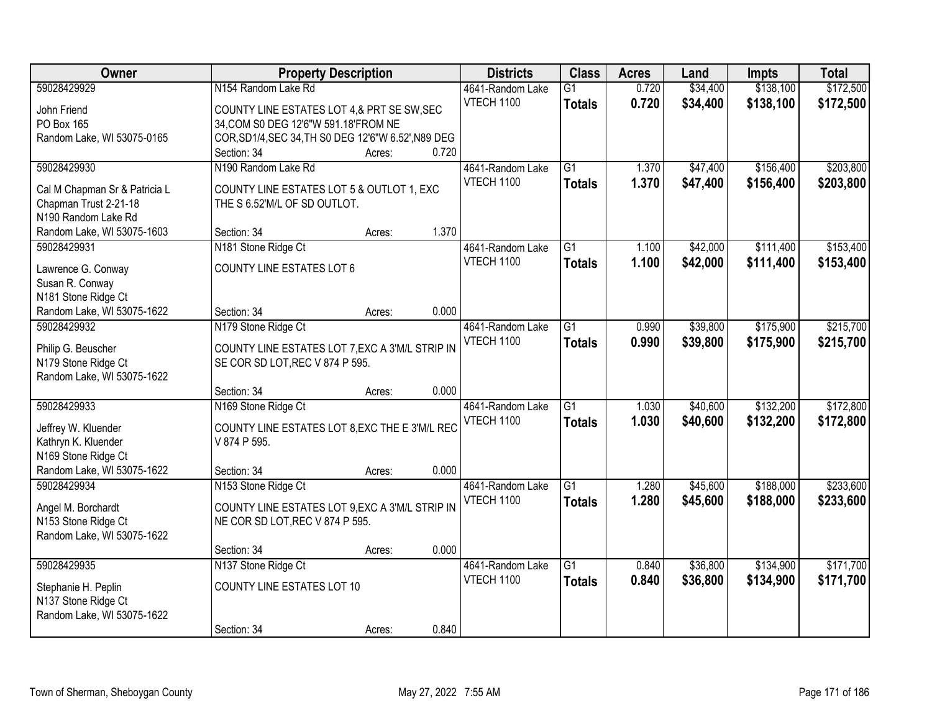| Owner                                                  |                                                                           | <b>Property Description</b> |       | <b>Districts</b>  | <b>Class</b>    | <b>Acres</b> | Land     | <b>Impts</b> | <b>Total</b> |
|--------------------------------------------------------|---------------------------------------------------------------------------|-----------------------------|-------|-------------------|-----------------|--------------|----------|--------------|--------------|
| 59028429929                                            | N154 Random Lake Rd                                                       |                             |       | 4641-Random Lake  | $\overline{G1}$ | 0.720        | \$34,400 | \$138,100    | \$172,500    |
| John Friend                                            | COUNTY LINE ESTATES LOT 4,& PRT SE SW, SEC                                |                             |       | VTECH 1100        | <b>Totals</b>   | 0.720        | \$34,400 | \$138,100    | \$172,500    |
| PO Box 165                                             | 34, COM S0 DEG 12'6"W 591.18'FROM NE                                      |                             |       |                   |                 |              |          |              |              |
| Random Lake, WI 53075-0165                             | COR, SD1/4, SEC 34, TH S0 DEG 12'6"W 6.52', N89 DEG                       |                             |       |                   |                 |              |          |              |              |
|                                                        | Section: 34                                                               | Acres:                      | 0.720 |                   |                 |              |          |              |              |
| 59028429930                                            | N190 Random Lake Rd                                                       |                             |       | 4641-Random Lake  | $\overline{G1}$ | 1.370        | \$47,400 | \$156,400    | \$203,800    |
|                                                        |                                                                           |                             |       | <b>VTECH 1100</b> | <b>Totals</b>   | 1.370        | \$47,400 | \$156,400    | \$203,800    |
| Cal M Chapman Sr & Patricia L<br>Chapman Trust 2-21-18 | COUNTY LINE ESTATES LOT 5 & OUTLOT 1, EXC<br>THE S 6.52'M/L OF SD OUTLOT. |                             |       |                   |                 |              |          |              |              |
| N190 Random Lake Rd                                    |                                                                           |                             |       |                   |                 |              |          |              |              |
| Random Lake, WI 53075-1603                             | Section: 34                                                               | Acres:                      | 1.370 |                   |                 |              |          |              |              |
| 59028429931                                            | N181 Stone Ridge Ct                                                       |                             |       | 4641-Random Lake  | $\overline{G1}$ | 1.100        | \$42,000 | \$111,400    | \$153,400    |
|                                                        |                                                                           |                             |       | VTECH 1100        | <b>Totals</b>   | 1.100        | \$42,000 | \$111,400    | \$153,400    |
| Lawrence G. Conway                                     | <b>COUNTY LINE ESTATES LOT 6</b>                                          |                             |       |                   |                 |              |          |              |              |
| Susan R. Conway                                        |                                                                           |                             |       |                   |                 |              |          |              |              |
| N181 Stone Ridge Ct                                    |                                                                           |                             |       |                   |                 |              |          |              |              |
| Random Lake, WI 53075-1622                             | Section: 34                                                               | Acres:                      | 0.000 |                   |                 |              |          |              |              |
| 59028429932                                            | N179 Stone Ridge Ct                                                       |                             |       | 4641-Random Lake  | $\overline{G1}$ | 0.990        | \$39,800 | \$175,900    | \$215,700    |
| Philip G. Beuscher                                     | COUNTY LINE ESTATES LOT 7, EXC A 3'M/L STRIP IN                           |                             |       | <b>VTECH 1100</b> | <b>Totals</b>   | 0.990        | \$39,800 | \$175,900    | \$215,700    |
| N179 Stone Ridge Ct                                    | SE COR SD LOT, REC V 874 P 595.                                           |                             |       |                   |                 |              |          |              |              |
| Random Lake, WI 53075-1622                             |                                                                           |                             |       |                   |                 |              |          |              |              |
|                                                        | Section: 34                                                               | Acres:                      | 0.000 |                   |                 |              |          |              |              |
| 59028429933                                            | N169 Stone Ridge Ct                                                       |                             |       | 4641-Random Lake  | $\overline{G1}$ | 1.030        | \$40,600 | \$132,200    | \$172,800    |
| Jeffrey W. Kluender                                    | COUNTY LINE ESTATES LOT 8, EXC THE E 3'M/L REC                            |                             |       | <b>VTECH 1100</b> | <b>Totals</b>   | 1.030        | \$40,600 | \$132,200    | \$172,800    |
| Kathryn K. Kluender                                    | V 874 P 595.                                                              |                             |       |                   |                 |              |          |              |              |
| N169 Stone Ridge Ct                                    |                                                                           |                             |       |                   |                 |              |          |              |              |
| Random Lake, WI 53075-1622                             | Section: 34                                                               | Acres:                      | 0.000 |                   |                 |              |          |              |              |
| 59028429934                                            | N153 Stone Ridge Ct                                                       |                             |       | 4641-Random Lake  | $\overline{G1}$ | 1.280        | \$45,600 | \$188,000    | \$233,600    |
|                                                        |                                                                           |                             |       | VTECH 1100        | <b>Totals</b>   | 1.280        | \$45,600 | \$188,000    | \$233,600    |
| Angel M. Borchardt                                     | COUNTY LINE ESTATES LOT 9, EXC A 3'M/L STRIP IN                           |                             |       |                   |                 |              |          |              |              |
| N153 Stone Ridge Ct                                    | NE COR SD LOT, REC V 874 P 595.                                           |                             |       |                   |                 |              |          |              |              |
| Random Lake, WI 53075-1622                             |                                                                           |                             |       |                   |                 |              |          |              |              |
|                                                        | Section: 34                                                               | Acres:                      | 0.000 |                   |                 |              |          |              |              |
| 59028429935                                            | N137 Stone Ridge Ct                                                       |                             |       | 4641-Random Lake  | $\overline{G1}$ | 0.840        | \$36,800 | \$134,900    | \$171,700    |
| Stephanie H. Peplin                                    | <b>COUNTY LINE ESTATES LOT 10</b>                                         |                             |       | VTECH 1100        | <b>Totals</b>   | 0.840        | \$36,800 | \$134,900    | \$171,700    |
| N137 Stone Ridge Ct                                    |                                                                           |                             |       |                   |                 |              |          |              |              |
| Random Lake, WI 53075-1622                             |                                                                           |                             |       |                   |                 |              |          |              |              |
|                                                        | Section: 34                                                               | Acres:                      | 0.840 |                   |                 |              |          |              |              |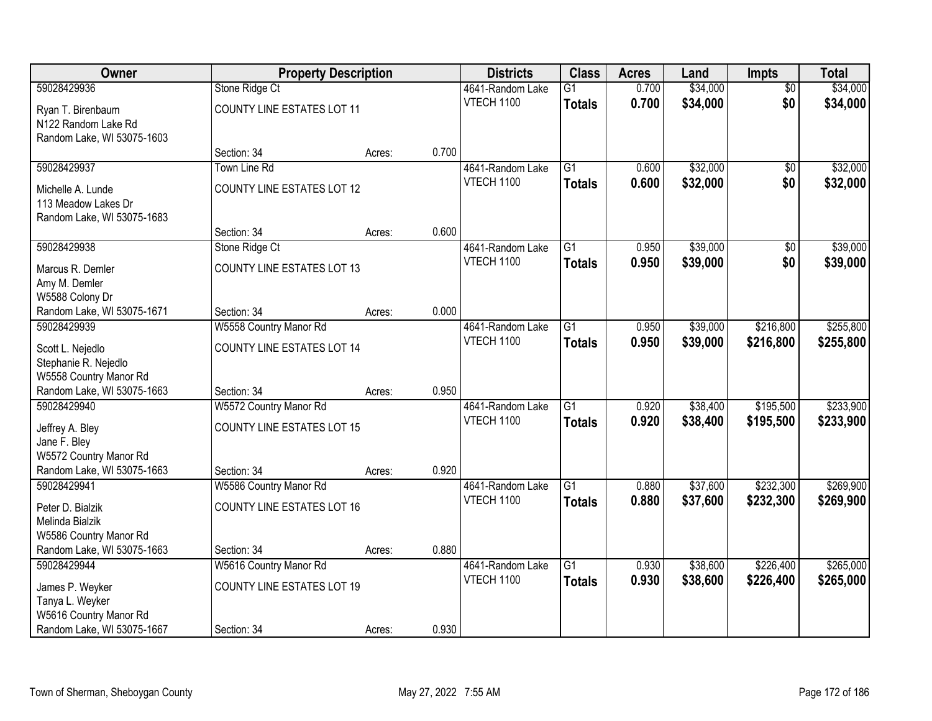| Owner                      | <b>Property Description</b>       |        |       | <b>Districts</b>  | <b>Class</b>    | <b>Acres</b> | Land     | <b>Impts</b>    | <b>Total</b> |
|----------------------------|-----------------------------------|--------|-------|-------------------|-----------------|--------------|----------|-----------------|--------------|
| 59028429936                | Stone Ridge Ct                    |        |       | 4641-Random Lake  | $\overline{G1}$ | 0.700        | \$34,000 | $\overline{50}$ | \$34,000     |
| Ryan T. Birenbaum          | <b>COUNTY LINE ESTATES LOT 11</b> |        |       | VTECH 1100        | <b>Totals</b>   | 0.700        | \$34,000 | \$0             | \$34,000     |
| N122 Random Lake Rd        |                                   |        |       |                   |                 |              |          |                 |              |
| Random Lake, WI 53075-1603 |                                   |        |       |                   |                 |              |          |                 |              |
|                            | Section: 34                       | Acres: | 0.700 |                   |                 |              |          |                 |              |
| 59028429937                | Town Line Rd                      |        |       | 4641-Random Lake  | $\overline{G1}$ | 0.600        | \$32,000 | $\overline{50}$ | \$32,000     |
| Michelle A. Lunde          | <b>COUNTY LINE ESTATES LOT 12</b> |        |       | <b>VTECH 1100</b> | <b>Totals</b>   | 0.600        | \$32,000 | \$0             | \$32,000     |
| 113 Meadow Lakes Dr        |                                   |        |       |                   |                 |              |          |                 |              |
| Random Lake, WI 53075-1683 |                                   |        |       |                   |                 |              |          |                 |              |
|                            | Section: 34                       | Acres: | 0.600 |                   |                 |              |          |                 |              |
| 59028429938                | Stone Ridge Ct                    |        |       | 4641-Random Lake  | $\overline{G1}$ | 0.950        | \$39,000 | \$0             | \$39,000     |
| Marcus R. Demler           | <b>COUNTY LINE ESTATES LOT 13</b> |        |       | VTECH 1100        | <b>Totals</b>   | 0.950        | \$39,000 | \$0             | \$39,000     |
| Amy M. Demler              |                                   |        |       |                   |                 |              |          |                 |              |
| W5588 Colony Dr            |                                   |        |       |                   |                 |              |          |                 |              |
| Random Lake, WI 53075-1671 | Section: 34                       | Acres: | 0.000 |                   |                 |              |          |                 |              |
| 59028429939                | W5558 Country Manor Rd            |        |       | 4641-Random Lake  | $\overline{G1}$ | 0.950        | \$39,000 | \$216,800       | \$255,800    |
| Scott L. Nejedlo           | <b>COUNTY LINE ESTATES LOT 14</b> |        |       | <b>VTECH 1100</b> | <b>Totals</b>   | 0.950        | \$39,000 | \$216,800       | \$255,800    |
| Stephanie R. Nejedlo       |                                   |        |       |                   |                 |              |          |                 |              |
| W5558 Country Manor Rd     |                                   |        |       |                   |                 |              |          |                 |              |
| Random Lake, WI 53075-1663 | Section: 34                       | Acres: | 0.950 |                   |                 |              |          |                 |              |
| 59028429940                | W5572 Country Manor Rd            |        |       | 4641-Random Lake  | $\overline{G1}$ | 0.920        | \$38,400 | \$195,500       | \$233,900    |
| Jeffrey A. Bley            | <b>COUNTY LINE ESTATES LOT 15</b> |        |       | VTECH 1100        | <b>Totals</b>   | 0.920        | \$38,400 | \$195,500       | \$233,900    |
| Jane F. Bley               |                                   |        |       |                   |                 |              |          |                 |              |
| W5572 Country Manor Rd     |                                   |        |       |                   |                 |              |          |                 |              |
| Random Lake, WI 53075-1663 | Section: 34                       | Acres: | 0.920 |                   |                 |              |          |                 |              |
| 59028429941                | W5586 Country Manor Rd            |        |       | 4641-Random Lake  | $\overline{G1}$ | 0.880        | \$37,600 | \$232,300       | \$269,900    |
| Peter D. Bialzik           | <b>COUNTY LINE ESTATES LOT 16</b> |        |       | <b>VTECH 1100</b> | <b>Totals</b>   | 0.880        | \$37,600 | \$232,300       | \$269,900    |
| Melinda Bialzik            |                                   |        |       |                   |                 |              |          |                 |              |
| W5586 Country Manor Rd     |                                   |        |       |                   |                 |              |          |                 |              |
| Random Lake, WI 53075-1663 | Section: 34                       | Acres: | 0.880 |                   |                 |              |          |                 |              |
| 59028429944                | W5616 Country Manor Rd            |        |       | 4641-Random Lake  | $\overline{G1}$ | 0.930        | \$38,600 | \$226,400       | \$265,000    |
| James P. Weyker            | <b>COUNTY LINE ESTATES LOT 19</b> |        |       | <b>VTECH 1100</b> | <b>Totals</b>   | 0.930        | \$38,600 | \$226,400       | \$265,000    |
| Tanya L. Weyker            |                                   |        |       |                   |                 |              |          |                 |              |
| W5616 Country Manor Rd     |                                   |        |       |                   |                 |              |          |                 |              |
| Random Lake, WI 53075-1667 | Section: 34                       | Acres: | 0.930 |                   |                 |              |          |                 |              |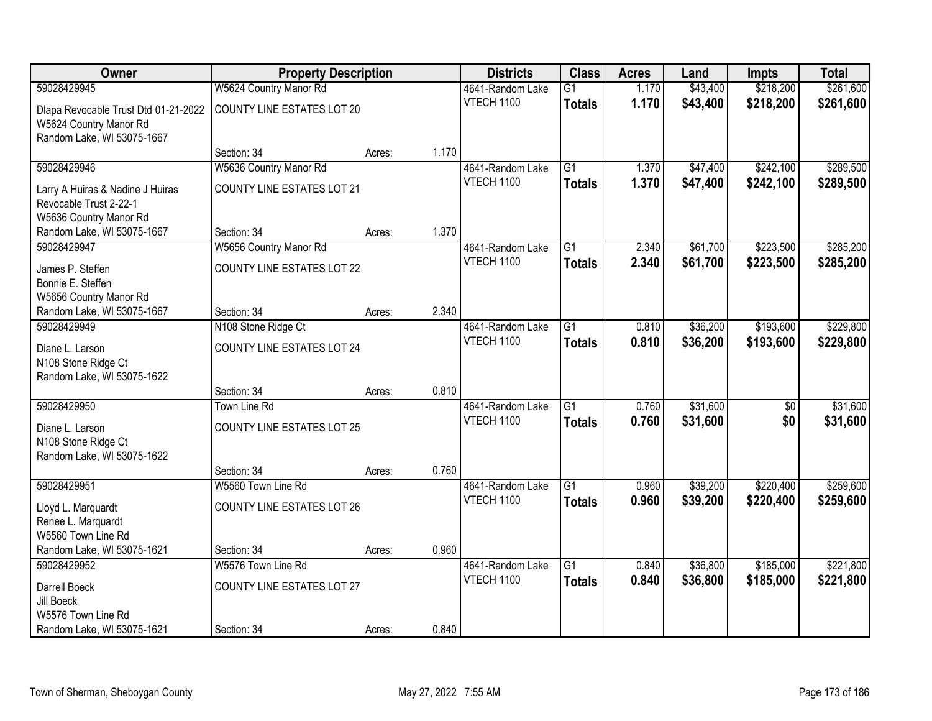| Owner                                | <b>Property Description</b>       |                 | <b>Districts</b>  | <b>Class</b>    | <b>Acres</b> | Land     | <b>Impts</b> | <b>Total</b> |
|--------------------------------------|-----------------------------------|-----------------|-------------------|-----------------|--------------|----------|--------------|--------------|
| 59028429945                          | W5624 Country Manor Rd            |                 | 4641-Random Lake  | $\overline{G1}$ | 1.170        | \$43,400 | \$218,200    | \$261,600    |
| Dlapa Revocable Trust Dtd 01-21-2022 | <b>COUNTY LINE ESTATES LOT 20</b> |                 | VTECH 1100        | <b>Totals</b>   | 1.170        | \$43,400 | \$218,200    | \$261,600    |
| W5624 Country Manor Rd               |                                   |                 |                   |                 |              |          |              |              |
| Random Lake, WI 53075-1667           |                                   |                 |                   |                 |              |          |              |              |
|                                      | Section: 34                       | 1.170<br>Acres: |                   |                 |              |          |              |              |
| 59028429946                          | W5636 Country Manor Rd            |                 | 4641-Random Lake  | $\overline{G1}$ | 1.370        | \$47,400 | \$242,100    | \$289,500    |
| Larry A Huiras & Nadine J Huiras     | <b>COUNTY LINE ESTATES LOT 21</b> |                 | <b>VTECH 1100</b> | <b>Totals</b>   | 1.370        | \$47,400 | \$242,100    | \$289,500    |
| Revocable Trust 2-22-1               |                                   |                 |                   |                 |              |          |              |              |
| W5636 Country Manor Rd               |                                   |                 |                   |                 |              |          |              |              |
| Random Lake, WI 53075-1667           | Section: 34                       | 1.370<br>Acres: |                   |                 |              |          |              |              |
| 59028429947                          | W5656 Country Manor Rd            |                 | 4641-Random Lake  | $\overline{G1}$ | 2.340        | \$61,700 | \$223,500    | \$285,200    |
| James P. Steffen                     | <b>COUNTY LINE ESTATES LOT 22</b> |                 | VTECH 1100        | <b>Totals</b>   | 2.340        | \$61,700 | \$223,500    | \$285,200    |
| Bonnie E. Steffen                    |                                   |                 |                   |                 |              |          |              |              |
| W5656 Country Manor Rd               |                                   |                 |                   |                 |              |          |              |              |
| Random Lake, WI 53075-1667           | Section: 34                       | 2.340<br>Acres: |                   |                 |              |          |              |              |
| 59028429949                          | N108 Stone Ridge Ct               |                 | 4641-Random Lake  | $\overline{G1}$ | 0.810        | \$36,200 | \$193,600    | \$229,800    |
| Diane L. Larson                      | <b>COUNTY LINE ESTATES LOT 24</b> |                 | VTECH 1100        | <b>Totals</b>   | 0.810        | \$36,200 | \$193,600    | \$229,800    |
| N108 Stone Ridge Ct                  |                                   |                 |                   |                 |              |          |              |              |
| Random Lake, WI 53075-1622           |                                   |                 |                   |                 |              |          |              |              |
|                                      | Section: 34                       | 0.810<br>Acres: |                   |                 |              |          |              |              |
| 59028429950                          | <b>Town Line Rd</b>               |                 | 4641-Random Lake  | $\overline{G1}$ | 0.760        | \$31,600 | \$0          | \$31,600     |
| Diane L. Larson                      | <b>COUNTY LINE ESTATES LOT 25</b> |                 | VTECH 1100        | <b>Totals</b>   | 0.760        | \$31,600 | \$0          | \$31,600     |
| N108 Stone Ridge Ct                  |                                   |                 |                   |                 |              |          |              |              |
| Random Lake, WI 53075-1622           |                                   |                 |                   |                 |              |          |              |              |
|                                      | Section: 34                       | 0.760<br>Acres: |                   |                 |              |          |              |              |
| 59028429951                          | W5560 Town Line Rd                |                 | 4641-Random Lake  | $\overline{G1}$ | 0.960        | \$39,200 | \$220,400    | \$259,600    |
| Lloyd L. Marquardt                   | <b>COUNTY LINE ESTATES LOT 26</b> |                 | VTECH 1100        | <b>Totals</b>   | 0.960        | \$39,200 | \$220,400    | \$259,600    |
| Renee L. Marquardt                   |                                   |                 |                   |                 |              |          |              |              |
| W5560 Town Line Rd                   |                                   |                 |                   |                 |              |          |              |              |
| Random Lake, WI 53075-1621           | Section: 34                       | 0.960<br>Acres: |                   |                 |              |          |              |              |
| 59028429952                          | W5576 Town Line Rd                |                 | 4641-Random Lake  | $\overline{G1}$ | 0.840        | \$36,800 | \$185,000    | \$221,800    |
| Darrell Boeck                        | <b>COUNTY LINE ESTATES LOT 27</b> |                 | VTECH 1100        | <b>Totals</b>   | 0.840        | \$36,800 | \$185,000    | \$221,800    |
| Jill Boeck                           |                                   |                 |                   |                 |              |          |              |              |
| W5576 Town Line Rd                   |                                   |                 |                   |                 |              |          |              |              |
| Random Lake, WI 53075-1621           | Section: 34                       | 0.840<br>Acres: |                   |                 |              |          |              |              |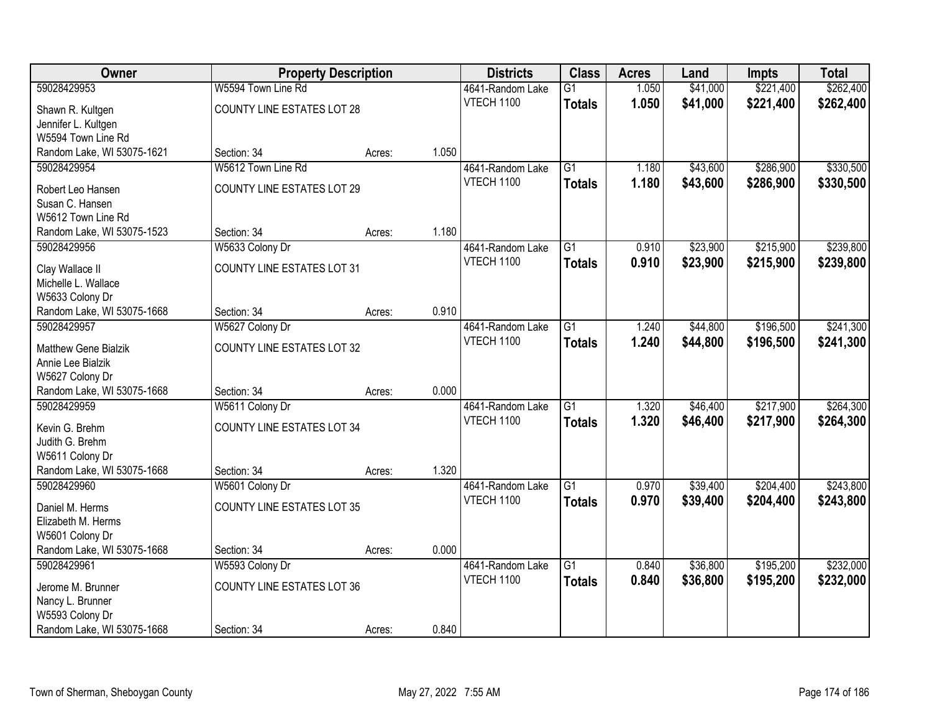| Owner                                         |                                   | <b>Property Description</b> |       | <b>Districts</b> | <b>Class</b>    | <b>Acres</b> | Land     | <b>Impts</b> | <b>Total</b> |
|-----------------------------------------------|-----------------------------------|-----------------------------|-------|------------------|-----------------|--------------|----------|--------------|--------------|
| 59028429953                                   | W5594 Town Line Rd                |                             |       | 4641-Random Lake | $\overline{G1}$ | 1.050        | \$41,000 | \$221,400    | \$262,400    |
| Shawn R. Kultgen                              | <b>COUNTY LINE ESTATES LOT 28</b> |                             |       | VTECH 1100       | <b>Totals</b>   | 1.050        | \$41,000 | \$221,400    | \$262,400    |
| Jennifer L. Kultgen                           |                                   |                             |       |                  |                 |              |          |              |              |
| W5594 Town Line Rd                            |                                   |                             |       |                  |                 |              |          |              |              |
| Random Lake, WI 53075-1621                    | Section: 34                       | Acres:                      | 1.050 |                  |                 |              |          |              |              |
| 59028429954                                   | W5612 Town Line Rd                |                             |       | 4641-Random Lake | $\overline{G1}$ | 1.180        | \$43,600 | \$286,900    | \$330,500    |
| Robert Leo Hansen                             | <b>COUNTY LINE ESTATES LOT 29</b> |                             |       | VTECH 1100       | <b>Totals</b>   | 1.180        | \$43,600 | \$286,900    | \$330,500    |
| Susan C. Hansen                               |                                   |                             |       |                  |                 |              |          |              |              |
| W5612 Town Line Rd                            |                                   |                             |       |                  |                 |              |          |              |              |
| Random Lake, WI 53075-1523                    | Section: 34                       | Acres:                      | 1.180 |                  |                 |              |          |              |              |
| 59028429956                                   | W5633 Colony Dr                   |                             |       | 4641-Random Lake | $\overline{G1}$ | 0.910        | \$23,900 | \$215,900    | \$239,800    |
| Clay Wallace II                               | <b>COUNTY LINE ESTATES LOT 31</b> |                             |       | VTECH 1100       | <b>Totals</b>   | 0.910        | \$23,900 | \$215,900    | \$239,800    |
| Michelle L. Wallace                           |                                   |                             |       |                  |                 |              |          |              |              |
| W5633 Colony Dr                               |                                   |                             |       |                  |                 |              |          |              |              |
| Random Lake, WI 53075-1668                    | Section: 34                       | Acres:                      | 0.910 |                  |                 |              |          |              |              |
| 59028429957                                   | W5627 Colony Dr                   |                             |       | 4641-Random Lake | $\overline{G1}$ | 1.240        | \$44,800 | \$196,500    | \$241,300    |
| <b>Matthew Gene Bialzik</b>                   | <b>COUNTY LINE ESTATES LOT 32</b> |                             |       | VTECH 1100       | <b>Totals</b>   | 1.240        | \$44,800 | \$196,500    | \$241,300    |
| Annie Lee Bialzik                             |                                   |                             |       |                  |                 |              |          |              |              |
| W5627 Colony Dr                               |                                   |                             |       |                  |                 |              |          |              |              |
| Random Lake, WI 53075-1668                    | Section: 34                       | Acres:                      | 0.000 |                  |                 |              |          |              |              |
| 59028429959                                   | W5611 Colony Dr                   |                             |       | 4641-Random Lake | $\overline{G1}$ | 1.320        | \$46,400 | \$217,900    | \$264,300    |
|                                               | <b>COUNTY LINE ESTATES LOT 34</b> |                             |       | VTECH 1100       | <b>Totals</b>   | 1.320        | \$46,400 | \$217,900    | \$264,300    |
| Kevin G. Brehm<br>Judith G. Brehm             |                                   |                             |       |                  |                 |              |          |              |              |
| W5611 Colony Dr                               |                                   |                             |       |                  |                 |              |          |              |              |
| Random Lake, WI 53075-1668                    | Section: 34                       | Acres:                      | 1.320 |                  |                 |              |          |              |              |
| 59028429960                                   | W5601 Colony Dr                   |                             |       | 4641-Random Lake | $\overline{G1}$ | 0.970        | \$39,400 | \$204,400    | \$243,800    |
|                                               |                                   |                             |       | VTECH 1100       | <b>Totals</b>   | 0.970        | \$39,400 | \$204,400    | \$243,800    |
| Daniel M. Herms                               | <b>COUNTY LINE ESTATES LOT 35</b> |                             |       |                  |                 |              |          |              |              |
| Elizabeth M. Herms<br>W5601 Colony Dr         |                                   |                             |       |                  |                 |              |          |              |              |
| Random Lake, WI 53075-1668                    | Section: 34                       | Acres:                      | 0.000 |                  |                 |              |          |              |              |
| 59028429961                                   | W5593 Colony Dr                   |                             |       | 4641-Random Lake | $\overline{G1}$ | 0.840        | \$36,800 | \$195,200    | \$232,000    |
|                                               |                                   |                             |       | VTECH 1100       | <b>Totals</b>   | 0.840        | \$36,800 | \$195,200    | \$232,000    |
| Jerome M. Brunner                             | <b>COUNTY LINE ESTATES LOT 36</b> |                             |       |                  |                 |              |          |              |              |
| Nancy L. Brunner                              |                                   |                             |       |                  |                 |              |          |              |              |
| W5593 Colony Dr<br>Random Lake, WI 53075-1668 | Section: 34                       | Acres:                      | 0.840 |                  |                 |              |          |              |              |
|                                               |                                   |                             |       |                  |                 |              |          |              |              |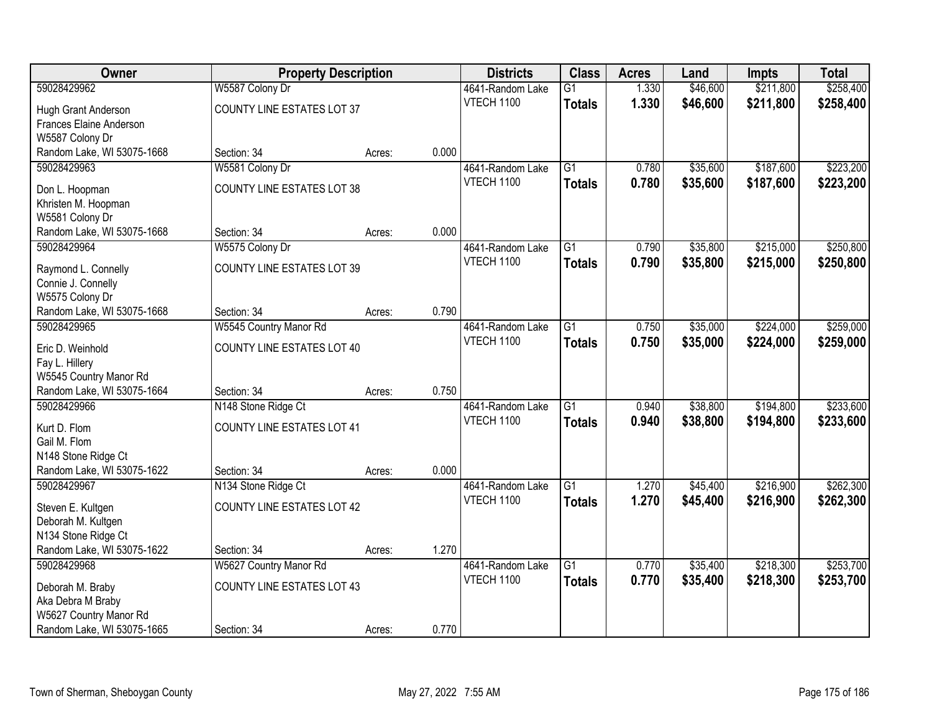| \$211,800<br>\$258,400<br>59028429962<br>W5587 Colony Dr<br>$\overline{G1}$<br>1.330<br>\$46,600<br>4641-Random Lake<br>1.330<br><b>VTECH 1100</b><br>\$46,600<br>\$211,800<br>\$258,400<br><b>Totals</b><br><b>COUNTY LINE ESTATES LOT 37</b><br>Hugh Grant Anderson<br>Frances Elaine Anderson<br>W5587 Colony Dr<br>Random Lake, WI 53075-1668<br>0.000<br>Section: 34<br>Acres:<br>\$223,200<br>59028429963<br>W5581 Colony Dr<br>\$35,600<br>\$187,600<br>4641-Random Lake<br>$\overline{G1}$<br>0.780<br>\$187,600<br>VTECH 1100<br>0.780<br>\$35,600<br>\$223,200<br><b>Totals</b><br><b>COUNTY LINE ESTATES LOT 38</b><br>Don L. Hoopman<br>Khristen M. Hoopman<br>W5581 Colony Dr<br>Random Lake, WI 53075-1668<br>Section: 34<br>0.000<br>Acres:<br>$\overline{G1}$<br>\$35,800<br>\$215,000<br>\$250,800<br>59028429964<br>W5575 Colony Dr<br>4641-Random Lake<br>0.790<br>VTECH 1100<br>\$35,800<br>0.790<br>\$215,000<br>\$250,800<br><b>Totals</b><br><b>COUNTY LINE ESTATES LOT 39</b><br>Raymond L. Connelly<br>Connie J. Connelly<br>W5575 Colony Dr<br>0.790<br>Random Lake, WI 53075-1668<br>Section: 34<br>Acres:<br>$\overline{G1}$<br>\$35,000<br>\$224,000<br>\$259,000<br>59028429965<br>W5545 Country Manor Rd<br>4641-Random Lake<br>0.750<br>VTECH 1100<br>0.750<br>\$35,000<br>\$224,000<br>\$259,000<br><b>Totals</b><br><b>COUNTY LINE ESTATES LOT 40</b><br>Eric D. Weinhold<br>Fay L. Hillery<br>W5545 Country Manor Rd<br>0.750<br>Random Lake, WI 53075-1664<br>Section: 34<br>Acres:<br>$\overline{G1}$<br>\$233,600<br>59028429966<br>N148 Stone Ridge Ct<br>\$38,800<br>\$194,800<br>4641-Random Lake<br>0.940<br>VTECH 1100<br>\$38,800<br>\$194,800<br>\$233,600<br>0.940<br><b>Totals</b><br><b>COUNTY LINE ESTATES LOT 41</b><br>Kurt D. Flom<br>Gail M. Flom<br>N148 Stone Ridge Ct<br>Random Lake, WI 53075-1622<br>0.000<br>Section: 34<br>Acres:<br>\$216,900<br>\$262,300<br>59028429967<br>N134 Stone Ridge Ct<br>$\overline{G1}$<br>\$45,400<br>4641-Random Lake<br>1.270<br>VTECH 1100<br>1.270<br>\$45,400<br>\$216,900<br>\$262,300<br><b>Totals</b><br><b>COUNTY LINE ESTATES LOT 42</b><br>Steven E. Kultgen<br>Deborah M. Kultgen |
|-----------------------------------------------------------------------------------------------------------------------------------------------------------------------------------------------------------------------------------------------------------------------------------------------------------------------------------------------------------------------------------------------------------------------------------------------------------------------------------------------------------------------------------------------------------------------------------------------------------------------------------------------------------------------------------------------------------------------------------------------------------------------------------------------------------------------------------------------------------------------------------------------------------------------------------------------------------------------------------------------------------------------------------------------------------------------------------------------------------------------------------------------------------------------------------------------------------------------------------------------------------------------------------------------------------------------------------------------------------------------------------------------------------------------------------------------------------------------------------------------------------------------------------------------------------------------------------------------------------------------------------------------------------------------------------------------------------------------------------------------------------------------------------------------------------------------------------------------------------------------------------------------------------------------------------------------------------------------------------------------------------------------------------------------------------------------------------------------------------------------------------------------------------------------------------------|
|                                                                                                                                                                                                                                                                                                                                                                                                                                                                                                                                                                                                                                                                                                                                                                                                                                                                                                                                                                                                                                                                                                                                                                                                                                                                                                                                                                                                                                                                                                                                                                                                                                                                                                                                                                                                                                                                                                                                                                                                                                                                                                                                                                                         |
|                                                                                                                                                                                                                                                                                                                                                                                                                                                                                                                                                                                                                                                                                                                                                                                                                                                                                                                                                                                                                                                                                                                                                                                                                                                                                                                                                                                                                                                                                                                                                                                                                                                                                                                                                                                                                                                                                                                                                                                                                                                                                                                                                                                         |
|                                                                                                                                                                                                                                                                                                                                                                                                                                                                                                                                                                                                                                                                                                                                                                                                                                                                                                                                                                                                                                                                                                                                                                                                                                                                                                                                                                                                                                                                                                                                                                                                                                                                                                                                                                                                                                                                                                                                                                                                                                                                                                                                                                                         |
|                                                                                                                                                                                                                                                                                                                                                                                                                                                                                                                                                                                                                                                                                                                                                                                                                                                                                                                                                                                                                                                                                                                                                                                                                                                                                                                                                                                                                                                                                                                                                                                                                                                                                                                                                                                                                                                                                                                                                                                                                                                                                                                                                                                         |
|                                                                                                                                                                                                                                                                                                                                                                                                                                                                                                                                                                                                                                                                                                                                                                                                                                                                                                                                                                                                                                                                                                                                                                                                                                                                                                                                                                                                                                                                                                                                                                                                                                                                                                                                                                                                                                                                                                                                                                                                                                                                                                                                                                                         |
|                                                                                                                                                                                                                                                                                                                                                                                                                                                                                                                                                                                                                                                                                                                                                                                                                                                                                                                                                                                                                                                                                                                                                                                                                                                                                                                                                                                                                                                                                                                                                                                                                                                                                                                                                                                                                                                                                                                                                                                                                                                                                                                                                                                         |
|                                                                                                                                                                                                                                                                                                                                                                                                                                                                                                                                                                                                                                                                                                                                                                                                                                                                                                                                                                                                                                                                                                                                                                                                                                                                                                                                                                                                                                                                                                                                                                                                                                                                                                                                                                                                                                                                                                                                                                                                                                                                                                                                                                                         |
|                                                                                                                                                                                                                                                                                                                                                                                                                                                                                                                                                                                                                                                                                                                                                                                                                                                                                                                                                                                                                                                                                                                                                                                                                                                                                                                                                                                                                                                                                                                                                                                                                                                                                                                                                                                                                                                                                                                                                                                                                                                                                                                                                                                         |
|                                                                                                                                                                                                                                                                                                                                                                                                                                                                                                                                                                                                                                                                                                                                                                                                                                                                                                                                                                                                                                                                                                                                                                                                                                                                                                                                                                                                                                                                                                                                                                                                                                                                                                                                                                                                                                                                                                                                                                                                                                                                                                                                                                                         |
|                                                                                                                                                                                                                                                                                                                                                                                                                                                                                                                                                                                                                                                                                                                                                                                                                                                                                                                                                                                                                                                                                                                                                                                                                                                                                                                                                                                                                                                                                                                                                                                                                                                                                                                                                                                                                                                                                                                                                                                                                                                                                                                                                                                         |
|                                                                                                                                                                                                                                                                                                                                                                                                                                                                                                                                                                                                                                                                                                                                                                                                                                                                                                                                                                                                                                                                                                                                                                                                                                                                                                                                                                                                                                                                                                                                                                                                                                                                                                                                                                                                                                                                                                                                                                                                                                                                                                                                                                                         |
|                                                                                                                                                                                                                                                                                                                                                                                                                                                                                                                                                                                                                                                                                                                                                                                                                                                                                                                                                                                                                                                                                                                                                                                                                                                                                                                                                                                                                                                                                                                                                                                                                                                                                                                                                                                                                                                                                                                                                                                                                                                                                                                                                                                         |
|                                                                                                                                                                                                                                                                                                                                                                                                                                                                                                                                                                                                                                                                                                                                                                                                                                                                                                                                                                                                                                                                                                                                                                                                                                                                                                                                                                                                                                                                                                                                                                                                                                                                                                                                                                                                                                                                                                                                                                                                                                                                                                                                                                                         |
|                                                                                                                                                                                                                                                                                                                                                                                                                                                                                                                                                                                                                                                                                                                                                                                                                                                                                                                                                                                                                                                                                                                                                                                                                                                                                                                                                                                                                                                                                                                                                                                                                                                                                                                                                                                                                                                                                                                                                                                                                                                                                                                                                                                         |
|                                                                                                                                                                                                                                                                                                                                                                                                                                                                                                                                                                                                                                                                                                                                                                                                                                                                                                                                                                                                                                                                                                                                                                                                                                                                                                                                                                                                                                                                                                                                                                                                                                                                                                                                                                                                                                                                                                                                                                                                                                                                                                                                                                                         |
|                                                                                                                                                                                                                                                                                                                                                                                                                                                                                                                                                                                                                                                                                                                                                                                                                                                                                                                                                                                                                                                                                                                                                                                                                                                                                                                                                                                                                                                                                                                                                                                                                                                                                                                                                                                                                                                                                                                                                                                                                                                                                                                                                                                         |
|                                                                                                                                                                                                                                                                                                                                                                                                                                                                                                                                                                                                                                                                                                                                                                                                                                                                                                                                                                                                                                                                                                                                                                                                                                                                                                                                                                                                                                                                                                                                                                                                                                                                                                                                                                                                                                                                                                                                                                                                                                                                                                                                                                                         |
|                                                                                                                                                                                                                                                                                                                                                                                                                                                                                                                                                                                                                                                                                                                                                                                                                                                                                                                                                                                                                                                                                                                                                                                                                                                                                                                                                                                                                                                                                                                                                                                                                                                                                                                                                                                                                                                                                                                                                                                                                                                                                                                                                                                         |
|                                                                                                                                                                                                                                                                                                                                                                                                                                                                                                                                                                                                                                                                                                                                                                                                                                                                                                                                                                                                                                                                                                                                                                                                                                                                                                                                                                                                                                                                                                                                                                                                                                                                                                                                                                                                                                                                                                                                                                                                                                                                                                                                                                                         |
|                                                                                                                                                                                                                                                                                                                                                                                                                                                                                                                                                                                                                                                                                                                                                                                                                                                                                                                                                                                                                                                                                                                                                                                                                                                                                                                                                                                                                                                                                                                                                                                                                                                                                                                                                                                                                                                                                                                                                                                                                                                                                                                                                                                         |
|                                                                                                                                                                                                                                                                                                                                                                                                                                                                                                                                                                                                                                                                                                                                                                                                                                                                                                                                                                                                                                                                                                                                                                                                                                                                                                                                                                                                                                                                                                                                                                                                                                                                                                                                                                                                                                                                                                                                                                                                                                                                                                                                                                                         |
|                                                                                                                                                                                                                                                                                                                                                                                                                                                                                                                                                                                                                                                                                                                                                                                                                                                                                                                                                                                                                                                                                                                                                                                                                                                                                                                                                                                                                                                                                                                                                                                                                                                                                                                                                                                                                                                                                                                                                                                                                                                                                                                                                                                         |
|                                                                                                                                                                                                                                                                                                                                                                                                                                                                                                                                                                                                                                                                                                                                                                                                                                                                                                                                                                                                                                                                                                                                                                                                                                                                                                                                                                                                                                                                                                                                                                                                                                                                                                                                                                                                                                                                                                                                                                                                                                                                                                                                                                                         |
|                                                                                                                                                                                                                                                                                                                                                                                                                                                                                                                                                                                                                                                                                                                                                                                                                                                                                                                                                                                                                                                                                                                                                                                                                                                                                                                                                                                                                                                                                                                                                                                                                                                                                                                                                                                                                                                                                                                                                                                                                                                                                                                                                                                         |
|                                                                                                                                                                                                                                                                                                                                                                                                                                                                                                                                                                                                                                                                                                                                                                                                                                                                                                                                                                                                                                                                                                                                                                                                                                                                                                                                                                                                                                                                                                                                                                                                                                                                                                                                                                                                                                                                                                                                                                                                                                                                                                                                                                                         |
|                                                                                                                                                                                                                                                                                                                                                                                                                                                                                                                                                                                                                                                                                                                                                                                                                                                                                                                                                                                                                                                                                                                                                                                                                                                                                                                                                                                                                                                                                                                                                                                                                                                                                                                                                                                                                                                                                                                                                                                                                                                                                                                                                                                         |
|                                                                                                                                                                                                                                                                                                                                                                                                                                                                                                                                                                                                                                                                                                                                                                                                                                                                                                                                                                                                                                                                                                                                                                                                                                                                                                                                                                                                                                                                                                                                                                                                                                                                                                                                                                                                                                                                                                                                                                                                                                                                                                                                                                                         |
|                                                                                                                                                                                                                                                                                                                                                                                                                                                                                                                                                                                                                                                                                                                                                                                                                                                                                                                                                                                                                                                                                                                                                                                                                                                                                                                                                                                                                                                                                                                                                                                                                                                                                                                                                                                                                                                                                                                                                                                                                                                                                                                                                                                         |
| N134 Stone Ridge Ct                                                                                                                                                                                                                                                                                                                                                                                                                                                                                                                                                                                                                                                                                                                                                                                                                                                                                                                                                                                                                                                                                                                                                                                                                                                                                                                                                                                                                                                                                                                                                                                                                                                                                                                                                                                                                                                                                                                                                                                                                                                                                                                                                                     |
| Random Lake, WI 53075-1622<br>1.270<br>Section: 34<br>Acres:                                                                                                                                                                                                                                                                                                                                                                                                                                                                                                                                                                                                                                                                                                                                                                                                                                                                                                                                                                                                                                                                                                                                                                                                                                                                                                                                                                                                                                                                                                                                                                                                                                                                                                                                                                                                                                                                                                                                                                                                                                                                                                                            |
| W5627 Country Manor Rd<br>$\overline{G1}$<br>\$218,300<br>\$253,700<br>59028429968<br>0.770<br>\$35,400<br>4641-Random Lake                                                                                                                                                                                                                                                                                                                                                                                                                                                                                                                                                                                                                                                                                                                                                                                                                                                                                                                                                                                                                                                                                                                                                                                                                                                                                                                                                                                                                                                                                                                                                                                                                                                                                                                                                                                                                                                                                                                                                                                                                                                             |
| VTECH 1100<br>0.770<br>\$35,400<br>\$218,300<br>\$253,700<br><b>Totals</b>                                                                                                                                                                                                                                                                                                                                                                                                                                                                                                                                                                                                                                                                                                                                                                                                                                                                                                                                                                                                                                                                                                                                                                                                                                                                                                                                                                                                                                                                                                                                                                                                                                                                                                                                                                                                                                                                                                                                                                                                                                                                                                              |
| <b>COUNTY LINE ESTATES LOT 43</b><br>Deborah M. Braby                                                                                                                                                                                                                                                                                                                                                                                                                                                                                                                                                                                                                                                                                                                                                                                                                                                                                                                                                                                                                                                                                                                                                                                                                                                                                                                                                                                                                                                                                                                                                                                                                                                                                                                                                                                                                                                                                                                                                                                                                                                                                                                                   |
| Aka Debra M Braby<br>W5627 Country Manor Rd                                                                                                                                                                                                                                                                                                                                                                                                                                                                                                                                                                                                                                                                                                                                                                                                                                                                                                                                                                                                                                                                                                                                                                                                                                                                                                                                                                                                                                                                                                                                                                                                                                                                                                                                                                                                                                                                                                                                                                                                                                                                                                                                             |
| 0.770<br>Random Lake, WI 53075-1665<br>Section: 34<br>Acres:                                                                                                                                                                                                                                                                                                                                                                                                                                                                                                                                                                                                                                                                                                                                                                                                                                                                                                                                                                                                                                                                                                                                                                                                                                                                                                                                                                                                                                                                                                                                                                                                                                                                                                                                                                                                                                                                                                                                                                                                                                                                                                                            |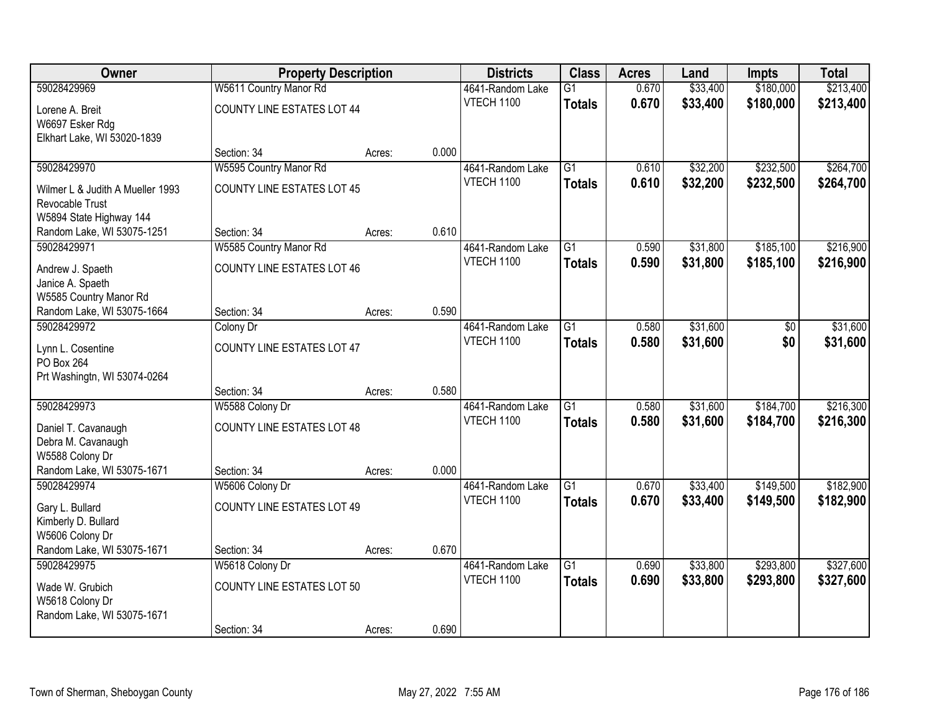| Owner                            |                                   | <b>Property Description</b> |       | <b>Districts</b>  | <b>Class</b>    | <b>Acres</b> | Land     | <b>Impts</b> | <b>Total</b> |
|----------------------------------|-----------------------------------|-----------------------------|-------|-------------------|-----------------|--------------|----------|--------------|--------------|
| 59028429969                      | W5611 Country Manor Rd            |                             |       | 4641-Random Lake  | $\overline{G1}$ | 0.670        | \$33,400 | \$180,000    | \$213,400    |
| Lorene A. Breit                  | <b>COUNTY LINE ESTATES LOT 44</b> |                             |       | VTECH 1100        | <b>Totals</b>   | 0.670        | \$33,400 | \$180,000    | \$213,400    |
| W6697 Esker Rdg                  |                                   |                             |       |                   |                 |              |          |              |              |
| Elkhart Lake, WI 53020-1839      |                                   |                             |       |                   |                 |              |          |              |              |
|                                  | Section: 34                       | Acres:                      | 0.000 |                   |                 |              |          |              |              |
| 59028429970                      | W5595 Country Manor Rd            |                             |       | 4641-Random Lake  | $\overline{G1}$ | 0.610        | \$32,200 | \$232,500    | \$264,700    |
| Wilmer L & Judith A Mueller 1993 | <b>COUNTY LINE ESTATES LOT 45</b> |                             |       | <b>VTECH 1100</b> | <b>Totals</b>   | 0.610        | \$32,200 | \$232,500    | \$264,700    |
| Revocable Trust                  |                                   |                             |       |                   |                 |              |          |              |              |
| W5894 State Highway 144          |                                   |                             |       |                   |                 |              |          |              |              |
| Random Lake, WI 53075-1251       | Section: 34                       | Acres:                      | 0.610 |                   |                 |              |          |              |              |
| 59028429971                      | W5585 Country Manor Rd            |                             |       | 4641-Random Lake  | $\overline{G1}$ | 0.590        | \$31,800 | \$185,100    | \$216,900    |
| Andrew J. Spaeth                 | <b>COUNTY LINE ESTATES LOT 46</b> |                             |       | VTECH 1100        | <b>Totals</b>   | 0.590        | \$31,800 | \$185,100    | \$216,900    |
| Janice A. Spaeth                 |                                   |                             |       |                   |                 |              |          |              |              |
| W5585 Country Manor Rd           |                                   |                             |       |                   |                 |              |          |              |              |
| Random Lake, WI 53075-1664       | Section: 34                       | Acres:                      | 0.590 |                   |                 |              |          |              |              |
| 59028429972                      | Colony Dr                         |                             |       | 4641-Random Lake  | $\overline{G1}$ | 0.580        | \$31,600 | \$0          | \$31,600     |
| Lynn L. Cosentine                | <b>COUNTY LINE ESTATES LOT 47</b> |                             |       | VTECH 1100        | <b>Totals</b>   | 0.580        | \$31,600 | \$0          | \$31,600     |
| PO Box 264                       |                                   |                             |       |                   |                 |              |          |              |              |
| Prt Washingtn, WI 53074-0264     |                                   |                             |       |                   |                 |              |          |              |              |
|                                  | Section: 34                       | Acres:                      | 0.580 |                   |                 |              |          |              |              |
| 59028429973                      | W5588 Colony Dr                   |                             |       | 4641-Random Lake  | $\overline{G1}$ | 0.580        | \$31,600 | \$184,700    | \$216,300    |
| Daniel T. Cavanaugh              | <b>COUNTY LINE ESTATES LOT 48</b> |                             |       | VTECH 1100        | <b>Totals</b>   | 0.580        | \$31,600 | \$184,700    | \$216,300    |
| Debra M. Cavanaugh               |                                   |                             |       |                   |                 |              |          |              |              |
| W5588 Colony Dr                  |                                   |                             |       |                   |                 |              |          |              |              |
| Random Lake, WI 53075-1671       | Section: 34                       | Acres:                      | 0.000 |                   |                 |              |          |              |              |
| 59028429974                      | W5606 Colony Dr                   |                             |       | 4641-Random Lake  | $\overline{G1}$ | 0.670        | \$33,400 | \$149,500    | \$182,900    |
| Gary L. Bullard                  | <b>COUNTY LINE ESTATES LOT 49</b> |                             |       | VTECH 1100        | <b>Totals</b>   | 0.670        | \$33,400 | \$149,500    | \$182,900    |
| Kimberly D. Bullard              |                                   |                             |       |                   |                 |              |          |              |              |
| W5606 Colony Dr                  |                                   |                             |       |                   |                 |              |          |              |              |
| Random Lake, WI 53075-1671       | Section: 34                       | Acres:                      | 0.670 |                   |                 |              |          |              |              |
| 59028429975                      | W5618 Colony Dr                   |                             |       | 4641-Random Lake  | $\overline{G1}$ | 0.690        | \$33,800 | \$293,800    | \$327,600    |
| Wade W. Grubich                  | <b>COUNTY LINE ESTATES LOT 50</b> |                             |       | VTECH 1100        | <b>Totals</b>   | 0.690        | \$33,800 | \$293,800    | \$327,600    |
| W5618 Colony Dr                  |                                   |                             |       |                   |                 |              |          |              |              |
| Random Lake, WI 53075-1671       |                                   |                             |       |                   |                 |              |          |              |              |
|                                  | Section: 34                       | Acres:                      | 0.690 |                   |                 |              |          |              |              |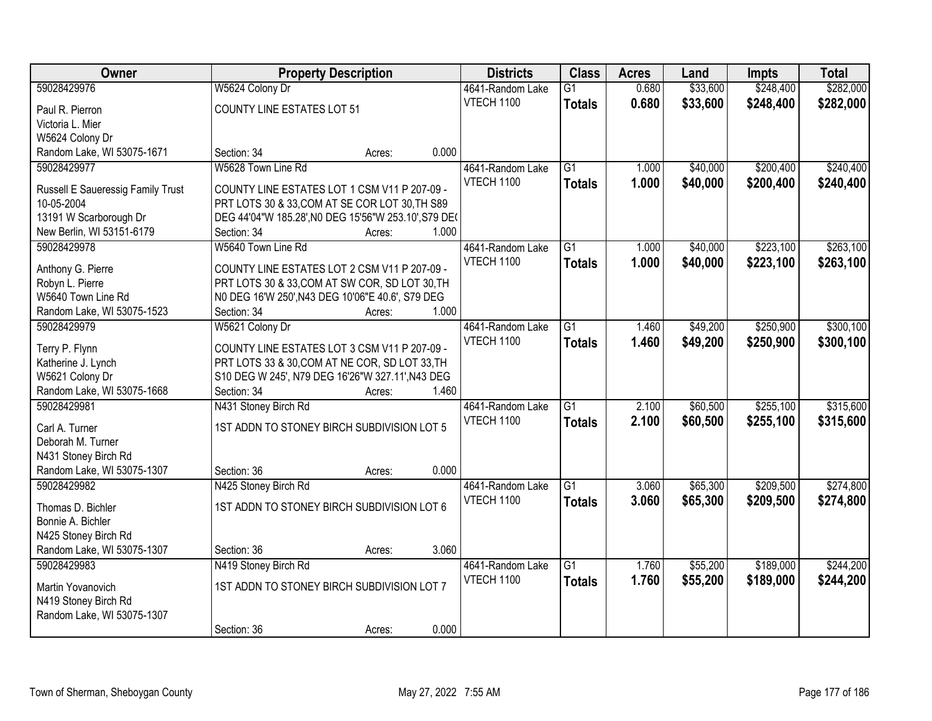| Owner                                         | <b>Property Description</b>                                                                        | <b>Districts</b>  | <b>Class</b>    | <b>Acres</b> | Land     | <b>Impts</b> | <b>Total</b> |
|-----------------------------------------------|----------------------------------------------------------------------------------------------------|-------------------|-----------------|--------------|----------|--------------|--------------|
| 59028429976                                   | W5624 Colony Dr                                                                                    | 4641-Random Lake  | $\overline{G1}$ | 0.680        | \$33,600 | \$248,400    | \$282,000    |
| Paul R. Pierron                               | <b>COUNTY LINE ESTATES LOT 51</b>                                                                  | <b>VTECH 1100</b> | <b>Totals</b>   | 0.680        | \$33,600 | \$248,400    | \$282,000    |
| Victoria L. Mier                              |                                                                                                    |                   |                 |              |          |              |              |
| W5624 Colony Dr                               |                                                                                                    |                   |                 |              |          |              |              |
| Random Lake, WI 53075-1671                    | Section: 34<br>Acres:                                                                              | 0.000             |                 |              |          |              |              |
| 59028429977                                   | W5628 Town Line Rd                                                                                 | 4641-Random Lake  | $\overline{G1}$ | 1.000        | \$40,000 | \$200,400    | \$240,400    |
|                                               |                                                                                                    | <b>VTECH 1100</b> | <b>Totals</b>   | 1.000        | \$40,000 | \$200,400    | \$240,400    |
| Russell E Saueressig Family Trust             | COUNTY LINE ESTATES LOT 1 CSM V11 P 207-09 -                                                       |                   |                 |              |          |              |              |
| 10-05-2004                                    | PRT LOTS 30 & 33, COM AT SE COR LOT 30, TH S89                                                     |                   |                 |              |          |              |              |
| 13191 W Scarborough Dr                        | DEG 44'04"W 185.28', N0 DEG 15'56"W 253.10', S79 DE(                                               |                   |                 |              |          |              |              |
| New Berlin, WI 53151-6179                     | Section: 34<br>Acres:                                                                              | 1.000             |                 |              |          |              |              |
| 59028429978                                   | W5640 Town Line Rd                                                                                 | 4641-Random Lake  | $\overline{G1}$ | 1.000        | \$40,000 | \$223,100    | \$263,100    |
| Anthony G. Pierre                             | COUNTY LINE ESTATES LOT 2 CSM V11 P 207-09 -                                                       | <b>VTECH 1100</b> | <b>Totals</b>   | 1.000        | \$40,000 | \$223,100    | \$263,100    |
| Robyn L. Pierre                               | PRT LOTS 30 & 33, COM AT SW COR, SD LOT 30, TH                                                     |                   |                 |              |          |              |              |
| W5640 Town Line Rd                            | NO DEG 16'W 250', N43 DEG 10'06"E 40.6', S79 DEG                                                   |                   |                 |              |          |              |              |
| Random Lake, WI 53075-1523                    | Section: 34<br>Acres:                                                                              | 1.000             |                 |              |          |              |              |
| 59028429979                                   | W5621 Colony Dr                                                                                    | 4641-Random Lake  | $\overline{G1}$ | 1.460        | \$49,200 | \$250,900    | \$300,100    |
|                                               |                                                                                                    | <b>VTECH 1100</b> | <b>Totals</b>   | 1.460        | \$49,200 | \$250,900    | \$300,100    |
| Terry P. Flynn                                | COUNTY LINE ESTATES LOT 3 CSM V11 P 207-09 -                                                       |                   |                 |              |          |              |              |
| Katherine J. Lynch                            | PRT LOTS 33 & 30, COM AT NE COR, SD LOT 33, TH<br>S10 DEG W 245', N79 DEG 16'26"W 327.11', N43 DEG |                   |                 |              |          |              |              |
| W5621 Colony Dr<br>Random Lake, WI 53075-1668 | Section: 34                                                                                        | 1.460             |                 |              |          |              |              |
| 59028429981                                   | Acres:<br>N431 Stoney Birch Rd                                                                     | 4641-Random Lake  | $\overline{G1}$ | 2.100        | \$60,500 | \$255,100    | \$315,600    |
|                                               |                                                                                                    | VTECH 1100        |                 |              |          |              |              |
| Carl A. Turner                                | 1ST ADDN TO STONEY BIRCH SUBDIVISION LOT 5                                                         |                   | <b>Totals</b>   | 2.100        | \$60,500 | \$255,100    | \$315,600    |
| Deborah M. Turner                             |                                                                                                    |                   |                 |              |          |              |              |
| N431 Stoney Birch Rd                          |                                                                                                    |                   |                 |              |          |              |              |
| Random Lake, WI 53075-1307                    | Section: 36<br>Acres:                                                                              | 0.000             |                 |              |          |              |              |
| 59028429982                                   | N425 Stoney Birch Rd                                                                               | 4641-Random Lake  | $\overline{G1}$ | 3.060        | \$65,300 | \$209,500    | \$274,800    |
| Thomas D. Bichler                             | 1ST ADDN TO STONEY BIRCH SUBDIVISION LOT 6                                                         | VTECH 1100        | <b>Totals</b>   | 3.060        | \$65,300 | \$209,500    | \$274,800    |
| Bonnie A. Bichler                             |                                                                                                    |                   |                 |              |          |              |              |
| N425 Stoney Birch Rd                          |                                                                                                    |                   |                 |              |          |              |              |
| Random Lake, WI 53075-1307                    | Section: 36<br>Acres:                                                                              | 3.060             |                 |              |          |              |              |
| 59028429983                                   | N419 Stoney Birch Rd                                                                               | 4641-Random Lake  | $\overline{G1}$ | 1.760        | \$55,200 | \$189,000    | \$244,200    |
|                                               |                                                                                                    | <b>VTECH 1100</b> | <b>Totals</b>   | 1.760        | \$55,200 | \$189,000    | \$244,200    |
| Martin Yovanovich                             | 1ST ADDN TO STONEY BIRCH SUBDIVISION LOT 7                                                         |                   |                 |              |          |              |              |
| N419 Stoney Birch Rd                          |                                                                                                    |                   |                 |              |          |              |              |
| Random Lake, WI 53075-1307                    |                                                                                                    |                   |                 |              |          |              |              |
|                                               | Section: 36<br>Acres:                                                                              | 0.000             |                 |              |          |              |              |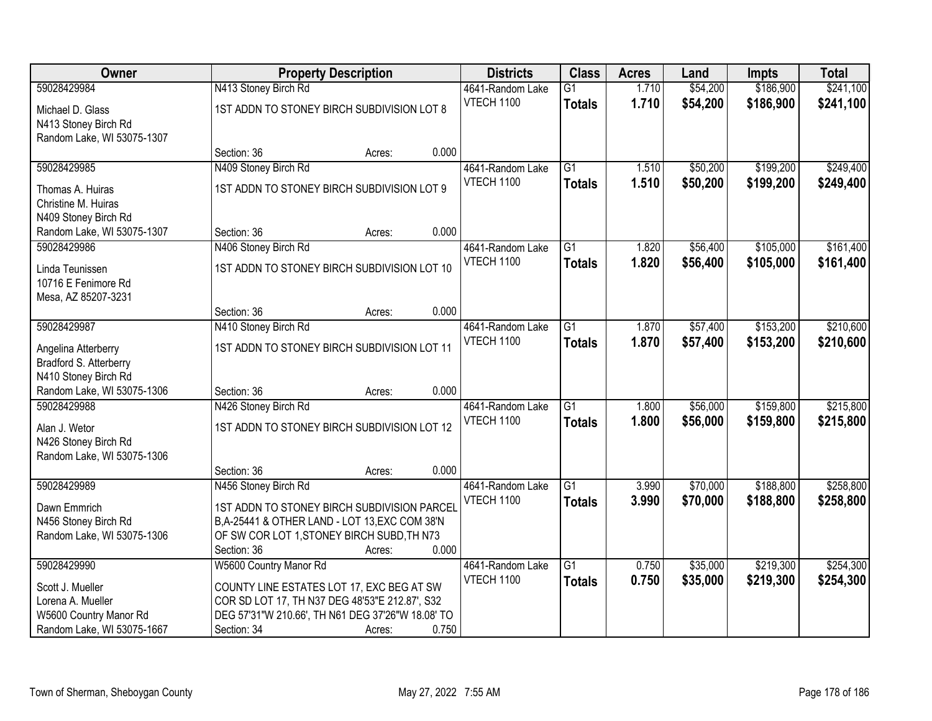| <b>Owner</b>                                                                       | <b>Property Description</b>                                                                                           | <b>Districts</b>               | <b>Class</b>                     | <b>Acres</b>   | Land                 | <b>Impts</b>           | <b>Total</b>           |
|------------------------------------------------------------------------------------|-----------------------------------------------------------------------------------------------------------------------|--------------------------------|----------------------------------|----------------|----------------------|------------------------|------------------------|
| 59028429984                                                                        | N413 Stoney Birch Rd                                                                                                  | 4641-Random Lake               | $\overline{G1}$                  | 1.710          | \$54,200             | \$186,900              | \$241,100              |
| Michael D. Glass<br>N413 Stoney Birch Rd<br>Random Lake, WI 53075-1307             | 1ST ADDN TO STONEY BIRCH SUBDIVISION LOT 8                                                                            | VTECH 1100                     | <b>Totals</b>                    | 1.710          | \$54,200             | \$186,900              | \$241,100              |
|                                                                                    | Section: 36<br>Acres:                                                                                                 | 0.000                          |                                  |                |                      |                        |                        |
| 59028429985                                                                        | N409 Stoney Birch Rd                                                                                                  | 4641-Random Lake               | $\overline{G1}$                  | 1.510          | \$50,200             | \$199,200              | \$249,400              |
| Thomas A. Huiras<br>Christine M. Huiras<br>N409 Stoney Birch Rd                    | 1ST ADDN TO STONEY BIRCH SUBDIVISION LOT 9                                                                            | <b>VTECH 1100</b>              | <b>Totals</b>                    | 1.510          | \$50,200             | \$199,200              | \$249,400              |
| Random Lake, WI 53075-1307                                                         | Section: 36<br>Acres:                                                                                                 | 0.000                          |                                  |                |                      |                        |                        |
| 59028429986<br>Linda Teunissen<br>10716 E Fenimore Rd<br>Mesa, AZ 85207-3231       | N406 Stoney Birch Rd<br>1ST ADDN TO STONEY BIRCH SUBDIVISION LOT 10                                                   | 4641-Random Lake<br>VTECH 1100 | G1<br><b>Totals</b>              | 1.820<br>1.820 | \$56,400<br>\$56,400 | \$105,000<br>\$105,000 | \$161,400<br>\$161,400 |
|                                                                                    | Section: 36<br>Acres:                                                                                                 | 0.000                          |                                  |                |                      |                        |                        |
| 59028429987<br>Angelina Atterberry                                                 | N410 Stoney Birch Rd<br>1ST ADDN TO STONEY BIRCH SUBDIVISION LOT 11                                                   | 4641-Random Lake<br>VTECH 1100 | $\overline{G1}$<br><b>Totals</b> | 1.870<br>1.870 | \$57,400<br>\$57,400 | \$153,200<br>\$153,200 | \$210,600<br>\$210,600 |
| Bradford S. Atterberry<br>N410 Stoney Birch Rd                                     |                                                                                                                       |                                |                                  |                |                      |                        |                        |
| Random Lake, WI 53075-1306                                                         | Section: 36<br>Acres:                                                                                                 | 0.000                          |                                  |                |                      |                        |                        |
| 59028429988<br>Alan J. Wetor<br>N426 Stoney Birch Rd<br>Random Lake, WI 53075-1306 | N426 Stoney Birch Rd<br>1ST ADDN TO STONEY BIRCH SUBDIVISION LOT 12                                                   | 4641-Random Lake<br>VTECH 1100 | $\overline{G1}$<br><b>Totals</b> | 1.800<br>1.800 | \$56,000<br>\$56,000 | \$159,800<br>\$159,800 | \$215,800<br>\$215,800 |
|                                                                                    | Section: 36<br>Acres:                                                                                                 | 0.000                          |                                  |                |                      |                        |                        |
| 59028429989<br>Dawn Emmrich<br>N456 Stoney Birch Rd                                | N456 Stoney Birch Rd<br>1ST ADDN TO STONEY BIRCH SUBDIVISION PARCEL<br>B, A-25441 & OTHER LAND - LOT 13, EXC COM 38'N | 4641-Random Lake<br>VTECH 1100 | $\overline{G1}$<br><b>Totals</b> | 3.990<br>3.990 | \$70,000<br>\$70,000 | \$188,800<br>\$188,800 | \$258,800<br>\$258,800 |
| Random Lake, WI 53075-1306                                                         | OF SW COR LOT 1, STONEY BIRCH SUBD, TH N73<br>Section: 36<br>Acres:                                                   | 0.000                          |                                  |                |                      |                        |                        |
| 59028429990<br>Scott J. Mueller                                                    | W5600 Country Manor Rd<br>COUNTY LINE ESTATES LOT 17, EXC BEG AT SW                                                   | 4641-Random Lake<br>VTECH 1100 | $\overline{G1}$<br><b>Totals</b> | 0.750<br>0.750 | \$35,000<br>\$35,000 | \$219,300<br>\$219,300 | \$254,300<br>\$254,300 |
| Lorena A. Mueller<br>W5600 Country Manor Rd                                        | COR SD LOT 17, TH N37 DEG 48'53"E 212.87', S32<br>DEG 57'31"W 210.66', TH N61 DEG 37'26"W 18.08' TO                   |                                |                                  |                |                      |                        |                        |
| Random Lake, WI 53075-1667                                                         | Section: 34<br>Acres:                                                                                                 | 0.750                          |                                  |                |                      |                        |                        |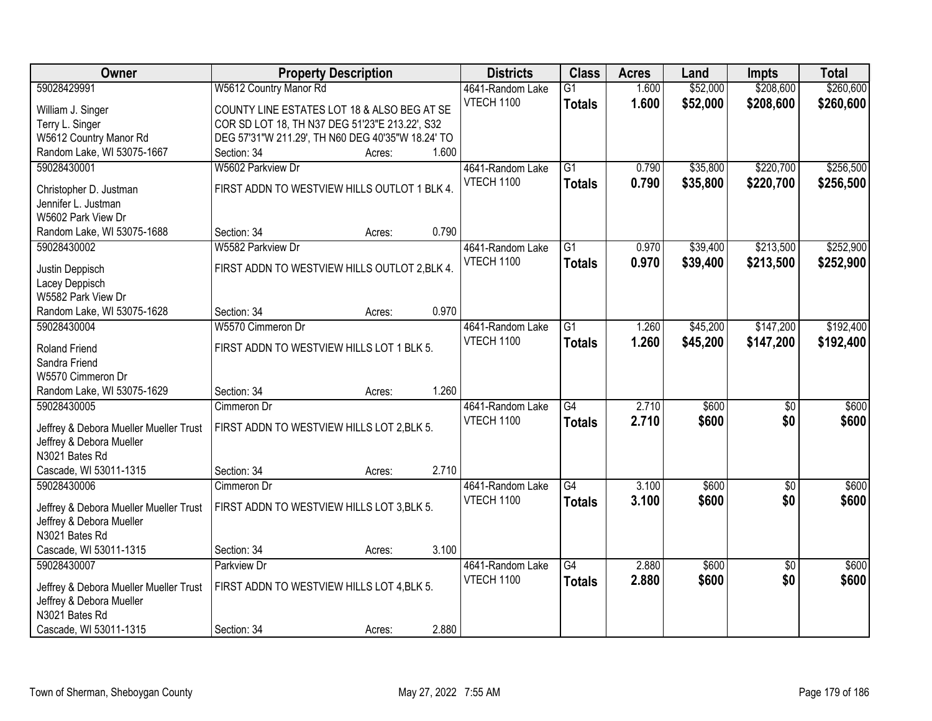| Owner                                      | <b>Property Description</b>                       |       | <b>Districts</b>  | <b>Class</b>    | <b>Acres</b> | Land     | <b>Impts</b>    | <b>Total</b> |
|--------------------------------------------|---------------------------------------------------|-------|-------------------|-----------------|--------------|----------|-----------------|--------------|
| 59028429991                                | W5612 Country Manor Rd                            |       | 4641-Random Lake  | $\overline{G1}$ | 1.600        | \$52,000 | \$208,600       | \$260,600    |
| William J. Singer                          | COUNTY LINE ESTATES LOT 18 & ALSO BEG AT SE       |       | <b>VTECH 1100</b> | <b>Totals</b>   | 1.600        | \$52,000 | \$208,600       | \$260,600    |
| Terry L. Singer                            | COR SD LOT 18, TH N37 DEG 51'23"E 213.22', S32    |       |                   |                 |              |          |                 |              |
| W5612 Country Manor Rd                     | DEG 57'31"W 211.29', TH N60 DEG 40'35"W 18.24' TO |       |                   |                 |              |          |                 |              |
| Random Lake, WI 53075-1667                 | Section: 34<br>Acres:                             | 1.600 |                   |                 |              |          |                 |              |
| 59028430001                                | W5602 Parkview Dr                                 |       | 4641-Random Lake  | $\overline{G1}$ | 0.790        | \$35,800 | \$220,700       | \$256,500    |
|                                            |                                                   |       | VTECH 1100        | <b>Totals</b>   | 0.790        | \$35,800 | \$220,700       | \$256,500    |
| Christopher D. Justman                     | FIRST ADDN TO WESTVIEW HILLS OUTLOT 1 BLK 4.      |       |                   |                 |              |          |                 |              |
| Jennifer L. Justman                        |                                                   |       |                   |                 |              |          |                 |              |
| W5602 Park View Dr                         |                                                   |       |                   |                 |              |          |                 |              |
| Random Lake, WI 53075-1688                 | Section: 34<br>Acres:                             | 0.790 |                   |                 |              |          |                 |              |
| 59028430002                                | W5582 Parkview Dr                                 |       | 4641-Random Lake  | $\overline{G1}$ | 0.970        | \$39,400 | \$213,500       | \$252,900    |
| Justin Deppisch                            | FIRST ADDN TO WESTVIEW HILLS OUTLOT 2, BLK 4.     |       | <b>VTECH 1100</b> | <b>Totals</b>   | 0.970        | \$39,400 | \$213,500       | \$252,900    |
| Lacey Deppisch                             |                                                   |       |                   |                 |              |          |                 |              |
| W5582 Park View Dr                         |                                                   |       |                   |                 |              |          |                 |              |
| Random Lake, WI 53075-1628                 | Section: 34<br>Acres:                             | 0.970 |                   |                 |              |          |                 |              |
| 59028430004                                | W5570 Cimmeron Dr                                 |       | 4641-Random Lake  | G1              | 1.260        | \$45,200 | \$147,200       | \$192,400    |
| Roland Friend                              | FIRST ADDN TO WESTVIEW HILLS LOT 1 BLK 5.         |       | VTECH 1100        | <b>Totals</b>   | 1.260        | \$45,200 | \$147,200       | \$192,400    |
| Sandra Friend                              |                                                   |       |                   |                 |              |          |                 |              |
| W5570 Cimmeron Dr                          |                                                   |       |                   |                 |              |          |                 |              |
| Random Lake, WI 53075-1629                 | Section: 34<br>Acres:                             | 1.260 |                   |                 |              |          |                 |              |
| 59028430005                                | Cimmeron Dr                                       |       | 4641-Random Lake  | G4              | 2.710        | \$600    | $\overline{50}$ | \$600        |
|                                            |                                                   |       | VTECH 1100        | <b>Totals</b>   | 2.710        | \$600    | \$0             | \$600        |
| Jeffrey & Debora Mueller Mueller Trust     | FIRST ADDN TO WESTVIEW HILLS LOT 2, BLK 5.        |       |                   |                 |              |          |                 |              |
| Jeffrey & Debora Mueller                   |                                                   |       |                   |                 |              |          |                 |              |
| N3021 Bates Rd                             |                                                   |       |                   |                 |              |          |                 |              |
| Cascade, WI 53011-1315                     | Section: 34<br>Acres:                             | 2.710 |                   |                 |              |          |                 |              |
| 59028430006                                | Cimmeron Dr                                       |       | 4641-Random Lake  | G4              | 3.100        | \$600    | $\sqrt{6}$      | \$600        |
| Jeffrey & Debora Mueller Mueller Trust     | FIRST ADDN TO WESTVIEW HILLS LOT 3, BLK 5.        |       | VTECH 1100        | <b>Totals</b>   | 3.100        | \$600    | \$0             | \$600        |
| Jeffrey & Debora Mueller                   |                                                   |       |                   |                 |              |          |                 |              |
| N3021 Bates Rd                             |                                                   |       |                   |                 |              |          |                 |              |
| Cascade, WI 53011-1315                     | Section: 34<br>Acres:                             | 3.100 |                   |                 |              |          |                 |              |
| 59028430007                                | Parkview Dr                                       |       | 4641-Random Lake  | $\overline{G4}$ | 2.880        | \$600    | $\overline{50}$ | \$600        |
|                                            |                                                   |       | VTECH 1100        | <b>Totals</b>   | 2.880        | \$600    | \$0             | \$600        |
| Jeffrey & Debora Mueller Mueller Trust     | FIRST ADDN TO WESTVIEW HILLS LOT 4, BLK 5.        |       |                   |                 |              |          |                 |              |
| Jeffrey & Debora Mueller<br>N3021 Bates Rd |                                                   |       |                   |                 |              |          |                 |              |
|                                            |                                                   | 2.880 |                   |                 |              |          |                 |              |
| Cascade, WI 53011-1315                     | Section: 34<br>Acres:                             |       |                   |                 |              |          |                 |              |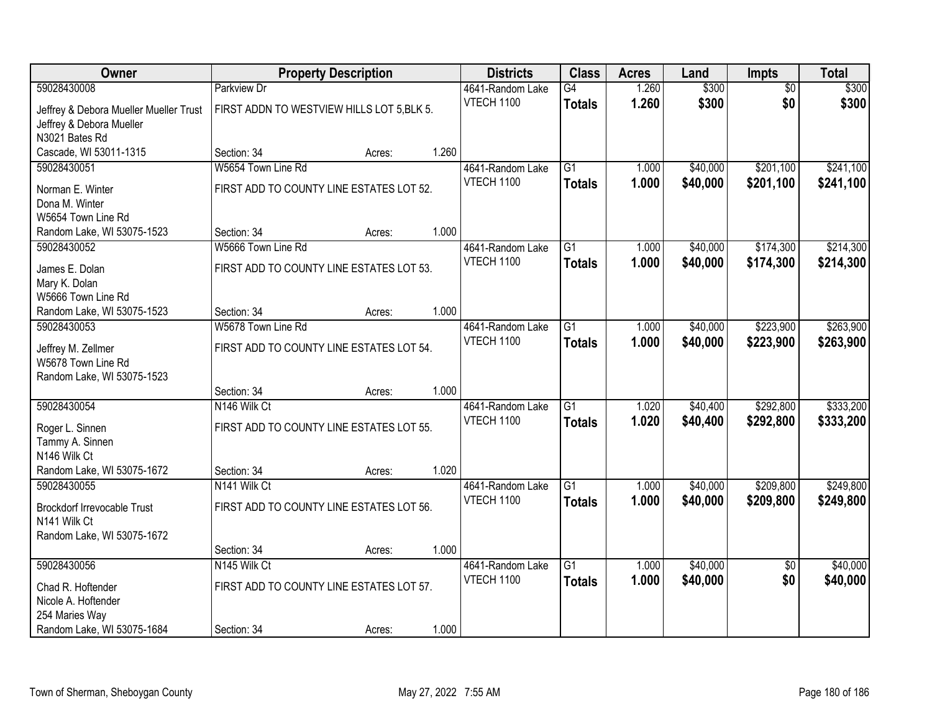| Owner                                  |                                            | <b>Property Description</b> |       | <b>Districts</b>  | <b>Class</b>    | <b>Acres</b> | Land     | <b>Impts</b>    | <b>Total</b> |
|----------------------------------------|--------------------------------------------|-----------------------------|-------|-------------------|-----------------|--------------|----------|-----------------|--------------|
| 59028430008                            | <b>Parkview Dr</b>                         |                             |       | 4641-Random Lake  | $\overline{G4}$ | 1.260        | \$300    | $\overline{50}$ | \$300        |
| Jeffrey & Debora Mueller Mueller Trust | FIRST ADDN TO WESTVIEW HILLS LOT 5, BLK 5. |                             |       | <b>VTECH 1100</b> | <b>Totals</b>   | 1.260        | \$300    | \$0             | \$300        |
| Jeffrey & Debora Mueller               |                                            |                             |       |                   |                 |              |          |                 |              |
| N3021 Bates Rd                         |                                            |                             |       |                   |                 |              |          |                 |              |
| Cascade, WI 53011-1315                 | Section: 34                                | Acres:                      | 1.260 |                   |                 |              |          |                 |              |
| 59028430051                            | W5654 Town Line Rd                         |                             |       | 4641-Random Lake  | $\overline{G1}$ | 1.000        | \$40,000 | \$201,100       | \$241,100    |
| Norman E. Winter                       | FIRST ADD TO COUNTY LINE ESTATES LOT 52.   |                             |       | <b>VTECH 1100</b> | <b>Totals</b>   | 1.000        | \$40,000 | \$201,100       | \$241,100    |
| Dona M. Winter                         |                                            |                             |       |                   |                 |              |          |                 |              |
| W5654 Town Line Rd                     |                                            |                             |       |                   |                 |              |          |                 |              |
| Random Lake, WI 53075-1523             | Section: 34                                | Acres:                      | 1.000 |                   |                 |              |          |                 |              |
| 59028430052                            | W5666 Town Line Rd                         |                             |       | 4641-Random Lake  | G1              | 1.000        | \$40,000 | \$174,300       | \$214,300    |
| James E. Dolan                         | FIRST ADD TO COUNTY LINE ESTATES LOT 53.   |                             |       | VTECH 1100        | <b>Totals</b>   | 1.000        | \$40,000 | \$174,300       | \$214,300    |
| Mary K. Dolan                          |                                            |                             |       |                   |                 |              |          |                 |              |
| W5666 Town Line Rd                     |                                            |                             |       |                   |                 |              |          |                 |              |
| Random Lake, WI 53075-1523             | Section: 34                                | Acres:                      | 1.000 |                   |                 |              |          |                 |              |
| 59028430053                            | W5678 Town Line Rd                         |                             |       | 4641-Random Lake  | $\overline{G1}$ | 1.000        | \$40,000 | \$223,900       | \$263,900    |
| Jeffrey M. Zellmer                     | FIRST ADD TO COUNTY LINE ESTATES LOT 54.   |                             |       | VTECH 1100        | <b>Totals</b>   | 1.000        | \$40,000 | \$223,900       | \$263,900    |
| W5678 Town Line Rd                     |                                            |                             |       |                   |                 |              |          |                 |              |
| Random Lake, WI 53075-1523             |                                            |                             |       |                   |                 |              |          |                 |              |
|                                        | Section: 34                                | Acres:                      | 1.000 |                   |                 |              |          |                 |              |
| 59028430054                            | N <sub>146</sub> Wilk Ct                   |                             |       | 4641-Random Lake  | $\overline{G1}$ | 1.020        | \$40,400 | \$292,800       | \$333,200    |
|                                        | FIRST ADD TO COUNTY LINE ESTATES LOT 55.   |                             |       | <b>VTECH 1100</b> | <b>Totals</b>   | 1.020        | \$40,400 | \$292,800       | \$333,200    |
| Roger L. Sinnen<br>Tammy A. Sinnen     |                                            |                             |       |                   |                 |              |          |                 |              |
| N146 Wilk Ct                           |                                            |                             |       |                   |                 |              |          |                 |              |
| Random Lake, WI 53075-1672             | Section: 34                                | Acres:                      | 1.020 |                   |                 |              |          |                 |              |
| 59028430055                            | N141 Wilk Ct                               |                             |       | 4641-Random Lake  | $\overline{G1}$ | 1.000        | \$40,000 | \$209,800       | \$249,800    |
| <b>Brockdorf Irrevocable Trust</b>     | FIRST ADD TO COUNTY LINE ESTATES LOT 56.   |                             |       | <b>VTECH 1100</b> | <b>Totals</b>   | 1.000        | \$40,000 | \$209,800       | \$249,800    |
| N141 Wilk Ct                           |                                            |                             |       |                   |                 |              |          |                 |              |
| Random Lake, WI 53075-1672             |                                            |                             |       |                   |                 |              |          |                 |              |
|                                        | Section: 34                                | Acres:                      | 1.000 |                   |                 |              |          |                 |              |
| 59028430056                            | N145 Wilk Ct                               |                             |       | 4641-Random Lake  | $\overline{G1}$ | 1.000        | \$40,000 | $\overline{30}$ | \$40,000     |
| Chad R. Hoftender                      | FIRST ADD TO COUNTY LINE ESTATES LOT 57.   |                             |       | <b>VTECH 1100</b> | <b>Totals</b>   | 1.000        | \$40,000 | \$0             | \$40,000     |
| Nicole A. Hoftender                    |                                            |                             |       |                   |                 |              |          |                 |              |
| 254 Maries Way                         |                                            |                             |       |                   |                 |              |          |                 |              |
| Random Lake, WI 53075-1684             | Section: 34                                | Acres:                      | 1.000 |                   |                 |              |          |                 |              |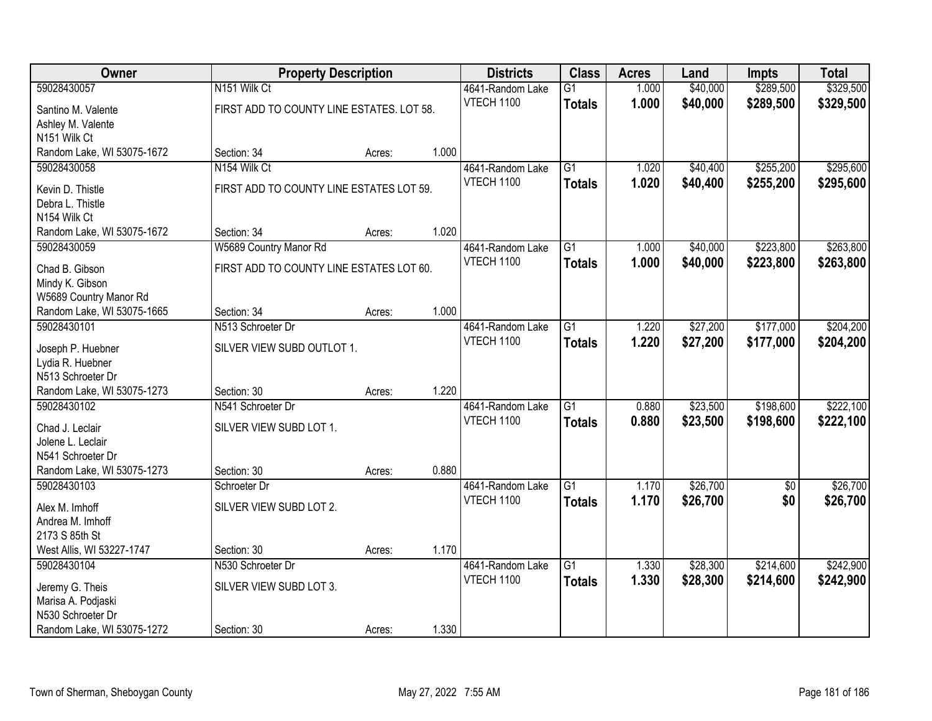| Owner                      |                                           | <b>Property Description</b> |       | <b>Districts</b>  | <b>Class</b>    | <b>Acres</b> | Land     | <b>Impts</b>    | <b>Total</b> |
|----------------------------|-------------------------------------------|-----------------------------|-------|-------------------|-----------------|--------------|----------|-----------------|--------------|
| 59028430057                | N151 Wilk Ct                              |                             |       | 4641-Random Lake  | $\overline{G1}$ | 1.000        | \$40,000 | \$289,500       | \$329,500    |
| Santino M. Valente         | FIRST ADD TO COUNTY LINE ESTATES. LOT 58. |                             |       | VTECH 1100        | <b>Totals</b>   | 1.000        | \$40,000 | \$289,500       | \$329,500    |
| Ashley M. Valente          |                                           |                             |       |                   |                 |              |          |                 |              |
| N151 Wilk Ct               |                                           |                             |       |                   |                 |              |          |                 |              |
| Random Lake, WI 53075-1672 | Section: 34                               | Acres:                      | 1.000 |                   |                 |              |          |                 |              |
| 59028430058                | N154 Wilk Ct                              |                             |       | 4641-Random Lake  | $\overline{G1}$ | 1.020        | \$40,400 | \$255,200       | \$295,600    |
| Kevin D. Thistle           | FIRST ADD TO COUNTY LINE ESTATES LOT 59.  |                             |       | <b>VTECH 1100</b> | <b>Totals</b>   | 1.020        | \$40,400 | \$255,200       | \$295,600    |
| Debra L. Thistle           |                                           |                             |       |                   |                 |              |          |                 |              |
| N154 Wilk Ct               |                                           |                             |       |                   |                 |              |          |                 |              |
| Random Lake, WI 53075-1672 | Section: 34                               | Acres:                      | 1.020 |                   |                 |              |          |                 |              |
| 59028430059                | W5689 Country Manor Rd                    |                             |       | 4641-Random Lake  | $\overline{G1}$ | 1.000        | \$40,000 | \$223,800       | \$263,800    |
| Chad B. Gibson             | FIRST ADD TO COUNTY LINE ESTATES LOT 60.  |                             |       | VTECH 1100        | <b>Totals</b>   | 1.000        | \$40,000 | \$223,800       | \$263,800    |
| Mindy K. Gibson            |                                           |                             |       |                   |                 |              |          |                 |              |
| W5689 Country Manor Rd     |                                           |                             |       |                   |                 |              |          |                 |              |
| Random Lake, WI 53075-1665 | Section: 34                               | Acres:                      | 1.000 |                   |                 |              |          |                 |              |
| 59028430101                | N513 Schroeter Dr                         |                             |       | 4641-Random Lake  | $\overline{G1}$ | 1.220        | \$27,200 | \$177,000       | \$204,200    |
| Joseph P. Huebner          | SILVER VIEW SUBD OUTLOT 1.                |                             |       | VTECH 1100        | <b>Totals</b>   | 1.220        | \$27,200 | \$177,000       | \$204,200    |
| Lydia R. Huebner           |                                           |                             |       |                   |                 |              |          |                 |              |
| N513 Schroeter Dr          |                                           |                             |       |                   |                 |              |          |                 |              |
| Random Lake, WI 53075-1273 | Section: 30                               | Acres:                      | 1.220 |                   |                 |              |          |                 |              |
| 59028430102                | N541 Schroeter Dr                         |                             |       | 4641-Random Lake  | $\overline{G1}$ | 0.880        | \$23,500 | \$198,600       | \$222,100    |
| Chad J. Leclair            | SILVER VIEW SUBD LOT 1.                   |                             |       | VTECH 1100        | <b>Totals</b>   | 0.880        | \$23,500 | \$198,600       | \$222,100    |
| Jolene L. Leclair          |                                           |                             |       |                   |                 |              |          |                 |              |
| N541 Schroeter Dr          |                                           |                             |       |                   |                 |              |          |                 |              |
| Random Lake, WI 53075-1273 | Section: 30                               | Acres:                      | 0.880 |                   |                 |              |          |                 |              |
| 59028430103                | Schroeter Dr                              |                             |       | 4641-Random Lake  | $\overline{G1}$ | 1.170        | \$26,700 | $\overline{50}$ | \$26,700     |
| Alex M. Imhoff             | SILVER VIEW SUBD LOT 2.                   |                             |       | VTECH 1100        | <b>Totals</b>   | 1.170        | \$26,700 | \$0             | \$26,700     |
| Andrea M. Imhoff           |                                           |                             |       |                   |                 |              |          |                 |              |
| 2173 S 85th St             |                                           |                             |       |                   |                 |              |          |                 |              |
| West Allis, WI 53227-1747  | Section: 30                               | Acres:                      | 1.170 |                   |                 |              |          |                 |              |
| 59028430104                | N530 Schroeter Dr                         |                             |       | 4641-Random Lake  | $\overline{G1}$ | 1.330        | \$28,300 | \$214,600       | \$242,900    |
| Jeremy G. Theis            | SILVER VIEW SUBD LOT 3.                   |                             |       | VTECH 1100        | <b>Totals</b>   | 1.330        | \$28,300 | \$214,600       | \$242,900    |
| Marisa A. Podjaski         |                                           |                             |       |                   |                 |              |          |                 |              |
| N530 Schroeter Dr          |                                           |                             |       |                   |                 |              |          |                 |              |
| Random Lake, WI 53075-1272 | Section: 30                               | Acres:                      | 1.330 |                   |                 |              |          |                 |              |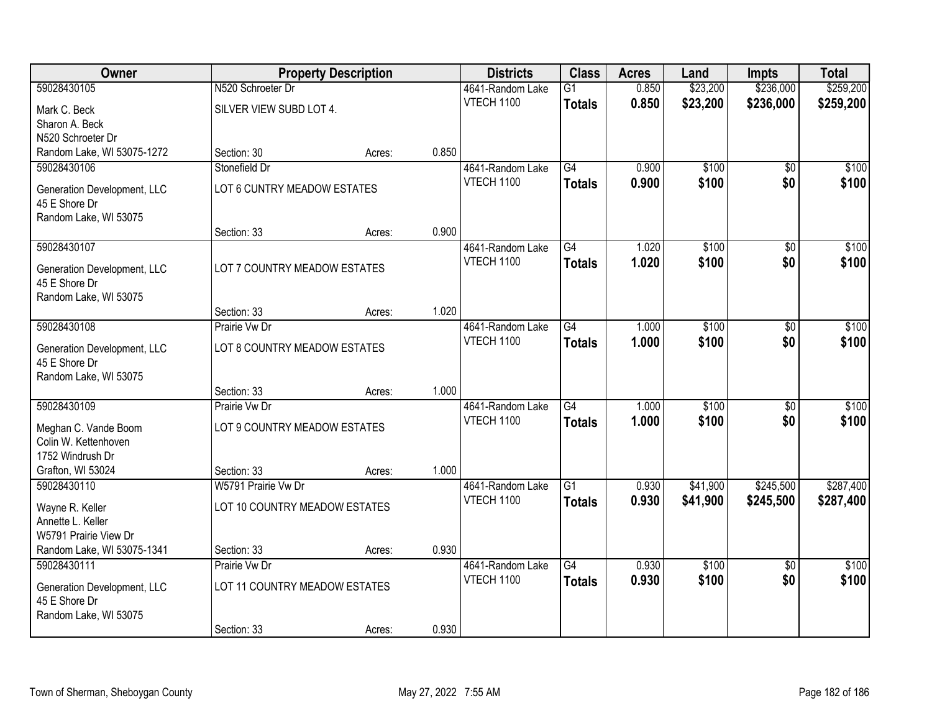| Owner                       |                               | <b>Property Description</b> |       | <b>Districts</b> | <b>Class</b>    | <b>Acres</b> | Land     | <b>Impts</b>    | <b>Total</b> |
|-----------------------------|-------------------------------|-----------------------------|-------|------------------|-----------------|--------------|----------|-----------------|--------------|
| 59028430105                 | N520 Schroeter Dr             |                             |       | 4641-Random Lake | $\overline{G1}$ | 0.850        | \$23,200 | \$236,000       | \$259,200    |
| Mark C. Beck                | SILVER VIEW SUBD LOT 4.       |                             |       | VTECH 1100       | <b>Totals</b>   | 0.850        | \$23,200 | \$236,000       | \$259,200    |
| Sharon A. Beck              |                               |                             |       |                  |                 |              |          |                 |              |
| N520 Schroeter Dr           |                               |                             |       |                  |                 |              |          |                 |              |
| Random Lake, WI 53075-1272  | Section: 30                   | Acres:                      | 0.850 |                  |                 |              |          |                 |              |
| 59028430106                 | Stonefield Dr                 |                             |       | 4641-Random Lake | G4              | 0.900        | \$100    | $\overline{50}$ | \$100        |
| Generation Development, LLC | LOT 6 CUNTRY MEADOW ESTATES   |                             |       | VTECH 1100       | <b>Totals</b>   | 0.900        | \$100    | \$0             | \$100        |
| 45 E Shore Dr               |                               |                             |       |                  |                 |              |          |                 |              |
| Random Lake, WI 53075       |                               |                             |       |                  |                 |              |          |                 |              |
|                             | Section: 33                   | Acres:                      | 0.900 |                  |                 |              |          |                 |              |
| 59028430107                 |                               |                             |       | 4641-Random Lake | G4              | 1.020        | \$100    | $\overline{50}$ | \$100        |
| Generation Development, LLC | LOT 7 COUNTRY MEADOW ESTATES  |                             |       | VTECH 1100       | <b>Totals</b>   | 1.020        | \$100    | \$0             | \$100        |
| 45 E Shore Dr               |                               |                             |       |                  |                 |              |          |                 |              |
| Random Lake, WI 53075       |                               |                             |       |                  |                 |              |          |                 |              |
|                             | Section: 33                   | Acres:                      | 1.020 |                  |                 |              |          |                 |              |
| 59028430108                 | Prairie Vw Dr                 |                             |       | 4641-Random Lake | $\overline{G4}$ | 1.000        | \$100    | \$0             | \$100        |
| Generation Development, LLC | LOT 8 COUNTRY MEADOW ESTATES  |                             |       | VTECH 1100       | <b>Totals</b>   | 1.000        | \$100    | \$0             | \$100        |
| 45 E Shore Dr               |                               |                             |       |                  |                 |              |          |                 |              |
| Random Lake, WI 53075       |                               |                             |       |                  |                 |              |          |                 |              |
|                             | Section: 33                   | Acres:                      | 1.000 |                  |                 |              |          |                 |              |
| 59028430109                 | Prairie Vw Dr                 |                             |       | 4641-Random Lake | $\overline{G4}$ | 1.000        | \$100    | \$0             | \$100        |
| Meghan C. Vande Boom        | LOT 9 COUNTRY MEADOW ESTATES  |                             |       | VTECH 1100       | <b>Totals</b>   | 1.000        | \$100    | \$0             | \$100        |
| Colin W. Kettenhoven        |                               |                             |       |                  |                 |              |          |                 |              |
| 1752 Windrush Dr            |                               |                             |       |                  |                 |              |          |                 |              |
| Grafton, WI 53024           | Section: 33                   | Acres:                      | 1.000 |                  |                 |              |          |                 |              |
| 59028430110                 | W5791 Prairie Vw Dr           |                             |       | 4641-Random Lake | $\overline{G1}$ | 0.930        | \$41,900 | \$245,500       | \$287,400    |
| Wayne R. Keller             | LOT 10 COUNTRY MEADOW ESTATES |                             |       | VTECH 1100       | <b>Totals</b>   | 0.930        | \$41,900 | \$245,500       | \$287,400    |
| Annette L. Keller           |                               |                             |       |                  |                 |              |          |                 |              |
| W5791 Prairie View Dr       |                               |                             |       |                  |                 |              |          |                 |              |
| Random Lake, WI 53075-1341  | Section: 33                   | Acres:                      | 0.930 |                  |                 |              |          |                 |              |
| 59028430111                 | Prairie Vw Dr                 |                             |       | 4641-Random Lake | $\overline{G4}$ | 0.930        | \$100    | $\overline{50}$ | \$100        |
| Generation Development, LLC | LOT 11 COUNTRY MEADOW ESTATES |                             |       | VTECH 1100       | <b>Totals</b>   | 0.930        | \$100    | \$0             | \$100        |
| 45 E Shore Dr               |                               |                             |       |                  |                 |              |          |                 |              |
| Random Lake, WI 53075       |                               |                             |       |                  |                 |              |          |                 |              |
|                             | Section: 33                   | Acres:                      | 0.930 |                  |                 |              |          |                 |              |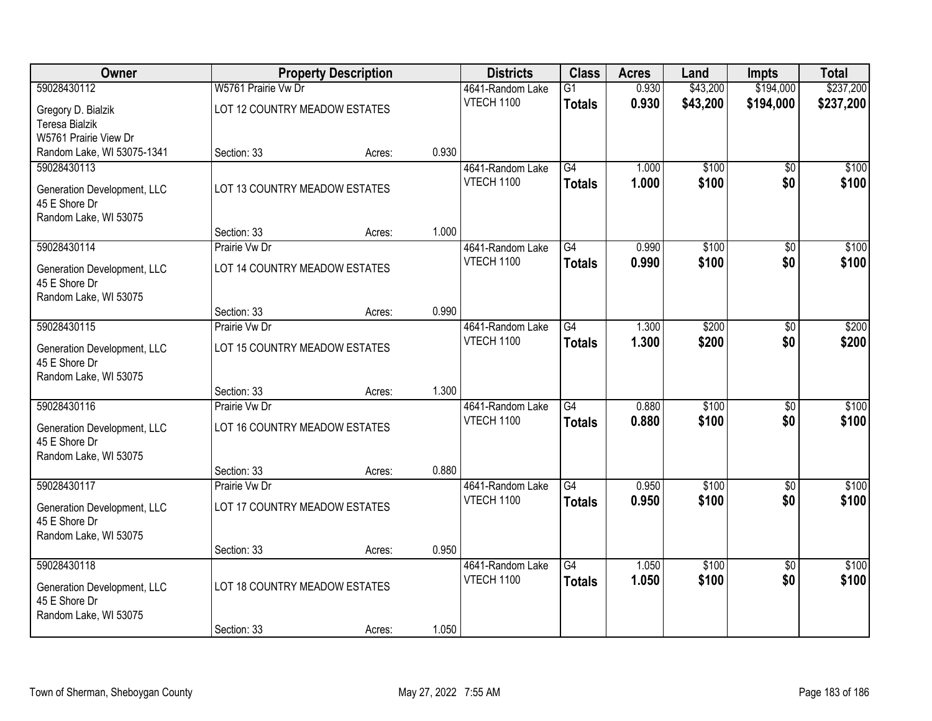| Owner                                        |                               | <b>Property Description</b>   |       | <b>Districts</b>               | <b>Class</b>    | <b>Acres</b> | Land     | <b>Impts</b>    | <b>Total</b> |
|----------------------------------------------|-------------------------------|-------------------------------|-------|--------------------------------|-----------------|--------------|----------|-----------------|--------------|
| 59028430112                                  | W5761 Prairie Vw Dr           |                               |       | 4641-Random Lake               | $\overline{G1}$ | 0.930        | \$43,200 | \$194,000       | \$237,200    |
| Gregory D. Bialzik                           | LOT 12 COUNTRY MEADOW ESTATES |                               |       | VTECH 1100                     | <b>Totals</b>   | 0.930        | \$43,200 | \$194,000       | \$237,200    |
| <b>Teresa Bialzik</b>                        |                               |                               |       |                                |                 |              |          |                 |              |
| W5761 Prairie View Dr                        |                               |                               |       |                                |                 |              |          |                 |              |
| Random Lake, WI 53075-1341                   | Section: 33                   | Acres:                        | 0.930 |                                |                 |              |          |                 |              |
| 59028430113                                  |                               |                               |       | 4641-Random Lake               | $\overline{G4}$ | 1.000        | \$100    | $\overline{30}$ | \$100        |
| Generation Development, LLC                  | LOT 13 COUNTRY MEADOW ESTATES |                               |       | <b>VTECH 1100</b>              | <b>Totals</b>   | 1.000        | \$100    | \$0             | \$100        |
| 45 E Shore Dr                                |                               |                               |       |                                |                 |              |          |                 |              |
| Random Lake, WI 53075                        |                               |                               |       |                                |                 |              |          |                 |              |
|                                              | Section: 33                   | Acres:                        | 1.000 |                                |                 |              |          |                 |              |
| 59028430114                                  | Prairie Vw Dr                 |                               |       | 4641-Random Lake<br>VTECH 1100 | G4              | 0.990        | \$100    | \$0             | \$100        |
| Generation Development, LLC                  | LOT 14 COUNTRY MEADOW ESTATES |                               |       |                                | <b>Totals</b>   | 0.990        | \$100    | \$0             | \$100        |
| 45 E Shore Dr                                |                               |                               |       |                                |                 |              |          |                 |              |
| Random Lake, WI 53075                        | Section: 33                   |                               | 0.990 |                                |                 |              |          |                 |              |
| 59028430115                                  | Prairie Vw Dr                 | Acres:                        |       | 4641-Random Lake               | $\overline{G4}$ | 1.300        | \$200    | \$0             | \$200        |
|                                              |                               | LOT 15 COUNTRY MEADOW ESTATES |       | VTECH 1100                     | <b>Totals</b>   | 1.300        | \$200    | \$0             | \$200        |
| Generation Development, LLC                  |                               |                               |       |                                |                 |              |          |                 |              |
| 45 E Shore Dr<br>Random Lake, WI 53075       |                               |                               |       |                                |                 |              |          |                 |              |
|                                              | Section: 33                   | Acres:                        | 1.300 |                                |                 |              |          |                 |              |
| 59028430116                                  | Prairie Vw Dr                 |                               |       | 4641-Random Lake               | $\overline{G4}$ | 0.880        | \$100    | \$0             | \$100        |
|                                              |                               |                               |       | <b>VTECH 1100</b>              | <b>Totals</b>   | 0.880        | \$100    | \$0             | \$100        |
| Generation Development, LLC<br>45 E Shore Dr | LOT 16 COUNTRY MEADOW ESTATES |                               |       |                                |                 |              |          |                 |              |
| Random Lake, WI 53075                        |                               |                               |       |                                |                 |              |          |                 |              |
|                                              | Section: 33                   | Acres:                        | 0.880 |                                |                 |              |          |                 |              |
| 59028430117                                  | Prairie Vw Dr                 |                               |       | 4641-Random Lake               | $\overline{G4}$ | 0.950        | \$100    | $\sqrt{6}$      | \$100        |
| Generation Development, LLC                  | LOT 17 COUNTRY MEADOW ESTATES |                               |       | VTECH 1100                     | <b>Totals</b>   | 0.950        | \$100    | \$0             | \$100        |
| 45 E Shore Dr                                |                               |                               |       |                                |                 |              |          |                 |              |
| Random Lake, WI 53075                        |                               |                               |       |                                |                 |              |          |                 |              |
|                                              | Section: 33                   | Acres:                        | 0.950 |                                |                 |              |          |                 |              |
| 59028430118                                  |                               |                               |       | 4641-Random Lake               | $\overline{G4}$ | 1.050        | \$100    | $\overline{30}$ | \$100        |
| Generation Development, LLC                  | LOT 18 COUNTRY MEADOW ESTATES |                               |       | VTECH 1100                     | <b>Totals</b>   | 1.050        | \$100    | \$0             | \$100        |
| 45 E Shore Dr                                |                               |                               |       |                                |                 |              |          |                 |              |
| Random Lake, WI 53075                        |                               |                               |       |                                |                 |              |          |                 |              |
|                                              | Section: 33                   | Acres:                        | 1.050 |                                |                 |              |          |                 |              |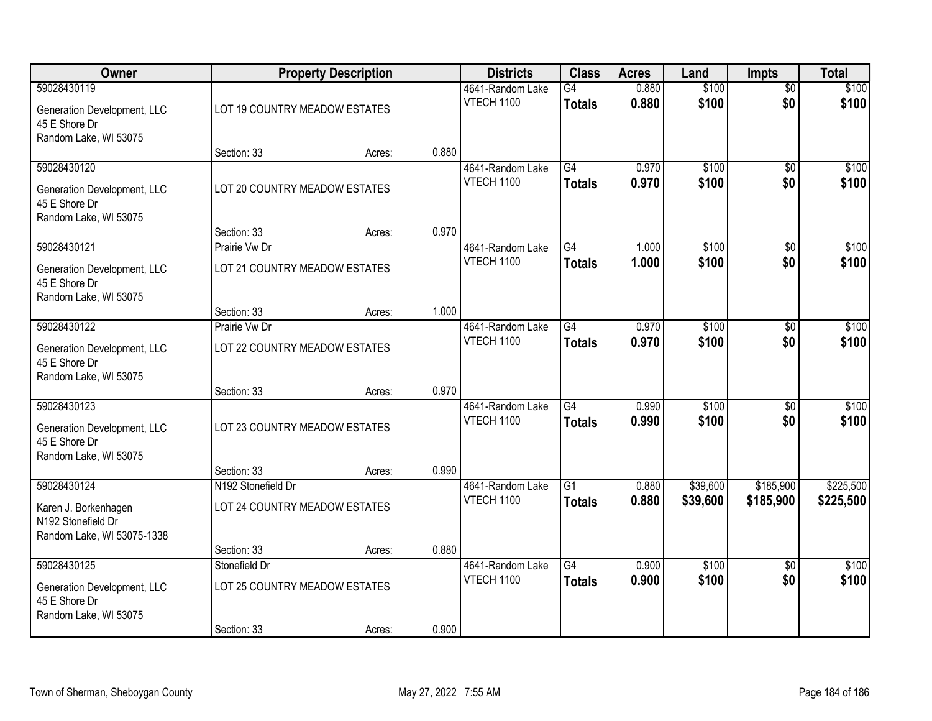| Owner                                                                                |                                                | <b>Property Description</b> |       | <b>Districts</b>                      | <b>Class</b>                     | <b>Acres</b>   | Land           | <b>Impts</b>           | <b>Total</b>   |
|--------------------------------------------------------------------------------------|------------------------------------------------|-----------------------------|-------|---------------------------------------|----------------------------------|----------------|----------------|------------------------|----------------|
| 59028430119<br>Generation Development, LLC<br>45 E Shore Dr<br>Random Lake, WI 53075 | LOT 19 COUNTRY MEADOW ESTATES                  |                             |       | 4641-Random Lake<br><b>VTECH 1100</b> | G4<br><b>Totals</b>              | 0.880<br>0.880 | \$100<br>\$100 | $\overline{50}$<br>\$0 | \$100<br>\$100 |
|                                                                                      | Section: 33                                    | Acres:                      | 0.880 |                                       |                                  |                |                |                        |                |
| 59028430120<br>Generation Development, LLC<br>45 E Shore Dr<br>Random Lake, WI 53075 | LOT 20 COUNTRY MEADOW ESTATES                  |                             |       | 4641-Random Lake<br><b>VTECH 1100</b> | G4<br><b>Totals</b>              | 0.970<br>0.970 | \$100<br>\$100 | $\overline{30}$<br>\$0 | \$100<br>\$100 |
|                                                                                      | Section: 33                                    | Acres:                      | 0.970 |                                       |                                  |                |                |                        |                |
| 59028430121<br>Generation Development, LLC<br>45 E Shore Dr<br>Random Lake, WI 53075 | Prairie Vw Dr<br>LOT 21 COUNTRY MEADOW ESTATES |                             |       | 4641-Random Lake<br>VTECH 1100        | G4<br><b>Totals</b>              | 1.000<br>1.000 | \$100<br>\$100 | \$0<br>\$0             | \$100<br>\$100 |
|                                                                                      | Section: 33                                    | Acres:                      | 1.000 |                                       |                                  |                |                |                        |                |
| 59028430122<br>Generation Development, LLC<br>45 E Shore Dr<br>Random Lake, WI 53075 | Prairie Vw Dr<br>LOT 22 COUNTRY MEADOW ESTATES |                             |       | 4641-Random Lake<br><b>VTECH 1100</b> | G4<br><b>Totals</b>              | 0.970<br>0.970 | \$100<br>\$100 | \$0<br>\$0             | \$100<br>\$100 |
|                                                                                      | Section: 33                                    | Acres:                      | 0.970 |                                       |                                  |                |                |                        |                |
| 59028430123<br>Generation Development, LLC<br>45 E Shore Dr<br>Random Lake, WI 53075 | LOT 23 COUNTRY MEADOW ESTATES                  |                             |       | 4641-Random Lake<br><b>VTECH 1100</b> | $\overline{G4}$<br><b>Totals</b> | 0.990<br>0.990 | \$100<br>\$100 | $\overline{30}$<br>\$0 | \$100<br>\$100 |
| 59028430124                                                                          | Section: 33<br>N192 Stonefield Dr              | Acres:                      | 0.990 | 4641-Random Lake                      | $\overline{G1}$                  | 0.880          | \$39,600       | \$185,900              | \$225,500      |
| Karen J. Borkenhagen<br>N192 Stonefield Dr<br>Random Lake, WI 53075-1338             | LOT 24 COUNTRY MEADOW ESTATES                  |                             |       | VTECH 1100                            | <b>Totals</b>                    | 0.880          | \$39,600       | \$185,900              | \$225,500      |
|                                                                                      | Section: 33                                    | Acres:                      | 0.880 |                                       |                                  |                |                |                        |                |
| 59028430125<br>Generation Development, LLC<br>45 E Shore Dr<br>Random Lake, WI 53075 | Stonefield Dr<br>LOT 25 COUNTRY MEADOW ESTATES |                             |       | 4641-Random Lake<br>VTECH 1100        | $\overline{G4}$<br><b>Totals</b> | 0.900<br>0.900 | \$100<br>\$100 | $\overline{50}$<br>\$0 | \$100<br>\$100 |
|                                                                                      | Section: 33                                    | Acres:                      | 0.900 |                                       |                                  |                |                |                        |                |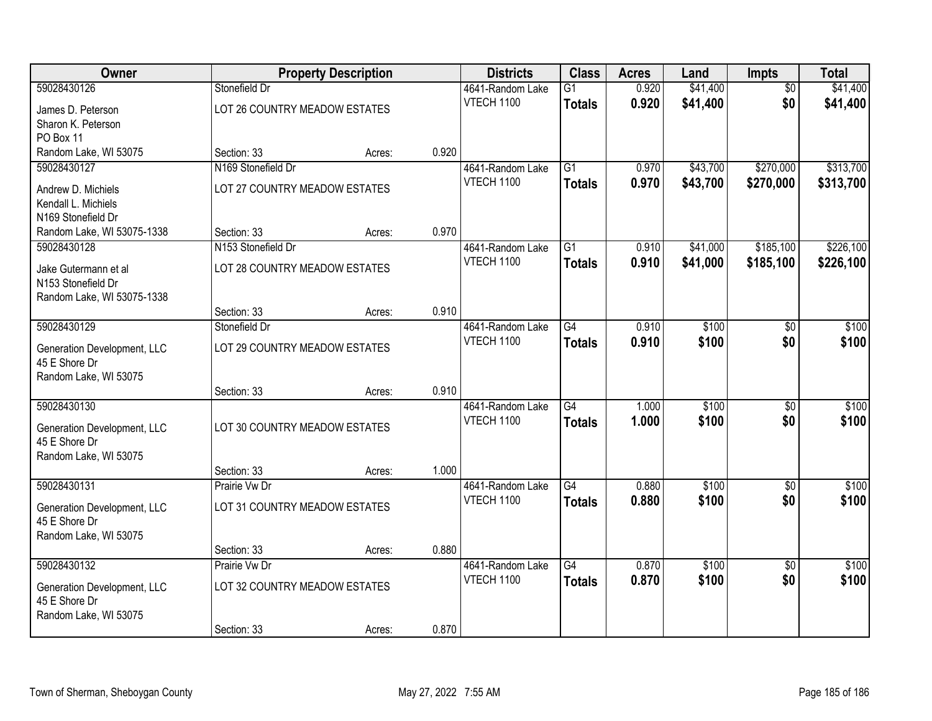| Owner                                        |                                | <b>Property Description</b> |            | <b>Districts</b>               | <b>Class</b>    | <b>Acres</b> | Land     | <b>Impts</b>    | <b>Total</b> |
|----------------------------------------------|--------------------------------|-----------------------------|------------|--------------------------------|-----------------|--------------|----------|-----------------|--------------|
| 59028430126                                  | Stonefield Dr                  |                             |            | 4641-Random Lake               | $\overline{G1}$ | 0.920        | \$41,400 | $\overline{50}$ | \$41,400     |
| James D. Peterson                            | LOT 26 COUNTRY MEADOW ESTATES  |                             |            | VTECH 1100                     | <b>Totals</b>   | 0.920        | \$41,400 | \$0             | \$41,400     |
| Sharon K. Peterson                           |                                |                             |            |                                |                 |              |          |                 |              |
| PO Box 11                                    |                                |                             |            |                                |                 |              |          |                 |              |
| Random Lake, WI 53075                        | Section: 33                    | Acres:                      | 0.920      |                                |                 |              |          |                 |              |
| 59028430127                                  | N <sub>169</sub> Stonefield Dr |                             |            | 4641-Random Lake               | G1              | 0.970        | \$43,700 | \$270,000       | \$313,700    |
| Andrew D. Michiels                           | LOT 27 COUNTRY MEADOW ESTATES  |                             |            | VTECH 1100                     | <b>Totals</b>   | 0.970        | \$43,700 | \$270,000       | \$313,700    |
| Kendall L. Michiels                          |                                |                             |            |                                |                 |              |          |                 |              |
| N169 Stonefield Dr                           |                                |                             |            |                                |                 |              |          |                 |              |
| Random Lake, WI 53075-1338                   | Section: 33                    | Acres:                      | 0.970      |                                |                 |              |          |                 |              |
| 59028430128                                  | N153 Stonefield Dr             |                             |            | 4641-Random Lake<br>VTECH 1100 | $\overline{G1}$ | 0.910        | \$41,000 | \$185,100       | \$226,100    |
| Jake Gutermann et al                         | LOT 28 COUNTRY MEADOW ESTATES  |                             |            |                                | <b>Totals</b>   | 0.910        | \$41,000 | \$185,100       | \$226,100    |
| N153 Stonefield Dr                           |                                |                             |            |                                |                 |              |          |                 |              |
| Random Lake, WI 53075-1338                   | Section: 33                    |                             | 0.910      |                                |                 |              |          |                 |              |
| 59028430129                                  | Stonefield Dr                  | Acres:                      |            | 4641-Random Lake               | $\overline{G4}$ | 0.910        | \$100    | \$0             | \$100        |
|                                              | LOT 29 COUNTRY MEADOW ESTATES  |                             | VTECH 1100 | <b>Totals</b>                  | \$100<br>0.910  |              | \$0      | \$100           |              |
| Generation Development, LLC                  |                                |                             |            |                                |                 |              |          |                 |              |
| 45 E Shore Dr<br>Random Lake, WI 53075       |                                |                             |            |                                |                 |              |          |                 |              |
|                                              | Section: 33                    | Acres:                      | 0.910      |                                |                 |              |          |                 |              |
| 59028430130                                  |                                |                             |            | 4641-Random Lake               | $\overline{G4}$ | 1.000        | \$100    | \$0             | \$100        |
|                                              |                                |                             |            | VTECH 1100                     | <b>Totals</b>   | 1.000        | \$100    | \$0             | \$100        |
| Generation Development, LLC<br>45 E Shore Dr | LOT 30 COUNTRY MEADOW ESTATES  |                             |            |                                |                 |              |          |                 |              |
| Random Lake, WI 53075                        |                                |                             |            |                                |                 |              |          |                 |              |
|                                              | Section: 33                    | Acres:                      | 1.000      |                                |                 |              |          |                 |              |
| 59028430131                                  | Prairie Vw Dr                  |                             |            | 4641-Random Lake               | G4              | 0.880        | \$100    | $\sqrt{6}$      | \$100        |
| Generation Development, LLC                  | LOT 31 COUNTRY MEADOW ESTATES  |                             |            | VTECH 1100                     | <b>Totals</b>   | 0.880        | \$100    | \$0             | \$100        |
| 45 E Shore Dr                                |                                |                             |            |                                |                 |              |          |                 |              |
| Random Lake, WI 53075                        |                                |                             |            |                                |                 |              |          |                 |              |
|                                              | Section: 33                    | Acres:                      | 0.880      |                                |                 |              |          |                 |              |
| 59028430132                                  | Prairie Vw Dr                  |                             |            | 4641-Random Lake               | $\overline{G4}$ | 0.870        | \$100    | $\overline{30}$ | \$100        |
| Generation Development, LLC                  | LOT 32 COUNTRY MEADOW ESTATES  |                             |            | VTECH 1100                     | <b>Totals</b>   | 0.870        | \$100    | \$0             | \$100        |
| 45 E Shore Dr                                |                                |                             |            |                                |                 |              |          |                 |              |
| Random Lake, WI 53075                        |                                |                             |            |                                |                 |              |          |                 |              |
|                                              | Section: 33                    | Acres:                      | 0.870      |                                |                 |              |          |                 |              |